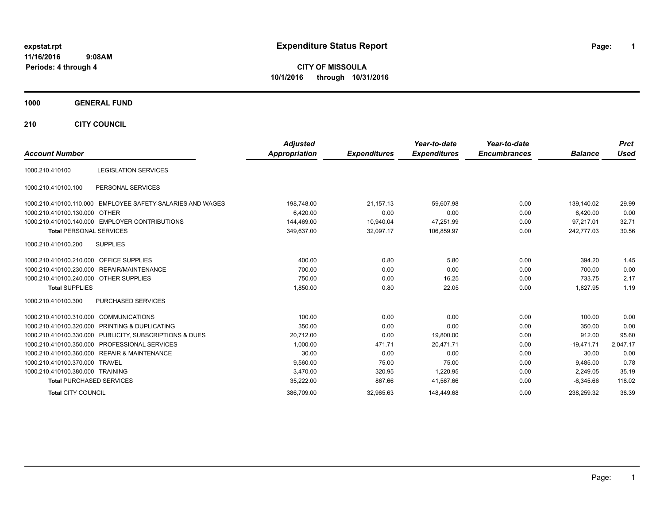# **expstat.rpt Expenditure Status Report Page:**

**1**

**CITY OF MISSOULA 10/1/2016 through 10/31/2016**

### **1000 GENERAL FUND**

**210 CITY COUNCIL**

| <b>Account Number</b>                   |                                                         | <b>Adjusted</b><br><b>Appropriation</b> | <b>Expenditures</b> | Year-to-date<br><b>Expenditures</b> | Year-to-date<br><b>Encumbrances</b> | <b>Balance</b> | <b>Prct</b><br><b>Used</b> |
|-----------------------------------------|---------------------------------------------------------|-----------------------------------------|---------------------|-------------------------------------|-------------------------------------|----------------|----------------------------|
|                                         |                                                         |                                         |                     |                                     |                                     |                |                            |
| 1000.210.410100                         | <b>LEGISLATION SERVICES</b>                             |                                         |                     |                                     |                                     |                |                            |
| 1000.210.410100.100                     | PERSONAL SERVICES                                       |                                         |                     |                                     |                                     |                |                            |
| 1000.210.410100.110.000                 | EMPLOYEE SAFETY-SALARIES AND WAGES                      | 198,748.00                              | 21,157.13           | 59,607.98                           | 0.00                                | 139,140.02     | 29.99                      |
| 1000.210.410100.130.000 OTHER           |                                                         | 6.420.00                                | 0.00                | 0.00                                | 0.00                                | 6,420.00       | 0.00                       |
|                                         | 1000.210.410100.140.000 EMPLOYER CONTRIBUTIONS          | 144,469.00                              | 10,940.04           | 47,251.99                           | 0.00                                | 97.217.01      | 32.71                      |
| <b>Total PERSONAL SERVICES</b>          |                                                         | 349,637.00                              | 32,097.17           | 106,859.97                          | 0.00                                | 242,777.03     | 30.56                      |
| 1000.210.410100.200                     | <b>SUPPLIES</b>                                         |                                         |                     |                                     |                                     |                |                            |
| 1000.210.410100.210.000 OFFICE SUPPLIES |                                                         | 400.00                                  | 0.80                | 5.80                                | 0.00                                | 394.20         | 1.45                       |
|                                         | 1000.210.410100.230.000 REPAIR/MAINTENANCE              | 700.00                                  | 0.00                | 0.00                                | 0.00                                | 700.00         | 0.00                       |
| 1000.210.410100.240.000 OTHER SUPPLIES  |                                                         | 750.00                                  | 0.00                | 16.25                               | 0.00                                | 733.75         | 2.17                       |
| <b>Total SUPPLIES</b>                   |                                                         | 1,850.00                                | 0.80                | 22.05                               | 0.00                                | 1,827.95       | 1.19                       |
| 1000.210.410100.300                     | <b>PURCHASED SERVICES</b>                               |                                         |                     |                                     |                                     |                |                            |
| 1000.210.410100.310.000                 | COMMUNICATIONS                                          | 100.00                                  | 0.00                | 0.00                                | 0.00                                | 100.00         | 0.00                       |
|                                         | 1000.210.410100.320.000 PRINTING & DUPLICATING          | 350.00                                  | 0.00                | 0.00                                | 0.00                                | 350.00         | 0.00                       |
|                                         | 1000.210.410100.330.000 PUBLICITY, SUBSCRIPTIONS & DUES | 20,712.00                               | 0.00                | 19,800.00                           | 0.00                                | 912.00         | 95.60                      |
|                                         | 1000.210.410100.350.000 PROFESSIONAL SERVICES           | 1.000.00                                | 471.71              | 20.471.71                           | 0.00                                | $-19,471.71$   | 2,047.17                   |
|                                         | 1000.210.410100.360.000 REPAIR & MAINTENANCE            | 30.00                                   | 0.00                | 0.00                                | 0.00                                | 30.00          | 0.00                       |
| 1000.210.410100.370.000 TRAVEL          |                                                         | 9,560.00                                | 75.00               | 75.00                               | 0.00                                | 9.485.00       | 0.78                       |
| 1000.210.410100.380.000 TRAINING        |                                                         | 3,470.00                                | 320.95              | 1,220.95                            | 0.00                                | 2,249.05       | 35.19                      |
| <b>Total PURCHASED SERVICES</b>         |                                                         | 35,222.00                               | 867.66              | 41,567.66                           | 0.00                                | $-6,345.66$    | 118.02                     |
| <b>Total CITY COUNCIL</b>               |                                                         | 386,709.00                              | 32,965.63           | 148,449.68                          | 0.00                                | 238,259.32     | 38.39                      |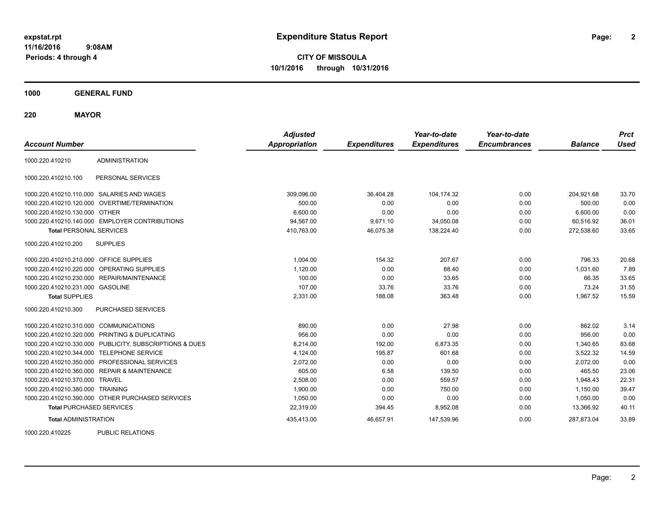**2**

**CITY OF MISSOULA 10/1/2016 through 10/31/2016**

**1000 GENERAL FUND**

**220 MAYOR**

| <b>Account Number</b>                  |                                                         | <b>Adjusted</b><br>Appropriation | <b>Expenditures</b> | Year-to-date<br><b>Expenditures</b> | Year-to-date<br><b>Encumbrances</b> | <b>Balance</b> | <b>Prct</b><br>Used |
|----------------------------------------|---------------------------------------------------------|----------------------------------|---------------------|-------------------------------------|-------------------------------------|----------------|---------------------|
| 1000.220.410210                        | <b>ADMINISTRATION</b>                                   |                                  |                     |                                     |                                     |                |                     |
| 1000.220.410210.100                    | PERSONAL SERVICES                                       |                                  |                     |                                     |                                     |                |                     |
|                                        | 1000.220.410210.110.000 SALARIES AND WAGES              | 309,096.00                       | 36,404.28           | 104.174.32                          | 0.00                                | 204,921.68     | 33.70               |
|                                        | 1000.220.410210.120.000 OVERTIME/TERMINATION            | 500.00                           | 0.00                | 0.00                                | 0.00                                | 500.00         | 0.00                |
| 1000.220.410210.130.000                | <b>OTHER</b>                                            | 6.600.00                         | 0.00                | 0.00                                | 0.00                                | 6.600.00       | 0.00                |
|                                        | 1000.220.410210.140.000 EMPLOYER CONTRIBUTIONS          | 94,567.00                        | 9,671.10            | 34,050.08                           | 0.00                                | 60,516.92      | 36.01               |
| <b>Total PERSONAL SERVICES</b>         |                                                         | 410,763.00                       | 46,075.38           | 138,224.40                          | 0.00                                | 272,538.60     | 33.65               |
| 1000.220.410210.200                    | <b>SUPPLIES</b>                                         |                                  |                     |                                     |                                     |                |                     |
| 1000.220.410210.210.000                | <b>OFFICE SUPPLIES</b>                                  | 1.004.00                         | 154.32              | 207.67                              | 0.00                                | 796.33         | 20.68               |
| 1000.220.410210.220.000                | <b>OPERATING SUPPLIES</b>                               | 1,120.00                         | 0.00                | 88.40                               | 0.00                                | 1.031.60       | 7.89                |
| 1000.220.410210.230.000                | REPAIR/MAINTENANCE                                      | 100.00                           | 0.00                | 33.65                               | 0.00                                | 66.35          | 33.65               |
| 1000.220.410210.231.000 GASOLINE       |                                                         | 107.00                           | 33.76               | 33.76                               | 0.00                                | 73.24          | 31.55               |
| <b>Total SUPPLIES</b>                  |                                                         | 2,331.00                         | 188.08              | 363.48                              | 0.00                                | 1.967.52       | 15.59               |
| 1000.220.410210.300                    | PURCHASED SERVICES                                      |                                  |                     |                                     |                                     |                |                     |
| 1000.220.410210.310.000 COMMUNICATIONS |                                                         | 890.00                           | 0.00                | 27.98                               | 0.00                                | 862.02         | 3.14                |
| 1000.220.410210.320.000                | PRINTING & DUPLICATING                                  | 956.00                           | 0.00                | 0.00                                | 0.00                                | 956.00         | 0.00                |
|                                        | 1000.220.410210.330.000 PUBLICITY, SUBSCRIPTIONS & DUES | 8,214.00                         | 192.00              | 6.873.35                            | 0.00                                | 1,340.65       | 83.68               |
| 1000.220.410210.344.000                | <b>TELEPHONE SERVICE</b>                                | 4,124.00                         | 195.87              | 601.68                              | 0.00                                | 3,522.32       | 14.59               |
| 1000.220.410210.350.000                | PROFESSIONAL SERVICES                                   | 2,072.00                         | 0.00                | 0.00                                | 0.00                                | 2,072.00       | 0.00                |
|                                        | 1000.220.410210.360.000 REPAIR & MAINTENANCE            | 605.00                           | 6.58                | 139.50                              | 0.00                                | 465.50         | 23.06               |
| 1000.220.410210.370.000 TRAVEL         |                                                         | 2.508.00                         | 0.00                | 559.57                              | 0.00                                | 1.948.43       | 22.31               |
| 1000.220.410210.380.000 TRAINING       |                                                         | 1.900.00                         | 0.00                | 750.00                              | 0.00                                | 1.150.00       | 39.47               |
|                                        | 1000.220.410210.390.000 OTHER PURCHASED SERVICES        | 1,050.00                         | 0.00                | 0.00                                | 0.00                                | 1,050.00       | 0.00                |
| <b>Total PURCHASED SERVICES</b>        |                                                         | 22,319.00                        | 394.45              | 8,952.08                            | 0.00                                | 13,366.92      | 40.11               |
| <b>Total ADMINISTRATION</b>            |                                                         | 435,413.00                       | 46,657.91           | 147,539.96                          | 0.00                                | 287,873.04     | 33.89               |

1000.220.410225 PUBLIC RELATIONS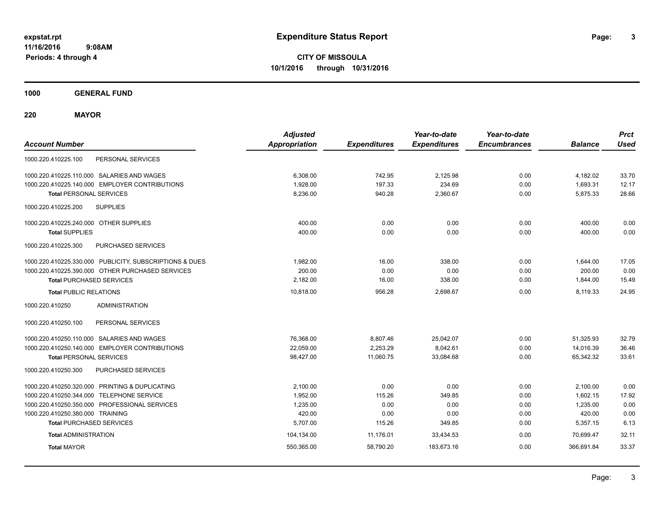**CITY OF MISSOULA 10/1/2016 through 10/31/2016**

**1000 GENERAL FUND**

**220 MAYOR**

| <b>Account Number</b>                                   | <b>Adjusted</b><br><b>Appropriation</b> | <b>Expenditures</b> | Year-to-date<br><b>Expenditures</b> | Year-to-date<br><b>Encumbrances</b> | <b>Balance</b> | <b>Prct</b><br><b>Used</b> |
|---------------------------------------------------------|-----------------------------------------|---------------------|-------------------------------------|-------------------------------------|----------------|----------------------------|
| 1000.220.410225.100<br>PERSONAL SERVICES                |                                         |                     |                                     |                                     |                |                            |
| 1000.220.410225.110.000 SALARIES AND WAGES              | 6,308.00                                | 742.95              | 2,125.98                            | 0.00                                | 4,182.02       | 33.70                      |
| 1000.220.410225.140.000 EMPLOYER CONTRIBUTIONS          | 1,928.00                                | 197.33              | 234.69                              | 0.00                                | 1,693.31       | 12.17                      |
| <b>Total PERSONAL SERVICES</b>                          | 8,236.00                                | 940.28              | 2,360.67                            | 0.00                                | 5,875.33       | 28.66                      |
| 1000.220.410225.200<br><b>SUPPLIES</b>                  |                                         |                     |                                     |                                     |                |                            |
| 1000.220.410225.240.000 OTHER SUPPLIES                  | 400.00                                  | 0.00                | 0.00                                | 0.00                                | 400.00         | 0.00                       |
| <b>Total SUPPLIES</b>                                   | 400.00                                  | 0.00                | 0.00                                | 0.00                                | 400.00         | 0.00                       |
| 1000.220.410225.300<br>PURCHASED SERVICES               |                                         |                     |                                     |                                     |                |                            |
| 1000.220.410225.330.000 PUBLICITY, SUBSCRIPTIONS & DUES | 1,982.00                                | 16.00               | 338.00                              | 0.00                                | 1,644.00       | 17.05                      |
| 1000.220.410225.390.000 OTHER PURCHASED SERVICES        | 200.00                                  | 0.00                | 0.00                                | 0.00                                | 200.00         | 0.00                       |
| <b>Total PURCHASED SERVICES</b>                         | 2,182.00                                | 16.00               | 338.00                              | 0.00                                | 1,844.00       | 15.49                      |
| <b>Total PUBLIC RELATIONS</b>                           | 10,818.00                               | 956.28              | 2,698.67                            | 0.00                                | 8,119.33       | 24.95                      |
| <b>ADMINISTRATION</b><br>1000.220.410250                |                                         |                     |                                     |                                     |                |                            |
| PERSONAL SERVICES<br>1000.220.410250.100                |                                         |                     |                                     |                                     |                |                            |
| 1000.220.410250.110.000 SALARIES AND WAGES              | 76,368.00                               | 8,807.46            | 25,042.07                           | 0.00                                | 51,325.93      | 32.79                      |
| 1000.220.410250.140.000 EMPLOYER CONTRIBUTIONS          | 22,059.00                               | 2,253.29            | 8,042.61                            | 0.00                                | 14,016.39      | 36.46                      |
| <b>Total PERSONAL SERVICES</b>                          | 98,427.00                               | 11,060.75           | 33,084.68                           | 0.00                                | 65,342.32      | 33.61                      |
| 1000.220.410250.300<br>PURCHASED SERVICES               |                                         |                     |                                     |                                     |                |                            |
| 1000.220.410250.320.000 PRINTING & DUPLICATING          | 2.100.00                                | 0.00                | 0.00                                | 0.00                                | 2,100.00       | 0.00                       |
| 1000.220.410250.344.000 TELEPHONE SERVICE               | 1,952.00                                | 115.26              | 349.85                              | 0.00                                | 1.602.15       | 17.92                      |
| 1000.220.410250.350.000 PROFESSIONAL SERVICES           | 1,235.00                                | 0.00                | 0.00                                | 0.00                                | 1,235.00       | 0.00                       |
| 1000.220.410250.380.000 TRAINING                        | 420.00                                  | 0.00                | 0.00                                | 0.00                                | 420.00         | 0.00                       |
| <b>Total PURCHASED SERVICES</b>                         | 5,707.00                                | 115.26              | 349.85                              | 0.00                                | 5,357.15       | 6.13                       |
| <b>Total ADMINISTRATION</b>                             | 104,134.00                              | 11,176.01           | 33,434.53                           | 0.00                                | 70.699.47      | 32.11                      |
| <b>Total MAYOR</b>                                      | 550,365.00                              | 58,790.20           | 183,673.16                          | 0.00                                | 366,691.84     | 33.37                      |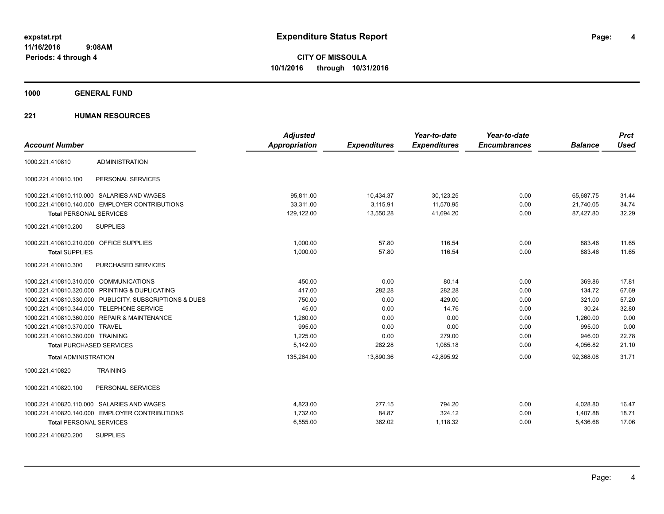**1000 GENERAL FUND**

| <b>Account Number</b>                                   | <b>Adjusted</b><br><b>Appropriation</b> | <b>Expenditures</b> | Year-to-date<br><b>Expenditures</b> | Year-to-date<br><b>Encumbrances</b> | <b>Balance</b> | <b>Prct</b><br><b>Used</b> |
|---------------------------------------------------------|-----------------------------------------|---------------------|-------------------------------------|-------------------------------------|----------------|----------------------------|
| <b>ADMINISTRATION</b>                                   |                                         |                     |                                     |                                     |                |                            |
| 1000.221.410810                                         |                                         |                     |                                     |                                     |                |                            |
| PERSONAL SERVICES<br>1000.221.410810.100                |                                         |                     |                                     |                                     |                |                            |
| 1000.221.410810.110.000 SALARIES AND WAGES              | 95.811.00                               | 10,434.37           | 30,123.25                           | 0.00                                | 65.687.75      | 31.44                      |
| 1000.221.410810.140.000 EMPLOYER CONTRIBUTIONS          | 33,311.00                               | 3,115.91            | 11,570.95                           | 0.00                                | 21,740.05      | 34.74                      |
| <b>Total PERSONAL SERVICES</b>                          | 129,122.00                              | 13,550.28           | 41,694.20                           | 0.00                                | 87,427.80      | 32.29                      |
| 1000.221.410810.200<br><b>SUPPLIES</b>                  |                                         |                     |                                     |                                     |                |                            |
| 1000.221.410810.210.000 OFFICE SUPPLIES                 | 1,000.00                                | 57.80               | 116.54                              | 0.00                                | 883.46         | 11.65                      |
| <b>Total SUPPLIES</b>                                   | 1,000.00                                | 57.80               | 116.54                              | 0.00                                | 883.46         | 11.65                      |
| 1000.221.410810.300<br><b>PURCHASED SERVICES</b>        |                                         |                     |                                     |                                     |                |                            |
| 1000.221.410810.310.000 COMMUNICATIONS                  | 450.00                                  | 0.00                | 80.14                               | 0.00                                | 369.86         | 17.81                      |
| 1000.221.410810.320.000 PRINTING & DUPLICATING          | 417.00                                  | 282.28              | 282.28                              | 0.00                                | 134.72         | 67.69                      |
| 1000.221.410810.330.000 PUBLICITY, SUBSCRIPTIONS & DUES | 750.00                                  | 0.00                | 429.00                              | 0.00                                | 321.00         | 57.20                      |
| 1000.221.410810.344.000 TELEPHONE SERVICE               | 45.00                                   | 0.00                | 14.76                               | 0.00                                | 30.24          | 32.80                      |
| 1000.221.410810.360.000 REPAIR & MAINTENANCE            | 1.260.00                                | 0.00                | 0.00                                | 0.00                                | 1.260.00       | 0.00                       |
| 1000.221.410810.370.000 TRAVEL                          | 995.00                                  | 0.00                | 0.00                                | 0.00                                | 995.00         | 0.00                       |
| 1000.221.410810.380.000 TRAINING                        | 1,225.00                                | 0.00                | 279.00                              | 0.00                                | 946.00         | 22.78                      |
| <b>Total PURCHASED SERVICES</b>                         | 5,142.00                                | 282.28              | 1,085.18                            | 0.00                                | 4,056.82       | 21.10                      |
| <b>Total ADMINISTRATION</b>                             | 135,264.00                              | 13,890.36           | 42,895.92                           | 0.00                                | 92,368.08      | 31.71                      |
| <b>TRAINING</b><br>1000.221.410820                      |                                         |                     |                                     |                                     |                |                            |
| 1000.221.410820.100<br>PERSONAL SERVICES                |                                         |                     |                                     |                                     |                |                            |
| 1000.221.410820.110.000 SALARIES AND WAGES              | 4,823.00                                | 277.15              | 794.20                              | 0.00                                | 4,028.80       | 16.47                      |
| 1000.221.410820.140.000 EMPLOYER CONTRIBUTIONS          | 1,732.00                                | 84.87               | 324.12                              | 0.00                                | 1,407.88       | 18.71                      |
| <b>Total PERSONAL SERVICES</b>                          | 6,555.00                                | 362.02              | 1,118.32                            | 0.00                                | 5,436.68       | 17.06                      |
| <b>SUPPLIES</b><br>1000.221.410820.200                  |                                         |                     |                                     |                                     |                |                            |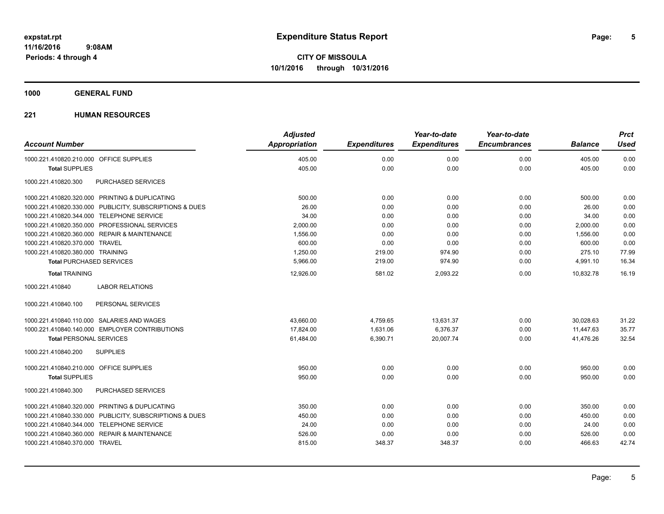**1000 GENERAL FUND**

| <b>Account Number</b>                                   | <b>Adjusted</b><br><b>Appropriation</b> | <b>Expenditures</b> | Year-to-date<br><b>Expenditures</b> | Year-to-date<br><b>Encumbrances</b> | <b>Balance</b> | <b>Prct</b><br><b>Used</b> |
|---------------------------------------------------------|-----------------------------------------|---------------------|-------------------------------------|-------------------------------------|----------------|----------------------------|
| 1000.221.410820.210.000 OFFICE SUPPLIES                 | 405.00                                  | 0.00                | 0.00                                | 0.00                                | 405.00         | 0.00                       |
| <b>Total SUPPLIES</b>                                   | 405.00                                  | 0.00                | 0.00                                | 0.00                                | 405.00         | 0.00                       |
| 1000.221.410820.300<br>PURCHASED SERVICES               |                                         |                     |                                     |                                     |                |                            |
| 1000.221.410820.320.000 PRINTING & DUPLICATING          | 500.00                                  | 0.00                | 0.00                                | 0.00                                | 500.00         | 0.00                       |
| 1000.221.410820.330.000 PUBLICITY, SUBSCRIPTIONS & DUES | 26.00                                   | 0.00                | 0.00                                | 0.00                                | 26.00          | 0.00                       |
| 1000.221.410820.344.000 TELEPHONE SERVICE               | 34.00                                   | 0.00                | 0.00                                | 0.00                                | 34.00          | 0.00                       |
| 1000.221.410820.350.000 PROFESSIONAL SERVICES           | 2,000.00                                | 0.00                | 0.00                                | 0.00                                | 2,000.00       | 0.00                       |
| 1000.221.410820.360.000 REPAIR & MAINTENANCE            | 1,556.00                                | 0.00                | 0.00                                | 0.00                                | 1,556.00       | 0.00                       |
| 1000.221.410820.370.000 TRAVEL                          | 600.00                                  | 0.00                | 0.00                                | 0.00                                | 600.00         | 0.00                       |
| 1000.221.410820.380.000 TRAINING                        | 1,250.00                                | 219.00              | 974.90                              | 0.00                                | 275.10         | 77.99                      |
| <b>Total PURCHASED SERVICES</b>                         | 5,966.00                                | 219.00              | 974.90                              | 0.00                                | 4,991.10       | 16.34                      |
| <b>Total TRAINING</b>                                   | 12,926.00                               | 581.02              | 2,093.22                            | 0.00                                | 10,832.78      | 16.19                      |
| <b>LABOR RELATIONS</b><br>1000.221.410840               |                                         |                     |                                     |                                     |                |                            |
| PERSONAL SERVICES<br>1000.221.410840.100                |                                         |                     |                                     |                                     |                |                            |
| 1000.221.410840.110.000 SALARIES AND WAGES              | 43,660.00                               | 4,759.65            | 13,631.37                           | 0.00                                | 30,028.63      | 31.22                      |
| 1000.221.410840.140.000 EMPLOYER CONTRIBUTIONS          | 17.824.00                               | 1.631.06            | 6.376.37                            | 0.00                                | 11.447.63      | 35.77                      |
| <b>Total PERSONAL SERVICES</b>                          | 61,484.00                               | 6,390.71            | 20,007.74                           | 0.00                                | 41,476.26      | 32.54                      |
| 1000.221.410840.200<br><b>SUPPLIES</b>                  |                                         |                     |                                     |                                     |                |                            |
| 1000.221.410840.210.000 OFFICE SUPPLIES                 | 950.00                                  | 0.00                | 0.00                                | 0.00                                | 950.00         | 0.00                       |
| <b>Total SUPPLIES</b>                                   | 950.00                                  | 0.00                | 0.00                                | 0.00                                | 950.00         | 0.00                       |
| PURCHASED SERVICES<br>1000.221.410840.300               |                                         |                     |                                     |                                     |                |                            |
| 1000.221.410840.320.000 PRINTING & DUPLICATING          | 350.00                                  | 0.00                | 0.00                                | 0.00                                | 350.00         | 0.00                       |
| 1000.221.410840.330.000 PUBLICITY, SUBSCRIPTIONS & DUES | 450.00                                  | 0.00                | 0.00                                | 0.00                                | 450.00         | 0.00                       |
| 1000.221.410840.344.000 TELEPHONE SERVICE               | 24.00                                   | 0.00                | 0.00                                | 0.00                                | 24.00          | 0.00                       |
| 1000.221.410840.360.000 REPAIR & MAINTENANCE            | 526.00                                  | 0.00                | 0.00                                | 0.00                                | 526.00         | 0.00                       |
| 1000.221.410840.370.000 TRAVEL                          | 815.00                                  | 348.37              | 348.37                              | 0.00                                | 466.63         | 42.74                      |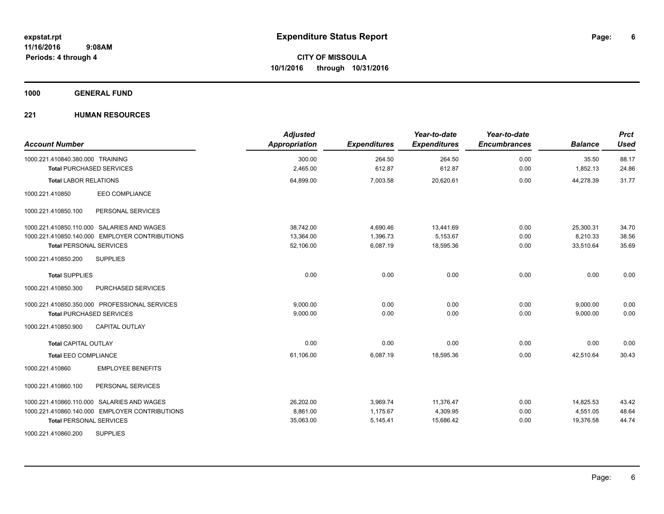**1000 GENERAL FUND**

| <b>Account Number</b>                          | <b>Adjusted</b><br><b>Appropriation</b> | <b>Expenditures</b> | Year-to-date<br><b>Expenditures</b> | Year-to-date<br><b>Encumbrances</b> | <b>Balance</b> | <b>Prct</b><br><b>Used</b> |
|------------------------------------------------|-----------------------------------------|---------------------|-------------------------------------|-------------------------------------|----------------|----------------------------|
| 1000.221.410840.380.000 TRAINING               | 300.00                                  | 264.50              | 264.50                              | 0.00                                | 35.50          | 88.17                      |
| <b>Total PURCHASED SERVICES</b>                | 2,465.00                                | 612.87              | 612.87                              | 0.00                                | 1,852.13       | 24.86                      |
| <b>Total LABOR RELATIONS</b>                   | 64,899.00                               | 7,003.58            | 20,620.61                           | 0.00                                | 44,278.39      | 31.77                      |
| EEO COMPLIANCE<br>1000.221.410850              |                                         |                     |                                     |                                     |                |                            |
| 1000.221.410850.100<br>PERSONAL SERVICES       |                                         |                     |                                     |                                     |                |                            |
| 1000.221.410850.110.000 SALARIES AND WAGES     | 38,742.00                               | 4,690.46            | 13,441.69                           | 0.00                                | 25,300.31      | 34.70                      |
| 1000.221.410850.140.000 EMPLOYER CONTRIBUTIONS | 13,364.00                               | 1,396.73            | 5,153.67                            | 0.00                                | 8,210.33       | 38.56                      |
| <b>Total PERSONAL SERVICES</b>                 | 52,106.00                               | 6,087.19            | 18,595.36                           | 0.00                                | 33,510.64      | 35.69                      |
| 1000.221.410850.200<br><b>SUPPLIES</b>         |                                         |                     |                                     |                                     |                |                            |
| <b>Total SUPPLIES</b>                          | 0.00                                    | 0.00                | 0.00                                | 0.00                                | 0.00           | 0.00                       |
| PURCHASED SERVICES<br>1000.221.410850.300      |                                         |                     |                                     |                                     |                |                            |
| 1000.221.410850.350.000 PROFESSIONAL SERVICES  | 9,000.00                                | 0.00                | 0.00                                | 0.00                                | 9,000.00       | 0.00                       |
| <b>Total PURCHASED SERVICES</b>                | 9,000.00                                | 0.00                | 0.00                                | 0.00                                | 9,000.00       | 0.00                       |
| <b>CAPITAL OUTLAY</b><br>1000.221.410850.900   |                                         |                     |                                     |                                     |                |                            |
| <b>Total CAPITAL OUTLAY</b>                    | 0.00                                    | 0.00                | 0.00                                | 0.00                                | 0.00           | 0.00                       |
| <b>Total EEO COMPLIANCE</b>                    | 61,106.00                               | 6,087.19            | 18,595.36                           | 0.00                                | 42.510.64      | 30.43                      |
| 1000.221.410860<br><b>EMPLOYEE BENEFITS</b>    |                                         |                     |                                     |                                     |                |                            |
| 1000.221.410860.100<br>PERSONAL SERVICES       |                                         |                     |                                     |                                     |                |                            |
| 1000.221.410860.110.000 SALARIES AND WAGES     | 26,202.00                               | 3,969.74            | 11,376.47                           | 0.00                                | 14,825.53      | 43.42                      |
| 1000.221.410860.140.000 EMPLOYER CONTRIBUTIONS | 8.861.00                                | 1.175.67            | 4,309.95                            | 0.00                                | 4,551.05       | 48.64                      |
| <b>Total PERSONAL SERVICES</b>                 | 35,063.00                               | 5,145.41            | 15,686.42                           | 0.00                                | 19,376.58      | 44.74                      |
| <b>SUPPLIES</b><br>1000.221.410860.200         |                                         |                     |                                     |                                     |                |                            |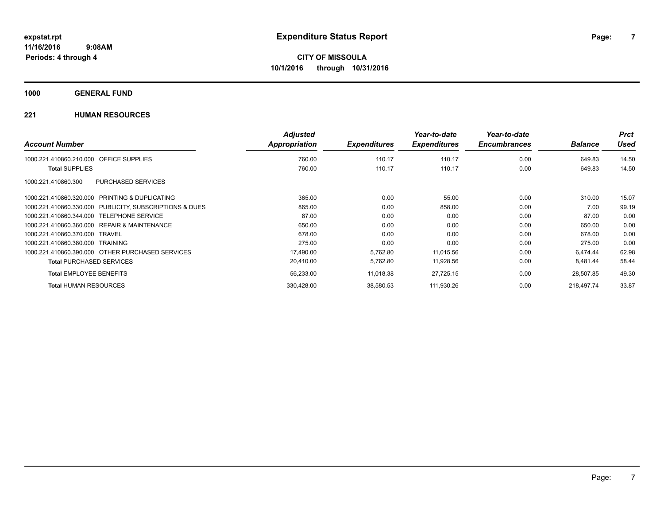**1000 GENERAL FUND**

|                                                              | <b>Adjusted</b> |                     | Year-to-date        | Year-to-date        |                | <b>Prct</b> |
|--------------------------------------------------------------|-----------------|---------------------|---------------------|---------------------|----------------|-------------|
| <b>Account Number</b>                                        | Appropriation   | <b>Expenditures</b> | <b>Expenditures</b> | <b>Encumbrances</b> | <b>Balance</b> | Used        |
| <b>OFFICE SUPPLIES</b><br>1000.221.410860.210.000            | 760.00          | 110.17              | 110.17              | 0.00                | 649.83         | 14.50       |
| <b>Total SUPPLIES</b>                                        | 760.00          | 110.17              | 110.17              | 0.00                | 649.83         | 14.50       |
| <b>PURCHASED SERVICES</b><br>1000.221.410860.300             |                 |                     |                     |                     |                |             |
| 1000.221.410860.320.000<br><b>PRINTING &amp; DUPLICATING</b> | 365.00          | 0.00                | 55.00               | 0.00                | 310.00         | 15.07       |
| 1000.221.410860.330.000<br>PUBLICITY, SUBSCRIPTIONS & DUES   | 865.00          | 0.00                | 858.00              | 0.00                | 7.00           | 99.19       |
| <b>TELEPHONE SERVICE</b><br>1000.221.410860.344.000          | 87.00           | 0.00                | 0.00                | 0.00                | 87.00          | 0.00        |
| <b>REPAIR &amp; MAINTENANCE</b><br>1000.221.410860.360.000   | 650.00          | 0.00                | 0.00                | 0.00                | 650.00         | 0.00        |
| 1000.221.410860.370.000<br>TRAVEL                            | 678.00          | 0.00                | 0.00                | 0.00                | 678.00         | 0.00        |
| 1000.221.410860.380.000<br>TRAINING                          | 275.00          | 0.00                | 0.00                | 0.00                | 275.00         | 0.00        |
| 1000.221.410860.390.000 OTHER PURCHASED SERVICES             | 17,490.00       | 5,762.80            | 11,015.56           | 0.00                | 6.474.44       | 62.98       |
| <b>Total PURCHASED SERVICES</b>                              | 20,410.00       | 5,762.80            | 11,928.56           | 0.00                | 8,481.44       | 58.44       |
| <b>Total EMPLOYEE BENEFITS</b>                               | 56,233.00       | 11,018.38           | 27,725.15           | 0.00                | 28,507.85      | 49.30       |
| <b>Total HUMAN RESOURCES</b>                                 | 330,428.00      | 38,580.53           | 111,930.26          | 0.00                | 218.497.74     | 33.87       |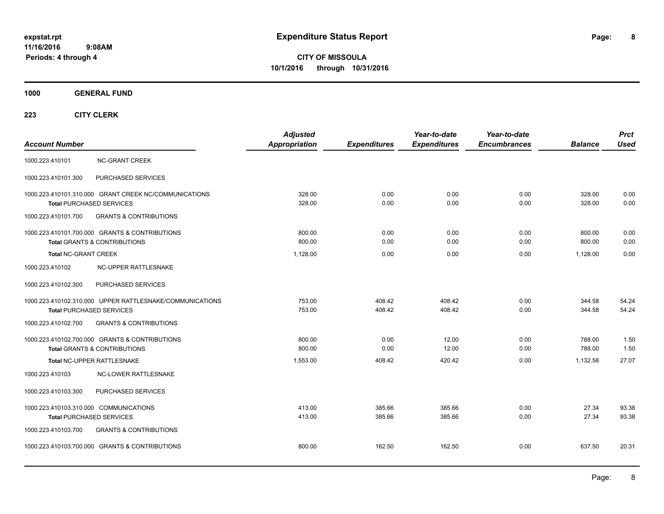**CITY OF MISSOULA 10/1/2016 through 10/31/2016**

**1000 GENERAL FUND**

| <b>Account Number</b>                                                                       | Adjusted<br><b>Appropriation</b> | <b>Expenditures</b> | Year-to-date<br><b>Expenditures</b> | Year-to-date<br><b>Encumbrances</b> | <b>Balance</b>   | <b>Prct</b><br><b>Used</b> |
|---------------------------------------------------------------------------------------------|----------------------------------|---------------------|-------------------------------------|-------------------------------------|------------------|----------------------------|
| 1000.223.410101<br><b>NC-GRANT CREEK</b>                                                    |                                  |                     |                                     |                                     |                  |                            |
| 1000.223.410101.300<br>PURCHASED SERVICES                                                   |                                  |                     |                                     |                                     |                  |                            |
| 1000.223.410101.310.000 GRANT CREEK NC/COMMUNICATIONS<br><b>Total PURCHASED SERVICES</b>    | 328.00<br>328.00                 | 0.00<br>0.00        | 0.00<br>0.00                        | 0.00<br>0.00                        | 328.00<br>328.00 | 0.00<br>0.00               |
| <b>GRANTS &amp; CONTRIBUTIONS</b><br>1000.223.410101.700                                    |                                  |                     |                                     |                                     |                  |                            |
| 1000.223.410101.700.000 GRANTS & CONTRIBUTIONS<br><b>Total GRANTS &amp; CONTRIBUTIONS</b>   | 800.00<br>800.00                 | 0.00<br>0.00        | 0.00<br>0.00                        | 0.00<br>0.00                        | 800.00<br>800.00 | 0.00<br>0.00               |
| <b>Total NC-GRANT CREEK</b>                                                                 | 1,128.00                         | 0.00                | 0.00                                | 0.00                                | 1,128.00         | 0.00                       |
| NC-UPPER RATTLESNAKE<br>1000.223.410102                                                     |                                  |                     |                                     |                                     |                  |                            |
| 1000.223.410102.300<br>PURCHASED SERVICES                                                   |                                  |                     |                                     |                                     |                  |                            |
| 1000.223.410102.310.000 UPPER RATTLESNAKE/COMMUNICATIONS<br><b>Total PURCHASED SERVICES</b> | 753.00<br>753.00                 | 408.42<br>408.42    | 408.42<br>408.42                    | 0.00<br>0.00                        | 344.58<br>344.58 | 54.24<br>54.24             |
| 1000.223.410102.700<br><b>GRANTS &amp; CONTRIBUTIONS</b>                                    |                                  |                     |                                     |                                     |                  |                            |
| 1000.223.410102.700.000 GRANTS & CONTRIBUTIONS<br><b>Total GRANTS &amp; CONTRIBUTIONS</b>   | 800.00<br>800.00                 | 0.00<br>0.00        | 12.00<br>12.00                      | 0.00<br>0.00                        | 788.00<br>788.00 | 1.50<br>1.50               |
| Total NC-UPPER RATTLESNAKE                                                                  | 1,553.00                         | 408.42              | 420.42                              | 0.00                                | 1,132.58         | 27.07                      |
| NC-LOWER RATTLESNAKE<br>1000.223.410103                                                     |                                  |                     |                                     |                                     |                  |                            |
| PURCHASED SERVICES<br>1000.223.410103.300                                                   |                                  |                     |                                     |                                     |                  |                            |
| 1000.223.410103.310.000 COMMUNICATIONS<br><b>Total PURCHASED SERVICES</b>                   | 413.00<br>413.00                 | 385.66<br>385.66    | 385.66<br>385.66                    | 0.00<br>0.00                        | 27.34<br>27.34   | 93.38<br>93.38             |
| 1000.223.410103.700<br><b>GRANTS &amp; CONTRIBUTIONS</b>                                    |                                  |                     |                                     |                                     |                  |                            |
| 1000.223.410103.700.000 GRANTS & CONTRIBUTIONS                                              | 800.00                           | 162.50              | 162.50                              | 0.00                                | 637.50           | 20.31                      |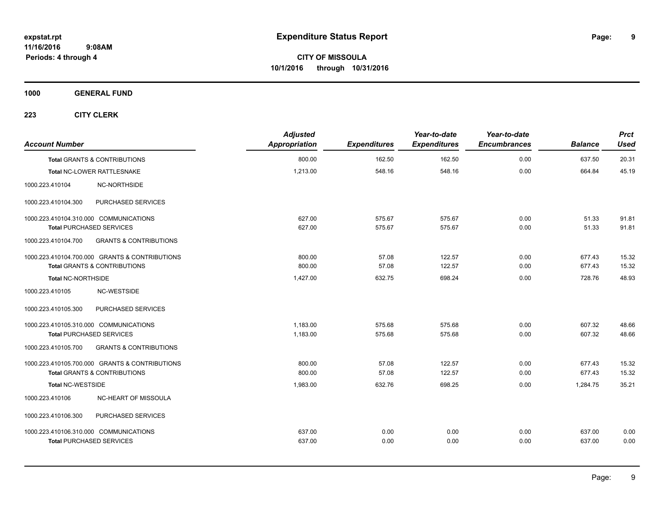**1000 GENERAL FUND**

| <b>Account Number</b>                  |                                                | <b>Adjusted</b><br>Appropriation | <b>Expenditures</b> | Year-to-date<br><b>Expenditures</b> | Year-to-date<br><b>Encumbrances</b> | <b>Balance</b> | <b>Prct</b><br><b>Used</b> |
|----------------------------------------|------------------------------------------------|----------------------------------|---------------------|-------------------------------------|-------------------------------------|----------------|----------------------------|
|                                        | <b>Total GRANTS &amp; CONTRIBUTIONS</b>        | 800.00                           | 162.50              | 162.50                              | 0.00                                | 637.50         | 20.31                      |
| Total NC-LOWER RATTLESNAKE             |                                                | 1,213.00                         | 548.16              | 548.16                              | 0.00                                | 664.84         | 45.19                      |
| 1000.223.410104                        | NC-NORTHSIDE                                   |                                  |                     |                                     |                                     |                |                            |
| 1000.223.410104.300                    | PURCHASED SERVICES                             |                                  |                     |                                     |                                     |                |                            |
| 1000.223.410104.310.000 COMMUNICATIONS |                                                | 627.00                           | 575.67              | 575.67                              | 0.00                                | 51.33          | 91.81                      |
| <b>Total PURCHASED SERVICES</b>        |                                                | 627.00                           | 575.67              | 575.67                              | 0.00                                | 51.33          | 91.81                      |
| 1000.223.410104.700                    | <b>GRANTS &amp; CONTRIBUTIONS</b>              |                                  |                     |                                     |                                     |                |                            |
|                                        | 1000.223.410104.700.000 GRANTS & CONTRIBUTIONS | 800.00                           | 57.08               | 122.57                              | 0.00                                | 677.43         | 15.32                      |
|                                        | <b>Total GRANTS &amp; CONTRIBUTIONS</b>        | 800.00                           | 57.08               | 122.57                              | 0.00                                | 677.43         | 15.32                      |
| <b>Total NC-NORTHSIDE</b>              |                                                | 1,427.00                         | 632.75              | 698.24                              | 0.00                                | 728.76         | 48.93                      |
| 1000.223.410105                        | NC-WESTSIDE                                    |                                  |                     |                                     |                                     |                |                            |
| 1000.223.410105.300                    | PURCHASED SERVICES                             |                                  |                     |                                     |                                     |                |                            |
| 1000.223.410105.310.000 COMMUNICATIONS |                                                | 1,183.00                         | 575.68              | 575.68                              | 0.00                                | 607.32         | 48.66                      |
| <b>Total PURCHASED SERVICES</b>        |                                                | 1,183.00                         | 575.68              | 575.68                              | 0.00                                | 607.32         | 48.66                      |
| 1000.223.410105.700                    | <b>GRANTS &amp; CONTRIBUTIONS</b>              |                                  |                     |                                     |                                     |                |                            |
|                                        | 1000.223.410105.700.000 GRANTS & CONTRIBUTIONS | 800.00                           | 57.08               | 122.57                              | 0.00                                | 677.43         | 15.32                      |
|                                        | <b>Total GRANTS &amp; CONTRIBUTIONS</b>        | 800.00                           | 57.08               | 122.57                              | 0.00                                | 677.43         | 15.32                      |
| <b>Total NC-WESTSIDE</b>               |                                                | 1,983.00                         | 632.76              | 698.25                              | 0.00                                | 1,284.75       | 35.21                      |
| 1000.223.410106                        | NC-HEART OF MISSOULA                           |                                  |                     |                                     |                                     |                |                            |
| 1000.223.410106.300                    | PURCHASED SERVICES                             |                                  |                     |                                     |                                     |                |                            |
| 1000.223.410106.310.000 COMMUNICATIONS |                                                | 637.00                           | 0.00                | 0.00                                | 0.00                                | 637.00         | 0.00                       |
| <b>Total PURCHASED SERVICES</b>        |                                                | 637.00                           | 0.00                | 0.00                                | 0.00                                | 637.00         | 0.00                       |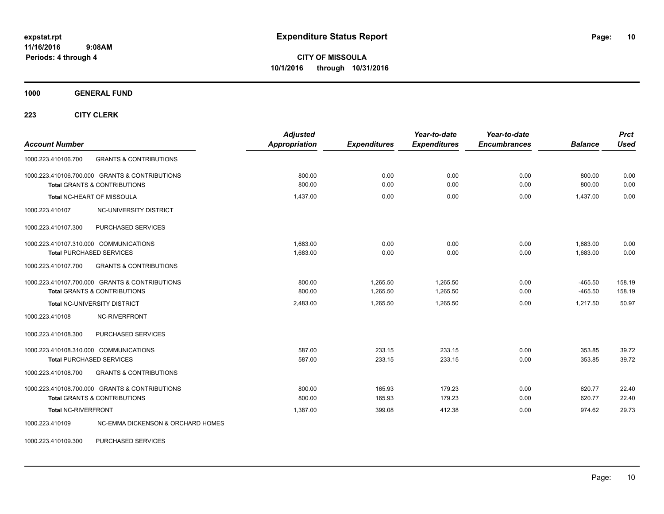**CITY OF MISSOULA 10/1/2016 through 10/31/2016**

**1000 GENERAL FUND**

**223 CITY CLERK**

| <b>Account Number</b>                                                                     | <b>Adjusted</b><br><b>Appropriation</b> | <b>Expenditures</b>  | Year-to-date<br><b>Expenditures</b> | Year-to-date<br><b>Encumbrances</b> | <b>Balance</b>         | <b>Prct</b><br><b>Used</b> |
|-------------------------------------------------------------------------------------------|-----------------------------------------|----------------------|-------------------------------------|-------------------------------------|------------------------|----------------------------|
| <b>GRANTS &amp; CONTRIBUTIONS</b><br>1000.223.410106.700                                  |                                         |                      |                                     |                                     |                        |                            |
| 1000.223.410106.700.000 GRANTS & CONTRIBUTIONS<br><b>Total GRANTS &amp; CONTRIBUTIONS</b> | 800.00<br>800.00                        | 0.00<br>0.00         | 0.00<br>0.00                        | 0.00<br>0.00                        | 800.00<br>800.00       | 0.00<br>0.00               |
| Total NC-HEART OF MISSOULA                                                                | 1,437.00                                | 0.00                 | 0.00                                | 0.00                                | 1,437.00               | 0.00                       |
| 1000.223.410107<br><b>NC-UNIVERSITY DISTRICT</b>                                          |                                         |                      |                                     |                                     |                        |                            |
| 1000.223.410107.300<br>PURCHASED SERVICES                                                 |                                         |                      |                                     |                                     |                        |                            |
| 1000.223.410107.310.000 COMMUNICATIONS<br><b>Total PURCHASED SERVICES</b>                 | 1.683.00<br>1,683.00                    | 0.00<br>0.00         | 0.00<br>0.00                        | 0.00<br>0.00                        | 1,683.00<br>1,683.00   | 0.00<br>0.00               |
| 1000.223.410107.700<br><b>GRANTS &amp; CONTRIBUTIONS</b>                                  |                                         |                      |                                     |                                     |                        |                            |
| 1000.223.410107.700.000 GRANTS & CONTRIBUTIONS<br><b>Total GRANTS &amp; CONTRIBUTIONS</b> | 800.00<br>800.00                        | 1.265.50<br>1,265.50 | 1.265.50<br>1,265.50                | 0.00<br>0.00                        | $-465.50$<br>$-465.50$ | 158.19<br>158.19           |
| Total NC-UNIVERSITY DISTRICT                                                              | 2,483.00                                | 1,265.50             | 1,265.50                            | 0.00                                | 1,217.50               | 50.97                      |
| 1000.223.410108<br>NC-RIVERFRONT                                                          |                                         |                      |                                     |                                     |                        |                            |
| 1000.223.410108.300<br>PURCHASED SERVICES                                                 |                                         |                      |                                     |                                     |                        |                            |
| 1000.223.410108.310.000 COMMUNICATIONS<br><b>Total PURCHASED SERVICES</b>                 | 587.00<br>587.00                        | 233.15<br>233.15     | 233.15<br>233.15                    | 0.00<br>0.00                        | 353.85<br>353.85       | 39.72<br>39.72             |
| 1000.223.410108.700<br><b>GRANTS &amp; CONTRIBUTIONS</b>                                  |                                         |                      |                                     |                                     |                        |                            |
| 1000.223.410108.700.000 GRANTS & CONTRIBUTIONS<br><b>Total GRANTS &amp; CONTRIBUTIONS</b> | 800.00<br>800.00                        | 165.93<br>165.93     | 179.23<br>179.23                    | 0.00<br>0.00                        | 620.77<br>620.77       | 22.40<br>22.40             |
| <b>Total NC-RIVERFRONT</b>                                                                | 1,387.00                                | 399.08               | 412.38                              | 0.00                                | 974.62                 | 29.73                      |
| 1000.223.410109<br>NC-EMMA DICKENSON & ORCHARD HOMES                                      |                                         |                      |                                     |                                     |                        |                            |

1000.223.410109.300 PURCHASED SERVICES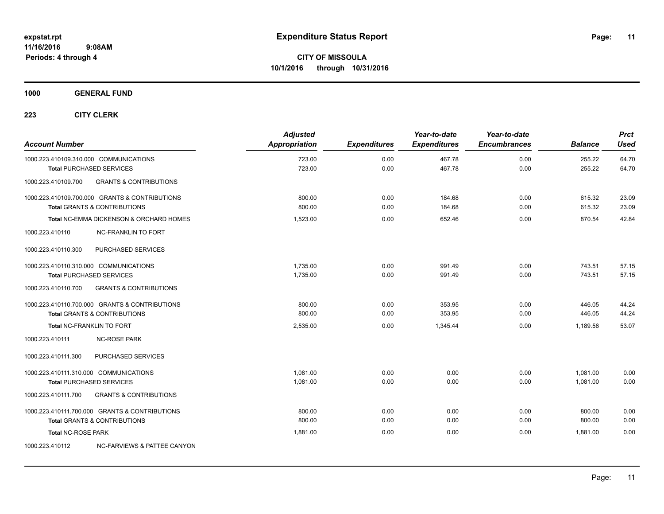### **1000 GENERAL FUND**

| <b>Account Number</b>                                                     |                                                                                           | <b>Adjusted</b><br><b>Appropriation</b> | <b>Expenditures</b> | Year-to-date<br><b>Expenditures</b> | Year-to-date<br><b>Encumbrances</b> | <b>Balance</b>       | <b>Prct</b><br><b>Used</b> |
|---------------------------------------------------------------------------|-------------------------------------------------------------------------------------------|-----------------------------------------|---------------------|-------------------------------------|-------------------------------------|----------------------|----------------------------|
| 1000.223.410109.310.000 COMMUNICATIONS<br><b>Total PURCHASED SERVICES</b> |                                                                                           | 723.00<br>723.00                        | 0.00<br>0.00        | 467.78<br>467.78                    | 0.00<br>0.00                        | 255.22<br>255.22     | 64.70<br>64.70             |
| 1000.223.410109.700                                                       | <b>GRANTS &amp; CONTRIBUTIONS</b>                                                         |                                         |                     |                                     |                                     |                      |                            |
|                                                                           | 1000.223.410109.700.000 GRANTS & CONTRIBUTIONS<br><b>Total GRANTS &amp; CONTRIBUTIONS</b> | 800.00<br>800.00                        | 0.00<br>0.00        | 184.68<br>184.68                    | 0.00<br>0.00                        | 615.32<br>615.32     | 23.09<br>23.09             |
|                                                                           | Total NC-EMMA DICKENSON & ORCHARD HOMES                                                   | 1,523.00                                | 0.00                | 652.46                              | 0.00                                | 870.54               | 42.84                      |
| 1000.223.410110                                                           | <b>NC-FRANKLIN TO FORT</b>                                                                |                                         |                     |                                     |                                     |                      |                            |
| 1000.223.410110.300                                                       | PURCHASED SERVICES                                                                        |                                         |                     |                                     |                                     |                      |                            |
| 1000.223.410110.310.000 COMMUNICATIONS<br><b>Total PURCHASED SERVICES</b> |                                                                                           | 1,735.00<br>1,735.00                    | 0.00<br>0.00        | 991.49<br>991.49                    | 0.00<br>0.00                        | 743.51<br>743.51     | 57.15<br>57.15             |
| 1000.223.410110.700                                                       | <b>GRANTS &amp; CONTRIBUTIONS</b>                                                         |                                         |                     |                                     |                                     |                      |                            |
|                                                                           | 1000.223.410110.700.000 GRANTS & CONTRIBUTIONS<br><b>Total GRANTS &amp; CONTRIBUTIONS</b> | 800.00<br>800.00                        | 0.00<br>0.00        | 353.95<br>353.95                    | 0.00<br>0.00                        | 446.05<br>446.05     | 44.24<br>44.24             |
| Total NC-FRANKLIN TO FORT                                                 |                                                                                           | 2,535.00                                | 0.00                | 1,345.44                            | 0.00                                | 1,189.56             | 53.07                      |
| 1000.223.410111                                                           | <b>NC-ROSE PARK</b>                                                                       |                                         |                     |                                     |                                     |                      |                            |
| 1000.223.410111.300                                                       | PURCHASED SERVICES                                                                        |                                         |                     |                                     |                                     |                      |                            |
| 1000.223.410111.310.000 COMMUNICATIONS<br><b>Total PURCHASED SERVICES</b> |                                                                                           | 1,081.00<br>1,081.00                    | 0.00<br>0.00        | 0.00<br>0.00                        | 0.00<br>0.00                        | 1,081.00<br>1.081.00 | 0.00<br>0.00               |
| 1000.223.410111.700                                                       | <b>GRANTS &amp; CONTRIBUTIONS</b>                                                         |                                         |                     |                                     |                                     |                      |                            |
|                                                                           | 1000.223.410111.700.000 GRANTS & CONTRIBUTIONS<br><b>Total GRANTS &amp; CONTRIBUTIONS</b> | 800.00<br>800.00                        | 0.00<br>0.00        | 0.00<br>0.00                        | 0.00<br>0.00                        | 800.00<br>800.00     | 0.00<br>0.00               |
| <b>Total NC-ROSE PARK</b>                                                 |                                                                                           | 1,881.00                                | 0.00                | 0.00                                | 0.00                                | 1,881.00             | 0.00                       |
| 1000.223.410112                                                           | <b>NC-FARVIEWS &amp; PATTEE CANYON</b>                                                    |                                         |                     |                                     |                                     |                      |                            |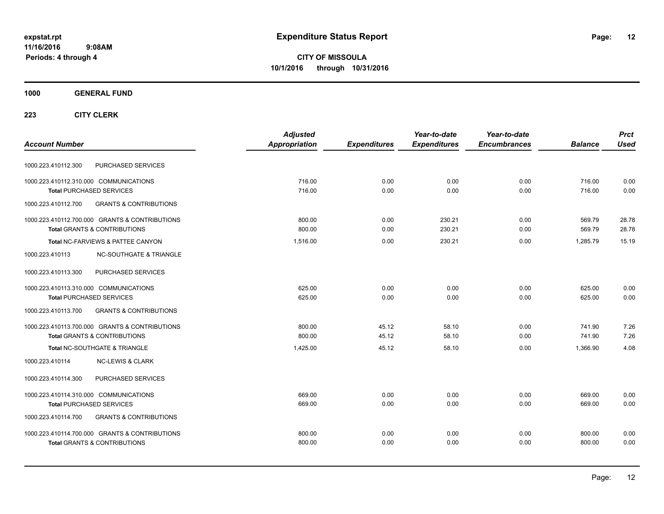**CITY OF MISSOULA 10/1/2016 through 10/31/2016**

### **1000 GENERAL FUND**

|                                                          | <b>Adjusted</b> |                     | Year-to-date        | Year-to-date        |                | <b>Prct</b> |
|----------------------------------------------------------|-----------------|---------------------|---------------------|---------------------|----------------|-------------|
| <b>Account Number</b>                                    | Appropriation   | <b>Expenditures</b> | <b>Expenditures</b> | <b>Encumbrances</b> | <b>Balance</b> | <b>Used</b> |
| PURCHASED SERVICES<br>1000.223.410112.300                |                 |                     |                     |                     |                |             |
| 1000.223.410112.310.000 COMMUNICATIONS                   | 716.00          | 0.00                | 0.00                | 0.00                | 716.00         | 0.00        |
| <b>Total PURCHASED SERVICES</b>                          | 716.00          | 0.00                | 0.00                | 0.00                | 716.00         | 0.00        |
| 1000.223.410112.700<br><b>GRANTS &amp; CONTRIBUTIONS</b> |                 |                     |                     |                     |                |             |
| 1000.223.410112.700.000 GRANTS & CONTRIBUTIONS           | 800.00          | 0.00                | 230.21              | 0.00                | 569.79         | 28.78       |
| <b>Total GRANTS &amp; CONTRIBUTIONS</b>                  | 800.00          | 0.00                | 230.21              | 0.00                | 569.79         | 28.78       |
| Total NC-FARVIEWS & PATTEE CANYON                        | 1,516.00        | 0.00                | 230.21              | 0.00                | 1.285.79       | 15.19       |
| <b>NC-SOUTHGATE &amp; TRIANGLE</b><br>1000.223.410113    |                 |                     |                     |                     |                |             |
| 1000.223.410113.300<br>PURCHASED SERVICES                |                 |                     |                     |                     |                |             |
| 1000.223.410113.310.000 COMMUNICATIONS                   | 625.00          | 0.00                | 0.00                | 0.00                | 625.00         | 0.00        |
| <b>Total PURCHASED SERVICES</b>                          | 625.00          | 0.00                | 0.00                | 0.00                | 625.00         | 0.00        |
| 1000.223.410113.700<br><b>GRANTS &amp; CONTRIBUTIONS</b> |                 |                     |                     |                     |                |             |
| 1000.223.410113.700.000 GRANTS & CONTRIBUTIONS           | 800.00          | 45.12               | 58.10               | 0.00                | 741.90         | 7.26        |
| <b>Total GRANTS &amp; CONTRIBUTIONS</b>                  | 800.00          | 45.12               | 58.10               | 0.00                | 741.90         | 7.26        |
| Total NC-SOUTHGATE & TRIANGLE                            | 1.425.00        | 45.12               | 58.10               | 0.00                | 1.366.90       | 4.08        |
| 1000.223.410114<br><b>NC-LEWIS &amp; CLARK</b>           |                 |                     |                     |                     |                |             |
| PURCHASED SERVICES<br>1000.223.410114.300                |                 |                     |                     |                     |                |             |
| 1000.223.410114.310.000 COMMUNICATIONS                   | 669.00          | 0.00                | 0.00                | 0.00                | 669.00         | 0.00        |
| <b>Total PURCHASED SERVICES</b>                          | 669.00          | 0.00                | 0.00                | 0.00                | 669.00         | 0.00        |
| <b>GRANTS &amp; CONTRIBUTIONS</b><br>1000.223.410114.700 |                 |                     |                     |                     |                |             |
| 1000.223.410114.700.000 GRANTS & CONTRIBUTIONS           | 800.00          | 0.00                | 0.00                | 0.00                | 800.00         | 0.00        |
| <b>Total GRANTS &amp; CONTRIBUTIONS</b>                  | 800.00          | 0.00                | 0.00                | 0.00                | 800.00         | 0.00        |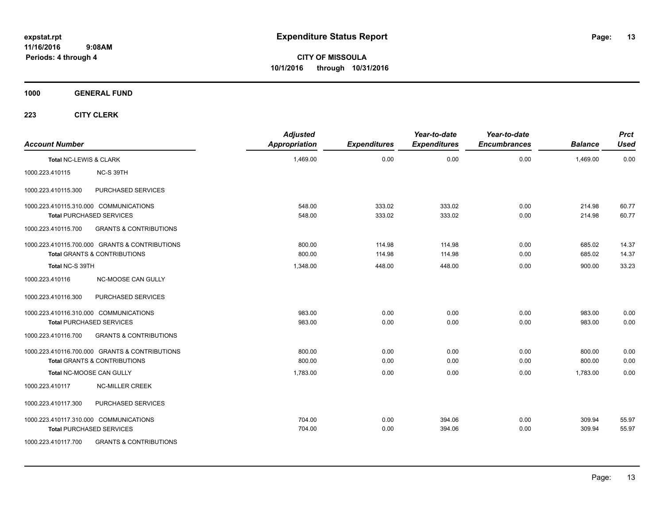**CITY OF MISSOULA 10/1/2016 through 10/31/2016**

**1000 GENERAL FUND**

| <b>Account Number</b>  |                                                                                           | <b>Adjusted</b><br><b>Appropriation</b> | <b>Expenditures</b> | Year-to-date<br><b>Expenditures</b> | Year-to-date<br><b>Encumbrances</b> | <b>Balance</b>   | <b>Prct</b><br><b>Used</b> |
|------------------------|-------------------------------------------------------------------------------------------|-----------------------------------------|---------------------|-------------------------------------|-------------------------------------|------------------|----------------------------|
| Total NC-LEWIS & CLARK |                                                                                           | 1,469.00                                | 0.00                | 0.00                                | 0.00                                | 1,469.00         | 0.00                       |
| 1000.223.410115        | NC-S 39TH                                                                                 |                                         |                     |                                     |                                     |                  |                            |
| 1000.223.410115.300    | PURCHASED SERVICES                                                                        |                                         |                     |                                     |                                     |                  |                            |
|                        | 1000.223.410115.310.000 COMMUNICATIONS<br><b>Total PURCHASED SERVICES</b>                 | 548.00<br>548.00                        | 333.02<br>333.02    | 333.02<br>333.02                    | 0.00<br>0.00                        | 214.98<br>214.98 | 60.77<br>60.77             |
| 1000.223.410115.700    | <b>GRANTS &amp; CONTRIBUTIONS</b>                                                         |                                         |                     |                                     |                                     |                  |                            |
|                        | 1000.223.410115.700.000 GRANTS & CONTRIBUTIONS<br><b>Total GRANTS &amp; CONTRIBUTIONS</b> | 800.00<br>800.00                        | 114.98<br>114.98    | 114.98<br>114.98                    | 0.00<br>0.00                        | 685.02<br>685.02 | 14.37<br>14.37             |
| Total NC-S 39TH        |                                                                                           | 1,348.00                                | 448.00              | 448.00                              | 0.00                                | 900.00           | 33.23                      |
| 1000.223.410116        | NC-MOOSE CAN GULLY                                                                        |                                         |                     |                                     |                                     |                  |                            |
| 1000.223.410116.300    | PURCHASED SERVICES                                                                        |                                         |                     |                                     |                                     |                  |                            |
|                        | 1000.223.410116.310.000 COMMUNICATIONS<br><b>Total PURCHASED SERVICES</b>                 | 983.00<br>983.00                        | 0.00<br>0.00        | 0.00<br>0.00                        | 0.00<br>0.00                        | 983.00<br>983.00 | 0.00<br>0.00               |
| 1000.223.410116.700    | <b>GRANTS &amp; CONTRIBUTIONS</b>                                                         |                                         |                     |                                     |                                     |                  |                            |
|                        | 1000.223.410116.700.000 GRANTS & CONTRIBUTIONS<br><b>Total GRANTS &amp; CONTRIBUTIONS</b> | 800.00<br>800.00                        | 0.00<br>0.00        | 0.00<br>0.00                        | 0.00<br>0.00                        | 800.00<br>800.00 | 0.00<br>0.00               |
|                        | Total NC-MOOSE CAN GULLY                                                                  | 1,783.00                                | 0.00                | 0.00                                | 0.00                                | 1,783.00         | 0.00                       |
| 1000.223.410117        | <b>NC-MILLER CREEK</b>                                                                    |                                         |                     |                                     |                                     |                  |                            |
| 1000.223.410117.300    | PURCHASED SERVICES                                                                        |                                         |                     |                                     |                                     |                  |                            |
|                        | 1000.223.410117.310.000 COMMUNICATIONS<br><b>Total PURCHASED SERVICES</b>                 | 704.00<br>704.00                        | 0.00<br>0.00        | 394.06<br>394.06                    | 0.00<br>0.00                        | 309.94<br>309.94 | 55.97<br>55.97             |
| 1000.223.410117.700    | <b>GRANTS &amp; CONTRIBUTIONS</b>                                                         |                                         |                     |                                     |                                     |                  |                            |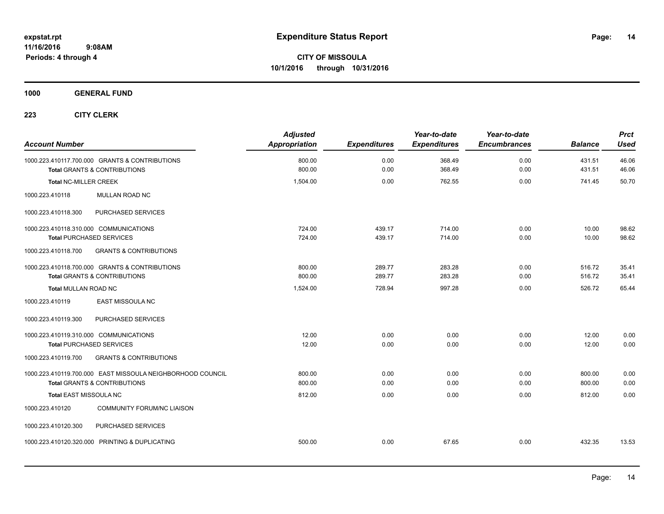### **1000 GENERAL FUND**

| <b>Account Number</b>                                                                                 | <b>Adjusted</b><br><b>Appropriation</b> | <b>Expenditures</b> | Year-to-date<br><b>Expenditures</b> | Year-to-date<br><b>Encumbrances</b> | <b>Balance</b>   | <b>Prct</b><br><b>Used</b> |
|-------------------------------------------------------------------------------------------------------|-----------------------------------------|---------------------|-------------------------------------|-------------------------------------|------------------|----------------------------|
| 1000.223.410117.700.000 GRANTS & CONTRIBUTIONS<br><b>Total GRANTS &amp; CONTRIBUTIONS</b>             | 800.00<br>800.00                        | 0.00<br>0.00        | 368.49<br>368.49                    | 0.00<br>0.00                        | 431.51<br>431.51 | 46.06<br>46.06             |
| <b>Total NC-MILLER CREEK</b>                                                                          | 1,504.00                                | 0.00                | 762.55                              | 0.00                                | 741.45           | 50.70                      |
| 1000.223.410118<br>MULLAN ROAD NC                                                                     |                                         |                     |                                     |                                     |                  |                            |
| PURCHASED SERVICES<br>1000.223.410118.300                                                             |                                         |                     |                                     |                                     |                  |                            |
| 1000.223.410118.310.000 COMMUNICATIONS<br><b>Total PURCHASED SERVICES</b>                             | 724.00<br>724.00                        | 439.17<br>439.17    | 714.00<br>714.00                    | 0.00<br>0.00                        | 10.00<br>10.00   | 98.62<br>98.62             |
| <b>GRANTS &amp; CONTRIBUTIONS</b><br>1000.223.410118.700                                              |                                         |                     |                                     |                                     |                  |                            |
| 1000.223.410118.700.000 GRANTS & CONTRIBUTIONS<br><b>Total GRANTS &amp; CONTRIBUTIONS</b>             | 800.00<br>800.00                        | 289.77<br>289.77    | 283.28<br>283.28                    | 0.00<br>0.00                        | 516.72<br>516.72 | 35.41<br>35.41             |
| <b>Total MULLAN ROAD NC</b>                                                                           | 1.524.00                                | 728.94              | 997.28                              | 0.00                                | 526.72           | 65.44                      |
| 1000.223.410119<br><b>EAST MISSOULA NC</b>                                                            |                                         |                     |                                     |                                     |                  |                            |
| PURCHASED SERVICES<br>1000.223.410119.300                                                             |                                         |                     |                                     |                                     |                  |                            |
| 1000.223.410119.310.000 COMMUNICATIONS<br><b>Total PURCHASED SERVICES</b>                             | 12.00<br>12.00                          | 0.00<br>0.00        | 0.00<br>0.00                        | 0.00<br>0.00                        | 12.00<br>12.00   | 0.00<br>0.00               |
| <b>GRANTS &amp; CONTRIBUTIONS</b><br>1000.223.410119.700                                              |                                         |                     |                                     |                                     |                  |                            |
| 1000.223.410119.700.000 EAST MISSOULA NEIGHBORHOOD COUNCIL<br><b>Total GRANTS &amp; CONTRIBUTIONS</b> | 800.00<br>800.00                        | 0.00<br>0.00        | 0.00<br>0.00                        | 0.00<br>0.00                        | 800.00<br>800.00 | 0.00<br>0.00               |
| <b>Total EAST MISSOULA NC</b>                                                                         | 812.00                                  | 0.00                | 0.00                                | 0.00                                | 812.00           | 0.00                       |
| <b>COMMUNITY FORUM/NC LIAISON</b><br>1000.223.410120                                                  |                                         |                     |                                     |                                     |                  |                            |
| PURCHASED SERVICES<br>1000.223.410120.300                                                             |                                         |                     |                                     |                                     |                  |                            |
| 1000.223.410120.320.000 PRINTING & DUPLICATING                                                        | 500.00                                  | 0.00                | 67.65                               | 0.00                                | 432.35           | 13.53                      |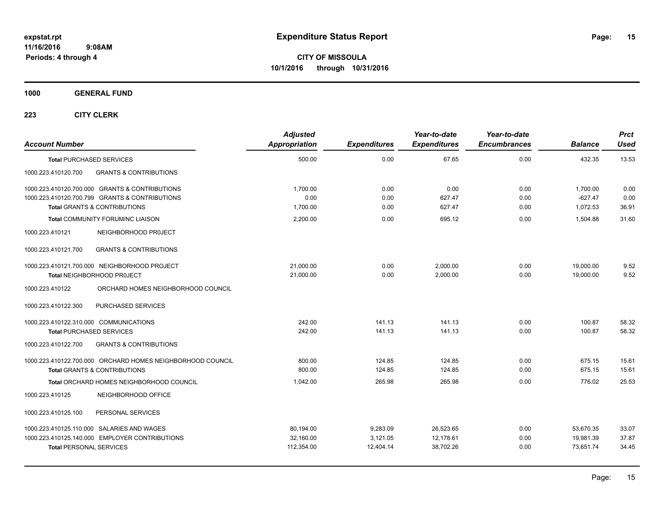**1000 GENERAL FUND**

| <b>Account Number</b>                                                                                 | <b>Adjusted</b><br><b>Appropriation</b> | <b>Expenditures</b>  | Year-to-date<br><b>Expenditures</b> | Year-to-date<br><b>Encumbrances</b> | <b>Balance</b>         | <b>Prct</b><br><b>Used</b> |
|-------------------------------------------------------------------------------------------------------|-----------------------------------------|----------------------|-------------------------------------|-------------------------------------|------------------------|----------------------------|
| <b>Total PURCHASED SERVICES</b>                                                                       | 500.00                                  | 0.00                 | 67.65                               | 0.00                                | 432.35                 | 13.53                      |
| 1000.223.410120.700<br><b>GRANTS &amp; CONTRIBUTIONS</b>                                              |                                         |                      |                                     |                                     |                        |                            |
| 1000.223.410120.700.000 GRANTS & CONTRIBUTIONS                                                        | 1,700.00                                | 0.00                 | 0.00                                | 0.00                                | 1,700.00               | 0.00                       |
| 1000.223.410120.700.799 GRANTS & CONTRIBUTIONS<br><b>Total GRANTS &amp; CONTRIBUTIONS</b>             | 0.00<br>1,700.00                        | 0.00<br>0.00         | 627.47<br>627.47                    | 0.00<br>0.00                        | $-627.47$<br>1.072.53  | 0.00<br>36.91              |
| <b>Total COMMUNITY FORUM/NC LIAISON</b>                                                               | 2.200.00                                | 0.00                 | 695.12                              | 0.00                                | 1,504.88               | 31.60                      |
| 1000.223.410121<br>NEIGHBORHOOD PROJECT                                                               |                                         |                      |                                     |                                     |                        |                            |
| <b>GRANTS &amp; CONTRIBUTIONS</b><br>1000.223.410121.700                                              |                                         |                      |                                     |                                     |                        |                            |
| 1000.223.410121.700.000 NEIGHBORHOOD PROJECT<br><b>Total NEIGHBORHOOD PROJECT</b>                     | 21,000.00<br>21,000.00                  | 0.00<br>0.00         | 2.000.00<br>2,000.00                | 0.00<br>0.00                        | 19,000.00<br>19,000.00 | 9.52<br>9.52               |
| 1000.223.410122<br>ORCHARD HOMES NEIGHBORHOOD COUNCIL                                                 |                                         |                      |                                     |                                     |                        |                            |
| PURCHASED SERVICES<br>1000.223.410122.300                                                             |                                         |                      |                                     |                                     |                        |                            |
| 1000.223.410122.310.000 COMMUNICATIONS<br><b>Total PURCHASED SERVICES</b>                             | 242.00<br>242.00                        | 141.13<br>141.13     | 141.13<br>141.13                    | 0.00<br>0.00                        | 100.87<br>100.87       | 58.32<br>58.32             |
| <b>GRANTS &amp; CONTRIBUTIONS</b><br>1000.223.410122.700                                              |                                         |                      |                                     |                                     |                        |                            |
| 1000.223.410122.700.000 ORCHARD HOMES NEIGHBORHOOD COUNCIL<br><b>Total GRANTS &amp; CONTRIBUTIONS</b> | 800.00<br>800.00                        | 124.85<br>124.85     | 124.85<br>124.85                    | 0.00<br>0.00                        | 675.15<br>675.15       | 15.61<br>15.61             |
| Total ORCHARD HOMES NEIGHBORHOOD COUNCIL                                                              | 1,042.00                                | 265.98               | 265.98                              | 0.00                                | 776.02                 | 25.53                      |
| 1000.223.410125<br>NEIGHBORHOOD OFFICE                                                                |                                         |                      |                                     |                                     |                        |                            |
| PERSONAL SERVICES<br>1000.223.410125.100                                                              |                                         |                      |                                     |                                     |                        |                            |
| 1000.223.410125.110.000 SALARIES AND WAGES<br>1000.223.410125.140.000 EMPLOYER CONTRIBUTIONS          | 80,194.00<br>32,160.00                  | 9,283.09<br>3,121.05 | 26,523.65<br>12,178.61              | 0.00<br>0.00                        | 53,670.35<br>19,981.39 | 33.07<br>37.87             |
| <b>Total PERSONAL SERVICES</b>                                                                        | 112,354.00                              | 12,404.14            | 38,702.26                           | 0.00                                | 73,651.74              | 34.45                      |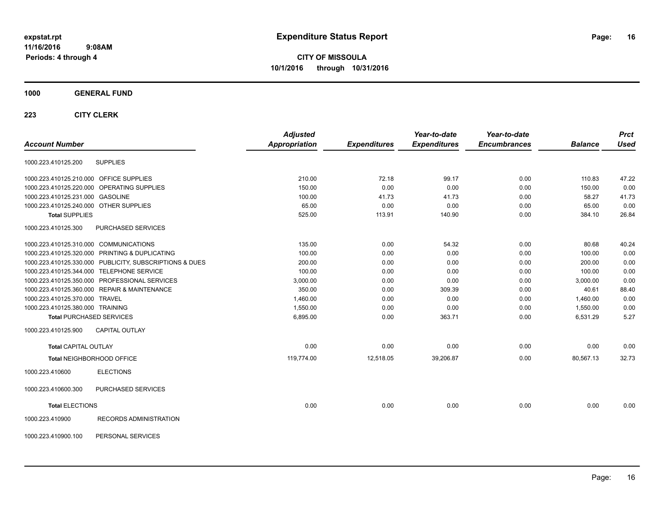**CITY OF MISSOULA 10/1/2016 through 10/31/2016**

### **1000 GENERAL FUND**

|                                         |                                                         | <b>Adjusted</b> |                     | Year-to-date        | Year-to-date        |                | <b>Prct</b> |
|-----------------------------------------|---------------------------------------------------------|-----------------|---------------------|---------------------|---------------------|----------------|-------------|
| <b>Account Number</b>                   |                                                         | Appropriation   | <b>Expenditures</b> | <b>Expenditures</b> | <b>Encumbrances</b> | <b>Balance</b> | Used        |
| 1000.223.410125.200                     | <b>SUPPLIES</b>                                         |                 |                     |                     |                     |                |             |
| 1000.223.410125.210.000 OFFICE SUPPLIES |                                                         | 210.00          | 72.18               | 99.17               | 0.00                | 110.83         | 47.22       |
|                                         | 1000.223.410125.220.000 OPERATING SUPPLIES              | 150.00          | 0.00                | 0.00                | 0.00                | 150.00         | 0.00        |
| 1000.223.410125.231.000 GASOLINE        |                                                         | 100.00          | 41.73               | 41.73               | 0.00                | 58.27          | 41.73       |
| 1000.223.410125.240.000 OTHER SUPPLIES  |                                                         | 65.00           | 0.00                | 0.00                | 0.00                | 65.00          | 0.00        |
| <b>Total SUPPLIES</b>                   |                                                         | 525.00          | 113.91              | 140.90              | 0.00                | 384.10         | 26.84       |
| 1000.223.410125.300                     | PURCHASED SERVICES                                      |                 |                     |                     |                     |                |             |
|                                         | 1000.223.410125.310.000 COMMUNICATIONS                  | 135.00          | 0.00                | 54.32               | 0.00                | 80.68          | 40.24       |
|                                         | 1000.223.410125.320.000 PRINTING & DUPLICATING          | 100.00          | 0.00                | 0.00                | 0.00                | 100.00         | 0.00        |
|                                         | 1000.223.410125.330.000 PUBLICITY, SUBSCRIPTIONS & DUES | 200.00          | 0.00                | 0.00                | 0.00                | 200.00         | 0.00        |
|                                         | 1000.223.410125.344.000 TELEPHONE SERVICE               | 100.00          | 0.00                | 0.00                | 0.00                | 100.00         | 0.00        |
|                                         | 1000.223.410125.350.000 PROFESSIONAL SERVICES           | 3,000.00        | 0.00                | 0.00                | 0.00                | 3,000.00       | 0.00        |
|                                         | 1000.223.410125.360.000 REPAIR & MAINTENANCE            | 350.00          | 0.00                | 309.39              | 0.00                | 40.61          | 88.40       |
| 1000.223.410125.370.000 TRAVEL          |                                                         | 1,460.00        | 0.00                | 0.00                | 0.00                | 1,460.00       | 0.00        |
| 1000.223.410125.380.000 TRAINING        |                                                         | 1,550.00        | 0.00                | 0.00                | 0.00                | 1,550.00       | 0.00        |
|                                         | <b>Total PURCHASED SERVICES</b>                         | 6,895.00        | 0.00                | 363.71              | 0.00                | 6,531.29       | 5.27        |
| 1000.223.410125.900                     | <b>CAPITAL OUTLAY</b>                                   |                 |                     |                     |                     |                |             |
| <b>Total CAPITAL OUTLAY</b>             |                                                         | 0.00            | 0.00                | 0.00                | 0.00                | 0.00           | 0.00        |
|                                         | Total NEIGHBORHOOD OFFICE                               | 119,774.00      | 12,518.05           | 39,206.87           | 0.00                | 80,567.13      | 32.73       |
| 1000.223.410600                         | <b>ELECTIONS</b>                                        |                 |                     |                     |                     |                |             |
| 1000.223.410600.300                     | PURCHASED SERVICES                                      |                 |                     |                     |                     |                |             |
| <b>Total ELECTIONS</b>                  |                                                         | 0.00            | 0.00                | 0.00                | 0.00                | 0.00           | 0.00        |
| 1000.223.410900                         | <b>RECORDS ADMINISTRATION</b>                           |                 |                     |                     |                     |                |             |
| 1000.223.410900.100                     | PERSONAL SERVICES                                       |                 |                     |                     |                     |                |             |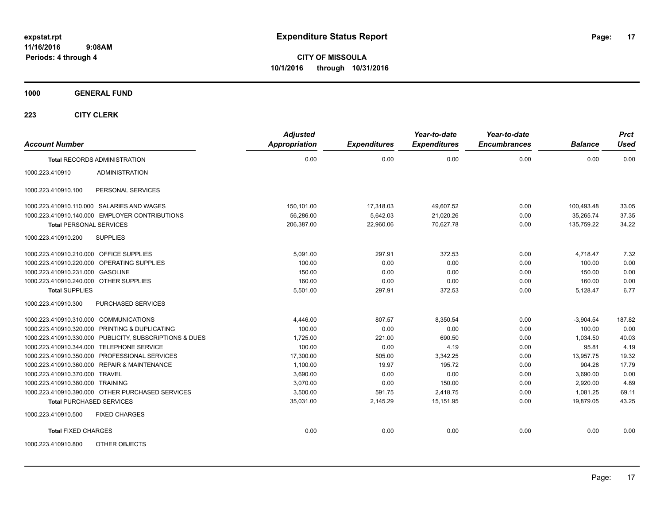**Periods: 4 through 4**

**CITY OF MISSOULA 10/1/2016 through 10/31/2016**

**1000 GENERAL FUND**

| <b>Account Number</b>                      |                                                         | <b>Adjusted</b><br><b>Appropriation</b> | <b>Expenditures</b> | Year-to-date<br><b>Expenditures</b> | Year-to-date<br><b>Encumbrances</b> | <b>Balance</b> | <b>Prct</b><br><b>Used</b> |
|--------------------------------------------|---------------------------------------------------------|-----------------------------------------|---------------------|-------------------------------------|-------------------------------------|----------------|----------------------------|
|                                            | <b>Total RECORDS ADMINISTRATION</b>                     | 0.00                                    | 0.00                | 0.00                                | 0.00                                | 0.00           | 0.00                       |
| 1000.223.410910                            | <b>ADMINISTRATION</b>                                   |                                         |                     |                                     |                                     |                |                            |
| 1000.223.410910.100                        | PERSONAL SERVICES                                       |                                         |                     |                                     |                                     |                |                            |
|                                            | 1000.223.410910.110.000 SALARIES AND WAGES              | 150,101.00                              | 17,318.03           | 49,607.52                           | 0.00                                | 100,493.48     | 33.05                      |
|                                            | 1000.223.410910.140.000 EMPLOYER CONTRIBUTIONS          | 56,286.00                               | 5,642.03            | 21,020.26                           | 0.00                                | 35,265.74      | 37.35                      |
| <b>Total PERSONAL SERVICES</b>             |                                                         | 206,387.00                              | 22,960.06           | 70,627.78                           | 0.00                                | 135,759.22     | 34.22                      |
| 1000.223.410910.200                        | <b>SUPPLIES</b>                                         |                                         |                     |                                     |                                     |                |                            |
| 1000.223.410910.210.000 OFFICE SUPPLIES    |                                                         | 5,091.00                                | 297.91              | 372.53                              | 0.00                                | 4,718.47       | 7.32                       |
| 1000.223.410910.220.000 OPERATING SUPPLIES |                                                         | 100.00                                  | 0.00                | 0.00                                | 0.00                                | 100.00         | 0.00                       |
| 1000.223.410910.231.000 GASOLINE           |                                                         | 150.00                                  | 0.00                | 0.00                                | 0.00                                | 150.00         | 0.00                       |
| 1000.223.410910.240.000 OTHER SUPPLIES     |                                                         | 160.00                                  | 0.00                | 0.00                                | 0.00                                | 160.00         | 0.00                       |
| <b>Total SUPPLIES</b>                      |                                                         | 5,501.00                                | 297.91              | 372.53                              | 0.00                                | 5,128.47       | 6.77                       |
| 1000.223.410910.300                        | PURCHASED SERVICES                                      |                                         |                     |                                     |                                     |                |                            |
| 1000.223.410910.310.000 COMMUNICATIONS     |                                                         | 4,446.00                                | 807.57              | 8,350.54                            | 0.00                                | $-3,904.54$    | 187.82                     |
|                                            | 1000.223.410910.320.000 PRINTING & DUPLICATING          | 100.00                                  | 0.00                | 0.00                                | 0.00                                | 100.00         | 0.00                       |
|                                            | 1000.223.410910.330.000 PUBLICITY, SUBSCRIPTIONS & DUES | 1,725.00                                | 221.00              | 690.50                              | 0.00                                | 1,034.50       | 40.03                      |
| 1000.223.410910.344.000 TELEPHONE SERVICE  |                                                         | 100.00                                  | 0.00                | 4.19                                | 0.00                                | 95.81          | 4.19                       |
|                                            | 1000.223.410910.350.000 PROFESSIONAL SERVICES           | 17,300.00                               | 505.00              | 3,342.25                            | 0.00                                | 13,957.75      | 19.32                      |
|                                            | 1000.223.410910.360.000 REPAIR & MAINTENANCE            | 1,100.00                                | 19.97               | 195.72                              | 0.00                                | 904.28         | 17.79                      |
| 1000.223.410910.370.000 TRAVEL             |                                                         | 3,690.00                                | 0.00                | 0.00                                | 0.00                                | 3,690.00       | 0.00                       |
| 1000.223.410910.380.000 TRAINING           |                                                         | 3.070.00                                | 0.00                | 150.00                              | 0.00                                | 2.920.00       | 4.89                       |
|                                            | 1000.223.410910.390.000 OTHER PURCHASED SERVICES        | 3,500.00                                | 591.75              | 2,418.75                            | 0.00                                | 1,081.25       | 69.11                      |
| <b>Total PURCHASED SERVICES</b>            |                                                         | 35,031.00                               | 2,145.29            | 15,151.95                           | 0.00                                | 19,879.05      | 43.25                      |
| 1000.223.410910.500                        | <b>FIXED CHARGES</b>                                    |                                         |                     |                                     |                                     |                |                            |
| <b>Total FIXED CHARGES</b>                 |                                                         | 0.00                                    | 0.00                | 0.00                                | 0.00                                | 0.00           | 0.00                       |
| 1000.223.410910.800                        | OTHER OBJECTS                                           |                                         |                     |                                     |                                     |                |                            |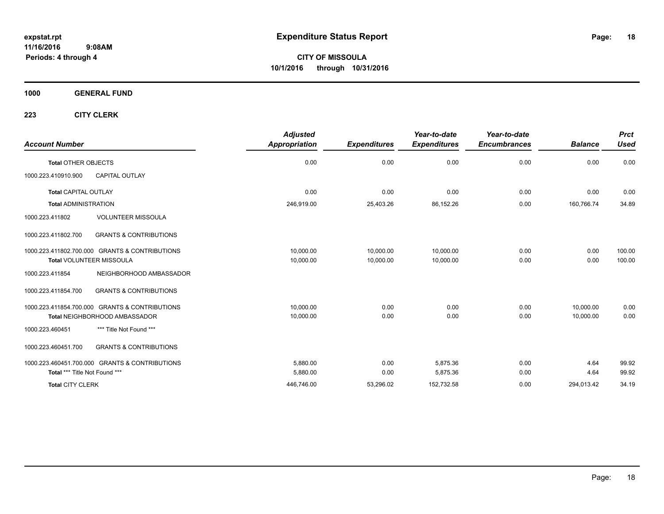**CITY OF MISSOULA 10/1/2016 through 10/31/2016**

**1000 GENERAL FUND**

| <b>Account Number</b>                                    | <b>Adjusted</b><br><b>Appropriation</b> | <b>Expenditures</b> | Year-to-date<br><b>Expenditures</b> | Year-to-date<br><b>Encumbrances</b> | <b>Balance</b> | <b>Prct</b><br><b>Used</b> |
|----------------------------------------------------------|-----------------------------------------|---------------------|-------------------------------------|-------------------------------------|----------------|----------------------------|
| <b>Total OTHER OBJECTS</b>                               | 0.00                                    | 0.00                | 0.00                                | 0.00                                | 0.00           | 0.00                       |
| 1000.223.410910.900<br><b>CAPITAL OUTLAY</b>             |                                         |                     |                                     |                                     |                |                            |
| <b>Total CAPITAL OUTLAY</b>                              | 0.00                                    | 0.00                | 0.00                                | 0.00                                | 0.00           | 0.00                       |
| <b>Total ADMINISTRATION</b>                              | 246,919.00                              | 25,403.26           | 86,152.26                           | 0.00                                | 160,766.74     | 34.89                      |
| <b>VOLUNTEER MISSOULA</b><br>1000.223.411802             |                                         |                     |                                     |                                     |                |                            |
| <b>GRANTS &amp; CONTRIBUTIONS</b><br>1000.223.411802.700 |                                         |                     |                                     |                                     |                |                            |
| 1000.223.411802.700.000 GRANTS & CONTRIBUTIONS           | 10,000.00                               | 10,000.00           | 10,000.00                           | 0.00                                | 0.00           | 100.00                     |
| <b>Total VOLUNTEER MISSOULA</b>                          | 10,000.00                               | 10,000.00           | 10,000.00                           | 0.00                                | 0.00           | 100.00                     |
| 1000.223.411854<br>NEIGHBORHOOD AMBASSADOR               |                                         |                     |                                     |                                     |                |                            |
| <b>GRANTS &amp; CONTRIBUTIONS</b><br>1000.223.411854.700 |                                         |                     |                                     |                                     |                |                            |
| 1000.223.411854.700.000 GRANTS & CONTRIBUTIONS           | 10,000.00                               | 0.00                | 0.00                                | 0.00                                | 10,000.00      | 0.00                       |
| Total NEIGHBORHOOD AMBASSADOR                            | 10,000.00                               | 0.00                | 0.00                                | 0.00                                | 10.000.00      | 0.00                       |
| *** Title Not Found ***<br>1000.223.460451               |                                         |                     |                                     |                                     |                |                            |
| <b>GRANTS &amp; CONTRIBUTIONS</b><br>1000.223.460451.700 |                                         |                     |                                     |                                     |                |                            |
| 1000.223.460451.700.000 GRANTS & CONTRIBUTIONS           | 5.880.00                                | 0.00                | 5.875.36                            | 0.00                                | 4.64           | 99.92                      |
| Total *** Title Not Found ***                            | 5,880.00                                | 0.00                | 5,875.36                            | 0.00                                | 4.64           | 99.92                      |
| <b>Total CITY CLERK</b>                                  | 446,746.00                              | 53,296.02           | 152,732.58                          | 0.00                                | 294,013.42     | 34.19                      |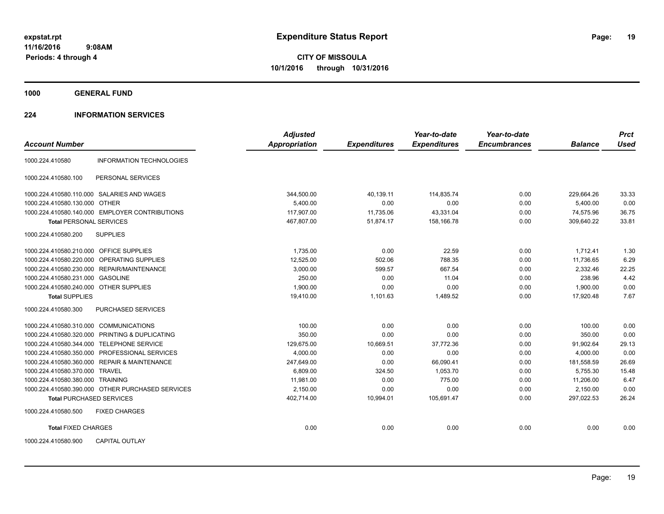**1000 GENERAL FUND**

### **224 INFORMATION SERVICES**

|                                                    | <b>Adjusted</b> |                     | Year-to-date        | Year-to-date        |                | <b>Prct</b> |
|----------------------------------------------------|-----------------|---------------------|---------------------|---------------------|----------------|-------------|
| <b>Account Number</b>                              | Appropriation   | <b>Expenditures</b> | <b>Expenditures</b> | <b>Encumbrances</b> | <b>Balance</b> | <b>Used</b> |
| <b>INFORMATION TECHNOLOGIES</b><br>1000.224.410580 |                 |                     |                     |                     |                |             |
| PERSONAL SERVICES<br>1000.224.410580.100           |                 |                     |                     |                     |                |             |
| 1000.224.410580.110.000 SALARIES AND WAGES         | 344,500.00      | 40.139.11           | 114.835.74          | 0.00                | 229.664.26     | 33.33       |
| 1000.224.410580.130.000 OTHER                      | 5,400.00        | 0.00                | 0.00                | 0.00                | 5,400.00       | 0.00        |
| 1000.224.410580.140.000 EMPLOYER CONTRIBUTIONS     | 117,907.00      | 11,735.06           | 43,331.04           | 0.00                | 74,575.96      | 36.75       |
| <b>Total PERSONAL SERVICES</b>                     | 467,807.00      | 51,874.17           | 158.166.78          | 0.00                | 309,640.22     | 33.81       |
| 1000.224.410580.200<br><b>SUPPLIES</b>             |                 |                     |                     |                     |                |             |
| 1000.224.410580.210.000 OFFICE SUPPLIES            | 1,735.00        | 0.00                | 22.59               | 0.00                | 1,712.41       | 1.30        |
| 1000.224.410580.220.000 OPERATING SUPPLIES         | 12,525.00       | 502.06              | 788.35              | 0.00                | 11,736.65      | 6.29        |
| 1000.224.410580.230.000 REPAIR/MAINTENANCE         | 3,000.00        | 599.57              | 667.54              | 0.00                | 2,332.46       | 22.25       |
| 1000.224.410580.231.000 GASOLINE                   | 250.00          | 0.00                | 11.04               | 0.00                | 238.96         | 4.42        |
| 1000.224.410580.240.000 OTHER SUPPLIES             | 1.900.00        | 0.00                | 0.00                | 0.00                | 1.900.00       | 0.00        |
| <b>Total SUPPLIES</b>                              | 19,410.00       | 1,101.63            | 1,489.52            | 0.00                | 17,920.48      | 7.67        |
| 1000.224.410580.300<br>PURCHASED SERVICES          |                 |                     |                     |                     |                |             |
| 1000.224.410580.310.000 COMMUNICATIONS             | 100.00          | 0.00                | 0.00                | 0.00                | 100.00         | 0.00        |
| 1000.224.410580.320.000 PRINTING & DUPLICATING     | 350.00          | 0.00                | 0.00                | 0.00                | 350.00         | 0.00        |
| 1000.224.410580.344.000 TELEPHONE SERVICE          | 129,675.00      | 10,669.51           | 37,772.36           | 0.00                | 91,902.64      | 29.13       |
| 1000.224.410580.350.000 PROFESSIONAL SERVICES      | 4,000.00        | 0.00                | 0.00                | 0.00                | 4,000.00       | 0.00        |
| 1000.224.410580.360.000 REPAIR & MAINTENANCE       | 247,649.00      | 0.00                | 66,090.41           | 0.00                | 181,558.59     | 26.69       |
| 1000.224.410580.370.000 TRAVEL                     | 6,809.00        | 324.50              | 1,053.70            | 0.00                | 5,755.30       | 15.48       |
| 1000.224.410580.380.000 TRAINING                   | 11.981.00       | 0.00                | 775.00              | 0.00                | 11.206.00      | 6.47        |
| 1000.224.410580.390.000 OTHER PURCHASED SERVICES   | 2,150.00        | 0.00                | 0.00                | 0.00                | 2,150.00       | 0.00        |
| <b>Total PURCHASED SERVICES</b>                    | 402,714.00      | 10,994.01           | 105,691.47          | 0.00                | 297,022.53     | 26.24       |
| 1000.224.410580.500<br><b>FIXED CHARGES</b>        |                 |                     |                     |                     |                |             |
| <b>Total FIXED CHARGES</b>                         | 0.00            | 0.00                | 0.00                | 0.00                | 0.00           | 0.00        |
| <b>CAPITAL OUTLAY</b><br>1000.224.410580.900       |                 |                     |                     |                     |                |             |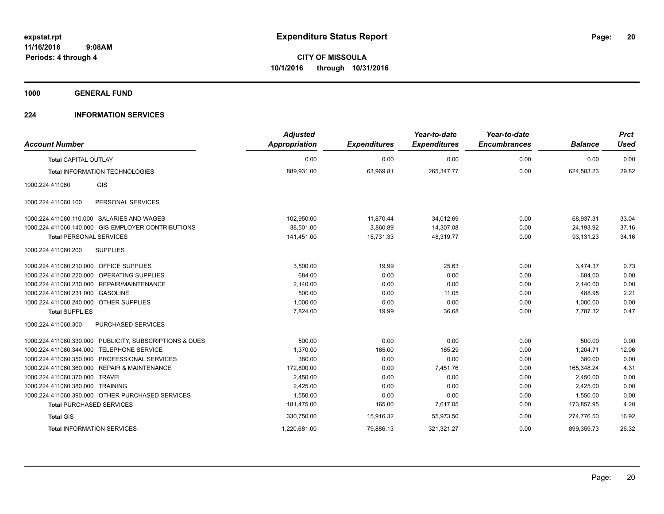**1000 GENERAL FUND**

### **224 INFORMATION SERVICES**

| <b>Account Number</b>                                   | <b>Adjusted</b><br><b>Appropriation</b> | <b>Expenditures</b> | Year-to-date<br><b>Expenditures</b> | Year-to-date<br><b>Encumbrances</b> | <b>Balance</b> | <b>Prct</b><br><b>Used</b> |
|---------------------------------------------------------|-----------------------------------------|---------------------|-------------------------------------|-------------------------------------|----------------|----------------------------|
| <b>Total CAPITAL OUTLAY</b>                             | 0.00                                    | 0.00                | 0.00                                | 0.00                                | 0.00           | 0.00                       |
| <b>Total INFORMATION TECHNOLOGIES</b>                   | 889,931.00                              | 63,969.81           | 265,347.77                          | 0.00                                | 624,583.23     | 29.82                      |
| GIS<br>1000.224.411060                                  |                                         |                     |                                     |                                     |                |                            |
| 1000.224.411060.100<br>PERSONAL SERVICES                |                                         |                     |                                     |                                     |                |                            |
| 1000.224.411060.110.000 SALARIES AND WAGES              | 102,950.00                              | 11,870.44           | 34,012.69                           | 0.00                                | 68,937.31      | 33.04                      |
| 1000.224.411060.140.000 GIS-EMPLOYER CONTRIBUTIONS      | 38.501.00                               | 3,860.89            | 14,307.08                           | 0.00                                | 24.193.92      | 37.16                      |
| <b>Total PERSONAL SERVICES</b>                          | 141,451.00                              | 15,731.33           | 48,319.77                           | 0.00                                | 93,131.23      | 34.16                      |
| 1000.224.411060.200<br><b>SUPPLIES</b>                  |                                         |                     |                                     |                                     |                |                            |
| 1000.224.411060.210.000 OFFICE SUPPLIES                 | 3.500.00                                | 19.99               | 25.63                               | 0.00                                | 3,474.37       | 0.73                       |
| 1000.224.411060.220.000 OPERATING SUPPLIES              | 684.00                                  | 0.00                | 0.00                                | 0.00                                | 684.00         | 0.00                       |
| 1000.224.411060.230.000 REPAIR/MAINTENANCE              | 2,140.00                                | 0.00                | 0.00                                | 0.00                                | 2,140.00       | 0.00                       |
| 1000.224.411060.231.000 GASOLINE                        | 500.00                                  | 0.00                | 11.05                               | 0.00                                | 488.95         | 2.21                       |
| 1000.224.411060.240.000 OTHER SUPPLIES                  | 1,000.00                                | 0.00                | 0.00                                | 0.00                                | 1,000.00       | 0.00                       |
| <b>Total SUPPLIES</b>                                   | 7,824.00                                | 19.99               | 36.68                               | 0.00                                | 7.787.32       | 0.47                       |
| 1000.224.411060.300<br><b>PURCHASED SERVICES</b>        |                                         |                     |                                     |                                     |                |                            |
| 1000.224.411060.330.000 PUBLICITY, SUBSCRIPTIONS & DUES | 500.00                                  | 0.00                | 0.00                                | 0.00                                | 500.00         | 0.00                       |
| <b>TELEPHONE SERVICE</b><br>1000.224.411060.344.000     | 1,370.00                                | 165.00              | 165.29                              | 0.00                                | 1,204.71       | 12.06                      |
| 1000.224.411060.350.000 PROFESSIONAL SERVICES           | 380.00                                  | 0.00                | 0.00                                | 0.00                                | 380.00         | 0.00                       |
| 1000.224.411060.360.000 REPAIR & MAINTENANCE            | 172,800.00                              | 0.00                | 7.451.76                            | 0.00                                | 165.348.24     | 4.31                       |
| 1000.224.411060.370.000 TRAVEL                          | 2,450.00                                | 0.00                | 0.00                                | 0.00                                | 2,450.00       | 0.00                       |
| 1000.224.411060.380.000 TRAINING                        | 2,425.00                                | 0.00                | 0.00                                | 0.00                                | 2,425.00       | 0.00                       |
| 1000.224.411060.390.000 OTHER PURCHASED SERVICES        | 1,550.00                                | 0.00                | 0.00                                | 0.00                                | 1,550.00       | 0.00                       |
| <b>Total PURCHASED SERVICES</b>                         | 181,475.00                              | 165.00              | 7,617.05                            | 0.00                                | 173,857.95     | 4.20                       |
| <b>Total GIS</b>                                        | 330,750.00                              | 15,916.32           | 55.973.50                           | 0.00                                | 274.776.50     | 16.92                      |
| <b>Total INFORMATION SERVICES</b>                       | 1,220,681.00                            | 79,886.13           | 321,321.27                          | 0.00                                | 899,359.73     | 26.32                      |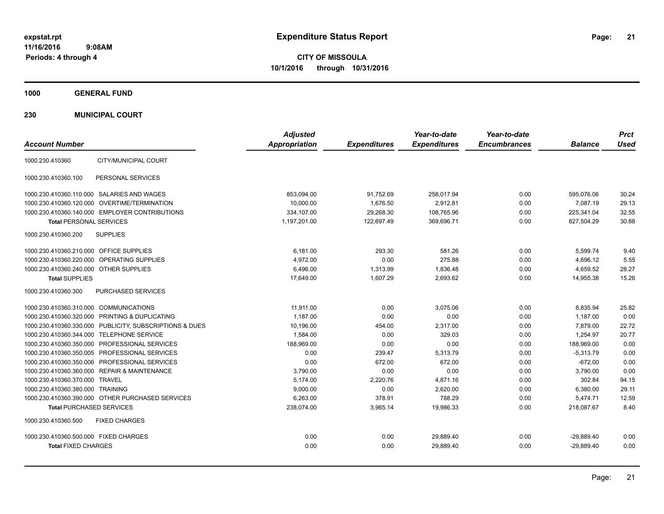**CITY OF MISSOULA 10/1/2016 through 10/31/2016**

**1000 GENERAL FUND**

**230 MUNICIPAL COURT**

| <b>Account Number</b>                                   | <b>Adjusted</b><br><b>Appropriation</b> | <b>Expenditures</b> | Year-to-date<br><b>Expenditures</b> | Year-to-date<br><b>Encumbrances</b> | <b>Balance</b> | <b>Prct</b><br><b>Used</b> |
|---------------------------------------------------------|-----------------------------------------|---------------------|-------------------------------------|-------------------------------------|----------------|----------------------------|
| CITY/MUNICIPAL COURT<br>1000.230.410360                 |                                         |                     |                                     |                                     |                |                            |
| PERSONAL SERVICES<br>1000.230.410360.100                |                                         |                     |                                     |                                     |                |                            |
| 1000.230.410360.110.000 SALARIES AND WAGES              | 853,094.00                              | 91,752.69           | 258,017.94                          | 0.00                                | 595,076.06     | 30.24                      |
| 1000.230.410360.120.000 OVERTIME/TERMINATION            | 10.000.00                               | 1.676.50            | 2.912.81                            | 0.00                                | 7.087.19       | 29.13                      |
| 1000.230.410360.140.000 EMPLOYER CONTRIBUTIONS          | 334,107.00                              | 29,268.30           | 108,765.96                          | 0.00                                | 225,341.04     | 32.55                      |
| <b>Total PERSONAL SERVICES</b>                          | 1,197,201.00                            | 122,697.49          | 369,696.71                          | 0.00                                | 827,504.29     | 30.88                      |
| 1000.230.410360.200<br><b>SUPPLIES</b>                  |                                         |                     |                                     |                                     |                |                            |
| <b>OFFICE SUPPLIES</b><br>1000.230.410360.210.000       | 6.181.00                                | 293.30              | 581.26                              | 0.00                                | 5,599.74       | 9.40                       |
| 1000.230.410360.220.000<br><b>OPERATING SUPPLIES</b>    | 4,972.00                                | 0.00                | 275.88                              | 0.00                                | 4,696.12       | 5.55                       |
| 1000.230.410360.240.000<br><b>OTHER SUPPLIES</b>        | 6,496.00                                | 1,313.99            | 1,836.48                            | 0.00                                | 4,659.52       | 28.27                      |
| <b>Total SUPPLIES</b>                                   | 17,649.00                               | 1,607.29            | 2,693.62                            | 0.00                                | 14,955.38      | 15.26                      |
| 1000.230.410360.300<br>PURCHASED SERVICES               |                                         |                     |                                     |                                     |                |                            |
| 1000.230.410360.310.000 COMMUNICATIONS                  | 11,911.00                               | 0.00                | 3,075.06                            | 0.00                                | 8,835.94       | 25.82                      |
| 1000.230.410360.320.000 PRINTING & DUPLICATING          | 1.187.00                                | 0.00                | 0.00                                | 0.00                                | 1,187.00       | 0.00                       |
| 1000.230.410360.330.000 PUBLICITY, SUBSCRIPTIONS & DUES | 10,196.00                               | 454.00              | 2.317.00                            | 0.00                                | 7.879.00       | 22.72                      |
| 1000.230.410360.344.000 TELEPHONE SERVICE               | 1,584.00                                | 0.00                | 329.03                              | 0.00                                | 1,254.97       | 20.77                      |
| 1000.230.410360.350.000 PROFESSIONAL SERVICES           | 188.969.00                              | 0.00                | 0.00                                | 0.00                                | 188.969.00     | 0.00                       |
| 1000.230.410360.350.005 PROFESSIONAL SERVICES           | 0.00                                    | 239.47              | 5,313.79                            | 0.00                                | $-5,313.79$    | 0.00                       |
| 1000.230.410360.350.006 PROFESSIONAL SERVICES           | 0.00                                    | 672.00              | 672.00                              | 0.00                                | $-672.00$      | 0.00                       |
| 1000.230.410360.360.000 REPAIR & MAINTENANCE            | 3,790.00                                | 0.00                | 0.00                                | 0.00                                | 3,790.00       | 0.00                       |
| 1000.230.410360.370.000 TRAVEL                          | 5,174.00                                | 2,220.76            | 4,871.16                            | 0.00                                | 302.84         | 94.15                      |
| 1000.230.410360.380.000 TRAINING                        | 9,000.00                                | 0.00                | 2,620.00                            | 0.00                                | 6,380.00       | 29.11                      |
| 1000.230.410360.390.000 OTHER PURCHASED SERVICES        | 6,263.00                                | 378.91              | 788.29                              | 0.00                                | 5,474.71       | 12.59                      |
| <b>Total PURCHASED SERVICES</b>                         | 238,074.00                              | 3,965.14            | 19,986.33                           | 0.00                                | 218,087.67     | 8.40                       |
| 1000.230.410360.500<br><b>FIXED CHARGES</b>             |                                         |                     |                                     |                                     |                |                            |
| 1000.230.410360.500.000 FIXED CHARGES                   | 0.00                                    | 0.00                | 29,889.40                           | 0.00                                | $-29,889.40$   | 0.00                       |
| <b>Total FIXED CHARGES</b>                              | 0.00                                    | 0.00                | 29,889.40                           | 0.00                                | $-29,889.40$   | 0.00                       |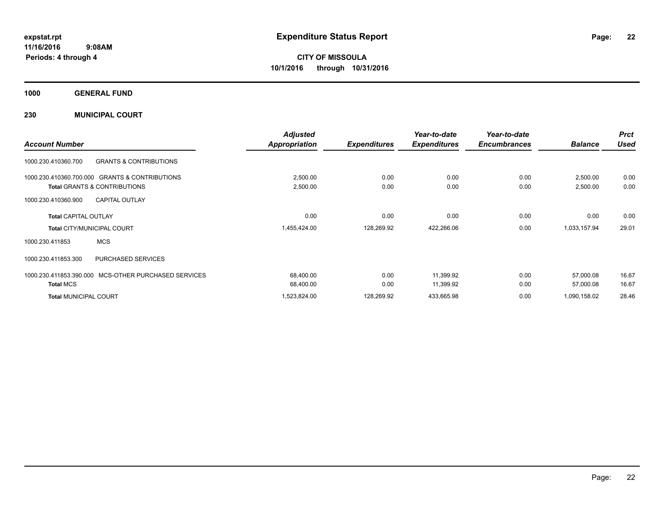**1000 GENERAL FUND**

**230 MUNICIPAL COURT**

|                                                          | <b>Adjusted</b>      |                     | Year-to-date        | Year-to-date        |                | <b>Prct</b> |
|----------------------------------------------------------|----------------------|---------------------|---------------------|---------------------|----------------|-------------|
| <b>Account Number</b>                                    | <b>Appropriation</b> | <b>Expenditures</b> | <b>Expenditures</b> | <b>Encumbrances</b> | <b>Balance</b> | <b>Used</b> |
| 1000.230.410360.700<br><b>GRANTS &amp; CONTRIBUTIONS</b> |                      |                     |                     |                     |                |             |
| 1000.230.410360.700.000 GRANTS & CONTRIBUTIONS           | 2,500.00             | 0.00                | 0.00                | 0.00                | 2,500.00       | 0.00        |
| <b>Total GRANTS &amp; CONTRIBUTIONS</b>                  | 2,500.00             | 0.00                | 0.00                | 0.00                | 2,500.00       | 0.00        |
| <b>CAPITAL OUTLAY</b><br>1000.230.410360.900             |                      |                     |                     |                     |                |             |
| <b>Total CAPITAL OUTLAY</b>                              | 0.00                 | 0.00                | 0.00                | 0.00                | 0.00           | 0.00        |
| <b>Total CITY/MUNICIPAL COURT</b>                        | 1,455,424.00         | 128,269.92          | 422,266.06          | 0.00                | 1,033,157.94   | 29.01       |
| <b>MCS</b><br>1000.230.411853                            |                      |                     |                     |                     |                |             |
| <b>PURCHASED SERVICES</b><br>1000.230.411853.300         |                      |                     |                     |                     |                |             |
| 1000.230.411853.390.000 MCS-OTHER PURCHASED SERVICES     | 68,400.00            | 0.00                | 11,399.92           | 0.00                | 57,000.08      | 16.67       |
| <b>Total MCS</b>                                         | 68,400.00            | 0.00                | 11,399.92           | 0.00                | 57,000.08      | 16.67       |
| <b>Total MUNICIPAL COURT</b>                             | 1,523,824.00         | 128,269.92          | 433,665.98          | 0.00                | 1,090,158.02   | 28.46       |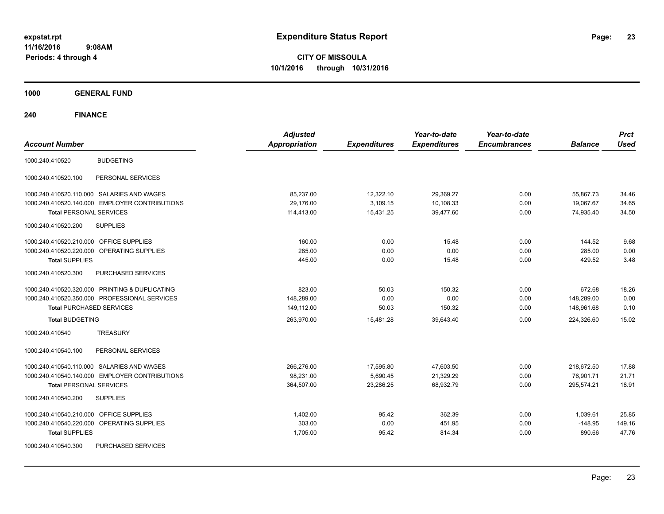**CITY OF MISSOULA 10/1/2016 through 10/31/2016**

**1000 GENERAL FUND**

| <b>Account Number</b>                                | <b>Adjusted</b><br><b>Appropriation</b> | <b>Expenditures</b> | Year-to-date<br><b>Expenditures</b> | Year-to-date<br><b>Encumbrances</b> | <b>Balance</b> | <b>Prct</b><br><b>Used</b> |
|------------------------------------------------------|-----------------------------------------|---------------------|-------------------------------------|-------------------------------------|----------------|----------------------------|
| <b>BUDGETING</b><br>1000.240.410520                  |                                         |                     |                                     |                                     |                |                            |
| PERSONAL SERVICES<br>1000.240.410520.100             |                                         |                     |                                     |                                     |                |                            |
| 1000.240.410520.110.000 SALARIES AND WAGES           | 85,237.00                               | 12,322.10           | 29,369.27                           | 0.00                                | 55,867.73      | 34.46                      |
| 1000.240.410520.140.000 EMPLOYER CONTRIBUTIONS       | 29,176.00                               | 3,109.15            | 10,108.33                           | 0.00                                | 19,067.67      | 34.65                      |
| <b>Total PERSONAL SERVICES</b>                       | 114,413.00                              | 15,431.25           | 39,477.60                           | 0.00                                | 74,935.40      | 34.50                      |
| <b>SUPPLIES</b><br>1000.240.410520.200               |                                         |                     |                                     |                                     |                |                            |
| 1000.240.410520.210.000 OFFICE SUPPLIES              | 160.00                                  | 0.00                | 15.48                               | 0.00                                | 144.52         | 9.68                       |
| 1000.240.410520.220.000 OPERATING SUPPLIES           | 285.00                                  | 0.00                | 0.00                                | 0.00                                | 285.00         | 0.00                       |
| <b>Total SUPPLIES</b>                                | 445.00                                  | 0.00                | 15.48                               | 0.00                                | 429.52         | 3.48                       |
| 1000.240.410520.300<br>PURCHASED SERVICES            |                                         |                     |                                     |                                     |                |                            |
| 1000.240.410520.320.000 PRINTING & DUPLICATING       | 823.00                                  | 50.03               | 150.32                              | 0.00                                | 672.68         | 18.26                      |
| 1000.240.410520.350.000 PROFESSIONAL SERVICES        | 148,289.00                              | 0.00                | 0.00                                | 0.00                                | 148,289.00     | 0.00                       |
| <b>Total PURCHASED SERVICES</b>                      | 149,112.00                              | 50.03               | 150.32                              | 0.00                                | 148,961.68     | 0.10                       |
| <b>Total BUDGETING</b>                               | 263,970.00                              | 15,481.28           | 39,643.40                           | 0.00                                | 224,326.60     | 15.02                      |
| <b>TREASURY</b><br>1000.240.410540                   |                                         |                     |                                     |                                     |                |                            |
| PERSONAL SERVICES<br>1000.240.410540.100             |                                         |                     |                                     |                                     |                |                            |
| 1000.240.410540.110.000 SALARIES AND WAGES           | 266,276.00                              | 17,595.80           | 47,603.50                           | 0.00                                | 218,672.50     | 17.88                      |
| 1000.240.410540.140.000 EMPLOYER CONTRIBUTIONS       | 98,231.00                               | 5,690.45            | 21,329.29                           | 0.00                                | 76,901.71      | 21.71                      |
| <b>Total PERSONAL SERVICES</b>                       | 364,507.00                              | 23,286.25           | 68,932.79                           | 0.00                                | 295,574.21     | 18.91                      |
| 1000.240.410540.200<br><b>SUPPLIES</b>               |                                         |                     |                                     |                                     |                |                            |
| 1000.240.410540.210.000 OFFICE SUPPLIES              | 1,402.00                                | 95.42               | 362.39                              | 0.00                                | 1,039.61       | 25.85                      |
| 1000.240.410540.220.000<br><b>OPERATING SUPPLIES</b> | 303.00                                  | 0.00                | 451.95                              | 0.00                                | $-148.95$      | 149.16                     |
| <b>Total SUPPLIES</b>                                | 1,705.00                                | 95.42               | 814.34                              | 0.00                                | 890.66         | 47.76                      |
| 1000.240.410540.300<br>PURCHASED SERVICES            |                                         |                     |                                     |                                     |                |                            |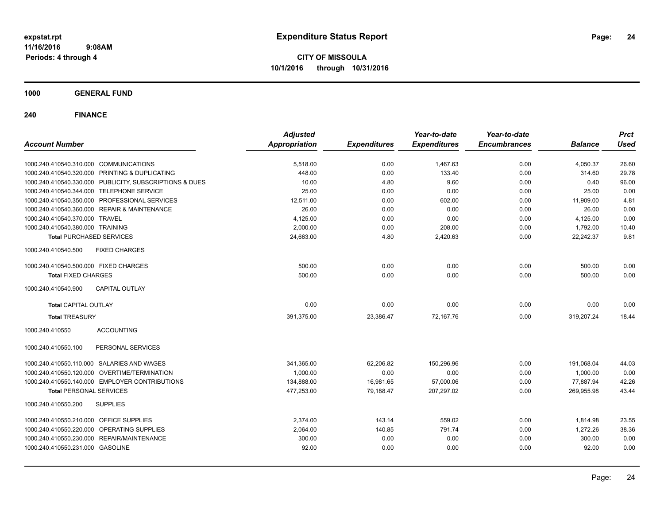**CITY OF MISSOULA 10/1/2016 through 10/31/2016**

**1000 GENERAL FUND**

| <b>Account Number</b>                                   | <b>Adjusted</b><br><b>Appropriation</b> | <b>Expenditures</b> | Year-to-date<br><b>Expenditures</b> | Year-to-date<br><b>Encumbrances</b> | <b>Balance</b> | <b>Prct</b><br><b>Used</b> |
|---------------------------------------------------------|-----------------------------------------|---------------------|-------------------------------------|-------------------------------------|----------------|----------------------------|
| 1000.240.410540.310.000 COMMUNICATIONS                  | 5,518.00                                | 0.00                | 1,467.63                            | 0.00                                | 4,050.37       | 26.60                      |
| 1000.240.410540.320.000 PRINTING & DUPLICATING          | 448.00                                  | 0.00                | 133.40                              | 0.00                                | 314.60         | 29.78                      |
| 1000.240.410540.330.000 PUBLICITY, SUBSCRIPTIONS & DUES | 10.00                                   | 4.80                | 9.60                                | 0.00                                | 0.40           | 96.00                      |
| 1000.240.410540.344.000 TELEPHONE SERVICE               | 25.00                                   | 0.00                | 0.00                                | 0.00                                | 25.00          | 0.00                       |
| 1000.240.410540.350.000 PROFESSIONAL SERVICES           | 12,511.00                               | 0.00                | 602.00                              | 0.00                                | 11,909.00      | 4.81                       |
| 1000.240.410540.360.000 REPAIR & MAINTENANCE            | 26.00                                   | 0.00                | 0.00                                | 0.00                                | 26.00          | 0.00                       |
| 1000.240.410540.370.000 TRAVEL                          | 4,125.00                                | 0.00                | 0.00                                | 0.00                                | 4,125.00       | 0.00                       |
| 1000.240.410540.380.000 TRAINING                        | 2.000.00                                | 0.00                | 208.00                              | 0.00                                | 1,792.00       | 10.40                      |
| <b>Total PURCHASED SERVICES</b>                         | 24.663.00                               | 4.80                | 2,420.63                            | 0.00                                | 22.242.37      | 9.81                       |
| <b>FIXED CHARGES</b><br>1000.240.410540.500             |                                         |                     |                                     |                                     |                |                            |
| 1000.240.410540.500.000 FIXED CHARGES                   | 500.00                                  | 0.00                | 0.00                                | 0.00                                | 500.00         | 0.00                       |
| <b>Total FIXED CHARGES</b>                              | 500.00                                  | 0.00                | 0.00                                | 0.00                                | 500.00         | 0.00                       |
| 1000.240.410540.900<br><b>CAPITAL OUTLAY</b>            |                                         |                     |                                     |                                     |                |                            |
| <b>Total CAPITAL OUTLAY</b>                             | 0.00                                    | 0.00                | 0.00                                | 0.00                                | 0.00           | 0.00                       |
| <b>Total TREASURY</b>                                   | 391,375.00                              | 23,386.47           | 72.167.76                           | 0.00                                | 319,207.24     | 18.44                      |
| <b>ACCOUNTING</b><br>1000.240.410550                    |                                         |                     |                                     |                                     |                |                            |
| 1000.240.410550.100<br>PERSONAL SERVICES                |                                         |                     |                                     |                                     |                |                            |
| 1000.240.410550.110.000 SALARIES AND WAGES              | 341,365.00                              | 62,206.82           | 150,296.96                          | 0.00                                | 191,068.04     | 44.03                      |
| 1000.240.410550.120.000 OVERTIME/TERMINATION            | 1,000.00                                | 0.00                | 0.00                                | 0.00                                | 1.000.00       | 0.00                       |
| 1000.240.410550.140.000 EMPLOYER CONTRIBUTIONS          | 134,888.00                              | 16,981.65           | 57,000.06                           | 0.00                                | 77,887.94      | 42.26                      |
| <b>Total PERSONAL SERVICES</b>                          | 477,253.00                              | 79,188.47           | 207,297.02                          | 0.00                                | 269,955.98     | 43.44                      |
| 1000.240.410550.200<br><b>SUPPLIES</b>                  |                                         |                     |                                     |                                     |                |                            |
| 1000.240.410550.210.000 OFFICE SUPPLIES                 | 2,374.00                                | 143.14              | 559.02                              | 0.00                                | 1,814.98       | 23.55                      |
| 1000.240.410550.220.000 OPERATING SUPPLIES              | 2,064.00                                | 140.85              | 791.74                              | 0.00                                | 1,272.26       | 38.36                      |
| 1000.240.410550.230.000 REPAIR/MAINTENANCE              | 300.00                                  | 0.00                | 0.00                                | 0.00                                | 300.00         | 0.00                       |
| 1000.240.410550.231.000 GASOLINE                        | 92.00                                   | 0.00                | 0.00                                | 0.00                                | 92.00          | 0.00                       |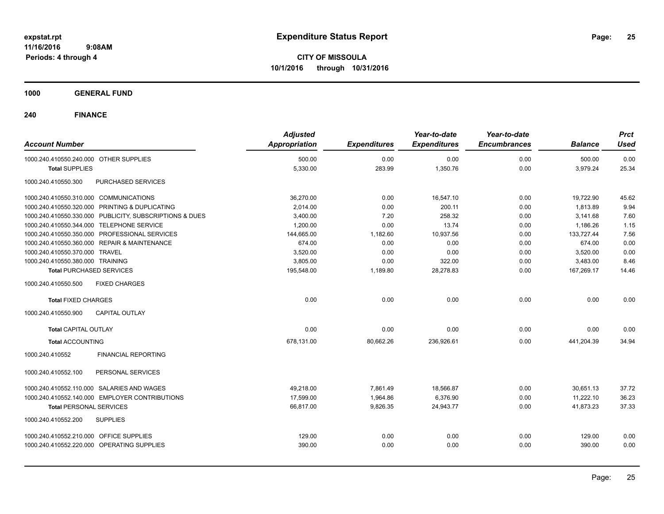**CITY OF MISSOULA 10/1/2016 through 10/31/2016**

**1000 GENERAL FUND**

| <b>Account Number</b>                                   | <b>Adjusted</b><br><b>Appropriation</b> | <b>Expenditures</b> | Year-to-date<br><b>Expenditures</b> | Year-to-date<br><b>Encumbrances</b> | <b>Balance</b> | <b>Prct</b><br><b>Used</b> |
|---------------------------------------------------------|-----------------------------------------|---------------------|-------------------------------------|-------------------------------------|----------------|----------------------------|
| 1000.240.410550.240.000 OTHER SUPPLIES                  | 500.00                                  | 0.00                | 0.00                                | 0.00                                | 500.00         | 0.00                       |
| <b>Total SUPPLIES</b>                                   | 5,330.00                                | 283.99              | 1,350.76                            | 0.00                                | 3,979.24       | 25.34                      |
| 1000.240.410550.300<br>PURCHASED SERVICES               |                                         |                     |                                     |                                     |                |                            |
| 1000.240.410550.310.000 COMMUNICATIONS                  | 36,270.00                               | 0.00                | 16,547.10                           | 0.00                                | 19,722.90      | 45.62                      |
| 1000.240.410550.320.000 PRINTING & DUPLICATING          | 2,014.00                                | 0.00                | 200.11                              | 0.00                                | 1,813.89       | 9.94                       |
| 1000.240.410550.330.000 PUBLICITY, SUBSCRIPTIONS & DUES | 3,400.00                                | 7.20                | 258.32                              | 0.00                                | 3,141.68       | 7.60                       |
| 1000.240.410550.344.000 TELEPHONE SERVICE               | 1,200.00                                | 0.00                | 13.74                               | 0.00                                | 1,186.26       | 1.15                       |
| 1000.240.410550.350.000 PROFESSIONAL SERVICES           | 144,665.00                              | 1,182.60            | 10,937.56                           | 0.00                                | 133,727.44     | 7.56                       |
| 1000.240.410550.360.000 REPAIR & MAINTENANCE            | 674.00                                  | 0.00                | 0.00                                | 0.00                                | 674.00         | 0.00                       |
| 1000.240.410550.370.000 TRAVEL                          | 3,520.00                                | 0.00                | 0.00                                | 0.00                                | 3,520.00       | 0.00                       |
| 1000.240.410550.380.000 TRAINING                        | 3,805.00                                | 0.00                | 322.00                              | 0.00                                | 3,483.00       | 8.46                       |
| <b>Total PURCHASED SERVICES</b>                         | 195,548.00                              | 1,189.80            | 28,278.83                           | 0.00                                | 167,269.17     | 14.46                      |
| <b>FIXED CHARGES</b><br>1000.240.410550.500             |                                         |                     |                                     |                                     |                |                            |
| <b>Total FIXED CHARGES</b>                              | 0.00                                    | 0.00                | 0.00                                | 0.00                                | 0.00           | 0.00                       |
| <b>CAPITAL OUTLAY</b><br>1000.240.410550.900            |                                         |                     |                                     |                                     |                |                            |
| Total CAPITAL OUTLAY                                    | 0.00                                    | 0.00                | 0.00                                | 0.00                                | 0.00           | 0.00                       |
| <b>Total ACCOUNTING</b>                                 | 678,131.00                              | 80,662.26           | 236,926.61                          | 0.00                                | 441,204.39     | 34.94                      |
| 1000.240.410552<br><b>FINANCIAL REPORTING</b>           |                                         |                     |                                     |                                     |                |                            |
| PERSONAL SERVICES<br>1000.240.410552.100                |                                         |                     |                                     |                                     |                |                            |
| 1000.240.410552.110.000 SALARIES AND WAGES              | 49.218.00                               | 7.861.49            | 18.566.87                           | 0.00                                | 30.651.13      | 37.72                      |
| 1000.240.410552.140.000 EMPLOYER CONTRIBUTIONS          | 17.599.00                               | 1,964.86            | 6,376.90                            | 0.00                                | 11,222.10      | 36.23                      |
| <b>Total PERSONAL SERVICES</b>                          | 66,817.00                               | 9,826.35            | 24,943.77                           | 0.00                                | 41,873.23      | 37.33                      |
| 1000.240.410552.200<br><b>SUPPLIES</b>                  |                                         |                     |                                     |                                     |                |                            |
| 1000.240.410552.210.000 OFFICE SUPPLIES                 | 129.00                                  | 0.00                | 0.00                                | 0.00                                | 129.00         | 0.00                       |
| 1000.240.410552.220.000 OPERATING SUPPLIES              | 390.00                                  | 0.00                | 0.00                                | 0.00                                | 390.00         | 0.00                       |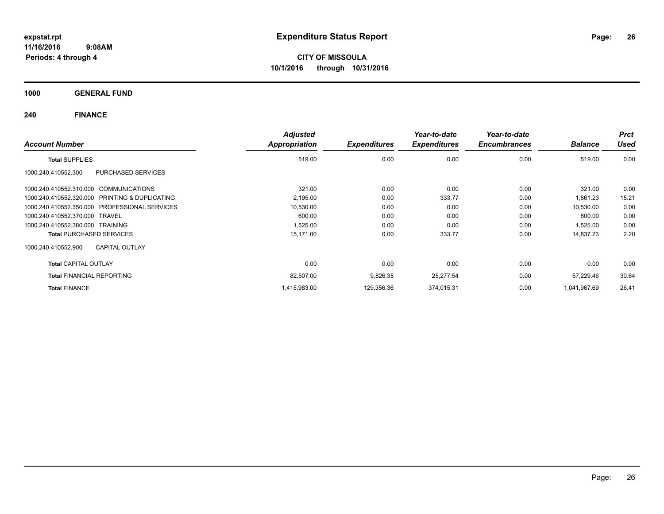**CITY OF MISSOULA 10/1/2016 through 10/31/2016**

**1000 GENERAL FUND**

| <b>Account Number</b>                          | <b>Adjusted</b><br>Appropriation | <b>Expenditures</b> | Year-to-date<br><b>Expenditures</b> | Year-to-date<br><b>Encumbrances</b> | <b>Balance</b> | <b>Prct</b><br><b>Used</b> |
|------------------------------------------------|----------------------------------|---------------------|-------------------------------------|-------------------------------------|----------------|----------------------------|
| <b>Total SUPPLIES</b>                          | 519.00                           | 0.00                | 0.00                                | 0.00                                | 519.00         | 0.00                       |
| 1000.240.410552.300<br>PURCHASED SERVICES      |                                  |                     |                                     |                                     |                |                            |
| 1000.240.410552.310.000 COMMUNICATIONS         | 321.00                           | 0.00                | 0.00                                | 0.00                                | 321.00         | 0.00                       |
| 1000.240.410552.320.000 PRINTING & DUPLICATING | 2,195.00                         | 0.00                | 333.77                              | 0.00                                | 1,861.23       | 15.21                      |
| 1000.240.410552.350.000 PROFESSIONAL SERVICES  | 10,530.00                        | 0.00                | 0.00                                | 0.00                                | 10,530.00      | 0.00                       |
| 1000.240.410552.370.000 TRAVEL                 | 600.00                           | 0.00                | 0.00                                | 0.00                                | 600.00         | 0.00                       |
| 1000.240.410552.380.000 TRAINING               | 1,525.00                         | 0.00                | 0.00                                | 0.00                                | 1,525.00       | 0.00                       |
| <b>Total PURCHASED SERVICES</b>                | 15,171.00                        | 0.00                | 333.77                              | 0.00                                | 14,837.23      | 2.20                       |
| <b>CAPITAL OUTLAY</b><br>1000.240.410552.900   |                                  |                     |                                     |                                     |                |                            |
| <b>Total CAPITAL OUTLAY</b>                    | 0.00                             | 0.00                | 0.00                                | 0.00                                | 0.00           | 0.00                       |
| <b>Total FINANCIAL REPORTING</b>               | 82,507.00                        | 9,826.35            | 25,277.54                           | 0.00                                | 57,229.46      | 30.64                      |
| <b>Total FINANCE</b>                           | 1,415,983.00                     | 129,356.36          | 374,015.31                          | 0.00                                | 1,041,967.69   | 26.41                      |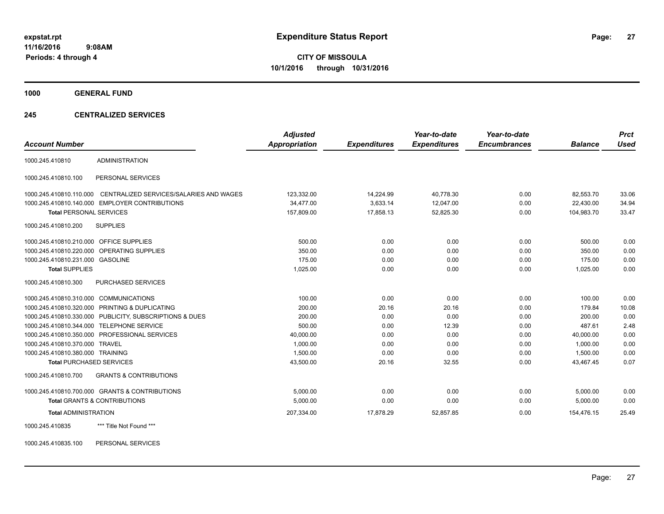**1000 GENERAL FUND**

### **245 CENTRALIZED SERVICES**

| <b>Account Number</b>                   |                                                         | <b>Adjusted</b>      |                     | Year-to-date        | Year-to-date<br><b>Encumbrances</b> |                | <b>Prct</b><br><b>Used</b> |
|-----------------------------------------|---------------------------------------------------------|----------------------|---------------------|---------------------|-------------------------------------|----------------|----------------------------|
|                                         |                                                         | <b>Appropriation</b> | <b>Expenditures</b> | <b>Expenditures</b> |                                     | <b>Balance</b> |                            |
| 1000.245.410810                         | <b>ADMINISTRATION</b>                                   |                      |                     |                     |                                     |                |                            |
| 1000.245.410810.100                     | PERSONAL SERVICES                                       |                      |                     |                     |                                     |                |                            |
| 1000.245.410810.110.000                 | CENTRALIZED SERVICES/SALARIES AND WAGES                 | 123,332.00           | 14,224.99           | 40,778.30           | 0.00                                | 82,553.70      | 33.06                      |
|                                         | 1000.245.410810.140.000 EMPLOYER CONTRIBUTIONS          | 34.477.00            | 3,633.14            | 12,047.00           | 0.00                                | 22.430.00      | 34.94                      |
| <b>Total PERSONAL SERVICES</b>          |                                                         | 157,809.00           | 17,858.13           | 52,825.30           | 0.00                                | 104,983.70     | 33.47                      |
| 1000.245.410810.200                     | <b>SUPPLIES</b>                                         |                      |                     |                     |                                     |                |                            |
| 1000.245.410810.210.000 OFFICE SUPPLIES |                                                         | 500.00               | 0.00                | 0.00                | 0.00                                | 500.00         | 0.00                       |
|                                         | 1000.245.410810.220.000 OPERATING SUPPLIES              | 350.00               | 0.00                | 0.00                | 0.00                                | 350.00         | 0.00                       |
| 1000.245.410810.231.000 GASOLINE        |                                                         | 175.00               | 0.00                | 0.00                | 0.00                                | 175.00         | 0.00                       |
| <b>Total SUPPLIES</b>                   |                                                         | 1,025.00             | 0.00                | 0.00                | 0.00                                | 1,025.00       | 0.00                       |
| 1000.245.410810.300                     | PURCHASED SERVICES                                      |                      |                     |                     |                                     |                |                            |
| 1000.245.410810.310.000                 | <b>COMMUNICATIONS</b>                                   | 100.00               | 0.00                | 0.00                | 0.00                                | 100.00         | 0.00                       |
|                                         | 1000.245.410810.320.000 PRINTING & DUPLICATING          | 200.00               | 20.16               | 20.16               | 0.00                                | 179.84         | 10.08                      |
|                                         | 1000.245.410810.330.000 PUBLICITY, SUBSCRIPTIONS & DUES | 200.00               | 0.00                | 0.00                | 0.00                                | 200.00         | 0.00                       |
| 1000.245.410810.344.000                 | <b>TELEPHONE SERVICE</b>                                | 500.00               | 0.00                | 12.39               | 0.00                                | 487.61         | 2.48                       |
|                                         | 1000.245.410810.350.000 PROFESSIONAL SERVICES           | 40,000.00            | 0.00                | 0.00                | 0.00                                | 40,000.00      | 0.00                       |
| 1000.245.410810.370.000 TRAVEL          |                                                         | 1,000.00             | 0.00                | 0.00                | 0.00                                | 1,000.00       | 0.00                       |
| 1000.245.410810.380.000 TRAINING        |                                                         | 1.500.00             | 0.00                | 0.00                | 0.00                                | 1.500.00       | 0.00                       |
| <b>Total PURCHASED SERVICES</b>         |                                                         | 43,500.00            | 20.16               | 32.55               | 0.00                                | 43,467.45      | 0.07                       |
| 1000.245.410810.700                     | <b>GRANTS &amp; CONTRIBUTIONS</b>                       |                      |                     |                     |                                     |                |                            |
|                                         | 1000.245.410810.700.000 GRANTS & CONTRIBUTIONS          | 5,000.00             | 0.00                | 0.00                | 0.00                                | 5,000.00       | 0.00                       |
|                                         | <b>Total GRANTS &amp; CONTRIBUTIONS</b>                 | 5,000.00             | 0.00                | 0.00                | 0.00                                | 5,000.00       | 0.00                       |
| <b>Total ADMINISTRATION</b>             |                                                         | 207,334.00           | 17.878.29           | 52,857.85           | 0.00                                | 154.476.15     | 25.49                      |
| 1000.245.410835                         | *** Title Not Found ***                                 |                      |                     |                     |                                     |                |                            |

1000.245.410835.100 PERSONAL SERVICES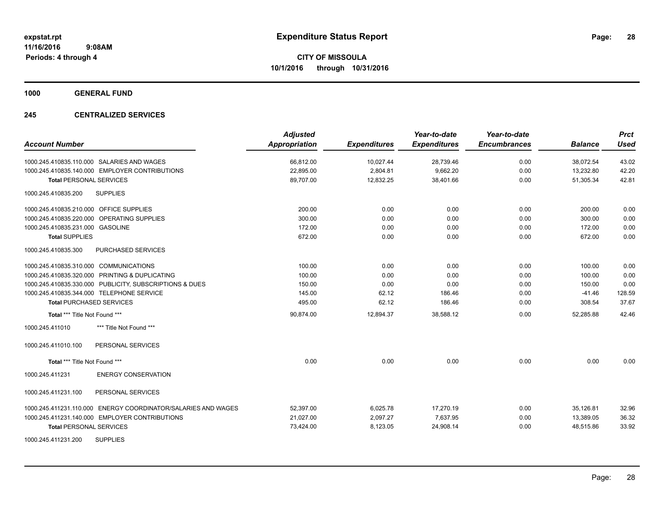**1000 GENERAL FUND**

### **245 CENTRALIZED SERVICES**

| <b>Account Number</b>                                         | <b>Adjusted</b><br><b>Appropriation</b> | <b>Expenditures</b> | Year-to-date<br><b>Expenditures</b> | Year-to-date<br><b>Encumbrances</b> | <b>Balance</b> | <b>Prct</b><br>Used |
|---------------------------------------------------------------|-----------------------------------------|---------------------|-------------------------------------|-------------------------------------|----------------|---------------------|
| 1000.245.410835.110.000 SALARIES AND WAGES                    | 66,812.00                               | 10,027.44           | 28,739.46                           | 0.00                                | 38,072.54      | 43.02               |
| 1000.245.410835.140.000 EMPLOYER CONTRIBUTIONS                | 22,895.00                               | 2,804.81            | 9,662.20                            | 0.00                                | 13,232.80      | 42.20               |
| <b>Total PERSONAL SERVICES</b>                                | 89,707.00                               | 12,832.25           | 38,401.66                           | 0.00                                | 51,305.34      | 42.81               |
| <b>SUPPLIES</b><br>1000.245.410835.200                        |                                         |                     |                                     |                                     |                |                     |
| 1000.245.410835.210.000 OFFICE SUPPLIES                       | 200.00                                  | 0.00                | 0.00                                | 0.00                                | 200.00         | 0.00                |
| 1000.245.410835.220.000 OPERATING SUPPLIES                    | 300.00                                  | 0.00                | 0.00                                | 0.00                                | 300.00         | 0.00                |
| 1000.245.410835.231.000 GASOLINE                              | 172.00                                  | 0.00                | 0.00                                | 0.00                                | 172.00         | 0.00                |
| <b>Total SUPPLIES</b>                                         | 672.00                                  | 0.00                | 0.00                                | 0.00                                | 672.00         | 0.00                |
| 1000.245.410835.300<br>PURCHASED SERVICES                     |                                         |                     |                                     |                                     |                |                     |
| 1000.245.410835.310.000 COMMUNICATIONS                        | 100.00                                  | 0.00                | 0.00                                | 0.00                                | 100.00         | 0.00                |
| 1000.245.410835.320.000 PRINTING & DUPLICATING                | 100.00                                  | 0.00                | 0.00                                | 0.00                                | 100.00         | 0.00                |
| 1000.245.410835.330.000 PUBLICITY, SUBSCRIPTIONS & DUES       | 150.00                                  | 0.00                | 0.00                                | 0.00                                | 150.00         | 0.00                |
| 1000.245.410835.344.000 TELEPHONE SERVICE                     | 145.00                                  | 62.12               | 186.46                              | 0.00                                | $-41.46$       | 128.59              |
| <b>Total PURCHASED SERVICES</b>                               | 495.00                                  | 62.12               | 186.46                              | 0.00                                | 308.54         | 37.67               |
| Total *** Title Not Found ***                                 | 90,874.00                               | 12,894.37           | 38,588.12                           | 0.00                                | 52,285.88      | 42.46               |
| 1000.245.411010<br>*** Title Not Found ***                    |                                         |                     |                                     |                                     |                |                     |
| 1000.245.411010.100<br>PERSONAL SERVICES                      |                                         |                     |                                     |                                     |                |                     |
| Total *** Title Not Found ***                                 | 0.00                                    | 0.00                | 0.00                                | 0.00                                | 0.00           | 0.00                |
| 1000.245.411231<br><b>ENERGY CONSERVATION</b>                 |                                         |                     |                                     |                                     |                |                     |
| 1000.245.411231.100<br>PERSONAL SERVICES                      |                                         |                     |                                     |                                     |                |                     |
| 1000.245.411231.110.000 ENERGY COORDINATOR/SALARIES AND WAGES | 52,397.00                               | 6,025.78            | 17,270.19                           | 0.00                                | 35,126.81      | 32.96               |
| 1000.245.411231.140.000 EMPLOYER CONTRIBUTIONS                | 21,027.00                               | 2,097.27            | 7,637.95                            | 0.00                                | 13,389.05      | 36.32               |
| <b>Total PERSONAL SERVICES</b>                                | 73,424.00                               | 8,123.05            | 24,908.14                           | 0.00                                | 48,515.86      | 33.92               |
| <b>SUPPLIES</b><br>1000.245.411231.200                        |                                         |                     |                                     |                                     |                |                     |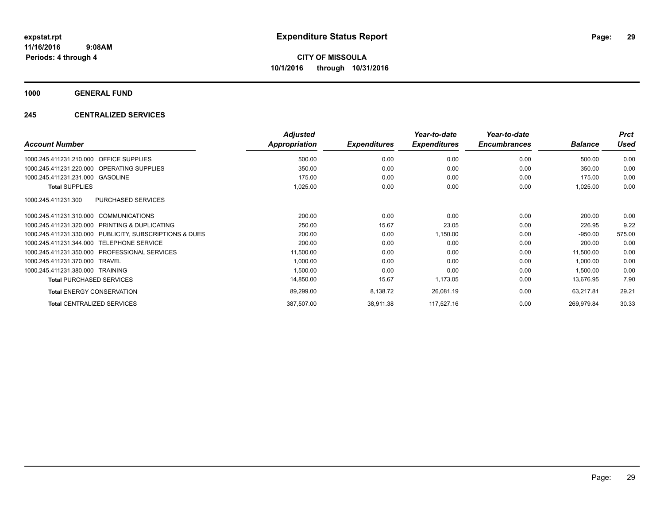**1000 GENERAL FUND**

### **245 CENTRALIZED SERVICES**

| <b>Account Number</b>                                   | <b>Adjusted</b><br>Appropriation | <b>Expenditures</b> | Year-to-date<br><b>Expenditures</b> | Year-to-date<br><b>Encumbrances</b> | <b>Balance</b> | <b>Prct</b><br><b>Used</b> |
|---------------------------------------------------------|----------------------------------|---------------------|-------------------------------------|-------------------------------------|----------------|----------------------------|
| <b>OFFICE SUPPLIES</b><br>1000.245.411231.210.000       | 500.00                           | 0.00                | 0.00                                | 0.00                                | 500.00         | 0.00                       |
| 1000.245.411231.220.000 OPERATING SUPPLIES              | 350.00                           | 0.00                | 0.00                                | 0.00                                | 350.00         | 0.00                       |
| 1000.245.411231.231.000 GASOLINE                        | 175.00                           | 0.00                | 0.00                                | 0.00                                | 175.00         | 0.00                       |
| <b>Total SUPPLIES</b>                                   | 1,025.00                         | 0.00                | 0.00                                | 0.00                                | 1,025.00       | 0.00                       |
| 1000.245.411231.300<br><b>PURCHASED SERVICES</b>        |                                  |                     |                                     |                                     |                |                            |
| 1000.245.411231.310.000 COMMUNICATIONS                  | 200.00                           | 0.00                | 0.00                                | 0.00                                | 200.00         | 0.00                       |
| PRINTING & DUPLICATING<br>1000.245.411231.320.000       | 250.00                           | 15.67               | 23.05                               | 0.00                                | 226.95         | 9.22                       |
| 1000.245.411231.330.000 PUBLICITY, SUBSCRIPTIONS & DUES | 200.00                           | 0.00                | 1,150.00                            | 0.00                                | $-950.00$      | 575.00                     |
| 1000.245.411231.344.000 TELEPHONE SERVICE               | 200.00                           | 0.00                | 0.00                                | 0.00                                | 200.00         | 0.00                       |
| 1000.245.411231.350.000 PROFESSIONAL SERVICES           | 11,500.00                        | 0.00                | 0.00                                | 0.00                                | 11,500.00      | 0.00                       |
| 1000.245.411231.370.000 TRAVEL                          | 1,000.00                         | 0.00                | 0.00                                | 0.00                                | 1,000.00       | 0.00                       |
| 1000.245.411231.380.000 TRAINING                        | 1,500.00                         | 0.00                | 0.00                                | 0.00                                | 1,500.00       | 0.00                       |
| <b>Total PURCHASED SERVICES</b>                         | 14,850.00                        | 15.67               | 1,173.05                            | 0.00                                | 13,676.95      | 7.90                       |
| <b>Total ENERGY CONSERVATION</b>                        | 89,299.00                        | 8,138.72            | 26,081.19                           | 0.00                                | 63,217.81      | 29.21                      |
| <b>Total CENTRALIZED SERVICES</b>                       | 387,507.00                       | 38,911.38           | 117,527.16                          | 0.00                                | 269,979.84     | 30.33                      |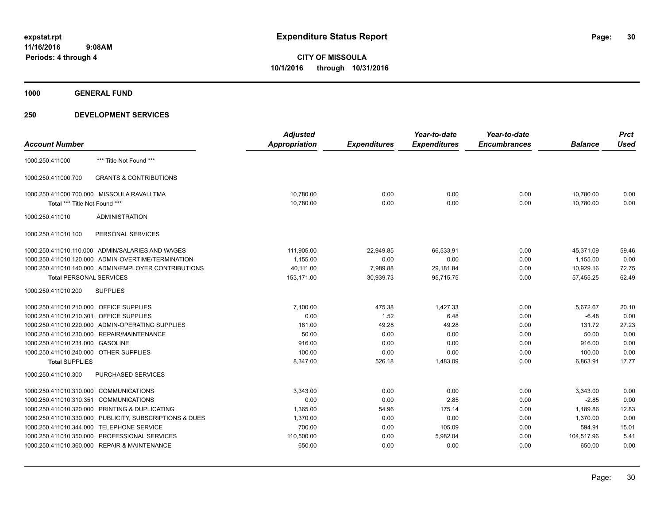**1000 GENERAL FUND**

|                                                            | <b>Adjusted</b>      |                     | Year-to-date        | Year-to-date        |                | <b>Prct</b> |
|------------------------------------------------------------|----------------------|---------------------|---------------------|---------------------|----------------|-------------|
|                                                            | <b>Appropriation</b> | <b>Expenditures</b> | <b>Expenditures</b> | <b>Encumbrances</b> | <b>Balance</b> | <b>Used</b> |
| *** Title Not Found ***                                    |                      |                     |                     |                     |                |             |
| <b>GRANTS &amp; CONTRIBUTIONS</b>                          |                      |                     |                     |                     |                |             |
| 1000.250.411000.700.000 MISSOULA RAVALI TMA                | 10,780.00            | 0.00                | 0.00                | 0.00                | 10,780.00      | 0.00        |
| Total *** Title Not Found ***                              | 10,780.00            | 0.00                | 0.00                | 0.00                | 10,780.00      | 0.00        |
| <b>ADMINISTRATION</b>                                      |                      |                     |                     |                     |                |             |
| PERSONAL SERVICES                                          |                      |                     |                     |                     |                |             |
| 1000.250.411010.110.000 ADMIN/SALARIES AND WAGES           | 111,905.00           | 22,949.85           | 66,533.91           | 0.00                | 45.371.09      | 59.46       |
| 1000.250.411010.120.000 ADMIN-OVERTIME/TERMINATION         | 1,155.00             | 0.00                | 0.00                | 0.00                | 1,155.00       | 0.00        |
| 1000.250.411010.140.000 ADMIN/EMPLOYER CONTRIBUTIONS       | 40,111.00            | 7,989.88            | 29,181.84           | 0.00                | 10,929.16      | 72.75       |
| <b>Total PERSONAL SERVICES</b>                             | 153,171.00           | 30,939.73           | 95,715.75           | 0.00                | 57,455.25      | 62.49       |
| <b>SUPPLIES</b>                                            |                      |                     |                     |                     |                |             |
| 1000.250.411010.210.000 OFFICE SUPPLIES                    | 7.100.00             | 475.38              | 1.427.33            | 0.00                | 5,672.67       | 20.10       |
| OFFICE SUPPLIES<br>1000.250.411010.210.301                 | 0.00                 | 1.52                | 6.48                | 0.00                | $-6.48$        | 0.00        |
| ADMIN-OPERATING SUPPLIES<br>1000.250.411010.220.000        | 181.00               | 49.28               | 49.28               | 0.00                | 131.72         | 27.23       |
| REPAIR/MAINTENANCE<br>1000.250.411010.230.000              | 50.00                | 0.00                | 0.00                | 0.00                | 50.00          | 0.00        |
| 1000.250.411010.231.000<br><b>GASOLINE</b>                 | 916.00               | 0.00                | 0.00                | 0.00                | 916.00         | 0.00        |
| 1000.250.411010.240.000 OTHER SUPPLIES                     | 100.00               | 0.00                | 0.00                | 0.00                | 100.00         | 0.00        |
| <b>Total SUPPLIES</b>                                      | 8,347.00             | 526.18              | 1,483.09            | 0.00                | 6,863.91       | 17.77       |
| PURCHASED SERVICES                                         |                      |                     |                     |                     |                |             |
| <b>COMMUNICATIONS</b><br>1000.250.411010.310.000           | 3,343.00             | 0.00                | 0.00                | 0.00                | 3,343.00       | 0.00        |
| <b>COMMUNICATIONS</b><br>1000.250.411010.310.351           | 0.00                 | 0.00                | 2.85                | 0.00                | $-2.85$        | 0.00        |
| 1000.250.411010.320.000<br>PRINTING & DUPLICATING          | 1,365.00             | 54.96               | 175.14              | 0.00                | 1,189.86       | 12.83       |
| PUBLICITY, SUBSCRIPTIONS & DUES<br>1000.250.411010.330.000 | 1,370.00             | 0.00                | 0.00                | 0.00                | 1,370.00       | 0.00        |
| <b>TELEPHONE SERVICE</b><br>1000.250.411010.344.000        | 700.00               | 0.00                | 105.09              | 0.00                | 594.91         | 15.01       |
| PROFESSIONAL SERVICES<br>1000.250.411010.350.000           | 110,500.00           | 0.00                | 5,982.04            | 0.00                | 104,517.96     | 5.41        |
| 1000.250.411010.360.000 REPAIR & MAINTENANCE               | 650.00               | 0.00                | 0.00                | 0.00                | 650.00         | 0.00        |
|                                                            |                      |                     |                     |                     |                |             |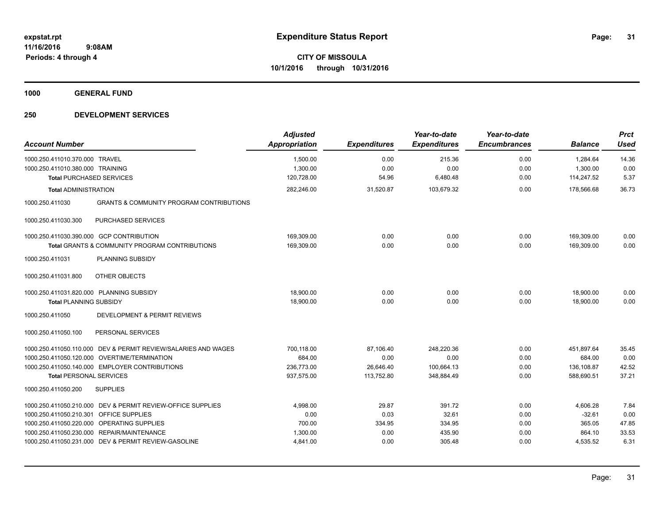**1000 GENERAL FUND**

| <b>Account Number</b>                                                  | <b>Adjusted</b><br><b>Appropriation</b> | <b>Expenditures</b> | Year-to-date<br><b>Expenditures</b> | Year-to-date<br><b>Encumbrances</b> | <b>Balance</b> | <b>Prct</b><br><b>Used</b> |
|------------------------------------------------------------------------|-----------------------------------------|---------------------|-------------------------------------|-------------------------------------|----------------|----------------------------|
| 1000.250.411010.370.000<br><b>TRAVEL</b>                               | 1,500.00                                | 0.00                | 215.36                              | 0.00                                | 1,284.64       | 14.36                      |
| 1000.250.411010.380.000 TRAINING                                       | 1,300.00                                | 0.00                | 0.00                                | 0.00                                | 1,300.00       | 0.00                       |
| <b>Total PURCHASED SERVICES</b>                                        | 120,728.00                              | 54.96               | 6,480.48                            | 0.00                                | 114,247.52     | 5.37                       |
| <b>Total ADMINISTRATION</b>                                            | 282,246.00                              | 31,520.87           | 103,679.32                          | 0.00                                | 178,566.68     | 36.73                      |
| <b>GRANTS &amp; COMMUNITY PROGRAM CONTRIBUTIONS</b><br>1000.250.411030 |                                         |                     |                                     |                                     |                |                            |
| 1000.250.411030.300<br>PURCHASED SERVICES                              |                                         |                     |                                     |                                     |                |                            |
| 1000.250.411030.390.000 GCP CONTRIBUTION                               | 169,309.00                              | 0.00                | 0.00                                | 0.00                                | 169.309.00     | 0.00                       |
| <b>Total GRANTS &amp; COMMUNITY PROGRAM CONTRIBUTIONS</b>              | 169,309.00                              | 0.00                | 0.00                                | 0.00                                | 169.309.00     | 0.00                       |
| PLANNING SUBSIDY<br>1000.250.411031                                    |                                         |                     |                                     |                                     |                |                            |
| OTHER OBJECTS<br>1000.250.411031.800                                   |                                         |                     |                                     |                                     |                |                            |
| 1000.250.411031.820.000 PLANNING SUBSIDY                               | 18,900.00                               | 0.00                | 0.00                                | 0.00                                | 18,900.00      | 0.00                       |
| <b>Total PLANNING SUBSIDY</b>                                          | 18,900.00                               | 0.00                | 0.00                                | 0.00                                | 18,900.00      | 0.00                       |
| 1000.250.411050<br>DEVELOPMENT & PERMIT REVIEWS                        |                                         |                     |                                     |                                     |                |                            |
| PERSONAL SERVICES<br>1000.250.411050.100                               |                                         |                     |                                     |                                     |                |                            |
| 1000.250.411050.110.000 DEV & PERMIT REVIEW/SALARIES AND WAGES         | 700,118.00                              | 87,106.40           | 248,220.36                          | 0.00                                | 451,897.64     | 35.45                      |
| 1000.250.411050.120.000 OVERTIME/TERMINATION                           | 684.00                                  | 0.00                | 0.00                                | 0.00                                | 684.00         | 0.00                       |
| 1000.250.411050.140.000 EMPLOYER CONTRIBUTIONS                         | 236,773.00                              | 26,646.40           | 100,664.13                          | 0.00                                | 136,108.87     | 42.52                      |
| <b>Total PERSONAL SERVICES</b>                                         | 937,575.00                              | 113,752.80          | 348,884.49                          | 0.00                                | 588,690.51     | 37.21                      |
| <b>SUPPLIES</b><br>1000.250.411050.200                                 |                                         |                     |                                     |                                     |                |                            |
| DEV & PERMIT REVIEW-OFFICE SUPPLIES<br>1000.250.411050.210.000         | 4,998.00                                | 29.87               | 391.72                              | 0.00                                | 4,606.28       | 7.84                       |
| <b>OFFICE SUPPLIES</b><br>1000.250.411050.210.301                      | 0.00                                    | 0.03                | 32.61                               | 0.00                                | $-32.61$       | 0.00                       |
| 1000.250.411050.220.000 OPERATING SUPPLIES                             | 700.00                                  | 334.95              | 334.95                              | 0.00                                | 365.05         | 47.85                      |
| 1000.250.411050.230.000<br><b>REPAIR/MAINTENANCE</b>                   | 1,300.00                                | 0.00                | 435.90                              | 0.00                                | 864.10         | 33.53                      |
| 1000.250.411050.231.000 DEV & PERMIT REVIEW-GASOLINE                   | 4,841.00                                | 0.00                | 305.48                              | 0.00                                | 4,535.52       | 6.31                       |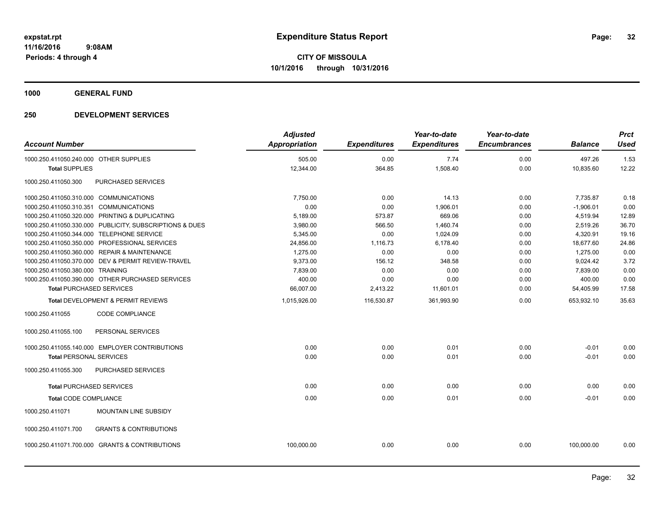**1000 GENERAL FUND**

|                                        |                                                         | <b>Adjusted</b>      |                     | Year-to-date        | Year-to-date        |                | <b>Prct</b> |
|----------------------------------------|---------------------------------------------------------|----------------------|---------------------|---------------------|---------------------|----------------|-------------|
| <b>Account Number</b>                  |                                                         | <b>Appropriation</b> | <b>Expenditures</b> | <b>Expenditures</b> | <b>Encumbrances</b> | <b>Balance</b> | <b>Used</b> |
| 1000.250.411050.240.000 OTHER SUPPLIES |                                                         | 505.00               | 0.00                | 7.74                | 0.00                | 497.26         | 1.53        |
| <b>Total SUPPLIES</b>                  |                                                         | 12,344.00            | 364.85              | 1,508.40            | 0.00                | 10,835.60      | 12.22       |
| 1000.250.411050.300                    | PURCHASED SERVICES                                      |                      |                     |                     |                     |                |             |
| 1000.250.411050.310.000 COMMUNICATIONS |                                                         | 7,750.00             | 0.00                | 14.13               | 0.00                | 7,735.87       | 0.18        |
| 1000.250.411050.310.351 COMMUNICATIONS |                                                         | 0.00                 | 0.00                | 1,906.01            | 0.00                | $-1,906.01$    | 0.00        |
|                                        | 1000.250.411050.320.000 PRINTING & DUPLICATING          | 5,189.00             | 573.87              | 669.06              | 0.00                | 4,519.94       | 12.89       |
|                                        | 1000.250.411050.330.000 PUBLICITY, SUBSCRIPTIONS & DUES | 3,980.00             | 566.50              | 1,460.74            | 0.00                | 2,519.26       | 36.70       |
|                                        | 1000.250.411050.344.000 TELEPHONE SERVICE               | 5,345.00             | 0.00                | 1,024.09            | 0.00                | 4,320.91       | 19.16       |
|                                        | 1000.250.411050.350.000 PROFESSIONAL SERVICES           | 24,856.00            | 1,116.73            | 6,178.40            | 0.00                | 18,677.60      | 24.86       |
|                                        | 1000.250.411050.360.000 REPAIR & MAINTENANCE            | 1,275.00             | 0.00                | 0.00                | 0.00                | 1,275.00       | 0.00        |
|                                        | 1000.250.411050.370.000 DEV & PERMIT REVIEW-TRAVEL      | 9,373.00             | 156.12              | 348.58              | 0.00                | 9,024.42       | 3.72        |
| 1000.250.411050.380.000 TRAINING       |                                                         | 7,839.00             | 0.00                | 0.00                | 0.00                | 7,839.00       | 0.00        |
|                                        | 1000.250.411050.390.000 OTHER PURCHASED SERVICES        | 400.00               | 0.00                | 0.00                | 0.00                | 400.00         | 0.00        |
| <b>Total PURCHASED SERVICES</b>        |                                                         | 66,007.00            | 2,413.22            | 11,601.01           | 0.00                | 54,405.99      | 17.58       |
|                                        | Total DEVELOPMENT & PERMIT REVIEWS                      | 1,015,926.00         | 116,530.87          | 361,993.90          | 0.00                | 653,932.10     | 35.63       |
| 1000.250.411055                        | <b>CODE COMPLIANCE</b>                                  |                      |                     |                     |                     |                |             |
| 1000.250.411055.100                    | PERSONAL SERVICES                                       |                      |                     |                     |                     |                |             |
|                                        | 1000.250.411055.140.000 EMPLOYER CONTRIBUTIONS          | 0.00                 | 0.00                | 0.01                | 0.00                | $-0.01$        | 0.00        |
| <b>Total PERSONAL SERVICES</b>         |                                                         | 0.00                 | 0.00                | 0.01                | 0.00                | $-0.01$        | 0.00        |
| 1000.250.411055.300                    | PURCHASED SERVICES                                      |                      |                     |                     |                     |                |             |
| <b>Total PURCHASED SERVICES</b>        |                                                         | 0.00                 | 0.00                | 0.00                | 0.00                | 0.00           | 0.00        |
| <b>Total CODE COMPLIANCE</b>           |                                                         | 0.00                 | 0.00                | 0.01                | 0.00                | $-0.01$        | 0.00        |
| 1000.250.411071                        | <b>MOUNTAIN LINE SUBSIDY</b>                            |                      |                     |                     |                     |                |             |
| 1000.250.411071.700                    | <b>GRANTS &amp; CONTRIBUTIONS</b>                       |                      |                     |                     |                     |                |             |
|                                        | 1000.250.411071.700.000 GRANTS & CONTRIBUTIONS          | 100,000.00           | 0.00                | 0.00                | 0.00                | 100,000.00     | 0.00        |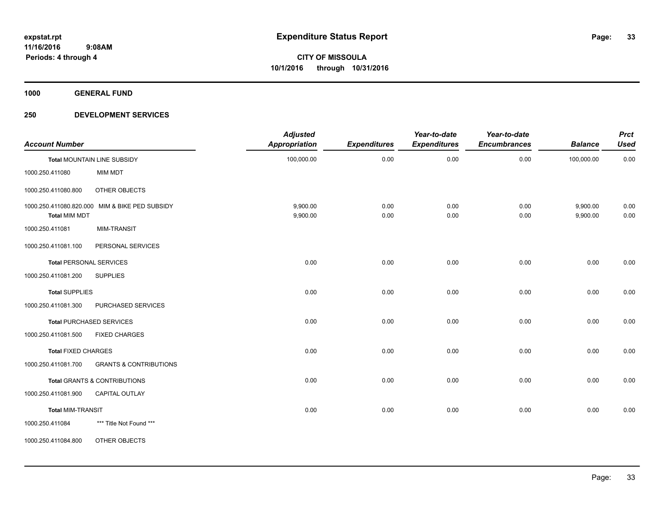**1000 GENERAL FUND**

| <b>Account Number</b>      |                                                | <b>Adjusted</b><br><b>Appropriation</b> | <b>Expenditures</b> | Year-to-date<br><b>Expenditures</b> | Year-to-date<br><b>Encumbrances</b> | <b>Balance</b>       | <b>Prct</b><br><b>Used</b> |
|----------------------------|------------------------------------------------|-----------------------------------------|---------------------|-------------------------------------|-------------------------------------|----------------------|----------------------------|
|                            | Total MOUNTAIN LINE SUBSIDY                    | 100,000.00                              | 0.00                | 0.00                                | 0.00                                | 100,000.00           | 0.00                       |
| 1000.250.411080            | MIM MDT                                        |                                         |                     |                                     |                                     |                      |                            |
| 1000.250.411080.800        | OTHER OBJECTS                                  |                                         |                     |                                     |                                     |                      |                            |
| <b>Total MIM MDT</b>       | 1000.250.411080.820.000 MIM & BIKE PED SUBSIDY | 9,900.00<br>9,900.00                    | 0.00<br>0.00        | 0.00<br>0.00                        | 0.00<br>0.00                        | 9,900.00<br>9,900.00 | 0.00<br>0.00               |
| 1000.250.411081            | <b>MIM-TRANSIT</b>                             |                                         |                     |                                     |                                     |                      |                            |
| 1000.250.411081.100        | PERSONAL SERVICES                              |                                         |                     |                                     |                                     |                      |                            |
|                            | <b>Total PERSONAL SERVICES</b>                 | 0.00                                    | 0.00                | 0.00                                | 0.00                                | 0.00                 | 0.00                       |
| 1000.250.411081.200        | <b>SUPPLIES</b>                                |                                         |                     |                                     |                                     |                      |                            |
| <b>Total SUPPLIES</b>      |                                                | 0.00                                    | 0.00                | 0.00                                | 0.00                                | 0.00                 | 0.00                       |
| 1000.250.411081.300        | PURCHASED SERVICES                             |                                         |                     |                                     |                                     |                      |                            |
|                            | <b>Total PURCHASED SERVICES</b>                | 0.00                                    | 0.00                | 0.00                                | 0.00                                | 0.00                 | 0.00                       |
| 1000.250.411081.500        | <b>FIXED CHARGES</b>                           |                                         |                     |                                     |                                     |                      |                            |
| <b>Total FIXED CHARGES</b> |                                                | 0.00                                    | 0.00                | 0.00                                | 0.00                                | 0.00                 | 0.00                       |
| 1000.250.411081.700        | <b>GRANTS &amp; CONTRIBUTIONS</b>              |                                         |                     |                                     |                                     |                      |                            |
|                            | <b>Total GRANTS &amp; CONTRIBUTIONS</b>        | 0.00                                    | 0.00                | 0.00                                | 0.00                                | 0.00                 | 0.00                       |
| 1000.250.411081.900        | <b>CAPITAL OUTLAY</b>                          |                                         |                     |                                     |                                     |                      |                            |
| <b>Total MIM-TRANSIT</b>   |                                                | 0.00                                    | 0.00                | 0.00                                | 0.00                                | 0.00                 | 0.00                       |
| 1000.250.411084            | *** Title Not Found ***                        |                                         |                     |                                     |                                     |                      |                            |
| 1000.250.411084.800        | <b>OTHER OBJECTS</b>                           |                                         |                     |                                     |                                     |                      |                            |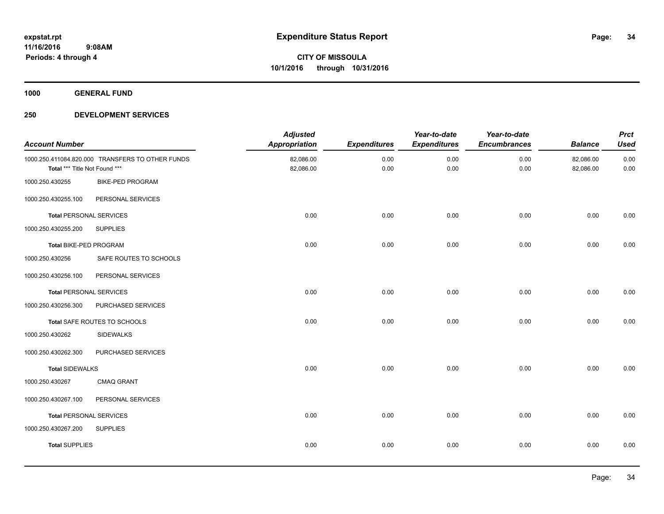**1000 GENERAL FUND**

| <b>Account Number</b>          |                                                  | <b>Adjusted</b><br><b>Appropriation</b> | <b>Expenditures</b> | Year-to-date<br><b>Expenditures</b> | Year-to-date<br><b>Encumbrances</b> | <b>Balance</b>         | <b>Prct</b><br><b>Used</b> |
|--------------------------------|--------------------------------------------------|-----------------------------------------|---------------------|-------------------------------------|-------------------------------------|------------------------|----------------------------|
| Total *** Title Not Found ***  | 1000.250.411084.820.000 TRANSFERS TO OTHER FUNDS | 82,086.00<br>82,086.00                  | 0.00<br>0.00        | 0.00<br>0.00                        | 0.00<br>0.00                        | 82,086.00<br>82,086.00 | 0.00<br>0.00               |
| 1000.250.430255                | <b>BIKE-PED PROGRAM</b>                          |                                         |                     |                                     |                                     |                        |                            |
| 1000.250.430255.100            | PERSONAL SERVICES                                |                                         |                     |                                     |                                     |                        |                            |
| <b>Total PERSONAL SERVICES</b> |                                                  | 0.00                                    | 0.00                | 0.00                                | 0.00                                | 0.00                   | 0.00                       |
| 1000.250.430255.200            | <b>SUPPLIES</b>                                  |                                         |                     |                                     |                                     |                        |                            |
| Total BIKE-PED PROGRAM         |                                                  | 0.00                                    | 0.00                | 0.00                                | 0.00                                | 0.00                   | 0.00                       |
| 1000.250.430256                | SAFE ROUTES TO SCHOOLS                           |                                         |                     |                                     |                                     |                        |                            |
| 1000.250.430256.100            | PERSONAL SERVICES                                |                                         |                     |                                     |                                     |                        |                            |
| <b>Total PERSONAL SERVICES</b> |                                                  | 0.00                                    | 0.00                | 0.00                                | 0.00                                | 0.00                   | 0.00                       |
| 1000.250.430256.300            | PURCHASED SERVICES                               |                                         |                     |                                     |                                     |                        |                            |
|                                | Total SAFE ROUTES TO SCHOOLS                     | 0.00                                    | 0.00                | 0.00                                | 0.00                                | 0.00                   | 0.00                       |
| 1000.250.430262                | <b>SIDEWALKS</b>                                 |                                         |                     |                                     |                                     |                        |                            |
| 1000.250.430262.300            | PURCHASED SERVICES                               |                                         |                     |                                     |                                     |                        |                            |
| <b>Total SIDEWALKS</b>         |                                                  | 0.00                                    | 0.00                | 0.00                                | 0.00                                | 0.00                   | 0.00                       |
| 1000.250.430267                | <b>CMAQ GRANT</b>                                |                                         |                     |                                     |                                     |                        |                            |
| 1000.250.430267.100            | PERSONAL SERVICES                                |                                         |                     |                                     |                                     |                        |                            |
| <b>Total PERSONAL SERVICES</b> |                                                  | 0.00                                    | 0.00                | 0.00                                | 0.00                                | 0.00                   | 0.00                       |
| 1000.250.430267.200            | <b>SUPPLIES</b>                                  |                                         |                     |                                     |                                     |                        |                            |
| <b>Total SUPPLIES</b>          |                                                  | 0.00                                    | 0.00                | 0.00                                | 0.00                                | 0.00                   | 0.00                       |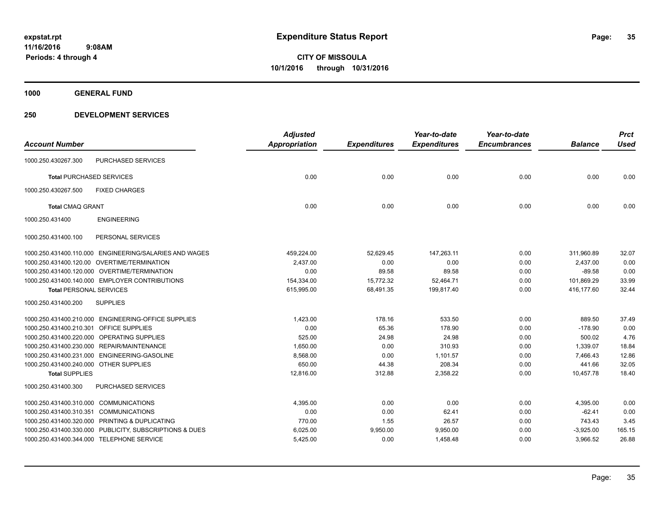**1000 GENERAL FUND**

|                                        |                                                         | <b>Adjusted</b>      |                     | Year-to-date        | Year-to-date        |                | <b>Prct</b> |
|----------------------------------------|---------------------------------------------------------|----------------------|---------------------|---------------------|---------------------|----------------|-------------|
| <b>Account Number</b>                  |                                                         | <b>Appropriation</b> | <b>Expenditures</b> | <b>Expenditures</b> | <b>Encumbrances</b> | <b>Balance</b> | <b>Used</b> |
| 1000.250.430267.300                    | PURCHASED SERVICES                                      |                      |                     |                     |                     |                |             |
| <b>Total PURCHASED SERVICES</b>        |                                                         | 0.00                 | 0.00                | 0.00                | 0.00                | 0.00           | 0.00        |
| 1000.250.430267.500                    | <b>FIXED CHARGES</b>                                    |                      |                     |                     |                     |                |             |
| <b>Total CMAQ GRANT</b>                |                                                         | 0.00                 | 0.00                | 0.00                | 0.00                | 0.00           | 0.00        |
| 1000.250.431400                        | <b>ENGINEERING</b>                                      |                      |                     |                     |                     |                |             |
| 1000.250.431400.100                    | PERSONAL SERVICES                                       |                      |                     |                     |                     |                |             |
|                                        | 1000.250.431400.110.000 ENGINEERING/SALARIES AND WAGES  | 459,224.00           | 52,629.45           | 147,263.11          | 0.00                | 311,960.89     | 32.07       |
|                                        | 1000.250.431400.120.00 OVERTIME/TERMINATION             | 2,437.00             | 0.00                | 0.00                | 0.00                | 2,437.00       | 0.00        |
|                                        | 1000.250.431400.120.000 OVERTIME/TERMINATION            | 0.00                 | 89.58               | 89.58               | 0.00                | $-89.58$       | 0.00        |
|                                        | 1000.250.431400.140.000 EMPLOYER CONTRIBUTIONS          | 154,334.00           | 15,772.32           | 52,464.71           | 0.00                | 101,869.29     | 33.99       |
| <b>Total PERSONAL SERVICES</b>         |                                                         | 615,995.00           | 68,491.35           | 199,817.40          | 0.00                | 416,177.60     | 32.44       |
| 1000.250.431400.200                    | <b>SUPPLIES</b>                                         |                      |                     |                     |                     |                |             |
|                                        | 1000.250.431400.210.000 ENGINEERING-OFFICE SUPPLIES     | 1,423.00             | 178.16              | 533.50              | 0.00                | 889.50         | 37.49       |
| 1000.250.431400.210.301                | <b>OFFICE SUPPLIES</b>                                  | 0.00                 | 65.36               | 178.90              | 0.00                | $-178.90$      | 0.00        |
|                                        | 1000.250.431400.220.000 OPERATING SUPPLIES              | 525.00               | 24.98               | 24.98               | 0.00                | 500.02         | 4.76        |
|                                        | 1000.250.431400.230.000 REPAIR/MAINTENANCE              | 1,650.00             | 0.00                | 310.93              | 0.00                | 1,339.07       | 18.84       |
|                                        | 1000.250.431400.231.000 ENGINEERING-GASOLINE            | 8,568.00             | 0.00                | 1,101.57            | 0.00                | 7,466.43       | 12.86       |
| 1000.250.431400.240.000 OTHER SUPPLIES |                                                         | 650.00               | 44.38               | 208.34              | 0.00                | 441.66         | 32.05       |
| <b>Total SUPPLIES</b>                  |                                                         | 12,816.00            | 312.88              | 2,358.22            | 0.00                | 10,457.78      | 18.40       |
| 1000.250.431400.300                    | PURCHASED SERVICES                                      |                      |                     |                     |                     |                |             |
| 1000.250.431400.310.000 COMMUNICATIONS |                                                         | 4,395.00             | 0.00                | 0.00                | 0.00                | 4,395.00       | 0.00        |
| 1000.250.431400.310.351 COMMUNICATIONS |                                                         | 0.00                 | 0.00                | 62.41               | 0.00                | $-62.41$       | 0.00        |
|                                        | 1000.250.431400.320.000 PRINTING & DUPLICATING          | 770.00               | 1.55                | 26.57               | 0.00                | 743.43         | 3.45        |
|                                        | 1000.250.431400.330.000 PUBLICITY, SUBSCRIPTIONS & DUES | 6,025.00             | 9,950.00            | 9,950.00            | 0.00                | $-3,925.00$    | 165.15      |
|                                        | 1000.250.431400.344.000 TELEPHONE SERVICE               | 5,425.00             | 0.00                | 1,458.48            | 0.00                | 3,966.52       | 26.88       |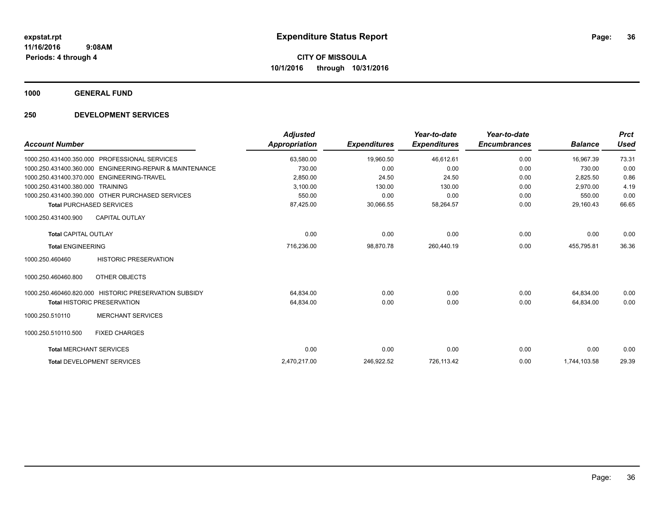**1000 GENERAL FUND**

| <b>Account Number</b>           |                                                       | <b>Adjusted</b><br><b>Appropriation</b> | <b>Expenditures</b> | Year-to-date<br><b>Expenditures</b> | Year-to-date<br><b>Encumbrances</b> | <b>Balance</b> | <b>Prct</b><br><b>Used</b> |
|---------------------------------|-------------------------------------------------------|-----------------------------------------|---------------------|-------------------------------------|-------------------------------------|----------------|----------------------------|
| 1000.250.431400.350.000         | PROFESSIONAL SERVICES                                 | 63,580.00                               | 19,960.50           | 46,612.61                           | 0.00                                | 16,967.39      | 73.31                      |
| 1000.250.431400.360.000         | <b>ENGINEERING-REPAIR &amp; MAINTENANCE</b>           | 730.00                                  | 0.00                | 0.00                                | 0.00                                | 730.00         | 0.00                       |
|                                 | 1000.250.431400.370.000 ENGINEERING-TRAVEL            | 2,850.00                                | 24.50               | 24.50                               | 0.00                                | 2,825.50       | 0.86                       |
| 1000.250.431400.380.000         | <b>TRAINING</b>                                       | 3,100.00                                | 130.00              | 130.00                              | 0.00                                | 2.970.00       | 4.19                       |
|                                 | 1000.250.431400.390.000 OTHER PURCHASED SERVICES      | 550.00                                  | 0.00                | 0.00                                | 0.00                                | 550.00         | 0.00                       |
| <b>Total PURCHASED SERVICES</b> |                                                       | 87,425.00                               | 30,066.55           | 58,264.57                           | 0.00                                | 29,160.43      | 66.65                      |
| 1000.250.431400.900             | <b>CAPITAL OUTLAY</b>                                 |                                         |                     |                                     |                                     |                |                            |
| <b>Total CAPITAL OUTLAY</b>     |                                                       | 0.00                                    | 0.00                | 0.00                                | 0.00                                | 0.00           | 0.00                       |
| <b>Total ENGINEERING</b>        |                                                       | 716,236.00                              | 98,870.78           | 260,440.19                          | 0.00                                | 455,795.81     | 36.36                      |
| 1000.250.460460                 | <b>HISTORIC PRESERVATION</b>                          |                                         |                     |                                     |                                     |                |                            |
| 1000.250.460460.800             | OTHER OBJECTS                                         |                                         |                     |                                     |                                     |                |                            |
|                                 | 1000.250.460460.820.000 HISTORIC PRESERVATION SUBSIDY | 64,834.00                               | 0.00                | 0.00                                | 0.00                                | 64.834.00      | 0.00                       |
|                                 | <b>Total HISTORIC PRESERVATION</b>                    | 64,834.00                               | 0.00                | 0.00                                | 0.00                                | 64.834.00      | 0.00                       |
| 1000.250.510110                 | <b>MERCHANT SERVICES</b>                              |                                         |                     |                                     |                                     |                |                            |
| 1000.250.510110.500             | <b>FIXED CHARGES</b>                                  |                                         |                     |                                     |                                     |                |                            |
| <b>Total MERCHANT SERVICES</b>  |                                                       | 0.00                                    | 0.00                | 0.00                                | 0.00                                | 0.00           | 0.00                       |
|                                 | <b>Total DEVELOPMENT SERVICES</b>                     | 2,470,217.00                            | 246,922.52          | 726,113.42                          | 0.00                                | 1,744,103.58   | 29.39                      |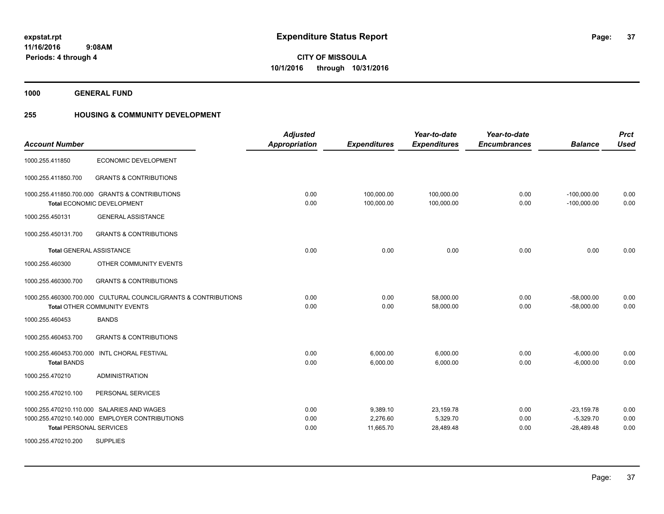**1000 GENERAL FUND**

# **255 HOUSING & COMMUNITY DEVELOPMENT**

| <b>Account Number</b>          |                                                                                                 | <b>Adjusted</b><br><b>Appropriation</b> | <b>Expenditures</b>               | Year-to-date<br><b>Expenditures</b> | Year-to-date<br><b>Encumbrances</b> | <b>Balance</b>                              | <b>Prct</b><br><b>Used</b> |
|--------------------------------|-------------------------------------------------------------------------------------------------|-----------------------------------------|-----------------------------------|-------------------------------------|-------------------------------------|---------------------------------------------|----------------------------|
| 1000.255.411850                | <b>ECONOMIC DEVELOPMENT</b>                                                                     |                                         |                                   |                                     |                                     |                                             |                            |
| 1000.255.411850.700            | <b>GRANTS &amp; CONTRIBUTIONS</b>                                                               |                                         |                                   |                                     |                                     |                                             |                            |
|                                | 1000.255.411850.700.000 GRANTS & CONTRIBUTIONS<br>Total ECONOMIC DEVELOPMENT                    | 0.00<br>0.00                            | 100,000.00<br>100,000.00          | 100,000.00<br>100,000.00            | 0.00<br>0.00                        | $-100,000.00$<br>$-100,000.00$              | 0.00<br>0.00               |
| 1000.255.450131                | <b>GENERAL ASSISTANCE</b>                                                                       |                                         |                                   |                                     |                                     |                                             |                            |
| 1000.255.450131.700            | <b>GRANTS &amp; CONTRIBUTIONS</b>                                                               |                                         |                                   |                                     |                                     |                                             |                            |
|                                | <b>Total GENERAL ASSISTANCE</b>                                                                 | 0.00                                    | 0.00                              | 0.00                                | 0.00                                | 0.00                                        | 0.00                       |
| 1000.255.460300                | OTHER COMMUNITY EVENTS                                                                          |                                         |                                   |                                     |                                     |                                             |                            |
| 1000.255.460300.700            | <b>GRANTS &amp; CONTRIBUTIONS</b>                                                               |                                         |                                   |                                     |                                     |                                             |                            |
|                                | 1000.255.460300.700.000 CULTURAL COUNCIL/GRANTS & CONTRIBUTIONS<br>Total OTHER COMMUNITY EVENTS | 0.00<br>0.00                            | 0.00<br>0.00                      | 58,000.00<br>58.000.00              | 0.00<br>0.00                        | $-58,000.00$<br>$-58.000.00$                | 0.00<br>0.00               |
| 1000.255.460453                | <b>BANDS</b>                                                                                    |                                         |                                   |                                     |                                     |                                             |                            |
| 1000.255.460453.700            | <b>GRANTS &amp; CONTRIBUTIONS</b>                                                               |                                         |                                   |                                     |                                     |                                             |                            |
| <b>Total BANDS</b>             | 1000.255.460453.700.000 INTL CHORAL FESTIVAL                                                    | 0.00<br>0.00                            | 6,000.00<br>6,000.00              | 6,000.00<br>6,000.00                | 0.00<br>0.00                        | $-6,000.00$<br>$-6,000.00$                  | 0.00<br>0.00               |
| 1000.255.470210                | <b>ADMINISTRATION</b>                                                                           |                                         |                                   |                                     |                                     |                                             |                            |
| 1000.255.470210.100            | PERSONAL SERVICES                                                                               |                                         |                                   |                                     |                                     |                                             |                            |
| <b>Total PERSONAL SERVICES</b> | 1000.255.470210.110.000 SALARIES AND WAGES<br>1000.255.470210.140.000 EMPLOYER CONTRIBUTIONS    | 0.00<br>0.00<br>0.00                    | 9,389.10<br>2,276.60<br>11,665.70 | 23,159.78<br>5,329.70<br>28,489.48  | 0.00<br>0.00<br>0.00                | $-23,159.78$<br>$-5,329.70$<br>$-28,489.48$ | 0.00<br>0.00<br>0.00       |
| 1000.255.470210.200            | <b>SUPPLIES</b>                                                                                 |                                         |                                   |                                     |                                     |                                             |                            |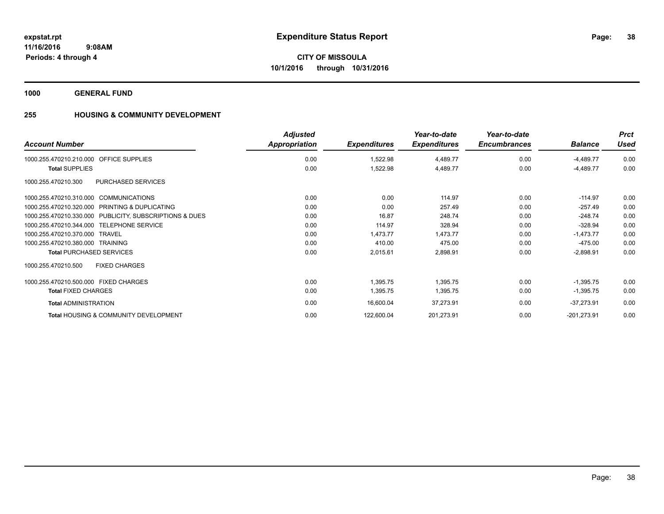**1000 GENERAL FUND**

# **255 HOUSING & COMMUNITY DEVELOPMENT**

| <b>Account Number</b>                                   | <b>Adjusted</b><br>Appropriation | <b>Expenditures</b> | Year-to-date<br><b>Expenditures</b> | Year-to-date<br><b>Encumbrances</b> | <b>Balance</b> | <b>Prct</b><br><b>Used</b> |
|---------------------------------------------------------|----------------------------------|---------------------|-------------------------------------|-------------------------------------|----------------|----------------------------|
| 1000.255.470210.210.000 OFFICE SUPPLIES                 | 0.00                             | 1,522.98            | 4,489.77                            | 0.00                                | $-4,489.77$    | 0.00                       |
| <b>Total SUPPLIES</b>                                   | 0.00                             | 1,522.98            | 4,489.77                            | 0.00                                | $-4,489.77$    | 0.00                       |
| <b>PURCHASED SERVICES</b><br>1000.255.470210.300        |                                  |                     |                                     |                                     |                |                            |
| 1000.255.470210.310.000<br><b>COMMUNICATIONS</b>        | 0.00                             | 0.00                | 114.97                              | 0.00                                | $-114.97$      | 0.00                       |
| 1000.255.470210.320.000 PRINTING & DUPLICATING          | 0.00                             | 0.00                | 257.49                              | 0.00                                | $-257.49$      | 0.00                       |
| 1000.255.470210.330.000 PUBLICITY, SUBSCRIPTIONS & DUES | 0.00                             | 16.87               | 248.74                              | 0.00                                | $-248.74$      | 0.00                       |
| 1000.255.470210.344.000 TELEPHONE SERVICE               | 0.00                             | 114.97              | 328.94                              | 0.00                                | $-328.94$      | 0.00                       |
| 1000.255.470210.370.000 TRAVEL                          | 0.00                             | 1.473.77            | 1,473.77                            | 0.00                                | $-1,473.77$    | 0.00                       |
| 1000.255.470210.380.000 TRAINING                        | 0.00                             | 410.00              | 475.00                              | 0.00                                | $-475.00$      | 0.00                       |
| <b>Total PURCHASED SERVICES</b>                         | 0.00                             | 2,015.61            | 2,898.91                            | 0.00                                | $-2,898.91$    | 0.00                       |
| 1000.255.470210.500<br><b>FIXED CHARGES</b>             |                                  |                     |                                     |                                     |                |                            |
| 1000.255.470210.500.000 FIXED CHARGES                   | 0.00                             | 1.395.75            | 1,395.75                            | 0.00                                | $-1,395.75$    | 0.00                       |
| <b>Total FIXED CHARGES</b>                              | 0.00                             | 1,395.75            | 1,395.75                            | 0.00                                | $-1,395.75$    | 0.00                       |
| <b>Total ADMINISTRATION</b>                             | 0.00                             | 16,600.04           | 37,273.91                           | 0.00                                | $-37,273.91$   | 0.00                       |
| <b>Total HOUSING &amp; COMMUNITY DEVELOPMENT</b>        | 0.00                             | 122,600.04          | 201,273.91                          | 0.00                                | $-201,273.91$  | 0.00                       |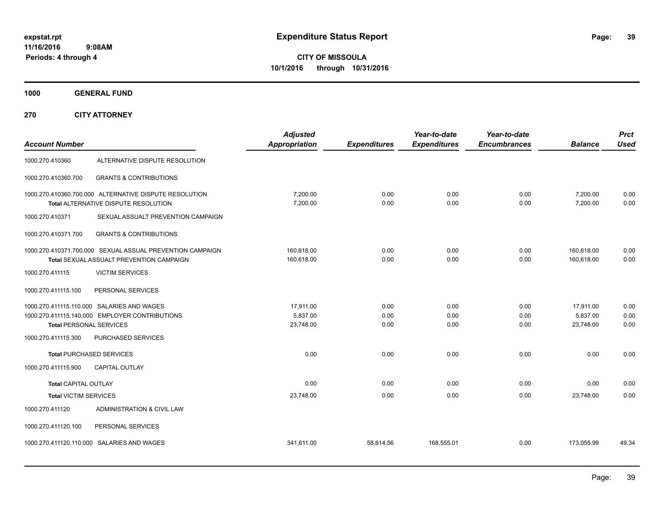**CITY OF MISSOULA 10/1/2016 through 10/31/2016**

**1000 GENERAL FUND**

**270 CITY ATTORNEY**

| <b>Account Number</b>          |                                                                                                       | <b>Adjusted</b><br>Appropriation   | <b>Expenditures</b>  | Year-to-date<br><b>Expenditures</b> | Year-to-date<br><b>Encumbrances</b> | <b>Balance</b>                     | <b>Prct</b><br><b>Used</b> |
|--------------------------------|-------------------------------------------------------------------------------------------------------|------------------------------------|----------------------|-------------------------------------|-------------------------------------|------------------------------------|----------------------------|
| 1000.270.410360                | ALTERNATIVE DISPUTE RESOLUTION                                                                        |                                    |                      |                                     |                                     |                                    |                            |
| 1000.270.410360.700            | <b>GRANTS &amp; CONTRIBUTIONS</b>                                                                     |                                    |                      |                                     |                                     |                                    |                            |
|                                | 1000.270.410360.700.000 ALTERNATIVE DISPUTE RESOLUTION<br>Total ALTERNATIVE DISPUTE RESOLUTION        | 7,200.00<br>7,200.00               | 0.00<br>0.00         | 0.00<br>0.00                        | 0.00<br>0.00                        | 7,200.00<br>7,200.00               | 0.00<br>0.00               |
| 1000.270.410371                | SEXUAL ASSUALT PREVENTION CAMPAIGN                                                                    |                                    |                      |                                     |                                     |                                    |                            |
| 1000.270.410371.700            | <b>GRANTS &amp; CONTRIBUTIONS</b>                                                                     |                                    |                      |                                     |                                     |                                    |                            |
|                                | 1000.270.410371.700.000 SEXUAL ASSUAL PREVENTION CAMPAIGN<br>Total SEXUAL ASSUALT PREVENTION CAMPAIGN | 160,618.00<br>160,618.00           | 0.00<br>0.00         | 0.00<br>0.00                        | 0.00<br>0.00                        | 160,618.00<br>160.618.00           | 0.00<br>0.00               |
| 1000.270.411115                | <b>VICTIM SERVICES</b>                                                                                |                                    |                      |                                     |                                     |                                    |                            |
| 1000.270.411115.100            | PERSONAL SERVICES                                                                                     |                                    |                      |                                     |                                     |                                    |                            |
| <b>Total PERSONAL SERVICES</b> | 1000.270.411115.110.000 SALARIES AND WAGES<br>1000.270.411115.140.000 EMPLOYER CONTRIBUTIONS          | 17.911.00<br>5,837.00<br>23,748.00 | 0.00<br>0.00<br>0.00 | 0.00<br>0.00<br>0.00                | 0.00<br>0.00<br>0.00                | 17,911.00<br>5,837.00<br>23,748.00 | 0.00<br>0.00<br>0.00       |
| 1000.270.411115.300            | PURCHASED SERVICES                                                                                    |                                    |                      |                                     |                                     |                                    |                            |
|                                | <b>Total PURCHASED SERVICES</b>                                                                       | 0.00                               | 0.00                 | 0.00                                | 0.00                                | 0.00                               | 0.00                       |
| 1000.270.411115.900            | CAPITAL OUTLAY                                                                                        |                                    |                      |                                     |                                     |                                    |                            |
| <b>Total CAPITAL OUTLAY</b>    |                                                                                                       | 0.00                               | 0.00                 | 0.00                                | 0.00                                | 0.00                               | 0.00                       |
| <b>Total VICTIM SERVICES</b>   |                                                                                                       | 23,748.00                          | 0.00                 | 0.00                                | 0.00                                | 23,748.00                          | 0.00                       |
| 1000.270.411120                | ADMINISTRATION & CIVIL LAW                                                                            |                                    |                      |                                     |                                     |                                    |                            |
| 1000.270.411120.100            | PERSONAL SERVICES                                                                                     |                                    |                      |                                     |                                     |                                    |                            |
|                                | 1000.270.411120.110.000 SALARIES AND WAGES                                                            | 341,611.00                         | 58,814.56            | 168,555.01                          | 0.00                                | 173,055.99                         | 49.34                      |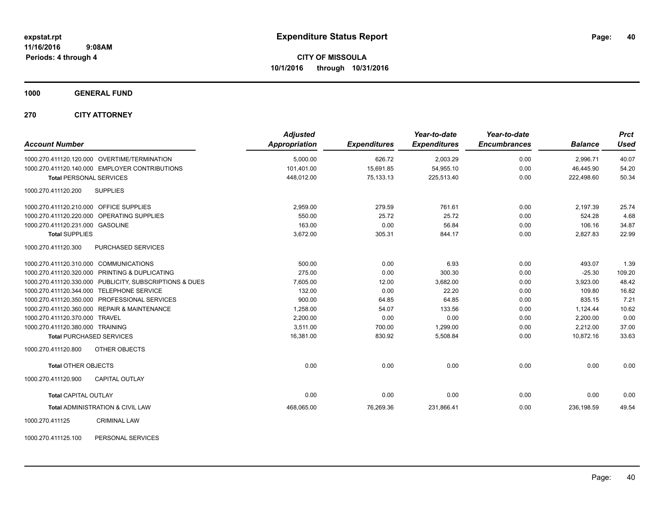**1000 GENERAL FUND**

**270 CITY ATTORNEY**

| <b>Account Number</b>                                   | <b>Adjusted</b><br>Appropriation | <b>Expenditures</b> | Year-to-date<br><b>Expenditures</b> | Year-to-date<br><b>Encumbrances</b> | <b>Balance</b> | <b>Prct</b><br><b>Used</b> |
|---------------------------------------------------------|----------------------------------|---------------------|-------------------------------------|-------------------------------------|----------------|----------------------------|
| 1000.270.411120.120.000 OVERTIME/TERMINATION            | 5,000.00                         | 626.72              | 2,003.29                            | 0.00                                | 2,996.71       | 40.07                      |
| 1000.270.411120.140.000 EMPLOYER CONTRIBUTIONS          | 101.401.00                       | 15.691.85           | 54,955.10                           | 0.00                                | 46.445.90      | 54.20                      |
| <b>Total PERSONAL SERVICES</b>                          | 448,012.00                       | 75,133.13           | 225,513.40                          | 0.00                                | 222,498.60     | 50.34                      |
| <b>SUPPLIES</b><br>1000.270.411120.200                  |                                  |                     |                                     |                                     |                |                            |
| 1000.270.411120.210.000 OFFICE SUPPLIES                 | 2.959.00                         | 279.59              | 761.61                              | 0.00                                | 2.197.39       | 25.74                      |
| 1000.270.411120.220.000 OPERATING SUPPLIES              | 550.00                           | 25.72               | 25.72                               | 0.00                                | 524.28         | 4.68                       |
| 1000.270.411120.231.000 GASOLINE                        | 163.00                           | 0.00                | 56.84                               | 0.00                                | 106.16         | 34.87                      |
| <b>Total SUPPLIES</b>                                   | 3,672.00                         | 305.31              | 844.17                              | 0.00                                | 2,827.83       | 22.99                      |
| 1000.270.411120.300<br><b>PURCHASED SERVICES</b>        |                                  |                     |                                     |                                     |                |                            |
| 1000.270.411120.310.000 COMMUNICATIONS                  | 500.00                           | 0.00                | 6.93                                | 0.00                                | 493.07         | 1.39                       |
| 1000.270.411120.320.000 PRINTING & DUPLICATING          | 275.00                           | 0.00                | 300.30                              | 0.00                                | $-25.30$       | 109.20                     |
| 1000.270.411120.330.000 PUBLICITY, SUBSCRIPTIONS & DUES | 7,605.00                         | 12.00               | 3,682.00                            | 0.00                                | 3,923.00       | 48.42                      |
| 1000.270.411120.344.000 TELEPHONE SERVICE               | 132.00                           | 0.00                | 22.20                               | 0.00                                | 109.80         | 16.82                      |
| 1000.270.411120.350.000 PROFESSIONAL SERVICES           | 900.00                           | 64.85               | 64.85                               | 0.00                                | 835.15         | 7.21                       |
| 1000.270.411120.360.000 REPAIR & MAINTENANCE            | 1.258.00                         | 54.07               | 133.56                              | 0.00                                | 1.124.44       | 10.62                      |
| 1000.270.411120.370.000 TRAVEL                          | 2,200.00                         | 0.00                | 0.00                                | 0.00                                | 2,200.00       | 0.00                       |
| 1000.270.411120.380.000 TRAINING                        | 3.511.00                         | 700.00              | 1,299.00                            | 0.00                                | 2.212.00       | 37.00                      |
| <b>Total PURCHASED SERVICES</b>                         | 16,381.00                        | 830.92              | 5,508.84                            | 0.00                                | 10,872.16      | 33.63                      |
| 1000.270.411120.800<br>OTHER OBJECTS                    |                                  |                     |                                     |                                     |                |                            |
| <b>Total OTHER OBJECTS</b>                              | 0.00                             | 0.00                | 0.00                                | 0.00                                | 0.00           | 0.00                       |
| 1000.270.411120.900<br><b>CAPITAL OUTLAY</b>            |                                  |                     |                                     |                                     |                |                            |
| <b>Total CAPITAL OUTLAY</b>                             | 0.00                             | 0.00                | 0.00                                | 0.00                                | 0.00           | 0.00                       |
| <b>Total ADMINISTRATION &amp; CIVIL LAW</b>             | 468,065.00                       | 76,269.36           | 231,866.41                          | 0.00                                | 236,198.59     | 49.54                      |
| 1000.270.411125<br><b>CRIMINAL LAW</b>                  |                                  |                     |                                     |                                     |                |                            |

1000.270.411125.100 PERSONAL SERVICES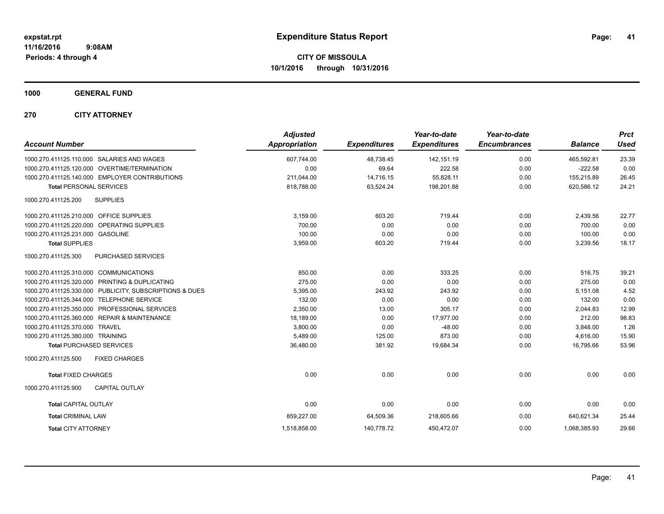**1000 GENERAL FUND**

**270 CITY ATTORNEY**

| <b>Account Number</b>                                   | <b>Adjusted</b><br>Appropriation | <b>Expenditures</b> | Year-to-date<br><b>Expenditures</b> | Year-to-date<br><b>Encumbrances</b> | <b>Balance</b> | <b>Prct</b><br><b>Used</b> |
|---------------------------------------------------------|----------------------------------|---------------------|-------------------------------------|-------------------------------------|----------------|----------------------------|
| 1000.270.411125.110.000 SALARIES AND WAGES              | 607,744.00                       | 48,738.45           | 142,151.19                          | 0.00                                | 465.592.81     | 23.39                      |
| 1000.270.411125.120.000 OVERTIME/TERMINATION            | 0.00                             | 69.64               | 222.58                              | 0.00                                | $-222.58$      | 0.00                       |
| 1000.270.411125.140.000 EMPLOYER CONTRIBUTIONS          | 211,044.00                       | 14,716.15           | 55,828.11                           | 0.00                                | 155,215.89     | 26.45                      |
| <b>Total PERSONAL SERVICES</b>                          | 818,788.00                       | 63,524.24           | 198,201.88                          | 0.00                                | 620,586.12     | 24.21                      |
| 1000.270.411125.200<br><b>SUPPLIES</b>                  |                                  |                     |                                     |                                     |                |                            |
| 1000.270.411125.210.000 OFFICE SUPPLIES                 | 3,159.00                         | 603.20              | 719.44                              | 0.00                                | 2,439.56       | 22.77                      |
| 1000.270.411125.220.000 OPERATING SUPPLIES              | 700.00                           | 0.00                | 0.00                                | 0.00                                | 700.00         | 0.00                       |
| 1000.270.411125.231.000 GASOLINE                        | 100.00                           | 0.00                | 0.00                                | 0.00                                | 100.00         | 0.00                       |
| <b>Total SUPPLIES</b>                                   | 3,959.00                         | 603.20              | 719.44                              | 0.00                                | 3,239.56       | 18.17                      |
| <b>PURCHASED SERVICES</b><br>1000.270.411125.300        |                                  |                     |                                     |                                     |                |                            |
| 1000.270.411125.310.000 COMMUNICATIONS                  | 850.00                           | 0.00                | 333.25                              | 0.00                                | 516.75         | 39.21                      |
| 1000.270.411125.320.000 PRINTING & DUPLICATING          | 275.00                           | 0.00                | 0.00                                | 0.00                                | 275.00         | 0.00                       |
| 1000.270.411125.330.000 PUBLICITY, SUBSCRIPTIONS & DUES | 5,395.00                         | 243.92              | 243.92                              | 0.00                                | 5,151.08       | 4.52                       |
| 1000.270.411125.344.000 TELEPHONE SERVICE               | 132.00                           | 0.00                | 0.00                                | 0.00                                | 132.00         | 0.00                       |
| 1000.270.411125.350.000 PROFESSIONAL SERVICES           | 2,350.00                         | 13.00               | 305.17                              | 0.00                                | 2,044.83       | 12.99                      |
| 1000.270.411125.360.000 REPAIR & MAINTENANCE            | 18,189.00                        | 0.00                | 17,977.00                           | 0.00                                | 212.00         | 98.83                      |
| 1000.270.411125.370.000 TRAVEL                          | 3,800.00                         | 0.00                | $-48.00$                            | 0.00                                | 3,848.00       | 1.26                       |
| 1000.270.411125.380.000 TRAINING                        | 5,489.00                         | 125.00              | 873.00                              | 0.00                                | 4,616.00       | 15.90                      |
| <b>Total PURCHASED SERVICES</b>                         | 36,480.00                        | 381.92              | 19,684.34                           | 0.00                                | 16,795.66      | 53.96                      |
| 1000.270.411125.500<br><b>FIXED CHARGES</b>             |                                  |                     |                                     |                                     |                |                            |
| <b>Total FIXED CHARGES</b>                              | 0.00                             | 0.00                | 0.00                                | 0.00                                | 0.00           | 0.00                       |
| 1000.270.411125.900<br><b>CAPITAL OUTLAY</b>            |                                  |                     |                                     |                                     |                |                            |
| <b>Total CAPITAL OUTLAY</b>                             | 0.00                             | 0.00                | 0.00                                | 0.00                                | 0.00           | 0.00                       |
| <b>Total CRIMINAL LAW</b>                               | 859,227.00                       | 64,509.36           | 218,605.66                          | 0.00                                | 640,621.34     | 25.44                      |
| <b>Total CITY ATTORNEY</b>                              | 1,518,858.00                     | 140,778.72          | 450,472.07                          | 0.00                                | 1,068,385.93   | 29.66                      |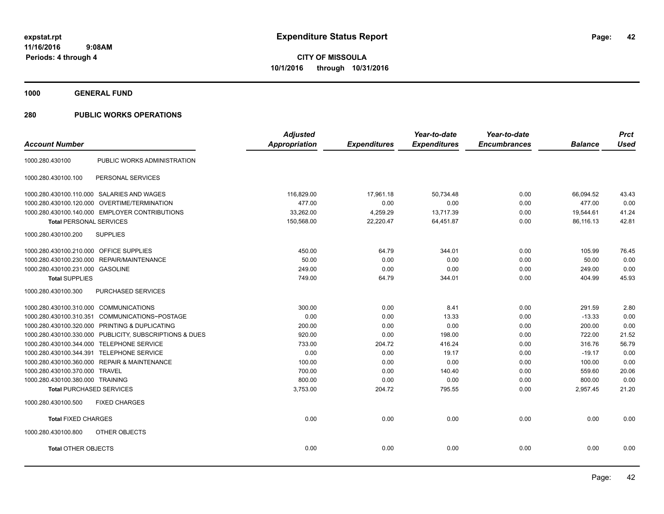**1000 GENERAL FUND**

|                                                         | <b>Adjusted</b> |                     | Year-to-date        | Year-to-date        |                | <b>Prct</b> |
|---------------------------------------------------------|-----------------|---------------------|---------------------|---------------------|----------------|-------------|
| <b>Account Number</b>                                   | Appropriation   | <b>Expenditures</b> | <b>Expenditures</b> | <b>Encumbrances</b> | <b>Balance</b> | <b>Used</b> |
| PUBLIC WORKS ADMINISTRATION<br>1000.280.430100          |                 |                     |                     |                     |                |             |
| PERSONAL SERVICES<br>1000.280.430100.100                |                 |                     |                     |                     |                |             |
| 1000.280.430100.110.000 SALARIES AND WAGES              | 116,829.00      | 17,961.18           | 50,734.48           | 0.00                | 66.094.52      | 43.43       |
| 1000.280.430100.120.000 OVERTIME/TERMINATION            | 477.00          | 0.00                | 0.00                | 0.00                | 477.00         | 0.00        |
| 1000.280.430100.140.000 EMPLOYER CONTRIBUTIONS          | 33,262.00       | 4,259.29            | 13,717.39           | 0.00                | 19,544.61      | 41.24       |
| <b>Total PERSONAL SERVICES</b>                          | 150,568.00      | 22,220.47           | 64,451.87           | 0.00                | 86,116.13      | 42.81       |
| 1000.280.430100.200<br><b>SUPPLIES</b>                  |                 |                     |                     |                     |                |             |
| 1000.280.430100.210.000 OFFICE SUPPLIES                 | 450.00          | 64.79               | 344.01              | 0.00                | 105.99         | 76.45       |
| 1000.280.430100.230.000 REPAIR/MAINTENANCE              | 50.00           | 0.00                | 0.00                | 0.00                | 50.00          | 0.00        |
| 1000.280.430100.231.000 GASOLINE                        | 249.00          | 0.00                | 0.00                | 0.00                | 249.00         | 0.00        |
| <b>Total SUPPLIES</b>                                   | 749.00          | 64.79               | 344.01              | 0.00                | 404.99         | 45.93       |
| 1000.280.430100.300<br><b>PURCHASED SERVICES</b>        |                 |                     |                     |                     |                |             |
| 1000.280.430100.310.000 COMMUNICATIONS                  | 300.00          | 0.00                | 8.41                | 0.00                | 291.59         | 2.80        |
| COMMUNICATIONS~POSTAGE<br>1000.280.430100.310.351       | 0.00            | 0.00                | 13.33               | 0.00                | $-13.33$       | 0.00        |
| 1000.280.430100.320.000 PRINTING & DUPLICATING          | 200.00          | 0.00                | 0.00                | 0.00                | 200.00         | 0.00        |
| 1000.280.430100.330.000 PUBLICITY, SUBSCRIPTIONS & DUES | 920.00          | 0.00                | 198.00              | 0.00                | 722.00         | 21.52       |
| 1000.280.430100.344.000 TELEPHONE SERVICE               | 733.00          | 204.72              | 416.24              | 0.00                | 316.76         | 56.79       |
| 1000.280.430100.344.391 TELEPHONE SERVICE               | 0.00            | 0.00                | 19.17               | 0.00                | $-19.17$       | 0.00        |
| 1000.280.430100.360.000 REPAIR & MAINTENANCE            | 100.00          | 0.00                | 0.00                | 0.00                | 100.00         | 0.00        |
| 1000.280.430100.370.000 TRAVEL                          | 700.00          | 0.00                | 140.40              | 0.00                | 559.60         | 20.06       |
| 1000.280.430100.380.000 TRAINING                        | 800.00          | 0.00                | 0.00                | 0.00                | 800.00         | 0.00        |
| <b>Total PURCHASED SERVICES</b>                         | 3,753.00        | 204.72              | 795.55              | 0.00                | 2,957.45       | 21.20       |
| <b>FIXED CHARGES</b><br>1000.280.430100.500             |                 |                     |                     |                     |                |             |
| <b>Total FIXED CHARGES</b>                              | 0.00            | 0.00                | 0.00                | 0.00                | 0.00           | 0.00        |
| 1000.280.430100.800<br>OTHER OBJECTS                    |                 |                     |                     |                     |                |             |
| <b>Total OTHER OBJECTS</b>                              | 0.00            | 0.00                | 0.00                | 0.00                | 0.00           | 0.00        |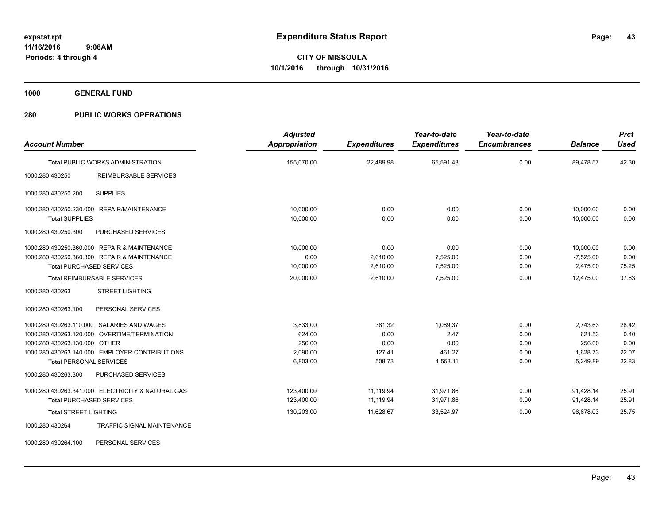**1000 GENERAL FUND**

# **280 PUBLIC WORKS OPERATIONS**

| <b>Account Number</b>                                           |                                                                                                                                              | <b>Adjusted</b><br>Appropriation                     | <b>Expenditures</b>                        | Year-to-date<br><b>Expenditures</b>            | Year-to-date<br><b>Encumbrances</b>  | <b>Balance</b>                                       | <b>Prct</b><br><b>Used</b>              |
|-----------------------------------------------------------------|----------------------------------------------------------------------------------------------------------------------------------------------|------------------------------------------------------|--------------------------------------------|------------------------------------------------|--------------------------------------|------------------------------------------------------|-----------------------------------------|
|                                                                 | <b>Total PUBLIC WORKS ADMINISTRATION</b>                                                                                                     | 155,070.00                                           | 22,489.98                                  | 65,591.43                                      | 0.00                                 | 89,478.57                                            | 42.30                                   |
| 1000.280.430250                                                 | <b>REIMBURSABLE SERVICES</b>                                                                                                                 |                                                      |                                            |                                                |                                      |                                                      |                                         |
| 1000.280.430250.200                                             | <b>SUPPLIES</b>                                                                                                                              |                                                      |                                            |                                                |                                      |                                                      |                                         |
| <b>Total SUPPLIES</b>                                           | 1000.280.430250.230.000 REPAIR/MAINTENANCE                                                                                                   | 10.000.00<br>10,000.00                               | 0.00<br>0.00                               | 0.00<br>0.00                                   | 0.00<br>0.00                         | 10,000.00<br>10,000.00                               | 0.00<br>0.00                            |
| 1000.280.430250.300                                             | PURCHASED SERVICES                                                                                                                           |                                                      |                                            |                                                |                                      |                                                      |                                         |
| <b>Total PURCHASED SERVICES</b>                                 | 1000.280.430250.360.000 REPAIR & MAINTENANCE<br>1000.280.430250.360.300 REPAIR & MAINTENANCE                                                 | 10.000.00<br>0.00<br>10,000.00                       | 0.00<br>2,610.00<br>2,610.00               | 0.00<br>7,525.00<br>7,525.00                   | 0.00<br>0.00<br>0.00                 | 10,000.00<br>$-7,525.00$<br>2,475.00                 | 0.00<br>0.00<br>75.25                   |
|                                                                 | <b>Total REIMBURSABLE SERVICES</b>                                                                                                           | 20,000.00                                            | 2,610.00                                   | 7,525.00                                       | 0.00                                 | 12,475.00                                            | 37.63                                   |
| 1000.280.430263                                                 | <b>STREET LIGHTING</b>                                                                                                                       |                                                      |                                            |                                                |                                      |                                                      |                                         |
| 1000.280.430263.100                                             | PERSONAL SERVICES                                                                                                                            |                                                      |                                            |                                                |                                      |                                                      |                                         |
| 1000.280.430263.130.000 OTHER<br><b>Total PERSONAL SERVICES</b> | 1000.280.430263.110.000 SALARIES AND WAGES<br>1000.280.430263.120.000 OVERTIME/TERMINATION<br>1000.280.430263.140.000 EMPLOYER CONTRIBUTIONS | 3,833.00<br>624.00<br>256.00<br>2,090.00<br>6,803.00 | 381.32<br>0.00<br>0.00<br>127.41<br>508.73 | 1,089.37<br>2.47<br>0.00<br>461.27<br>1,553.11 | 0.00<br>0.00<br>0.00<br>0.00<br>0.00 | 2,743.63<br>621.53<br>256.00<br>1,628.73<br>5,249.89 | 28.42<br>0.40<br>0.00<br>22.07<br>22.83 |
| 1000.280.430263.300                                             | PURCHASED SERVICES                                                                                                                           |                                                      |                                            |                                                |                                      |                                                      |                                         |
| <b>Total PURCHASED SERVICES</b>                                 | 1000.280.430263.341.000 ELECTRICITY & NATURAL GAS                                                                                            | 123,400.00<br>123,400.00                             | 11,119.94<br>11,119.94                     | 31,971.86<br>31,971.86                         | 0.00<br>0.00                         | 91,428.14<br>91,428.14                               | 25.91<br>25.91                          |
| <b>Total STREET LIGHTING</b><br>1000.280.430264                 | <b>TRAFFIC SIGNAL MAINTENANCE</b>                                                                                                            | 130,203.00                                           | 11,628.67                                  | 33,524.97                                      | 0.00                                 | 96,678.03                                            | 25.75                                   |

1000.280.430264.100 PERSONAL SERVICES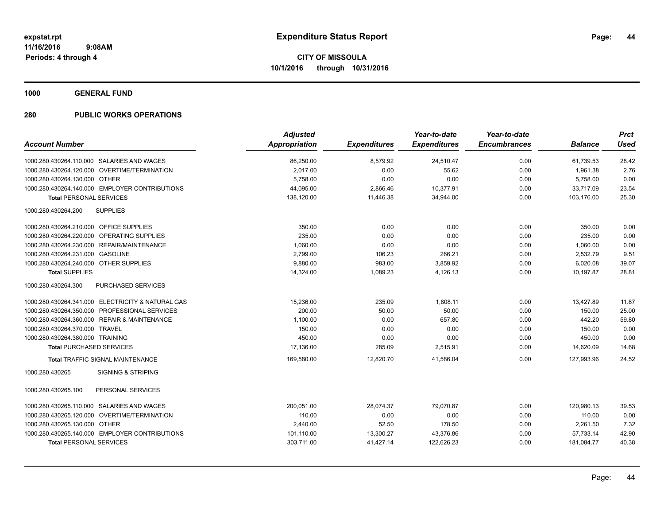**1000 GENERAL FUND**

|                                                   | <b>Adjusted</b> |                     | Year-to-date        | Year-to-date        |                | <b>Prct</b> |
|---------------------------------------------------|-----------------|---------------------|---------------------|---------------------|----------------|-------------|
| <b>Account Number</b>                             | Appropriation   | <b>Expenditures</b> | <b>Expenditures</b> | <b>Encumbrances</b> | <b>Balance</b> | <b>Used</b> |
| 1000.280.430264.110.000 SALARIES AND WAGES        | 86,250.00       | 8,579.92            | 24,510.47           | 0.00                | 61,739.53      | 28.42       |
| 1000.280.430264.120.000 OVERTIME/TERMINATION      | 2.017.00        | 0.00                | 55.62               | 0.00                | 1,961.38       | 2.76        |
| 1000.280.430264.130.000 OTHER                     | 5.758.00        | 0.00                | 0.00                | 0.00                | 5,758.00       | 0.00        |
| 1000.280.430264.140.000 EMPLOYER CONTRIBUTIONS    | 44,095.00       | 2,866.46            | 10,377.91           | 0.00                | 33,717.09      | 23.54       |
| <b>Total PERSONAL SERVICES</b>                    | 138,120.00      | 11,446.38           | 34,944.00           | 0.00                | 103.176.00     | 25.30       |
| <b>SUPPLIES</b><br>1000.280.430264.200            |                 |                     |                     |                     |                |             |
| 1000.280.430264.210.000 OFFICE SUPPLIES           | 350.00          | 0.00                | 0.00                | 0.00                | 350.00         | 0.00        |
| 1000.280.430264.220.000 OPERATING SUPPLIES        | 235.00          | 0.00                | 0.00                | 0.00                | 235.00         | 0.00        |
| 1000.280.430264.230.000 REPAIR/MAINTENANCE        | 1.060.00        | 0.00                | 0.00                | 0.00                | 1,060.00       | 0.00        |
| 1000.280.430264.231.000 GASOLINE                  | 2,799.00        | 106.23              | 266.21              | 0.00                | 2,532.79       | 9.51        |
| 1000.280.430264.240.000 OTHER SUPPLIES            | 9,880.00        | 983.00              | 3,859.92            | 0.00                | 6,020.08       | 39.07       |
| <b>Total SUPPLIES</b>                             | 14,324.00       | 1,089.23            | 4,126.13            | 0.00                | 10,197.87      | 28.81       |
| 1000.280.430264.300<br><b>PURCHASED SERVICES</b>  |                 |                     |                     |                     |                |             |
| 1000.280.430264.341.000 ELECTRICITY & NATURAL GAS | 15,236.00       | 235.09              | 1,808.11            | 0.00                | 13,427.89      | 11.87       |
| 1000.280.430264.350.000 PROFESSIONAL SERVICES     | 200.00          | 50.00               | 50.00               | 0.00                | 150.00         | 25.00       |
| 1000.280.430264.360.000 REPAIR & MAINTENANCE      | 1,100.00        | 0.00                | 657.80              | 0.00                | 442.20         | 59.80       |
| 1000.280.430264.370.000 TRAVEL                    | 150.00          | 0.00                | 0.00                | 0.00                | 150.00         | 0.00        |
| 1000.280.430264.380.000 TRAINING                  | 450.00          | 0.00                | 0.00                | 0.00                | 450.00         | 0.00        |
| <b>Total PURCHASED SERVICES</b>                   | 17,136.00       | 285.09              | 2,515.91            | 0.00                | 14,620.09      | 14.68       |
| <b>Total TRAFFIC SIGNAL MAINTENANCE</b>           | 169,580.00      | 12,820.70           | 41,586.04           | 0.00                | 127,993.96     | 24.52       |
| 1000.280.430265<br><b>SIGNING &amp; STRIPING</b>  |                 |                     |                     |                     |                |             |
| PERSONAL SERVICES<br>1000.280.430265.100          |                 |                     |                     |                     |                |             |
| 1000.280.430265.110.000 SALARIES AND WAGES        | 200,051.00      | 28,074.37           | 79,070.87           | 0.00                | 120,980.13     | 39.53       |
| 1000.280.430265.120.000 OVERTIME/TERMINATION      | 110.00          | 0.00                | 0.00                | 0.00                | 110.00         | 0.00        |
| 1000.280.430265.130.000 OTHER                     | 2,440.00        | 52.50               | 178.50              | 0.00                | 2,261.50       | 7.32        |
| 1000.280.430265.140.000 EMPLOYER CONTRIBUTIONS    | 101,110.00      | 13,300.27           | 43,376.86           | 0.00                | 57,733.14      | 42.90       |
| <b>Total PERSONAL SERVICES</b>                    | 303,711.00      | 41,427.14           | 122,626.23          | 0.00                | 181,084.77     | 40.38       |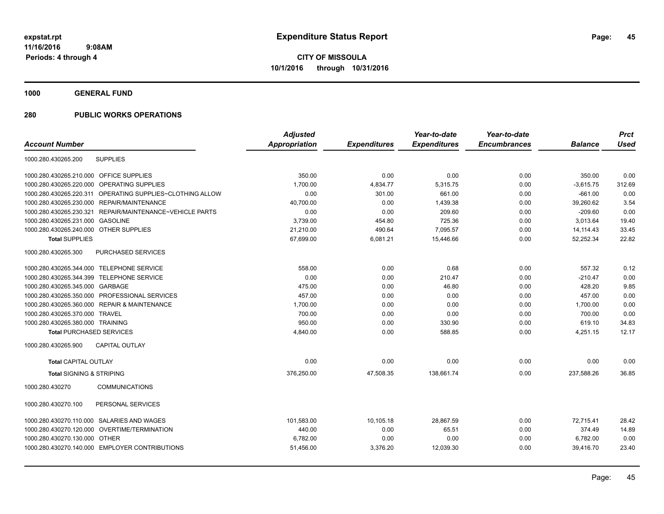**1000 GENERAL FUND**

|                                                              | <b>Adjusted</b>      |                     | Year-to-date        | Year-to-date        |                | <b>Prct</b> |
|--------------------------------------------------------------|----------------------|---------------------|---------------------|---------------------|----------------|-------------|
| <b>Account Number</b>                                        | <b>Appropriation</b> | <b>Expenditures</b> | <b>Expenditures</b> | <b>Encumbrances</b> | <b>Balance</b> | <b>Used</b> |
| 1000.280.430265.200<br><b>SUPPLIES</b>                       |                      |                     |                     |                     |                |             |
| OFFICE SUPPLIES<br>1000.280.430265.210.000                   | 350.00               | 0.00                | 0.00                | 0.00                | 350.00         | 0.00        |
| <b>OPERATING SUPPLIES</b><br>1000.280.430265.220.000         | 1.700.00             | 4,834.77            | 5,315.75            | 0.00                | $-3,615.75$    | 312.69      |
| 1000.280.430265.220.311<br>OPERATING SUPPLIES~CLOTHING ALLOW | 0.00                 | 301.00              | 661.00              | 0.00                | $-661.00$      | 0.00        |
| 1000.280.430265.230.000<br>REPAIR/MAINTENANCE                | 40,700.00            | 0.00                | 1,439.38            | 0.00                | 39,260.62      | 3.54        |
| REPAIR/MAINTENANCE~VEHICLE PARTS<br>1000.280.430265.230.321  | 0.00                 | 0.00                | 209.60              | 0.00                | $-209.60$      | 0.00        |
| <b>GASOLINE</b><br>1000.280.430265.231.000                   | 3,739.00             | 454.80              | 725.36              | 0.00                | 3,013.64       | 19.40       |
| 1000.280.430265.240.000<br><b>OTHER SUPPLIES</b>             | 21,210.00            | 490.64              | 7,095.57            | 0.00                | 14,114.43      | 33.45       |
| <b>Total SUPPLIES</b>                                        | 67,699.00            | 6,081.21            | 15,446.66           | 0.00                | 52,252.34      | 22.82       |
| 1000.280.430265.300<br>PURCHASED SERVICES                    |                      |                     |                     |                     |                |             |
| 1000.280.430265.344.000 TELEPHONE SERVICE                    | 558.00               | 0.00                | 0.68                | 0.00                | 557.32         | 0.12        |
| 1000.280.430265.344.399 TELEPHONE SERVICE                    | 0.00                 | 0.00                | 210.47              | 0.00                | $-210.47$      | 0.00        |
| 1000.280.430265.345.000 GARBAGE                              | 475.00               | 0.00                | 46.80               | 0.00                | 428.20         | 9.85        |
| 1000.280.430265.350.000 PROFESSIONAL SERVICES                | 457.00               | 0.00                | 0.00                | 0.00                | 457.00         | 0.00        |
| 1000.280.430265.360.000 REPAIR & MAINTENANCE                 | 1,700.00             | 0.00                | 0.00                | 0.00                | 1,700.00       | 0.00        |
| 1000.280.430265.370.000 TRAVEL                               | 700.00               | 0.00                | 0.00                | 0.00                | 700.00         | 0.00        |
| 1000.280.430265.380.000 TRAINING                             | 950.00               | 0.00                | 330.90              | 0.00                | 619.10         | 34.83       |
| <b>Total PURCHASED SERVICES</b>                              | 4,840.00             | 0.00                | 588.85              | 0.00                | 4,251.15       | 12.17       |
| <b>CAPITAL OUTLAY</b><br>1000.280.430265.900                 |                      |                     |                     |                     |                |             |
| <b>Total CAPITAL OUTLAY</b>                                  | 0.00                 | 0.00                | 0.00                | 0.00                | 0.00           | 0.00        |
| <b>Total SIGNING &amp; STRIPING</b>                          | 376,250.00           | 47,508.35           | 138,661.74          | 0.00                | 237,588.26     | 36.85       |
| <b>COMMUNICATIONS</b><br>1000.280.430270                     |                      |                     |                     |                     |                |             |
| 1000.280.430270.100<br>PERSONAL SERVICES                     |                      |                     |                     |                     |                |             |
| 1000.280.430270.110.000 SALARIES AND WAGES                   | 101,583.00           | 10,105.18           | 28,867.59           | 0.00                | 72,715.41      | 28.42       |
| OVERTIME/TERMINATION<br>1000.280.430270.120.000              | 440.00               | 0.00                | 65.51               | 0.00                | 374.49         | 14.89       |
| 1000.280.430270.130.000<br>OTHER                             | 6,782.00             | 0.00                | 0.00                | 0.00                | 6,782.00       | 0.00        |
| 1000.280.430270.140.000 EMPLOYER CONTRIBUTIONS               | 51,456.00            | 3,376.20            | 12,039.30           | 0.00                | 39,416.70      | 23.40       |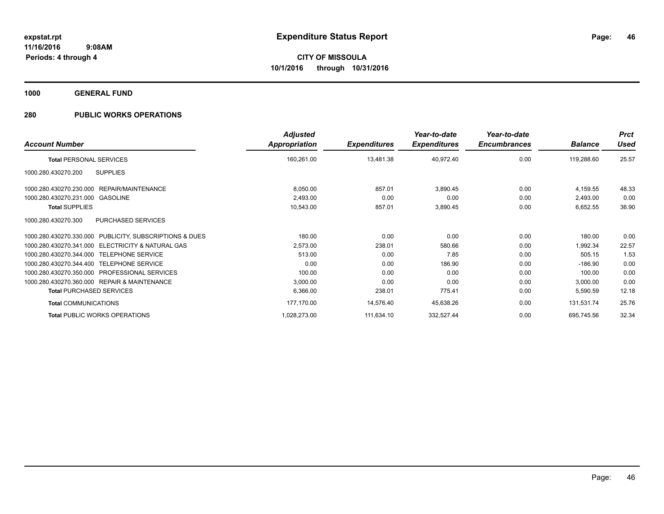**1000 GENERAL FUND**

|                                                                 | <b>Adjusted</b> |                     | Year-to-date        | Year-to-date        |                | <b>Prct</b> |
|-----------------------------------------------------------------|-----------------|---------------------|---------------------|---------------------|----------------|-------------|
| <b>Account Number</b>                                           | Appropriation   | <b>Expenditures</b> | <b>Expenditures</b> | <b>Encumbrances</b> | <b>Balance</b> | <b>Used</b> |
| <b>Total PERSONAL SERVICES</b>                                  | 160,261.00      | 13,481.38           | 40,972.40           | 0.00                | 119,288.60     | 25.57       |
| 1000.280.430270.200<br><b>SUPPLIES</b>                          |                 |                     |                     |                     |                |             |
| REPAIR/MAINTENANCE<br>1000.280.430270.230.000                   | 8,050.00        | 857.01              | 3,890.45            | 0.00                | 4,159.55       | 48.33       |
| 1000.280.430270.231.000<br>GASOLINE                             | 2,493.00        | 0.00                | 0.00                | 0.00                | 2,493.00       | 0.00        |
| <b>Total SUPPLIES</b>                                           | 10,543.00       | 857.01              | 3,890.45            | 0.00                | 6,652.55       | 36.90       |
| <b>PURCHASED SERVICES</b><br>1000.280.430270.300                |                 |                     |                     |                     |                |             |
| PUBLICITY, SUBSCRIPTIONS & DUES<br>1000.280.430270.330.000      | 180.00          | 0.00                | 0.00                | 0.00                | 180.00         | 0.00        |
| <b>ELECTRICITY &amp; NATURAL GAS</b><br>1000.280.430270.341.000 | 2,573.00        | 238.01              | 580.66              | 0.00                | 1,992.34       | 22.57       |
| 1000.280.430270.344.000 TELEPHONE SERVICE                       | 513.00          | 0.00                | 7.85                | 0.00                | 505.15         | 1.53        |
| <b>TELEPHONE SERVICE</b><br>1000.280.430270.344.400             | 0.00            | 0.00                | 186.90              | 0.00                | $-186.90$      | 0.00        |
| 1000.280.430270.350.000<br><b>PROFESSIONAL SERVICES</b>         | 100.00          | 0.00                | 0.00                | 0.00                | 100.00         | 0.00        |
| 1000.280.430270.360.000 REPAIR & MAINTENANCE                    | 3,000.00        | 0.00                | 0.00                | 0.00                | 3,000.00       | 0.00        |
| <b>Total PURCHASED SERVICES</b>                                 | 6,366.00        | 238.01              | 775.41              | 0.00                | 5,590.59       | 12.18       |
| <b>Total COMMUNICATIONS</b>                                     | 177,170.00      | 14,576.40           | 45,638.26           | 0.00                | 131,531.74     | 25.76       |
| <b>Total PUBLIC WORKS OPERATIONS</b>                            | 1,028,273.00    | 111,634.10          | 332,527.44          | 0.00                | 695,745.56     | 32.34       |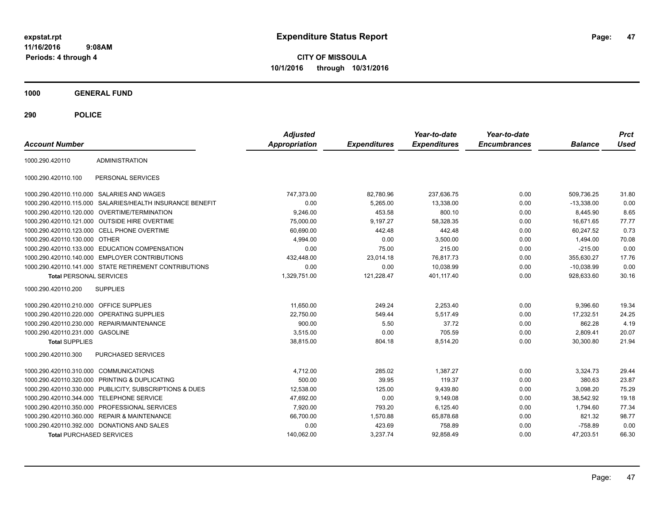**CITY OF MISSOULA 10/1/2016 through 10/31/2016**

**1000 GENERAL FUND**

| <b>Account Number</b>                   |                                                        | <b>Adjusted</b><br><b>Appropriation</b> | <b>Expenditures</b> | Year-to-date<br><b>Expenditures</b> | Year-to-date<br><b>Encumbrances</b> | <b>Balance</b> | <b>Prct</b><br><b>Used</b> |
|-----------------------------------------|--------------------------------------------------------|-----------------------------------------|---------------------|-------------------------------------|-------------------------------------|----------------|----------------------------|
| 1000.290.420110                         | <b>ADMINISTRATION</b>                                  |                                         |                     |                                     |                                     |                |                            |
| 1000.290.420110.100                     | PERSONAL SERVICES                                      |                                         |                     |                                     |                                     |                |                            |
|                                         | 1000.290.420110.110.000 SALARIES AND WAGES             | 747,373.00                              | 82,780.96           | 237.636.75                          | 0.00                                | 509.736.25     | 31.80                      |
| 1000.290.420110.115.000                 | SALARIES/HEALTH INSURANCE BENEFIT                      | 0.00                                    | 5,265.00            | 13,338.00                           | 0.00                                | $-13,338.00$   | 0.00                       |
|                                         | 1000.290.420110.120.000 OVERTIME/TERMINATION           | 9,246.00                                | 453.58              | 800.10                              | 0.00                                | 8,445.90       | 8.65                       |
|                                         | 1000.290.420110.121.000 OUTSIDE HIRE OVERTIME          | 75,000.00                               | 9,197.27            | 58,328.35                           | 0.00                                | 16,671.65      | 77.77                      |
|                                         | 1000.290.420110.123.000 CELL PHONE OVERTIME            | 60.690.00                               | 442.48              | 442.48                              | 0.00                                | 60.247.52      | 0.73                       |
| 1000.290.420110.130.000 OTHER           |                                                        | 4,994.00                                | 0.00                | 3,500.00                            | 0.00                                | 1,494.00       | 70.08                      |
| 1000.290.420110.133.000                 | <b>EDUCATION COMPENSATION</b>                          | 0.00                                    | 75.00               | 215.00                              | 0.00                                | $-215.00$      | 0.00                       |
| 1000.290.420110.140.000                 | <b>EMPLOYER CONTRIBUTIONS</b>                          | 432,448.00                              | 23,014.18           | 76,817.73                           | 0.00                                | 355,630.27     | 17.76                      |
|                                         | 1000.290.420110.141.000 STATE RETIREMENT CONTRIBUTIONS | 0.00                                    | 0.00                | 10,038.99                           | 0.00                                | $-10,038.99$   | 0.00                       |
| <b>Total PERSONAL SERVICES</b>          |                                                        | 1,329,751.00                            | 121,228.47          | 401.117.40                          | 0.00                                | 928.633.60     | 30.16                      |
| 1000.290.420110.200                     | <b>SUPPLIES</b>                                        |                                         |                     |                                     |                                     |                |                            |
| 1000.290.420110.210.000 OFFICE SUPPLIES |                                                        | 11.650.00                               | 249.24              | 2.253.40                            | 0.00                                | 9,396.60       | 19.34                      |
| 1000.290.420110.220.000                 | <b>OPERATING SUPPLIES</b>                              | 22,750.00                               | 549.44              | 5,517.49                            | 0.00                                | 17,232.51      | 24.25                      |
| 1000.290.420110.230.000                 | <b>REPAIR/MAINTENANCE</b>                              | 900.00                                  | 5.50                | 37.72                               | 0.00                                | 862.28         | 4.19                       |
| 1000.290.420110.231.000 GASOLINE        |                                                        | 3,515.00                                | 0.00                | 705.59                              | 0.00                                | 2,809.41       | 20.07                      |
| <b>Total SUPPLIES</b>                   |                                                        | 38.815.00                               | 804.18              | 8.514.20                            | 0.00                                | 30.300.80      | 21.94                      |
| 1000.290.420110.300                     | <b>PURCHASED SERVICES</b>                              |                                         |                     |                                     |                                     |                |                            |
| 1000.290.420110.310.000                 | <b>COMMUNICATIONS</b>                                  | 4,712.00                                | 285.02              | 1,387.27                            | 0.00                                | 3,324.73       | 29.44                      |
| 1000.290.420110.320.000                 | PRINTING & DUPLICATING                                 | 500.00                                  | 39.95               | 119.37                              | 0.00                                | 380.63         | 23.87                      |
| 1000.290.420110.330.000                 | PUBLICITY, SUBSCRIPTIONS & DUES                        | 12,538.00                               | 125.00              | 9,439.80                            | 0.00                                | 3,098.20       | 75.29                      |
| 1000.290.420110.344.000                 | <b>TELEPHONE SERVICE</b>                               | 47,692.00                               | 0.00                | 9,149.08                            | 0.00                                | 38,542.92      | 19.18                      |
| 1000.290.420110.350.000                 | PROFESSIONAL SERVICES                                  | 7,920.00                                | 793.20              | 6,125.40                            | 0.00                                | 1,794.60       | 77.34                      |
|                                         | 1000.290.420110.360.000 REPAIR & MAINTENANCE           | 66.700.00                               | 1,570.88            | 65,878.68                           | 0.00                                | 821.32         | 98.77                      |
|                                         | 1000.290.420110.392.000 DONATIONS AND SALES            | 0.00                                    | 423.69              | 758.89                              | 0.00                                | $-758.89$      | 0.00                       |
| <b>Total PURCHASED SERVICES</b>         |                                                        | 140,062.00                              | 3,237.74            | 92,858.49                           | 0.00                                | 47,203.51      | 66.30                      |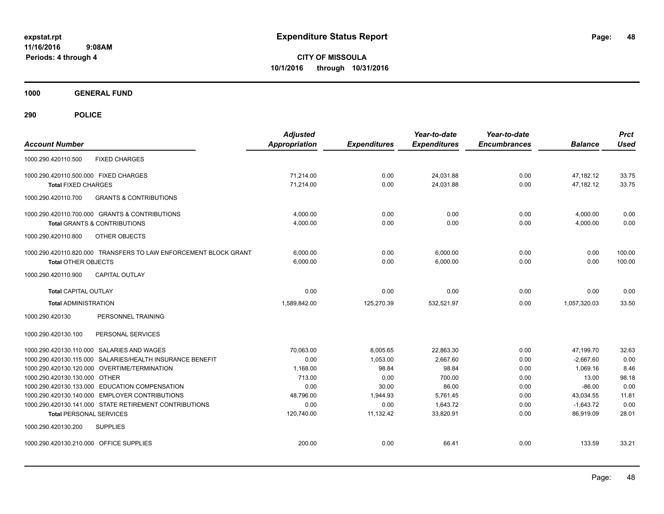**CITY OF MISSOULA 10/1/2016 through 10/31/2016**

**1000 GENERAL FUND**

| <b>Account Number</b>                                                                            | <b>Adjusted</b><br><b>Appropriation</b> | <b>Expenditures</b> | Year-to-date<br><b>Expenditures</b> | Year-to-date<br><b>Encumbrances</b> | <b>Balance</b>        | <b>Prct</b><br><b>Used</b> |
|--------------------------------------------------------------------------------------------------|-----------------------------------------|---------------------|-------------------------------------|-------------------------------------|-----------------------|----------------------------|
| <b>FIXED CHARGES</b><br>1000.290.420110.500                                                      |                                         |                     |                                     |                                     |                       |                            |
| 1000.290.420110.500.000 FIXED CHARGES                                                            | 71.214.00                               | 0.00                | 24,031.88                           | 0.00                                | 47,182.12             | 33.75                      |
| <b>Total FIXED CHARGES</b>                                                                       | 71,214.00                               | 0.00                | 24,031.88                           | 0.00                                | 47,182.12             | 33.75                      |
| 1000.290.420110.700<br><b>GRANTS &amp; CONTRIBUTIONS</b>                                         |                                         |                     |                                     |                                     |                       |                            |
| 1000.290.420110.700.000 GRANTS & CONTRIBUTIONS                                                   | 4,000.00                                | 0.00                | 0.00                                | 0.00                                | 4,000.00              | 0.00                       |
| <b>Total GRANTS &amp; CONTRIBUTIONS</b>                                                          | 4,000.00                                | 0.00                | 0.00                                | 0.00                                | 4,000.00              | 0.00                       |
| 1000.290.420110.800<br>OTHER OBJECTS                                                             |                                         |                     |                                     |                                     |                       |                            |
| 1000.290.420110.820.000 TRANSFERS TO LAW ENFORCEMENT BLOCK GRANT                                 | 6,000.00                                | 0.00                | 6,000.00                            | 0.00                                | 0.00                  | 100.00                     |
| <b>Total OTHER OBJECTS</b>                                                                       | 6,000.00                                | 0.00                | 6,000.00                            | 0.00                                | 0.00                  | 100.00                     |
| <b>CAPITAL OUTLAY</b><br>1000.290.420110.900                                                     |                                         |                     |                                     |                                     |                       |                            |
| <b>Total CAPITAL OUTLAY</b>                                                                      | 0.00                                    | 0.00                | 0.00                                | 0.00                                | 0.00                  | 0.00                       |
| <b>Total ADMINISTRATION</b>                                                                      | 1,589,842.00                            | 125,270.39          | 532,521.97                          | 0.00                                | 1,057,320.03          | 33.50                      |
| 1000.290.420130<br>PERSONNEL TRAINING                                                            |                                         |                     |                                     |                                     |                       |                            |
| 1000.290.420130.100<br>PERSONAL SERVICES                                                         |                                         |                     |                                     |                                     |                       |                            |
| 1000.290.420130.110.000 SALARIES AND WAGES                                                       | 70.063.00                               | 8,005.65            | 22.863.30                           | 0.00                                | 47,199.70             | 32.63                      |
| 1000.290.420130.115.000 SALARIES/HEALTH INSURANCE BENEFIT                                        | 0.00                                    | 1,053.00            | 2,667.60                            | 0.00                                | $-2,667.60$           | 0.00                       |
| 1000.290.420130.120.000 OVERTIME/TERMINATION                                                     | 1,168.00                                | 98.84               | 98.84                               | 0.00                                | 1,069.16              | 8.46                       |
| 1000.290.420130.130.000 OTHER                                                                    | 713.00                                  | 0.00                | 700.00                              | 0.00                                | 13.00                 | 98.18                      |
| 1000.290.420130.133.000 EDUCATION COMPENSATION<br>1000.290.420130.140.000 EMPLOYER CONTRIBUTIONS | 0.00<br>48,796.00                       | 30.00<br>1,944.93   | 86.00<br>5,761.45                   | 0.00<br>0.00                        | $-86.00$<br>43,034.55 | 0.00<br>11.81              |
| 1000.290.420130.141.000 STATE RETIREMENT CONTRIBUTIONS                                           | 0.00                                    | 0.00                | 1.643.72                            | 0.00                                | $-1,643.72$           | 0.00                       |
| <b>Total PERSONAL SERVICES</b>                                                                   | 120,740.00                              | 11,132.42           | 33,820.91                           | 0.00                                | 86.919.09             | 28.01                      |
| 1000.290.420130.200<br><b>SUPPLIES</b>                                                           |                                         |                     |                                     |                                     |                       |                            |
| 1000.290.420130.210.000 OFFICE SUPPLIES                                                          | 200.00                                  | 0.00                | 66.41                               | 0.00                                | 133.59                | 33.21                      |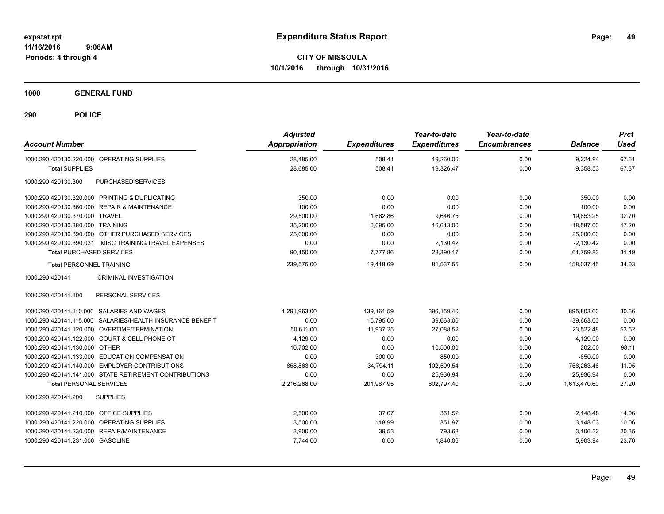**CITY OF MISSOULA 10/1/2016 through 10/31/2016**

**1000 GENERAL FUND**

| <b>Account Number</b>                                     | <b>Adjusted</b><br>Appropriation | <b>Expenditures</b> | Year-to-date<br><b>Expenditures</b> | Year-to-date<br><b>Encumbrances</b> | <b>Balance</b> | <b>Prct</b><br>Used |
|-----------------------------------------------------------|----------------------------------|---------------------|-------------------------------------|-------------------------------------|----------------|---------------------|
| 1000.290.420130.220.000 OPERATING SUPPLIES                | 28,485.00                        | 508.41              | 19,260.06                           | 0.00                                | 9.224.94       | 67.61               |
| <b>Total SUPPLIES</b>                                     | 28.685.00                        | 508.41              | 19.326.47                           | 0.00                                | 9,358.53       | 67.37               |
| PURCHASED SERVICES<br>1000.290.420130.300                 |                                  |                     |                                     |                                     |                |                     |
| 1000.290.420130.320.000 PRINTING & DUPLICATING            | 350.00                           | 0.00                | 0.00                                | 0.00                                | 350.00         | 0.00                |
| 1000.290.420130.360.000 REPAIR & MAINTENANCE              | 100.00                           | 0.00                | 0.00                                | 0.00                                | 100.00         | 0.00                |
| 1000.290.420130.370.000 TRAVEL                            | 29,500.00                        | 1,682.86            | 9.646.75                            | 0.00                                | 19.853.25      | 32.70               |
| 1000.290.420130.380.000 TRAINING                          | 35,200.00                        | 6,095.00            | 16.613.00                           | 0.00                                | 18.587.00      | 47.20               |
| 1000.290.420130.390.000 OTHER PURCHASED SERVICES          | 25,000.00                        | 0.00                | 0.00                                | 0.00                                | 25,000.00      | 0.00                |
| 1000.290.420130.390.031 MISC TRAINING/TRAVEL EXPENSES     | 0.00                             | 0.00                | 2,130.42                            | 0.00                                | $-2,130.42$    | 0.00                |
| <b>Total PURCHASED SERVICES</b>                           | 90,150.00                        | 7,777.86            | 28,390.17                           | 0.00                                | 61,759.83      | 31.49               |
| <b>Total PERSONNEL TRAINING</b>                           | 239,575.00                       | 19,418.69           | 81.537.55                           | 0.00                                | 158,037.45     | 34.03               |
| CRIMINAL INVESTIGATION<br>1000.290.420141                 |                                  |                     |                                     |                                     |                |                     |
| 1000.290.420141.100<br>PERSONAL SERVICES                  |                                  |                     |                                     |                                     |                |                     |
| 1000.290.420141.110.000 SALARIES AND WAGES                | 1,291,963.00                     | 139,161.59          | 396,159.40                          | 0.00                                | 895,803.60     | 30.66               |
| 1000.290.420141.115.000 SALARIES/HEALTH INSURANCE BENEFIT | 0.00                             | 15,795.00           | 39,663.00                           | 0.00                                | $-39,663.00$   | 0.00                |
| 1000.290.420141.120.000 OVERTIME/TERMINATION              | 50,611.00                        | 11,937.25           | 27,088.52                           | 0.00                                | 23,522.48      | 53.52               |
| 1000.290.420141.122.000 COURT & CELL PHONE OT             | 4,129.00                         | 0.00                | 0.00                                | 0.00                                | 4,129.00       | 0.00                |
| 1000.290.420141.130.000 OTHER                             | 10,702.00                        | 0.00                | 10,500.00                           | 0.00                                | 202.00         | 98.11               |
| 1000.290.420141.133.000 EDUCATION COMPENSATION            | 0.00                             | 300.00              | 850.00                              | 0.00                                | $-850.00$      | 0.00                |
| 1000.290.420141.140.000 EMPLOYER CONTRIBUTIONS            | 858,863.00                       | 34,794.11           | 102,599.54                          | 0.00                                | 756,263.46     | 11.95               |
| 1000.290.420141.141.000 STATE RETIREMENT CONTRIBUTIONS    | 0.00                             | 0.00                | 25.936.94                           | 0.00                                | $-25.936.94$   | 0.00                |
| <b>Total PERSONAL SERVICES</b>                            | 2,216,268.00                     | 201,987.95          | 602.797.40                          | 0.00                                | 1.613.470.60   | 27.20               |
| 1000.290.420141.200<br><b>SUPPLIES</b>                    |                                  |                     |                                     |                                     |                |                     |
| 1000.290.420141.210.000 OFFICE SUPPLIES                   | 2,500.00                         | 37.67               | 351.52                              | 0.00                                | 2,148.48       | 14.06               |
| 1000.290.420141.220.000 OPERATING SUPPLIES                | 3,500.00                         | 118.99              | 351.97                              | 0.00                                | 3,148.03       | 10.06               |
| 1000.290.420141.230.000 REPAIR/MAINTENANCE                | 3,900.00                         | 39.53               | 793.68                              | 0.00                                | 3,106.32       | 20.35               |
| 1000.290.420141.231.000 GASOLINE                          | 7,744.00                         | 0.00                | 1,840.06                            | 0.00                                | 5,903.94       | 23.76               |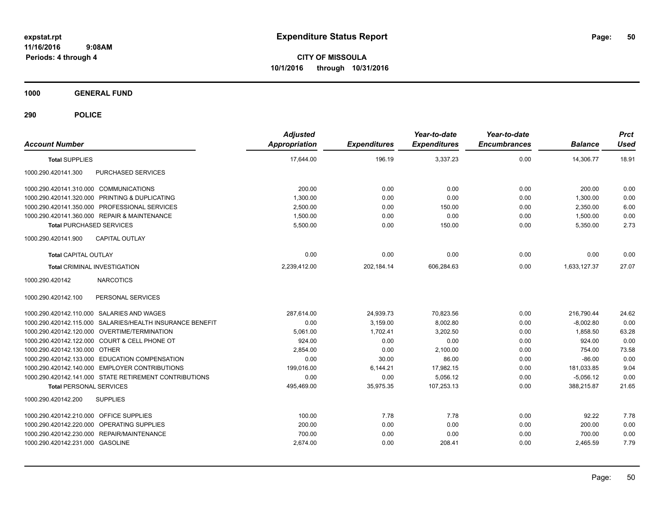**CITY OF MISSOULA 10/1/2016 through 10/31/2016**

**1000 GENERAL FUND**

| <b>Account Number</b>                                     | <b>Adjusted</b><br><b>Appropriation</b> | <b>Expenditures</b> | Year-to-date<br><b>Expenditures</b> | Year-to-date<br><b>Encumbrances</b> | <b>Balance</b> | <b>Prct</b><br><b>Used</b> |
|-----------------------------------------------------------|-----------------------------------------|---------------------|-------------------------------------|-------------------------------------|----------------|----------------------------|
| <b>Total SUPPLIES</b>                                     | 17,644.00                               | 196.19              | 3,337.23                            | 0.00                                | 14,306.77      | 18.91                      |
| 1000.290.420141.300<br>PURCHASED SERVICES                 |                                         |                     |                                     |                                     |                |                            |
| 1000.290.420141.310.000 COMMUNICATIONS                    | 200.00                                  | 0.00                | 0.00                                | 0.00                                | 200.00         | 0.00                       |
| 1000.290.420141.320.000 PRINTING & DUPLICATING            | 1,300.00                                | 0.00                | 0.00                                | 0.00                                | 1,300.00       | 0.00                       |
| 1000.290.420141.350.000 PROFESSIONAL SERVICES             | 2,500.00                                | 0.00                | 150.00                              | 0.00                                | 2,350.00       | 6.00                       |
| 1000.290.420141.360.000 REPAIR & MAINTENANCE              | 1,500.00                                | 0.00                | 0.00                                | 0.00                                | 1,500.00       | 0.00                       |
| <b>Total PURCHASED SERVICES</b>                           | 5,500.00                                | 0.00                | 150.00                              | 0.00                                | 5,350.00       | 2.73                       |
| 1000.290.420141.900<br><b>CAPITAL OUTLAY</b>              |                                         |                     |                                     |                                     |                |                            |
| <b>Total CAPITAL OUTLAY</b>                               | 0.00                                    | 0.00                | 0.00                                | 0.00                                | 0.00           | 0.00                       |
| <b>Total CRIMINAL INVESTIGATION</b>                       | 2,239,412.00                            | 202,184.14          | 606,284.63                          | 0.00                                | 1,633,127.37   | 27.07                      |
| <b>NARCOTICS</b><br>1000.290.420142                       |                                         |                     |                                     |                                     |                |                            |
| 1000.290.420142.100<br>PERSONAL SERVICES                  |                                         |                     |                                     |                                     |                |                            |
| 1000.290.420142.110.000 SALARIES AND WAGES                | 287.614.00                              | 24,939.73           | 70,823.56                           | 0.00                                | 216,790.44     | 24.62                      |
| 1000.290.420142.115.000 SALARIES/HEALTH INSURANCE BENEFIT | 0.00                                    | 3,159.00            | 8,002.80                            | 0.00                                | $-8,002.80$    | 0.00                       |
| 1000.290.420142.120.000 OVERTIME/TERMINATION              | 5,061.00                                | 1.702.41            | 3,202.50                            | 0.00                                | 1,858.50       | 63.28                      |
| 1000.290.420142.122.000 COURT & CELL PHONE OT             | 924.00                                  | 0.00                | 0.00                                | 0.00                                | 924.00         | 0.00                       |
| 1000.290.420142.130.000 OTHER                             | 2.854.00                                | 0.00                | 2,100.00                            | 0.00                                | 754.00         | 73.58                      |
| 1000.290.420142.133.000 EDUCATION COMPENSATION            | 0.00                                    | 30.00               | 86.00                               | 0.00                                | $-86.00$       | 0.00                       |
| 1000.290.420142.140.000 EMPLOYER CONTRIBUTIONS            | 199,016.00                              | 6,144.21            | 17,982.15                           | 0.00                                | 181,033.85     | 9.04                       |
| 1000.290.420142.141.000 STATE RETIREMENT CONTRIBUTIONS    | 0.00                                    | 0.00                | 5,056.12                            | 0.00                                | $-5,056.12$    | 0.00                       |
| <b>Total PERSONAL SERVICES</b>                            | 495,469.00                              | 35,975.35           | 107,253.13                          | 0.00                                | 388,215.87     | 21.65                      |
| 1000.290.420142.200<br><b>SUPPLIES</b>                    |                                         |                     |                                     |                                     |                |                            |
| 1000.290.420142.210.000 OFFICE SUPPLIES                   | 100.00                                  | 7.78                | 7.78                                | 0.00                                | 92.22          | 7.78                       |
| 1000.290.420142.220.000 OPERATING SUPPLIES                | 200.00                                  | 0.00                | 0.00                                | 0.00                                | 200.00         | 0.00                       |
| 1000.290.420142.230.000 REPAIR/MAINTENANCE                | 700.00                                  | 0.00                | 0.00                                | 0.00                                | 700.00         | 0.00                       |
| 1000.290.420142.231.000 GASOLINE                          | 2,674.00                                | 0.00                | 208.41                              | 0.00                                | 2,465.59       | 7.79                       |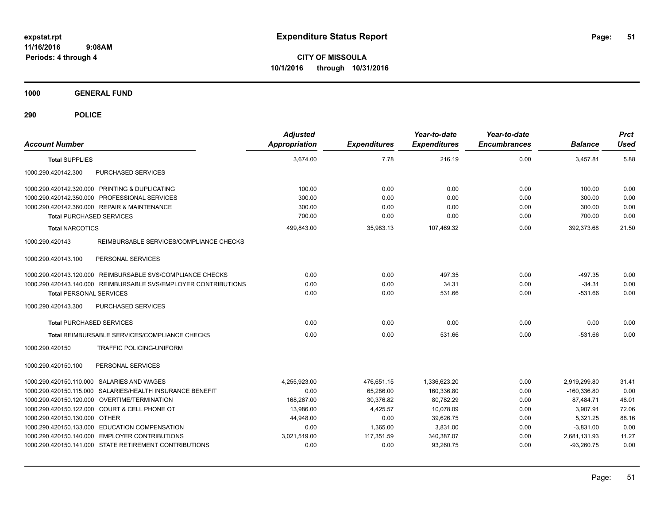**CITY OF MISSOULA 10/1/2016 through 10/31/2016**

**1000 GENERAL FUND**

| <b>Account Number</b>                                           | <b>Adjusted</b><br><b>Appropriation</b> | <b>Expenditures</b> | Year-to-date<br><b>Expenditures</b> | Year-to-date<br><b>Encumbrances</b> | <b>Balance</b> | <b>Prct</b><br><b>Used</b> |
|-----------------------------------------------------------------|-----------------------------------------|---------------------|-------------------------------------|-------------------------------------|----------------|----------------------------|
| <b>Total SUPPLIES</b>                                           | 3,674.00                                | 7.78                | 216.19                              | 0.00                                | 3,457.81       | 5.88                       |
| 1000.290.420142.300<br>PURCHASED SERVICES                       |                                         |                     |                                     |                                     |                |                            |
| 1000.290.420142.320.000 PRINTING & DUPLICATING                  | 100.00                                  | 0.00                | 0.00                                | 0.00                                | 100.00         | 0.00                       |
| 1000.290.420142.350.000 PROFESSIONAL SERVICES                   | 300.00                                  | 0.00                | 0.00                                | 0.00                                | 300.00         | 0.00                       |
| 1000.290.420142.360.000 REPAIR & MAINTENANCE                    | 300.00                                  | 0.00                | 0.00                                | 0.00                                | 300.00         | 0.00                       |
| <b>Total PURCHASED SERVICES</b>                                 | 700.00                                  | 0.00                | 0.00                                | 0.00                                | 700.00         | 0.00                       |
| <b>Total NARCOTICS</b>                                          | 499,843.00                              | 35,983.13           | 107,469.32                          | 0.00                                | 392,373.68     | 21.50                      |
| REIMBURSABLE SERVICES/COMPLIANCE CHECKS<br>1000.290.420143      |                                         |                     |                                     |                                     |                |                            |
| 1000.290.420143.100<br>PERSONAL SERVICES                        |                                         |                     |                                     |                                     |                |                            |
| 1000.290.420143.120.000 REIMBURSABLE SVS/COMPLIANCE CHECKS      | 0.00                                    | 0.00                | 497.35                              | 0.00                                | $-497.35$      | 0.00                       |
| 1000.290.420143.140.000 REIMBURSABLE SVS/EMPLOYER CONTRIBUTIONS | 0.00                                    | 0.00                | 34.31                               | 0.00                                | $-34.31$       | 0.00                       |
| <b>Total PERSONAL SERVICES</b>                                  | 0.00                                    | 0.00                | 531.66                              | 0.00                                | $-531.66$      | 0.00                       |
| PURCHASED SERVICES<br>1000.290.420143.300                       |                                         |                     |                                     |                                     |                |                            |
| <b>Total PURCHASED SERVICES</b>                                 | 0.00                                    | 0.00                | 0.00                                | 0.00                                | 0.00           | 0.00                       |
| Total REIMBURSABLE SERVICES/COMPLIANCE CHECKS                   | 0.00                                    | 0.00                | 531.66                              | 0.00                                | $-531.66$      | 0.00                       |
| 1000.290.420150<br>TRAFFIC POLICING-UNIFORM                     |                                         |                     |                                     |                                     |                |                            |
| 1000.290.420150.100<br>PERSONAL SERVICES                        |                                         |                     |                                     |                                     |                |                            |
| 1000.290.420150.110.000 SALARIES AND WAGES                      | 4,255,923.00                            | 476,651.15          | 1,336,623.20                        | 0.00                                | 2,919,299.80   | 31.41                      |
| 1000.290.420150.115.000 SALARIES/HEALTH INSURANCE BENEFIT       | 0.00                                    | 65,286.00           | 160,336.80                          | 0.00                                | $-160,336.80$  | 0.00                       |
| 1000.290.420150.120.000 OVERTIME/TERMINATION                    | 168.267.00                              | 30,376.82           | 80,782.29                           | 0.00                                | 87,484.71      | 48.01                      |
| 1000.290.420150.122.000 COURT & CELL PHONE OT                   | 13,986.00                               | 4,425.57            | 10,078.09                           | 0.00                                | 3,907.91       | 72.06                      |
| 1000.290.420150.130.000 OTHER                                   | 44,948.00                               | 0.00                | 39.626.75                           | 0.00                                | 5,321.25       | 88.16                      |
| 1000.290.420150.133.000 EDUCATION COMPENSATION                  | 0.00                                    | 1,365.00            | 3,831.00                            | 0.00                                | $-3,831.00$    | 0.00                       |
| 1000.290.420150.140.000 EMPLOYER CONTRIBUTIONS                  | 3,021,519.00                            | 117.351.59          | 340,387.07                          | 0.00                                | 2,681,131.93   | 11.27                      |
| 1000.290.420150.141.000 STATE RETIREMENT CONTRIBUTIONS          | 0.00                                    | 0.00                | 93,260.75                           | 0.00                                | $-93,260.75$   | 0.00                       |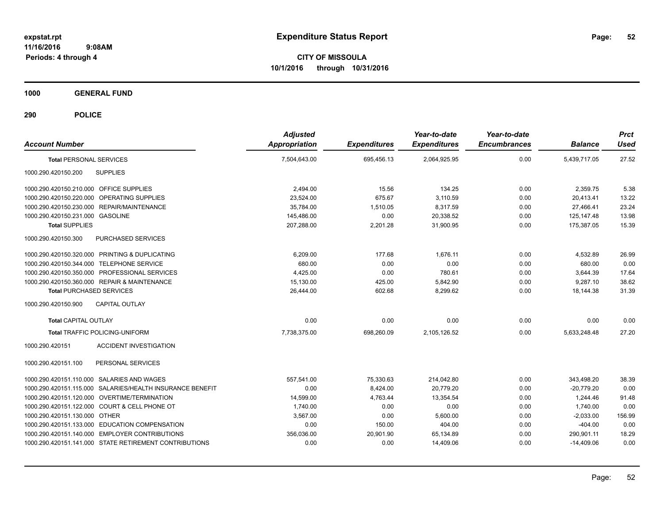**CITY OF MISSOULA 10/1/2016 through 10/31/2016**

**1000 GENERAL FUND**

| <b>Account Number</b>                                     | <b>Adjusted</b><br><b>Appropriation</b> | <b>Expenditures</b> | Year-to-date<br><b>Expenditures</b> | Year-to-date<br><b>Encumbrances</b> | <b>Balance</b> | <b>Prct</b><br><b>Used</b> |
|-----------------------------------------------------------|-----------------------------------------|---------------------|-------------------------------------|-------------------------------------|----------------|----------------------------|
| <b>Total PERSONAL SERVICES</b>                            | 7,504,643.00                            | 695,456.13          | 2,064,925.95                        | 0.00                                | 5,439,717.05   | 27.52                      |
| 1000.290.420150.200<br><b>SUPPLIES</b>                    |                                         |                     |                                     |                                     |                |                            |
| 1000.290.420150.210.000 OFFICE SUPPLIES                   | 2,494.00                                | 15.56               | 134.25                              | 0.00                                | 2,359.75       | 5.38                       |
| 1000.290.420150.220.000 OPERATING SUPPLIES                | 23,524.00                               | 675.67              | 3,110.59                            | 0.00                                | 20,413.41      | 13.22                      |
| REPAIR/MAINTENANCE<br>1000.290.420150.230.000             | 35.784.00                               | 1,510.05            | 8,317.59                            | 0.00                                | 27,466.41      | 23.24                      |
| 1000.290.420150.231.000 GASOLINE                          | 145,486.00                              | 0.00                | 20,338.52                           | 0.00                                | 125.147.48     | 13.98                      |
| <b>Total SUPPLIES</b>                                     | 207,288.00                              | 2,201.28            | 31,900.95                           | 0.00                                | 175,387.05     | 15.39                      |
| 1000.290.420150.300<br>PURCHASED SERVICES                 |                                         |                     |                                     |                                     |                |                            |
| 1000.290.420150.320.000 PRINTING & DUPLICATING            | 6,209.00                                | 177.68              | 1.676.11                            | 0.00                                | 4,532.89       | 26.99                      |
| 1000.290.420150.344.000 TELEPHONE SERVICE                 | 680.00                                  | 0.00                | 0.00                                | 0.00                                | 680.00         | 0.00                       |
| 1000.290.420150.350.000 PROFESSIONAL SERVICES             | 4,425.00                                | 0.00                | 780.61                              | 0.00                                | 3,644.39       | 17.64                      |
| 1000.290.420150.360.000 REPAIR & MAINTENANCE              | 15,130.00                               | 425.00              | 5,842.90                            | 0.00                                | 9,287.10       | 38.62                      |
| <b>Total PURCHASED SERVICES</b>                           | 26,444.00                               | 602.68              | 8,299.62                            | 0.00                                | 18,144.38      | 31.39                      |
| 1000.290.420150.900<br><b>CAPITAL OUTLAY</b>              |                                         |                     |                                     |                                     |                |                            |
| <b>Total CAPITAL OUTLAY</b>                               | 0.00                                    | 0.00                | 0.00                                | 0.00                                | 0.00           | 0.00                       |
| <b>Total TRAFFIC POLICING-UNIFORM</b>                     | 7.738.375.00                            | 698,260.09          | 2.105.126.52                        | 0.00                                | 5,633,248.48   | 27.20                      |
| 1000.290.420151<br><b>ACCIDENT INVESTIGATION</b>          |                                         |                     |                                     |                                     |                |                            |
| 1000.290.420151.100<br>PERSONAL SERVICES                  |                                         |                     |                                     |                                     |                |                            |
| 1000.290.420151.110.000 SALARIES AND WAGES                | 557,541.00                              | 75,330.63           | 214,042.80                          | 0.00                                | 343,498.20     | 38.39                      |
| 1000.290.420151.115.000 SALARIES/HEALTH INSURANCE BENEFIT | 0.00                                    | 8,424.00            | 20.779.20                           | 0.00                                | $-20.779.20$   | 0.00                       |
| 1000.290.420151.120.000 OVERTIME/TERMINATION              | 14,599.00                               | 4,763.44            | 13,354.54                           | 0.00                                | 1,244.46       | 91.48                      |
| 1000.290.420151.122.000 COURT & CELL PHONE OT             | 1,740.00                                | 0.00                | 0.00                                | 0.00                                | 1,740.00       | 0.00                       |
| 1000.290.420151.130.000 OTHER                             | 3,567.00                                | 0.00                | 5,600.00                            | 0.00                                | $-2,033.00$    | 156.99                     |
| 1000.290.420151.133.000 EDUCATION COMPENSATION            | 0.00                                    | 150.00              | 404.00                              | 0.00                                | $-404.00$      | 0.00                       |
| 1000.290.420151.140.000 EMPLOYER CONTRIBUTIONS            | 356,036.00                              | 20,901.90           | 65,134.89                           | 0.00                                | 290,901.11     | 18.29                      |
| 1000.290.420151.141.000 STATE RETIREMENT CONTRIBUTIONS    | 0.00                                    | 0.00                | 14,409.06                           | 0.00                                | $-14,409.06$   | 0.00                       |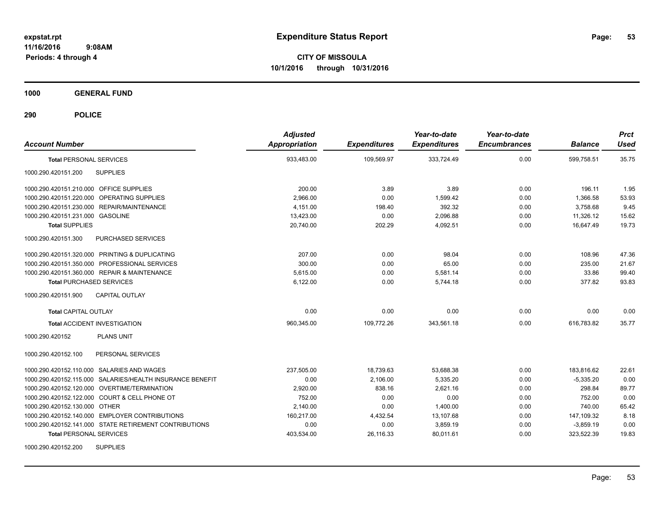**CITY OF MISSOULA 10/1/2016 through 10/31/2016**

**1000 GENERAL FUND**

| <b>Account Number</b>                                     | <b>Adjusted</b><br><b>Appropriation</b> | <b>Expenditures</b> | Year-to-date<br><b>Expenditures</b> | Year-to-date<br><b>Encumbrances</b> | <b>Balance</b> | <b>Prct</b><br><b>Used</b> |
|-----------------------------------------------------------|-----------------------------------------|---------------------|-------------------------------------|-------------------------------------|----------------|----------------------------|
| <b>Total PERSONAL SERVICES</b>                            | 933,483.00                              | 109,569.97          | 333,724.49                          | 0.00                                | 599,758.51     | 35.75                      |
| 1000.290.420151.200<br><b>SUPPLIES</b>                    |                                         |                     |                                     |                                     |                |                            |
| 1000.290.420151.210.000 OFFICE SUPPLIES                   | 200.00                                  | 3.89                | 3.89                                | 0.00                                | 196.11         | 1.95                       |
| 1000.290.420151.220.000 OPERATING SUPPLIES                | 2,966.00                                | 0.00                | 1,599.42                            | 0.00                                | 1,366.58       | 53.93                      |
| 1000.290.420151.230.000 REPAIR/MAINTENANCE                | 4.151.00                                | 198.40              | 392.32                              | 0.00                                | 3,758.68       | 9.45                       |
| 1000.290.420151.231.000 GASOLINE                          | 13,423.00                               | 0.00                | 2,096.88                            | 0.00                                | 11,326.12      | 15.62                      |
| <b>Total SUPPLIES</b>                                     | 20,740.00                               | 202.29              | 4,092.51                            | 0.00                                | 16.647.49      | 19.73                      |
| 1000.290.420151.300<br>PURCHASED SERVICES                 |                                         |                     |                                     |                                     |                |                            |
| 1000.290.420151.320.000 PRINTING & DUPLICATING            | 207.00                                  | 0.00                | 98.04                               | 0.00                                | 108.96         | 47.36                      |
| 1000.290.420151.350.000 PROFESSIONAL SERVICES             | 300.00                                  | 0.00                | 65.00                               | 0.00                                | 235.00         | 21.67                      |
| 1000.290.420151.360.000 REPAIR & MAINTENANCE              | 5.615.00                                | 0.00                | 5.581.14                            | 0.00                                | 33.86          | 99.40                      |
| <b>Total PURCHASED SERVICES</b>                           | 6,122.00                                | 0.00                | 5.744.18                            | 0.00                                | 377.82         | 93.83                      |
| 1000.290.420151.900<br><b>CAPITAL OUTLAY</b>              |                                         |                     |                                     |                                     |                |                            |
| <b>Total CAPITAL OUTLAY</b>                               | 0.00                                    | 0.00                | 0.00                                | 0.00                                | 0.00           | 0.00                       |
| <b>Total ACCIDENT INVESTIGATION</b>                       | 960,345.00                              | 109,772.26          | 343,561.18                          | 0.00                                | 616,783.82     | 35.77                      |
| <b>PLANS UNIT</b><br>1000.290.420152                      |                                         |                     |                                     |                                     |                |                            |
| 1000.290.420152.100<br>PERSONAL SERVICES                  |                                         |                     |                                     |                                     |                |                            |
| 1000.290.420152.110.000 SALARIES AND WAGES                | 237,505.00                              | 18,739.63           | 53,688.38                           | 0.00                                | 183,816.62     | 22.61                      |
| 1000.290.420152.115.000 SALARIES/HEALTH INSURANCE BENEFIT | 0.00                                    | 2,106.00            | 5,335.20                            | 0.00                                | $-5,335.20$    | 0.00                       |
| 1000.290.420152.120.000 OVERTIME/TERMINATION              | 2,920.00                                | 838.16              | 2,621.16                            | 0.00                                | 298.84         | 89.77                      |
| 1000.290.420152.122.000 COURT & CELL PHONE OT             | 752.00                                  | 0.00                | 0.00                                | 0.00                                | 752.00         | 0.00                       |
| 1000.290.420152.130.000 OTHER                             | 2,140.00                                | 0.00                | 1.400.00                            | 0.00                                | 740.00         | 65.42                      |
| 1000.290.420152.140.000 EMPLOYER CONTRIBUTIONS            | 160,217.00                              | 4,432.54            | 13,107.68                           | 0.00                                | 147,109.32     | 8.18                       |
| 1000.290.420152.141.000 STATE RETIREMENT CONTRIBUTIONS    | 0.00                                    | 0.00                | 3,859.19                            | 0.00                                | $-3,859.19$    | 0.00                       |
| <b>Total PERSONAL SERVICES</b>                            | 403,534.00                              | 26,116.33           | 80,011.61                           | 0.00                                | 323,522.39     | 19.83                      |
| <b>SUPPLIES</b><br>1000.290.420152.200                    |                                         |                     |                                     |                                     |                |                            |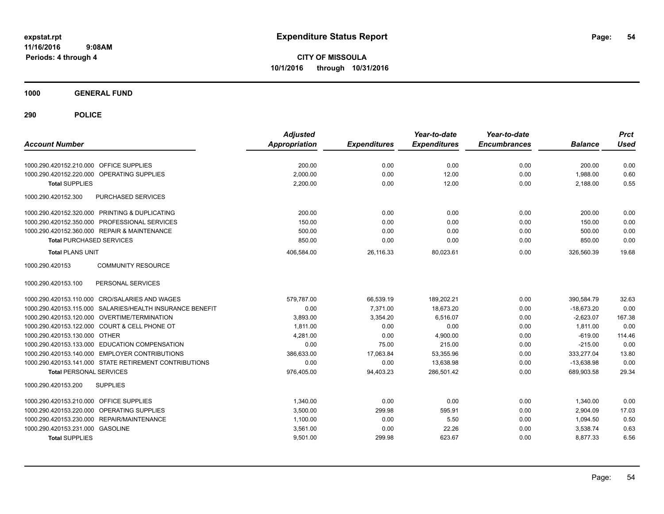**CITY OF MISSOULA 10/1/2016 through 10/31/2016**

**1000 GENERAL FUND**

| <b>Account Number</b>                                     | <b>Adjusted</b><br><b>Appropriation</b> | <b>Expenditures</b> | Year-to-date<br><b>Expenditures</b> | Year-to-date<br><b>Encumbrances</b> | <b>Balance</b> | <b>Prct</b><br><b>Used</b> |
|-----------------------------------------------------------|-----------------------------------------|---------------------|-------------------------------------|-------------------------------------|----------------|----------------------------|
| <b>OFFICE SUPPLIES</b><br>1000.290.420152.210.000         | 200.00                                  | 0.00                | 0.00                                | 0.00                                | 200.00         | 0.00                       |
| 1000.290.420152.220.000<br>OPERATING SUPPLIES             | 2,000.00                                | 0.00                | 12.00                               | 0.00                                | 1,988.00       | 0.60                       |
| <b>Total SUPPLIES</b>                                     | 2,200.00                                | 0.00                | 12.00                               | 0.00                                | 2,188.00       | 0.55                       |
| 1000.290.420152.300<br>PURCHASED SERVICES                 |                                         |                     |                                     |                                     |                |                            |
| 1000.290.420152.320.000 PRINTING & DUPLICATING            | 200.00                                  | 0.00                | 0.00                                | 0.00                                | 200.00         | 0.00                       |
| 1000.290.420152.350.000 PROFESSIONAL SERVICES             | 150.00                                  | 0.00                | 0.00                                | 0.00                                | 150.00         | 0.00                       |
| 1000.290.420152.360.000 REPAIR & MAINTENANCE              | 500.00                                  | 0.00                | 0.00                                | 0.00                                | 500.00         | 0.00                       |
| <b>Total PURCHASED SERVICES</b>                           | 850.00                                  | 0.00                | 0.00                                | 0.00                                | 850.00         | 0.00                       |
| <b>Total PLANS UNIT</b>                                   | 406,584.00                              | 26,116.33           | 80,023.61                           | 0.00                                | 326,560.39     | 19.68                      |
| 1000.290.420153<br><b>COMMUNITY RESOURCE</b>              |                                         |                     |                                     |                                     |                |                            |
| PERSONAL SERVICES<br>1000.290.420153.100                  |                                         |                     |                                     |                                     |                |                            |
| 1000.290.420153.110.000 CRO/SALARIES AND WAGES            | 579.787.00                              | 66.539.19           | 189.202.21                          | 0.00                                | 390.584.79     | 32.63                      |
| 1000.290.420153.115.000 SALARIES/HEALTH INSURANCE BENEFIT | 0.00                                    | 7.371.00            | 18.673.20                           | 0.00                                | $-18,673.20$   | 0.00                       |
| 1000.290.420153.120.000 OVERTIME/TERMINATION              | 3,893.00                                | 3,354.20            | 6,516.07                            | 0.00                                | $-2,623.07$    | 167.38                     |
| 1000.290.420153.122.000 COURT & CELL PHONE OT             | 1,811.00                                | 0.00                | 0.00                                | 0.00                                | 1,811.00       | 0.00                       |
| 1000.290.420153.130.000 OTHER                             | 4,281.00                                | 0.00                | 4,900.00                            | 0.00                                | $-619.00$      | 114.46                     |
| 1000.290.420153.133.000 EDUCATION COMPENSATION            | 0.00                                    | 75.00               | 215.00                              | 0.00                                | $-215.00$      | 0.00                       |
| 1000.290.420153.140.000 EMPLOYER CONTRIBUTIONS            | 386,633.00                              | 17,063.84           | 53,355.96                           | 0.00                                | 333,277.04     | 13.80                      |
| 1000.290.420153.141.000 STATE RETIREMENT CONTRIBUTIONS    | 0.00                                    | 0.00                | 13.638.98                           | 0.00                                | $-13.638.98$   | 0.00                       |
| <b>Total PERSONAL SERVICES</b>                            | 976,405.00                              | 94,403.23           | 286,501.42                          | 0.00                                | 689,903.58     | 29.34                      |
| <b>SUPPLIES</b><br>1000.290.420153.200                    |                                         |                     |                                     |                                     |                |                            |
| 1000.290.420153.210.000 OFFICE SUPPLIES                   | 1,340.00                                | 0.00                | 0.00                                | 0.00                                | 1,340.00       | 0.00                       |
| OPERATING SUPPLIES<br>1000.290.420153.220.000             | 3,500.00                                | 299.98              | 595.91                              | 0.00                                | 2,904.09       | 17.03                      |
| <b>REPAIR/MAINTENANCE</b><br>1000.290.420153.230.000      | 1,100.00                                | 0.00                | 5.50                                | 0.00                                | 1,094.50       | 0.50                       |
| 1000.290.420153.231.000 GASOLINE                          | 3,561.00                                | 0.00                | 22.26                               | 0.00                                | 3,538.74       | 0.63                       |
| <b>Total SUPPLIES</b>                                     | 9,501.00                                | 299.98              | 623.67                              | 0.00                                | 8,877.33       | 6.56                       |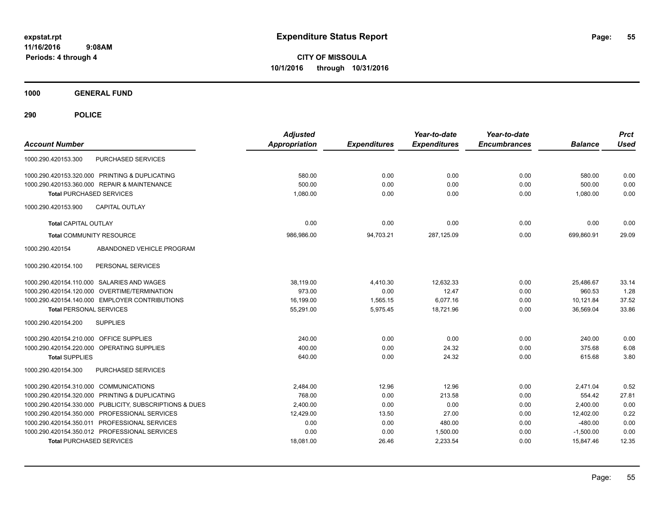**CITY OF MISSOULA 10/1/2016 through 10/31/2016**

**1000 GENERAL FUND**

| <b>Account Number</b>                          |                                 | <b>Adjusted</b><br><b>Appropriation</b> | <b>Expenditures</b> | Year-to-date<br><b>Expenditures</b> | Year-to-date<br><b>Encumbrances</b> | <b>Balance</b> | <b>Prct</b><br><b>Used</b> |
|------------------------------------------------|---------------------------------|-----------------------------------------|---------------------|-------------------------------------|-------------------------------------|----------------|----------------------------|
| 1000.290.420153.300                            | <b>PURCHASED SERVICES</b>       |                                         |                     |                                     |                                     |                |                            |
| 1000.290.420153.320.000 PRINTING & DUPLICATING |                                 | 580.00                                  | 0.00                | 0.00                                | 0.00                                | 580.00         | 0.00                       |
| 1000.290.420153.360.000 REPAIR & MAINTENANCE   |                                 | 500.00                                  | 0.00                | 0.00                                | 0.00                                | 500.00         | 0.00                       |
| <b>Total PURCHASED SERVICES</b>                |                                 | 1,080.00                                | 0.00                | 0.00                                | 0.00                                | 1,080.00       | 0.00                       |
| 1000.290.420153.900<br><b>CAPITAL OUTLAY</b>   |                                 |                                         |                     |                                     |                                     |                |                            |
| <b>Total CAPITAL OUTLAY</b>                    |                                 | 0.00                                    | 0.00                | 0.00                                | 0.00                                | 0.00           | 0.00                       |
| <b>Total COMMUNITY RESOURCE</b>                |                                 | 986,986.00                              | 94,703.21           | 287,125.09                          | 0.00                                | 699,860.91     | 29.09                      |
| 1000.290.420154                                | ABANDONED VEHICLE PROGRAM       |                                         |                     |                                     |                                     |                |                            |
| 1000.290.420154.100                            | PERSONAL SERVICES               |                                         |                     |                                     |                                     |                |                            |
| 1000.290.420154.110.000 SALARIES AND WAGES     |                                 | 38,119.00                               | 4,410.30            | 12.632.33                           | 0.00                                | 25.486.67      | 33.14                      |
| 1000.290.420154.120.000                        | OVERTIME/TERMINATION            | 973.00                                  | 0.00                | 12.47                               | 0.00                                | 960.53         | 1.28                       |
| 1000.290.420154.140.000 EMPLOYER CONTRIBUTIONS |                                 | 16,199.00                               | 1,565.15            | 6,077.16                            | 0.00                                | 10,121.84      | 37.52                      |
| <b>Total PERSONAL SERVICES</b>                 |                                 | 55,291.00                               | 5,975.45            | 18,721.96                           | 0.00                                | 36,569.04      | 33.86                      |
| <b>SUPPLIES</b><br>1000.290.420154.200         |                                 |                                         |                     |                                     |                                     |                |                            |
| 1000.290.420154.210.000 OFFICE SUPPLIES        |                                 | 240.00                                  | 0.00                | 0.00                                | 0.00                                | 240.00         | 0.00                       |
| 1000.290.420154.220.000 OPERATING SUPPLIES     |                                 | 400.00                                  | 0.00                | 24.32                               | 0.00                                | 375.68         | 6.08                       |
| <b>Total SUPPLIES</b>                          |                                 | 640.00                                  | 0.00                | 24.32                               | 0.00                                | 615.68         | 3.80                       |
| 1000.290.420154.300                            | <b>PURCHASED SERVICES</b>       |                                         |                     |                                     |                                     |                |                            |
| 1000.290.420154.310.000 COMMUNICATIONS         |                                 | 2,484.00                                | 12.96               | 12.96                               | 0.00                                | 2,471.04       | 0.52                       |
| 1000.290.420154.320.000 PRINTING & DUPLICATING |                                 | 768.00                                  | 0.00                | 213.58                              | 0.00                                | 554.42         | 27.81                      |
| 1000.290.420154.330.000                        | PUBLICITY, SUBSCRIPTIONS & DUES | 2,400.00                                | 0.00                | 0.00                                | 0.00                                | 2,400.00       | 0.00                       |
| 1000.290.420154.350.000 PROFESSIONAL SERVICES  |                                 | 12,429.00                               | 13.50               | 27.00                               | 0.00                                | 12,402.00      | 0.22                       |
| 1000.290.420154.350.011 PROFESSIONAL SERVICES  |                                 | 0.00                                    | 0.00                | 480.00                              | 0.00                                | $-480.00$      | 0.00                       |
| 1000.290.420154.350.012 PROFESSIONAL SERVICES  |                                 | 0.00                                    | 0.00                | 1,500.00                            | 0.00                                | $-1,500.00$    | 0.00                       |
| <b>Total PURCHASED SERVICES</b>                |                                 | 18,081.00                               | 26.46               | 2,233.54                            | 0.00                                | 15,847.46      | 12.35                      |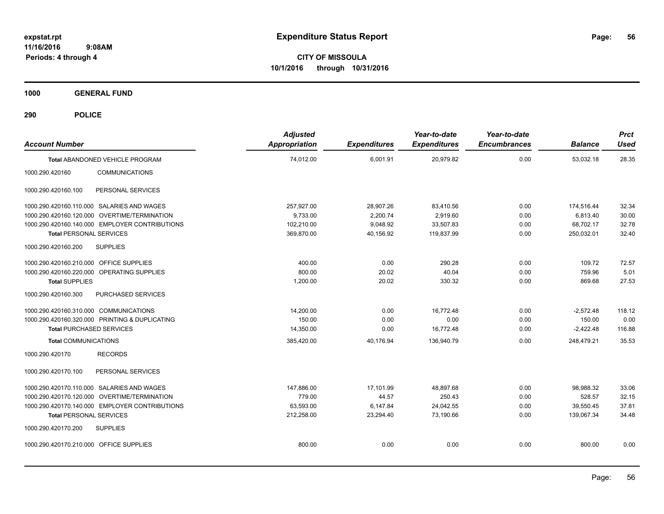**CITY OF MISSOULA 10/1/2016 through 10/31/2016**

**1000 GENERAL FUND**

| <b>Account Number</b>                   |                                                | <b>Adjusted</b><br><b>Appropriation</b> | <b>Expenditures</b> | Year-to-date<br><b>Expenditures</b> | Year-to-date<br><b>Encumbrances</b> | <b>Balance</b> | <b>Prct</b><br><b>Used</b> |
|-----------------------------------------|------------------------------------------------|-----------------------------------------|---------------------|-------------------------------------|-------------------------------------|----------------|----------------------------|
|                                         | Total ABANDONED VEHICLE PROGRAM                | 74,012.00                               | 6,001.91            | 20,979.82                           | 0.00                                | 53,032.18      | 28.35                      |
| 1000.290.420160                         | <b>COMMUNICATIONS</b>                          |                                         |                     |                                     |                                     |                |                            |
| 1000.290.420160.100                     | PERSONAL SERVICES                              |                                         |                     |                                     |                                     |                |                            |
|                                         | 1000.290.420160.110.000 SALARIES AND WAGES     | 257,927.00                              | 28,907.26           | 83,410.56                           | 0.00                                | 174,516.44     | 32.34                      |
|                                         | 1000.290.420160.120.000 OVERTIME/TERMINATION   | 9,733.00                                | 2,200.74            | 2,919.60                            | 0.00                                | 6,813.40       | 30.00                      |
|                                         | 1000.290.420160.140.000 EMPLOYER CONTRIBUTIONS | 102,210.00                              | 9,048.92            | 33,507.83                           | 0.00                                | 68,702.17      | 32.78                      |
| <b>Total PERSONAL SERVICES</b>          |                                                | 369,870.00                              | 40,156.92           | 119,837.99                          | 0.00                                | 250,032.01     | 32.40                      |
| 1000.290.420160.200                     | <b>SUPPLIES</b>                                |                                         |                     |                                     |                                     |                |                            |
| 1000.290.420160.210.000 OFFICE SUPPLIES |                                                | 400.00                                  | 0.00                | 290.28                              | 0.00                                | 109.72         | 72.57                      |
|                                         | 1000.290.420160.220.000 OPERATING SUPPLIES     | 800.00                                  | 20.02               | 40.04                               | 0.00                                | 759.96         | 5.01                       |
| <b>Total SUPPLIES</b>                   |                                                | 1,200.00                                | 20.02               | 330.32                              | 0.00                                | 869.68         | 27.53                      |
| 1000.290.420160.300                     | PURCHASED SERVICES                             |                                         |                     |                                     |                                     |                |                            |
| 1000.290.420160.310.000 COMMUNICATIONS  |                                                | 14.200.00                               | 0.00                | 16.772.48                           | 0.00                                | $-2,572.48$    | 118.12                     |
|                                         | 1000.290.420160.320.000 PRINTING & DUPLICATING | 150.00                                  | 0.00                | 0.00                                | 0.00                                | 150.00         | 0.00                       |
| <b>Total PURCHASED SERVICES</b>         |                                                | 14,350.00                               | 0.00                | 16,772.48                           | 0.00                                | $-2,422.48$    | 116.88                     |
| <b>Total COMMUNICATIONS</b>             |                                                | 385,420.00                              | 40,176.94           | 136,940.79                          | 0.00                                | 248,479.21     | 35.53                      |
| 1000.290.420170                         | <b>RECORDS</b>                                 |                                         |                     |                                     |                                     |                |                            |
| 1000.290.420170.100                     | PERSONAL SERVICES                              |                                         |                     |                                     |                                     |                |                            |
|                                         | 1000.290.420170.110.000 SALARIES AND WAGES     | 147,886.00                              | 17,101.99           | 48,897.68                           | 0.00                                | 98,988.32      | 33.06                      |
|                                         | 1000.290.420170.120.000 OVERTIME/TERMINATION   | 779.00                                  | 44.57               | 250.43                              | 0.00                                | 528.57         | 32.15                      |
|                                         | 1000.290.420170.140.000 EMPLOYER CONTRIBUTIONS | 63,593.00                               | 6,147.84            | 24,042.55                           | 0.00                                | 39.550.45      | 37.81                      |
| <b>Total PERSONAL SERVICES</b>          |                                                | 212,258.00                              | 23,294.40           | 73,190.66                           | 0.00                                | 139,067.34     | 34.48                      |
| 1000.290.420170.200                     | <b>SUPPLIES</b>                                |                                         |                     |                                     |                                     |                |                            |
| 1000.290.420170.210.000 OFFICE SUPPLIES |                                                | 800.00                                  | 0.00                | 0.00                                | 0.00                                | 800.00         | 0.00                       |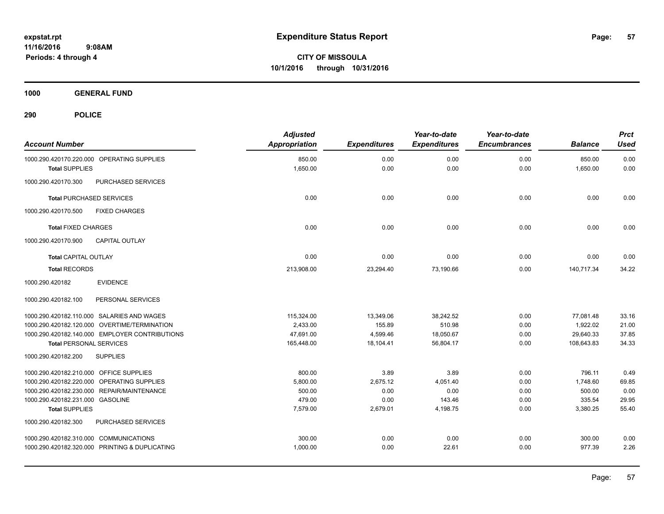**CITY OF MISSOULA 10/1/2016 through 10/31/2016**

**1000 GENERAL FUND**

| <b>Account Number</b>                          | <b>Adjusted</b><br><b>Appropriation</b> | <b>Expenditures</b> | Year-to-date<br><b>Expenditures</b> | Year-to-date<br><b>Encumbrances</b> | <b>Balance</b> | <b>Prct</b><br><b>Used</b> |
|------------------------------------------------|-----------------------------------------|---------------------|-------------------------------------|-------------------------------------|----------------|----------------------------|
| 1000.290.420170.220.000 OPERATING SUPPLIES     | 850.00                                  | 0.00                | 0.00                                | 0.00                                | 850.00         | 0.00                       |
| <b>Total SUPPLIES</b>                          | 1,650.00                                | 0.00                | 0.00                                | 0.00                                | 1,650.00       | 0.00                       |
| PURCHASED SERVICES<br>1000.290.420170.300      |                                         |                     |                                     |                                     |                |                            |
| <b>Total PURCHASED SERVICES</b>                | 0.00                                    | 0.00                | 0.00                                | 0.00                                | 0.00           | 0.00                       |
| 1000.290.420170.500<br><b>FIXED CHARGES</b>    |                                         |                     |                                     |                                     |                |                            |
| <b>Total FIXED CHARGES</b>                     | 0.00                                    | 0.00                | 0.00                                | 0.00                                | 0.00           | 0.00                       |
| 1000.290.420170.900<br><b>CAPITAL OUTLAY</b>   |                                         |                     |                                     |                                     |                |                            |
| <b>Total CAPITAL OUTLAY</b>                    | 0.00                                    | 0.00                | 0.00                                | 0.00                                | 0.00           | 0.00                       |
| <b>Total RECORDS</b>                           | 213,908.00                              | 23,294.40           | 73,190.66                           | 0.00                                | 140,717.34     | 34.22                      |
| 1000.290.420182<br><b>EVIDENCE</b>             |                                         |                     |                                     |                                     |                |                            |
| 1000.290.420182.100<br>PERSONAL SERVICES       |                                         |                     |                                     |                                     |                |                            |
| 1000.290.420182.110.000 SALARIES AND WAGES     | 115,324.00                              | 13,349.06           | 38,242.52                           | 0.00                                | 77,081.48      | 33.16                      |
| 1000.290.420182.120.000 OVERTIME/TERMINATION   | 2,433.00                                | 155.89              | 510.98                              | 0.00                                | 1,922.02       | 21.00                      |
| 1000.290.420182.140.000 EMPLOYER CONTRIBUTIONS | 47,691.00                               | 4,599.46            | 18,050.67                           | 0.00                                | 29,640.33      | 37.85                      |
| <b>Total PERSONAL SERVICES</b>                 | 165,448.00                              | 18,104.41           | 56,804.17                           | 0.00                                | 108,643.83     | 34.33                      |
| 1000.290.420182.200<br><b>SUPPLIES</b>         |                                         |                     |                                     |                                     |                |                            |
| 1000.290.420182.210.000 OFFICE SUPPLIES        | 800.00                                  | 3.89                | 3.89                                | 0.00                                | 796.11         | 0.49                       |
| 1000.290.420182.220.000 OPERATING SUPPLIES     | 5,800.00                                | 2,675.12            | 4,051.40                            | 0.00                                | 1.748.60       | 69.85                      |
| 1000.290.420182.230.000 REPAIR/MAINTENANCE     | 500.00                                  | 0.00                | 0.00                                | 0.00                                | 500.00         | 0.00                       |
| 1000.290.420182.231.000 GASOLINE               | 479.00                                  | 0.00                | 143.46                              | 0.00                                | 335.54         | 29.95                      |
| <b>Total SUPPLIES</b>                          | 7,579.00                                | 2,679.01            | 4,198.75                            | 0.00                                | 3,380.25       | 55.40                      |
| 1000.290.420182.300<br>PURCHASED SERVICES      |                                         |                     |                                     |                                     |                |                            |
| 1000.290.420182.310.000 COMMUNICATIONS         | 300.00                                  | 0.00                | 0.00                                | 0.00                                | 300.00         | 0.00                       |
| 1000.290.420182.320.000 PRINTING & DUPLICATING | 1,000.00                                | 0.00                | 22.61                               | 0.00                                | 977.39         | 2.26                       |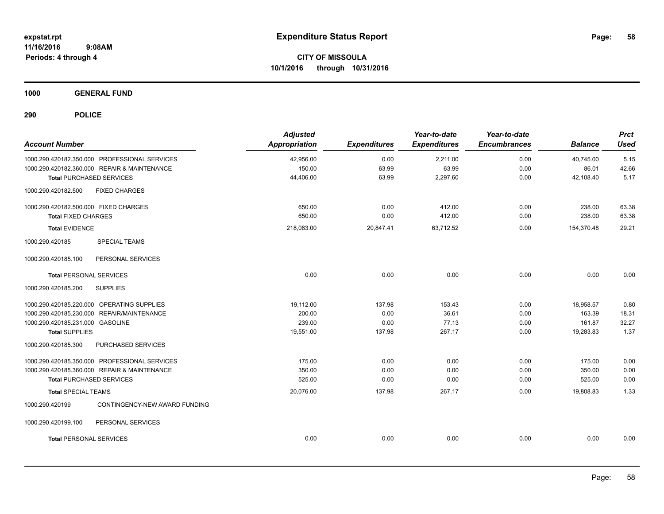**1000 GENERAL FUND**

| <b>Account Number</b>                            | <b>Adjusted</b><br>Appropriation | <b>Expenditures</b> | Year-to-date<br><b>Expenditures</b> | Year-to-date<br><b>Encumbrances</b> | <b>Balance</b> | <b>Prct</b><br><b>Used</b> |
|--------------------------------------------------|----------------------------------|---------------------|-------------------------------------|-------------------------------------|----------------|----------------------------|
| 1000.290.420182.350.000 PROFESSIONAL SERVICES    | 42,956.00                        | 0.00                | 2,211.00                            | 0.00                                | 40,745.00      | 5.15                       |
| 1000.290.420182.360.000 REPAIR & MAINTENANCE     | 150.00                           | 63.99               | 63.99                               | 0.00                                | 86.01          | 42.66                      |
| <b>Total PURCHASED SERVICES</b>                  | 44,406.00                        | 63.99               | 2,297.60                            | 0.00                                | 42,108.40      | 5.17                       |
| 1000.290.420182.500<br><b>FIXED CHARGES</b>      |                                  |                     |                                     |                                     |                |                            |
| 1000.290.420182.500.000 FIXED CHARGES            | 650.00                           | 0.00                | 412.00                              | 0.00                                | 238.00         | 63.38                      |
| <b>Total FIXED CHARGES</b>                       | 650.00                           | 0.00                | 412.00                              | 0.00                                | 238.00         | 63.38                      |
| <b>Total EVIDENCE</b>                            | 218,083.00                       | 20,847.41           | 63,712.52                           | 0.00                                | 154,370.48     | 29.21                      |
| 1000.290.420185<br><b>SPECIAL TEAMS</b>          |                                  |                     |                                     |                                     |                |                            |
| 1000.290.420185.100<br>PERSONAL SERVICES         |                                  |                     |                                     |                                     |                |                            |
| <b>Total PERSONAL SERVICES</b>                   | 0.00                             | 0.00                | 0.00                                | 0.00                                | 0.00           | 0.00                       |
| 1000.290.420185.200<br><b>SUPPLIES</b>           |                                  |                     |                                     |                                     |                |                            |
| 1000.290.420185.220.000 OPERATING SUPPLIES       | 19,112.00                        | 137.98              | 153.43                              | 0.00                                | 18.958.57      | 0.80                       |
| 1000.290.420185.230.000 REPAIR/MAINTENANCE       | 200.00                           | 0.00                | 36.61                               | 0.00                                | 163.39         | 18.31                      |
| 1000.290.420185.231.000 GASOLINE                 | 239.00                           | 0.00                | 77.13                               | 0.00                                | 161.87         | 32.27                      |
| <b>Total SUPPLIES</b>                            | 19,551.00                        | 137.98              | 267.17                              | 0.00                                | 19,283.83      | 1.37                       |
| 1000.290.420185.300<br>PURCHASED SERVICES        |                                  |                     |                                     |                                     |                |                            |
| 1000.290.420185.350.000 PROFESSIONAL SERVICES    | 175.00                           | 0.00                | 0.00                                | 0.00                                | 175.00         | 0.00                       |
| 1000.290.420185.360.000 REPAIR & MAINTENANCE     | 350.00                           | 0.00                | 0.00                                | 0.00                                | 350.00         | 0.00                       |
| <b>Total PURCHASED SERVICES</b>                  | 525.00                           | 0.00                | 0.00                                | 0.00                                | 525.00         | 0.00                       |
| <b>Total SPECIAL TEAMS</b>                       | 20,076.00                        | 137.98              | 267.17                              | 0.00                                | 19,808.83      | 1.33                       |
| CONTINGENCY-NEW AWARD FUNDING<br>1000.290.420199 |                                  |                     |                                     |                                     |                |                            |
| 1000.290.420199.100<br>PERSONAL SERVICES         |                                  |                     |                                     |                                     |                |                            |
| <b>Total PERSONAL SERVICES</b>                   | 0.00                             | 0.00                | 0.00                                | 0.00                                | 0.00           | 0.00                       |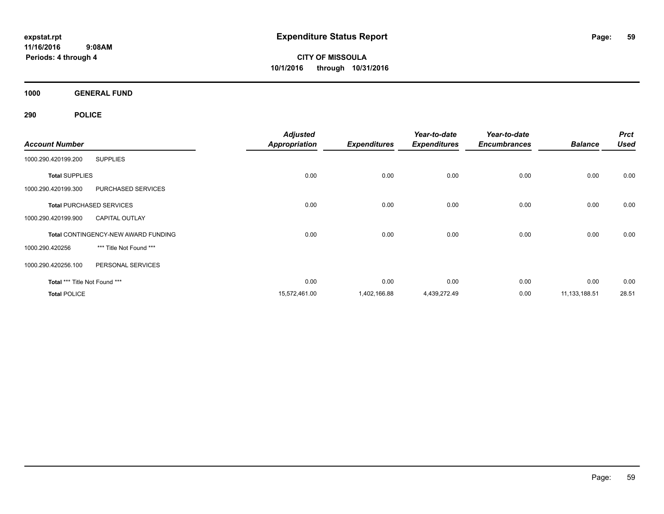**CITY OF MISSOULA 10/1/2016 through 10/31/2016**

**1000 GENERAL FUND**

|                                 |                                     | <b>Adjusted</b>      |                     | Year-to-date        | Year-to-date        |                 | <b>Prct</b> |
|---------------------------------|-------------------------------------|----------------------|---------------------|---------------------|---------------------|-----------------|-------------|
| <b>Account Number</b>           |                                     | <b>Appropriation</b> | <b>Expenditures</b> | <b>Expenditures</b> | <b>Encumbrances</b> | <b>Balance</b>  | <b>Used</b> |
| 1000.290.420199.200             | <b>SUPPLIES</b>                     |                      |                     |                     |                     |                 |             |
| <b>Total SUPPLIES</b>           |                                     | 0.00                 | 0.00                | 0.00                | 0.00                | 0.00            | 0.00        |
| 1000.290.420199.300             | PURCHASED SERVICES                  |                      |                     |                     |                     |                 |             |
| <b>Total PURCHASED SERVICES</b> |                                     | 0.00                 | 0.00                | 0.00                | 0.00                | 0.00            | 0.00        |
| 1000.290.420199.900             | <b>CAPITAL OUTLAY</b>               |                      |                     |                     |                     |                 |             |
|                                 | Total CONTINGENCY-NEW AWARD FUNDING | 0.00                 | 0.00                | 0.00                | 0.00                | 0.00            | 0.00        |
| 1000.290.420256                 | *** Title Not Found ***             |                      |                     |                     |                     |                 |             |
| 1000.290.420256.100             | PERSONAL SERVICES                   |                      |                     |                     |                     |                 |             |
| Total *** Title Not Found ***   |                                     | 0.00                 | 0.00                | 0.00                | 0.00                | 0.00            | 0.00        |
| <b>Total POLICE</b>             |                                     | 15,572,461.00        | 1,402,166.88        | 4,439,272.49        | 0.00                | 11, 133, 188.51 | 28.51       |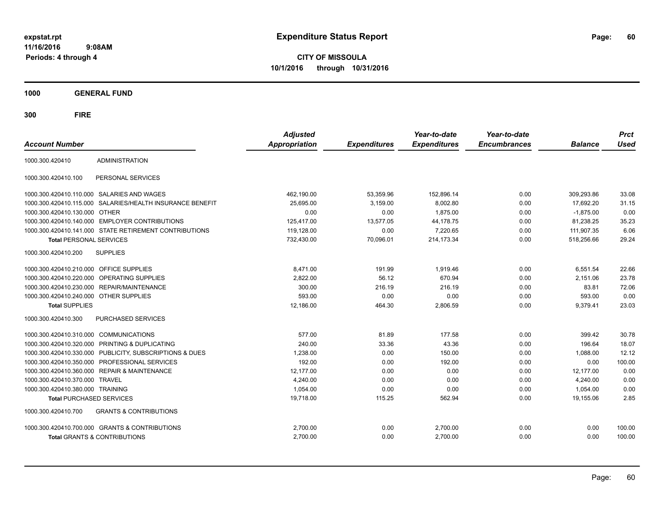**CITY OF MISSOULA 10/1/2016 through 10/31/2016**

**1000 GENERAL FUND**

| <b>Account Number</b>                   |                                                        | <b>Adjusted</b><br><b>Appropriation</b> | <b>Expenditures</b> | Year-to-date<br><b>Expenditures</b> | Year-to-date<br><b>Encumbrances</b> | <b>Balance</b> | <b>Prct</b><br><b>Used</b> |
|-----------------------------------------|--------------------------------------------------------|-----------------------------------------|---------------------|-------------------------------------|-------------------------------------|----------------|----------------------------|
| 1000.300.420410                         | <b>ADMINISTRATION</b>                                  |                                         |                     |                                     |                                     |                |                            |
| 1000.300.420410.100                     | PERSONAL SERVICES                                      |                                         |                     |                                     |                                     |                |                            |
|                                         | 1000.300.420410.110.000 SALARIES AND WAGES             | 462,190.00                              | 53.359.96           | 152,896.14                          | 0.00                                | 309,293.86     | 33.08                      |
| 1000.300.420410.115.000                 | SALARIES/HEALTH INSURANCE BENEFIT                      | 25,695.00                               | 3,159.00            | 8,002.80                            | 0.00                                | 17,692.20      | 31.15                      |
| 1000.300.420410.130.000                 | <b>OTHER</b>                                           | 0.00                                    | 0.00                | 1,875.00                            | 0.00                                | $-1,875.00$    | 0.00                       |
| 1000.300.420410.140.000                 | <b>EMPLOYER CONTRIBUTIONS</b>                          | 125,417.00                              | 13,577.05           | 44,178.75                           | 0.00                                | 81,238.25      | 35.23                      |
|                                         | 1000.300.420410.141.000 STATE RETIREMENT CONTRIBUTIONS | 119,128.00                              | 0.00                | 7,220.65                            | 0.00                                | 111,907.35     | 6.06                       |
| <b>Total PERSONAL SERVICES</b>          |                                                        | 732,430.00                              | 70,096.01           | 214,173.34                          | 0.00                                | 518,256.66     | 29.24                      |
| 1000.300.420410.200                     | <b>SUPPLIES</b>                                        |                                         |                     |                                     |                                     |                |                            |
| 1000.300.420410.210.000 OFFICE SUPPLIES |                                                        | 8,471.00                                | 191.99              | 1,919.46                            | 0.00                                | 6,551.54       | 22.66                      |
| 1000.300.420410.220.000                 | OPERATING SUPPLIES                                     | 2,822.00                                | 56.12               | 670.94                              | 0.00                                | 2.151.06       | 23.78                      |
| 1000.300.420410.230.000                 | <b>REPAIR/MAINTENANCE</b>                              | 300.00                                  | 216.19              | 216.19                              | 0.00                                | 83.81          | 72.06                      |
| 1000.300.420410.240.000                 | <b>OTHER SUPPLIES</b>                                  | 593.00                                  | 0.00                | 0.00                                | 0.00                                | 593.00         | 0.00                       |
| <b>Total SUPPLIES</b>                   |                                                        | 12,186.00                               | 464.30              | 2,806.59                            | 0.00                                | 9,379.41       | 23.03                      |
| 1000.300.420410.300                     | PURCHASED SERVICES                                     |                                         |                     |                                     |                                     |                |                            |
| 1000.300.420410.310.000 COMMUNICATIONS  |                                                        | 577.00                                  | 81.89               | 177.58                              | 0.00                                | 399.42         | 30.78                      |
|                                         | 1000.300.420410.320.000 PRINTING & DUPLICATING         | 240.00                                  | 33.36               | 43.36                               | 0.00                                | 196.64         | 18.07                      |
| 1000.300.420410.330.000                 | PUBLICITY, SUBSCRIPTIONS & DUES                        | 1,238.00                                | 0.00                | 150.00                              | 0.00                                | 1,088.00       | 12.12                      |
| 1000.300.420410.350.000                 | PROFESSIONAL SERVICES                                  | 192.00                                  | 0.00                | 192.00                              | 0.00                                | 0.00           | 100.00                     |
| 1000.300.420410.360.000                 | <b>REPAIR &amp; MAINTENANCE</b>                        | 12,177.00                               | 0.00                | 0.00                                | 0.00                                | 12,177.00      | 0.00                       |
| 1000.300.420410.370.000                 | <b>TRAVEL</b>                                          | 4,240.00                                | 0.00                | 0.00                                | 0.00                                | 4,240.00       | 0.00                       |
| 1000.300.420410.380.000 TRAINING        |                                                        | 1,054.00                                | 0.00                | 0.00                                | 0.00                                | 1,054.00       | 0.00                       |
| <b>Total PURCHASED SERVICES</b>         |                                                        | 19,718.00                               | 115.25              | 562.94                              | 0.00                                | 19,155.06      | 2.85                       |
| 1000.300.420410.700                     | <b>GRANTS &amp; CONTRIBUTIONS</b>                      |                                         |                     |                                     |                                     |                |                            |
|                                         | 1000.300.420410.700.000 GRANTS & CONTRIBUTIONS         | 2,700.00                                | 0.00                | 2,700.00                            | 0.00                                | 0.00           | 100.00                     |
|                                         | <b>Total GRANTS &amp; CONTRIBUTIONS</b>                | 2,700.00                                | 0.00                | 2,700.00                            | 0.00                                | 0.00           | 100.00                     |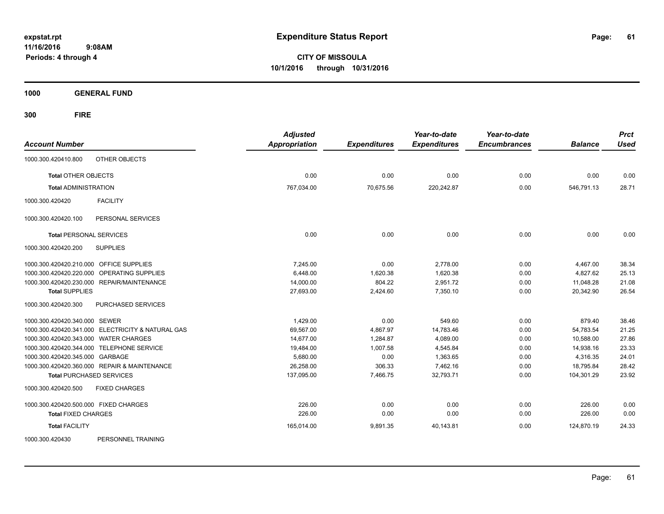**CITY OF MISSOULA 10/1/2016 through 10/31/2016**

**1000 GENERAL FUND**

**300 FIRE**

| <b>Account Number</b>                             | <b>Adjusted</b><br><b>Appropriation</b> | <b>Expenditures</b> | Year-to-date<br><b>Expenditures</b> | Year-to-date<br><b>Encumbrances</b> | <b>Balance</b> | <b>Prct</b><br><b>Used</b> |
|---------------------------------------------------|-----------------------------------------|---------------------|-------------------------------------|-------------------------------------|----------------|----------------------------|
| OTHER OBJECTS<br>1000.300.420410.800              |                                         |                     |                                     |                                     |                |                            |
| <b>Total OTHER OBJECTS</b>                        | 0.00                                    | 0.00                | 0.00                                | 0.00                                | 0.00           | 0.00                       |
| <b>Total ADMINISTRATION</b>                       | 767,034.00                              | 70,675.56           | 220,242.87                          | 0.00                                | 546,791.13     | 28.71                      |
| 1000.300.420420<br><b>FACILITY</b>                |                                         |                     |                                     |                                     |                |                            |
| PERSONAL SERVICES<br>1000.300.420420.100          |                                         |                     |                                     |                                     |                |                            |
| <b>Total PERSONAL SERVICES</b>                    | 0.00                                    | 0.00                | 0.00                                | 0.00                                | 0.00           | 0.00                       |
| <b>SUPPLIES</b><br>1000.300.420420.200            |                                         |                     |                                     |                                     |                |                            |
| 1000.300.420420.210.000 OFFICE SUPPLIES           | 7,245.00                                | 0.00                | 2,778.00                            | 0.00                                | 4,467.00       | 38.34                      |
| 1000.300.420420.220.000 OPERATING SUPPLIES        | 6,448.00                                | 1,620.38            | 1,620.38                            | 0.00                                | 4,827.62       | 25.13                      |
| 1000.300.420420.230.000 REPAIR/MAINTENANCE        | 14,000.00                               | 804.22              | 2,951.72                            | 0.00                                | 11,048.28      | 21.08                      |
| <b>Total SUPPLIES</b>                             | 27,693.00                               | 2,424.60            | 7,350.10                            | 0.00                                | 20,342.90      | 26.54                      |
| 1000.300.420420.300<br>PURCHASED SERVICES         |                                         |                     |                                     |                                     |                |                            |
| 1000.300.420420.340.000 SEWER                     | 1,429.00                                | 0.00                | 549.60                              | 0.00                                | 879.40         | 38.46                      |
| 1000.300.420420.341.000 ELECTRICITY & NATURAL GAS | 69,567.00                               | 4,867.97            | 14,783.46                           | 0.00                                | 54,783.54      | 21.25                      |
| 1000.300.420420.343.000 WATER CHARGES             | 14,677.00                               | 1,284.87            | 4,089.00                            | 0.00                                | 10,588.00      | 27.86                      |
| 1000.300.420420.344.000 TELEPHONE SERVICE         | 19,484.00                               | 1,007.58            | 4,545.84                            | 0.00                                | 14,938.16      | 23.33                      |
| 1000.300.420420.345.000 GARBAGE                   | 5,680.00                                | 0.00                | 1,363.65                            | 0.00                                | 4,316.35       | 24.01                      |
| 1000.300.420420.360.000 REPAIR & MAINTENANCE      | 26,258.00                               | 306.33              | 7,462.16                            | 0.00                                | 18,795.84      | 28.42                      |
| <b>Total PURCHASED SERVICES</b>                   | 137,095.00                              | 7,466.75            | 32,793.71                           | 0.00                                | 104,301.29     | 23.92                      |
| 1000.300.420420.500<br><b>FIXED CHARGES</b>       |                                         |                     |                                     |                                     |                |                            |
| 1000.300.420420.500.000 FIXED CHARGES             | 226.00                                  | 0.00                | 0.00                                | 0.00                                | 226.00         | 0.00                       |
| <b>Total FIXED CHARGES</b>                        | 226.00                                  | 0.00                | 0.00                                | 0.00                                | 226.00         | 0.00                       |
| <b>Total FACILITY</b>                             | 165,014.00                              | 9,891.35            | 40,143.81                           | 0.00                                | 124,870.19     | 24.33                      |
| PERSONNEL TRAINING<br>1000.300.420430             |                                         |                     |                                     |                                     |                |                            |

Page: 61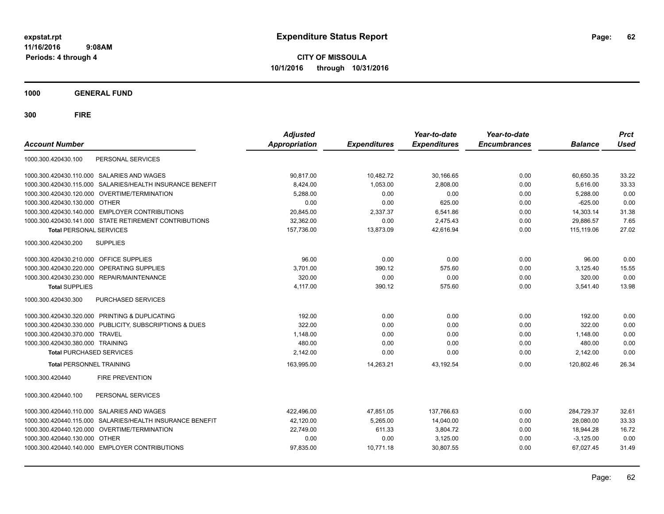**CITY OF MISSOULA 10/1/2016 through 10/31/2016**

**1000 GENERAL FUND**

| <b>Account Number</b>                                        | <b>Adjusted</b><br><b>Appropriation</b> | <b>Expenditures</b> | Year-to-date<br><b>Expenditures</b> | Year-to-date<br><b>Encumbrances</b> | <b>Balance</b> | <b>Prct</b><br><b>Used</b> |
|--------------------------------------------------------------|-----------------------------------------|---------------------|-------------------------------------|-------------------------------------|----------------|----------------------------|
| PERSONAL SERVICES<br>1000.300.420430.100                     |                                         |                     |                                     |                                     |                |                            |
| SALARIES AND WAGES<br>1000.300.420430.110.000                | 90,817.00                               | 10,482.72           | 30,166.65                           | 0.00                                | 60,650.35      | 33.22                      |
| SALARIES/HEALTH INSURANCE BENEFIT<br>1000.300.420430.115.000 | 8,424.00                                | 1,053.00            | 2,808.00                            | 0.00                                | 5,616.00       | 33.33                      |
| 1000.300.420430.120.000 OVERTIME/TERMINATION                 | 5,288.00                                | 0.00                | 0.00                                | 0.00                                | 5,288.00       | 0.00                       |
| 1000.300.420430.130.000 OTHER                                | 0.00                                    | 0.00                | 625.00                              | 0.00                                | $-625.00$      | 0.00                       |
| 1000.300.420430.140.000 EMPLOYER CONTRIBUTIONS               | 20.845.00                               | 2,337.37            | 6,541.86                            | 0.00                                | 14,303.14      | 31.38                      |
| 1000.300.420430.141.000 STATE RETIREMENT CONTRIBUTIONS       | 32,362.00                               | 0.00                | 2,475.43                            | 0.00                                | 29,886.57      | 7.65                       |
| <b>Total PERSONAL SERVICES</b>                               | 157,736.00                              | 13,873.09           | 42,616.94                           | 0.00                                | 115,119.06     | 27.02                      |
| <b>SUPPLIES</b><br>1000.300.420430.200                       |                                         |                     |                                     |                                     |                |                            |
| OFFICE SUPPLIES<br>1000.300.420430.210.000                   | 96.00                                   | 0.00                | 0.00                                | 0.00                                | 96.00          | 0.00                       |
| 1000.300.420430.220.000<br>OPERATING SUPPLIES                | 3,701.00                                | 390.12              | 575.60                              | 0.00                                | 3,125.40       | 15.55                      |
| REPAIR/MAINTENANCE<br>1000.300.420430.230.000                | 320.00                                  | 0.00                | 0.00                                | 0.00                                | 320.00         | 0.00                       |
| <b>Total SUPPLIES</b>                                        | 4,117.00                                | 390.12              | 575.60                              | 0.00                                | 3,541.40       | 13.98                      |
| 1000.300.420430.300<br><b>PURCHASED SERVICES</b>             |                                         |                     |                                     |                                     |                |                            |
| 1000.300.420430.320.000 PRINTING & DUPLICATING               | 192.00                                  | 0.00                | 0.00                                | 0.00                                | 192.00         | 0.00                       |
| 1000.300.420430.330.000 PUBLICITY, SUBSCRIPTIONS & DUES      | 322.00                                  | 0.00                | 0.00                                | 0.00                                | 322.00         | 0.00                       |
| 1000.300.420430.370.000 TRAVEL                               | 1,148.00                                | 0.00                | 0.00                                | 0.00                                | 1,148.00       | 0.00                       |
| 1000.300.420430.380.000 TRAINING                             | 480.00                                  | 0.00                | 0.00                                | 0.00                                | 480.00         | 0.00                       |
| <b>Total PURCHASED SERVICES</b>                              | 2,142.00                                | 0.00                | 0.00                                | 0.00                                | 2,142.00       | 0.00                       |
| <b>Total PERSONNEL TRAINING</b>                              | 163,995.00                              | 14,263.21           | 43,192.54                           | 0.00                                | 120,802.46     | 26.34                      |
| <b>FIRE PREVENTION</b><br>1000.300.420440                    |                                         |                     |                                     |                                     |                |                            |
| PERSONAL SERVICES<br>1000.300.420440.100                     |                                         |                     |                                     |                                     |                |                            |
| <b>SALARIES AND WAGES</b><br>1000.300.420440.110.000         | 422,496.00                              | 47,851.05           | 137,766.63                          | 0.00                                | 284,729.37     | 32.61                      |
| SALARIES/HEALTH INSURANCE BENEFIT<br>1000.300.420440.115.000 | 42,120.00                               | 5.265.00            | 14,040.00                           | 0.00                                | 28.080.00      | 33.33                      |
| OVERTIME/TERMINATION<br>1000.300.420440.120.000              | 22,749.00                               | 611.33              | 3,804.72                            | 0.00                                | 18,944.28      | 16.72                      |
| 1000.300.420440.130.000<br><b>OTHER</b>                      | 0.00                                    | 0.00                | 3,125.00                            | 0.00                                | $-3,125.00$    | 0.00                       |
| 1000.300.420440.140.000 EMPLOYER CONTRIBUTIONS               | 97.835.00                               | 10,771.18           | 30,807.55                           | 0.00                                | 67,027.45      | 31.49                      |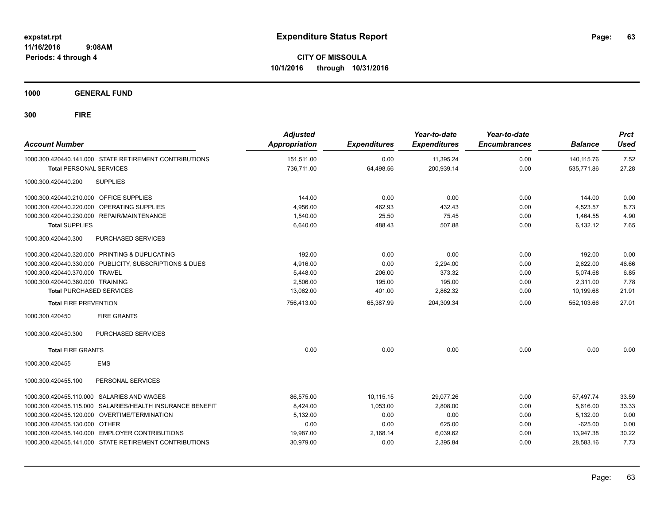**CITY OF MISSOULA 10/1/2016 through 10/31/2016**

**1000 GENERAL FUND**

| <b>Account Number</b>                                     | <b>Adjusted</b><br>Appropriation | <b>Expenditures</b> | Year-to-date<br><b>Expenditures</b> | Year-to-date<br><b>Encumbrances</b> | <b>Balance</b> | <b>Prct</b><br><b>Used</b> |
|-----------------------------------------------------------|----------------------------------|---------------------|-------------------------------------|-------------------------------------|----------------|----------------------------|
| 1000.300.420440.141.000 STATE RETIREMENT CONTRIBUTIONS    | 151,511.00                       | 0.00                | 11,395.24                           | 0.00                                | 140,115.76     | 7.52                       |
| <b>Total PERSONAL SERVICES</b>                            | 736.711.00                       | 64,498.56           | 200,939.14                          | 0.00                                | 535.771.86     | 27.28                      |
| 1000.300.420440.200<br><b>SUPPLIES</b>                    |                                  |                     |                                     |                                     |                |                            |
| 1000.300.420440.210.000 OFFICE SUPPLIES                   | 144.00                           | 0.00                | 0.00                                | 0.00                                | 144.00         | 0.00                       |
| 1000.300.420440.220.000 OPERATING SUPPLIES                | 4,956.00                         | 462.93              | 432.43                              | 0.00                                | 4,523.57       | 8.73                       |
| 1000.300.420440.230.000 REPAIR/MAINTENANCE                | 1,540.00                         | 25.50               | 75.45                               | 0.00                                | 1.464.55       | 4.90                       |
| <b>Total SUPPLIES</b>                                     | 6,640.00                         | 488.43              | 507.88                              | 0.00                                | 6,132.12       | 7.65                       |
| PURCHASED SERVICES<br>1000.300.420440.300                 |                                  |                     |                                     |                                     |                |                            |
| 1000.300.420440.320.000 PRINTING & DUPLICATING            | 192.00                           | 0.00                | 0.00                                | 0.00                                | 192.00         | 0.00                       |
| 1000.300.420440.330.000 PUBLICITY, SUBSCRIPTIONS & DUES   | 4,916.00                         | 0.00                | 2,294.00                            | 0.00                                | 2,622.00       | 46.66                      |
| 1000.300.420440.370.000 TRAVEL                            | 5,448.00                         | 206.00              | 373.32                              | 0.00                                | 5,074.68       | 6.85                       |
| 1000.300.420440.380.000 TRAINING                          | 2.506.00                         | 195.00              | 195.00                              | 0.00                                | 2.311.00       | 7.78                       |
| <b>Total PURCHASED SERVICES</b>                           | 13,062.00                        | 401.00              | 2,862.32                            | 0.00                                | 10,199.68      | 21.91                      |
| <b>Total FIRE PREVENTION</b>                              | 756,413.00                       | 65,387.99           | 204,309.34                          | 0.00                                | 552,103.66     | 27.01                      |
| 1000.300.420450<br><b>FIRE GRANTS</b>                     |                                  |                     |                                     |                                     |                |                            |
| PURCHASED SERVICES<br>1000.300.420450.300                 |                                  |                     |                                     |                                     |                |                            |
| <b>Total FIRE GRANTS</b>                                  | 0.00                             | 0.00                | 0.00                                | 0.00                                | 0.00           | 0.00                       |
| 1000.300.420455<br><b>EMS</b>                             |                                  |                     |                                     |                                     |                |                            |
| 1000.300.420455.100<br>PERSONAL SERVICES                  |                                  |                     |                                     |                                     |                |                            |
| 1000.300.420455.110.000 SALARIES AND WAGES                | 86,575.00                        | 10,115.15           | 29,077.26                           | 0.00                                | 57,497.74      | 33.59                      |
| 1000.300.420455.115.000 SALARIES/HEALTH INSURANCE BENEFIT | 8,424.00                         | 1,053.00            | 2,808.00                            | 0.00                                | 5,616.00       | 33.33                      |
| 1000.300.420455.120.000 OVERTIME/TERMINATION              | 5,132.00                         | 0.00                | 0.00                                | 0.00                                | 5,132.00       | 0.00                       |
| 1000.300.420455.130.000 OTHER                             | 0.00                             | 0.00                | 625.00                              | 0.00                                | $-625.00$      | 0.00                       |
| 1000.300.420455.140.000 EMPLOYER CONTRIBUTIONS            | 19,987.00                        | 2,168.14            | 6,039.62                            | 0.00                                | 13,947.38      | 30.22                      |
| 1000.300.420455.141.000 STATE RETIREMENT CONTRIBUTIONS    | 30,979.00                        | 0.00                | 2,395.84                            | 0.00                                | 28,583.16      | 7.73                       |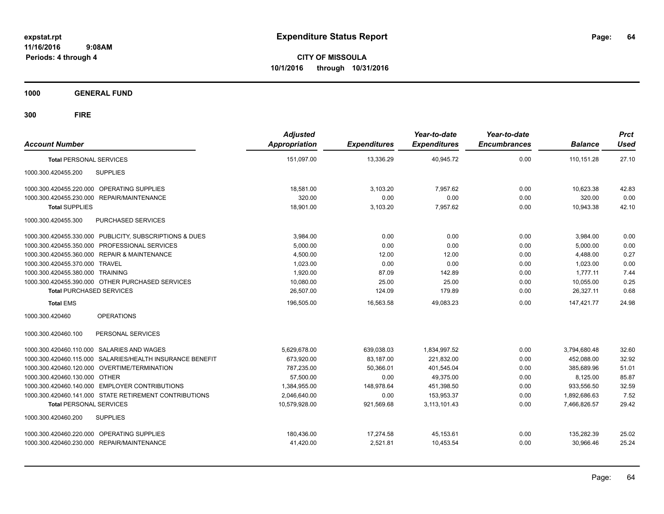**CITY OF MISSOULA 10/1/2016 through 10/31/2016**

**1000 GENERAL FUND**

| <b>Account Number</b>                                     | <b>Adjusted</b><br><b>Appropriation</b> | <b>Expenditures</b> | Year-to-date<br><b>Expenditures</b> | Year-to-date<br><b>Encumbrances</b> | <b>Balance</b> | <b>Prct</b><br><b>Used</b> |
|-----------------------------------------------------------|-----------------------------------------|---------------------|-------------------------------------|-------------------------------------|----------------|----------------------------|
| <b>Total PERSONAL SERVICES</b>                            | 151.097.00                              | 13.336.29           | 40.945.72                           | 0.00                                | 110.151.28     | 27.10                      |
| <b>SUPPLIES</b><br>1000.300.420455.200                    |                                         |                     |                                     |                                     |                |                            |
| 1000.300.420455.220.000 OPERATING SUPPLIES                | 18.581.00                               | 3,103.20            | 7.957.62                            | 0.00                                | 10.623.38      | 42.83                      |
| 1000.300.420455.230.000<br>REPAIR/MAINTENANCE             | 320.00                                  | 0.00                | 0.00                                | 0.00                                | 320.00         | 0.00                       |
| <b>Total SUPPLIES</b>                                     | 18,901.00                               | 3,103.20            | 7,957.62                            | 0.00                                | 10,943.38      | 42.10                      |
| 1000.300.420455.300<br>PURCHASED SERVICES                 |                                         |                     |                                     |                                     |                |                            |
| 1000.300.420455.330.000 PUBLICITY, SUBSCRIPTIONS & DUES   | 3.984.00                                | 0.00                | 0.00                                | 0.00                                | 3,984.00       | 0.00                       |
| 1000.300.420455.350.000 PROFESSIONAL SERVICES             | 5,000.00                                | 0.00                | 0.00                                | 0.00                                | 5.000.00       | 0.00                       |
| 1000.300.420455.360.000 REPAIR & MAINTENANCE              | 4,500.00                                | 12.00               | 12.00                               | 0.00                                | 4,488.00       | 0.27                       |
| 1000.300.420455.370.000 TRAVEL                            | 1,023.00                                | 0.00                | 0.00                                | 0.00                                | 1,023.00       | 0.00                       |
| 1000.300.420455.380.000 TRAINING                          | 1,920.00                                | 87.09               | 142.89                              | 0.00                                | 1,777.11       | 7.44                       |
| 1000.300.420455.390.000 OTHER PURCHASED SERVICES          | 10,080.00                               | 25.00               | 25.00                               | 0.00                                | 10,055.00      | 0.25                       |
| <b>Total PURCHASED SERVICES</b>                           | 26.507.00                               | 124.09              | 179.89                              | 0.00                                | 26,327.11      | 0.68                       |
| <b>Total EMS</b>                                          | 196,505.00                              | 16,563.58           | 49,083.23                           | 0.00                                | 147,421.77     | 24.98                      |
| 1000.300.420460<br><b>OPERATIONS</b>                      |                                         |                     |                                     |                                     |                |                            |
| PERSONAL SERVICES<br>1000.300.420460.100                  |                                         |                     |                                     |                                     |                |                            |
| 1000.300.420460.110.000 SALARIES AND WAGES                | 5,629,678.00                            | 639,038.03          | 1,834,997.52                        | 0.00                                | 3,794,680.48   | 32.60                      |
| 1000.300.420460.115.000 SALARIES/HEALTH INSURANCE BENEFIT | 673,920.00                              | 83,187.00           | 221,832.00                          | 0.00                                | 452,088.00     | 32.92                      |
| 1000.300.420460.120.000 OVERTIME/TERMINATION              | 787,235.00                              | 50,366.01           | 401,545.04                          | 0.00                                | 385,689.96     | 51.01                      |
| 1000.300.420460.130.000 OTHER                             | 57,500.00                               | 0.00                | 49.375.00                           | 0.00                                | 8,125.00       | 85.87                      |
| 1000.300.420460.140.000 EMPLOYER CONTRIBUTIONS            | 1,384,955.00                            | 148,978.64          | 451,398.50                          | 0.00                                | 933,556.50     | 32.59                      |
| 1000.300.420460.141.000 STATE RETIREMENT CONTRIBUTIONS    | 2,046,640.00                            | 0.00                | 153,953.37                          | 0.00                                | 1,892,686.63   | 7.52                       |
| <b>Total PERSONAL SERVICES</b>                            | 10.579.928.00                           | 921.569.68          | 3.113.101.43                        | 0.00                                | 7.466.826.57   | 29.42                      |
| 1000.300.420460.200<br><b>SUPPLIES</b>                    |                                         |                     |                                     |                                     |                |                            |
| 1000.300.420460.220.000 OPERATING SUPPLIES                | 180,436.00                              | 17,274.58           | 45,153.61                           | 0.00                                | 135.282.39     | 25.02                      |
| 1000.300.420460.230.000 REPAIR/MAINTENANCE                | 41,420.00                               | 2,521.81            | 10,453.54                           | 0.00                                | 30,966.46      | 25.24                      |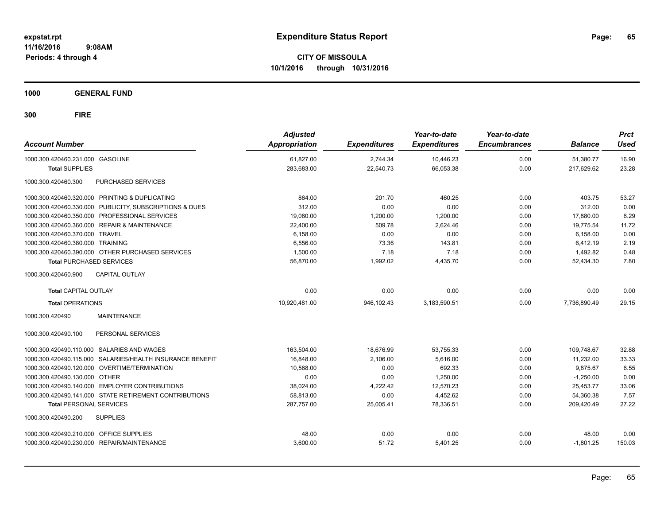**CITY OF MISSOULA 10/1/2016 through 10/31/2016**

**1000 GENERAL FUND**

| <b>Account Number</b>                                     | <b>Adjusted</b><br>Appropriation | <b>Expenditures</b> | Year-to-date<br><b>Expenditures</b> | Year-to-date<br><b>Encumbrances</b> | <b>Balance</b> | <b>Prct</b><br><b>Used</b> |
|-----------------------------------------------------------|----------------------------------|---------------------|-------------------------------------|-------------------------------------|----------------|----------------------------|
| 1000.300.420460.231.000 GASOLINE                          | 61,827.00                        | 2,744.34            | 10,446.23                           | 0.00                                | 51,380.77      | 16.90                      |
| <b>Total SUPPLIES</b>                                     | 283,683.00                       | 22,540.73           | 66,053.38                           | 0.00                                | 217,629.62     | 23.28                      |
| 1000.300.420460.300<br>PURCHASED SERVICES                 |                                  |                     |                                     |                                     |                |                            |
| 1000.300.420460.320.000 PRINTING & DUPLICATING            | 864.00                           | 201.70              | 460.25                              | 0.00                                | 403.75         | 53.27                      |
| 1000.300.420460.330.000 PUBLICITY, SUBSCRIPTIONS & DUES   | 312.00                           | 0.00                | 0.00                                | 0.00                                | 312.00         | 0.00                       |
| 1000.300.420460.350.000 PROFESSIONAL SERVICES             | 19,080.00                        | 1,200.00            | 1,200.00                            | 0.00                                | 17,880.00      | 6.29                       |
| 1000.300.420460.360.000 REPAIR & MAINTENANCE              | 22,400.00                        | 509.78              | 2,624.46                            | 0.00                                | 19,775.54      | 11.72                      |
| 1000.300.420460.370.000 TRAVEL                            | 6.158.00                         | 0.00                | 0.00                                | 0.00                                | 6.158.00       | 0.00                       |
| 1000.300.420460.380.000 TRAINING                          | 6,556.00                         | 73.36               | 143.81                              | 0.00                                | 6,412.19       | 2.19                       |
| 1000.300.420460.390.000 OTHER PURCHASED SERVICES          | 1,500.00                         | 7.18                | 7.18                                | 0.00                                | 1,492.82       | 0.48                       |
| <b>Total PURCHASED SERVICES</b>                           | 56,870.00                        | 1,992.02            | 4,435.70                            | 0.00                                | 52,434.30      | 7.80                       |
| 1000.300.420460.900<br><b>CAPITAL OUTLAY</b>              |                                  |                     |                                     |                                     |                |                            |
| <b>Total CAPITAL OUTLAY</b>                               | 0.00                             | 0.00                | 0.00                                | 0.00                                | 0.00           | 0.00                       |
| <b>Total OPERATIONS</b>                                   | 10,920,481.00                    | 946,102.43          | 3,183,590.51                        | 0.00                                | 7.736.890.49   | 29.15                      |
| 1000.300.420490<br><b>MAINTENANCE</b>                     |                                  |                     |                                     |                                     |                |                            |
| PERSONAL SERVICES<br>1000.300.420490.100                  |                                  |                     |                                     |                                     |                |                            |
| 1000.300.420490.110.000 SALARIES AND WAGES                | 163,504.00                       | 18,676.99           | 53,755.33                           | 0.00                                | 109,748.67     | 32.88                      |
| 1000.300.420490.115.000 SALARIES/HEALTH INSURANCE BENEFIT | 16,848.00                        | 2,106.00            | 5,616.00                            | 0.00                                | 11,232.00      | 33.33                      |
| 1000.300.420490.120.000 OVERTIME/TERMINATION              | 10.568.00                        | 0.00                | 692.33                              | 0.00                                | 9.875.67       | 6.55                       |
| 1000.300.420490.130.000 OTHER                             | 0.00                             | 0.00                | 1.250.00                            | 0.00                                | $-1.250.00$    | 0.00                       |
| 1000.300.420490.140.000 EMPLOYER CONTRIBUTIONS            | 38,024.00                        | 4,222.42            | 12,570.23                           | 0.00                                | 25,453.77      | 33.06                      |
| 1000.300.420490.141.000 STATE RETIREMENT CONTRIBUTIONS    | 58,813.00                        | 0.00                | 4,452.62                            | 0.00                                | 54,360.38      | 7.57                       |
| <b>Total PERSONAL SERVICES</b>                            | 287,757.00                       | 25,005.41           | 78,336.51                           | 0.00                                | 209,420.49     | 27.22                      |
| 1000.300.420490.200<br><b>SUPPLIES</b>                    |                                  |                     |                                     |                                     |                |                            |
| 1000.300.420490.210.000 OFFICE SUPPLIES                   | 48.00                            | 0.00                | 0.00                                | 0.00                                | 48.00          | 0.00                       |
| 1000.300.420490.230.000 REPAIR/MAINTENANCE                | 3,600.00                         | 51.72               | 5,401.25                            | 0.00                                | $-1,801.25$    | 150.03                     |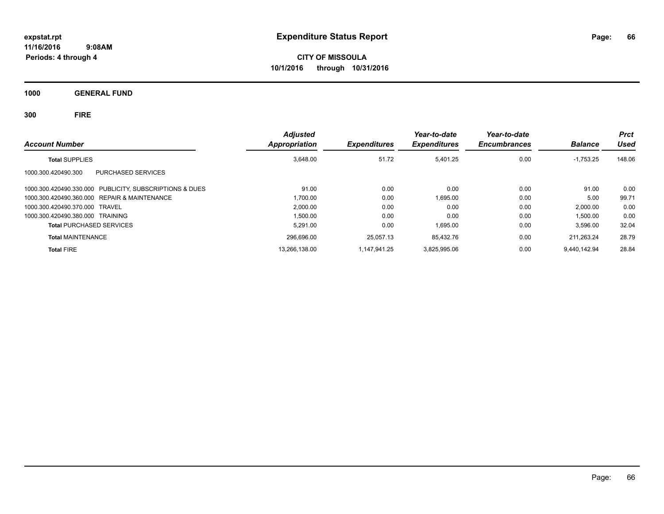**CITY OF MISSOULA 10/1/2016 through 10/31/2016**

**1000 GENERAL FUND**

|                                                         | <b>Adjusted</b> |                     | Year-to-date        | Year-to-date        |                | <b>Prct</b> |
|---------------------------------------------------------|-----------------|---------------------|---------------------|---------------------|----------------|-------------|
| <b>Account Number</b>                                   | Appropriation   | <b>Expenditures</b> | <b>Expenditures</b> | <b>Encumbrances</b> | <b>Balance</b> | Used        |
| <b>Total SUPPLIES</b>                                   | 3,648.00        | 51.72               | 5.401.25            | 0.00                | $-1,753.25$    | 148.06      |
| 1000.300.420490.300<br>PURCHASED SERVICES               |                 |                     |                     |                     |                |             |
| 1000.300.420490.330.000 PUBLICITY, SUBSCRIPTIONS & DUES | 91.00           | 0.00                | 0.00                | 0.00                | 91.00          | 0.00        |
| 1000.300.420490.360.000 REPAIR & MAINTENANCE            | 1.700.00        | 0.00                | 1.695.00            | 0.00                | 5.00           | 99.71       |
| 1000.300.420490.370.000 TRAVEL                          | 2,000.00        | 0.00                | 0.00                | 0.00                | 2,000.00       | 0.00        |
| 1000.300.420490.380.000 TRAINING                        | 1,500.00        | 0.00                | 0.00                | 0.00                | 1,500.00       | 0.00        |
| <b>Total PURCHASED SERVICES</b>                         | 5,291.00        | 0.00                | 1,695.00            | 0.00                | 3,596.00       | 32.04       |
| <b>Total MAINTENANCE</b>                                | 296,696.00      | 25.057.13           | 85.432.76           | 0.00                | 211.263.24     | 28.79       |
| <b>Total FIRE</b>                                       | 13,266,138.00   | 1.147.941.25        | 3.825.995.06        | 0.00                | 9.440.142.94   | 28.84       |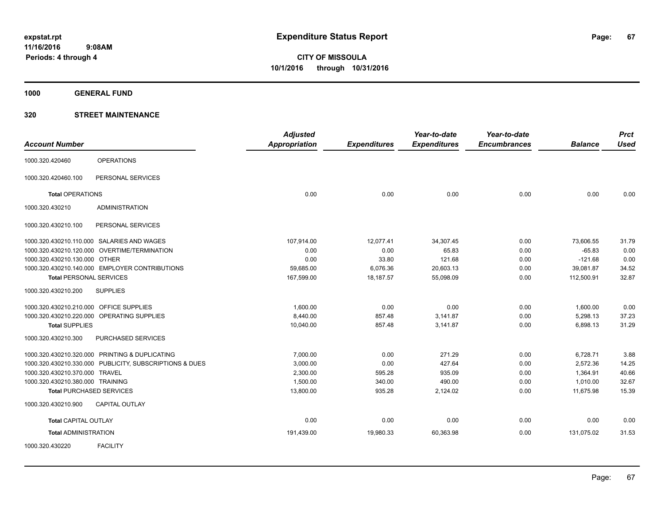**1000 GENERAL FUND**

|                                         |                                                         | <b>Adjusted</b>      |                     | Year-to-date        | Year-to-date        |                | <b>Prct</b> |
|-----------------------------------------|---------------------------------------------------------|----------------------|---------------------|---------------------|---------------------|----------------|-------------|
| <b>Account Number</b>                   |                                                         | <b>Appropriation</b> | <b>Expenditures</b> | <b>Expenditures</b> | <b>Encumbrances</b> | <b>Balance</b> | <b>Used</b> |
| 1000.320.420460                         | <b>OPERATIONS</b>                                       |                      |                     |                     |                     |                |             |
| 1000.320.420460.100                     | PERSONAL SERVICES                                       |                      |                     |                     |                     |                |             |
| <b>Total OPERATIONS</b>                 |                                                         | 0.00                 | 0.00                | 0.00                | 0.00                | 0.00           | 0.00        |
| 1000.320.430210                         | <b>ADMINISTRATION</b>                                   |                      |                     |                     |                     |                |             |
| 1000.320.430210.100                     | PERSONAL SERVICES                                       |                      |                     |                     |                     |                |             |
|                                         | 1000.320.430210.110.000 SALARIES AND WAGES              | 107,914.00           | 12,077.41           | 34,307.45           | 0.00                | 73,606.55      | 31.79       |
|                                         | 1000.320.430210.120.000 OVERTIME/TERMINATION            | 0.00                 | 0.00                | 65.83               | 0.00                | $-65.83$       | 0.00        |
| 1000.320.430210.130.000 OTHER           |                                                         | 0.00                 | 33.80               | 121.68              | 0.00                | $-121.68$      | 0.00        |
|                                         | 1000.320.430210.140.000 EMPLOYER CONTRIBUTIONS          | 59,685.00            | 6,076.36            | 20,603.13           | 0.00                | 39,081.87      | 34.52       |
| <b>Total PERSONAL SERVICES</b>          |                                                         | 167,599.00           | 18,187.57           | 55,098.09           | 0.00                | 112,500.91     | 32.87       |
| 1000.320.430210.200                     | <b>SUPPLIES</b>                                         |                      |                     |                     |                     |                |             |
| 1000.320.430210.210.000 OFFICE SUPPLIES |                                                         | 1,600.00             | 0.00                | 0.00                | 0.00                | 1,600.00       | 0.00        |
|                                         | 1000.320.430210.220.000 OPERATING SUPPLIES              | 8.440.00             | 857.48              | 3,141.87            | 0.00                | 5,298.13       | 37.23       |
| <b>Total SUPPLIES</b>                   |                                                         | 10,040.00            | 857.48              | 3,141.87            | 0.00                | 6,898.13       | 31.29       |
| 1000.320.430210.300                     | PURCHASED SERVICES                                      |                      |                     |                     |                     |                |             |
|                                         | 1000.320.430210.320.000 PRINTING & DUPLICATING          | 7,000.00             | 0.00                | 271.29              | 0.00                | 6,728.71       | 3.88        |
|                                         | 1000.320.430210.330.000 PUBLICITY, SUBSCRIPTIONS & DUES | 3,000.00             | 0.00                | 427.64              | 0.00                | 2,572.36       | 14.25       |
| 1000.320.430210.370.000 TRAVEL          |                                                         | 2,300.00             | 595.28              | 935.09              | 0.00                | 1,364.91       | 40.66       |
| 1000.320.430210.380.000 TRAINING        |                                                         | 1,500.00             | 340.00              | 490.00              | 0.00                | 1,010.00       | 32.67       |
|                                         | <b>Total PURCHASED SERVICES</b>                         | 13,800.00            | 935.28              | 2,124.02            | 0.00                | 11,675.98      | 15.39       |
| 1000.320.430210.900                     | <b>CAPITAL OUTLAY</b>                                   |                      |                     |                     |                     |                |             |
| <b>Total CAPITAL OUTLAY</b>             |                                                         | 0.00                 | 0.00                | 0.00                | 0.00                | 0.00           | 0.00        |
| <b>Total ADMINISTRATION</b>             |                                                         | 191,439.00           | 19,980.33           | 60,363.98           | 0.00                | 131,075.02     | 31.53       |
| 1000.320.430220                         | <b>FACILITY</b>                                         |                      |                     |                     |                     |                |             |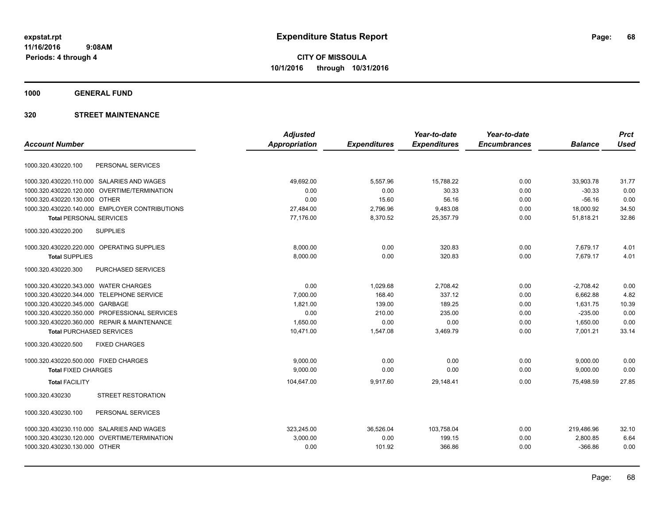**1000 GENERAL FUND**

| <b>Adjusted</b>      |                     | Year-to-date        | Year-to-date        |                | <b>Prct</b> |
|----------------------|---------------------|---------------------|---------------------|----------------|-------------|
| <b>Appropriation</b> | <b>Expenditures</b> | <b>Expenditures</b> | <b>Encumbrances</b> | <b>Balance</b> | <b>Used</b> |
|                      |                     |                     |                     |                |             |
| 49,692.00            | 5,557.96            | 15,788.22           | 0.00                | 33,903.78      | 31.77       |
| 0.00                 | 0.00                | 30.33               | 0.00                | $-30.33$       | 0.00        |
| 0.00                 | 15.60               | 56.16               | 0.00                | $-56.16$       | 0.00        |
| 27,484.00            | 2,796.96            | 9,483.08            | 0.00                | 18,000.92      | 34.50       |
| 77,176.00            | 8,370.52            | 25,357.79           | 0.00                | 51,818.21      | 32.86       |
|                      |                     |                     |                     |                |             |
| 8,000.00             | 0.00                | 320.83              | 0.00                | 7,679.17       | 4.01        |
| 8,000.00             | 0.00                | 320.83              | 0.00                | 7,679.17       | 4.01        |
|                      |                     |                     |                     |                |             |
| 0.00                 | 1,029.68            | 2,708.42            | 0.00                | $-2,708.42$    | 0.00        |
| 7.000.00             | 168.40              | 337.12              | 0.00                | 6.662.88       | 4.82        |
| 1,821.00             | 139.00              | 189.25              | 0.00                | 1,631.75       | 10.39       |
| 0.00                 | 210.00              | 235.00              | 0.00                | $-235.00$      | 0.00        |
| 1,650.00             | 0.00                | 0.00                | 0.00                | 1,650.00       | 0.00        |
| 10,471.00            | 1,547.08            | 3,469.79            | 0.00                | 7,001.21       | 33.14       |
|                      |                     |                     |                     |                |             |
| 9.000.00             | 0.00                | 0.00                | 0.00                | 9,000.00       | 0.00        |
| 9,000.00             | 0.00                | 0.00                | 0.00                | 9,000.00       | 0.00        |
| 104,647.00           | 9,917.60            | 29,148.41           | 0.00                | 75.498.59      | 27.85       |
|                      |                     |                     |                     |                |             |
|                      |                     |                     |                     |                |             |
| 323.245.00           | 36,526.04           | 103,758.04          | 0.00                | 219,486.96     | 32.10       |
| 3,000.00             | 0.00                | 199.15              | 0.00                | 2,800.85       | 6.64        |
| 0.00                 | 101.92              | 366.86              | 0.00                | $-366.86$      | 0.00        |
|                      |                     |                     |                     |                |             |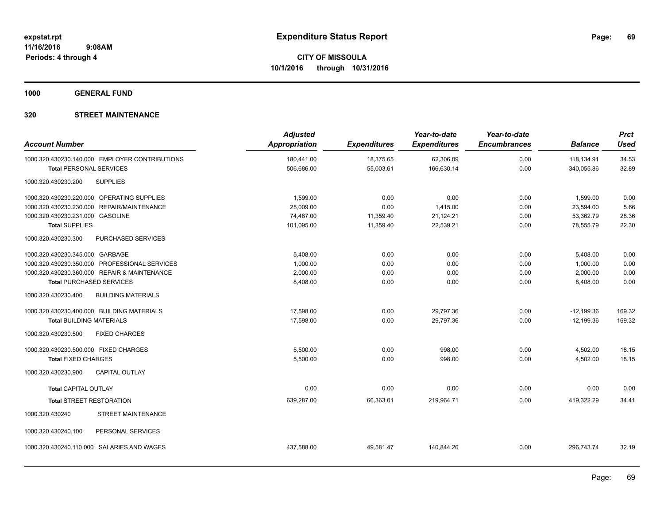**1000 GENERAL FUND**

| <b>Account Number</b>                 |                                                | <b>Adjusted</b><br><b>Appropriation</b> | <b>Expenditures</b> | Year-to-date<br><b>Expenditures</b> | Year-to-date<br><b>Encumbrances</b> | <b>Balance</b> | <b>Prct</b><br><b>Used</b> |
|---------------------------------------|------------------------------------------------|-----------------------------------------|---------------------|-------------------------------------|-------------------------------------|----------------|----------------------------|
|                                       | 1000.320.430230.140.000 EMPLOYER CONTRIBUTIONS | 180,441.00                              | 18,375.65           | 62,306.09                           | 0.00                                | 118,134.91     | 34.53                      |
| <b>Total PERSONAL SERVICES</b>        |                                                | 506,686.00                              | 55,003.61           | 166,630.14                          | 0.00                                | 340,055.86     | 32.89                      |
| 1000.320.430230.200                   | <b>SUPPLIES</b>                                |                                         |                     |                                     |                                     |                |                            |
|                                       | 1000.320.430230.220.000 OPERATING SUPPLIES     | 1,599.00                                | 0.00                | 0.00                                | 0.00                                | 1,599.00       | 0.00                       |
|                                       | 1000.320.430230.230.000 REPAIR/MAINTENANCE     | 25,009.00                               | 0.00                | 1,415.00                            | 0.00                                | 23,594.00      | 5.66                       |
| 1000.320.430230.231.000 GASOLINE      |                                                | 74,487.00                               | 11,359.40           | 21,124.21                           | 0.00                                | 53,362.79      | 28.36                      |
| <b>Total SUPPLIES</b>                 |                                                | 101,095.00                              | 11,359.40           | 22,539.21                           | 0.00                                | 78,555.79      | 22.30                      |
| 1000.320.430230.300                   | PURCHASED SERVICES                             |                                         |                     |                                     |                                     |                |                            |
| 1000.320.430230.345.000 GARBAGE       |                                                | 5,408.00                                | 0.00                | 0.00                                | 0.00                                | 5,408.00       | 0.00                       |
|                                       | 1000.320.430230.350.000 PROFESSIONAL SERVICES  | 1,000.00                                | 0.00                | 0.00                                | 0.00                                | 1,000.00       | 0.00                       |
|                                       | 1000.320.430230.360.000 REPAIR & MAINTENANCE   | 2,000.00                                | 0.00                | 0.00                                | 0.00                                | 2,000.00       | 0.00                       |
| <b>Total PURCHASED SERVICES</b>       |                                                | 8,408.00                                | 0.00                | 0.00                                | 0.00                                | 8,408.00       | 0.00                       |
| 1000.320.430230.400                   | <b>BUILDING MATERIALS</b>                      |                                         |                     |                                     |                                     |                |                            |
|                                       | 1000.320.430230.400.000 BUILDING MATERIALS     | 17,598.00                               | 0.00                | 29,797.36                           | 0.00                                | $-12,199.36$   | 169.32                     |
| <b>Total BUILDING MATERIALS</b>       |                                                | 17,598.00                               | 0.00                | 29,797.36                           | 0.00                                | $-12,199.36$   | 169.32                     |
| 1000.320.430230.500                   | <b>FIXED CHARGES</b>                           |                                         |                     |                                     |                                     |                |                            |
| 1000.320.430230.500.000 FIXED CHARGES |                                                | 5,500.00                                | 0.00                | 998.00                              | 0.00                                | 4,502.00       | 18.15                      |
| <b>Total FIXED CHARGES</b>            |                                                | 5,500.00                                | 0.00                | 998.00                              | 0.00                                | 4,502.00       | 18.15                      |
| 1000.320.430230.900                   | CAPITAL OUTLAY                                 |                                         |                     |                                     |                                     |                |                            |
| <b>Total CAPITAL OUTLAY</b>           |                                                | 0.00                                    | 0.00                | 0.00                                | 0.00                                | 0.00           | 0.00                       |
| <b>Total STREET RESTORATION</b>       |                                                | 639,287.00                              | 66,363.01           | 219,964.71                          | 0.00                                | 419,322.29     | 34.41                      |
| 1000.320.430240                       | STREET MAINTENANCE                             |                                         |                     |                                     |                                     |                |                            |
| 1000.320.430240.100                   | PERSONAL SERVICES                              |                                         |                     |                                     |                                     |                |                            |
|                                       | 1000.320.430240.110.000 SALARIES AND WAGES     | 437,588.00                              | 49,581.47           | 140,844.26                          | 0.00                                | 296,743.74     | 32.19                      |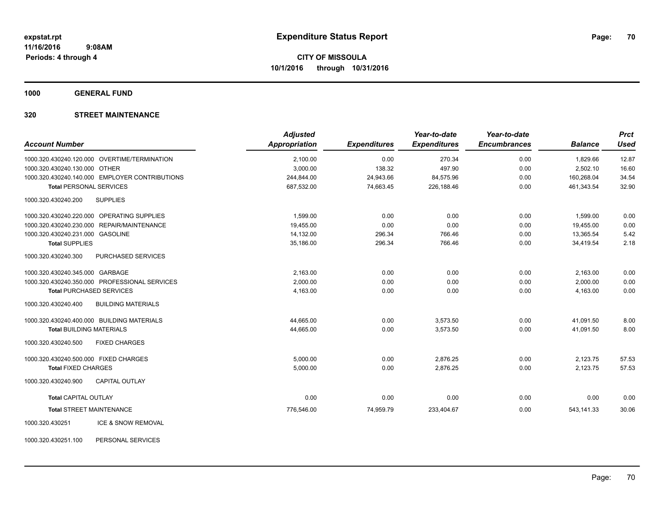**1000 GENERAL FUND**

# **320 STREET MAINTENANCE**

| <b>Account Number</b>                            | <b>Adjusted</b><br><b>Appropriation</b> | <b>Expenditures</b> | Year-to-date<br><b>Expenditures</b> | Year-to-date<br><b>Encumbrances</b> | <b>Balance</b> | <b>Prct</b><br><b>Used</b> |
|--------------------------------------------------|-----------------------------------------|---------------------|-------------------------------------|-------------------------------------|----------------|----------------------------|
| 1000.320.430240.120.000 OVERTIME/TERMINATION     | 2,100.00                                | 0.00                | 270.34                              | 0.00                                | 1,829.66       | 12.87                      |
| 1000.320.430240.130.000 OTHER                    | 3,000.00                                | 138.32              | 497.90                              | 0.00                                | 2,502.10       | 16.60                      |
| 1000.320.430240.140.000 EMPLOYER CONTRIBUTIONS   | 244,844.00                              | 24,943.66           | 84,575.96                           | 0.00                                | 160,268.04     | 34.54                      |
| <b>Total PERSONAL SERVICES</b>                   | 687,532.00                              | 74,663.45           | 226,188.46                          | 0.00                                | 461,343.54     | 32.90                      |
| <b>SUPPLIES</b><br>1000.320.430240.200           |                                         |                     |                                     |                                     |                |                            |
| 1000.320.430240.220.000 OPERATING SUPPLIES       | 1,599.00                                | 0.00                | 0.00                                | 0.00                                | 1,599.00       | 0.00                       |
| 1000.320.430240.230.000 REPAIR/MAINTENANCE       | 19.455.00                               | 0.00                | 0.00                                | 0.00                                | 19,455.00      | 0.00                       |
| 1000.320.430240.231.000 GASOLINE                 | 14,132.00                               | 296.34              | 766.46                              | 0.00                                | 13.365.54      | 5.42                       |
| <b>Total SUPPLIES</b>                            | 35,186.00                               | 296.34              | 766.46                              | 0.00                                | 34,419.54      | 2.18                       |
| PURCHASED SERVICES<br>1000.320.430240.300        |                                         |                     |                                     |                                     |                |                            |
| 1000.320.430240.345.000 GARBAGE                  | 2,163.00                                | 0.00                | 0.00                                | 0.00                                | 2,163.00       | 0.00                       |
| 1000.320.430240.350.000 PROFESSIONAL SERVICES    | 2,000.00                                | 0.00                | 0.00                                | 0.00                                | 2,000.00       | 0.00                       |
| <b>Total PURCHASED SERVICES</b>                  | 4.163.00                                | 0.00                | 0.00                                | 0.00                                | 4.163.00       | 0.00                       |
| <b>BUILDING MATERIALS</b><br>1000.320.430240.400 |                                         |                     |                                     |                                     |                |                            |
| 1000.320.430240.400.000 BUILDING MATERIALS       | 44,665.00                               | 0.00                | 3,573.50                            | 0.00                                | 41,091.50      | 8.00                       |
| <b>Total BUILDING MATERIALS</b>                  | 44,665.00                               | 0.00                | 3,573.50                            | 0.00                                | 41,091.50      | 8.00                       |
| <b>FIXED CHARGES</b><br>1000.320.430240.500      |                                         |                     |                                     |                                     |                |                            |
| 1000.320.430240.500.000 FIXED CHARGES            | 5,000.00                                | 0.00                | 2,876.25                            | 0.00                                | 2,123.75       | 57.53                      |
| <b>Total FIXED CHARGES</b>                       | 5,000.00                                | 0.00                | 2,876.25                            | 0.00                                | 2,123.75       | 57.53                      |
| <b>CAPITAL OUTLAY</b><br>1000.320.430240.900     |                                         |                     |                                     |                                     |                |                            |
| <b>Total CAPITAL OUTLAY</b>                      | 0.00                                    | 0.00                | 0.00                                | 0.00                                | 0.00           | 0.00                       |
| <b>Total STREET MAINTENANCE</b>                  | 776,546.00                              | 74,959.79           | 233,404.67                          | 0.00                                | 543,141.33     | 30.06                      |
| ICE & SNOW REMOVAL<br>1000.320.430251            |                                         |                     |                                     |                                     |                |                            |

1000.320.430251.100 PERSONAL SERVICES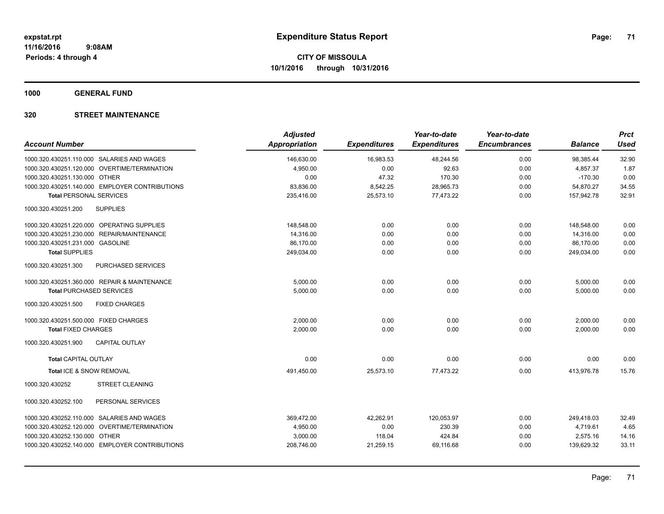**1000 GENERAL FUND**

|                                                  | <b>Adjusted</b>      |                     | Year-to-date        | Year-to-date        |                | <b>Prct</b> |
|--------------------------------------------------|----------------------|---------------------|---------------------|---------------------|----------------|-------------|
| <b>Account Number</b>                            | <b>Appropriation</b> | <b>Expenditures</b> | <b>Expenditures</b> | <b>Encumbrances</b> | <b>Balance</b> | <b>Used</b> |
| 1000.320.430251.110.000 SALARIES AND WAGES       | 146,630.00           | 16,983.53           | 48,244.56           | 0.00                | 98,385.44      | 32.90       |
| 1000.320.430251.120.000 OVERTIME/TERMINATION     | 4,950.00             | 0.00                | 92.63               | 0.00                | 4,857.37       | 1.87        |
| 1000.320.430251.130.000 OTHER                    | 0.00                 | 47.32               | 170.30              | 0.00                | $-170.30$      | 0.00        |
| 1000.320.430251.140.000 EMPLOYER CONTRIBUTIONS   | 83,836.00            | 8,542.25            | 28,965.73           | 0.00                | 54,870.27      | 34.55       |
| <b>Total PERSONAL SERVICES</b>                   | 235,416.00           | 25,573.10           | 77,473.22           | 0.00                | 157,942.78     | 32.91       |
| <b>SUPPLIES</b><br>1000.320.430251.200           |                      |                     |                     |                     |                |             |
| 1000.320.430251.220.000 OPERATING SUPPLIES       | 148,548.00           | 0.00                | 0.00                | 0.00                | 148,548.00     | 0.00        |
| 1000.320.430251.230.000 REPAIR/MAINTENANCE       | 14,316.00            | 0.00                | 0.00                | 0.00                | 14,316.00      | 0.00        |
| 1000.320.430251.231.000 GASOLINE                 | 86,170.00            | 0.00                | 0.00                | 0.00                | 86,170.00      | 0.00        |
| <b>Total SUPPLIES</b>                            | 249,034.00           | 0.00                | 0.00                | 0.00                | 249,034.00     | 0.00        |
| 1000.320.430251.300<br><b>PURCHASED SERVICES</b> |                      |                     |                     |                     |                |             |
| 1000.320.430251.360.000 REPAIR & MAINTENANCE     | 5,000.00             | 0.00                | 0.00                | 0.00                | 5,000.00       | 0.00        |
| <b>Total PURCHASED SERVICES</b>                  | 5,000.00             | 0.00                | 0.00                | 0.00                | 5,000.00       | 0.00        |
| 1000.320.430251.500<br><b>FIXED CHARGES</b>      |                      |                     |                     |                     |                |             |
| 1000.320.430251.500.000 FIXED CHARGES            | 2,000.00             | 0.00                | 0.00                | 0.00                | 2,000.00       | 0.00        |
| <b>Total FIXED CHARGES</b>                       | 2,000.00             | 0.00                | 0.00                | 0.00                | 2,000.00       | 0.00        |
| <b>CAPITAL OUTLAY</b><br>1000.320.430251.900     |                      |                     |                     |                     |                |             |
| <b>Total CAPITAL OUTLAY</b>                      | 0.00                 | 0.00                | 0.00                | 0.00                | 0.00           | 0.00        |
| Total ICE & SNOW REMOVAL                         | 491,450.00           | 25,573.10           | 77,473.22           | 0.00                | 413,976.78     | 15.76       |
| 1000.320.430252<br><b>STREET CLEANING</b>        |                      |                     |                     |                     |                |             |
| PERSONAL SERVICES<br>1000.320.430252.100         |                      |                     |                     |                     |                |             |
| 1000.320.430252.110.000 SALARIES AND WAGES       | 369,472.00           | 42,262.91           | 120,053.97          | 0.00                | 249,418.03     | 32.49       |
| 1000.320.430252.120.000 OVERTIME/TERMINATION     | 4,950.00             | 0.00                | 230.39              | 0.00                | 4,719.61       | 4.65        |
| 1000.320.430252.130.000 OTHER                    | 3,000.00             | 118.04              | 424.84              | 0.00                | 2,575.16       | 14.16       |
| 1000.320.430252.140.000 EMPLOYER CONTRIBUTIONS   | 208,746.00           | 21,259.15           | 69,116.68           | 0.00                | 139,629.32     | 33.11       |
|                                                  |                      |                     |                     |                     |                |             |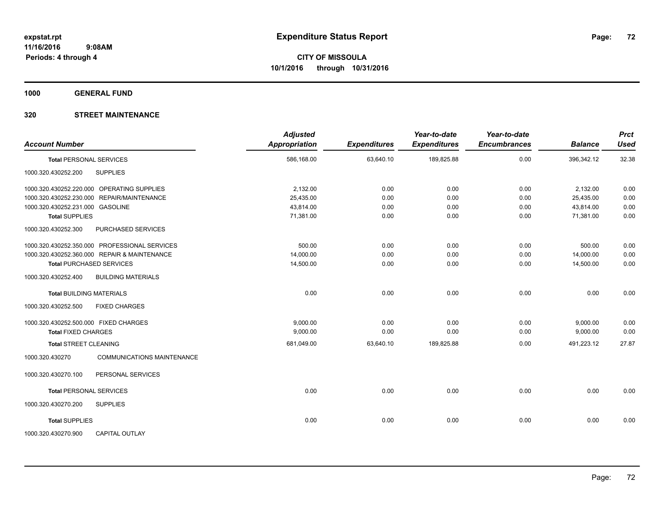**1000 GENERAL FUND**

| <b>Account Number</b>                                | <b>Adjusted</b><br>Appropriation | <b>Expenditures</b> | Year-to-date<br><b>Expenditures</b> | Year-to-date<br><b>Encumbrances</b> | <b>Balance</b> | <b>Prct</b><br><b>Used</b> |
|------------------------------------------------------|----------------------------------|---------------------|-------------------------------------|-------------------------------------|----------------|----------------------------|
| <b>Total PERSONAL SERVICES</b>                       | 586,168.00                       | 63,640.10           | 189,825.88                          | 0.00                                | 396,342.12     | 32.38                      |
| <b>SUPPLIES</b><br>1000.320.430252.200               |                                  |                     |                                     |                                     |                |                            |
| 1000.320.430252.220.000 OPERATING SUPPLIES           | 2,132.00                         | 0.00                | 0.00                                | 0.00                                | 2,132.00       | 0.00                       |
| 1000.320.430252.230.000 REPAIR/MAINTENANCE           | 25,435.00                        | 0.00                | 0.00                                | 0.00                                | 25,435.00      | 0.00                       |
| 1000.320.430252.231.000 GASOLINE                     | 43,814.00                        | 0.00                | 0.00                                | 0.00                                | 43.814.00      | 0.00                       |
| <b>Total SUPPLIES</b>                                | 71,381.00                        | 0.00                | 0.00                                | 0.00                                | 71,381.00      | 0.00                       |
| PURCHASED SERVICES<br>1000.320.430252.300            |                                  |                     |                                     |                                     |                |                            |
| 1000.320.430252.350.000 PROFESSIONAL SERVICES        | 500.00                           | 0.00                | 0.00                                | 0.00                                | 500.00         | 0.00                       |
| 1000.320.430252.360.000 REPAIR & MAINTENANCE         | 14,000.00                        | 0.00                | 0.00                                | 0.00                                | 14,000.00      | 0.00                       |
| <b>Total PURCHASED SERVICES</b>                      | 14,500.00                        | 0.00                | 0.00                                | 0.00                                | 14,500.00      | 0.00                       |
| 1000.320.430252.400<br><b>BUILDING MATERIALS</b>     |                                  |                     |                                     |                                     |                |                            |
| <b>Total BUILDING MATERIALS</b>                      | 0.00                             | 0.00                | 0.00                                | 0.00                                | 0.00           | 0.00                       |
| 1000.320.430252.500<br><b>FIXED CHARGES</b>          |                                  |                     |                                     |                                     |                |                            |
| 1000.320.430252.500.000 FIXED CHARGES                | 9,000.00                         | 0.00                | 0.00                                | 0.00                                | 9,000.00       | 0.00                       |
| <b>Total FIXED CHARGES</b>                           | 9,000.00                         | 0.00                | 0.00                                | 0.00                                | 9,000.00       | 0.00                       |
| <b>Total STREET CLEANING</b>                         | 681,049.00                       | 63,640.10           | 189,825.88                          | 0.00                                | 491,223.12     | 27.87                      |
| <b>COMMUNICATIONS MAINTENANCE</b><br>1000.320.430270 |                                  |                     |                                     |                                     |                |                            |
| PERSONAL SERVICES<br>1000.320.430270.100             |                                  |                     |                                     |                                     |                |                            |
| <b>Total PERSONAL SERVICES</b>                       | 0.00                             | 0.00                | 0.00                                | 0.00                                | 0.00           | 0.00                       |
| 1000.320.430270.200<br><b>SUPPLIES</b>               |                                  |                     |                                     |                                     |                |                            |
| <b>Total SUPPLIES</b>                                | 0.00                             | 0.00                | 0.00                                | 0.00                                | 0.00           | 0.00                       |
| CAPITAL OUTLAY<br>1000.320.430270.900                |                                  |                     |                                     |                                     |                |                            |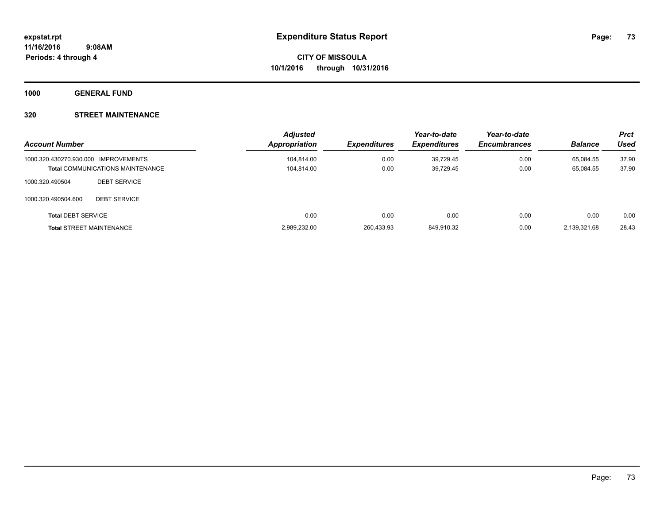**1000 GENERAL FUND**

## **320 STREET MAINTENANCE**

| <b>Account Number</b>                |                                         | <b>Adjusted</b><br>Appropriation | <b>Expenditures</b> | Year-to-date<br><b>Expenditures</b> | Year-to-date<br><b>Encumbrances</b> | <b>Balance</b> | <b>Prct</b><br><b>Used</b> |
|--------------------------------------|-----------------------------------------|----------------------------------|---------------------|-------------------------------------|-------------------------------------|----------------|----------------------------|
| 1000.320.430270.930.000 IMPROVEMENTS |                                         | 104,814.00                       | 0.00                | 39,729.45                           | 0.00                                | 65.084.55      | 37.90                      |
|                                      | <b>Total COMMUNICATIONS MAINTENANCE</b> | 104,814.00                       | 0.00                | 39,729.45                           | 0.00                                | 65,084.55      | 37.90                      |
| 1000.320.490504                      | <b>DEBT SERVICE</b>                     |                                  |                     |                                     |                                     |                |                            |
| 1000.320.490504.600                  | <b>DEBT SERVICE</b>                     |                                  |                     |                                     |                                     |                |                            |
| <b>Total DEBT SERVICE</b>            |                                         | 0.00                             | 0.00                | 0.00                                | 0.00                                | 0.00           | 0.00                       |
|                                      | <b>Total STREET MAINTENANCE</b>         | 2,989,232.00                     | 260,433.93          | 849,910.32                          | 0.00                                | 2.139.321.68   | 28.43                      |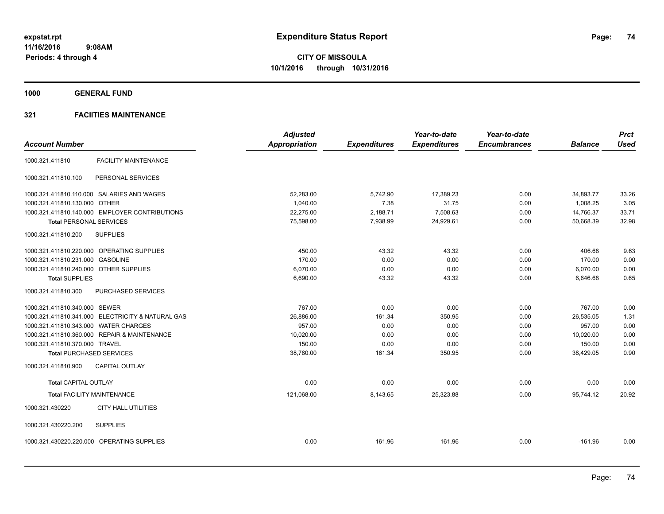**1000 GENERAL FUND**

|                                                   | <b>Adjusted</b>      |                     | Year-to-date        | Year-to-date        |                | <b>Prct</b> |
|---------------------------------------------------|----------------------|---------------------|---------------------|---------------------|----------------|-------------|
| <b>Account Number</b>                             | <b>Appropriation</b> | <b>Expenditures</b> | <b>Expenditures</b> | <b>Encumbrances</b> | <b>Balance</b> | <b>Used</b> |
| <b>FACILITY MAINTENANCE</b><br>1000.321.411810    |                      |                     |                     |                     |                |             |
| 1000.321.411810.100<br>PERSONAL SERVICES          |                      |                     |                     |                     |                |             |
| 1000.321.411810.110.000 SALARIES AND WAGES        | 52,283.00            | 5,742.90            | 17,389.23           | 0.00                | 34,893.77      | 33.26       |
| 1000.321.411810.130.000 OTHER                     | 1,040.00             | 7.38                | 31.75               | 0.00                | 1,008.25       | 3.05        |
| 1000.321.411810.140.000 EMPLOYER CONTRIBUTIONS    | 22,275.00            | 2,188.71            | 7,508.63            | 0.00                | 14,766.37      | 33.71       |
| <b>Total PERSONAL SERVICES</b>                    | 75,598.00            | 7,938.99            | 24,929.61           | 0.00                | 50,668.39      | 32.98       |
| 1000.321.411810.200<br><b>SUPPLIES</b>            |                      |                     |                     |                     |                |             |
| 1000.321.411810.220.000 OPERATING SUPPLIES        | 450.00               | 43.32               | 43.32               | 0.00                | 406.68         | 9.63        |
| 1000.321.411810.231.000 GASOLINE                  | 170.00               | 0.00                | 0.00                | 0.00                | 170.00         | 0.00        |
| 1000.321.411810.240.000 OTHER SUPPLIES            | 6,070.00             | 0.00                | 0.00                | 0.00                | 6,070.00       | 0.00        |
| <b>Total SUPPLIES</b>                             | 6,690.00             | 43.32               | 43.32               | 0.00                | 6,646.68       | 0.65        |
| 1000.321.411810.300<br>PURCHASED SERVICES         |                      |                     |                     |                     |                |             |
| 1000.321.411810.340.000 SEWER                     | 767.00               | 0.00                | 0.00                | 0.00                | 767.00         | 0.00        |
| 1000.321.411810.341.000 ELECTRICITY & NATURAL GAS | 26,886.00            | 161.34              | 350.95              | 0.00                | 26,535.05      | 1.31        |
| 1000.321.411810.343.000 WATER CHARGES             | 957.00               | 0.00                | 0.00                | 0.00                | 957.00         | 0.00        |
| 1000.321.411810.360.000 REPAIR & MAINTENANCE      | 10.020.00            | 0.00                | 0.00                | 0.00                | 10.020.00      | 0.00        |
| 1000.321.411810.370.000 TRAVEL                    | 150.00               | 0.00                | 0.00                | 0.00                | 150.00         | 0.00        |
| <b>Total PURCHASED SERVICES</b>                   | 38,780.00            | 161.34              | 350.95              | 0.00                | 38,429.05      | 0.90        |
| 1000.321.411810.900<br><b>CAPITAL OUTLAY</b>      |                      |                     |                     |                     |                |             |
| <b>Total CAPITAL OUTLAY</b>                       | 0.00                 | 0.00                | 0.00                | 0.00                | 0.00           | 0.00        |
| <b>Total FACILITY MAINTENANCE</b>                 | 121,068.00           | 8,143.65            | 25,323.88           | 0.00                | 95,744.12      | 20.92       |
| 1000.321.430220<br><b>CITY HALL UTILITIES</b>     |                      |                     |                     |                     |                |             |
| 1000.321.430220.200<br><b>SUPPLIES</b>            |                      |                     |                     |                     |                |             |
| 1000.321.430220.220.000 OPERATING SUPPLIES        | 0.00                 | 161.96              | 161.96              | 0.00                | $-161.96$      | 0.00        |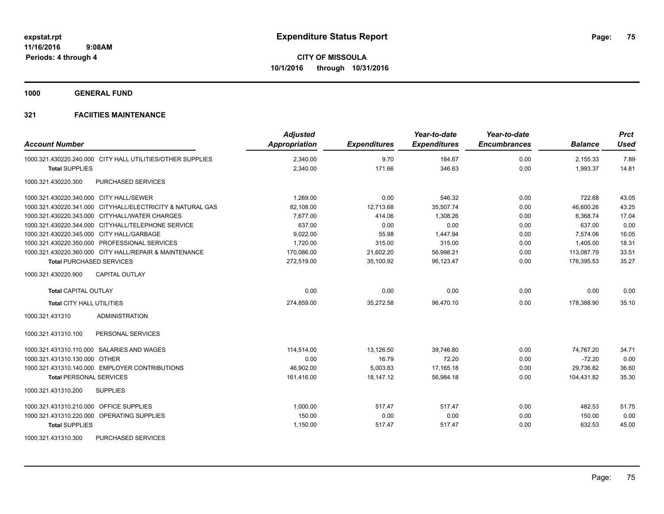**1000 GENERAL FUND**

## **321 FACIITIES MAINTENANCE**

| <b>Account Number</b>                                      | <b>Adjusted</b><br>Appropriation | <b>Expenditures</b> | Year-to-date<br><b>Expenditures</b> | Year-to-date<br><b>Encumbrances</b> | <b>Balance</b> | <b>Prct</b><br><b>Used</b> |
|------------------------------------------------------------|----------------------------------|---------------------|-------------------------------------|-------------------------------------|----------------|----------------------------|
| 1000.321.430220.240.000 CITY HALL UTILITIES/OTHER SUPPLIES | 2,340.00                         | 9.70                | 184.67                              | 0.00                                | 2,155.33       | 7.89                       |
| <b>Total SUPPLIES</b>                                      | 2,340.00                         | 171.66              | 346.63                              | 0.00                                | 1,993.37       | 14.81                      |
| 1000.321.430220.300<br><b>PURCHASED SERVICES</b>           |                                  |                     |                                     |                                     |                |                            |
| 1000.321.430220.340.000 CITY HALL/SEWER                    | 1,269.00                         | 0.00                | 546.32                              | 0.00                                | 722.68         | 43.05                      |
| 1000.321.430220.341.000 CITYHALL/ELECTRICITY & NATURAL GAS | 82,108.00                        | 12,713.68           | 35,507.74                           | 0.00                                | 46,600.26      | 43.25                      |
| 1000.321.430220.343.000 CITYHALL/WATER CHARGES             | 7.677.00                         | 414.06              | 1.308.26                            | 0.00                                | 6.368.74       | 17.04                      |
| 1000.321.430220.344.000 CITYHALL/TELEPHONE SERVICE         | 637.00                           | 0.00                | 0.00                                | 0.00                                | 637.00         | 0.00                       |
| 1000.321.430220.345.000 CITY HALL/GARBAGE                  | 9,022.00                         | 55.98               | 1,447.94                            | 0.00                                | 7,574.06       | 16.05                      |
| 1000.321.430220.350.000 PROFESSIONAL SERVICES              | 1,720.00                         | 315.00              | 315.00                              | 0.00                                | 1,405.00       | 18.31                      |
| 1000.321.430220.360.000 CITY HALL/REPAIR & MAINTENANCE     | 170,086.00                       | 21,602.20           | 56,998.21                           | 0.00                                | 113,087.79     | 33.51                      |
| <b>Total PURCHASED SERVICES</b>                            | 272,519.00                       | 35,100.92           | 96,123.47                           | 0.00                                | 176,395.53     | 35.27                      |
| <b>CAPITAL OUTLAY</b><br>1000.321.430220.900               |                                  |                     |                                     |                                     |                |                            |
| <b>Total CAPITAL OUTLAY</b>                                | 0.00                             | 0.00                | 0.00                                | 0.00                                | 0.00           | 0.00                       |
| Total CITY HALL UTILITIES                                  | 274,859.00                       | 35,272.58           | 96,470.10                           | 0.00                                | 178,388.90     | 35.10                      |
| 1000.321.431310<br><b>ADMINISTRATION</b>                   |                                  |                     |                                     |                                     |                |                            |
| 1000.321.431310.100<br>PERSONAL SERVICES                   |                                  |                     |                                     |                                     |                |                            |
| 1000.321.431310.110.000 SALARIES AND WAGES                 | 114.514.00                       | 13.126.50           | 39.746.80                           | 0.00                                | 74.767.20      | 34.71                      |
| 1000.321.431310.130.000 OTHER                              | 0.00                             | 16.79               | 72.20                               | 0.00                                | $-72.20$       | 0.00                       |
| 1000.321.431310.140.000 EMPLOYER CONTRIBUTIONS             | 46,902.00                        | 5,003.83            | 17,165.18                           | 0.00                                | 29,736.82      | 36.60                      |
| <b>Total PERSONAL SERVICES</b>                             | 161,416.00                       | 18,147.12           | 56,984.18                           | 0.00                                | 104,431.82     | 35.30                      |
| 1000.321.431310.200<br><b>SUPPLIES</b>                     |                                  |                     |                                     |                                     |                |                            |
| 1000.321.431310.210.000 OFFICE SUPPLIES                    | 1.000.00                         | 517.47              | 517.47                              | 0.00                                | 482.53         | 51.75                      |
| 1000.321.431310.220.000 OPERATING SUPPLIES                 | 150.00                           | 0.00                | 0.00                                | 0.00                                | 150.00         | 0.00                       |
| <b>Total SUPPLIES</b>                                      | 1,150.00                         | 517.47              | 517.47                              | 0.00                                | 632.53         | 45.00                      |
| PURCHASED SERVICES<br>1000.321.431310.300                  |                                  |                     |                                     |                                     |                |                            |

Page: 75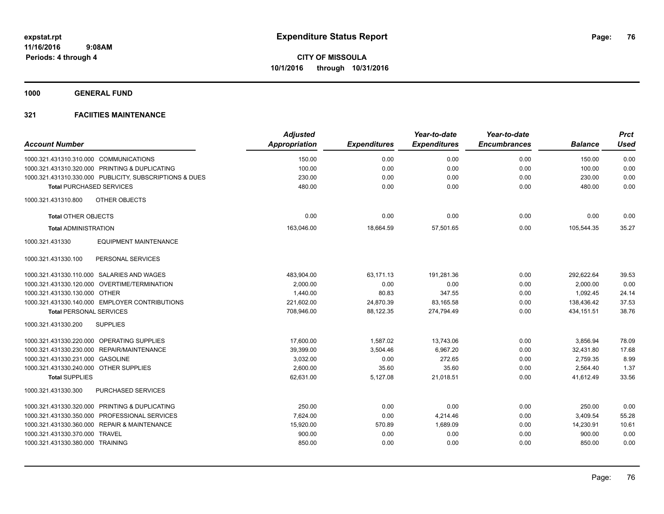**1000 GENERAL FUND**

|                                                         | <b>Adjusted</b>      |                     | Year-to-date        | Year-to-date        |                | <b>Prct</b> |
|---------------------------------------------------------|----------------------|---------------------|---------------------|---------------------|----------------|-------------|
| <b>Account Number</b>                                   | <b>Appropriation</b> | <b>Expenditures</b> | <b>Expenditures</b> | <b>Encumbrances</b> | <b>Balance</b> | <b>Used</b> |
| 1000.321.431310.310.000 COMMUNICATIONS                  | 150.00               | 0.00                | 0.00                | 0.00                | 150.00         | 0.00        |
| 1000.321.431310.320.000 PRINTING & DUPLICATING          | 100.00               | 0.00                | 0.00                | 0.00                | 100.00         | 0.00        |
| 1000.321.431310.330.000 PUBLICITY, SUBSCRIPTIONS & DUES | 230.00               | 0.00                | 0.00                | 0.00                | 230.00         | 0.00        |
| <b>Total PURCHASED SERVICES</b>                         | 480.00               | 0.00                | 0.00                | 0.00                | 480.00         | 0.00        |
| OTHER OBJECTS<br>1000.321.431310.800                    |                      |                     |                     |                     |                |             |
| <b>Total OTHER OBJECTS</b>                              | 0.00                 | 0.00                | 0.00                | 0.00                | 0.00           | 0.00        |
| <b>Total ADMINISTRATION</b>                             | 163,046.00           | 18,664.59           | 57,501.65           | 0.00                | 105,544.35     | 35.27       |
| 1000.321.431330<br><b>EQUIPMENT MAINTENANCE</b>         |                      |                     |                     |                     |                |             |
| 1000.321.431330.100<br>PERSONAL SERVICES                |                      |                     |                     |                     |                |             |
| 1000.321.431330.110.000 SALARIES AND WAGES              | 483,904.00           | 63,171.13           | 191,281.36          | 0.00                | 292,622.64     | 39.53       |
| 1000.321.431330.120.000 OVERTIME/TERMINATION            | 2.000.00             | 0.00                | 0.00                | 0.00                | 2,000.00       | 0.00        |
| 1000.321.431330.130.000 OTHER                           | 1,440.00             | 80.83               | 347.55              | 0.00                | 1,092.45       | 24.14       |
| 1000.321.431330.140.000 EMPLOYER CONTRIBUTIONS          | 221,602.00           | 24,870.39           | 83,165.58           | 0.00                | 138,436.42     | 37.53       |
| <b>Total PERSONAL SERVICES</b>                          | 708,946.00           | 88,122.35           | 274.794.49          | 0.00                | 434, 151.51    | 38.76       |
| 1000.321.431330.200<br><b>SUPPLIES</b>                  |                      |                     |                     |                     |                |             |
| 1000.321.431330.220.000 OPERATING SUPPLIES              | 17,600.00            | 1,587.02            | 13,743.06           | 0.00                | 3,856.94       | 78.09       |
| 1000.321.431330.230.000 REPAIR/MAINTENANCE              | 39,399.00            | 3,504.46            | 6.967.20            | 0.00                | 32,431.80      | 17.68       |
| 1000.321.431330.231.000 GASOLINE                        | 3.032.00             | 0.00                | 272.65              | 0.00                | 2.759.35       | 8.99        |
| 1000.321.431330.240.000 OTHER SUPPLIES                  | 2,600.00             | 35.60               | 35.60               | 0.00                | 2,564.40       | 1.37        |
| <b>Total SUPPLIES</b>                                   | 62,631.00            | 5,127.08            | 21,018.51           | 0.00                | 41,612.49      | 33.56       |
| PURCHASED SERVICES<br>1000.321.431330.300               |                      |                     |                     |                     |                |             |
| 1000.321.431330.320.000 PRINTING & DUPLICATING          | 250.00               | 0.00                | 0.00                | 0.00                | 250.00         | 0.00        |
| 1000.321.431330.350.000<br><b>PROFESSIONAL SERVICES</b> | 7,624.00             | 0.00                | 4,214.46            | 0.00                | 3,409.54       | 55.28       |
| 1000.321.431330.360.000 REPAIR & MAINTENANCE            | 15,920.00            | 570.89              | 1,689.09            | 0.00                | 14,230.91      | 10.61       |
| 1000.321.431330.370.000 TRAVEL                          | 900.00               | 0.00                | 0.00                | 0.00                | 900.00         | 0.00        |
| 1000.321.431330.380.000 TRAINING                        | 850.00               | 0.00                | 0.00                | 0.00                | 850.00         | 0.00        |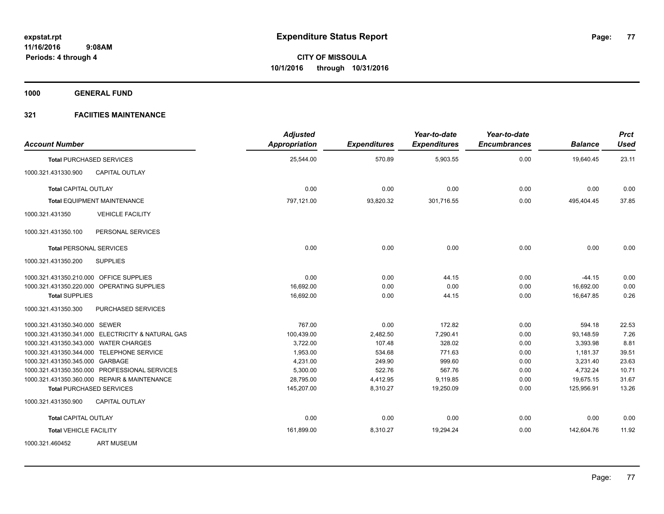**1000 GENERAL FUND**

| <b>Account Number</b>                   |                                                   | <b>Adjusted</b><br><b>Appropriation</b> | <b>Expenditures</b> | Year-to-date<br><b>Expenditures</b> | Year-to-date<br><b>Encumbrances</b> | <b>Balance</b> | <b>Prct</b><br><b>Used</b> |
|-----------------------------------------|---------------------------------------------------|-----------------------------------------|---------------------|-------------------------------------|-------------------------------------|----------------|----------------------------|
|                                         | <b>Total PURCHASED SERVICES</b>                   | 25,544.00                               | 570.89              | 5,903.55                            | 0.00                                | 19,640.45      | 23.11                      |
| 1000.321.431330.900                     | <b>CAPITAL OUTLAY</b>                             |                                         |                     |                                     |                                     |                |                            |
| <b>Total CAPITAL OUTLAY</b>             |                                                   | 0.00                                    | 0.00                | 0.00                                | 0.00                                | 0.00           | 0.00                       |
|                                         | <b>Total EQUIPMENT MAINTENANCE</b>                | 797,121.00                              | 93,820.32           | 301,716.55                          | 0.00                                | 495,404.45     | 37.85                      |
| 1000.321.431350                         | <b>VEHICLE FACILITY</b>                           |                                         |                     |                                     |                                     |                |                            |
| 1000.321.431350.100                     | PERSONAL SERVICES                                 |                                         |                     |                                     |                                     |                |                            |
| <b>Total PERSONAL SERVICES</b>          |                                                   | 0.00                                    | 0.00                | 0.00                                | 0.00                                | 0.00           | 0.00                       |
| 1000.321.431350.200                     | <b>SUPPLIES</b>                                   |                                         |                     |                                     |                                     |                |                            |
| 1000.321.431350.210.000 OFFICE SUPPLIES |                                                   | 0.00                                    | 0.00                | 44.15                               | 0.00                                | $-44.15$       | 0.00                       |
|                                         | 1000.321.431350.220.000 OPERATING SUPPLIES        | 16,692.00                               | 0.00                | 0.00                                | 0.00                                | 16.692.00      | 0.00                       |
| <b>Total SUPPLIES</b>                   |                                                   | 16,692.00                               | 0.00                | 44.15                               | 0.00                                | 16,647.85      | 0.26                       |
| 1000.321.431350.300                     | PURCHASED SERVICES                                |                                         |                     |                                     |                                     |                |                            |
| 1000.321.431350.340.000 SEWER           |                                                   | 767.00                                  | 0.00                | 172.82                              | 0.00                                | 594.18         | 22.53                      |
|                                         | 1000.321.431350.341.000 ELECTRICITY & NATURAL GAS | 100,439.00                              | 2,482.50            | 7,290.41                            | 0.00                                | 93,148.59      | 7.26                       |
| 1000.321.431350.343.000 WATER CHARGES   |                                                   | 3,722.00                                | 107.48              | 328.02                              | 0.00                                | 3.393.98       | 8.81                       |
|                                         | 1000.321.431350.344.000 TELEPHONE SERVICE         | 1,953.00                                | 534.68              | 771.63                              | 0.00                                | 1,181.37       | 39.51                      |
| 1000.321.431350.345.000 GARBAGE         |                                                   | 4,231.00                                | 249.90              | 999.60                              | 0.00                                | 3,231.40       | 23.63                      |
|                                         | 1000.321.431350.350.000 PROFESSIONAL SERVICES     | 5,300.00                                | 522.76              | 567.76                              | 0.00                                | 4,732.24       | 10.71                      |
|                                         | 1000.321.431350.360.000 REPAIR & MAINTENANCE      | 28,795.00                               | 4,412.95            | 9,119.85                            | 0.00                                | 19,675.15      | 31.67                      |
|                                         | <b>Total PURCHASED SERVICES</b>                   | 145,207.00                              | 8,310.27            | 19,250.09                           | 0.00                                | 125,956.91     | 13.26                      |
| 1000.321.431350.900                     | CAPITAL OUTLAY                                    |                                         |                     |                                     |                                     |                |                            |
| <b>Total CAPITAL OUTLAY</b>             |                                                   | 0.00                                    | 0.00                | 0.00                                | 0.00                                | 0.00           | 0.00                       |
| <b>Total VEHICLE FACILITY</b>           |                                                   | 161,899.00                              | 8,310.27            | 19,294.24                           | 0.00                                | 142,604.76     | 11.92                      |
| 1000.321.460452                         | <b>ART MUSEUM</b>                                 |                                         |                     |                                     |                                     |                |                            |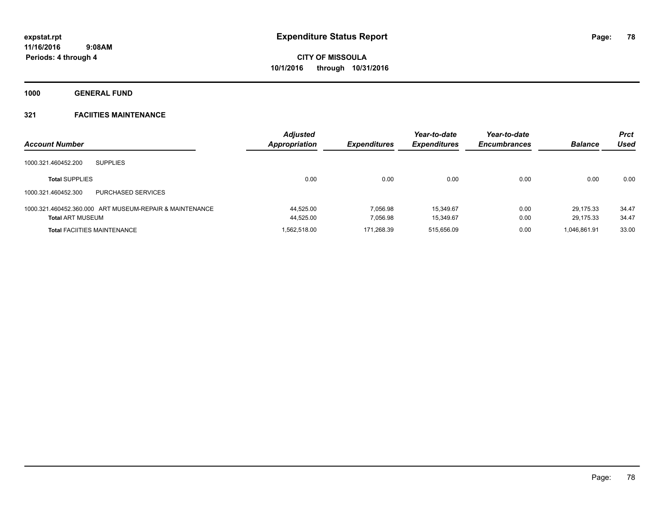**1000 GENERAL FUND**

| <b>Account Number</b>                                   | <b>Adjusted</b><br>Appropriation | <b>Expenditures</b> | Year-to-date<br><b>Expenditures</b> | Year-to-date<br><b>Encumbrances</b> | <b>Balance</b> | <b>Prct</b><br><b>Used</b> |
|---------------------------------------------------------|----------------------------------|---------------------|-------------------------------------|-------------------------------------|----------------|----------------------------|
| 1000.321.460452.200<br><b>SUPPLIES</b>                  |                                  |                     |                                     |                                     |                |                            |
| <b>Total SUPPLIES</b>                                   | 0.00                             | 0.00                | 0.00                                | 0.00                                | 0.00           | 0.00                       |
| PURCHASED SERVICES<br>1000.321.460452.300               |                                  |                     |                                     |                                     |                |                            |
| 1000.321.460452.360.000 ART MUSEUM-REPAIR & MAINTENANCE | 44.525.00                        | 7.056.98            | 15.349.67                           | 0.00                                | 29.175.33      | 34.47                      |
| <b>Total ART MUSEUM</b>                                 | 44,525.00                        | 7.056.98            | 15.349.67                           | 0.00                                | 29.175.33      | 34.47                      |
| <b>Total FACIITIES MAINTENANCE</b>                      | 1.562.518.00                     | 171.268.39          | 515.656.09                          | 0.00                                | 1.046.861.91   | 33.00                      |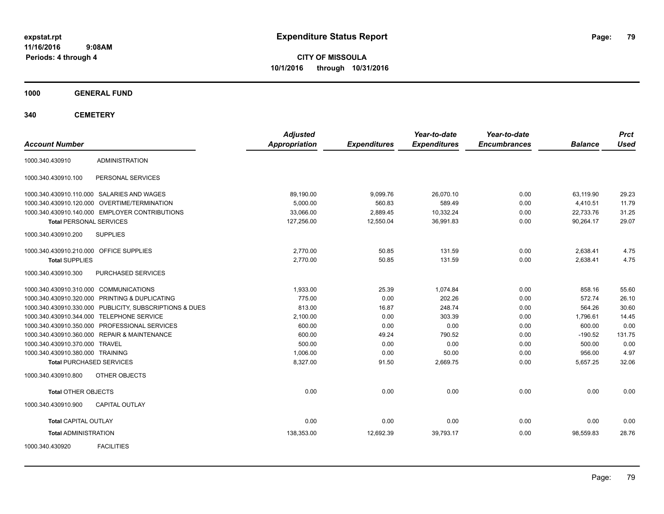**CITY OF MISSOULA 10/1/2016 through 10/31/2016**

**1000 GENERAL FUND**

**340 CEMETERY**

| <b>Account Number</b>                                   | <b>Adjusted</b><br>Appropriation | <b>Expenditures</b> | Year-to-date<br><b>Expenditures</b> | Year-to-date<br><b>Encumbrances</b> | <b>Balance</b> | <b>Prct</b><br><b>Used</b> |
|---------------------------------------------------------|----------------------------------|---------------------|-------------------------------------|-------------------------------------|----------------|----------------------------|
| <b>ADMINISTRATION</b><br>1000.340.430910                |                                  |                     |                                     |                                     |                |                            |
| PERSONAL SERVICES<br>1000.340.430910.100                |                                  |                     |                                     |                                     |                |                            |
| 1000.340.430910.110.000 SALARIES AND WAGES              | 89,190.00                        | 9,099.76            | 26,070.10                           | 0.00                                | 63,119.90      | 29.23                      |
| 1000.340.430910.120.000 OVERTIME/TERMINATION            | 5,000.00                         | 560.83              | 589.49                              | 0.00                                | 4,410.51       | 11.79                      |
| 1000.340.430910.140.000 EMPLOYER CONTRIBUTIONS          | 33,066.00                        | 2,889.45            | 10,332.24                           | 0.00                                | 22,733.76      | 31.25                      |
| <b>Total PERSONAL SERVICES</b>                          | 127,256.00                       | 12,550.04           | 36,991.83                           | 0.00                                | 90,264.17      | 29.07                      |
| 1000.340.430910.200<br><b>SUPPLIES</b>                  |                                  |                     |                                     |                                     |                |                            |
| 1000.340.430910.210.000 OFFICE SUPPLIES                 | 2,770.00                         | 50.85               | 131.59                              | 0.00                                | 2,638.41       | 4.75                       |
| <b>Total SUPPLIES</b>                                   | 2,770.00                         | 50.85               | 131.59                              | 0.00                                | 2,638.41       | 4.75                       |
| 1000.340.430910.300<br>PURCHASED SERVICES               |                                  |                     |                                     |                                     |                |                            |
| 1000.340.430910.310.000 COMMUNICATIONS                  | 1,933.00                         | 25.39               | 1,074.84                            | 0.00                                | 858.16         | 55.60                      |
| 1000.340.430910.320.000 PRINTING & DUPLICATING          | 775.00                           | 0.00                | 202.26                              | 0.00                                | 572.74         | 26.10                      |
| 1000.340.430910.330.000 PUBLICITY, SUBSCRIPTIONS & DUES | 813.00                           | 16.87               | 248.74                              | 0.00                                | 564.26         | 30.60                      |
| 1000.340.430910.344.000 TELEPHONE SERVICE               | 2,100.00                         | 0.00                | 303.39                              | 0.00                                | 1,796.61       | 14.45                      |
| 1000.340.430910.350.000 PROFESSIONAL SERVICES           | 600.00                           | 0.00                | 0.00                                | 0.00                                | 600.00         | 0.00                       |
| 1000.340.430910.360.000 REPAIR & MAINTENANCE            | 600.00                           | 49.24               | 790.52                              | 0.00                                | $-190.52$      | 131.75                     |
| 1000.340.430910.370.000 TRAVEL                          | 500.00                           | 0.00                | 0.00                                | 0.00                                | 500.00         | 0.00                       |
| 1000.340.430910.380.000 TRAINING                        | 1,006.00                         | 0.00                | 50.00                               | 0.00                                | 956.00         | 4.97                       |
| <b>Total PURCHASED SERVICES</b>                         | 8,327.00                         | 91.50               | 2,669.75                            | 0.00                                | 5,657.25       | 32.06                      |
| OTHER OBJECTS<br>1000.340.430910.800                    |                                  |                     |                                     |                                     |                |                            |
| <b>Total OTHER OBJECTS</b>                              | 0.00                             | 0.00                | 0.00                                | 0.00                                | 0.00           | 0.00                       |
| 1000.340.430910.900<br><b>CAPITAL OUTLAY</b>            |                                  |                     |                                     |                                     |                |                            |
| <b>Total CAPITAL OUTLAY</b>                             | 0.00                             | 0.00                | 0.00                                | 0.00                                | 0.00           | 0.00                       |
| <b>Total ADMINISTRATION</b>                             | 138,353.00                       | 12,692.39           | 39,793.17                           | 0.00                                | 98,559.83      | 28.76                      |
| <b>FACILITIES</b><br>1000.340.430920                    |                                  |                     |                                     |                                     |                |                            |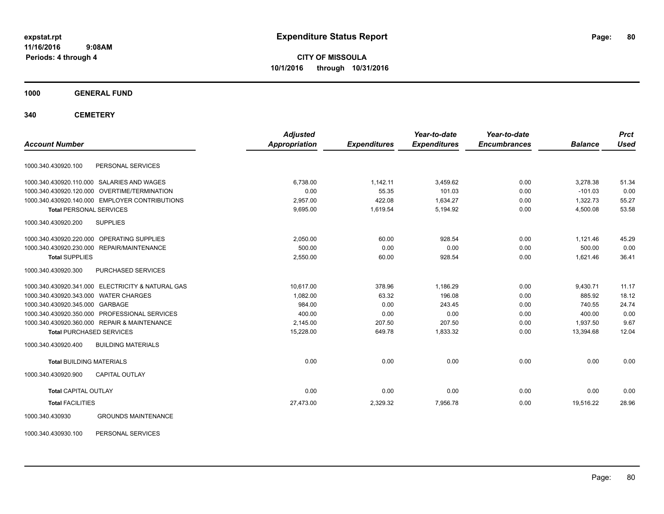**CITY OF MISSOULA 10/1/2016 through 10/31/2016**

**1000 GENERAL FUND**

**340 CEMETERY**

| <b>Account Number</b>                 |                                                   | <b>Adjusted</b><br><b>Appropriation</b> | <b>Expenditures</b> | Year-to-date<br><b>Expenditures</b> | Year-to-date<br><b>Encumbrances</b> | <b>Balance</b> | <b>Prct</b><br><b>Used</b> |
|---------------------------------------|---------------------------------------------------|-----------------------------------------|---------------------|-------------------------------------|-------------------------------------|----------------|----------------------------|
|                                       |                                                   |                                         |                     |                                     |                                     |                |                            |
| 1000.340.430920.100                   | PERSONAL SERVICES                                 |                                         |                     |                                     |                                     |                |                            |
|                                       | 1000.340.430920.110.000 SALARIES AND WAGES        | 6,738.00                                | 1,142.11            | 3,459.62                            | 0.00                                | 3,278.38       | 51.34                      |
| 1000.340.430920.120.000               | <b>OVERTIME/TERMINATION</b>                       | 0.00                                    | 55.35               | 101.03                              | 0.00                                | $-101.03$      | 0.00                       |
|                                       | 1000.340.430920.140.000 EMPLOYER CONTRIBUTIONS    | 2,957.00                                | 422.08              | 1,634.27                            | 0.00                                | 1,322.73       | 55.27                      |
| <b>Total PERSONAL SERVICES</b>        |                                                   | 9,695.00                                | 1,619.54            | 5,194.92                            | 0.00                                | 4,500.08       | 53.58                      |
| 1000.340.430920.200                   | <b>SUPPLIES</b>                                   |                                         |                     |                                     |                                     |                |                            |
|                                       | 1000.340.430920.220.000 OPERATING SUPPLIES        | 2,050.00                                | 60.00               | 928.54                              | 0.00                                | 1,121.46       | 45.29                      |
|                                       | 1000.340.430920.230.000 REPAIR/MAINTENANCE        | 500.00                                  | 0.00                | 0.00                                | 0.00                                | 500.00         | 0.00                       |
| <b>Total SUPPLIES</b>                 |                                                   | 2,550.00                                | 60.00               | 928.54                              | 0.00                                | 1,621.46       | 36.41                      |
| 1000.340.430920.300                   | PURCHASED SERVICES                                |                                         |                     |                                     |                                     |                |                            |
|                                       | 1000.340.430920.341.000 ELECTRICITY & NATURAL GAS | 10.617.00                               | 378.96              | 1.186.29                            | 0.00                                | 9,430.71       | 11.17                      |
| 1000.340.430920.343.000 WATER CHARGES |                                                   | 1.082.00                                | 63.32               | 196.08                              | 0.00                                | 885.92         | 18.12                      |
| 1000.340.430920.345.000 GARBAGE       |                                                   | 984.00                                  | 0.00                | 243.45                              | 0.00                                | 740.55         | 24.74                      |
|                                       | 1000.340.430920.350.000 PROFESSIONAL SERVICES     | 400.00                                  | 0.00                | 0.00                                | 0.00                                | 400.00         | 0.00                       |
|                                       | 1000.340.430920.360.000 REPAIR & MAINTENANCE      | 2,145.00                                | 207.50              | 207.50                              | 0.00                                | 1,937.50       | 9.67                       |
|                                       | <b>Total PURCHASED SERVICES</b>                   | 15,228.00                               | 649.78              | 1,833.32                            | 0.00                                | 13.394.68      | 12.04                      |
| 1000.340.430920.400                   | <b>BUILDING MATERIALS</b>                         |                                         |                     |                                     |                                     |                |                            |
| <b>Total BUILDING MATERIALS</b>       |                                                   | 0.00                                    | 0.00                | 0.00                                | 0.00                                | 0.00           | 0.00                       |
| 1000.340.430920.900                   | <b>CAPITAL OUTLAY</b>                             |                                         |                     |                                     |                                     |                |                            |
| <b>Total CAPITAL OUTLAY</b>           |                                                   | 0.00                                    | 0.00                | 0.00                                | 0.00                                | 0.00           | 0.00                       |
| <b>Total FACILITIES</b>               |                                                   | 27,473.00                               | 2,329.32            | 7,956.78                            | 0.00                                | 19,516.22      | 28.96                      |
| 1000.340.430930                       | <b>GROUNDS MAINTENANCE</b>                        |                                         |                     |                                     |                                     |                |                            |

1000.340.430930.100 PERSONAL SERVICES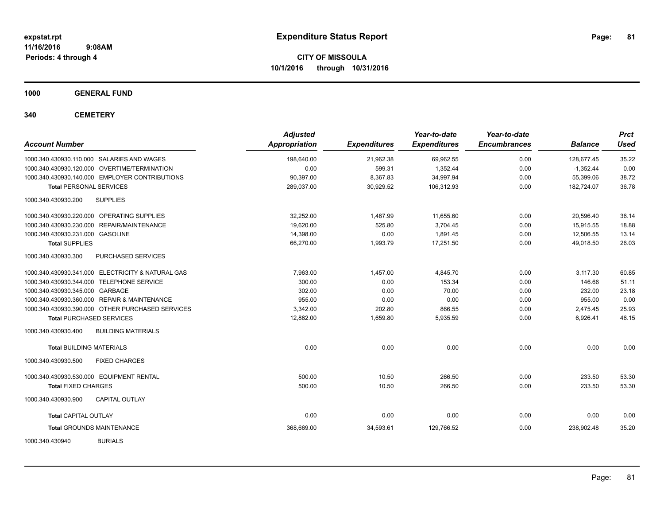**CITY OF MISSOULA 10/1/2016 through 10/31/2016**

**1000 GENERAL FUND**

**340 CEMETERY**

| <b>Account Number</b>                             | <b>Adjusted</b><br>Appropriation | <b>Expenditures</b> | Year-to-date<br><b>Expenditures</b> | Year-to-date<br><b>Encumbrances</b> | <b>Balance</b> | <b>Prct</b><br>Used |
|---------------------------------------------------|----------------------------------|---------------------|-------------------------------------|-------------------------------------|----------------|---------------------|
| 1000.340.430930.110.000 SALARIES AND WAGES        | 198.640.00                       | 21,962.38           | 69,962.55                           | 0.00                                | 128.677.45     | 35.22               |
| 1000.340.430930.120.000 OVERTIME/TERMINATION      | 0.00                             | 599.31              | 1,352.44                            | 0.00                                | $-1,352.44$    | 0.00                |
| 1000.340.430930.140.000 EMPLOYER CONTRIBUTIONS    | 90,397.00                        | 8,367.83            | 34,997.94                           | 0.00                                | 55.399.06      | 38.72               |
| <b>Total PERSONAL SERVICES</b>                    | 289,037.00                       | 30,929.52           | 106,312.93                          | 0.00                                | 182,724.07     | 36.78               |
| <b>SUPPLIES</b><br>1000.340.430930.200            |                                  |                     |                                     |                                     |                |                     |
| 1000.340.430930.220.000 OPERATING SUPPLIES        | 32.252.00                        | 1,467.99            | 11,655.60                           | 0.00                                | 20.596.40      | 36.14               |
| 1000.340.430930.230.000 REPAIR/MAINTENANCE        | 19,620.00                        | 525.80              | 3,704.45                            | 0.00                                | 15,915.55      | 18.88               |
| 1000.340.430930.231.000 GASOLINE                  | 14,398.00                        | 0.00                | 1,891.45                            | 0.00                                | 12,506.55      | 13.14               |
| <b>Total SUPPLIES</b>                             | 66,270.00                        | 1,993.79            | 17,251.50                           | 0.00                                | 49,018.50      | 26.03               |
| PURCHASED SERVICES<br>1000.340.430930.300         |                                  |                     |                                     |                                     |                |                     |
| 1000.340.430930.341.000 ELECTRICITY & NATURAL GAS | 7,963.00                         | 1,457.00            | 4,845.70                            | 0.00                                | 3,117.30       | 60.85               |
| 1000.340.430930.344.000 TELEPHONE SERVICE         | 300.00                           | 0.00                | 153.34                              | 0.00                                | 146.66         | 51.11               |
| 1000.340.430930.345.000 GARBAGE                   | 302.00                           | 0.00                | 70.00                               | 0.00                                | 232.00         | 23.18               |
| 1000.340.430930.360.000 REPAIR & MAINTENANCE      | 955.00                           | 0.00                | 0.00                                | 0.00                                | 955.00         | 0.00                |
| 1000.340.430930.390.000 OTHER PURCHASED SERVICES  | 3,342.00                         | 202.80              | 866.55                              | 0.00                                | 2,475.45       | 25.93               |
| <b>Total PURCHASED SERVICES</b>                   | 12,862.00                        | 1,659.80            | 5,935.59                            | 0.00                                | 6,926.41       | 46.15               |
| 1000.340.430930.400<br><b>BUILDING MATERIALS</b>  |                                  |                     |                                     |                                     |                |                     |
| <b>Total BUILDING MATERIALS</b>                   | 0.00                             | 0.00                | 0.00                                | 0.00                                | 0.00           | 0.00                |
| 1000.340.430930.500<br><b>FIXED CHARGES</b>       |                                  |                     |                                     |                                     |                |                     |
| 1000.340.430930.530.000 EQUIPMENT RENTAL          | 500.00                           | 10.50               | 266.50                              | 0.00                                | 233.50         | 53.30               |
| <b>Total FIXED CHARGES</b>                        | 500.00                           | 10.50               | 266.50                              | 0.00                                | 233.50         | 53.30               |
| 1000.340.430930.900<br><b>CAPITAL OUTLAY</b>      |                                  |                     |                                     |                                     |                |                     |
| Total CAPITAL OUTLAY                              | 0.00                             | 0.00                | 0.00                                | 0.00                                | 0.00           | 0.00                |
| <b>Total GROUNDS MAINTENANCE</b>                  | 368,669.00                       | 34,593.61           | 129,766.52                          | 0.00                                | 238,902.48     | 35.20               |
| <b>BURIALS</b><br>1000.340.430940                 |                                  |                     |                                     |                                     |                |                     |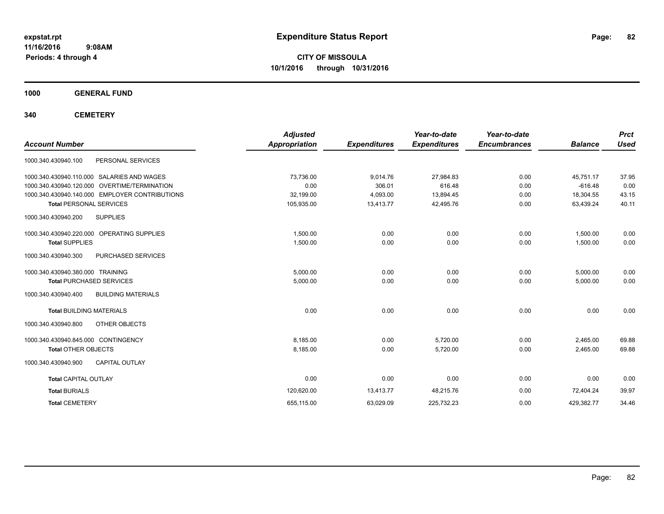**CITY OF MISSOULA 10/1/2016 through 10/31/2016**

**1000 GENERAL FUND**

**340 CEMETERY**

| <b>Account Number</b>                            | <b>Adjusted</b><br><b>Appropriation</b> | <b>Expenditures</b> | Year-to-date<br><b>Expenditures</b> | Year-to-date<br><b>Encumbrances</b> | <b>Balance</b> | <b>Prct</b><br><b>Used</b> |
|--------------------------------------------------|-----------------------------------------|---------------------|-------------------------------------|-------------------------------------|----------------|----------------------------|
| PERSONAL SERVICES<br>1000.340.430940.100         |                                         |                     |                                     |                                     |                |                            |
| 1000.340.430940.110.000 SALARIES AND WAGES       | 73,736.00                               | 9,014.76            | 27,984.83                           | 0.00                                | 45,751.17      | 37.95                      |
| 1000.340.430940.120.000 OVERTIME/TERMINATION     | 0.00                                    | 306.01              | 616.48                              | 0.00                                | $-616.48$      | 0.00                       |
| 1000.340.430940.140.000 EMPLOYER CONTRIBUTIONS   | 32,199.00                               | 4,093.00            | 13,894.45                           | 0.00                                | 18,304.55      | 43.15                      |
| <b>Total PERSONAL SERVICES</b>                   | 105,935.00                              | 13,413.77           | 42,495.76                           | 0.00                                | 63,439.24      | 40.11                      |
| <b>SUPPLIES</b><br>1000.340.430940.200           |                                         |                     |                                     |                                     |                |                            |
| 1000.340.430940.220.000 OPERATING SUPPLIES       | 1,500.00                                | 0.00                | 0.00                                | 0.00                                | 1,500.00       | 0.00                       |
| <b>Total SUPPLIES</b>                            | 1,500.00                                | 0.00                | 0.00                                | 0.00                                | 1,500.00       | 0.00                       |
| PURCHASED SERVICES<br>1000.340.430940.300        |                                         |                     |                                     |                                     |                |                            |
| 1000.340.430940.380.000 TRAINING                 | 5.000.00                                | 0.00                | 0.00                                | 0.00                                | 5,000.00       | 0.00                       |
| <b>Total PURCHASED SERVICES</b>                  | 5,000.00                                | 0.00                | 0.00                                | 0.00                                | 5,000.00       | 0.00                       |
| 1000.340.430940.400<br><b>BUILDING MATERIALS</b> |                                         |                     |                                     |                                     |                |                            |
| <b>Total BUILDING MATERIALS</b>                  | 0.00                                    | 0.00                | 0.00                                | 0.00                                | 0.00           | 0.00                       |
| 1000.340.430940.800<br>OTHER OBJECTS             |                                         |                     |                                     |                                     |                |                            |
| 1000.340.430940.845.000 CONTINGENCY              | 8,185.00                                | 0.00                | 5,720.00                            | 0.00                                | 2,465.00       | 69.88                      |
| <b>Total OTHER OBJECTS</b>                       | 8,185.00                                | 0.00                | 5,720.00                            | 0.00                                | 2,465.00       | 69.88                      |
| <b>CAPITAL OUTLAY</b><br>1000.340.430940.900     |                                         |                     |                                     |                                     |                |                            |
| <b>Total CAPITAL OUTLAY</b>                      | 0.00                                    | 0.00                | 0.00                                | 0.00                                | 0.00           | 0.00                       |
| <b>Total BURIALS</b>                             | 120,620.00                              | 13,413.77           | 48,215.76                           | 0.00                                | 72,404.24      | 39.97                      |
| <b>Total CEMETERY</b>                            | 655,115.00                              | 63,029.09           | 225,732.23                          | 0.00                                | 429,382.77     | 34.46                      |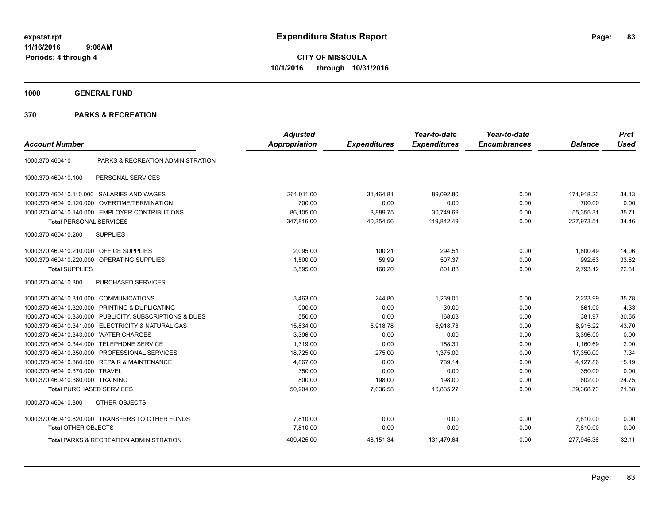**CITY OF MISSOULA 10/1/2016 through 10/31/2016**

**1000 GENERAL FUND**

| <b>Account Number</b>                   |                                                         | <b>Adjusted</b><br>Appropriation | <b>Expenditures</b> | Year-to-date<br><b>Expenditures</b> | Year-to-date<br><b>Encumbrances</b> | <b>Balance</b> | <b>Prct</b><br><b>Used</b> |
|-----------------------------------------|---------------------------------------------------------|----------------------------------|---------------------|-------------------------------------|-------------------------------------|----------------|----------------------------|
|                                         |                                                         |                                  |                     |                                     |                                     |                |                            |
| 1000.370.460410                         | PARKS & RECREATION ADMINISTRATION                       |                                  |                     |                                     |                                     |                |                            |
| 1000.370.460410.100                     | PERSONAL SERVICES                                       |                                  |                     |                                     |                                     |                |                            |
|                                         | 1000.370.460410.110.000 SALARIES AND WAGES              | 261,011.00                       | 31,464.81           | 89.092.80                           | 0.00                                | 171,918.20     | 34.13                      |
| 1000.370.460410.120.000                 | <b>OVERTIME/TERMINATION</b>                             | 700.00                           | 0.00                | 0.00                                | 0.00                                | 700.00         | 0.00                       |
|                                         | 1000.370.460410.140.000 EMPLOYER CONTRIBUTIONS          | 86,105.00                        | 8,889.75            | 30,749.69                           | 0.00                                | 55,355.31      | 35.71                      |
| <b>Total PERSONAL SERVICES</b>          |                                                         | 347,816.00                       | 40,354.56           | 119,842.49                          | 0.00                                | 227,973.51     | 34.46                      |
| 1000.370.460410.200                     | <b>SUPPLIES</b>                                         |                                  |                     |                                     |                                     |                |                            |
| 1000.370.460410.210.000 OFFICE SUPPLIES |                                                         | 2,095.00                         | 100.21              | 294.51                              | 0.00                                | 1.800.49       | 14.06                      |
| 1000.370.460410.220.000                 | OPERATING SUPPLIES                                      | 1,500.00                         | 59.99               | 507.37                              | 0.00                                | 992.63         | 33.82                      |
| <b>Total SUPPLIES</b>                   |                                                         | 3,595.00                         | 160.20              | 801.88                              | 0.00                                | 2,793.12       | 22.31                      |
| 1000.370.460410.300                     | PURCHASED SERVICES                                      |                                  |                     |                                     |                                     |                |                            |
| 1000.370.460410.310.000                 | <b>COMMUNICATIONS</b>                                   | 3,463.00                         | 244.80              | 1,239.01                            | 0.00                                | 2,223.99       | 35.78                      |
| 1000.370.460410.320.000                 | PRINTING & DUPLICATING                                  | 900.00                           | 0.00                | 39.00                               | 0.00                                | 861.00         | 4.33                       |
|                                         | 1000.370.460410.330.000 PUBLICITY, SUBSCRIPTIONS & DUES | 550.00                           | 0.00                | 168.03                              | 0.00                                | 381.97         | 30.55                      |
|                                         | 1000.370.460410.341.000 ELECTRICITY & NATURAL GAS       | 15,834.00                        | 6,918.78            | 6,918.78                            | 0.00                                | 8,915.22       | 43.70                      |
| 1000.370.460410.343.000                 | <b>WATER CHARGES</b>                                    | 3.396.00                         | 0.00                | 0.00                                | 0.00                                | 3,396.00       | 0.00                       |
| 1000.370.460410.344.000                 | <b>TELEPHONE SERVICE</b>                                | 1,319.00                         | 0.00                | 158.31                              | 0.00                                | 1,160.69       | 12.00                      |
| 1000.370.460410.350.000                 | PROFESSIONAL SERVICES                                   | 18,725.00                        | 275.00              | 1,375.00                            | 0.00                                | 17,350.00      | 7.34                       |
| 1000.370.460410.360.000                 | <b>REPAIR &amp; MAINTENANCE</b>                         | 4,867.00                         | 0.00                | 739.14                              | 0.00                                | 4,127.86       | 15.19                      |
| 1000.370.460410.370.000                 | <b>TRAVEL</b>                                           | 350.00                           | 0.00                | 0.00                                | 0.00                                | 350.00         | 0.00                       |
| 1000.370.460410.380.000 TRAINING        |                                                         | 800.00                           | 198.00              | 198.00                              | 0.00                                | 602.00         | 24.75                      |
| <b>Total PURCHASED SERVICES</b>         |                                                         | 50,204.00                        | 7,636.58            | 10,835.27                           | 0.00                                | 39,368.73      | 21.58                      |
| 1000.370.460410.800                     | <b>OTHER OBJECTS</b>                                    |                                  |                     |                                     |                                     |                |                            |
|                                         | 1000.370.460410.820.000 TRANSFERS TO OTHER FUNDS        | 7,810.00                         | 0.00                | 0.00                                | 0.00                                | 7,810.00       | 0.00                       |
| <b>Total OTHER OBJECTS</b>              |                                                         | 7,810.00                         | 0.00                | 0.00                                | 0.00                                | 7,810.00       | 0.00                       |
|                                         | <b>Total PARKS &amp; RECREATION ADMINISTRATION</b>      | 409,425.00                       | 48,151.34           | 131,479.64                          | 0.00                                | 277,945.36     | 32.11                      |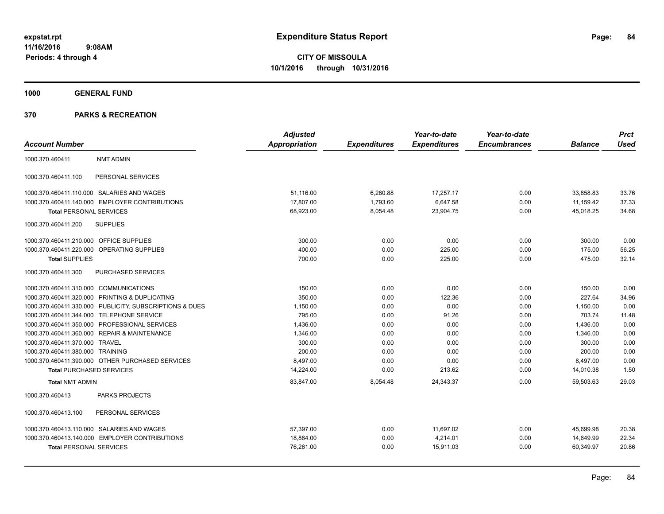**1000 GENERAL FUND**

|                                            |                                                  | <b>Adjusted</b> |                     | Year-to-date        | Year-to-date        |                | <b>Prct</b> |
|--------------------------------------------|--------------------------------------------------|-----------------|---------------------|---------------------|---------------------|----------------|-------------|
| <b>Account Number</b>                      |                                                  | Appropriation   | <b>Expenditures</b> | <b>Expenditures</b> | <b>Encumbrances</b> | <b>Balance</b> | <b>Used</b> |
| 1000.370.460411                            | <b>NMT ADMIN</b>                                 |                 |                     |                     |                     |                |             |
| 1000.370.460411.100                        | PERSONAL SERVICES                                |                 |                     |                     |                     |                |             |
| 1000.370.460411.110.000 SALARIES AND WAGES |                                                  | 51.116.00       | 6,260.88            | 17.257.17           | 0.00                | 33.858.83      | 33.76       |
| 1000.370.460411.140.000                    | <b>EMPLOYER CONTRIBUTIONS</b>                    | 17,807.00       | 1,793.60            | 6,647.58            | 0.00                | 11,159.42      | 37.33       |
| <b>Total PERSONAL SERVICES</b>             |                                                  | 68,923.00       | 8,054.48            | 23,904.75           | 0.00                | 45,018.25      | 34.68       |
| 1000.370.460411.200                        | <b>SUPPLIES</b>                                  |                 |                     |                     |                     |                |             |
| 1000.370.460411.210.000 OFFICE SUPPLIES    |                                                  | 300.00          | 0.00                | 0.00                | 0.00                | 300.00         | 0.00        |
| 1000.370.460411.220.000                    | OPERATING SUPPLIES                               | 400.00          | 0.00                | 225.00              | 0.00                | 175.00         | 56.25       |
| <b>Total SUPPLIES</b>                      |                                                  | 700.00          | 0.00                | 225.00              | 0.00                | 475.00         | 32.14       |
| 1000.370.460411.300                        | <b>PURCHASED SERVICES</b>                        |                 |                     |                     |                     |                |             |
| 1000.370.460411.310.000 COMMUNICATIONS     |                                                  | 150.00          | 0.00                | 0.00                | 0.00                | 150.00         | 0.00        |
| 1000.370.460411.320.000                    | PRINTING & DUPLICATING                           | 350.00          | 0.00                | 122.36              | 0.00                | 227.64         | 34.96       |
| 1000.370.460411.330.000                    | PUBLICITY, SUBSCRIPTIONS & DUES                  | 1,150.00        | 0.00                | 0.00                | 0.00                | 1,150.00       | 0.00        |
| 1000.370.460411.344.000                    | <b>TELEPHONE SERVICE</b>                         | 795.00          | 0.00                | 91.26               | 0.00                | 703.74         | 11.48       |
|                                            | 1000.370.460411.350.000 PROFESSIONAL SERVICES    | 1,436.00        | 0.00                | 0.00                | 0.00                | 1,436.00       | 0.00        |
|                                            | 1000.370.460411.360.000 REPAIR & MAINTENANCE     | 1,346.00        | 0.00                | 0.00                | 0.00                | 1,346.00       | 0.00        |
| 1000.370.460411.370.000 TRAVEL             |                                                  | 300.00          | 0.00                | 0.00                | 0.00                | 300.00         | 0.00        |
| 1000.370.460411.380.000 TRAINING           |                                                  | 200.00          | 0.00                | 0.00                | 0.00                | 200.00         | 0.00        |
|                                            | 1000.370.460411.390.000 OTHER PURCHASED SERVICES | 8,497.00        | 0.00                | 0.00                | 0.00                | 8,497.00       | 0.00        |
| <b>Total PURCHASED SERVICES</b>            |                                                  | 14,224.00       | 0.00                | 213.62              | 0.00                | 14,010.38      | 1.50        |
| <b>Total NMT ADMIN</b>                     |                                                  | 83,847.00       | 8,054.48            | 24,343.37           | 0.00                | 59,503.63      | 29.03       |
| 1000.370.460413                            | PARKS PROJECTS                                   |                 |                     |                     |                     |                |             |
| 1000.370.460413.100                        | PERSONAL SERVICES                                |                 |                     |                     |                     |                |             |
|                                            | 1000.370.460413.110.000 SALARIES AND WAGES       | 57,397.00       | 0.00                | 11,697.02           | 0.00                | 45,699.98      | 20.38       |
|                                            | 1000.370.460413.140.000 EMPLOYER CONTRIBUTIONS   | 18,864.00       | 0.00                | 4,214.01            | 0.00                | 14,649.99      | 22.34       |
| <b>Total PERSONAL SERVICES</b>             |                                                  | 76,261.00       | 0.00                | 15,911.03           | 0.00                | 60,349.97      | 20.86       |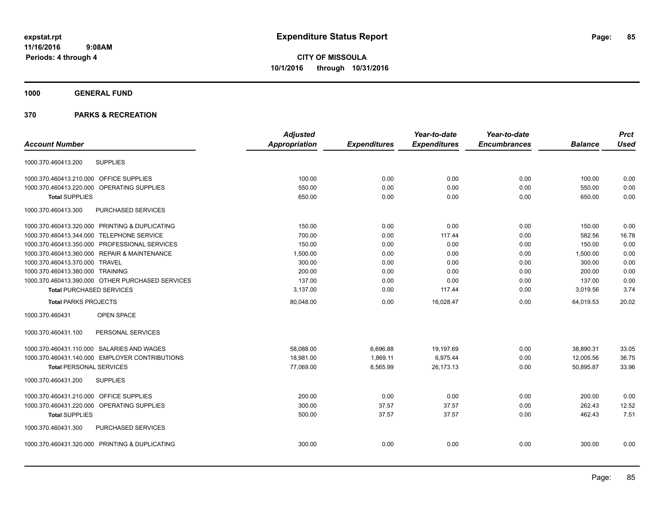# **1000 GENERAL FUND**

|                                                  | <b>Adjusted</b>      |                     | Year-to-date        | Year-to-date        |                | <b>Prct</b> |
|--------------------------------------------------|----------------------|---------------------|---------------------|---------------------|----------------|-------------|
| <b>Account Number</b>                            | <b>Appropriation</b> | <b>Expenditures</b> | <b>Expenditures</b> | <b>Encumbrances</b> | <b>Balance</b> | <b>Used</b> |
| <b>SUPPLIES</b><br>1000.370.460413.200           |                      |                     |                     |                     |                |             |
| 1000.370.460413.210.000 OFFICE SUPPLIES          | 100.00               | 0.00                | 0.00                | 0.00                | 100.00         | 0.00        |
| 1000.370.460413.220.000 OPERATING SUPPLIES       | 550.00               | 0.00                | 0.00                | 0.00                | 550.00         | 0.00        |
| <b>Total SUPPLIES</b>                            | 650.00               | 0.00                | 0.00                | 0.00                | 650.00         | 0.00        |
| 1000.370.460413.300<br>PURCHASED SERVICES        |                      |                     |                     |                     |                |             |
| 1000.370.460413.320.000 PRINTING & DUPLICATING   | 150.00               | 0.00                | 0.00                | 0.00                | 150.00         | 0.00        |
| 1000.370.460413.344.000 TELEPHONE SERVICE        | 700.00               | 0.00                | 117.44              | 0.00                | 582.56         | 16.78       |
| 1000.370.460413.350.000 PROFESSIONAL SERVICES    | 150.00               | 0.00                | 0.00                | 0.00                | 150.00         | 0.00        |
| 1000.370.460413.360.000 REPAIR & MAINTENANCE     | 1,500.00             | 0.00                | 0.00                | 0.00                | 1,500.00       | 0.00        |
| 1000.370.460413.370.000 TRAVEL                   | 300.00               | 0.00                | 0.00                | 0.00                | 300.00         | 0.00        |
| 1000.370.460413.380.000 TRAINING                 | 200.00               | 0.00                | 0.00                | 0.00                | 200.00         | 0.00        |
| 1000.370.460413.390.000 OTHER PURCHASED SERVICES | 137.00               | 0.00                | 0.00                | 0.00                | 137.00         | 0.00        |
| <b>Total PURCHASED SERVICES</b>                  | 3,137.00             | 0.00                | 117.44              | 0.00                | 3,019.56       | 3.74        |
| <b>Total PARKS PROJECTS</b>                      | 80,048.00            | 0.00                | 16,028.47           | 0.00                | 64,019.53      | 20.02       |
| 1000.370.460431<br><b>OPEN SPACE</b>             |                      |                     |                     |                     |                |             |
| PERSONAL SERVICES<br>1000.370.460431.100         |                      |                     |                     |                     |                |             |
| 1000.370.460431.110.000 SALARIES AND WAGES       | 58,088.00            | 6,696.88            | 19,197.69           | 0.00                | 38,890.31      | 33.05       |
| 1000.370.460431.140.000 EMPLOYER CONTRIBUTIONS   | 18,981.00            | 1,869.11            | 6,975.44            | 0.00                | 12,005.56      | 36.75       |
| <b>Total PERSONAL SERVICES</b>                   | 77,069.00            | 8,565.99            | 26,173.13           | 0.00                | 50,895.87      | 33.96       |
| <b>SUPPLIES</b><br>1000.370.460431.200           |                      |                     |                     |                     |                |             |
| 1000.370.460431.210.000 OFFICE SUPPLIES          | 200.00               | 0.00                | 0.00                | 0.00                | 200.00         | 0.00        |
| 1000.370.460431.220.000 OPERATING SUPPLIES       | 300.00               | 37.57               | 37.57               | 0.00                | 262.43         | 12.52       |
| <b>Total SUPPLIES</b>                            | 500.00               | 37.57               | 37.57               | 0.00                | 462.43         | 7.51        |
| 1000.370.460431.300<br>PURCHASED SERVICES        |                      |                     |                     |                     |                |             |
| 1000.370.460431.320.000 PRINTING & DUPLICATING   | 300.00               | 0.00                | 0.00                | 0.00                | 300.00         | 0.00        |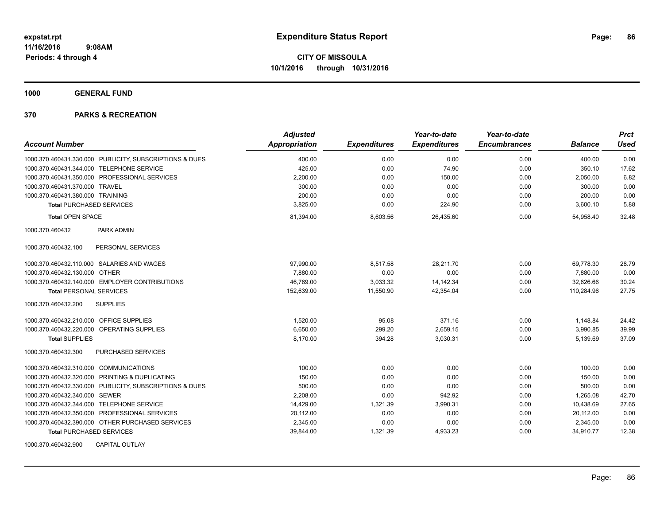**1000 GENERAL FUND**

## **370 PARKS & RECREATION**

| <b>Account Number</b>                                   | <b>Adjusted</b><br>Appropriation | <b>Expenditures</b> | Year-to-date<br><b>Expenditures</b> | Year-to-date<br><b>Encumbrances</b> | <b>Balance</b> | <b>Prct</b><br><b>Used</b> |
|---------------------------------------------------------|----------------------------------|---------------------|-------------------------------------|-------------------------------------|----------------|----------------------------|
| 1000.370.460431.330.000 PUBLICITY, SUBSCRIPTIONS & DUES | 400.00                           | 0.00                | 0.00                                | 0.00                                | 400.00         | 0.00                       |
| 1000.370.460431.344.000 TELEPHONE SERVICE               | 425.00                           | 0.00                | 74.90                               | 0.00                                | 350.10         | 17.62                      |
| 1000.370.460431.350.000 PROFESSIONAL SERVICES           | 2,200.00                         | 0.00                | 150.00                              | 0.00                                | 2,050.00       | 6.82                       |
| 1000.370.460431.370.000 TRAVEL                          | 300.00                           | 0.00                | 0.00                                | 0.00                                | 300.00         | 0.00                       |
| 1000.370.460431.380.000 TRAINING                        | 200.00                           | 0.00                | 0.00                                | 0.00                                | 200.00         | 0.00                       |
| <b>Total PURCHASED SERVICES</b>                         | 3,825.00                         | 0.00                | 224.90                              | 0.00                                | 3,600.10       | 5.88                       |
| <b>Total OPEN SPACE</b>                                 | 81,394.00                        | 8,603.56            | 26,435.60                           | 0.00                                | 54,958.40      | 32.48                      |
| PARK ADMIN<br>1000.370.460432                           |                                  |                     |                                     |                                     |                |                            |
| PERSONAL SERVICES<br>1000.370.460432.100                |                                  |                     |                                     |                                     |                |                            |
| 1000.370.460432.110.000 SALARIES AND WAGES              | 97,990.00                        | 8,517.58            | 28,211.70                           | 0.00                                | 69,778.30      | 28.79                      |
| 1000.370.460432.130.000<br><b>OTHER</b>                 | 7.880.00                         | 0.00                | 0.00                                | 0.00                                | 7,880.00       | 0.00                       |
| 1000.370.460432.140.000 EMPLOYER CONTRIBUTIONS          | 46,769.00                        | 3,033.32            | 14, 142. 34                         | 0.00                                | 32,626.66      | 30.24                      |
| <b>Total PERSONAL SERVICES</b>                          | 152,639.00                       | 11,550.90           | 42,354.04                           | 0.00                                | 110,284.96     | 27.75                      |
| 1000.370.460432.200<br><b>SUPPLIES</b>                  |                                  |                     |                                     |                                     |                |                            |
| 1000.370.460432.210.000 OFFICE SUPPLIES                 | 1,520.00                         | 95.08               | 371.16                              | 0.00                                | 1,148.84       | 24.42                      |
| 1000.370.460432.220.000 OPERATING SUPPLIES              | 6,650.00                         | 299.20              | 2,659.15                            | 0.00                                | 3,990.85       | 39.99                      |
| <b>Total SUPPLIES</b>                                   | 8,170.00                         | 394.28              | 3,030.31                            | 0.00                                | 5,139.69       | 37.09                      |
| PURCHASED SERVICES<br>1000.370.460432.300               |                                  |                     |                                     |                                     |                |                            |
| 1000.370.460432.310.000 COMMUNICATIONS                  | 100.00                           | 0.00                | 0.00                                | 0.00                                | 100.00         | 0.00                       |
| 1000.370.460432.320.000 PRINTING & DUPLICATING          | 150.00                           | 0.00                | 0.00                                | 0.00                                | 150.00         | 0.00                       |
| 1000.370.460432.330.000 PUBLICITY, SUBSCRIPTIONS & DUES | 500.00                           | 0.00                | 0.00                                | 0.00                                | 500.00         | 0.00                       |
| 1000.370.460432.340.000 SEWER                           | 2,208.00                         | 0.00                | 942.92                              | 0.00                                | 1,265.08       | 42.70                      |
| 1000.370.460432.344.000 TELEPHONE SERVICE               | 14,429.00                        | 1,321.39            | 3,990.31                            | 0.00                                | 10,438.69      | 27.65                      |
| 1000.370.460432.350.000 PROFESSIONAL SERVICES           | 20,112.00                        | 0.00                | 0.00                                | 0.00                                | 20,112.00      | 0.00                       |
| 1000.370.460432.390.000 OTHER PURCHASED SERVICES        | 2,345.00                         | 0.00                | 0.00                                | 0.00                                | 2,345.00       | 0.00                       |
| <b>Total PURCHASED SERVICES</b>                         | 39,844.00                        | 1,321.39            | 4,933.23                            | 0.00                                | 34,910.77      | 12.38                      |
| 1000.370.460432.900<br><b>CAPITAL OUTLAY</b>            |                                  |                     |                                     |                                     |                |                            |

Page: 86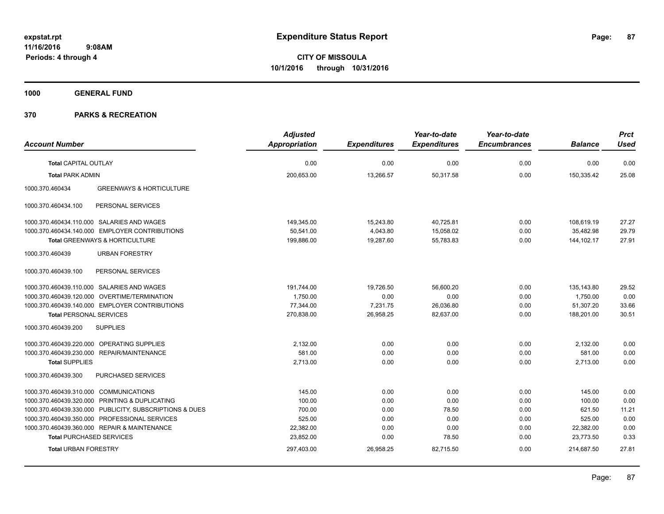**1000 GENERAL FUND**

|                                                         | <b>Adjusted</b>      |                     | Year-to-date        | Year-to-date        |                | <b>Prct</b> |
|---------------------------------------------------------|----------------------|---------------------|---------------------|---------------------|----------------|-------------|
| <b>Account Number</b>                                   | <b>Appropriation</b> | <b>Expenditures</b> | <b>Expenditures</b> | <b>Encumbrances</b> | <b>Balance</b> | <b>Used</b> |
| <b>Total CAPITAL OUTLAY</b>                             | 0.00                 | 0.00                | 0.00                | 0.00                | 0.00           | 0.00        |
| <b>Total PARK ADMIN</b>                                 | 200,653.00           | 13,266.57           | 50,317.58           | 0.00                | 150,335.42     | 25.08       |
| 1000.370.460434<br><b>GREENWAYS &amp; HORTICULTURE</b>  |                      |                     |                     |                     |                |             |
| 1000.370.460434.100<br>PERSONAL SERVICES                |                      |                     |                     |                     |                |             |
| 1000.370.460434.110.000 SALARIES AND WAGES              | 149,345.00           | 15,243.80           | 40,725.81           | 0.00                | 108,619.19     | 27.27       |
| 1000.370.460434.140.000 EMPLOYER CONTRIBUTIONS          | 50,541.00            | 4,043.80            | 15,058.02           | 0.00                | 35,482.98      | 29.79       |
| Total GREENWAYS & HORTICULTURE                          | 199,886.00           | 19,287.60           | 55,783.83           | 0.00                | 144,102.17     | 27.91       |
| 1000.370.460439<br><b>URBAN FORESTRY</b>                |                      |                     |                     |                     |                |             |
| PERSONAL SERVICES<br>1000.370.460439.100                |                      |                     |                     |                     |                |             |
| 1000.370.460439.110.000 SALARIES AND WAGES              | 191,744.00           | 19,726.50           | 56.600.20           | 0.00                | 135,143.80     | 29.52       |
| 1000.370.460439.120.000 OVERTIME/TERMINATION            | 1,750.00             | 0.00                | 0.00                | 0.00                | 1,750.00       | 0.00        |
| 1000.370.460439.140.000 EMPLOYER CONTRIBUTIONS          | 77,344.00            | 7,231.75            | 26,036.80           | 0.00                | 51,307.20      | 33.66       |
| <b>Total PERSONAL SERVICES</b>                          | 270,838.00           | 26,958.25           | 82,637.00           | 0.00                | 188,201.00     | 30.51       |
| <b>SUPPLIES</b><br>1000.370.460439.200                  |                      |                     |                     |                     |                |             |
| 1000.370.460439.220.000 OPERATING SUPPLIES              | 2,132.00             | 0.00                | 0.00                | 0.00                | 2,132.00       | 0.00        |
| 1000.370.460439.230.000 REPAIR/MAINTENANCE              | 581.00               | 0.00                | 0.00                | 0.00                | 581.00         | 0.00        |
| <b>Total SUPPLIES</b>                                   | 2,713.00             | 0.00                | 0.00                | 0.00                | 2,713.00       | 0.00        |
| PURCHASED SERVICES<br>1000.370.460439.300               |                      |                     |                     |                     |                |             |
| 1000.370.460439.310.000 COMMUNICATIONS                  | 145.00               | 0.00                | 0.00                | 0.00                | 145.00         | 0.00        |
| 1000.370.460439.320.000 PRINTING & DUPLICATING          | 100.00               | 0.00                | 0.00                | 0.00                | 100.00         | 0.00        |
| 1000.370.460439.330.000 PUBLICITY, SUBSCRIPTIONS & DUES | 700.00               | 0.00                | 78.50               | 0.00                | 621.50         | 11.21       |
| 1000.370.460439.350.000 PROFESSIONAL SERVICES           | 525.00               | 0.00                | 0.00                | 0.00                | 525.00         | 0.00        |
| 1000.370.460439.360.000 REPAIR & MAINTENANCE            | 22,382.00            | 0.00                | 0.00                | 0.00                | 22,382.00      | 0.00        |
| <b>Total PURCHASED SERVICES</b>                         | 23,852.00            | 0.00                | 78.50               | 0.00                | 23,773.50      | 0.33        |
| <b>Total URBAN FORESTRY</b>                             | 297,403.00           | 26,958.25           | 82,715.50           | 0.00                | 214,687.50     | 27.81       |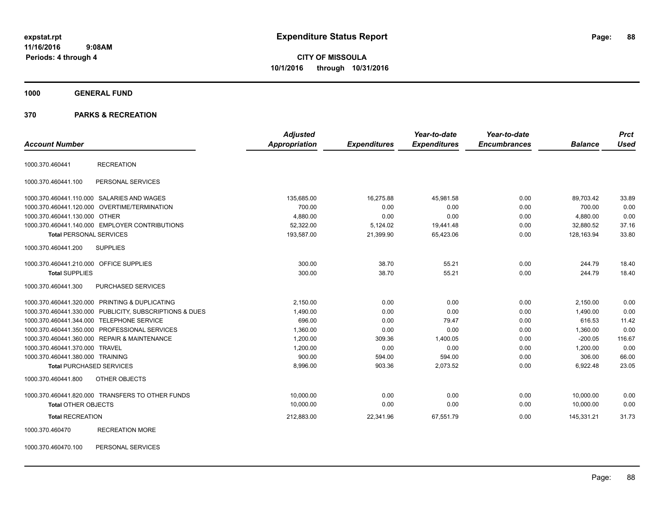# **CITY OF MISSOULA 10/1/2016 through 10/31/2016**

#### **1000 GENERAL FUND**

#### **370 PARKS & RECREATION**

| <b>Account Number</b>                   |                                                         | <b>Adjusted</b><br><b>Appropriation</b> | <b>Expenditures</b> | Year-to-date<br><b>Expenditures</b> | Year-to-date<br><b>Encumbrances</b> | <b>Balance</b> | <b>Prct</b><br><b>Used</b> |
|-----------------------------------------|---------------------------------------------------------|-----------------------------------------|---------------------|-------------------------------------|-------------------------------------|----------------|----------------------------|
|                                         |                                                         |                                         |                     |                                     |                                     |                |                            |
| 1000.370.460441                         | <b>RECREATION</b>                                       |                                         |                     |                                     |                                     |                |                            |
| 1000.370.460441.100                     | PERSONAL SERVICES                                       |                                         |                     |                                     |                                     |                |                            |
|                                         | 1000.370.460441.110.000 SALARIES AND WAGES              | 135,685.00                              | 16,275.88           | 45,981.58                           | 0.00                                | 89.703.42      | 33.89                      |
| 1000.370.460441.120.000                 | OVERTIME/TERMINATION                                    | 700.00                                  | 0.00                | 0.00                                | 0.00                                | 700.00         | 0.00                       |
| 1000.370.460441.130.000 OTHER           |                                                         | 4,880.00                                | 0.00                | 0.00                                | 0.00                                | 4,880.00       | 0.00                       |
|                                         | 1000.370.460441.140.000 EMPLOYER CONTRIBUTIONS          | 52,322.00                               | 5,124.02            | 19,441.48                           | 0.00                                | 32,880.52      | 37.16                      |
| <b>Total PERSONAL SERVICES</b>          |                                                         | 193,587.00                              | 21,399.90           | 65,423.06                           | 0.00                                | 128,163.94     | 33.80                      |
| 1000.370.460441.200                     | <b>SUPPLIES</b>                                         |                                         |                     |                                     |                                     |                |                            |
| 1000.370.460441.210.000 OFFICE SUPPLIES |                                                         | 300.00                                  | 38.70               | 55.21                               | 0.00                                | 244.79         | 18.40                      |
| <b>Total SUPPLIES</b>                   |                                                         | 300.00                                  | 38.70               | 55.21                               | 0.00                                | 244.79         | 18.40                      |
| 1000.370.460441.300                     | PURCHASED SERVICES                                      |                                         |                     |                                     |                                     |                |                            |
|                                         | 1000.370.460441.320.000 PRINTING & DUPLICATING          | 2,150.00                                | 0.00                | 0.00                                | 0.00                                | 2,150.00       | 0.00                       |
|                                         | 1000.370.460441.330.000 PUBLICITY, SUBSCRIPTIONS & DUES | 1,490.00                                | 0.00                | 0.00                                | 0.00                                | 1,490.00       | 0.00                       |
|                                         | 1000.370.460441.344.000 TELEPHONE SERVICE               | 696.00                                  | 0.00                | 79.47                               | 0.00                                | 616.53         | 11.42                      |
|                                         | 1000.370.460441.350.000 PROFESSIONAL SERVICES           | 1,360.00                                | 0.00                | 0.00                                | 0.00                                | 1,360.00       | 0.00                       |
|                                         | 1000.370.460441.360.000 REPAIR & MAINTENANCE            | 1,200.00                                | 309.36              | 1,400.05                            | 0.00                                | $-200.05$      | 116.67                     |
| 1000.370.460441.370.000 TRAVEL          |                                                         | 1,200.00                                | 0.00                | 0.00                                | 0.00                                | 1,200.00       | 0.00                       |
| 1000.370.460441.380.000 TRAINING        |                                                         | 900.00                                  | 594.00              | 594.00                              | 0.00                                | 306.00         | 66.00                      |
| <b>Total PURCHASED SERVICES</b>         |                                                         | 8,996.00                                | 903.36              | 2,073.52                            | 0.00                                | 6,922.48       | 23.05                      |
| 1000.370.460441.800                     | OTHER OBJECTS                                           |                                         |                     |                                     |                                     |                |                            |
|                                         | 1000.370.460441.820.000 TRANSFERS TO OTHER FUNDS        | 10,000.00                               | 0.00                | 0.00                                | 0.00                                | 10,000.00      | 0.00                       |
| <b>Total OTHER OBJECTS</b>              |                                                         | 10,000.00                               | 0.00                | 0.00                                | 0.00                                | 10,000.00      | 0.00                       |
| <b>Total RECREATION</b>                 |                                                         | 212,883.00                              | 22,341.96           | 67,551.79                           | 0.00                                | 145,331.21     | 31.73                      |
| 1000.370.460470                         | <b>RECREATION MORE</b>                                  |                                         |                     |                                     |                                     |                |                            |

1000.370.460470.100 PERSONAL SERVICES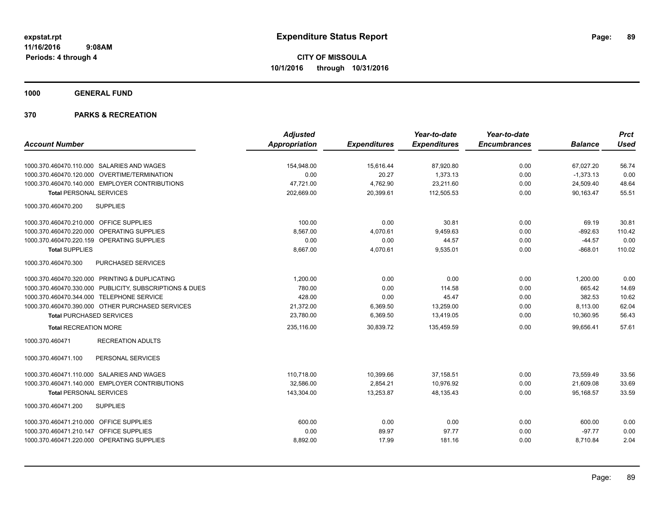**1000 GENERAL FUND**

|                                                         | <b>Adjusted</b>      |                     | Year-to-date        | Year-to-date        |                | <b>Prct</b> |
|---------------------------------------------------------|----------------------|---------------------|---------------------|---------------------|----------------|-------------|
| <b>Account Number</b>                                   | <b>Appropriation</b> | <b>Expenditures</b> | <b>Expenditures</b> | <b>Encumbrances</b> | <b>Balance</b> | <b>Used</b> |
| 1000.370.460470.110.000 SALARIES AND WAGES              | 154,948.00           | 15,616.44           | 87,920.80           | 0.00                | 67,027.20      | 56.74       |
| 1000.370.460470.120.000 OVERTIME/TERMINATION            | 0.00                 | 20.27               | 1,373.13            | 0.00                | $-1,373.13$    | 0.00        |
| 1000.370.460470.140.000 EMPLOYER CONTRIBUTIONS          | 47,721.00            | 4,762.90            | 23,211.60           | 0.00                | 24,509.40      | 48.64       |
| <b>Total PERSONAL SERVICES</b>                          | 202,669.00           | 20,399.61           | 112,505.53          | 0.00                | 90,163.47      | 55.51       |
| 1000.370.460470.200<br><b>SUPPLIES</b>                  |                      |                     |                     |                     |                |             |
| 1000.370.460470.210.000 OFFICE SUPPLIES                 | 100.00               | 0.00                | 30.81               | 0.00                | 69.19          | 30.81       |
| 1000.370.460470.220.000 OPERATING SUPPLIES              | 8,567.00             | 4,070.61            | 9,459.63            | 0.00                | $-892.63$      | 110.42      |
| 1000.370.460470.220.159 OPERATING SUPPLIES              | 0.00                 | 0.00                | 44.57               | 0.00                | $-44.57$       | 0.00        |
| <b>Total SUPPLIES</b>                                   | 8,667.00             | 4,070.61            | 9,535.01            | 0.00                | $-868.01$      | 110.02      |
| 1000.370.460470.300<br><b>PURCHASED SERVICES</b>        |                      |                     |                     |                     |                |             |
| 1000.370.460470.320.000 PRINTING & DUPLICATING          | 1,200.00             | 0.00                | 0.00                | 0.00                | 1,200.00       | 0.00        |
| 1000.370.460470.330.000 PUBLICITY, SUBSCRIPTIONS & DUES | 780.00               | 0.00                | 114.58              | 0.00                | 665.42         | 14.69       |
| 1000.370.460470.344.000 TELEPHONE SERVICE               | 428.00               | 0.00                | 45.47               | 0.00                | 382.53         | 10.62       |
| 1000.370.460470.390.000 OTHER PURCHASED SERVICES        | 21,372.00            | 6,369.50            | 13,259.00           | 0.00                | 8,113.00       | 62.04       |
| <b>Total PURCHASED SERVICES</b>                         | 23,780.00            | 6,369.50            | 13,419.05           | 0.00                | 10,360.95      | 56.43       |
| <b>Total RECREATION MORE</b>                            | 235,116.00           | 30.839.72           | 135,459.59          | 0.00                | 99.656.41      | 57.61       |
| <b>RECREATION ADULTS</b><br>1000.370.460471             |                      |                     |                     |                     |                |             |
| PERSONAL SERVICES<br>1000.370.460471.100                |                      |                     |                     |                     |                |             |
| 1000.370.460471.110.000 SALARIES AND WAGES              | 110,718.00           | 10,399.66           | 37,158.51           | 0.00                | 73,559.49      | 33.56       |
| 1000.370.460471.140.000 EMPLOYER CONTRIBUTIONS          | 32,586.00            | 2,854.21            | 10,976.92           | 0.00                | 21,609.08      | 33.69       |
| <b>Total PERSONAL SERVICES</b>                          | 143,304.00           | 13,253.87           | 48,135.43           | 0.00                | 95,168.57      | 33.59       |
| 1000.370.460471.200<br><b>SUPPLIES</b>                  |                      |                     |                     |                     |                |             |
| 1000.370.460471.210.000 OFFICE SUPPLIES                 | 600.00               | 0.00                | 0.00                | 0.00                | 600.00         | 0.00        |
| 1000.370.460471.210.147 OFFICE SUPPLIES                 | 0.00                 | 89.97               | 97.77               | 0.00                | $-97.77$       | 0.00        |
| 1000.370.460471.220.000 OPERATING SUPPLIES              | 8,892.00             | 17.99               | 181.16              | 0.00                | 8,710.84       | 2.04        |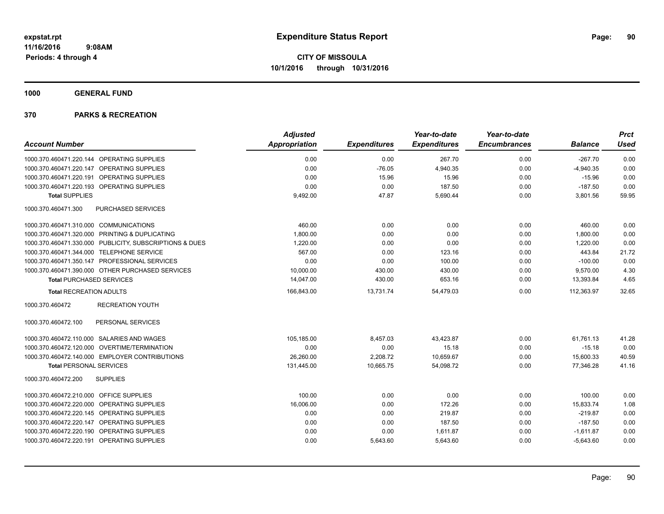**1000 GENERAL FUND**

|                                                         | <b>Adjusted</b>      |                     | Year-to-date        | Year-to-date        |                | <b>Prct</b> |
|---------------------------------------------------------|----------------------|---------------------|---------------------|---------------------|----------------|-------------|
| <b>Account Number</b>                                   | <b>Appropriation</b> | <b>Expenditures</b> | <b>Expenditures</b> | <b>Encumbrances</b> | <b>Balance</b> | <b>Used</b> |
| 1000.370.460471.220.144 OPERATING SUPPLIES              | 0.00                 | 0.00                | 267.70              | 0.00                | $-267.70$      | 0.00        |
| 1000.370.460471.220.147 OPERATING SUPPLIES              | 0.00                 | $-76.05$            | 4,940.35            | 0.00                | $-4,940.35$    | 0.00        |
| 1000.370.460471.220.191 OPERATING SUPPLIES              | 0.00                 | 15.96               | 15.96               | 0.00                | $-15.96$       | 0.00        |
| 1000.370.460471.220.193 OPERATING SUPPLIES              | 0.00                 | 0.00                | 187.50              | 0.00                | $-187.50$      | 0.00        |
| <b>Total SUPPLIES</b>                                   | 9,492.00             | 47.87               | 5,690.44            | 0.00                | 3,801.56       | 59.95       |
| 1000.370.460471.300<br><b>PURCHASED SERVICES</b>        |                      |                     |                     |                     |                |             |
| 1000.370.460471.310.000 COMMUNICATIONS                  | 460.00               | 0.00                | 0.00                | 0.00                | 460.00         | 0.00        |
| 1000.370.460471.320.000 PRINTING & DUPLICATING          | 1,800.00             | 0.00                | 0.00                | 0.00                | 1,800.00       | 0.00        |
| 1000.370.460471.330.000 PUBLICITY, SUBSCRIPTIONS & DUES | 1,220.00             | 0.00                | 0.00                | 0.00                | 1,220.00       | 0.00        |
| 1000.370.460471.344.000 TELEPHONE SERVICE               | 567.00               | 0.00                | 123.16              | 0.00                | 443.84         | 21.72       |
| 1000.370.460471.350.147 PROFESSIONAL SERVICES           | 0.00                 | 0.00                | 100.00              | 0.00                | $-100.00$      | 0.00        |
| 1000.370.460471.390.000 OTHER PURCHASED SERVICES        | 10,000.00            | 430.00              | 430.00              | 0.00                | 9,570.00       | 4.30        |
| <b>Total PURCHASED SERVICES</b>                         | 14,047.00            | 430.00              | 653.16              | 0.00                | 13,393.84      | 4.65        |
| <b>Total RECREATION ADULTS</b>                          | 166,843.00           | 13,731.74           | 54,479.03           | 0.00                | 112,363.97     | 32.65       |
| 1000.370.460472<br><b>RECREATION YOUTH</b>              |                      |                     |                     |                     |                |             |
| PERSONAL SERVICES<br>1000.370.460472.100                |                      |                     |                     |                     |                |             |
| 1000.370.460472.110.000 SALARIES AND WAGES              | 105,185.00           | 8,457.03            | 43,423.87           | 0.00                | 61,761.13      | 41.28       |
| 1000.370.460472.120.000 OVERTIME/TERMINATION            | 0.00                 | 0.00                | 15.18               | 0.00                | $-15.18$       | 0.00        |
| 1000.370.460472.140.000 EMPLOYER CONTRIBUTIONS          | 26,260.00            | 2,208.72            | 10,659.67           | 0.00                | 15,600.33      | 40.59       |
| <b>Total PERSONAL SERVICES</b>                          | 131,445.00           | 10,665.75           | 54,098.72           | 0.00                | 77,346.28      | 41.16       |
| 1000.370.460472.200<br><b>SUPPLIES</b>                  |                      |                     |                     |                     |                |             |
| 1000.370.460472.210.000 OFFICE SUPPLIES                 | 100.00               | 0.00                | 0.00                | 0.00                | 100.00         | 0.00        |
| 1000.370.460472.220.000 OPERATING SUPPLIES              | 16,006.00            | 0.00                | 172.26              | 0.00                | 15,833.74      | 1.08        |
| 1000.370.460472.220.145 OPERATING SUPPLIES              | 0.00                 | 0.00                | 219.87              | 0.00                | $-219.87$      | 0.00        |
| 1000.370.460472.220.147 OPERATING SUPPLIES              | 0.00                 | 0.00                | 187.50              | 0.00                | $-187.50$      | 0.00        |
| 1000.370.460472.220.190 OPERATING SUPPLIES              | 0.00                 | 0.00                | 1,611.87            | 0.00                | $-1,611.87$    | 0.00        |
| 1000.370.460472.220.191 OPERATING SUPPLIES              | 0.00                 | 5,643.60            | 5,643.60            | 0.00                | $-5,643.60$    | 0.00        |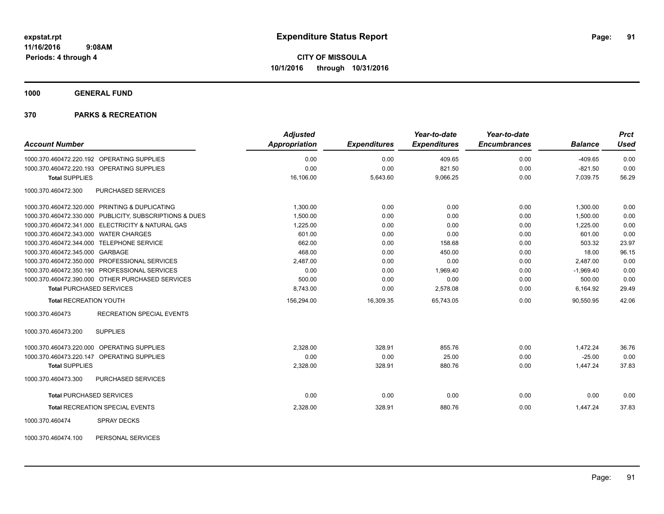**1000 GENERAL FUND**

## **370 PARKS & RECREATION**

|                                                         | <b>Adjusted</b>      |                     | Year-to-date        | Year-to-date        |                | <b>Prct</b> |
|---------------------------------------------------------|----------------------|---------------------|---------------------|---------------------|----------------|-------------|
| <b>Account Number</b>                                   | <b>Appropriation</b> | <b>Expenditures</b> | <b>Expenditures</b> | <b>Encumbrances</b> | <b>Balance</b> | <b>Used</b> |
| 1000.370.460472.220.192 OPERATING SUPPLIES              | 0.00                 | 0.00                | 409.65              | 0.00                | $-409.65$      | 0.00        |
| 1000.370.460472.220.193 OPERATING SUPPLIES              | 0.00                 | 0.00                | 821.50              | 0.00                | $-821.50$      | 0.00        |
| <b>Total SUPPLIES</b>                                   | 16,106.00            | 5,643.60            | 9,066.25            | 0.00                | 7,039.75       | 56.29       |
| <b>PURCHASED SERVICES</b><br>1000.370.460472.300        |                      |                     |                     |                     |                |             |
| 1000.370.460472.320.000 PRINTING & DUPLICATING          | 1,300.00             | 0.00                | 0.00                | 0.00                | 1,300.00       | 0.00        |
| 1000.370.460472.330.000 PUBLICITY, SUBSCRIPTIONS & DUES | 1,500.00             | 0.00                | 0.00                | 0.00                | 1,500.00       | 0.00        |
| 1000.370.460472.341.000 ELECTRICITY & NATURAL GAS       | 1,225.00             | 0.00                | 0.00                | 0.00                | 1.225.00       | 0.00        |
| 1000.370.460472.343.000 WATER CHARGES                   | 601.00               | 0.00                | 0.00                | 0.00                | 601.00         | 0.00        |
| 1000.370.460472.344.000 TELEPHONE SERVICE               | 662.00               | 0.00                | 158.68              | 0.00                | 503.32         | 23.97       |
| 1000.370.460472.345.000 GARBAGE                         | 468.00               | 0.00                | 450.00              | 0.00                | 18.00          | 96.15       |
| 1000.370.460472.350.000 PROFESSIONAL SERVICES           | 2,487.00             | 0.00                | 0.00                | 0.00                | 2,487.00       | 0.00        |
| 1000.370.460472.350.190 PROFESSIONAL SERVICES           | 0.00                 | 0.00                | 1,969.40            | 0.00                | $-1,969.40$    | 0.00        |
| 1000.370.460472.390.000 OTHER PURCHASED SERVICES        | 500.00               | 0.00                | 0.00                | 0.00                | 500.00         | 0.00        |
| <b>Total PURCHASED SERVICES</b>                         | 8.743.00             | 0.00                | 2,578.08            | 0.00                | 6,164.92       | 29.49       |
| <b>Total RECREATION YOUTH</b>                           | 156,294.00           | 16,309.35           | 65,743.05           | 0.00                | 90.550.95      | 42.06       |
| 1000.370.460473<br>RECREATION SPECIAL EVENTS            |                      |                     |                     |                     |                |             |
| <b>SUPPLIES</b><br>1000.370.460473.200                  |                      |                     |                     |                     |                |             |
| 1000.370.460473.220.000 OPERATING SUPPLIES              | 2,328.00             | 328.91              | 855.76              | 0.00                | 1.472.24       | 36.76       |
| 1000.370.460473.220.147 OPERATING SUPPLIES              | 0.00                 | 0.00                | 25.00               | 0.00                | $-25.00$       | 0.00        |
| <b>Total SUPPLIES</b>                                   | 2,328.00             | 328.91              | 880.76              | 0.00                | 1,447.24       | 37.83       |
| 1000.370.460473.300<br><b>PURCHASED SERVICES</b>        |                      |                     |                     |                     |                |             |
| <b>Total PURCHASED SERVICES</b>                         | 0.00                 | 0.00                | 0.00                | 0.00                | 0.00           | 0.00        |
| Total RECREATION SPECIAL EVENTS                         | 2,328.00             | 328.91              | 880.76              | 0.00                | 1,447.24       | 37.83       |
| <b>SPRAY DECKS</b><br>1000.370.460474                   |                      |                     |                     |                     |                |             |

1000.370.460474.100 PERSONAL SERVICES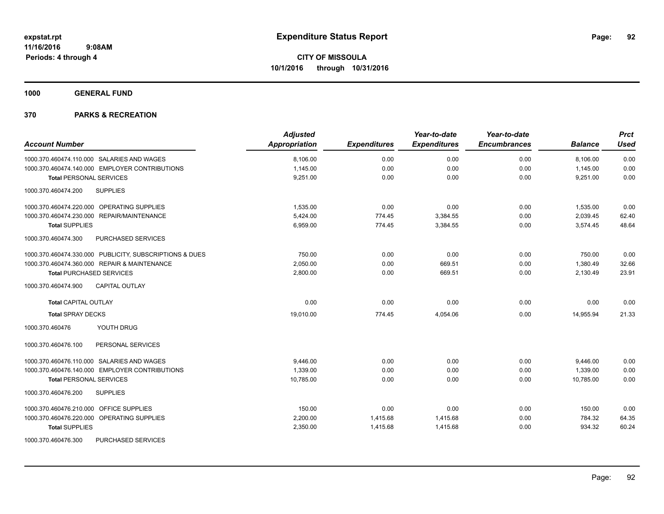**1000 GENERAL FUND**

| <b>Account Number</b>                                   | <b>Adjusted</b><br>Appropriation | <b>Expenditures</b> | Year-to-date<br><b>Expenditures</b> | Year-to-date<br><b>Encumbrances</b> | <b>Balance</b> | <b>Prct</b><br><b>Used</b> |
|---------------------------------------------------------|----------------------------------|---------------------|-------------------------------------|-------------------------------------|----------------|----------------------------|
| 1000.370.460474.110.000 SALARIES AND WAGES              | 8,106.00                         | 0.00                | 0.00                                | 0.00                                | 8,106.00       | 0.00                       |
| 1000.370.460474.140.000 EMPLOYER CONTRIBUTIONS          | 1,145.00                         | 0.00                | 0.00                                | 0.00                                | 1,145.00       | 0.00                       |
| <b>Total PERSONAL SERVICES</b>                          | 9,251.00                         | 0.00                | 0.00                                | 0.00                                | 9,251.00       | 0.00                       |
| 1000.370.460474.200<br><b>SUPPLIES</b>                  |                                  |                     |                                     |                                     |                |                            |
| 1000.370.460474.220.000 OPERATING SUPPLIES              | 1,535.00                         | 0.00                | 0.00                                | 0.00                                | 1,535.00       | 0.00                       |
| 1000.370.460474.230.000 REPAIR/MAINTENANCE              | 5,424.00                         | 774.45              | 3,384.55                            | 0.00                                | 2,039.45       | 62.40                      |
| <b>Total SUPPLIES</b>                                   | 6,959.00                         | 774.45              | 3,384.55                            | 0.00                                | 3,574.45       | 48.64                      |
| 1000.370.460474.300<br>PURCHASED SERVICES               |                                  |                     |                                     |                                     |                |                            |
| 1000.370.460474.330.000 PUBLICITY, SUBSCRIPTIONS & DUES | 750.00                           | 0.00                | 0.00                                | 0.00                                | 750.00         | 0.00                       |
| 1000.370.460474.360.000 REPAIR & MAINTENANCE            | 2,050.00                         | 0.00                | 669.51                              | 0.00                                | 1,380.49       | 32.66                      |
| <b>Total PURCHASED SERVICES</b>                         | 2,800.00                         | 0.00                | 669.51                              | 0.00                                | 2,130.49       | 23.91                      |
| 1000.370.460474.900<br><b>CAPITAL OUTLAY</b>            |                                  |                     |                                     |                                     |                |                            |
| <b>Total CAPITAL OUTLAY</b>                             | 0.00                             | 0.00                | 0.00                                | 0.00                                | 0.00           | 0.00                       |
| <b>Total SPRAY DECKS</b>                                | 19,010.00                        | 774.45              | 4,054.06                            | 0.00                                | 14,955.94      | 21.33                      |
| YOUTH DRUG<br>1000.370.460476                           |                                  |                     |                                     |                                     |                |                            |
| 1000.370.460476.100<br>PERSONAL SERVICES                |                                  |                     |                                     |                                     |                |                            |
| 1000.370.460476.110.000 SALARIES AND WAGES              | 9,446.00                         | 0.00                | 0.00                                | 0.00                                | 9,446.00       | 0.00                       |
| 1000.370.460476.140.000 EMPLOYER CONTRIBUTIONS          | 1,339.00                         | 0.00                | 0.00                                | 0.00                                | 1,339.00       | 0.00                       |
| <b>Total PERSONAL SERVICES</b>                          | 10,785.00                        | 0.00                | 0.00                                | 0.00                                | 10,785.00      | 0.00                       |
| <b>SUPPLIES</b><br>1000.370.460476.200                  |                                  |                     |                                     |                                     |                |                            |
| 1000.370.460476.210.000 OFFICE SUPPLIES                 | 150.00                           | 0.00                | 0.00                                | 0.00                                | 150.00         | 0.00                       |
| 1000.370.460476.220.000 OPERATING SUPPLIES              | 2,200.00                         | 1,415.68            | 1,415.68                            | 0.00                                | 784.32         | 64.35                      |
| <b>Total SUPPLIES</b>                                   | 2,350.00                         | 1,415.68            | 1,415.68                            | 0.00                                | 934.32         | 60.24                      |
| <b>PURCHASED SERVICES</b><br>1000.370.460476.300        |                                  |                     |                                     |                                     |                |                            |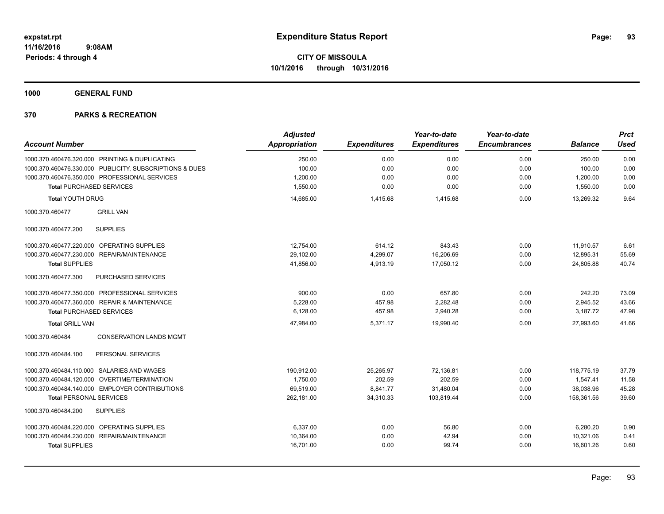**1000 GENERAL FUND**

|                                                         | <b>Adjusted</b>      |                     | Year-to-date        | Year-to-date        |                | <b>Prct</b> |
|---------------------------------------------------------|----------------------|---------------------|---------------------|---------------------|----------------|-------------|
| <b>Account Number</b>                                   | <b>Appropriation</b> | <b>Expenditures</b> | <b>Expenditures</b> | <b>Encumbrances</b> | <b>Balance</b> | <b>Used</b> |
| 1000.370.460476.320.000 PRINTING & DUPLICATING          | 250.00               | 0.00                | 0.00                | 0.00                | 250.00         | 0.00        |
| 1000.370.460476.330.000 PUBLICITY, SUBSCRIPTIONS & DUES | 100.00               | 0.00                | 0.00                | 0.00                | 100.00         | 0.00        |
| 1000.370.460476.350.000 PROFESSIONAL SERVICES           | 1,200.00             | 0.00                | 0.00                | 0.00                | 1,200.00       | 0.00        |
| <b>Total PURCHASED SERVICES</b>                         | 1,550.00             | 0.00                | 0.00                | 0.00                | 1,550.00       | 0.00        |
| <b>Total YOUTH DRUG</b>                                 | 14,685.00            | 1,415.68            | 1,415.68            | 0.00                | 13,269.32      | 9.64        |
| 1000.370.460477<br><b>GRILL VAN</b>                     |                      |                     |                     |                     |                |             |
| 1000.370.460477.200<br><b>SUPPLIES</b>                  |                      |                     |                     |                     |                |             |
| 1000.370.460477.220.000 OPERATING SUPPLIES              | 12,754.00            | 614.12              | 843.43              | 0.00                | 11,910.57      | 6.61        |
| 1000.370.460477.230.000 REPAIR/MAINTENANCE              | 29,102.00            | 4,299.07            | 16,206.69           | 0.00                | 12,895.31      | 55.69       |
| <b>Total SUPPLIES</b>                                   | 41,856.00            | 4,913.19            | 17,050.12           | 0.00                | 24,805.88      | 40.74       |
| 1000.370.460477.300<br>PURCHASED SERVICES               |                      |                     |                     |                     |                |             |
| 1000.370.460477.350.000 PROFESSIONAL SERVICES           | 900.00               | 0.00                | 657.80              | 0.00                | 242.20         | 73.09       |
| 1000.370.460477.360.000 REPAIR & MAINTENANCE            | 5,228.00             | 457.98              | 2,282.48            | 0.00                | 2,945.52       | 43.66       |
| <b>Total PURCHASED SERVICES</b>                         | 6,128.00             | 457.98              | 2,940.28            | 0.00                | 3.187.72       | 47.98       |
| <b>Total GRILL VAN</b>                                  | 47.984.00            | 5,371.17            | 19.990.40           | 0.00                | 27.993.60      | 41.66       |
| 1000.370.460484<br><b>CONSERVATION LANDS MGMT</b>       |                      |                     |                     |                     |                |             |
| 1000.370.460484.100<br>PERSONAL SERVICES                |                      |                     |                     |                     |                |             |
| 1000.370.460484.110.000 SALARIES AND WAGES              | 190,912.00           | 25,265.97           | 72,136.81           | 0.00                | 118,775.19     | 37.79       |
| 1000.370.460484.120.000 OVERTIME/TERMINATION            | 1.750.00             | 202.59              | 202.59              | 0.00                | 1,547.41       | 11.58       |
| 1000.370.460484.140.000 EMPLOYER CONTRIBUTIONS          | 69,519.00            | 8,841.77            | 31,480.04           | 0.00                | 38,038.96      | 45.28       |
| <b>Total PERSONAL SERVICES</b>                          | 262.181.00           | 34.310.33           | 103.819.44          | 0.00                | 158.361.56     | 39.60       |
| 1000.370.460484.200<br><b>SUPPLIES</b>                  |                      |                     |                     |                     |                |             |
| 1000.370.460484.220.000 OPERATING SUPPLIES              | 6,337.00             | 0.00                | 56.80               | 0.00                | 6,280.20       | 0.90        |
| 1000.370.460484.230.000 REPAIR/MAINTENANCE              | 10,364.00            | 0.00                | 42.94               | 0.00                | 10,321.06      | 0.41        |
| <b>Total SUPPLIES</b>                                   | 16,701.00            | 0.00                | 99.74               | 0.00                | 16,601.26      | 0.60        |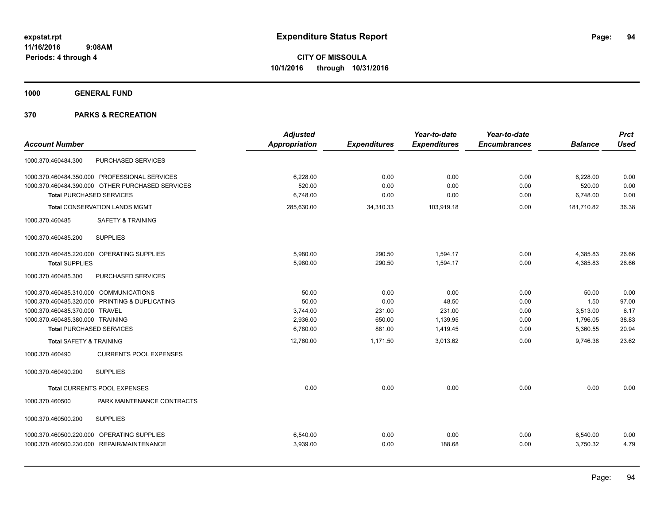**1000 GENERAL FUND**

|                                                  | <b>Adjusted</b> |                     | Year-to-date        | Year-to-date        |                | <b>Prct</b> |
|--------------------------------------------------|-----------------|---------------------|---------------------|---------------------|----------------|-------------|
| <b>Account Number</b>                            | Appropriation   | <b>Expenditures</b> | <b>Expenditures</b> | <b>Encumbrances</b> | <b>Balance</b> | <b>Used</b> |
| PURCHASED SERVICES<br>1000.370.460484.300        |                 |                     |                     |                     |                |             |
| 1000.370.460484.350.000 PROFESSIONAL SERVICES    | 6,228.00        | 0.00                | 0.00                | 0.00                | 6,228.00       | 0.00        |
| 1000.370.460484.390.000 OTHER PURCHASED SERVICES | 520.00          | 0.00                | 0.00                | 0.00                | 520.00         | 0.00        |
| <b>Total PURCHASED SERVICES</b>                  | 6,748.00        | 0.00                | 0.00                | 0.00                | 6,748.00       | 0.00        |
| <b>Total CONSERVATION LANDS MGMT</b>             | 285,630.00      | 34,310.33           | 103,919.18          | 0.00                | 181,710.82     | 36.38       |
| 1000.370.460485<br><b>SAFETY &amp; TRAINING</b>  |                 |                     |                     |                     |                |             |
| <b>SUPPLIES</b><br>1000.370.460485.200           |                 |                     |                     |                     |                |             |
| 1000.370.460485.220.000 OPERATING SUPPLIES       | 5.980.00        | 290.50              | 1.594.17            | 0.00                | 4,385.83       | 26.66       |
| <b>Total SUPPLIES</b>                            | 5,980.00        | 290.50              | 1,594.17            | 0.00                | 4,385.83       | 26.66       |
| PURCHASED SERVICES<br>1000.370.460485.300        |                 |                     |                     |                     |                |             |
| 1000.370.460485.310.000 COMMUNICATIONS           | 50.00           | 0.00                | 0.00                | 0.00                | 50.00          | 0.00        |
| 1000.370.460485.320.000 PRINTING & DUPLICATING   | 50.00           | 0.00                | 48.50               | 0.00                | 1.50           | 97.00       |
| 1000.370.460485.370.000 TRAVEL                   | 3,744.00        | 231.00              | 231.00              | 0.00                | 3,513.00       | 6.17        |
| 1000.370.460485.380.000 TRAINING                 | 2,936.00        | 650.00              | 1,139.95            | 0.00                | 1,796.05       | 38.83       |
| <b>Total PURCHASED SERVICES</b>                  | 6,780.00        | 881.00              | 1,419.45            | 0.00                | 5,360.55       | 20.94       |
| <b>Total SAFETY &amp; TRAINING</b>               | 12,760.00       | 1,171.50            | 3,013.62            | 0.00                | 9,746.38       | 23.62       |
| <b>CURRENTS POOL EXPENSES</b><br>1000.370.460490 |                 |                     |                     |                     |                |             |
| <b>SUPPLIES</b><br>1000.370.460490.200           |                 |                     |                     |                     |                |             |
| Total CURRENTS POOL EXPENSES                     | 0.00            | 0.00                | 0.00                | 0.00                | 0.00           | 0.00        |
| PARK MAINTENANCE CONTRACTS<br>1000.370.460500    |                 |                     |                     |                     |                |             |
| <b>SUPPLIES</b><br>1000.370.460500.200           |                 |                     |                     |                     |                |             |
| 1000.370.460500.220.000 OPERATING SUPPLIES       | 6,540.00        | 0.00                | 0.00                | 0.00                | 6,540.00       | 0.00        |
| 1000.370.460500.230.000 REPAIR/MAINTENANCE       | 3,939.00        | 0.00                | 188.68              | 0.00                | 3,750.32       | 4.79        |
|                                                  |                 |                     |                     |                     |                |             |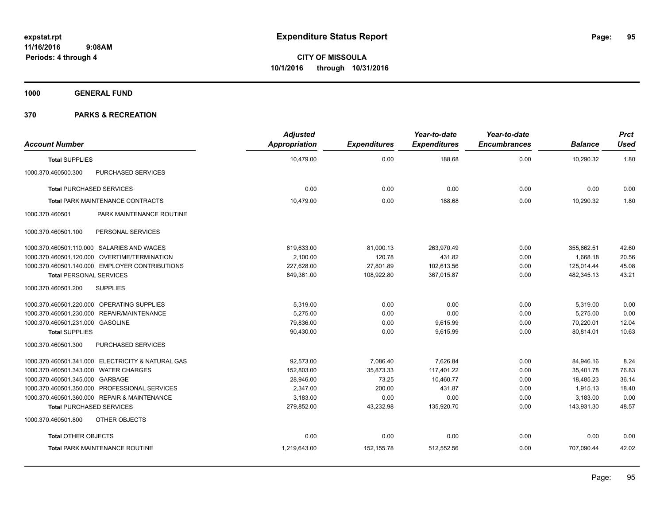**1000 GENERAL FUND**

| <b>Account Number</b>                             | <b>Adjusted</b><br><b>Appropriation</b> | <b>Expenditures</b> | Year-to-date<br><b>Expenditures</b> | Year-to-date<br><b>Encumbrances</b> | <b>Balance</b> | <b>Prct</b><br><b>Used</b> |
|---------------------------------------------------|-----------------------------------------|---------------------|-------------------------------------|-------------------------------------|----------------|----------------------------|
| <b>Total SUPPLIES</b>                             | 10,479.00                               | 0.00                | 188.68                              | 0.00                                | 10,290.32      | 1.80                       |
| 1000.370.460500.300<br>PURCHASED SERVICES         |                                         |                     |                                     |                                     |                |                            |
| <b>Total PURCHASED SERVICES</b>                   | 0.00                                    | 0.00                | 0.00                                | 0.00                                | 0.00           | 0.00                       |
| <b>Total PARK MAINTENANCE CONTRACTS</b>           | 10,479.00                               | 0.00                | 188.68                              | 0.00                                | 10,290.32      | 1.80                       |
| PARK MAINTENANCE ROUTINE<br>1000.370.460501       |                                         |                     |                                     |                                     |                |                            |
| PERSONAL SERVICES<br>1000.370.460501.100          |                                         |                     |                                     |                                     |                |                            |
| 1000.370.460501.110.000 SALARIES AND WAGES        | 619,633.00                              | 81,000.13           | 263,970.49                          | 0.00                                | 355,662.51     | 42.60                      |
| 1000.370.460501.120.000 OVERTIME/TERMINATION      | 2,100.00                                | 120.78              | 431.82                              | 0.00                                | 1,668.18       | 20.56                      |
| 1000.370.460501.140.000 EMPLOYER CONTRIBUTIONS    | 227,628.00                              | 27,801.89           | 102,613.56                          | 0.00                                | 125,014.44     | 45.08                      |
| <b>Total PERSONAL SERVICES</b>                    | 849,361.00                              | 108,922.80          | 367,015.87                          | 0.00                                | 482,345.13     | 43.21                      |
| <b>SUPPLIES</b><br>1000.370.460501.200            |                                         |                     |                                     |                                     |                |                            |
| 1000.370.460501.220.000 OPERATING SUPPLIES        | 5,319.00                                | 0.00                | 0.00                                | 0.00                                | 5,319.00       | 0.00                       |
| 1000.370.460501.230.000 REPAIR/MAINTENANCE        | 5,275.00                                | 0.00                | 0.00                                | 0.00                                | 5,275.00       | 0.00                       |
| 1000.370.460501.231.000 GASOLINE                  | 79,836.00                               | 0.00                | 9,615.99                            | 0.00                                | 70,220.01      | 12.04                      |
| <b>Total SUPPLIES</b>                             | 90,430.00                               | 0.00                | 9,615.99                            | 0.00                                | 80,814.01      | 10.63                      |
| 1000.370.460501.300<br>PURCHASED SERVICES         |                                         |                     |                                     |                                     |                |                            |
| 1000.370.460501.341.000 ELECTRICITY & NATURAL GAS | 92,573.00                               | 7,086.40            | 7,626.84                            | 0.00                                | 84,946.16      | 8.24                       |
| 1000.370.460501.343.000 WATER CHARGES             | 152,803.00                              | 35,873.33           | 117,401.22                          | 0.00                                | 35,401.78      | 76.83                      |
| 1000.370.460501.345.000 GARBAGE                   | 28,946.00                               | 73.25               | 10,460.77                           | 0.00                                | 18,485.23      | 36.14                      |
| 1000.370.460501.350.000 PROFESSIONAL SERVICES     | 2,347.00                                | 200.00              | 431.87                              | 0.00                                | 1,915.13       | 18.40                      |
| 1000.370.460501.360.000 REPAIR & MAINTENANCE      | 3,183.00                                | 0.00                | 0.00                                | 0.00                                | 3,183.00       | 0.00                       |
| <b>Total PURCHASED SERVICES</b>                   | 279,852.00                              | 43,232.98           | 135,920.70                          | 0.00                                | 143,931.30     | 48.57                      |
| OTHER OBJECTS<br>1000.370.460501.800              |                                         |                     |                                     |                                     |                |                            |
| <b>Total OTHER OBJECTS</b>                        | 0.00                                    | 0.00                | 0.00                                | 0.00                                | 0.00           | 0.00                       |
| <b>Total PARK MAINTENANCE ROUTINE</b>             | 1,219,643.00                            | 152,155.78          | 512,552.56                          | 0.00                                | 707,090.44     | 42.02                      |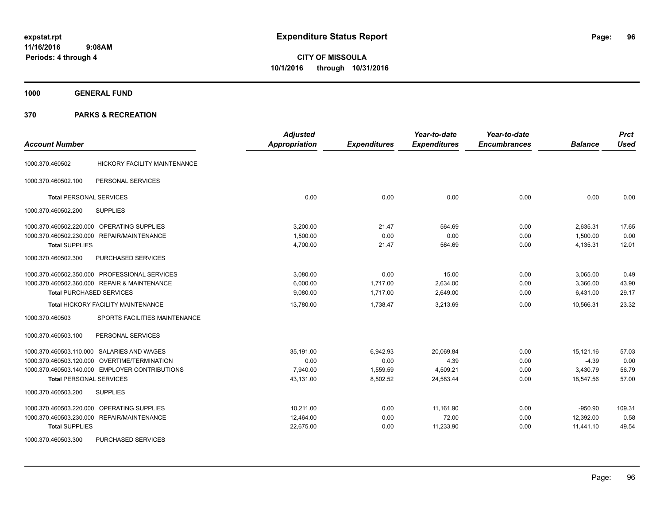**CITY OF MISSOULA 10/1/2016 through 10/31/2016**

**1000 GENERAL FUND**

| <b>Account Number</b>          |                                                | <b>Adjusted</b><br><b>Appropriation</b> | <b>Expenditures</b> | Year-to-date<br><b>Expenditures</b> | Year-to-date<br><b>Encumbrances</b> | <b>Balance</b> | <b>Prct</b><br><b>Used</b> |
|--------------------------------|------------------------------------------------|-----------------------------------------|---------------------|-------------------------------------|-------------------------------------|----------------|----------------------------|
| 1000.370.460502                | HICKORY FACILITY MAINTENANCE                   |                                         |                     |                                     |                                     |                |                            |
| 1000.370.460502.100            | PERSONAL SERVICES                              |                                         |                     |                                     |                                     |                |                            |
| <b>Total PERSONAL SERVICES</b> |                                                | 0.00                                    | 0.00                | 0.00                                | 0.00                                | 0.00           | 0.00                       |
| 1000.370.460502.200            | <b>SUPPLIES</b>                                |                                         |                     |                                     |                                     |                |                            |
|                                | 1000.370.460502.220.000 OPERATING SUPPLIES     | 3,200.00                                | 21.47               | 564.69                              | 0.00                                | 2,635.31       | 17.65                      |
|                                | 1000.370.460502.230.000 REPAIR/MAINTENANCE     | 1,500.00                                | 0.00                | 0.00                                | 0.00                                | 1,500.00       | 0.00                       |
| <b>Total SUPPLIES</b>          |                                                | 4,700.00                                | 21.47               | 564.69                              | 0.00                                | 4,135.31       | 12.01                      |
| 1000.370.460502.300            | PURCHASED SERVICES                             |                                         |                     |                                     |                                     |                |                            |
|                                | 1000.370.460502.350.000 PROFESSIONAL SERVICES  | 3,080.00                                | 0.00                | 15.00                               | 0.00                                | 3,065.00       | 0.49                       |
|                                | 1000.370.460502.360.000 REPAIR & MAINTENANCE   | 6,000.00                                | 1,717.00            | 2,634.00                            | 0.00                                | 3,366.00       | 43.90                      |
|                                | <b>Total PURCHASED SERVICES</b>                | 9,080.00                                | 1,717.00            | 2,649.00                            | 0.00                                | 6,431.00       | 29.17                      |
|                                | <b>Total HICKORY FACILITY MAINTENANCE</b>      | 13,780.00                               | 1,738.47            | 3,213.69                            | 0.00                                | 10.566.31      | 23.32                      |
| 1000.370.460503                | SPORTS FACILITIES MAINTENANCE                  |                                         |                     |                                     |                                     |                |                            |
| 1000.370.460503.100            | PERSONAL SERVICES                              |                                         |                     |                                     |                                     |                |                            |
|                                | 1000.370.460503.110.000 SALARIES AND WAGES     | 35,191.00                               | 6,942.93            | 20,069.84                           | 0.00                                | 15,121.16      | 57.03                      |
|                                | 1000.370.460503.120.000 OVERTIME/TERMINATION   | 0.00                                    | 0.00                | 4.39                                | 0.00                                | $-4.39$        | 0.00                       |
|                                | 1000.370.460503.140.000 EMPLOYER CONTRIBUTIONS | 7,940.00                                | 1,559.59            | 4,509.21                            | 0.00                                | 3,430.79       | 56.79                      |
| <b>Total PERSONAL SERVICES</b> |                                                | 43.131.00                               | 8,502.52            | 24.583.44                           | 0.00                                | 18.547.56      | 57.00                      |
| 1000.370.460503.200            | <b>SUPPLIES</b>                                |                                         |                     |                                     |                                     |                |                            |
| 1000.370.460503.220.000        | <b>OPERATING SUPPLIES</b>                      | 10.211.00                               | 0.00                | 11,161.90                           | 0.00                                | $-950.90$      | 109.31                     |
|                                | 1000.370.460503.230.000 REPAIR/MAINTENANCE     | 12,464.00                               | 0.00                | 72.00                               | 0.00                                | 12,392.00      | 0.58                       |
| <b>Total SUPPLIES</b>          |                                                | 22,675.00                               | 0.00                | 11,233.90                           | 0.00                                | 11,441.10      | 49.54                      |
| 1000.370.460503.300            | PURCHASED SERVICES                             |                                         |                     |                                     |                                     |                |                            |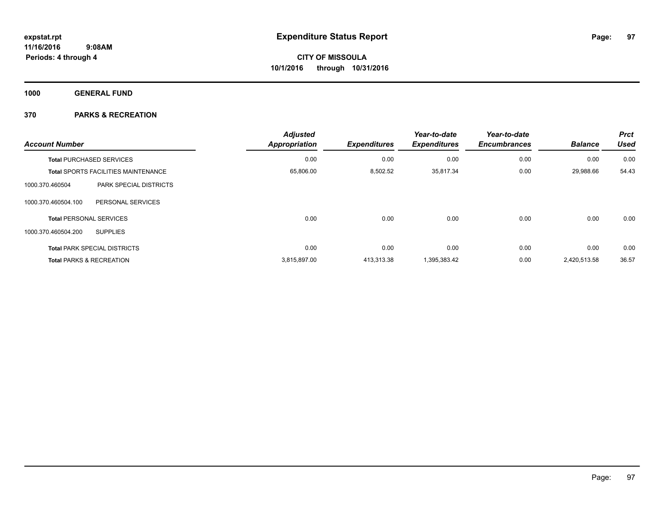**1000 GENERAL FUND**

| <b>Account Number</b>                            | <b>Adjusted</b><br><b>Appropriation</b> | <b>Expenditures</b> | Year-to-date<br><b>Expenditures</b> | Year-to-date<br><b>Encumbrances</b> | <b>Balance</b> | <b>Prct</b><br>Used |
|--------------------------------------------------|-----------------------------------------|---------------------|-------------------------------------|-------------------------------------|----------------|---------------------|
| <b>Total PURCHASED SERVICES</b>                  | 0.00                                    | 0.00                | 0.00                                | 0.00                                | 0.00           | 0.00                |
| <b>Total SPORTS FACILITIES MAINTENANCE</b>       | 65,806.00                               | 8,502.52            | 35,817.34                           | 0.00                                | 29,988.66      | 54.43               |
| 1000.370.460504<br><b>PARK SPECIAL DISTRICTS</b> |                                         |                     |                                     |                                     |                |                     |
| 1000.370.460504.100<br>PERSONAL SERVICES         |                                         |                     |                                     |                                     |                |                     |
| <b>Total PERSONAL SERVICES</b>                   | 0.00                                    | 0.00                | 0.00                                | 0.00                                | 0.00           | 0.00                |
| 1000.370.460504.200<br><b>SUPPLIES</b>           |                                         |                     |                                     |                                     |                |                     |
| <b>Total PARK SPECIAL DISTRICTS</b>              | 0.00                                    | 0.00                | 0.00                                | 0.00                                | 0.00           | 0.00                |
| <b>Total PARKS &amp; RECREATION</b>              | 3,815,897.00                            | 413,313.38          | 1,395,383.42                        | 0.00                                | 2,420,513.58   | 36.57               |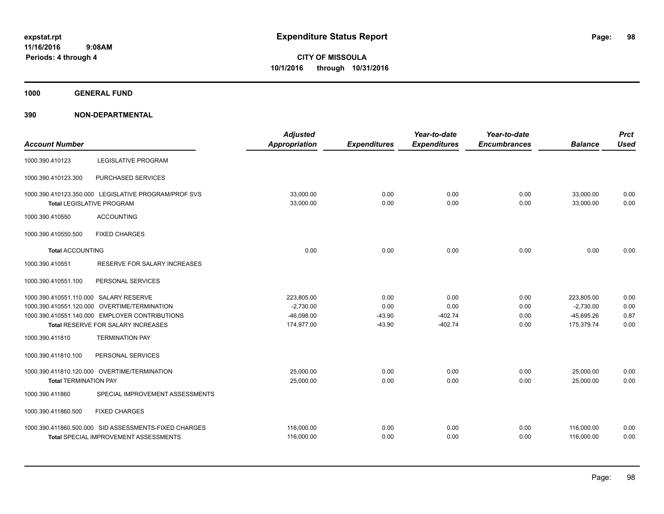**1000 GENERAL FUND**

| <b>Account Number</b>                  |                                                                                          | <b>Adjusted</b><br><b>Appropriation</b> | <b>Expenditures</b> | Year-to-date<br><b>Expenditures</b> | Year-to-date<br><b>Encumbrances</b> | <b>Balance</b>         | <b>Prct</b><br><b>Used</b> |
|----------------------------------------|------------------------------------------------------------------------------------------|-----------------------------------------|---------------------|-------------------------------------|-------------------------------------|------------------------|----------------------------|
| 1000.390.410123                        | <b>LEGISLATIVE PROGRAM</b>                                                               |                                         |                     |                                     |                                     |                        |                            |
| 1000.390.410123.300                    | PURCHASED SERVICES                                                                       |                                         |                     |                                     |                                     |                        |                            |
|                                        | 1000.390.410123.350.000 LEGISLATIVE PROGRAM/PROF SVS<br><b>Total LEGISLATIVE PROGRAM</b> | 33,000.00<br>33,000.00                  | 0.00<br>0.00        | 0.00<br>0.00                        | 0.00<br>0.00                        | 33,000.00<br>33,000.00 | 0.00<br>0.00               |
| 1000.390.410550                        | <b>ACCOUNTING</b>                                                                        |                                         |                     |                                     |                                     |                        |                            |
| 1000.390.410550.500                    | <b>FIXED CHARGES</b>                                                                     |                                         |                     |                                     |                                     |                        |                            |
| <b>Total ACCOUNTING</b>                |                                                                                          | 0.00                                    | 0.00                | 0.00                                | 0.00                                | 0.00                   | 0.00                       |
| 1000.390.410551                        | <b>RESERVE FOR SALARY INCREASES</b>                                                      |                                         |                     |                                     |                                     |                        |                            |
| 1000.390.410551.100                    | PERSONAL SERVICES                                                                        |                                         |                     |                                     |                                     |                        |                            |
| 1000.390.410551.110.000 SALARY RESERVE |                                                                                          | 223,805.00                              | 0.00                | 0.00                                | 0.00                                | 223,805.00             | 0.00                       |
|                                        | 1000.390.410551.120.000 OVERTIME/TERMINATION                                             | $-2,730.00$                             | 0.00                | 0.00                                | 0.00                                | $-2,730.00$            | 0.00                       |
|                                        | 1000.390.410551.140.000 EMPLOYER CONTRIBUTIONS                                           | $-46,098.00$                            | $-43.90$            | $-402.74$                           | 0.00                                | $-45,695.26$           | 0.87                       |
|                                        | Total RESERVE FOR SALARY INCREASES                                                       | 174,977.00                              | $-43.90$            | $-402.74$                           | 0.00                                | 175,379.74             | 0.00                       |
| 1000.390.411810                        | <b>TERMINATION PAY</b>                                                                   |                                         |                     |                                     |                                     |                        |                            |
| 1000.390.411810.100                    | PERSONAL SERVICES                                                                        |                                         |                     |                                     |                                     |                        |                            |
|                                        | 1000.390.411810.120.000 OVERTIME/TERMINATION                                             | 25,000.00                               | 0.00                | 0.00                                | 0.00                                | 25,000.00              | 0.00                       |
| <b>Total TERMINATION PAY</b>           |                                                                                          | 25,000.00                               | 0.00                | 0.00                                | 0.00                                | 25.000.00              | 0.00                       |
| 1000.390.411860                        | SPECIAL IMPROVEMENT ASSESSMENTS                                                          |                                         |                     |                                     |                                     |                        |                            |
| 1000.390.411860.500                    | <b>FIXED CHARGES</b>                                                                     |                                         |                     |                                     |                                     |                        |                            |
|                                        | 1000.390.411860.500.000 SID ASSESSMENTS-FIXED CHARGES                                    | 116,000.00                              | 0.00                | 0.00                                | 0.00                                | 116.000.00             | 0.00                       |
|                                        | <b>Total SPECIAL IMPROVEMENT ASSESSMENTS</b>                                             | 116,000.00                              | 0.00                | 0.00                                | 0.00                                | 116,000.00             | 0.00                       |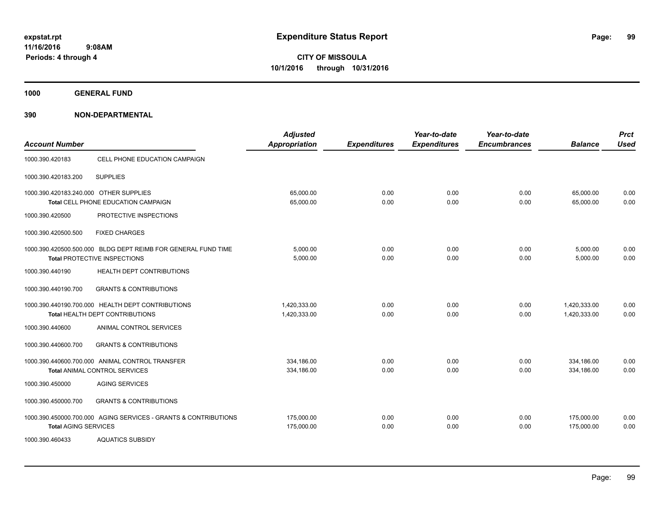**1000 GENERAL FUND**

| <b>Account Number</b>                  |                                                                                               | <b>Adjusted</b><br><b>Appropriation</b> | <b>Expenditures</b> | Year-to-date<br><b>Expenditures</b> | Year-to-date<br><b>Encumbrances</b> | <b>Balance</b>               | <b>Prct</b><br><b>Used</b> |
|----------------------------------------|-----------------------------------------------------------------------------------------------|-----------------------------------------|---------------------|-------------------------------------|-------------------------------------|------------------------------|----------------------------|
| 1000.390.420183                        | CELL PHONE EDUCATION CAMPAIGN                                                                 |                                         |                     |                                     |                                     |                              |                            |
| 1000.390.420183.200                    | <b>SUPPLIES</b>                                                                               |                                         |                     |                                     |                                     |                              |                            |
| 1000.390.420183.240.000 OTHER SUPPLIES | Total CELL PHONE EDUCATION CAMPAIGN                                                           | 65.000.00<br>65,000.00                  | 0.00<br>0.00        | 0.00<br>0.00                        | 0.00<br>0.00                        | 65,000.00<br>65,000.00       | 0.00<br>0.00               |
| 1000.390.420500                        | PROTECTIVE INSPECTIONS                                                                        |                                         |                     |                                     |                                     |                              |                            |
| 1000.390.420500.500                    | <b>FIXED CHARGES</b>                                                                          |                                         |                     |                                     |                                     |                              |                            |
|                                        | 1000.390.420500.500.000 BLDG DEPT REIMB FOR GENERAL FUND TIME<br>Total PROTECTIVE INSPECTIONS | 5,000.00<br>5,000.00                    | 0.00<br>0.00        | 0.00<br>0.00                        | 0.00<br>0.00                        | 5,000.00<br>5,000.00         | 0.00<br>0.00               |
| 1000.390.440190                        | HEALTH DEPT CONTRIBUTIONS                                                                     |                                         |                     |                                     |                                     |                              |                            |
| 1000.390.440190.700                    | <b>GRANTS &amp; CONTRIBUTIONS</b>                                                             |                                         |                     |                                     |                                     |                              |                            |
|                                        | 1000.390.440190.700.000 HEALTH DEPT CONTRIBUTIONS<br>Total HEALTH DEPT CONTRIBUTIONS          | 1.420.333.00<br>1,420,333.00            | 0.00<br>0.00        | 0.00<br>0.00                        | 0.00<br>0.00                        | 1.420.333.00<br>1,420,333.00 | 0.00<br>0.00               |
| 1000.390.440600                        | ANIMAL CONTROL SERVICES                                                                       |                                         |                     |                                     |                                     |                              |                            |
| 1000.390.440600.700                    | <b>GRANTS &amp; CONTRIBUTIONS</b>                                                             |                                         |                     |                                     |                                     |                              |                            |
|                                        | 1000.390.440600.700.000 ANIMAL CONTROL TRANSFER<br><b>Total ANIMAL CONTROL SERVICES</b>       | 334.186.00<br>334,186.00                | 0.00<br>0.00        | 0.00<br>0.00                        | 0.00<br>0.00                        | 334,186.00<br>334,186.00     | 0.00<br>0.00               |
| 1000.390.450000                        | <b>AGING SERVICES</b>                                                                         |                                         |                     |                                     |                                     |                              |                            |
| 1000.390.450000.700                    | <b>GRANTS &amp; CONTRIBUTIONS</b>                                                             |                                         |                     |                                     |                                     |                              |                            |
| <b>Total AGING SERVICES</b>            | 1000.390.450000.700.000 AGING SERVICES - GRANTS & CONTRIBUTIONS                               | 175,000.00<br>175,000.00                | 0.00<br>0.00        | 0.00<br>0.00                        | 0.00<br>0.00                        | 175,000.00<br>175,000.00     | 0.00<br>0.00               |
| 1000.390.460433                        | <b>AQUATICS SUBSIDY</b>                                                                       |                                         |                     |                                     |                                     |                              |                            |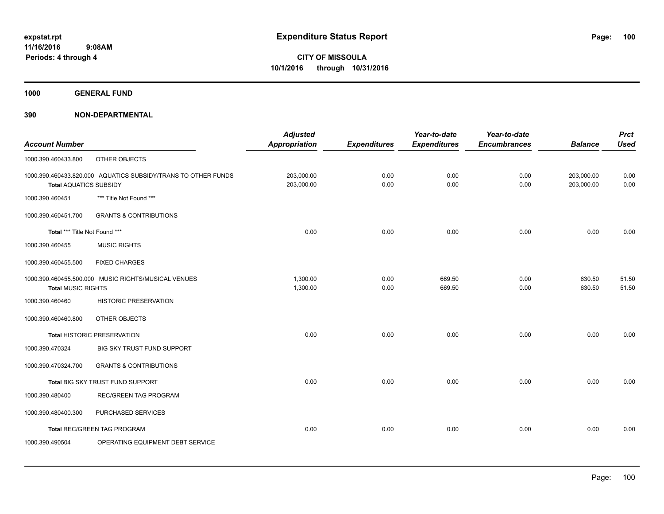**1000 GENERAL FUND**

| <b>Account Number</b>         |                                                               | <b>Adjusted</b><br><b>Appropriation</b> | <b>Expenditures</b> | Year-to-date<br><b>Expenditures</b> | Year-to-date<br><b>Encumbrances</b> | <b>Balance</b> | <b>Prct</b><br><b>Used</b> |
|-------------------------------|---------------------------------------------------------------|-----------------------------------------|---------------------|-------------------------------------|-------------------------------------|----------------|----------------------------|
|                               |                                                               |                                         |                     |                                     |                                     |                |                            |
| 1000.390.460433.800           | OTHER OBJECTS                                                 |                                         |                     |                                     |                                     |                |                            |
|                               | 1000.390.460433.820.000 AQUATICS SUBSIDY/TRANS TO OTHER FUNDS | 203,000.00                              | 0.00                | 0.00                                | 0.00                                | 203,000.00     | 0.00                       |
| <b>Total AQUATICS SUBSIDY</b> |                                                               | 203,000.00                              | 0.00                | 0.00                                | 0.00                                | 203,000.00     | 0.00                       |
| 1000.390.460451               | *** Title Not Found ***                                       |                                         |                     |                                     |                                     |                |                            |
| 1000.390.460451.700           | <b>GRANTS &amp; CONTRIBUTIONS</b>                             |                                         |                     |                                     |                                     |                |                            |
| Total *** Title Not Found *** |                                                               | 0.00                                    | 0.00                | 0.00                                | 0.00                                | 0.00           | 0.00                       |
| 1000.390.460455               | <b>MUSIC RIGHTS</b>                                           |                                         |                     |                                     |                                     |                |                            |
| 1000.390.460455.500           | <b>FIXED CHARGES</b>                                          |                                         |                     |                                     |                                     |                |                            |
|                               | 1000.390.460455.500.000 MUSIC RIGHTS/MUSICAL VENUES           | 1,300.00                                | 0.00                | 669.50                              | 0.00                                | 630.50         | 51.50                      |
| <b>Total MUSIC RIGHTS</b>     |                                                               | 1,300.00                                | 0.00                | 669.50                              | 0.00                                | 630.50         | 51.50                      |
| 1000.390.460460               | <b>HISTORIC PRESERVATION</b>                                  |                                         |                     |                                     |                                     |                |                            |
| 1000.390.460460.800           | OTHER OBJECTS                                                 |                                         |                     |                                     |                                     |                |                            |
|                               | <b>Total HISTORIC PRESERVATION</b>                            | 0.00                                    | 0.00                | 0.00                                | 0.00                                | 0.00           | 0.00                       |
| 1000.390.470324               | BIG SKY TRUST FUND SUPPORT                                    |                                         |                     |                                     |                                     |                |                            |
| 1000.390.470324.700           | <b>GRANTS &amp; CONTRIBUTIONS</b>                             |                                         |                     |                                     |                                     |                |                            |
|                               | Total BIG SKY TRUST FUND SUPPORT                              | 0.00                                    | 0.00                | 0.00                                | 0.00                                | 0.00           | 0.00                       |
| 1000.390.480400               | <b>REC/GREEN TAG PROGRAM</b>                                  |                                         |                     |                                     |                                     |                |                            |
| 1000.390.480400.300           | PURCHASED SERVICES                                            |                                         |                     |                                     |                                     |                |                            |
|                               | Total REC/GREEN TAG PROGRAM                                   | 0.00                                    | 0.00                | 0.00                                | 0.00                                | 0.00           | 0.00                       |
| 1000.390.490504               | OPERATING EQUIPMENT DEBT SERVICE                              |                                         |                     |                                     |                                     |                |                            |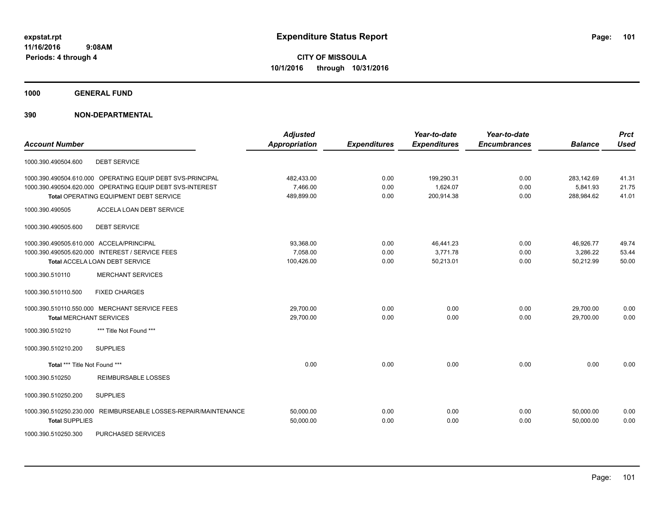**1000 GENERAL FUND**

## **390 NON-DEPARTMENTAL**

| <b>Account Number</b>                                              | <b>Adjusted</b><br><b>Appropriation</b> | <b>Expenditures</b> | Year-to-date<br><b>Expenditures</b> | Year-to-date<br><b>Encumbrances</b> | <b>Balance</b> | <b>Prct</b><br><b>Used</b> |
|--------------------------------------------------------------------|-----------------------------------------|---------------------|-------------------------------------|-------------------------------------|----------------|----------------------------|
| <b>DEBT SERVICE</b><br>1000.390.490504.600                         |                                         |                     |                                     |                                     |                |                            |
|                                                                    |                                         |                     |                                     |                                     |                |                            |
| 1000.390.490504.610.000 OPERATING EQUIP DEBT SVS-PRINCIPAL         | 482,433.00                              | 0.00                | 199,290.31                          | 0.00                                | 283,142.69     | 41.31                      |
| 1000.390.490504.620.000 OPERATING EQUIP DEBT SVS-INTEREST          | 7,466.00                                | 0.00                | 1,624.07                            | 0.00                                | 5,841.93       | 21.75                      |
| Total OPERATING EQUIPMENT DEBT SERVICE                             | 489,899.00                              | 0.00                | 200,914.38                          | 0.00                                | 288,984.62     | 41.01                      |
| 1000.390.490505<br>ACCELA LOAN DEBT SERVICE                        |                                         |                     |                                     |                                     |                |                            |
| 1000.390.490505.600<br><b>DEBT SERVICE</b>                         |                                         |                     |                                     |                                     |                |                            |
| 1000.390.490505.610.000 ACCELA/PRINCIPAL                           | 93,368.00                               | 0.00                | 46,441.23                           | 0.00                                | 46,926.77      | 49.74                      |
| 1000.390.490505.620.000 INTEREST / SERVICE FEES                    | 7,058.00                                | 0.00                | 3.771.78                            | 0.00                                | 3,286.22       | 53.44                      |
| Total ACCELA LOAN DEBT SERVICE                                     | 100,426.00                              | 0.00                | 50,213.01                           | 0.00                                | 50,212.99      | 50.00                      |
| <b>MERCHANT SERVICES</b><br>1000.390.510110                        |                                         |                     |                                     |                                     |                |                            |
| <b>FIXED CHARGES</b><br>1000.390.510110.500                        |                                         |                     |                                     |                                     |                |                            |
| 1000.390.510110.550.000 MERCHANT SERVICE FEES                      | 29,700.00                               | 0.00                | 0.00                                | 0.00                                | 29.700.00      | 0.00                       |
| <b>Total MERCHANT SERVICES</b>                                     | 29,700.00                               | 0.00                | 0.00                                | 0.00                                | 29,700.00      | 0.00                       |
| *** Title Not Found ***<br>1000.390.510210                         |                                         |                     |                                     |                                     |                |                            |
| 1000.390.510210.200<br><b>SUPPLIES</b>                             |                                         |                     |                                     |                                     |                |                            |
| Total *** Title Not Found ***                                      | 0.00                                    | 0.00                | 0.00                                | 0.00                                | 0.00           | 0.00                       |
| 1000.390.510250<br><b>REIMBURSABLE LOSSES</b>                      |                                         |                     |                                     |                                     |                |                            |
| 1000.390.510250.200<br><b>SUPPLIES</b>                             |                                         |                     |                                     |                                     |                |                            |
| 1000.390.510250.230.000<br>REIMBURSEABLE LOSSES-REPAIR/MAINTENANCE | 50,000.00                               | 0.00                | 0.00                                | 0.00                                | 50.000.00      | 0.00                       |
| <b>Total SUPPLIES</b>                                              | 50,000.00                               | 0.00                | 0.00                                | 0.00                                | 50,000.00      | 0.00                       |
|                                                                    |                                         |                     |                                     |                                     |                |                            |

1000.390.510250.300 PURCHASED SERVICES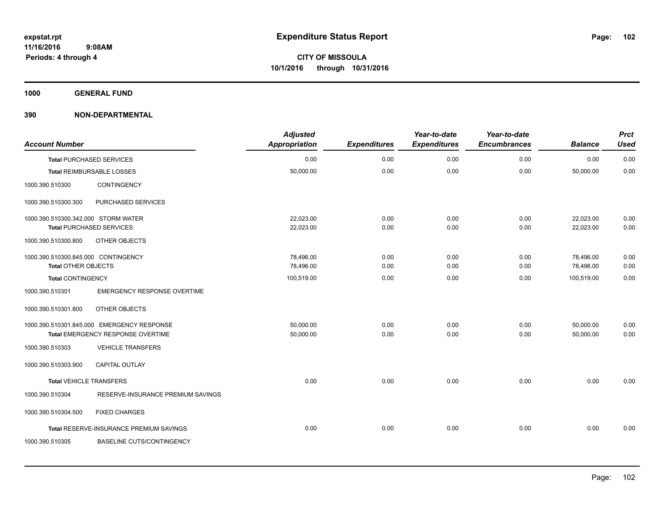**1000 GENERAL FUND**

| <b>Account Number</b>               |                                            | <b>Adjusted</b><br><b>Appropriation</b> | <b>Expenditures</b> | Year-to-date<br><b>Expenditures</b> | Year-to-date<br><b>Encumbrances</b> | <b>Balance</b> | <b>Prct</b><br><b>Used</b> |
|-------------------------------------|--------------------------------------------|-----------------------------------------|---------------------|-------------------------------------|-------------------------------------|----------------|----------------------------|
|                                     | <b>Total PURCHASED SERVICES</b>            | 0.00                                    | 0.00                | 0.00                                | 0.00                                | 0.00           | 0.00                       |
|                                     | <b>Total REIMBURSABLE LOSSES</b>           | 50,000.00                               | 0.00                | 0.00                                | 0.00                                | 50,000.00      | 0.00                       |
| 1000.390.510300                     | <b>CONTINGENCY</b>                         |                                         |                     |                                     |                                     |                |                            |
| 1000.390.510300.300                 | PURCHASED SERVICES                         |                                         |                     |                                     |                                     |                |                            |
| 1000.390.510300.342.000 STORM WATER |                                            | 22,023.00                               | 0.00                | 0.00                                | 0.00                                | 22,023.00      | 0.00                       |
|                                     | <b>Total PURCHASED SERVICES</b>            | 22,023.00                               | 0.00                | 0.00                                | 0.00                                | 22,023.00      | 0.00                       |
| 1000.390.510300.800                 | OTHER OBJECTS                              |                                         |                     |                                     |                                     |                |                            |
| 1000.390.510300.845.000 CONTINGENCY |                                            | 78.496.00                               | 0.00                | 0.00                                | 0.00                                | 78,496.00      | 0.00                       |
| <b>Total OTHER OBJECTS</b>          |                                            | 78,496.00                               | 0.00                | 0.00                                | 0.00                                | 78,496.00      | 0.00                       |
| Total CONTINGENCY                   |                                            | 100,519.00                              | 0.00                | 0.00                                | 0.00                                | 100,519.00     | 0.00                       |
| 1000.390.510301                     | <b>EMERGENCY RESPONSE OVERTIME</b>         |                                         |                     |                                     |                                     |                |                            |
| 1000.390.510301.800                 | OTHER OBJECTS                              |                                         |                     |                                     |                                     |                |                            |
|                                     | 1000.390.510301.845.000 EMERGENCY RESPONSE | 50,000.00                               | 0.00                | 0.00                                | 0.00                                | 50,000.00      | 0.00                       |
|                                     | Total EMERGENCY RESPONSE OVERTIME          | 50,000.00                               | 0.00                | 0.00                                | 0.00                                | 50,000.00      | 0.00                       |
| 1000.390.510303                     | <b>VEHICLE TRANSFERS</b>                   |                                         |                     |                                     |                                     |                |                            |
| 1000.390.510303.900                 | CAPITAL OUTLAY                             |                                         |                     |                                     |                                     |                |                            |
| <b>Total VEHICLE TRANSFERS</b>      |                                            | 0.00                                    | 0.00                | 0.00                                | 0.00                                | 0.00           | 0.00                       |
| 1000.390.510304                     | RESERVE-INSURANCE PREMIUM SAVINGS          |                                         |                     |                                     |                                     |                |                            |
| 1000.390.510304.500                 | <b>FIXED CHARGES</b>                       |                                         |                     |                                     |                                     |                |                            |
|                                     | Total RESERVE-INSURANCE PREMIUM SAVINGS    | 0.00                                    | 0.00                | 0.00                                | 0.00                                | 0.00           | 0.00                       |
| 1000.390.510305                     | <b>BASELINE CUTS/CONTINGENCY</b>           |                                         |                     |                                     |                                     |                |                            |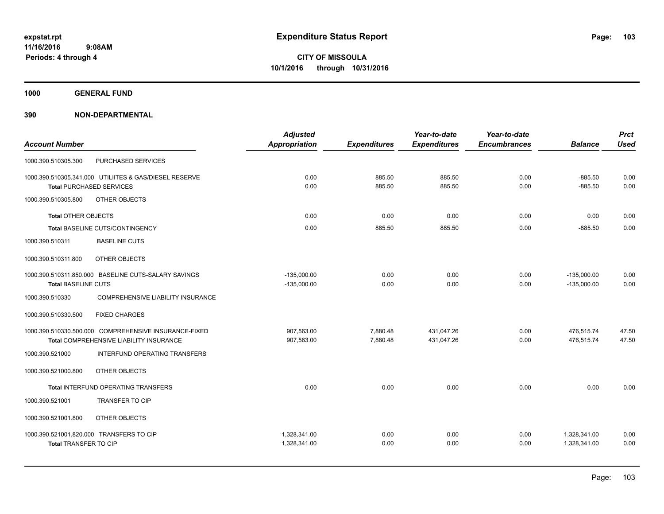**1000 GENERAL FUND**

|                                                        | <b>Adjusted</b>      |                     | Year-to-date        | Year-to-date        |                | <b>Prct</b><br><b>Used</b> |
|--------------------------------------------------------|----------------------|---------------------|---------------------|---------------------|----------------|----------------------------|
| <b>Account Number</b>                                  | <b>Appropriation</b> | <b>Expenditures</b> | <b>Expenditures</b> | <b>Encumbrances</b> | <b>Balance</b> |                            |
| PURCHASED SERVICES<br>1000.390.510305.300              |                      |                     |                     |                     |                |                            |
| 1000.390.510305.341.000 UTILIITES & GAS/DIESEL RESERVE | 0.00                 | 885.50              | 885.50              | 0.00                | $-885.50$      | 0.00                       |
| <b>Total PURCHASED SERVICES</b>                        | 0.00                 | 885.50              | 885.50              | 0.00                | $-885.50$      | 0.00                       |
| OTHER OBJECTS<br>1000.390.510305.800                   |                      |                     |                     |                     |                |                            |
| <b>Total OTHER OBJECTS</b>                             | 0.00                 | 0.00                | 0.00                | 0.00                | 0.00           | 0.00                       |
| Total BASELINE CUTS/CONTINGENCY                        | 0.00                 | 885.50              | 885.50              | 0.00                | $-885.50$      | 0.00                       |
| 1000.390.510311<br><b>BASELINE CUTS</b>                |                      |                     |                     |                     |                |                            |
| 1000.390.510311.800<br>OTHER OBJECTS                   |                      |                     |                     |                     |                |                            |
| 1000.390.510311.850.000 BASELINE CUTS-SALARY SAVINGS   | $-135,000.00$        | 0.00                | 0.00                | 0.00                | $-135,000.00$  | 0.00                       |
| <b>Total BASELINE CUTS</b>                             | $-135,000.00$        | 0.00                | 0.00                | 0.00                | $-135,000.00$  | 0.00                       |
| 1000.390.510330<br>COMPREHENSIVE LIABILITY INSURANCE   |                      |                     |                     |                     |                |                            |
| 1000.390.510330.500<br><b>FIXED CHARGES</b>            |                      |                     |                     |                     |                |                            |
| 1000.390.510330.500.000 COMPREHENSIVE INSURANCE-FIXED  | 907,563.00           | 7,880.48            | 431,047.26          | 0.00                | 476,515.74     | 47.50                      |
| Total COMPREHENSIVE LIABILITY INSURANCE                | 907,563.00           | 7,880.48            | 431,047.26          | 0.00                | 476,515.74     | 47.50                      |
| 1000.390.521000<br>INTERFUND OPERATING TRANSFERS       |                      |                     |                     |                     |                |                            |
| OTHER OBJECTS<br>1000.390.521000.800                   |                      |                     |                     |                     |                |                            |
| Total INTERFUND OPERATING TRANSFERS                    | 0.00                 | 0.00                | 0.00                | 0.00                | 0.00           | 0.00                       |
| <b>TRANSFER TO CIP</b><br>1000.390.521001              |                      |                     |                     |                     |                |                            |
| 1000.390.521001.800<br>OTHER OBJECTS                   |                      |                     |                     |                     |                |                            |
| 1000.390.521001.820.000 TRANSFERS TO CIP               | 1.328.341.00         | 0.00                | 0.00                | 0.00                | 1,328,341.00   | 0.00                       |
| Total TRANSFER TO CIP                                  | 1,328,341.00         | 0.00                | 0.00                | 0.00                | 1,328,341.00   | 0.00                       |
|                                                        |                      |                     |                     |                     |                |                            |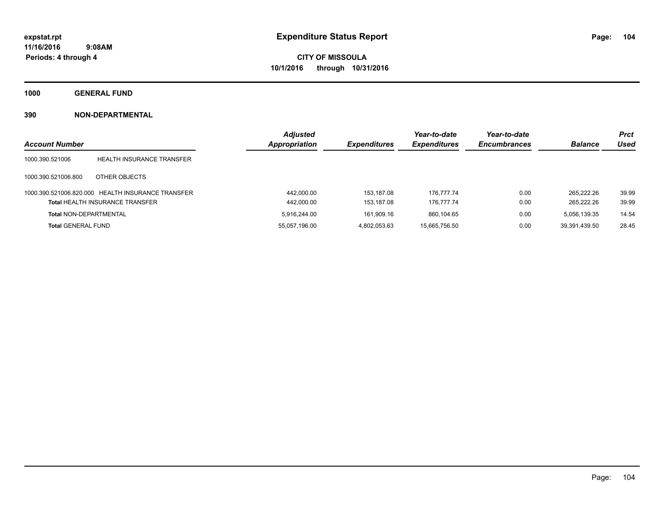**1000 GENERAL FUND**

|                               |                                                   | <b>Adjusted</b>      |                     | Year-to-date        | Year-to-date        |                | <b>Prct</b> |
|-------------------------------|---------------------------------------------------|----------------------|---------------------|---------------------|---------------------|----------------|-------------|
| <b>Account Number</b>         |                                                   | <b>Appropriation</b> | <b>Expenditures</b> | <b>Expenditures</b> | <b>Encumbrances</b> | <b>Balance</b> | Used        |
| 1000.390.521006               | <b>HEALTH INSURANCE TRANSFER</b>                  |                      |                     |                     |                     |                |             |
| 1000.390.521006.800           | OTHER OBJECTS                                     |                      |                     |                     |                     |                |             |
|                               | 1000.390.521006.820.000 HEALTH INSURANCE TRANSFER | 442,000.00           | 153,187.08          | 176.777.74          | 0.00                | 265.222.26     | 39.99       |
|                               | <b>Total HEALTH INSURANCE TRANSFER</b>            | 442,000.00           | 153.187.08          | 176.777.74          | 0.00                | 265.222.26     | 39.99       |
| <b>Total NON-DEPARTMENTAL</b> |                                                   | 5.916.244.00         | 161.909.16          | 860.104.65          | 0.00                | 5.056.139.35   | 14.54       |
| <b>Total GENERAL FUND</b>     |                                                   | 55,057,196.00        | 4,802,053.63        | 15,665,756.50       | 0.00                | 39,391,439.50  | 28.45       |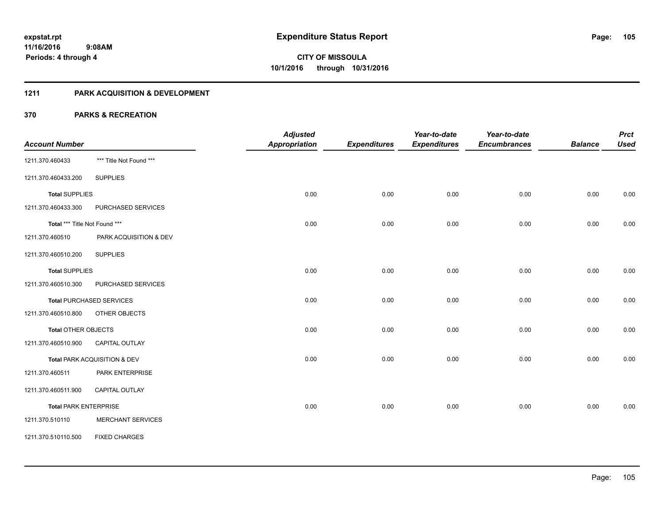## **1211 PARK ACQUISITION & DEVELOPMENT**

| <b>Account Number</b>         |                                 | <b>Adjusted</b><br><b>Appropriation</b> | <b>Expenditures</b> | Year-to-date<br><b>Expenditures</b> | Year-to-date<br><b>Encumbrances</b> | <b>Balance</b> | <b>Prct</b><br><b>Used</b> |
|-------------------------------|---------------------------------|-----------------------------------------|---------------------|-------------------------------------|-------------------------------------|----------------|----------------------------|
| 1211.370.460433               | *** Title Not Found ***         |                                         |                     |                                     |                                     |                |                            |
| 1211.370.460433.200           | <b>SUPPLIES</b>                 |                                         |                     |                                     |                                     |                |                            |
| <b>Total SUPPLIES</b>         |                                 | 0.00                                    | 0.00                | 0.00                                | 0.00                                | 0.00           | 0.00                       |
| 1211.370.460433.300           | PURCHASED SERVICES              |                                         |                     |                                     |                                     |                |                            |
| Total *** Title Not Found *** |                                 | 0.00                                    | 0.00                | 0.00                                | 0.00                                | 0.00           | 0.00                       |
| 1211.370.460510               | PARK ACQUISITION & DEV          |                                         |                     |                                     |                                     |                |                            |
| 1211.370.460510.200           | <b>SUPPLIES</b>                 |                                         |                     |                                     |                                     |                |                            |
| <b>Total SUPPLIES</b>         |                                 | 0.00                                    | 0.00                | 0.00                                | 0.00                                | 0.00           | 0.00                       |
| 1211.370.460510.300           | PURCHASED SERVICES              |                                         |                     |                                     |                                     |                |                            |
|                               | <b>Total PURCHASED SERVICES</b> | 0.00                                    | 0.00                | 0.00                                | 0.00                                | 0.00           | 0.00                       |
| 1211.370.460510.800           | OTHER OBJECTS                   |                                         |                     |                                     |                                     |                |                            |
| Total OTHER OBJECTS           |                                 | 0.00                                    | 0.00                | 0.00                                | 0.00                                | 0.00           | 0.00                       |
| 1211.370.460510.900           | <b>CAPITAL OUTLAY</b>           |                                         |                     |                                     |                                     |                |                            |
|                               | Total PARK ACQUISITION & DEV    | 0.00                                    | 0.00                | 0.00                                | 0.00                                | 0.00           | 0.00                       |
| 1211.370.460511               | PARK ENTERPRISE                 |                                         |                     |                                     |                                     |                |                            |
| 1211.370.460511.900           | CAPITAL OUTLAY                  |                                         |                     |                                     |                                     |                |                            |
| <b>Total PARK ENTERPRISE</b>  |                                 | 0.00                                    | 0.00                | 0.00                                | 0.00                                | 0.00           | 0.00                       |
| 1211.370.510110               | <b>MERCHANT SERVICES</b>        |                                         |                     |                                     |                                     |                |                            |
| 1211.370.510110.500           | <b>FIXED CHARGES</b>            |                                         |                     |                                     |                                     |                |                            |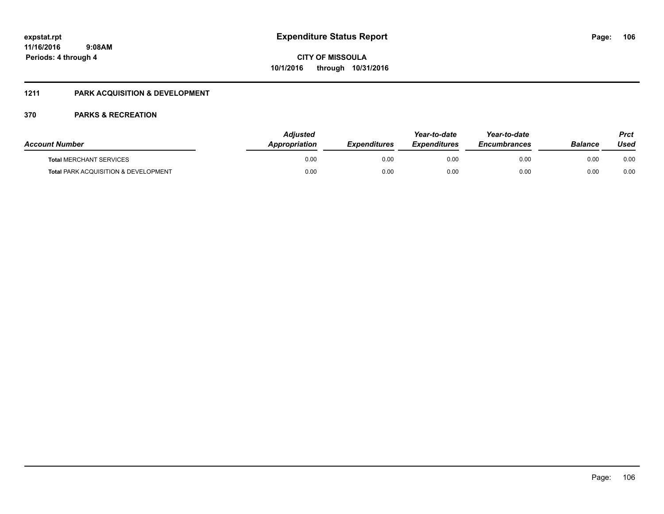## **1211 PARK ACQUISITION & DEVELOPMENT**

| <b>Account Number</b>                           | Adiusted<br>Appropriation | <b>Expenditures</b> | Year-to-date<br><b>Expenditures</b> | Year-to-date<br><b>Encumbrances</b> | <b>Balance</b> | Prct<br>Used |
|-------------------------------------------------|---------------------------|---------------------|-------------------------------------|-------------------------------------|----------------|--------------|
| <b>Total MERCHANT SERVICES</b>                  | 0.00                      | 0.00                | 0.00                                | 0.00                                | 0.00           | 0.00         |
| <b>Total PARK ACQUISITION &amp; DEVELOPMENT</b> | 0.00                      | 0.00                | 0.00                                | 0.00                                | 0.00           | 0.00         |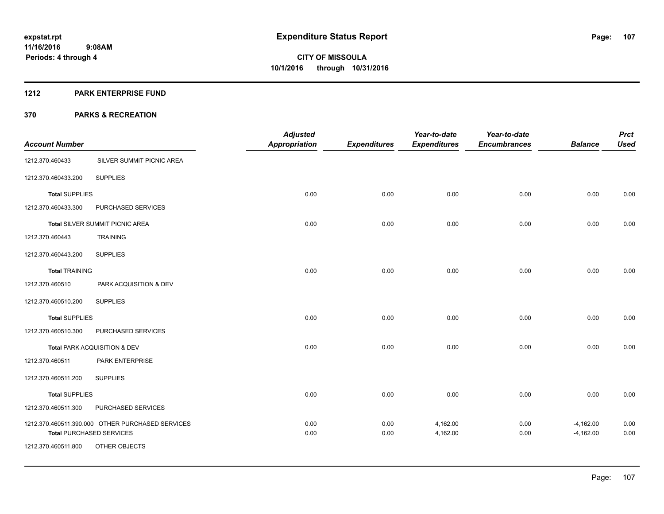#### **1212 PARK ENTERPRISE FUND**

|                       |                                                  | <b>Adjusted</b>      |                     | Year-to-date        | Year-to-date        |                | <b>Prct</b> |
|-----------------------|--------------------------------------------------|----------------------|---------------------|---------------------|---------------------|----------------|-------------|
| <b>Account Number</b> |                                                  | <b>Appropriation</b> | <b>Expenditures</b> | <b>Expenditures</b> | <b>Encumbrances</b> | <b>Balance</b> | <b>Used</b> |
| 1212.370.460433       | SILVER SUMMIT PICNIC AREA                        |                      |                     |                     |                     |                |             |
| 1212.370.460433.200   | <b>SUPPLIES</b>                                  |                      |                     |                     |                     |                |             |
| <b>Total SUPPLIES</b> |                                                  | 0.00                 | 0.00                | 0.00                | 0.00                | 0.00           | 0.00        |
| 1212.370.460433.300   | PURCHASED SERVICES                               |                      |                     |                     |                     |                |             |
|                       | Total SILVER SUMMIT PICNIC AREA                  | 0.00                 | 0.00                | 0.00                | 0.00                | 0.00           | 0.00        |
| 1212.370.460443       | <b>TRAINING</b>                                  |                      |                     |                     |                     |                |             |
| 1212.370.460443.200   | <b>SUPPLIES</b>                                  |                      |                     |                     |                     |                |             |
| <b>Total TRAINING</b> |                                                  | 0.00                 | 0.00                | 0.00                | 0.00                | 0.00           | 0.00        |
| 1212.370.460510       | PARK ACQUISITION & DEV                           |                      |                     |                     |                     |                |             |
| 1212.370.460510.200   | <b>SUPPLIES</b>                                  |                      |                     |                     |                     |                |             |
| <b>Total SUPPLIES</b> |                                                  | 0.00                 | 0.00                | 0.00                | 0.00                | 0.00           | 0.00        |
| 1212.370.460510.300   | PURCHASED SERVICES                               |                      |                     |                     |                     |                |             |
|                       | Total PARK ACQUISITION & DEV                     | 0.00                 | 0.00                | 0.00                | 0.00                | 0.00           | 0.00        |
| 1212.370.460511       | PARK ENTERPRISE                                  |                      |                     |                     |                     |                |             |
| 1212.370.460511.200   | <b>SUPPLIES</b>                                  |                      |                     |                     |                     |                |             |
| <b>Total SUPPLIES</b> |                                                  | 0.00                 | 0.00                | 0.00                | 0.00                | 0.00           | 0.00        |
| 1212.370.460511.300   | PURCHASED SERVICES                               |                      |                     |                     |                     |                |             |
|                       | 1212.370.460511.390.000 OTHER PURCHASED SERVICES | 0.00                 | 0.00                | 4,162.00            | 0.00                | $-4,162.00$    | 0.00        |
| 1212.370.460511.800   | <b>Total PURCHASED SERVICES</b><br>OTHER OBJECTS | 0.00                 | 0.00                | 4,162.00            | 0.00                | $-4,162.00$    | 0.00        |
|                       |                                                  |                      |                     |                     |                     |                |             |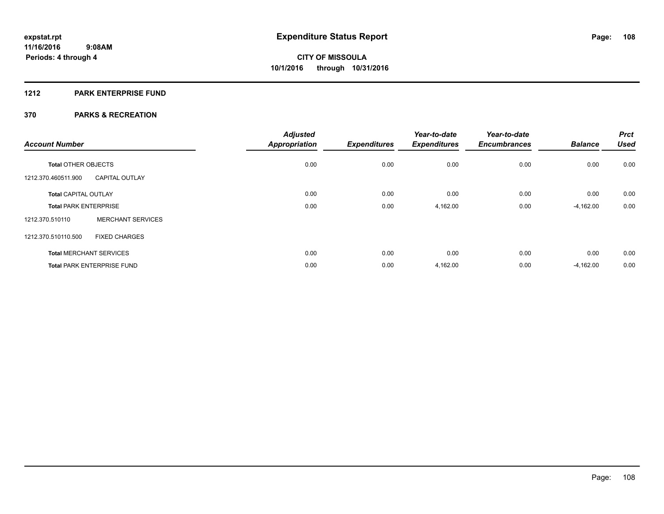## **1212 PARK ENTERPRISE FUND**

| <b>Account Number</b>        |                                   | <b>Adjusted</b><br><b>Appropriation</b> | <b>Expenditures</b> | Year-to-date<br><b>Expenditures</b> | Year-to-date<br><b>Encumbrances</b> | <b>Balance</b> | <b>Prct</b><br><b>Used</b> |
|------------------------------|-----------------------------------|-----------------------------------------|---------------------|-------------------------------------|-------------------------------------|----------------|----------------------------|
| <b>Total OTHER OBJECTS</b>   |                                   | 0.00                                    | 0.00                | 0.00                                | 0.00                                | 0.00           | 0.00                       |
| 1212.370.460511.900          | <b>CAPITAL OUTLAY</b>             |                                         |                     |                                     |                                     |                |                            |
| <b>Total CAPITAL OUTLAY</b>  |                                   | 0.00                                    | 0.00                | 0.00                                | 0.00                                | 0.00           | 0.00                       |
| <b>Total PARK ENTERPRISE</b> |                                   | 0.00                                    | 0.00                | 4,162.00                            | 0.00                                | $-4,162.00$    | 0.00                       |
| 1212.370.510110              | <b>MERCHANT SERVICES</b>          |                                         |                     |                                     |                                     |                |                            |
| 1212.370.510110.500          | <b>FIXED CHARGES</b>              |                                         |                     |                                     |                                     |                |                            |
|                              | <b>Total MERCHANT SERVICES</b>    | 0.00                                    | 0.00                | 0.00                                | 0.00                                | 0.00           | 0.00                       |
|                              | <b>Total PARK ENTERPRISE FUND</b> | 0.00                                    | 0.00                | 4,162.00                            | 0.00                                | $-4,162.00$    | 0.00                       |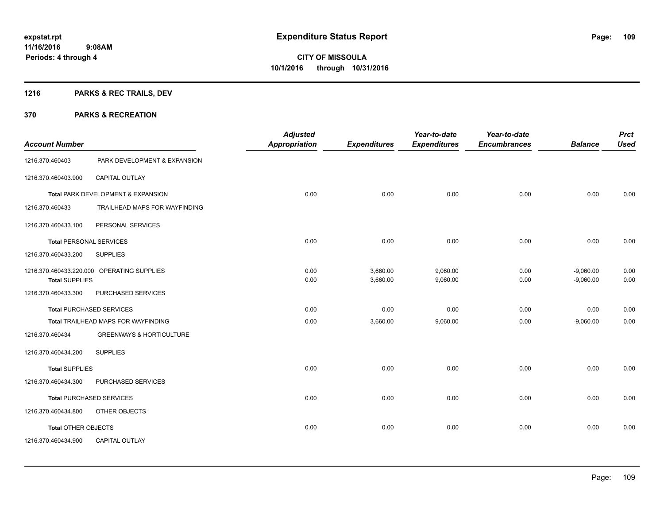## **1216 PARKS & REC TRAILS, DEV**

| <b>Account Number</b>      |                                            | <b>Adjusted</b><br><b>Appropriation</b> | <b>Expenditures</b>  | Year-to-date<br><b>Expenditures</b> | Year-to-date<br><b>Encumbrances</b> | <b>Balance</b>             | <b>Prct</b><br><b>Used</b> |
|----------------------------|--------------------------------------------|-----------------------------------------|----------------------|-------------------------------------|-------------------------------------|----------------------------|----------------------------|
| 1216.370.460403            | PARK DEVELOPMENT & EXPANSION               |                                         |                      |                                     |                                     |                            |                            |
| 1216.370.460403.900        | CAPITAL OUTLAY                             |                                         |                      |                                     |                                     |                            |                            |
|                            | Total PARK DEVELOPMENT & EXPANSION         | 0.00                                    | 0.00                 | 0.00                                | 0.00                                | 0.00                       | 0.00                       |
| 1216.370.460433            | TRAILHEAD MAPS FOR WAYFINDING              |                                         |                      |                                     |                                     |                            |                            |
| 1216.370.460433.100        | PERSONAL SERVICES                          |                                         |                      |                                     |                                     |                            |                            |
|                            | <b>Total PERSONAL SERVICES</b>             | 0.00                                    | 0.00                 | 0.00                                | 0.00                                | 0.00                       | 0.00                       |
| 1216.370.460433.200        | <b>SUPPLIES</b>                            |                                         |                      |                                     |                                     |                            |                            |
| <b>Total SUPPLIES</b>      | 1216.370.460433.220.000 OPERATING SUPPLIES | 0.00<br>0.00                            | 3,660.00<br>3,660.00 | 9,060.00<br>9,060.00                | 0.00<br>0.00                        | $-9,060.00$<br>$-9,060.00$ | 0.00<br>0.00               |
| 1216.370.460433.300        | PURCHASED SERVICES                         |                                         |                      |                                     |                                     |                            |                            |
|                            | <b>Total PURCHASED SERVICES</b>            | 0.00                                    | 0.00                 | 0.00                                | 0.00                                | 0.00                       | 0.00                       |
|                            | Total TRAILHEAD MAPS FOR WAYFINDING        | 0.00                                    | 3,660.00             | 9,060.00                            | 0.00                                | $-9,060.00$                | 0.00                       |
| 1216.370.460434            | <b>GREENWAYS &amp; HORTICULTURE</b>        |                                         |                      |                                     |                                     |                            |                            |
| 1216.370.460434.200        | <b>SUPPLIES</b>                            |                                         |                      |                                     |                                     |                            |                            |
| <b>Total SUPPLIES</b>      |                                            | 0.00                                    | 0.00                 | 0.00                                | 0.00                                | 0.00                       | 0.00                       |
| 1216.370.460434.300        | PURCHASED SERVICES                         |                                         |                      |                                     |                                     |                            |                            |
|                            | <b>Total PURCHASED SERVICES</b>            | 0.00                                    | 0.00                 | 0.00                                | 0.00                                | 0.00                       | 0.00                       |
| 1216.370.460434.800        | OTHER OBJECTS                              |                                         |                      |                                     |                                     |                            |                            |
| <b>Total OTHER OBJECTS</b> |                                            | 0.00                                    | 0.00                 | 0.00                                | 0.00                                | 0.00                       | 0.00                       |
| 1216.370.460434.900        | <b>CAPITAL OUTLAY</b>                      |                                         |                      |                                     |                                     |                            |                            |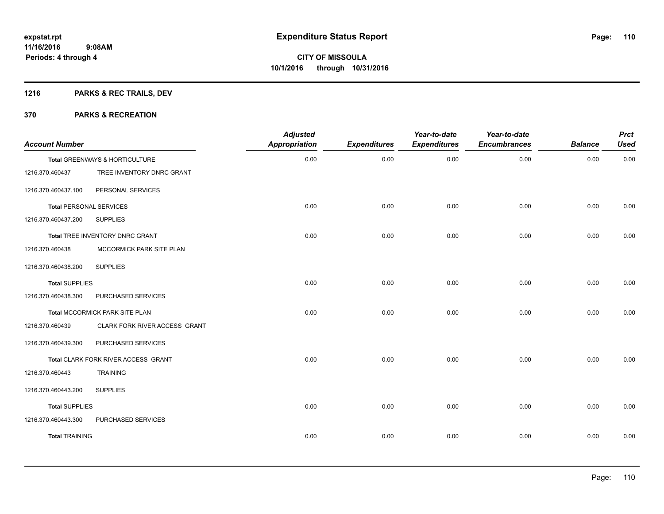## **1216 PARKS & REC TRAILS, DEV**

| <b>Account Number</b>          |                                            | <b>Adjusted</b><br>Appropriation | <b>Expenditures</b> | Year-to-date<br><b>Expenditures</b> | Year-to-date<br><b>Encumbrances</b> | <b>Balance</b> | <b>Prct</b><br><b>Used</b> |
|--------------------------------|--------------------------------------------|----------------------------------|---------------------|-------------------------------------|-------------------------------------|----------------|----------------------------|
|                                | Total GREENWAYS & HORTICULTURE             | 0.00                             | 0.00                | 0.00                                | 0.00                                | 0.00           | 0.00                       |
| 1216.370.460437                | TREE INVENTORY DNRC GRANT                  |                                  |                     |                                     |                                     |                |                            |
| 1216.370.460437.100            | PERSONAL SERVICES                          |                                  |                     |                                     |                                     |                |                            |
| <b>Total PERSONAL SERVICES</b> |                                            | 0.00                             | 0.00                | 0.00                                | 0.00                                | 0.00           | 0.00                       |
| 1216.370.460437.200            | <b>SUPPLIES</b>                            |                                  |                     |                                     |                                     |                |                            |
|                                | Total TREE INVENTORY DNRC GRANT            | 0.00                             | 0.00                | 0.00                                | 0.00                                | 0.00           | 0.00                       |
| 1216.370.460438                | MCCORMICK PARK SITE PLAN                   |                                  |                     |                                     |                                     |                |                            |
| 1216.370.460438.200            | <b>SUPPLIES</b>                            |                                  |                     |                                     |                                     |                |                            |
| <b>Total SUPPLIES</b>          |                                            | 0.00                             | 0.00                | 0.00                                | 0.00                                | 0.00           | 0.00                       |
| 1216.370.460438.300            | PURCHASED SERVICES                         |                                  |                     |                                     |                                     |                |                            |
|                                | Total MCCORMICK PARK SITE PLAN             | 0.00                             | 0.00                | 0.00                                | 0.00                                | 0.00           | 0.00                       |
| 1216.370.460439                | CLARK FORK RIVER ACCESS GRANT              |                                  |                     |                                     |                                     |                |                            |
| 1216.370.460439.300            | PURCHASED SERVICES                         |                                  |                     |                                     |                                     |                |                            |
|                                | <b>Total CLARK FORK RIVER ACCESS GRANT</b> | 0.00                             | 0.00                | 0.00                                | 0.00                                | 0.00           | 0.00                       |
| 1216.370.460443                | <b>TRAINING</b>                            |                                  |                     |                                     |                                     |                |                            |
| 1216.370.460443.200            | <b>SUPPLIES</b>                            |                                  |                     |                                     |                                     |                |                            |
| <b>Total SUPPLIES</b>          |                                            | 0.00                             | 0.00                | 0.00                                | 0.00                                | 0.00           | 0.00                       |
| 1216.370.460443.300            | PURCHASED SERVICES                         |                                  |                     |                                     |                                     |                |                            |
| <b>Total TRAINING</b>          |                                            | 0.00                             | 0.00                | 0.00                                | 0.00                                | 0.00           | 0.00                       |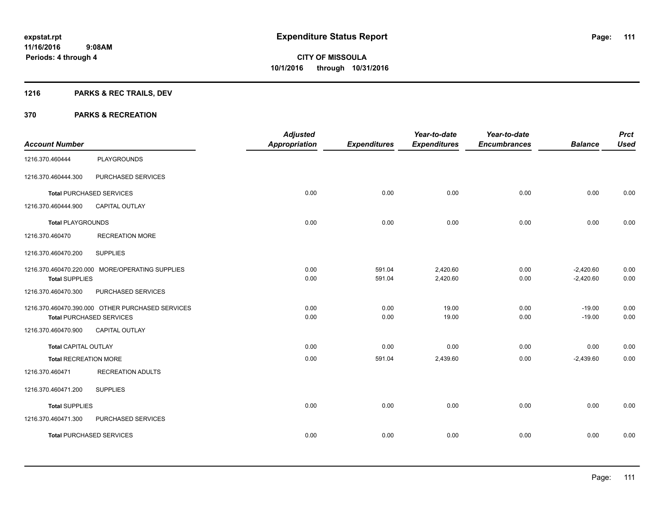## **1216 PARKS & REC TRAILS, DEV**

|                              |                                                  | <b>Adjusted</b>      |                     | Year-to-date        | Year-to-date        |                | <b>Prct</b> |
|------------------------------|--------------------------------------------------|----------------------|---------------------|---------------------|---------------------|----------------|-------------|
| <b>Account Number</b>        |                                                  | <b>Appropriation</b> | <b>Expenditures</b> | <b>Expenditures</b> | <b>Encumbrances</b> | <b>Balance</b> | <b>Used</b> |
| 1216.370.460444              | <b>PLAYGROUNDS</b>                               |                      |                     |                     |                     |                |             |
| 1216.370.460444.300          | PURCHASED SERVICES                               |                      |                     |                     |                     |                |             |
|                              | <b>Total PURCHASED SERVICES</b>                  | 0.00                 | 0.00                | 0.00                | 0.00                | 0.00           | 0.00        |
| 1216.370.460444.900          | <b>CAPITAL OUTLAY</b>                            |                      |                     |                     |                     |                |             |
| <b>Total PLAYGROUNDS</b>     |                                                  | 0.00                 | 0.00                | 0.00                | 0.00                | 0.00           | 0.00        |
| 1216.370.460470              | <b>RECREATION MORE</b>                           |                      |                     |                     |                     |                |             |
| 1216.370.460470.200          | <b>SUPPLIES</b>                                  |                      |                     |                     |                     |                |             |
|                              | 1216.370.460470.220.000 MORE/OPERATING SUPPLIES  | 0.00                 | 591.04              | 2,420.60            | 0.00                | $-2,420.60$    | 0.00        |
| <b>Total SUPPLIES</b>        |                                                  | 0.00                 | 591.04              | 2,420.60            | 0.00                | $-2,420.60$    | 0.00        |
| 1216.370.460470.300          | PURCHASED SERVICES                               |                      |                     |                     |                     |                |             |
|                              | 1216.370.460470.390.000 OTHER PURCHASED SERVICES | 0.00                 | 0.00                | 19.00               | 0.00                | $-19.00$       | 0.00        |
|                              | <b>Total PURCHASED SERVICES</b>                  | 0.00                 | 0.00                | 19.00               | 0.00                | $-19.00$       | 0.00        |
| 1216.370.460470.900          | <b>CAPITAL OUTLAY</b>                            |                      |                     |                     |                     |                |             |
| Total CAPITAL OUTLAY         |                                                  | 0.00                 | 0.00                | 0.00                | 0.00                | 0.00           | 0.00        |
| <b>Total RECREATION MORE</b> |                                                  | 0.00                 | 591.04              | 2,439.60            | 0.00                | $-2,439.60$    | 0.00        |
| 1216.370.460471              | <b>RECREATION ADULTS</b>                         |                      |                     |                     |                     |                |             |
| 1216.370.460471.200          | <b>SUPPLIES</b>                                  |                      |                     |                     |                     |                |             |
| <b>Total SUPPLIES</b>        |                                                  | 0.00                 | 0.00                | 0.00                | 0.00                | 0.00           | 0.00        |
| 1216.370.460471.300          | PURCHASED SERVICES                               |                      |                     |                     |                     |                |             |
|                              | <b>Total PURCHASED SERVICES</b>                  | 0.00                 | 0.00                | 0.00                | 0.00                | 0.00           | 0.00        |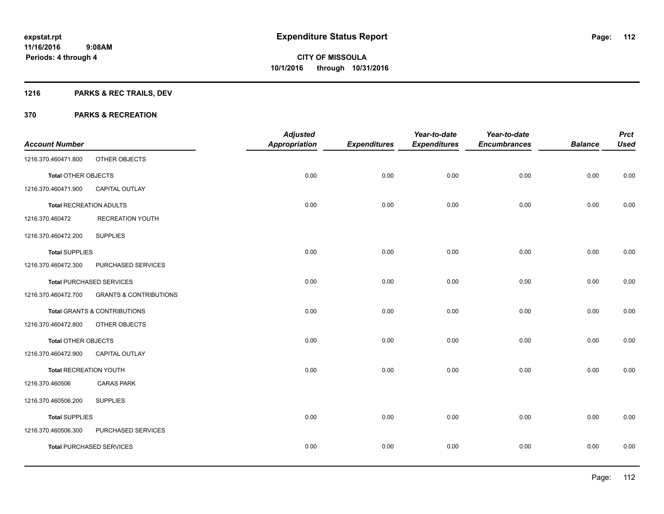## **1216 PARKS & REC TRAILS, DEV**

|                               |                                   | <b>Adjusted</b>      |                     | Year-to-date        | Year-to-date        |                | <b>Prct</b> |
|-------------------------------|-----------------------------------|----------------------|---------------------|---------------------|---------------------|----------------|-------------|
| <b>Account Number</b>         |                                   | <b>Appropriation</b> | <b>Expenditures</b> | <b>Expenditures</b> | <b>Encumbrances</b> | <b>Balance</b> | <b>Used</b> |
| 1216.370.460471.800           | OTHER OBJECTS                     |                      |                     |                     |                     |                |             |
| <b>Total OTHER OBJECTS</b>    |                                   | 0.00                 | 0.00                | 0.00                | 0.00                | 0.00           | 0.00        |
| 1216.370.460471.900           | <b>CAPITAL OUTLAY</b>             |                      |                     |                     |                     |                |             |
| Total RECREATION ADULTS       |                                   | 0.00                 | 0.00                | 0.00                | 0.00                | 0.00           | 0.00        |
| 1216.370.460472               | <b>RECREATION YOUTH</b>           |                      |                     |                     |                     |                |             |
| 1216.370.460472.200           | <b>SUPPLIES</b>                   |                      |                     |                     |                     |                |             |
| <b>Total SUPPLIES</b>         |                                   | 0.00                 | 0.00                | 0.00                | 0.00                | 0.00           | 0.00        |
| 1216.370.460472.300           | PURCHASED SERVICES                |                      |                     |                     |                     |                |             |
|                               | <b>Total PURCHASED SERVICES</b>   | 0.00                 | 0.00                | 0.00                | 0.00                | 0.00           | 0.00        |
| 1216.370.460472.700           | <b>GRANTS &amp; CONTRIBUTIONS</b> |                      |                     |                     |                     |                |             |
|                               | Total GRANTS & CONTRIBUTIONS      | 0.00                 | 0.00                | 0.00                | 0.00                | 0.00           | 0.00        |
| 1216.370.460472.800           | OTHER OBJECTS                     |                      |                     |                     |                     |                |             |
| Total OTHER OBJECTS           |                                   | 0.00                 | 0.00                | 0.00                | 0.00                | 0.00           | 0.00        |
| 1216.370.460472.900           | <b>CAPITAL OUTLAY</b>             |                      |                     |                     |                     |                |             |
| <b>Total RECREATION YOUTH</b> |                                   | 0.00                 | 0.00                | 0.00                | 0.00                | 0.00           | 0.00        |
| 1216.370.460506               | <b>CARAS PARK</b>                 |                      |                     |                     |                     |                |             |
| 1216.370.460506.200           | <b>SUPPLIES</b>                   |                      |                     |                     |                     |                |             |
| <b>Total SUPPLIES</b>         |                                   | 0.00                 | 0.00                | 0.00                | 0.00                | 0.00           | 0.00        |
| 1216.370.460506.300           | PURCHASED SERVICES                |                      |                     |                     |                     |                |             |
|                               | <b>Total PURCHASED SERVICES</b>   | 0.00                 | 0.00                | 0.00                | 0.00                | 0.00           | 0.00        |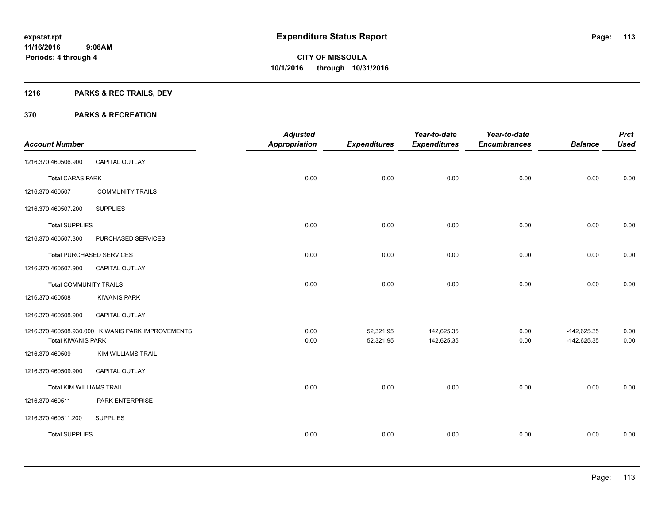## **1216 PARKS & REC TRAILS, DEV**

|                                 |                                                   | <b>Adjusted</b>      |                     | Year-to-date        | Year-to-date        |                | <b>Prct</b><br><b>Used</b> |
|---------------------------------|---------------------------------------------------|----------------------|---------------------|---------------------|---------------------|----------------|----------------------------|
| <b>Account Number</b>           |                                                   | <b>Appropriation</b> | <b>Expenditures</b> | <b>Expenditures</b> | <b>Encumbrances</b> | <b>Balance</b> |                            |
| 1216.370.460506.900             | <b>CAPITAL OUTLAY</b>                             |                      |                     |                     |                     |                |                            |
| <b>Total CARAS PARK</b>         |                                                   | 0.00                 | 0.00                | 0.00                | 0.00                | 0.00           | 0.00                       |
| 1216.370.460507                 | <b>COMMUNITY TRAILS</b>                           |                      |                     |                     |                     |                |                            |
| 1216.370.460507.200             | <b>SUPPLIES</b>                                   |                      |                     |                     |                     |                |                            |
| <b>Total SUPPLIES</b>           |                                                   | 0.00                 | 0.00                | 0.00                | 0.00                | 0.00           | 0.00                       |
| 1216.370.460507.300             | PURCHASED SERVICES                                |                      |                     |                     |                     |                |                            |
|                                 | <b>Total PURCHASED SERVICES</b>                   | 0.00                 | 0.00                | 0.00                | 0.00                | 0.00           | 0.00                       |
| 1216.370.460507.900             | <b>CAPITAL OUTLAY</b>                             |                      |                     |                     |                     |                |                            |
| <b>Total COMMUNITY TRAILS</b>   |                                                   | 0.00                 | 0.00                | 0.00                | 0.00                | 0.00           | 0.00                       |
| 1216.370.460508                 | <b>KIWANIS PARK</b>                               |                      |                     |                     |                     |                |                            |
| 1216.370.460508.900             | <b>CAPITAL OUTLAY</b>                             |                      |                     |                     |                     |                |                            |
|                                 | 1216.370.460508.930.000 KIWANIS PARK IMPROVEMENTS | 0.00                 | 52,321.95           | 142,625.35          | 0.00                | $-142,625.35$  | 0.00                       |
| <b>Total KIWANIS PARK</b>       |                                                   | 0.00                 | 52,321.95           | 142,625.35          | 0.00                | $-142,625.35$  | 0.00                       |
| 1216.370.460509                 | KIM WILLIAMS TRAIL                                |                      |                     |                     |                     |                |                            |
| 1216.370.460509.900             | <b>CAPITAL OUTLAY</b>                             |                      |                     |                     |                     |                |                            |
| <b>Total KIM WILLIAMS TRAIL</b> |                                                   | 0.00                 | 0.00                | 0.00                | 0.00                | 0.00           | 0.00                       |
| 1216.370.460511                 | PARK ENTERPRISE                                   |                      |                     |                     |                     |                |                            |
| 1216.370.460511.200             | <b>SUPPLIES</b>                                   |                      |                     |                     |                     |                |                            |
| <b>Total SUPPLIES</b>           |                                                   | 0.00                 | 0.00                | 0.00                | 0.00                | 0.00           | 0.00                       |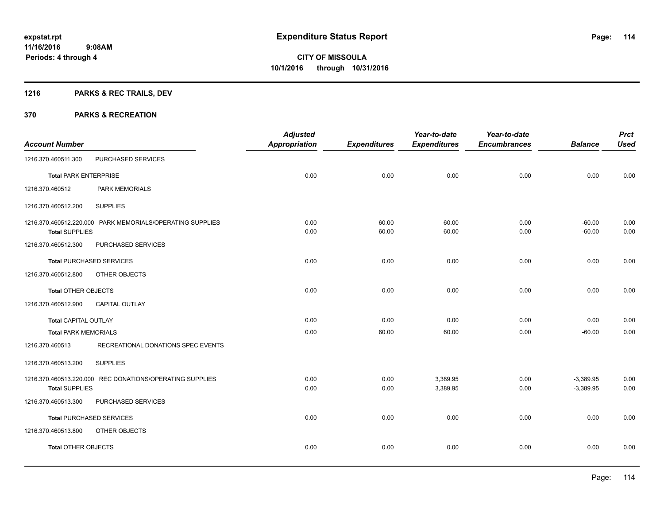## **1216 PARKS & REC TRAILS, DEV**

| <b>Account Number</b>        |                                                           | <b>Adjusted</b><br><b>Appropriation</b> | <b>Expenditures</b> | Year-to-date<br><b>Expenditures</b> | Year-to-date<br><b>Encumbrances</b> | <b>Balance</b>             | <b>Prct</b><br><b>Used</b> |
|------------------------------|-----------------------------------------------------------|-----------------------------------------|---------------------|-------------------------------------|-------------------------------------|----------------------------|----------------------------|
| 1216.370.460511.300          | PURCHASED SERVICES                                        |                                         |                     |                                     |                                     |                            |                            |
| <b>Total PARK ENTERPRISE</b> |                                                           | 0.00                                    | 0.00                | 0.00                                | 0.00                                | 0.00                       | 0.00                       |
| 1216.370.460512              | <b>PARK MEMORIALS</b>                                     |                                         |                     |                                     |                                     |                            |                            |
| 1216.370.460512.200          | <b>SUPPLIES</b>                                           |                                         |                     |                                     |                                     |                            |                            |
| <b>Total SUPPLIES</b>        | 1216.370.460512.220.000 PARK MEMORIALS/OPERATING SUPPLIES | 0.00<br>0.00                            | 60.00<br>60.00      | 60.00<br>60.00                      | 0.00<br>0.00                        | $-60.00$<br>$-60.00$       | 0.00<br>0.00               |
| 1216.370.460512.300          | PURCHASED SERVICES                                        |                                         |                     |                                     |                                     |                            |                            |
|                              | <b>Total PURCHASED SERVICES</b>                           | 0.00                                    | 0.00                | 0.00                                | 0.00                                | 0.00                       | 0.00                       |
| 1216.370.460512.800          | OTHER OBJECTS                                             |                                         |                     |                                     |                                     |                            |                            |
| <b>Total OTHER OBJECTS</b>   |                                                           | 0.00                                    | 0.00                | 0.00                                | 0.00                                | 0.00                       | 0.00                       |
| 1216.370.460512.900          | <b>CAPITAL OUTLAY</b>                                     |                                         |                     |                                     |                                     |                            |                            |
| <b>Total CAPITAL OUTLAY</b>  |                                                           | 0.00                                    | 0.00                | 0.00                                | 0.00                                | 0.00                       | 0.00                       |
| <b>Total PARK MEMORIALS</b>  |                                                           | 0.00                                    | 60.00               | 60.00                               | 0.00                                | $-60.00$                   | 0.00                       |
| 1216.370.460513              | RECREATIONAL DONATIONS SPEC EVENTS                        |                                         |                     |                                     |                                     |                            |                            |
| 1216.370.460513.200          | <b>SUPPLIES</b>                                           |                                         |                     |                                     |                                     |                            |                            |
| <b>Total SUPPLIES</b>        | 1216.370.460513.220.000 REC DONATIONS/OPERATING SUPPLIES  | 0.00<br>0.00                            | 0.00<br>0.00        | 3,389.95<br>3,389.95                | 0.00<br>0.00                        | $-3,389.95$<br>$-3,389.95$ | 0.00<br>0.00               |
| 1216.370.460513.300          | PURCHASED SERVICES                                        |                                         |                     |                                     |                                     |                            |                            |
|                              | <b>Total PURCHASED SERVICES</b>                           | 0.00                                    | 0.00                | 0.00                                | 0.00                                | 0.00                       | 0.00                       |
| 1216.370.460513.800          | OTHER OBJECTS                                             |                                         |                     |                                     |                                     |                            |                            |
| Total OTHER OBJECTS          |                                                           | 0.00                                    | 0.00                | 0.00                                | 0.00                                | 0.00                       | 0.00                       |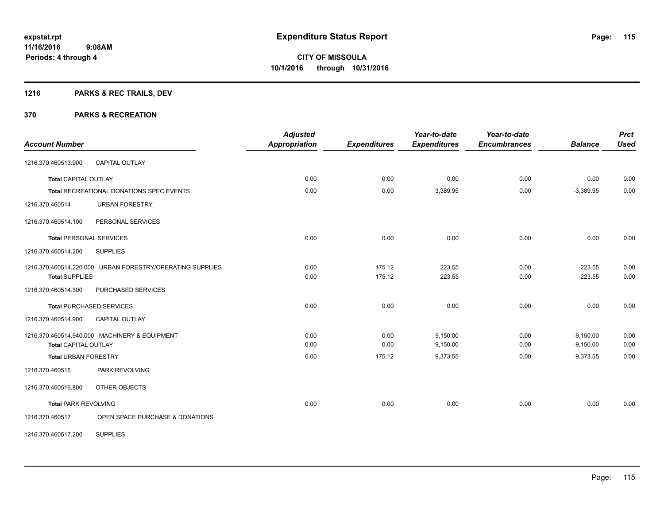## **1216 PARKS & REC TRAILS, DEV**

| <b>Account Number</b>                                     |                                 | <b>Adjusted</b><br><b>Appropriation</b> | <b>Expenditures</b> | Year-to-date<br><b>Expenditures</b> | Year-to-date<br><b>Encumbrances</b> | <b>Balance</b> | <b>Prct</b><br><b>Used</b> |
|-----------------------------------------------------------|---------------------------------|-----------------------------------------|---------------------|-------------------------------------|-------------------------------------|----------------|----------------------------|
| <b>CAPITAL OUTLAY</b><br>1216.370.460513.900              |                                 |                                         |                     |                                     |                                     |                |                            |
| <b>Total CAPITAL OUTLAY</b>                               |                                 | 0.00                                    | 0.00                | 0.00                                | 0.00                                | 0.00           | 0.00                       |
| <b>Total RECREATIONAL DONATIONS SPEC EVENTS</b>           |                                 | 0.00                                    | 0.00                | 3,389.95                            | 0.00                                | $-3,389.95$    | 0.00                       |
| <b>URBAN FORESTRY</b><br>1216.370.460514                  |                                 |                                         |                     |                                     |                                     |                |                            |
| PERSONAL SERVICES<br>1216.370.460514.100                  |                                 |                                         |                     |                                     |                                     |                |                            |
| <b>Total PERSONAL SERVICES</b>                            |                                 | 0.00                                    | 0.00                | 0.00                                | 0.00                                | 0.00           | 0.00                       |
| 1216.370.460514.200<br><b>SUPPLIES</b>                    |                                 |                                         |                     |                                     |                                     |                |                            |
| 1216.370.460514.220.000 URBAN FORESTRY/OPERATING SUPPLIES |                                 | 0.00                                    | 175.12              | 223.55                              | 0.00                                | $-223.55$      | 0.00                       |
| <b>Total SUPPLIES</b>                                     |                                 | 0.00                                    | 175.12              | 223.55                              | 0.00                                | $-223.55$      | 0.00                       |
| 1216.370.460514.300<br>PURCHASED SERVICES                 |                                 |                                         |                     |                                     |                                     |                |                            |
| <b>Total PURCHASED SERVICES</b>                           |                                 | 0.00                                    | 0.00                | 0.00                                | 0.00                                | 0.00           | 0.00                       |
| <b>CAPITAL OUTLAY</b><br>1216.370.460514.900              |                                 |                                         |                     |                                     |                                     |                |                            |
| 1216.370.460514.940.000 MACHINERY & EQUIPMENT             |                                 | 0.00                                    | 0.00                | 9,150.00                            | 0.00                                | $-9,150.00$    | 0.00                       |
| <b>Total CAPITAL OUTLAY</b>                               |                                 | 0.00                                    | 0.00                | 9,150.00                            | 0.00                                | $-9,150.00$    | 0.00                       |
| <b>Total URBAN FORESTRY</b>                               |                                 | 0.00                                    | 175.12              | 9,373.55                            | 0.00                                | $-9,373.55$    | 0.00                       |
| PARK REVOLVING<br>1216.370.460516                         |                                 |                                         |                     |                                     |                                     |                |                            |
| OTHER OBJECTS<br>1216.370.460516.800                      |                                 |                                         |                     |                                     |                                     |                |                            |
| <b>Total PARK REVOLVING</b>                               |                                 | 0.00                                    | 0.00                | 0.00                                | 0.00                                | 0.00           | 0.00                       |
| 1216.370.460517                                           | OPEN SPACE PURCHASE & DONATIONS |                                         |                     |                                     |                                     |                |                            |
| <b>SUPPLIES</b><br>1216.370.460517.200                    |                                 |                                         |                     |                                     |                                     |                |                            |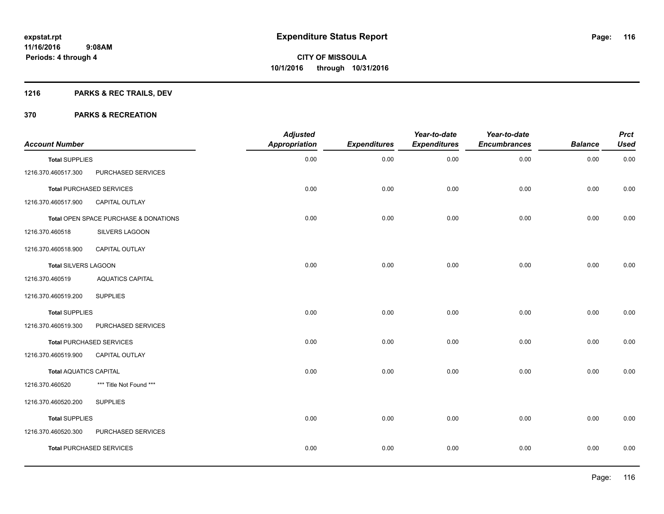## **1216 PARKS & REC TRAILS, DEV**

| <b>Account Number</b>         |                                       | <b>Adjusted</b><br>Appropriation | <b>Expenditures</b> | Year-to-date<br><b>Expenditures</b> | Year-to-date<br><b>Encumbrances</b> | <b>Balance</b> | <b>Prct</b><br><b>Used</b> |
|-------------------------------|---------------------------------------|----------------------------------|---------------------|-------------------------------------|-------------------------------------|----------------|----------------------------|
| <b>Total SUPPLIES</b>         |                                       | 0.00                             | 0.00                | 0.00                                | 0.00                                | 0.00           | 0.00                       |
| 1216.370.460517.300           | PURCHASED SERVICES                    |                                  |                     |                                     |                                     |                |                            |
|                               | <b>Total PURCHASED SERVICES</b>       | 0.00                             | 0.00                | 0.00                                | 0.00                                | 0.00           | 0.00                       |
| 1216.370.460517.900           | <b>CAPITAL OUTLAY</b>                 |                                  |                     |                                     |                                     |                |                            |
|                               | Total OPEN SPACE PURCHASE & DONATIONS | 0.00                             | 0.00                | 0.00                                | 0.00                                | 0.00           | 0.00                       |
| 1216.370.460518               | SILVERS LAGOON                        |                                  |                     |                                     |                                     |                |                            |
| 1216.370.460518.900           | <b>CAPITAL OUTLAY</b>                 |                                  |                     |                                     |                                     |                |                            |
| Total SILVERS LAGOON          |                                       | 0.00                             | 0.00                | 0.00                                | 0.00                                | 0.00           | 0.00                       |
| 1216.370.460519               | <b>AQUATICS CAPITAL</b>               |                                  |                     |                                     |                                     |                |                            |
| 1216.370.460519.200           | <b>SUPPLIES</b>                       |                                  |                     |                                     |                                     |                |                            |
| <b>Total SUPPLIES</b>         |                                       | 0.00                             | 0.00                | 0.00                                | 0.00                                | 0.00           | 0.00                       |
| 1216.370.460519.300           | PURCHASED SERVICES                    |                                  |                     |                                     |                                     |                |                            |
|                               | <b>Total PURCHASED SERVICES</b>       | 0.00                             | 0.00                | 0.00                                | 0.00                                | 0.00           | 0.00                       |
| 1216.370.460519.900           | <b>CAPITAL OUTLAY</b>                 |                                  |                     |                                     |                                     |                |                            |
| <b>Total AQUATICS CAPITAL</b> |                                       | 0.00                             | 0.00                | 0.00                                | 0.00                                | 0.00           | 0.00                       |
| 1216.370.460520               | *** Title Not Found ***               |                                  |                     |                                     |                                     |                |                            |
| 1216.370.460520.200           | <b>SUPPLIES</b>                       |                                  |                     |                                     |                                     |                |                            |
| <b>Total SUPPLIES</b>         |                                       | 0.00                             | 0.00                | 0.00                                | 0.00                                | 0.00           | 0.00                       |
| 1216.370.460520.300           | PURCHASED SERVICES                    |                                  |                     |                                     |                                     |                |                            |
|                               | <b>Total PURCHASED SERVICES</b>       | 0.00                             | 0.00                | 0.00                                | 0.00                                | 0.00           | 0.00                       |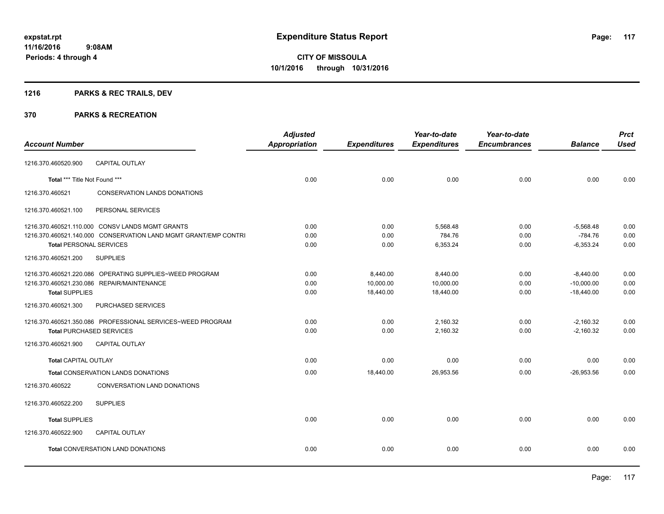## **1216 PARKS & REC TRAILS, DEV**

|                                 |                                                                 | <b>Adjusted</b>      |                     | Year-to-date        | Year-to-date        |                | <b>Prct</b> |
|---------------------------------|-----------------------------------------------------------------|----------------------|---------------------|---------------------|---------------------|----------------|-------------|
| <b>Account Number</b>           |                                                                 | <b>Appropriation</b> | <b>Expenditures</b> | <b>Expenditures</b> | <b>Encumbrances</b> | <b>Balance</b> | <b>Used</b> |
| 1216.370.460520.900             | <b>CAPITAL OUTLAY</b>                                           |                      |                     |                     |                     |                |             |
| Total *** Title Not Found ***   |                                                                 | 0.00                 | 0.00                | 0.00                | 0.00                | 0.00           | 0.00        |
| 1216.370.460521                 | <b>CONSERVATION LANDS DONATIONS</b>                             |                      |                     |                     |                     |                |             |
| 1216.370.460521.100             | PERSONAL SERVICES                                               |                      |                     |                     |                     |                |             |
|                                 | 1216.370.460521.110.000 CONSV LANDS MGMT GRANTS                 | 0.00                 | 0.00                | 5,568.48            | 0.00                | $-5,568.48$    | 0.00        |
|                                 | 1216.370.460521.140.000 CONSERVATION LAND MGMT GRANT/EMP CONTRI | 0.00                 | 0.00                | 784.76              | 0.00                | $-784.76$      | 0.00        |
| <b>Total PERSONAL SERVICES</b>  |                                                                 | 0.00                 | 0.00                | 6,353.24            | 0.00                | $-6,353.24$    | 0.00        |
| 1216.370.460521.200             | <b>SUPPLIES</b>                                                 |                      |                     |                     |                     |                |             |
|                                 | 1216.370.460521.220.086 OPERATING SUPPLIES~WEED PROGRAM         | 0.00                 | 8,440.00            | 8,440.00            | 0.00                | $-8,440.00$    | 0.00        |
|                                 | 1216.370.460521.230.086 REPAIR/MAINTENANCE                      | 0.00                 | 10,000.00           | 10,000.00           | 0.00                | $-10,000.00$   | 0.00        |
| <b>Total SUPPLIES</b>           |                                                                 | 0.00                 | 18,440.00           | 18,440.00           | 0.00                | $-18,440.00$   | 0.00        |
| 1216.370.460521.300             | PURCHASED SERVICES                                              |                      |                     |                     |                     |                |             |
|                                 | 1216.370.460521.350.086 PROFESSIONAL SERVICES~WEED PROGRAM      | 0.00                 | 0.00                | 2,160.32            | 0.00                | $-2,160.32$    | 0.00        |
| <b>Total PURCHASED SERVICES</b> |                                                                 | 0.00                 | 0.00                | 2,160.32            | 0.00                | $-2,160.32$    | 0.00        |
| 1216.370.460521.900             | <b>CAPITAL OUTLAY</b>                                           |                      |                     |                     |                     |                |             |
| <b>Total CAPITAL OUTLAY</b>     |                                                                 | 0.00                 | 0.00                | 0.00                | 0.00                | 0.00           | 0.00        |
|                                 | Total CONSERVATION LANDS DONATIONS                              | 0.00                 | 18,440.00           | 26,953.56           | 0.00                | $-26,953.56$   | 0.00        |
| 1216.370.460522                 | CONVERSATION LAND DONATIONS                                     |                      |                     |                     |                     |                |             |
| 1216.370.460522.200             | <b>SUPPLIES</b>                                                 |                      |                     |                     |                     |                |             |
| <b>Total SUPPLIES</b>           |                                                                 | 0.00                 | 0.00                | 0.00                | 0.00                | 0.00           | 0.00        |
| 1216.370.460522.900             | <b>CAPITAL OUTLAY</b>                                           |                      |                     |                     |                     |                |             |
|                                 | Total CONVERSATION LAND DONATIONS                               | 0.00                 | 0.00                | 0.00                | 0.00                | 0.00           | 0.00        |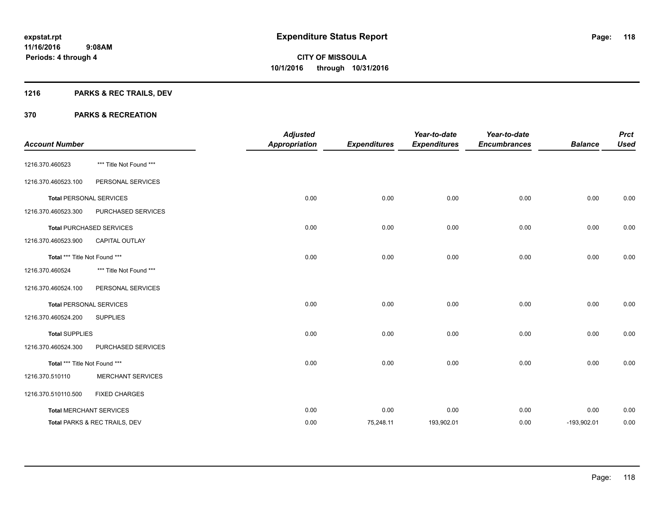## **1216 PARKS & REC TRAILS, DEV**

| <b>Account Number</b>         |                                 | <b>Adjusted</b><br><b>Appropriation</b> | <b>Expenditures</b> | Year-to-date<br><b>Expenditures</b> | Year-to-date<br><b>Encumbrances</b> | <b>Balance</b> | <b>Prct</b><br><b>Used</b> |
|-------------------------------|---------------------------------|-----------------------------------------|---------------------|-------------------------------------|-------------------------------------|----------------|----------------------------|
|                               |                                 |                                         |                     |                                     |                                     |                |                            |
| 1216.370.460523               | *** Title Not Found ***         |                                         |                     |                                     |                                     |                |                            |
| 1216.370.460523.100           | PERSONAL SERVICES               |                                         |                     |                                     |                                     |                |                            |
|                               | <b>Total PERSONAL SERVICES</b>  | 0.00                                    | 0.00                | 0.00                                | 0.00                                | 0.00           | 0.00                       |
| 1216.370.460523.300           | PURCHASED SERVICES              |                                         |                     |                                     |                                     |                |                            |
|                               | <b>Total PURCHASED SERVICES</b> | 0.00                                    | 0.00                | 0.00                                | 0.00                                | 0.00           | 0.00                       |
| 1216.370.460523.900           | <b>CAPITAL OUTLAY</b>           |                                         |                     |                                     |                                     |                |                            |
| Total *** Title Not Found *** |                                 | 0.00                                    | 0.00                | 0.00                                | 0.00                                | 0.00           | 0.00                       |
| 1216.370.460524               | *** Title Not Found ***         |                                         |                     |                                     |                                     |                |                            |
| 1216.370.460524.100           | PERSONAL SERVICES               |                                         |                     |                                     |                                     |                |                            |
|                               | <b>Total PERSONAL SERVICES</b>  | 0.00                                    | 0.00                | 0.00                                | 0.00                                | 0.00           | 0.00                       |
| 1216.370.460524.200           | <b>SUPPLIES</b>                 |                                         |                     |                                     |                                     |                |                            |
| <b>Total SUPPLIES</b>         |                                 | 0.00                                    | 0.00                | 0.00                                | 0.00                                | 0.00           | 0.00                       |
| 1216.370.460524.300           | PURCHASED SERVICES              |                                         |                     |                                     |                                     |                |                            |
| Total *** Title Not Found *** |                                 | 0.00                                    | 0.00                | 0.00                                | 0.00                                | 0.00           | 0.00                       |
| 1216.370.510110               | <b>MERCHANT SERVICES</b>        |                                         |                     |                                     |                                     |                |                            |
| 1216.370.510110.500           | <b>FIXED CHARGES</b>            |                                         |                     |                                     |                                     |                |                            |
|                               | <b>Total MERCHANT SERVICES</b>  | 0.00                                    | 0.00                | 0.00                                | 0.00                                | 0.00           | 0.00                       |
|                               | Total PARKS & REC TRAILS, DEV   | 0.00                                    | 75,248.11           | 193,902.01                          | 0.00                                | $-193,902.01$  | 0.00                       |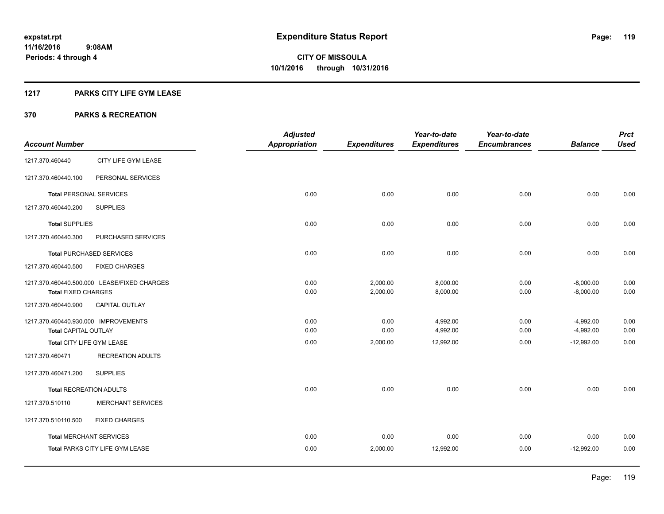#### **1217 PARKS CITY LIFE GYM LEASE**

|                                      |                                             | <b>Adjusted</b>      |                      | Year-to-date         | Year-to-date        |                            | <b>Prct</b>  |
|--------------------------------------|---------------------------------------------|----------------------|----------------------|----------------------|---------------------|----------------------------|--------------|
| <b>Account Number</b>                |                                             | <b>Appropriation</b> | <b>Expenditures</b>  | <b>Expenditures</b>  | <b>Encumbrances</b> | <b>Balance</b>             | <b>Used</b>  |
| 1217.370.460440                      | CITY LIFE GYM LEASE                         |                      |                      |                      |                     |                            |              |
| 1217.370.460440.100                  | PERSONAL SERVICES                           |                      |                      |                      |                     |                            |              |
| <b>Total PERSONAL SERVICES</b>       |                                             | 0.00                 | 0.00                 | 0.00                 | 0.00                | 0.00                       | 0.00         |
| 1217.370.460440.200                  | <b>SUPPLIES</b>                             |                      |                      |                      |                     |                            |              |
| <b>Total SUPPLIES</b>                |                                             | 0.00                 | 0.00                 | 0.00                 | 0.00                | 0.00                       | 0.00         |
| 1217.370.460440.300                  | PURCHASED SERVICES                          |                      |                      |                      |                     |                            |              |
|                                      | <b>Total PURCHASED SERVICES</b>             | 0.00                 | 0.00                 | 0.00                 | 0.00                | 0.00                       | 0.00         |
| 1217.370.460440.500                  | <b>FIXED CHARGES</b>                        |                      |                      |                      |                     |                            |              |
|                                      | 1217.370.460440.500.000 LEASE/FIXED CHARGES | 0.00<br>0.00         | 2,000.00<br>2,000.00 | 8,000.00<br>8,000.00 | 0.00<br>0.00        | $-8,000.00$<br>$-8,000.00$ | 0.00<br>0.00 |
| <b>Total FIXED CHARGES</b>           |                                             |                      |                      |                      |                     |                            |              |
| 1217.370.460440.900                  | CAPITAL OUTLAY                              |                      |                      |                      |                     |                            |              |
| 1217.370.460440.930.000 IMPROVEMENTS |                                             | 0.00                 | 0.00                 | 4,992.00             | 0.00                | $-4,992.00$                | 0.00         |
| Total CAPITAL OUTLAY                 |                                             | 0.00                 | 0.00                 | 4,992.00             | 0.00                | $-4,992.00$                | 0.00         |
| Total CITY LIFE GYM LEASE            |                                             | 0.00                 | 2,000.00             | 12,992.00            | 0.00                | $-12,992.00$               | 0.00         |
| 1217.370.460471                      | <b>RECREATION ADULTS</b>                    |                      |                      |                      |                     |                            |              |
| 1217.370.460471.200                  | <b>SUPPLIES</b>                             |                      |                      |                      |                     |                            |              |
| <b>Total RECREATION ADULTS</b>       |                                             | 0.00                 | 0.00                 | 0.00                 | 0.00                | 0.00                       | 0.00         |
| 1217.370.510110                      | <b>MERCHANT SERVICES</b>                    |                      |                      |                      |                     |                            |              |
| 1217.370.510110.500                  | <b>FIXED CHARGES</b>                        |                      |                      |                      |                     |                            |              |
|                                      | <b>Total MERCHANT SERVICES</b>              | 0.00                 | 0.00                 | 0.00                 | 0.00                | 0.00                       | 0.00         |
|                                      | Total PARKS CITY LIFE GYM LEASE             | 0.00                 | 2,000.00             | 12,992.00            | 0.00                | $-12,992.00$               | 0.00         |
|                                      |                                             |                      |                      |                      |                     |                            |              |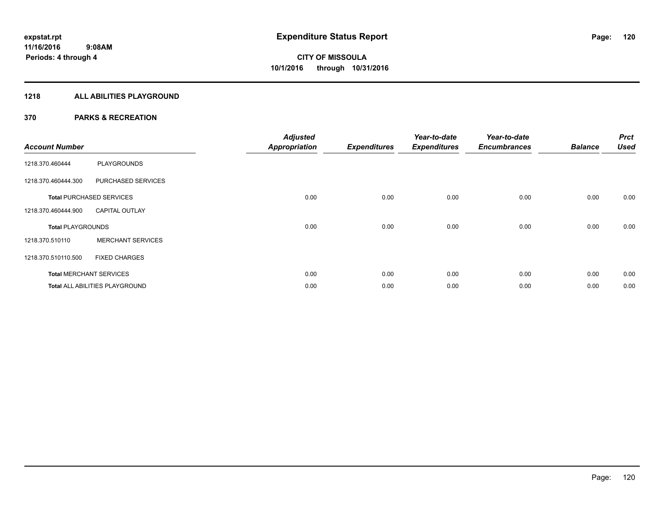## **1218 ALL ABILITIES PLAYGROUND**

| <b>Account Number</b>    |                                       | <b>Adjusted</b><br><b>Appropriation</b> | <b>Expenditures</b> | Year-to-date<br><b>Expenditures</b> | Year-to-date<br><b>Encumbrances</b> | <b>Balance</b> | <b>Prct</b><br><b>Used</b> |
|--------------------------|---------------------------------------|-----------------------------------------|---------------------|-------------------------------------|-------------------------------------|----------------|----------------------------|
| 1218.370.460444          | PLAYGROUNDS                           |                                         |                     |                                     |                                     |                |                            |
| 1218.370.460444.300      | PURCHASED SERVICES                    |                                         |                     |                                     |                                     |                |                            |
|                          | <b>Total PURCHASED SERVICES</b>       | 0.00                                    | 0.00                | 0.00                                | 0.00                                | 0.00           | 0.00                       |
| 1218.370.460444.900      | <b>CAPITAL OUTLAY</b>                 |                                         |                     |                                     |                                     |                |                            |
| <b>Total PLAYGROUNDS</b> |                                       | 0.00                                    | 0.00                | 0.00                                | 0.00                                | 0.00           | 0.00                       |
| 1218.370.510110          | <b>MERCHANT SERVICES</b>              |                                         |                     |                                     |                                     |                |                            |
| 1218.370.510110.500      | <b>FIXED CHARGES</b>                  |                                         |                     |                                     |                                     |                |                            |
|                          | <b>Total MERCHANT SERVICES</b>        | 0.00                                    | 0.00                | 0.00                                | 0.00                                | 0.00           | 0.00                       |
|                          | <b>Total ALL ABILITIES PLAYGROUND</b> | 0.00                                    | 0.00                | 0.00                                | 0.00                                | 0.00           | 0.00                       |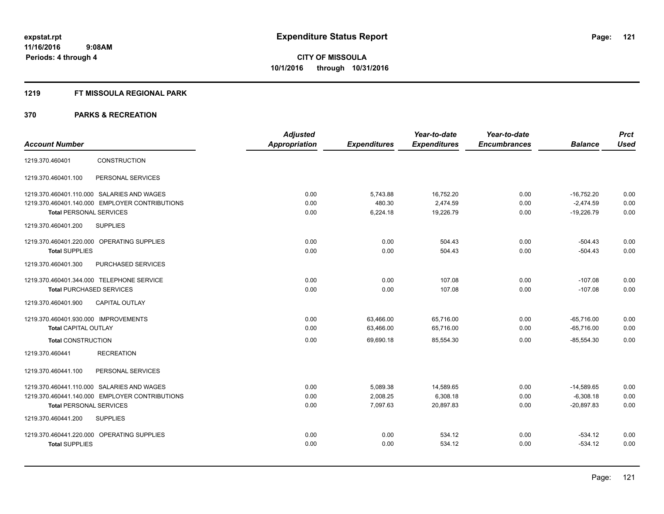#### **1219 FT MISSOULA REGIONAL PARK**

|                                                | <b>Adjusted</b>      |                     | Year-to-date        | Year-to-date        |                | <b>Prct</b> |
|------------------------------------------------|----------------------|---------------------|---------------------|---------------------|----------------|-------------|
| <b>Account Number</b>                          | <b>Appropriation</b> | <b>Expenditures</b> | <b>Expenditures</b> | <b>Encumbrances</b> | <b>Balance</b> | <b>Used</b> |
| <b>CONSTRUCTION</b><br>1219.370.460401         |                      |                     |                     |                     |                |             |
| 1219.370.460401.100<br>PERSONAL SERVICES       |                      |                     |                     |                     |                |             |
| 1219.370.460401.110.000 SALARIES AND WAGES     | 0.00                 | 5,743.88            | 16,752.20           | 0.00                | $-16,752.20$   | 0.00        |
| 1219.370.460401.140.000 EMPLOYER CONTRIBUTIONS | 0.00                 | 480.30              | 2,474.59            | 0.00                | $-2,474.59$    | 0.00        |
| <b>Total PERSONAL SERVICES</b>                 | 0.00                 | 6,224.18            | 19,226.79           | 0.00                | $-19,226.79$   | 0.00        |
| <b>SUPPLIES</b><br>1219.370.460401.200         |                      |                     |                     |                     |                |             |
| 1219.370.460401.220.000 OPERATING SUPPLIES     | 0.00                 | 0.00                | 504.43              | 0.00                | $-504.43$      | 0.00        |
| <b>Total SUPPLIES</b>                          | 0.00                 | 0.00                | 504.43              | 0.00                | $-504.43$      | 0.00        |
| 1219.370.460401.300<br>PURCHASED SERVICES      |                      |                     |                     |                     |                |             |
| 1219.370.460401.344.000 TELEPHONE SERVICE      | 0.00                 | 0.00                | 107.08              | 0.00                | $-107.08$      | 0.00        |
| <b>Total PURCHASED SERVICES</b>                | 0.00                 | 0.00                | 107.08              | 0.00                | $-107.08$      | 0.00        |
| CAPITAL OUTLAY<br>1219.370.460401.900          |                      |                     |                     |                     |                |             |
| 1219.370.460401.930.000 IMPROVEMENTS           | 0.00                 | 63,466.00           | 65,716.00           | 0.00                | $-65.716.00$   | 0.00        |
| <b>Total CAPITAL OUTLAY</b>                    | 0.00                 | 63,466.00           | 65,716.00           | 0.00                | $-65,716.00$   | 0.00        |
| <b>Total CONSTRUCTION</b>                      | 0.00                 | 69,690.18           | 85,554.30           | 0.00                | $-85,554.30$   | 0.00        |
| <b>RECREATION</b><br>1219.370.460441           |                      |                     |                     |                     |                |             |
| PERSONAL SERVICES<br>1219.370.460441.100       |                      |                     |                     |                     |                |             |
| 1219.370.460441.110.000 SALARIES AND WAGES     | 0.00                 | 5,089.38            | 14,589.65           | 0.00                | $-14,589.65$   | 0.00        |
| 1219.370.460441.140.000 EMPLOYER CONTRIBUTIONS | 0.00                 | 2,008.25            | 6,308.18            | 0.00                | $-6,308.18$    | 0.00        |
| <b>Total PERSONAL SERVICES</b>                 | 0.00                 | 7,097.63            | 20,897.83           | 0.00                | $-20,897.83$   | 0.00        |
| 1219.370.460441.200<br><b>SUPPLIES</b>         |                      |                     |                     |                     |                |             |
| 1219.370.460441.220.000 OPERATING SUPPLIES     | 0.00                 | 0.00                | 534.12              | 0.00                | $-534.12$      | 0.00        |
| <b>Total SUPPLIES</b>                          | 0.00                 | 0.00                | 534.12              | 0.00                | $-534.12$      | 0.00        |
|                                                |                      |                     |                     |                     |                |             |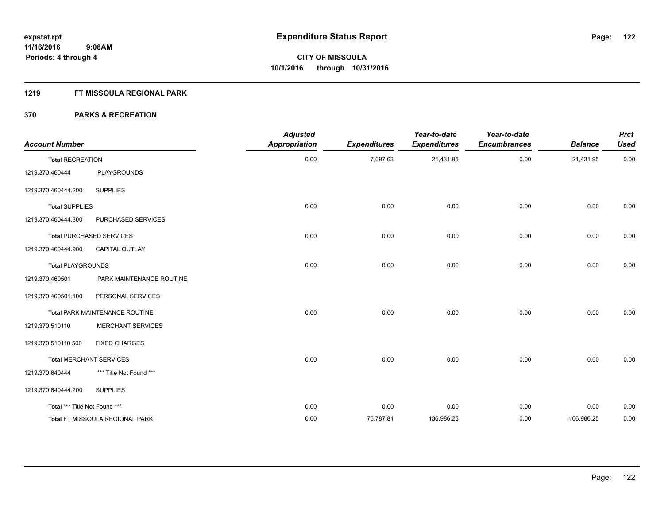#### **1219 FT MISSOULA REGIONAL PARK**

| <b>Account Number</b>         |                                 | <b>Adjusted</b><br><b>Appropriation</b> | <b>Expenditures</b> | Year-to-date<br><b>Expenditures</b> | Year-to-date<br><b>Encumbrances</b> | <b>Balance</b> | <b>Prct</b><br><b>Used</b> |
|-------------------------------|---------------------------------|-----------------------------------------|---------------------|-------------------------------------|-------------------------------------|----------------|----------------------------|
| <b>Total RECREATION</b>       |                                 | 0.00                                    | 7,097.63            | 21,431.95                           | 0.00                                | $-21,431.95$   | 0.00                       |
| 1219.370.460444               | <b>PLAYGROUNDS</b>              |                                         |                     |                                     |                                     |                |                            |
| 1219.370.460444.200           | <b>SUPPLIES</b>                 |                                         |                     |                                     |                                     |                |                            |
| <b>Total SUPPLIES</b>         |                                 | 0.00                                    | 0.00                | 0.00                                | 0.00                                | 0.00           | 0.00                       |
| 1219.370.460444.300           | PURCHASED SERVICES              |                                         |                     |                                     |                                     |                |                            |
|                               | <b>Total PURCHASED SERVICES</b> | 0.00                                    | 0.00                | 0.00                                | 0.00                                | 0.00           | 0.00                       |
| 1219.370.460444.900           | <b>CAPITAL OUTLAY</b>           |                                         |                     |                                     |                                     |                |                            |
| <b>Total PLAYGROUNDS</b>      |                                 | 0.00                                    | 0.00                | 0.00                                | 0.00                                | 0.00           | 0.00                       |
| 1219.370.460501               | PARK MAINTENANCE ROUTINE        |                                         |                     |                                     |                                     |                |                            |
| 1219.370.460501.100           | PERSONAL SERVICES               |                                         |                     |                                     |                                     |                |                            |
|                               | Total PARK MAINTENANCE ROUTINE  | 0.00                                    | 0.00                | 0.00                                | 0.00                                | 0.00           | 0.00                       |
| 1219.370.510110               | <b>MERCHANT SERVICES</b>        |                                         |                     |                                     |                                     |                |                            |
| 1219.370.510110.500           | <b>FIXED CHARGES</b>            |                                         |                     |                                     |                                     |                |                            |
|                               | <b>Total MERCHANT SERVICES</b>  | 0.00                                    | 0.00                | 0.00                                | 0.00                                | 0.00           | 0.00                       |
| 1219.370.640444               | *** Title Not Found ***         |                                         |                     |                                     |                                     |                |                            |
| 1219.370.640444.200           | <b>SUPPLIES</b>                 |                                         |                     |                                     |                                     |                |                            |
| Total *** Title Not Found *** |                                 | 0.00                                    | 0.00                | 0.00                                | 0.00                                | 0.00           | 0.00                       |
|                               | Total FT MISSOULA REGIONAL PARK | 0.00                                    | 76,787.81           | 106,986.25                          | 0.00                                | $-106,986.25$  | 0.00                       |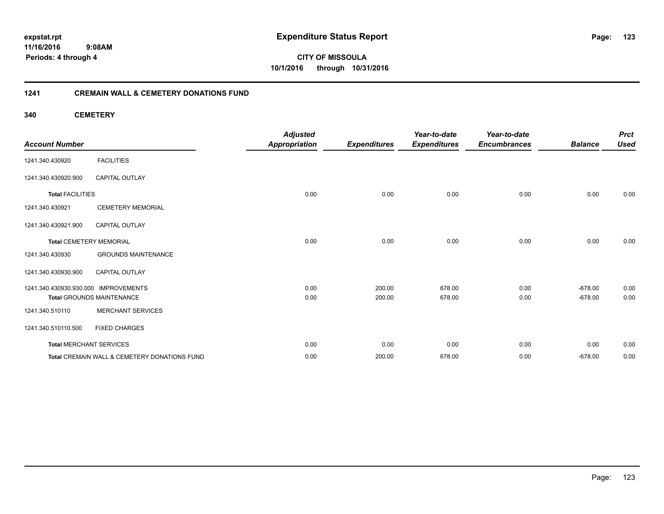**11/16/2016 9:08AM Periods: 4 through 4**

**CITY OF MISSOULA 10/1/2016 through 10/31/2016**

#### **1241 CREMAIN WALL & CEMETERY DONATIONS FUND**

**340 CEMETERY**

| <b>Account Number</b>                |                                              | <b>Adjusted</b><br><b>Appropriation</b> | <b>Expenditures</b> | Year-to-date<br><b>Expenditures</b> | Year-to-date<br><b>Encumbrances</b> | <b>Balance</b> | <b>Prct</b><br><b>Used</b> |
|--------------------------------------|----------------------------------------------|-----------------------------------------|---------------------|-------------------------------------|-------------------------------------|----------------|----------------------------|
| 1241.340.430920                      | <b>FACILITIES</b>                            |                                         |                     |                                     |                                     |                |                            |
| 1241.340.430920.900                  | CAPITAL OUTLAY                               |                                         |                     |                                     |                                     |                |                            |
| <b>Total FACILITIES</b>              |                                              | 0.00                                    | 0.00                | 0.00                                | 0.00                                | 0.00           | 0.00                       |
| 1241.340.430921                      | <b>CEMETERY MEMORIAL</b>                     |                                         |                     |                                     |                                     |                |                            |
| 1241.340.430921.900                  | <b>CAPITAL OUTLAY</b>                        |                                         |                     |                                     |                                     |                |                            |
| <b>Total CEMETERY MEMORIAL</b>       |                                              | 0.00                                    | 0.00                | 0.00                                | 0.00                                | 0.00           | 0.00                       |
| 1241.340.430930                      | <b>GROUNDS MAINTENANCE</b>                   |                                         |                     |                                     |                                     |                |                            |
| 1241.340.430930.900                  | <b>CAPITAL OUTLAY</b>                        |                                         |                     |                                     |                                     |                |                            |
| 1241.340.430930.930.000 IMPROVEMENTS |                                              | 0.00                                    | 200.00              | 678.00                              | 0.00                                | $-678.00$      | 0.00                       |
|                                      | <b>Total GROUNDS MAINTENANCE</b>             | 0.00                                    | 200.00              | 678.00                              | 0.00                                | $-678.00$      | 0.00                       |
| 1241.340.510110                      | <b>MERCHANT SERVICES</b>                     |                                         |                     |                                     |                                     |                |                            |
| 1241.340.510110.500                  | <b>FIXED CHARGES</b>                         |                                         |                     |                                     |                                     |                |                            |
| <b>Total MERCHANT SERVICES</b>       |                                              | 0.00                                    | 0.00                | 0.00                                | 0.00                                | 0.00           | 0.00                       |
|                                      | Total CREMAIN WALL & CEMETERY DONATIONS FUND | 0.00                                    | 200.00              | 678.00                              | 0.00                                | $-678.00$      | 0.00                       |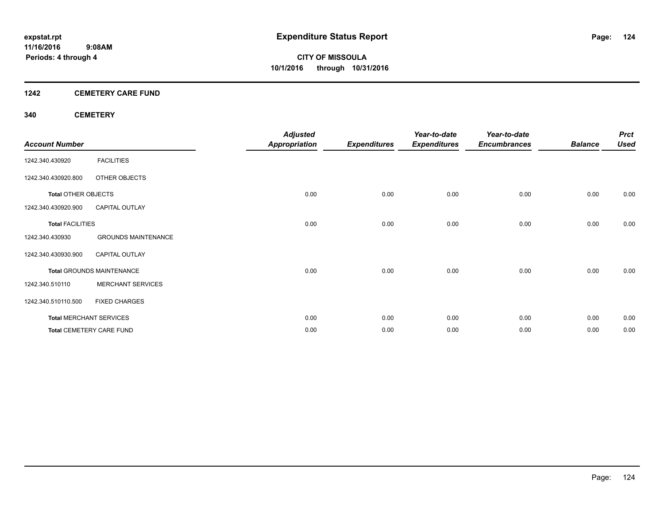#### **1242 CEMETERY CARE FUND**

#### **340 CEMETERY**

| <b>Account Number</b>      |                                  | <b>Adjusted</b><br><b>Appropriation</b> | <b>Expenditures</b> | Year-to-date<br><b>Expenditures</b> | Year-to-date<br><b>Encumbrances</b> | <b>Balance</b> | <b>Prct</b><br><b>Used</b> |
|----------------------------|----------------------------------|-----------------------------------------|---------------------|-------------------------------------|-------------------------------------|----------------|----------------------------|
| 1242.340.430920            | <b>FACILITIES</b>                |                                         |                     |                                     |                                     |                |                            |
| 1242.340.430920.800        | OTHER OBJECTS                    |                                         |                     |                                     |                                     |                |                            |
| <b>Total OTHER OBJECTS</b> |                                  | 0.00                                    | 0.00                | 0.00                                | 0.00                                | 0.00           | 0.00                       |
| 1242.340.430920.900        | <b>CAPITAL OUTLAY</b>            |                                         |                     |                                     |                                     |                |                            |
| <b>Total FACILITIES</b>    |                                  | 0.00                                    | 0.00                | 0.00                                | 0.00                                | 0.00           | 0.00                       |
| 1242.340.430930            | <b>GROUNDS MAINTENANCE</b>       |                                         |                     |                                     |                                     |                |                            |
| 1242.340.430930.900        | <b>CAPITAL OUTLAY</b>            |                                         |                     |                                     |                                     |                |                            |
|                            | <b>Total GROUNDS MAINTENANCE</b> | 0.00                                    | 0.00                | 0.00                                | 0.00                                | 0.00           | 0.00                       |
| 1242.340.510110            | <b>MERCHANT SERVICES</b>         |                                         |                     |                                     |                                     |                |                            |
| 1242.340.510110.500        | <b>FIXED CHARGES</b>             |                                         |                     |                                     |                                     |                |                            |
|                            | <b>Total MERCHANT SERVICES</b>   | 0.00                                    | 0.00                | 0.00                                | 0.00                                | 0.00           | 0.00                       |
|                            | <b>Total CEMETERY CARE FUND</b>  | 0.00                                    | 0.00                | 0.00                                | 0.00                                | 0.00           | 0.00                       |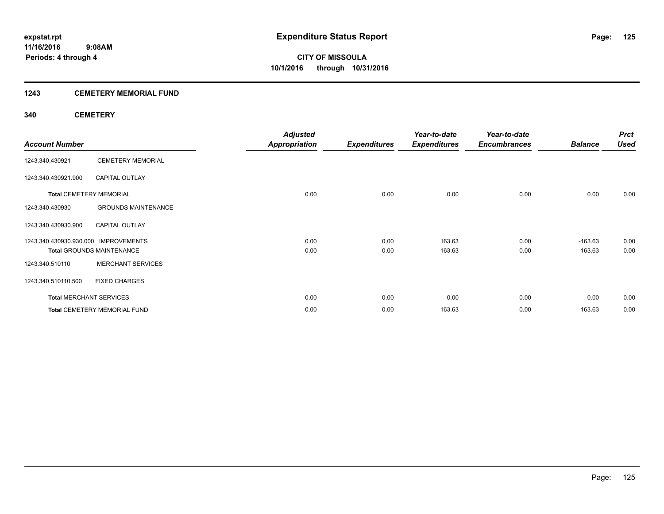### **1243 CEMETERY MEMORIAL FUND**

#### **340 CEMETERY**

|                                      |                                     | <b>Adjusted</b>      |                     | Year-to-date        | Year-to-date        |                | <b>Prct</b> |
|--------------------------------------|-------------------------------------|----------------------|---------------------|---------------------|---------------------|----------------|-------------|
| <b>Account Number</b>                |                                     | <b>Appropriation</b> | <b>Expenditures</b> | <b>Expenditures</b> | <b>Encumbrances</b> | <b>Balance</b> | <b>Used</b> |
| 1243.340.430921                      | <b>CEMETERY MEMORIAL</b>            |                      |                     |                     |                     |                |             |
| 1243.340.430921.900                  | <b>CAPITAL OUTLAY</b>               |                      |                     |                     |                     |                |             |
| <b>Total CEMETERY MEMORIAL</b>       |                                     | 0.00                 | 0.00                | 0.00                | 0.00                | 0.00           | 0.00        |
| 1243.340.430930                      | <b>GROUNDS MAINTENANCE</b>          |                      |                     |                     |                     |                |             |
| 1243.340.430930.900                  | <b>CAPITAL OUTLAY</b>               |                      |                     |                     |                     |                |             |
| 1243.340.430930.930.000 IMPROVEMENTS |                                     | 0.00                 | 0.00                | 163.63              | 0.00                | $-163.63$      | 0.00        |
|                                      | <b>Total GROUNDS MAINTENANCE</b>    | 0.00                 | 0.00                | 163.63              | 0.00                | $-163.63$      | 0.00        |
| 1243.340.510110                      | <b>MERCHANT SERVICES</b>            |                      |                     |                     |                     |                |             |
| 1243.340.510110.500                  | <b>FIXED CHARGES</b>                |                      |                     |                     |                     |                |             |
| <b>Total MERCHANT SERVICES</b>       |                                     | 0.00                 | 0.00                | 0.00                | 0.00                | 0.00           | 0.00        |
|                                      | <b>Total CEMETERY MEMORIAL FUND</b> | 0.00                 | 0.00                | 163.63              | 0.00                | $-163.63$      | 0.00        |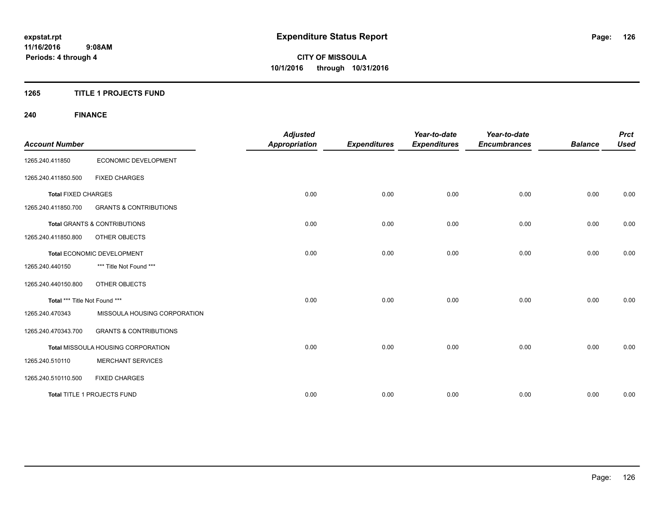#### **1265 TITLE 1 PROJECTS FUND**

## **240 FINANCE**

| <b>Account Number</b>         |                                         | <b>Adjusted</b><br><b>Appropriation</b> | <b>Expenditures</b> | Year-to-date<br><b>Expenditures</b> | Year-to-date<br><b>Encumbrances</b> | <b>Balance</b> | <b>Prct</b><br><b>Used</b> |
|-------------------------------|-----------------------------------------|-----------------------------------------|---------------------|-------------------------------------|-------------------------------------|----------------|----------------------------|
| 1265.240.411850               | ECONOMIC DEVELOPMENT                    |                                         |                     |                                     |                                     |                |                            |
| 1265.240.411850.500           | <b>FIXED CHARGES</b>                    |                                         |                     |                                     |                                     |                |                            |
| <b>Total FIXED CHARGES</b>    |                                         | 0.00                                    | 0.00                | 0.00                                | 0.00                                | 0.00           | 0.00                       |
| 1265.240.411850.700           | <b>GRANTS &amp; CONTRIBUTIONS</b>       |                                         |                     |                                     |                                     |                |                            |
|                               | <b>Total GRANTS &amp; CONTRIBUTIONS</b> | 0.00                                    | 0.00                | 0.00                                | 0.00                                | 0.00           | 0.00                       |
| 1265.240.411850.800           | <b>OTHER OBJECTS</b>                    |                                         |                     |                                     |                                     |                |                            |
|                               | Total ECONOMIC DEVELOPMENT              | 0.00                                    | 0.00                | 0.00                                | 0.00                                | 0.00           | 0.00                       |
| 1265.240.440150               | *** Title Not Found ***                 |                                         |                     |                                     |                                     |                |                            |
| 1265.240.440150.800           | OTHER OBJECTS                           |                                         |                     |                                     |                                     |                |                            |
| Total *** Title Not Found *** |                                         | 0.00                                    | 0.00                | 0.00                                | 0.00                                | 0.00           | 0.00                       |
| 1265.240.470343               | MISSOULA HOUSING CORPORATION            |                                         |                     |                                     |                                     |                |                            |
| 1265.240.470343.700           | <b>GRANTS &amp; CONTRIBUTIONS</b>       |                                         |                     |                                     |                                     |                |                            |
|                               | Total MISSOULA HOUSING CORPORATION      | 0.00                                    | 0.00                | 0.00                                | 0.00                                | 0.00           | 0.00                       |
| 1265.240.510110               | <b>MERCHANT SERVICES</b>                |                                         |                     |                                     |                                     |                |                            |
| 1265.240.510110.500           | <b>FIXED CHARGES</b>                    |                                         |                     |                                     |                                     |                |                            |
|                               | Total TITLE 1 PROJECTS FUND             | 0.00                                    | 0.00                | 0.00                                | 0.00                                | 0.00           | 0.00                       |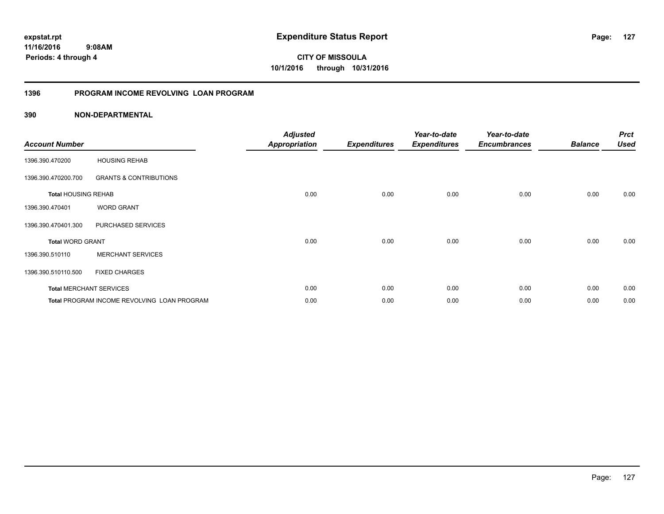**11/16/2016 9:08AM Periods: 4 through 4**

**CITY OF MISSOULA 10/1/2016 through 10/31/2016**

#### **1396 PROGRAM INCOME REVOLVING LOAN PROGRAM**

|                            |                                             | <b>Adjusted</b> |                     | Year-to-date        | Year-to-date        |                | <b>Prct</b> |
|----------------------------|---------------------------------------------|-----------------|---------------------|---------------------|---------------------|----------------|-------------|
| <b>Account Number</b>      |                                             | Appropriation   | <b>Expenditures</b> | <b>Expenditures</b> | <b>Encumbrances</b> | <b>Balance</b> | <b>Used</b> |
| 1396.390.470200            | <b>HOUSING REHAB</b>                        |                 |                     |                     |                     |                |             |
| 1396.390.470200.700        | <b>GRANTS &amp; CONTRIBUTIONS</b>           |                 |                     |                     |                     |                |             |
| <b>Total HOUSING REHAB</b> |                                             | 0.00            | 0.00                | 0.00                | 0.00                | 0.00           | 0.00        |
| 1396.390.470401            | <b>WORD GRANT</b>                           |                 |                     |                     |                     |                |             |
| 1396.390.470401.300        | PURCHASED SERVICES                          |                 |                     |                     |                     |                |             |
| <b>Total WORD GRANT</b>    |                                             | 0.00            | 0.00                | 0.00                | 0.00                | 0.00           | 0.00        |
| 1396.390.510110            | <b>MERCHANT SERVICES</b>                    |                 |                     |                     |                     |                |             |
| 1396.390.510110.500        | <b>FIXED CHARGES</b>                        |                 |                     |                     |                     |                |             |
|                            | <b>Total MERCHANT SERVICES</b>              | 0.00            | 0.00                | 0.00                | 0.00                | 0.00           | 0.00        |
|                            | Total PROGRAM INCOME REVOLVING LOAN PROGRAM | 0.00            | 0.00                | 0.00                | 0.00                | 0.00           | 0.00        |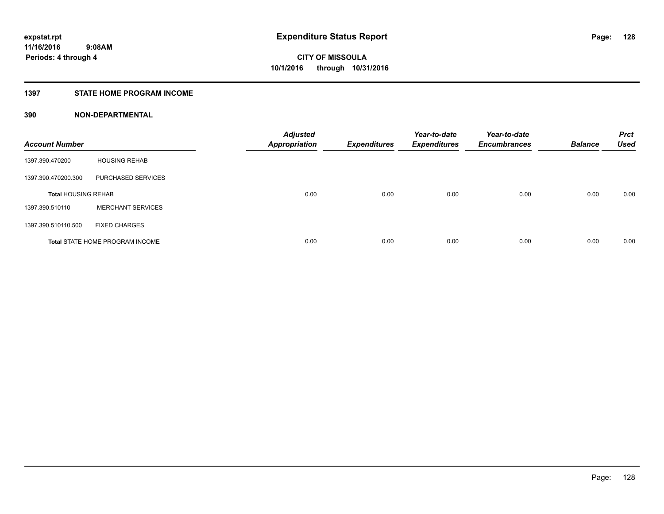#### **1397 STATE HOME PROGRAM INCOME**

| <b>Account Number</b>      |                                        | <b>Adjusted</b><br>Appropriation | <b>Expenditures</b> | Year-to-date<br><b>Expenditures</b> | Year-to-date<br><b>Encumbrances</b> | <b>Balance</b> | <b>Prct</b><br><b>Used</b> |
|----------------------------|----------------------------------------|----------------------------------|---------------------|-------------------------------------|-------------------------------------|----------------|----------------------------|
| 1397.390.470200            | <b>HOUSING REHAB</b>                   |                                  |                     |                                     |                                     |                |                            |
| 1397.390.470200.300        | PURCHASED SERVICES                     |                                  |                     |                                     |                                     |                |                            |
| <b>Total HOUSING REHAB</b> |                                        | 0.00                             | 0.00                | 0.00                                | 0.00                                | 0.00           | 0.00                       |
| 1397.390.510110            | <b>MERCHANT SERVICES</b>               |                                  |                     |                                     |                                     |                |                            |
| 1397.390.510110.500        | <b>FIXED CHARGES</b>                   |                                  |                     |                                     |                                     |                |                            |
|                            | <b>Total STATE HOME PROGRAM INCOME</b> | 0.00                             | 0.00                | 0.00                                | 0.00                                | 0.00           | 0.00                       |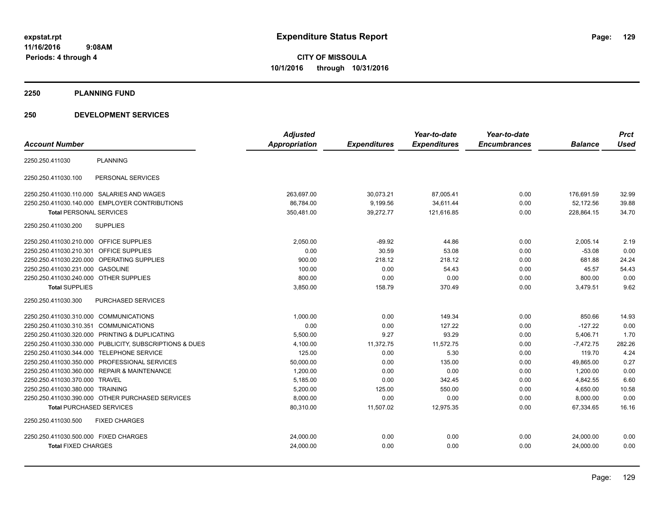#### **2250 PLANNING FUND**

#### **250 DEVELOPMENT SERVICES**

|                                                         | <b>Adjusted</b> |                     | Year-to-date        | Year-to-date        |                | <b>Prct</b> |
|---------------------------------------------------------|-----------------|---------------------|---------------------|---------------------|----------------|-------------|
| <b>Account Number</b>                                   | Appropriation   | <b>Expenditures</b> | <b>Expenditures</b> | <b>Encumbrances</b> | <b>Balance</b> | <b>Used</b> |
| <b>PLANNING</b><br>2250.250.411030                      |                 |                     |                     |                     |                |             |
| 2250.250.411030.100<br>PERSONAL SERVICES                |                 |                     |                     |                     |                |             |
| 2250.250.411030.110.000 SALARIES AND WAGES              | 263,697.00      | 30,073.21           | 87,005.41           | 0.00                | 176,691.59     | 32.99       |
| 2250.250.411030.140.000 EMPLOYER CONTRIBUTIONS          | 86,784.00       | 9,199.56            | 34,611.44           | 0.00                | 52,172.56      | 39.88       |
| <b>Total PERSONAL SERVICES</b>                          | 350,481.00      | 39,272.77           | 121,616.85          | 0.00                | 228,864.15     | 34.70       |
| 2250.250.411030.200<br><b>SUPPLIES</b>                  |                 |                     |                     |                     |                |             |
| 2250.250.411030.210.000 OFFICE SUPPLIES                 | 2,050.00        | $-89.92$            | 44.86               | 0.00                | 2,005.14       | 2.19        |
| 2250.250.411030.210.301 OFFICE SUPPLIES                 | 0.00            | 30.59               | 53.08               | 0.00                | $-53.08$       | 0.00        |
| 2250.250.411030.220.000 OPERATING SUPPLIES              | 900.00          | 218.12              | 218.12              | 0.00                | 681.88         | 24.24       |
| 2250.250.411030.231.000 GASOLINE                        | 100.00          | 0.00                | 54.43               | 0.00                | 45.57          | 54.43       |
| 2250.250.411030.240.000 OTHER SUPPLIES                  | 800.00          | 0.00                | 0.00                | 0.00                | 800.00         | 0.00        |
| <b>Total SUPPLIES</b>                                   | 3,850.00        | 158.79              | 370.49              | 0.00                | 3,479.51       | 9.62        |
| <b>PURCHASED SERVICES</b><br>2250.250.411030.300        |                 |                     |                     |                     |                |             |
| 2250.250.411030.310.000 COMMUNICATIONS                  | 1,000.00        | 0.00                | 149.34              | 0.00                | 850.66         | 14.93       |
| 2250.250.411030.310.351 COMMUNICATIONS                  | 0.00            | 0.00                | 127.22              | 0.00                | $-127.22$      | 0.00        |
| 2250.250.411030.320.000 PRINTING & DUPLICATING          | 5,500.00        | 9.27                | 93.29               | 0.00                | 5,406.71       | 1.70        |
| 2250.250.411030.330.000 PUBLICITY, SUBSCRIPTIONS & DUES | 4,100.00        | 11,372.75           | 11,572.75           | 0.00                | $-7,472.75$    | 282.26      |
| 2250.250.411030.344.000 TELEPHONE SERVICE               | 125.00          | 0.00                | 5.30                | 0.00                | 119.70         | 4.24        |
| 2250.250.411030.350.000 PROFESSIONAL SERVICES           | 50,000.00       | 0.00                | 135.00              | 0.00                | 49,865.00      | 0.27        |
| 2250.250.411030.360.000 REPAIR & MAINTENANCE            | 1,200.00        | 0.00                | 0.00                | 0.00                | 1,200.00       | 0.00        |
| 2250.250.411030.370.000 TRAVEL                          | 5,185.00        | 0.00                | 342.45              | 0.00                | 4,842.55       | 6.60        |
| 2250.250.411030.380.000 TRAINING                        | 5.200.00        | 125.00              | 550.00              | 0.00                | 4.650.00       | 10.58       |
| 2250.250.411030.390.000 OTHER PURCHASED SERVICES        | 8,000.00        | 0.00                | 0.00                | 0.00                | 8,000.00       | 0.00        |
| <b>Total PURCHASED SERVICES</b>                         | 80,310.00       | 11,507.02           | 12,975.35           | 0.00                | 67,334.65      | 16.16       |
| 2250.250.411030.500<br><b>FIXED CHARGES</b>             |                 |                     |                     |                     |                |             |
| 2250.250.411030.500.000 FIXED CHARGES                   | 24,000.00       | 0.00                | 0.00                | 0.00                | 24,000.00      | 0.00        |
| <b>Total FIXED CHARGES</b>                              | 24,000.00       | 0.00                | 0.00                | 0.00                | 24,000.00      | 0.00        |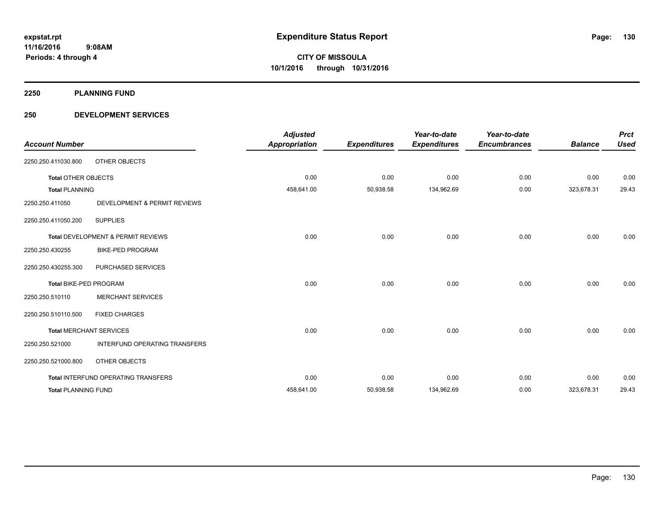**2250 PLANNING FUND**

#### **250 DEVELOPMENT SERVICES**

| <b>Account Number</b>         |                                     | <b>Adjusted</b><br><b>Appropriation</b> | <b>Expenditures</b> | Year-to-date<br><b>Expenditures</b> | Year-to-date<br><b>Encumbrances</b> | <b>Balance</b> | <b>Prct</b><br><b>Used</b> |
|-------------------------------|-------------------------------------|-----------------------------------------|---------------------|-------------------------------------|-------------------------------------|----------------|----------------------------|
| 2250.250.411030.800           | OTHER OBJECTS                       |                                         |                     |                                     |                                     |                |                            |
| <b>Total OTHER OBJECTS</b>    |                                     | 0.00                                    | 0.00                | 0.00                                | 0.00                                | 0.00           | 0.00                       |
| <b>Total PLANNING</b>         |                                     | 458,641.00                              | 50,938.58           | 134,962.69                          | 0.00                                | 323,678.31     | 29.43                      |
| 2250.250.411050               | DEVELOPMENT & PERMIT REVIEWS        |                                         |                     |                                     |                                     |                |                            |
| 2250.250.411050.200           | <b>SUPPLIES</b>                     |                                         |                     |                                     |                                     |                |                            |
|                               | Total DEVELOPMENT & PERMIT REVIEWS  | 0.00                                    | 0.00                | 0.00                                | 0.00                                | 0.00           | 0.00                       |
| 2250.250.430255               | <b>BIKE-PED PROGRAM</b>             |                                         |                     |                                     |                                     |                |                            |
| 2250.250.430255.300           | PURCHASED SERVICES                  |                                         |                     |                                     |                                     |                |                            |
| <b>Total BIKE-PED PROGRAM</b> |                                     | 0.00                                    | 0.00                | 0.00                                | 0.00                                | 0.00           | 0.00                       |
| 2250.250.510110               | <b>MERCHANT SERVICES</b>            |                                         |                     |                                     |                                     |                |                            |
| 2250.250.510110.500           | <b>FIXED CHARGES</b>                |                                         |                     |                                     |                                     |                |                            |
|                               | <b>Total MERCHANT SERVICES</b>      | 0.00                                    | 0.00                | 0.00                                | 0.00                                | 0.00           | 0.00                       |
| 2250.250.521000               | INTERFUND OPERATING TRANSFERS       |                                         |                     |                                     |                                     |                |                            |
| 2250.250.521000.800           | OTHER OBJECTS                       |                                         |                     |                                     |                                     |                |                            |
|                               | Total INTERFUND OPERATING TRANSFERS | 0.00                                    | 0.00                | 0.00                                | 0.00                                | 0.00           | 0.00                       |
| <b>Total PLANNING FUND</b>    |                                     | 458.641.00                              | 50,938.58           | 134.962.69                          | 0.00                                | 323.678.31     | 29.43                      |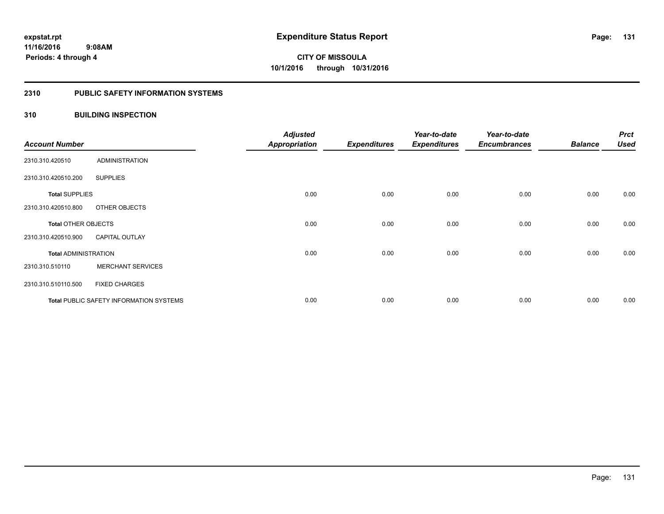#### **2310 PUBLIC SAFETY INFORMATION SYSTEMS**

#### **310 BUILDING INSPECTION**

| <b>Account Number</b>       |                                                | <b>Adjusted</b><br><b>Appropriation</b> | <b>Expenditures</b> | Year-to-date<br><b>Expenditures</b> | Year-to-date<br><b>Encumbrances</b> | <b>Balance</b> | <b>Prct</b><br><b>Used</b> |
|-----------------------------|------------------------------------------------|-----------------------------------------|---------------------|-------------------------------------|-------------------------------------|----------------|----------------------------|
| 2310.310.420510             | <b>ADMINISTRATION</b>                          |                                         |                     |                                     |                                     |                |                            |
| 2310.310.420510.200         | <b>SUPPLIES</b>                                |                                         |                     |                                     |                                     |                |                            |
| <b>Total SUPPLIES</b>       |                                                | 0.00                                    | 0.00                | 0.00                                | 0.00                                | 0.00           | 0.00                       |
| 2310.310.420510.800         | OTHER OBJECTS                                  |                                         |                     |                                     |                                     |                |                            |
| <b>Total OTHER OBJECTS</b>  |                                                | 0.00                                    | 0.00                | 0.00                                | 0.00                                | 0.00           | 0.00                       |
| 2310.310.420510.900         | <b>CAPITAL OUTLAY</b>                          |                                         |                     |                                     |                                     |                |                            |
| <b>Total ADMINISTRATION</b> |                                                | 0.00                                    | 0.00                | 0.00                                | 0.00                                | 0.00           | 0.00                       |
| 2310.310.510110             | <b>MERCHANT SERVICES</b>                       |                                         |                     |                                     |                                     |                |                            |
| 2310.310.510110.500         | <b>FIXED CHARGES</b>                           |                                         |                     |                                     |                                     |                |                            |
|                             | <b>Total PUBLIC SAFETY INFORMATION SYSTEMS</b> | 0.00                                    | 0.00                | 0.00                                | 0.00                                | 0.00           | 0.00                       |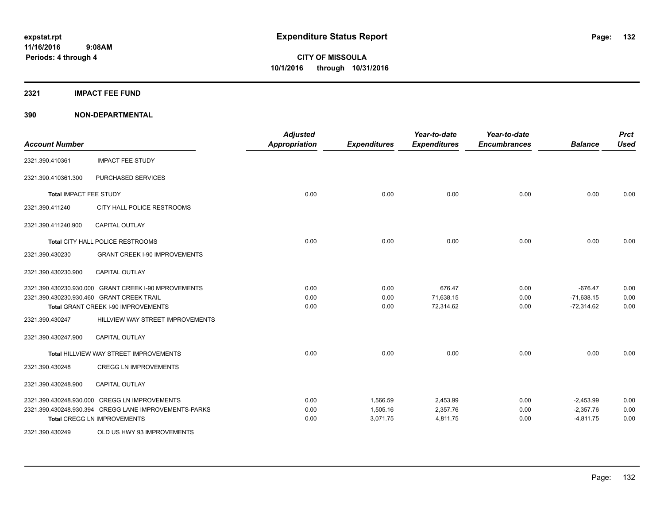#### **2321 IMPACT FEE FUND**

| <b>Account Number</b>  |                                                       | <b>Adjusted</b><br><b>Appropriation</b> | <b>Expenditures</b> | Year-to-date<br><b>Expenditures</b> | Year-to-date<br><b>Encumbrances</b> | <b>Balance</b> | <b>Prct</b><br><b>Used</b> |
|------------------------|-------------------------------------------------------|-----------------------------------------|---------------------|-------------------------------------|-------------------------------------|----------------|----------------------------|
| 2321.390.410361        | <b>IMPACT FEE STUDY</b>                               |                                         |                     |                                     |                                     |                |                            |
| 2321.390.410361.300    | PURCHASED SERVICES                                    |                                         |                     |                                     |                                     |                |                            |
| Total IMPACT FEE STUDY |                                                       | 0.00                                    | 0.00                | 0.00                                | 0.00                                | 0.00           | 0.00                       |
| 2321.390.411240        | CITY HALL POLICE RESTROOMS                            |                                         |                     |                                     |                                     |                |                            |
| 2321.390.411240.900    | <b>CAPITAL OUTLAY</b>                                 |                                         |                     |                                     |                                     |                |                            |
|                        | Total CITY HALL POLICE RESTROOMS                      | 0.00                                    | 0.00                | 0.00                                | 0.00                                | 0.00           | 0.00                       |
| 2321.390.430230        | <b>GRANT CREEK I-90 IMPROVEMENTS</b>                  |                                         |                     |                                     |                                     |                |                            |
| 2321.390.430230.900    | <b>CAPITAL OUTLAY</b>                                 |                                         |                     |                                     |                                     |                |                            |
|                        | 2321.390.430230.930.000 GRANT CREEK I-90 MPROVEMENTS  | 0.00                                    | 0.00                | 676.47                              | 0.00                                | $-676.47$      | 0.00                       |
|                        | 2321.390.430230.930.460 GRANT CREEK TRAIL             | 0.00                                    | 0.00                | 71,638.15                           | 0.00                                | $-71,638.15$   | 0.00<br>0.00               |
|                        | Total GRANT CREEK I-90 IMPROVEMENTS                   | 0.00                                    | 0.00                | 72,314.62                           | 0.00                                | $-72,314.62$   |                            |
| 2321.390.430247        | HILLVIEW WAY STREET IMPROVEMENTS                      |                                         |                     |                                     |                                     |                |                            |
| 2321.390.430247.900    | <b>CAPITAL OUTLAY</b>                                 |                                         |                     |                                     |                                     |                |                            |
|                        | Total HILLVIEW WAY STREET IMPROVEMENTS                | 0.00                                    | 0.00                | 0.00                                | 0.00                                | 0.00           | 0.00                       |
| 2321.390.430248        | <b>CREGG LN IMPROVEMENTS</b>                          |                                         |                     |                                     |                                     |                |                            |
| 2321.390.430248.900    | <b>CAPITAL OUTLAY</b>                                 |                                         |                     |                                     |                                     |                |                            |
|                        | 2321.390.430248.930.000 CREGG LN IMPROVEMENTS         | 0.00                                    | 1,566.59            | 2,453.99                            | 0.00                                | $-2,453.99$    | 0.00                       |
|                        | 2321.390.430248.930.394 CREGG LANE IMPROVEMENTS-PARKS | 0.00                                    | 1,505.16            | 2,357.76                            | 0.00                                | $-2,357.76$    | 0.00                       |
|                        | <b>Total CREGG LN IMPROVEMENTS</b>                    | 0.00                                    | 3,071.75            | 4,811.75                            | 0.00                                | $-4,811.75$    | 0.00                       |
| 2321.390.430249        | OLD US HWY 93 IMPROVEMENTS                            |                                         |                     |                                     |                                     |                |                            |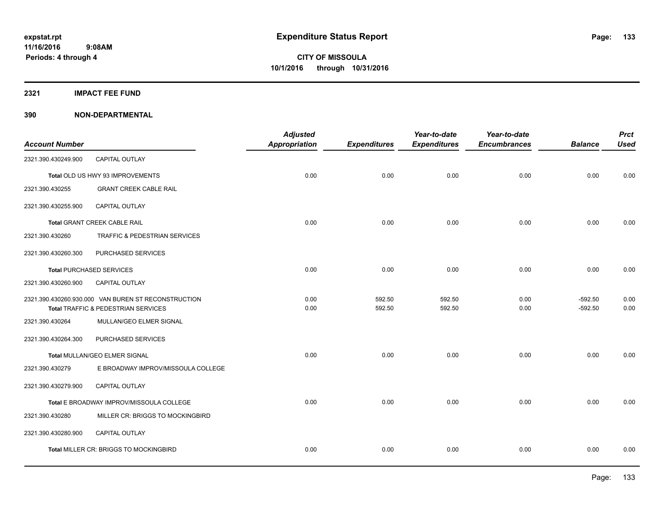**2321 IMPACT FEE FUND**

| <b>Account Number</b> |                                                                                            | <b>Adjusted</b><br>Appropriation | <b>Expenditures</b> | Year-to-date<br><b>Expenditures</b> | Year-to-date<br><b>Encumbrances</b> | <b>Balance</b>         | <b>Prct</b><br><b>Used</b> |
|-----------------------|--------------------------------------------------------------------------------------------|----------------------------------|---------------------|-------------------------------------|-------------------------------------|------------------------|----------------------------|
| 2321.390.430249.900   | CAPITAL OUTLAY                                                                             |                                  |                     |                                     |                                     |                        |                            |
|                       | Total OLD US HWY 93 IMPROVEMENTS                                                           | 0.00                             | 0.00                | 0.00                                | 0.00                                | 0.00                   | 0.00                       |
| 2321.390.430255       | <b>GRANT CREEK CABLE RAIL</b>                                                              |                                  |                     |                                     |                                     |                        |                            |
| 2321.390.430255.900   | CAPITAL OUTLAY                                                                             |                                  |                     |                                     |                                     |                        |                            |
|                       | Total GRANT CREEK CABLE RAIL                                                               | 0.00                             | 0.00                | 0.00                                | 0.00                                | 0.00                   | 0.00                       |
| 2321.390.430260       | TRAFFIC & PEDESTRIAN SERVICES                                                              |                                  |                     |                                     |                                     |                        |                            |
| 2321.390.430260.300   | PURCHASED SERVICES                                                                         |                                  |                     |                                     |                                     |                        |                            |
|                       | <b>Total PURCHASED SERVICES</b>                                                            | 0.00                             | 0.00                | 0.00                                | 0.00                                | 0.00                   | 0.00                       |
| 2321.390.430260.900   | <b>CAPITAL OUTLAY</b>                                                                      |                                  |                     |                                     |                                     |                        |                            |
|                       | 2321.390.430260.930.000 VAN BUREN ST RECONSTRUCTION<br>Total TRAFFIC & PEDESTRIAN SERVICES | 0.00<br>0.00                     | 592.50<br>592.50    | 592.50<br>592.50                    | 0.00<br>0.00                        | $-592.50$<br>$-592.50$ | 0.00<br>0.00               |
| 2321.390.430264       | MULLAN/GEO ELMER SIGNAL                                                                    |                                  |                     |                                     |                                     |                        |                            |
| 2321.390.430264.300   | PURCHASED SERVICES                                                                         |                                  |                     |                                     |                                     |                        |                            |
|                       | Total MULLAN/GEO ELMER SIGNAL                                                              | 0.00                             | 0.00                | 0.00                                | 0.00                                | 0.00                   | 0.00                       |
| 2321.390.430279       | E BROADWAY IMPROV/MISSOULA COLLEGE                                                         |                                  |                     |                                     |                                     |                        |                            |
| 2321.390.430279.900   | CAPITAL OUTLAY                                                                             |                                  |                     |                                     |                                     |                        |                            |
|                       | Total E BROADWAY IMPROV/MISSOULA COLLEGE                                                   | 0.00                             | 0.00                | 0.00                                | 0.00                                | 0.00                   | 0.00                       |
| 2321.390.430280       | MILLER CR: BRIGGS TO MOCKINGBIRD                                                           |                                  |                     |                                     |                                     |                        |                            |
| 2321.390.430280.900   | CAPITAL OUTLAY                                                                             |                                  |                     |                                     |                                     |                        |                            |
|                       | Total MILLER CR: BRIGGS TO MOCKINGBIRD                                                     | 0.00                             | 0.00                | 0.00                                | 0.00                                | 0.00                   | 0.00                       |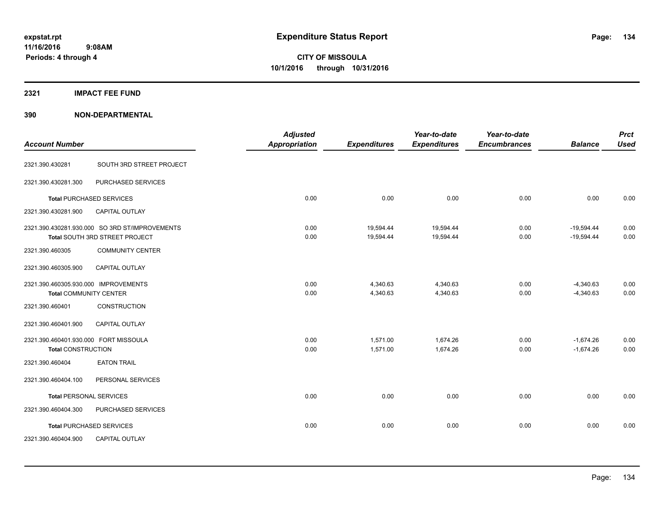#### **2321 IMPACT FEE FUND**

| <b>Account Number</b>                 |                                                | <b>Adjusted</b><br><b>Appropriation</b> | <b>Expenditures</b> | Year-to-date<br><b>Expenditures</b> | Year-to-date<br><b>Encumbrances</b> | <b>Balance</b> | <b>Prct</b><br><b>Used</b> |
|---------------------------------------|------------------------------------------------|-----------------------------------------|---------------------|-------------------------------------|-------------------------------------|----------------|----------------------------|
| 2321.390.430281                       | SOUTH 3RD STREET PROJECT                       |                                         |                     |                                     |                                     |                |                            |
|                                       |                                                |                                         |                     |                                     |                                     |                |                            |
| 2321.390.430281.300                   | PURCHASED SERVICES                             |                                         |                     |                                     |                                     |                |                            |
|                                       | <b>Total PURCHASED SERVICES</b>                | 0.00                                    | 0.00                | 0.00                                | 0.00                                | 0.00           | 0.00                       |
| 2321.390.430281.900                   | <b>CAPITAL OUTLAY</b>                          |                                         |                     |                                     |                                     |                |                            |
|                                       | 2321.390.430281.930.000 SO 3RD ST/IMPROVEMENTS | 0.00                                    | 19,594.44           | 19,594.44                           | 0.00                                | $-19,594.44$   | 0.00                       |
|                                       | Total SOUTH 3RD STREET PROJECT                 | 0.00                                    | 19,594.44           | 19,594.44                           | 0.00                                | $-19,594.44$   | 0.00                       |
| 2321.390.460305                       | <b>COMMUNITY CENTER</b>                        |                                         |                     |                                     |                                     |                |                            |
| 2321.390.460305.900                   | <b>CAPITAL OUTLAY</b>                          |                                         |                     |                                     |                                     |                |                            |
| 2321.390.460305.930.000 IMPROVEMENTS  |                                                | 0.00                                    | 4,340.63            | 4,340.63                            | 0.00                                | $-4,340.63$    | 0.00                       |
| <b>Total COMMUNITY CENTER</b>         |                                                | 0.00                                    | 4,340.63            | 4,340.63                            | 0.00                                | $-4,340.63$    | 0.00                       |
| 2321.390.460401                       | <b>CONSTRUCTION</b>                            |                                         |                     |                                     |                                     |                |                            |
| 2321.390.460401.900                   | CAPITAL OUTLAY                                 |                                         |                     |                                     |                                     |                |                            |
| 2321.390.460401.930.000 FORT MISSOULA |                                                | 0.00                                    | 1,571.00            | 1,674.26                            | 0.00                                | $-1,674.26$    | 0.00                       |
| <b>Total CONSTRUCTION</b>             |                                                | 0.00                                    | 1,571.00            | 1,674.26                            | 0.00                                | $-1,674.26$    | 0.00                       |
| 2321.390.460404                       | <b>EATON TRAIL</b>                             |                                         |                     |                                     |                                     |                |                            |
| 2321.390.460404.100                   | PERSONAL SERVICES                              |                                         |                     |                                     |                                     |                |                            |
| <b>Total PERSONAL SERVICES</b>        |                                                | 0.00                                    | 0.00                | 0.00                                | 0.00                                | 0.00           | 0.00                       |
| 2321.390.460404.300                   | PURCHASED SERVICES                             |                                         |                     |                                     |                                     |                |                            |
|                                       | <b>Total PURCHASED SERVICES</b>                | 0.00                                    | 0.00                | 0.00                                | 0.00                                | 0.00           | 0.00                       |
| 2321.390.460404.900                   | <b>CAPITAL OUTLAY</b>                          |                                         |                     |                                     |                                     |                |                            |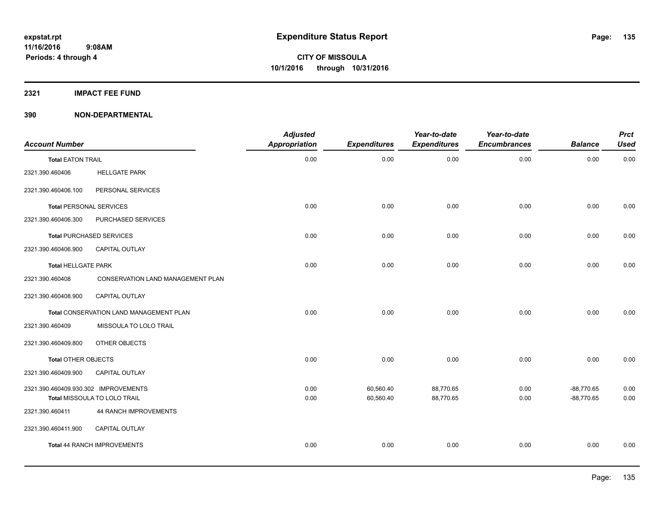**2321 IMPACT FEE FUND**

| <b>Account Number</b>                |                                         | <b>Adjusted</b><br>Appropriation | <b>Expenditures</b> | Year-to-date<br><b>Expenditures</b> | Year-to-date<br><b>Encumbrances</b> | <b>Balance</b> | <b>Prct</b><br><b>Used</b> |
|--------------------------------------|-----------------------------------------|----------------------------------|---------------------|-------------------------------------|-------------------------------------|----------------|----------------------------|
| <b>Total EATON TRAIL</b>             |                                         | 0.00                             | 0.00                | 0.00                                | 0.00                                | 0.00           | 0.00                       |
| 2321.390.460406                      | <b>HELLGATE PARK</b>                    |                                  |                     |                                     |                                     |                |                            |
| 2321.390.460406.100                  | PERSONAL SERVICES                       |                                  |                     |                                     |                                     |                |                            |
| <b>Total PERSONAL SERVICES</b>       |                                         | 0.00                             | 0.00                | 0.00                                | 0.00                                | 0.00           | 0.00                       |
| 2321.390.460406.300                  | PURCHASED SERVICES                      |                                  |                     |                                     |                                     |                |                            |
|                                      | <b>Total PURCHASED SERVICES</b>         | 0.00                             | 0.00                | 0.00                                | 0.00                                | 0.00           | 0.00                       |
| 2321.390.460406.900                  | CAPITAL OUTLAY                          |                                  |                     |                                     |                                     |                |                            |
| <b>Total HELLGATE PARK</b>           |                                         | 0.00                             | 0.00                | 0.00                                | 0.00                                | 0.00           | 0.00                       |
| 2321.390.460408                      | CONSERVATION LAND MANAGEMENT PLAN       |                                  |                     |                                     |                                     |                |                            |
| 2321.390.460408.900                  | CAPITAL OUTLAY                          |                                  |                     |                                     |                                     |                |                            |
|                                      | Total CONSERVATION LAND MANAGEMENT PLAN | 0.00                             | 0.00                | 0.00                                | 0.00                                | 0.00           | 0.00                       |
| 2321.390.460409                      | MISSOULA TO LOLO TRAIL                  |                                  |                     |                                     |                                     |                |                            |
| 2321.390.460409.800                  | OTHER OBJECTS                           |                                  |                     |                                     |                                     |                |                            |
| Total OTHER OBJECTS                  |                                         | 0.00                             | 0.00                | 0.00                                | 0.00                                | 0.00           | 0.00                       |
| 2321.390.460409.900                  | <b>CAPITAL OUTLAY</b>                   |                                  |                     |                                     |                                     |                |                            |
| 2321.390.460409.930.302 IMPROVEMENTS |                                         | 0.00                             | 60,560.40           | 88,770.65                           | 0.00                                | $-88,770.65$   | 0.00                       |
|                                      | Total MISSOULA TO LOLO TRAIL            | 0.00                             | 60,560.40           | 88,770.65                           | 0.00                                | $-88,770.65$   | 0.00                       |
| 2321.390.460411                      | <b>44 RANCH IMPROVEMENTS</b>            |                                  |                     |                                     |                                     |                |                            |
| 2321.390.460411.900                  | <b>CAPITAL OUTLAY</b>                   |                                  |                     |                                     |                                     |                |                            |
|                                      | Total 44 RANCH IMPROVEMENTS             | 0.00                             | 0.00                | 0.00                                | 0.00                                | 0.00           | 0.00                       |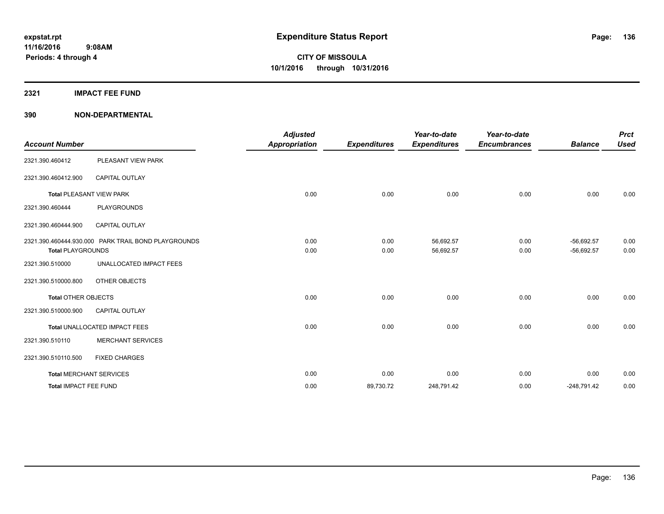### **2321 IMPACT FEE FUND**

| <b>Account Number</b>      |                                                     | <b>Adjusted</b><br><b>Appropriation</b> | <b>Expenditures</b> | Year-to-date<br><b>Expenditures</b> | Year-to-date<br><b>Encumbrances</b> | <b>Balance</b>               | <b>Prct</b><br><b>Used</b> |
|----------------------------|-----------------------------------------------------|-----------------------------------------|---------------------|-------------------------------------|-------------------------------------|------------------------------|----------------------------|
| 2321.390.460412            | PLEASANT VIEW PARK                                  |                                         |                     |                                     |                                     |                              |                            |
| 2321.390.460412.900        | <b>CAPITAL OUTLAY</b>                               |                                         |                     |                                     |                                     |                              |                            |
|                            | <b>Total PLEASANT VIEW PARK</b>                     | 0.00                                    | 0.00                | 0.00                                | 0.00                                | 0.00                         | 0.00                       |
| 2321.390.460444            | <b>PLAYGROUNDS</b>                                  |                                         |                     |                                     |                                     |                              |                            |
| 2321.390.460444.900        | <b>CAPITAL OUTLAY</b>                               |                                         |                     |                                     |                                     |                              |                            |
| <b>Total PLAYGROUNDS</b>   | 2321.390.460444.930.000 PARK TRAIL BOND PLAYGROUNDS | 0.00<br>0.00                            | 0.00<br>0.00        | 56,692.57<br>56,692.57              | 0.00<br>0.00                        | $-56,692.57$<br>$-56,692.57$ | 0.00<br>0.00               |
| 2321.390.510000            | UNALLOCATED IMPACT FEES                             |                                         |                     |                                     |                                     |                              |                            |
| 2321.390.510000.800        | OTHER OBJECTS                                       |                                         |                     |                                     |                                     |                              |                            |
| <b>Total OTHER OBJECTS</b> |                                                     | 0.00                                    | 0.00                | 0.00                                | 0.00                                | 0.00                         | 0.00                       |
| 2321.390.510000.900        | <b>CAPITAL OUTLAY</b>                               |                                         |                     |                                     |                                     |                              |                            |
|                            | Total UNALLOCATED IMPACT FEES                       | 0.00                                    | 0.00                | 0.00                                | 0.00                                | 0.00                         | 0.00                       |
| 2321.390.510110            | <b>MERCHANT SERVICES</b>                            |                                         |                     |                                     |                                     |                              |                            |
| 2321.390.510110.500        | <b>FIXED CHARGES</b>                                |                                         |                     |                                     |                                     |                              |                            |
|                            | <b>Total MERCHANT SERVICES</b>                      | 0.00                                    | 0.00                | 0.00                                | 0.00                                | 0.00                         | 0.00                       |
| Total IMPACT FEE FUND      |                                                     | 0.00                                    | 89,730.72           | 248,791.42                          | 0.00                                | $-248,791.42$                | 0.00                       |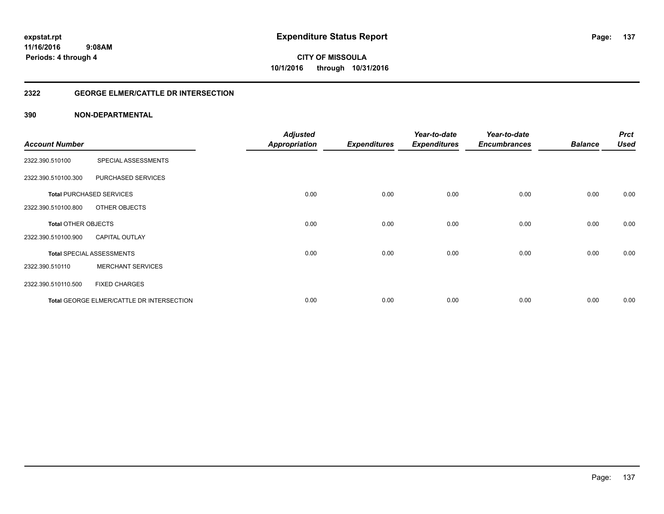#### **2322 GEORGE ELMER/CATTLE DR INTERSECTION**

| <b>Account Number</b>      |                                           | <b>Adjusted</b><br><b>Appropriation</b> | <b>Expenditures</b> | Year-to-date<br><b>Expenditures</b> | Year-to-date<br><b>Encumbrances</b> | <b>Balance</b> | <b>Prct</b><br><b>Used</b> |
|----------------------------|-------------------------------------------|-----------------------------------------|---------------------|-------------------------------------|-------------------------------------|----------------|----------------------------|
|                            |                                           |                                         |                     |                                     |                                     |                |                            |
| 2322.390.510100            | SPECIAL ASSESSMENTS                       |                                         |                     |                                     |                                     |                |                            |
| 2322.390.510100.300        | PURCHASED SERVICES                        |                                         |                     |                                     |                                     |                |                            |
|                            | <b>Total PURCHASED SERVICES</b>           | 0.00                                    | 0.00                | 0.00                                | 0.00                                | 0.00           | 0.00                       |
| 2322.390.510100.800        | OTHER OBJECTS                             |                                         |                     |                                     |                                     |                |                            |
| <b>Total OTHER OBJECTS</b> |                                           | 0.00                                    | 0.00                | 0.00                                | 0.00                                | 0.00           | 0.00                       |
| 2322.390.510100.900        | <b>CAPITAL OUTLAY</b>                     |                                         |                     |                                     |                                     |                |                            |
|                            | <b>Total SPECIAL ASSESSMENTS</b>          | 0.00                                    | 0.00                | 0.00                                | 0.00                                | 0.00           | 0.00                       |
| 2322.390.510110            | <b>MERCHANT SERVICES</b>                  |                                         |                     |                                     |                                     |                |                            |
| 2322.390.510110.500        | <b>FIXED CHARGES</b>                      |                                         |                     |                                     |                                     |                |                            |
|                            | Total GEORGE ELMER/CATTLE DR INTERSECTION | 0.00                                    | 0.00                | 0.00                                | 0.00                                | 0.00           | 0.00                       |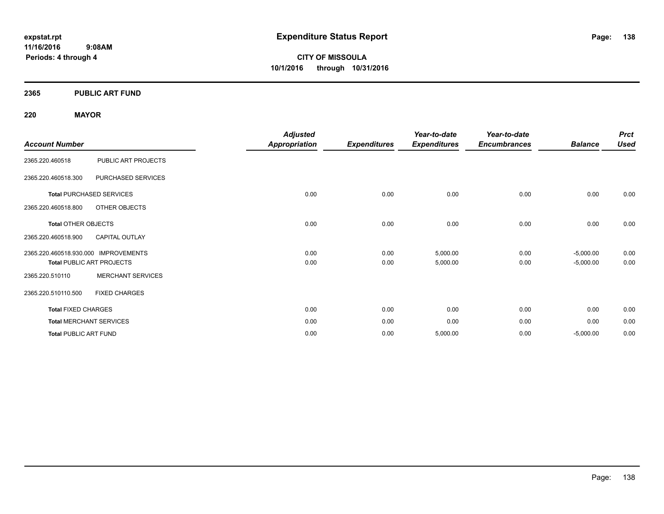**11/16/2016 9:08AM Periods: 4 through 4**

**CITY OF MISSOULA 10/1/2016 through 10/31/2016**

#### **2365 PUBLIC ART FUND**

#### **220 MAYOR**

|                                      |                                  | <b>Adjusted</b>      |                     | Year-to-date        | Year-to-date        |                | <b>Prct</b> |
|--------------------------------------|----------------------------------|----------------------|---------------------|---------------------|---------------------|----------------|-------------|
| <b>Account Number</b>                |                                  | <b>Appropriation</b> | <b>Expenditures</b> | <b>Expenditures</b> | <b>Encumbrances</b> | <b>Balance</b> | <b>Used</b> |
| 2365.220.460518                      | PUBLIC ART PROJECTS              |                      |                     |                     |                     |                |             |
| 2365.220.460518.300                  | PURCHASED SERVICES               |                      |                     |                     |                     |                |             |
|                                      | <b>Total PURCHASED SERVICES</b>  | 0.00                 | 0.00                | 0.00                | 0.00                | 0.00           | 0.00        |
| 2365.220.460518.800                  | OTHER OBJECTS                    |                      |                     |                     |                     |                |             |
| <b>Total OTHER OBJECTS</b>           |                                  | 0.00                 | 0.00                | 0.00                | 0.00                | 0.00           | 0.00        |
| 2365.220.460518.900                  | <b>CAPITAL OUTLAY</b>            |                      |                     |                     |                     |                |             |
| 2365.220.460518.930.000 IMPROVEMENTS |                                  | 0.00                 | 0.00                | 5,000.00            | 0.00                | $-5,000.00$    | 0.00        |
|                                      | <b>Total PUBLIC ART PROJECTS</b> | 0.00                 | 0.00                | 5,000.00            | 0.00                | $-5,000.00$    | 0.00        |
| 2365.220.510110                      | <b>MERCHANT SERVICES</b>         |                      |                     |                     |                     |                |             |
| 2365.220.510110.500                  | <b>FIXED CHARGES</b>             |                      |                     |                     |                     |                |             |
| <b>Total FIXED CHARGES</b>           |                                  | 0.00                 | 0.00                | 0.00                | 0.00                | 0.00           | 0.00        |
|                                      | <b>Total MERCHANT SERVICES</b>   | 0.00                 | 0.00                | 0.00                | 0.00                | 0.00           | 0.00        |
| <b>Total PUBLIC ART FUND</b>         |                                  | 0.00                 | 0.00                | 5,000.00            | 0.00                | $-5,000.00$    | 0.00        |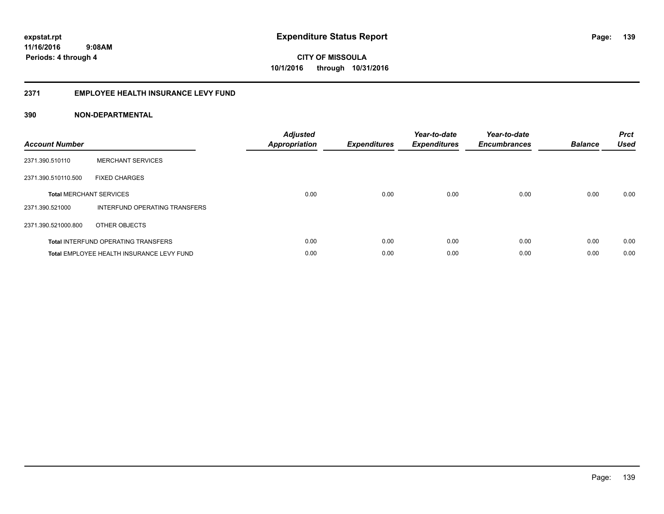#### **2371 EMPLOYEE HEALTH INSURANCE LEVY FUND**

| <b>Account Number</b> |                                            | <b>Adjusted</b><br>Appropriation | <b>Expenditures</b> | Year-to-date<br><b>Expenditures</b> | Year-to-date<br><b>Encumbrances</b> | <b>Balance</b> | <b>Prct</b><br><b>Used</b> |
|-----------------------|--------------------------------------------|----------------------------------|---------------------|-------------------------------------|-------------------------------------|----------------|----------------------------|
| 2371.390.510110       | <b>MERCHANT SERVICES</b>                   |                                  |                     |                                     |                                     |                |                            |
| 2371.390.510110.500   | <b>FIXED CHARGES</b>                       |                                  |                     |                                     |                                     |                |                            |
|                       | <b>Total MERCHANT SERVICES</b>             | 0.00                             | 0.00                | 0.00                                | 0.00                                | 0.00           | 0.00                       |
| 2371.390.521000       | INTERFUND OPERATING TRANSFERS              |                                  |                     |                                     |                                     |                |                            |
| 2371.390.521000.800   | OTHER OBJECTS                              |                                  |                     |                                     |                                     |                |                            |
|                       | <b>Total INTERFUND OPERATING TRANSFERS</b> | 0.00                             | 0.00                | 0.00                                | 0.00                                | 0.00           | 0.00                       |
|                       | Total EMPLOYEE HEALTH INSURANCE LEVY FUND  | 0.00                             | 0.00                | 0.00                                | 0.00                                | 0.00           | 0.00                       |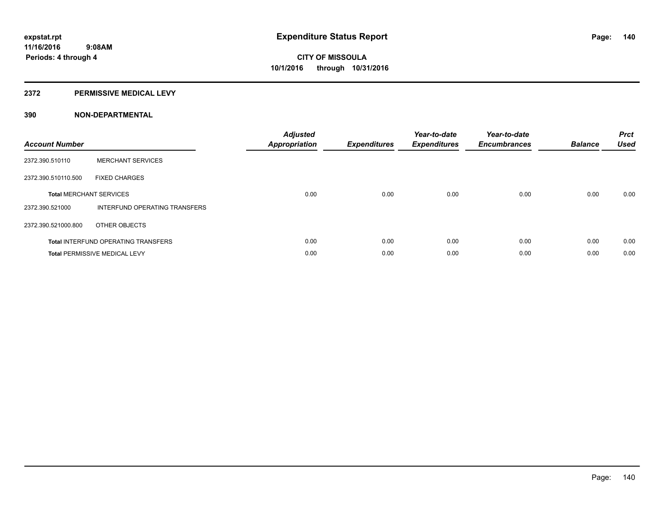#### **2372 PERMISSIVE MEDICAL LEVY**

| <b>Account Number</b> |                                            | <b>Adjusted</b><br>Appropriation | <b>Expenditures</b> | Year-to-date<br><b>Expenditures</b> | Year-to-date<br><b>Encumbrances</b> | <b>Balance</b> | <b>Prct</b><br><b>Used</b> |
|-----------------------|--------------------------------------------|----------------------------------|---------------------|-------------------------------------|-------------------------------------|----------------|----------------------------|
| 2372.390.510110       | <b>MERCHANT SERVICES</b>                   |                                  |                     |                                     |                                     |                |                            |
| 2372.390.510110.500   | <b>FIXED CHARGES</b>                       |                                  |                     |                                     |                                     |                |                            |
|                       | <b>Total MERCHANT SERVICES</b>             | 0.00                             | 0.00                | 0.00                                | 0.00                                | 0.00           | 0.00                       |
| 2372.390.521000       | INTERFUND OPERATING TRANSFERS              |                                  |                     |                                     |                                     |                |                            |
| 2372.390.521000.800   | OTHER OBJECTS                              |                                  |                     |                                     |                                     |                |                            |
|                       | <b>Total INTERFUND OPERATING TRANSFERS</b> | 0.00                             | 0.00                | 0.00                                | 0.00                                | 0.00           | 0.00                       |
|                       | <b>Total PERMISSIVE MEDICAL LEVY</b>       | 0.00                             | 0.00                | 0.00                                | 0.00                                | 0.00           | 0.00                       |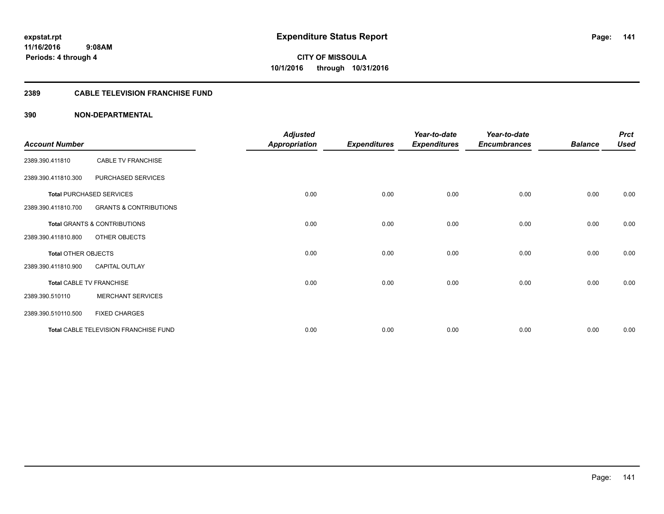#### **2389 CABLE TELEVISION FRANCHISE FUND**

| <b>Account Number</b>      |                                         | <b>Adjusted</b>      |                     | Year-to-date        | Year-to-date        | <b>Balance</b> | <b>Prct</b><br><b>Used</b> |
|----------------------------|-----------------------------------------|----------------------|---------------------|---------------------|---------------------|----------------|----------------------------|
|                            |                                         | <b>Appropriation</b> | <b>Expenditures</b> | <b>Expenditures</b> | <b>Encumbrances</b> |                |                            |
| 2389.390.411810            | <b>CABLE TV FRANCHISE</b>               |                      |                     |                     |                     |                |                            |
| 2389.390.411810.300        | PURCHASED SERVICES                      |                      |                     |                     |                     |                |                            |
|                            | <b>Total PURCHASED SERVICES</b>         | 0.00                 | 0.00                | 0.00                | 0.00                | 0.00           | 0.00                       |
| 2389.390.411810.700        | <b>GRANTS &amp; CONTRIBUTIONS</b>       |                      |                     |                     |                     |                |                            |
|                            | <b>Total GRANTS &amp; CONTRIBUTIONS</b> | 0.00                 | 0.00                | 0.00                | 0.00                | 0.00           | 0.00                       |
| 2389.390.411810.800        | OTHER OBJECTS                           |                      |                     |                     |                     |                |                            |
| <b>Total OTHER OBJECTS</b> |                                         | 0.00                 | 0.00                | 0.00                | 0.00                | 0.00           | 0.00                       |
| 2389.390.411810.900        | <b>CAPITAL OUTLAY</b>                   |                      |                     |                     |                     |                |                            |
|                            | Total CABLE TV FRANCHISE                | 0.00                 | 0.00                | 0.00                | 0.00                | 0.00           | 0.00                       |
| 2389.390.510110            | <b>MERCHANT SERVICES</b>                |                      |                     |                     |                     |                |                            |
| 2389.390.510110.500        | <b>FIXED CHARGES</b>                    |                      |                     |                     |                     |                |                            |
|                            | Total CABLE TELEVISION FRANCHISE FUND   | 0.00                 | 0.00                | 0.00                | 0.00                | 0.00           | 0.00                       |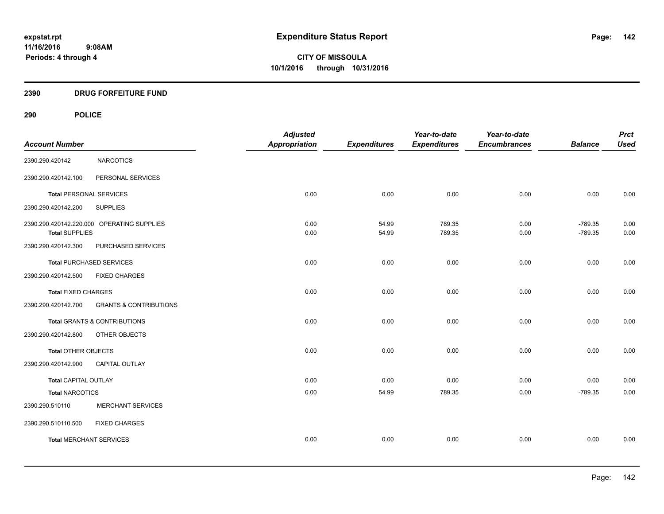#### **2390 DRUG FORFEITURE FUND**

## **290 POLICE**

| <b>Account Number</b>          |                                            | <b>Adjusted</b><br>Appropriation | <b>Expenditures</b> | Year-to-date<br><b>Expenditures</b> | Year-to-date<br><b>Encumbrances</b> | <b>Balance</b>         | <b>Prct</b><br><b>Used</b> |
|--------------------------------|--------------------------------------------|----------------------------------|---------------------|-------------------------------------|-------------------------------------|------------------------|----------------------------|
|                                |                                            |                                  |                     |                                     |                                     |                        |                            |
| 2390.290.420142                | <b>NARCOTICS</b>                           |                                  |                     |                                     |                                     |                        |                            |
| 2390.290.420142.100            | PERSONAL SERVICES                          |                                  |                     |                                     |                                     |                        |                            |
| <b>Total PERSONAL SERVICES</b> |                                            | 0.00                             | 0.00                | 0.00                                | 0.00                                | 0.00                   | 0.00                       |
| 2390.290.420142.200            | <b>SUPPLIES</b>                            |                                  |                     |                                     |                                     |                        |                            |
| <b>Total SUPPLIES</b>          | 2390.290.420142.220.000 OPERATING SUPPLIES | 0.00<br>0.00                     | 54.99<br>54.99      | 789.35<br>789.35                    | 0.00<br>0.00                        | $-789.35$<br>$-789.35$ | 0.00<br>0.00               |
| 2390.290.420142.300            | PURCHASED SERVICES                         |                                  |                     |                                     |                                     |                        |                            |
|                                | Total PURCHASED SERVICES                   | 0.00                             | 0.00                | 0.00                                | 0.00                                | 0.00                   | 0.00                       |
| 2390.290.420142.500            | <b>FIXED CHARGES</b>                       |                                  |                     |                                     |                                     |                        |                            |
| <b>Total FIXED CHARGES</b>     |                                            | 0.00                             | 0.00                | 0.00                                | 0.00                                | 0.00                   | 0.00                       |
| 2390.290.420142.700            | <b>GRANTS &amp; CONTRIBUTIONS</b>          |                                  |                     |                                     |                                     |                        |                            |
|                                | Total GRANTS & CONTRIBUTIONS               | 0.00                             | 0.00                | 0.00                                | 0.00                                | 0.00                   | 0.00                       |
| 2390.290.420142.800            | OTHER OBJECTS                              |                                  |                     |                                     |                                     |                        |                            |
| Total OTHER OBJECTS            |                                            | 0.00                             | 0.00                | 0.00                                | 0.00                                | 0.00                   | 0.00                       |
| 2390.290.420142.900            | <b>CAPITAL OUTLAY</b>                      |                                  |                     |                                     |                                     |                        |                            |
| <b>Total CAPITAL OUTLAY</b>    |                                            | 0.00                             | 0.00                | 0.00                                | 0.00                                | 0.00                   | 0.00                       |
| <b>Total NARCOTICS</b>         |                                            | 0.00                             | 54.99               | 789.35                              | 0.00                                | $-789.35$              | 0.00                       |
| 2390.290.510110                | <b>MERCHANT SERVICES</b>                   |                                  |                     |                                     |                                     |                        |                            |
| 2390.290.510110.500            | <b>FIXED CHARGES</b>                       |                                  |                     |                                     |                                     |                        |                            |
| <b>Total MERCHANT SERVICES</b> |                                            | 0.00                             | 0.00                | 0.00                                | 0.00                                | 0.00                   | 0.00                       |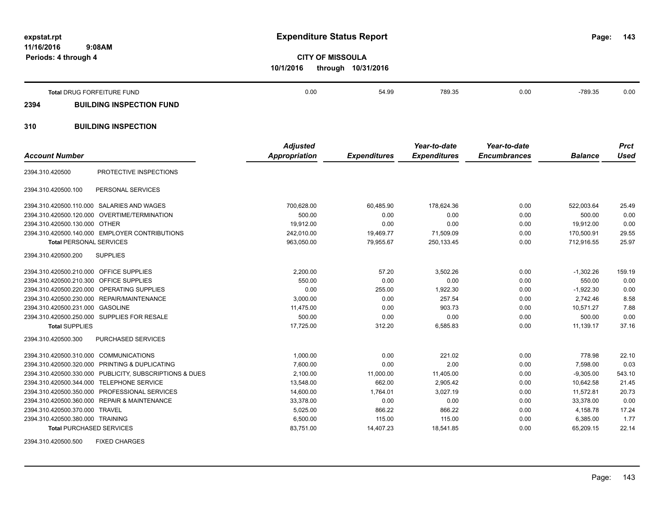**11/16/2016 9:08AM Periods: 4 through 4**

**143**

**CITY OF MISSOULA 10/1/2016 through 10/31/2016**

|      | Total DRUG FORFEITURE FUND      | 0.00 | 54.99 | 789.35 | 0.00 | $-789.35$ | 0.00 |
|------|---------------------------------|------|-------|--------|------|-----------|------|
| 2394 | <b>BUILDING INSPECTION FUND</b> |      |       |        |      |           |      |
| 310  | <b>BUILDING INSPECTION</b>      |      |       |        |      |           |      |

| <b>Account Number</b>                     |                                                         | <b>Adjusted</b><br>Appropriation | <b>Expenditures</b> | Year-to-date<br><b>Expenditures</b> | Year-to-date<br><b>Encumbrances</b> | <b>Balance</b> | <b>Prct</b><br><b>Used</b> |
|-------------------------------------------|---------------------------------------------------------|----------------------------------|---------------------|-------------------------------------|-------------------------------------|----------------|----------------------------|
| 2394.310.420500                           | PROTECTIVE INSPECTIONS                                  |                                  |                     |                                     |                                     |                |                            |
| 2394.310.420500.100                       | PERSONAL SERVICES                                       |                                  |                     |                                     |                                     |                |                            |
|                                           | 2394.310.420500.110.000 SALARIES AND WAGES              | 700,628.00                       | 60,485.90           | 178,624.36                          | 0.00                                | 522,003.64     | 25.49                      |
|                                           | 2394.310.420500.120.000 OVERTIME/TERMINATION            | 500.00                           | 0.00                | 0.00                                | 0.00                                | 500.00         | 0.00                       |
| 2394.310.420500.130.000 OTHER             |                                                         | 19,912.00                        | 0.00                | 0.00                                | 0.00                                | 19,912.00      | 0.00                       |
|                                           | 2394.310.420500.140.000 EMPLOYER CONTRIBUTIONS          | 242,010.00                       | 19,469.77           | 71,509.09                           | 0.00                                | 170,500.91     | 29.55                      |
| <b>Total PERSONAL SERVICES</b>            |                                                         | 963,050.00                       | 79,955.67           | 250,133.45                          | 0.00                                | 712,916.55     | 25.97                      |
| 2394.310.420500.200                       | <b>SUPPLIES</b>                                         |                                  |                     |                                     |                                     |                |                            |
| 2394.310.420500.210.000 OFFICE SUPPLIES   |                                                         | 2,200.00                         | 57.20               | 3,502.26                            | 0.00                                | $-1,302.26$    | 159.19                     |
| 2394.310.420500.210.300                   | OFFICE SUPPLIES                                         | 550.00                           | 0.00                | 0.00                                | 0.00                                | 550.00         | 0.00                       |
|                                           | 2394.310.420500.220.000 OPERATING SUPPLIES              | 0.00                             | 255.00              | 1,922.30                            | 0.00                                | $-1,922.30$    | 0.00                       |
|                                           | 2394.310.420500.230.000 REPAIR/MAINTENANCE              | 3,000.00                         | 0.00                | 257.54                              | 0.00                                | 2.742.46       | 8.58                       |
| 2394.310.420500.231.000                   | <b>GASOLINE</b>                                         | 11,475.00                        | 0.00                | 903.73                              | 0.00                                | 10,571.27      | 7.88                       |
|                                           | 2394.310.420500.250.000 SUPPLIES FOR RESALE             | 500.00                           | 0.00                | 0.00                                | 0.00                                | 500.00         | 0.00                       |
| <b>Total SUPPLIES</b>                     |                                                         | 17,725.00                        | 312.20              | 6,585.83                            | 0.00                                | 11,139.17      | 37.16                      |
| 2394.310.420500.300                       | PURCHASED SERVICES                                      |                                  |                     |                                     |                                     |                |                            |
| 2394.310.420500.310.000 COMMUNICATIONS    |                                                         | 1,000.00                         | 0.00                | 221.02                              | 0.00                                | 778.98         | 22.10                      |
|                                           | 2394.310.420500.320.000 PRINTING & DUPLICATING          | 7,600.00                         | 0.00                | 2.00                                | 0.00                                | 7,598.00       | 0.03                       |
|                                           | 2394.310.420500.330.000 PUBLICITY, SUBSCRIPTIONS & DUES | 2,100.00                         | 11,000.00           | 11,405.00                           | 0.00                                | $-9,305.00$    | 543.10                     |
| 2394.310.420500.344.000 TELEPHONE SERVICE |                                                         | 13,548.00                        | 662.00              | 2,905.42                            | 0.00                                | 10.642.58      | 21.45                      |
|                                           | 2394.310.420500.350.000 PROFESSIONAL SERVICES           | 14,600.00                        | 1,764.01            | 3,027.19                            | 0.00                                | 11,572.81      | 20.73                      |
|                                           | 2394.310.420500.360.000 REPAIR & MAINTENANCE            | 33,378.00                        | 0.00                | 0.00                                | 0.00                                | 33,378.00      | 0.00                       |
| 2394.310.420500.370.000 TRAVEL            |                                                         | 5,025.00                         | 866.22              | 866.22                              | 0.00                                | 4,158.78       | 17.24                      |
| 2394.310.420500.380.000 TRAINING          |                                                         | 6,500.00                         | 115.00              | 115.00                              | 0.00                                | 6,385.00       | 1.77                       |
| <b>Total PURCHASED SERVICES</b>           |                                                         | 83,751.00                        | 14,407.23           | 18,541.85                           | 0.00                                | 65,209.15      | 22.14                      |
|                                           |                                                         |                                  |                     |                                     |                                     |                |                            |

2394.310.420500.500 FIXED CHARGES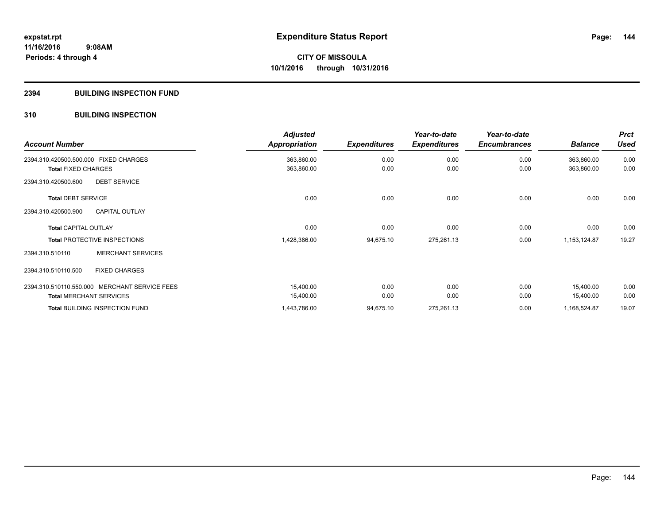#### **2394 BUILDING INSPECTION FUND**

#### **310 BUILDING INSPECTION**

| <b>Account Number</b>                         | <b>Adjusted</b><br><b>Appropriation</b> | <b>Expenditures</b> | Year-to-date<br><b>Expenditures</b> | Year-to-date<br><b>Encumbrances</b> | <b>Balance</b> | <b>Prct</b><br><b>Used</b> |
|-----------------------------------------------|-----------------------------------------|---------------------|-------------------------------------|-------------------------------------|----------------|----------------------------|
| 2394.310.420500.500.000 FIXED CHARGES         | 363,860.00                              | 0.00                | 0.00                                | 0.00                                | 363,860.00     | 0.00                       |
| <b>Total FIXED CHARGES</b>                    | 363,860.00                              | 0.00                | 0.00                                | 0.00                                | 363,860.00     | 0.00                       |
| 2394.310.420500.600<br><b>DEBT SERVICE</b>    |                                         |                     |                                     |                                     |                |                            |
| <b>Total DEBT SERVICE</b>                     | 0.00                                    | 0.00                | 0.00                                | 0.00                                | 0.00           | 0.00                       |
| <b>CAPITAL OUTLAY</b><br>2394.310.420500.900  |                                         |                     |                                     |                                     |                |                            |
| <b>Total CAPITAL OUTLAY</b>                   | 0.00                                    | 0.00                | 0.00                                | 0.00                                | 0.00           | 0.00                       |
| <b>Total PROTECTIVE INSPECTIONS</b>           | 1,428,386.00                            | 94,675.10           | 275,261.13                          | 0.00                                | 1,153,124.87   | 19.27                      |
| <b>MERCHANT SERVICES</b><br>2394.310.510110   |                                         |                     |                                     |                                     |                |                            |
| <b>FIXED CHARGES</b><br>2394.310.510110.500   |                                         |                     |                                     |                                     |                |                            |
| 2394.310.510110.550.000 MERCHANT SERVICE FEES | 15,400.00                               | 0.00                | 0.00                                | 0.00                                | 15,400.00      | 0.00                       |
| <b>Total MERCHANT SERVICES</b>                | 15,400.00                               | 0.00                | 0.00                                | 0.00                                | 15,400.00      | 0.00                       |
| <b>Total BUILDING INSPECTION FUND</b>         | 1,443,786.00                            | 94,675.10           | 275,261.13                          | 0.00                                | 1,168,524.87   | 19.07                      |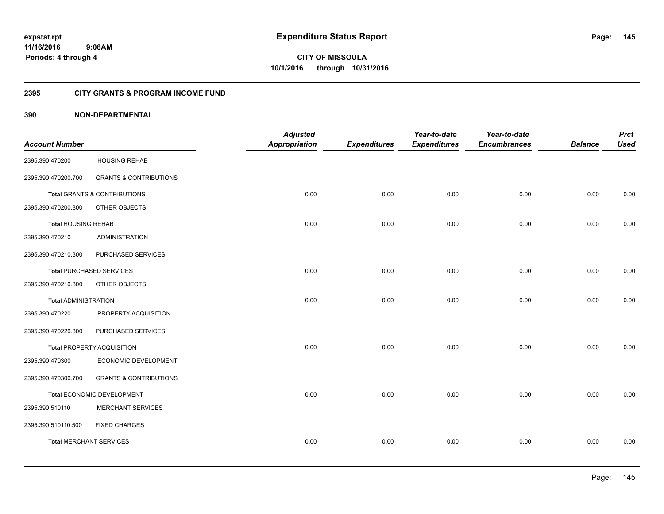## **2395 CITY GRANTS & PROGRAM INCOME FUND**

## **390 NON-DEPARTMENTAL**

| <b>Account Number</b>           |                                   | <b>Adjusted</b><br><b>Appropriation</b> | <b>Expenditures</b> | Year-to-date<br><b>Expenditures</b> | Year-to-date<br><b>Encumbrances</b> | <b>Balance</b> | <b>Prct</b><br><b>Used</b> |
|---------------------------------|-----------------------------------|-----------------------------------------|---------------------|-------------------------------------|-------------------------------------|----------------|----------------------------|
| 2395.390.470200                 | <b>HOUSING REHAB</b>              |                                         |                     |                                     |                                     |                |                            |
| 2395.390.470200.700             | <b>GRANTS &amp; CONTRIBUTIONS</b> |                                         |                     |                                     |                                     |                |                            |
|                                 | Total GRANTS & CONTRIBUTIONS      | 0.00                                    | 0.00                | 0.00                                | 0.00                                | 0.00           | 0.00                       |
| 2395.390.470200.800             | OTHER OBJECTS                     |                                         |                     |                                     |                                     |                |                            |
| <b>Total HOUSING REHAB</b>      |                                   | 0.00                                    | 0.00                | 0.00                                | 0.00                                | 0.00           | 0.00                       |
| 2395.390.470210                 | <b>ADMINISTRATION</b>             |                                         |                     |                                     |                                     |                |                            |
| 2395.390.470210.300             | PURCHASED SERVICES                |                                         |                     |                                     |                                     |                |                            |
| <b>Total PURCHASED SERVICES</b> |                                   | 0.00                                    | 0.00                | 0.00                                | 0.00                                | 0.00           | 0.00                       |
| 2395.390.470210.800             | OTHER OBJECTS                     |                                         |                     |                                     |                                     |                |                            |
| <b>Total ADMINISTRATION</b>     |                                   | 0.00                                    | 0.00                | 0.00                                | 0.00                                | 0.00           | 0.00                       |
| 2395.390.470220                 | PROPERTY ACQUISITION              |                                         |                     |                                     |                                     |                |                            |
| 2395.390.470220.300             | PURCHASED SERVICES                |                                         |                     |                                     |                                     |                |                            |
|                                 | <b>Total PROPERTY ACQUISITION</b> | 0.00                                    | 0.00                | 0.00                                | 0.00                                | 0.00           | 0.00                       |
| 2395.390.470300                 | ECONOMIC DEVELOPMENT              |                                         |                     |                                     |                                     |                |                            |
| 2395.390.470300.700             | <b>GRANTS &amp; CONTRIBUTIONS</b> |                                         |                     |                                     |                                     |                |                            |
|                                 | Total ECONOMIC DEVELOPMENT        | 0.00                                    | 0.00                | 0.00                                | 0.00                                | 0.00           | 0.00                       |
| 2395.390.510110                 | <b>MERCHANT SERVICES</b>          |                                         |                     |                                     |                                     |                |                            |
| 2395.390.510110.500             | <b>FIXED CHARGES</b>              |                                         |                     |                                     |                                     |                |                            |
| <b>Total MERCHANT SERVICES</b>  |                                   | 0.00                                    | 0.00                | 0.00                                | 0.00                                | 0.00           | 0.00                       |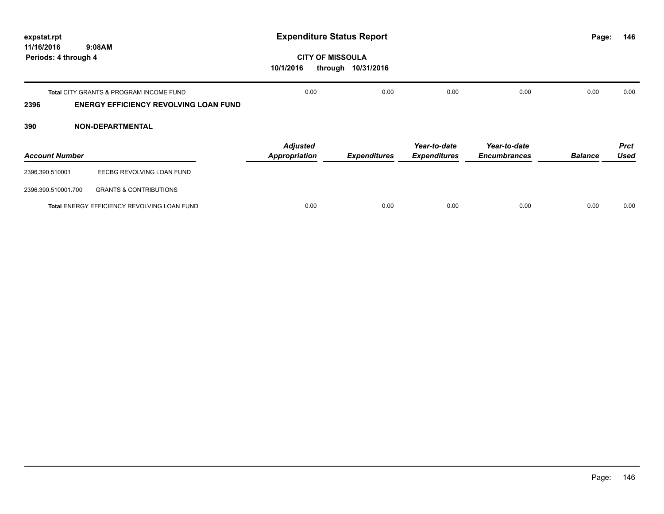| expstat.rpt                                  |                                                                                                    | <b>Expenditure Status Report</b>                |                     |                                     |                                     |                |                            |
|----------------------------------------------|----------------------------------------------------------------------------------------------------|-------------------------------------------------|---------------------|-------------------------------------|-------------------------------------|----------------|----------------------------|
| 11/16/2016<br>9:08AM<br>Periods: 4 through 4 |                                                                                                    | <b>CITY OF MISSOULA</b><br>10/1/2016<br>through | 10/31/2016          |                                     |                                     |                |                            |
| 2396                                         | <b>Total CITY GRANTS &amp; PROGRAM INCOME FUND</b><br><b>ENERGY EFFICIENCY REVOLVING LOAN FUND</b> | 0.00                                            | 0.00                | 0.00                                | 0.00                                | 0.00           | 0.00                       |
| 390                                          | <b>NON-DEPARTMENTAL</b>                                                                            |                                                 |                     |                                     |                                     |                |                            |
| <b>Account Number</b>                        |                                                                                                    | <b>Adjusted</b><br><b>Appropriation</b>         | <b>Expenditures</b> | Year-to-date<br><b>Expenditures</b> | Year-to-date<br><b>Encumbrances</b> | <b>Balance</b> | <b>Prct</b><br><b>Used</b> |
| 2396.390.510001                              | EECBG REVOLVING LOAN FUND                                                                          |                                                 |                     |                                     |                                     |                |                            |
| 2396.390.510001.700                          | <b>GRANTS &amp; CONTRIBUTIONS</b>                                                                  |                                                 |                     |                                     |                                     |                |                            |
|                                              | Total ENERGY EFFICIENCY REVOLVING LOAN FUND                                                        | 0.00                                            | 0.00                | 0.00                                | 0.00                                | 0.00           | 0.00                       |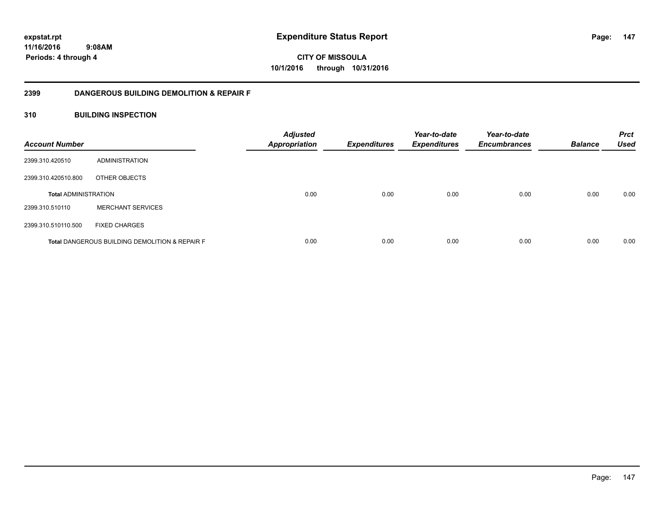**147**

**CITY OF MISSOULA 10/1/2016 through 10/31/2016**

## **2399 DANGEROUS BUILDING DEMOLITION & REPAIR F**

## **310 BUILDING INSPECTION**

| <b>Account Number</b>       |                                                           | <b>Adjusted</b><br>Appropriation | <b>Expenditures</b> | Year-to-date<br><b>Expenditures</b> | Year-to-date<br><b>Encumbrances</b> | <b>Balance</b> | <b>Prct</b><br><b>Used</b> |
|-----------------------------|-----------------------------------------------------------|----------------------------------|---------------------|-------------------------------------|-------------------------------------|----------------|----------------------------|
| 2399.310.420510             | ADMINISTRATION                                            |                                  |                     |                                     |                                     |                |                            |
| 2399.310.420510.800         | OTHER OBJECTS                                             |                                  |                     |                                     |                                     |                |                            |
| <b>Total ADMINISTRATION</b> |                                                           | 0.00                             | 0.00                | 0.00                                | 0.00                                | 0.00           | 0.00                       |
| 2399.310.510110             | <b>MERCHANT SERVICES</b>                                  |                                  |                     |                                     |                                     |                |                            |
| 2399.310.510110.500         | <b>FIXED CHARGES</b>                                      |                                  |                     |                                     |                                     |                |                            |
|                             | <b>Total DANGEROUS BUILDING DEMOLITION &amp; REPAIR F</b> | 0.00                             | 0.00                | 0.00                                | 0.00                                | 0.00           | 0.00                       |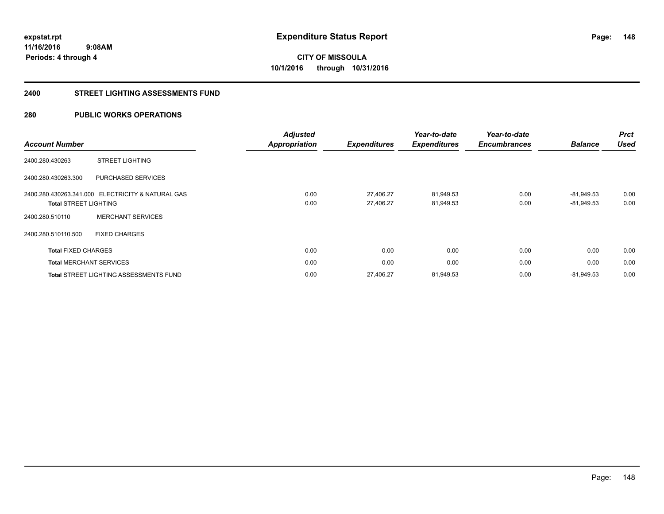**148**

**11/16/2016 9:08AM Periods: 4 through 4**

# **CITY OF MISSOULA 10/1/2016 through 10/31/2016**

## **2400 STREET LIGHTING ASSESSMENTS FUND**

## **280 PUBLIC WORKS OPERATIONS**

| <b>Account Number</b>        |                                                   | <b>Adjusted</b>      | <b>Expenditures</b> | Year-to-date<br><b>Expenditures</b> | Year-to-date<br><b>Encumbrances</b> | <b>Balance</b> | <b>Prct</b><br><b>Used</b> |
|------------------------------|---------------------------------------------------|----------------------|---------------------|-------------------------------------|-------------------------------------|----------------|----------------------------|
|                              |                                                   | <b>Appropriation</b> |                     |                                     |                                     |                |                            |
| 2400.280.430263              | <b>STREET LIGHTING</b>                            |                      |                     |                                     |                                     |                |                            |
| 2400.280.430263.300          | PURCHASED SERVICES                                |                      |                     |                                     |                                     |                |                            |
|                              | 2400.280.430263.341.000 ELECTRICITY & NATURAL GAS | 0.00                 | 27,406.27           | 81,949.53                           | 0.00                                | $-81.949.53$   | 0.00                       |
| <b>Total STREET LIGHTING</b> |                                                   | 0.00                 | 27,406.27           | 81,949.53                           | 0.00                                | $-81,949.53$   | 0.00                       |
| 2400.280.510110              | <b>MERCHANT SERVICES</b>                          |                      |                     |                                     |                                     |                |                            |
| 2400.280.510110.500          | <b>FIXED CHARGES</b>                              |                      |                     |                                     |                                     |                |                            |
| <b>Total FIXED CHARGES</b>   |                                                   | 0.00                 | 0.00                | 0.00                                | 0.00                                | 0.00           | 0.00                       |
|                              | <b>Total MERCHANT SERVICES</b>                    | 0.00                 | 0.00                | 0.00                                | 0.00                                | 0.00           | 0.00                       |
|                              | <b>Total STREET LIGHTING ASSESSMENTS FUND</b>     | 0.00                 | 27.406.27           | 81,949.53                           | 0.00                                | $-81.949.53$   | 0.00                       |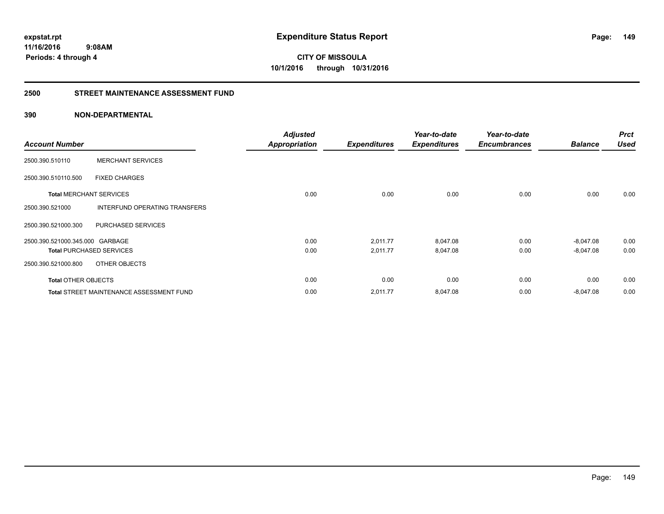**149**

**CITY OF MISSOULA 10/1/2016 through 10/31/2016**

## **2500 STREET MAINTENANCE ASSESSMENT FUND**

## **390 NON-DEPARTMENTAL**

| <b>Account Number</b>           |                                                 | <b>Adjusted</b><br><b>Appropriation</b> | <b>Expenditures</b> | Year-to-date<br><b>Expenditures</b> | Year-to-date<br><b>Encumbrances</b> | <b>Balance</b> | <b>Prct</b><br><b>Used</b> |
|---------------------------------|-------------------------------------------------|-----------------------------------------|---------------------|-------------------------------------|-------------------------------------|----------------|----------------------------|
| 2500.390.510110                 | <b>MERCHANT SERVICES</b>                        |                                         |                     |                                     |                                     |                |                            |
| 2500.390.510110.500             | <b>FIXED CHARGES</b>                            |                                         |                     |                                     |                                     |                |                            |
| <b>Total MERCHANT SERVICES</b>  |                                                 | 0.00                                    | 0.00                | 0.00                                | 0.00                                | 0.00           | 0.00                       |
| 2500.390.521000                 | INTERFUND OPERATING TRANSFERS                   |                                         |                     |                                     |                                     |                |                            |
| 2500.390.521000.300             | PURCHASED SERVICES                              |                                         |                     |                                     |                                     |                |                            |
| 2500.390.521000.345.000 GARBAGE |                                                 | 0.00                                    | 2,011.77            | 8,047.08                            | 0.00                                | $-8,047.08$    | 0.00                       |
| <b>Total PURCHASED SERVICES</b> |                                                 | 0.00                                    | 2,011.77            | 8,047.08                            | 0.00                                | $-8,047.08$    | 0.00                       |
| 2500.390.521000.800             | OTHER OBJECTS                                   |                                         |                     |                                     |                                     |                |                            |
| <b>Total OTHER OBJECTS</b>      |                                                 | 0.00                                    | 0.00                | 0.00                                | 0.00                                | 0.00           | 0.00                       |
|                                 | <b>Total STREET MAINTENANCE ASSESSMENT FUND</b> | 0.00                                    | 2,011.77            | 8,047.08                            | 0.00                                | $-8,047.08$    | 0.00                       |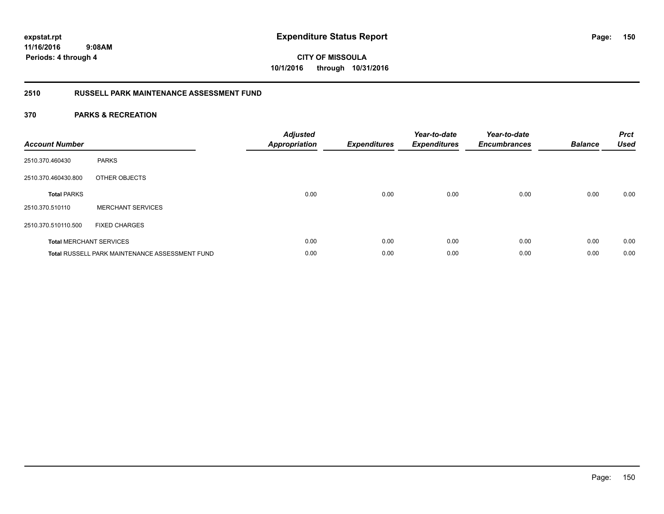**CITY OF MISSOULA 10/1/2016 through 10/31/2016**

## **2510 RUSSELL PARK MAINTENANCE ASSESSMENT FUND**

| <b>Account Number</b> |                                                       | <b>Adjusted</b><br><b>Appropriation</b> | <b>Expenditures</b> | Year-to-date<br><b>Expenditures</b> | Year-to-date<br><b>Encumbrances</b> | <b>Balance</b> | <b>Prct</b><br><b>Used</b> |
|-----------------------|-------------------------------------------------------|-----------------------------------------|---------------------|-------------------------------------|-------------------------------------|----------------|----------------------------|
| 2510.370.460430       | <b>PARKS</b>                                          |                                         |                     |                                     |                                     |                |                            |
| 2510.370.460430.800   | OTHER OBJECTS                                         |                                         |                     |                                     |                                     |                |                            |
| <b>Total PARKS</b>    |                                                       | 0.00                                    | 0.00                | 0.00                                | 0.00                                | 0.00           | 0.00                       |
| 2510.370.510110       | <b>MERCHANT SERVICES</b>                              |                                         |                     |                                     |                                     |                |                            |
| 2510.370.510110.500   | <b>FIXED CHARGES</b>                                  |                                         |                     |                                     |                                     |                |                            |
|                       | <b>Total MERCHANT SERVICES</b>                        | 0.00                                    | 0.00                | 0.00                                | 0.00                                | 0.00           | 0.00                       |
|                       | <b>Total RUSSELL PARK MAINTENANCE ASSESSMENT FUND</b> | 0.00                                    | 0.00                | 0.00                                | 0.00                                | 0.00           | 0.00                       |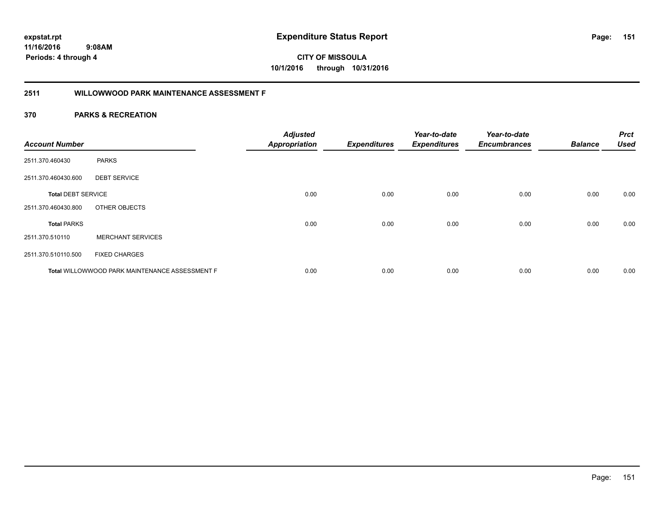**CITY OF MISSOULA 10/1/2016 through 10/31/2016**

## **2511 WILLOWWOOD PARK MAINTENANCE ASSESSMENT F**

| <b>Account Number</b>     |                                                       | <b>Adjusted</b><br><b>Appropriation</b> | <b>Expenditures</b> | Year-to-date<br><b>Expenditures</b> | Year-to-date<br><b>Encumbrances</b> | <b>Balance</b> | <b>Prct</b><br><b>Used</b> |
|---------------------------|-------------------------------------------------------|-----------------------------------------|---------------------|-------------------------------------|-------------------------------------|----------------|----------------------------|
| 2511.370.460430           | <b>PARKS</b>                                          |                                         |                     |                                     |                                     |                |                            |
| 2511.370.460430.600       | <b>DEBT SERVICE</b>                                   |                                         |                     |                                     |                                     |                |                            |
| <b>Total DEBT SERVICE</b> |                                                       | 0.00                                    | 0.00                | 0.00                                | 0.00                                | 0.00           | 0.00                       |
| 2511.370.460430.800       | OTHER OBJECTS                                         |                                         |                     |                                     |                                     |                |                            |
| <b>Total PARKS</b>        |                                                       | 0.00                                    | 0.00                | 0.00                                | 0.00                                | 0.00           | 0.00                       |
| 2511.370.510110           | <b>MERCHANT SERVICES</b>                              |                                         |                     |                                     |                                     |                |                            |
| 2511.370.510110.500       | <b>FIXED CHARGES</b>                                  |                                         |                     |                                     |                                     |                |                            |
|                           | <b>Total WILLOWWOOD PARK MAINTENANCE ASSESSMENT F</b> | 0.00                                    | 0.00                | 0.00                                | 0.00                                | 0.00           | 0.00                       |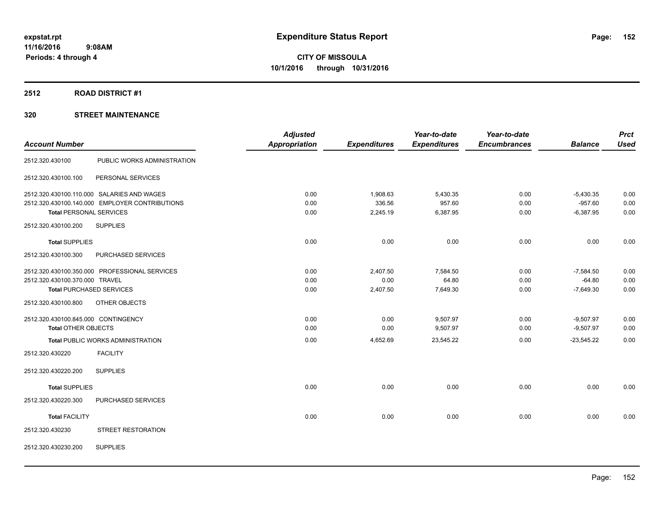## **2512 ROAD DISTRICT #1**

|                                     |                                                | <b>Adjusted</b> |                     | Year-to-date        | Year-to-date        |                | <b>Prct</b> |
|-------------------------------------|------------------------------------------------|-----------------|---------------------|---------------------|---------------------|----------------|-------------|
| <b>Account Number</b>               |                                                | Appropriation   | <b>Expenditures</b> | <b>Expenditures</b> | <b>Encumbrances</b> | <b>Balance</b> | <b>Used</b> |
| 2512.320.430100                     | PUBLIC WORKS ADMINISTRATION                    |                 |                     |                     |                     |                |             |
| 2512.320.430100.100                 | PERSONAL SERVICES                              |                 |                     |                     |                     |                |             |
|                                     | 2512.320.430100.110.000 SALARIES AND WAGES     | 0.00            | 1,908.63            | 5,430.35            | 0.00                | $-5,430.35$    | 0.00        |
|                                     | 2512.320.430100.140.000 EMPLOYER CONTRIBUTIONS | 0.00            | 336.56              | 957.60              | 0.00                | $-957.60$      | 0.00        |
| <b>Total PERSONAL SERVICES</b>      |                                                | 0.00            | 2,245.19            | 6,387.95            | 0.00                | $-6,387.95$    | 0.00        |
| 2512.320.430100.200                 | <b>SUPPLIES</b>                                |                 |                     |                     |                     |                |             |
| <b>Total SUPPLIES</b>               |                                                | 0.00            | 0.00                | 0.00                | 0.00                | 0.00           | 0.00        |
| 2512.320.430100.300                 | PURCHASED SERVICES                             |                 |                     |                     |                     |                |             |
|                                     | 2512.320.430100.350.000 PROFESSIONAL SERVICES  | 0.00            | 2,407.50            | 7,584.50            | 0.00                | $-7,584.50$    | 0.00        |
| 2512.320.430100.370.000 TRAVEL      |                                                | 0.00            | 0.00                | 64.80               | 0.00                | $-64.80$       | 0.00        |
| <b>Total PURCHASED SERVICES</b>     |                                                | 0.00            | 2,407.50            | 7,649.30            | 0.00                | $-7,649.30$    | 0.00        |
| 2512.320.430100.800                 | OTHER OBJECTS                                  |                 |                     |                     |                     |                |             |
| 2512.320.430100.845.000 CONTINGENCY |                                                | 0.00            | 0.00                | 9,507.97            | 0.00                | $-9,507.97$    | 0.00        |
| <b>Total OTHER OBJECTS</b>          |                                                | 0.00            | 0.00                | 9,507.97            | 0.00                | $-9,507.97$    | 0.00        |
|                                     | <b>Total PUBLIC WORKS ADMINISTRATION</b>       | 0.00            | 4,652.69            | 23,545.22           | 0.00                | $-23,545.22$   | 0.00        |
| 2512.320.430220                     | <b>FACILITY</b>                                |                 |                     |                     |                     |                |             |
| 2512.320.430220.200                 | <b>SUPPLIES</b>                                |                 |                     |                     |                     |                |             |
| <b>Total SUPPLIES</b>               |                                                | 0.00            | 0.00                | 0.00                | 0.00                | 0.00           | 0.00        |
| 2512.320.430220.300                 | PURCHASED SERVICES                             |                 |                     |                     |                     |                |             |
| <b>Total FACILITY</b>               |                                                | 0.00            | 0.00                | 0.00                | 0.00                | 0.00           | 0.00        |
| 2512.320.430230                     | STREET RESTORATION                             |                 |                     |                     |                     |                |             |
| 2512.320.430230.200                 | <b>SUPPLIES</b>                                |                 |                     |                     |                     |                |             |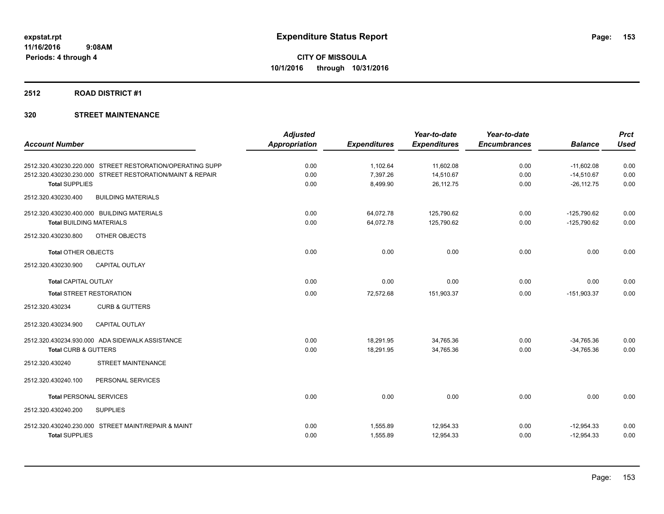## **2512 ROAD DISTRICT #1**

|                                                           | <b>Adjusted</b>      |                     | Year-to-date        | Year-to-date        |                | <b>Prct</b> |
|-----------------------------------------------------------|----------------------|---------------------|---------------------|---------------------|----------------|-------------|
| <b>Account Number</b>                                     | <b>Appropriation</b> | <b>Expenditures</b> | <b>Expenditures</b> | <b>Encumbrances</b> | <b>Balance</b> | <b>Used</b> |
| 2512.320.430230.220.000 STREET RESTORATION/OPERATING SUPP | 0.00                 | 1,102.64            | 11,602.08           | 0.00                | $-11,602.08$   | 0.00        |
| 2512.320.430230.230.000 STREET RESTORATION/MAINT & REPAIR | 0.00                 | 7,397.26            | 14,510.67           | 0.00                | $-14,510.67$   | 0.00        |
| <b>Total SUPPLIES</b>                                     | 0.00                 | 8,499.90            | 26,112.75           | 0.00                | $-26, 112.75$  | 0.00        |
| 2512.320.430230.400<br><b>BUILDING MATERIALS</b>          |                      |                     |                     |                     |                |             |
| 2512.320.430230.400.000 BUILDING MATERIALS                | 0.00                 | 64,072.78           | 125,790.62          | 0.00                | $-125,790.62$  | 0.00        |
| <b>Total BUILDING MATERIALS</b>                           | 0.00                 | 64,072.78           | 125,790.62          | 0.00                | $-125,790.62$  | 0.00        |
| OTHER OBJECTS<br>2512.320.430230.800                      |                      |                     |                     |                     |                |             |
| <b>Total OTHER OBJECTS</b>                                | 0.00                 | 0.00                | 0.00                | 0.00                | 0.00           | 0.00        |
| 2512.320.430230.900<br><b>CAPITAL OUTLAY</b>              |                      |                     |                     |                     |                |             |
| <b>Total CAPITAL OUTLAY</b>                               | 0.00                 | 0.00                | 0.00                | 0.00                | 0.00           | 0.00        |
| <b>Total STREET RESTORATION</b>                           | 0.00                 | 72,572.68           | 151,903.37          | 0.00                | $-151,903.37$  | 0.00        |
| 2512.320.430234<br><b>CURB &amp; GUTTERS</b>              |                      |                     |                     |                     |                |             |
| <b>CAPITAL OUTLAY</b><br>2512.320.430234.900              |                      |                     |                     |                     |                |             |
| 2512.320.430234.930.000 ADA SIDEWALK ASSISTANCE           | 0.00                 | 18,291.95           | 34,765.36           | 0.00                | $-34,765.36$   | 0.00        |
| <b>Total CURB &amp; GUTTERS</b>                           | 0.00                 | 18,291.95           | 34,765.36           | 0.00                | $-34,765.36$   | 0.00        |
| <b>STREET MAINTENANCE</b><br>2512.320.430240              |                      |                     |                     |                     |                |             |
| 2512.320.430240.100<br>PERSONAL SERVICES                  |                      |                     |                     |                     |                |             |
| <b>Total PERSONAL SERVICES</b>                            | 0.00                 | 0.00                | 0.00                | 0.00                | 0.00           | 0.00        |
| <b>SUPPLIES</b><br>2512.320.430240.200                    |                      |                     |                     |                     |                |             |
| 2512.320.430240.230.000 STREET MAINT/REPAIR & MAINT       | 0.00                 | 1,555.89            | 12,954.33           | 0.00                | $-12,954.33$   | 0.00        |
| <b>Total SUPPLIES</b>                                     | 0.00                 | 1,555.89            | 12,954.33           | 0.00                | $-12,954.33$   | 0.00        |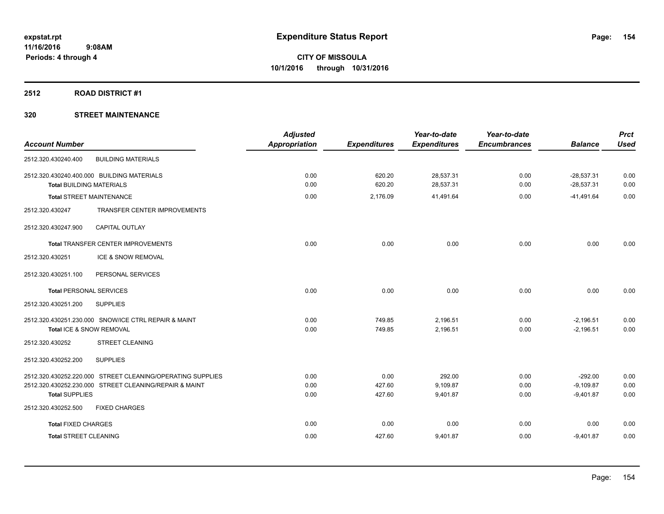## **2512 ROAD DISTRICT #1**

| <b>Account Number</b>                                                                                                | <b>Adjusted</b><br><b>Appropriation</b> | <b>Expenditures</b> | Year-to-date<br><b>Expenditures</b> | Year-to-date<br><b>Encumbrances</b> | <b>Balance</b>               | <b>Prct</b><br><b>Used</b> |
|----------------------------------------------------------------------------------------------------------------------|-----------------------------------------|---------------------|-------------------------------------|-------------------------------------|------------------------------|----------------------------|
| 2512.320.430240.400<br><b>BUILDING MATERIALS</b>                                                                     |                                         |                     |                                     |                                     |                              |                            |
| 2512.320.430240.400.000 BUILDING MATERIALS<br><b>Total BUILDING MATERIALS</b>                                        | 0.00<br>0.00                            | 620.20<br>620.20    | 28,537.31<br>28,537.31              | 0.00<br>0.00                        | $-28,537.31$<br>$-28,537.31$ | 0.00<br>0.00               |
| <b>Total STREET MAINTENANCE</b>                                                                                      | 0.00                                    | 2,176.09            | 41,491.64                           | 0.00                                | $-41,491.64$                 | 0.00                       |
| TRANSFER CENTER IMPROVEMENTS<br>2512.320.430247                                                                      |                                         |                     |                                     |                                     |                              |                            |
| 2512.320.430247.900<br><b>CAPITAL OUTLAY</b>                                                                         |                                         |                     |                                     |                                     |                              |                            |
| Total TRANSFER CENTER IMPROVEMENTS                                                                                   | 0.00                                    | 0.00                | 0.00                                | 0.00                                | 0.00                         | 0.00                       |
| ICE & SNOW REMOVAL<br>2512.320.430251                                                                                |                                         |                     |                                     |                                     |                              |                            |
| 2512.320.430251.100<br>PERSONAL SERVICES                                                                             |                                         |                     |                                     |                                     |                              |                            |
| <b>Total PERSONAL SERVICES</b>                                                                                       | 0.00                                    | 0.00                | 0.00                                | 0.00                                | 0.00                         | 0.00                       |
| 2512.320.430251.200<br><b>SUPPLIES</b>                                                                               |                                         |                     |                                     |                                     |                              |                            |
| 2512.320.430251.230.000 SNOW/ICE CTRL REPAIR & MAINT<br>Total ICE & SNOW REMOVAL                                     | 0.00<br>0.00                            | 749.85<br>749.85    | 2,196.51<br>2,196.51                | 0.00<br>0.00                        | $-2,196.51$<br>$-2,196.51$   | 0.00<br>0.00               |
| <b>STREET CLEANING</b><br>2512.320.430252                                                                            |                                         |                     |                                     |                                     |                              |                            |
| 2512.320.430252.200<br><b>SUPPLIES</b>                                                                               |                                         |                     |                                     |                                     |                              |                            |
| 2512.320.430252.220.000 STREET CLEANING/OPERATING SUPPLIES<br>2512.320.430252.230.000 STREET CLEANING/REPAIR & MAINT | 0.00<br>0.00                            | 0.00<br>427.60      | 292.00<br>9,109.87                  | 0.00<br>0.00                        | $-292.00$<br>$-9,109.87$     | 0.00<br>0.00               |
| <b>Total SUPPLIES</b>                                                                                                | 0.00                                    | 427.60              | 9,401.87                            | 0.00                                | $-9,401.87$                  | 0.00                       |
| 2512.320.430252.500<br><b>FIXED CHARGES</b>                                                                          |                                         |                     |                                     |                                     |                              |                            |
| <b>Total FIXED CHARGES</b>                                                                                           | 0.00                                    | 0.00                | 0.00                                | 0.00                                | 0.00                         | 0.00                       |
| <b>Total STREET CLEANING</b>                                                                                         | 0.00                                    | 427.60              | 9,401.87                            | 0.00                                | $-9,401.87$                  | 0.00                       |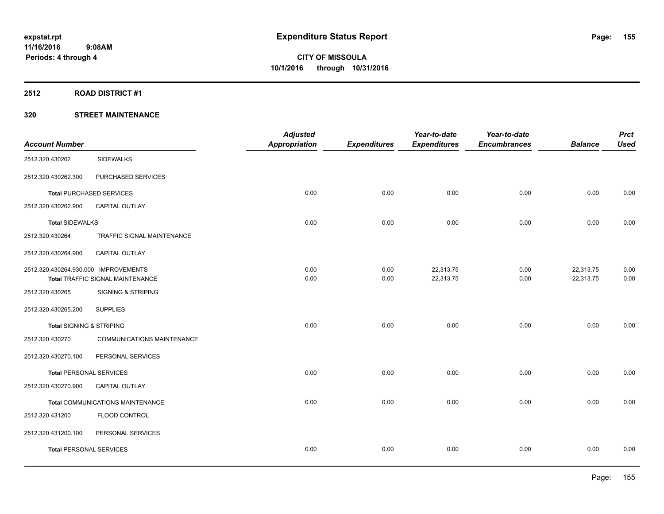## **2512 ROAD DISTRICT #1**

| <b>Account Number</b>                |                                         | <b>Adjusted</b><br><b>Appropriation</b> | <b>Expenditures</b> | Year-to-date<br><b>Expenditures</b> | Year-to-date<br><b>Encumbrances</b> | <b>Balance</b> | <b>Prct</b><br><b>Used</b> |
|--------------------------------------|-----------------------------------------|-----------------------------------------|---------------------|-------------------------------------|-------------------------------------|----------------|----------------------------|
|                                      |                                         |                                         |                     |                                     |                                     |                |                            |
| 2512.320.430262                      | <b>SIDEWALKS</b>                        |                                         |                     |                                     |                                     |                |                            |
| 2512.320.430262.300                  | PURCHASED SERVICES                      |                                         |                     |                                     |                                     |                |                            |
| <b>Total PURCHASED SERVICES</b>      |                                         | 0.00                                    | 0.00                | 0.00                                | 0.00                                | 0.00           | 0.00                       |
| 2512.320.430262.900                  | <b>CAPITAL OUTLAY</b>                   |                                         |                     |                                     |                                     |                |                            |
| <b>Total SIDEWALKS</b>               |                                         | 0.00                                    | 0.00                | 0.00                                | 0.00                                | 0.00           | 0.00                       |
| 2512.320.430264                      | TRAFFIC SIGNAL MAINTENANCE              |                                         |                     |                                     |                                     |                |                            |
| 2512.320.430264.900                  | CAPITAL OUTLAY                          |                                         |                     |                                     |                                     |                |                            |
| 2512.320.430264.930.000 IMPROVEMENTS |                                         | 0.00                                    | 0.00                | 22,313.75                           | 0.00                                | $-22,313.75$   | 0.00                       |
|                                      | <b>Total TRAFFIC SIGNAL MAINTENANCE</b> | 0.00                                    | 0.00                | 22,313.75                           | 0.00                                | $-22,313.75$   | 0.00                       |
| 2512.320.430265                      | <b>SIGNING &amp; STRIPING</b>           |                                         |                     |                                     |                                     |                |                            |
| 2512.320.430265.200                  | <b>SUPPLIES</b>                         |                                         |                     |                                     |                                     |                |                            |
| <b>Total SIGNING &amp; STRIPING</b>  |                                         | 0.00                                    | 0.00                | 0.00                                | 0.00                                | 0.00           | 0.00                       |
| 2512.320.430270                      | COMMUNICATIONS MAINTENANCE              |                                         |                     |                                     |                                     |                |                            |
| 2512.320.430270.100                  | PERSONAL SERVICES                       |                                         |                     |                                     |                                     |                |                            |
| <b>Total PERSONAL SERVICES</b>       |                                         | 0.00                                    | 0.00                | 0.00                                | 0.00                                | 0.00           | 0.00                       |
| 2512.320.430270.900                  | CAPITAL OUTLAY                          |                                         |                     |                                     |                                     |                |                            |
|                                      | <b>Total COMMUNICATIONS MAINTENANCE</b> | 0.00                                    | 0.00                | 0.00                                | 0.00                                | 0.00           | 0.00                       |
| 2512.320.431200                      | FLOOD CONTROL                           |                                         |                     |                                     |                                     |                |                            |
| 2512.320.431200.100                  | PERSONAL SERVICES                       |                                         |                     |                                     |                                     |                |                            |
| <b>Total PERSONAL SERVICES</b>       |                                         | 0.00                                    | 0.00                | 0.00                                | 0.00                                | 0.00           | 0.00                       |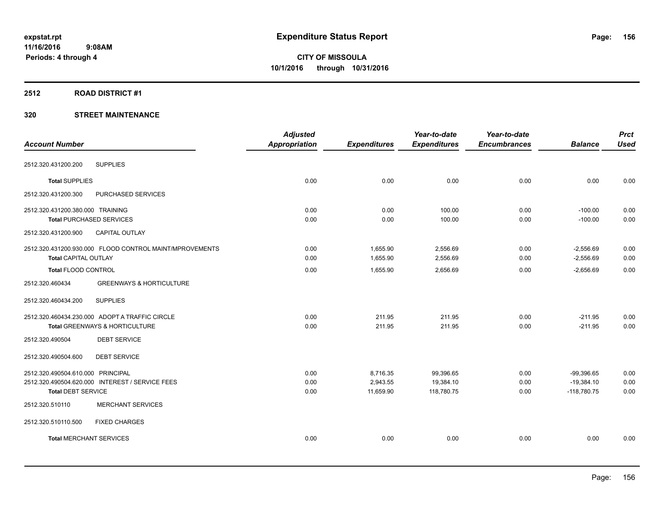## **2512 ROAD DISTRICT #1**

|                                                         | <b>Adjusted</b>      |                     | Year-to-date        | Year-to-date        |                | <b>Prct</b> |
|---------------------------------------------------------|----------------------|---------------------|---------------------|---------------------|----------------|-------------|
| <b>Account Number</b>                                   | <b>Appropriation</b> | <b>Expenditures</b> | <b>Expenditures</b> | <b>Encumbrances</b> | <b>Balance</b> | <b>Used</b> |
| <b>SUPPLIES</b><br>2512.320.431200.200                  |                      |                     |                     |                     |                |             |
| <b>Total SUPPLIES</b>                                   | 0.00                 | 0.00                | 0.00                | 0.00                | 0.00           | 0.00        |
| 2512.320.431200.300<br>PURCHASED SERVICES               |                      |                     |                     |                     |                |             |
| 2512.320.431200.380.000 TRAINING                        | 0.00                 | 0.00                | 100.00              | 0.00                | $-100.00$      | 0.00        |
| <b>Total PURCHASED SERVICES</b>                         | 0.00                 | 0.00                | 100.00              | 0.00                | $-100.00$      | 0.00        |
| CAPITAL OUTLAY<br>2512.320.431200.900                   |                      |                     |                     |                     |                |             |
| 2512.320.431200.930.000 FLOOD CONTROL MAINT/MPROVEMENTS | 0.00                 | 1,655.90            | 2,556.69            | 0.00                | $-2,556.69$    | 0.00        |
| <b>Total CAPITAL OUTLAY</b>                             | 0.00                 | 1,655.90            | 2,556.69            | 0.00                | $-2,556.69$    | 0.00        |
| <b>Total FLOOD CONTROL</b>                              | 0.00                 | 1,655.90            | 2,656.69            | 0.00                | $-2,656.69$    | 0.00        |
| <b>GREENWAYS &amp; HORTICULTURE</b><br>2512.320.460434  |                      |                     |                     |                     |                |             |
| <b>SUPPLIES</b><br>2512.320.460434.200                  |                      |                     |                     |                     |                |             |
| 2512.320.460434.230.000 ADOPT A TRAFFIC CIRCLE          | 0.00                 | 211.95              | 211.95              | 0.00                | $-211.95$      | 0.00        |
| Total GREENWAYS & HORTICULTURE                          | 0.00                 | 211.95              | 211.95              | 0.00                | $-211.95$      | 0.00        |
| <b>DEBT SERVICE</b><br>2512.320.490504                  |                      |                     |                     |                     |                |             |
| <b>DEBT SERVICE</b><br>2512.320.490504.600              |                      |                     |                     |                     |                |             |
| 2512.320.490504.610.000 PRINCIPAL                       | 0.00                 | 8,716.35            | 99,396.65           | 0.00                | $-99,396.65$   | 0.00        |
| 2512.320.490504.620.000 INTEREST / SERVICE FEES         | 0.00                 | 2,943.55            | 19,384.10           | 0.00                | $-19,384.10$   | 0.00        |
| <b>Total DEBT SERVICE</b>                               | 0.00                 | 11,659.90           | 118,780.75          | 0.00                | $-118,780.75$  | 0.00        |
| <b>MERCHANT SERVICES</b><br>2512.320.510110             |                      |                     |                     |                     |                |             |
| 2512.320.510110.500<br><b>FIXED CHARGES</b>             |                      |                     |                     |                     |                |             |
| <b>Total MERCHANT SERVICES</b>                          | 0.00                 | 0.00                | 0.00                | 0.00                | 0.00           | 0.00        |
|                                                         |                      |                     |                     |                     |                |             |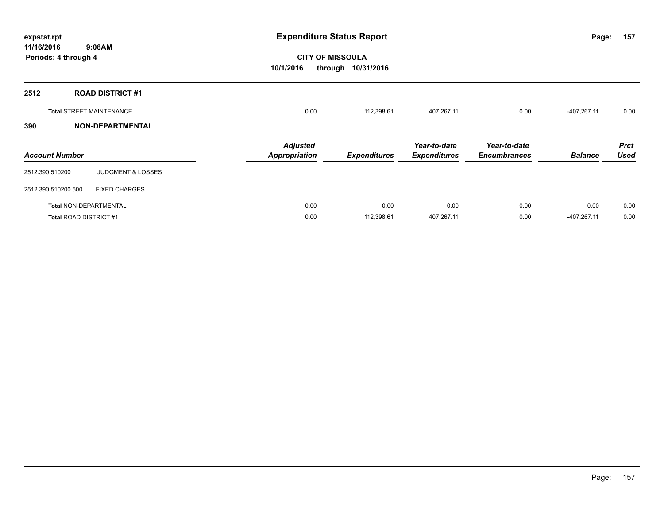| expstat.rpt<br>11/16/2016<br>9:08AM             |                                                 | <b>Expenditure Status Report</b> |                                     |                                     |                |                            |
|-------------------------------------------------|-------------------------------------------------|----------------------------------|-------------------------------------|-------------------------------------|----------------|----------------------------|
| Periods: 4 through 4                            | <b>CITY OF MISSOULA</b><br>10/1/2016<br>through | 10/31/2016                       |                                     |                                     |                |                            |
| 2512<br><b>ROAD DISTRICT #1</b>                 |                                                 |                                  |                                     |                                     |                |                            |
| <b>Total STREET MAINTENANCE</b>                 | 0.00                                            | 112,398.61                       | 407,267.11                          | 0.00                                | $-407,267.11$  | 0.00                       |
| <b>NON-DEPARTMENTAL</b><br>390                  |                                                 |                                  |                                     |                                     |                |                            |
| <b>Account Number</b>                           | <b>Adjusted</b><br><b>Appropriation</b>         | <b>Expenditures</b>              | Year-to-date<br><b>Expenditures</b> | Year-to-date<br><b>Encumbrances</b> | <b>Balance</b> | <b>Prct</b><br><b>Used</b> |
| <b>JUDGMENT &amp; LOSSES</b><br>2512.390.510200 |                                                 |                                  |                                     |                                     |                |                            |
| 2512.390.510200.500<br><b>FIXED CHARGES</b>     |                                                 |                                  |                                     |                                     |                |                            |
| <b>Total NON-DEPARTMENTAL</b>                   | 0.00                                            | 0.00                             | 0.00                                | 0.00                                | 0.00           | 0.00                       |
| Total ROAD DISTRICT #1                          | 0.00                                            | 112,398.61                       | 407,267.11                          | 0.00                                | -407,267.11    | 0.00                       |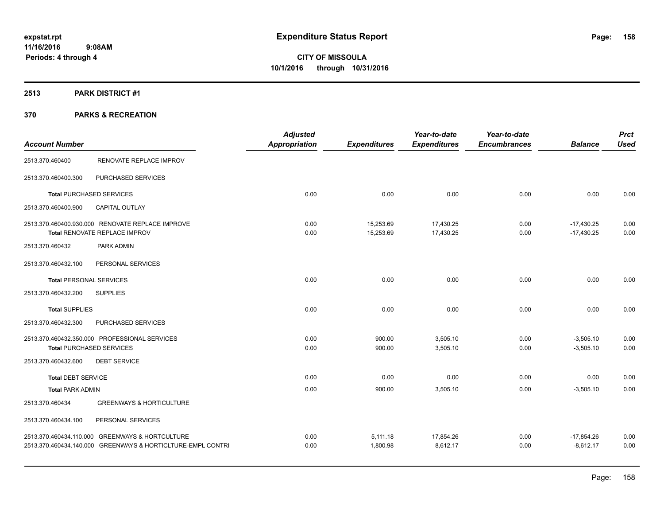## **2513 PARK DISTRICT #1**

|                                |                                                             | <b>Adjusted</b>      |                     | Year-to-date        | Year-to-date        |                | <b>Prct</b> |
|--------------------------------|-------------------------------------------------------------|----------------------|---------------------|---------------------|---------------------|----------------|-------------|
| <b>Account Number</b>          |                                                             | <b>Appropriation</b> | <b>Expenditures</b> | <b>Expenditures</b> | <b>Encumbrances</b> | <b>Balance</b> | <b>Used</b> |
| 2513.370.460400                | RENOVATE REPLACE IMPROV                                     |                      |                     |                     |                     |                |             |
| 2513.370.460400.300            | PURCHASED SERVICES                                          |                      |                     |                     |                     |                |             |
|                                | <b>Total PURCHASED SERVICES</b>                             | 0.00                 | 0.00                | 0.00                | 0.00                | 0.00           | 0.00        |
| 2513.370.460400.900            | <b>CAPITAL OUTLAY</b>                                       |                      |                     |                     |                     |                |             |
|                                | 2513.370.460400.930.000 RENOVATE REPLACE IMPROVE            | 0.00                 | 15,253.69           | 17,430.25           | 0.00                | $-17,430.25$   | 0.00        |
|                                | Total RENOVATE REPLACE IMPROV                               | 0.00                 | 15,253.69           | 17,430.25           | 0.00                | $-17.430.25$   | 0.00        |
| 2513.370.460432                | PARK ADMIN                                                  |                      |                     |                     |                     |                |             |
| 2513.370.460432.100            | PERSONAL SERVICES                                           |                      |                     |                     |                     |                |             |
| <b>Total PERSONAL SERVICES</b> |                                                             | 0.00                 | 0.00                | 0.00                | 0.00                | 0.00           | 0.00        |
| 2513.370.460432.200            | <b>SUPPLIES</b>                                             |                      |                     |                     |                     |                |             |
| <b>Total SUPPLIES</b>          |                                                             | 0.00                 | 0.00                | 0.00                | 0.00                | 0.00           | 0.00        |
| 2513.370.460432.300            | PURCHASED SERVICES                                          |                      |                     |                     |                     |                |             |
|                                | 2513.370.460432.350.000 PROFESSIONAL SERVICES               | 0.00                 | 900.00              | 3,505.10            | 0.00                | $-3,505.10$    | 0.00        |
|                                | <b>Total PURCHASED SERVICES</b>                             | 0.00                 | 900.00              | 3,505.10            | 0.00                | $-3,505.10$    | 0.00        |
| 2513.370.460432.600            | <b>DEBT SERVICE</b>                                         |                      |                     |                     |                     |                |             |
| <b>Total DEBT SERVICE</b>      |                                                             | 0.00                 | 0.00                | 0.00                | 0.00                | 0.00           | 0.00        |
| <b>Total PARK ADMIN</b>        |                                                             | 0.00                 | 900.00              | 3,505.10            | 0.00                | $-3,505.10$    | 0.00        |
| 2513.370.460434                | <b>GREENWAYS &amp; HORTICULTURE</b>                         |                      |                     |                     |                     |                |             |
| 2513.370.460434.100            | PERSONAL SERVICES                                           |                      |                     |                     |                     |                |             |
|                                | 2513.370.460434.110.000 GREENWAYS & HORTCULTURE             | 0.00                 | 5,111.18            | 17,854.26           | 0.00                | $-17,854.26$   | 0.00        |
|                                | 2513.370.460434.140.000 GREENWAYS & HORTICLTURE-EMPL CONTRI | 0.00                 | 1,800.98            | 8.612.17            | 0.00                | $-8,612.17$    | 0.00        |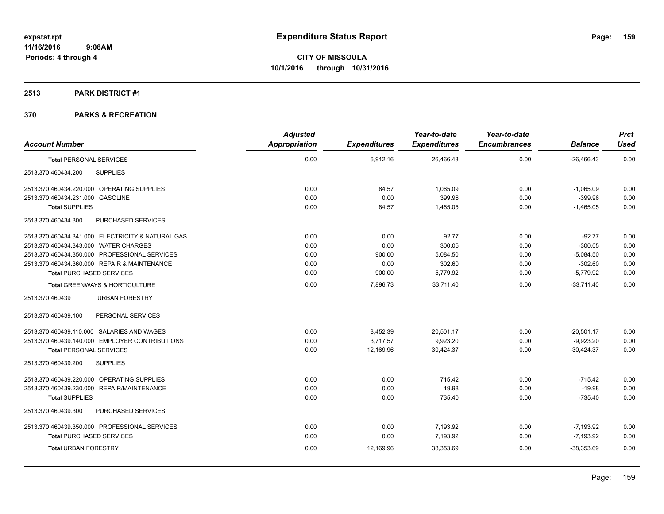## **2513 PARK DISTRICT #1**

|                                       |                                                   | <b>Adjusted</b> |                     | Year-to-date        | Year-to-date        |                | <b>Prct</b> |
|---------------------------------------|---------------------------------------------------|-----------------|---------------------|---------------------|---------------------|----------------|-------------|
| <b>Account Number</b>                 |                                                   | Appropriation   | <b>Expenditures</b> | <b>Expenditures</b> | <b>Encumbrances</b> | <b>Balance</b> | <b>Used</b> |
| <b>Total PERSONAL SERVICES</b>        |                                                   | 0.00            | 6,912.16            | 26,466.43           | 0.00                | $-26,466.43$   | 0.00        |
| 2513.370.460434.200                   | <b>SUPPLIES</b>                                   |                 |                     |                     |                     |                |             |
|                                       | 2513.370.460434.220.000 OPERATING SUPPLIES        | 0.00            | 84.57               | 1.065.09            | 0.00                | $-1,065.09$    | 0.00        |
| 2513.370.460434.231.000 GASOLINE      |                                                   | 0.00            | 0.00                | 399.96              | 0.00                | $-399.96$      | 0.00        |
| <b>Total SUPPLIES</b>                 |                                                   | 0.00            | 84.57               | 1,465.05            | 0.00                | $-1,465.05$    | 0.00        |
| 2513.370.460434.300                   | PURCHASED SERVICES                                |                 |                     |                     |                     |                |             |
|                                       | 2513.370.460434.341.000 ELECTRICITY & NATURAL GAS | 0.00            | 0.00                | 92.77               | 0.00                | $-92.77$       | 0.00        |
| 2513.370.460434.343.000 WATER CHARGES |                                                   | 0.00            | 0.00                | 300.05              | 0.00                | $-300.05$      | 0.00        |
|                                       | 2513.370.460434.350.000 PROFESSIONAL SERVICES     | 0.00            | 900.00              | 5,084.50            | 0.00                | $-5,084.50$    | 0.00        |
|                                       | 2513.370.460434.360.000 REPAIR & MAINTENANCE      | 0.00            | 0.00                | 302.60              | 0.00                | $-302.60$      | 0.00        |
|                                       | <b>Total PURCHASED SERVICES</b>                   | 0.00            | 900.00              | 5,779.92            | 0.00                | $-5,779.92$    | 0.00        |
|                                       | Total GREENWAYS & HORTICULTURE                    | 0.00            | 7,896.73            | 33,711.40           | 0.00                | $-33,711.40$   | 0.00        |
| 2513.370.460439                       | <b>URBAN FORESTRY</b>                             |                 |                     |                     |                     |                |             |
| 2513.370.460439.100                   | PERSONAL SERVICES                                 |                 |                     |                     |                     |                |             |
|                                       | 2513.370.460439.110.000 SALARIES AND WAGES        | 0.00            | 8,452.39            | 20,501.17           | 0.00                | $-20,501.17$   | 0.00        |
|                                       | 2513.370.460439.140.000 EMPLOYER CONTRIBUTIONS    | 0.00            | 3,717.57            | 9,923.20            | 0.00                | $-9,923.20$    | 0.00        |
| <b>Total PERSONAL SERVICES</b>        |                                                   | 0.00            | 12,169.96           | 30,424.37           | 0.00                | $-30,424.37$   | 0.00        |
| 2513.370.460439.200                   | <b>SUPPLIES</b>                                   |                 |                     |                     |                     |                |             |
|                                       | 2513.370.460439.220.000 OPERATING SUPPLIES        | 0.00            | 0.00                | 715.42              | 0.00                | $-715.42$      | 0.00        |
|                                       | 2513.370.460439.230.000 REPAIR/MAINTENANCE        | 0.00            | 0.00                | 19.98               | 0.00                | $-19.98$       | 0.00        |
| <b>Total SUPPLIES</b>                 |                                                   | 0.00            | 0.00                | 735.40              | 0.00                | $-735.40$      | 0.00        |
| 2513.370.460439.300                   | PURCHASED SERVICES                                |                 |                     |                     |                     |                |             |
|                                       | 2513.370.460439.350.000 PROFESSIONAL SERVICES     | 0.00            | 0.00                | 7,193.92            | 0.00                | $-7,193.92$    | 0.00        |
|                                       | <b>Total PURCHASED SERVICES</b>                   | 0.00            | 0.00                | 7,193.92            | 0.00                | -7.193.92      | 0.00        |
| <b>Total URBAN FORESTRY</b>           |                                                   | 0.00            | 12,169.96           | 38,353.69           | 0.00                | $-38,353.69$   | 0.00        |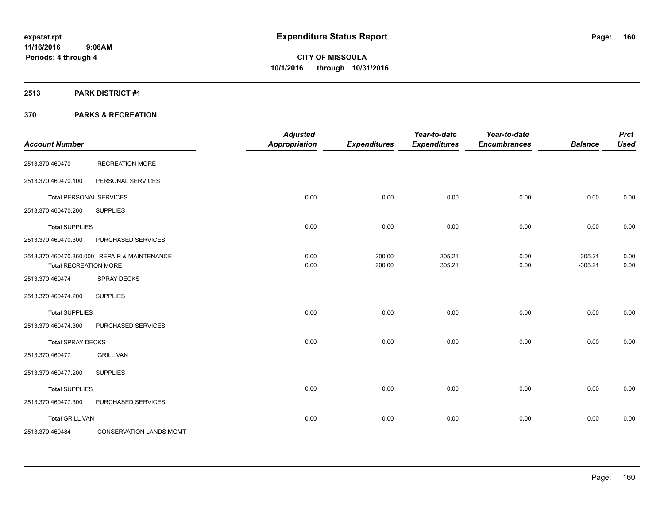## **2513 PARK DISTRICT #1**

| <b>Account Number</b>        |                                              | <b>Adjusted</b><br><b>Appropriation</b> | <b>Expenditures</b> | Year-to-date<br><b>Expenditures</b> | Year-to-date<br><b>Encumbrances</b> | <b>Balance</b>         | <b>Prct</b><br><b>Used</b> |
|------------------------------|----------------------------------------------|-----------------------------------------|---------------------|-------------------------------------|-------------------------------------|------------------------|----------------------------|
| 2513.370.460470              | <b>RECREATION MORE</b>                       |                                         |                     |                                     |                                     |                        |                            |
| 2513.370.460470.100          | PERSONAL SERVICES                            |                                         |                     |                                     |                                     |                        |                            |
|                              | <b>Total PERSONAL SERVICES</b>               | 0.00                                    | 0.00                | 0.00                                | 0.00                                | 0.00                   | 0.00                       |
| 2513.370.460470.200          | <b>SUPPLIES</b>                              |                                         |                     |                                     |                                     |                        |                            |
| <b>Total SUPPLIES</b>        |                                              | 0.00                                    | 0.00                | 0.00                                | 0.00                                | 0.00                   | 0.00                       |
| 2513.370.460470.300          | PURCHASED SERVICES                           |                                         |                     |                                     |                                     |                        |                            |
| <b>Total RECREATION MORE</b> | 2513.370.460470.360.000 REPAIR & MAINTENANCE | 0.00<br>0.00                            | 200.00<br>200.00    | 305.21<br>305.21                    | 0.00<br>0.00                        | $-305.21$<br>$-305.21$ | 0.00<br>0.00               |
| 2513.370.460474              | <b>SPRAY DECKS</b>                           |                                         |                     |                                     |                                     |                        |                            |
| 2513.370.460474.200          | <b>SUPPLIES</b>                              |                                         |                     |                                     |                                     |                        |                            |
| <b>Total SUPPLIES</b>        |                                              | 0.00                                    | 0.00                | 0.00                                | 0.00                                | 0.00                   | 0.00                       |
| 2513.370.460474.300          | PURCHASED SERVICES                           |                                         |                     |                                     |                                     |                        |                            |
| <b>Total SPRAY DECKS</b>     |                                              | 0.00                                    | 0.00                | 0.00                                | 0.00                                | 0.00                   | 0.00                       |
| 2513.370.460477              | <b>GRILL VAN</b>                             |                                         |                     |                                     |                                     |                        |                            |
| 2513.370.460477.200          | <b>SUPPLIES</b>                              |                                         |                     |                                     |                                     |                        |                            |
| <b>Total SUPPLIES</b>        |                                              | 0.00                                    | 0.00                | 0.00                                | 0.00                                | 0.00                   | 0.00                       |
| 2513.370.460477.300          | PURCHASED SERVICES                           |                                         |                     |                                     |                                     |                        |                            |
| <b>Total GRILL VAN</b>       |                                              | 0.00                                    | 0.00                | 0.00                                | 0.00                                | 0.00                   | 0.00                       |
| 2513.370.460484              | <b>CONSERVATION LANDS MGMT</b>               |                                         |                     |                                     |                                     |                        |                            |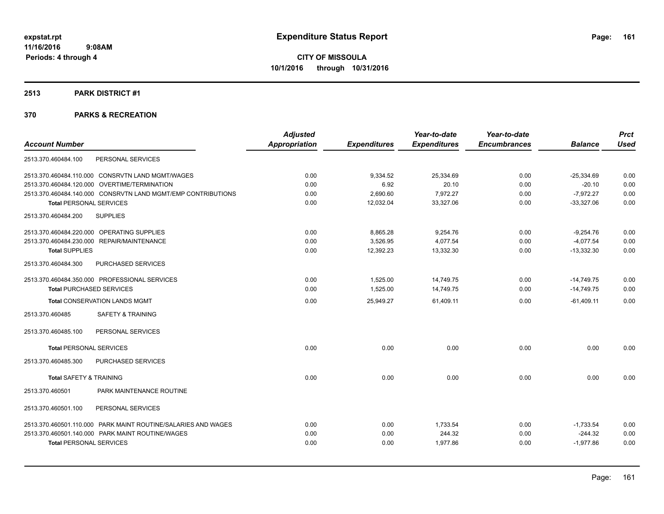### **2513 PARK DISTRICT #1**

|                                                               | <b>Adjusted</b>      |                     | Year-to-date        | Year-to-date        |                | <b>Prct</b> |
|---------------------------------------------------------------|----------------------|---------------------|---------------------|---------------------|----------------|-------------|
| <b>Account Number</b>                                         | <b>Appropriation</b> | <b>Expenditures</b> | <b>Expenditures</b> | <b>Encumbrances</b> | <b>Balance</b> | <b>Used</b> |
| PERSONAL SERVICES<br>2513.370.460484.100                      |                      |                     |                     |                     |                |             |
| 2513.370.460484.110.000 CONSRVTN LAND MGMT/WAGES              | 0.00                 | 9,334.52            | 25,334.69           | 0.00                | $-25,334.69$   | 0.00        |
| 2513.370.460484.120.000 OVERTIME/TERMINATION                  | 0.00                 | 6.92                | 20.10               | 0.00                | $-20.10$       | 0.00        |
| 2513.370.460484.140.000 CONSRVTN LAND MGMT/EMP CONTRIBUTIONS  | 0.00                 | 2,690.60            | 7,972.27            | 0.00                | $-7,972.27$    | 0.00        |
| <b>Total PERSONAL SERVICES</b>                                | 0.00                 | 12,032.04           | 33,327.06           | 0.00                | $-33,327.06$   | 0.00        |
| <b>SUPPLIES</b><br>2513.370.460484.200                        |                      |                     |                     |                     |                |             |
| 2513.370.460484.220.000 OPERATING SUPPLIES                    | 0.00                 | 8,865.28            | 9,254.76            | 0.00                | $-9,254.76$    | 0.00        |
| 2513.370.460484.230.000 REPAIR/MAINTENANCE                    | 0.00                 | 3,526.95            | 4,077.54            | 0.00                | $-4,077.54$    | 0.00        |
| <b>Total SUPPLIES</b>                                         | 0.00                 | 12,392.23           | 13,332.30           | 0.00                | $-13,332.30$   | 0.00        |
| 2513.370.460484.300<br>PURCHASED SERVICES                     |                      |                     |                     |                     |                |             |
| 2513.370.460484.350.000 PROFESSIONAL SERVICES                 | 0.00                 | 1,525.00            | 14,749.75           | 0.00                | $-14,749.75$   | 0.00        |
| <b>Total PURCHASED SERVICES</b>                               | 0.00                 | 1,525.00            | 14,749.75           | 0.00                | $-14,749.75$   | 0.00        |
| <b>Total CONSERVATION LANDS MGMT</b>                          | 0.00                 | 25,949.27           | 61,409.11           | 0.00                | $-61,409.11$   | 0.00        |
| <b>SAFETY &amp; TRAINING</b><br>2513.370.460485               |                      |                     |                     |                     |                |             |
| PERSONAL SERVICES<br>2513.370.460485.100                      |                      |                     |                     |                     |                |             |
| <b>Total PERSONAL SERVICES</b>                                | 0.00                 | 0.00                | 0.00                | 0.00                | 0.00           | 0.00        |
| 2513.370.460485.300<br>PURCHASED SERVICES                     |                      |                     |                     |                     |                |             |
| <b>Total SAFETY &amp; TRAINING</b>                            | 0.00                 | 0.00                | 0.00                | 0.00                | 0.00           | 0.00        |
| 2513.370.460501<br>PARK MAINTENANCE ROUTINE                   |                      |                     |                     |                     |                |             |
| 2513.370.460501.100<br>PERSONAL SERVICES                      |                      |                     |                     |                     |                |             |
| 2513.370.460501.110.000 PARK MAINT ROUTINE/SALARIES AND WAGES | 0.00                 | 0.00                | 1,733.54            | 0.00                | $-1,733.54$    | 0.00        |
| 2513.370.460501.140.000 PARK MAINT ROUTINE/WAGES              | 0.00                 | 0.00                | 244.32              | 0.00                | $-244.32$      | 0.00        |
| <b>Total PERSONAL SERVICES</b>                                | 0.00                 | 0.00                | 1,977.86            | 0.00                | $-1,977.86$    | 0.00        |
|                                                               |                      |                     |                     |                     |                |             |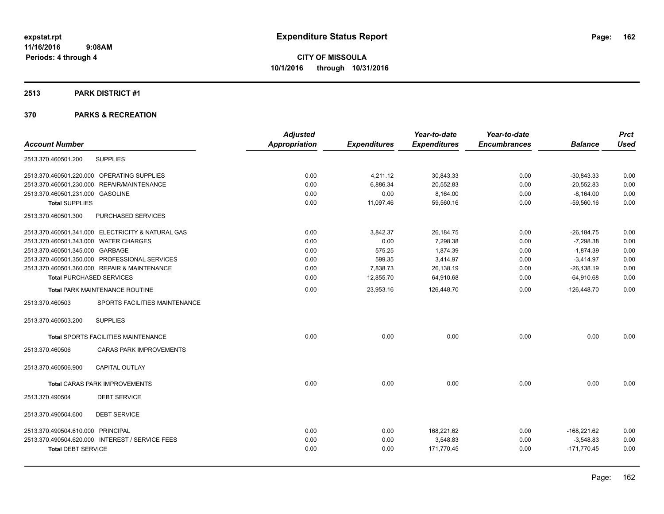### **2513 PARK DISTRICT #1**

| <b>Balance</b><br><b>Used</b><br>$-30,843.33$<br>0.00<br>$-20,552.83$<br>0.00<br>$-8,164.00$<br>0.00<br>0.00<br>$-59,560.16$<br>$-26,184.75$<br>0.00 |
|------------------------------------------------------------------------------------------------------------------------------------------------------|
|                                                                                                                                                      |
|                                                                                                                                                      |
|                                                                                                                                                      |
|                                                                                                                                                      |
|                                                                                                                                                      |
|                                                                                                                                                      |
|                                                                                                                                                      |
|                                                                                                                                                      |
| 0.00                                                                                                                                                 |
| 0.00                                                                                                                                                 |
| 0.00                                                                                                                                                 |
| 0.00                                                                                                                                                 |
| 0.00                                                                                                                                                 |
| 0.00                                                                                                                                                 |
|                                                                                                                                                      |
|                                                                                                                                                      |
| 0.00                                                                                                                                                 |
|                                                                                                                                                      |
|                                                                                                                                                      |
| 0.00<br>0.00                                                                                                                                         |
|                                                                                                                                                      |
|                                                                                                                                                      |
| 0.00                                                                                                                                                 |
| 0.00                                                                                                                                                 |
| 0.00                                                                                                                                                 |
| $-7,298.38$<br>$-1.874.39$<br>$-3,414.97$<br>$-26, 138.19$<br>$-64,910.68$<br>$-126,448.70$<br>0.00<br>$-168,221.62$<br>$-3,548.83$<br>$-171,770.45$ |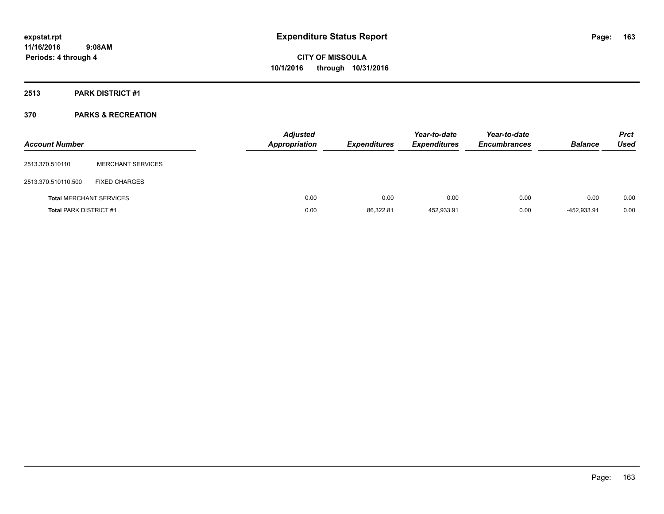## **2513 PARK DISTRICT #1**

| <b>Account Number</b>         |                                | <b>Adjusted</b><br>Appropriation | <b>Expenditures</b> | Year-to-date<br><b>Expenditures</b> | Year-to-date<br><b>Encumbrances</b> | <b>Balance</b> | <b>Prct</b><br><b>Used</b> |
|-------------------------------|--------------------------------|----------------------------------|---------------------|-------------------------------------|-------------------------------------|----------------|----------------------------|
| 2513.370.510110               | <b>MERCHANT SERVICES</b>       |                                  |                     |                                     |                                     |                |                            |
| 2513.370.510110.500           | <b>FIXED CHARGES</b>           |                                  |                     |                                     |                                     |                |                            |
|                               | <b>Total MERCHANT SERVICES</b> | 0.00                             | 0.00                | 0.00                                | 0.00                                | 0.00           | 0.00                       |
| <b>Total PARK DISTRICT #1</b> |                                | 0.00                             | 86,322.81           | 452.933.91                          | 0.00                                | -452.933.91    | 0.00                       |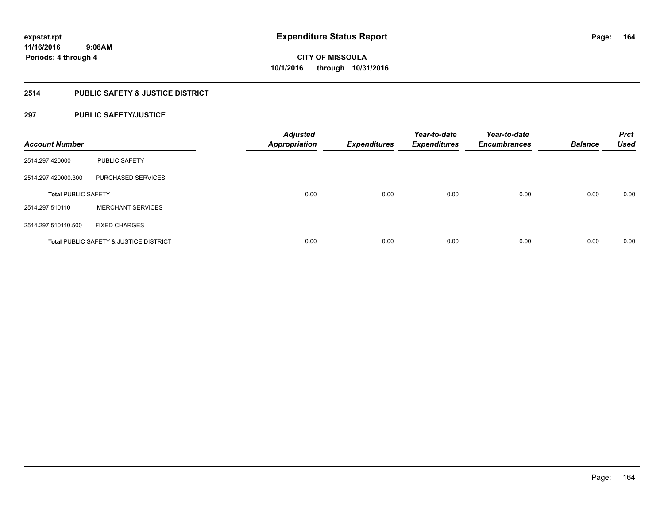## **2514 PUBLIC SAFETY & JUSTICE DISTRICT**

## **297 PUBLIC SAFETY/JUSTICE**

| <b>Account Number</b>      |                                                   | <b>Adjusted</b><br><b>Appropriation</b> | <b>Expenditures</b> | Year-to-date<br><b>Expenditures</b> | Year-to-date<br><b>Encumbrances</b> | <b>Balance</b> | <b>Prct</b><br><b>Used</b> |
|----------------------------|---------------------------------------------------|-----------------------------------------|---------------------|-------------------------------------|-------------------------------------|----------------|----------------------------|
| 2514.297.420000            | <b>PUBLIC SAFETY</b>                              |                                         |                     |                                     |                                     |                |                            |
| 2514.297.420000.300        | <b>PURCHASED SERVICES</b>                         |                                         |                     |                                     |                                     |                |                            |
| <b>Total PUBLIC SAFETY</b> |                                                   | 0.00                                    | 0.00                | 0.00                                | 0.00                                | 0.00           | 0.00                       |
| 2514.297.510110            | <b>MERCHANT SERVICES</b>                          |                                         |                     |                                     |                                     |                |                            |
| 2514.297.510110.500        | <b>FIXED CHARGES</b>                              |                                         |                     |                                     |                                     |                |                            |
|                            | <b>Total PUBLIC SAFETY &amp; JUSTICE DISTRICT</b> | 0.00                                    | 0.00                | 0.00                                | 0.00                                | 0.00           | 0.00                       |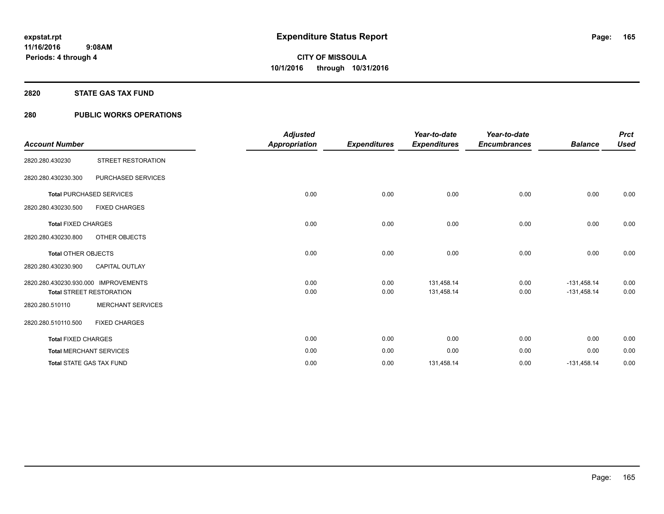## **2820 STATE GAS TAX FUND**

## **280 PUBLIC WORKS OPERATIONS**

|                                      |                                 | <b>Adjusted</b>      |                     | Year-to-date        | Year-to-date        |                | <b>Prct</b> |
|--------------------------------------|---------------------------------|----------------------|---------------------|---------------------|---------------------|----------------|-------------|
| <b>Account Number</b>                |                                 | <b>Appropriation</b> | <b>Expenditures</b> | <b>Expenditures</b> | <b>Encumbrances</b> | <b>Balance</b> | <b>Used</b> |
| 2820.280.430230                      | STREET RESTORATION              |                      |                     |                     |                     |                |             |
| 2820.280.430230.300                  | PURCHASED SERVICES              |                      |                     |                     |                     |                |             |
|                                      | <b>Total PURCHASED SERVICES</b> | 0.00                 | 0.00                | 0.00                | 0.00                | 0.00           | 0.00        |
| 2820.280.430230.500                  | <b>FIXED CHARGES</b>            |                      |                     |                     |                     |                |             |
| <b>Total FIXED CHARGES</b>           |                                 | 0.00                 | 0.00                | 0.00                | 0.00                | 0.00           | 0.00        |
| 2820.280.430230.800                  | OTHER OBJECTS                   |                      |                     |                     |                     |                |             |
| <b>Total OTHER OBJECTS</b>           |                                 | 0.00                 | 0.00                | 0.00                | 0.00                | 0.00           | 0.00        |
| 2820.280.430230.900                  | <b>CAPITAL OUTLAY</b>           |                      |                     |                     |                     |                |             |
| 2820.280.430230.930.000 IMPROVEMENTS |                                 | 0.00                 | 0.00                | 131,458.14          | 0.00                | $-131,458.14$  | 0.00        |
|                                      | <b>Total STREET RESTORATION</b> | 0.00                 | 0.00                | 131,458.14          | 0.00                | $-131,458.14$  | 0.00        |
| 2820.280.510110                      | <b>MERCHANT SERVICES</b>        |                      |                     |                     |                     |                |             |
| 2820.280.510110.500                  | <b>FIXED CHARGES</b>            |                      |                     |                     |                     |                |             |
| <b>Total FIXED CHARGES</b>           |                                 | 0.00                 | 0.00                | 0.00                | 0.00                | 0.00           | 0.00        |
|                                      | <b>Total MERCHANT SERVICES</b>  | 0.00                 | 0.00                | 0.00                | 0.00                | 0.00           | 0.00        |
|                                      | <b>Total STATE GAS TAX FUND</b> | 0.00                 | 0.00                | 131,458.14          | 0.00                | $-131,458.14$  | 0.00        |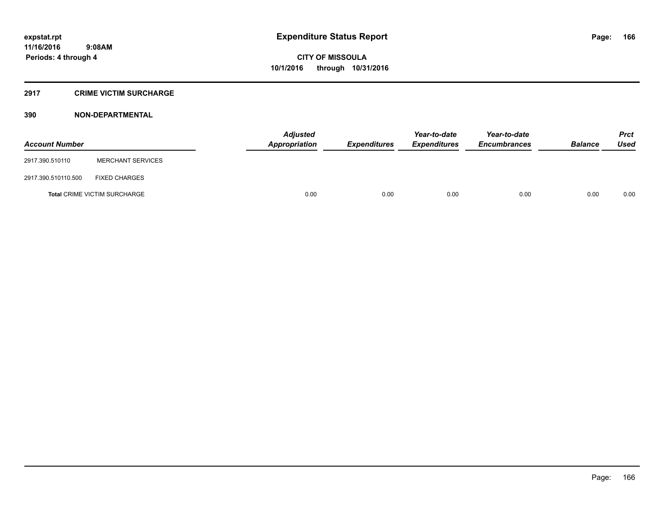## **2917 CRIME VICTIM SURCHARGE**

## **390 NON-DEPARTMENTAL**

| <b>Account Number</b> |                                     | Adjusted<br><b>Appropriation</b> | <b>Expenditures</b> | Year-to-date<br><b>Expenditures</b> | Year-to-date<br><b>Encumbrances</b> | <b>Balance</b> | <b>Prct</b><br><b>Used</b> |
|-----------------------|-------------------------------------|----------------------------------|---------------------|-------------------------------------|-------------------------------------|----------------|----------------------------|
| 2917.390.510110       | <b>MERCHANT SERVICES</b>            |                                  |                     |                                     |                                     |                |                            |
| 2917.390.510110.500   | <b>FIXED CHARGES</b>                |                                  |                     |                                     |                                     |                |                            |
|                       | <b>Total CRIME VICTIM SURCHARGE</b> | 0.00                             | 0.00                | 0.00                                | 0.00                                | 0.00           | 0.00                       |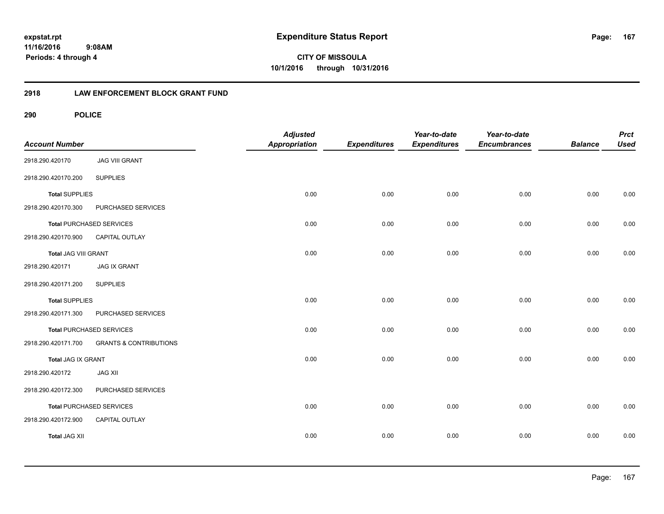**CITY OF MISSOULA 10/1/2016 through 10/31/2016**

## **2918 LAW ENFORCEMENT BLOCK GRANT FUND**

| <b>Account Number</b> |                                   | <b>Adjusted</b><br>Appropriation | <b>Expenditures</b> | Year-to-date<br><b>Expenditures</b> | Year-to-date<br><b>Encumbrances</b> | <b>Balance</b> | <b>Prct</b><br><b>Used</b> |
|-----------------------|-----------------------------------|----------------------------------|---------------------|-------------------------------------|-------------------------------------|----------------|----------------------------|
| 2918.290.420170       | <b>JAG VIII GRANT</b>             |                                  |                     |                                     |                                     |                |                            |
| 2918.290.420170.200   | <b>SUPPLIES</b>                   |                                  |                     |                                     |                                     |                |                            |
| <b>Total SUPPLIES</b> |                                   | 0.00                             | 0.00                | 0.00                                | 0.00                                | 0.00           | 0.00                       |
| 2918.290.420170.300   | PURCHASED SERVICES                |                                  |                     |                                     |                                     |                |                            |
|                       | <b>Total PURCHASED SERVICES</b>   | 0.00                             | 0.00                | 0.00                                | 0.00                                | 0.00           | 0.00                       |
| 2918.290.420170.900   | CAPITAL OUTLAY                    |                                  |                     |                                     |                                     |                |                            |
| Total JAG VIII GRANT  |                                   | 0.00                             | 0.00                | 0.00                                | 0.00                                | 0.00           | 0.00                       |
| 2918.290.420171       | <b>JAG IX GRANT</b>               |                                  |                     |                                     |                                     |                |                            |
| 2918.290.420171.200   | <b>SUPPLIES</b>                   |                                  |                     |                                     |                                     |                |                            |
| <b>Total SUPPLIES</b> |                                   | 0.00                             | 0.00                | 0.00                                | 0.00                                | 0.00           | 0.00                       |
| 2918.290.420171.300   | PURCHASED SERVICES                |                                  |                     |                                     |                                     |                |                            |
|                       | <b>Total PURCHASED SERVICES</b>   | 0.00                             | 0.00                | 0.00                                | 0.00                                | 0.00           | 0.00                       |
| 2918.290.420171.700   | <b>GRANTS &amp; CONTRIBUTIONS</b> |                                  |                     |                                     |                                     |                |                            |
| Total JAG IX GRANT    |                                   | 0.00                             | 0.00                | 0.00                                | 0.00                                | 0.00           | 0.00                       |
| 2918.290.420172       | <b>JAG XII</b>                    |                                  |                     |                                     |                                     |                |                            |
| 2918.290.420172.300   | PURCHASED SERVICES                |                                  |                     |                                     |                                     |                |                            |
|                       | Total PURCHASED SERVICES          | 0.00                             | 0.00                | 0.00                                | 0.00                                | 0.00           | 0.00                       |
| 2918.290.420172.900   | CAPITAL OUTLAY                    |                                  |                     |                                     |                                     |                |                            |
| <b>Total JAG XII</b>  |                                   | 0.00                             | 0.00                | 0.00                                | 0.00                                | 0.00           | 0.00                       |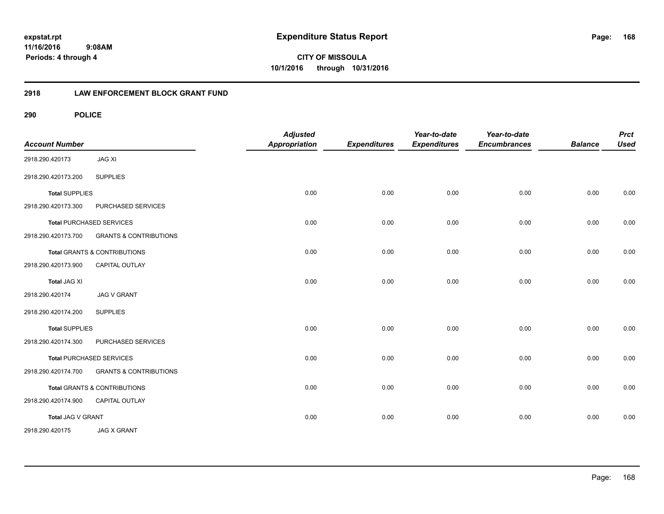**CITY OF MISSOULA 10/1/2016 through 10/31/2016**

## **2918 LAW ENFORCEMENT BLOCK GRANT FUND**

| <b>Account Number</b> |                                         | <b>Adjusted</b><br>Appropriation | <b>Expenditures</b> | Year-to-date<br><b>Expenditures</b> | Year-to-date<br><b>Encumbrances</b> | <b>Balance</b> | <b>Prct</b><br><b>Used</b> |
|-----------------------|-----------------------------------------|----------------------------------|---------------------|-------------------------------------|-------------------------------------|----------------|----------------------------|
| 2918.290.420173       | <b>JAG XI</b>                           |                                  |                     |                                     |                                     |                |                            |
| 2918.290.420173.200   | <b>SUPPLIES</b>                         |                                  |                     |                                     |                                     |                |                            |
| <b>Total SUPPLIES</b> |                                         | 0.00                             | 0.00                | 0.00                                | 0.00                                | 0.00           | 0.00                       |
| 2918.290.420173.300   | PURCHASED SERVICES                      |                                  |                     |                                     |                                     |                |                            |
|                       | <b>Total PURCHASED SERVICES</b>         | 0.00                             | 0.00                | 0.00                                | 0.00                                | 0.00           | 0.00                       |
| 2918.290.420173.700   | <b>GRANTS &amp; CONTRIBUTIONS</b>       |                                  |                     |                                     |                                     |                |                            |
|                       | Total GRANTS & CONTRIBUTIONS            | 0.00                             | 0.00                | 0.00                                | 0.00                                | 0.00           | 0.00                       |
| 2918.290.420173.900   | <b>CAPITAL OUTLAY</b>                   |                                  |                     |                                     |                                     |                |                            |
| <b>Total JAG XI</b>   |                                         | 0.00                             | 0.00                | 0.00                                | 0.00                                | 0.00           | 0.00                       |
| 2918.290.420174       | <b>JAG V GRANT</b>                      |                                  |                     |                                     |                                     |                |                            |
| 2918.290.420174.200   | <b>SUPPLIES</b>                         |                                  |                     |                                     |                                     |                |                            |
| <b>Total SUPPLIES</b> |                                         | 0.00                             | 0.00                | 0.00                                | 0.00                                | 0.00           | 0.00                       |
| 2918.290.420174.300   | PURCHASED SERVICES                      |                                  |                     |                                     |                                     |                |                            |
|                       | <b>Total PURCHASED SERVICES</b>         | 0.00                             | 0.00                | 0.00                                | 0.00                                | 0.00           | 0.00                       |
| 2918.290.420174.700   | <b>GRANTS &amp; CONTRIBUTIONS</b>       |                                  |                     |                                     |                                     |                |                            |
|                       | <b>Total GRANTS &amp; CONTRIBUTIONS</b> | 0.00                             | 0.00                | 0.00                                | 0.00                                | 0.00           | 0.00                       |
| 2918.290.420174.900   | CAPITAL OUTLAY                          |                                  |                     |                                     |                                     |                |                            |
| Total JAG V GRANT     |                                         | 0.00                             | 0.00                | 0.00                                | 0.00                                | 0.00           | 0.00                       |
| 2918.290.420175       | <b>JAG X GRANT</b>                      |                                  |                     |                                     |                                     |                |                            |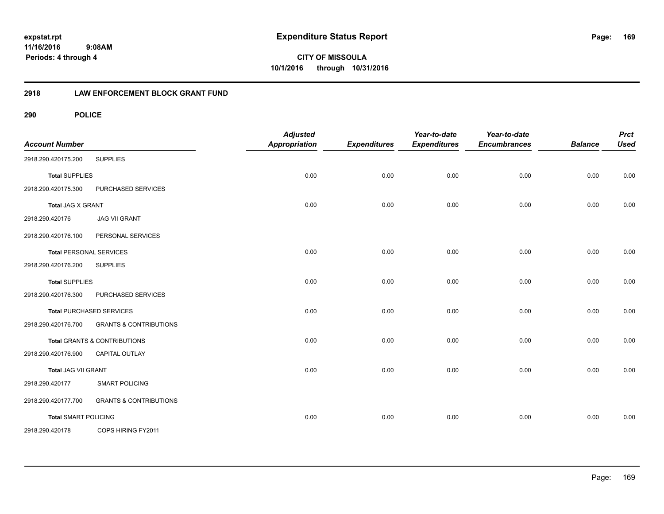**CITY OF MISSOULA 10/1/2016 through 10/31/2016**

## **2918 LAW ENFORCEMENT BLOCK GRANT FUND**

| <b>Account Number</b>       |                                         | <b>Adjusted</b><br><b>Appropriation</b> | <b>Expenditures</b> | Year-to-date<br><b>Expenditures</b> | Year-to-date<br><b>Encumbrances</b> | <b>Balance</b> | <b>Prct</b><br><b>Used</b> |
|-----------------------------|-----------------------------------------|-----------------------------------------|---------------------|-------------------------------------|-------------------------------------|----------------|----------------------------|
| 2918.290.420175.200         | <b>SUPPLIES</b>                         |                                         |                     |                                     |                                     |                |                            |
| <b>Total SUPPLIES</b>       |                                         | 0.00                                    | 0.00                | 0.00                                | 0.00                                | 0.00           | 0.00                       |
| 2918.290.420175.300         | PURCHASED SERVICES                      |                                         |                     |                                     |                                     |                |                            |
| Total JAG X GRANT           |                                         | 0.00                                    | 0.00                | 0.00                                | 0.00                                | 0.00           | 0.00                       |
| 2918.290.420176             | <b>JAG VII GRANT</b>                    |                                         |                     |                                     |                                     |                |                            |
| 2918.290.420176.100         | PERSONAL SERVICES                       |                                         |                     |                                     |                                     |                |                            |
|                             | <b>Total PERSONAL SERVICES</b>          | 0.00                                    | 0.00                | 0.00                                | 0.00                                | 0.00           | 0.00                       |
| 2918.290.420176.200         | <b>SUPPLIES</b>                         |                                         |                     |                                     |                                     |                |                            |
| <b>Total SUPPLIES</b>       |                                         | 0.00                                    | 0.00                | 0.00                                | 0.00                                | 0.00           | 0.00                       |
| 2918.290.420176.300         | PURCHASED SERVICES                      |                                         |                     |                                     |                                     |                |                            |
|                             | <b>Total PURCHASED SERVICES</b>         | 0.00                                    | 0.00                | 0.00                                | 0.00                                | 0.00           | 0.00                       |
| 2918.290.420176.700         | <b>GRANTS &amp; CONTRIBUTIONS</b>       |                                         |                     |                                     |                                     |                |                            |
|                             | <b>Total GRANTS &amp; CONTRIBUTIONS</b> | 0.00                                    | 0.00                | 0.00                                | 0.00                                | 0.00           | 0.00                       |
| 2918.290.420176.900         | CAPITAL OUTLAY                          |                                         |                     |                                     |                                     |                |                            |
| Total JAG VII GRANT         |                                         | 0.00                                    | 0.00                | 0.00                                | 0.00                                | 0.00           | 0.00                       |
| 2918.290.420177             | <b>SMART POLICING</b>                   |                                         |                     |                                     |                                     |                |                            |
| 2918.290.420177.700         | <b>GRANTS &amp; CONTRIBUTIONS</b>       |                                         |                     |                                     |                                     |                |                            |
| <b>Total SMART POLICING</b> |                                         | 0.00                                    | 0.00                | 0.00                                | 0.00                                | 0.00           | 0.00                       |
| 2918.290.420178             | COPS HIRING FY2011                      |                                         |                     |                                     |                                     |                |                            |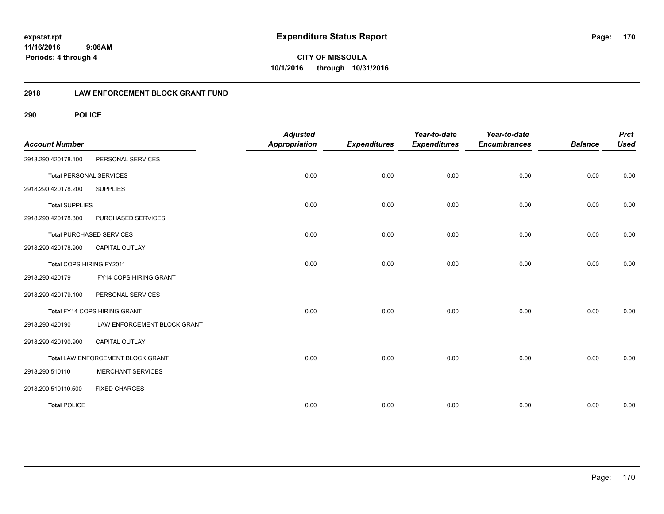**CITY OF MISSOULA 10/1/2016 through 10/31/2016**

## **2918 LAW ENFORCEMENT BLOCK GRANT FUND**

| <b>Account Number</b>          |                                   | <b>Adjusted</b><br><b>Appropriation</b> | <b>Expenditures</b> | Year-to-date<br><b>Expenditures</b> | Year-to-date<br><b>Encumbrances</b> | <b>Balance</b> | <b>Prct</b><br><b>Used</b> |
|--------------------------------|-----------------------------------|-----------------------------------------|---------------------|-------------------------------------|-------------------------------------|----------------|----------------------------|
| 2918.290.420178.100            | PERSONAL SERVICES                 |                                         |                     |                                     |                                     |                |                            |
| <b>Total PERSONAL SERVICES</b> |                                   | 0.00                                    | 0.00                | 0.00                                | 0.00                                | 0.00           | 0.00                       |
| 2918.290.420178.200            | <b>SUPPLIES</b>                   |                                         |                     |                                     |                                     |                |                            |
| <b>Total SUPPLIES</b>          |                                   | 0.00                                    | 0.00                | 0.00                                | 0.00                                | 0.00           | 0.00                       |
| 2918.290.420178.300            | PURCHASED SERVICES                |                                         |                     |                                     |                                     |                |                            |
|                                | <b>Total PURCHASED SERVICES</b>   | 0.00                                    | 0.00                | 0.00                                | 0.00                                | 0.00           | 0.00                       |
| 2918.290.420178.900            | <b>CAPITAL OUTLAY</b>             |                                         |                     |                                     |                                     |                |                            |
| Total COPS HIRING FY2011       |                                   | 0.00                                    | 0.00                | 0.00                                | 0.00                                | 0.00           | 0.00                       |
| 2918.290.420179                | FY14 COPS HIRING GRANT            |                                         |                     |                                     |                                     |                |                            |
| 2918.290.420179.100            | PERSONAL SERVICES                 |                                         |                     |                                     |                                     |                |                            |
|                                | Total FY14 COPS HIRING GRANT      | 0.00                                    | 0.00                | 0.00                                | 0.00                                | 0.00           | 0.00                       |
| 2918.290.420190                | LAW ENFORCEMENT BLOCK GRANT       |                                         |                     |                                     |                                     |                |                            |
| 2918.290.420190.900            | <b>CAPITAL OUTLAY</b>             |                                         |                     |                                     |                                     |                |                            |
|                                | Total LAW ENFORCEMENT BLOCK GRANT | 0.00                                    | 0.00                | 0.00                                | 0.00                                | 0.00           | 0.00                       |
| 2918.290.510110                | <b>MERCHANT SERVICES</b>          |                                         |                     |                                     |                                     |                |                            |
| 2918.290.510110.500            | <b>FIXED CHARGES</b>              |                                         |                     |                                     |                                     |                |                            |
| <b>Total POLICE</b>            |                                   | 0.00                                    | 0.00                | 0.00                                | 0.00                                | 0.00           | 0.00                       |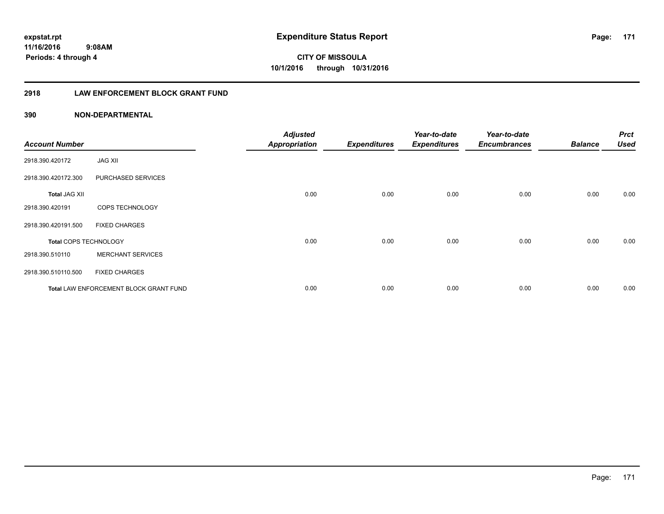**171**

**CITY OF MISSOULA 10/1/2016 through 10/31/2016**

## **2918 LAW ENFORCEMENT BLOCK GRANT FUND**

## **390 NON-DEPARTMENTAL**

| <b>Account Number</b> |                                        | <b>Adjusted</b><br><b>Appropriation</b> | <b>Expenditures</b> | Year-to-date<br><b>Expenditures</b> | Year-to-date<br><b>Encumbrances</b> | <b>Balance</b> | <b>Prct</b><br><b>Used</b> |
|-----------------------|----------------------------------------|-----------------------------------------|---------------------|-------------------------------------|-------------------------------------|----------------|----------------------------|
| 2918.390.420172       | <b>JAG XII</b>                         |                                         |                     |                                     |                                     |                |                            |
| 2918.390.420172.300   | PURCHASED SERVICES                     |                                         |                     |                                     |                                     |                |                            |
| <b>Total JAG XII</b>  |                                        | 0.00                                    | 0.00                | 0.00                                | 0.00                                | 0.00           | 0.00                       |
| 2918.390.420191       | COPS TECHNOLOGY                        |                                         |                     |                                     |                                     |                |                            |
| 2918.390.420191.500   | <b>FIXED CHARGES</b>                   |                                         |                     |                                     |                                     |                |                            |
| Total COPS TECHNOLOGY |                                        | 0.00                                    | 0.00                | 0.00                                | 0.00                                | 0.00           | 0.00                       |
| 2918.390.510110       | <b>MERCHANT SERVICES</b>               |                                         |                     |                                     |                                     |                |                            |
| 2918.390.510110.500   | <b>FIXED CHARGES</b>                   |                                         |                     |                                     |                                     |                |                            |
|                       | Total LAW ENFORCEMENT BLOCK GRANT FUND | 0.00                                    | 0.00                | 0.00                                | 0.00                                | 0.00           | 0.00                       |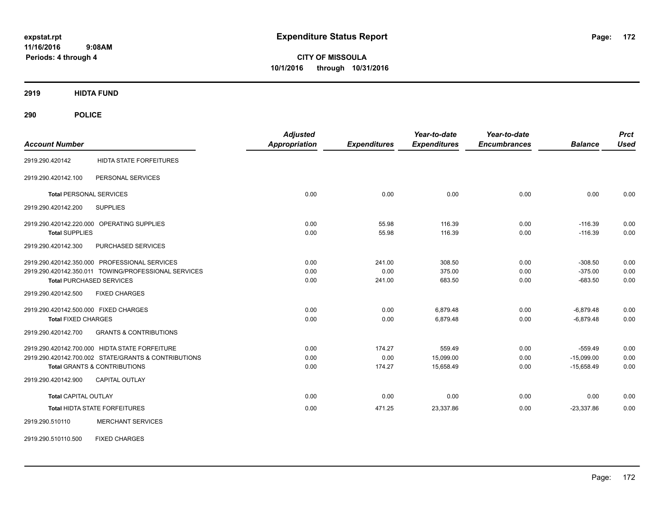**CITY OF MISSOULA 10/1/2016 through 10/31/2016**

**2919 HIDTA FUND**

| <b>Account Number</b>                                    | <b>Adjusted</b><br><b>Appropriation</b> | <b>Expenditures</b> | Year-to-date<br><b>Expenditures</b> | Year-to-date<br><b>Encumbrances</b> | <b>Balance</b> | <b>Prct</b><br><b>Used</b> |
|----------------------------------------------------------|-----------------------------------------|---------------------|-------------------------------------|-------------------------------------|----------------|----------------------------|
|                                                          |                                         |                     |                                     |                                     |                |                            |
| <b>HIDTA STATE FORFEITURES</b><br>2919.290.420142        |                                         |                     |                                     |                                     |                |                            |
| PERSONAL SERVICES<br>2919.290.420142.100                 |                                         |                     |                                     |                                     |                |                            |
| <b>Total PERSONAL SERVICES</b>                           | 0.00                                    | 0.00                | 0.00                                | 0.00                                | 0.00           | 0.00                       |
| 2919.290.420142.200<br><b>SUPPLIES</b>                   |                                         |                     |                                     |                                     |                |                            |
| 2919.290.420142.220.000 OPERATING SUPPLIES               | 0.00                                    | 55.98               | 116.39                              | 0.00                                | $-116.39$      | 0.00                       |
| <b>Total SUPPLIES</b>                                    | 0.00                                    | 55.98               | 116.39                              | 0.00                                | $-116.39$      | 0.00                       |
| PURCHASED SERVICES<br>2919.290.420142.300                |                                         |                     |                                     |                                     |                |                            |
| 2919.290.420142.350.000 PROFESSIONAL SERVICES            | 0.00                                    | 241.00              | 308.50                              | 0.00                                | $-308.50$      | 0.00                       |
| 2919.290.420142.350.011 TOWING/PROFESSIONAL SERVICES     | 0.00                                    | 0.00                | 375.00                              | 0.00                                | $-375.00$      | 0.00                       |
| <b>Total PURCHASED SERVICES</b>                          | 0.00                                    | 241.00              | 683.50                              | 0.00                                | $-683.50$      | 0.00                       |
| <b>FIXED CHARGES</b><br>2919.290.420142.500              |                                         |                     |                                     |                                     |                |                            |
| 2919.290.420142.500.000 FIXED CHARGES                    | 0.00                                    | 0.00                | 6,879.48                            | 0.00                                | $-6,879.48$    | 0.00                       |
| <b>Total FIXED CHARGES</b>                               | 0.00                                    | 0.00                | 6,879.48                            | 0.00                                | $-6,879.48$    | 0.00                       |
| <b>GRANTS &amp; CONTRIBUTIONS</b><br>2919.290.420142.700 |                                         |                     |                                     |                                     |                |                            |
| 2919.290.420142.700.000 HIDTA STATE FORFEITURE           | 0.00                                    | 174.27              | 559.49                              | 0.00                                | $-559.49$      | 0.00                       |
| 2919.290.420142.700.002 STATE/GRANTS & CONTRIBUTIONS     | 0.00                                    | 0.00                | 15,099.00                           | 0.00                                | $-15,099.00$   | 0.00                       |
| <b>Total GRANTS &amp; CONTRIBUTIONS</b>                  | 0.00                                    | 174.27              | 15,658.49                           | 0.00                                | $-15,658.49$   | 0.00                       |
| 2919.290.420142.900<br><b>CAPITAL OUTLAY</b>             |                                         |                     |                                     |                                     |                |                            |
| <b>Total CAPITAL OUTLAY</b>                              | 0.00                                    | 0.00                | 0.00                                | 0.00                                | 0.00           | 0.00                       |
| Total HIDTA STATE FORFEITURES                            | 0.00                                    | 471.25              | 23,337.86                           | 0.00                                | $-23,337.86$   | 0.00                       |
| <b>MERCHANT SERVICES</b><br>2919.290.510110              |                                         |                     |                                     |                                     |                |                            |
| <b>FIXED CHARGES</b><br>2919.290.510110.500              |                                         |                     |                                     |                                     |                |                            |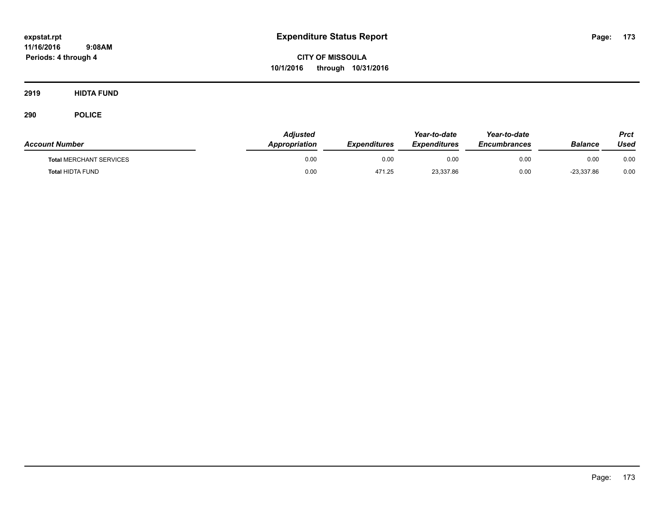**CITY OF MISSOULA 10/1/2016 through 10/31/2016**

**2919 HIDTA FUND**

| <b>Account Number</b>          | Adiusted<br>Appropriation | <b>Expenditures</b> | Year-to-date<br><b>Expenditures</b> | Year-to-date<br><b>Encumbrances</b> | Balance      | <b>Prct</b><br>Used |
|--------------------------------|---------------------------|---------------------|-------------------------------------|-------------------------------------|--------------|---------------------|
| <b>Total MERCHANT SERVICES</b> | 0.00                      | 0.00                | 0.00                                | 0.00                                | 0.00         | 0.00                |
| <b>Total HIDTA FUND</b>        | 0.00                      | 471.25              | 23,337.86                           | 0.00                                | $-23,337.86$ | 0.00                |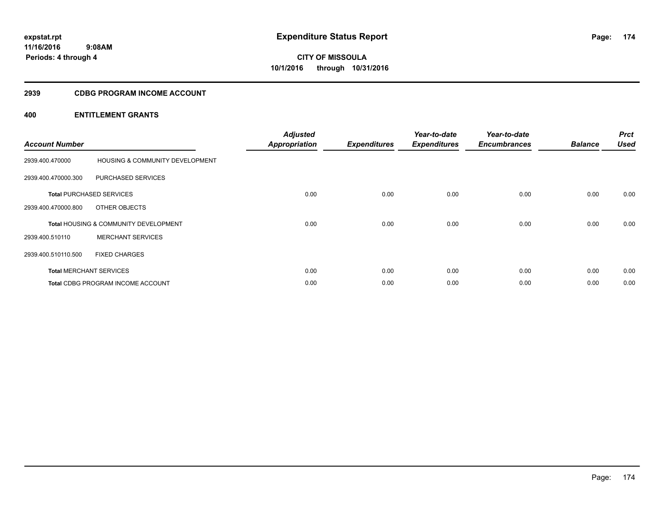## **2939 CDBG PROGRAM INCOME ACCOUNT**

| <b>Account Number</b> |                                                  | <b>Adjusted</b><br><b>Appropriation</b> | <b>Expenditures</b> | Year-to-date<br><b>Expenditures</b> | Year-to-date<br><b>Encumbrances</b> | <b>Balance</b> | <b>Prct</b><br><b>Used</b> |
|-----------------------|--------------------------------------------------|-----------------------------------------|---------------------|-------------------------------------|-------------------------------------|----------------|----------------------------|
| 2939.400.470000       | <b>HOUSING &amp; COMMUNITY DEVELOPMENT</b>       |                                         |                     |                                     |                                     |                |                            |
| 2939.400.470000.300   | PURCHASED SERVICES                               |                                         |                     |                                     |                                     |                |                            |
|                       | <b>Total PURCHASED SERVICES</b>                  | 0.00                                    | 0.00                | 0.00                                | 0.00                                | 0.00           | 0.00                       |
| 2939.400.470000.800   | OTHER OBJECTS                                    |                                         |                     |                                     |                                     |                |                            |
|                       | <b>Total HOUSING &amp; COMMUNITY DEVELOPMENT</b> | 0.00                                    | 0.00                | 0.00                                | 0.00                                | 0.00           | 0.00                       |
| 2939.400.510110       | <b>MERCHANT SERVICES</b>                         |                                         |                     |                                     |                                     |                |                            |
| 2939.400.510110.500   | <b>FIXED CHARGES</b>                             |                                         |                     |                                     |                                     |                |                            |
|                       | <b>Total MERCHANT SERVICES</b>                   | 0.00                                    | 0.00                | 0.00                                | 0.00                                | 0.00           | 0.00                       |
|                       | Total CDBG PROGRAM INCOME ACCOUNT                | 0.00                                    | 0.00                | 0.00                                | 0.00                                | 0.00           | 0.00                       |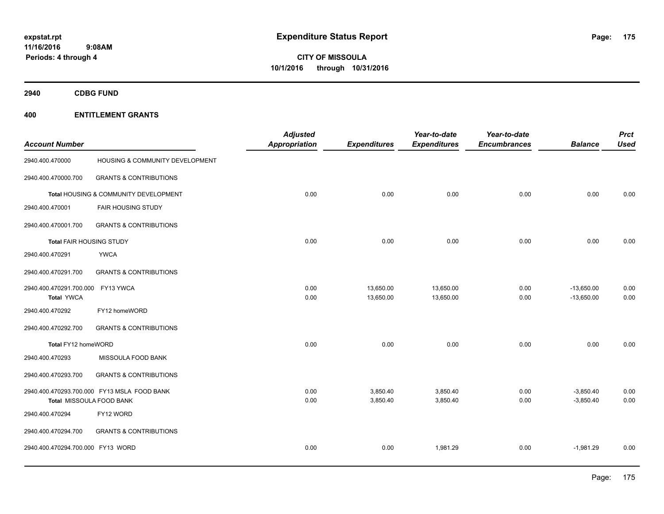**2940 CDBG FUND**

| <b>Account Number</b>                                  |                                             | <b>Adjusted</b><br><b>Appropriation</b> | <b>Expenditures</b>    | Year-to-date<br><b>Expenditures</b> | Year-to-date<br><b>Encumbrances</b> | <b>Balance</b>               | <b>Prct</b><br><b>Used</b> |
|--------------------------------------------------------|---------------------------------------------|-----------------------------------------|------------------------|-------------------------------------|-------------------------------------|------------------------------|----------------------------|
| 2940.400.470000                                        | HOUSING & COMMUNITY DEVELOPMENT             |                                         |                        |                                     |                                     |                              |                            |
| 2940.400.470000.700                                    | <b>GRANTS &amp; CONTRIBUTIONS</b>           |                                         |                        |                                     |                                     |                              |                            |
|                                                        | Total HOUSING & COMMUNITY DEVELOPMENT       | 0.00                                    | 0.00                   | 0.00                                | 0.00                                | 0.00                         | 0.00                       |
| 2940.400.470001                                        | <b>FAIR HOUSING STUDY</b>                   |                                         |                        |                                     |                                     |                              |                            |
| 2940.400.470001.700                                    | <b>GRANTS &amp; CONTRIBUTIONS</b>           |                                         |                        |                                     |                                     |                              |                            |
| <b>Total FAIR HOUSING STUDY</b>                        |                                             | 0.00                                    | 0.00                   | 0.00                                | 0.00                                | 0.00                         | 0.00                       |
| 2940.400.470291                                        | <b>YWCA</b>                                 |                                         |                        |                                     |                                     |                              |                            |
| 2940.400.470291.700                                    | <b>GRANTS &amp; CONTRIBUTIONS</b>           |                                         |                        |                                     |                                     |                              |                            |
| 2940.400.470291.700.000 FY13 YWCA<br><b>Total YWCA</b> |                                             | 0.00<br>0.00                            | 13,650.00<br>13,650.00 | 13,650.00<br>13,650.00              | 0.00<br>0.00                        | $-13,650.00$<br>$-13,650.00$ | 0.00<br>0.00               |
| 2940.400.470292                                        | FY12 homeWORD                               |                                         |                        |                                     |                                     |                              |                            |
| 2940.400.470292.700                                    | <b>GRANTS &amp; CONTRIBUTIONS</b>           |                                         |                        |                                     |                                     |                              |                            |
| Total FY12 homeWORD                                    |                                             | 0.00                                    | 0.00                   | 0.00                                | 0.00                                | 0.00                         | 0.00                       |
| 2940.400.470293                                        | MISSOULA FOOD BANK                          |                                         |                        |                                     |                                     |                              |                            |
| 2940.400.470293.700                                    | <b>GRANTS &amp; CONTRIBUTIONS</b>           |                                         |                        |                                     |                                     |                              |                            |
| Total MISSOULA FOOD BANK                               | 2940.400.470293.700.000 FY13 MSLA FOOD BANK | 0.00<br>0.00                            | 3,850.40<br>3,850.40   | 3,850.40<br>3,850.40                | 0.00<br>0.00                        | $-3,850.40$<br>$-3,850.40$   | 0.00<br>0.00               |
| 2940.400.470294                                        | FY12 WORD                                   |                                         |                        |                                     |                                     |                              |                            |
| 2940.400.470294.700                                    | <b>GRANTS &amp; CONTRIBUTIONS</b>           |                                         |                        |                                     |                                     |                              |                            |
| 2940.400.470294.700.000 FY13 WORD                      |                                             | 0.00                                    | 0.00                   | 1,981.29                            | 0.00                                | $-1,981.29$                  | 0.00                       |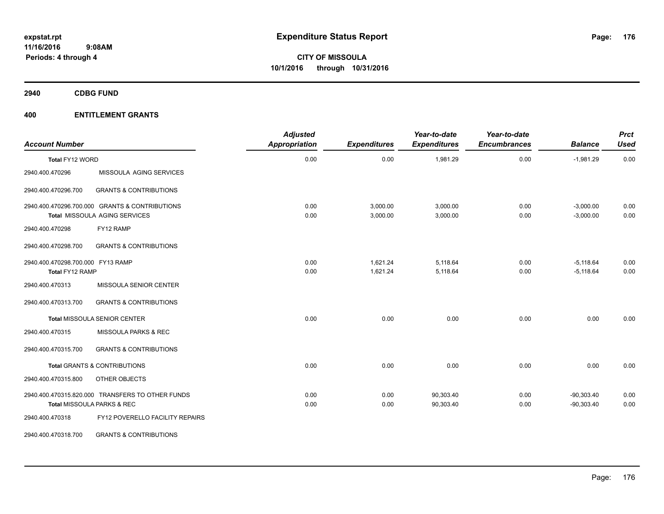**2940 CDBG FUND**

| <b>Account Number</b>                                |                                                                                        | <b>Adjusted</b><br><b>Appropriation</b> | <b>Expenditures</b>  | Year-to-date<br><b>Expenditures</b> | Year-to-date<br><b>Encumbrances</b> | <b>Balance</b>               | <b>Prct</b><br><b>Used</b> |
|------------------------------------------------------|----------------------------------------------------------------------------------------|-----------------------------------------|----------------------|-------------------------------------|-------------------------------------|------------------------------|----------------------------|
| Total FY12 WORD                                      |                                                                                        | 0.00                                    | 0.00                 | 1,981.29                            | 0.00                                | $-1,981.29$                  | 0.00                       |
| 2940.400.470296                                      | MISSOULA AGING SERVICES                                                                |                                         |                      |                                     |                                     |                              |                            |
| 2940.400.470296.700                                  | <b>GRANTS &amp; CONTRIBUTIONS</b>                                                      |                                         |                      |                                     |                                     |                              |                            |
|                                                      | 2940.400.470296.700.000 GRANTS & CONTRIBUTIONS<br><b>Total MISSOULA AGING SERVICES</b> | 0.00<br>0.00                            | 3,000.00<br>3,000.00 | 3,000.00<br>3,000.00                | 0.00<br>0.00                        | $-3,000.00$<br>$-3,000.00$   | 0.00<br>0.00               |
| 2940.400.470298                                      | FY12 RAMP                                                                              |                                         |                      |                                     |                                     |                              |                            |
| 2940.400.470298.700                                  | <b>GRANTS &amp; CONTRIBUTIONS</b>                                                      |                                         |                      |                                     |                                     |                              |                            |
| 2940.400.470298.700.000 FY13 RAMP<br>Total FY12 RAMP |                                                                                        | 0.00<br>0.00                            | 1,621.24<br>1,621.24 | 5,118.64<br>5,118.64                | 0.00<br>0.00                        | $-5,118.64$<br>$-5,118.64$   | 0.00<br>0.00               |
| 2940.400.470313                                      | MISSOULA SENIOR CENTER                                                                 |                                         |                      |                                     |                                     |                              |                            |
| 2940.400.470313.700                                  | <b>GRANTS &amp; CONTRIBUTIONS</b>                                                      |                                         |                      |                                     |                                     |                              |                            |
|                                                      | Total MISSOULA SENIOR CENTER                                                           | 0.00                                    | 0.00                 | 0.00                                | 0.00                                | 0.00                         | 0.00                       |
| 2940.400.470315                                      | MISSOULA PARKS & REC                                                                   |                                         |                      |                                     |                                     |                              |                            |
| 2940.400.470315.700                                  | <b>GRANTS &amp; CONTRIBUTIONS</b>                                                      |                                         |                      |                                     |                                     |                              |                            |
|                                                      | <b>Total GRANTS &amp; CONTRIBUTIONS</b>                                                | 0.00                                    | 0.00                 | 0.00                                | 0.00                                | 0.00                         | 0.00                       |
| 2940.400.470315.800                                  | OTHER OBJECTS                                                                          |                                         |                      |                                     |                                     |                              |                            |
|                                                      | 2940.400.470315.820.000 TRANSFERS TO OTHER FUNDS<br>Total MISSOULA PARKS & REC         | 0.00<br>0.00                            | 0.00<br>0.00         | 90,303.40<br>90,303.40              | 0.00<br>0.00                        | $-90,303.40$<br>$-90,303.40$ | 0.00<br>0.00               |
| 2940.400.470318                                      | FY12 POVERELLO FACILITY REPAIRS                                                        |                                         |                      |                                     |                                     |                              |                            |
| 2940.400.470318.700                                  | <b>GRANTS &amp; CONTRIBUTIONS</b>                                                      |                                         |                      |                                     |                                     |                              |                            |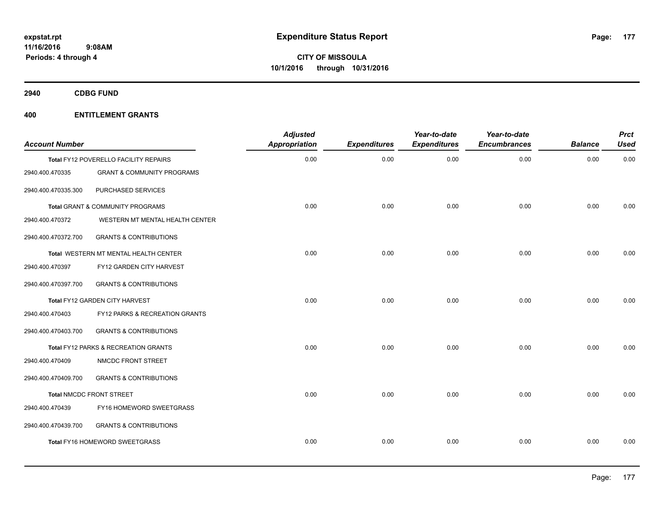**2940 CDBG FUND**

| <b>Account Number</b> |                                           | <b>Adjusted</b><br>Appropriation | <b>Expenditures</b> | Year-to-date<br><b>Expenditures</b> | Year-to-date<br><b>Encumbrances</b> | <b>Balance</b> | <b>Prct</b><br><b>Used</b> |
|-----------------------|-------------------------------------------|----------------------------------|---------------------|-------------------------------------|-------------------------------------|----------------|----------------------------|
|                       | Total FY12 POVERELLO FACILITY REPAIRS     | 0.00                             | 0.00                | 0.00                                | 0.00                                | 0.00           | 0.00                       |
| 2940.400.470335       | <b>GRANT &amp; COMMUNITY PROGRAMS</b>     |                                  |                     |                                     |                                     |                |                            |
| 2940.400.470335.300   | PURCHASED SERVICES                        |                                  |                     |                                     |                                     |                |                            |
|                       | Total GRANT & COMMUNITY PROGRAMS          | 0.00                             | 0.00                | 0.00                                | 0.00                                | 0.00           | 0.00                       |
| 2940.400.470372       | WESTERN MT MENTAL HEALTH CENTER           |                                  |                     |                                     |                                     |                |                            |
| 2940.400.470372.700   | <b>GRANTS &amp; CONTRIBUTIONS</b>         |                                  |                     |                                     |                                     |                |                            |
|                       | Total WESTERN MT MENTAL HEALTH CENTER     | 0.00                             | 0.00                | 0.00                                | 0.00                                | 0.00           | 0.00                       |
| 2940.400.470397       | FY12 GARDEN CITY HARVEST                  |                                  |                     |                                     |                                     |                |                            |
| 2940.400.470397.700   | <b>GRANTS &amp; CONTRIBUTIONS</b>         |                                  |                     |                                     |                                     |                |                            |
|                       | Total FY12 GARDEN CITY HARVEST            | 0.00                             | 0.00                | 0.00                                | 0.00                                | 0.00           | 0.00                       |
| 2940.400.470403       | <b>FY12 PARKS &amp; RECREATION GRANTS</b> |                                  |                     |                                     |                                     |                |                            |
| 2940.400.470403.700   | <b>GRANTS &amp; CONTRIBUTIONS</b>         |                                  |                     |                                     |                                     |                |                            |
|                       | Total FY12 PARKS & RECREATION GRANTS      | 0.00                             | 0.00                | 0.00                                | 0.00                                | 0.00           | 0.00                       |
| 2940.400.470409       | NMCDC FRONT STREET                        |                                  |                     |                                     |                                     |                |                            |
| 2940.400.470409.700   | <b>GRANTS &amp; CONTRIBUTIONS</b>         |                                  |                     |                                     |                                     |                |                            |
|                       | Total NMCDC FRONT STREET                  | 0.00                             | 0.00                | 0.00                                | 0.00                                | 0.00           | 0.00                       |
| 2940.400.470439       | FY16 HOMEWORD SWEETGRASS                  |                                  |                     |                                     |                                     |                |                            |
| 2940.400.470439.700   | <b>GRANTS &amp; CONTRIBUTIONS</b>         |                                  |                     |                                     |                                     |                |                            |
|                       | Total FY16 HOMEWORD SWEETGRASS            | 0.00                             | 0.00                | 0.00                                | 0.00                                | 0.00           | 0.00                       |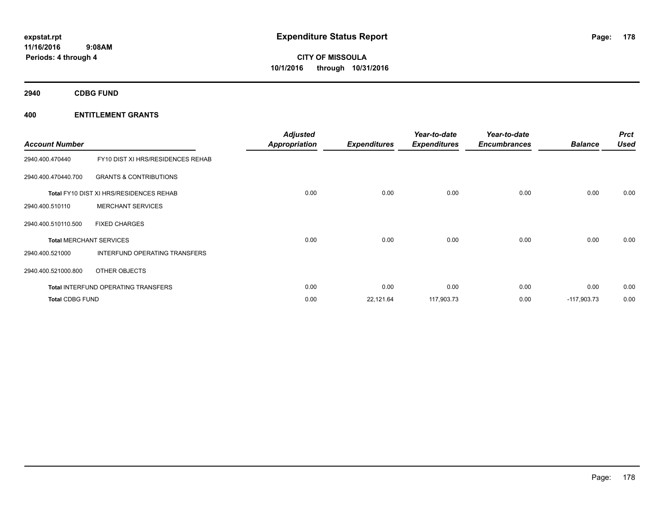**2940 CDBG FUND**

| <b>Account Number</b>  |                                                | <b>Adjusted</b><br><b>Appropriation</b> | <b>Expenditures</b> | Year-to-date<br><b>Expenditures</b> | Year-to-date<br><b>Encumbrances</b> | <b>Balance</b> | <b>Prct</b><br><b>Used</b> |
|------------------------|------------------------------------------------|-----------------------------------------|---------------------|-------------------------------------|-------------------------------------|----------------|----------------------------|
| 2940.400.470440        | FY10 DIST XI HRS/RESIDENCES REHAB              |                                         |                     |                                     |                                     |                |                            |
| 2940.400.470440.700    | <b>GRANTS &amp; CONTRIBUTIONS</b>              |                                         |                     |                                     |                                     |                |                            |
|                        | <b>Total FY10 DIST XI HRS/RESIDENCES REHAB</b> | 0.00                                    | 0.00                | 0.00                                | 0.00                                | 0.00           | 0.00                       |
| 2940.400.510110        | <b>MERCHANT SERVICES</b>                       |                                         |                     |                                     |                                     |                |                            |
| 2940.400.510110.500    | <b>FIXED CHARGES</b>                           |                                         |                     |                                     |                                     |                |                            |
|                        | <b>Total MERCHANT SERVICES</b>                 | 0.00                                    | 0.00                | 0.00                                | 0.00                                | 0.00           | 0.00                       |
| 2940.400.521000        | INTERFUND OPERATING TRANSFERS                  |                                         |                     |                                     |                                     |                |                            |
| 2940.400.521000.800    | OTHER OBJECTS                                  |                                         |                     |                                     |                                     |                |                            |
|                        | <b>Total INTERFUND OPERATING TRANSFERS</b>     | 0.00                                    | 0.00                | 0.00                                | 0.00                                | 0.00           | 0.00                       |
| <b>Total CDBG FUND</b> |                                                | 0.00                                    | 22,121.64           | 117,903.73                          | 0.00                                | $-117,903.73$  | 0.00                       |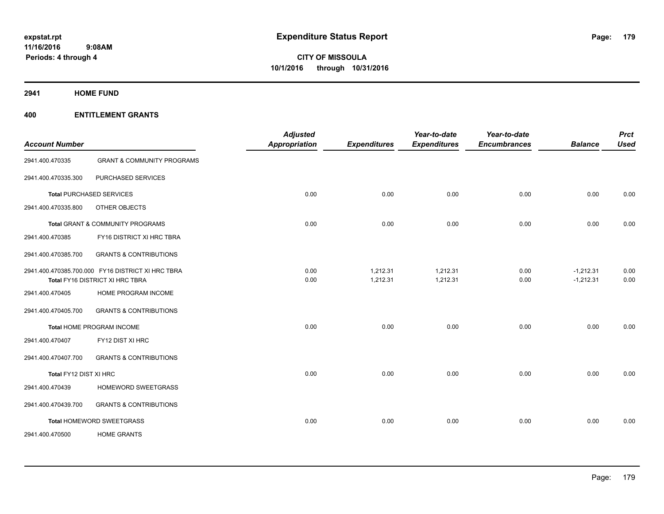**2941 HOME FUND**

| <b>Account Number</b>  |                                                                                      | <b>Adjusted</b><br>Appropriation | <b>Expenditures</b>  | Year-to-date<br><b>Expenditures</b> | Year-to-date<br><b>Encumbrances</b> | <b>Balance</b>             | <b>Prct</b><br><b>Used</b> |
|------------------------|--------------------------------------------------------------------------------------|----------------------------------|----------------------|-------------------------------------|-------------------------------------|----------------------------|----------------------------|
| 2941.400.470335        | <b>GRANT &amp; COMMUNITY PROGRAMS</b>                                                |                                  |                      |                                     |                                     |                            |                            |
| 2941.400.470335.300    | PURCHASED SERVICES                                                                   |                                  |                      |                                     |                                     |                            |                            |
|                        | <b>Total PURCHASED SERVICES</b>                                                      | 0.00                             | 0.00                 | 0.00                                | 0.00                                | 0.00                       | 0.00                       |
| 2941.400.470335.800    | OTHER OBJECTS                                                                        |                                  |                      |                                     |                                     |                            |                            |
|                        | Total GRANT & COMMUNITY PROGRAMS                                                     | 0.00                             | 0.00                 | 0.00                                | 0.00                                | 0.00                       | 0.00                       |
| 2941.400.470385        | FY16 DISTRICT XI HRC TBRA                                                            |                                  |                      |                                     |                                     |                            |                            |
| 2941.400.470385.700    | <b>GRANTS &amp; CONTRIBUTIONS</b>                                                    |                                  |                      |                                     |                                     |                            |                            |
|                        | 2941.400.470385.700.000 FY16 DISTRICT XI HRC TBRA<br>Total FY16 DISTRICT XI HRC TBRA | 0.00<br>0.00                     | 1,212.31<br>1,212.31 | 1,212.31<br>1,212.31                | 0.00<br>0.00                        | $-1,212.31$<br>$-1,212.31$ | 0.00<br>0.00               |
| 2941.400.470405        | HOME PROGRAM INCOME                                                                  |                                  |                      |                                     |                                     |                            |                            |
| 2941.400.470405.700    | <b>GRANTS &amp; CONTRIBUTIONS</b>                                                    |                                  |                      |                                     |                                     |                            |                            |
|                        | Total HOME PROGRAM INCOME                                                            | 0.00                             | 0.00                 | 0.00                                | 0.00                                | 0.00                       | 0.00                       |
| 2941.400.470407        | FY12 DIST XI HRC                                                                     |                                  |                      |                                     |                                     |                            |                            |
| 2941.400.470407.700    | <b>GRANTS &amp; CONTRIBUTIONS</b>                                                    |                                  |                      |                                     |                                     |                            |                            |
| Total FY12 DIST XI HRC |                                                                                      | 0.00                             | 0.00                 | 0.00                                | 0.00                                | 0.00                       | 0.00                       |
| 2941.400.470439        | HOMEWORD SWEETGRASS                                                                  |                                  |                      |                                     |                                     |                            |                            |
| 2941.400.470439.700    | <b>GRANTS &amp; CONTRIBUTIONS</b>                                                    |                                  |                      |                                     |                                     |                            |                            |
|                        | Total HOMEWORD SWEETGRASS                                                            | 0.00                             | 0.00                 | 0.00                                | 0.00                                | 0.00                       | 0.00                       |
| 2941.400.470500        | <b>HOME GRANTS</b>                                                                   |                                  |                      |                                     |                                     |                            |                            |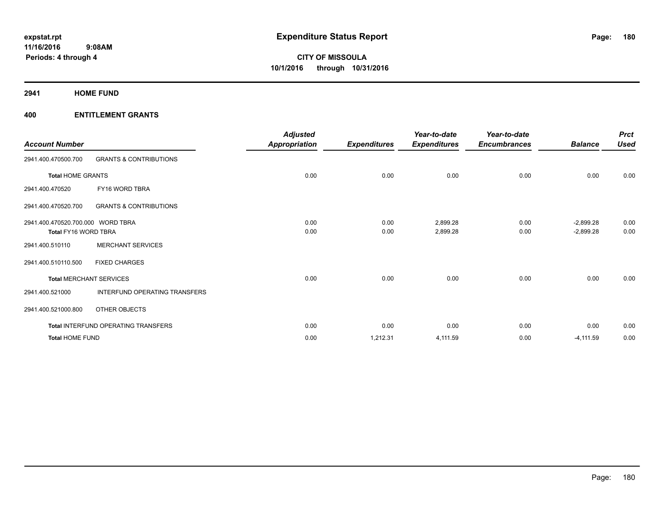**2941 HOME FUND**

| <b>Account Number</b>             |                                            | <b>Adjusted</b><br><b>Appropriation</b> | <b>Expenditures</b> | Year-to-date<br><b>Expenditures</b> | Year-to-date<br><b>Encumbrances</b> | <b>Balance</b> | <b>Prct</b><br><b>Used</b> |
|-----------------------------------|--------------------------------------------|-----------------------------------------|---------------------|-------------------------------------|-------------------------------------|----------------|----------------------------|
| 2941.400.470500.700               | <b>GRANTS &amp; CONTRIBUTIONS</b>          |                                         |                     |                                     |                                     |                |                            |
| <b>Total HOME GRANTS</b>          |                                            | 0.00                                    | 0.00                | 0.00                                | 0.00                                | 0.00           | 0.00                       |
| 2941.400.470520                   | FY16 WORD TBRA                             |                                         |                     |                                     |                                     |                |                            |
| 2941.400.470520.700               | <b>GRANTS &amp; CONTRIBUTIONS</b>          |                                         |                     |                                     |                                     |                |                            |
| 2941.400.470520.700.000 WORD TBRA |                                            | 0.00                                    | 0.00                | 2,899.28                            | 0.00                                | $-2,899.28$    | 0.00                       |
| Total FY16 WORD TBRA              |                                            | 0.00                                    | 0.00                | 2,899.28                            | 0.00                                | $-2,899.28$    | 0.00                       |
| 2941.400.510110                   | <b>MERCHANT SERVICES</b>                   |                                         |                     |                                     |                                     |                |                            |
| 2941.400.510110.500               | <b>FIXED CHARGES</b>                       |                                         |                     |                                     |                                     |                |                            |
|                                   | <b>Total MERCHANT SERVICES</b>             | 0.00                                    | 0.00                | 0.00                                | 0.00                                | 0.00           | 0.00                       |
| 2941.400.521000                   | INTERFUND OPERATING TRANSFERS              |                                         |                     |                                     |                                     |                |                            |
| 2941.400.521000.800               | OTHER OBJECTS                              |                                         |                     |                                     |                                     |                |                            |
|                                   | <b>Total INTERFUND OPERATING TRANSFERS</b> | 0.00                                    | 0.00                | 0.00                                | 0.00                                | 0.00           | 0.00                       |
| <b>Total HOME FUND</b>            |                                            | 0.00                                    | 1,212.31            | 4,111.59                            | 0.00                                | $-4, 111.59$   | 0.00                       |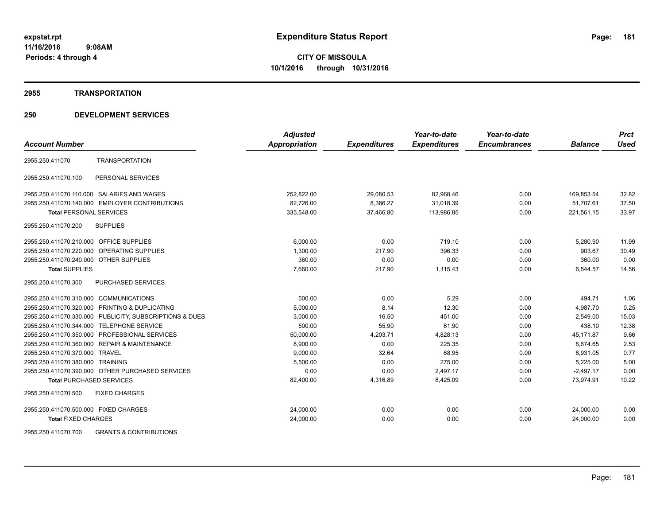#### **2955 TRANSPORTATION**

|                                                          | <b>Adjusted</b>      |                     | Year-to-date        | Year-to-date        |                | <b>Prct</b> |
|----------------------------------------------------------|----------------------|---------------------|---------------------|---------------------|----------------|-------------|
| <b>Account Number</b>                                    | <b>Appropriation</b> | <b>Expenditures</b> | <b>Expenditures</b> | <b>Encumbrances</b> | <b>Balance</b> | <b>Used</b> |
| <b>TRANSPORTATION</b><br>2955.250.411070                 |                      |                     |                     |                     |                |             |
| PERSONAL SERVICES<br>2955.250.411070.100                 |                      |                     |                     |                     |                |             |
| 2955.250.411070.110.000 SALARIES AND WAGES               | 252,822.00           | 29,080.53           | 82,968.46           | 0.00                | 169,853.54     | 32.82       |
| 2955.250.411070.140.000 EMPLOYER CONTRIBUTIONS           | 82,726.00            | 8,386.27            | 31,018.39           | 0.00                | 51,707.61      | 37.50       |
| <b>Total PERSONAL SERVICES</b>                           | 335,548.00           | 37,466.80           | 113,986.85          | 0.00                | 221,561.15     | 33.97       |
| <b>SUPPLIES</b><br>2955.250.411070.200                   |                      |                     |                     |                     |                |             |
| 2955.250.411070.210.000 OFFICE SUPPLIES                  | 6.000.00             | 0.00                | 719.10              | 0.00                | 5,280.90       | 11.99       |
| 2955.250.411070.220.000 OPERATING SUPPLIES               | 1.300.00             | 217.90              | 396.33              | 0.00                | 903.67         | 30.49       |
| 2955.250.411070.240.000 OTHER SUPPLIES                   | 360.00               | 0.00                | 0.00                | 0.00                | 360.00         | 0.00        |
| <b>Total SUPPLIES</b>                                    | 7,660.00             | 217.90              | 1,115.43            | 0.00                | 6,544.57       | 14.56       |
| 2955.250.411070.300<br>PURCHASED SERVICES                |                      |                     |                     |                     |                |             |
| 2955.250.411070.310.000 COMMUNICATIONS                   | 500.00               | 0.00                | 5.29                | 0.00                | 494.71         | 1.06        |
| 2955.250.411070.320.000 PRINTING & DUPLICATING           | 5,000.00             | 8.14                | 12.30               | 0.00                | 4,987.70       | 0.25        |
| 2955.250.411070.330.000 PUBLICITY, SUBSCRIPTIONS & DUES  | 3,000.00             | 16.50               | 451.00              | 0.00                | 2,549.00       | 15.03       |
| 2955.250.411070.344.000 TELEPHONE SERVICE                | 500.00               | 55.90               | 61.90               | 0.00                | 438.10         | 12.38       |
| 2955.250.411070.350.000 PROFESSIONAL SERVICES            | 50,000.00            | 4,203.71            | 4,828.13            | 0.00                | 45,171.87      | 9.66        |
| 2955.250.411070.360.000 REPAIR & MAINTENANCE             | 8,900.00             | 0.00                | 225.35              | 0.00                | 8,674.65       | 2.53        |
| 2955.250.411070.370.000 TRAVEL                           | 9,000.00             | 32.64               | 68.95               | 0.00                | 8,931.05       | 0.77        |
| 2955.250.411070.380.000 TRAINING                         | 5,500.00             | 0.00                | 275.00              | 0.00                | 5,225.00       | 5.00        |
| 2955.250.411070.390.000 OTHER PURCHASED SERVICES         | 0.00                 | 0.00                | 2,497.17            | 0.00                | $-2,497.17$    | 0.00        |
| <b>Total PURCHASED SERVICES</b>                          | 82,400.00            | 4,316.89            | 8,425.09            | 0.00                | 73,974.91      | 10.22       |
| 2955.250.411070.500<br><b>FIXED CHARGES</b>              |                      |                     |                     |                     |                |             |
| 2955.250.411070.500.000 FIXED CHARGES                    | 24,000.00            | 0.00                | 0.00                | 0.00                | 24,000.00      | 0.00        |
| <b>Total FIXED CHARGES</b>                               | 24,000.00            | 0.00                | 0.00                | 0.00                | 24,000.00      | 0.00        |
| <b>GRANTS &amp; CONTRIBUTIONS</b><br>2955.250.411070.700 |                      |                     |                     |                     |                |             |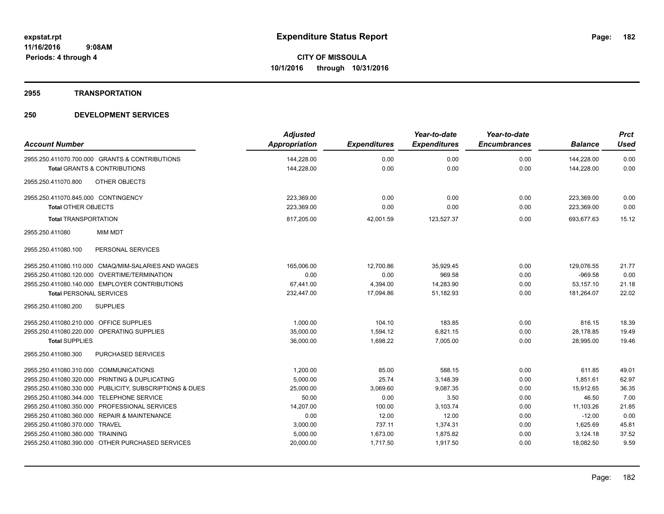## **2955 TRANSPORTATION**

| <b>Account Number</b>                                   | <b>Adjusted</b><br>Appropriation | <b>Expenditures</b> | Year-to-date<br><b>Expenditures</b> | Year-to-date<br><b>Encumbrances</b> | <b>Balance</b> | <b>Prct</b><br><b>Used</b> |
|---------------------------------------------------------|----------------------------------|---------------------|-------------------------------------|-------------------------------------|----------------|----------------------------|
| 2955.250.411070.700.000 GRANTS & CONTRIBUTIONS          | 144,228.00                       | 0.00                | 0.00                                | 0.00                                | 144,228.00     | 0.00                       |
| <b>Total GRANTS &amp; CONTRIBUTIONS</b>                 | 144,228.00                       | 0.00                | 0.00                                | 0.00                                | 144,228.00     | 0.00                       |
| <b>OTHER OBJECTS</b><br>2955.250.411070.800             |                                  |                     |                                     |                                     |                |                            |
| 2955.250.411070.845.000 CONTINGENCY                     | 223,369.00                       | 0.00                | 0.00                                | 0.00                                | 223,369.00     | 0.00                       |
| <b>Total OTHER OBJECTS</b>                              | 223.369.00                       | 0.00                | 0.00                                | 0.00                                | 223,369.00     | 0.00                       |
| <b>Total TRANSPORTATION</b>                             | 817,205.00                       | 42.001.59           | 123,527.37                          | 0.00                                | 693.677.63     | 15.12                      |
| <b>MIM MDT</b><br>2955.250.411080                       |                                  |                     |                                     |                                     |                |                            |
| PERSONAL SERVICES<br>2955.250.411080.100                |                                  |                     |                                     |                                     |                |                            |
| 2955.250.411080.110.000 CMAQ/MIM-SALARIES AND WAGES     | 165,006.00                       | 12,700.86           | 35,929.45                           | 0.00                                | 129,076.55     | 21.77                      |
| 2955.250.411080.120.000 OVERTIME/TERMINATION            | 0.00                             | 0.00                | 969.58                              | 0.00                                | $-969.58$      | 0.00                       |
| 2955.250.411080.140.000 EMPLOYER CONTRIBUTIONS          | 67,441.00                        | 4,394.00            | 14,283.90                           | 0.00                                | 53,157.10      | 21.18                      |
| <b>Total PERSONAL SERVICES</b>                          | 232,447.00                       | 17,094.86           | 51,182.93                           | 0.00                                | 181.264.07     | 22.02                      |
| 2955.250.411080.200<br><b>SUPPLIES</b>                  |                                  |                     |                                     |                                     |                |                            |
| 2955.250.411080.210.000 OFFICE SUPPLIES                 | 1,000.00                         | 104.10              | 183.85                              | 0.00                                | 816.15         | 18.39                      |
| 2955.250.411080.220.000 OPERATING SUPPLIES              | 35,000.00                        | 1,594.12            | 6,821.15                            | 0.00                                | 28,178.85      | 19.49                      |
| <b>Total SUPPLIES</b>                                   | 36,000.00                        | 1,698.22            | 7,005.00                            | 0.00                                | 28,995.00      | 19.46                      |
| 2955.250.411080.300<br><b>PURCHASED SERVICES</b>        |                                  |                     |                                     |                                     |                |                            |
| 2955.250.411080.310.000 COMMUNICATIONS                  | 1,200.00                         | 85.00               | 588.15                              | 0.00                                | 611.85         | 49.01                      |
| 2955.250.411080.320.000 PRINTING & DUPLICATING          | 5,000.00                         | 25.74               | 3,148.39                            | 0.00                                | 1,851.61       | 62.97                      |
| 2955.250.411080.330.000 PUBLICITY, SUBSCRIPTIONS & DUES | 25,000.00                        | 3,069.60            | 9,087.35                            | 0.00                                | 15,912.65      | 36.35                      |
| 2955.250.411080.344.000 TELEPHONE SERVICE               | 50.00                            | 0.00                | 3.50                                | 0.00                                | 46.50          | 7.00                       |
| 2955.250.411080.350.000 PROFESSIONAL SERVICES           | 14,207.00                        | 100.00              | 3,103.74                            | 0.00                                | 11,103.26      | 21.85                      |
| 2955.250.411080.360.000 REPAIR & MAINTENANCE            | 0.00                             | 12.00               | 12.00                               | 0.00                                | $-12.00$       | 0.00                       |
| 2955.250.411080.370.000 TRAVEL                          | 3,000.00                         | 737.11              | 1,374.31                            | 0.00                                | 1,625.69       | 45.81                      |
| 2955.250.411080.380.000 TRAINING                        | 5,000.00                         | 1,673.00            | 1,875.82                            | 0.00                                | 3,124.18       | 37.52                      |
| 2955.250.411080.390.000 OTHER PURCHASED SERVICES        | 20,000.00                        | 1,717.50            | 1,917.50                            | 0.00                                | 18,082.50      | 9.59                       |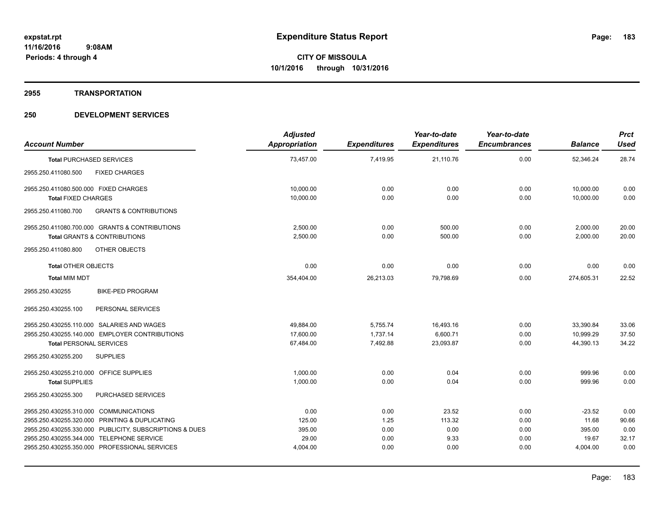#### **2955 TRANSPORTATION**

| <b>Account Number</b>                                    | <b>Adjusted</b><br>Appropriation | <b>Expenditures</b> | Year-to-date<br><b>Expenditures</b> | Year-to-date<br><b>Encumbrances</b> | <b>Balance</b> | <b>Prct</b><br><b>Used</b> |
|----------------------------------------------------------|----------------------------------|---------------------|-------------------------------------|-------------------------------------|----------------|----------------------------|
| <b>Total PURCHASED SERVICES</b>                          | 73,457.00                        | 7,419.95            | 21,110.76                           | 0.00                                | 52,346.24      | 28.74                      |
| <b>FIXED CHARGES</b><br>2955.250.411080.500              |                                  |                     |                                     |                                     |                |                            |
| 2955.250.411080.500.000 FIXED CHARGES                    | 10,000.00                        | 0.00                | 0.00                                | 0.00                                | 10,000.00      | 0.00                       |
| <b>Total FIXED CHARGES</b>                               | 10,000.00                        | 0.00                | 0.00                                | 0.00                                | 10,000.00      | 0.00                       |
| 2955.250.411080.700<br><b>GRANTS &amp; CONTRIBUTIONS</b> |                                  |                     |                                     |                                     |                |                            |
| 2955.250.411080.700.000 GRANTS & CONTRIBUTIONS           | 2,500.00                         | 0.00                | 500.00                              | 0.00                                | 2,000.00       | 20.00                      |
| <b>Total GRANTS &amp; CONTRIBUTIONS</b>                  | 2,500.00                         | 0.00                | 500.00                              | 0.00                                | 2,000.00       | 20.00                      |
| OTHER OBJECTS<br>2955.250.411080.800                     |                                  |                     |                                     |                                     |                |                            |
| <b>Total OTHER OBJECTS</b>                               | 0.00                             | 0.00                | 0.00                                | 0.00                                | 0.00           | 0.00                       |
| <b>Total MIM MDT</b>                                     | 354,404.00                       | 26,213.03           | 79,798.69                           | 0.00                                | 274,605.31     | 22.52                      |
| <b>BIKE-PED PROGRAM</b><br>2955.250.430255               |                                  |                     |                                     |                                     |                |                            |
| 2955.250.430255.100<br>PERSONAL SERVICES                 |                                  |                     |                                     |                                     |                |                            |
| 2955.250.430255.110.000 SALARIES AND WAGES               | 49,884.00                        | 5,755.74            | 16,493.16                           | 0.00                                | 33,390.84      | 33.06                      |
| 2955.250.430255.140.000 EMPLOYER CONTRIBUTIONS           | 17.600.00                        | 1.737.14            | 6,600.71                            | 0.00                                | 10.999.29      | 37.50                      |
| <b>Total PERSONAL SERVICES</b>                           | 67,484.00                        | 7,492.88            | 23,093.87                           | 0.00                                | 44,390.13      | 34.22                      |
| <b>SUPPLIES</b><br>2955.250.430255.200                   |                                  |                     |                                     |                                     |                |                            |
| 2955.250.430255.210.000 OFFICE SUPPLIES                  | 1,000.00                         | 0.00                | 0.04                                | 0.00                                | 999.96         | 0.00                       |
| <b>Total SUPPLIES</b>                                    | 1,000.00                         | 0.00                | 0.04                                | 0.00                                | 999.96         | 0.00                       |
| PURCHASED SERVICES<br>2955.250.430255.300                |                                  |                     |                                     |                                     |                |                            |
| 2955.250.430255.310.000 COMMUNICATIONS                   | 0.00                             | 0.00                | 23.52                               | 0.00                                | $-23.52$       | 0.00                       |
| 2955.250.430255.320.000 PRINTING & DUPLICATING           | 125.00                           | 1.25                | 113.32                              | 0.00                                | 11.68          | 90.66                      |
| 2955.250.430255.330.000 PUBLICITY, SUBSCRIPTIONS & DUES  | 395.00                           | 0.00                | 0.00                                | 0.00                                | 395.00         | 0.00                       |
| 2955.250.430255.344.000 TELEPHONE SERVICE                | 29.00                            | 0.00                | 9.33                                | 0.00                                | 19.67          | 32.17                      |
| 2955.250.430255.350.000 PROFESSIONAL SERVICES            | 4,004.00                         | 0.00                | 0.00                                | 0.00                                | 4,004.00       | 0.00                       |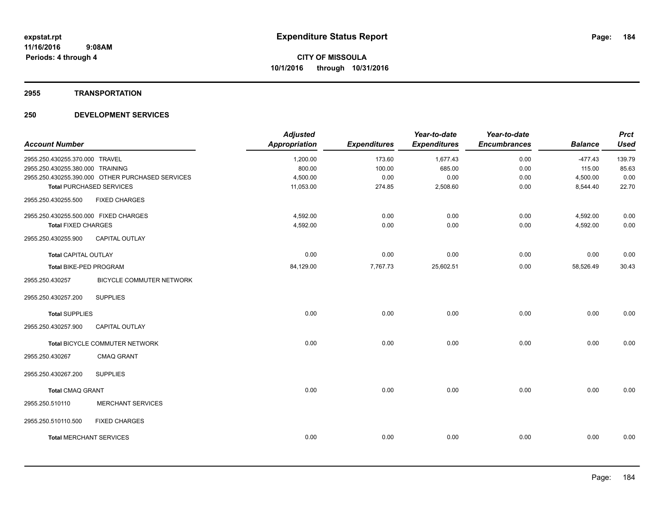#### **2955 TRANSPORTATION**

| <b>Account Number</b>                 |                                                  | <b>Adjusted</b><br><b>Appropriation</b> | <b>Expenditures</b> | Year-to-date<br><b>Expenditures</b> | Year-to-date<br><b>Encumbrances</b> | <b>Balance</b> | <b>Prct</b><br><b>Used</b> |
|---------------------------------------|--------------------------------------------------|-----------------------------------------|---------------------|-------------------------------------|-------------------------------------|----------------|----------------------------|
| 2955.250.430255.370.000 TRAVEL        |                                                  | 1,200.00                                | 173.60              | 1,677.43                            | 0.00                                | $-477.43$      | 139.79                     |
| 2955.250.430255.380.000 TRAINING      |                                                  | 800.00                                  | 100.00              | 685.00                              | 0.00                                | 115.00         | 85.63                      |
|                                       | 2955.250.430255.390.000 OTHER PURCHASED SERVICES | 4,500.00                                | 0.00                | 0.00                                | 0.00                                | 4,500.00       | 0.00                       |
|                                       | <b>Total PURCHASED SERVICES</b>                  | 11,053.00                               | 274.85              | 2,508.60                            | 0.00                                | 8,544.40       | 22.70                      |
| 2955.250.430255.500                   | <b>FIXED CHARGES</b>                             |                                         |                     |                                     |                                     |                |                            |
| 2955.250.430255.500.000 FIXED CHARGES |                                                  | 4,592.00                                | 0.00                | 0.00                                | 0.00                                | 4,592.00       | 0.00                       |
| <b>Total FIXED CHARGES</b>            |                                                  | 4,592.00                                | 0.00                | 0.00                                | 0.00                                | 4,592.00       | 0.00                       |
| 2955.250.430255.900                   | <b>CAPITAL OUTLAY</b>                            |                                         |                     |                                     |                                     |                |                            |
| <b>Total CAPITAL OUTLAY</b>           |                                                  | 0.00                                    | 0.00                | 0.00                                | 0.00                                | 0.00           | 0.00                       |
| <b>Total BIKE-PED PROGRAM</b>         |                                                  | 84,129.00                               | 7,767.73            | 25,602.51                           | 0.00                                | 58,526.49      | 30.43                      |
| 2955.250.430257                       | BICYCLE COMMUTER NETWORK                         |                                         |                     |                                     |                                     |                |                            |
| 2955.250.430257.200                   | <b>SUPPLIES</b>                                  |                                         |                     |                                     |                                     |                |                            |
| <b>Total SUPPLIES</b>                 |                                                  | 0.00                                    | 0.00                | 0.00                                | 0.00                                | 0.00           | 0.00                       |
| 2955.250.430257.900                   | <b>CAPITAL OUTLAY</b>                            |                                         |                     |                                     |                                     |                |                            |
|                                       | Total BICYCLE COMMUTER NETWORK                   | 0.00                                    | 0.00                | 0.00                                | 0.00                                | 0.00           | 0.00                       |
| 2955.250.430267                       | <b>CMAQ GRANT</b>                                |                                         |                     |                                     |                                     |                |                            |
| 2955.250.430267.200                   | <b>SUPPLIES</b>                                  |                                         |                     |                                     |                                     |                |                            |
| <b>Total CMAQ GRANT</b>               |                                                  | 0.00                                    | 0.00                | 0.00                                | 0.00                                | 0.00           | 0.00                       |
| 2955.250.510110                       | <b>MERCHANT SERVICES</b>                         |                                         |                     |                                     |                                     |                |                            |
| 2955.250.510110.500                   | <b>FIXED CHARGES</b>                             |                                         |                     |                                     |                                     |                |                            |
| <b>Total MERCHANT SERVICES</b>        |                                                  | 0.00                                    | 0.00                | 0.00                                | 0.00                                | 0.00           | 0.00                       |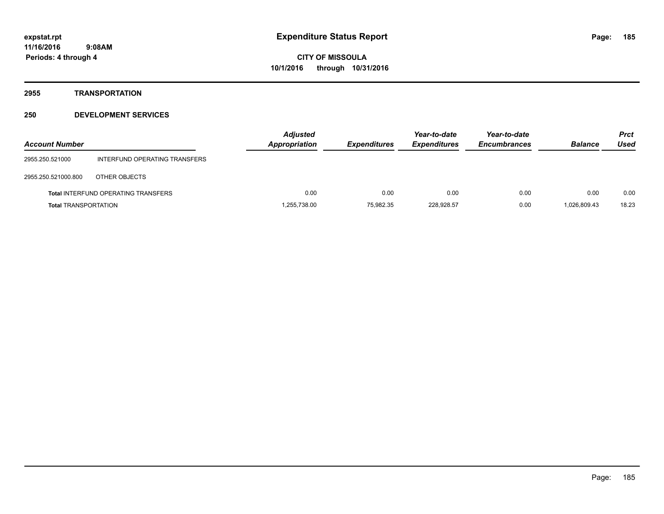## **2955 TRANSPORTATION**

| <b>Account Number</b>       |                                            | <b>Adjusted</b><br><b>Appropriation</b> | <b>Expenditures</b> | Year-to-date<br><b>Expenditures</b> | Year-to-date<br><b>Encumbrances</b> | <b>Balance</b> | <b>Prct</b><br>Used |
|-----------------------------|--------------------------------------------|-----------------------------------------|---------------------|-------------------------------------|-------------------------------------|----------------|---------------------|
| 2955.250.521000             | INTERFUND OPERATING TRANSFERS              |                                         |                     |                                     |                                     |                |                     |
| 2955.250.521000.800         | OTHER OBJECTS                              |                                         |                     |                                     |                                     |                |                     |
|                             | <b>Total INTERFUND OPERATING TRANSFERS</b> | 0.00                                    | 0.00                | 0.00                                | 0.00                                | 0.00           | 0.00                |
| <b>Total TRANSPORTATION</b> |                                            | 1,255,738.00                            | 75,982.35           | 228,928.57                          | 0.00                                | 1.026.809.43   | 18.23               |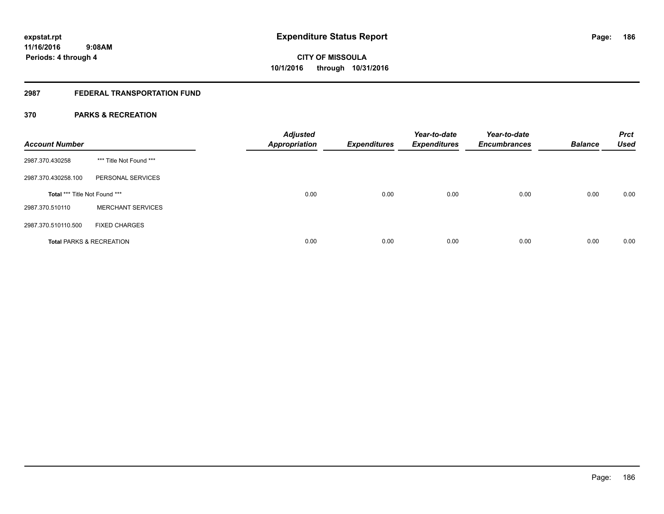## **2987 FEDERAL TRANSPORTATION FUND**

## **370 PARKS & RECREATION**

| <b>Account Number</b>         |                                     | <b>Adjusted</b><br>Appropriation | <b>Expenditures</b> | Year-to-date<br><b>Expenditures</b> | Year-to-date<br><b>Encumbrances</b> | <b>Balance</b> | <b>Prct</b><br><b>Used</b> |
|-------------------------------|-------------------------------------|----------------------------------|---------------------|-------------------------------------|-------------------------------------|----------------|----------------------------|
| 2987.370.430258               | *** Title Not Found ***             |                                  |                     |                                     |                                     |                |                            |
| 2987.370.430258.100           | PERSONAL SERVICES                   |                                  |                     |                                     |                                     |                |                            |
| Total *** Title Not Found *** |                                     | 0.00                             | 0.00                | 0.00                                | 0.00                                | 0.00           | 0.00                       |
| 2987.370.510110               | <b>MERCHANT SERVICES</b>            |                                  |                     |                                     |                                     |                |                            |
| 2987.370.510110.500           | <b>FIXED CHARGES</b>                |                                  |                     |                                     |                                     |                |                            |
|                               | <b>Total PARKS &amp; RECREATION</b> | 0.00                             | 0.00                | 0.00                                | 0.00                                | 0.00           | 0.00                       |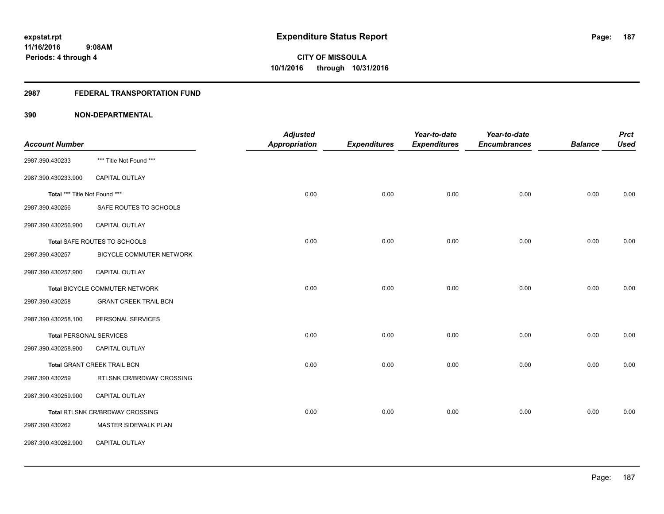### **2987 FEDERAL TRANSPORTATION FUND**

|                                |                                 | <b>Adjusted</b> |                     | Year-to-date        | Year-to-date        |                | <b>Prct</b> |
|--------------------------------|---------------------------------|-----------------|---------------------|---------------------|---------------------|----------------|-------------|
| <b>Account Number</b>          |                                 | Appropriation   | <b>Expenditures</b> | <b>Expenditures</b> | <b>Encumbrances</b> | <b>Balance</b> | <b>Used</b> |
| 2987.390.430233                | *** Title Not Found ***         |                 |                     |                     |                     |                |             |
| 2987.390.430233.900            | CAPITAL OUTLAY                  |                 |                     |                     |                     |                |             |
| Total *** Title Not Found ***  |                                 | 0.00            | 0.00                | 0.00                | 0.00                | 0.00           | 0.00        |
| 2987.390.430256                | SAFE ROUTES TO SCHOOLS          |                 |                     |                     |                     |                |             |
| 2987.390.430256.900            | CAPITAL OUTLAY                  |                 |                     |                     |                     |                |             |
|                                | Total SAFE ROUTES TO SCHOOLS    | 0.00            | 0.00                | 0.00                | 0.00                | 0.00           | 0.00        |
| 2987.390.430257                | BICYCLE COMMUTER NETWORK        |                 |                     |                     |                     |                |             |
| 2987.390.430257.900            | <b>CAPITAL OUTLAY</b>           |                 |                     |                     |                     |                |             |
|                                | Total BICYCLE COMMUTER NETWORK  | 0.00            | 0.00                | 0.00                | 0.00                | 0.00           | 0.00        |
| 2987.390.430258                | <b>GRANT CREEK TRAIL BCN</b>    |                 |                     |                     |                     |                |             |
| 2987.390.430258.100            | PERSONAL SERVICES               |                 |                     |                     |                     |                |             |
| <b>Total PERSONAL SERVICES</b> |                                 | 0.00            | 0.00                | 0.00                | 0.00                | 0.00           | 0.00        |
| 2987.390.430258.900            | <b>CAPITAL OUTLAY</b>           |                 |                     |                     |                     |                |             |
|                                | Total GRANT CREEK TRAIL BCN     | 0.00            | 0.00                | 0.00                | 0.00                | 0.00           | 0.00        |
| 2987.390.430259                | RTLSNK CR/BRDWAY CROSSING       |                 |                     |                     |                     |                |             |
| 2987.390.430259.900            | CAPITAL OUTLAY                  |                 |                     |                     |                     |                |             |
|                                | Total RTLSNK CR/BRDWAY CROSSING | 0.00            | 0.00                | 0.00                | 0.00                | 0.00           | 0.00        |
| 2987.390.430262                | MASTER SIDEWALK PLAN            |                 |                     |                     |                     |                |             |
| 2987.390.430262.900            | CAPITAL OUTLAY                  |                 |                     |                     |                     |                |             |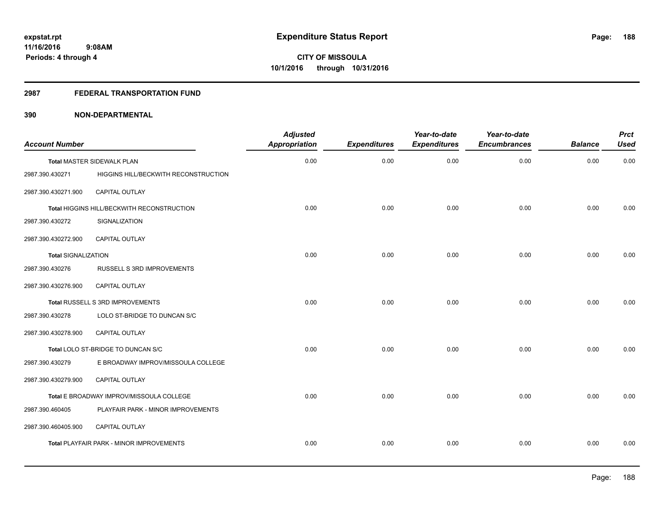#### **2987 FEDERAL TRANSPORTATION FUND**

| <b>Account Number</b>      |                                                 | <b>Adjusted</b><br><b>Appropriation</b> | <b>Expenditures</b> | Year-to-date<br><b>Expenditures</b> | Year-to-date<br><b>Encumbrances</b> | <b>Balance</b> | <b>Prct</b><br><b>Used</b> |
|----------------------------|-------------------------------------------------|-----------------------------------------|---------------------|-------------------------------------|-------------------------------------|----------------|----------------------------|
|                            | <b>Total MASTER SIDEWALK PLAN</b>               | 0.00                                    | 0.00                | 0.00                                | 0.00                                | 0.00           | 0.00                       |
| 2987.390.430271            | HIGGINS HILL/BECKWITH RECONSTRUCTION            |                                         |                     |                                     |                                     |                |                            |
| 2987.390.430271.900        | CAPITAL OUTLAY                                  |                                         |                     |                                     |                                     |                |                            |
|                            | Total HIGGINS HILL/BECKWITH RECONSTRUCTION      | 0.00                                    | 0.00                | 0.00                                | 0.00                                | 0.00           | 0.00                       |
| 2987.390.430272            | SIGNALIZATION                                   |                                         |                     |                                     |                                     |                |                            |
| 2987.390.430272.900        | <b>CAPITAL OUTLAY</b>                           |                                         |                     |                                     |                                     |                |                            |
| <b>Total SIGNALIZATION</b> |                                                 | 0.00                                    | 0.00                | 0.00                                | 0.00                                | 0.00           | 0.00                       |
| 2987.390.430276            | RUSSELL S 3RD IMPROVEMENTS                      |                                         |                     |                                     |                                     |                |                            |
| 2987.390.430276.900        | <b>CAPITAL OUTLAY</b>                           |                                         |                     |                                     |                                     |                |                            |
|                            | Total RUSSELL S 3RD IMPROVEMENTS                | 0.00                                    | 0.00                | 0.00                                | 0.00                                | 0.00           | 0.00                       |
| 2987.390.430278            | LOLO ST-BRIDGE TO DUNCAN S/C                    |                                         |                     |                                     |                                     |                |                            |
| 2987.390.430278.900        | <b>CAPITAL OUTLAY</b>                           |                                         |                     |                                     |                                     |                |                            |
|                            | Total LOLO ST-BRIDGE TO DUNCAN S/C              | 0.00                                    | 0.00                | 0.00                                | 0.00                                | 0.00           | 0.00                       |
| 2987.390.430279            | E BROADWAY IMPROV/MISSOULA COLLEGE              |                                         |                     |                                     |                                     |                |                            |
| 2987.390.430279.900        | CAPITAL OUTLAY                                  |                                         |                     |                                     |                                     |                |                            |
|                            | Total E BROADWAY IMPROV/MISSOULA COLLEGE        | 0.00                                    | 0.00                | 0.00                                | 0.00                                | 0.00           | 0.00                       |
| 2987.390.460405            | PLAYFAIR PARK - MINOR IMPROVEMENTS              |                                         |                     |                                     |                                     |                |                            |
| 2987.390.460405.900        | <b>CAPITAL OUTLAY</b>                           |                                         |                     |                                     |                                     |                |                            |
|                            | <b>Total PLAYFAIR PARK - MINOR IMPROVEMENTS</b> | 0.00                                    | 0.00                | 0.00                                | 0.00                                | 0.00           | 0.00                       |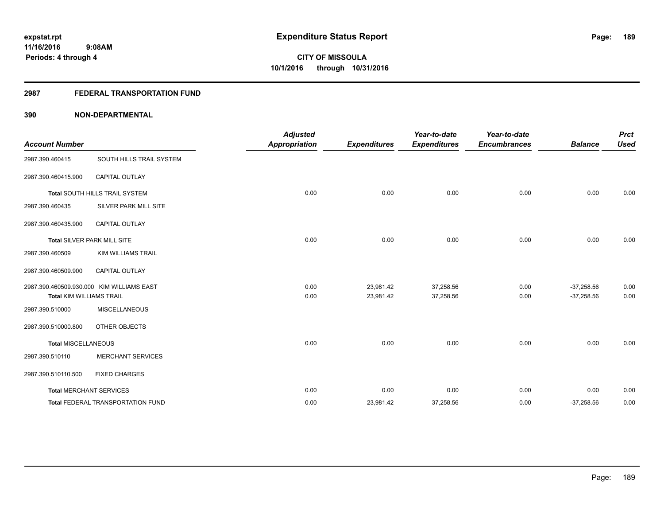### **2987 FEDERAL TRANSPORTATION FUND**

| <b>Account Number</b>           |                                           | <b>Adjusted</b><br><b>Appropriation</b> | <b>Expenditures</b>    | Year-to-date<br><b>Expenditures</b> | Year-to-date<br><b>Encumbrances</b> | <b>Balance</b>               | <b>Prct</b><br><b>Used</b> |
|---------------------------------|-------------------------------------------|-----------------------------------------|------------------------|-------------------------------------|-------------------------------------|------------------------------|----------------------------|
| 2987.390.460415                 | SOUTH HILLS TRAIL SYSTEM                  |                                         |                        |                                     |                                     |                              |                            |
| 2987.390.460415.900             | CAPITAL OUTLAY                            |                                         |                        |                                     |                                     |                              |                            |
|                                 | Total SOUTH HILLS TRAIL SYSTEM            | 0.00                                    | 0.00                   | 0.00                                | 0.00                                | 0.00                         | 0.00                       |
| 2987.390.460435                 | SILVER PARK MILL SITE                     |                                         |                        |                                     |                                     |                              |                            |
| 2987.390.460435.900             | <b>CAPITAL OUTLAY</b>                     |                                         |                        |                                     |                                     |                              |                            |
|                                 | <b>Total SILVER PARK MILL SITE</b>        | 0.00                                    | 0.00                   | 0.00                                | 0.00                                | 0.00                         | 0.00                       |
| 2987.390.460509                 | <b>KIM WILLIAMS TRAIL</b>                 |                                         |                        |                                     |                                     |                              |                            |
| 2987.390.460509.900             | <b>CAPITAL OUTLAY</b>                     |                                         |                        |                                     |                                     |                              |                            |
| <b>Total KIM WILLIAMS TRAIL</b> | 2987.390.460509.930.000 KIM WILLIAMS EAST | 0.00<br>0.00                            | 23,981.42<br>23,981.42 | 37,258.56<br>37,258.56              | 0.00<br>0.00                        | $-37,258.56$<br>$-37,258.56$ | 0.00<br>0.00               |
| 2987.390.510000                 | <b>MISCELLANEOUS</b>                      |                                         |                        |                                     |                                     |                              |                            |
| 2987.390.510000.800             | OTHER OBJECTS                             |                                         |                        |                                     |                                     |                              |                            |
| <b>Total MISCELLANEOUS</b>      |                                           | 0.00                                    | 0.00                   | 0.00                                | 0.00                                | 0.00                         | 0.00                       |
| 2987.390.510110                 | <b>MERCHANT SERVICES</b>                  |                                         |                        |                                     |                                     |                              |                            |
| 2987.390.510110.500             | <b>FIXED CHARGES</b>                      |                                         |                        |                                     |                                     |                              |                            |
|                                 | <b>Total MERCHANT SERVICES</b>            | 0.00                                    | 0.00                   | 0.00                                | 0.00                                | 0.00                         | 0.00                       |
|                                 | Total FEDERAL TRANSPORTATION FUND         | 0.00                                    | 23,981.42              | 37,258.56                           | 0.00                                | $-37,258.56$                 | 0.00                       |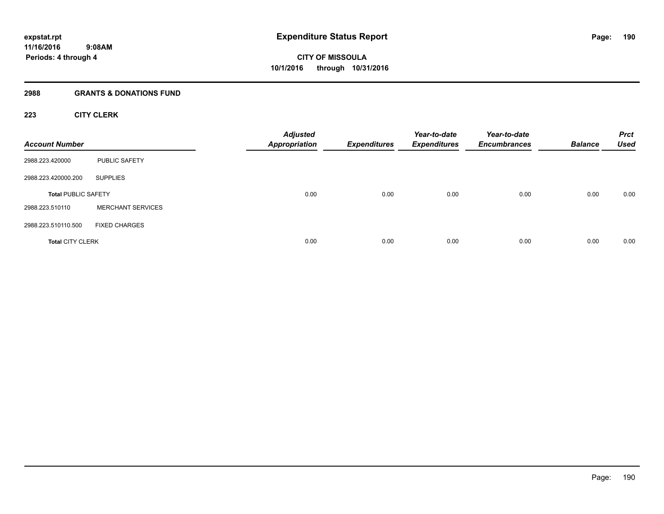## **2988 GRANTS & DONATIONS FUND**

## **223 CITY CLERK**

| <b>Account Number</b>      |                          | <b>Adjusted</b><br><b>Appropriation</b> | <b>Expenditures</b> | Year-to-date<br><b>Expenditures</b> | Year-to-date<br><b>Encumbrances</b> | <b>Balance</b> | <b>Prct</b><br><b>Used</b> |
|----------------------------|--------------------------|-----------------------------------------|---------------------|-------------------------------------|-------------------------------------|----------------|----------------------------|
| 2988.223.420000            | <b>PUBLIC SAFETY</b>     |                                         |                     |                                     |                                     |                |                            |
| 2988.223.420000.200        | <b>SUPPLIES</b>          |                                         |                     |                                     |                                     |                |                            |
| <b>Total PUBLIC SAFETY</b> |                          | 0.00                                    | 0.00                | 0.00                                | 0.00                                | 0.00           | 0.00                       |
| 2988.223.510110            | <b>MERCHANT SERVICES</b> |                                         |                     |                                     |                                     |                |                            |
| 2988.223.510110.500        | <b>FIXED CHARGES</b>     |                                         |                     |                                     |                                     |                |                            |
| <b>Total CITY CLERK</b>    |                          | 0.00                                    | 0.00                | 0.00                                | 0.00                                | 0.00           | 0.00                       |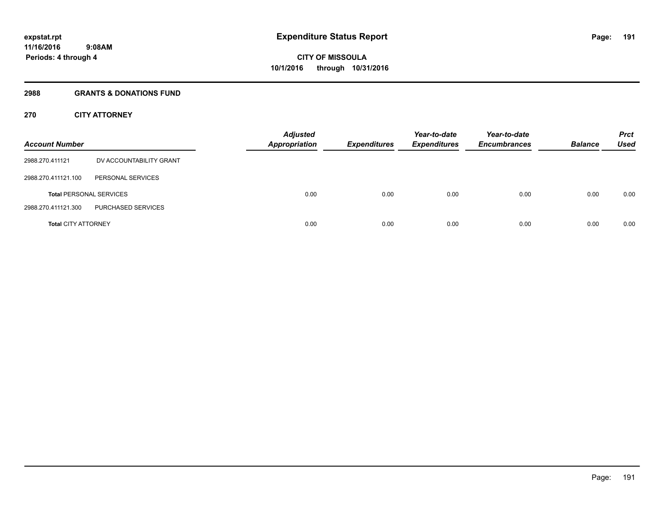## **2988 GRANTS & DONATIONS FUND**

## **270 CITY ATTORNEY**

| <b>Account Number</b>      |                                | <b>Adjusted</b><br><b>Appropriation</b> |      | <b>Expenditures</b> | Year-to-date<br><b>Expenditures</b> | Year-to-date<br><b>Encumbrances</b> | <b>Balance</b> | <b>Prct</b><br>Used |
|----------------------------|--------------------------------|-----------------------------------------|------|---------------------|-------------------------------------|-------------------------------------|----------------|---------------------|
| 2988.270.411121            | DV ACCOUNTABILITY GRANT        |                                         |      |                     |                                     |                                     |                |                     |
| 2988.270.411121.100        | PERSONAL SERVICES              |                                         |      |                     |                                     |                                     |                |                     |
|                            | <b>Total PERSONAL SERVICES</b> |                                         | 0.00 | 0.00                | 0.00                                | 0.00                                | 0.00           | 0.00                |
| 2988.270.411121.300        | PURCHASED SERVICES             |                                         |      |                     |                                     |                                     |                |                     |
| <b>Total CITY ATTORNEY</b> |                                |                                         | 0.00 | 0.00                | 0.00                                | 0.00                                | 0.00           | 0.00                |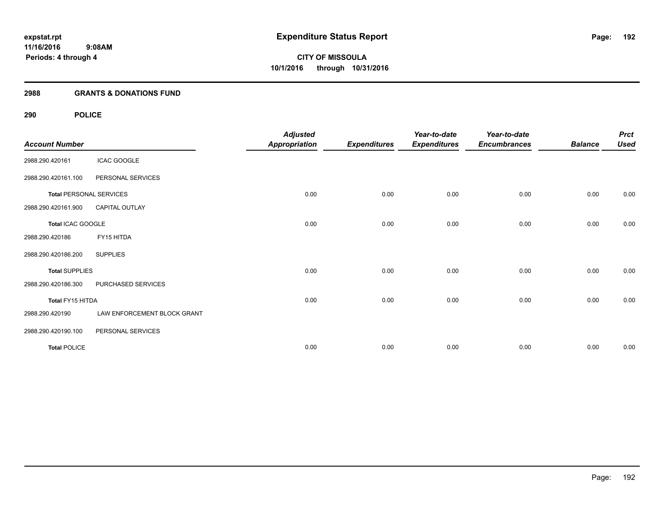### **2988 GRANTS & DONATIONS FUND**

| <b>Account Number</b> |                                | <b>Adjusted</b><br><b>Appropriation</b> | <b>Expenditures</b> | Year-to-date<br><b>Expenditures</b> | Year-to-date<br><b>Encumbrances</b> | <b>Balance</b> | <b>Prct</b><br><b>Used</b> |
|-----------------------|--------------------------------|-----------------------------------------|---------------------|-------------------------------------|-------------------------------------|----------------|----------------------------|
| 2988.290.420161       | <b>ICAC GOOGLE</b>             |                                         |                     |                                     |                                     |                |                            |
| 2988.290.420161.100   | PERSONAL SERVICES              |                                         |                     |                                     |                                     |                |                            |
|                       | <b>Total PERSONAL SERVICES</b> | 0.00                                    | 0.00                | 0.00                                | 0.00                                | 0.00           | 0.00                       |
| 2988.290.420161.900   | CAPITAL OUTLAY                 |                                         |                     |                                     |                                     |                |                            |
| Total ICAC GOOGLE     |                                | 0.00                                    | 0.00                | 0.00                                | 0.00                                | 0.00           | 0.00                       |
| 2988.290.420186       | FY15 HITDA                     |                                         |                     |                                     |                                     |                |                            |
| 2988.290.420186.200   | <b>SUPPLIES</b>                |                                         |                     |                                     |                                     |                |                            |
| <b>Total SUPPLIES</b> |                                | 0.00                                    | 0.00                | 0.00                                | 0.00                                | 0.00           | 0.00                       |
| 2988.290.420186.300   | PURCHASED SERVICES             |                                         |                     |                                     |                                     |                |                            |
| Total FY15 HITDA      |                                | 0.00                                    | 0.00                | 0.00                                | 0.00                                | 0.00           | 0.00                       |
| 2988.290.420190       | LAW ENFORCEMENT BLOCK GRANT    |                                         |                     |                                     |                                     |                |                            |
| 2988.290.420190.100   | PERSONAL SERVICES              |                                         |                     |                                     |                                     |                |                            |
| <b>Total POLICE</b>   |                                | 0.00                                    | 0.00                | 0.00                                | 0.00                                | 0.00           | 0.00                       |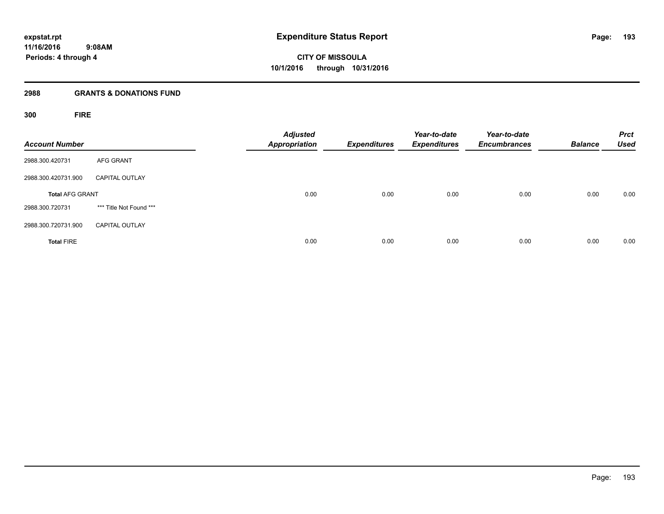## **2988 GRANTS & DONATIONS FUND**

**300 FIRE**

| <b>Account Number</b>  |                         | <b>Adjusted</b><br>Appropriation | <b>Expenditures</b> | Year-to-date<br><b>Expenditures</b> | Year-to-date<br><b>Encumbrances</b> | <b>Balance</b> | <b>Prct</b><br><b>Used</b> |
|------------------------|-------------------------|----------------------------------|---------------------|-------------------------------------|-------------------------------------|----------------|----------------------------|
| 2988.300.420731        | <b>AFG GRANT</b>        |                                  |                     |                                     |                                     |                |                            |
| 2988.300.420731.900    | <b>CAPITAL OUTLAY</b>   |                                  |                     |                                     |                                     |                |                            |
| <b>Total AFG GRANT</b> |                         | 0.00                             | 0.00                | 0.00                                | 0.00                                | 0.00           | 0.00                       |
| 2988.300.720731        | *** Title Not Found *** |                                  |                     |                                     |                                     |                |                            |
| 2988.300.720731.900    | <b>CAPITAL OUTLAY</b>   |                                  |                     |                                     |                                     |                |                            |
| <b>Total FIRE</b>      |                         | 0.00                             | 0.00                | 0.00                                | 0.00                                | 0.00           | 0.00                       |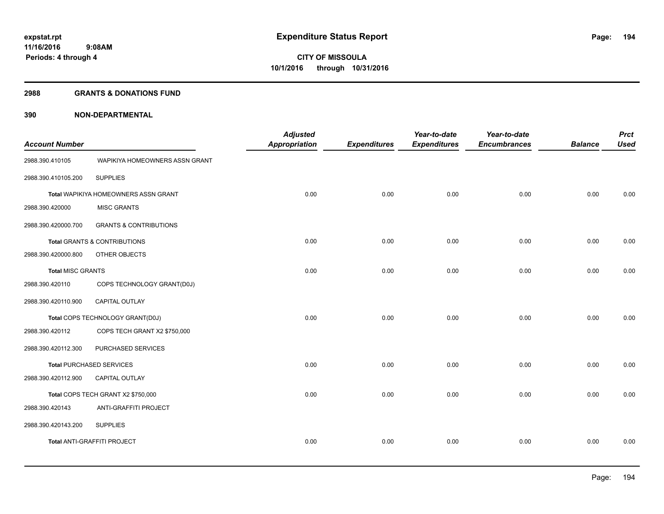#### **2988 GRANTS & DONATIONS FUND**

| <b>Account Number</b>    |                                         | <b>Adjusted</b><br><b>Appropriation</b> | <b>Expenditures</b> | Year-to-date<br><b>Expenditures</b> | Year-to-date<br><b>Encumbrances</b> | <b>Balance</b> | <b>Prct</b><br><b>Used</b> |
|--------------------------|-----------------------------------------|-----------------------------------------|---------------------|-------------------------------------|-------------------------------------|----------------|----------------------------|
| 2988.390.410105          | WAPIKIYA HOMEOWNERS ASSN GRANT          |                                         |                     |                                     |                                     |                |                            |
| 2988.390.410105.200      | <b>SUPPLIES</b>                         |                                         |                     |                                     |                                     |                |                            |
|                          | Total WAPIKIYA HOMEOWNERS ASSN GRANT    | 0.00                                    | 0.00                | 0.00                                | 0.00                                | 0.00           | 0.00                       |
| 2988.390.420000          | <b>MISC GRANTS</b>                      |                                         |                     |                                     |                                     |                |                            |
| 2988.390.420000.700      | <b>GRANTS &amp; CONTRIBUTIONS</b>       |                                         |                     |                                     |                                     |                |                            |
|                          | <b>Total GRANTS &amp; CONTRIBUTIONS</b> | 0.00                                    | 0.00                | 0.00                                | 0.00                                | 0.00           | 0.00                       |
| 2988.390.420000.800      | OTHER OBJECTS                           |                                         |                     |                                     |                                     |                |                            |
| <b>Total MISC GRANTS</b> |                                         | 0.00                                    | 0.00                | 0.00                                | 0.00                                | 0.00           | 0.00                       |
| 2988.390.420110          | COPS TECHNOLOGY GRANT(D0J)              |                                         |                     |                                     |                                     |                |                            |
| 2988.390.420110.900      | CAPITAL OUTLAY                          |                                         |                     |                                     |                                     |                |                            |
|                          | Total COPS TECHNOLOGY GRANT(D0J)        | 0.00                                    | 0.00                | 0.00                                | 0.00                                | 0.00           | 0.00                       |
| 2988.390.420112          | COPS TECH GRANT X2 \$750,000            |                                         |                     |                                     |                                     |                |                            |
| 2988.390.420112.300      | PURCHASED SERVICES                      |                                         |                     |                                     |                                     |                |                            |
|                          | <b>Total PURCHASED SERVICES</b>         | 0.00                                    | 0.00                | 0.00                                | 0.00                                | 0.00           | 0.00                       |
| 2988.390.420112.900      | CAPITAL OUTLAY                          |                                         |                     |                                     |                                     |                |                            |
|                          | Total COPS TECH GRANT X2 \$750,000      | 0.00                                    | 0.00                | 0.00                                | 0.00                                | 0.00           | 0.00                       |
| 2988.390.420143          | ANTI-GRAFFITI PROJECT                   |                                         |                     |                                     |                                     |                |                            |
| 2988.390.420143.200      | <b>SUPPLIES</b>                         |                                         |                     |                                     |                                     |                |                            |
|                          | <b>Total ANTI-GRAFFITI PROJECT</b>      | 0.00                                    | 0.00                | 0.00                                | 0.00                                | 0.00           | 0.00                       |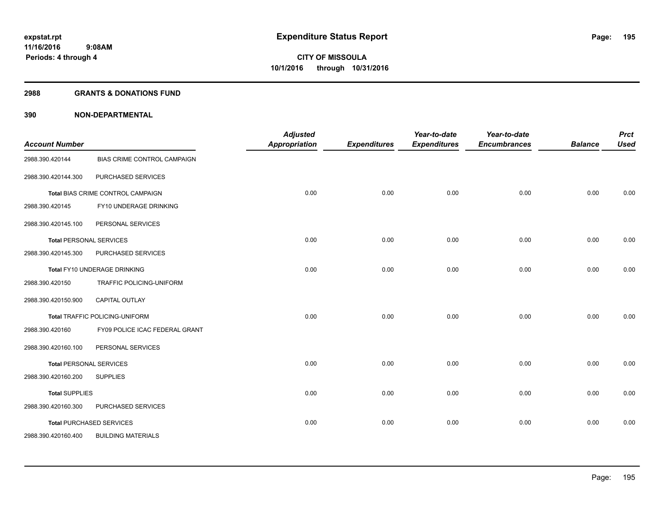#### **2988 GRANTS & DONATIONS FUND**

| <b>Account Number</b>          |                                       | <b>Adjusted</b><br><b>Appropriation</b> | <b>Expenditures</b> | Year-to-date<br><b>Expenditures</b> | Year-to-date<br><b>Encumbrances</b> | <b>Balance</b> | <b>Prct</b><br><b>Used</b> |
|--------------------------------|---------------------------------------|-----------------------------------------|---------------------|-------------------------------------|-------------------------------------|----------------|----------------------------|
| 2988.390.420144                | BIAS CRIME CONTROL CAMPAIGN           |                                         |                     |                                     |                                     |                |                            |
| 2988.390.420144.300            | PURCHASED SERVICES                    |                                         |                     |                                     |                                     |                |                            |
|                                | Total BIAS CRIME CONTROL CAMPAIGN     | 0.00                                    | 0.00                | 0.00                                | 0.00                                | 0.00           | 0.00                       |
| 2988.390.420145                | FY10 UNDERAGE DRINKING                |                                         |                     |                                     |                                     |                |                            |
| 2988.390.420145.100            | PERSONAL SERVICES                     |                                         |                     |                                     |                                     |                |                            |
| <b>Total PERSONAL SERVICES</b> |                                       | 0.00                                    | 0.00                | 0.00                                | 0.00                                | 0.00           | 0.00                       |
| 2988.390.420145.300            | PURCHASED SERVICES                    |                                         |                     |                                     |                                     |                |                            |
|                                | Total FY10 UNDERAGE DRINKING          | 0.00                                    | 0.00                | 0.00                                | 0.00                                | 0.00           | 0.00                       |
| 2988.390.420150                | TRAFFIC POLICING-UNIFORM              |                                         |                     |                                     |                                     |                |                            |
| 2988.390.420150.900            | <b>CAPITAL OUTLAY</b>                 |                                         |                     |                                     |                                     |                |                            |
|                                | <b>Total TRAFFIC POLICING-UNIFORM</b> | 0.00                                    | 0.00                | 0.00                                | 0.00                                | 0.00           | 0.00                       |
| 2988.390.420160                | FY09 POLICE ICAC FEDERAL GRANT        |                                         |                     |                                     |                                     |                |                            |
| 2988.390.420160.100            | PERSONAL SERVICES                     |                                         |                     |                                     |                                     |                |                            |
| <b>Total PERSONAL SERVICES</b> |                                       | 0.00                                    | 0.00                | 0.00                                | 0.00                                | 0.00           | 0.00                       |
| 2988.390.420160.200            | <b>SUPPLIES</b>                       |                                         |                     |                                     |                                     |                |                            |
| <b>Total SUPPLIES</b>          |                                       | 0.00                                    | 0.00                | 0.00                                | 0.00                                | 0.00           | 0.00                       |
| 2988.390.420160.300            | PURCHASED SERVICES                    |                                         |                     |                                     |                                     |                |                            |
|                                | <b>Total PURCHASED SERVICES</b>       | 0.00                                    | 0.00                | 0.00                                | 0.00                                | 0.00           | 0.00                       |
| 2988.390.420160.400            | <b>BUILDING MATERIALS</b>             |                                         |                     |                                     |                                     |                |                            |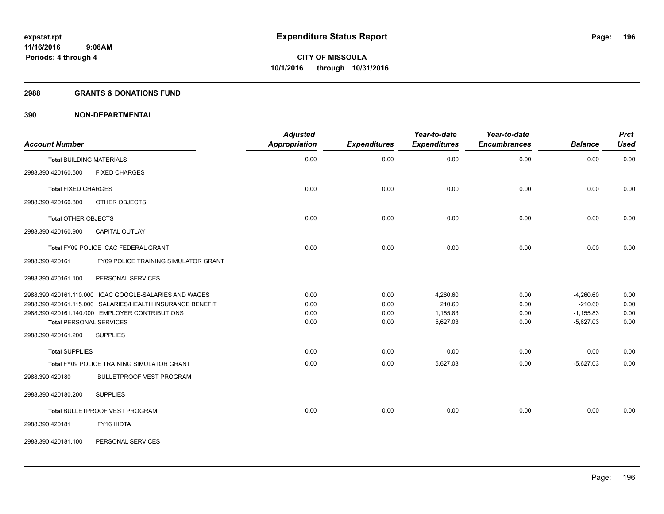#### **2988 GRANTS & DONATIONS FUND**

| <b>Account Number</b>                                     | <b>Adjusted</b><br>Appropriation | <b>Expenditures</b> | Year-to-date<br><b>Expenditures</b> | Year-to-date<br><b>Encumbrances</b> | <b>Balance</b> | <b>Prct</b><br><b>Used</b> |
|-----------------------------------------------------------|----------------------------------|---------------------|-------------------------------------|-------------------------------------|----------------|----------------------------|
| <b>Total BUILDING MATERIALS</b>                           | 0.00                             | 0.00                | 0.00                                | 0.00                                | 0.00           | 0.00                       |
| <b>FIXED CHARGES</b><br>2988.390.420160.500               |                                  |                     |                                     |                                     |                |                            |
| <b>Total FIXED CHARGES</b>                                | 0.00                             | 0.00                | 0.00                                | 0.00                                | 0.00           | 0.00                       |
| 2988.390.420160.800<br>OTHER OBJECTS                      |                                  |                     |                                     |                                     |                |                            |
| <b>Total OTHER OBJECTS</b>                                | 0.00                             | 0.00                | 0.00                                | 0.00                                | 0.00           | 0.00                       |
| 2988.390.420160.900<br><b>CAPITAL OUTLAY</b>              |                                  |                     |                                     |                                     |                |                            |
| Total FY09 POLICE ICAC FEDERAL GRANT                      | 0.00                             | 0.00                | 0.00                                | 0.00                                | 0.00           | 0.00                       |
| 2988.390.420161<br>FY09 POLICE TRAINING SIMULATOR GRANT   |                                  |                     |                                     |                                     |                |                            |
| PERSONAL SERVICES<br>2988.390.420161.100                  |                                  |                     |                                     |                                     |                |                            |
| 2988.390.420161.110.000 ICAC GOOGLE-SALARIES AND WAGES    | 0.00                             | 0.00                | 4,260.60                            | 0.00                                | $-4,260.60$    | 0.00                       |
| 2988.390.420161.115.000 SALARIES/HEALTH INSURANCE BENEFIT | 0.00                             | 0.00                | 210.60                              | 0.00                                | $-210.60$      | 0.00                       |
| 2988.390.420161.140.000 EMPLOYER CONTRIBUTIONS            | 0.00                             | 0.00                | 1,155.83                            | 0.00                                | $-1,155.83$    | 0.00                       |
| <b>Total PERSONAL SERVICES</b>                            | 0.00                             | 0.00                | 5,627.03                            | 0.00                                | $-5,627.03$    | 0.00                       |
| 2988.390.420161.200<br><b>SUPPLIES</b>                    |                                  |                     |                                     |                                     |                |                            |
| <b>Total SUPPLIES</b>                                     | 0.00                             | 0.00                | 0.00                                | 0.00                                | 0.00           | 0.00                       |
| Total FY09 POLICE TRAINING SIMULATOR GRANT                | 0.00                             | 0.00                | 5,627.03                            | 0.00                                | $-5,627.03$    | 0.00                       |
| 2988.390.420180<br><b>BULLETPROOF VEST PROGRAM</b>        |                                  |                     |                                     |                                     |                |                            |
| <b>SUPPLIES</b><br>2988.390.420180.200                    |                                  |                     |                                     |                                     |                |                            |
| <b>Total BULLETPROOF VEST PROGRAM</b>                     | 0.00                             | 0.00                | 0.00                                | 0.00                                | 0.00           | 0.00                       |
| FY16 HIDTA<br>2988.390.420181                             |                                  |                     |                                     |                                     |                |                            |
| PERSONAL SERVICES<br>2988.390.420181.100                  |                                  |                     |                                     |                                     |                |                            |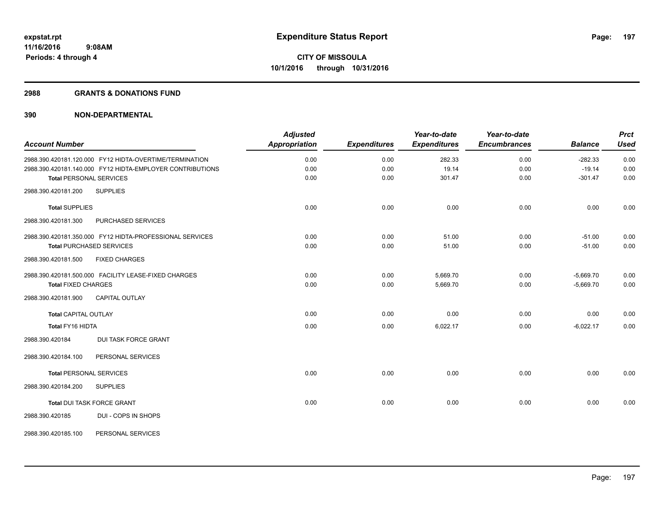#### **2988 GRANTS & DONATIONS FUND**

|                                |                                                           | <b>Adjusted</b>      |                     | Year-to-date        | Year-to-date        |                | <b>Prct</b> |
|--------------------------------|-----------------------------------------------------------|----------------------|---------------------|---------------------|---------------------|----------------|-------------|
| <b>Account Number</b>          |                                                           | <b>Appropriation</b> | <b>Expenditures</b> | <b>Expenditures</b> | <b>Encumbrances</b> | <b>Balance</b> | <b>Used</b> |
|                                | 2988.390.420181.120.000 FY12 HIDTA-OVERTIME/TERMINATION   | 0.00                 | 0.00                | 282.33              | 0.00                | $-282.33$      | 0.00        |
|                                | 2988.390.420181.140.000 FY12 HIDTA-EMPLOYER CONTRIBUTIONS | 0.00                 | 0.00                | 19.14               | 0.00                | $-19.14$       | 0.00        |
| <b>Total PERSONAL SERVICES</b> |                                                           | 0.00                 | 0.00                | 301.47              | 0.00                | $-301.47$      | 0.00        |
| 2988.390.420181.200            | <b>SUPPLIES</b>                                           |                      |                     |                     |                     |                |             |
| <b>Total SUPPLIES</b>          |                                                           | 0.00                 | 0.00                | 0.00                | 0.00                | 0.00           | 0.00        |
| 2988.390.420181.300            | PURCHASED SERVICES                                        |                      |                     |                     |                     |                |             |
|                                | 2988.390.420181.350.000 FY12 HIDTA-PROFESSIONAL SERVICES  | 0.00                 | 0.00                | 51.00               | 0.00                | $-51.00$       | 0.00        |
|                                | <b>Total PURCHASED SERVICES</b>                           | 0.00                 | 0.00                | 51.00               | 0.00                | $-51.00$       | 0.00        |
| 2988.390.420181.500            | <b>FIXED CHARGES</b>                                      |                      |                     |                     |                     |                |             |
|                                | 2988.390.420181.500.000 FACILITY LEASE-FIXED CHARGES      | 0.00                 | 0.00                | 5,669.70            | 0.00                | $-5,669.70$    | 0.00        |
| <b>Total FIXED CHARGES</b>     |                                                           | 0.00                 | 0.00                | 5,669.70            | 0.00                | $-5,669.70$    | 0.00        |
| 2988.390.420181.900            | <b>CAPITAL OUTLAY</b>                                     |                      |                     |                     |                     |                |             |
| <b>Total CAPITAL OUTLAY</b>    |                                                           | 0.00                 | 0.00                | 0.00                | 0.00                | 0.00           | 0.00        |
| Total FY16 HIDTA               |                                                           | 0.00                 | 0.00                | 6,022.17            | 0.00                | $-6,022.17$    | 0.00        |
| 2988.390.420184                | <b>DUI TASK FORCE GRANT</b>                               |                      |                     |                     |                     |                |             |
| 2988.390.420184.100            | PERSONAL SERVICES                                         |                      |                     |                     |                     |                |             |
| <b>Total PERSONAL SERVICES</b> |                                                           | 0.00                 | 0.00                | 0.00                | 0.00                | 0.00           | 0.00        |
| 2988.390.420184.200            | <b>SUPPLIES</b>                                           |                      |                     |                     |                     |                |             |
|                                | Total DUI TASK FORCE GRANT                                | 0.00                 | 0.00                | 0.00                | 0.00                | 0.00           | 0.00        |
| 2988.390.420185                | DUI - COPS IN SHOPS                                       |                      |                     |                     |                     |                |             |
| 2988.390.420185.100            | PERSONAL SERVICES                                         |                      |                     |                     |                     |                |             |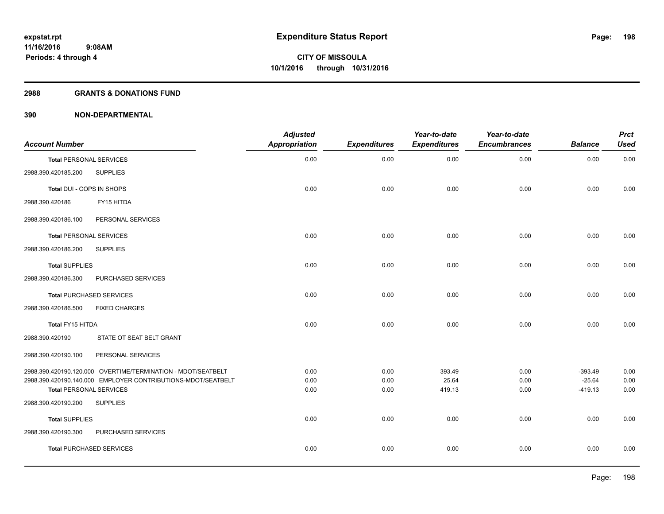#### **2988 GRANTS & DONATIONS FUND**

| <b>Account Number</b>          |                                                              | <b>Adjusted</b><br>Appropriation | <b>Expenditures</b> | Year-to-date<br><b>Expenditures</b> | Year-to-date<br><b>Encumbrances</b> | <b>Balance</b>        | <b>Prct</b><br><b>Used</b> |
|--------------------------------|--------------------------------------------------------------|----------------------------------|---------------------|-------------------------------------|-------------------------------------|-----------------------|----------------------------|
| <b>Total PERSONAL SERVICES</b> |                                                              | 0.00                             | 0.00                | 0.00                                | 0.00                                | 0.00                  | 0.00                       |
| 2988.390.420185.200            | <b>SUPPLIES</b>                                              |                                  |                     |                                     |                                     |                       |                            |
| Total DUI - COPS IN SHOPS      |                                                              | 0.00                             | 0.00                | 0.00                                | 0.00                                | 0.00                  | 0.00                       |
| 2988.390.420186                | FY15 HITDA                                                   |                                  |                     |                                     |                                     |                       |                            |
| 2988.390.420186.100            | PERSONAL SERVICES                                            |                                  |                     |                                     |                                     |                       |                            |
| <b>Total PERSONAL SERVICES</b> |                                                              | 0.00                             | 0.00                | 0.00                                | 0.00                                | 0.00                  | 0.00                       |
| 2988.390.420186.200            | <b>SUPPLIES</b>                                              |                                  |                     |                                     |                                     |                       |                            |
| <b>Total SUPPLIES</b>          |                                                              | 0.00                             | 0.00                | 0.00                                | 0.00                                | 0.00                  | 0.00                       |
| 2988.390.420186.300            | PURCHASED SERVICES                                           |                                  |                     |                                     |                                     |                       |                            |
|                                | <b>Total PURCHASED SERVICES</b>                              | 0.00                             | 0.00                | 0.00                                | 0.00                                | 0.00                  | 0.00                       |
| 2988.390.420186.500            | <b>FIXED CHARGES</b>                                         |                                  |                     |                                     |                                     |                       |                            |
| Total FY15 HITDA               |                                                              | 0.00                             | 0.00                | 0.00                                | 0.00                                | 0.00                  | 0.00                       |
| 2988.390.420190                | STATE OT SEAT BELT GRANT                                     |                                  |                     |                                     |                                     |                       |                            |
| 2988.390.420190.100            | PERSONAL SERVICES                                            |                                  |                     |                                     |                                     |                       |                            |
|                                | 2988.390.420190.120.000 OVERTIME/TERMINATION - MDOT/SEATBELT | 0.00                             | 0.00                | 393.49                              | 0.00                                | $-393.49$             | 0.00                       |
| <b>Total PERSONAL SERVICES</b> | 2988.390.420190.140.000 EMPLOYER CONTRIBUTIONS-MDOT/SEATBELT | 0.00<br>0.00                     | 0.00<br>0.00        | 25.64<br>419.13                     | 0.00<br>0.00                        | $-25.64$<br>$-419.13$ | 0.00<br>0.00               |
| 2988.390.420190.200            | <b>SUPPLIES</b>                                              |                                  |                     |                                     |                                     |                       |                            |
| <b>Total SUPPLIES</b>          |                                                              | 0.00                             | 0.00                | 0.00                                | 0.00                                | 0.00                  | 0.00                       |
| 2988.390.420190.300            | PURCHASED SERVICES                                           |                                  |                     |                                     |                                     |                       |                            |
|                                | <b>Total PURCHASED SERVICES</b>                              | 0.00                             | 0.00                | 0.00                                | 0.00                                | 0.00                  | 0.00                       |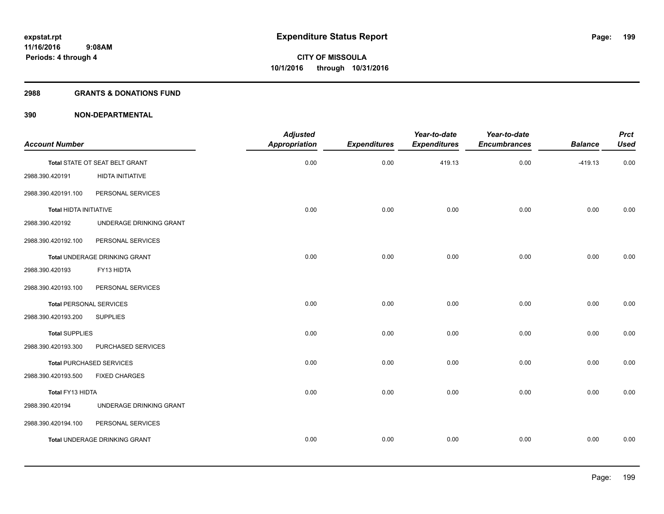#### **2988 GRANTS & DONATIONS FUND**

| Year-to-date<br><b>Prct</b><br><b>Encumbrances</b><br><b>Balance</b><br><b>Used</b> | Year-to-date<br><b>Expenditures</b> | <b>Expenditures</b> | <b>Adjusted</b><br><b>Appropriation</b> |                                      | <b>Account Number</b>           |  |
|-------------------------------------------------------------------------------------|-------------------------------------|---------------------|-----------------------------------------|--------------------------------------|---------------------------------|--|
|                                                                                     |                                     |                     |                                         |                                      |                                 |  |
| 0.00<br>0.00<br>$-419.13$                                                           | 419.13                              | 0.00                | 0.00                                    | Total STATE OT SEAT BELT GRANT       |                                 |  |
|                                                                                     |                                     |                     |                                         | HIDTA INITIATIVE                     | 2988.390.420191                 |  |
|                                                                                     |                                     |                     |                                         | PERSONAL SERVICES                    | 2988.390.420191.100             |  |
| 0.00<br>0.00<br>0.00                                                                | 0.00                                | 0.00                | 0.00                                    |                                      | Total HIDTA INITIATIVE          |  |
|                                                                                     |                                     |                     |                                         | UNDERAGE DRINKING GRANT              | 2988.390.420192                 |  |
|                                                                                     |                                     |                     |                                         | PERSONAL SERVICES                    | 2988.390.420192.100             |  |
| 0.00<br>0.00<br>0.00                                                                | 0.00                                | 0.00                | 0.00                                    | Total UNDERAGE DRINKING GRANT        |                                 |  |
|                                                                                     |                                     |                     |                                         | FY13 HIDTA                           | 2988.390.420193                 |  |
|                                                                                     |                                     |                     |                                         | PERSONAL SERVICES                    | 2988.390.420193.100             |  |
| 0.00<br>0.00<br>0.00                                                                | 0.00                                | 0.00                | 0.00                                    |                                      | <b>Total PERSONAL SERVICES</b>  |  |
|                                                                                     |                                     |                     |                                         | <b>SUPPLIES</b>                      | 2988.390.420193.200             |  |
| 0.00<br>0.00<br>0.00                                                                | 0.00                                | 0.00                | 0.00                                    |                                      | <b>Total SUPPLIES</b>           |  |
|                                                                                     |                                     |                     |                                         | PURCHASED SERVICES                   | 2988.390.420193.300             |  |
| 0.00<br>0.00<br>0.00                                                                | 0.00                                | 0.00                | 0.00                                    |                                      | <b>Total PURCHASED SERVICES</b> |  |
|                                                                                     |                                     |                     |                                         | <b>FIXED CHARGES</b>                 | 2988.390.420193.500             |  |
| 0.00<br>0.00<br>0.00                                                                | 0.00                                | 0.00                | 0.00                                    |                                      | Total FY13 HIDTA                |  |
|                                                                                     |                                     |                     |                                         | UNDERAGE DRINKING GRANT              | 2988.390.420194                 |  |
|                                                                                     |                                     |                     |                                         | PERSONAL SERVICES                    | 2988.390.420194.100             |  |
| 0.00<br>0.00<br>0.00                                                                | 0.00                                | 0.00                | 0.00                                    | <b>Total UNDERAGE DRINKING GRANT</b> |                                 |  |
|                                                                                     |                                     |                     |                                         |                                      |                                 |  |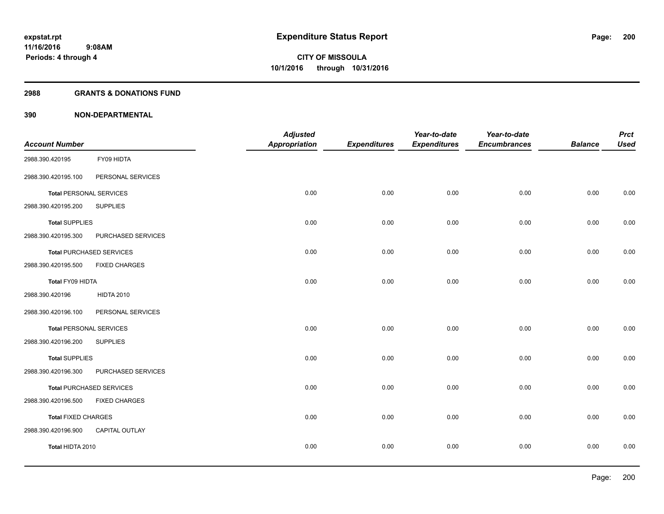#### **2988 GRANTS & DONATIONS FUND**

|                            |                                 | <b>Adjusted</b>      |                     | Year-to-date        | Year-to-date        |                | <b>Prct</b> |
|----------------------------|---------------------------------|----------------------|---------------------|---------------------|---------------------|----------------|-------------|
| <b>Account Number</b>      |                                 | <b>Appropriation</b> | <b>Expenditures</b> | <b>Expenditures</b> | <b>Encumbrances</b> | <b>Balance</b> | <b>Used</b> |
| 2988.390.420195            | FY09 HIDTA                      |                      |                     |                     |                     |                |             |
| 2988.390.420195.100        | PERSONAL SERVICES               |                      |                     |                     |                     |                |             |
|                            | <b>Total PERSONAL SERVICES</b>  | 0.00                 | 0.00                | 0.00                | 0.00                | 0.00           | 0.00        |
| 2988.390.420195.200        | <b>SUPPLIES</b>                 |                      |                     |                     |                     |                |             |
| <b>Total SUPPLIES</b>      |                                 | 0.00                 | 0.00                | 0.00                | 0.00                | 0.00           | 0.00        |
| 2988.390.420195.300        | PURCHASED SERVICES              |                      |                     |                     |                     |                |             |
|                            | <b>Total PURCHASED SERVICES</b> | 0.00                 | 0.00                | 0.00                | 0.00                | 0.00           | 0.00        |
| 2988.390.420195.500        | <b>FIXED CHARGES</b>            |                      |                     |                     |                     |                |             |
| Total FY09 HIDTA           |                                 | 0.00                 | 0.00                | 0.00                | 0.00                | 0.00           | 0.00        |
| 2988.390.420196            | <b>HIDTA 2010</b>               |                      |                     |                     |                     |                |             |
| 2988.390.420196.100        | PERSONAL SERVICES               |                      |                     |                     |                     |                |             |
|                            | <b>Total PERSONAL SERVICES</b>  | 0.00                 | 0.00                | 0.00                | 0.00                | 0.00           | 0.00        |
| 2988.390.420196.200        | <b>SUPPLIES</b>                 |                      |                     |                     |                     |                |             |
| <b>Total SUPPLIES</b>      |                                 | 0.00                 | 0.00                | 0.00                | 0.00                | 0.00           | 0.00        |
| 2988.390.420196.300        | PURCHASED SERVICES              |                      |                     |                     |                     |                |             |
|                            | <b>Total PURCHASED SERVICES</b> | 0.00                 | 0.00                | 0.00                | 0.00                | 0.00           | 0.00        |
| 2988.390.420196.500        | <b>FIXED CHARGES</b>            |                      |                     |                     |                     |                |             |
| <b>Total FIXED CHARGES</b> |                                 | 0.00                 | 0.00                | 0.00                | 0.00                | 0.00           | 0.00        |
| 2988.390.420196.900        | CAPITAL OUTLAY                  |                      |                     |                     |                     |                |             |
| Total HIDTA 2010           |                                 | 0.00                 | 0.00                | 0.00                | 0.00                | 0.00           | 0.00        |
|                            |                                 |                      |                     |                     |                     |                |             |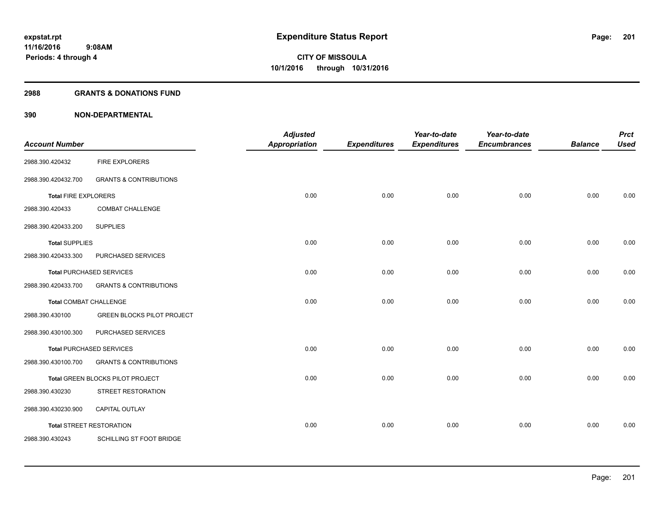#### **2988 GRANTS & DONATIONS FUND**

| <b>Account Number</b>           |                                   | <b>Adjusted</b><br><b>Appropriation</b> | <b>Expenditures</b> | Year-to-date<br><b>Expenditures</b> | Year-to-date<br><b>Encumbrances</b> | <b>Balance</b> | <b>Prct</b><br><b>Used</b> |
|---------------------------------|-----------------------------------|-----------------------------------------|---------------------|-------------------------------------|-------------------------------------|----------------|----------------------------|
| 2988.390.420432                 | <b>FIRE EXPLORERS</b>             |                                         |                     |                                     |                                     |                |                            |
| 2988.390.420432.700             | <b>GRANTS &amp; CONTRIBUTIONS</b> |                                         |                     |                                     |                                     |                |                            |
| <b>Total FIRE EXPLORERS</b>     |                                   | 0.00                                    | 0.00                | 0.00                                | 0.00                                | 0.00           | 0.00                       |
| 2988.390.420433                 | <b>COMBAT CHALLENGE</b>           |                                         |                     |                                     |                                     |                |                            |
| 2988.390.420433.200             | <b>SUPPLIES</b>                   |                                         |                     |                                     |                                     |                |                            |
| <b>Total SUPPLIES</b>           |                                   | 0.00                                    | 0.00                | 0.00                                | 0.00                                | 0.00           | 0.00                       |
| 2988.390.420433.300             | PURCHASED SERVICES                |                                         |                     |                                     |                                     |                |                            |
| <b>Total PURCHASED SERVICES</b> |                                   | 0.00                                    | 0.00                | 0.00                                | 0.00                                | 0.00           | 0.00                       |
| 2988.390.420433.700             | <b>GRANTS &amp; CONTRIBUTIONS</b> |                                         |                     |                                     |                                     |                |                            |
| <b>Total COMBAT CHALLENGE</b>   |                                   | 0.00                                    | 0.00                | 0.00                                | 0.00                                | 0.00           | 0.00                       |
| 2988.390.430100                 | <b>GREEN BLOCKS PILOT PROJECT</b> |                                         |                     |                                     |                                     |                |                            |
| 2988.390.430100.300             | PURCHASED SERVICES                |                                         |                     |                                     |                                     |                |                            |
|                                 | Total PURCHASED SERVICES          | 0.00                                    | 0.00                | 0.00                                | 0.00                                | 0.00           | 0.00                       |
| 2988.390.430100.700             | <b>GRANTS &amp; CONTRIBUTIONS</b> |                                         |                     |                                     |                                     |                |                            |
|                                 | Total GREEN BLOCKS PILOT PROJECT  | 0.00                                    | 0.00                | 0.00                                | 0.00                                | 0.00           | 0.00                       |
| 2988.390.430230                 | STREET RESTORATION                |                                         |                     |                                     |                                     |                |                            |
| 2988.390.430230.900             | CAPITAL OUTLAY                    |                                         |                     |                                     |                                     |                |                            |
|                                 | <b>Total STREET RESTORATION</b>   | 0.00                                    | 0.00                | 0.00                                | 0.00                                | 0.00           | 0.00                       |
| 2988.390.430243                 | SCHILLING ST FOOT BRIDGE          |                                         |                     |                                     |                                     |                |                            |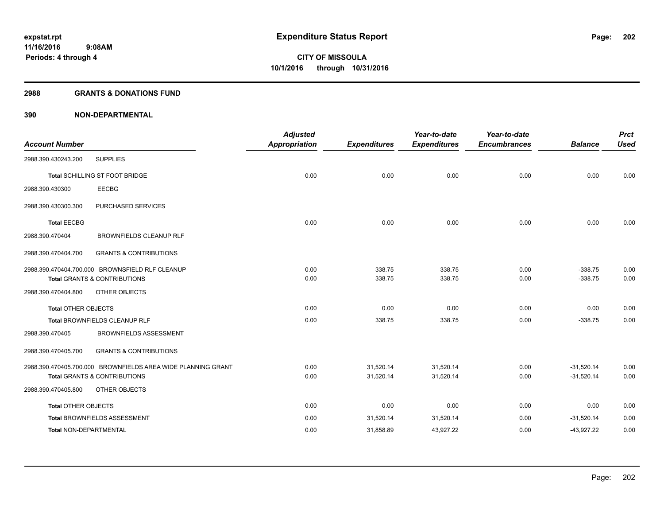#### **2988 GRANTS & DONATIONS FUND**

| <b>Account Number</b>         |                                                              | <b>Adjusted</b><br><b>Appropriation</b> | <b>Expenditures</b> | Year-to-date<br><b>Expenditures</b> | Year-to-date<br><b>Encumbrances</b> | <b>Balance</b> | <b>Prct</b><br><b>Used</b> |
|-------------------------------|--------------------------------------------------------------|-----------------------------------------|---------------------|-------------------------------------|-------------------------------------|----------------|----------------------------|
| 2988.390.430243.200           | <b>SUPPLIES</b>                                              |                                         |                     |                                     |                                     |                |                            |
|                               |                                                              |                                         |                     |                                     |                                     |                |                            |
|                               | Total SCHILLING ST FOOT BRIDGE                               | 0.00                                    | 0.00                | 0.00                                | 0.00                                | 0.00           | 0.00                       |
| 2988.390.430300               | <b>EECBG</b>                                                 |                                         |                     |                                     |                                     |                |                            |
| 2988.390.430300.300           | PURCHASED SERVICES                                           |                                         |                     |                                     |                                     |                |                            |
| <b>Total EECBG</b>            |                                                              | 0.00                                    | 0.00                | 0.00                                | 0.00                                | 0.00           | 0.00                       |
| 2988.390.470404               | <b>BROWNFIELDS CLEANUP RLF</b>                               |                                         |                     |                                     |                                     |                |                            |
| 2988.390.470404.700           | <b>GRANTS &amp; CONTRIBUTIONS</b>                            |                                         |                     |                                     |                                     |                |                            |
|                               | 2988.390.470404.700.000 BROWNSFIELD RLF CLEANUP              | 0.00                                    | 338.75              | 338.75                              | 0.00                                | $-338.75$      | 0.00                       |
|                               | <b>Total GRANTS &amp; CONTRIBUTIONS</b>                      | 0.00                                    | 338.75              | 338.75                              | 0.00                                | $-338.75$      | 0.00                       |
| 2988.390.470404.800           | OTHER OBJECTS                                                |                                         |                     |                                     |                                     |                |                            |
| <b>Total OTHER OBJECTS</b>    |                                                              | 0.00                                    | 0.00                | 0.00                                | 0.00                                | 0.00           | 0.00                       |
|                               | Total BROWNFIELDS CLEANUP RLF                                | 0.00                                    | 338.75              | 338.75                              | 0.00                                | $-338.75$      | 0.00                       |
| 2988.390.470405               | <b>BROWNFIELDS ASSESSMENT</b>                                |                                         |                     |                                     |                                     |                |                            |
| 2988.390.470405.700           | <b>GRANTS &amp; CONTRIBUTIONS</b>                            |                                         |                     |                                     |                                     |                |                            |
|                               | 2988.390.470405.700.000 BROWNFIELDS AREA WIDE PLANNING GRANT | 0.00                                    | 31,520.14           | 31,520.14                           | 0.00                                | $-31,520.14$   | 0.00                       |
|                               | <b>Total GRANTS &amp; CONTRIBUTIONS</b>                      | 0.00                                    | 31,520.14           | 31,520.14                           | 0.00                                | $-31,520.14$   | 0.00                       |
| 2988.390.470405.800           | OTHER OBJECTS                                                |                                         |                     |                                     |                                     |                |                            |
| <b>Total OTHER OBJECTS</b>    |                                                              | 0.00                                    | 0.00                | 0.00                                | 0.00                                | 0.00           | 0.00                       |
|                               | <b>Total BROWNFIELDS ASSESSMENT</b>                          | 0.00                                    | 31,520.14           | 31,520.14                           | 0.00                                | $-31,520.14$   | 0.00                       |
| <b>Total NON-DEPARTMENTAL</b> |                                                              | 0.00                                    | 31,858.89           | 43,927.22                           | 0.00                                | $-43,927.22$   | 0.00                       |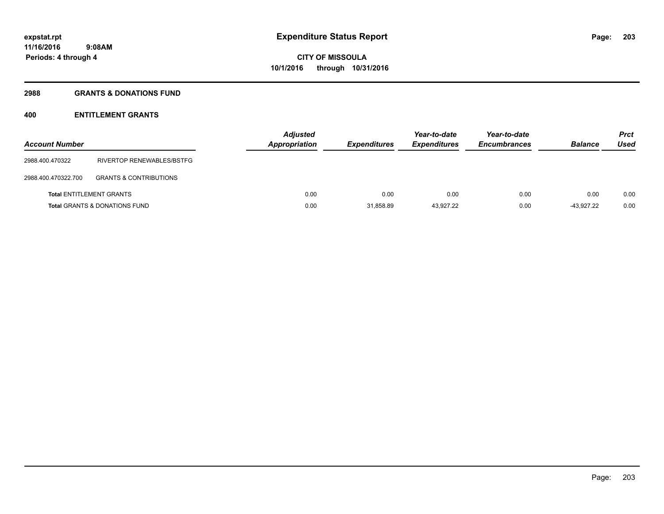## **2988 GRANTS & DONATIONS FUND**

## **400 ENTITLEMENT GRANTS**

| <b>Account Number</b> |                                          | <b>Adjusted</b><br><b>Appropriation</b> | <b>Expenditures</b> | Year-to-date<br><b>Expenditures</b> | Year-to-date<br><b>Encumbrances</b> | <b>Balance</b> | <b>Prct</b><br>Used |
|-----------------------|------------------------------------------|-----------------------------------------|---------------------|-------------------------------------|-------------------------------------|----------------|---------------------|
| 2988.400.470322       | <b>RIVERTOP RENEWABLES/BSTFG</b>         |                                         |                     |                                     |                                     |                |                     |
| 2988.400.470322.700   | <b>GRANTS &amp; CONTRIBUTIONS</b>        |                                         |                     |                                     |                                     |                |                     |
|                       | <b>Total ENTITLEMENT GRANTS</b>          | 0.00                                    | 0.00                | 0.00                                | 0.00                                | 0.00           | 0.00                |
|                       | <b>Total GRANTS &amp; DONATIONS FUND</b> | 0.00                                    | 31.858.89           | 43.927.22                           | 0.00                                | $-43.927.22$   | 0.00                |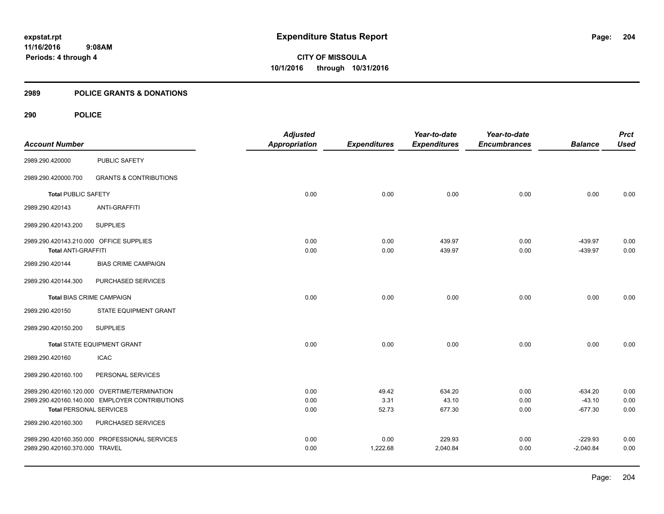## **2989 POLICE GRANTS & DONATIONS**

|                                         |                                                | <b>Adjusted</b>      |                     | Year-to-date        | Year-to-date        |                | <b>Prct</b> |
|-----------------------------------------|------------------------------------------------|----------------------|---------------------|---------------------|---------------------|----------------|-------------|
| <b>Account Number</b>                   |                                                | <b>Appropriation</b> | <b>Expenditures</b> | <b>Expenditures</b> | <b>Encumbrances</b> | <b>Balance</b> | <b>Used</b> |
| 2989.290.420000                         | PUBLIC SAFETY                                  |                      |                     |                     |                     |                |             |
| 2989.290.420000.700                     | <b>GRANTS &amp; CONTRIBUTIONS</b>              |                      |                     |                     |                     |                |             |
| <b>Total PUBLIC SAFETY</b>              |                                                | 0.00                 | 0.00                | 0.00                | 0.00                | 0.00           | 0.00        |
| 2989.290.420143                         | <b>ANTI-GRAFFITI</b>                           |                      |                     |                     |                     |                |             |
| 2989.290.420143.200                     | <b>SUPPLIES</b>                                |                      |                     |                     |                     |                |             |
| 2989.290.420143.210.000 OFFICE SUPPLIES |                                                | 0.00                 | 0.00                | 439.97              | 0.00                | $-439.97$      | 0.00        |
| <b>Total ANTI-GRAFFITI</b>              |                                                | 0.00                 | 0.00                | 439.97              | 0.00                | $-439.97$      | 0.00        |
| 2989.290.420144                         | <b>BIAS CRIME CAMPAIGN</b>                     |                      |                     |                     |                     |                |             |
| 2989.290.420144.300                     | PURCHASED SERVICES                             |                      |                     |                     |                     |                |             |
| <b>Total BIAS CRIME CAMPAIGN</b>        |                                                | 0.00                 | 0.00                | 0.00                | 0.00                | 0.00           | 0.00        |
| 2989.290.420150                         | STATE EQUIPMENT GRANT                          |                      |                     |                     |                     |                |             |
| 2989.290.420150.200                     | <b>SUPPLIES</b>                                |                      |                     |                     |                     |                |             |
|                                         | <b>Total STATE EQUIPMENT GRANT</b>             | 0.00                 | 0.00                | 0.00                | 0.00                | 0.00           | 0.00        |
| 2989.290.420160                         | <b>ICAC</b>                                    |                      |                     |                     |                     |                |             |
| 2989.290.420160.100                     | PERSONAL SERVICES                              |                      |                     |                     |                     |                |             |
|                                         | 2989.290.420160.120.000 OVERTIME/TERMINATION   | 0.00                 | 49.42               | 634.20              | 0.00                | $-634.20$      | 0.00        |
|                                         | 2989.290.420160.140.000 EMPLOYER CONTRIBUTIONS | 0.00                 | 3.31                | 43.10               | 0.00                | $-43.10$       | 0.00        |
| <b>Total PERSONAL SERVICES</b>          |                                                | 0.00                 | 52.73               | 677.30              | 0.00                | $-677.30$      | 0.00        |
| 2989.290.420160.300                     | PURCHASED SERVICES                             |                      |                     |                     |                     |                |             |
|                                         | 2989.290.420160.350.000 PROFESSIONAL SERVICES  | 0.00                 | 0.00                | 229.93              | 0.00                | $-229.93$      | 0.00        |
| 2989.290.420160.370.000 TRAVEL          |                                                | 0.00                 | 1,222.68            | 2,040.84            | 0.00                | $-2,040.84$    | 0.00        |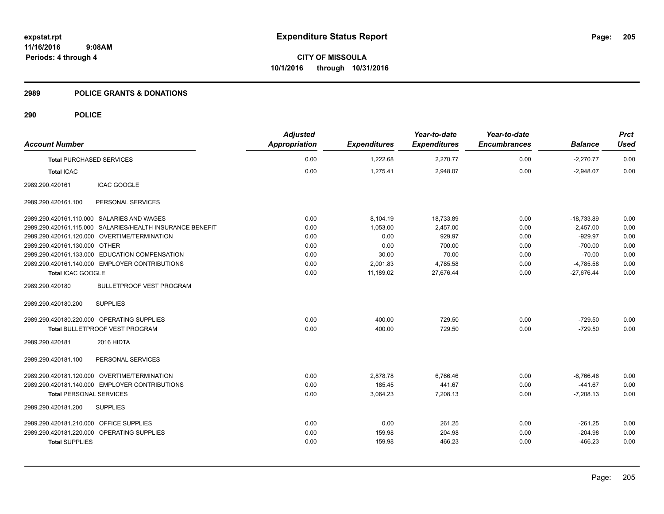**Periods: 4 through 4**

**CITY OF MISSOULA 10/1/2016 through 10/31/2016**

#### **2989 POLICE GRANTS & DONATIONS**

| <b>Account Number</b>                      |                                                           | <b>Adjusted</b><br>Appropriation | <b>Expenditures</b> | Year-to-date<br><b>Expenditures</b> | Year-to-date<br><b>Encumbrances</b> | <b>Balance</b> | <b>Prct</b><br><b>Used</b> |
|--------------------------------------------|-----------------------------------------------------------|----------------------------------|---------------------|-------------------------------------|-------------------------------------|----------------|----------------------------|
| <b>Total PURCHASED SERVICES</b>            |                                                           | 0.00                             | 1,222.68            | 2,270.77                            | 0.00                                | $-2,270.77$    | 0.00                       |
| <b>Total ICAC</b>                          |                                                           | 0.00                             | 1,275.41            | 2,948.07                            | 0.00                                | $-2.948.07$    | 0.00                       |
| 2989.290.420161                            | <b>ICAC GOOGLE</b>                                        |                                  |                     |                                     |                                     |                |                            |
| 2989.290.420161.100                        | PERSONAL SERVICES                                         |                                  |                     |                                     |                                     |                |                            |
| 2989.290.420161.110.000 SALARIES AND WAGES |                                                           | 0.00                             | 8,104.19            | 18,733.89                           | 0.00                                | $-18,733.89$   | 0.00                       |
|                                            | 2989.290.420161.115.000 SALARIES/HEALTH INSURANCE BENEFIT | 0.00                             | 1.053.00            | 2.457.00                            | 0.00                                | $-2,457.00$    | 0.00                       |
|                                            | 2989.290.420161.120.000 OVERTIME/TERMINATION              | 0.00                             | 0.00                | 929.97                              | 0.00                                | $-929.97$      | 0.00                       |
| 2989.290.420161.130.000 OTHER              |                                                           | 0.00                             | 0.00                | 700.00                              | 0.00                                | $-700.00$      | 0.00                       |
|                                            | 2989.290.420161.133.000 EDUCATION COMPENSATION            | 0.00                             | 30.00               | 70.00                               | 0.00                                | $-70.00$       | 0.00                       |
|                                            | 2989.290.420161.140.000 EMPLOYER CONTRIBUTIONS            | 0.00                             | 2,001.83            | 4,785.58                            | 0.00                                | $-4,785.58$    | 0.00                       |
| Total ICAC GOOGLE                          |                                                           | 0.00                             | 11,189.02           | 27,676.44                           | 0.00                                | $-27,676.44$   | 0.00                       |
| 2989.290.420180                            | <b>BULLETPROOF VEST PROGRAM</b>                           |                                  |                     |                                     |                                     |                |                            |
| 2989.290.420180.200                        | <b>SUPPLIES</b>                                           |                                  |                     |                                     |                                     |                |                            |
| 2989.290.420180.220.000 OPERATING SUPPLIES |                                                           | 0.00                             | 400.00              | 729.50                              | 0.00                                | $-729.50$      | 0.00                       |
|                                            | Total BULLETPROOF VEST PROGRAM                            | 0.00                             | 400.00              | 729.50                              | 0.00                                | $-729.50$      | 0.00                       |
| 2989.290.420181                            | 2016 HIDTA                                                |                                  |                     |                                     |                                     |                |                            |
| 2989.290.420181.100                        | PERSONAL SERVICES                                         |                                  |                     |                                     |                                     |                |                            |
|                                            | 2989.290.420181.120.000 OVERTIME/TERMINATION              | 0.00                             | 2,878.78            | 6,766.46                            | 0.00                                | $-6,766.46$    | 0.00                       |
|                                            | 2989.290.420181.140.000 EMPLOYER CONTRIBUTIONS            | 0.00                             | 185.45              | 441.67                              | 0.00                                | $-441.67$      | 0.00                       |
| <b>Total PERSONAL SERVICES</b>             |                                                           | 0.00                             | 3,064.23            | 7,208.13                            | 0.00                                | $-7,208.13$    | 0.00                       |
| 2989.290.420181.200                        | <b>SUPPLIES</b>                                           |                                  |                     |                                     |                                     |                |                            |
| 2989.290.420181.210.000 OFFICE SUPPLIES    |                                                           | 0.00                             | 0.00                | 261.25                              | 0.00                                | $-261.25$      | 0.00                       |
| 2989.290.420181.220.000 OPERATING SUPPLIES |                                                           | 0.00                             | 159.98              | 204.98                              | 0.00                                | $-204.98$      | 0.00                       |
| <b>Total SUPPLIES</b>                      |                                                           | 0.00                             | 159.98              | 466.23                              | 0.00                                | $-466.23$      | 0.00                       |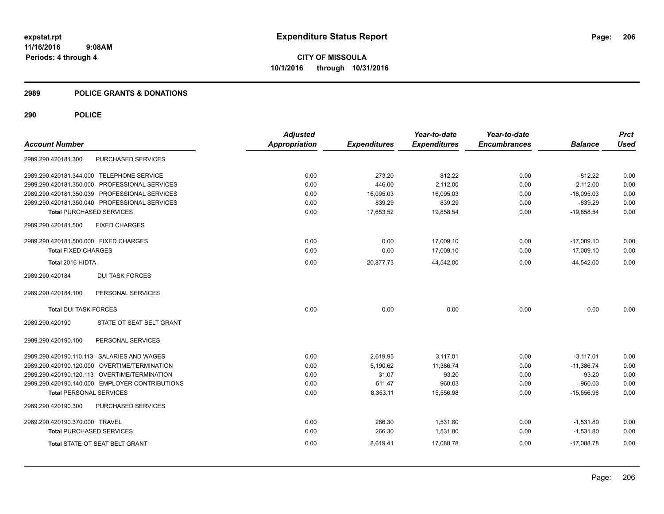#### **2989 POLICE GRANTS & DONATIONS**

|                                       |                                                | <b>Adjusted</b>      |                     | Year-to-date        | Year-to-date        |                | <b>Prct</b> |
|---------------------------------------|------------------------------------------------|----------------------|---------------------|---------------------|---------------------|----------------|-------------|
| <b>Account Number</b>                 |                                                | <b>Appropriation</b> | <b>Expenditures</b> | <b>Expenditures</b> | <b>Encumbrances</b> | <b>Balance</b> | <b>Used</b> |
| 2989.290.420181.300                   | PURCHASED SERVICES                             |                      |                     |                     |                     |                |             |
|                                       | 2989.290.420181.344.000 TELEPHONE SERVICE      | 0.00                 | 273.20              | 812.22              | 0.00                | $-812.22$      | 0.00        |
|                                       | 2989.290.420181.350.000 PROFESSIONAL SERVICES  | 0.00                 | 446.00              | 2,112.00            | 0.00                | $-2,112.00$    | 0.00        |
|                                       | 2989.290.420181.350.039 PROFESSIONAL SERVICES  | 0.00                 | 16,095.03           | 16,095.03           | 0.00                | $-16,095.03$   | 0.00        |
|                                       | 2989.290.420181.350.040 PROFESSIONAL SERVICES  | 0.00                 | 839.29              | 839.29              | 0.00                | $-839.29$      | 0.00        |
| <b>Total PURCHASED SERVICES</b>       |                                                | 0.00                 | 17,653.52           | 19,858.54           | 0.00                | $-19,858.54$   | 0.00        |
| 2989.290.420181.500                   | <b>FIXED CHARGES</b>                           |                      |                     |                     |                     |                |             |
| 2989.290.420181.500.000 FIXED CHARGES |                                                | 0.00                 | 0.00                | 17,009.10           | 0.00                | $-17,009.10$   | 0.00        |
| <b>Total FIXED CHARGES</b>            |                                                | 0.00                 | 0.00                | 17,009.10           | 0.00                | $-17,009.10$   | 0.00        |
| Total 2016 HIDTA                      |                                                | 0.00                 | 20,877.73           | 44,542.00           | 0.00                | $-44,542.00$   | 0.00        |
| 2989.290.420184                       | <b>DUI TASK FORCES</b>                         |                      |                     |                     |                     |                |             |
| 2989.290.420184.100                   | PERSONAL SERVICES                              |                      |                     |                     |                     |                |             |
| <b>Total DUI TASK FORCES</b>          |                                                | 0.00                 | 0.00                | 0.00                | 0.00                | 0.00           | 0.00        |
| 2989.290.420190                       | STATE OT SEAT BELT GRANT                       |                      |                     |                     |                     |                |             |
| 2989.290.420190.100                   | PERSONAL SERVICES                              |                      |                     |                     |                     |                |             |
|                                       | 2989.290.420190.110.113 SALARIES AND WAGES     | 0.00                 | 2,619.95            | 3,117.01            | 0.00                | $-3,117.01$    | 0.00        |
|                                       | 2989.290.420190.120.000 OVERTIME/TERMINATION   | 0.00                 | 5.190.62            | 11.386.74           | 0.00                | $-11.386.74$   | 0.00        |
|                                       | 2989.290.420190.120.113 OVERTIME/TERMINATION   | 0.00                 | 31.07               | 93.20               | 0.00                | $-93.20$       | 0.00        |
|                                       | 2989.290.420190.140.000 EMPLOYER CONTRIBUTIONS | 0.00                 | 511.47              | 960.03              | 0.00                | $-960.03$      | 0.00        |
| <b>Total PERSONAL SERVICES</b>        |                                                | 0.00                 | 8,353.11            | 15,556.98           | 0.00                | $-15,556.98$   | 0.00        |
| 2989.290.420190.300                   | PURCHASED SERVICES                             |                      |                     |                     |                     |                |             |
| 2989.290.420190.370.000 TRAVEL        |                                                | 0.00                 | 266.30              | 1,531.80            | 0.00                | $-1,531.80$    | 0.00        |
| <b>Total PURCHASED SERVICES</b>       |                                                | 0.00                 | 266.30              | 1,531.80            | 0.00                | $-1,531.80$    | 0.00        |
|                                       | Total STATE OT SEAT BELT GRANT                 | 0.00                 | 8,619.41            | 17,088.78           | 0.00                | $-17,088.78$   | 0.00        |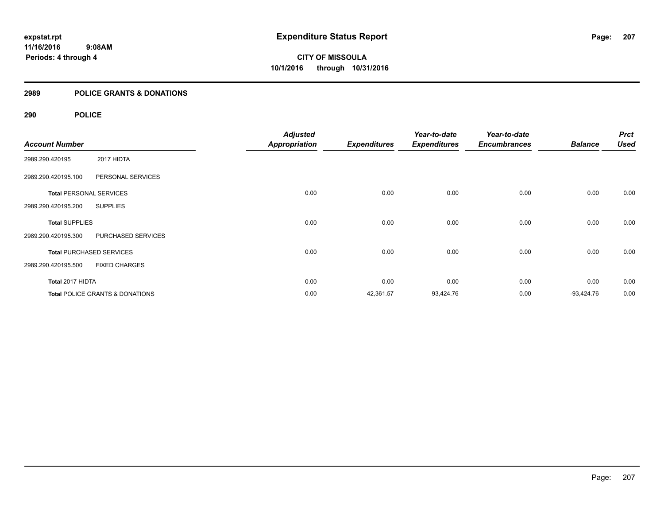## **2989 POLICE GRANTS & DONATIONS**

|                                |                                            | <b>Adjusted</b>      |                     | Year-to-date        | Year-to-date        |                | <b>Prct</b> |
|--------------------------------|--------------------------------------------|----------------------|---------------------|---------------------|---------------------|----------------|-------------|
| <b>Account Number</b>          |                                            | <b>Appropriation</b> | <b>Expenditures</b> | <b>Expenditures</b> | <b>Encumbrances</b> | <b>Balance</b> | <b>Used</b> |
| 2989.290.420195                | 2017 HIDTA                                 |                      |                     |                     |                     |                |             |
| 2989.290.420195.100            | PERSONAL SERVICES                          |                      |                     |                     |                     |                |             |
| <b>Total PERSONAL SERVICES</b> |                                            | 0.00                 | 0.00                | 0.00                | 0.00                | 0.00           | 0.00        |
| 2989.290.420195.200            | <b>SUPPLIES</b>                            |                      |                     |                     |                     |                |             |
| <b>Total SUPPLIES</b>          |                                            | 0.00                 | 0.00                | 0.00                | 0.00                | 0.00           | 0.00        |
| 2989.290.420195.300            | PURCHASED SERVICES                         |                      |                     |                     |                     |                |             |
|                                | <b>Total PURCHASED SERVICES</b>            | 0.00                 | 0.00                | 0.00                | 0.00                | 0.00           | 0.00        |
| 2989.290.420195.500            | <b>FIXED CHARGES</b>                       |                      |                     |                     |                     |                |             |
| Total 2017 HIDTA               |                                            | 0.00                 | 0.00                | 0.00                | 0.00                | 0.00           | 0.00        |
|                                | <b>Total POLICE GRANTS &amp; DONATIONS</b> | 0.00                 | 42,361.57           | 93,424.76           | 0.00                | $-93,424.76$   | 0.00        |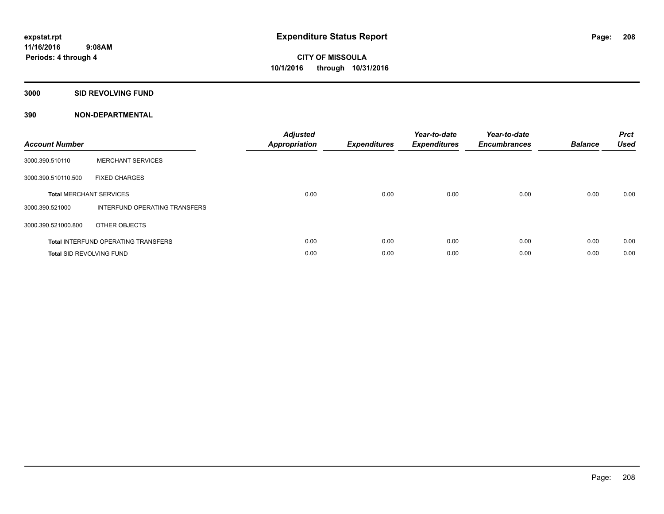#### **3000 SID REVOLVING FUND**

| <b>Account Number</b>           |                                            | <b>Adjusted</b><br><b>Appropriation</b> | <b>Expenditures</b> | Year-to-date<br><b>Expenditures</b> | Year-to-date<br><b>Encumbrances</b> | <b>Balance</b> | <b>Prct</b><br><b>Used</b> |
|---------------------------------|--------------------------------------------|-----------------------------------------|---------------------|-------------------------------------|-------------------------------------|----------------|----------------------------|
| 3000.390.510110                 | <b>MERCHANT SERVICES</b>                   |                                         |                     |                                     |                                     |                |                            |
| 3000.390.510110.500             | <b>FIXED CHARGES</b>                       |                                         |                     |                                     |                                     |                |                            |
|                                 | <b>Total MERCHANT SERVICES</b>             | 0.00                                    | 0.00                | 0.00                                | 0.00                                | 0.00           | 0.00                       |
| 3000.390.521000                 | INTERFUND OPERATING TRANSFERS              |                                         |                     |                                     |                                     |                |                            |
| 3000.390.521000.800             | OTHER OBJECTS                              |                                         |                     |                                     |                                     |                |                            |
|                                 | <b>Total INTERFUND OPERATING TRANSFERS</b> | 0.00                                    | 0.00                | 0.00                                | 0.00                                | 0.00           | 0.00                       |
| <b>Total SID REVOLVING FUND</b> |                                            | 0.00                                    | 0.00                | 0.00                                | 0.00                                | 0.00           | 0.00                       |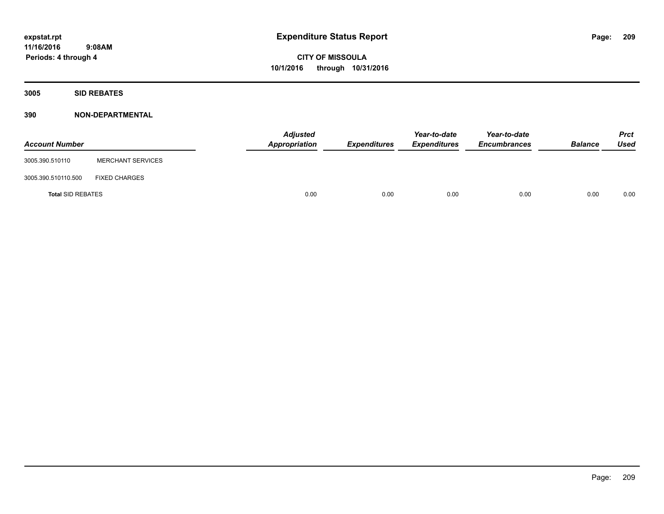**Periods: 4 through 4**

**CITY OF MISSOULA 10/1/2016 through 10/31/2016**

**3005 SID REBATES**

| <b>Account Number</b>    |                          | <b>Adjusted</b><br>Appropriation | <b>Expenditures</b> | Year-to-date<br><b>Expenditures</b> | Year-to-date<br><b>Encumbrances</b> | <b>Balance</b> | <b>Prct</b><br>Used |
|--------------------------|--------------------------|----------------------------------|---------------------|-------------------------------------|-------------------------------------|----------------|---------------------|
| 3005.390.510110          | <b>MERCHANT SERVICES</b> |                                  |                     |                                     |                                     |                |                     |
| 3005.390.510110.500      | <b>FIXED CHARGES</b>     |                                  |                     |                                     |                                     |                |                     |
| <b>Total SID REBATES</b> |                          | 0.00                             | 0.00                | 0.00                                | 0.00                                | 0.00           | 0.00                |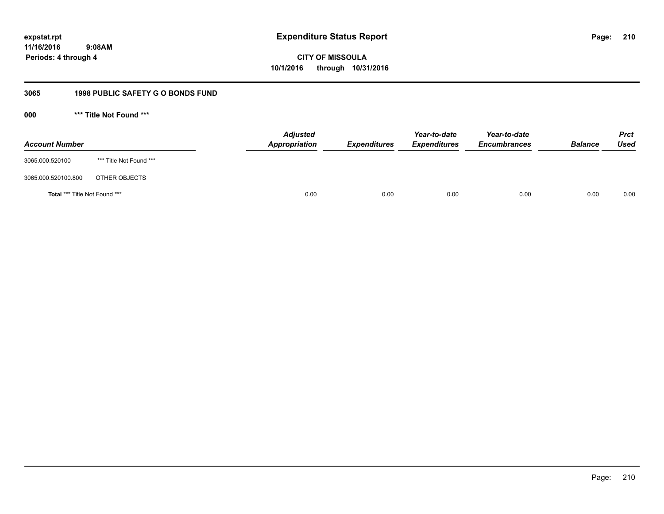**11/16/2016 9:08AM Periods: 4 through 4**

**CITY OF MISSOULA 10/1/2016 through 10/31/2016**

## **3065 1998 PUBLIC SAFETY G O BONDS FUND**

**000 \*\*\* Title Not Found \*\*\***

| <b>Account Number</b>         |                         | <b>Adjusted</b><br><b>Appropriation</b> | <b>Expenditures</b> | Year-to-date<br><b>Expenditures</b> | Year-to-date<br><b>Encumbrances</b> | <b>Balance</b> | <b>Prct</b><br>Used |
|-------------------------------|-------------------------|-----------------------------------------|---------------------|-------------------------------------|-------------------------------------|----------------|---------------------|
| 3065.000.520100               | *** Title Not Found *** |                                         |                     |                                     |                                     |                |                     |
| 3065.000.520100.800           | OTHER OBJECTS           |                                         |                     |                                     |                                     |                |                     |
| Total *** Title Not Found *** |                         | 0.00                                    | 0.00                | 0.00                                | 0.00                                | 0.00           | 0.00                |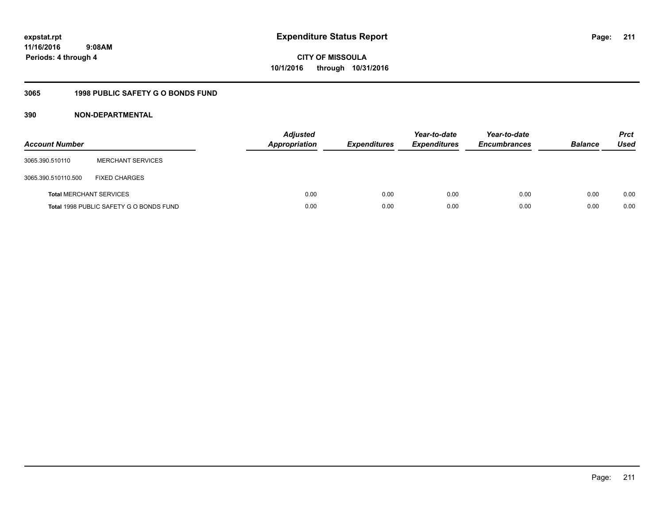## **11/16/2016 9:08AM Periods: 4 through 4**

# **CITY OF MISSOULA 10/1/2016 through 10/31/2016**

## **3065 1998 PUBLIC SAFETY G O BONDS FUND**

| <b>Account Number</b>          |                                         | <b>Adjusted</b><br><b>Appropriation</b> | <b>Expenditures</b> | Year-to-date<br><b>Expenditures</b> | Year-to-date<br><b>Encumbrances</b> | <b>Balance</b> | <b>Prct</b><br>Used |
|--------------------------------|-----------------------------------------|-----------------------------------------|---------------------|-------------------------------------|-------------------------------------|----------------|---------------------|
| 3065.390.510110                | <b>MERCHANT SERVICES</b>                |                                         |                     |                                     |                                     |                |                     |
| 3065.390.510110.500            | <b>FIXED CHARGES</b>                    |                                         |                     |                                     |                                     |                |                     |
| <b>Total MERCHANT SERVICES</b> |                                         | 0.00                                    | 0.00                | 0.00                                | 0.00                                | 0.00           | 0.00                |
|                                | Total 1998 PUBLIC SAFETY G O BONDS FUND | 0.00                                    | 0.00                | 0.00                                | 0.00                                | 0.00           | 0.00                |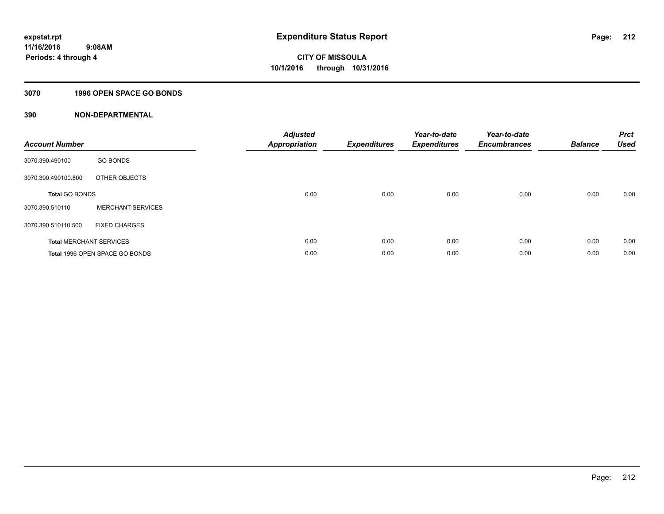## **3070 1996 OPEN SPACE GO BONDS**

| <b>Account Number</b> |                                | <b>Adjusted</b><br><b>Appropriation</b> | <b>Expenditures</b> | Year-to-date<br><b>Expenditures</b> | Year-to-date<br><b>Encumbrances</b> | <b>Balance</b> | <b>Prct</b><br><b>Used</b> |
|-----------------------|--------------------------------|-----------------------------------------|---------------------|-------------------------------------|-------------------------------------|----------------|----------------------------|
| 3070.390.490100       | <b>GO BONDS</b>                |                                         |                     |                                     |                                     |                |                            |
| 3070.390.490100.800   | OTHER OBJECTS                  |                                         |                     |                                     |                                     |                |                            |
| <b>Total GO BONDS</b> |                                | 0.00                                    | 0.00                | 0.00                                | 0.00                                | 0.00           | 0.00                       |
| 3070.390.510110       | <b>MERCHANT SERVICES</b>       |                                         |                     |                                     |                                     |                |                            |
| 3070.390.510110.500   | <b>FIXED CHARGES</b>           |                                         |                     |                                     |                                     |                |                            |
|                       | <b>Total MERCHANT SERVICES</b> | 0.00                                    | 0.00                | 0.00                                | 0.00                                | 0.00           | 0.00                       |
|                       | Total 1996 OPEN SPACE GO BONDS | 0.00                                    | 0.00                | 0.00                                | 0.00                                | 0.00           | 0.00                       |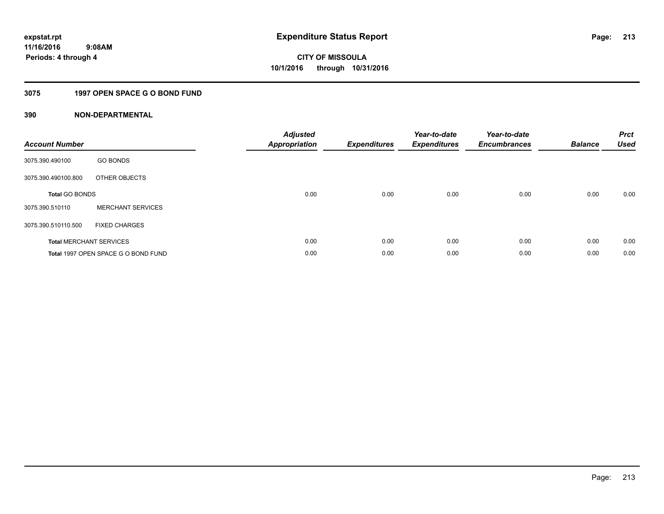## **3075 1997 OPEN SPACE G O BOND FUND**

| <b>Account Number</b> |                                     | <b>Adjusted</b><br>Appropriation | <b>Expenditures</b> | Year-to-date<br><b>Expenditures</b> | Year-to-date<br><b>Encumbrances</b> | <b>Balance</b> | <b>Prct</b><br><b>Used</b> |
|-----------------------|-------------------------------------|----------------------------------|---------------------|-------------------------------------|-------------------------------------|----------------|----------------------------|
| 3075.390.490100       | <b>GO BONDS</b>                     |                                  |                     |                                     |                                     |                |                            |
| 3075.390.490100.800   | OTHER OBJECTS                       |                                  |                     |                                     |                                     |                |                            |
| <b>Total GO BONDS</b> |                                     | 0.00                             | 0.00                | 0.00                                | 0.00                                | 0.00           | 0.00                       |
| 3075.390.510110       | <b>MERCHANT SERVICES</b>            |                                  |                     |                                     |                                     |                |                            |
| 3075.390.510110.500   | <b>FIXED CHARGES</b>                |                                  |                     |                                     |                                     |                |                            |
|                       | <b>Total MERCHANT SERVICES</b>      | 0.00                             | 0.00                | 0.00                                | 0.00                                | 0.00           | 0.00                       |
|                       | Total 1997 OPEN SPACE G O BOND FUND | 0.00                             | 0.00                | 0.00                                | 0.00                                | 0.00           | 0.00                       |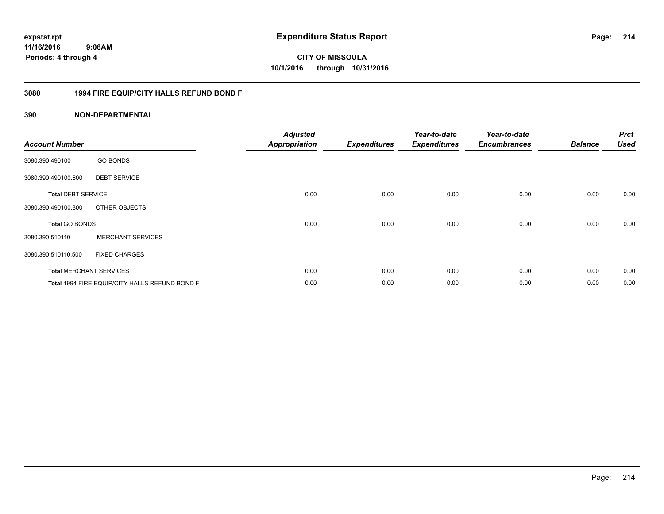## **11/16/2016 9:08AM Periods: 4 through 4**

**CITY OF MISSOULA 10/1/2016 through 10/31/2016**

## **3080 1994 FIRE EQUIP/CITY HALLS REFUND BOND F**

| <b>Account Number</b>     |                                                | <b>Adjusted</b><br><b>Appropriation</b> | <b>Expenditures</b> | Year-to-date<br><b>Expenditures</b> | Year-to-date<br><b>Encumbrances</b> | <b>Balance</b> | <b>Prct</b><br><b>Used</b> |
|---------------------------|------------------------------------------------|-----------------------------------------|---------------------|-------------------------------------|-------------------------------------|----------------|----------------------------|
| 3080.390.490100           | <b>GO BONDS</b>                                |                                         |                     |                                     |                                     |                |                            |
| 3080.390.490100.600       | <b>DEBT SERVICE</b>                            |                                         |                     |                                     |                                     |                |                            |
| <b>Total DEBT SERVICE</b> |                                                | 0.00                                    | 0.00                | 0.00                                | 0.00                                | 0.00           | 0.00                       |
| 3080.390.490100.800       | OTHER OBJECTS                                  |                                         |                     |                                     |                                     |                |                            |
| <b>Total GO BONDS</b>     |                                                | 0.00                                    | 0.00                | 0.00                                | 0.00                                | 0.00           | 0.00                       |
| 3080.390.510110           | <b>MERCHANT SERVICES</b>                       |                                         |                     |                                     |                                     |                |                            |
| 3080.390.510110.500       | <b>FIXED CHARGES</b>                           |                                         |                     |                                     |                                     |                |                            |
|                           | <b>Total MERCHANT SERVICES</b>                 | 0.00                                    | 0.00                | 0.00                                | 0.00                                | 0.00           | 0.00                       |
|                           | Total 1994 FIRE EQUIP/CITY HALLS REFUND BOND F | 0.00                                    | 0.00                | 0.00                                | 0.00                                | 0.00           | 0.00                       |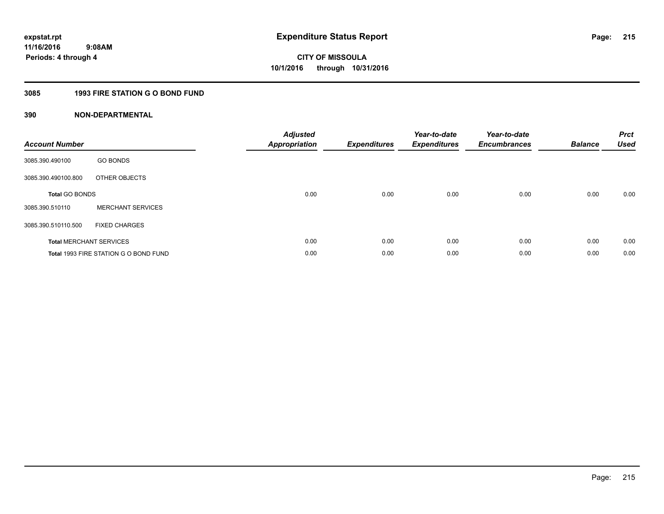## **3085 1993 FIRE STATION G O BOND FUND**

| <b>Account Number</b> |                                       | <b>Adjusted</b><br>Appropriation | <b>Expenditures</b> | Year-to-date<br><b>Expenditures</b> | Year-to-date<br><b>Encumbrances</b> | <b>Balance</b> | <b>Prct</b><br><b>Used</b> |
|-----------------------|---------------------------------------|----------------------------------|---------------------|-------------------------------------|-------------------------------------|----------------|----------------------------|
| 3085.390.490100       | <b>GO BONDS</b>                       |                                  |                     |                                     |                                     |                |                            |
| 3085.390.490100.800   | OTHER OBJECTS                         |                                  |                     |                                     |                                     |                |                            |
| <b>Total GO BONDS</b> |                                       | 0.00                             | 0.00                | 0.00                                | 0.00                                | 0.00           | 0.00                       |
| 3085.390.510110       | <b>MERCHANT SERVICES</b>              |                                  |                     |                                     |                                     |                |                            |
| 3085.390.510110.500   | <b>FIXED CHARGES</b>                  |                                  |                     |                                     |                                     |                |                            |
|                       | <b>Total MERCHANT SERVICES</b>        | 0.00                             | 0.00                | 0.00                                | 0.00                                | 0.00           | 0.00                       |
|                       | Total 1993 FIRE STATION G O BOND FUND | 0.00                             | 0.00                | 0.00                                | 0.00                                | 0.00           | 0.00                       |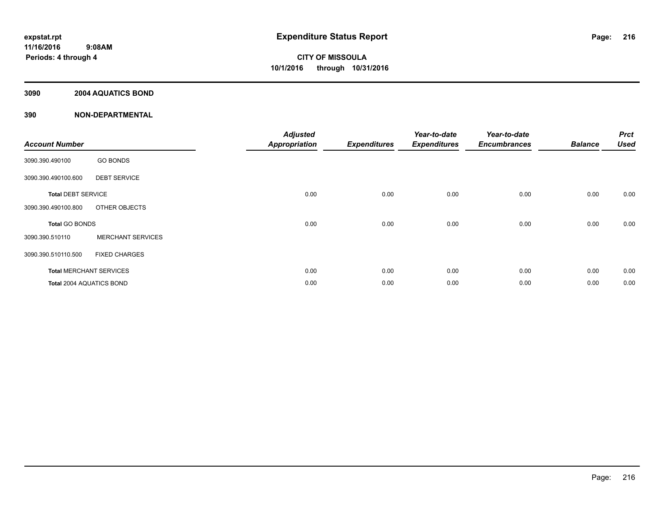## **3090 2004 AQUATICS BOND**

|                           |                                | <b>Adjusted</b>      |                     | Year-to-date        | Year-to-date        |                | <b>Prct</b> |
|---------------------------|--------------------------------|----------------------|---------------------|---------------------|---------------------|----------------|-------------|
| <b>Account Number</b>     |                                | <b>Appropriation</b> | <b>Expenditures</b> | <b>Expenditures</b> | <b>Encumbrances</b> | <b>Balance</b> | <b>Used</b> |
| 3090.390.490100           | <b>GO BONDS</b>                |                      |                     |                     |                     |                |             |
| 3090.390.490100.600       | <b>DEBT SERVICE</b>            |                      |                     |                     |                     |                |             |
| <b>Total DEBT SERVICE</b> |                                | 0.00                 | 0.00                | 0.00                | 0.00                | 0.00           | 0.00        |
| 3090.390.490100.800       | OTHER OBJECTS                  |                      |                     |                     |                     |                |             |
| Total GO BONDS            |                                | 0.00                 | 0.00                | 0.00                | 0.00                | 0.00           | 0.00        |
| 3090.390.510110           | <b>MERCHANT SERVICES</b>       |                      |                     |                     |                     |                |             |
| 3090.390.510110.500       | <b>FIXED CHARGES</b>           |                      |                     |                     |                     |                |             |
|                           | <b>Total MERCHANT SERVICES</b> | 0.00                 | 0.00                | 0.00                | 0.00                | 0.00           | 0.00        |
| Total 2004 AQUATICS BOND  |                                | 0.00                 | 0.00                | 0.00                | 0.00                | 0.00           | 0.00        |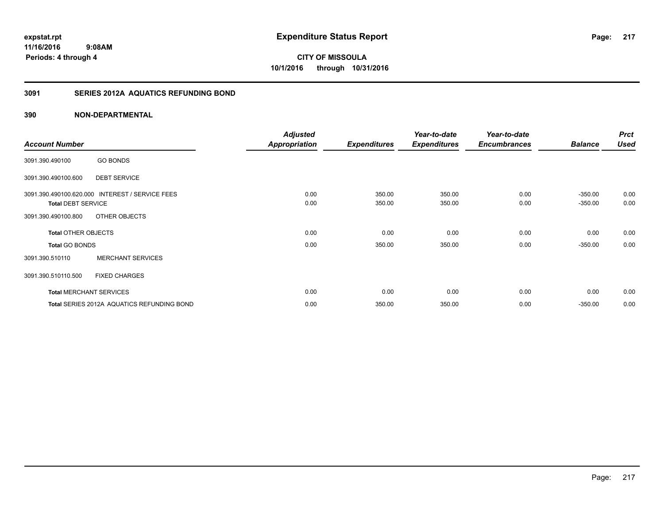**CITY OF MISSOULA 10/1/2016 through 10/31/2016**

## **3091 SERIES 2012A AQUATICS REFUNDING BOND**

|                            |                                                 | <b>Adjusted</b>      |                     | Year-to-date        | Year-to-date        |                | <b>Prct</b> |
|----------------------------|-------------------------------------------------|----------------------|---------------------|---------------------|---------------------|----------------|-------------|
| <b>Account Number</b>      |                                                 | <b>Appropriation</b> | <b>Expenditures</b> | <b>Expenditures</b> | <b>Encumbrances</b> | <b>Balance</b> | <b>Used</b> |
| 3091.390.490100            | <b>GO BONDS</b>                                 |                      |                     |                     |                     |                |             |
| 3091.390.490100.600        | <b>DEBT SERVICE</b>                             |                      |                     |                     |                     |                |             |
|                            | 3091.390.490100.620.000 INTEREST / SERVICE FEES | 0.00                 | 350.00              | 350.00              | 0.00                | $-350.00$      | 0.00        |
| <b>Total DEBT SERVICE</b>  |                                                 | 0.00                 | 350.00              | 350.00              | 0.00                | $-350.00$      | 0.00        |
| 3091.390.490100.800        | OTHER OBJECTS                                   |                      |                     |                     |                     |                |             |
| <b>Total OTHER OBJECTS</b> |                                                 | 0.00                 | 0.00                | 0.00                | 0.00                | 0.00           | 0.00        |
| <b>Total GO BONDS</b>      |                                                 | 0.00                 | 350.00              | 350.00              | 0.00                | $-350.00$      | 0.00        |
| 3091.390.510110            | <b>MERCHANT SERVICES</b>                        |                      |                     |                     |                     |                |             |
| 3091.390.510110.500        | <b>FIXED CHARGES</b>                            |                      |                     |                     |                     |                |             |
|                            | <b>Total MERCHANT SERVICES</b>                  | 0.00                 | 0.00                | 0.00                | 0.00                | 0.00           | 0.00        |
|                            | Total SERIES 2012A AQUATICS REFUNDING BOND      | 0.00                 | 350.00              | 350.00              | 0.00                | $-350.00$      | 0.00        |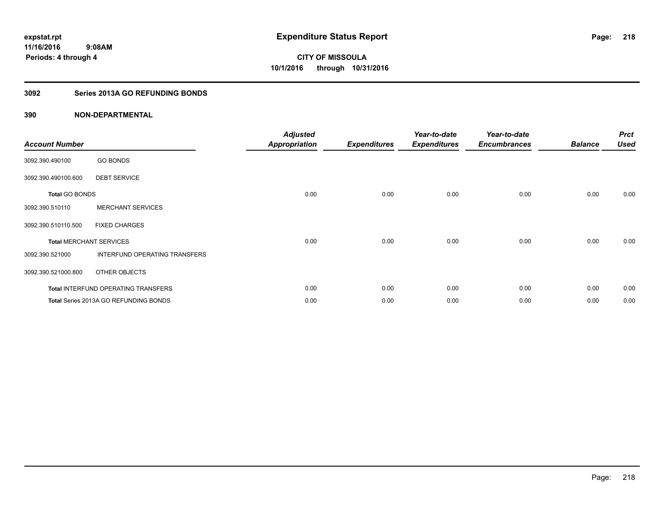## **3092 Series 2013A GO REFUNDING BONDS**

| <b>Account Number</b> |                                       | <b>Adjusted</b><br><b>Appropriation</b> | <b>Expenditures</b> | Year-to-date<br><b>Expenditures</b> | Year-to-date<br><b>Encumbrances</b> | <b>Balance</b> | <b>Prct</b><br><b>Used</b> |
|-----------------------|---------------------------------------|-----------------------------------------|---------------------|-------------------------------------|-------------------------------------|----------------|----------------------------|
| 3092.390.490100       | <b>GO BONDS</b>                       |                                         |                     |                                     |                                     |                |                            |
| 3092.390.490100.600   | <b>DEBT SERVICE</b>                   |                                         |                     |                                     |                                     |                |                            |
| <b>Total GO BONDS</b> |                                       | 0.00                                    | 0.00                | 0.00                                | 0.00                                | 0.00           | 0.00                       |
| 3092.390.510110       | <b>MERCHANT SERVICES</b>              |                                         |                     |                                     |                                     |                |                            |
| 3092.390.510110.500   | <b>FIXED CHARGES</b>                  |                                         |                     |                                     |                                     |                |                            |
|                       | <b>Total MERCHANT SERVICES</b>        | 0.00                                    | 0.00                | 0.00                                | 0.00                                | 0.00           | 0.00                       |
| 3092.390.521000       | <b>INTERFUND OPERATING TRANSFERS</b>  |                                         |                     |                                     |                                     |                |                            |
| 3092.390.521000.800   | OTHER OBJECTS                         |                                         |                     |                                     |                                     |                |                            |
|                       | Total INTERFUND OPERATING TRANSFERS   | 0.00                                    | 0.00                | 0.00                                | 0.00                                | 0.00           | 0.00                       |
|                       | Total Series 2013A GO REFUNDING BONDS | 0.00                                    | 0.00                | 0.00                                | 0.00                                | 0.00           | 0.00                       |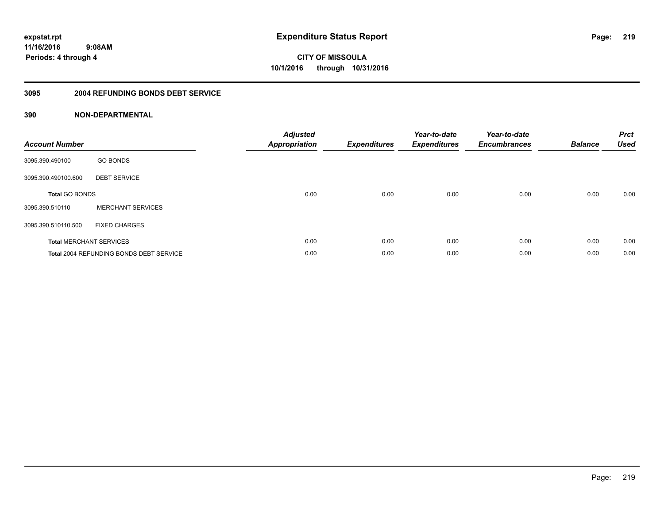**CITY OF MISSOULA 10/1/2016 through 10/31/2016**

#### **3095 2004 REFUNDING BONDS DEBT SERVICE**

| <b>Account Number</b> |                                                | <b>Adjusted</b><br>Appropriation | <b>Expenditures</b> | Year-to-date<br><b>Expenditures</b> | Year-to-date<br><b>Encumbrances</b> | <b>Balance</b> | <b>Prct</b><br><b>Used</b> |
|-----------------------|------------------------------------------------|----------------------------------|---------------------|-------------------------------------|-------------------------------------|----------------|----------------------------|
| 3095.390.490100       | <b>GO BONDS</b>                                |                                  |                     |                                     |                                     |                |                            |
| 3095.390.490100.600   | <b>DEBT SERVICE</b>                            |                                  |                     |                                     |                                     |                |                            |
| <b>Total GO BONDS</b> |                                                | 0.00                             | 0.00                | 0.00                                | 0.00                                | 0.00           | 0.00                       |
| 3095.390.510110       | <b>MERCHANT SERVICES</b>                       |                                  |                     |                                     |                                     |                |                            |
| 3095.390.510110.500   | <b>FIXED CHARGES</b>                           |                                  |                     |                                     |                                     |                |                            |
|                       | <b>Total MERCHANT SERVICES</b>                 | 0.00                             | 0.00                | 0.00                                | 0.00                                | 0.00           | 0.00                       |
|                       | <b>Total 2004 REFUNDING BONDS DEBT SERVICE</b> | 0.00                             | 0.00                | 0.00                                | 0.00                                | 0.00           | 0.00                       |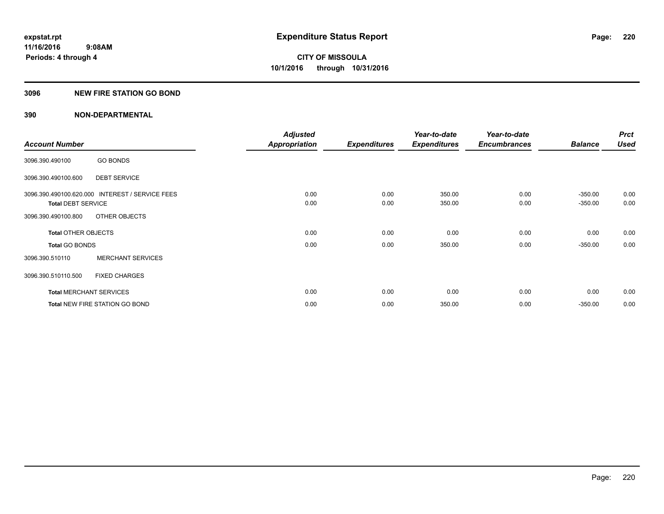## **3096 NEW FIRE STATION GO BOND**

|                                |                                                 | <b>Adjusted</b>      |                     | Year-to-date        | Year-to-date        |                | <b>Prct</b> |
|--------------------------------|-------------------------------------------------|----------------------|---------------------|---------------------|---------------------|----------------|-------------|
| <b>Account Number</b>          |                                                 | <b>Appropriation</b> | <b>Expenditures</b> | <b>Expenditures</b> | <b>Encumbrances</b> | <b>Balance</b> | <b>Used</b> |
| 3096.390.490100                | <b>GO BONDS</b>                                 |                      |                     |                     |                     |                |             |
| 3096.390.490100.600            | <b>DEBT SERVICE</b>                             |                      |                     |                     |                     |                |             |
|                                | 3096.390.490100.620.000 INTEREST / SERVICE FEES | 0.00                 | 0.00                | 350.00              | 0.00                | $-350.00$      | 0.00        |
| <b>Total DEBT SERVICE</b>      |                                                 | 0.00                 | 0.00                | 350.00              | 0.00                | $-350.00$      | 0.00        |
| 3096.390.490100.800            | OTHER OBJECTS                                   |                      |                     |                     |                     |                |             |
| <b>Total OTHER OBJECTS</b>     |                                                 | 0.00                 | 0.00                | 0.00                | 0.00                | 0.00           | 0.00        |
| <b>Total GO BONDS</b>          |                                                 | 0.00                 | 0.00                | 350.00              | 0.00                | $-350.00$      | 0.00        |
| 3096.390.510110                | <b>MERCHANT SERVICES</b>                        |                      |                     |                     |                     |                |             |
| 3096.390.510110.500            | <b>FIXED CHARGES</b>                            |                      |                     |                     |                     |                |             |
| <b>Total MERCHANT SERVICES</b> |                                                 | 0.00                 | 0.00                | 0.00                | 0.00                | 0.00           | 0.00        |
|                                | <b>Total NEW FIRE STATION GO BOND</b>           | 0.00                 | 0.00                | 350.00              | 0.00                | $-350.00$      | 0.00        |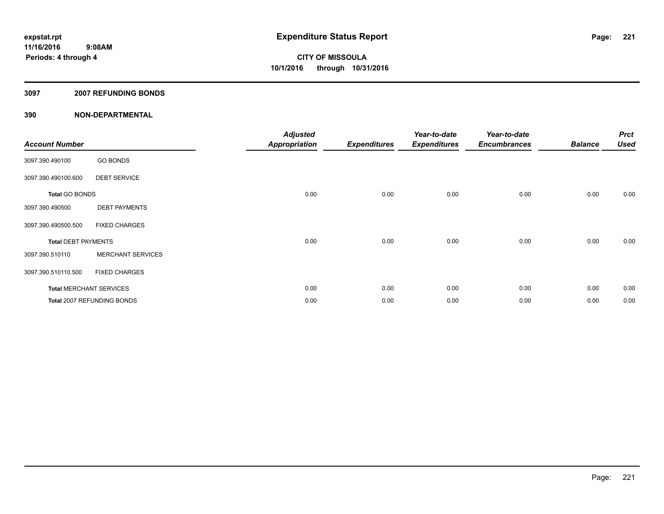## **3097 2007 REFUNDING BONDS**

| <b>Account Number</b>          |                            | <b>Adjusted</b><br>Appropriation | <b>Expenditures</b> | Year-to-date<br><b>Expenditures</b> | Year-to-date<br><b>Encumbrances</b> | <b>Balance</b> | <b>Prct</b><br><b>Used</b> |
|--------------------------------|----------------------------|----------------------------------|---------------------|-------------------------------------|-------------------------------------|----------------|----------------------------|
| 3097.390.490100                | <b>GO BONDS</b>            |                                  |                     |                                     |                                     |                |                            |
| 3097.390.490100.600            | <b>DEBT SERVICE</b>        |                                  |                     |                                     |                                     |                |                            |
| <b>Total GO BONDS</b>          |                            | 0.00                             | 0.00                | 0.00                                | 0.00                                | 0.00           | 0.00                       |
| 3097.390.490500                | <b>DEBT PAYMENTS</b>       |                                  |                     |                                     |                                     |                |                            |
| 3097.390.490500.500            | <b>FIXED CHARGES</b>       |                                  |                     |                                     |                                     |                |                            |
| <b>Total DEBT PAYMENTS</b>     |                            | 0.00                             | 0.00                | 0.00                                | 0.00                                | 0.00           | 0.00                       |
| 3097.390.510110                | <b>MERCHANT SERVICES</b>   |                                  |                     |                                     |                                     |                |                            |
| 3097.390.510110.500            | <b>FIXED CHARGES</b>       |                                  |                     |                                     |                                     |                |                            |
| <b>Total MERCHANT SERVICES</b> |                            | 0.00                             | 0.00                | 0.00                                | 0.00                                | 0.00           | 0.00                       |
|                                | Total 2007 REFUNDING BONDS | 0.00                             | 0.00                | 0.00                                | 0.00                                | 0.00           | 0.00                       |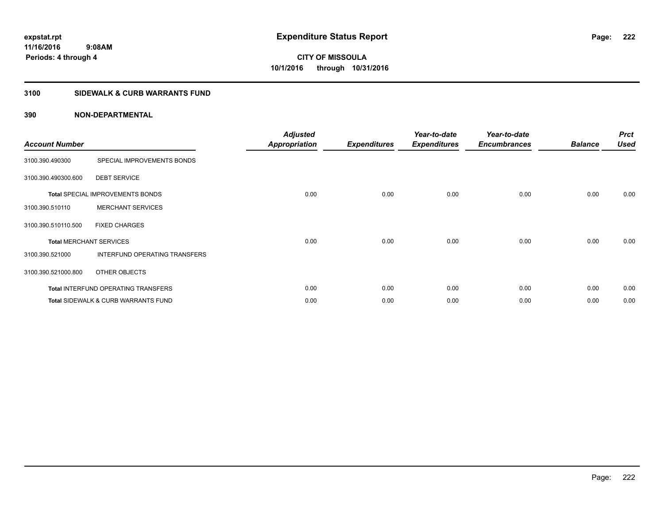## **3100 SIDEWALK & CURB WARRANTS FUND**

| <b>Account Number</b>          |                                            | <b>Adjusted</b><br><b>Appropriation</b> | <b>Expenditures</b> | Year-to-date<br><b>Expenditures</b> | Year-to-date<br><b>Encumbrances</b> | <b>Balance</b> | <b>Prct</b><br><b>Used</b> |
|--------------------------------|--------------------------------------------|-----------------------------------------|---------------------|-------------------------------------|-------------------------------------|----------------|----------------------------|
| 3100.390.490300                | SPECIAL IMPROVEMENTS BONDS                 |                                         |                     |                                     |                                     |                |                            |
| 3100.390.490300.600            | <b>DEBT SERVICE</b>                        |                                         |                     |                                     |                                     |                |                            |
|                                | <b>Total SPECIAL IMPROVEMENTS BONDS</b>    | 0.00                                    | 0.00                | 0.00                                | 0.00                                | 0.00           | 0.00                       |
| 3100.390.510110                | <b>MERCHANT SERVICES</b>                   |                                         |                     |                                     |                                     |                |                            |
| 3100.390.510110.500            | <b>FIXED CHARGES</b>                       |                                         |                     |                                     |                                     |                |                            |
| <b>Total MERCHANT SERVICES</b> |                                            | 0.00                                    | 0.00                | 0.00                                | 0.00                                | 0.00           | 0.00                       |
| 3100.390.521000                | INTERFUND OPERATING TRANSFERS              |                                         |                     |                                     |                                     |                |                            |
| 3100.390.521000.800            | OTHER OBJECTS                              |                                         |                     |                                     |                                     |                |                            |
|                                | <b>Total INTERFUND OPERATING TRANSFERS</b> | 0.00                                    | 0.00                | 0.00                                | 0.00                                | 0.00           | 0.00                       |
|                                | Total SIDEWALK & CURB WARRANTS FUND        | 0.00                                    | 0.00                | 0.00                                | 0.00                                | 0.00           | 0.00                       |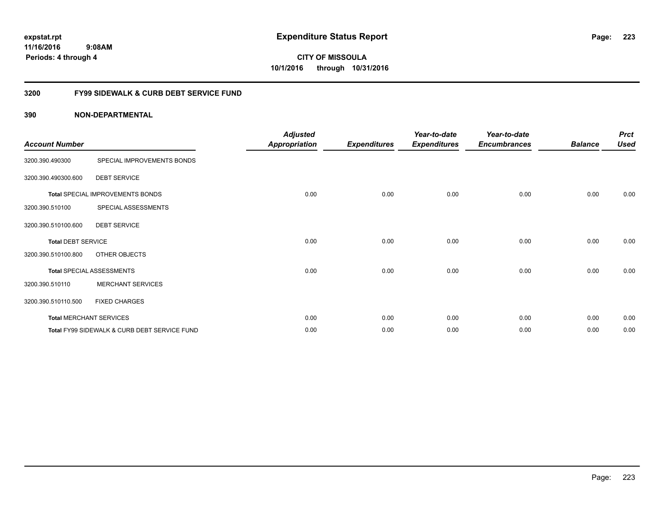# **CITY OF MISSOULA 10/1/2016 through 10/31/2016**

## **3200 FY99 SIDEWALK & CURB DEBT SERVICE FUND**

| <b>Account Number</b>     |                                              | <b>Adjusted</b><br><b>Appropriation</b> | <b>Expenditures</b> | Year-to-date<br><b>Expenditures</b> | Year-to-date<br><b>Encumbrances</b> | <b>Balance</b> | <b>Prct</b><br><b>Used</b> |
|---------------------------|----------------------------------------------|-----------------------------------------|---------------------|-------------------------------------|-------------------------------------|----------------|----------------------------|
| 3200.390.490300           | SPECIAL IMPROVEMENTS BONDS                   |                                         |                     |                                     |                                     |                |                            |
| 3200.390.490300.600       | <b>DEBT SERVICE</b>                          |                                         |                     |                                     |                                     |                |                            |
|                           | Total SPECIAL IMPROVEMENTS BONDS             | 0.00                                    | 0.00                | 0.00                                | 0.00                                | 0.00           | 0.00                       |
| 3200.390.510100           | SPECIAL ASSESSMENTS                          |                                         |                     |                                     |                                     |                |                            |
| 3200.390.510100.600       | <b>DEBT SERVICE</b>                          |                                         |                     |                                     |                                     |                |                            |
| <b>Total DEBT SERVICE</b> |                                              | 0.00                                    | 0.00                | 0.00                                | 0.00                                | 0.00           | 0.00                       |
| 3200.390.510100.800       | OTHER OBJECTS                                |                                         |                     |                                     |                                     |                |                            |
|                           | <b>Total SPECIAL ASSESSMENTS</b>             | 0.00                                    | 0.00                | 0.00                                | 0.00                                | 0.00           | 0.00                       |
| 3200.390.510110           | <b>MERCHANT SERVICES</b>                     |                                         |                     |                                     |                                     |                |                            |
| 3200.390.510110.500       | <b>FIXED CHARGES</b>                         |                                         |                     |                                     |                                     |                |                            |
|                           | <b>Total MERCHANT SERVICES</b>               | 0.00                                    | 0.00                | 0.00                                | 0.00                                | 0.00           | 0.00                       |
|                           | Total FY99 SIDEWALK & CURB DEBT SERVICE FUND | 0.00                                    | 0.00                | 0.00                                | 0.00                                | 0.00           | 0.00                       |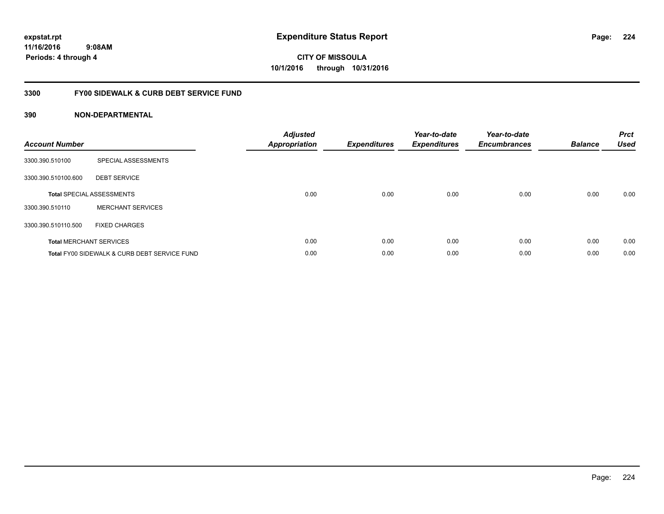**224**

**11/16/2016 9:08AM Periods: 4 through 4**

**CITY OF MISSOULA 10/1/2016 through 10/31/2016**

## **3300 FY00 SIDEWALK & CURB DEBT SERVICE FUND**

| <b>Account Number</b> |                                              | <b>Adjusted</b><br><b>Appropriation</b> | <b>Expenditures</b> | Year-to-date<br><b>Expenditures</b> | Year-to-date<br><b>Encumbrances</b> | <b>Balance</b> | <b>Prct</b><br><b>Used</b> |
|-----------------------|----------------------------------------------|-----------------------------------------|---------------------|-------------------------------------|-------------------------------------|----------------|----------------------------|
| 3300.390.510100       | SPECIAL ASSESSMENTS                          |                                         |                     |                                     |                                     |                |                            |
| 3300.390.510100.600   | <b>DEBT SERVICE</b>                          |                                         |                     |                                     |                                     |                |                            |
|                       | <b>Total SPECIAL ASSESSMENTS</b>             | 0.00                                    | 0.00                | 0.00                                | 0.00                                | 0.00           | 0.00                       |
| 3300.390.510110       | <b>MERCHANT SERVICES</b>                     |                                         |                     |                                     |                                     |                |                            |
| 3300.390.510110.500   | <b>FIXED CHARGES</b>                         |                                         |                     |                                     |                                     |                |                            |
|                       | <b>Total MERCHANT SERVICES</b>               | 0.00                                    | 0.00                | 0.00                                | 0.00                                | 0.00           | 0.00                       |
|                       | Total FY00 SIDEWALK & CURB DEBT SERVICE FUND | 0.00                                    | 0.00                | 0.00                                | 0.00                                | 0.00           | 0.00                       |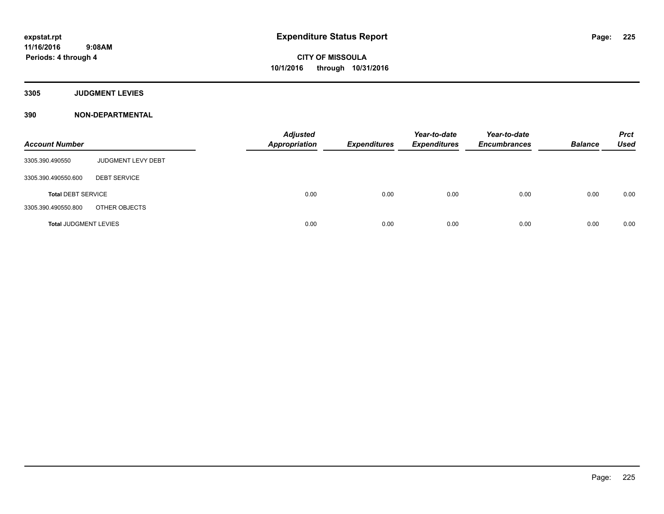**3305 JUDGMENT LEVIES**

| <b>Account Number</b>        |                     | <b>Adjusted</b><br><b>Appropriation</b> | <b>Expenditures</b> | Year-to-date<br><b>Expenditures</b> | Year-to-date<br><b>Encumbrances</b> | <b>Balance</b> | <b>Prct</b><br><b>Used</b> |
|------------------------------|---------------------|-----------------------------------------|---------------------|-------------------------------------|-------------------------------------|----------------|----------------------------|
| 3305.390.490550              | JUDGMENT LEVY DEBT  |                                         |                     |                                     |                                     |                |                            |
| 3305.390.490550.600          | <b>DEBT SERVICE</b> |                                         |                     |                                     |                                     |                |                            |
| <b>Total DEBT SERVICE</b>    |                     | 0.00                                    | 0.00                | 0.00                                | 0.00                                | 0.00           | 0.00                       |
| 3305.390.490550.800          | OTHER OBJECTS       |                                         |                     |                                     |                                     |                |                            |
| <b>Total JUDGMENT LEVIES</b> |                     | 0.00                                    | 0.00                | 0.00                                | 0.00                                | 0.00           | 0.00                       |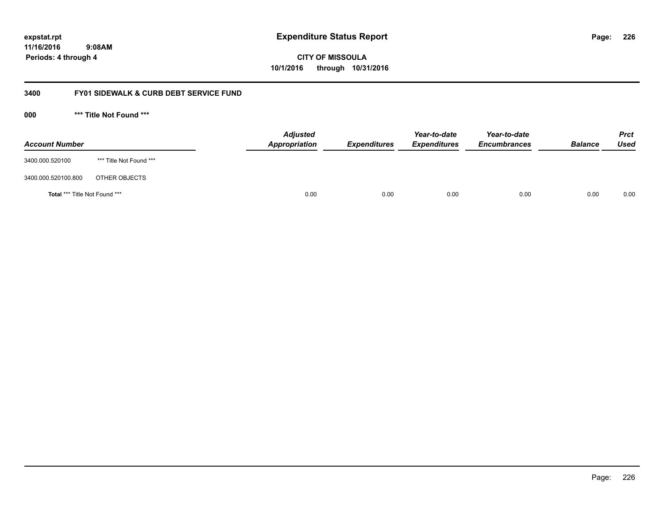**CITY OF MISSOULA 10/1/2016 through 10/31/2016**

## **3400 FY01 SIDEWALK & CURB DEBT SERVICE FUND**

**000 \*\*\* Title Not Found \*\*\***

| <b>Account Number</b>         |                         | <b>Adjusted</b><br>Appropriation | <b>Expenditures</b> | Year-to-date<br><b>Expenditures</b> | Year-to-date<br><b>Encumbrances</b> | <b>Balance</b> | <b>Prct</b><br><b>Used</b> |
|-------------------------------|-------------------------|----------------------------------|---------------------|-------------------------------------|-------------------------------------|----------------|----------------------------|
| 3400.000.520100               | *** Title Not Found *** |                                  |                     |                                     |                                     |                |                            |
| 3400.000.520100.800           | OTHER OBJECTS           |                                  |                     |                                     |                                     |                |                            |
| Total *** Title Not Found *** |                         | 0.00                             | 0.00                | 0.00                                | 0.00                                | 0.00           | 0.00                       |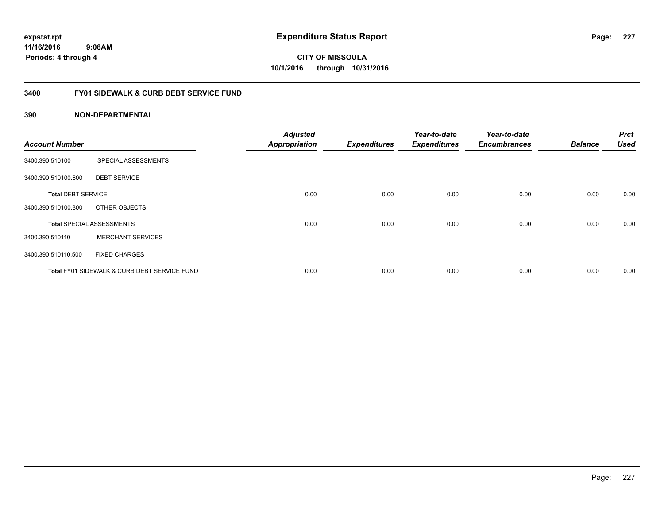**CITY OF MISSOULA 10/1/2016 through 10/31/2016**

## **3400 FY01 SIDEWALK & CURB DEBT SERVICE FUND**

| <b>Account Number</b>     |                                              | <b>Adjusted</b><br><b>Appropriation</b> | <b>Expenditures</b> | Year-to-date<br><b>Expenditures</b> | Year-to-date<br><b>Encumbrances</b> | <b>Balance</b> | <b>Prct</b><br><b>Used</b> |
|---------------------------|----------------------------------------------|-----------------------------------------|---------------------|-------------------------------------|-------------------------------------|----------------|----------------------------|
| 3400.390.510100           | SPECIAL ASSESSMENTS                          |                                         |                     |                                     |                                     |                |                            |
| 3400.390.510100.600       | <b>DEBT SERVICE</b>                          |                                         |                     |                                     |                                     |                |                            |
| <b>Total DEBT SERVICE</b> |                                              | 0.00                                    | 0.00                | 0.00                                | 0.00                                | 0.00           | 0.00                       |
| 3400.390.510100.800       | OTHER OBJECTS                                |                                         |                     |                                     |                                     |                |                            |
|                           | <b>Total SPECIAL ASSESSMENTS</b>             | 0.00                                    | 0.00                | 0.00                                | 0.00                                | 0.00           | 0.00                       |
| 3400.390.510110           | <b>MERCHANT SERVICES</b>                     |                                         |                     |                                     |                                     |                |                            |
| 3400.390.510110.500       | <b>FIXED CHARGES</b>                         |                                         |                     |                                     |                                     |                |                            |
|                           | Total FY01 SIDEWALK & CURB DEBT SERVICE FUND | 0.00                                    | 0.00                | 0.00                                | 0.00                                | 0.00           | 0.00                       |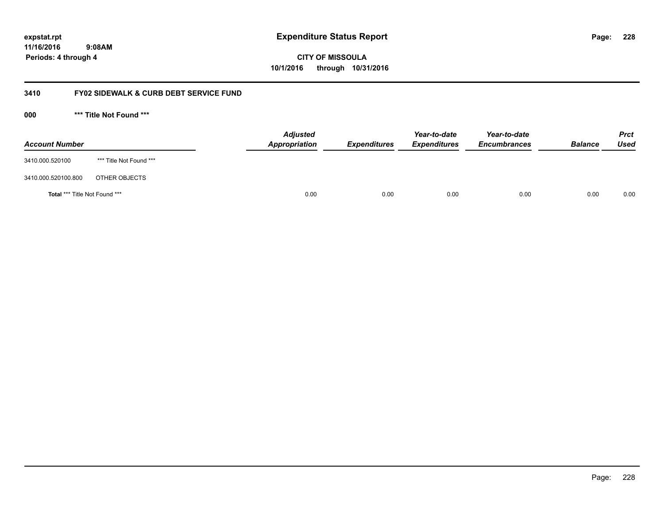**CITY OF MISSOULA 10/1/2016 through 10/31/2016**

## **3410 FY02 SIDEWALK & CURB DEBT SERVICE FUND**

**000 \*\*\* Title Not Found \*\*\***

| <b>Account Number</b>         |                         | <b>Adjusted</b><br>Appropriation | <b>Expenditures</b> | Year-to-date<br><b>Expenditures</b> | Year-to-date<br><b>Encumbrances</b> | <b>Balance</b> | <b>Prct</b><br>Used |
|-------------------------------|-------------------------|----------------------------------|---------------------|-------------------------------------|-------------------------------------|----------------|---------------------|
| 3410.000.520100               | *** Title Not Found *** |                                  |                     |                                     |                                     |                |                     |
| 3410.000.520100.800           | OTHER OBJECTS           |                                  |                     |                                     |                                     |                |                     |
| Total *** Title Not Found *** |                         | 0.00                             | 0.00                | 0.00                                | 0.00                                | 0.00           | 0.00                |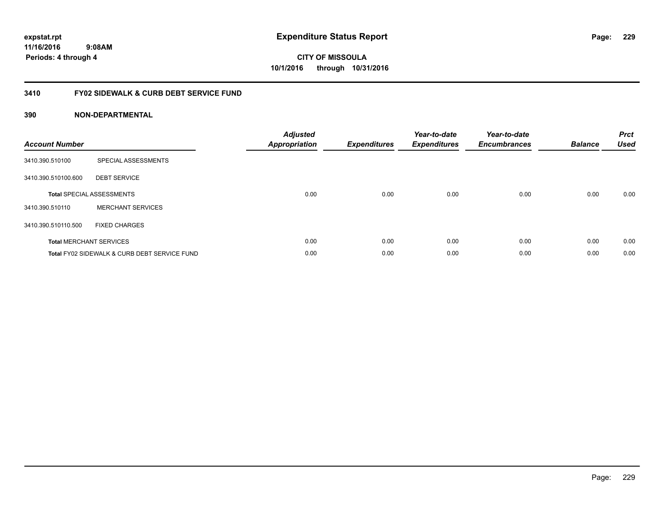**229**

**CITY OF MISSOULA 10/1/2016 through 10/31/2016**

## **3410 FY02 SIDEWALK & CURB DEBT SERVICE FUND**

| <b>Account Number</b> |                                              | <b>Adjusted</b><br><b>Appropriation</b> | <b>Expenditures</b> | Year-to-date<br><b>Expenditures</b> | Year-to-date<br><b>Encumbrances</b> | <b>Balance</b> | <b>Prct</b><br><b>Used</b> |
|-----------------------|----------------------------------------------|-----------------------------------------|---------------------|-------------------------------------|-------------------------------------|----------------|----------------------------|
| 3410.390.510100       | SPECIAL ASSESSMENTS                          |                                         |                     |                                     |                                     |                |                            |
| 3410.390.510100.600   | <b>DEBT SERVICE</b>                          |                                         |                     |                                     |                                     |                |                            |
|                       | <b>Total SPECIAL ASSESSMENTS</b>             | 0.00                                    | 0.00                | 0.00                                | 0.00                                | 0.00           | 0.00                       |
| 3410.390.510110       | <b>MERCHANT SERVICES</b>                     |                                         |                     |                                     |                                     |                |                            |
| 3410.390.510110.500   | <b>FIXED CHARGES</b>                         |                                         |                     |                                     |                                     |                |                            |
|                       | <b>Total MERCHANT SERVICES</b>               | 0.00                                    | 0.00                | 0.00                                | 0.00                                | 0.00           | 0.00                       |
|                       | Total FY02 SIDEWALK & CURB DEBT SERVICE FUND | 0.00                                    | 0.00                | 0.00                                | 0.00                                | 0.00           | 0.00                       |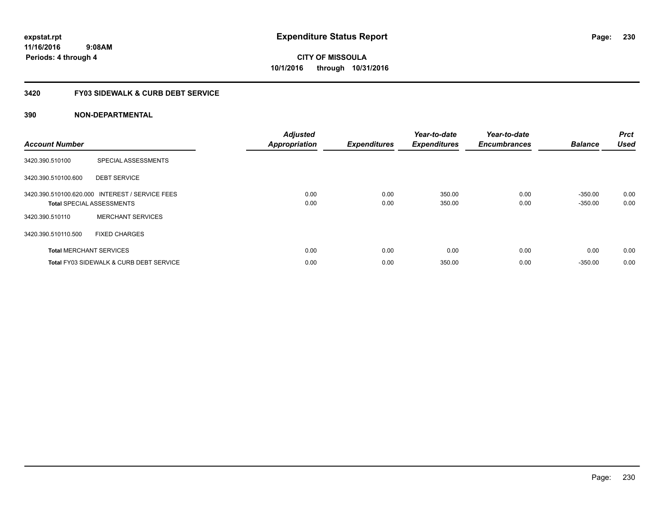#### **3420 FY03 SIDEWALK & CURB DEBT SERVICE**

| <b>Account Number</b> |                                                                                     | <b>Adjusted</b><br><b>Appropriation</b> | <b>Expenditures</b> | Year-to-date<br><b>Expenditures</b> | Year-to-date<br><b>Encumbrances</b> | <b>Balance</b>         | <b>Prct</b><br><b>Used</b> |
|-----------------------|-------------------------------------------------------------------------------------|-----------------------------------------|---------------------|-------------------------------------|-------------------------------------|------------------------|----------------------------|
| 3420.390.510100       | SPECIAL ASSESSMENTS                                                                 |                                         |                     |                                     |                                     |                        |                            |
| 3420.390.510100.600   | <b>DEBT SERVICE</b>                                                                 |                                         |                     |                                     |                                     |                        |                            |
|                       | 3420.390.510100.620.000 INTEREST / SERVICE FEES<br><b>Total SPECIAL ASSESSMENTS</b> | 0.00<br>0.00                            | 0.00<br>0.00        | 350.00<br>350.00                    | 0.00<br>0.00                        | $-350.00$<br>$-350.00$ | 0.00<br>0.00               |
| 3420.390.510110       | <b>MERCHANT SERVICES</b>                                                            |                                         |                     |                                     |                                     |                        |                            |
| 3420.390.510110.500   | <b>FIXED CHARGES</b>                                                                |                                         |                     |                                     |                                     |                        |                            |
|                       | <b>Total MERCHANT SERVICES</b>                                                      | 0.00                                    | 0.00                | 0.00                                | 0.00                                | 0.00                   | 0.00                       |
|                       | <b>Total FY03 SIDEWALK &amp; CURB DEBT SERVICE</b>                                  | 0.00                                    | 0.00                | 350.00                              | 0.00                                | $-350.00$              | 0.00                       |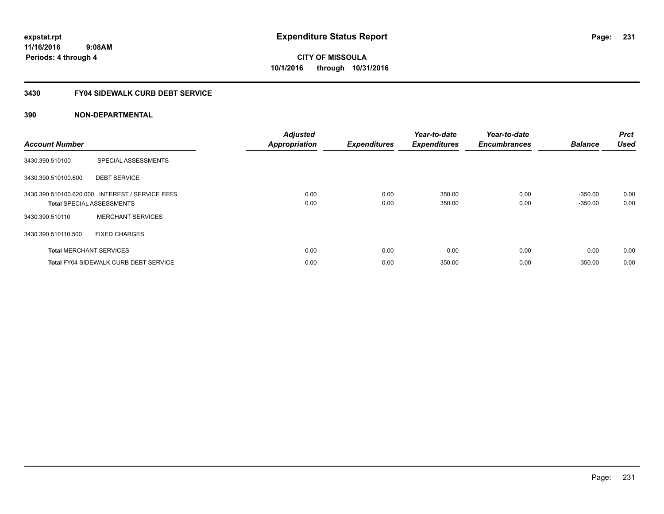## **3430 FY04 SIDEWALK CURB DEBT SERVICE**

| <b>Account Number</b> |                                                                                     | <b>Adjusted</b><br><b>Appropriation</b> | <b>Expenditures</b> | Year-to-date<br><b>Expenditures</b> | Year-to-date<br><b>Encumbrances</b> | <b>Balance</b>         | <b>Prct</b><br><b>Used</b> |
|-----------------------|-------------------------------------------------------------------------------------|-----------------------------------------|---------------------|-------------------------------------|-------------------------------------|------------------------|----------------------------|
| 3430.390.510100       | SPECIAL ASSESSMENTS                                                                 |                                         |                     |                                     |                                     |                        |                            |
| 3430.390.510100.600   | <b>DEBT SERVICE</b>                                                                 |                                         |                     |                                     |                                     |                        |                            |
|                       | 3430.390.510100.620.000 INTEREST / SERVICE FEES<br><b>Total SPECIAL ASSESSMENTS</b> | 0.00<br>0.00                            | 0.00<br>0.00        | 350.00<br>350.00                    | 0.00<br>0.00                        | $-350.00$<br>$-350.00$ | 0.00<br>0.00               |
| 3430.390.510110       | <b>MERCHANT SERVICES</b>                                                            |                                         |                     |                                     |                                     |                        |                            |
| 3430.390.510110.500   | <b>FIXED CHARGES</b>                                                                |                                         |                     |                                     |                                     |                        |                            |
|                       | <b>Total MERCHANT SERVICES</b>                                                      | 0.00                                    | 0.00                | 0.00                                | 0.00                                | 0.00                   | 0.00                       |
|                       | <b>Total FY04 SIDEWALK CURB DEBT SERVICE</b>                                        | 0.00                                    | 0.00                | 350.00                              | 0.00                                | $-350.00$              | 0.00                       |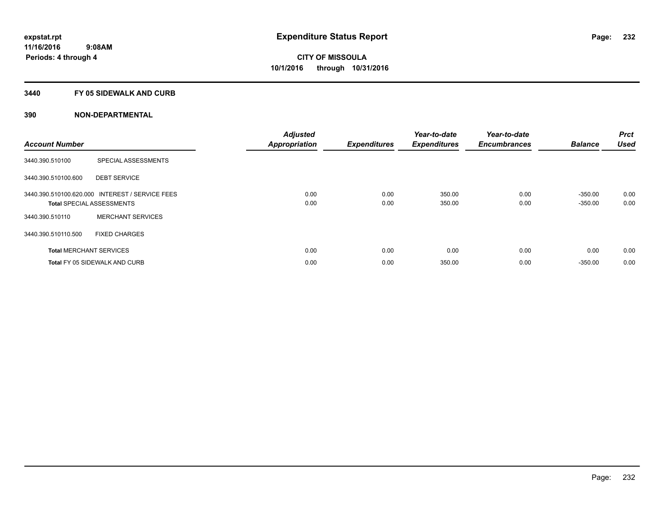## **3440 FY 05 SIDEWALK AND CURB**

| <b>Account Number</b> |                                                                                     | <b>Adjusted</b><br><b>Appropriation</b> | <b>Expenditures</b> | Year-to-date<br><b>Expenditures</b> | Year-to-date<br><b>Encumbrances</b> | <b>Balance</b>         | <b>Prct</b><br><b>Used</b> |
|-----------------------|-------------------------------------------------------------------------------------|-----------------------------------------|---------------------|-------------------------------------|-------------------------------------|------------------------|----------------------------|
| 3440.390.510100       | SPECIAL ASSESSMENTS                                                                 |                                         |                     |                                     |                                     |                        |                            |
| 3440.390.510100.600   | <b>DEBT SERVICE</b>                                                                 |                                         |                     |                                     |                                     |                        |                            |
|                       | 3440.390.510100.620.000 INTEREST / SERVICE FEES<br><b>Total SPECIAL ASSESSMENTS</b> | 0.00<br>0.00                            | 0.00<br>0.00        | 350.00<br>350.00                    | 0.00<br>0.00                        | $-350.00$<br>$-350.00$ | 0.00<br>0.00               |
| 3440.390.510110       | <b>MERCHANT SERVICES</b>                                                            |                                         |                     |                                     |                                     |                        |                            |
| 3440.390.510110.500   | <b>FIXED CHARGES</b>                                                                |                                         |                     |                                     |                                     |                        |                            |
|                       | <b>Total MERCHANT SERVICES</b>                                                      | 0.00                                    | 0.00                | 0.00                                | 0.00                                | 0.00                   | 0.00                       |
|                       | <b>Total FY 05 SIDEWALK AND CURB</b>                                                | 0.00                                    | 0.00                | 350.00                              | 0.00                                | $-350.00$              | 0.00                       |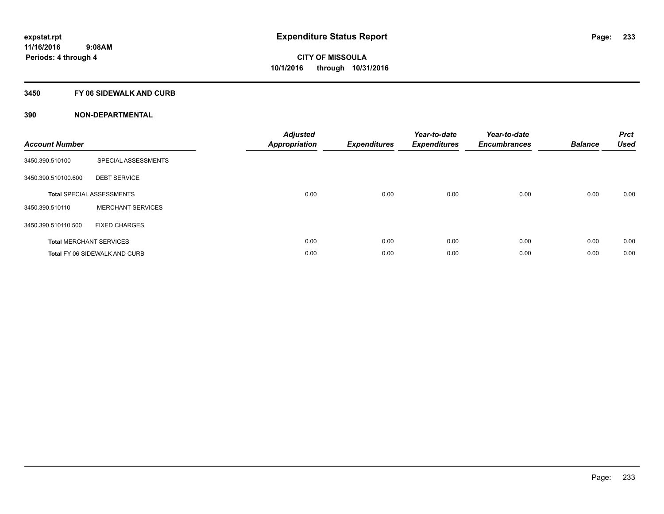## **3450 FY 06 SIDEWALK AND CURB**

| <b>Account Number</b> |                                      | <b>Adjusted</b><br>Appropriation | <b>Expenditures</b> | Year-to-date<br><b>Expenditures</b> | Year-to-date<br><b>Encumbrances</b> | <b>Balance</b> | <b>Prct</b><br><b>Used</b> |
|-----------------------|--------------------------------------|----------------------------------|---------------------|-------------------------------------|-------------------------------------|----------------|----------------------------|
| 3450.390.510100       | SPECIAL ASSESSMENTS                  |                                  |                     |                                     |                                     |                |                            |
| 3450.390.510100.600   | <b>DEBT SERVICE</b>                  |                                  |                     |                                     |                                     |                |                            |
|                       | <b>Total SPECIAL ASSESSMENTS</b>     | 0.00                             | 0.00                | 0.00                                | 0.00                                | 0.00           | 0.00                       |
| 3450.390.510110       | <b>MERCHANT SERVICES</b>             |                                  |                     |                                     |                                     |                |                            |
| 3450.390.510110.500   | <b>FIXED CHARGES</b>                 |                                  |                     |                                     |                                     |                |                            |
|                       | <b>Total MERCHANT SERVICES</b>       | 0.00                             | 0.00                | 0.00                                | 0.00                                | 0.00           | 0.00                       |
|                       | <b>Total FY 06 SIDEWALK AND CURB</b> | 0.00                             | 0.00                | 0.00                                | 0.00                                | 0.00           | 0.00                       |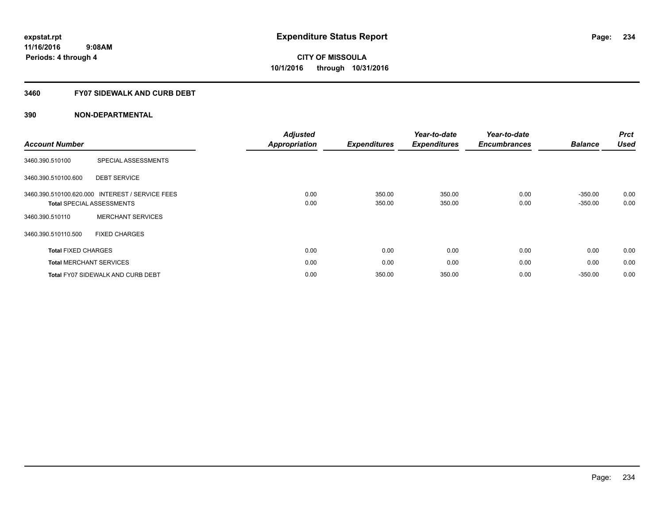## **3460 FY07 SIDEWALK AND CURB DEBT**

| <b>Account Number</b>      |                                                                                     | <b>Adjusted</b><br><b>Appropriation</b> | <b>Expenditures</b> | Year-to-date<br><b>Expenditures</b> | Year-to-date<br><b>Encumbrances</b> | <b>Balance</b>         | <b>Prct</b><br><b>Used</b> |
|----------------------------|-------------------------------------------------------------------------------------|-----------------------------------------|---------------------|-------------------------------------|-------------------------------------|------------------------|----------------------------|
| 3460.390.510100            | SPECIAL ASSESSMENTS                                                                 |                                         |                     |                                     |                                     |                        |                            |
| 3460.390.510100.600        | <b>DEBT SERVICE</b>                                                                 |                                         |                     |                                     |                                     |                        |                            |
|                            | 3460.390.510100.620.000 INTEREST / SERVICE FEES<br><b>Total SPECIAL ASSESSMENTS</b> | 0.00<br>0.00                            | 350.00<br>350.00    | 350.00<br>350.00                    | 0.00<br>0.00                        | $-350.00$<br>$-350.00$ | 0.00<br>0.00               |
| 3460.390.510110            | <b>MERCHANT SERVICES</b>                                                            |                                         |                     |                                     |                                     |                        |                            |
| 3460.390.510110.500        | <b>FIXED CHARGES</b>                                                                |                                         |                     |                                     |                                     |                        |                            |
| <b>Total FIXED CHARGES</b> |                                                                                     | 0.00                                    | 0.00                | 0.00                                | 0.00                                | 0.00                   | 0.00                       |
|                            | <b>Total MERCHANT SERVICES</b>                                                      | 0.00                                    | 0.00                | 0.00                                | 0.00                                | 0.00                   | 0.00                       |
|                            | <b>Total FY07 SIDEWALK AND CURB DEBT</b>                                            | 0.00                                    | 350.00              | 350.00                              | 0.00                                | $-350.00$              | 0.00                       |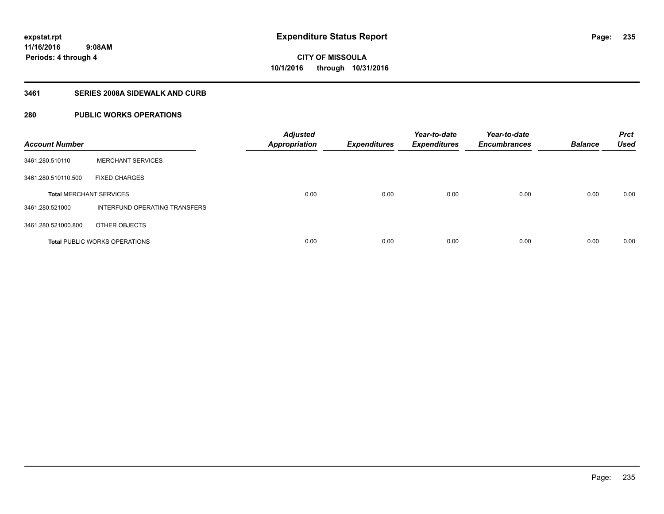## **3461 SERIES 2008A SIDEWALK AND CURB**

## **280 PUBLIC WORKS OPERATIONS**

| <b>Account Number</b>          |                                      | <b>Adjusted</b><br><b>Appropriation</b> | <b>Expenditures</b> | Year-to-date<br><b>Expenditures</b> | Year-to-date<br><b>Encumbrances</b> | <b>Balance</b> | <b>Prct</b><br><b>Used</b> |
|--------------------------------|--------------------------------------|-----------------------------------------|---------------------|-------------------------------------|-------------------------------------|----------------|----------------------------|
| 3461.280.510110                | <b>MERCHANT SERVICES</b>             |                                         |                     |                                     |                                     |                |                            |
| 3461.280.510110.500            | <b>FIXED CHARGES</b>                 |                                         |                     |                                     |                                     |                |                            |
| <b>Total MERCHANT SERVICES</b> |                                      | 0.00                                    | 0.00                | 0.00                                | 0.00                                | 0.00           | 0.00                       |
| 3461.280.521000                | INTERFUND OPERATING TRANSFERS        |                                         |                     |                                     |                                     |                |                            |
| 3461.280.521000.800            | OTHER OBJECTS                        |                                         |                     |                                     |                                     |                |                            |
|                                | <b>Total PUBLIC WORKS OPERATIONS</b> | 0.00                                    | 0.00                | 0.00                                | 0.00                                | 0.00           | 0.00                       |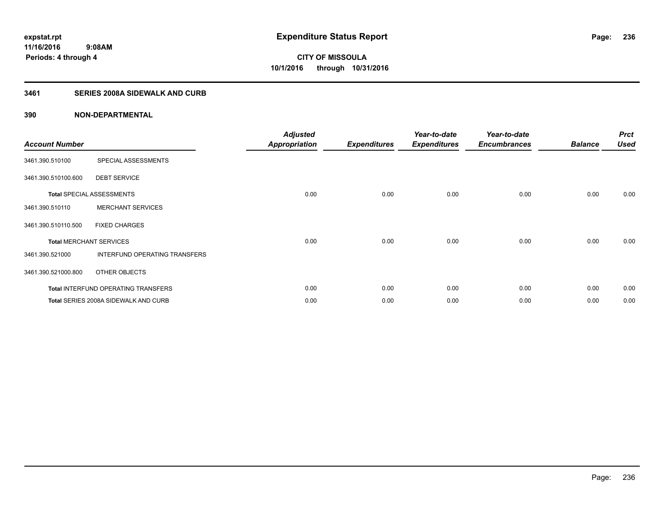## **3461 SERIES 2008A SIDEWALK AND CURB**

| <b>Account Number</b>          |                                            | <b>Adjusted</b><br><b>Appropriation</b> | <b>Expenditures</b> | Year-to-date<br><b>Expenditures</b> | Year-to-date<br><b>Encumbrances</b> | <b>Balance</b> | <b>Prct</b><br><b>Used</b> |
|--------------------------------|--------------------------------------------|-----------------------------------------|---------------------|-------------------------------------|-------------------------------------|----------------|----------------------------|
| 3461.390.510100                | SPECIAL ASSESSMENTS                        |                                         |                     |                                     |                                     |                |                            |
| 3461.390.510100.600            | <b>DEBT SERVICE</b>                        |                                         |                     |                                     |                                     |                |                            |
|                                | <b>Total SPECIAL ASSESSMENTS</b>           | 0.00                                    | 0.00                | 0.00                                | 0.00                                | 0.00           | 0.00                       |
| 3461.390.510110                | <b>MERCHANT SERVICES</b>                   |                                         |                     |                                     |                                     |                |                            |
| 3461.390.510110.500            | <b>FIXED CHARGES</b>                       |                                         |                     |                                     |                                     |                |                            |
| <b>Total MERCHANT SERVICES</b> |                                            | 0.00                                    | 0.00                | 0.00                                | 0.00                                | 0.00           | 0.00                       |
| 3461.390.521000                | INTERFUND OPERATING TRANSFERS              |                                         |                     |                                     |                                     |                |                            |
| 3461.390.521000.800            | OTHER OBJECTS                              |                                         |                     |                                     |                                     |                |                            |
|                                | <b>Total INTERFUND OPERATING TRANSFERS</b> | 0.00                                    | 0.00                | 0.00                                | 0.00                                | 0.00           | 0.00                       |
|                                | Total SERIES 2008A SIDEWALK AND CURB       | 0.00                                    | 0.00                | 0.00                                | 0.00                                | 0.00           | 0.00                       |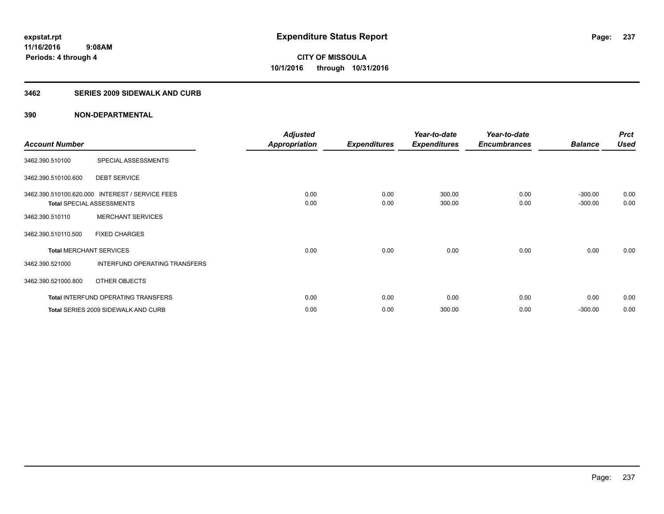## **3462 SERIES 2009 SIDEWALK AND CURB**

|                       |                                                 | <b>Adjusted</b>      |                     | Year-to-date        | Year-to-date        |                | <b>Prct</b> |
|-----------------------|-------------------------------------------------|----------------------|---------------------|---------------------|---------------------|----------------|-------------|
| <b>Account Number</b> |                                                 | <b>Appropriation</b> | <b>Expenditures</b> | <b>Expenditures</b> | <b>Encumbrances</b> | <b>Balance</b> | <b>Used</b> |
| 3462.390.510100       | SPECIAL ASSESSMENTS                             |                      |                     |                     |                     |                |             |
| 3462.390.510100.600   | <b>DEBT SERVICE</b>                             |                      |                     |                     |                     |                |             |
|                       | 3462.390.510100.620.000 INTEREST / SERVICE FEES | 0.00                 | 0.00                | 300.00              | 0.00                | $-300.00$      | 0.00        |
|                       | <b>Total SPECIAL ASSESSMENTS</b>                | 0.00                 | 0.00                | 300.00              | 0.00                | $-300.00$      | 0.00        |
| 3462.390.510110       | <b>MERCHANT SERVICES</b>                        |                      |                     |                     |                     |                |             |
| 3462.390.510110.500   | <b>FIXED CHARGES</b>                            |                      |                     |                     |                     |                |             |
|                       | <b>Total MERCHANT SERVICES</b>                  | 0.00                 | 0.00                | 0.00                | 0.00                | 0.00           | 0.00        |
| 3462.390.521000       | INTERFUND OPERATING TRANSFERS                   |                      |                     |                     |                     |                |             |
| 3462.390.521000.800   | OTHER OBJECTS                                   |                      |                     |                     |                     |                |             |
|                       | <b>Total INTERFUND OPERATING TRANSFERS</b>      | 0.00                 | 0.00                | 0.00                | 0.00                | 0.00           | 0.00        |
|                       | Total SERIES 2009 SIDEWALK AND CURB             | 0.00                 | 0.00                | 300.00              | 0.00                | $-300.00$      | 0.00        |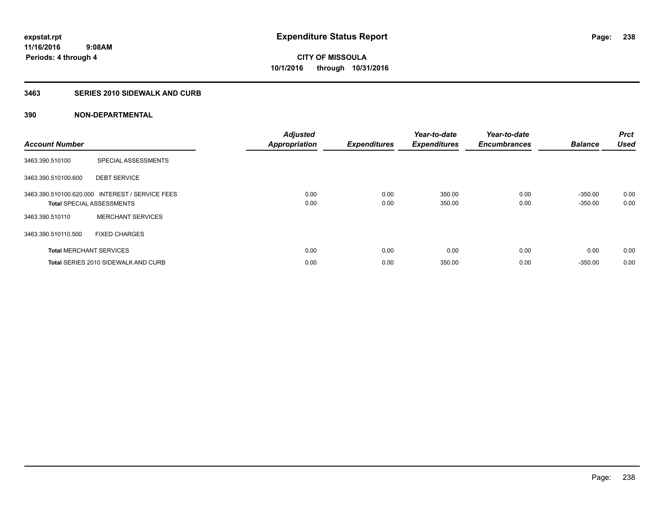## **3463 SERIES 2010 SIDEWALK AND CURB**

| <b>Account Number</b> |                                                                                     | <b>Adjusted</b><br><b>Appropriation</b> | <b>Expenditures</b> | Year-to-date<br><b>Expenditures</b> | Year-to-date<br><b>Encumbrances</b> | <b>Balance</b>         | <b>Prct</b><br><b>Used</b> |
|-----------------------|-------------------------------------------------------------------------------------|-----------------------------------------|---------------------|-------------------------------------|-------------------------------------|------------------------|----------------------------|
| 3463.390.510100       | SPECIAL ASSESSMENTS                                                                 |                                         |                     |                                     |                                     |                        |                            |
| 3463.390.510100.600   | <b>DEBT SERVICE</b>                                                                 |                                         |                     |                                     |                                     |                        |                            |
|                       | 3463.390.510100.620.000 INTEREST / SERVICE FEES<br><b>Total SPECIAL ASSESSMENTS</b> | 0.00<br>0.00                            | 0.00<br>0.00        | 350.00<br>350.00                    | 0.00<br>0.00                        | $-350.00$<br>$-350.00$ | 0.00<br>0.00               |
| 3463.390.510110       | <b>MERCHANT SERVICES</b>                                                            |                                         |                     |                                     |                                     |                        |                            |
| 3463.390.510110.500   | <b>FIXED CHARGES</b>                                                                |                                         |                     |                                     |                                     |                        |                            |
|                       | <b>Total MERCHANT SERVICES</b>                                                      | 0.00                                    | 0.00                | 0.00                                | 0.00                                | 0.00                   | 0.00                       |
|                       | Total SERIES 2010 SIDEWALK AND CURB                                                 | 0.00                                    | 0.00                | 350.00                              | 0.00                                | $-350.00$              | 0.00                       |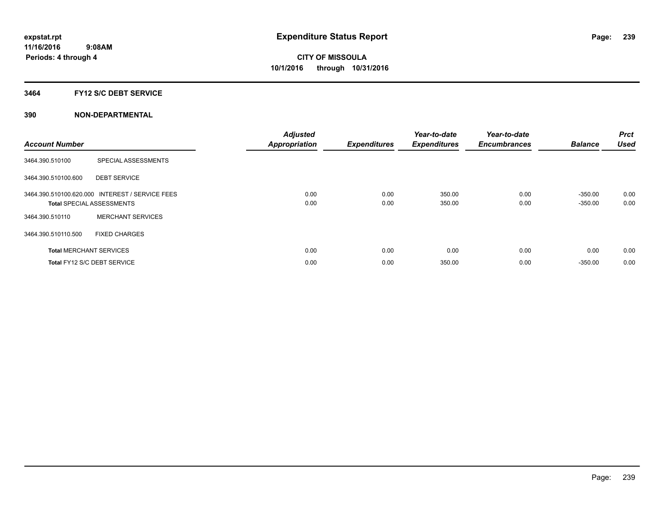## **3464 FY12 S/C DEBT SERVICE**

| <b>Account Number</b> |                                                                                     | <b>Adjusted</b><br><b>Appropriation</b> | <b>Expenditures</b> | Year-to-date<br><b>Expenditures</b> | Year-to-date<br><b>Encumbrances</b> | <b>Balance</b>         | <b>Prct</b><br><b>Used</b> |
|-----------------------|-------------------------------------------------------------------------------------|-----------------------------------------|---------------------|-------------------------------------|-------------------------------------|------------------------|----------------------------|
| 3464.390.510100       | SPECIAL ASSESSMENTS                                                                 |                                         |                     |                                     |                                     |                        |                            |
| 3464.390.510100.600   | <b>DEBT SERVICE</b>                                                                 |                                         |                     |                                     |                                     |                        |                            |
|                       | 3464.390.510100.620.000 INTEREST / SERVICE FEES<br><b>Total SPECIAL ASSESSMENTS</b> | 0.00<br>0.00                            | 0.00<br>0.00        | 350.00<br>350.00                    | 0.00<br>0.00                        | $-350.00$<br>$-350.00$ | 0.00<br>0.00               |
| 3464.390.510110       | <b>MERCHANT SERVICES</b>                                                            |                                         |                     |                                     |                                     |                        |                            |
| 3464.390.510110.500   | <b>FIXED CHARGES</b>                                                                |                                         |                     |                                     |                                     |                        |                            |
|                       | <b>Total MERCHANT SERVICES</b>                                                      | 0.00                                    | 0.00                | 0.00                                | 0.00                                | 0.00                   | 0.00                       |
|                       | Total FY12 S/C DEBT SERVICE                                                         | 0.00                                    | 0.00                | 350.00                              | 0.00                                | $-350.00$              | 0.00                       |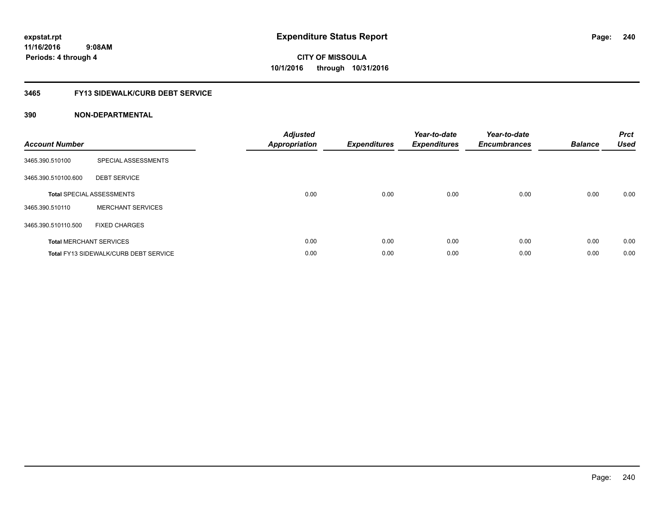## **3465 FY13 SIDEWALK/CURB DEBT SERVICE**

| <b>Account Number</b> |                                              | <b>Adjusted</b><br>Appropriation | <b>Expenditures</b> | Year-to-date<br><b>Expenditures</b> | Year-to-date<br><b>Encumbrances</b> | <b>Balance</b> | <b>Prct</b><br><b>Used</b> |
|-----------------------|----------------------------------------------|----------------------------------|---------------------|-------------------------------------|-------------------------------------|----------------|----------------------------|
| 3465.390.510100       | SPECIAL ASSESSMENTS                          |                                  |                     |                                     |                                     |                |                            |
| 3465.390.510100.600   | <b>DEBT SERVICE</b>                          |                                  |                     |                                     |                                     |                |                            |
|                       | <b>Total SPECIAL ASSESSMENTS</b>             | 0.00                             | 0.00                | 0.00                                | 0.00                                | 0.00           | 0.00                       |
| 3465.390.510110       | <b>MERCHANT SERVICES</b>                     |                                  |                     |                                     |                                     |                |                            |
| 3465.390.510110.500   | <b>FIXED CHARGES</b>                         |                                  |                     |                                     |                                     |                |                            |
|                       | <b>Total MERCHANT SERVICES</b>               | 0.00                             | 0.00                | 0.00                                | 0.00                                | 0.00           | 0.00                       |
|                       | <b>Total FY13 SIDEWALK/CURB DEBT SERVICE</b> | 0.00                             | 0.00                | 0.00                                | 0.00                                | 0.00           | 0.00                       |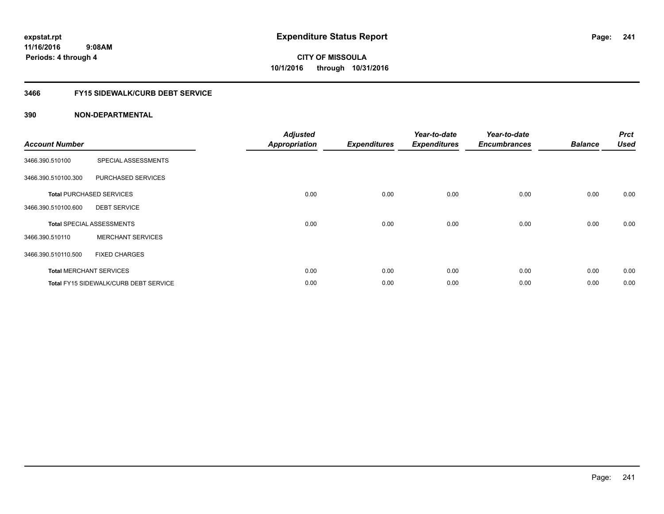## **3466 FY15 SIDEWALK/CURB DEBT SERVICE**

| <b>Account Number</b> |                                              | <b>Adjusted</b><br><b>Appropriation</b> | <b>Expenditures</b> | Year-to-date<br><b>Expenditures</b> | Year-to-date<br><b>Encumbrances</b> | <b>Balance</b> | <b>Prct</b><br><b>Used</b> |
|-----------------------|----------------------------------------------|-----------------------------------------|---------------------|-------------------------------------|-------------------------------------|----------------|----------------------------|
| 3466.390.510100       | SPECIAL ASSESSMENTS                          |                                         |                     |                                     |                                     |                |                            |
| 3466.390.510100.300   | PURCHASED SERVICES                           |                                         |                     |                                     |                                     |                |                            |
|                       | <b>Total PURCHASED SERVICES</b>              | 0.00                                    | 0.00                | 0.00                                | 0.00                                | 0.00           | 0.00                       |
| 3466.390.510100.600   | <b>DEBT SERVICE</b>                          |                                         |                     |                                     |                                     |                |                            |
|                       | <b>Total SPECIAL ASSESSMENTS</b>             | 0.00                                    | 0.00                | 0.00                                | 0.00                                | 0.00           | 0.00                       |
| 3466.390.510110       | <b>MERCHANT SERVICES</b>                     |                                         |                     |                                     |                                     |                |                            |
| 3466.390.510110.500   | <b>FIXED CHARGES</b>                         |                                         |                     |                                     |                                     |                |                            |
|                       | <b>Total MERCHANT SERVICES</b>               | 0.00                                    | 0.00                | 0.00                                | 0.00                                | 0.00           | 0.00                       |
|                       | <b>Total FY15 SIDEWALK/CURB DEBT SERVICE</b> | 0.00                                    | 0.00                | 0.00                                | 0.00                                | 0.00           | 0.00                       |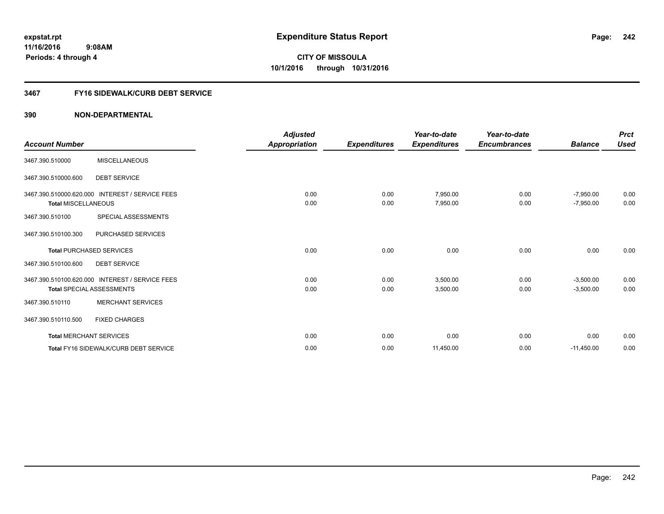## **3467 FY16 SIDEWALK/CURB DEBT SERVICE**

|                                |                                                 | <b>Adjusted</b>      |                     | Year-to-date        | Year-to-date        |                | <b>Prct</b> |
|--------------------------------|-------------------------------------------------|----------------------|---------------------|---------------------|---------------------|----------------|-------------|
| <b>Account Number</b>          |                                                 | <b>Appropriation</b> | <b>Expenditures</b> | <b>Expenditures</b> | <b>Encumbrances</b> | <b>Balance</b> | <b>Used</b> |
| 3467.390.510000                | <b>MISCELLANEOUS</b>                            |                      |                     |                     |                     |                |             |
| 3467.390.510000.600            | <b>DEBT SERVICE</b>                             |                      |                     |                     |                     |                |             |
|                                | 3467.390.510000.620.000 INTEREST / SERVICE FEES | 0.00                 | 0.00                | 7,950.00            | 0.00                | $-7,950.00$    | 0.00        |
| <b>Total MISCELLANEOUS</b>     |                                                 | 0.00                 | 0.00                | 7,950.00            | 0.00                | $-7,950.00$    | 0.00        |
| 3467.390.510100                | SPECIAL ASSESSMENTS                             |                      |                     |                     |                     |                |             |
| 3467.390.510100.300            | PURCHASED SERVICES                              |                      |                     |                     |                     |                |             |
|                                | <b>Total PURCHASED SERVICES</b>                 | 0.00                 | 0.00                | 0.00                | 0.00                | 0.00           | 0.00        |
| 3467.390.510100.600            | <b>DEBT SERVICE</b>                             |                      |                     |                     |                     |                |             |
|                                | 3467.390.510100.620.000 INTEREST / SERVICE FEES | 0.00                 | 0.00                | 3.500.00            | 0.00                | $-3,500.00$    | 0.00        |
|                                | <b>Total SPECIAL ASSESSMENTS</b>                | 0.00                 | 0.00                | 3,500.00            | 0.00                | $-3,500.00$    | 0.00        |
| 3467.390.510110                | <b>MERCHANT SERVICES</b>                        |                      |                     |                     |                     |                |             |
| 3467.390.510110.500            | <b>FIXED CHARGES</b>                            |                      |                     |                     |                     |                |             |
| <b>Total MERCHANT SERVICES</b> |                                                 | 0.00                 | 0.00                | 0.00                | 0.00                | 0.00           | 0.00        |
|                                | <b>Total FY16 SIDEWALK/CURB DEBT SERVICE</b>    | 0.00                 | 0.00                | 11,450.00           | 0.00                | $-11,450.00$   | 0.00        |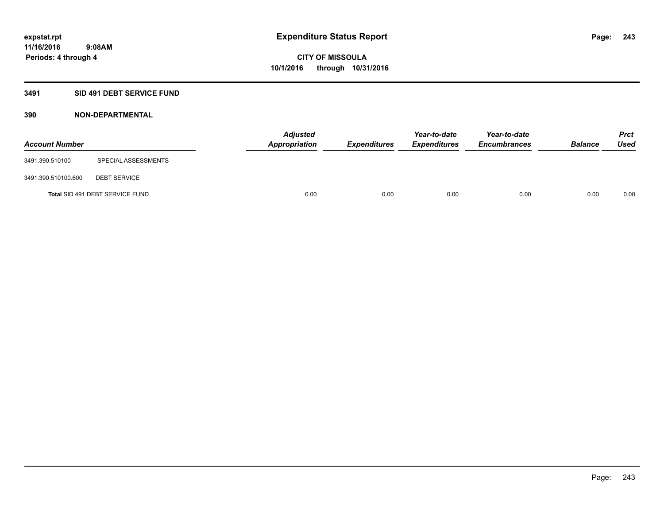## **3491 SID 491 DEBT SERVICE FUND**

| <b>Account Number</b> |                                 | <b>Adjusted</b><br>Appropriation | <b>Expenditures</b> | Year-to-date<br><b>Expenditures</b> | Year-to-date<br><b>Encumbrances</b> | <b>Balance</b> | <b>Prct</b><br><b>Used</b> |
|-----------------------|---------------------------------|----------------------------------|---------------------|-------------------------------------|-------------------------------------|----------------|----------------------------|
| 3491.390.510100       | SPECIAL ASSESSMENTS             |                                  |                     |                                     |                                     |                |                            |
| 3491.390.510100.600   | <b>DEBT SERVICE</b>             |                                  |                     |                                     |                                     |                |                            |
|                       | Total SID 491 DEBT SERVICE FUND | 0.00                             | 0.00                | 0.00                                | 0.00                                | 0.00           | 0.00                       |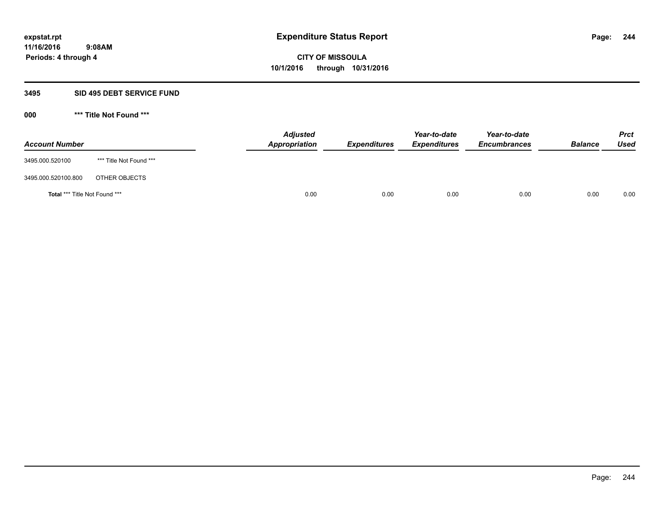#### **3495 SID 495 DEBT SERVICE FUND**

**000 \*\*\* Title Not Found \*\*\***

| <b>Account Number</b>                |                         | <b>Adjusted</b><br>Appropriation | <b>Expenditures</b> | Year-to-date<br><b>Expenditures</b> | Year-to-date<br><b>Encumbrances</b> | <b>Balance</b> | <b>Prct</b><br>Used |
|--------------------------------------|-------------------------|----------------------------------|---------------------|-------------------------------------|-------------------------------------|----------------|---------------------|
| 3495.000.520100                      | *** Title Not Found *** |                                  |                     |                                     |                                     |                |                     |
| 3495.000.520100.800                  | OTHER OBJECTS           |                                  |                     |                                     |                                     |                |                     |
| <b>Total *** Title Not Found ***</b> |                         | 0.00                             | 0.00                | 0.00                                | 0.00                                | 0.00           | 0.00                |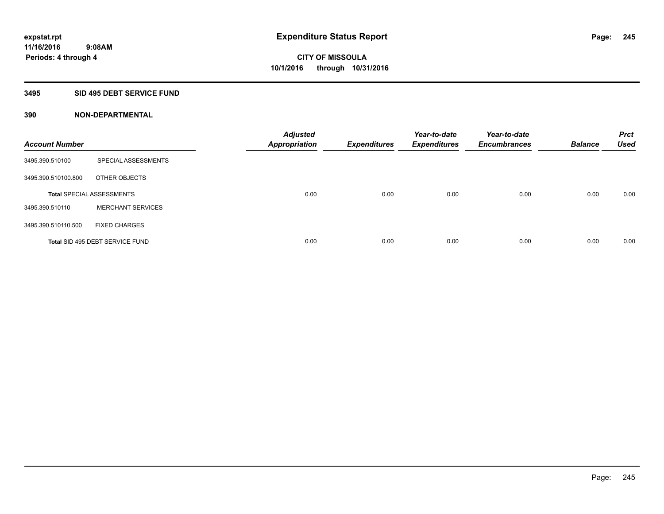## **3495 SID 495 DEBT SERVICE FUND**

| <b>Account Number</b> |                                  | <b>Adjusted</b><br><b>Appropriation</b> | <b>Expenditures</b> | Year-to-date<br><b>Expenditures</b> | Year-to-date<br><b>Encumbrances</b> | <b>Balance</b> | <b>Prct</b><br><b>Used</b> |
|-----------------------|----------------------------------|-----------------------------------------|---------------------|-------------------------------------|-------------------------------------|----------------|----------------------------|
| 3495.390.510100       | SPECIAL ASSESSMENTS              |                                         |                     |                                     |                                     |                |                            |
| 3495.390.510100.800   | OTHER OBJECTS                    |                                         |                     |                                     |                                     |                |                            |
|                       | <b>Total SPECIAL ASSESSMENTS</b> | 0.00                                    | 0.00                | 0.00                                | 0.00                                | 0.00           | 0.00                       |
| 3495.390.510110       | <b>MERCHANT SERVICES</b>         |                                         |                     |                                     |                                     |                |                            |
| 3495.390.510110.500   | <b>FIXED CHARGES</b>             |                                         |                     |                                     |                                     |                |                            |
|                       | Total SID 495 DEBT SERVICE FUND  | 0.00                                    | 0.00                | 0.00                                | 0.00                                | 0.00           | 0.00                       |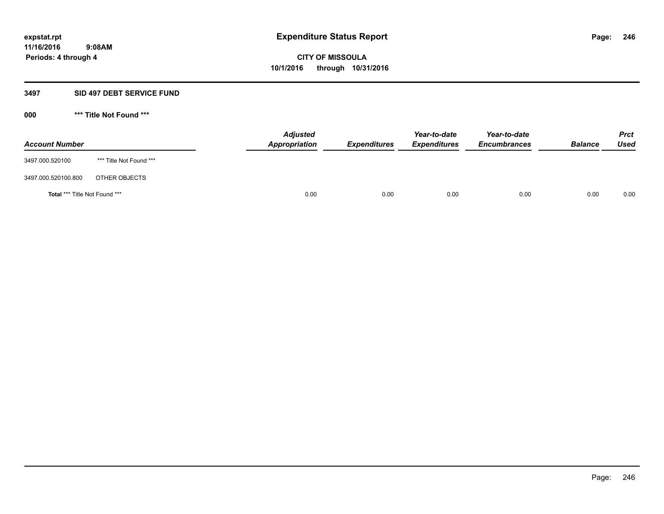#### **3497 SID 497 DEBT SERVICE FUND**

**000 \*\*\* Title Not Found \*\*\***

| <b>Account Number</b>                |                         | <b>Adjusted</b><br><b>Appropriation</b> | <b>Expenditures</b> | Year-to-date<br><b>Expenditures</b> | Year-to-date<br><b>Encumbrances</b> | <b>Balance</b> | <b>Prct</b><br><b>Used</b> |
|--------------------------------------|-------------------------|-----------------------------------------|---------------------|-------------------------------------|-------------------------------------|----------------|----------------------------|
| 3497.000.520100                      | *** Title Not Found *** |                                         |                     |                                     |                                     |                |                            |
| 3497.000.520100.800                  | OTHER OBJECTS           |                                         |                     |                                     |                                     |                |                            |
| <b>Total *** Title Not Found ***</b> |                         | 0.00                                    | 0.00                | 0.00                                | 0.00                                | 0.00           | 0.00                       |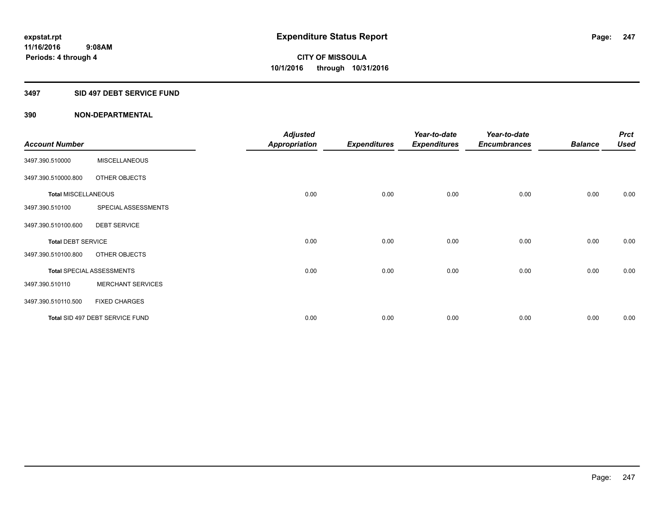## **3497 SID 497 DEBT SERVICE FUND**

|                            |                                  | <b>Adjusted</b>      |                     | Year-to-date        | Year-to-date        |                | <b>Prct</b> |
|----------------------------|----------------------------------|----------------------|---------------------|---------------------|---------------------|----------------|-------------|
| <b>Account Number</b>      |                                  | <b>Appropriation</b> | <b>Expenditures</b> | <b>Expenditures</b> | <b>Encumbrances</b> | <b>Balance</b> | <b>Used</b> |
| 3497.390.510000            | <b>MISCELLANEOUS</b>             |                      |                     |                     |                     |                |             |
| 3497.390.510000.800        | OTHER OBJECTS                    |                      |                     |                     |                     |                |             |
| <b>Total MISCELLANEOUS</b> |                                  | 0.00                 | 0.00                | 0.00                | 0.00                | 0.00           | 0.00        |
| 3497.390.510100            | SPECIAL ASSESSMENTS              |                      |                     |                     |                     |                |             |
| 3497.390.510100.600        | <b>DEBT SERVICE</b>              |                      |                     |                     |                     |                |             |
| <b>Total DEBT SERVICE</b>  |                                  | 0.00                 | 0.00                | 0.00                | 0.00                | 0.00           | 0.00        |
| 3497.390.510100.800        | OTHER OBJECTS                    |                      |                     |                     |                     |                |             |
|                            | <b>Total SPECIAL ASSESSMENTS</b> | 0.00                 | 0.00                | 0.00                | 0.00                | 0.00           | 0.00        |
| 3497.390.510110            | <b>MERCHANT SERVICES</b>         |                      |                     |                     |                     |                |             |
| 3497.390.510110.500        | <b>FIXED CHARGES</b>             |                      |                     |                     |                     |                |             |
|                            | Total SID 497 DEBT SERVICE FUND  | 0.00                 | 0.00                | 0.00                | 0.00                | 0.00           | 0.00        |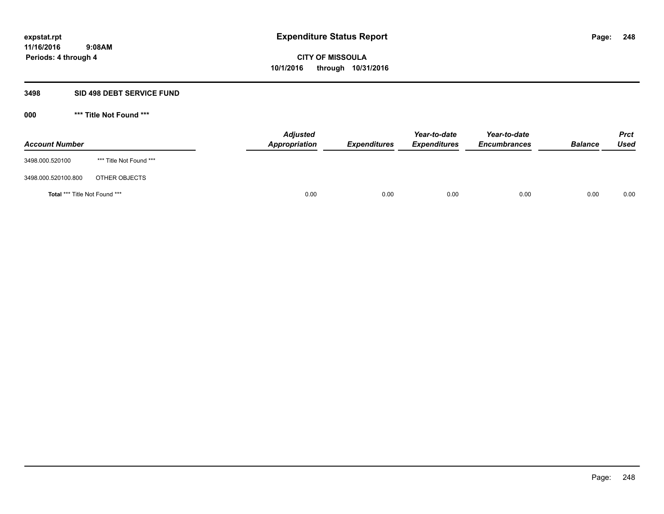#### **3498 SID 498 DEBT SERVICE FUND**

**000 \*\*\* Title Not Found \*\*\***

| <b>Account Number</b>         |                         | <b>Adjusted</b><br>Appropriation | <b>Expenditures</b> | Year-to-date<br><b>Expenditures</b> | Year-to-date<br><b>Encumbrances</b> | <b>Balance</b> | <b>Prct</b><br><b>Used</b> |
|-------------------------------|-------------------------|----------------------------------|---------------------|-------------------------------------|-------------------------------------|----------------|----------------------------|
| 3498.000.520100               | *** Title Not Found *** |                                  |                     |                                     |                                     |                |                            |
| 3498.000.520100.800           | OTHER OBJECTS           |                                  |                     |                                     |                                     |                |                            |
| Total *** Title Not Found *** |                         | 0.00                             | 0.00                | 0.00                                | 0.00                                | 0.00           | 0.00                       |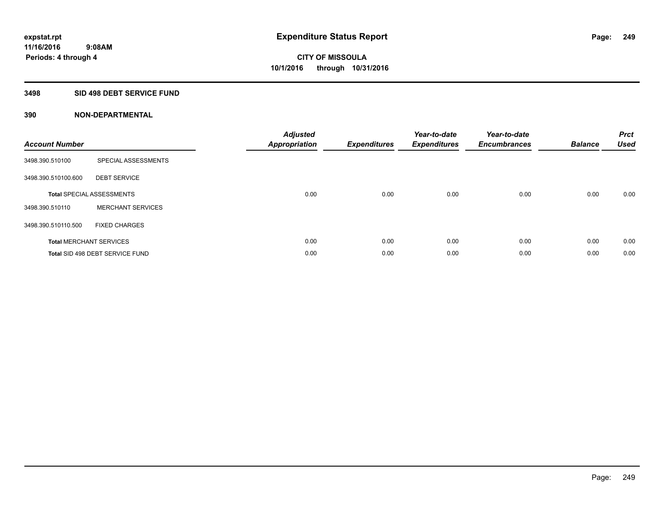## **3498 SID 498 DEBT SERVICE FUND**

| <b>Account Number</b> |                                  | <b>Adjusted</b><br>Appropriation | <b>Expenditures</b> | Year-to-date<br><b>Expenditures</b> | Year-to-date<br><b>Encumbrances</b> | <b>Balance</b> | <b>Prct</b><br><b>Used</b> |
|-----------------------|----------------------------------|----------------------------------|---------------------|-------------------------------------|-------------------------------------|----------------|----------------------------|
| 3498.390.510100       | SPECIAL ASSESSMENTS              |                                  |                     |                                     |                                     |                |                            |
| 3498.390.510100.600   | <b>DEBT SERVICE</b>              |                                  |                     |                                     |                                     |                |                            |
|                       | <b>Total SPECIAL ASSESSMENTS</b> | 0.00                             | 0.00                | 0.00                                | 0.00                                | 0.00           | 0.00                       |
| 3498.390.510110       | <b>MERCHANT SERVICES</b>         |                                  |                     |                                     |                                     |                |                            |
| 3498.390.510110.500   | <b>FIXED CHARGES</b>             |                                  |                     |                                     |                                     |                |                            |
|                       | <b>Total MERCHANT SERVICES</b>   | 0.00                             | 0.00                | 0.00                                | 0.00                                | 0.00           | 0.00                       |
|                       | Total SID 498 DEBT SERVICE FUND  | 0.00                             | 0.00                | 0.00                                | 0.00                                | 0.00           | 0.00                       |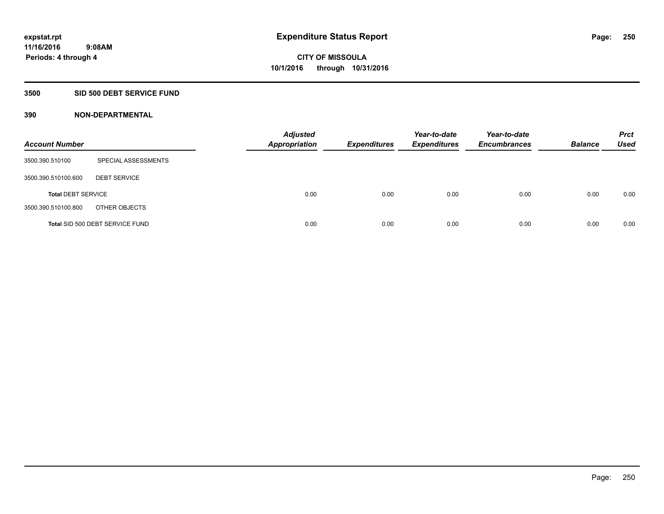## **3500 SID 500 DEBT SERVICE FUND**

| <b>Account Number</b>     |                                 | <b>Adjusted</b><br><b>Appropriation</b> | <b>Expenditures</b> | Year-to-date<br><b>Expenditures</b> | Year-to-date<br><b>Encumbrances</b> | <b>Balance</b> | <b>Prct</b><br><b>Used</b> |
|---------------------------|---------------------------------|-----------------------------------------|---------------------|-------------------------------------|-------------------------------------|----------------|----------------------------|
| 3500.390.510100           | SPECIAL ASSESSMENTS             |                                         |                     |                                     |                                     |                |                            |
| 3500.390.510100.600       | <b>DEBT SERVICE</b>             |                                         |                     |                                     |                                     |                |                            |
| <b>Total DEBT SERVICE</b> |                                 | 0.00                                    | 0.00                | 0.00                                | 0.00                                | 0.00           | 0.00                       |
| 3500.390.510100.800       | OTHER OBJECTS                   |                                         |                     |                                     |                                     |                |                            |
|                           | Total SID 500 DEBT SERVICE FUND | 0.00                                    | 0.00                | 0.00                                | 0.00                                | 0.00           | 0.00                       |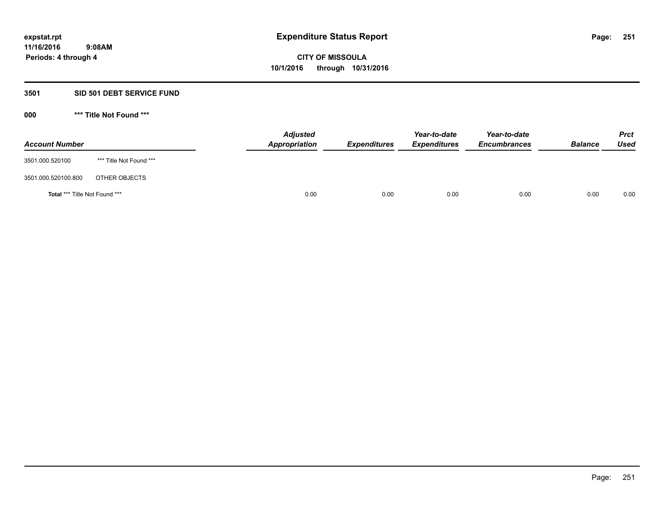## **3501 SID 501 DEBT SERVICE FUND**

**000 \*\*\* Title Not Found \*\*\***

| <b>Account Number</b>         |                         | <b>Adjusted</b><br>Appropriation | <b>Expenditures</b> | Year-to-date<br><b>Expenditures</b> | Year-to-date<br><b>Encumbrances</b> | <b>Balance</b> | <b>Prct</b><br>Used |
|-------------------------------|-------------------------|----------------------------------|---------------------|-------------------------------------|-------------------------------------|----------------|---------------------|
| 3501.000.520100               | *** Title Not Found *** |                                  |                     |                                     |                                     |                |                     |
| 3501.000.520100.800           | OTHER OBJECTS           |                                  |                     |                                     |                                     |                |                     |
| Total *** Title Not Found *** |                         | 0.00                             | 0.00                | 0.00                                | 0.00                                | 0.00           | 0.00                |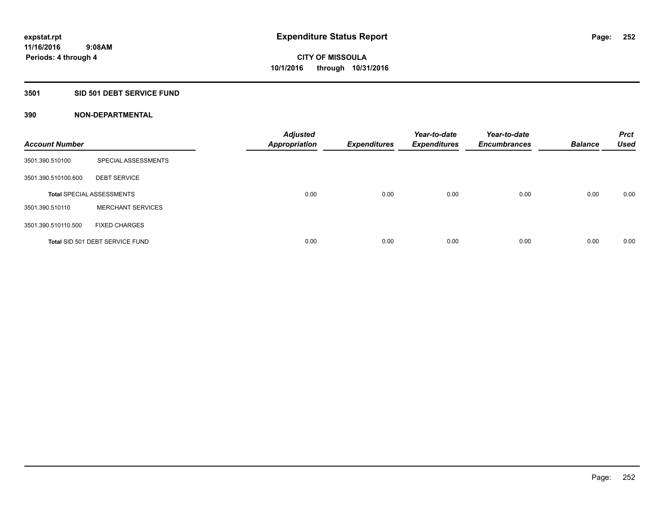## **3501 SID 501 DEBT SERVICE FUND**

| <b>Account Number</b> |                                  | <b>Adjusted</b><br><b>Appropriation</b> | <b>Expenditures</b> | Year-to-date<br><b>Expenditures</b> | Year-to-date<br><b>Encumbrances</b> | <b>Balance</b> | <b>Prct</b><br><b>Used</b> |
|-----------------------|----------------------------------|-----------------------------------------|---------------------|-------------------------------------|-------------------------------------|----------------|----------------------------|
| 3501.390.510100       | SPECIAL ASSESSMENTS              |                                         |                     |                                     |                                     |                |                            |
| 3501.390.510100.600   | <b>DEBT SERVICE</b>              |                                         |                     |                                     |                                     |                |                            |
|                       | <b>Total SPECIAL ASSESSMENTS</b> | 0.00                                    | 0.00                | 0.00                                | 0.00                                | 0.00           | 0.00                       |
| 3501.390.510110       | <b>MERCHANT SERVICES</b>         |                                         |                     |                                     |                                     |                |                            |
| 3501.390.510110.500   | <b>FIXED CHARGES</b>             |                                         |                     |                                     |                                     |                |                            |
|                       | Total SID 501 DEBT SERVICE FUND  | 0.00                                    | 0.00                | 0.00                                | 0.00                                | 0.00           | 0.00                       |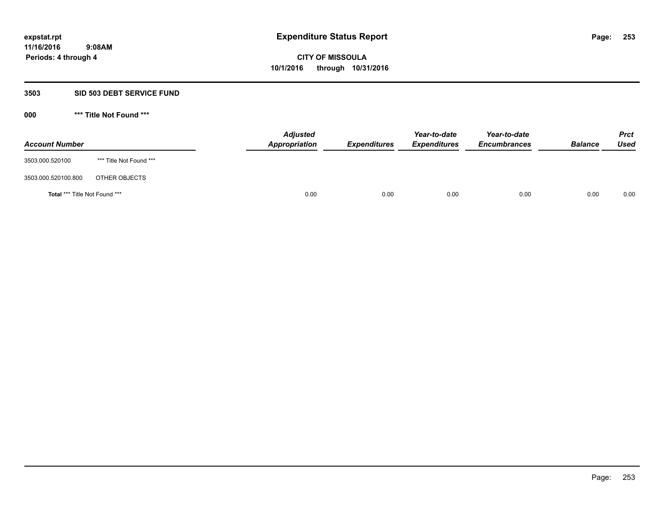### **3503 SID 503 DEBT SERVICE FUND**

| <b>Account Number</b>                |                         | <b>Adjusted</b><br><b>Appropriation</b> | <b>Expenditures</b> | Year-to-date<br><b>Expenditures</b> | Year-to-date<br><b>Encumbrances</b> | <b>Balance</b> | <b>Prct</b><br><b>Used</b> |
|--------------------------------------|-------------------------|-----------------------------------------|---------------------|-------------------------------------|-------------------------------------|----------------|----------------------------|
| 3503.000.520100                      | *** Title Not Found *** |                                         |                     |                                     |                                     |                |                            |
| 3503.000.520100.800                  | OTHER OBJECTS           |                                         |                     |                                     |                                     |                |                            |
| <b>Total *** Title Not Found ***</b> |                         | 0.00                                    | 0.00                | 0.00                                | 0.00                                | 0.00           | 0.00                       |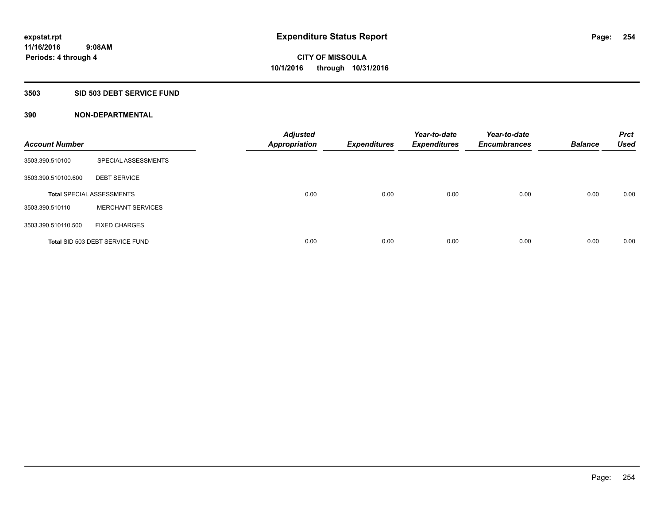## **3503 SID 503 DEBT SERVICE FUND**

| <b>Account Number</b> |                                  | <b>Adjusted</b><br>Appropriation | <b>Expenditures</b> | Year-to-date<br><b>Expenditures</b> | Year-to-date<br><b>Encumbrances</b> | <b>Balance</b> | <b>Prct</b><br><b>Used</b> |
|-----------------------|----------------------------------|----------------------------------|---------------------|-------------------------------------|-------------------------------------|----------------|----------------------------|
| 3503.390.510100       | SPECIAL ASSESSMENTS              |                                  |                     |                                     |                                     |                |                            |
| 3503.390.510100.600   | <b>DEBT SERVICE</b>              |                                  |                     |                                     |                                     |                |                            |
|                       | <b>Total SPECIAL ASSESSMENTS</b> | 0.00                             | 0.00                | 0.00                                | 0.00                                | 0.00           | 0.00                       |
| 3503.390.510110       | <b>MERCHANT SERVICES</b>         |                                  |                     |                                     |                                     |                |                            |
| 3503.390.510110.500   | <b>FIXED CHARGES</b>             |                                  |                     |                                     |                                     |                |                            |
|                       | Total SID 503 DEBT SERVICE FUND  | 0.00                             | 0.00                | 0.00                                | 0.00                                | 0.00           | 0.00                       |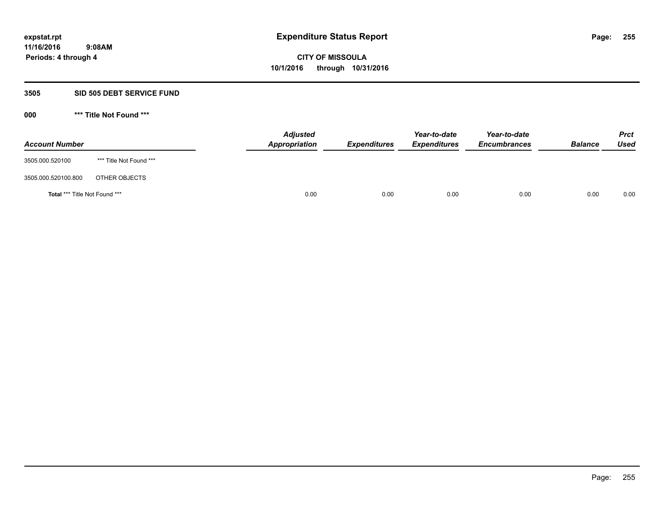#### **3505 SID 505 DEBT SERVICE FUND**

| <b>Account Number</b>         |                         | <b>Adjusted</b><br>Appropriation | <b>Expenditures</b> | Year-to-date<br><b>Expenditures</b> | Year-to-date<br><b>Encumbrances</b> | <b>Balance</b> | <b>Prct</b><br><b>Used</b> |
|-------------------------------|-------------------------|----------------------------------|---------------------|-------------------------------------|-------------------------------------|----------------|----------------------------|
| 3505.000.520100               | *** Title Not Found *** |                                  |                     |                                     |                                     |                |                            |
| 3505.000.520100.800           | OTHER OBJECTS           |                                  |                     |                                     |                                     |                |                            |
| Total *** Title Not Found *** |                         | 0.00                             | 0.00                | 0.00                                | 0.00                                | 0.00           | 0.00                       |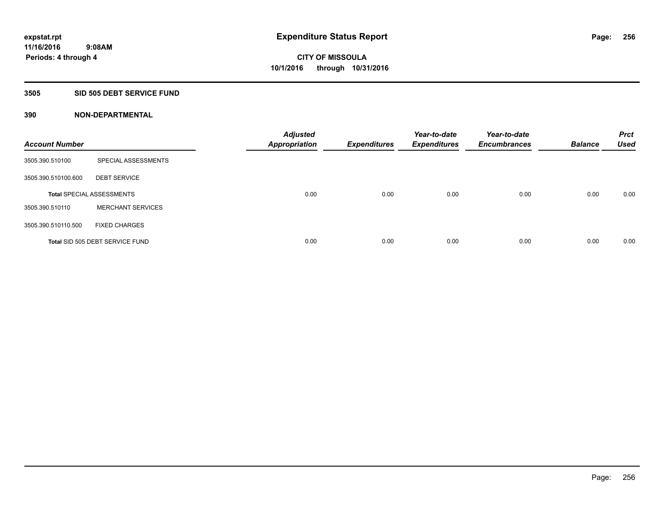## **3505 SID 505 DEBT SERVICE FUND**

| <b>Account Number</b> |                                  | <b>Adjusted</b><br><b>Appropriation</b> | <b>Expenditures</b> | Year-to-date<br><b>Expenditures</b> | Year-to-date<br><b>Encumbrances</b> | <b>Balance</b> | <b>Prct</b><br><b>Used</b> |
|-----------------------|----------------------------------|-----------------------------------------|---------------------|-------------------------------------|-------------------------------------|----------------|----------------------------|
| 3505.390.510100       | SPECIAL ASSESSMENTS              |                                         |                     |                                     |                                     |                |                            |
| 3505.390.510100.600   | <b>DEBT SERVICE</b>              |                                         |                     |                                     |                                     |                |                            |
|                       | <b>Total SPECIAL ASSESSMENTS</b> | 0.00                                    | 0.00                | 0.00                                | 0.00                                | 0.00           | 0.00                       |
| 3505.390.510110       | <b>MERCHANT SERVICES</b>         |                                         |                     |                                     |                                     |                |                            |
| 3505.390.510110.500   | <b>FIXED CHARGES</b>             |                                         |                     |                                     |                                     |                |                            |
|                       | Total SID 505 DEBT SERVICE FUND  | 0.00                                    | 0.00                | 0.00                                | 0.00                                | 0.00           | 0.00                       |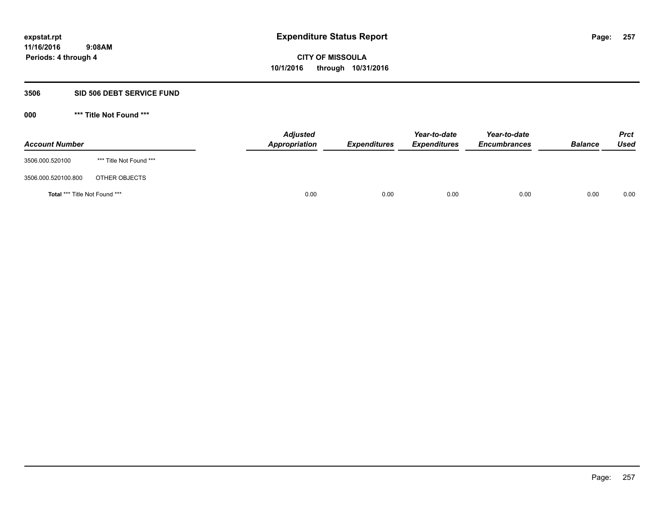#### **3506 SID 506 DEBT SERVICE FUND**

| <b>Account Number</b>                |                         | <b>Adjusted</b><br>Appropriation | <b>Expenditures</b> | Year-to-date<br><b>Expenditures</b> | Year-to-date<br><b>Encumbrances</b> | <b>Balance</b> | <b>Prct</b><br><b>Used</b> |
|--------------------------------------|-------------------------|----------------------------------|---------------------|-------------------------------------|-------------------------------------|----------------|----------------------------|
| 3506.000.520100                      | *** Title Not Found *** |                                  |                     |                                     |                                     |                |                            |
| 3506.000.520100.800                  | OTHER OBJECTS           |                                  |                     |                                     |                                     |                |                            |
| <b>Total *** Title Not Found ***</b> |                         | 0.00                             | 0.00                | 0.00                                | 0.00                                | 0.00           | 0.00                       |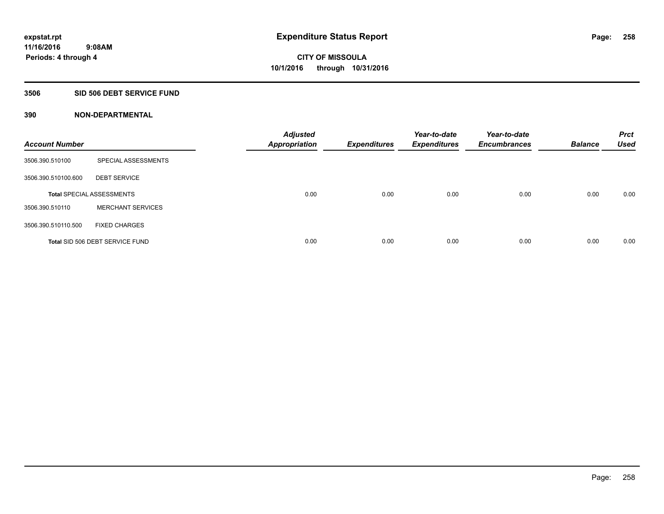## **3506 SID 506 DEBT SERVICE FUND**

| <b>Account Number</b> |                                  | <b>Adjusted</b><br><b>Appropriation</b> | <b>Expenditures</b> | Year-to-date<br><b>Expenditures</b> | Year-to-date<br><b>Encumbrances</b> | <b>Balance</b> | <b>Prct</b><br><b>Used</b> |
|-----------------------|----------------------------------|-----------------------------------------|---------------------|-------------------------------------|-------------------------------------|----------------|----------------------------|
| 3506.390.510100       | SPECIAL ASSESSMENTS              |                                         |                     |                                     |                                     |                |                            |
| 3506.390.510100.600   | <b>DEBT SERVICE</b>              |                                         |                     |                                     |                                     |                |                            |
|                       | <b>Total SPECIAL ASSESSMENTS</b> | 0.00                                    | 0.00                | 0.00                                | 0.00                                | 0.00           | 0.00                       |
| 3506.390.510110       | <b>MERCHANT SERVICES</b>         |                                         |                     |                                     |                                     |                |                            |
| 3506.390.510110.500   | <b>FIXED CHARGES</b>             |                                         |                     |                                     |                                     |                |                            |
|                       | Total SID 506 DEBT SERVICE FUND  | 0.00                                    | 0.00                | 0.00                                | 0.00                                | 0.00           | 0.00                       |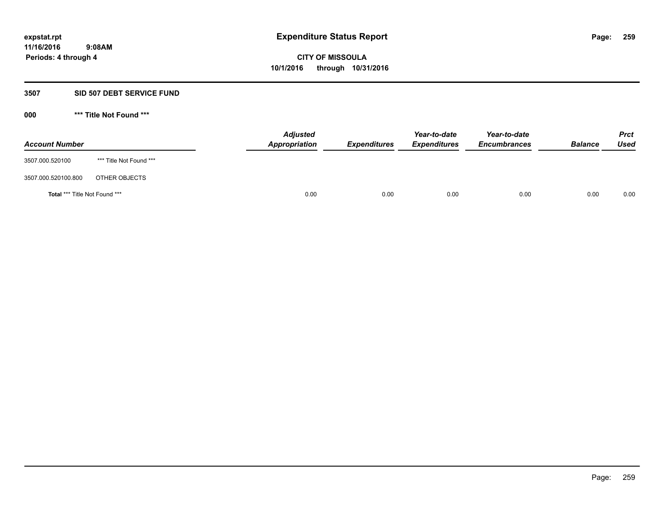#### **3507 SID 507 DEBT SERVICE FUND**

| <b>Account Number</b>         |                         | <b>Adjusted</b><br>Appropriation | <b>Expenditures</b> | Year-to-date<br><b>Expenditures</b> | Year-to-date<br><b>Encumbrances</b> | <b>Balance</b> | <b>Prct</b><br>Used |
|-------------------------------|-------------------------|----------------------------------|---------------------|-------------------------------------|-------------------------------------|----------------|---------------------|
| 3507.000.520100               | *** Title Not Found *** |                                  |                     |                                     |                                     |                |                     |
| 3507.000.520100.800           | OTHER OBJECTS           |                                  |                     |                                     |                                     |                |                     |
| Total *** Title Not Found *** |                         | 0.00                             | 0.00                | 0.00                                | 0.00                                | 0.00           | 0.00                |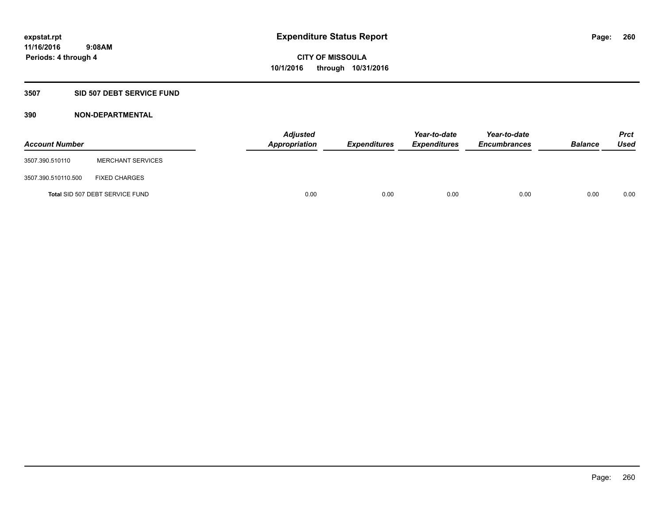### **3507 SID 507 DEBT SERVICE FUND**

| <b>Account Number</b> |                                 | <b>Adjusted</b><br>Appropriation | <b>Expenditures</b> | Year-to-date<br><b>Expenditures</b> | Year-to-date<br><b>Encumbrances</b> | <b>Balance</b> | <b>Prct</b><br><b>Used</b> |
|-----------------------|---------------------------------|----------------------------------|---------------------|-------------------------------------|-------------------------------------|----------------|----------------------------|
| 3507.390.510110       | <b>MERCHANT SERVICES</b>        |                                  |                     |                                     |                                     |                |                            |
| 3507.390.510110.500   | <b>FIXED CHARGES</b>            |                                  |                     |                                     |                                     |                |                            |
|                       | Total SID 507 DEBT SERVICE FUND | 0.00                             | 0.00                | 0.00                                | 0.00                                | 0.00           | 0.00                       |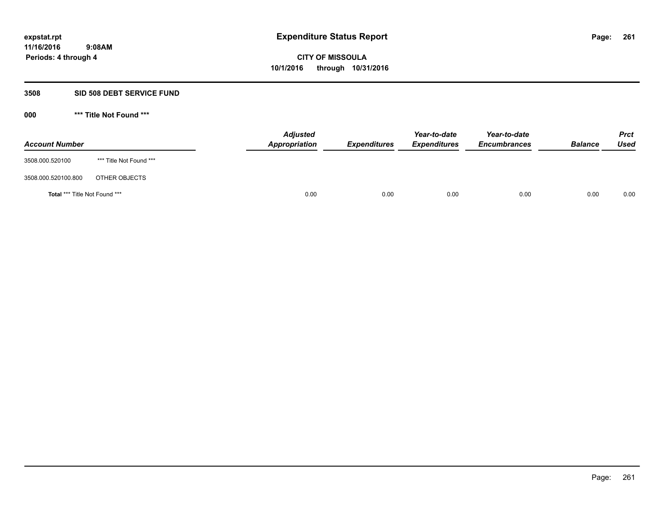### **3508 SID 508 DEBT SERVICE FUND**

| <b>Account Number</b>         |                         | <b>Adjusted</b><br>Appropriation | <b>Expenditures</b> | Year-to-date<br><b>Expenditures</b> | Year-to-date<br><b>Encumbrances</b> | <b>Balance</b> | <b>Prct</b><br>Used |
|-------------------------------|-------------------------|----------------------------------|---------------------|-------------------------------------|-------------------------------------|----------------|---------------------|
| 3508.000.520100               | *** Title Not Found *** |                                  |                     |                                     |                                     |                |                     |
| 3508.000.520100.800           | OTHER OBJECTS           |                                  |                     |                                     |                                     |                |                     |
| Total *** Title Not Found *** |                         | 0.00                             | 0.00                | 0.00                                | 0.00                                | 0.00           | 0.00                |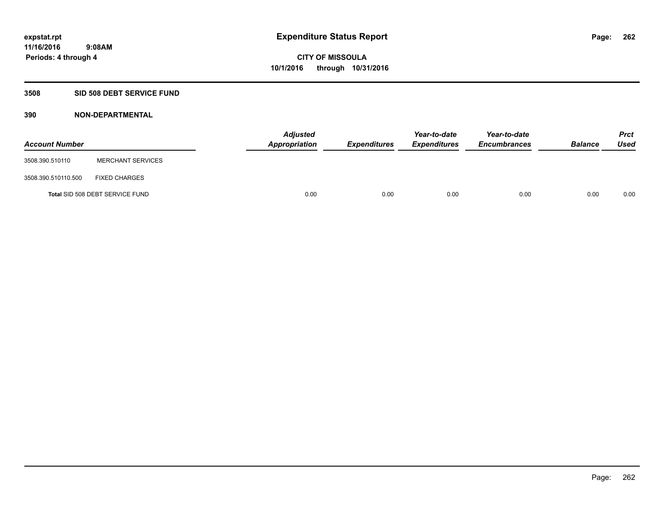## **3508 SID 508 DEBT SERVICE FUND**

| <b>Account Number</b> |                                 | <b>Adjusted</b><br>Appropriation | <b>Expenditures</b> | Year-to-date<br><b>Expenditures</b> | Year-to-date<br><b>Encumbrances</b> | <b>Balance</b> | <b>Prct</b><br><b>Used</b> |
|-----------------------|---------------------------------|----------------------------------|---------------------|-------------------------------------|-------------------------------------|----------------|----------------------------|
| 3508.390.510110       | <b>MERCHANT SERVICES</b>        |                                  |                     |                                     |                                     |                |                            |
| 3508.390.510110.500   | <b>FIXED CHARGES</b>            |                                  |                     |                                     |                                     |                |                            |
|                       | Total SID 508 DEBT SERVICE FUND | 0.00                             | 0.00                | 0.00                                | 0.00                                | 0.00           | 0.00                       |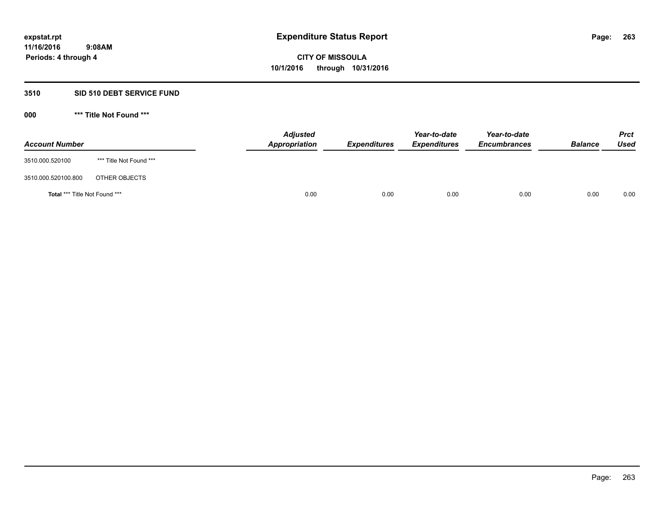### **3510 SID 510 DEBT SERVICE FUND**

| <b>Account Number</b>                |                         | <b>Adjusted</b><br><b>Appropriation</b> | <b>Expenditures</b> | Year-to-date<br><b>Expenditures</b> | Year-to-date<br><b>Encumbrances</b> | <b>Balance</b> | <b>Prct</b><br><b>Used</b> |
|--------------------------------------|-------------------------|-----------------------------------------|---------------------|-------------------------------------|-------------------------------------|----------------|----------------------------|
| 3510.000.520100                      | *** Title Not Found *** |                                         |                     |                                     |                                     |                |                            |
| 3510.000.520100.800                  | OTHER OBJECTS           |                                         |                     |                                     |                                     |                |                            |
| <b>Total *** Title Not Found ***</b> |                         | 0.00                                    | 0.00                | 0.00                                | 0.00                                | 0.00           | 0.00                       |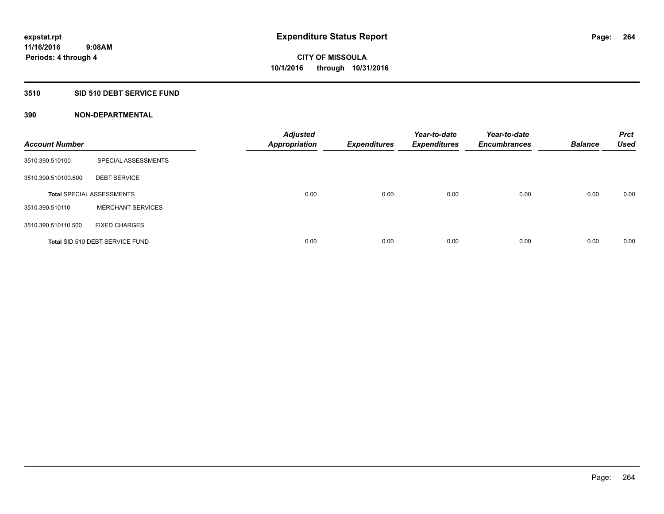## **3510 SID 510 DEBT SERVICE FUND**

| <b>Account Number</b> |                                  | <b>Adjusted</b><br><b>Appropriation</b> | <b>Expenditures</b> | Year-to-date<br><b>Expenditures</b> | Year-to-date<br><b>Encumbrances</b> | <b>Balance</b> | <b>Prct</b><br><b>Used</b> |
|-----------------------|----------------------------------|-----------------------------------------|---------------------|-------------------------------------|-------------------------------------|----------------|----------------------------|
| 3510.390.510100       | SPECIAL ASSESSMENTS              |                                         |                     |                                     |                                     |                |                            |
| 3510.390.510100.600   | <b>DEBT SERVICE</b>              |                                         |                     |                                     |                                     |                |                            |
|                       | <b>Total SPECIAL ASSESSMENTS</b> | 0.00                                    | 0.00                | 0.00                                | 0.00                                | 0.00           | 0.00                       |
| 3510.390.510110       | <b>MERCHANT SERVICES</b>         |                                         |                     |                                     |                                     |                |                            |
| 3510.390.510110.500   | <b>FIXED CHARGES</b>             |                                         |                     |                                     |                                     |                |                            |
|                       | Total SID 510 DEBT SERVICE FUND  | 0.00                                    | 0.00                | 0.00                                | 0.00                                | 0.00           | 0.00                       |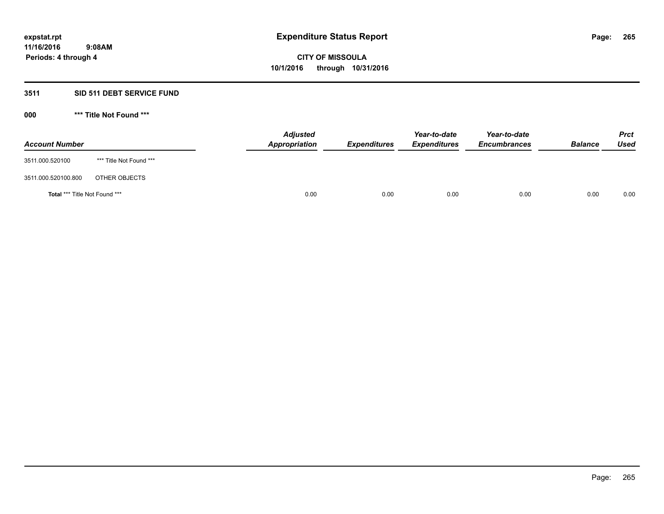## **3511 SID 511 DEBT SERVICE FUND**

| <b>Account Number</b>                |                         | <b>Adjusted</b><br><b>Appropriation</b> | <b>Expenditures</b> | Year-to-date<br><b>Expenditures</b> | Year-to-date<br><b>Encumbrances</b> | <b>Balance</b> | <b>Prct</b><br><b>Used</b> |
|--------------------------------------|-------------------------|-----------------------------------------|---------------------|-------------------------------------|-------------------------------------|----------------|----------------------------|
| 3511.000.520100                      | *** Title Not Found *** |                                         |                     |                                     |                                     |                |                            |
| 3511.000.520100.800                  | OTHER OBJECTS           |                                         |                     |                                     |                                     |                |                            |
| <b>Total *** Title Not Found ***</b> |                         | 0.00                                    | 0.00                | 0.00                                | 0.00                                | 0.00           | 0.00                       |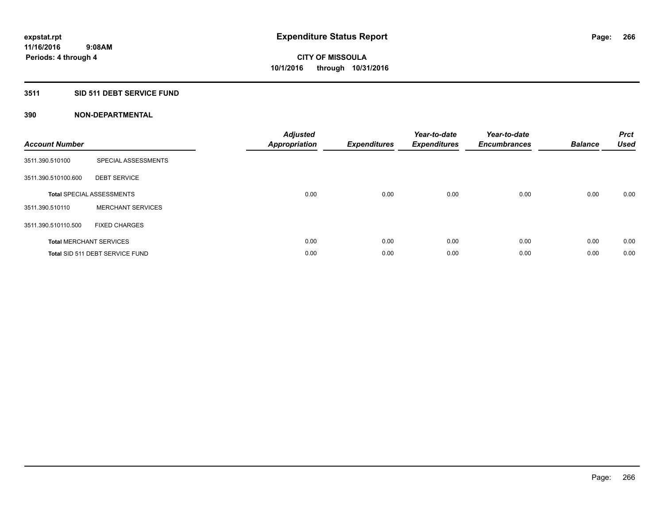## **3511 SID 511 DEBT SERVICE FUND**

| <b>Account Number</b> |                                  | <b>Adjusted</b><br>Appropriation | <b>Expenditures</b> | Year-to-date<br><b>Expenditures</b> | Year-to-date<br><b>Encumbrances</b> | <b>Balance</b> | <b>Prct</b><br><b>Used</b> |
|-----------------------|----------------------------------|----------------------------------|---------------------|-------------------------------------|-------------------------------------|----------------|----------------------------|
| 3511.390.510100       | SPECIAL ASSESSMENTS              |                                  |                     |                                     |                                     |                |                            |
| 3511.390.510100.600   | <b>DEBT SERVICE</b>              |                                  |                     |                                     |                                     |                |                            |
|                       | <b>Total SPECIAL ASSESSMENTS</b> | 0.00                             | 0.00                | 0.00                                | 0.00                                | 0.00           | 0.00                       |
| 3511.390.510110       | <b>MERCHANT SERVICES</b>         |                                  |                     |                                     |                                     |                |                            |
| 3511.390.510110.500   | <b>FIXED CHARGES</b>             |                                  |                     |                                     |                                     |                |                            |
|                       | <b>Total MERCHANT SERVICES</b>   | 0.00                             | 0.00                | 0.00                                | 0.00                                | 0.00           | 0.00                       |
|                       | Total SID 511 DEBT SERVICE FUND  | 0.00                             | 0.00                | 0.00                                | 0.00                                | 0.00           | 0.00                       |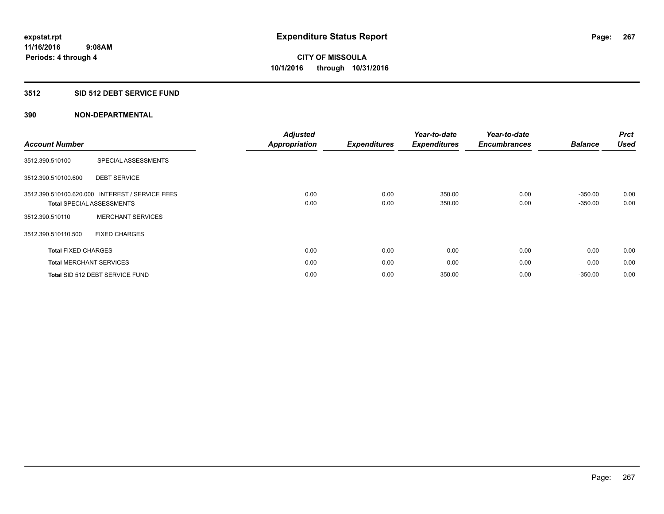## **3512 SID 512 DEBT SERVICE FUND**

|                                |                                  | <b>Adjusted</b>      |                     | Year-to-date        | Year-to-date        |                | <b>Prct</b> |
|--------------------------------|----------------------------------|----------------------|---------------------|---------------------|---------------------|----------------|-------------|
| <b>Account Number</b>          |                                  | <b>Appropriation</b> | <b>Expenditures</b> | <b>Expenditures</b> | <b>Encumbrances</b> | <b>Balance</b> | <b>Used</b> |
| 3512.390.510100                | SPECIAL ASSESSMENTS              |                      |                     |                     |                     |                |             |
| 3512.390.510100.600            | <b>DEBT SERVICE</b>              |                      |                     |                     |                     |                |             |
| 3512.390.510100.620.000        | <b>INTEREST / SERVICE FEES</b>   | 0.00                 | 0.00                | 350.00              | 0.00                | $-350.00$      | 0.00        |
|                                | <b>Total SPECIAL ASSESSMENTS</b> | 0.00                 | 0.00                | 350.00              | 0.00                | $-350.00$      | 0.00        |
| 3512.390.510110                | <b>MERCHANT SERVICES</b>         |                      |                     |                     |                     |                |             |
| 3512.390.510110.500            | <b>FIXED CHARGES</b>             |                      |                     |                     |                     |                |             |
| <b>Total FIXED CHARGES</b>     |                                  | 0.00                 | 0.00                | 0.00                | 0.00                | 0.00           | 0.00        |
| <b>Total MERCHANT SERVICES</b> |                                  | 0.00                 | 0.00                | 0.00                | 0.00                | 0.00           | 0.00        |
|                                | Total SID 512 DEBT SERVICE FUND  | 0.00                 | 0.00                | 350.00              | 0.00                | $-350.00$      | 0.00        |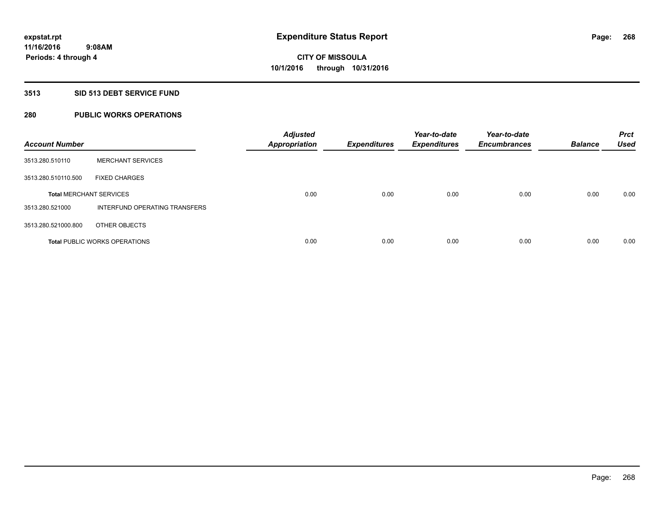## **3513 SID 513 DEBT SERVICE FUND**

## **280 PUBLIC WORKS OPERATIONS**

| <b>Account Number</b>          |                                      | <b>Adjusted</b><br><b>Appropriation</b> | <b>Expenditures</b> | Year-to-date<br><b>Expenditures</b> | Year-to-date<br><b>Encumbrances</b> | <b>Balance</b> | <b>Prct</b><br><b>Used</b> |
|--------------------------------|--------------------------------------|-----------------------------------------|---------------------|-------------------------------------|-------------------------------------|----------------|----------------------------|
| 3513.280.510110                | <b>MERCHANT SERVICES</b>             |                                         |                     |                                     |                                     |                |                            |
| 3513.280.510110.500            | <b>FIXED CHARGES</b>                 |                                         |                     |                                     |                                     |                |                            |
| <b>Total MERCHANT SERVICES</b> |                                      | 0.00                                    | 0.00                | 0.00                                | 0.00                                | 0.00           | 0.00                       |
| 3513.280.521000                | INTERFUND OPERATING TRANSFERS        |                                         |                     |                                     |                                     |                |                            |
| 3513.280.521000.800            | OTHER OBJECTS                        |                                         |                     |                                     |                                     |                |                            |
|                                | <b>Total PUBLIC WORKS OPERATIONS</b> | 0.00                                    | 0.00                | 0.00                                | 0.00                                | 0.00           | 0.00                       |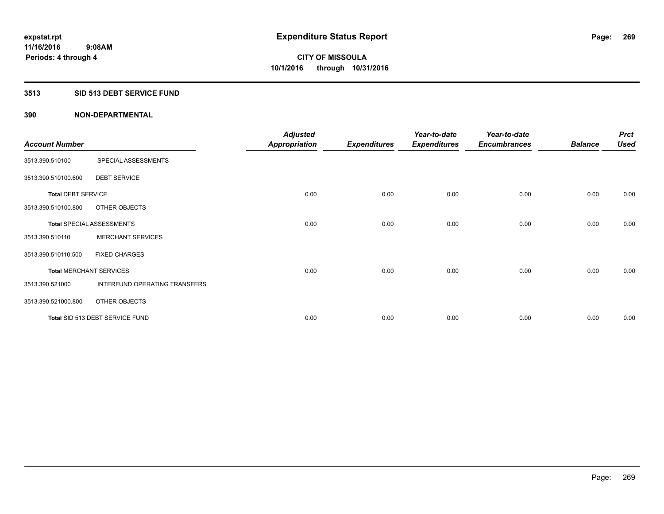### **3513 SID 513 DEBT SERVICE FUND**

|                                |                                  | <b>Adjusted</b>      |                     | Year-to-date        | Year-to-date        |                | <b>Prct</b> |
|--------------------------------|----------------------------------|----------------------|---------------------|---------------------|---------------------|----------------|-------------|
| <b>Account Number</b>          |                                  | <b>Appropriation</b> | <b>Expenditures</b> | <b>Expenditures</b> | <b>Encumbrances</b> | <b>Balance</b> | <b>Used</b> |
| 3513.390.510100                | SPECIAL ASSESSMENTS              |                      |                     |                     |                     |                |             |
| 3513.390.510100.600            | <b>DEBT SERVICE</b>              |                      |                     |                     |                     |                |             |
| <b>Total DEBT SERVICE</b>      |                                  | 0.00                 | 0.00                | 0.00                | 0.00                | 0.00           | 0.00        |
| 3513.390.510100.800            | OTHER OBJECTS                    |                      |                     |                     |                     |                |             |
|                                | <b>Total SPECIAL ASSESSMENTS</b> | 0.00                 | 0.00                | 0.00                | 0.00                | 0.00           | 0.00        |
| 3513.390.510110                | <b>MERCHANT SERVICES</b>         |                      |                     |                     |                     |                |             |
| 3513.390.510110.500            | <b>FIXED CHARGES</b>             |                      |                     |                     |                     |                |             |
| <b>Total MERCHANT SERVICES</b> |                                  | 0.00                 | 0.00                | 0.00                | 0.00                | 0.00           | 0.00        |
| 3513.390.521000                | INTERFUND OPERATING TRANSFERS    |                      |                     |                     |                     |                |             |
| 3513.390.521000.800            | OTHER OBJECTS                    |                      |                     |                     |                     |                |             |
|                                | Total SID 513 DEBT SERVICE FUND  | 0.00                 | 0.00                | 0.00                | 0.00                | 0.00           | 0.00        |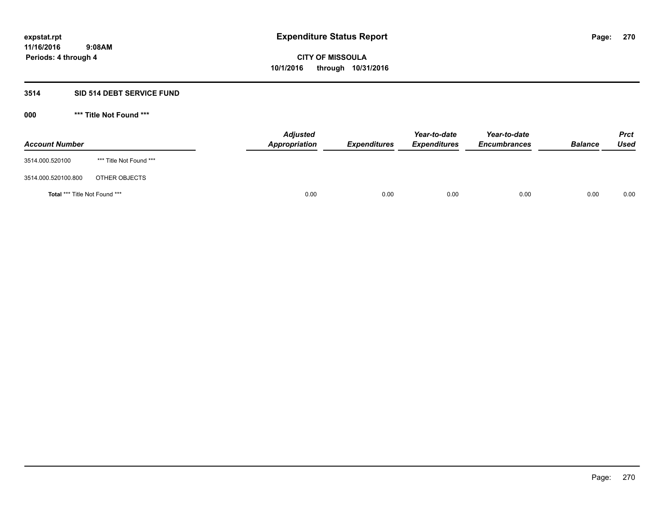### **3514 SID 514 DEBT SERVICE FUND**

| <b>Account Number</b>                |                         | <b>Adjusted</b><br><b>Appropriation</b> | <b>Expenditures</b> | Year-to-date<br><b>Expenditures</b> | Year-to-date<br><b>Encumbrances</b> | <b>Balance</b> | <b>Prct</b><br><b>Used</b> |
|--------------------------------------|-------------------------|-----------------------------------------|---------------------|-------------------------------------|-------------------------------------|----------------|----------------------------|
| 3514.000.520100                      | *** Title Not Found *** |                                         |                     |                                     |                                     |                |                            |
| 3514.000.520100.800                  | OTHER OBJECTS           |                                         |                     |                                     |                                     |                |                            |
| <b>Total *** Title Not Found ***</b> |                         | 0.00                                    | 0.00                | 0.00                                | 0.00                                | 0.00           | 0.00                       |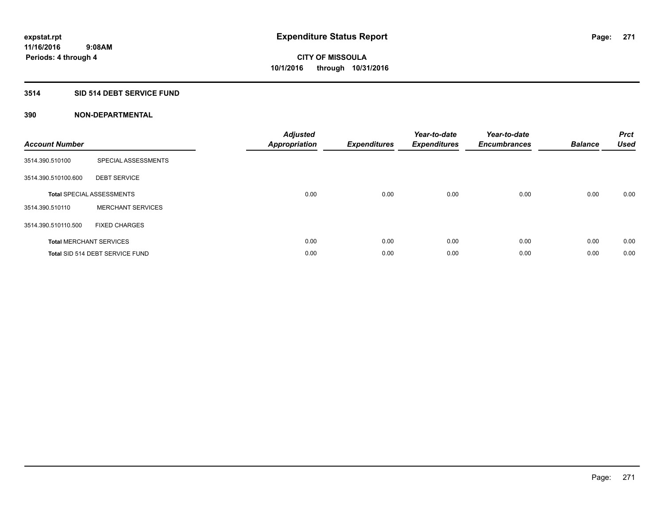## **3514 SID 514 DEBT SERVICE FUND**

| <b>Account Number</b> |                                  | <b>Adjusted</b><br>Appropriation | <b>Expenditures</b> | Year-to-date<br><b>Expenditures</b> | Year-to-date<br><b>Encumbrances</b> | <b>Balance</b> | <b>Prct</b><br><b>Used</b> |
|-----------------------|----------------------------------|----------------------------------|---------------------|-------------------------------------|-------------------------------------|----------------|----------------------------|
| 3514.390.510100       | SPECIAL ASSESSMENTS              |                                  |                     |                                     |                                     |                |                            |
| 3514.390.510100.600   | <b>DEBT SERVICE</b>              |                                  |                     |                                     |                                     |                |                            |
|                       | <b>Total SPECIAL ASSESSMENTS</b> | 0.00                             | 0.00                | 0.00                                | 0.00                                | 0.00           | 0.00                       |
| 3514.390.510110       | <b>MERCHANT SERVICES</b>         |                                  |                     |                                     |                                     |                |                            |
| 3514.390.510110.500   | <b>FIXED CHARGES</b>             |                                  |                     |                                     |                                     |                |                            |
|                       | <b>Total MERCHANT SERVICES</b>   | 0.00                             | 0.00                | 0.00                                | 0.00                                | 0.00           | 0.00                       |
|                       | Total SID 514 DEBT SERVICE FUND  | 0.00                             | 0.00                | 0.00                                | 0.00                                | 0.00           | 0.00                       |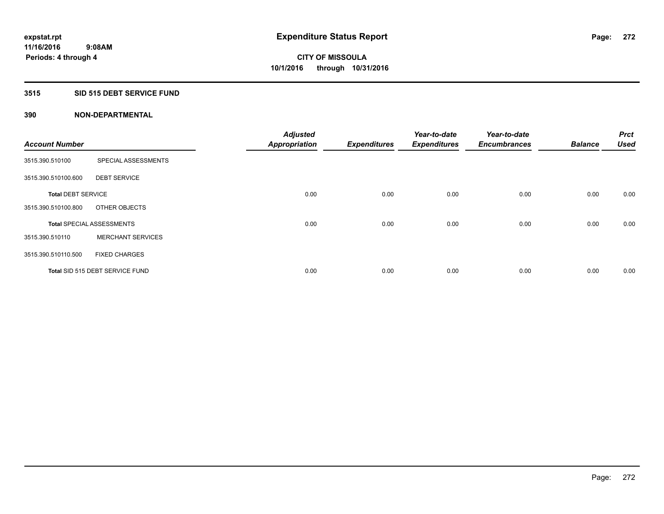## **3515 SID 515 DEBT SERVICE FUND**

| <b>Account Number</b>     |                                  | <b>Adjusted</b><br><b>Appropriation</b> | <b>Expenditures</b> | Year-to-date<br><b>Expenditures</b> | Year-to-date<br><b>Encumbrances</b> | <b>Balance</b> | <b>Prct</b><br><b>Used</b> |
|---------------------------|----------------------------------|-----------------------------------------|---------------------|-------------------------------------|-------------------------------------|----------------|----------------------------|
|                           |                                  |                                         |                     |                                     |                                     |                |                            |
| 3515.390.510100           | SPECIAL ASSESSMENTS              |                                         |                     |                                     |                                     |                |                            |
| 3515.390.510100.600       | <b>DEBT SERVICE</b>              |                                         |                     |                                     |                                     |                |                            |
| <b>Total DEBT SERVICE</b> |                                  | 0.00                                    | 0.00                | 0.00                                | 0.00                                | 0.00           | 0.00                       |
| 3515.390.510100.800       | OTHER OBJECTS                    |                                         |                     |                                     |                                     |                |                            |
|                           | <b>Total SPECIAL ASSESSMENTS</b> | 0.00                                    | 0.00                | 0.00                                | 0.00                                | 0.00           | 0.00                       |
| 3515.390.510110           | <b>MERCHANT SERVICES</b>         |                                         |                     |                                     |                                     |                |                            |
| 3515.390.510110.500       | <b>FIXED CHARGES</b>             |                                         |                     |                                     |                                     |                |                            |
|                           | Total SID 515 DEBT SERVICE FUND  | 0.00                                    | 0.00                | 0.00                                | 0.00                                | 0.00           | 0.00                       |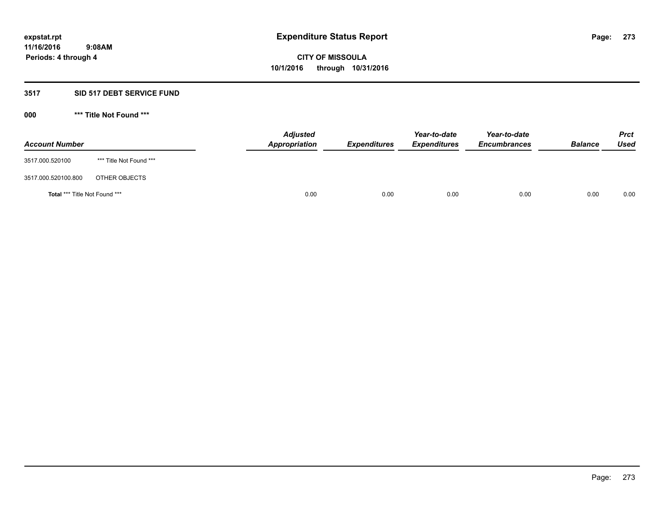### **3517 SID 517 DEBT SERVICE FUND**

| <b>Account Number</b>                |                         | <b>Adjusted</b><br>Appropriation | <b>Expenditures</b> | Year-to-date<br><b>Expenditures</b> | Year-to-date<br><b>Encumbrances</b> | <b>Balance</b> | <b>Prct</b><br>Used |
|--------------------------------------|-------------------------|----------------------------------|---------------------|-------------------------------------|-------------------------------------|----------------|---------------------|
| 3517.000.520100                      | *** Title Not Found *** |                                  |                     |                                     |                                     |                |                     |
| 3517.000.520100.800                  | OTHER OBJECTS           |                                  |                     |                                     |                                     |                |                     |
| <b>Total *** Title Not Found ***</b> |                         | 0.00                             | 0.00                | 0.00                                | 0.00                                | 0.00           | 0.00                |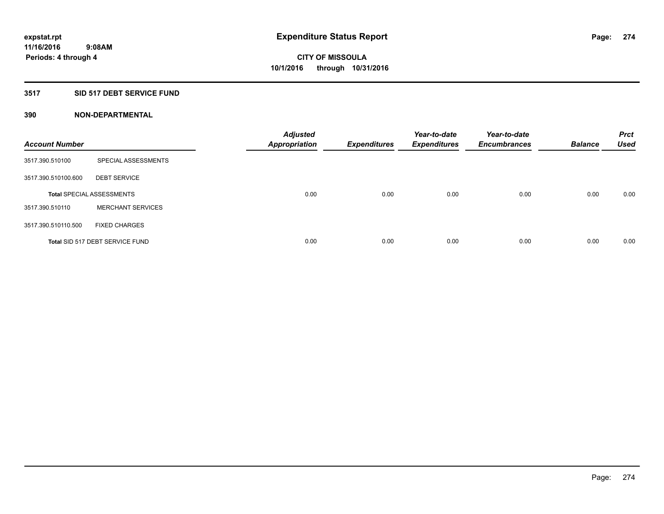## **3517 SID 517 DEBT SERVICE FUND**

| <b>Account Number</b> |                                  | <b>Adjusted</b><br><b>Appropriation</b> | <b>Expenditures</b> | Year-to-date<br><b>Expenditures</b> | Year-to-date<br><b>Encumbrances</b> | <b>Balance</b> | <b>Prct</b><br><b>Used</b> |
|-----------------------|----------------------------------|-----------------------------------------|---------------------|-------------------------------------|-------------------------------------|----------------|----------------------------|
| 3517.390.510100       | SPECIAL ASSESSMENTS              |                                         |                     |                                     |                                     |                |                            |
| 3517.390.510100.600   | <b>DEBT SERVICE</b>              |                                         |                     |                                     |                                     |                |                            |
|                       | <b>Total SPECIAL ASSESSMENTS</b> | 0.00                                    | 0.00                | 0.00                                | 0.00                                | 0.00           | 0.00                       |
| 3517.390.510110       | <b>MERCHANT SERVICES</b>         |                                         |                     |                                     |                                     |                |                            |
| 3517.390.510110.500   | <b>FIXED CHARGES</b>             |                                         |                     |                                     |                                     |                |                            |
|                       | Total SID 517 DEBT SERVICE FUND  | 0.00                                    | 0.00                | 0.00                                | 0.00                                | 0.00           | 0.00                       |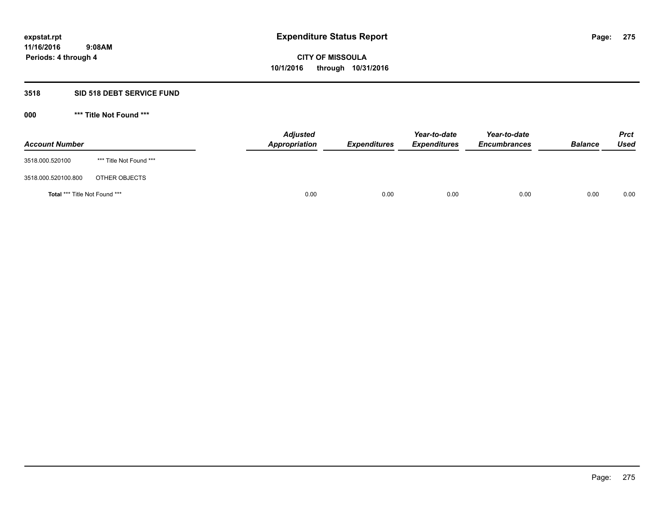### **3518 SID 518 DEBT SERVICE FUND**

| <b>Account Number</b>                |                         | <b>Adjusted</b><br>Appropriation | <b>Expenditures</b> | Year-to-date<br><b>Expenditures</b> | Year-to-date<br><b>Encumbrances</b> | <b>Balance</b> | <b>Prct</b><br><b>Used</b> |
|--------------------------------------|-------------------------|----------------------------------|---------------------|-------------------------------------|-------------------------------------|----------------|----------------------------|
| 3518.000.520100                      | *** Title Not Found *** |                                  |                     |                                     |                                     |                |                            |
| 3518.000.520100.800                  | OTHER OBJECTS           |                                  |                     |                                     |                                     |                |                            |
| <b>Total *** Title Not Found ***</b> |                         | 0.00                             | 0.00                | 0.00                                | 0.00                                | 0.00           | 0.00                       |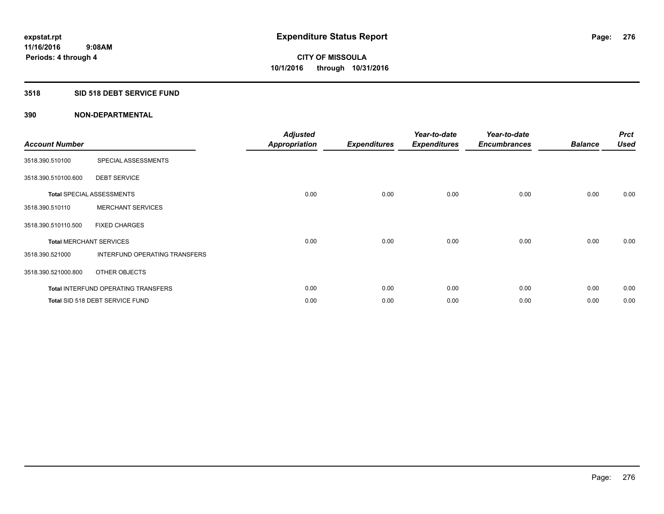## **3518 SID 518 DEBT SERVICE FUND**

| <b>Account Number</b> |                                            | <b>Adjusted</b><br><b>Appropriation</b> | <b>Expenditures</b> | Year-to-date<br><b>Expenditures</b> | Year-to-date<br><b>Encumbrances</b> | <b>Balance</b> | <b>Prct</b><br><b>Used</b> |
|-----------------------|--------------------------------------------|-----------------------------------------|---------------------|-------------------------------------|-------------------------------------|----------------|----------------------------|
| 3518.390.510100       | SPECIAL ASSESSMENTS                        |                                         |                     |                                     |                                     |                |                            |
| 3518.390.510100.600   | <b>DEBT SERVICE</b>                        |                                         |                     |                                     |                                     |                |                            |
|                       | <b>Total SPECIAL ASSESSMENTS</b>           | 0.00                                    | 0.00                | 0.00                                | 0.00                                | 0.00           | 0.00                       |
| 3518.390.510110       | <b>MERCHANT SERVICES</b>                   |                                         |                     |                                     |                                     |                |                            |
| 3518.390.510110.500   | <b>FIXED CHARGES</b>                       |                                         |                     |                                     |                                     |                |                            |
|                       | <b>Total MERCHANT SERVICES</b>             | 0.00                                    | 0.00                | 0.00                                | 0.00                                | 0.00           | 0.00                       |
| 3518.390.521000       | <b>INTERFUND OPERATING TRANSFERS</b>       |                                         |                     |                                     |                                     |                |                            |
| 3518.390.521000.800   | OTHER OBJECTS                              |                                         |                     |                                     |                                     |                |                            |
|                       | <b>Total INTERFUND OPERATING TRANSFERS</b> | 0.00                                    | 0.00                | 0.00                                | 0.00                                | 0.00           | 0.00                       |
|                       | Total SID 518 DEBT SERVICE FUND            | 0.00                                    | 0.00                | 0.00                                | 0.00                                | 0.00           | 0.00                       |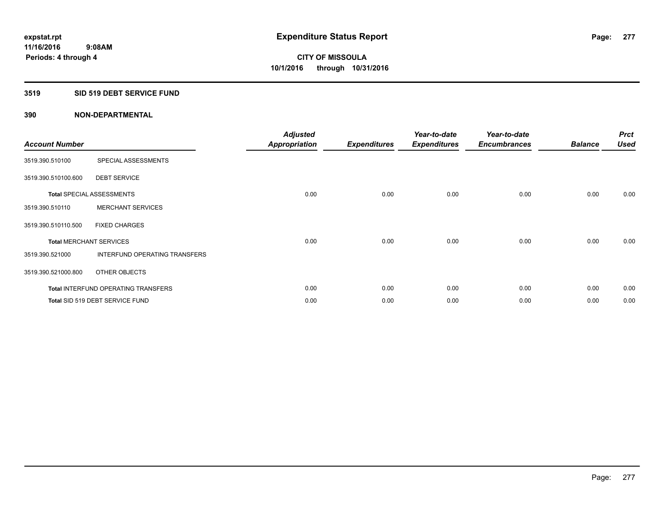## **3519 SID 519 DEBT SERVICE FUND**

| <b>Account Number</b>          |                                            | <b>Adjusted</b><br>Appropriation | <b>Expenditures</b> | Year-to-date<br><b>Expenditures</b> | Year-to-date<br><b>Encumbrances</b> | <b>Balance</b> | <b>Prct</b><br><b>Used</b> |
|--------------------------------|--------------------------------------------|----------------------------------|---------------------|-------------------------------------|-------------------------------------|----------------|----------------------------|
| 3519.390.510100                | SPECIAL ASSESSMENTS                        |                                  |                     |                                     |                                     |                |                            |
| 3519.390.510100.600            | <b>DEBT SERVICE</b>                        |                                  |                     |                                     |                                     |                |                            |
|                                | <b>Total SPECIAL ASSESSMENTS</b>           | 0.00                             | 0.00                | 0.00                                | 0.00                                | 0.00           | 0.00                       |
| 3519.390.510110                | <b>MERCHANT SERVICES</b>                   |                                  |                     |                                     |                                     |                |                            |
| 3519.390.510110.500            | <b>FIXED CHARGES</b>                       |                                  |                     |                                     |                                     |                |                            |
| <b>Total MERCHANT SERVICES</b> |                                            | 0.00                             | 0.00                | 0.00                                | 0.00                                | 0.00           | 0.00                       |
| 3519.390.521000                | INTERFUND OPERATING TRANSFERS              |                                  |                     |                                     |                                     |                |                            |
| 3519.390.521000.800            | OTHER OBJECTS                              |                                  |                     |                                     |                                     |                |                            |
|                                | <b>Total INTERFUND OPERATING TRANSFERS</b> | 0.00                             | 0.00                | 0.00                                | 0.00                                | 0.00           | 0.00                       |
|                                | Total SID 519 DEBT SERVICE FUND            | 0.00                             | 0.00                | 0.00                                | 0.00                                | 0.00           | 0.00                       |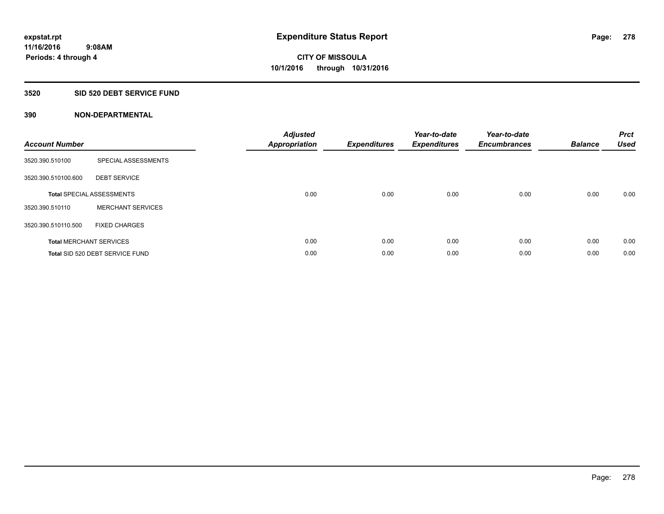## **3520 SID 520 DEBT SERVICE FUND**

| <b>Account Number</b> |                                  | <b>Adjusted</b><br>Appropriation | <b>Expenditures</b> | Year-to-date<br><b>Expenditures</b> | Year-to-date<br><b>Encumbrances</b> | <b>Balance</b> | <b>Prct</b><br><b>Used</b> |
|-----------------------|----------------------------------|----------------------------------|---------------------|-------------------------------------|-------------------------------------|----------------|----------------------------|
| 3520.390.510100       | SPECIAL ASSESSMENTS              |                                  |                     |                                     |                                     |                |                            |
| 3520.390.510100.600   | <b>DEBT SERVICE</b>              |                                  |                     |                                     |                                     |                |                            |
|                       | <b>Total SPECIAL ASSESSMENTS</b> | 0.00                             | 0.00                | 0.00                                | 0.00                                | 0.00           | 0.00                       |
| 3520.390.510110       | <b>MERCHANT SERVICES</b>         |                                  |                     |                                     |                                     |                |                            |
| 3520.390.510110.500   | <b>FIXED CHARGES</b>             |                                  |                     |                                     |                                     |                |                            |
|                       | <b>Total MERCHANT SERVICES</b>   | 0.00                             | 0.00                | 0.00                                | 0.00                                | 0.00           | 0.00                       |
|                       | Total SID 520 DEBT SERVICE FUND  | 0.00                             | 0.00                | 0.00                                | 0.00                                | 0.00           | 0.00                       |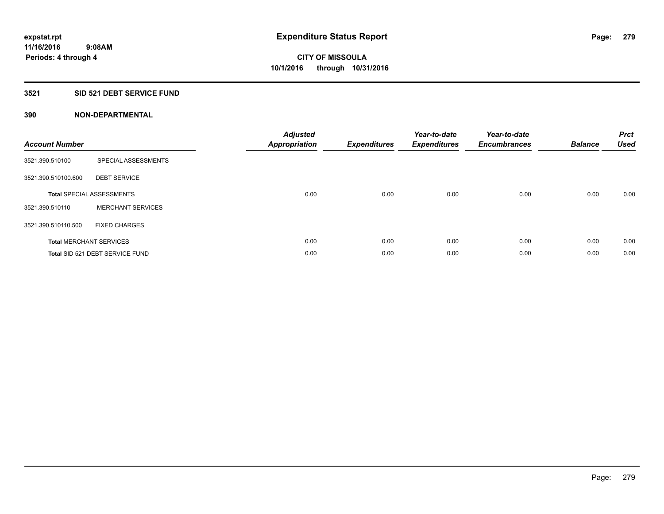## **3521 SID 521 DEBT SERVICE FUND**

| <b>Account Number</b> |                                  | <b>Adjusted</b><br>Appropriation | <b>Expenditures</b> | Year-to-date<br><b>Expenditures</b> | Year-to-date<br><b>Encumbrances</b> | <b>Balance</b> | <b>Prct</b><br><b>Used</b> |
|-----------------------|----------------------------------|----------------------------------|---------------------|-------------------------------------|-------------------------------------|----------------|----------------------------|
| 3521.390.510100       | SPECIAL ASSESSMENTS              |                                  |                     |                                     |                                     |                |                            |
| 3521.390.510100.600   | <b>DEBT SERVICE</b>              |                                  |                     |                                     |                                     |                |                            |
|                       | <b>Total SPECIAL ASSESSMENTS</b> | 0.00                             | 0.00                | 0.00                                | 0.00                                | 0.00           | 0.00                       |
| 3521.390.510110       | <b>MERCHANT SERVICES</b>         |                                  |                     |                                     |                                     |                |                            |
| 3521.390.510110.500   | <b>FIXED CHARGES</b>             |                                  |                     |                                     |                                     |                |                            |
|                       | <b>Total MERCHANT SERVICES</b>   | 0.00                             | 0.00                | 0.00                                | 0.00                                | 0.00           | 0.00                       |
|                       | Total SID 521 DEBT SERVICE FUND  | 0.00                             | 0.00                | 0.00                                | 0.00                                | 0.00           | 0.00                       |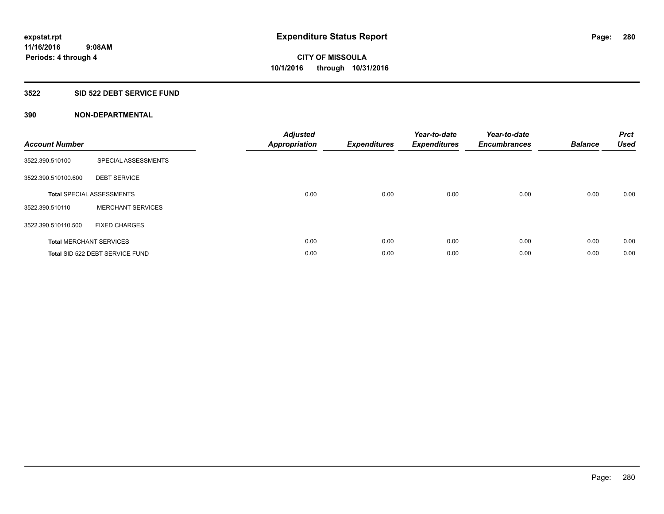## **3522 SID 522 DEBT SERVICE FUND**

| <b>Account Number</b> |                                  | <b>Adjusted</b><br>Appropriation | <b>Expenditures</b> | Year-to-date<br><b>Expenditures</b> | Year-to-date<br><b>Encumbrances</b> | <b>Balance</b> | <b>Prct</b><br><b>Used</b> |
|-----------------------|----------------------------------|----------------------------------|---------------------|-------------------------------------|-------------------------------------|----------------|----------------------------|
| 3522.390.510100       | SPECIAL ASSESSMENTS              |                                  |                     |                                     |                                     |                |                            |
| 3522.390.510100.600   | <b>DEBT SERVICE</b>              |                                  |                     |                                     |                                     |                |                            |
|                       | <b>Total SPECIAL ASSESSMENTS</b> | 0.00                             | 0.00                | 0.00                                | 0.00                                | 0.00           | 0.00                       |
| 3522.390.510110       | <b>MERCHANT SERVICES</b>         |                                  |                     |                                     |                                     |                |                            |
| 3522.390.510110.500   | <b>FIXED CHARGES</b>             |                                  |                     |                                     |                                     |                |                            |
|                       | <b>Total MERCHANT SERVICES</b>   | 0.00                             | 0.00                | 0.00                                | 0.00                                | 0.00           | 0.00                       |
|                       | Total SID 522 DEBT SERVICE FUND  | 0.00                             | 0.00                | 0.00                                | 0.00                                | 0.00           | 0.00                       |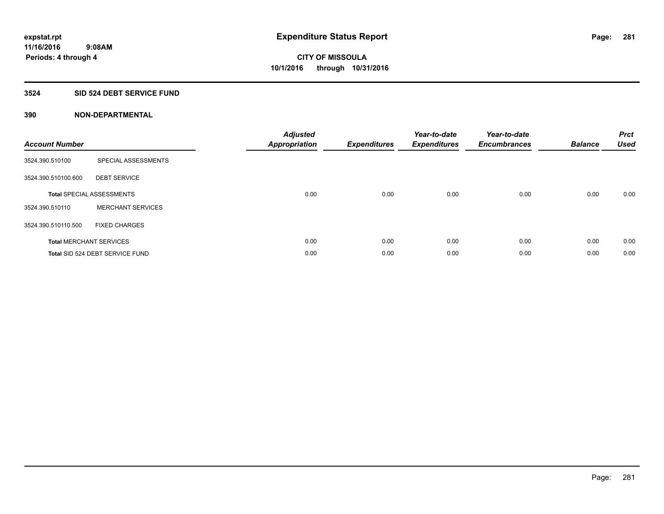## **3524 SID 524 DEBT SERVICE FUND**

| <b>Account Number</b> |                                  | <b>Adjusted</b><br>Appropriation | <b>Expenditures</b> | Year-to-date<br><b>Expenditures</b> | Year-to-date<br><b>Encumbrances</b> | <b>Balance</b> | <b>Prct</b><br><b>Used</b> |
|-----------------------|----------------------------------|----------------------------------|---------------------|-------------------------------------|-------------------------------------|----------------|----------------------------|
| 3524.390.510100       | SPECIAL ASSESSMENTS              |                                  |                     |                                     |                                     |                |                            |
| 3524.390.510100.600   | <b>DEBT SERVICE</b>              |                                  |                     |                                     |                                     |                |                            |
|                       | <b>Total SPECIAL ASSESSMENTS</b> | 0.00                             | 0.00                | 0.00                                | 0.00                                | 0.00           | 0.00                       |
| 3524.390.510110       | <b>MERCHANT SERVICES</b>         |                                  |                     |                                     |                                     |                |                            |
| 3524.390.510110.500   | <b>FIXED CHARGES</b>             |                                  |                     |                                     |                                     |                |                            |
|                       | <b>Total MERCHANT SERVICES</b>   | 0.00                             | 0.00                | 0.00                                | 0.00                                | 0.00           | 0.00                       |
|                       | Total SID 524 DEBT SERVICE FUND  | 0.00                             | 0.00                | 0.00                                | 0.00                                | 0.00           | 0.00                       |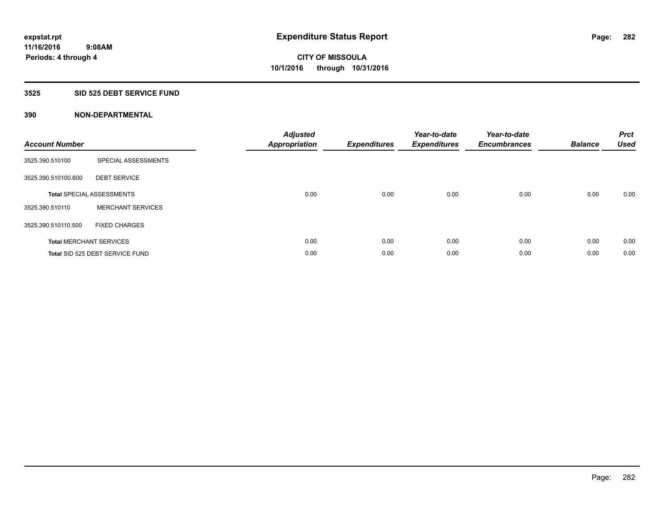## **3525 SID 525 DEBT SERVICE FUND**

| <b>Account Number</b> |                                  | <b>Adjusted</b><br>Appropriation | <b>Expenditures</b> | Year-to-date<br><b>Expenditures</b> | Year-to-date<br><b>Encumbrances</b> | <b>Balance</b> | <b>Prct</b><br><b>Used</b> |
|-----------------------|----------------------------------|----------------------------------|---------------------|-------------------------------------|-------------------------------------|----------------|----------------------------|
| 3525.390.510100       | SPECIAL ASSESSMENTS              |                                  |                     |                                     |                                     |                |                            |
| 3525.390.510100.600   | <b>DEBT SERVICE</b>              |                                  |                     |                                     |                                     |                |                            |
|                       | <b>Total SPECIAL ASSESSMENTS</b> | 0.00                             | 0.00                | 0.00                                | 0.00                                | 0.00           | 0.00                       |
| 3525.390.510110       | <b>MERCHANT SERVICES</b>         |                                  |                     |                                     |                                     |                |                            |
| 3525.390.510110.500   | <b>FIXED CHARGES</b>             |                                  |                     |                                     |                                     |                |                            |
|                       | <b>Total MERCHANT SERVICES</b>   | 0.00                             | 0.00                | 0.00                                | 0.00                                | 0.00           | 0.00                       |
|                       | Total SID 525 DEBT SERVICE FUND  | 0.00                             | 0.00                | 0.00                                | 0.00                                | 0.00           | 0.00                       |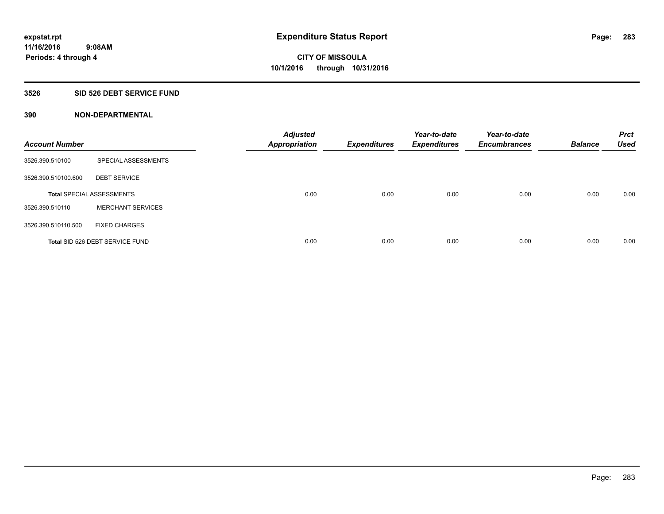## **3526 SID 526 DEBT SERVICE FUND**

| <b>Account Number</b> |                                  | <b>Adjusted</b><br><b>Appropriation</b> | <b>Expenditures</b> | Year-to-date<br><b>Expenditures</b> | Year-to-date<br><b>Encumbrances</b> | <b>Balance</b> | <b>Prct</b><br><b>Used</b> |
|-----------------------|----------------------------------|-----------------------------------------|---------------------|-------------------------------------|-------------------------------------|----------------|----------------------------|
| 3526.390.510100       | SPECIAL ASSESSMENTS              |                                         |                     |                                     |                                     |                |                            |
| 3526.390.510100.600   | <b>DEBT SERVICE</b>              |                                         |                     |                                     |                                     |                |                            |
|                       | <b>Total SPECIAL ASSESSMENTS</b> | 0.00                                    | 0.00                | 0.00                                | 0.00                                | 0.00           | 0.00                       |
| 3526.390.510110       | <b>MERCHANT SERVICES</b>         |                                         |                     |                                     |                                     |                |                            |
| 3526.390.510110.500   | <b>FIXED CHARGES</b>             |                                         |                     |                                     |                                     |                |                            |
|                       | Total SID 526 DEBT SERVICE FUND  | 0.00                                    | 0.00                | 0.00                                | 0.00                                | 0.00           | 0.00                       |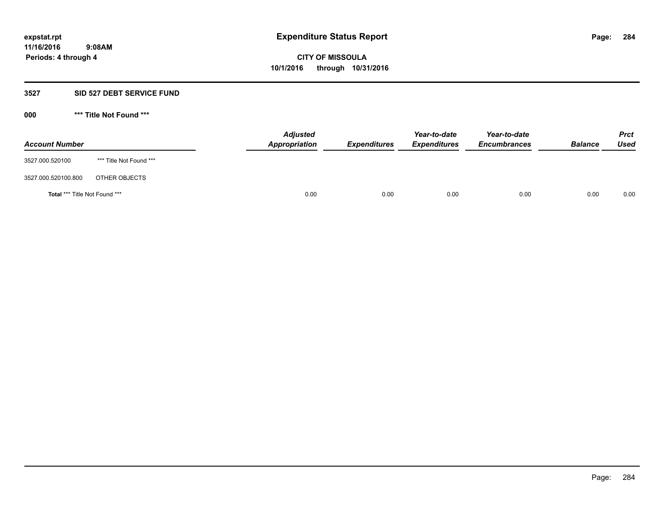### **3527 SID 527 DEBT SERVICE FUND**

| <b>Account Number</b>                |                         | <b>Adjusted</b><br>Appropriation | <b>Expenditures</b> | Year-to-date<br><b>Expenditures</b> | Year-to-date<br><b>Encumbrances</b> | <b>Balance</b> | <b>Prct</b><br>Used |
|--------------------------------------|-------------------------|----------------------------------|---------------------|-------------------------------------|-------------------------------------|----------------|---------------------|
| 3527.000.520100                      | *** Title Not Found *** |                                  |                     |                                     |                                     |                |                     |
| 3527.000.520100.800                  | OTHER OBJECTS           |                                  |                     |                                     |                                     |                |                     |
| <b>Total *** Title Not Found ***</b> |                         | 0.00                             | 0.00                | 0.00                                | 0.00                                | 0.00           | 0.00                |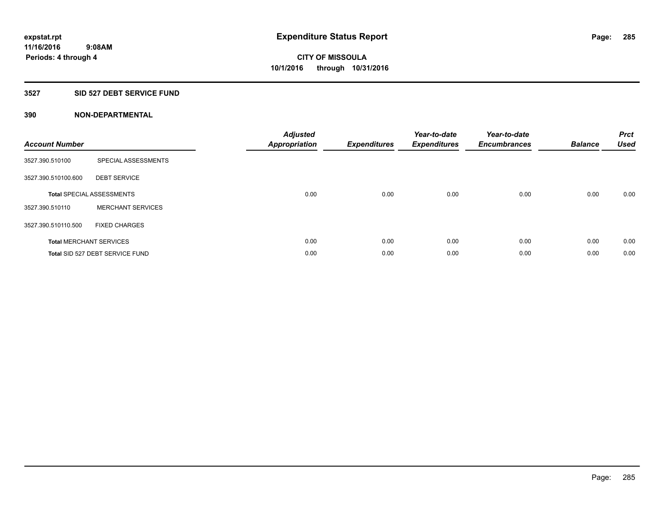## **3527 SID 527 DEBT SERVICE FUND**

| <b>Account Number</b> |                                  | <b>Adjusted</b><br>Appropriation | <b>Expenditures</b> | Year-to-date<br><b>Expenditures</b> | Year-to-date<br><b>Encumbrances</b> | <b>Balance</b> | <b>Prct</b><br><b>Used</b> |
|-----------------------|----------------------------------|----------------------------------|---------------------|-------------------------------------|-------------------------------------|----------------|----------------------------|
| 3527.390.510100       | SPECIAL ASSESSMENTS              |                                  |                     |                                     |                                     |                |                            |
| 3527.390.510100.600   | <b>DEBT SERVICE</b>              |                                  |                     |                                     |                                     |                |                            |
|                       | <b>Total SPECIAL ASSESSMENTS</b> | 0.00                             | 0.00                | 0.00                                | 0.00                                | 0.00           | 0.00                       |
| 3527.390.510110       | <b>MERCHANT SERVICES</b>         |                                  |                     |                                     |                                     |                |                            |
| 3527.390.510110.500   | <b>FIXED CHARGES</b>             |                                  |                     |                                     |                                     |                |                            |
|                       | <b>Total MERCHANT SERVICES</b>   | 0.00                             | 0.00                | 0.00                                | 0.00                                | 0.00           | 0.00                       |
|                       | Total SID 527 DEBT SERVICE FUND  | 0.00                             | 0.00                | 0.00                                | 0.00                                | 0.00           | 0.00                       |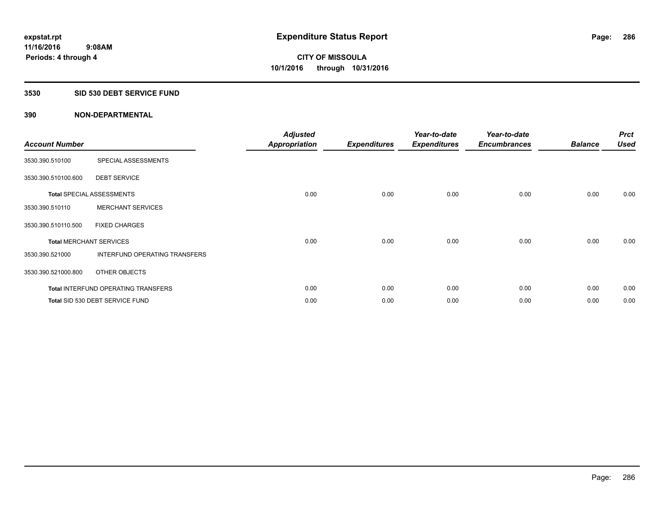### **3530 SID 530 DEBT SERVICE FUND**

| <b>Account Number</b> |                                            | <b>Adjusted</b><br>Appropriation | <b>Expenditures</b> | Year-to-date<br><b>Expenditures</b> | Year-to-date<br><b>Encumbrances</b> | <b>Balance</b> | <b>Prct</b><br><b>Used</b> |
|-----------------------|--------------------------------------------|----------------------------------|---------------------|-------------------------------------|-------------------------------------|----------------|----------------------------|
| 3530.390.510100       | SPECIAL ASSESSMENTS                        |                                  |                     |                                     |                                     |                |                            |
| 3530.390.510100.600   | <b>DEBT SERVICE</b>                        |                                  |                     |                                     |                                     |                |                            |
|                       | <b>Total SPECIAL ASSESSMENTS</b>           | 0.00                             | 0.00                | 0.00                                | 0.00                                | 0.00           | 0.00                       |
| 3530.390.510110       | <b>MERCHANT SERVICES</b>                   |                                  |                     |                                     |                                     |                |                            |
| 3530.390.510110.500   | <b>FIXED CHARGES</b>                       |                                  |                     |                                     |                                     |                |                            |
|                       | <b>Total MERCHANT SERVICES</b>             | 0.00                             | 0.00                | 0.00                                | 0.00                                | 0.00           | 0.00                       |
| 3530.390.521000       | <b>INTERFUND OPERATING TRANSFERS</b>       |                                  |                     |                                     |                                     |                |                            |
| 3530.390.521000.800   | OTHER OBJECTS                              |                                  |                     |                                     |                                     |                |                            |
|                       | <b>Total INTERFUND OPERATING TRANSFERS</b> | 0.00                             | 0.00                | 0.00                                | 0.00                                | 0.00           | 0.00                       |
|                       | Total SID 530 DEBT SERVICE FUND            | 0.00                             | 0.00                | 0.00                                | 0.00                                | 0.00           | 0.00                       |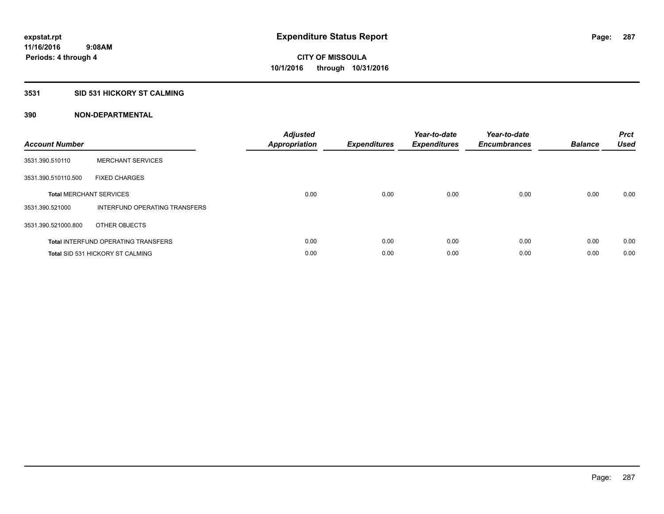## **3531 SID 531 HICKORY ST CALMING**

| <b>Account Number</b> |                                            | <b>Adjusted</b><br><b>Appropriation</b> | <b>Expenditures</b> | Year-to-date<br><b>Expenditures</b> | Year-to-date<br><b>Encumbrances</b> | <b>Balance</b> | <b>Prct</b><br><b>Used</b> |
|-----------------------|--------------------------------------------|-----------------------------------------|---------------------|-------------------------------------|-------------------------------------|----------------|----------------------------|
| 3531.390.510110       | <b>MERCHANT SERVICES</b>                   |                                         |                     |                                     |                                     |                |                            |
| 3531.390.510110.500   | <b>FIXED CHARGES</b>                       |                                         |                     |                                     |                                     |                |                            |
|                       | <b>Total MERCHANT SERVICES</b>             | 0.00                                    | 0.00                | 0.00                                | 0.00                                | 0.00           | 0.00                       |
| 3531.390.521000       | INTERFUND OPERATING TRANSFERS              |                                         |                     |                                     |                                     |                |                            |
| 3531.390.521000.800   | OTHER OBJECTS                              |                                         |                     |                                     |                                     |                |                            |
|                       | <b>Total INTERFUND OPERATING TRANSFERS</b> | 0.00                                    | 0.00                | 0.00                                | 0.00                                | 0.00           | 0.00                       |
|                       | <b>Total SID 531 HICKORY ST CALMING</b>    | 0.00                                    | 0.00                | 0.00                                | 0.00                                | 0.00           | 0.00                       |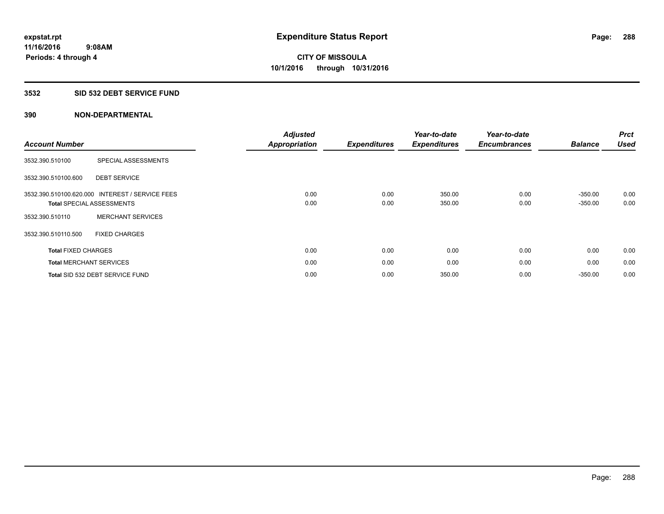## **3532 SID 532 DEBT SERVICE FUND**

| <b>Account Number</b>          |                                  | <b>Adjusted</b><br>Appropriation | <b>Expenditures</b> | Year-to-date<br><b>Expenditures</b> | Year-to-date<br><b>Encumbrances</b> | <b>Balance</b> | <b>Prct</b><br><b>Used</b> |
|--------------------------------|----------------------------------|----------------------------------|---------------------|-------------------------------------|-------------------------------------|----------------|----------------------------|
| 3532.390.510100                | SPECIAL ASSESSMENTS              |                                  |                     |                                     |                                     |                |                            |
|                                |                                  |                                  |                     |                                     |                                     |                |                            |
| 3532.390.510100.600            | <b>DEBT SERVICE</b>              |                                  |                     |                                     |                                     |                |                            |
| 3532.390.510100.620.000        | <b>INTEREST / SERVICE FEES</b>   | 0.00                             | 0.00                | 350.00                              | 0.00                                | $-350.00$      | 0.00                       |
|                                | <b>Total SPECIAL ASSESSMENTS</b> | 0.00                             | 0.00                | 350.00                              | 0.00                                | $-350.00$      | 0.00                       |
| 3532.390.510110                | <b>MERCHANT SERVICES</b>         |                                  |                     |                                     |                                     |                |                            |
| 3532.390.510110.500            | <b>FIXED CHARGES</b>             |                                  |                     |                                     |                                     |                |                            |
| <b>Total FIXED CHARGES</b>     |                                  | 0.00                             | 0.00                | 0.00                                | 0.00                                | 0.00           | 0.00                       |
| <b>Total MERCHANT SERVICES</b> |                                  | 0.00                             | 0.00                | 0.00                                | 0.00                                | 0.00           | 0.00                       |
|                                | Total SID 532 DEBT SERVICE FUND  | 0.00                             | 0.00                | 350.00                              | 0.00                                | $-350.00$      | 0.00                       |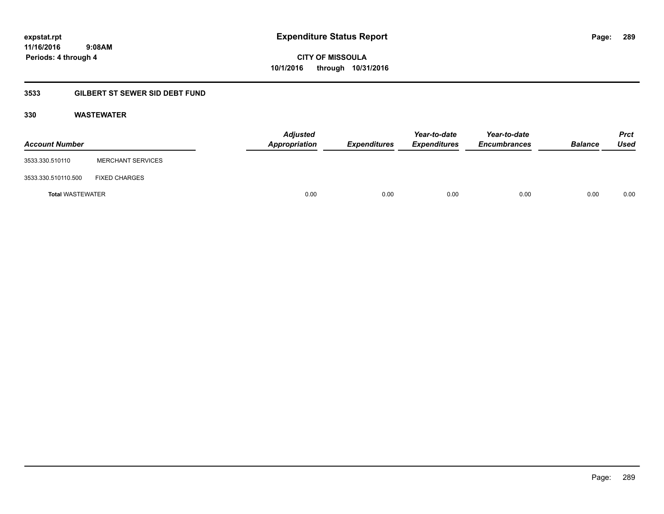## **11/16/2016 9:08AM Periods: 4 through 4**

**CITY OF MISSOULA 10/1/2016 through 10/31/2016**

## **3533 GILBERT ST SEWER SID DEBT FUND**

#### **330 WASTEWATER**

| <b>Account Number</b>   |                          | <b>Adjusted</b><br>Appropriation | Expenditures | Year-to-date<br><b>Expenditures</b> | Year-to-date<br><b>Encumbrances</b> | <b>Balance</b> | <b>Prct</b><br>Used |
|-------------------------|--------------------------|----------------------------------|--------------|-------------------------------------|-------------------------------------|----------------|---------------------|
| 3533.330.510110         | <b>MERCHANT SERVICES</b> |                                  |              |                                     |                                     |                |                     |
| 3533.330.510110.500     | <b>FIXED CHARGES</b>     |                                  |              |                                     |                                     |                |                     |
| <b>Total WASTEWATER</b> |                          | 0.00                             | 0.00         | 0.00                                | 0.00                                | 0.00           | 0.00                |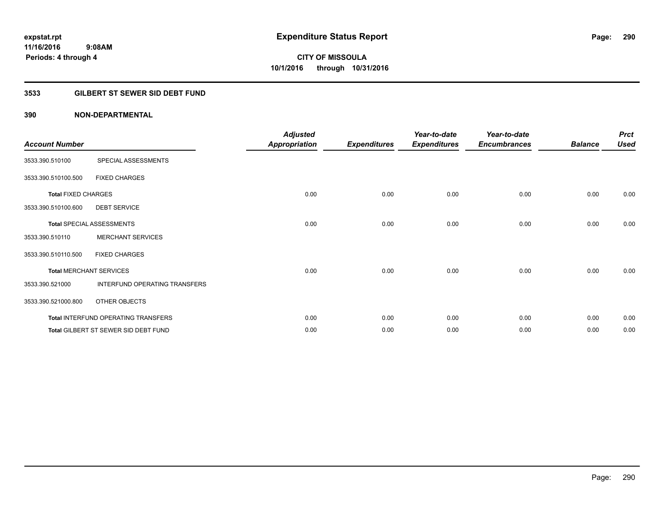### **3533 GILBERT ST SEWER SID DEBT FUND**

| <b>Account Number</b>      |                                      | <b>Adjusted</b><br><b>Appropriation</b> | <b>Expenditures</b> | Year-to-date<br><b>Expenditures</b> | Year-to-date<br><b>Encumbrances</b> | <b>Balance</b> | <b>Prct</b><br><b>Used</b> |
|----------------------------|--------------------------------------|-----------------------------------------|---------------------|-------------------------------------|-------------------------------------|----------------|----------------------------|
| 3533.390.510100            | SPECIAL ASSESSMENTS                  |                                         |                     |                                     |                                     |                |                            |
| 3533.390.510100.500        | <b>FIXED CHARGES</b>                 |                                         |                     |                                     |                                     |                |                            |
| <b>Total FIXED CHARGES</b> |                                      | 0.00                                    | 0.00                | 0.00                                | 0.00                                | 0.00           | 0.00                       |
| 3533.390.510100.600        | <b>DEBT SERVICE</b>                  |                                         |                     |                                     |                                     |                |                            |
|                            | <b>Total SPECIAL ASSESSMENTS</b>     | 0.00                                    | 0.00                | 0.00                                | 0.00                                | 0.00           | 0.00                       |
| 3533.390.510110            | <b>MERCHANT SERVICES</b>             |                                         |                     |                                     |                                     |                |                            |
| 3533.390.510110.500        | <b>FIXED CHARGES</b>                 |                                         |                     |                                     |                                     |                |                            |
|                            | <b>Total MERCHANT SERVICES</b>       | 0.00                                    | 0.00                | 0.00                                | 0.00                                | 0.00           | 0.00                       |
| 3533.390.521000            | INTERFUND OPERATING TRANSFERS        |                                         |                     |                                     |                                     |                |                            |
| 3533.390.521000.800        | OTHER OBJECTS                        |                                         |                     |                                     |                                     |                |                            |
|                            | Total INTERFUND OPERATING TRANSFERS  | 0.00                                    | 0.00                | 0.00                                | 0.00                                | 0.00           | 0.00                       |
|                            | Total GILBERT ST SEWER SID DEBT FUND | 0.00                                    | 0.00                | 0.00                                | 0.00                                | 0.00           | 0.00                       |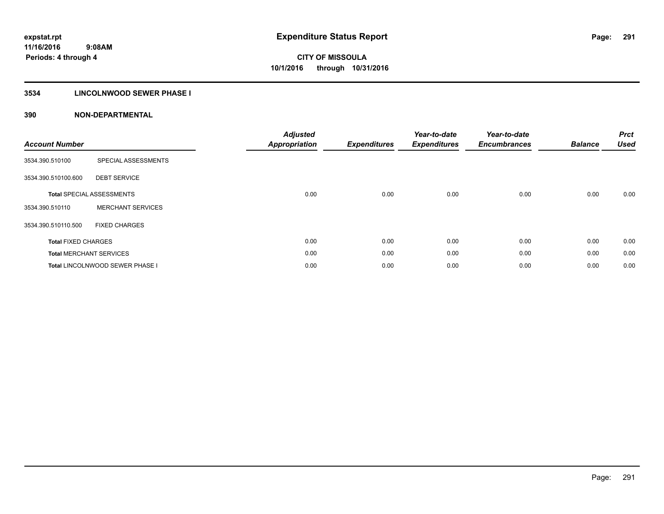## **3534 LINCOLNWOOD SEWER PHASE I**

| <b>Account Number</b>      |                                  | <b>Adjusted</b><br><b>Appropriation</b> | <b>Expenditures</b> | Year-to-date<br><b>Expenditures</b> | Year-to-date<br><b>Encumbrances</b> | <b>Balance</b> | <b>Prct</b><br><b>Used</b> |
|----------------------------|----------------------------------|-----------------------------------------|---------------------|-------------------------------------|-------------------------------------|----------------|----------------------------|
| 3534.390.510100            | SPECIAL ASSESSMENTS              |                                         |                     |                                     |                                     |                |                            |
| 3534.390.510100.600        | <b>DEBT SERVICE</b>              |                                         |                     |                                     |                                     |                |                            |
|                            | <b>Total SPECIAL ASSESSMENTS</b> | 0.00                                    | 0.00                | 0.00                                | 0.00                                | 0.00           | 0.00                       |
| 3534.390.510110            | <b>MERCHANT SERVICES</b>         |                                         |                     |                                     |                                     |                |                            |
| 3534.390.510110.500        | <b>FIXED CHARGES</b>             |                                         |                     |                                     |                                     |                |                            |
| <b>Total FIXED CHARGES</b> |                                  | 0.00                                    | 0.00                | 0.00                                | 0.00                                | 0.00           | 0.00                       |
|                            | <b>Total MERCHANT SERVICES</b>   | 0.00                                    | 0.00                | 0.00                                | 0.00                                | 0.00           | 0.00                       |
|                            | Total LINCOLNWOOD SEWER PHASE I  | 0.00                                    | 0.00                | 0.00                                | 0.00                                | 0.00           | 0.00                       |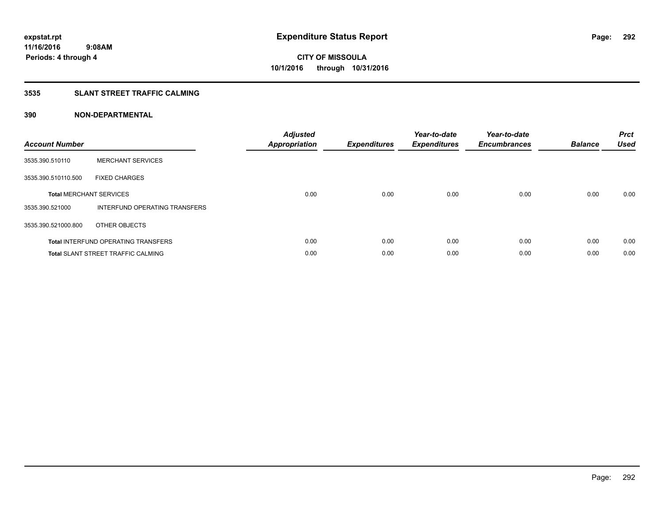## **3535 SLANT STREET TRAFFIC CALMING**

| <b>Account Number</b> |                                            | <b>Adjusted</b><br>Appropriation | <b>Expenditures</b> | Year-to-date<br><b>Expenditures</b> | Year-to-date<br><b>Encumbrances</b> | <b>Balance</b> | <b>Prct</b><br><b>Used</b> |
|-----------------------|--------------------------------------------|----------------------------------|---------------------|-------------------------------------|-------------------------------------|----------------|----------------------------|
| 3535.390.510110       | <b>MERCHANT SERVICES</b>                   |                                  |                     |                                     |                                     |                |                            |
| 3535.390.510110.500   | <b>FIXED CHARGES</b>                       |                                  |                     |                                     |                                     |                |                            |
|                       | <b>Total MERCHANT SERVICES</b>             | 0.00                             | 0.00                | 0.00                                | 0.00                                | 0.00           | 0.00                       |
| 3535.390.521000       | INTERFUND OPERATING TRANSFERS              |                                  |                     |                                     |                                     |                |                            |
| 3535.390.521000.800   | OTHER OBJECTS                              |                                  |                     |                                     |                                     |                |                            |
|                       | <b>Total INTERFUND OPERATING TRANSFERS</b> | 0.00                             | 0.00                | 0.00                                | 0.00                                | 0.00           | 0.00                       |
|                       | <b>Total SLANT STREET TRAFFIC CALMING</b>  | 0.00                             | 0.00                | 0.00                                | 0.00                                | 0.00           | 0.00                       |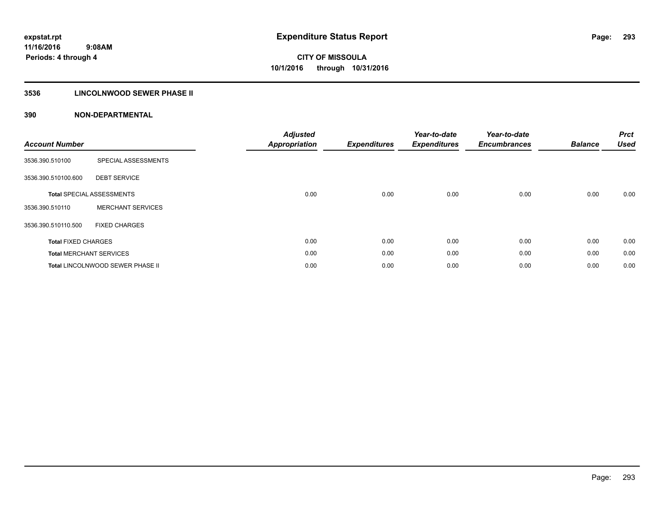## **3536 LINCOLNWOOD SEWER PHASE II**

| <b>Account Number</b>      |                                  | <b>Adjusted</b><br><b>Appropriation</b> | <b>Expenditures</b> | Year-to-date<br><b>Expenditures</b> | Year-to-date<br><b>Encumbrances</b> | <b>Balance</b> | <b>Prct</b><br><b>Used</b> |
|----------------------------|----------------------------------|-----------------------------------------|---------------------|-------------------------------------|-------------------------------------|----------------|----------------------------|
| 3536.390.510100            | SPECIAL ASSESSMENTS              |                                         |                     |                                     |                                     |                |                            |
| 3536.390.510100.600        | <b>DEBT SERVICE</b>              |                                         |                     |                                     |                                     |                |                            |
|                            | <b>Total SPECIAL ASSESSMENTS</b> | 0.00                                    | 0.00                | 0.00                                | 0.00                                | 0.00           | 0.00                       |
| 3536.390.510110            | <b>MERCHANT SERVICES</b>         |                                         |                     |                                     |                                     |                |                            |
| 3536.390.510110.500        | <b>FIXED CHARGES</b>             |                                         |                     |                                     |                                     |                |                            |
| <b>Total FIXED CHARGES</b> |                                  | 0.00                                    | 0.00                | 0.00                                | 0.00                                | 0.00           | 0.00                       |
|                            | <b>Total MERCHANT SERVICES</b>   | 0.00                                    | 0.00                | 0.00                                | 0.00                                | 0.00           | 0.00                       |
|                            | Total LINCOLNWOOD SEWER PHASE II | 0.00                                    | 0.00                | 0.00                                | 0.00                                | 0.00           | 0.00                       |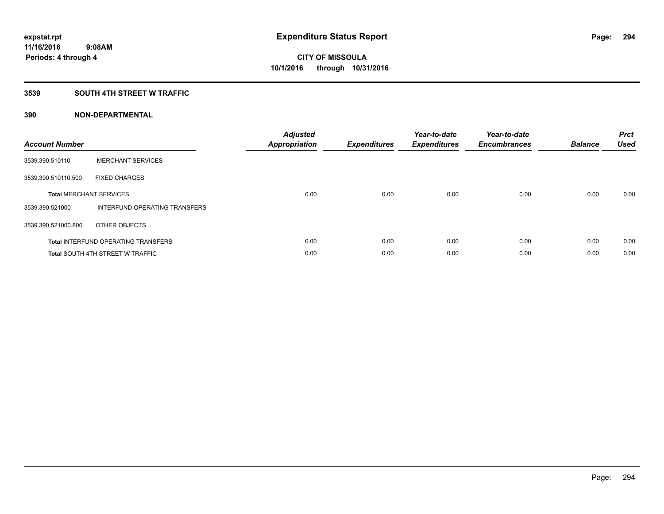### **3539 SOUTH 4TH STREET W TRAFFIC**

| <b>Account Number</b> |                                            | <b>Adjusted</b><br><b>Appropriation</b> | <b>Expenditures</b> | Year-to-date<br><b>Expenditures</b> | Year-to-date<br><b>Encumbrances</b> | <b>Balance</b> | <b>Prct</b><br><b>Used</b> |
|-----------------------|--------------------------------------------|-----------------------------------------|---------------------|-------------------------------------|-------------------------------------|----------------|----------------------------|
| 3539.390.510110       | <b>MERCHANT SERVICES</b>                   |                                         |                     |                                     |                                     |                |                            |
| 3539.390.510110.500   | <b>FIXED CHARGES</b>                       |                                         |                     |                                     |                                     |                |                            |
|                       | <b>Total MERCHANT SERVICES</b>             | 0.00                                    | 0.00                | 0.00                                | 0.00                                | 0.00           | 0.00                       |
| 3539.390.521000       | INTERFUND OPERATING TRANSFERS              |                                         |                     |                                     |                                     |                |                            |
| 3539.390.521000.800   | OTHER OBJECTS                              |                                         |                     |                                     |                                     |                |                            |
|                       | <b>Total INTERFUND OPERATING TRANSFERS</b> | 0.00                                    | 0.00                | 0.00                                | 0.00                                | 0.00           | 0.00                       |
|                       | <b>Total SOUTH 4TH STREET W TRAFFIC</b>    | 0.00                                    | 0.00                | 0.00                                | 0.00                                | 0.00           | 0.00                       |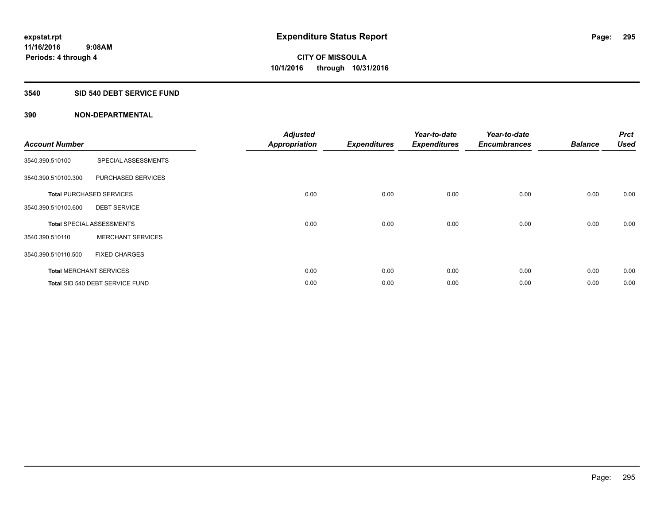#### **3540 SID 540 DEBT SERVICE FUND**

| <b>Account Number</b> |                                  | <b>Adjusted</b><br><b>Appropriation</b> | <b>Expenditures</b> | Year-to-date<br><b>Expenditures</b> | Year-to-date<br><b>Encumbrances</b> | <b>Balance</b> | <b>Prct</b><br><b>Used</b> |
|-----------------------|----------------------------------|-----------------------------------------|---------------------|-------------------------------------|-------------------------------------|----------------|----------------------------|
| 3540.390.510100       | SPECIAL ASSESSMENTS              |                                         |                     |                                     |                                     |                |                            |
| 3540.390.510100.300   | PURCHASED SERVICES               |                                         |                     |                                     |                                     |                |                            |
|                       | <b>Total PURCHASED SERVICES</b>  | 0.00                                    | 0.00                | 0.00                                | 0.00                                | 0.00           | 0.00                       |
| 3540.390.510100.600   | <b>DEBT SERVICE</b>              |                                         |                     |                                     |                                     |                |                            |
|                       | <b>Total SPECIAL ASSESSMENTS</b> | 0.00                                    | 0.00                | 0.00                                | 0.00                                | 0.00           | 0.00                       |
| 3540.390.510110       | <b>MERCHANT SERVICES</b>         |                                         |                     |                                     |                                     |                |                            |
| 3540.390.510110.500   | <b>FIXED CHARGES</b>             |                                         |                     |                                     |                                     |                |                            |
|                       | <b>Total MERCHANT SERVICES</b>   | 0.00                                    | 0.00                | 0.00                                | 0.00                                | 0.00           | 0.00                       |
|                       | Total SID 540 DEBT SERVICE FUND  | 0.00                                    | 0.00                | 0.00                                | 0.00                                | 0.00           | 0.00                       |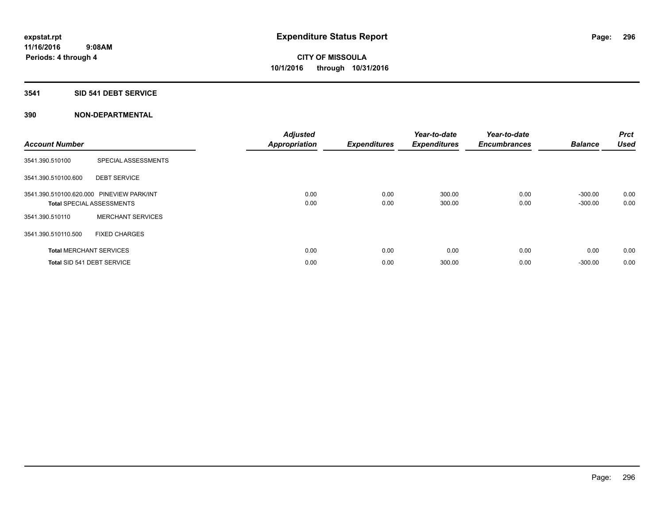## **3541 SID 541 DEBT SERVICE**

| <b>Account Number</b> |                                                                               | <b>Adjusted</b><br><b>Appropriation</b> | <b>Expenditures</b> | Year-to-date<br><b>Expenditures</b> | Year-to-date<br><b>Encumbrances</b> | <b>Balance</b>         | <b>Prct</b><br><b>Used</b> |
|-----------------------|-------------------------------------------------------------------------------|-----------------------------------------|---------------------|-------------------------------------|-------------------------------------|------------------------|----------------------------|
| 3541.390.510100       | SPECIAL ASSESSMENTS                                                           |                                         |                     |                                     |                                     |                        |                            |
| 3541.390.510100.600   | <b>DEBT SERVICE</b>                                                           |                                         |                     |                                     |                                     |                        |                            |
|                       | 3541.390.510100.620.000 PINEVIEW PARK/INT<br><b>Total SPECIAL ASSESSMENTS</b> | 0.00<br>0.00                            | 0.00<br>0.00        | 300.00<br>300.00                    | 0.00<br>0.00                        | $-300.00$<br>$-300.00$ | 0.00<br>0.00               |
| 3541.390.510110       | <b>MERCHANT SERVICES</b>                                                      |                                         |                     |                                     |                                     |                        |                            |
| 3541.390.510110.500   | <b>FIXED CHARGES</b>                                                          |                                         |                     |                                     |                                     |                        |                            |
|                       | <b>Total MERCHANT SERVICES</b>                                                | 0.00                                    | 0.00                | 0.00                                | 0.00                                | 0.00                   | 0.00                       |
|                       | Total SID 541 DEBT SERVICE                                                    | 0.00                                    | 0.00                | 300.00                              | 0.00                                | $-300.00$              | 0.00                       |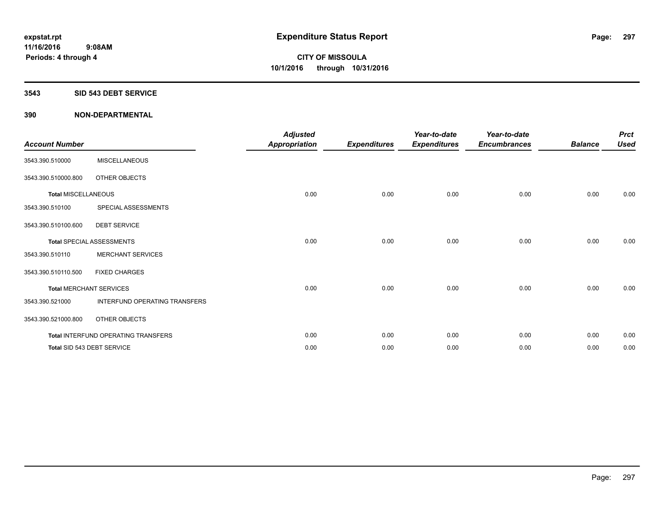#### **3543 SID 543 DEBT SERVICE**

| <b>Account Number</b>      |                                     | <b>Adjusted</b><br><b>Appropriation</b> | <b>Expenditures</b> | Year-to-date<br><b>Expenditures</b> | Year-to-date<br><b>Encumbrances</b> | <b>Balance</b> | <b>Prct</b><br><b>Used</b> |
|----------------------------|-------------------------------------|-----------------------------------------|---------------------|-------------------------------------|-------------------------------------|----------------|----------------------------|
| 3543.390.510000            | <b>MISCELLANEOUS</b>                |                                         |                     |                                     |                                     |                |                            |
| 3543.390.510000.800        | OTHER OBJECTS                       |                                         |                     |                                     |                                     |                |                            |
| <b>Total MISCELLANEOUS</b> |                                     | 0.00                                    | 0.00                | 0.00                                | 0.00                                | 0.00           | 0.00                       |
| 3543.390.510100            | SPECIAL ASSESSMENTS                 |                                         |                     |                                     |                                     |                |                            |
| 3543.390.510100.600        | <b>DEBT SERVICE</b>                 |                                         |                     |                                     |                                     |                |                            |
|                            | <b>Total SPECIAL ASSESSMENTS</b>    | 0.00                                    | 0.00                | 0.00                                | 0.00                                | 0.00           | 0.00                       |
| 3543.390.510110            | <b>MERCHANT SERVICES</b>            |                                         |                     |                                     |                                     |                |                            |
| 3543.390.510110.500        | <b>FIXED CHARGES</b>                |                                         |                     |                                     |                                     |                |                            |
|                            | <b>Total MERCHANT SERVICES</b>      | 0.00                                    | 0.00                | 0.00                                | 0.00                                | 0.00           | 0.00                       |
| 3543.390.521000            | INTERFUND OPERATING TRANSFERS       |                                         |                     |                                     |                                     |                |                            |
| 3543.390.521000.800        | OTHER OBJECTS                       |                                         |                     |                                     |                                     |                |                            |
|                            | Total INTERFUND OPERATING TRANSFERS | 0.00                                    | 0.00                | 0.00                                | 0.00                                | 0.00           | 0.00                       |
|                            | Total SID 543 DEBT SERVICE          | 0.00                                    | 0.00                | 0.00                                | 0.00                                | 0.00           | 0.00                       |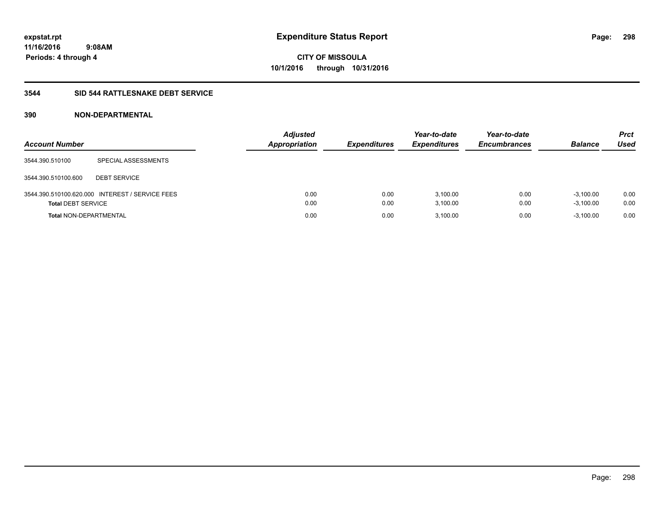### **3544 SID 544 RATTLESNAKE DEBT SERVICE**

| <b>Account Number</b>         |                                                 | <b>Adjusted</b><br><b>Appropriation</b> | <b>Expenditures</b> | Year-to-date<br><b>Expenditures</b> | Year-to-date<br><b>Encumbrances</b> | <b>Balance</b>             | Prct<br>Used |
|-------------------------------|-------------------------------------------------|-----------------------------------------|---------------------|-------------------------------------|-------------------------------------|----------------------------|--------------|
| 3544.390.510100               | SPECIAL ASSESSMENTS                             |                                         |                     |                                     |                                     |                            |              |
| 3544.390.510100.600           | <b>DEBT SERVICE</b>                             |                                         |                     |                                     |                                     |                            |              |
| <b>Total DEBT SERVICE</b>     | 3544.390.510100.620.000 INTEREST / SERVICE FEES | 0.00<br>0.00                            | 0.00<br>0.00        | 3.100.00<br>3,100.00                | 0.00<br>0.00                        | $-3.100.00$<br>$-3,100.00$ | 0.00<br>0.00 |
| <b>Total NON-DEPARTMENTAL</b> |                                                 | 0.00                                    | 0.00                | 3.100.00                            | 0.00                                | $-3,100.00$                | 0.00         |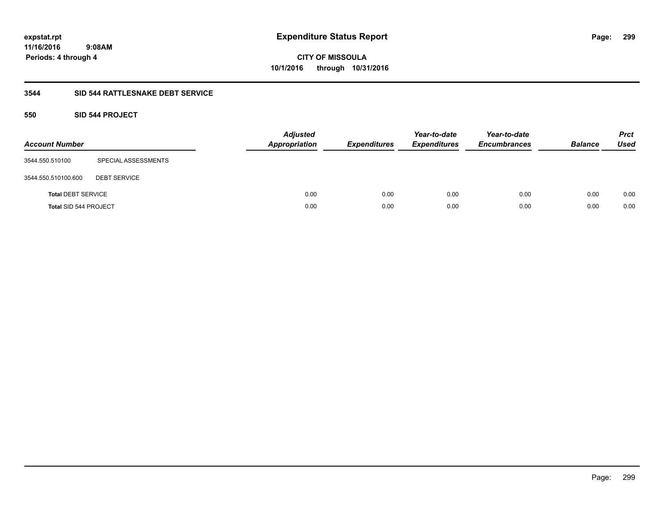**11/16/2016 9:08AM Periods: 4 through 4**

**CITY OF MISSOULA 10/1/2016 through 10/31/2016**

#### **3544 SID 544 RATTLESNAKE DEBT SERVICE**

### **550 SID 544 PROJECT**

| <b>Account Number</b>     |                     | <b>Adjusted</b><br><b>Appropriation</b> | <b>Expenditures</b> | Year-to-date<br><b>Expenditures</b> | Year-to-date<br><b>Encumbrances</b> | <b>Balance</b> | <b>Prct</b><br><b>Used</b> |
|---------------------------|---------------------|-----------------------------------------|---------------------|-------------------------------------|-------------------------------------|----------------|----------------------------|
| 3544.550.510100           | SPECIAL ASSESSMENTS |                                         |                     |                                     |                                     |                |                            |
| 3544.550.510100.600       | <b>DEBT SERVICE</b> |                                         |                     |                                     |                                     |                |                            |
| <b>Total DEBT SERVICE</b> |                     | 0.00                                    | 0.00                | 0.00                                | 0.00                                | 0.00           | 0.00                       |
| Total SID 544 PROJECT     |                     | 0.00                                    | 0.00                | 0.00                                | 0.00                                | 0.00           | 0.00                       |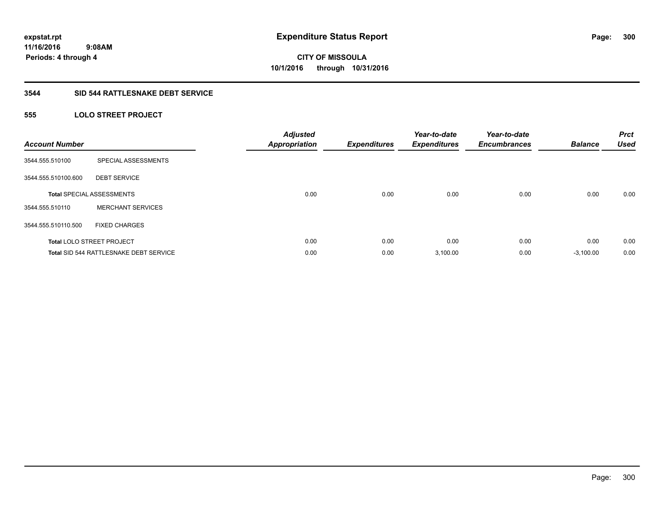### **3544 SID 544 RATTLESNAKE DEBT SERVICE**

## **555 LOLO STREET PROJECT**

| <b>Account Number</b> |                                               | <b>Adjusted</b><br><b>Appropriation</b> | <b>Expenditures</b> | Year-to-date<br><b>Expenditures</b> | Year-to-date<br><b>Encumbrances</b> | <b>Balance</b> | <b>Prct</b><br><b>Used</b> |
|-----------------------|-----------------------------------------------|-----------------------------------------|---------------------|-------------------------------------|-------------------------------------|----------------|----------------------------|
| 3544.555.510100       | SPECIAL ASSESSMENTS                           |                                         |                     |                                     |                                     |                |                            |
| 3544.555.510100.600   | <b>DEBT SERVICE</b>                           |                                         |                     |                                     |                                     |                |                            |
|                       | <b>Total SPECIAL ASSESSMENTS</b>              | 0.00                                    | 0.00                | 0.00                                | 0.00                                | 0.00           | 0.00                       |
| 3544.555.510110       | <b>MERCHANT SERVICES</b>                      |                                         |                     |                                     |                                     |                |                            |
| 3544.555.510110.500   | <b>FIXED CHARGES</b>                          |                                         |                     |                                     |                                     |                |                            |
|                       | <b>Total LOLO STREET PROJECT</b>              | 0.00                                    | 0.00                | 0.00                                | 0.00                                | 0.00           | 0.00                       |
|                       | <b>Total SID 544 RATTLESNAKE DEBT SERVICE</b> | 0.00                                    | 0.00                | 3,100.00                            | 0.00                                | $-3,100.00$    | 0.00                       |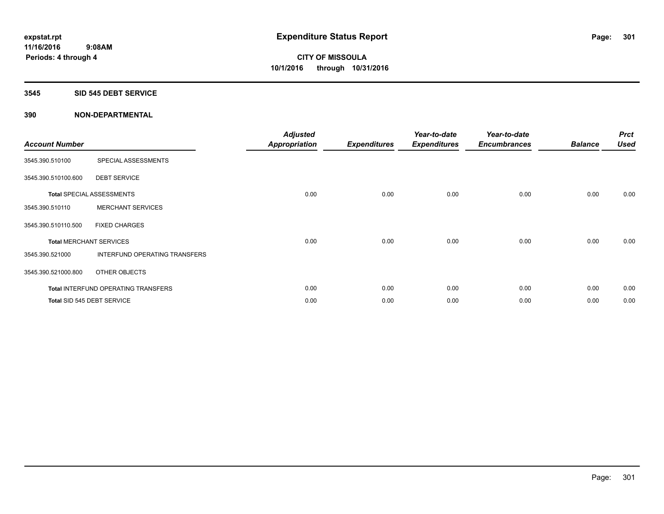#### **3545 SID 545 DEBT SERVICE**

| <b>Account Number</b> |                                     | <b>Adjusted</b><br>Appropriation | <b>Expenditures</b> | Year-to-date<br><b>Expenditures</b> | Year-to-date<br><b>Encumbrances</b> | <b>Balance</b> | <b>Prct</b><br><b>Used</b> |
|-----------------------|-------------------------------------|----------------------------------|---------------------|-------------------------------------|-------------------------------------|----------------|----------------------------|
| 3545.390.510100       | SPECIAL ASSESSMENTS                 |                                  |                     |                                     |                                     |                |                            |
| 3545.390.510100.600   | <b>DEBT SERVICE</b>                 |                                  |                     |                                     |                                     |                |                            |
|                       | <b>Total SPECIAL ASSESSMENTS</b>    | 0.00                             | 0.00                | 0.00                                | 0.00                                | 0.00           | 0.00                       |
| 3545.390.510110       | <b>MERCHANT SERVICES</b>            |                                  |                     |                                     |                                     |                |                            |
| 3545.390.510110.500   | <b>FIXED CHARGES</b>                |                                  |                     |                                     |                                     |                |                            |
|                       | <b>Total MERCHANT SERVICES</b>      | 0.00                             | 0.00                | 0.00                                | 0.00                                | 0.00           | 0.00                       |
| 3545.390.521000       | INTERFUND OPERATING TRANSFERS       |                                  |                     |                                     |                                     |                |                            |
| 3545.390.521000.800   | OTHER OBJECTS                       |                                  |                     |                                     |                                     |                |                            |
|                       | Total INTERFUND OPERATING TRANSFERS | 0.00                             | 0.00                | 0.00                                | 0.00                                | 0.00           | 0.00                       |
|                       | Total SID 545 DEBT SERVICE          | 0.00                             | 0.00                | 0.00                                | 0.00                                | 0.00           | 0.00                       |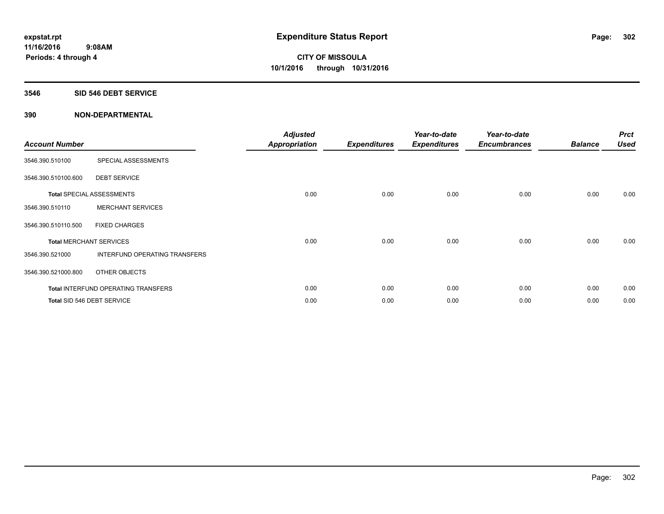#### **3546 SID 546 DEBT SERVICE**

| <b>Account Number</b> |                                      | <b>Adjusted</b><br><b>Appropriation</b> | <b>Expenditures</b> | Year-to-date<br><b>Expenditures</b> | Year-to-date<br><b>Encumbrances</b> | <b>Balance</b> | <b>Prct</b><br><b>Used</b> |
|-----------------------|--------------------------------------|-----------------------------------------|---------------------|-------------------------------------|-------------------------------------|----------------|----------------------------|
| 3546.390.510100       | SPECIAL ASSESSMENTS                  |                                         |                     |                                     |                                     |                |                            |
| 3546.390.510100.600   | <b>DEBT SERVICE</b>                  |                                         |                     |                                     |                                     |                |                            |
|                       | <b>Total SPECIAL ASSESSMENTS</b>     | 0.00                                    | 0.00                | 0.00                                | 0.00                                | 0.00           | 0.00                       |
| 3546.390.510110       | <b>MERCHANT SERVICES</b>             |                                         |                     |                                     |                                     |                |                            |
| 3546.390.510110.500   | <b>FIXED CHARGES</b>                 |                                         |                     |                                     |                                     |                |                            |
|                       | <b>Total MERCHANT SERVICES</b>       | 0.00                                    | 0.00                | 0.00                                | 0.00                                | 0.00           | 0.00                       |
| 3546.390.521000       | <b>INTERFUND OPERATING TRANSFERS</b> |                                         |                     |                                     |                                     |                |                            |
| 3546.390.521000.800   | OTHER OBJECTS                        |                                         |                     |                                     |                                     |                |                            |
|                       | Total INTERFUND OPERATING TRANSFERS  | 0.00                                    | 0.00                | 0.00                                | 0.00                                | 0.00           | 0.00                       |
|                       | Total SID 546 DEBT SERVICE           | 0.00                                    | 0.00                | 0.00                                | 0.00                                | 0.00           | 0.00                       |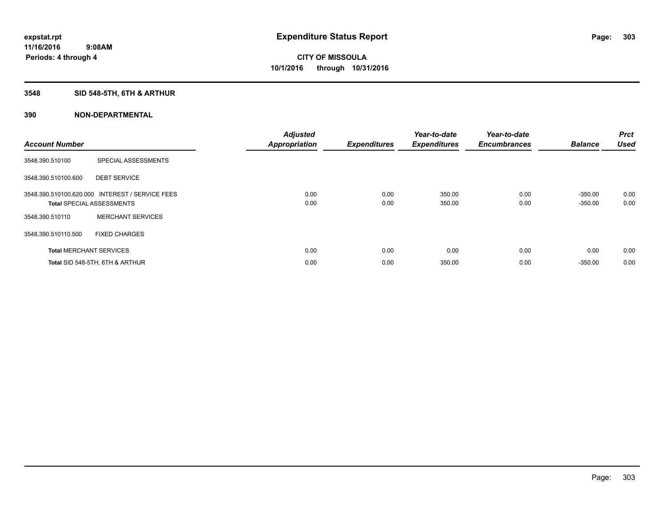## **3548 SID 548-5TH, 6TH & ARTHUR**

| <b>Account Number</b> |                                                                                     | <b>Adjusted</b><br><b>Appropriation</b> | <b>Expenditures</b> | Year-to-date<br><b>Expenditures</b> | Year-to-date<br><b>Encumbrances</b> | <b>Balance</b>         | Prct<br><b>Used</b> |
|-----------------------|-------------------------------------------------------------------------------------|-----------------------------------------|---------------------|-------------------------------------|-------------------------------------|------------------------|---------------------|
| 3548.390.510100       | SPECIAL ASSESSMENTS                                                                 |                                         |                     |                                     |                                     |                        |                     |
| 3548.390.510100.600   | <b>DEBT SERVICE</b>                                                                 |                                         |                     |                                     |                                     |                        |                     |
|                       | 3548.390.510100.620.000 INTEREST / SERVICE FEES<br><b>Total SPECIAL ASSESSMENTS</b> | 0.00<br>0.00                            | 0.00<br>0.00        | 350.00<br>350.00                    | 0.00<br>0.00                        | $-350.00$<br>$-350.00$ | 0.00<br>0.00        |
| 3548.390.510110       | <b>MERCHANT SERVICES</b>                                                            |                                         |                     |                                     |                                     |                        |                     |
| 3548.390.510110.500   | <b>FIXED CHARGES</b>                                                                |                                         |                     |                                     |                                     |                        |                     |
|                       | <b>Total MERCHANT SERVICES</b>                                                      | 0.00                                    | 0.00                | 0.00                                | 0.00                                | 0.00                   | 0.00                |
|                       | Total SID 548-5TH, 6TH & ARTHUR                                                     | 0.00                                    | 0.00                | 350.00                              | 0.00                                | $-350.00$              | 0.00                |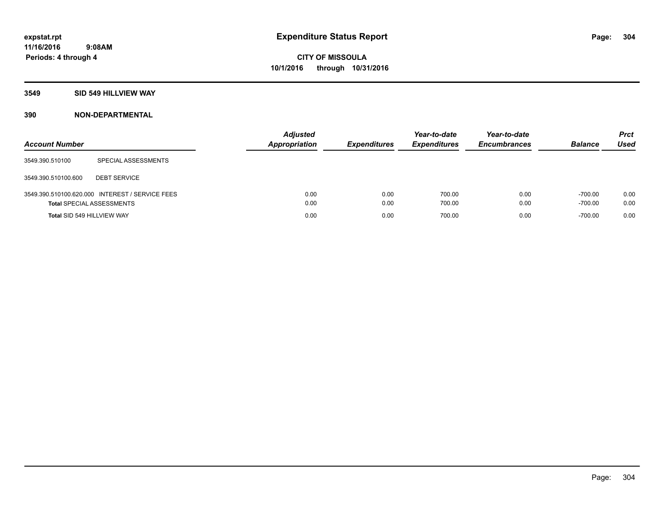### **3549 SID 549 HILLVIEW WAY**

| <b>Account Number</b>            |                                                 | <b>Adjusted</b><br><b>Appropriation</b> | <b>Expenditures</b> | Year-to-date<br><b>Expenditures</b> | Year-to-date<br><b>Encumbrances</b> | <b>Balance</b>         | <b>Prct</b><br><b>Used</b> |
|----------------------------------|-------------------------------------------------|-----------------------------------------|---------------------|-------------------------------------|-------------------------------------|------------------------|----------------------------|
| 3549.390.510100                  | SPECIAL ASSESSMENTS                             |                                         |                     |                                     |                                     |                        |                            |
| 3549.390.510100.600              | <b>DEBT SERVICE</b>                             |                                         |                     |                                     |                                     |                        |                            |
| <b>Total SPECIAL ASSESSMENTS</b> | 3549.390.510100.620.000 INTEREST / SERVICE FEES | 0.00<br>0.00                            | 0.00<br>0.00        | 700.00<br>700.00                    | 0.00<br>0.00                        | $-700.00$<br>$-700.00$ | 0.00<br>0.00               |
| Total SID 549 HILLVIEW WAY       |                                                 | 0.00                                    | 0.00                | 700.00                              | 0.00                                | $-700.00$              | 0.00                       |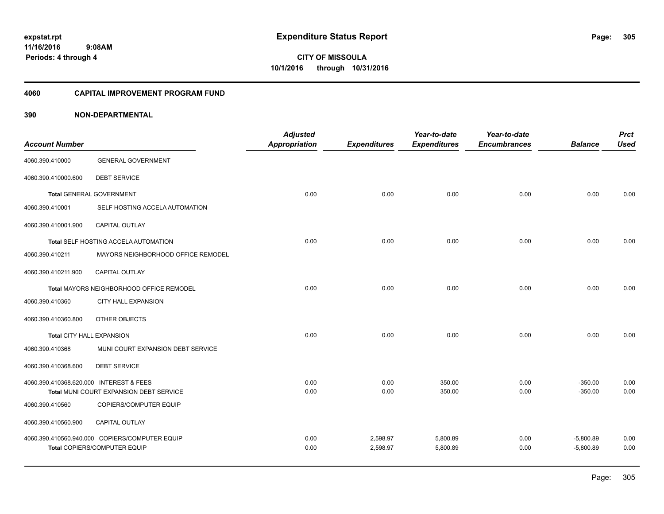#### **4060 CAPITAL IMPROVEMENT PROGRAM FUND**

| <b>Account Number</b>                   |                                                | <b>Adjusted</b><br>Appropriation | <b>Expenditures</b> | Year-to-date<br><b>Expenditures</b> | Year-to-date<br><b>Encumbrances</b> | <b>Balance</b> | <b>Prct</b><br><b>Used</b> |
|-----------------------------------------|------------------------------------------------|----------------------------------|---------------------|-------------------------------------|-------------------------------------|----------------|----------------------------|
|                                         |                                                |                                  |                     |                                     |                                     |                |                            |
| 4060.390.410000                         | <b>GENERAL GOVERNMENT</b>                      |                                  |                     |                                     |                                     |                |                            |
| 4060.390.410000.600                     | <b>DEBT SERVICE</b>                            |                                  |                     |                                     |                                     |                |                            |
|                                         | <b>Total GENERAL GOVERNMENT</b>                | 0.00                             | 0.00                | 0.00                                | 0.00                                | 0.00           | 0.00                       |
| 4060.390.410001                         | SELF HOSTING ACCELA AUTOMATION                 |                                  |                     |                                     |                                     |                |                            |
| 4060.390.410001.900                     | CAPITAL OUTLAY                                 |                                  |                     |                                     |                                     |                |                            |
|                                         | Total SELF HOSTING ACCELA AUTOMATION           | 0.00                             | 0.00                | 0.00                                | 0.00                                | 0.00           | 0.00                       |
| 4060.390.410211                         | MAYORS NEIGHBORHOOD OFFICE REMODEL             |                                  |                     |                                     |                                     |                |                            |
| 4060.390.410211.900                     | <b>CAPITAL OUTLAY</b>                          |                                  |                     |                                     |                                     |                |                            |
|                                         | Total MAYORS NEIGHBORHOOD OFFICE REMODEL       | 0.00                             | 0.00                | 0.00                                | 0.00                                | 0.00           | 0.00                       |
| 4060.390.410360                         | CITY HALL EXPANSION                            |                                  |                     |                                     |                                     |                |                            |
| 4060.390.410360.800                     | OTHER OBJECTS                                  |                                  |                     |                                     |                                     |                |                            |
| <b>Total CITY HALL EXPANSION</b>        |                                                | 0.00                             | 0.00                | 0.00                                | 0.00                                | 0.00           | 0.00                       |
| 4060.390.410368                         | MUNI COURT EXPANSION DEBT SERVICE              |                                  |                     |                                     |                                     |                |                            |
| 4060.390.410368.600                     | <b>DEBT SERVICE</b>                            |                                  |                     |                                     |                                     |                |                            |
| 4060.390.410368.620.000 INTEREST & FEES |                                                | 0.00                             | 0.00                | 350.00                              | 0.00                                | $-350.00$      | 0.00                       |
|                                         | Total MUNI COURT EXPANSION DEBT SERVICE        | 0.00                             | 0.00                | 350.00                              | 0.00                                | $-350.00$      | 0.00                       |
| 4060.390.410560                         | COPIERS/COMPUTER EQUIP                         |                                  |                     |                                     |                                     |                |                            |
| 4060.390.410560.900                     | <b>CAPITAL OUTLAY</b>                          |                                  |                     |                                     |                                     |                |                            |
|                                         | 4060.390.410560.940.000 COPIERS/COMPUTER EQUIP | 0.00                             | 2,598.97            | 5,800.89                            | 0.00                                | $-5,800.89$    | 0.00                       |
|                                         | <b>Total COPIERS/COMPUTER EQUIP</b>            | 0.00                             | 2,598.97            | 5,800.89                            | 0.00                                | $-5,800.89$    | 0.00                       |
|                                         |                                                |                                  |                     |                                     |                                     |                |                            |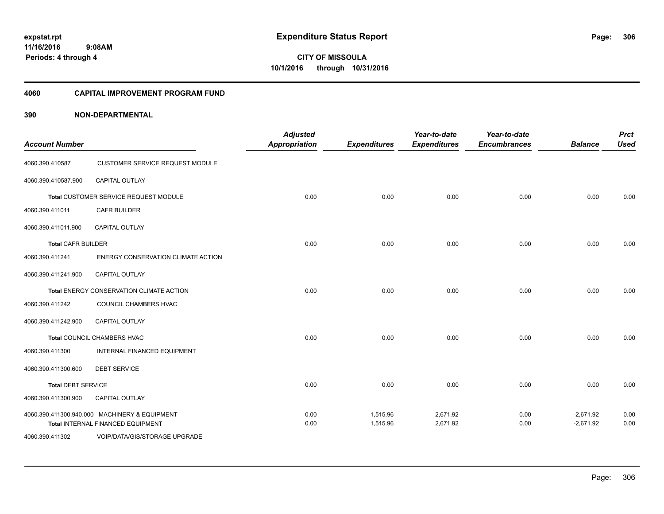### **11/16/2016 9:08AM Periods: 4 through 4**

**306**

**CITY OF MISSOULA 10/1/2016 through 10/31/2016**

#### **4060 CAPITAL IMPROVEMENT PROGRAM FUND**

| <b>Account Number</b>     |                                                                                    | <b>Adjusted</b><br><b>Appropriation</b> | <b>Expenditures</b>  | Year-to-date<br><b>Expenditures</b> | Year-to-date<br><b>Encumbrances</b> | <b>Balance</b>             | <b>Prct</b><br><b>Used</b> |
|---------------------------|------------------------------------------------------------------------------------|-----------------------------------------|----------------------|-------------------------------------|-------------------------------------|----------------------------|----------------------------|
| 4060.390.410587           | CUSTOMER SERVICE REQUEST MODULE                                                    |                                         |                      |                                     |                                     |                            |                            |
| 4060.390.410587.900       | CAPITAL OUTLAY                                                                     |                                         |                      |                                     |                                     |                            |                            |
|                           | Total CUSTOMER SERVICE REQUEST MODULE                                              | 0.00                                    | 0.00                 | 0.00                                | 0.00                                | 0.00                       | 0.00                       |
| 4060.390.411011           | <b>CAFR BUILDER</b>                                                                |                                         |                      |                                     |                                     |                            |                            |
| 4060.390.411011.900       | CAPITAL OUTLAY                                                                     |                                         |                      |                                     |                                     |                            |                            |
| <b>Total CAFR BUILDER</b> |                                                                                    | 0.00                                    | 0.00                 | 0.00                                | 0.00                                | 0.00                       | 0.00                       |
| 4060.390.411241           | ENERGY CONSERVATION CLIMATE ACTION                                                 |                                         |                      |                                     |                                     |                            |                            |
| 4060.390.411241.900       | <b>CAPITAL OUTLAY</b>                                                              |                                         |                      |                                     |                                     |                            |                            |
|                           | Total ENERGY CONSERVATION CLIMATE ACTION                                           | 0.00                                    | 0.00                 | 0.00                                | 0.00                                | 0.00                       | 0.00                       |
| 4060.390.411242           | COUNCIL CHAMBERS HVAC                                                              |                                         |                      |                                     |                                     |                            |                            |
| 4060.390.411242.900       | <b>CAPITAL OUTLAY</b>                                                              |                                         |                      |                                     |                                     |                            |                            |
|                           | Total COUNCIL CHAMBERS HVAC                                                        | 0.00                                    | 0.00                 | 0.00                                | 0.00                                | 0.00                       | 0.00                       |
| 4060.390.411300           | INTERNAL FINANCED EQUIPMENT                                                        |                                         |                      |                                     |                                     |                            |                            |
| 4060.390.411300.600       | <b>DEBT SERVICE</b>                                                                |                                         |                      |                                     |                                     |                            |                            |
| <b>Total DEBT SERVICE</b> |                                                                                    | 0.00                                    | 0.00                 | 0.00                                | 0.00                                | 0.00                       | 0.00                       |
| 4060.390.411300.900       | <b>CAPITAL OUTLAY</b>                                                              |                                         |                      |                                     |                                     |                            |                            |
|                           | 4060.390.411300.940.000 MACHINERY & EQUIPMENT<br>Total INTERNAL FINANCED EQUIPMENT | 0.00<br>0.00                            | 1,515.96<br>1,515.96 | 2,671.92<br>2,671.92                | 0.00<br>0.00                        | $-2,671.92$<br>$-2,671.92$ | 0.00<br>0.00               |
| 4060.390.411302           | VOIP/DATA/GIS/STORAGE UPGRADE                                                      |                                         |                      |                                     |                                     |                            |                            |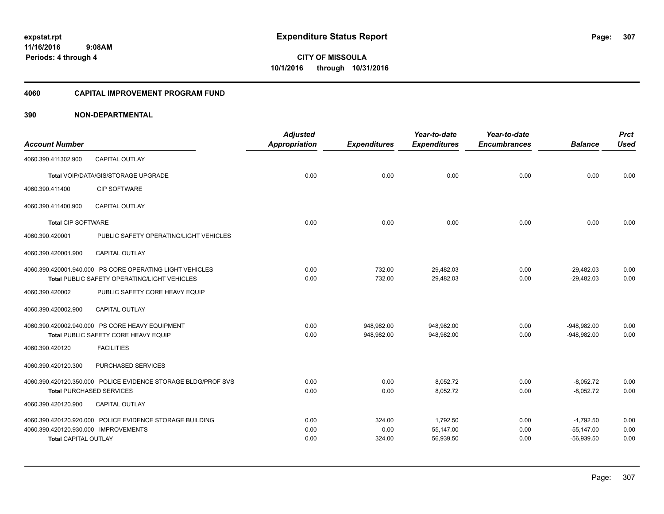#### **4060 CAPITAL IMPROVEMENT PROGRAM FUND**

|                                      |                                                               | <b>Adjusted</b>      |                     | Year-to-date        | Year-to-date        |                | <b>Prct</b> |
|--------------------------------------|---------------------------------------------------------------|----------------------|---------------------|---------------------|---------------------|----------------|-------------|
| <b>Account Number</b>                |                                                               | <b>Appropriation</b> | <b>Expenditures</b> | <b>Expenditures</b> | <b>Encumbrances</b> | <b>Balance</b> | <b>Used</b> |
| 4060.390.411302.900                  | <b>CAPITAL OUTLAY</b>                                         |                      |                     |                     |                     |                |             |
|                                      | <b>Total VOIP/DATA/GIS/STORAGE UPGRADE</b>                    | 0.00                 | 0.00                | 0.00                | 0.00                | 0.00           | 0.00        |
| 4060.390.411400                      | <b>CIP SOFTWARE</b>                                           |                      |                     |                     |                     |                |             |
| 4060.390.411400.900                  | <b>CAPITAL OUTLAY</b>                                         |                      |                     |                     |                     |                |             |
| <b>Total CIP SOFTWARE</b>            |                                                               | 0.00                 | 0.00                | 0.00                | 0.00                | 0.00           | 0.00        |
| 4060.390.420001                      | PUBLIC SAFETY OPERATING/LIGHT VEHICLES                        |                      |                     |                     |                     |                |             |
| 4060.390.420001.900                  | <b>CAPITAL OUTLAY</b>                                         |                      |                     |                     |                     |                |             |
|                                      | 4060.390.420001.940.000 PS CORE OPERATING LIGHT VEHICLES      | 0.00                 | 732.00              | 29,482.03           | 0.00                | $-29,482.03$   | 0.00        |
|                                      | Total PUBLIC SAFETY OPERATING/LIGHT VEHICLES                  | 0.00                 | 732.00              | 29,482.03           | 0.00                | $-29,482.03$   | 0.00        |
| 4060.390.420002                      | PUBLIC SAFETY CORE HEAVY EQUIP                                |                      |                     |                     |                     |                |             |
| 4060.390.420002.900                  | <b>CAPITAL OUTLAY</b>                                         |                      |                     |                     |                     |                |             |
|                                      | 4060.390.420002.940.000 PS CORE HEAVY EQUIPMENT               | 0.00                 | 948,982.00          | 948,982.00          | 0.00                | $-948,982.00$  | 0.00        |
|                                      | Total PUBLIC SAFETY CORE HEAVY EQUIP                          | 0.00                 | 948,982.00          | 948,982.00          | 0.00                | $-948,982.00$  | 0.00        |
| 4060.390.420120                      | <b>FACILITIES</b>                                             |                      |                     |                     |                     |                |             |
| 4060.390.420120.300                  | PURCHASED SERVICES                                            |                      |                     |                     |                     |                |             |
|                                      | 4060.390.420120.350.000 POLICE EVIDENCE STORAGE BLDG/PROF SVS | 0.00                 | 0.00                | 8,052.72            | 0.00                | $-8,052.72$    | 0.00        |
|                                      | <b>Total PURCHASED SERVICES</b>                               | 0.00                 | 0.00                | 8,052.72            | 0.00                | $-8,052.72$    | 0.00        |
| 4060.390.420120.900                  | <b>CAPITAL OUTLAY</b>                                         |                      |                     |                     |                     |                |             |
|                                      | 4060.390.420120.920.000 POLICE EVIDENCE STORAGE BUILDING      | 0.00                 | 324.00              | 1,792.50            | 0.00                | $-1,792.50$    | 0.00        |
| 4060.390.420120.930.000 IMPROVEMENTS |                                                               | 0.00                 | 0.00                | 55,147.00           | 0.00                | $-55,147.00$   | 0.00        |
| <b>Total CAPITAL OUTLAY</b>          |                                                               | 0.00                 | 324.00              | 56,939.50           | 0.00                | $-56,939.50$   | 0.00        |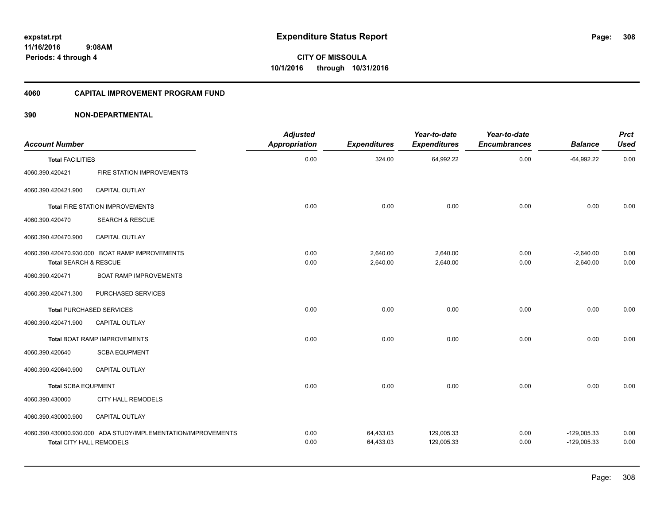### **11/16/2016 9:08AM Periods: 4 through 4**

**CITY OF MISSOULA 10/1/2016 through 10/31/2016**

#### **4060 CAPITAL IMPROVEMENT PROGRAM FUND**

| <b>Account Number</b>      |                                                               | <b>Adjusted</b><br><b>Appropriation</b> | <b>Expenditures</b>    | Year-to-date<br><b>Expenditures</b> | Year-to-date<br><b>Encumbrances</b> | <b>Balance</b>                 | <b>Prct</b><br><b>Used</b> |
|----------------------------|---------------------------------------------------------------|-----------------------------------------|------------------------|-------------------------------------|-------------------------------------|--------------------------------|----------------------------|
| <b>Total FACILITIES</b>    |                                                               | 0.00                                    | 324.00                 | 64,992.22                           | 0.00                                | $-64,992.22$                   | 0.00                       |
| 4060.390.420421            | FIRE STATION IMPROVEMENTS                                     |                                         |                        |                                     |                                     |                                |                            |
| 4060.390.420421.900        | CAPITAL OUTLAY                                                |                                         |                        |                                     |                                     |                                |                            |
|                            | Total FIRE STATION IMPROVEMENTS                               | 0.00                                    | 0.00                   | 0.00                                | 0.00                                | 0.00                           | 0.00                       |
| 4060.390.420470            | <b>SEARCH &amp; RESCUE</b>                                    |                                         |                        |                                     |                                     |                                |                            |
| 4060.390.420470.900        | CAPITAL OUTLAY                                                |                                         |                        |                                     |                                     |                                |                            |
| Total SEARCH & RESCUE      | 4060.390.420470.930.000 BOAT RAMP IMPROVEMENTS                | 0.00<br>0.00                            | 2,640.00<br>2,640.00   | 2,640.00<br>2,640.00                | 0.00<br>0.00                        | $-2,640.00$<br>$-2,640.00$     | 0.00<br>0.00               |
| 4060.390.420471            | <b>BOAT RAMP IMPROVEMENTS</b>                                 |                                         |                        |                                     |                                     |                                |                            |
| 4060.390.420471.300        | PURCHASED SERVICES                                            |                                         |                        |                                     |                                     |                                |                            |
|                            | <b>Total PURCHASED SERVICES</b>                               | 0.00                                    | 0.00                   | 0.00                                | 0.00                                | 0.00                           | 0.00                       |
| 4060.390.420471.900        | <b>CAPITAL OUTLAY</b>                                         |                                         |                        |                                     |                                     |                                |                            |
|                            | <b>Total BOAT RAMP IMPROVEMENTS</b>                           | 0.00                                    | 0.00                   | 0.00                                | 0.00                                | 0.00                           | 0.00                       |
| 4060.390.420640            | <b>SCBA EQUPMENT</b>                                          |                                         |                        |                                     |                                     |                                |                            |
| 4060.390.420640.900        | <b>CAPITAL OUTLAY</b>                                         |                                         |                        |                                     |                                     |                                |                            |
| <b>Total SCBA EQUPMENT</b> |                                                               | 0.00                                    | 0.00                   | 0.00                                | 0.00                                | 0.00                           | 0.00                       |
| 4060.390.430000            | <b>CITY HALL REMODELS</b>                                     |                                         |                        |                                     |                                     |                                |                            |
| 4060.390.430000.900        | <b>CAPITAL OUTLAY</b>                                         |                                         |                        |                                     |                                     |                                |                            |
| Total CITY HALL REMODELS   | 4060.390.430000.930.000 ADA STUDY/IMPLEMENTATION/IMPROVEMENTS | 0.00<br>0.00                            | 64,433.03<br>64,433.03 | 129,005.33<br>129,005.33            | 0.00<br>0.00                        | $-129,005.33$<br>$-129,005.33$ | 0.00<br>0.00               |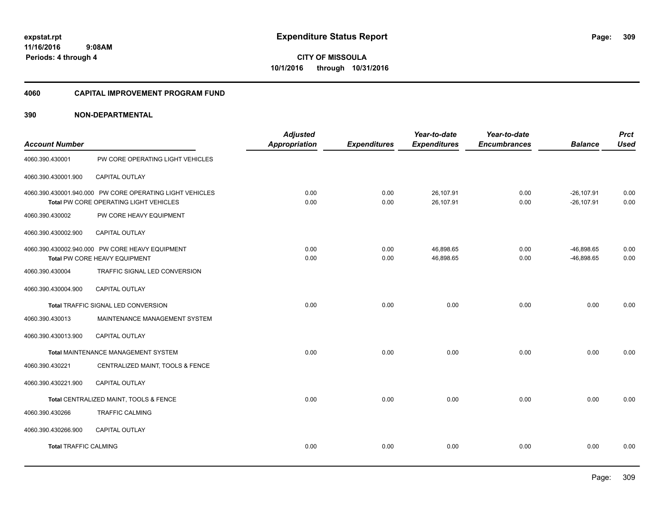**309**

**11/16/2016 9:08AM Periods: 4 through 4**

**CITY OF MISSOULA 10/1/2016 through 10/31/2016**

#### **4060 CAPITAL IMPROVEMENT PROGRAM FUND**

| <b>Account Number</b>        |                                                                                                    | <b>Adjusted</b><br><b>Appropriation</b> | <b>Expenditures</b> | Year-to-date<br><b>Expenditures</b> | Year-to-date<br><b>Encumbrances</b> | <b>Balance</b>                 | <b>Prct</b><br><b>Used</b> |
|------------------------------|----------------------------------------------------------------------------------------------------|-----------------------------------------|---------------------|-------------------------------------|-------------------------------------|--------------------------------|----------------------------|
| 4060.390.430001              | PW CORE OPERATING LIGHT VEHICLES                                                                   |                                         |                     |                                     |                                     |                                |                            |
| 4060.390.430001.900          | <b>CAPITAL OUTLAY</b>                                                                              |                                         |                     |                                     |                                     |                                |                            |
|                              | 4060.390.430001.940.000 PW CORE OPERATING LIGHT VEHICLES<br>Total PW CORE OPERATING LIGHT VEHICLES | 0.00<br>0.00                            | 0.00<br>0.00        | 26,107.91<br>26,107.91              | 0.00<br>0.00                        | $-26, 107.91$<br>$-26, 107.91$ | 0.00<br>0.00               |
| 4060.390.430002              | PW CORE HEAVY EQUIPMENT                                                                            |                                         |                     |                                     |                                     |                                |                            |
| 4060.390.430002.900          | CAPITAL OUTLAY                                                                                     |                                         |                     |                                     |                                     |                                |                            |
|                              | 4060.390.430002.940.000 PW CORE HEAVY EQUIPMENT<br>Total PW CORE HEAVY EQUIPMENT                   | 0.00<br>0.00                            | 0.00<br>0.00        | 46,898.65<br>46,898.65              | 0.00<br>0.00                        | $-46,898.65$<br>$-46,898.65$   | 0.00<br>0.00               |
| 4060.390.430004              | TRAFFIC SIGNAL LED CONVERSION                                                                      |                                         |                     |                                     |                                     |                                |                            |
| 4060.390.430004.900          | CAPITAL OUTLAY                                                                                     |                                         |                     |                                     |                                     |                                |                            |
|                              | Total TRAFFIC SIGNAL LED CONVERSION                                                                | 0.00                                    | 0.00                | 0.00                                | 0.00                                | 0.00                           | 0.00                       |
| 4060.390.430013              | MAINTENANCE MANAGEMENT SYSTEM                                                                      |                                         |                     |                                     |                                     |                                |                            |
| 4060.390.430013.900          | CAPITAL OUTLAY                                                                                     |                                         |                     |                                     |                                     |                                |                            |
|                              | Total MAINTENANCE MANAGEMENT SYSTEM                                                                | 0.00                                    | 0.00                | 0.00                                | 0.00                                | 0.00                           | 0.00                       |
| 4060.390.430221              | CENTRALIZED MAINT, TOOLS & FENCE                                                                   |                                         |                     |                                     |                                     |                                |                            |
| 4060.390.430221.900          | CAPITAL OUTLAY                                                                                     |                                         |                     |                                     |                                     |                                |                            |
|                              | Total CENTRALIZED MAINT, TOOLS & FENCE                                                             | 0.00                                    | 0.00                | 0.00                                | 0.00                                | 0.00                           | 0.00                       |
| 4060.390.430266              | <b>TRAFFIC CALMING</b>                                                                             |                                         |                     |                                     |                                     |                                |                            |
| 4060.390.430266.900          | CAPITAL OUTLAY                                                                                     |                                         |                     |                                     |                                     |                                |                            |
| <b>Total TRAFFIC CALMING</b> |                                                                                                    | 0.00                                    | 0.00                | 0.00                                | 0.00                                | 0.00                           | 0.00                       |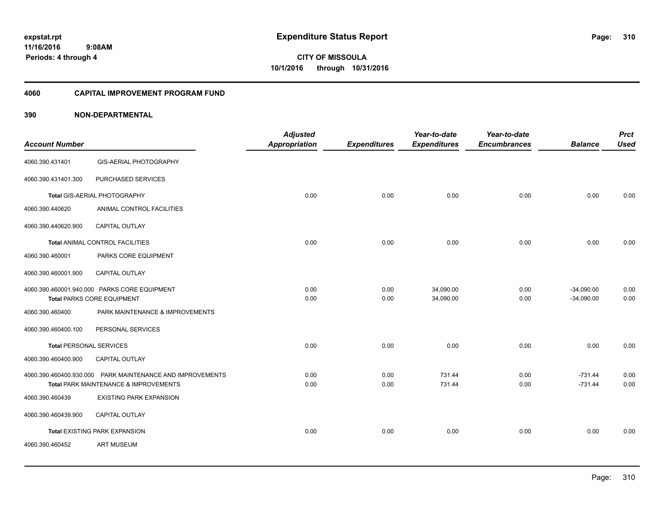## **11/16/2016 9:08AM Periods: 4 through 4**

**CITY OF MISSOULA 10/1/2016 through 10/31/2016**

#### **4060 CAPITAL IMPROVEMENT PROGRAM FUND**

| <b>Account Number</b>          |                                                           | <b>Adjusted</b><br><b>Appropriation</b> | <b>Expenditures</b> | Year-to-date<br><b>Expenditures</b> | Year-to-date<br><b>Encumbrances</b> | <b>Balance</b> | <b>Prct</b><br><b>Used</b> |
|--------------------------------|-----------------------------------------------------------|-----------------------------------------|---------------------|-------------------------------------|-------------------------------------|----------------|----------------------------|
| 4060.390.431401                | <b>GIS-AERIAL PHOTOGRAPHY</b>                             |                                         |                     |                                     |                                     |                |                            |
| 4060.390.431401.300            | PURCHASED SERVICES                                        |                                         |                     |                                     |                                     |                |                            |
|                                | Total GIS-AERIAL PHOTOGRAPHY                              | 0.00                                    | 0.00                | 0.00                                | 0.00                                | 0.00           | 0.00                       |
| 4060.390.440620                | ANIMAL CONTROL FACILITIES                                 |                                         |                     |                                     |                                     |                |                            |
| 4060.390.440620.900            | CAPITAL OUTLAY                                            |                                         |                     |                                     |                                     |                |                            |
|                                | <b>Total ANIMAL CONTROL FACILITIES</b>                    | 0.00                                    | 0.00                | 0.00                                | 0.00                                | 0.00           | 0.00                       |
| 4060.390.460001                | PARKS CORE EQUIPMENT                                      |                                         |                     |                                     |                                     |                |                            |
| 4060.390.460001.900            | CAPITAL OUTLAY                                            |                                         |                     |                                     |                                     |                |                            |
|                                | 4060.390.460001.940.000 PARKS CORE EQUIPMENT              | 0.00                                    | 0.00                | 34,090.00                           | 0.00                                | $-34,090.00$   | 0.00                       |
|                                | <b>Total PARKS CORE EQUIPMENT</b>                         | 0.00                                    | 0.00                | 34,090.00                           | 0.00                                | $-34,090.00$   | 0.00                       |
| 4060.390.460400                | PARK MAINTENANCE & IMPROVEMENTS                           |                                         |                     |                                     |                                     |                |                            |
| 4060.390.460400.100            | PERSONAL SERVICES                                         |                                         |                     |                                     |                                     |                |                            |
| <b>Total PERSONAL SERVICES</b> |                                                           | 0.00                                    | 0.00                | 0.00                                | 0.00                                | 0.00           | 0.00                       |
| 4060.390.460400.900            | CAPITAL OUTLAY                                            |                                         |                     |                                     |                                     |                |                            |
|                                | 4060.390.460400.930.000 PARK MAINTENANCE AND IMPROVEMENTS | 0.00                                    | 0.00                | 731.44                              | 0.00                                | $-731.44$      | 0.00                       |
|                                | Total PARK MAINTENANCE & IMPROVEMENTS                     | 0.00                                    | 0.00                | 731.44                              | 0.00                                | $-731.44$      | 0.00                       |
| 4060.390.460439                | <b>EXISTING PARK EXPANSION</b>                            |                                         |                     |                                     |                                     |                |                            |
| 4060.390.460439.900            | CAPITAL OUTLAY                                            |                                         |                     |                                     |                                     |                |                            |
|                                | <b>Total EXISTING PARK EXPANSION</b>                      | 0.00                                    | 0.00                | 0.00                                | 0.00                                | 0.00           | 0.00                       |
| 4060.390.460452                | <b>ART MUSEUM</b>                                         |                                         |                     |                                     |                                     |                |                            |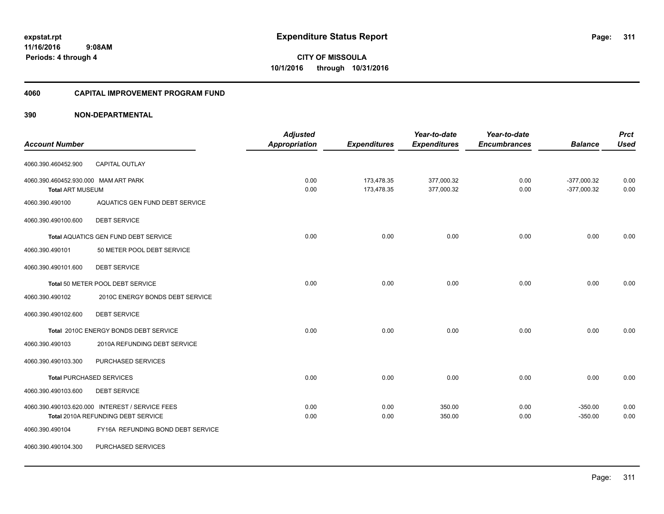#### **4060 CAPITAL IMPROVEMENT PROGRAM FUND**

|                                      |                                                 | <b>Adjusted</b> |                     | Year-to-date        | Year-to-date        |                | <b>Prct</b> |
|--------------------------------------|-------------------------------------------------|-----------------|---------------------|---------------------|---------------------|----------------|-------------|
| <b>Account Number</b>                |                                                 | Appropriation   | <b>Expenditures</b> | <b>Expenditures</b> | <b>Encumbrances</b> | <b>Balance</b> | <b>Used</b> |
| 4060.390.460452.900                  | <b>CAPITAL OUTLAY</b>                           |                 |                     |                     |                     |                |             |
| 4060.390.460452.930.000 MAM ART PARK |                                                 | 0.00            | 173,478.35          | 377,000.32          | 0.00                | $-377,000.32$  | 0.00        |
| <b>Total ART MUSEUM</b>              |                                                 | 0.00            | 173,478.35          | 377,000.32          | 0.00                | $-377,000.32$  | 0.00        |
| 4060.390.490100                      | AQUATICS GEN FUND DEBT SERVICE                  |                 |                     |                     |                     |                |             |
| 4060.390.490100.600                  | <b>DEBT SERVICE</b>                             |                 |                     |                     |                     |                |             |
|                                      | <b>Total AQUATICS GEN FUND DEBT SERVICE</b>     | 0.00            | 0.00                | 0.00                | 0.00                | 0.00           | 0.00        |
| 4060.390.490101                      | 50 METER POOL DEBT SERVICE                      |                 |                     |                     |                     |                |             |
| 4060.390.490101.600                  | <b>DEBT SERVICE</b>                             |                 |                     |                     |                     |                |             |
|                                      | Total 50 METER POOL DEBT SERVICE                | 0.00            | 0.00                | 0.00                | 0.00                | 0.00           | 0.00        |
| 4060.390.490102                      | 2010C ENERGY BONDS DEBT SERVICE                 |                 |                     |                     |                     |                |             |
| 4060.390.490102.600                  | <b>DEBT SERVICE</b>                             |                 |                     |                     |                     |                |             |
|                                      | Total 2010C ENERGY BONDS DEBT SERVICE           | 0.00            | 0.00                | 0.00                | 0.00                | 0.00           | 0.00        |
| 4060.390.490103                      | 2010A REFUNDING DEBT SERVICE                    |                 |                     |                     |                     |                |             |
| 4060.390.490103.300                  | PURCHASED SERVICES                              |                 |                     |                     |                     |                |             |
|                                      | Total PURCHASED SERVICES                        | 0.00            | 0.00                | 0.00                | 0.00                | 0.00           | 0.00        |
| 4060.390.490103.600                  | <b>DEBT SERVICE</b>                             |                 |                     |                     |                     |                |             |
|                                      | 4060.390.490103.620.000 INTEREST / SERVICE FEES | 0.00            | 0.00                | 350.00              | 0.00                | $-350.00$      | 0.00        |
|                                      | Total 2010A REFUNDING DEBT SERVICE              | 0.00            | 0.00                | 350.00              | 0.00                | $-350.00$      | 0.00        |
| 4060.390.490104                      | FY16A REFUNDING BOND DEBT SERVICE               |                 |                     |                     |                     |                |             |
| 4060.390.490104.300                  | PURCHASED SERVICES                              |                 |                     |                     |                     |                |             |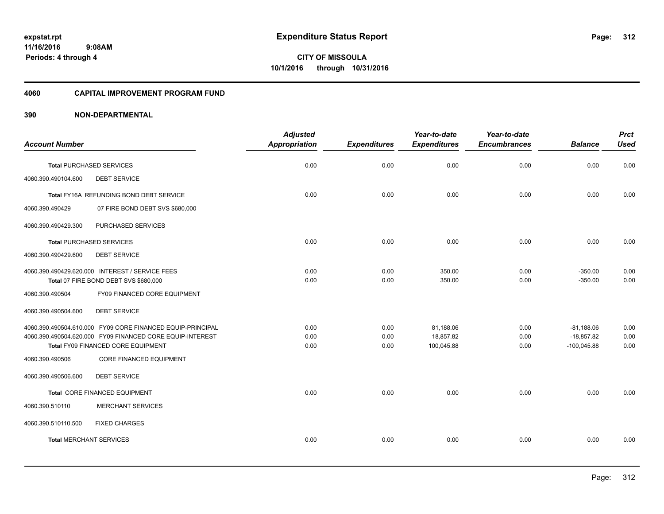#### **4060 CAPITAL IMPROVEMENT PROGRAM FUND**

|                                |                                                            | <b>Adjusted</b> |                     | Year-to-date        | Year-to-date        |                | <b>Prct</b> |
|--------------------------------|------------------------------------------------------------|-----------------|---------------------|---------------------|---------------------|----------------|-------------|
| <b>Account Number</b>          |                                                            | Appropriation   | <b>Expenditures</b> | <b>Expenditures</b> | <b>Encumbrances</b> | <b>Balance</b> | <b>Used</b> |
|                                | <b>Total PURCHASED SERVICES</b>                            | 0.00            | 0.00                | 0.00                | 0.00                | 0.00           | 0.00        |
| 4060.390.490104.600            | <b>DEBT SERVICE</b>                                        |                 |                     |                     |                     |                |             |
|                                | Total FY16A REFUNDING BOND DEBT SERVICE                    | 0.00            | 0.00                | 0.00                | 0.00                | 0.00           | 0.00        |
| 4060.390.490429                | 07 FIRE BOND DEBT SVS \$680,000                            |                 |                     |                     |                     |                |             |
| 4060.390.490429.300            | PURCHASED SERVICES                                         |                 |                     |                     |                     |                |             |
|                                | <b>Total PURCHASED SERVICES</b>                            | 0.00            | 0.00                | 0.00                | 0.00                | 0.00           | 0.00        |
| 4060.390.490429.600            | <b>DEBT SERVICE</b>                                        |                 |                     |                     |                     |                |             |
|                                | 4060.390.490429.620.000 INTEREST / SERVICE FEES            | 0.00            | 0.00                | 350.00              | 0.00                | $-350.00$      | 0.00        |
|                                | Total 07 FIRE BOND DEBT SVS \$680,000                      | 0.00            | 0.00                | 350.00              | 0.00                | $-350.00$      | 0.00        |
| 4060.390.490504                | FY09 FINANCED CORE EQUIPMENT                               |                 |                     |                     |                     |                |             |
| 4060.390.490504.600            | <b>DEBT SERVICE</b>                                        |                 |                     |                     |                     |                |             |
|                                | 4060.390.490504.610.000 FY09 CORE FINANCED EQUIP-PRINCIPAL | 0.00            | 0.00                | 81,188.06           | 0.00                | $-81,188.06$   | 0.00        |
|                                | 4060.390.490504.620.000 FY09 FINANCED CORE EQUIP-INTEREST  | 0.00            | 0.00                | 18,857.82           | 0.00                | $-18,857.82$   | 0.00        |
|                                | Total FY09 FINANCED CORE EQUIPMENT                         | 0.00            | 0.00                | 100,045.88          | 0.00                | $-100,045.88$  | 0.00        |
| 4060.390.490506                | <b>CORE FINANCED EQUIPMENT</b>                             |                 |                     |                     |                     |                |             |
| 4060.390.490506.600            | <b>DEBT SERVICE</b>                                        |                 |                     |                     |                     |                |             |
|                                | Total CORE FINANCED EQUIPMENT                              | 0.00            | 0.00                | 0.00                | 0.00                | 0.00           | 0.00        |
| 4060.390.510110                | <b>MERCHANT SERVICES</b>                                   |                 |                     |                     |                     |                |             |
| 4060.390.510110.500            | <b>FIXED CHARGES</b>                                       |                 |                     |                     |                     |                |             |
| <b>Total MERCHANT SERVICES</b> |                                                            | 0.00            | 0.00                | 0.00                | 0.00                | 0.00           | 0.00        |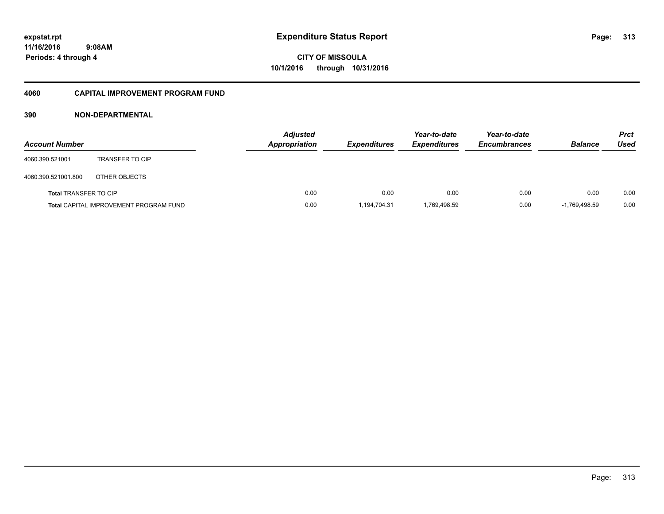**11/16/2016 9:08AM Periods: 4 through 4**

# **CITY OF MISSOULA 10/1/2016 through 10/31/2016**

#### **4060 CAPITAL IMPROVEMENT PROGRAM FUND**

| <b>Account Number</b>        |                                               | <b>Adjusted</b><br><b>Appropriation</b> | <b>Expenditures</b> | Year-to-date<br><b>Expenditures</b> | Year-to-date<br><b>Encumbrances</b> | <b>Balance</b>  | <b>Prct</b><br>Used |
|------------------------------|-----------------------------------------------|-----------------------------------------|---------------------|-------------------------------------|-------------------------------------|-----------------|---------------------|
| 4060.390.521001              | <b>TRANSFER TO CIP</b>                        |                                         |                     |                                     |                                     |                 |                     |
| 4060.390.521001.800          | OTHER OBJECTS                                 |                                         |                     |                                     |                                     |                 |                     |
| <b>Total TRANSFER TO CIP</b> |                                               | 0.00                                    | 0.00                | 0.00                                | 0.00                                | 0.00            | 0.00                |
|                              | <b>Total CAPITAL IMPROVEMENT PROGRAM FUND</b> | 0.00                                    | 1,194,704.31        | 1,769,498.59                        | 0.00                                | $-1.769.498.59$ | 0.00                |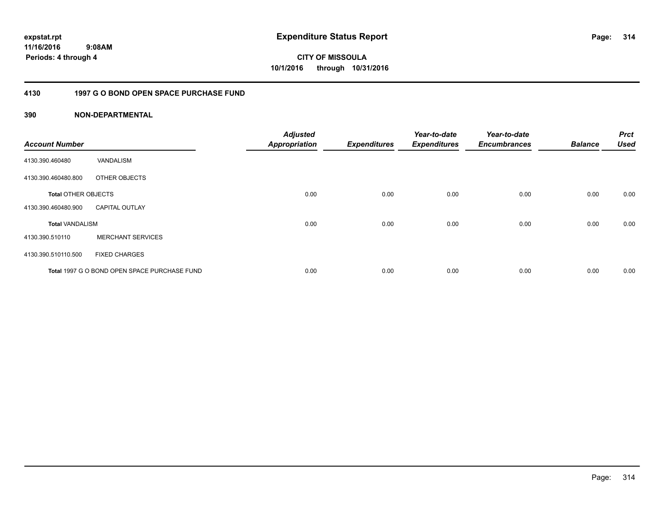**11/16/2016 9:08AM Periods: 4 through 4**

**314**

**CITY OF MISSOULA 10/1/2016 through 10/31/2016**

#### **4130 1997 G O BOND OPEN SPACE PURCHASE FUND**

| <b>Account Number</b>      |                                              | <b>Adjusted</b><br><b>Appropriation</b> | <b>Expenditures</b> | Year-to-date<br><b>Expenditures</b> | Year-to-date<br><b>Encumbrances</b> | <b>Balance</b> | <b>Prct</b><br><b>Used</b> |
|----------------------------|----------------------------------------------|-----------------------------------------|---------------------|-------------------------------------|-------------------------------------|----------------|----------------------------|
| 4130.390.460480            | VANDALISM                                    |                                         |                     |                                     |                                     |                |                            |
| 4130.390.460480.800        | OTHER OBJECTS                                |                                         |                     |                                     |                                     |                |                            |
| <b>Total OTHER OBJECTS</b> |                                              | 0.00                                    | 0.00                | 0.00                                | 0.00                                | 0.00           | 0.00                       |
| 4130.390.460480.900        | <b>CAPITAL OUTLAY</b>                        |                                         |                     |                                     |                                     |                |                            |
| <b>Total VANDALISM</b>     |                                              | 0.00                                    | 0.00                | 0.00                                | 0.00                                | 0.00           | 0.00                       |
| 4130.390.510110            | <b>MERCHANT SERVICES</b>                     |                                         |                     |                                     |                                     |                |                            |
| 4130.390.510110.500        | <b>FIXED CHARGES</b>                         |                                         |                     |                                     |                                     |                |                            |
|                            | Total 1997 G O BOND OPEN SPACE PURCHASE FUND | 0.00                                    | 0.00                | 0.00                                | 0.00                                | 0.00           | 0.00                       |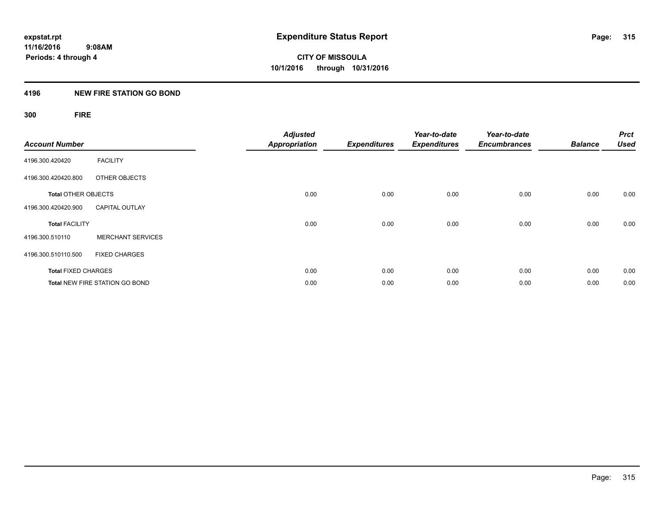## **4196 NEW FIRE STATION GO BOND**

## **300 FIRE**

| <b>Account Number</b>      |                                       | <b>Adjusted</b><br><b>Appropriation</b> | <b>Expenditures</b> | Year-to-date<br><b>Expenditures</b> | Year-to-date<br><b>Encumbrances</b> | <b>Balance</b> | <b>Prct</b><br><b>Used</b> |
|----------------------------|---------------------------------------|-----------------------------------------|---------------------|-------------------------------------|-------------------------------------|----------------|----------------------------|
| 4196.300.420420            | <b>FACILITY</b>                       |                                         |                     |                                     |                                     |                |                            |
| 4196.300.420420.800        | OTHER OBJECTS                         |                                         |                     |                                     |                                     |                |                            |
| <b>Total OTHER OBJECTS</b> |                                       | 0.00                                    | 0.00                | 0.00                                | 0.00                                | 0.00           | 0.00                       |
| 4196.300.420420.900        | <b>CAPITAL OUTLAY</b>                 |                                         |                     |                                     |                                     |                |                            |
| <b>Total FACILITY</b>      |                                       | 0.00                                    | 0.00                | 0.00                                | 0.00                                | 0.00           | 0.00                       |
| 4196.300.510110            | <b>MERCHANT SERVICES</b>              |                                         |                     |                                     |                                     |                |                            |
| 4196.300.510110.500        | <b>FIXED CHARGES</b>                  |                                         |                     |                                     |                                     |                |                            |
| <b>Total FIXED CHARGES</b> |                                       | 0.00                                    | 0.00                | 0.00                                | 0.00                                | 0.00           | 0.00                       |
|                            | <b>Total NEW FIRE STATION GO BOND</b> | 0.00                                    | 0.00                | 0.00                                | 0.00                                | 0.00           | 0.00                       |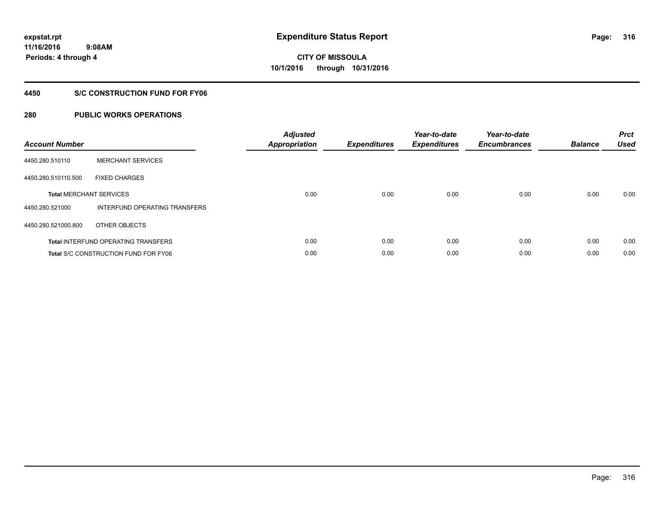### **4450 S/C CONSTRUCTION FUND FOR FY06**

| <b>Account Number</b> |                                            | <b>Adjusted</b><br><b>Appropriation</b> | <b>Expenditures</b> | Year-to-date<br><b>Expenditures</b> | Year-to-date<br><b>Encumbrances</b> | <b>Balance</b> | <b>Prct</b><br><b>Used</b> |
|-----------------------|--------------------------------------------|-----------------------------------------|---------------------|-------------------------------------|-------------------------------------|----------------|----------------------------|
| 4450.280.510110       | <b>MERCHANT SERVICES</b>                   |                                         |                     |                                     |                                     |                |                            |
| 4450.280.510110.500   | <b>FIXED CHARGES</b>                       |                                         |                     |                                     |                                     |                |                            |
|                       | <b>Total MERCHANT SERVICES</b>             | 0.00                                    | 0.00                | 0.00                                | 0.00                                | 0.00           | 0.00                       |
| 4450.280.521000       | INTERFUND OPERATING TRANSFERS              |                                         |                     |                                     |                                     |                |                            |
| 4450.280.521000.800   | OTHER OBJECTS                              |                                         |                     |                                     |                                     |                |                            |
|                       | <b>Total INTERFUND OPERATING TRANSFERS</b> | 0.00                                    | 0.00                | 0.00                                | 0.00                                | 0.00           | 0.00                       |
|                       | Total S/C CONSTRUCTION FUND FOR FY06       | 0.00                                    | 0.00                | 0.00                                | 0.00                                | 0.00           | 0.00                       |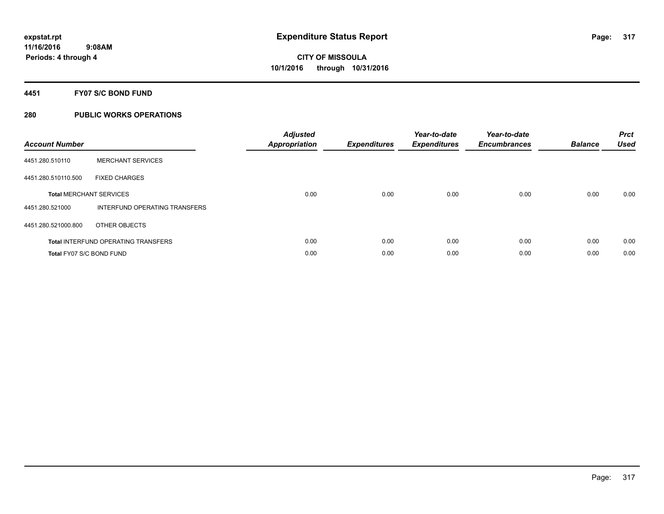#### **4451 FY07 S/C BOND FUND**

| <b>Account Number</b>    |                                            | <b>Adjusted</b><br>Appropriation | <b>Expenditures</b> | Year-to-date<br><b>Expenditures</b> | Year-to-date<br><b>Encumbrances</b> | <b>Balance</b> | <b>Prct</b><br><b>Used</b> |
|--------------------------|--------------------------------------------|----------------------------------|---------------------|-------------------------------------|-------------------------------------|----------------|----------------------------|
| 4451.280.510110          | <b>MERCHANT SERVICES</b>                   |                                  |                     |                                     |                                     |                |                            |
| 4451.280.510110.500      | <b>FIXED CHARGES</b>                       |                                  |                     |                                     |                                     |                |                            |
|                          | <b>Total MERCHANT SERVICES</b>             | 0.00                             | 0.00                | 0.00                                | 0.00                                | 0.00           | 0.00                       |
| 4451.280.521000          | INTERFUND OPERATING TRANSFERS              |                                  |                     |                                     |                                     |                |                            |
| 4451.280.521000.800      | OTHER OBJECTS                              |                                  |                     |                                     |                                     |                |                            |
|                          | <b>Total INTERFUND OPERATING TRANSFERS</b> | 0.00                             | 0.00                | 0.00                                | 0.00                                | 0.00           | 0.00                       |
| Total FY07 S/C BOND FUND |                                            | 0.00                             | 0.00                | 0.00                                | 0.00                                | 0.00           | 0.00                       |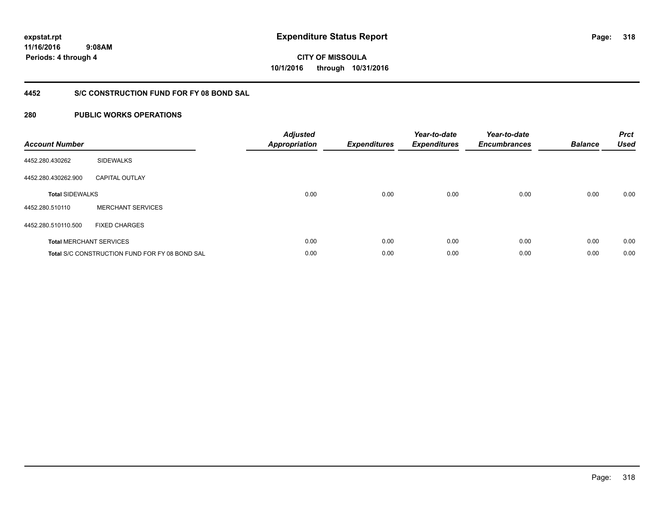**11/16/2016**

**318**

 **9:08AM Periods: 4 through 4**

**CITY OF MISSOULA 10/1/2016 through 10/31/2016**

## **4452 S/C CONSTRUCTION FUND FOR FY 08 BOND SAL**

| <b>Account Number</b>  |                                                       | <b>Adjusted</b><br>Appropriation | <b>Expenditures</b> | Year-to-date<br><b>Expenditures</b> | Year-to-date<br><b>Encumbrances</b> | <b>Balance</b> | <b>Prct</b><br><b>Used</b> |
|------------------------|-------------------------------------------------------|----------------------------------|---------------------|-------------------------------------|-------------------------------------|----------------|----------------------------|
| 4452.280.430262        | <b>SIDEWALKS</b>                                      |                                  |                     |                                     |                                     |                |                            |
| 4452.280.430262.900    | <b>CAPITAL OUTLAY</b>                                 |                                  |                     |                                     |                                     |                |                            |
| <b>Total SIDEWALKS</b> |                                                       | 0.00                             | 0.00                | 0.00                                | 0.00                                | 0.00           | 0.00                       |
| 4452.280.510110        | <b>MERCHANT SERVICES</b>                              |                                  |                     |                                     |                                     |                |                            |
| 4452.280.510110.500    | <b>FIXED CHARGES</b>                                  |                                  |                     |                                     |                                     |                |                            |
|                        | <b>Total MERCHANT SERVICES</b>                        | 0.00                             | 0.00                | 0.00                                | 0.00                                | 0.00           | 0.00                       |
|                        | <b>Total S/C CONSTRUCTION FUND FOR FY 08 BOND SAL</b> | 0.00                             | 0.00                | 0.00                                | 0.00                                | 0.00           | 0.00                       |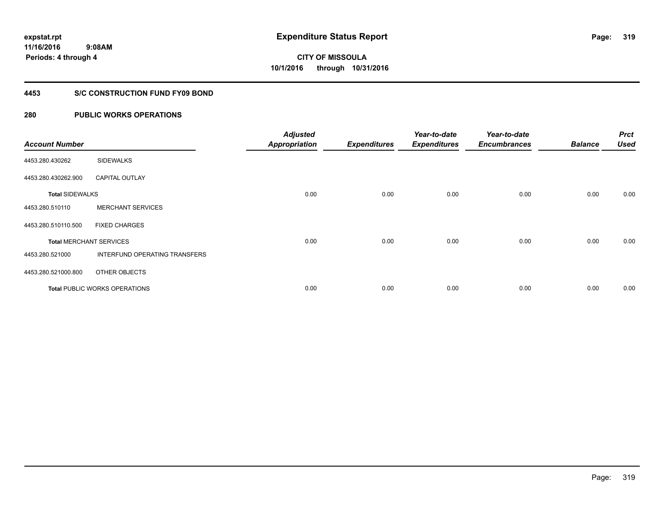### **4453 S/C CONSTRUCTION FUND FY09 BOND**

| <b>Account Number</b>  |                                      | <b>Adjusted</b><br><b>Appropriation</b> | <b>Expenditures</b> | Year-to-date<br><b>Expenditures</b> | Year-to-date<br><b>Encumbrances</b> | <b>Balance</b> | <b>Prct</b><br><b>Used</b> |
|------------------------|--------------------------------------|-----------------------------------------|---------------------|-------------------------------------|-------------------------------------|----------------|----------------------------|
| 4453.280.430262        | <b>SIDEWALKS</b>                     |                                         |                     |                                     |                                     |                |                            |
| 4453.280.430262.900    | <b>CAPITAL OUTLAY</b>                |                                         |                     |                                     |                                     |                |                            |
| <b>Total SIDEWALKS</b> |                                      | 0.00                                    | 0.00                | 0.00                                | 0.00                                | 0.00           | 0.00                       |
| 4453.280.510110        | <b>MERCHANT SERVICES</b>             |                                         |                     |                                     |                                     |                |                            |
| 4453.280.510110.500    | <b>FIXED CHARGES</b>                 |                                         |                     |                                     |                                     |                |                            |
|                        | <b>Total MERCHANT SERVICES</b>       | 0.00                                    | 0.00                | 0.00                                | 0.00                                | 0.00           | 0.00                       |
| 4453.280.521000        | INTERFUND OPERATING TRANSFERS        |                                         |                     |                                     |                                     |                |                            |
| 4453.280.521000.800    | OTHER OBJECTS                        |                                         |                     |                                     |                                     |                |                            |
|                        | <b>Total PUBLIC WORKS OPERATIONS</b> | 0.00                                    | 0.00                | 0.00                                | 0.00                                | 0.00           | 0.00                       |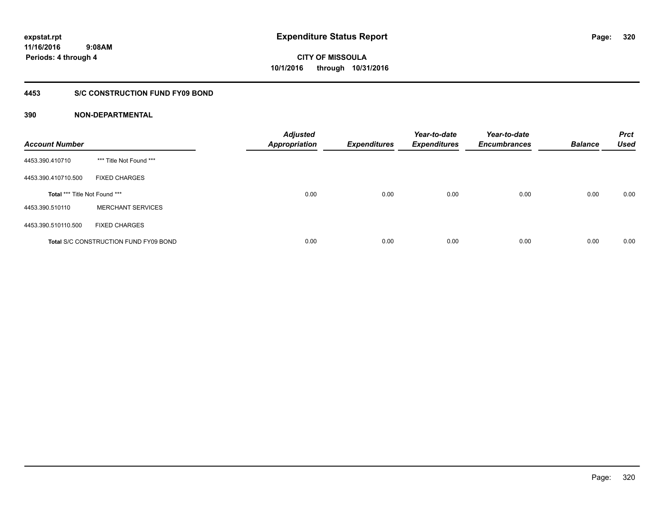## **4453 S/C CONSTRUCTION FUND FY09 BOND**

| <b>Account Number</b>         |                                              | <b>Adjusted</b><br><b>Appropriation</b> | <b>Expenditures</b> | Year-to-date<br><b>Expenditures</b> | Year-to-date<br><b>Encumbrances</b> | <b>Balance</b> | <b>Prct</b><br><b>Used</b> |
|-------------------------------|----------------------------------------------|-----------------------------------------|---------------------|-------------------------------------|-------------------------------------|----------------|----------------------------|
| 4453.390.410710               | *** Title Not Found ***                      |                                         |                     |                                     |                                     |                |                            |
| 4453.390.410710.500           | <b>FIXED CHARGES</b>                         |                                         |                     |                                     |                                     |                |                            |
| Total *** Title Not Found *** |                                              | 0.00                                    | 0.00                | 0.00                                | 0.00                                | 0.00           | 0.00                       |
| 4453.390.510110               | <b>MERCHANT SERVICES</b>                     |                                         |                     |                                     |                                     |                |                            |
| 4453.390.510110.500           | <b>FIXED CHARGES</b>                         |                                         |                     |                                     |                                     |                |                            |
|                               | <b>Total S/C CONSTRUCTION FUND FY09 BOND</b> | 0.00                                    | 0.00                | 0.00                                | 0.00                                | 0.00           | 0.00                       |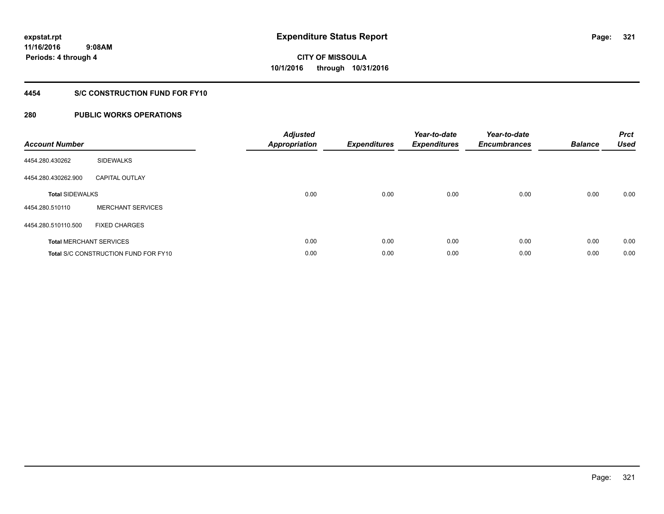## **4454 S/C CONSTRUCTION FUND FOR FY10**

| <b>Account Number</b>  |                                             | <b>Adjusted</b><br>Appropriation | <b>Expenditures</b> | Year-to-date<br><b>Expenditures</b> | Year-to-date<br><b>Encumbrances</b> | <b>Balance</b> | <b>Prct</b><br>Used |
|------------------------|---------------------------------------------|----------------------------------|---------------------|-------------------------------------|-------------------------------------|----------------|---------------------|
| 4454.280.430262        | <b>SIDEWALKS</b>                            |                                  |                     |                                     |                                     |                |                     |
| 4454.280.430262.900    | <b>CAPITAL OUTLAY</b>                       |                                  |                     |                                     |                                     |                |                     |
| <b>Total SIDEWALKS</b> |                                             | 0.00                             | 0.00                | 0.00                                | 0.00                                | 0.00           | 0.00                |
| 4454.280.510110        | <b>MERCHANT SERVICES</b>                    |                                  |                     |                                     |                                     |                |                     |
| 4454.280.510110.500    | <b>FIXED CHARGES</b>                        |                                  |                     |                                     |                                     |                |                     |
|                        | <b>Total MERCHANT SERVICES</b>              | 0.00                             | 0.00                | 0.00                                | 0.00                                | 0.00           | 0.00                |
|                        | <b>Total S/C CONSTRUCTION FUND FOR FY10</b> | 0.00                             | 0.00                | 0.00                                | 0.00                                | 0.00           | 0.00                |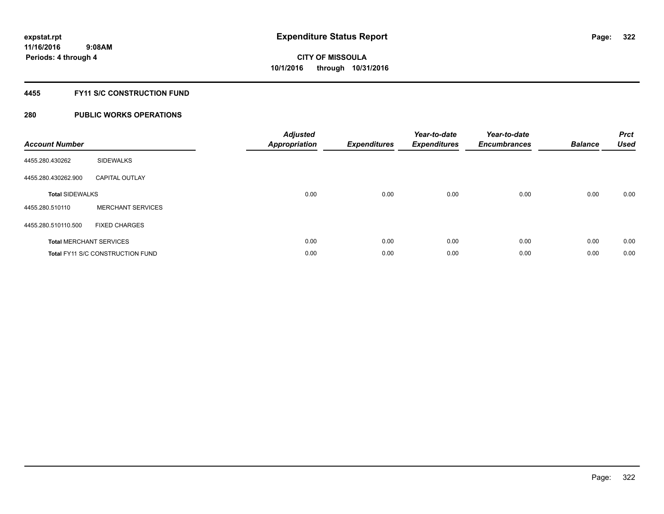## **4455 FY11 S/C CONSTRUCTION FUND**

| <b>Account Number</b>  |                                         | <b>Adjusted</b><br>Appropriation | <b>Expenditures</b> | Year-to-date<br><b>Expenditures</b> | Year-to-date<br><b>Encumbrances</b> | <b>Balance</b> | <b>Prct</b><br>Used |
|------------------------|-----------------------------------------|----------------------------------|---------------------|-------------------------------------|-------------------------------------|----------------|---------------------|
| 4455.280.430262        | <b>SIDEWALKS</b>                        |                                  |                     |                                     |                                     |                |                     |
| 4455.280.430262.900    | <b>CAPITAL OUTLAY</b>                   |                                  |                     |                                     |                                     |                |                     |
| <b>Total SIDEWALKS</b> |                                         | 0.00                             | 0.00                | 0.00                                | 0.00                                | 0.00           | 0.00                |
| 4455.280.510110        | <b>MERCHANT SERVICES</b>                |                                  |                     |                                     |                                     |                |                     |
| 4455.280.510110.500    | <b>FIXED CHARGES</b>                    |                                  |                     |                                     |                                     |                |                     |
|                        | <b>Total MERCHANT SERVICES</b>          | 0.00                             | 0.00                | 0.00                                | 0.00                                | 0.00           | 0.00                |
|                        | <b>Total FY11 S/C CONSTRUCTION FUND</b> | 0.00                             | 0.00                | 0.00                                | 0.00                                | 0.00           | 0.00                |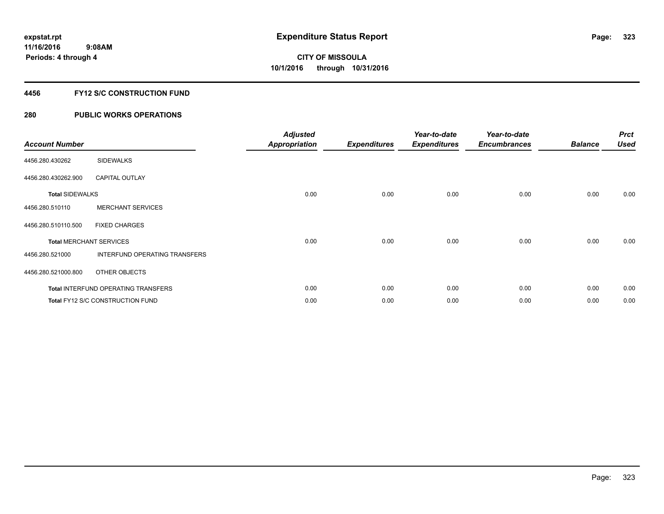## **4456 FY12 S/C CONSTRUCTION FUND**

| <b>Account Number</b>  |                                            | <b>Adjusted</b><br><b>Appropriation</b> | <b>Expenditures</b> | Year-to-date<br><b>Expenditures</b> | Year-to-date<br><b>Encumbrances</b> | <b>Balance</b> | <b>Prct</b><br><b>Used</b> |
|------------------------|--------------------------------------------|-----------------------------------------|---------------------|-------------------------------------|-------------------------------------|----------------|----------------------------|
| 4456.280.430262        | <b>SIDEWALKS</b>                           |                                         |                     |                                     |                                     |                |                            |
| 4456.280.430262.900    | <b>CAPITAL OUTLAY</b>                      |                                         |                     |                                     |                                     |                |                            |
| <b>Total SIDEWALKS</b> |                                            | 0.00                                    | 0.00                | 0.00                                | 0.00                                | 0.00           | 0.00                       |
| 4456.280.510110        | <b>MERCHANT SERVICES</b>                   |                                         |                     |                                     |                                     |                |                            |
| 4456.280.510110.500    | <b>FIXED CHARGES</b>                       |                                         |                     |                                     |                                     |                |                            |
|                        | <b>Total MERCHANT SERVICES</b>             | 0.00                                    | 0.00                | 0.00                                | 0.00                                | 0.00           | 0.00                       |
| 4456.280.521000        | INTERFUND OPERATING TRANSFERS              |                                         |                     |                                     |                                     |                |                            |
| 4456.280.521000.800    | OTHER OBJECTS                              |                                         |                     |                                     |                                     |                |                            |
|                        | <b>Total INTERFUND OPERATING TRANSFERS</b> | 0.00                                    | 0.00                | 0.00                                | 0.00                                | 0.00           | 0.00                       |
|                        | Total FY12 S/C CONSTRUCTION FUND           | 0.00                                    | 0.00                | 0.00                                | 0.00                                | 0.00           | 0.00                       |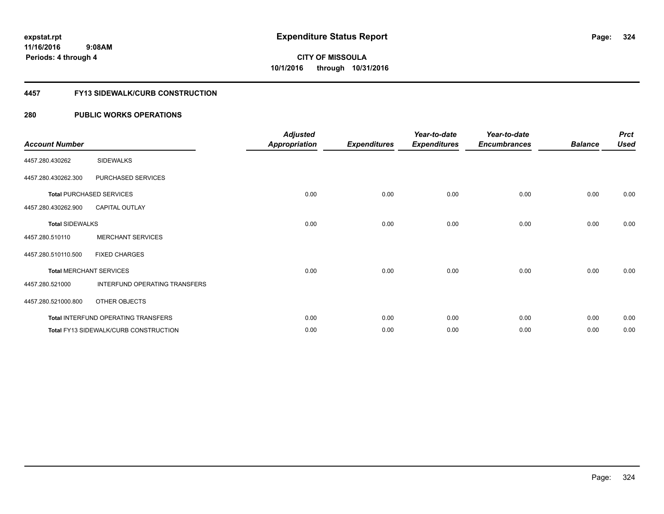#### **4457 FY13 SIDEWALK/CURB CONSTRUCTION**

| <b>Account Number</b>  |                                       | <b>Adjusted</b><br><b>Appropriation</b> | <b>Expenditures</b> | Year-to-date<br><b>Expenditures</b> | Year-to-date<br><b>Encumbrances</b> | <b>Balance</b> | <b>Prct</b><br><b>Used</b> |
|------------------------|---------------------------------------|-----------------------------------------|---------------------|-------------------------------------|-------------------------------------|----------------|----------------------------|
| 4457.280.430262        | <b>SIDEWALKS</b>                      |                                         |                     |                                     |                                     |                |                            |
| 4457.280.430262.300    | PURCHASED SERVICES                    |                                         |                     |                                     |                                     |                |                            |
|                        | <b>Total PURCHASED SERVICES</b>       | 0.00                                    | 0.00                | 0.00                                | 0.00                                | 0.00           | 0.00                       |
| 4457.280.430262.900    | <b>CAPITAL OUTLAY</b>                 |                                         |                     |                                     |                                     |                |                            |
| <b>Total SIDEWALKS</b> |                                       | 0.00                                    | 0.00                | 0.00                                | 0.00                                | 0.00           | 0.00                       |
| 4457.280.510110        | <b>MERCHANT SERVICES</b>              |                                         |                     |                                     |                                     |                |                            |
| 4457.280.510110.500    | <b>FIXED CHARGES</b>                  |                                         |                     |                                     |                                     |                |                            |
|                        | <b>Total MERCHANT SERVICES</b>        | 0.00                                    | 0.00                | 0.00                                | 0.00                                | 0.00           | 0.00                       |
| 4457.280.521000        | INTERFUND OPERATING TRANSFERS         |                                         |                     |                                     |                                     |                |                            |
| 4457.280.521000.800    | <b>OTHER OBJECTS</b>                  |                                         |                     |                                     |                                     |                |                            |
|                        | Total INTERFUND OPERATING TRANSFERS   | 0.00                                    | 0.00                | 0.00                                | 0.00                                | 0.00           | 0.00                       |
|                        | Total FY13 SIDEWALK/CURB CONSTRUCTION | 0.00                                    | 0.00                | 0.00                                | 0.00                                | 0.00           | 0.00                       |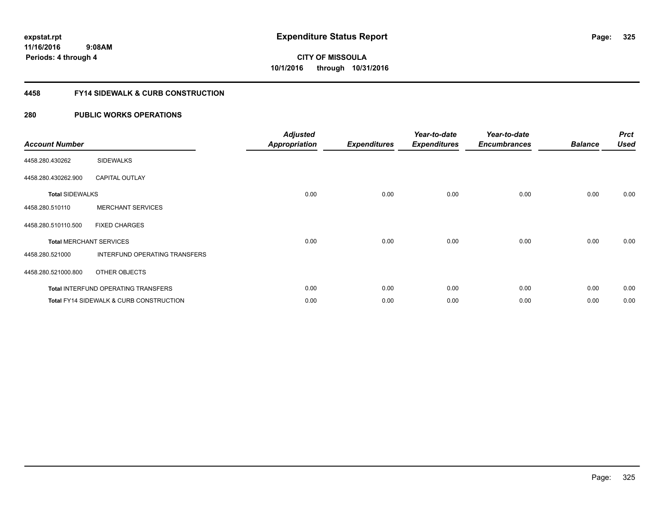#### **4458 FY14 SIDEWALK & CURB CONSTRUCTION**

| <b>Account Number</b>  |                                                    | <b>Adjusted</b><br><b>Appropriation</b> | <b>Expenditures</b> | Year-to-date<br><b>Expenditures</b> | Year-to-date<br><b>Encumbrances</b> | <b>Balance</b> | <b>Prct</b><br><b>Used</b> |
|------------------------|----------------------------------------------------|-----------------------------------------|---------------------|-------------------------------------|-------------------------------------|----------------|----------------------------|
| 4458.280.430262        | <b>SIDEWALKS</b>                                   |                                         |                     |                                     |                                     |                |                            |
| 4458.280.430262.900    | <b>CAPITAL OUTLAY</b>                              |                                         |                     |                                     |                                     |                |                            |
| <b>Total SIDEWALKS</b> |                                                    | 0.00                                    | 0.00                | 0.00                                | 0.00                                | 0.00           | 0.00                       |
| 4458.280.510110        | <b>MERCHANT SERVICES</b>                           |                                         |                     |                                     |                                     |                |                            |
| 4458.280.510110.500    | <b>FIXED CHARGES</b>                               |                                         |                     |                                     |                                     |                |                            |
|                        | <b>Total MERCHANT SERVICES</b>                     | 0.00                                    | 0.00                | 0.00                                | 0.00                                | 0.00           | 0.00                       |
| 4458.280.521000        | INTERFUND OPERATING TRANSFERS                      |                                         |                     |                                     |                                     |                |                            |
| 4458.280.521000.800    | OTHER OBJECTS                                      |                                         |                     |                                     |                                     |                |                            |
|                        | <b>Total INTERFUND OPERATING TRANSFERS</b>         | 0.00                                    | 0.00                | 0.00                                | 0.00                                | 0.00           | 0.00                       |
|                        | <b>Total FY14 SIDEWALK &amp; CURB CONSTRUCTION</b> | 0.00                                    | 0.00                | 0.00                                | 0.00                                | 0.00           | 0.00                       |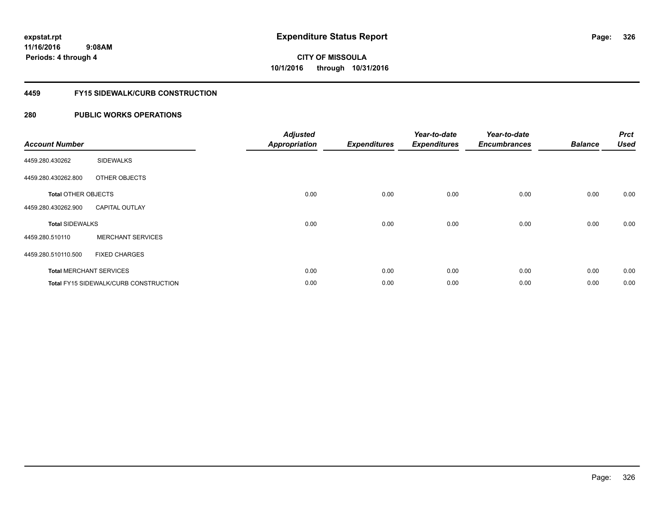#### **4459 FY15 SIDEWALK/CURB CONSTRUCTION**

| <b>Account Number</b>      |                                       | <b>Adjusted</b><br><b>Appropriation</b> | <b>Expenditures</b> | Year-to-date<br><b>Expenditures</b> | Year-to-date<br><b>Encumbrances</b> | <b>Balance</b> | <b>Prct</b><br><b>Used</b> |
|----------------------------|---------------------------------------|-----------------------------------------|---------------------|-------------------------------------|-------------------------------------|----------------|----------------------------|
| 4459.280.430262            | <b>SIDEWALKS</b>                      |                                         |                     |                                     |                                     |                |                            |
| 4459.280.430262.800        | OTHER OBJECTS                         |                                         |                     |                                     |                                     |                |                            |
| <b>Total OTHER OBJECTS</b> |                                       | 0.00                                    | 0.00                | 0.00                                | 0.00                                | 0.00           | 0.00                       |
| 4459.280.430262.900        | <b>CAPITAL OUTLAY</b>                 |                                         |                     |                                     |                                     |                |                            |
| <b>Total SIDEWALKS</b>     |                                       | 0.00                                    | 0.00                | 0.00                                | 0.00                                | 0.00           | 0.00                       |
| 4459.280.510110            | <b>MERCHANT SERVICES</b>              |                                         |                     |                                     |                                     |                |                            |
| 4459.280.510110.500        | <b>FIXED CHARGES</b>                  |                                         |                     |                                     |                                     |                |                            |
|                            | <b>Total MERCHANT SERVICES</b>        | 0.00                                    | 0.00                | 0.00                                | 0.00                                | 0.00           | 0.00                       |
|                            | Total FY15 SIDEWALK/CURB CONSTRUCTION | 0.00                                    | 0.00                | 0.00                                | 0.00                                | 0.00           | 0.00                       |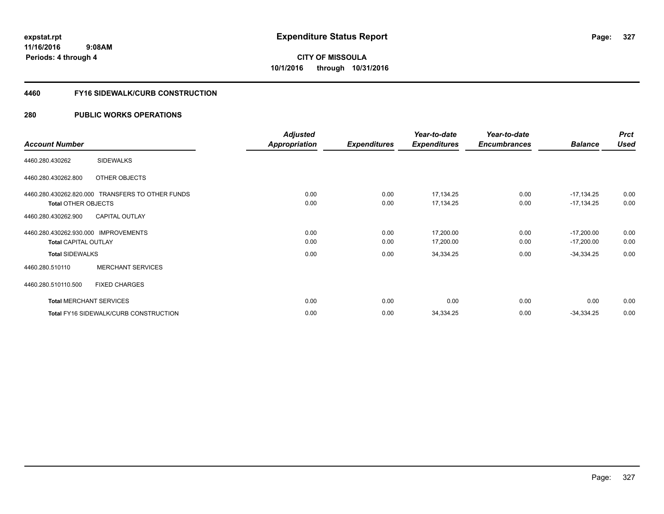#### **4460 FY16 SIDEWALK/CURB CONSTRUCTION**

|                                                  | <b>Adjusted</b> |                     | Year-to-date        | Year-to-date        |                | <b>Prct</b> |
|--------------------------------------------------|-----------------|---------------------|---------------------|---------------------|----------------|-------------|
| <b>Account Number</b>                            | Appropriation   | <b>Expenditures</b> | <b>Expenditures</b> | <b>Encumbrances</b> | <b>Balance</b> | <b>Used</b> |
| <b>SIDEWALKS</b><br>4460.280.430262              |                 |                     |                     |                     |                |             |
| OTHER OBJECTS<br>4460.280.430262.800             |                 |                     |                     |                     |                |             |
| 4460.280.430262.820.000 TRANSFERS TO OTHER FUNDS | 0.00            | 0.00                | 17,134.25           | 0.00                | $-17,134.25$   | 0.00        |
| <b>Total OTHER OBJECTS</b>                       | 0.00            | 0.00                | 17,134.25           | 0.00                | $-17,134.25$   | 0.00        |
| <b>CAPITAL OUTLAY</b><br>4460.280.430262.900     |                 |                     |                     |                     |                |             |
| 4460.280.430262.930.000 IMPROVEMENTS             | 0.00            | 0.00                | 17,200.00           | 0.00                | $-17,200.00$   | 0.00        |
| <b>Total CAPITAL OUTLAY</b>                      | 0.00            | 0.00                | 17,200.00           | 0.00                | $-17,200.00$   | 0.00        |
| <b>Total SIDEWALKS</b>                           | 0.00            | 0.00                | 34,334.25           | 0.00                | $-34,334.25$   | 0.00        |
| <b>MERCHANT SERVICES</b><br>4460.280.510110      |                 |                     |                     |                     |                |             |
| 4460.280.510110.500<br><b>FIXED CHARGES</b>      |                 |                     |                     |                     |                |             |
| <b>Total MERCHANT SERVICES</b>                   | 0.00            | 0.00                | 0.00                | 0.00                | 0.00           | 0.00        |
| <b>Total FY16 SIDEWALK/CURB CONSTRUCTION</b>     | 0.00            | 0.00                | 34,334.25           | 0.00                | $-34,334.25$   | 0.00        |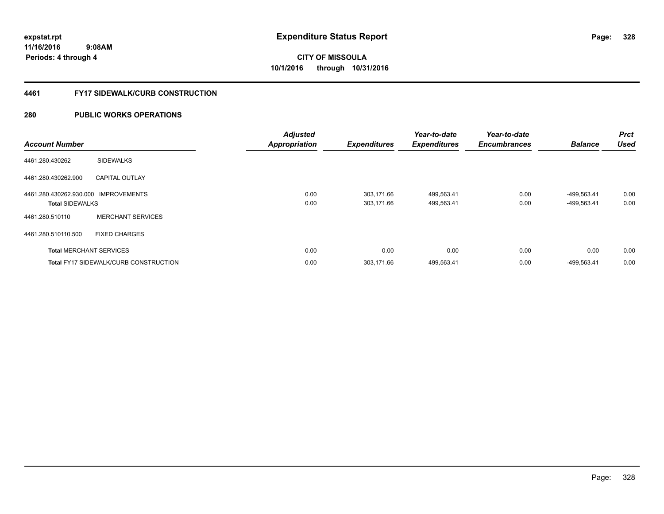#### **4461 FY17 SIDEWALK/CURB CONSTRUCTION**

| <b>Account Number</b>                                          |                                              | <b>Adjusted</b><br><b>Appropriation</b> | <b>Expenditures</b>      | Year-to-date<br><b>Expenditures</b> | Year-to-date<br><b>Encumbrances</b> | <b>Balance</b>             | <b>Prct</b><br><b>Used</b> |
|----------------------------------------------------------------|----------------------------------------------|-----------------------------------------|--------------------------|-------------------------------------|-------------------------------------|----------------------------|----------------------------|
| 4461.280.430262                                                | <b>SIDEWALKS</b>                             |                                         |                          |                                     |                                     |                            |                            |
| 4461.280.430262.900                                            | <b>CAPITAL OUTLAY</b>                        |                                         |                          |                                     |                                     |                            |                            |
| 4461.280.430262.930.000 IMPROVEMENTS<br><b>Total SIDEWALKS</b> |                                              | 0.00<br>0.00                            | 303,171.66<br>303,171.66 | 499,563.41<br>499,563.41            | 0.00<br>0.00                        | -499,563.41<br>-499,563.41 | 0.00<br>0.00               |
| 4461.280.510110                                                | <b>MERCHANT SERVICES</b>                     |                                         |                          |                                     |                                     |                            |                            |
| 4461.280.510110.500                                            | <b>FIXED CHARGES</b>                         |                                         |                          |                                     |                                     |                            |                            |
|                                                                | <b>Total MERCHANT SERVICES</b>               | 0.00                                    | 0.00                     | 0.00                                | 0.00                                | 0.00                       | 0.00                       |
|                                                                | <b>Total FY17 SIDEWALK/CURB CONSTRUCTION</b> | 0.00                                    | 303,171.66               | 499,563.41                          | 0.00                                | -499,563.41                | 0.00                       |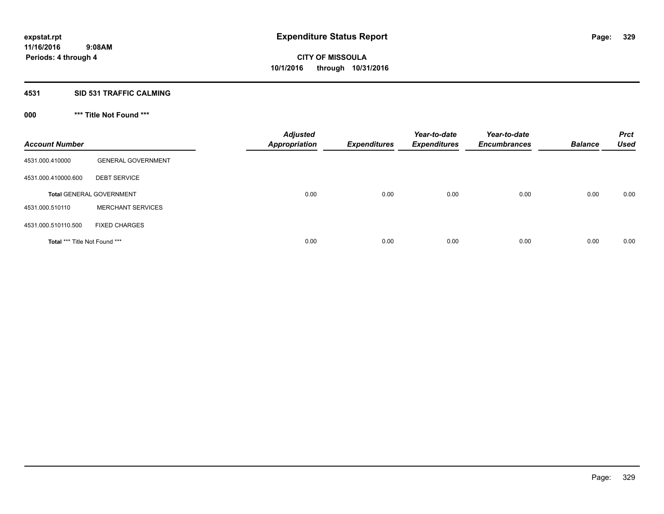#### **4531 SID 531 TRAFFIC CALMING**

### **000 \*\*\* Title Not Found \*\*\***

| <b>Account Number</b>         |                                 | <b>Adjusted</b><br><b>Appropriation</b> | <b>Expenditures</b> | Year-to-date<br><b>Expenditures</b> | Year-to-date<br><b>Encumbrances</b> | <b>Balance</b> | <b>Prct</b><br><b>Used</b> |
|-------------------------------|---------------------------------|-----------------------------------------|---------------------|-------------------------------------|-------------------------------------|----------------|----------------------------|
| 4531.000.410000               | <b>GENERAL GOVERNMENT</b>       |                                         |                     |                                     |                                     |                |                            |
| 4531.000.410000.600           | <b>DEBT SERVICE</b>             |                                         |                     |                                     |                                     |                |                            |
|                               | <b>Total GENERAL GOVERNMENT</b> | 0.00                                    | 0.00                | 0.00                                | 0.00                                | 0.00           | 0.00                       |
| 4531.000.510110               | <b>MERCHANT SERVICES</b>        |                                         |                     |                                     |                                     |                |                            |
| 4531.000.510110.500           | <b>FIXED CHARGES</b>            |                                         |                     |                                     |                                     |                |                            |
| Total *** Title Not Found *** |                                 | 0.00                                    | 0.00                | 0.00                                | 0.00                                | 0.00           | 0.00                       |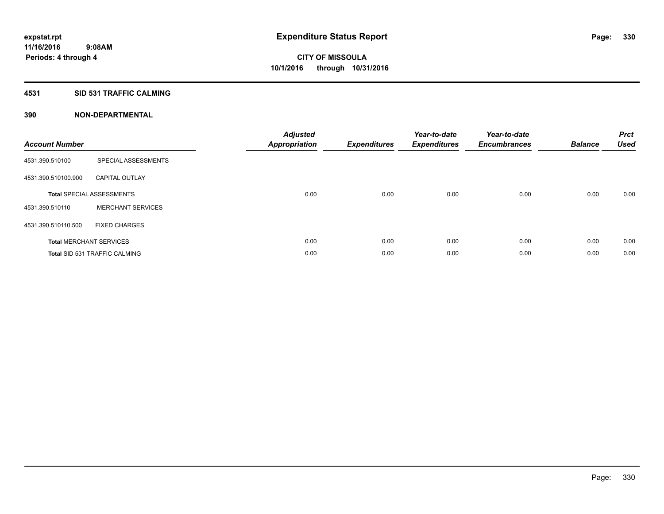### **4531 SID 531 TRAFFIC CALMING**

| <b>Account Number</b> |                                      | <b>Adjusted</b><br>Appropriation | <b>Expenditures</b> | Year-to-date<br><b>Expenditures</b> | Year-to-date<br><b>Encumbrances</b> | <b>Balance</b> | <b>Prct</b><br><b>Used</b> |
|-----------------------|--------------------------------------|----------------------------------|---------------------|-------------------------------------|-------------------------------------|----------------|----------------------------|
| 4531.390.510100       | SPECIAL ASSESSMENTS                  |                                  |                     |                                     |                                     |                |                            |
| 4531.390.510100.900   | <b>CAPITAL OUTLAY</b>                |                                  |                     |                                     |                                     |                |                            |
|                       | <b>Total SPECIAL ASSESSMENTS</b>     | 0.00                             | 0.00                | 0.00                                | 0.00                                | 0.00           | 0.00                       |
| 4531.390.510110       | <b>MERCHANT SERVICES</b>             |                                  |                     |                                     |                                     |                |                            |
| 4531.390.510110.500   | <b>FIXED CHARGES</b>                 |                                  |                     |                                     |                                     |                |                            |
|                       | <b>Total MERCHANT SERVICES</b>       | 0.00                             | 0.00                | 0.00                                | 0.00                                | 0.00           | 0.00                       |
|                       | <b>Total SID 531 TRAFFIC CALMING</b> | 0.00                             | 0.00                | 0.00                                | 0.00                                | 0.00           | 0.00                       |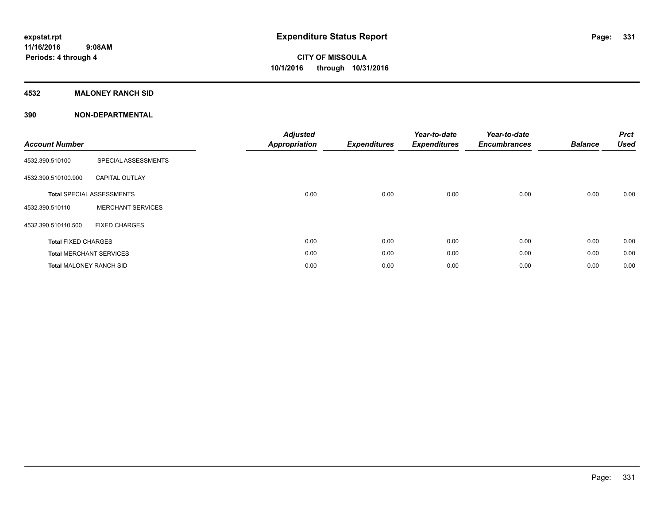### **4532 MALONEY RANCH SID**

| <b>Account Number</b>          |                                  | <b>Adjusted</b><br><b>Appropriation</b> | <b>Expenditures</b> | Year-to-date<br><b>Expenditures</b> | Year-to-date<br><b>Encumbrances</b> | <b>Balance</b> | <b>Prct</b><br><b>Used</b> |
|--------------------------------|----------------------------------|-----------------------------------------|---------------------|-------------------------------------|-------------------------------------|----------------|----------------------------|
| 4532.390.510100                | SPECIAL ASSESSMENTS              |                                         |                     |                                     |                                     |                |                            |
| 4532.390.510100.900            | <b>CAPITAL OUTLAY</b>            |                                         |                     |                                     |                                     |                |                            |
|                                | <b>Total SPECIAL ASSESSMENTS</b> | 0.00                                    | 0.00                | 0.00                                | 0.00                                | 0.00           | 0.00                       |
| 4532.390.510110                | <b>MERCHANT SERVICES</b>         |                                         |                     |                                     |                                     |                |                            |
| 4532.390.510110.500            | <b>FIXED CHARGES</b>             |                                         |                     |                                     |                                     |                |                            |
| <b>Total FIXED CHARGES</b>     |                                  | 0.00                                    | 0.00                | 0.00                                | 0.00                                | 0.00           | 0.00                       |
|                                | <b>Total MERCHANT SERVICES</b>   | 0.00                                    | 0.00                | 0.00                                | 0.00                                | 0.00           | 0.00                       |
| <b>Total MALONEY RANCH SID</b> |                                  | 0.00                                    | 0.00                | 0.00                                | 0.00                                | 0.00           | 0.00                       |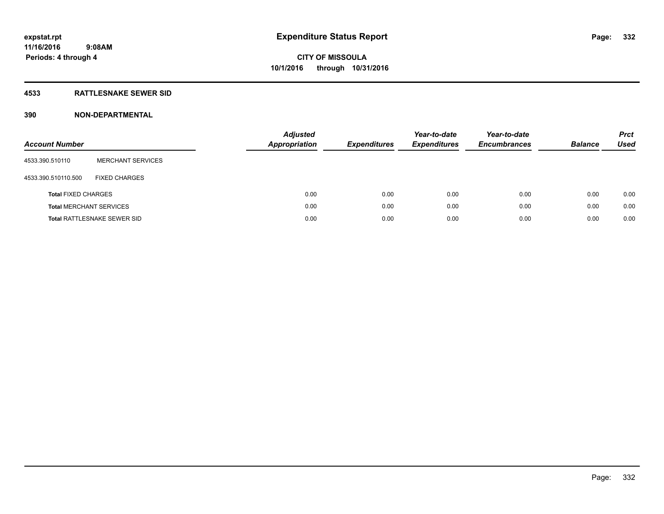### **4533 RATTLESNAKE SEWER SID**

| <b>Account Number</b>          |                             | <b>Adjusted</b><br><b>Appropriation</b> | <b>Expenditures</b> | Year-to-date<br><b>Expenditures</b> | Year-to-date<br><b>Encumbrances</b> | <b>Balance</b> | <b>Prct</b><br>Used |
|--------------------------------|-----------------------------|-----------------------------------------|---------------------|-------------------------------------|-------------------------------------|----------------|---------------------|
| 4533.390.510110                | <b>MERCHANT SERVICES</b>    |                                         |                     |                                     |                                     |                |                     |
| 4533.390.510110.500            | <b>FIXED CHARGES</b>        |                                         |                     |                                     |                                     |                |                     |
| <b>Total FIXED CHARGES</b>     |                             | 0.00                                    | 0.00                | 0.00                                | 0.00                                | 0.00           | 0.00                |
| <b>Total MERCHANT SERVICES</b> |                             | 0.00                                    | 0.00                | 0.00                                | 0.00                                | 0.00           | 0.00                |
|                                | Total RATTLESNAKE SEWER SID | 0.00                                    | 0.00                | 0.00                                | 0.00                                | 0.00           | 0.00                |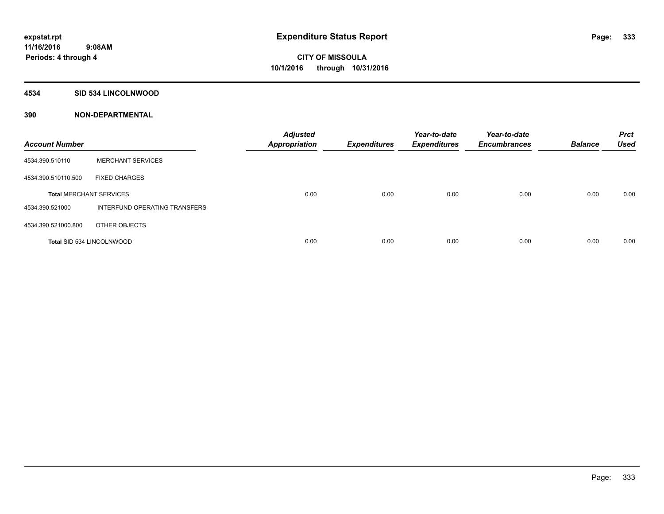#### **4534 SID 534 LINCOLNWOOD**

| <b>Account Number</b>            |                               | <b>Adjusted</b><br><b>Appropriation</b> | <b>Expenditures</b> | Year-to-date<br><b>Expenditures</b> | Year-to-date<br><b>Encumbrances</b> | <b>Balance</b> | <b>Prct</b><br><b>Used</b> |
|----------------------------------|-------------------------------|-----------------------------------------|---------------------|-------------------------------------|-------------------------------------|----------------|----------------------------|
| 4534.390.510110                  | <b>MERCHANT SERVICES</b>      |                                         |                     |                                     |                                     |                |                            |
| 4534.390.510110.500              | <b>FIXED CHARGES</b>          |                                         |                     |                                     |                                     |                |                            |
| <b>Total MERCHANT SERVICES</b>   |                               | 0.00                                    | 0.00                | 0.00                                | 0.00                                | 0.00           | 0.00                       |
| 4534.390.521000                  | INTERFUND OPERATING TRANSFERS |                                         |                     |                                     |                                     |                |                            |
| 4534.390.521000.800              | OTHER OBJECTS                 |                                         |                     |                                     |                                     |                |                            |
| <b>Total SID 534 LINCOLNWOOD</b> |                               | 0.00                                    | 0.00                | 0.00                                | 0.00                                | 0.00           | 0.00                       |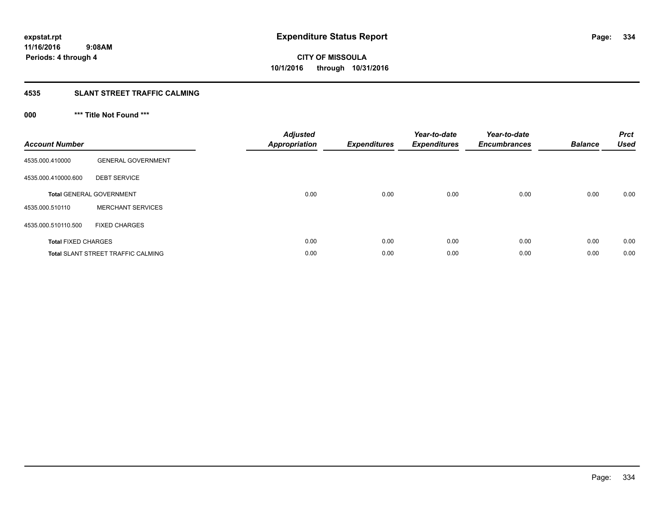### **4535 SLANT STREET TRAFFIC CALMING**

### **000 \*\*\* Title Not Found \*\*\***

| <b>Account Number</b>      |                                           | <b>Adjusted</b><br>Appropriation | <b>Expenditures</b> | Year-to-date<br><b>Expenditures</b> | Year-to-date<br><b>Encumbrances</b> | <b>Balance</b> | <b>Prct</b><br><b>Used</b> |
|----------------------------|-------------------------------------------|----------------------------------|---------------------|-------------------------------------|-------------------------------------|----------------|----------------------------|
| 4535.000.410000            | <b>GENERAL GOVERNMENT</b>                 |                                  |                     |                                     |                                     |                |                            |
| 4535.000.410000.600        | <b>DEBT SERVICE</b>                       |                                  |                     |                                     |                                     |                |                            |
|                            | <b>Total GENERAL GOVERNMENT</b>           | 0.00                             | 0.00                | 0.00                                | 0.00                                | 0.00           | 0.00                       |
| 4535.000.510110            | <b>MERCHANT SERVICES</b>                  |                                  |                     |                                     |                                     |                |                            |
| 4535.000.510110.500        | <b>FIXED CHARGES</b>                      |                                  |                     |                                     |                                     |                |                            |
| <b>Total FIXED CHARGES</b> |                                           | 0.00                             | 0.00                | 0.00                                | 0.00                                | 0.00           | 0.00                       |
|                            | <b>Total SLANT STREET TRAFFIC CALMING</b> | 0.00                             | 0.00                | 0.00                                | 0.00                                | 0.00           | 0.00                       |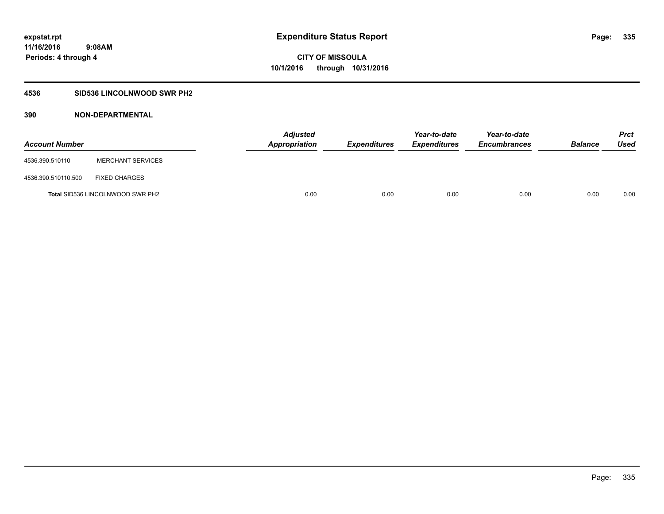### **4536 SID536 LINCOLNWOOD SWR PH2**

| <b>Account Number</b> |                                         | <b>Adjusted</b><br>Appropriation | <b>Expenditures</b> | Year-to-date<br><b>Expenditures</b> | Year-to-date<br><b>Encumbrances</b> | <b>Balance</b> | Prct<br><b>Used</b> |
|-----------------------|-----------------------------------------|----------------------------------|---------------------|-------------------------------------|-------------------------------------|----------------|---------------------|
| 4536.390.510110       | <b>MERCHANT SERVICES</b>                |                                  |                     |                                     |                                     |                |                     |
| 4536.390.510110.500   | <b>FIXED CHARGES</b>                    |                                  |                     |                                     |                                     |                |                     |
|                       | <b>Total SID536 LINCOLNWOOD SWR PH2</b> | 0.00                             | 0.00                | 0.00                                | 0.00                                | 0.00           | 0.00                |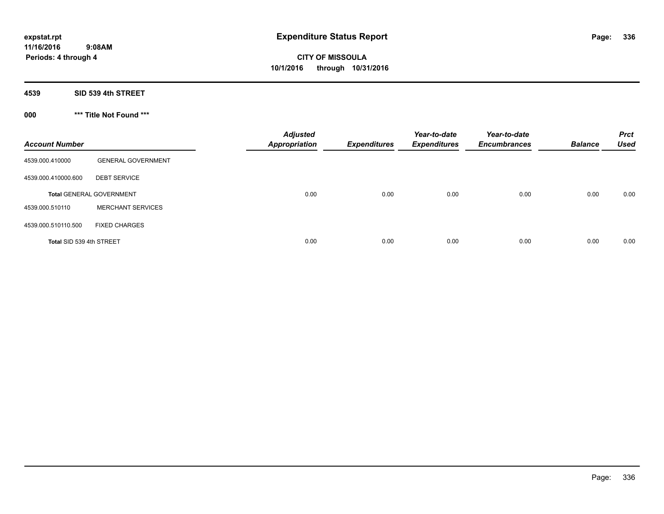**4539 SID 539 4th STREET**

**000 \*\*\* Title Not Found \*\*\***

| <b>Account Number</b>    |                                 | <b>Adjusted</b><br><b>Appropriation</b> | <b>Expenditures</b> | Year-to-date<br><b>Expenditures</b> | Year-to-date<br><b>Encumbrances</b> | <b>Balance</b> | <b>Prct</b><br><b>Used</b> |
|--------------------------|---------------------------------|-----------------------------------------|---------------------|-------------------------------------|-------------------------------------|----------------|----------------------------|
| 4539.000.410000          | <b>GENERAL GOVERNMENT</b>       |                                         |                     |                                     |                                     |                |                            |
| 4539.000.410000.600      | <b>DEBT SERVICE</b>             |                                         |                     |                                     |                                     |                |                            |
|                          | <b>Total GENERAL GOVERNMENT</b> | 0.00                                    | 0.00                | 0.00                                | 0.00                                | 0.00           | 0.00                       |
| 4539.000.510110          | <b>MERCHANT SERVICES</b>        |                                         |                     |                                     |                                     |                |                            |
| 4539.000.510110.500      | <b>FIXED CHARGES</b>            |                                         |                     |                                     |                                     |                |                            |
| Total SID 539 4th STREET |                                 | 0.00                                    | 0.00                | 0.00                                | 0.00                                | 0.00           | 0.00                       |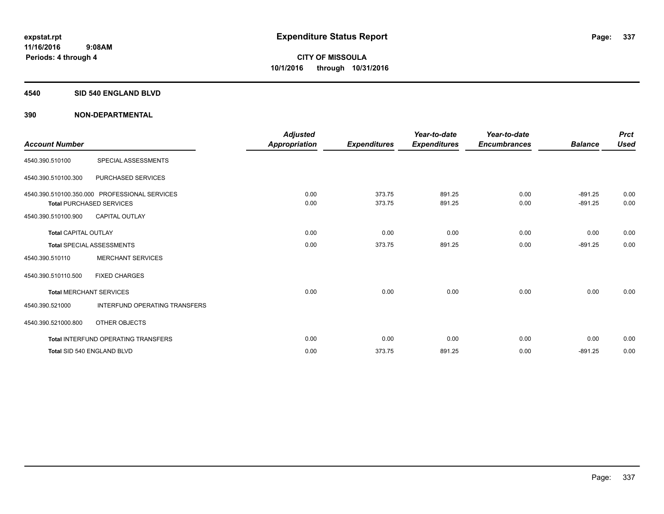#### **4540 SID 540 ENGLAND BLVD**

| <b>Account Number</b>       |                                                                                  | <b>Adjusted</b><br><b>Appropriation</b> | <b>Expenditures</b> | Year-to-date<br><b>Expenditures</b> | Year-to-date<br><b>Encumbrances</b> | <b>Balance</b>         | <b>Prct</b><br><b>Used</b> |
|-----------------------------|----------------------------------------------------------------------------------|-----------------------------------------|---------------------|-------------------------------------|-------------------------------------|------------------------|----------------------------|
| 4540.390.510100             | SPECIAL ASSESSMENTS                                                              |                                         |                     |                                     |                                     |                        |                            |
| 4540.390.510100.300         | PURCHASED SERVICES                                                               |                                         |                     |                                     |                                     |                        |                            |
|                             | 4540.390.510100.350.000 PROFESSIONAL SERVICES<br><b>Total PURCHASED SERVICES</b> | 0.00<br>0.00                            | 373.75<br>373.75    | 891.25<br>891.25                    | 0.00<br>0.00                        | $-891.25$<br>$-891.25$ | 0.00<br>0.00               |
| 4540.390.510100.900         | <b>CAPITAL OUTLAY</b>                                                            |                                         |                     |                                     |                                     |                        |                            |
| <b>Total CAPITAL OUTLAY</b> |                                                                                  | 0.00                                    | 0.00                | 0.00                                | 0.00                                | 0.00                   | 0.00                       |
|                             | <b>Total SPECIAL ASSESSMENTS</b>                                                 | 0.00                                    | 373.75              | 891.25                              | 0.00                                | $-891.25$              | 0.00                       |
| 4540.390.510110             | <b>MERCHANT SERVICES</b>                                                         |                                         |                     |                                     |                                     |                        |                            |
| 4540.390.510110.500         | <b>FIXED CHARGES</b>                                                             |                                         |                     |                                     |                                     |                        |                            |
|                             | <b>Total MERCHANT SERVICES</b>                                                   | 0.00                                    | 0.00                | 0.00                                | 0.00                                | 0.00                   | 0.00                       |
| 4540.390.521000             | <b>INTERFUND OPERATING TRANSFERS</b>                                             |                                         |                     |                                     |                                     |                        |                            |
| 4540.390.521000.800         | OTHER OBJECTS                                                                    |                                         |                     |                                     |                                     |                        |                            |
|                             | <b>Total INTERFUND OPERATING TRANSFERS</b>                                       | 0.00                                    | 0.00                | 0.00                                | 0.00                                | 0.00                   | 0.00                       |
|                             | Total SID 540 ENGLAND BLVD                                                       | 0.00                                    | 373.75              | 891.25                              | 0.00                                | $-891.25$              | 0.00                       |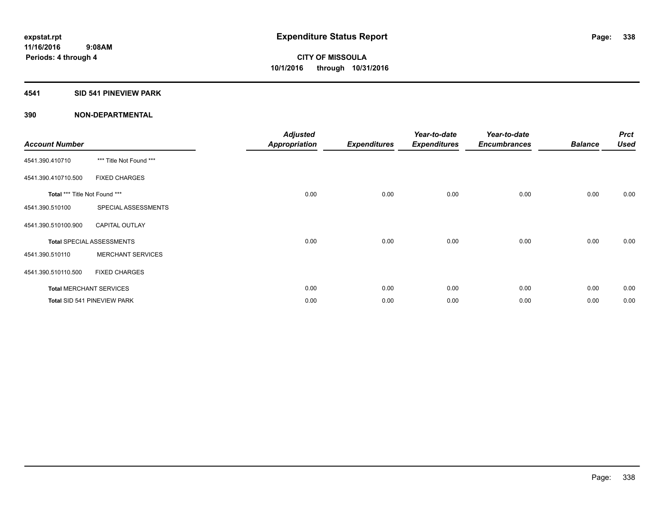### **4541 SID 541 PINEVIEW PARK**

| <b>Account Number</b>         |                                  | <b>Adjusted</b><br><b>Appropriation</b> | <b>Expenditures</b> | Year-to-date<br><b>Expenditures</b> | Year-to-date<br><b>Encumbrances</b> | <b>Balance</b> | <b>Prct</b><br><b>Used</b> |
|-------------------------------|----------------------------------|-----------------------------------------|---------------------|-------------------------------------|-------------------------------------|----------------|----------------------------|
| 4541.390.410710               | *** Title Not Found ***          |                                         |                     |                                     |                                     |                |                            |
| 4541.390.410710.500           | <b>FIXED CHARGES</b>             |                                         |                     |                                     |                                     |                |                            |
| Total *** Title Not Found *** |                                  | 0.00                                    | 0.00                | 0.00                                | 0.00                                | 0.00           | 0.00                       |
| 4541.390.510100               | SPECIAL ASSESSMENTS              |                                         |                     |                                     |                                     |                |                            |
| 4541.390.510100.900           | <b>CAPITAL OUTLAY</b>            |                                         |                     |                                     |                                     |                |                            |
|                               | <b>Total SPECIAL ASSESSMENTS</b> | 0.00                                    | 0.00                | 0.00                                | 0.00                                | 0.00           | 0.00                       |
| 4541.390.510110               | <b>MERCHANT SERVICES</b>         |                                         |                     |                                     |                                     |                |                            |
| 4541.390.510110.500           | <b>FIXED CHARGES</b>             |                                         |                     |                                     |                                     |                |                            |
|                               | <b>Total MERCHANT SERVICES</b>   | 0.00                                    | 0.00                | 0.00                                | 0.00                                | 0.00           | 0.00                       |
|                               | Total SID 541 PINEVIEW PARK      | 0.00                                    | 0.00                | 0.00                                | 0.00                                | 0.00           | 0.00                       |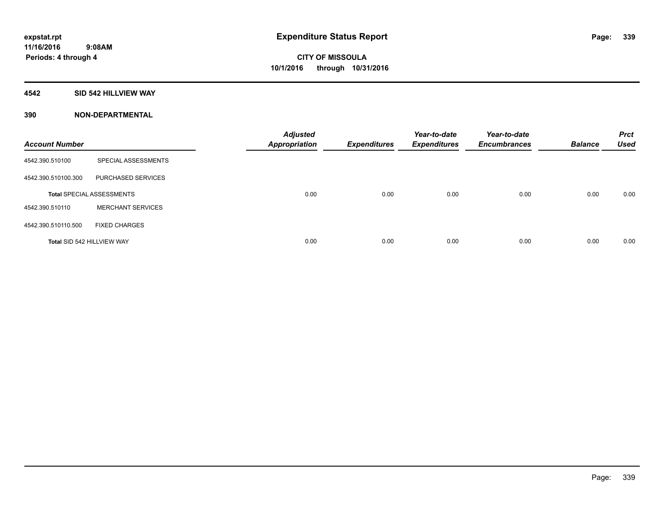### **4542 SID 542 HILLVIEW WAY**

| <b>Account Number</b> |                                  | <b>Adjusted</b><br><b>Appropriation</b> | <b>Expenditures</b> | Year-to-date<br><b>Expenditures</b> | Year-to-date<br><b>Encumbrances</b> | <b>Balance</b> | <b>Prct</b><br><b>Used</b> |
|-----------------------|----------------------------------|-----------------------------------------|---------------------|-------------------------------------|-------------------------------------|----------------|----------------------------|
| 4542.390.510100       | SPECIAL ASSESSMENTS              |                                         |                     |                                     |                                     |                |                            |
| 4542.390.510100.300   | PURCHASED SERVICES               |                                         |                     |                                     |                                     |                |                            |
|                       | <b>Total SPECIAL ASSESSMENTS</b> | 0.00                                    | 0.00                | 0.00                                | 0.00                                | 0.00           | 0.00                       |
| 4542.390.510110       | <b>MERCHANT SERVICES</b>         |                                         |                     |                                     |                                     |                |                            |
| 4542.390.510110.500   | <b>FIXED CHARGES</b>             |                                         |                     |                                     |                                     |                |                            |
|                       | Total SID 542 HILLVIEW WAY       | 0.00                                    | 0.00                | 0.00                                | 0.00                                | 0.00           | 0.00                       |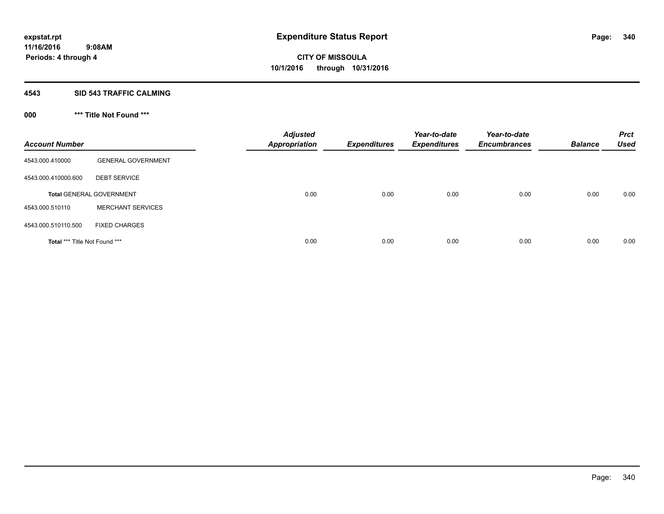#### **4543 SID 543 TRAFFIC CALMING**

### **000 \*\*\* Title Not Found \*\*\***

| <b>Account Number</b>         |                                 | <b>Adjusted</b><br><b>Appropriation</b> | <b>Expenditures</b> | Year-to-date<br><b>Expenditures</b> | Year-to-date<br><b>Encumbrances</b> | <b>Balance</b> | <b>Prct</b><br><b>Used</b> |
|-------------------------------|---------------------------------|-----------------------------------------|---------------------|-------------------------------------|-------------------------------------|----------------|----------------------------|
| 4543.000.410000               | <b>GENERAL GOVERNMENT</b>       |                                         |                     |                                     |                                     |                |                            |
| 4543.000.410000.600           | <b>DEBT SERVICE</b>             |                                         |                     |                                     |                                     |                |                            |
|                               | <b>Total GENERAL GOVERNMENT</b> | 0.00                                    | 0.00                | 0.00                                | 0.00                                | 0.00           | 0.00                       |
| 4543.000.510110               | <b>MERCHANT SERVICES</b>        |                                         |                     |                                     |                                     |                |                            |
| 4543.000.510110.500           | <b>FIXED CHARGES</b>            |                                         |                     |                                     |                                     |                |                            |
| Total *** Title Not Found *** |                                 | 0.00                                    | 0.00                | 0.00                                | 0.00                                | 0.00           | 0.00                       |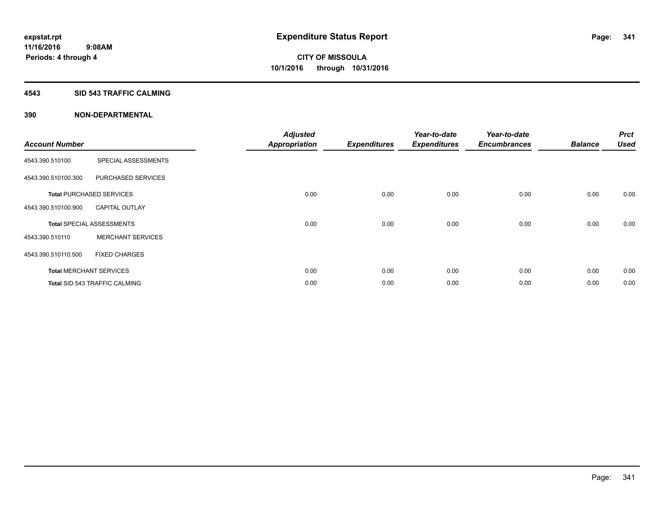#### **4543 SID 543 TRAFFIC CALMING**

| <b>Account Number</b> |                                      | <b>Adjusted</b><br><b>Appropriation</b> | <b>Expenditures</b> | Year-to-date<br><b>Expenditures</b> | Year-to-date<br><b>Encumbrances</b> | <b>Balance</b> | <b>Prct</b><br><b>Used</b> |
|-----------------------|--------------------------------------|-----------------------------------------|---------------------|-------------------------------------|-------------------------------------|----------------|----------------------------|
| 4543.390.510100       | SPECIAL ASSESSMENTS                  |                                         |                     |                                     |                                     |                |                            |
| 4543.390.510100.300   | PURCHASED SERVICES                   |                                         |                     |                                     |                                     |                |                            |
|                       | <b>Total PURCHASED SERVICES</b>      | 0.00                                    | 0.00                | 0.00                                | 0.00                                | 0.00           | 0.00                       |
| 4543.390.510100.900   | <b>CAPITAL OUTLAY</b>                |                                         |                     |                                     |                                     |                |                            |
|                       | <b>Total SPECIAL ASSESSMENTS</b>     | 0.00                                    | 0.00                | 0.00                                | 0.00                                | 0.00           | 0.00                       |
| 4543.390.510110       | <b>MERCHANT SERVICES</b>             |                                         |                     |                                     |                                     |                |                            |
| 4543.390.510110.500   | <b>FIXED CHARGES</b>                 |                                         |                     |                                     |                                     |                |                            |
|                       | <b>Total MERCHANT SERVICES</b>       | 0.00                                    | 0.00                | 0.00                                | 0.00                                | 0.00           | 0.00                       |
|                       | <b>Total SID 543 TRAFFIC CALMING</b> | 0.00                                    | 0.00                | 0.00                                | 0.00                                | 0.00           | 0.00                       |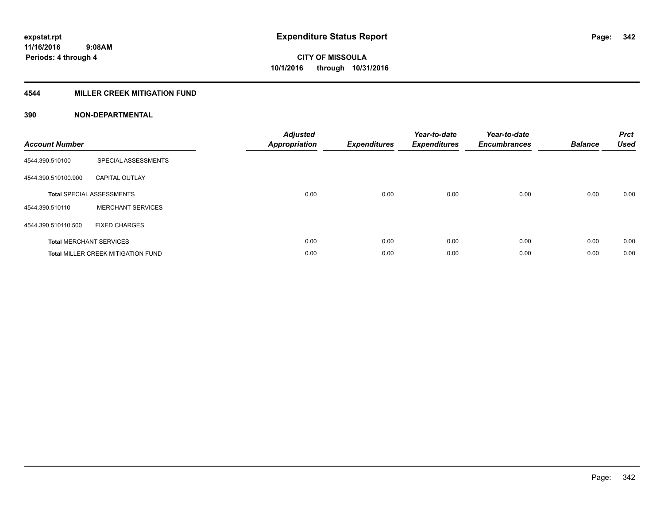### **4544 MILLER CREEK MITIGATION FUND**

| <b>Account Number</b> |                                           | <b>Adjusted</b><br><b>Appropriation</b> | <b>Expenditures</b> | Year-to-date<br><b>Expenditures</b> | Year-to-date<br><b>Encumbrances</b> | <b>Balance</b> | <b>Prct</b><br><b>Used</b> |
|-----------------------|-------------------------------------------|-----------------------------------------|---------------------|-------------------------------------|-------------------------------------|----------------|----------------------------|
| 4544.390.510100       | SPECIAL ASSESSMENTS                       |                                         |                     |                                     |                                     |                |                            |
| 4544.390.510100.900   | <b>CAPITAL OUTLAY</b>                     |                                         |                     |                                     |                                     |                |                            |
|                       | <b>Total SPECIAL ASSESSMENTS</b>          | 0.00                                    | 0.00                | 0.00                                | 0.00                                | 0.00           | 0.00                       |
| 4544.390.510110       | <b>MERCHANT SERVICES</b>                  |                                         |                     |                                     |                                     |                |                            |
| 4544.390.510110.500   | <b>FIXED CHARGES</b>                      |                                         |                     |                                     |                                     |                |                            |
|                       | <b>Total MERCHANT SERVICES</b>            | 0.00                                    | 0.00                | 0.00                                | 0.00                                | 0.00           | 0.00                       |
|                       | <b>Total MILLER CREEK MITIGATION FUND</b> | 0.00                                    | 0.00                | 0.00                                | 0.00                                | 0.00           | 0.00                       |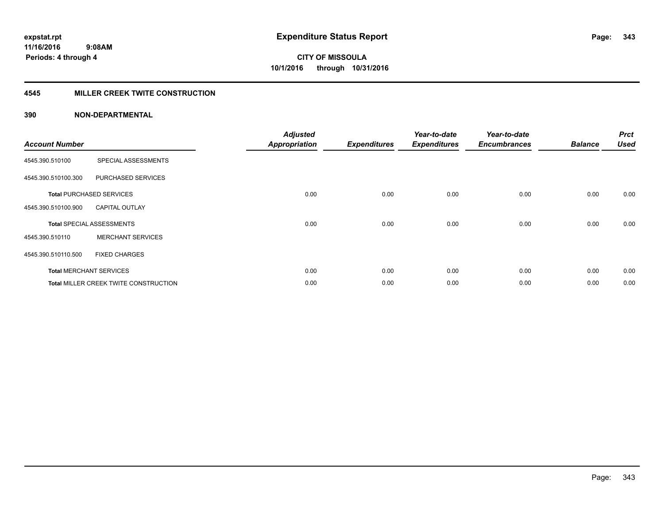### **4545 MILLER CREEK TWITE CONSTRUCTION**

| <b>Account Number</b> |                                              | <b>Adjusted</b><br><b>Appropriation</b> | <b>Expenditures</b> | Year-to-date<br><b>Expenditures</b> | Year-to-date<br><b>Encumbrances</b> | <b>Balance</b> | <b>Prct</b><br><b>Used</b> |
|-----------------------|----------------------------------------------|-----------------------------------------|---------------------|-------------------------------------|-------------------------------------|----------------|----------------------------|
| 4545.390.510100       | SPECIAL ASSESSMENTS                          |                                         |                     |                                     |                                     |                |                            |
| 4545.390.510100.300   | PURCHASED SERVICES                           |                                         |                     |                                     |                                     |                |                            |
|                       | <b>Total PURCHASED SERVICES</b>              | 0.00                                    | 0.00                | 0.00                                | 0.00                                | 0.00           | 0.00                       |
| 4545.390.510100.900   | <b>CAPITAL OUTLAY</b>                        |                                         |                     |                                     |                                     |                |                            |
|                       | <b>Total SPECIAL ASSESSMENTS</b>             | 0.00                                    | 0.00                | 0.00                                | 0.00                                | 0.00           | 0.00                       |
| 4545.390.510110       | <b>MERCHANT SERVICES</b>                     |                                         |                     |                                     |                                     |                |                            |
| 4545.390.510110.500   | <b>FIXED CHARGES</b>                         |                                         |                     |                                     |                                     |                |                            |
|                       | <b>Total MERCHANT SERVICES</b>               | 0.00                                    | 0.00                | 0.00                                | 0.00                                | 0.00           | 0.00                       |
|                       | <b>Total MILLER CREEK TWITE CONSTRUCTION</b> | 0.00                                    | 0.00                | 0.00                                | 0.00                                | 0.00           | 0.00                       |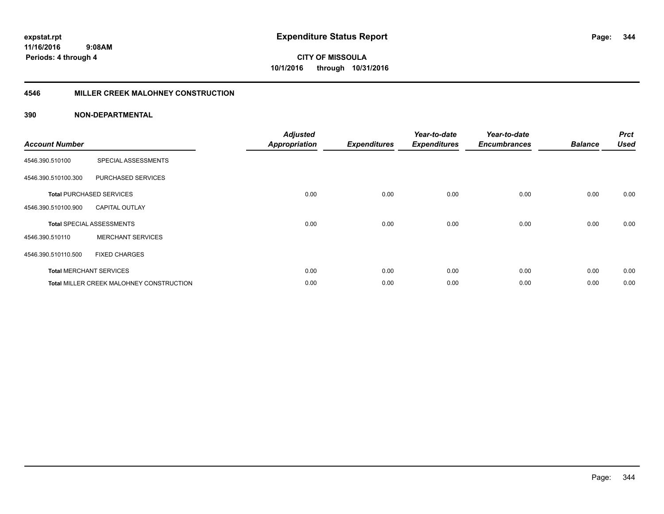**11/16/2016 9:08AM Periods: 4 through 4**

**CITY OF MISSOULA 10/1/2016 through 10/31/2016**

#### **4546 MILLER CREEK MALOHNEY CONSTRUCTION**

| <b>Account Number</b> |                                          | <b>Adjusted</b><br><b>Appropriation</b> | <b>Expenditures</b> | Year-to-date<br><b>Expenditures</b> | Year-to-date<br><b>Encumbrances</b> | <b>Balance</b> | <b>Prct</b><br><b>Used</b> |
|-----------------------|------------------------------------------|-----------------------------------------|---------------------|-------------------------------------|-------------------------------------|----------------|----------------------------|
| 4546.390.510100       | SPECIAL ASSESSMENTS                      |                                         |                     |                                     |                                     |                |                            |
| 4546.390.510100.300   | PURCHASED SERVICES                       |                                         |                     |                                     |                                     |                |                            |
|                       | <b>Total PURCHASED SERVICES</b>          | 0.00                                    | 0.00                | 0.00                                | 0.00                                | 0.00           | 0.00                       |
| 4546.390.510100.900   | <b>CAPITAL OUTLAY</b>                    |                                         |                     |                                     |                                     |                |                            |
|                       | <b>Total SPECIAL ASSESSMENTS</b>         | 0.00                                    | 0.00                | 0.00                                | 0.00                                | 0.00           | 0.00                       |
| 4546.390.510110       | <b>MERCHANT SERVICES</b>                 |                                         |                     |                                     |                                     |                |                            |
| 4546.390.510110.500   | <b>FIXED CHARGES</b>                     |                                         |                     |                                     |                                     |                |                            |
|                       | <b>Total MERCHANT SERVICES</b>           | 0.00                                    | 0.00                | 0.00                                | 0.00                                | 0.00           | 0.00                       |
|                       | Total MILLER CREEK MALOHNEY CONSTRUCTION | 0.00                                    | 0.00                | 0.00                                | 0.00                                | 0.00           | 0.00                       |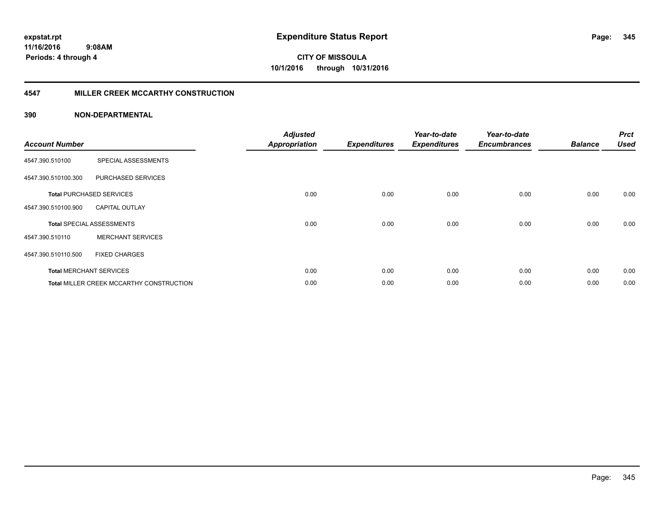**11/16/2016 9:08AM Periods: 4 through 4**

**CITY OF MISSOULA 10/1/2016 through 10/31/2016**

#### **4547 MILLER CREEK MCCARTHY CONSTRUCTION**

| <b>Account Number</b> |                                                 | <b>Adjusted</b><br><b>Appropriation</b> | <b>Expenditures</b> | Year-to-date<br><b>Expenditures</b> | Year-to-date<br><b>Encumbrances</b> | <b>Balance</b> | <b>Prct</b><br><b>Used</b> |
|-----------------------|-------------------------------------------------|-----------------------------------------|---------------------|-------------------------------------|-------------------------------------|----------------|----------------------------|
| 4547.390.510100       | SPECIAL ASSESSMENTS                             |                                         |                     |                                     |                                     |                |                            |
| 4547.390.510100.300   | PURCHASED SERVICES                              |                                         |                     |                                     |                                     |                |                            |
|                       | <b>Total PURCHASED SERVICES</b>                 | 0.00                                    | 0.00                | 0.00                                | 0.00                                | 0.00           | 0.00                       |
| 4547.390.510100.900   | <b>CAPITAL OUTLAY</b>                           |                                         |                     |                                     |                                     |                |                            |
|                       | <b>Total SPECIAL ASSESSMENTS</b>                | 0.00                                    | 0.00                | 0.00                                | 0.00                                | 0.00           | 0.00                       |
| 4547.390.510110       | <b>MERCHANT SERVICES</b>                        |                                         |                     |                                     |                                     |                |                            |
| 4547.390.510110.500   | <b>FIXED CHARGES</b>                            |                                         |                     |                                     |                                     |                |                            |
|                       | <b>Total MERCHANT SERVICES</b>                  | 0.00                                    | 0.00                | 0.00                                | 0.00                                | 0.00           | 0.00                       |
|                       | <b>Total MILLER CREEK MCCARTHY CONSTRUCTION</b> | 0.00                                    | 0.00                | 0.00                                | 0.00                                | 0.00           | 0.00                       |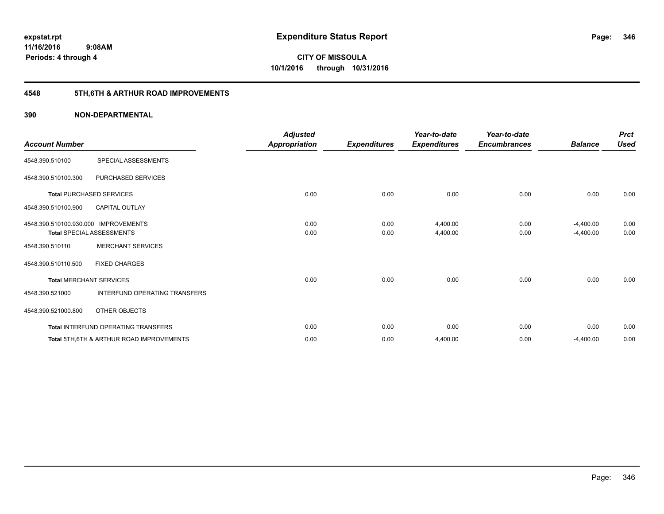### **4548 5TH,6TH & ARTHUR ROAD IMPROVEMENTS**

| <b>Account Number</b>                |                                                     | <b>Adjusted</b><br>Appropriation | <b>Expenditures</b> | Year-to-date<br><b>Expenditures</b> | Year-to-date<br><b>Encumbrances</b> | <b>Balance</b> | <b>Prct</b><br><b>Used</b> |
|--------------------------------------|-----------------------------------------------------|----------------------------------|---------------------|-------------------------------------|-------------------------------------|----------------|----------------------------|
| 4548.390.510100                      | SPECIAL ASSESSMENTS                                 |                                  |                     |                                     |                                     |                |                            |
| 4548.390.510100.300                  | PURCHASED SERVICES                                  |                                  |                     |                                     |                                     |                |                            |
|                                      | <b>Total PURCHASED SERVICES</b>                     | 0.00                             | 0.00                | 0.00                                | 0.00                                | 0.00           | 0.00                       |
| 4548.390.510100.900                  | <b>CAPITAL OUTLAY</b>                               |                                  |                     |                                     |                                     |                |                            |
| 4548.390.510100.930.000 IMPROVEMENTS |                                                     | 0.00                             | 0.00                | 4,400.00                            | 0.00                                | $-4,400.00$    | 0.00                       |
|                                      | <b>Total SPECIAL ASSESSMENTS</b>                    | 0.00                             | 0.00                | 4,400.00                            | 0.00                                | $-4,400.00$    | 0.00                       |
| 4548.390.510110                      | <b>MERCHANT SERVICES</b>                            |                                  |                     |                                     |                                     |                |                            |
| 4548.390.510110.500                  | <b>FIXED CHARGES</b>                                |                                  |                     |                                     |                                     |                |                            |
|                                      | <b>Total MERCHANT SERVICES</b>                      | 0.00                             | 0.00                | 0.00                                | 0.00                                | 0.00           | 0.00                       |
| 4548.390.521000                      | INTERFUND OPERATING TRANSFERS                       |                                  |                     |                                     |                                     |                |                            |
| 4548.390.521000.800                  | OTHER OBJECTS                                       |                                  |                     |                                     |                                     |                |                            |
|                                      | Total INTERFUND OPERATING TRANSFERS                 | 0.00                             | 0.00                | 0.00                                | 0.00                                | 0.00           | 0.00                       |
|                                      | <b>Total 5TH.6TH &amp; ARTHUR ROAD IMPROVEMENTS</b> | 0.00                             | 0.00                | 4,400.00                            | 0.00                                | $-4,400.00$    | 0.00                       |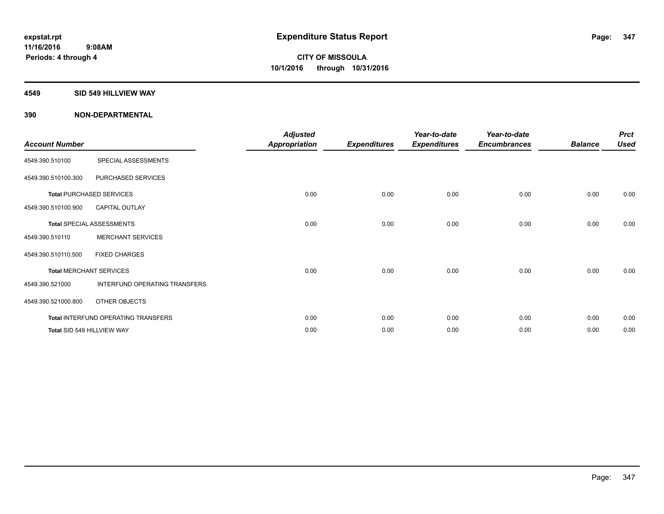#### **4549 SID 549 HILLVIEW WAY**

| <b>Account Number</b> |                                     | <b>Adjusted</b><br><b>Appropriation</b> | <b>Expenditures</b> | Year-to-date<br><b>Expenditures</b> | Year-to-date<br><b>Encumbrances</b> | <b>Balance</b> | <b>Prct</b><br><b>Used</b> |
|-----------------------|-------------------------------------|-----------------------------------------|---------------------|-------------------------------------|-------------------------------------|----------------|----------------------------|
| 4549.390.510100       | SPECIAL ASSESSMENTS                 |                                         |                     |                                     |                                     |                |                            |
| 4549.390.510100.300   | PURCHASED SERVICES                  |                                         |                     |                                     |                                     |                |                            |
|                       | <b>Total PURCHASED SERVICES</b>     | 0.00                                    | 0.00                | 0.00                                | 0.00                                | 0.00           | 0.00                       |
| 4549.390.510100.900   | <b>CAPITAL OUTLAY</b>               |                                         |                     |                                     |                                     |                |                            |
|                       | <b>Total SPECIAL ASSESSMENTS</b>    | 0.00                                    | 0.00                | 0.00                                | 0.00                                | 0.00           | 0.00                       |
| 4549.390.510110       | <b>MERCHANT SERVICES</b>            |                                         |                     |                                     |                                     |                |                            |
| 4549.390.510110.500   | <b>FIXED CHARGES</b>                |                                         |                     |                                     |                                     |                |                            |
|                       | <b>Total MERCHANT SERVICES</b>      | 0.00                                    | 0.00                | 0.00                                | 0.00                                | 0.00           | 0.00                       |
| 4549.390.521000       | INTERFUND OPERATING TRANSFERS       |                                         |                     |                                     |                                     |                |                            |
| 4549.390.521000.800   | OTHER OBJECTS                       |                                         |                     |                                     |                                     |                |                            |
|                       | Total INTERFUND OPERATING TRANSFERS | 0.00                                    | 0.00                | 0.00                                | 0.00                                | 0.00           | 0.00                       |
|                       | Total SID 549 HILLVIEW WAY          | 0.00                                    | 0.00                | 0.00                                | 0.00                                | 0.00           | 0.00                       |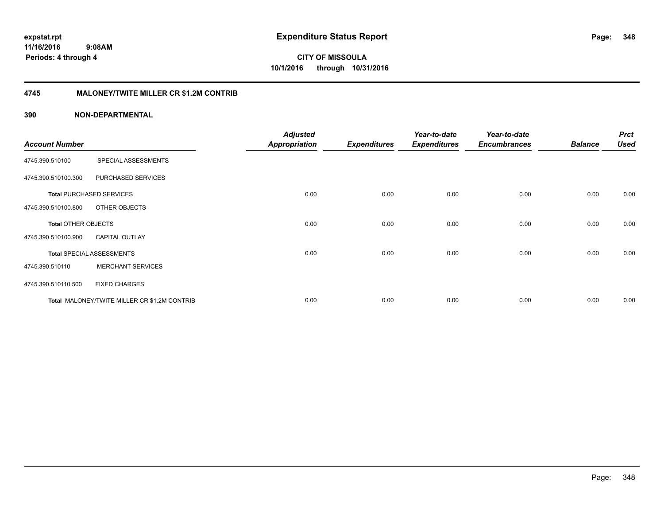**11/16/2016 9:08AM Periods: 4 through 4**

**CITY OF MISSOULA 10/1/2016 through 10/31/2016**

#### **4745 MALONEY/TWITE MILLER CR \$1.2M CONTRIB**

| <b>Account Number</b>      |                                              | <b>Adjusted</b><br><b>Appropriation</b> | <b>Expenditures</b> | Year-to-date<br><b>Expenditures</b> | Year-to-date<br><b>Encumbrances</b> | <b>Balance</b> | <b>Prct</b><br><b>Used</b> |
|----------------------------|----------------------------------------------|-----------------------------------------|---------------------|-------------------------------------|-------------------------------------|----------------|----------------------------|
|                            |                                              |                                         |                     |                                     |                                     |                |                            |
| 4745.390.510100            | SPECIAL ASSESSMENTS                          |                                         |                     |                                     |                                     |                |                            |
| 4745.390.510100.300        | PURCHASED SERVICES                           |                                         |                     |                                     |                                     |                |                            |
|                            | <b>Total PURCHASED SERVICES</b>              | 0.00                                    | 0.00                | 0.00                                | 0.00                                | 0.00           | 0.00                       |
| 4745.390.510100.800        | OTHER OBJECTS                                |                                         |                     |                                     |                                     |                |                            |
| <b>Total OTHER OBJECTS</b> |                                              | 0.00                                    | 0.00                | 0.00                                | 0.00                                | 0.00           | 0.00                       |
| 4745.390.510100.900        | <b>CAPITAL OUTLAY</b>                        |                                         |                     |                                     |                                     |                |                            |
|                            | <b>Total SPECIAL ASSESSMENTS</b>             | 0.00                                    | 0.00                | 0.00                                | 0.00                                | 0.00           | 0.00                       |
| 4745.390.510110            | <b>MERCHANT SERVICES</b>                     |                                         |                     |                                     |                                     |                |                            |
| 4745.390.510110.500        | <b>FIXED CHARGES</b>                         |                                         |                     |                                     |                                     |                |                            |
|                            | Total MALONEY/TWITE MILLER CR \$1.2M CONTRIB | 0.00                                    | 0.00                | 0.00                                | 0.00                                | 0.00           | 0.00                       |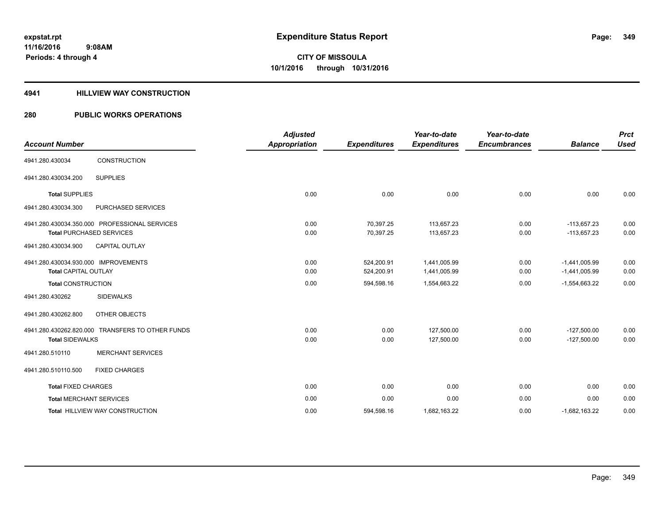#### **4941 HILLVIEW WAY CONSTRUCTION**

| <b>Account Number</b>                |                                                  | <b>Adjusted</b><br><b>Appropriation</b> | <b>Expenditures</b> | Year-to-date<br><b>Expenditures</b> | Year-to-date<br><b>Encumbrances</b> | <b>Balance</b>  | <b>Prct</b><br><b>Used</b> |
|--------------------------------------|--------------------------------------------------|-----------------------------------------|---------------------|-------------------------------------|-------------------------------------|-----------------|----------------------------|
|                                      |                                                  |                                         |                     |                                     |                                     |                 |                            |
| 4941.280.430034                      | CONSTRUCTION                                     |                                         |                     |                                     |                                     |                 |                            |
| 4941.280.430034.200                  | <b>SUPPLIES</b>                                  |                                         |                     |                                     |                                     |                 |                            |
| <b>Total SUPPLIES</b>                |                                                  | 0.00                                    | 0.00                | 0.00                                | 0.00                                | 0.00            | 0.00                       |
| 4941.280.430034.300                  | PURCHASED SERVICES                               |                                         |                     |                                     |                                     |                 |                            |
|                                      | 4941.280.430034.350.000 PROFESSIONAL SERVICES    | 0.00                                    | 70,397.25           | 113,657.23                          | 0.00                                | $-113,657.23$   | 0.00                       |
|                                      | <b>Total PURCHASED SERVICES</b>                  | 0.00                                    | 70,397.25           | 113,657.23                          | 0.00                                | $-113,657.23$   | 0.00                       |
| 4941.280.430034.900                  | CAPITAL OUTLAY                                   |                                         |                     |                                     |                                     |                 |                            |
| 4941.280.430034.930.000 IMPROVEMENTS |                                                  | 0.00                                    | 524.200.91          | 1.441.005.99                        | 0.00                                | $-1,441,005.99$ | 0.00                       |
| <b>Total CAPITAL OUTLAY</b>          |                                                  | 0.00                                    | 524,200.91          | 1,441,005.99                        | 0.00                                | $-1,441,005.99$ | 0.00                       |
| <b>Total CONSTRUCTION</b>            |                                                  | 0.00                                    | 594,598.16          | 1,554,663.22                        | 0.00                                | $-1,554,663.22$ | 0.00                       |
| 4941.280.430262                      | <b>SIDEWALKS</b>                                 |                                         |                     |                                     |                                     |                 |                            |
| 4941.280.430262.800                  | OTHER OBJECTS                                    |                                         |                     |                                     |                                     |                 |                            |
|                                      | 4941.280.430262.820.000 TRANSFERS TO OTHER FUNDS | 0.00                                    | 0.00                | 127,500.00                          | 0.00                                | $-127,500.00$   | 0.00                       |
| <b>Total SIDEWALKS</b>               |                                                  | 0.00                                    | 0.00                | 127,500.00                          | 0.00                                | $-127,500.00$   | 0.00                       |
| 4941.280.510110                      | <b>MERCHANT SERVICES</b>                         |                                         |                     |                                     |                                     |                 |                            |
| 4941.280.510110.500                  | <b>FIXED CHARGES</b>                             |                                         |                     |                                     |                                     |                 |                            |
| <b>Total FIXED CHARGES</b>           |                                                  | 0.00                                    | 0.00                | 0.00                                | 0.00                                | 0.00            | 0.00                       |
| <b>Total MERCHANT SERVICES</b>       |                                                  | 0.00                                    | 0.00                | 0.00                                | 0.00                                | 0.00            | 0.00                       |
|                                      | <b>Total HILLVIEW WAY CONSTRUCTION</b>           | 0.00                                    | 594,598.16          | 1,682,163.22                        | 0.00                                | $-1,682,163.22$ | 0.00                       |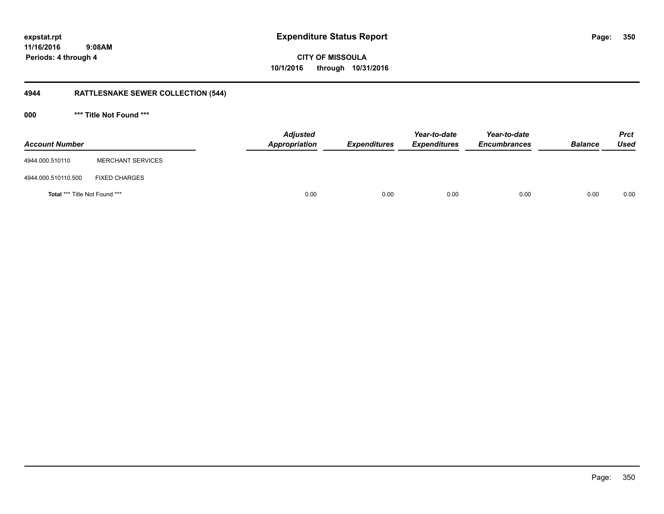**11/16/2016 9:08AM Periods: 4 through 4**

# **CITY OF MISSOULA 10/1/2016 through 10/31/2016**

### **4944 RATTLESNAKE SEWER COLLECTION (544)**

**000 \*\*\* Title Not Found \*\*\***

| <b>Account Number</b>                |                          | <b>Adjusted</b><br>Appropriation | <b>Expenditures</b> | Year-to-date<br><b>Expenditures</b> | Year-to-date<br><b>Encumbrances</b> | <b>Balance</b> | <b>Prct</b><br><b>Used</b> |
|--------------------------------------|--------------------------|----------------------------------|---------------------|-------------------------------------|-------------------------------------|----------------|----------------------------|
| 4944.000.510110                      | <b>MERCHANT SERVICES</b> |                                  |                     |                                     |                                     |                |                            |
| 4944.000.510110.500                  | <b>FIXED CHARGES</b>     |                                  |                     |                                     |                                     |                |                            |
| <b>Total *** Title Not Found ***</b> |                          | 0.00                             | 0.00                | 0.00                                | 0.00                                | 0.00           | 0.00                       |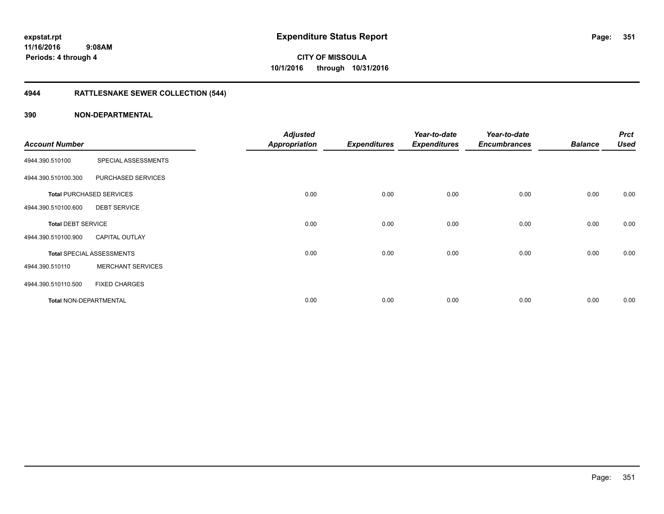### **4944 RATTLESNAKE SEWER COLLECTION (544)**

|                               |                                  | <b>Adjusted</b>      |                     | Year-to-date        | Year-to-date        |                | <b>Prct</b> |
|-------------------------------|----------------------------------|----------------------|---------------------|---------------------|---------------------|----------------|-------------|
| <b>Account Number</b>         |                                  | <b>Appropriation</b> | <b>Expenditures</b> | <b>Expenditures</b> | <b>Encumbrances</b> | <b>Balance</b> | <b>Used</b> |
| 4944.390.510100               | SPECIAL ASSESSMENTS              |                      |                     |                     |                     |                |             |
| 4944.390.510100.300           | PURCHASED SERVICES               |                      |                     |                     |                     |                |             |
|                               | <b>Total PURCHASED SERVICES</b>  | 0.00                 | 0.00                | 0.00                | 0.00                | 0.00           | 0.00        |
| 4944.390.510100.600           | <b>DEBT SERVICE</b>              |                      |                     |                     |                     |                |             |
| <b>Total DEBT SERVICE</b>     |                                  | 0.00                 | 0.00                | 0.00                | 0.00                | 0.00           | 0.00        |
| 4944.390.510100.900           | <b>CAPITAL OUTLAY</b>            |                      |                     |                     |                     |                |             |
|                               | <b>Total SPECIAL ASSESSMENTS</b> | 0.00                 | 0.00                | 0.00                | 0.00                | 0.00           | 0.00        |
| 4944.390.510110               | <b>MERCHANT SERVICES</b>         |                      |                     |                     |                     |                |             |
| 4944.390.510110.500           | <b>FIXED CHARGES</b>             |                      |                     |                     |                     |                |             |
| <b>Total NON-DEPARTMENTAL</b> |                                  | 0.00                 | 0.00                | 0.00                | 0.00                | 0.00           | 0.00        |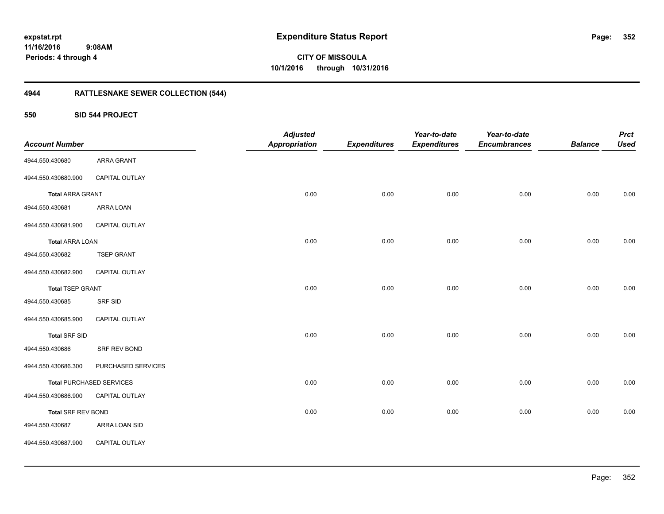### **11/16/2016 9:08AM Periods: 4 through 4**

**352**

**CITY OF MISSOULA 10/1/2016 through 10/31/2016**

### **4944 RATTLESNAKE SEWER COLLECTION (544)**

**550 SID 544 PROJECT**

| <b>Account Number</b>     |                                 | <b>Adjusted</b><br><b>Appropriation</b> | <b>Expenditures</b> | Year-to-date<br><b>Expenditures</b> | Year-to-date<br><b>Encumbrances</b> | <b>Balance</b> | <b>Prct</b><br><b>Used</b> |
|---------------------------|---------------------------------|-----------------------------------------|---------------------|-------------------------------------|-------------------------------------|----------------|----------------------------|
| 4944.550.430680           | ARRA GRANT                      |                                         |                     |                                     |                                     |                |                            |
| 4944.550.430680.900       | CAPITAL OUTLAY                  |                                         |                     |                                     |                                     |                |                            |
| <b>Total ARRA GRANT</b>   |                                 | 0.00                                    | 0.00                | 0.00                                | 0.00                                | 0.00           | 0.00                       |
| 4944.550.430681           | ARRA LOAN                       |                                         |                     |                                     |                                     |                |                            |
| 4944.550.430681.900       | CAPITAL OUTLAY                  |                                         |                     |                                     |                                     |                |                            |
| <b>Total ARRA LOAN</b>    |                                 | 0.00                                    | 0.00                | 0.00                                | 0.00                                | 0.00           | 0.00                       |
| 4944.550.430682           | <b>TSEP GRANT</b>               |                                         |                     |                                     |                                     |                |                            |
| 4944.550.430682.900       | CAPITAL OUTLAY                  |                                         |                     |                                     |                                     |                |                            |
| <b>Total TSEP GRANT</b>   |                                 | 0.00                                    | 0.00                | 0.00                                | 0.00                                | 0.00           | $0.00\,$                   |
| 4944.550.430685           | SRF SID                         |                                         |                     |                                     |                                     |                |                            |
| 4944.550.430685.900       | CAPITAL OUTLAY                  |                                         |                     |                                     |                                     |                |                            |
| <b>Total SRF SID</b>      |                                 | 0.00                                    | 0.00                | 0.00                                | 0.00                                | 0.00           | 0.00                       |
| 4944.550.430686           | SRF REV BOND                    |                                         |                     |                                     |                                     |                |                            |
| 4944.550.430686.300       | PURCHASED SERVICES              |                                         |                     |                                     |                                     |                |                            |
|                           | <b>Total PURCHASED SERVICES</b> | 0.00                                    | 0.00                | 0.00                                | 0.00                                | 0.00           | 0.00                       |
| 4944.550.430686.900       | CAPITAL OUTLAY                  |                                         |                     |                                     |                                     |                |                            |
| <b>Total SRF REV BOND</b> |                                 | 0.00                                    | 0.00                | 0.00                                | 0.00                                | 0.00           | 0.00                       |
| 4944.550.430687           | ARRA LOAN SID                   |                                         |                     |                                     |                                     |                |                            |
| 4944.550.430687.900       | CAPITAL OUTLAY                  |                                         |                     |                                     |                                     |                |                            |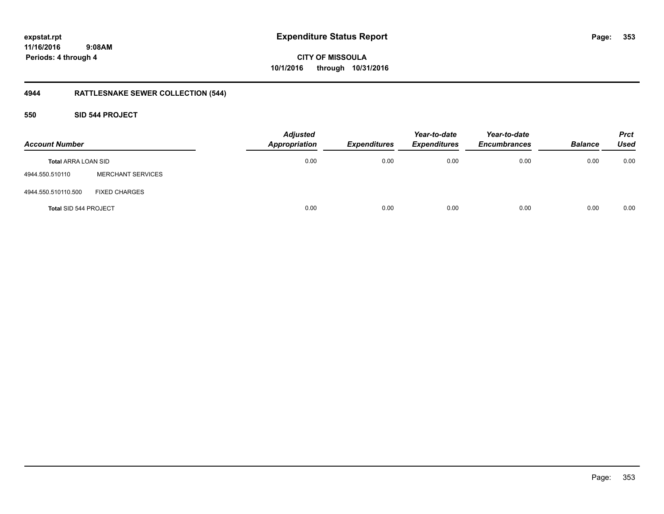### **11/16/2016 9:08AM Periods: 4 through 4**

# **CITY OF MISSOULA 10/1/2016 through 10/31/2016**

### **4944 RATTLESNAKE SEWER COLLECTION (544)**

#### **550 SID 544 PROJECT**

| <b>Account Number</b>      |                          | <b>Adjusted</b><br>Appropriation | <b>Expenditures</b> | Year-to-date<br><b>Expenditures</b> | Year-to-date<br><b>Encumbrances</b> | <b>Balance</b> | <b>Prct</b><br><b>Used</b> |
|----------------------------|--------------------------|----------------------------------|---------------------|-------------------------------------|-------------------------------------|----------------|----------------------------|
| <b>Total ARRA LOAN SID</b> |                          | 0.00                             | 0.00                | 0.00                                | 0.00                                | 0.00           | 0.00                       |
| 4944.550.510110            | <b>MERCHANT SERVICES</b> |                                  |                     |                                     |                                     |                |                            |
| 4944.550.510110.500        | <b>FIXED CHARGES</b>     |                                  |                     |                                     |                                     |                |                            |
| Total SID 544 PROJECT      |                          | 0.00                             | 0.00                | 0.00                                | 0.00                                | 0.00           | 0.00                       |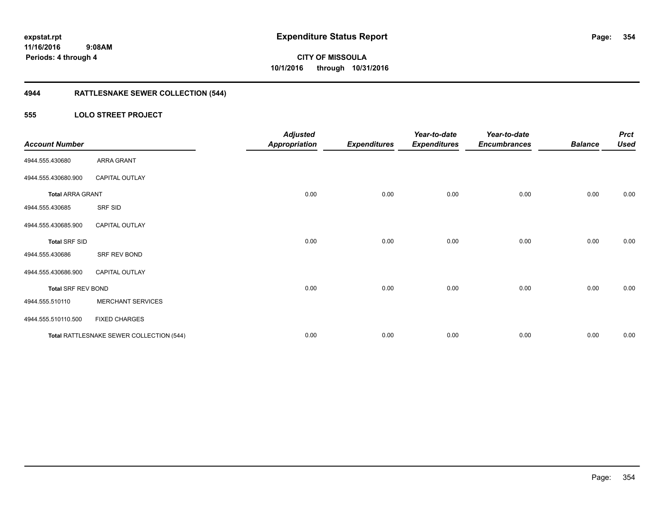### **4944 RATTLESNAKE SEWER COLLECTION (544)**

### **555 LOLO STREET PROJECT**

| <b>Account Number</b>     |                                          | <b>Adjusted</b><br><b>Appropriation</b> | <b>Expenditures</b> | Year-to-date<br><b>Expenditures</b> | Year-to-date<br><b>Encumbrances</b> | <b>Balance</b> | <b>Prct</b><br><b>Used</b> |
|---------------------------|------------------------------------------|-----------------------------------------|---------------------|-------------------------------------|-------------------------------------|----------------|----------------------------|
| 4944.555.430680           | ARRA GRANT                               |                                         |                     |                                     |                                     |                |                            |
| 4944.555.430680.900       | <b>CAPITAL OUTLAY</b>                    |                                         |                     |                                     |                                     |                |                            |
| <b>Total ARRA GRANT</b>   |                                          | 0.00                                    | 0.00                | 0.00                                | 0.00                                | 0.00           | 0.00                       |
| 4944.555.430685           | SRF SID                                  |                                         |                     |                                     |                                     |                |                            |
| 4944.555.430685.900       | <b>CAPITAL OUTLAY</b>                    |                                         |                     |                                     |                                     |                |                            |
| <b>Total SRF SID</b>      |                                          | 0.00                                    | 0.00                | 0.00                                | 0.00                                | 0.00           | 0.00                       |
| 4944.555.430686           | SRF REV BOND                             |                                         |                     |                                     |                                     |                |                            |
| 4944.555.430686.900       | <b>CAPITAL OUTLAY</b>                    |                                         |                     |                                     |                                     |                |                            |
| <b>Total SRF REV BOND</b> |                                          | 0.00                                    | 0.00                | 0.00                                | 0.00                                | 0.00           | 0.00                       |
| 4944.555.510110           | <b>MERCHANT SERVICES</b>                 |                                         |                     |                                     |                                     |                |                            |
| 4944.555.510110.500       | <b>FIXED CHARGES</b>                     |                                         |                     |                                     |                                     |                |                            |
|                           | Total RATTLESNAKE SEWER COLLECTION (544) | 0.00                                    | 0.00                | 0.00                                | 0.00                                | 0.00           | 0.00                       |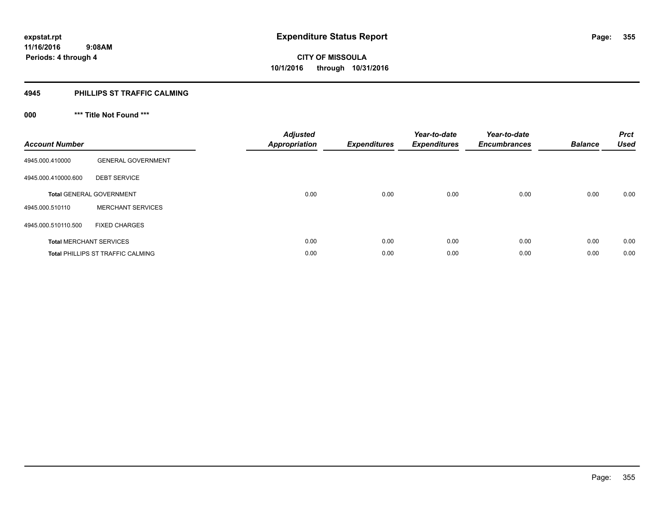#### **4945 PHILLIPS ST TRAFFIC CALMING**

### **000 \*\*\* Title Not Found \*\*\***

| <b>Account Number</b> |                                          | <b>Adjusted</b><br><b>Appropriation</b> | Expenditures | Year-to-date<br><b>Expenditures</b> | Year-to-date<br><b>Encumbrances</b> | <b>Balance</b> | <b>Prct</b><br><b>Used</b> |
|-----------------------|------------------------------------------|-----------------------------------------|--------------|-------------------------------------|-------------------------------------|----------------|----------------------------|
| 4945.000.410000       | <b>GENERAL GOVERNMENT</b>                |                                         |              |                                     |                                     |                |                            |
| 4945.000.410000.600   | <b>DEBT SERVICE</b>                      |                                         |              |                                     |                                     |                |                            |
|                       | <b>Total GENERAL GOVERNMENT</b>          | 0.00                                    | 0.00         | 0.00                                | 0.00                                | 0.00           | 0.00                       |
| 4945.000.510110       | <b>MERCHANT SERVICES</b>                 |                                         |              |                                     |                                     |                |                            |
| 4945.000.510110.500   | <b>FIXED CHARGES</b>                     |                                         |              |                                     |                                     |                |                            |
|                       | <b>Total MERCHANT SERVICES</b>           | 0.00                                    | 0.00         | 0.00                                | 0.00                                | 0.00           | 0.00                       |
|                       | <b>Total PHILLIPS ST TRAFFIC CALMING</b> | 0.00                                    | 0.00         | 0.00                                | 0.00                                | 0.00           | 0.00                       |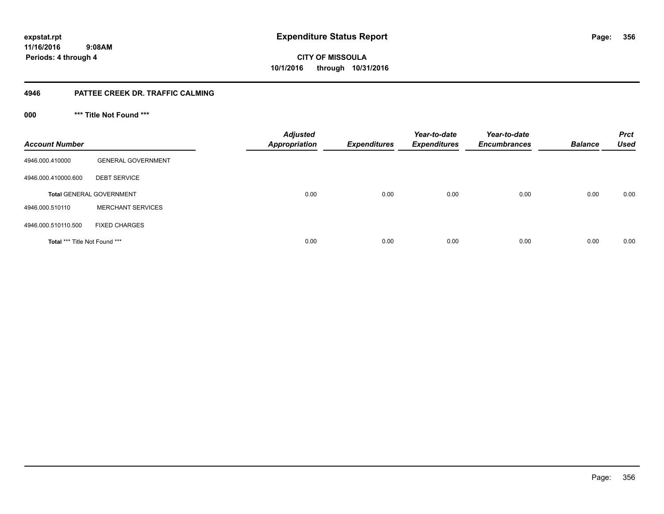**11/16/2016 9:08AM Periods: 4 through 4**

# **CITY OF MISSOULA 10/1/2016 through 10/31/2016**

#### **4946 PATTEE CREEK DR. TRAFFIC CALMING**

**000 \*\*\* Title Not Found \*\*\***

| <b>Account Number</b>                |                                 | <b>Adjusted</b><br><b>Appropriation</b> | <b>Expenditures</b> | Year-to-date<br><b>Expenditures</b> | Year-to-date<br><b>Encumbrances</b> | <b>Balance</b> | <b>Prct</b><br><b>Used</b> |
|--------------------------------------|---------------------------------|-----------------------------------------|---------------------|-------------------------------------|-------------------------------------|----------------|----------------------------|
| 4946.000.410000                      | <b>GENERAL GOVERNMENT</b>       |                                         |                     |                                     |                                     |                |                            |
| 4946.000.410000.600                  | <b>DEBT SERVICE</b>             |                                         |                     |                                     |                                     |                |                            |
|                                      | <b>Total GENERAL GOVERNMENT</b> | 0.00                                    | 0.00                | 0.00                                | 0.00                                | 0.00           | 0.00                       |
| 4946.000.510110                      | <b>MERCHANT SERVICES</b>        |                                         |                     |                                     |                                     |                |                            |
| 4946.000.510110.500                  | <b>FIXED CHARGES</b>            |                                         |                     |                                     |                                     |                |                            |
| <b>Total *** Title Not Found ***</b> |                                 | 0.00                                    | 0.00                | 0.00                                | 0.00                                | 0.00           | 0.00                       |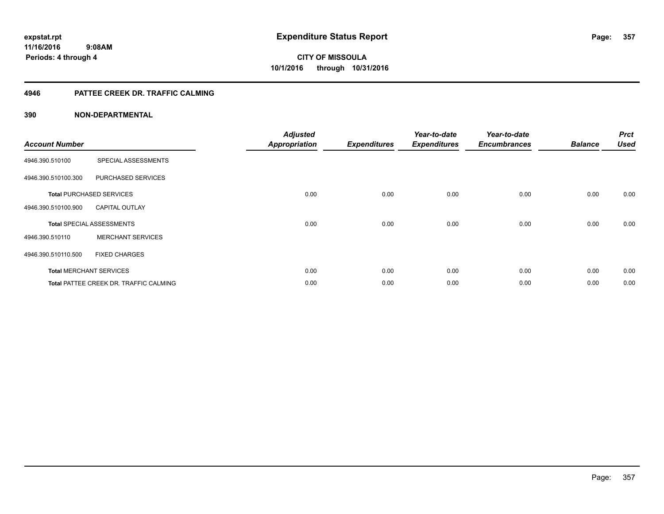### **4946 PATTEE CREEK DR. TRAFFIC CALMING**

| <b>Account Number</b> |                                               | <b>Adjusted</b><br><b>Appropriation</b> | <b>Expenditures</b> | Year-to-date<br><b>Expenditures</b> | Year-to-date<br><b>Encumbrances</b> | <b>Balance</b> | <b>Prct</b><br><b>Used</b> |
|-----------------------|-----------------------------------------------|-----------------------------------------|---------------------|-------------------------------------|-------------------------------------|----------------|----------------------------|
| 4946.390.510100       | SPECIAL ASSESSMENTS                           |                                         |                     |                                     |                                     |                |                            |
| 4946.390.510100.300   | PURCHASED SERVICES                            |                                         |                     |                                     |                                     |                |                            |
|                       | <b>Total PURCHASED SERVICES</b>               | 0.00                                    | 0.00                | 0.00                                | 0.00                                | 0.00           | 0.00                       |
| 4946.390.510100.900   | <b>CAPITAL OUTLAY</b>                         |                                         |                     |                                     |                                     |                |                            |
|                       | <b>Total SPECIAL ASSESSMENTS</b>              | 0.00                                    | 0.00                | 0.00                                | 0.00                                | 0.00           | 0.00                       |
| 4946.390.510110       | <b>MERCHANT SERVICES</b>                      |                                         |                     |                                     |                                     |                |                            |
| 4946.390.510110.500   | <b>FIXED CHARGES</b>                          |                                         |                     |                                     |                                     |                |                            |
|                       | <b>Total MERCHANT SERVICES</b>                | 0.00                                    | 0.00                | 0.00                                | 0.00                                | 0.00           | 0.00                       |
|                       | <b>Total PATTEE CREEK DR. TRAFFIC CALMING</b> | 0.00                                    | 0.00                | 0.00                                | 0.00                                | 0.00           | 0.00                       |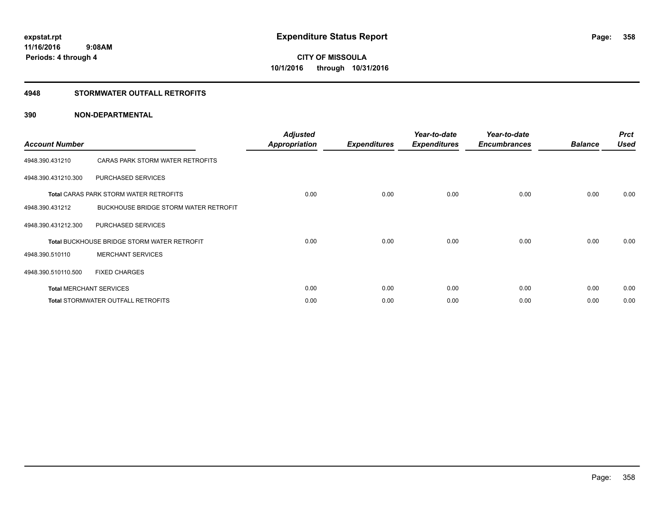### **4948 STORMWATER OUTFALL RETROFITS**

| <b>Account Number</b> |                                                    | <b>Adjusted</b><br><b>Appropriation</b> | <b>Expenditures</b> | Year-to-date<br><b>Expenditures</b> | Year-to-date<br><b>Encumbrances</b> | <b>Balance</b> | <b>Prct</b><br><b>Used</b> |
|-----------------------|----------------------------------------------------|-----------------------------------------|---------------------|-------------------------------------|-------------------------------------|----------------|----------------------------|
| 4948.390.431210       | CARAS PARK STORM WATER RETROFITS                   |                                         |                     |                                     |                                     |                |                            |
| 4948.390.431210.300   | PURCHASED SERVICES                                 |                                         |                     |                                     |                                     |                |                            |
|                       | <b>Total CARAS PARK STORM WATER RETROFITS</b>      | 0.00                                    | 0.00                | 0.00                                | 0.00                                | 0.00           | 0.00                       |
| 4948.390.431212       | BUCKHOUSE BRIDGE STORM WATER RETROFIT              |                                         |                     |                                     |                                     |                |                            |
| 4948.390.431212.300   | PURCHASED SERVICES                                 |                                         |                     |                                     |                                     |                |                            |
|                       | <b>Total BUCKHOUSE BRIDGE STORM WATER RETROFIT</b> | 0.00                                    | 0.00                | 0.00                                | 0.00                                | 0.00           | 0.00                       |
| 4948.390.510110       | <b>MERCHANT SERVICES</b>                           |                                         |                     |                                     |                                     |                |                            |
| 4948.390.510110.500   | <b>FIXED CHARGES</b>                               |                                         |                     |                                     |                                     |                |                            |
|                       | <b>Total MERCHANT SERVICES</b>                     | 0.00                                    | 0.00                | 0.00                                | 0.00                                | 0.00           | 0.00                       |
|                       | <b>Total STORMWATER OUTFALL RETROFITS</b>          | 0.00                                    | 0.00                | 0.00                                | 0.00                                | 0.00           | 0.00                       |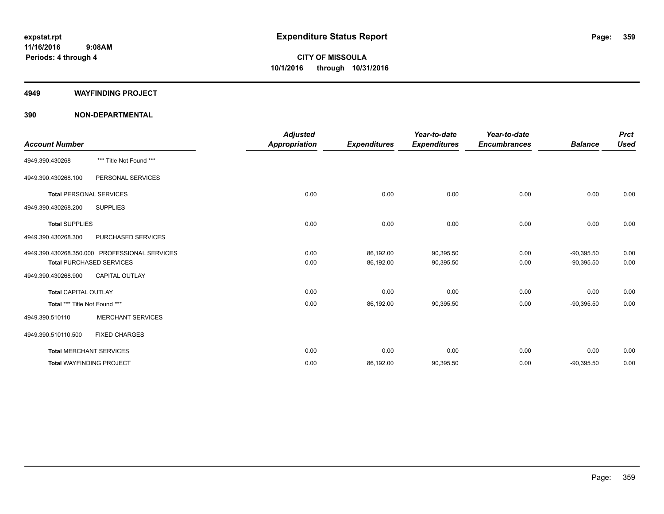#### **4949 WAYFINDING PROJECT**

|                                 |                                               | <b>Adjusted</b>      |                     | Year-to-date        | Year-to-date        |                | <b>Prct</b> |
|---------------------------------|-----------------------------------------------|----------------------|---------------------|---------------------|---------------------|----------------|-------------|
| <b>Account Number</b>           |                                               | <b>Appropriation</b> | <b>Expenditures</b> | <b>Expenditures</b> | <b>Encumbrances</b> | <b>Balance</b> | <b>Used</b> |
| 4949.390.430268                 | *** Title Not Found ***                       |                      |                     |                     |                     |                |             |
| 4949.390.430268.100             | PERSONAL SERVICES                             |                      |                     |                     |                     |                |             |
| <b>Total PERSONAL SERVICES</b>  |                                               | 0.00                 | 0.00                | 0.00                | 0.00                | 0.00           | 0.00        |
| 4949.390.430268.200             | <b>SUPPLIES</b>                               |                      |                     |                     |                     |                |             |
| <b>Total SUPPLIES</b>           |                                               | 0.00                 | 0.00                | 0.00                | 0.00                | 0.00           | 0.00        |
| 4949.390.430268.300             | PURCHASED SERVICES                            |                      |                     |                     |                     |                |             |
|                                 | 4949.390.430268.350.000 PROFESSIONAL SERVICES | 0.00                 | 86,192.00           | 90,395.50           | 0.00                | $-90,395.50$   | 0.00        |
|                                 | <b>Total PURCHASED SERVICES</b>               | 0.00                 | 86,192.00           | 90,395.50           | 0.00                | $-90,395.50$   | 0.00        |
| 4949.390.430268.900             | <b>CAPITAL OUTLAY</b>                         |                      |                     |                     |                     |                |             |
| <b>Total CAPITAL OUTLAY</b>     |                                               | 0.00                 | 0.00                | 0.00                | 0.00                | 0.00           | 0.00        |
| Total *** Title Not Found ***   |                                               | 0.00                 | 86,192.00           | 90,395.50           | 0.00                | $-90,395.50$   | 0.00        |
| 4949.390.510110                 | <b>MERCHANT SERVICES</b>                      |                      |                     |                     |                     |                |             |
| 4949.390.510110.500             | <b>FIXED CHARGES</b>                          |                      |                     |                     |                     |                |             |
| <b>Total MERCHANT SERVICES</b>  |                                               | 0.00                 | 0.00                | 0.00                | 0.00                | 0.00           | 0.00        |
| <b>Total WAYFINDING PROJECT</b> |                                               | 0.00                 | 86,192.00           | 90,395.50           | 0.00                | $-90,395.50$   | 0.00        |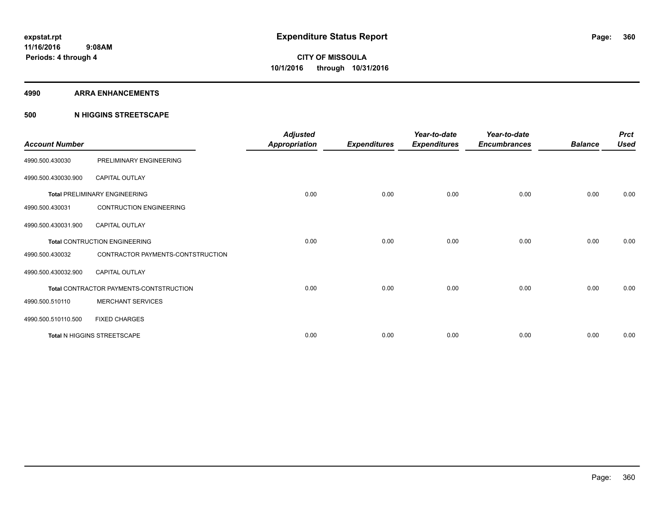#### **4990 ARRA ENHANCEMENTS**

#### **500 N HIGGINS STREETSCAPE**

| <b>Account Number</b> |                                         | <b>Adjusted</b><br><b>Appropriation</b> | <b>Expenditures</b> | Year-to-date<br><b>Expenditures</b> | Year-to-date<br><b>Encumbrances</b> | <b>Balance</b> | <b>Prct</b><br><b>Used</b> |
|-----------------------|-----------------------------------------|-----------------------------------------|---------------------|-------------------------------------|-------------------------------------|----------------|----------------------------|
| 4990.500.430030       | PRELIMINARY ENGINEERING                 |                                         |                     |                                     |                                     |                |                            |
| 4990.500.430030.900   | <b>CAPITAL OUTLAY</b>                   |                                         |                     |                                     |                                     |                |                            |
|                       | <b>Total PRELIMINARY ENGINEERING</b>    | 0.00                                    | 0.00                | 0.00                                | 0.00                                | 0.00           | 0.00                       |
| 4990.500.430031       | <b>CONTRUCTION ENGINEERING</b>          |                                         |                     |                                     |                                     |                |                            |
| 4990.500.430031.900   | <b>CAPITAL OUTLAY</b>                   |                                         |                     |                                     |                                     |                |                            |
|                       | <b>Total CONTRUCTION ENGINEERING</b>    | 0.00                                    | 0.00                | 0.00                                | 0.00                                | 0.00           | 0.00                       |
| 4990.500.430032       | CONTRACTOR PAYMENTS-CONTSTRUCTION       |                                         |                     |                                     |                                     |                |                            |
| 4990.500.430032.900   | <b>CAPITAL OUTLAY</b>                   |                                         |                     |                                     |                                     |                |                            |
|                       | Total CONTRACTOR PAYMENTS-CONTSTRUCTION | 0.00                                    | 0.00                | 0.00                                | 0.00                                | 0.00           | 0.00                       |
| 4990.500.510110       | <b>MERCHANT SERVICES</b>                |                                         |                     |                                     |                                     |                |                            |
| 4990.500.510110.500   | <b>FIXED CHARGES</b>                    |                                         |                     |                                     |                                     |                |                            |
|                       | Total N HIGGINS STREETSCAPE             | 0.00                                    | 0.00                | 0.00                                | 0.00                                | 0.00           | 0.00                       |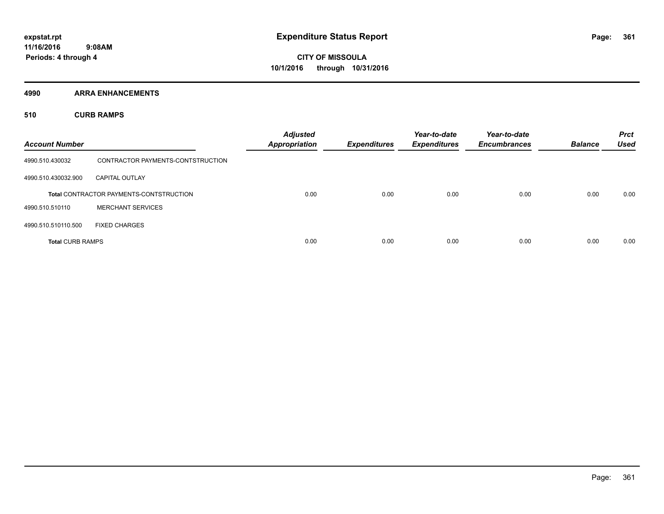**4990 ARRA ENHANCEMENTS**

**510 CURB RAMPS**

| <b>Account Number</b>   |                                                | <b>Adjusted</b><br>Appropriation | <b>Expenditures</b> | Year-to-date<br><b>Expenditures</b> | Year-to-date<br><b>Encumbrances</b> | <b>Balance</b> | <b>Prct</b><br><b>Used</b> |
|-------------------------|------------------------------------------------|----------------------------------|---------------------|-------------------------------------|-------------------------------------|----------------|----------------------------|
| 4990.510.430032         | CONTRACTOR PAYMENTS-CONTSTRUCTION              |                                  |                     |                                     |                                     |                |                            |
| 4990.510.430032.900     | <b>CAPITAL OUTLAY</b>                          |                                  |                     |                                     |                                     |                |                            |
|                         | <b>Total CONTRACTOR PAYMENTS-CONTSTRUCTION</b> | 0.00                             | 0.00                | 0.00                                | 0.00                                | 0.00           | 0.00                       |
| 4990.510.510110         | <b>MERCHANT SERVICES</b>                       |                                  |                     |                                     |                                     |                |                            |
| 4990.510.510110.500     | <b>FIXED CHARGES</b>                           |                                  |                     |                                     |                                     |                |                            |
| <b>Total CURB RAMPS</b> |                                                | 0.00                             | 0.00                | 0.00                                | 0.00                                | 0.00           | 0.00                       |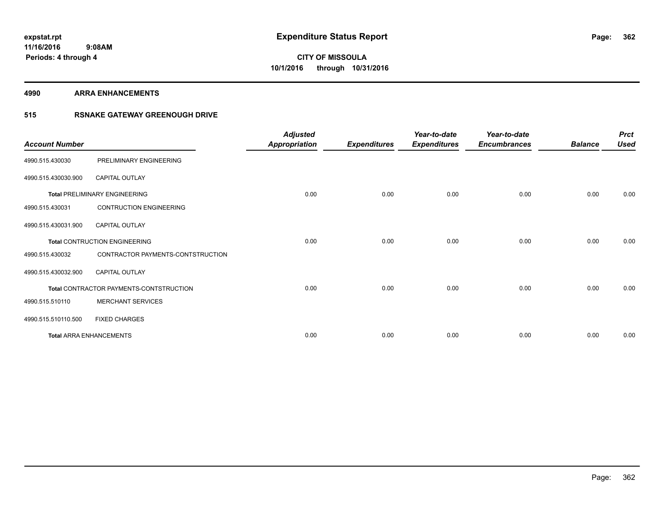#### **4990 ARRA ENHANCEMENTS**

### **515 RSNAKE GATEWAY GREENOUGH DRIVE**

| <b>Account Number</b> |                                         | <b>Adjusted</b><br>Appropriation | <b>Expenditures</b> | Year-to-date<br><b>Expenditures</b> | Year-to-date<br><b>Encumbrances</b> | <b>Balance</b> | <b>Prct</b><br><b>Used</b> |
|-----------------------|-----------------------------------------|----------------------------------|---------------------|-------------------------------------|-------------------------------------|----------------|----------------------------|
| 4990.515.430030       | PRELIMINARY ENGINEERING                 |                                  |                     |                                     |                                     |                |                            |
| 4990.515.430030.900   | CAPITAL OUTLAY                          |                                  |                     |                                     |                                     |                |                            |
|                       | <b>Total PRELIMINARY ENGINEERING</b>    | 0.00                             | 0.00                | 0.00                                | 0.00                                | 0.00           | 0.00                       |
| 4990.515.430031       | <b>CONTRUCTION ENGINEERING</b>          |                                  |                     |                                     |                                     |                |                            |
| 4990.515.430031.900   | <b>CAPITAL OUTLAY</b>                   |                                  |                     |                                     |                                     |                |                            |
|                       | <b>Total CONTRUCTION ENGINEERING</b>    | 0.00                             | 0.00                | 0.00                                | 0.00                                | 0.00           | 0.00                       |
| 4990.515.430032       | CONTRACTOR PAYMENTS-CONTSTRUCTION       |                                  |                     |                                     |                                     |                |                            |
| 4990.515.430032.900   | <b>CAPITAL OUTLAY</b>                   |                                  |                     |                                     |                                     |                |                            |
|                       | Total CONTRACTOR PAYMENTS-CONTSTRUCTION | 0.00                             | 0.00                | 0.00                                | 0.00                                | 0.00           | 0.00                       |
| 4990.515.510110       | <b>MERCHANT SERVICES</b>                |                                  |                     |                                     |                                     |                |                            |
| 4990.515.510110.500   | <b>FIXED CHARGES</b>                    |                                  |                     |                                     |                                     |                |                            |
|                       | <b>Total ARRA ENHANCEMENTS</b>          | 0.00                             | 0.00                | 0.00                                | 0.00                                | 0.00           | 0.00                       |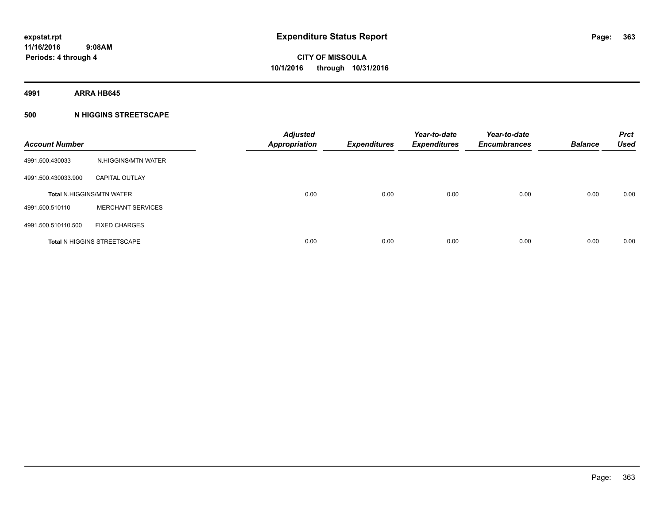**4991 ARRA HB645**

### **500 N HIGGINS STREETSCAPE**

| <b>Account Number</b> |                                    | <b>Adjusted</b><br><b>Appropriation</b> | <b>Expenditures</b> | Year-to-date<br><b>Expenditures</b> | Year-to-date<br><b>Encumbrances</b> | <b>Balance</b> | <b>Prct</b><br><b>Used</b> |
|-----------------------|------------------------------------|-----------------------------------------|---------------------|-------------------------------------|-------------------------------------|----------------|----------------------------|
| 4991.500.430033       | N.HIGGINS/MTN WATER                |                                         |                     |                                     |                                     |                |                            |
| 4991.500.430033.900   | <b>CAPITAL OUTLAY</b>              |                                         |                     |                                     |                                     |                |                            |
|                       | <b>Total N.HIGGINS/MTN WATER</b>   | 0.00                                    | 0.00                | 0.00                                | 0.00                                | 0.00           | 0.00                       |
| 4991.500.510110       | <b>MERCHANT SERVICES</b>           |                                         |                     |                                     |                                     |                |                            |
| 4991.500.510110.500   | <b>FIXED CHARGES</b>               |                                         |                     |                                     |                                     |                |                            |
|                       | <b>Total N HIGGINS STREETSCAPE</b> | 0.00                                    | 0.00                | 0.00                                | 0.00                                | 0.00           | 0.00                       |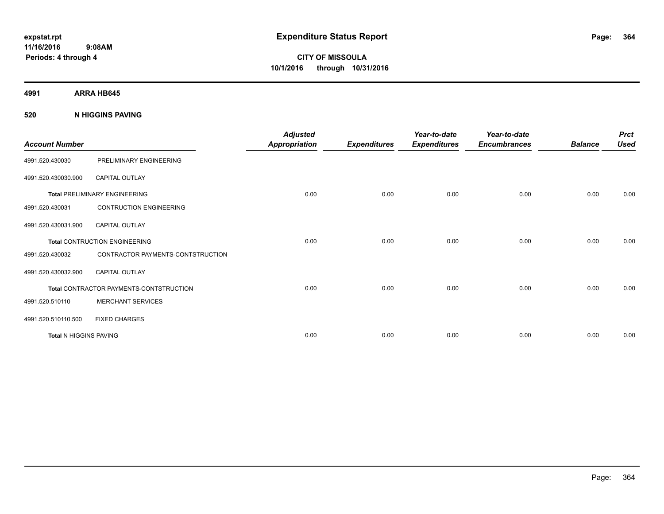**Periods: 4 through 4**

**CITY OF MISSOULA 10/1/2016 through 10/31/2016**

**4991 ARRA HB645**

**520 N HIGGINS PAVING**

| <b>Account Number</b>         |                                         | <b>Adjusted</b><br><b>Appropriation</b> | <b>Expenditures</b> | Year-to-date<br><b>Expenditures</b> | Year-to-date<br><b>Encumbrances</b> | <b>Balance</b> | <b>Prct</b><br><b>Used</b> |
|-------------------------------|-----------------------------------------|-----------------------------------------|---------------------|-------------------------------------|-------------------------------------|----------------|----------------------------|
| 4991.520.430030               | PRELIMINARY ENGINEERING                 |                                         |                     |                                     |                                     |                |                            |
| 4991.520.430030.900           | <b>CAPITAL OUTLAY</b>                   |                                         |                     |                                     |                                     |                |                            |
|                               | <b>Total PRELIMINARY ENGINEERING</b>    | 0.00                                    | 0.00                | 0.00                                | 0.00                                | 0.00           | 0.00                       |
| 4991.520.430031               | <b>CONTRUCTION ENGINEERING</b>          |                                         |                     |                                     |                                     |                |                            |
| 4991.520.430031.900           | <b>CAPITAL OUTLAY</b>                   |                                         |                     |                                     |                                     |                |                            |
|                               | <b>Total CONTRUCTION ENGINEERING</b>    | 0.00                                    | 0.00                | 0.00                                | 0.00                                | 0.00           | 0.00                       |
| 4991.520.430032               | CONTRACTOR PAYMENTS-CONTSTRUCTION       |                                         |                     |                                     |                                     |                |                            |
| 4991.520.430032.900           | <b>CAPITAL OUTLAY</b>                   |                                         |                     |                                     |                                     |                |                            |
|                               | Total CONTRACTOR PAYMENTS-CONTSTRUCTION | 0.00                                    | 0.00                | 0.00                                | 0.00                                | 0.00           | 0.00                       |
| 4991.520.510110               | <b>MERCHANT SERVICES</b>                |                                         |                     |                                     |                                     |                |                            |
| 4991.520.510110.500           | <b>FIXED CHARGES</b>                    |                                         |                     |                                     |                                     |                |                            |
| <b>Total N HIGGINS PAVING</b> |                                         | 0.00                                    | 0.00                | 0.00                                | 0.00                                | 0.00           | 0.00                       |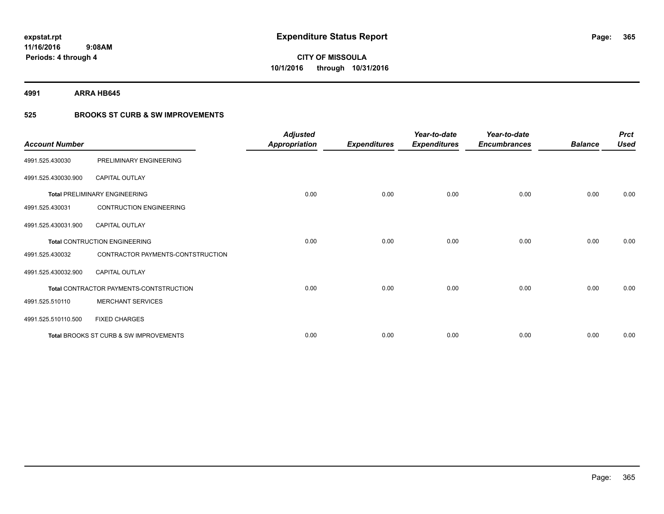**4991 ARRA HB645**

### **525 BROOKS ST CURB & SW IMPROVEMENTS**

| <b>Account Number</b> |                                         | <b>Adjusted</b><br><b>Appropriation</b> | <b>Expenditures</b> | Year-to-date<br><b>Expenditures</b> | Year-to-date<br><b>Encumbrances</b> | <b>Balance</b> | <b>Prct</b><br><b>Used</b> |
|-----------------------|-----------------------------------------|-----------------------------------------|---------------------|-------------------------------------|-------------------------------------|----------------|----------------------------|
| 4991.525.430030       | PRELIMINARY ENGINEERING                 |                                         |                     |                                     |                                     |                |                            |
| 4991.525.430030.900   | <b>CAPITAL OUTLAY</b>                   |                                         |                     |                                     |                                     |                |                            |
|                       | <b>Total PRELIMINARY ENGINEERING</b>    | 0.00                                    | 0.00                | 0.00                                | 0.00                                | 0.00           | 0.00                       |
| 4991.525.430031       | <b>CONTRUCTION ENGINEERING</b>          |                                         |                     |                                     |                                     |                |                            |
| 4991.525.430031.900   | <b>CAPITAL OUTLAY</b>                   |                                         |                     |                                     |                                     |                |                            |
|                       | <b>Total CONTRUCTION ENGINEERING</b>    | 0.00                                    | 0.00                | 0.00                                | 0.00                                | 0.00           | 0.00                       |
| 4991.525.430032       | CONTRACTOR PAYMENTS-CONTSTRUCTION       |                                         |                     |                                     |                                     |                |                            |
| 4991.525.430032.900   | <b>CAPITAL OUTLAY</b>                   |                                         |                     |                                     |                                     |                |                            |
|                       | Total CONTRACTOR PAYMENTS-CONTSTRUCTION | 0.00                                    | 0.00                | 0.00                                | 0.00                                | 0.00           | 0.00                       |
| 4991.525.510110       | <b>MERCHANT SERVICES</b>                |                                         |                     |                                     |                                     |                |                            |
| 4991.525.510110.500   | <b>FIXED CHARGES</b>                    |                                         |                     |                                     |                                     |                |                            |
|                       | Total BROOKS ST CURB & SW IMPROVEMENTS  | 0.00                                    | 0.00                | 0.00                                | 0.00                                | 0.00           | 0.00                       |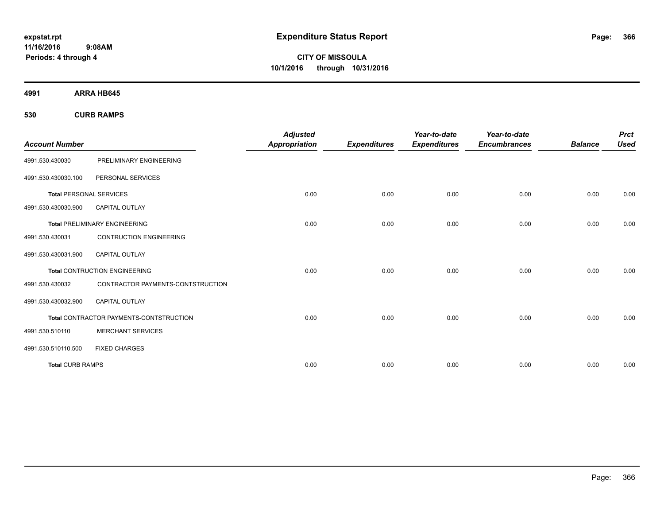**CITY OF MISSOULA 10/1/2016 through 10/31/2016**

**4991 ARRA HB645**

**530 CURB RAMPS**

|                                |                                         | <b>Adjusted</b>      |                     | Year-to-date        | Year-to-date        |                | <b>Prct</b> |
|--------------------------------|-----------------------------------------|----------------------|---------------------|---------------------|---------------------|----------------|-------------|
| <b>Account Number</b>          |                                         | <b>Appropriation</b> | <b>Expenditures</b> | <b>Expenditures</b> | <b>Encumbrances</b> | <b>Balance</b> | <b>Used</b> |
| 4991.530.430030                | PRELIMINARY ENGINEERING                 |                      |                     |                     |                     |                |             |
| 4991.530.430030.100            | PERSONAL SERVICES                       |                      |                     |                     |                     |                |             |
| <b>Total PERSONAL SERVICES</b> |                                         | 0.00                 | 0.00                | 0.00                | 0.00                | 0.00           | 0.00        |
| 4991.530.430030.900            | <b>CAPITAL OUTLAY</b>                   |                      |                     |                     |                     |                |             |
|                                | <b>Total PRELIMINARY ENGINEERING</b>    | 0.00                 | 0.00                | 0.00                | 0.00                | 0.00           | 0.00        |
| 4991.530.430031                | <b>CONTRUCTION ENGINEERING</b>          |                      |                     |                     |                     |                |             |
| 4991.530.430031.900            | CAPITAL OUTLAY                          |                      |                     |                     |                     |                |             |
|                                | <b>Total CONTRUCTION ENGINEERING</b>    | 0.00                 | 0.00                | 0.00                | 0.00                | 0.00           | 0.00        |
| 4991.530.430032                | CONTRACTOR PAYMENTS-CONTSTRUCTION       |                      |                     |                     |                     |                |             |
| 4991.530.430032.900            | <b>CAPITAL OUTLAY</b>                   |                      |                     |                     |                     |                |             |
|                                | Total CONTRACTOR PAYMENTS-CONTSTRUCTION | 0.00                 | 0.00                | 0.00                | 0.00                | 0.00           | 0.00        |
| 4991.530.510110                | <b>MERCHANT SERVICES</b>                |                      |                     |                     |                     |                |             |
| 4991.530.510110.500            | <b>FIXED CHARGES</b>                    |                      |                     |                     |                     |                |             |
| <b>Total CURB RAMPS</b>        |                                         | 0.00                 | 0.00                | 0.00                | 0.00                | 0.00           | 0.00        |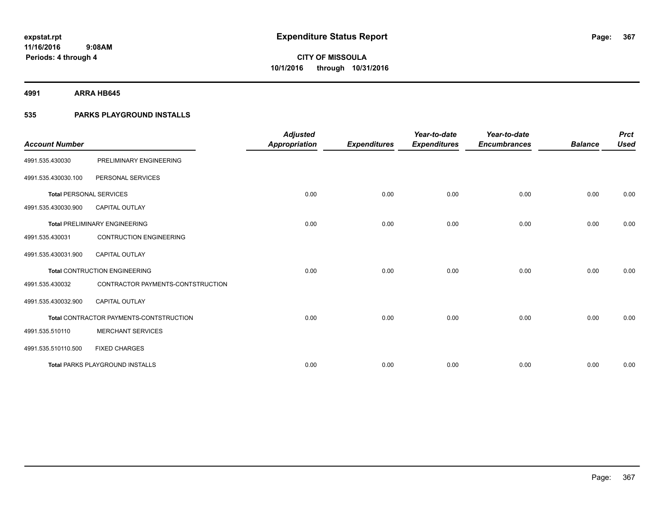**4991 ARRA HB645**

### **535 PARKS PLAYGROUND INSTALLS**

| <b>Account Number</b>          |                                         | <b>Adjusted</b><br><b>Appropriation</b> | <b>Expenditures</b> | Year-to-date<br><b>Expenditures</b> | Year-to-date<br><b>Encumbrances</b> | <b>Balance</b> | <b>Prct</b><br><b>Used</b> |
|--------------------------------|-----------------------------------------|-----------------------------------------|---------------------|-------------------------------------|-------------------------------------|----------------|----------------------------|
| 4991.535.430030                | PRELIMINARY ENGINEERING                 |                                         |                     |                                     |                                     |                |                            |
| 4991.535.430030.100            | PERSONAL SERVICES                       |                                         |                     |                                     |                                     |                |                            |
| <b>Total PERSONAL SERVICES</b> |                                         | 0.00                                    | 0.00                | 0.00                                | 0.00                                | 0.00           | 0.00                       |
| 4991.535.430030.900            | <b>CAPITAL OUTLAY</b>                   |                                         |                     |                                     |                                     |                |                            |
|                                | <b>Total PRELIMINARY ENGINEERING</b>    | 0.00                                    | 0.00                | 0.00                                | 0.00                                | 0.00           | 0.00                       |
| 4991.535.430031                | <b>CONTRUCTION ENGINEERING</b>          |                                         |                     |                                     |                                     |                |                            |
| 4991.535.430031.900            | <b>CAPITAL OUTLAY</b>                   |                                         |                     |                                     |                                     |                |                            |
|                                | <b>Total CONTRUCTION ENGINEERING</b>    | 0.00                                    | 0.00                | 0.00                                | 0.00                                | 0.00           | 0.00                       |
| 4991.535.430032                | CONTRACTOR PAYMENTS-CONTSTRUCTION       |                                         |                     |                                     |                                     |                |                            |
| 4991.535.430032.900            | <b>CAPITAL OUTLAY</b>                   |                                         |                     |                                     |                                     |                |                            |
|                                | Total CONTRACTOR PAYMENTS-CONTSTRUCTION | 0.00                                    | 0.00                | 0.00                                | 0.00                                | 0.00           | 0.00                       |
| 4991.535.510110                | <b>MERCHANT SERVICES</b>                |                                         |                     |                                     |                                     |                |                            |
| 4991.535.510110.500            | <b>FIXED CHARGES</b>                    |                                         |                     |                                     |                                     |                |                            |
|                                | <b>Total PARKS PLAYGROUND INSTALLS</b>  | 0.00                                    | 0.00                | 0.00                                | 0.00                                | 0.00           | 0.00                       |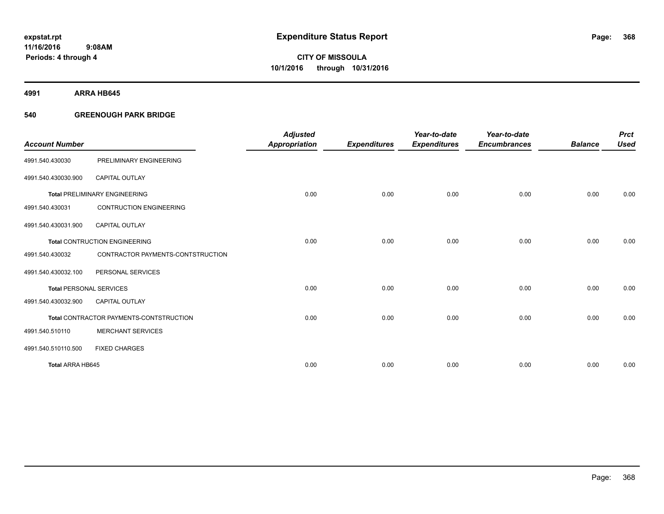**4991 ARRA HB645**

### **540 GREENOUGH PARK BRIDGE**

|                                |                                         | <b>Adjusted</b>      |                     | Year-to-date        | Year-to-date        |                | <b>Prct</b> |
|--------------------------------|-----------------------------------------|----------------------|---------------------|---------------------|---------------------|----------------|-------------|
| <b>Account Number</b>          |                                         | <b>Appropriation</b> | <b>Expenditures</b> | <b>Expenditures</b> | <b>Encumbrances</b> | <b>Balance</b> | <b>Used</b> |
| 4991.540.430030                | PRELIMINARY ENGINEERING                 |                      |                     |                     |                     |                |             |
| 4991.540.430030.900            | <b>CAPITAL OUTLAY</b>                   |                      |                     |                     |                     |                |             |
|                                | <b>Total PRELIMINARY ENGINEERING</b>    | 0.00                 | 0.00                | 0.00                | 0.00                | 0.00           | 0.00        |
| 4991.540.430031                | <b>CONTRUCTION ENGINEERING</b>          |                      |                     |                     |                     |                |             |
| 4991.540.430031.900            | <b>CAPITAL OUTLAY</b>                   |                      |                     |                     |                     |                |             |
|                                | <b>Total CONTRUCTION ENGINEERING</b>    | 0.00                 | 0.00                | 0.00                | 0.00                | 0.00           | 0.00        |
| 4991.540.430032                | CONTRACTOR PAYMENTS-CONTSTRUCTION       |                      |                     |                     |                     |                |             |
| 4991.540.430032.100            | PERSONAL SERVICES                       |                      |                     |                     |                     |                |             |
| <b>Total PERSONAL SERVICES</b> |                                         | 0.00                 | 0.00                | 0.00                | 0.00                | 0.00           | 0.00        |
| 4991.540.430032.900            | <b>CAPITAL OUTLAY</b>                   |                      |                     |                     |                     |                |             |
|                                | Total CONTRACTOR PAYMENTS-CONTSTRUCTION | 0.00                 | 0.00                | 0.00                | 0.00                | 0.00           | 0.00        |
| 4991.540.510110                | <b>MERCHANT SERVICES</b>                |                      |                     |                     |                     |                |             |
| 4991.540.510110.500            | <b>FIXED CHARGES</b>                    |                      |                     |                     |                     |                |             |
| Total ARRA HB645               |                                         | 0.00                 | 0.00                | 0.00                | 0.00                | 0.00           | 0.00        |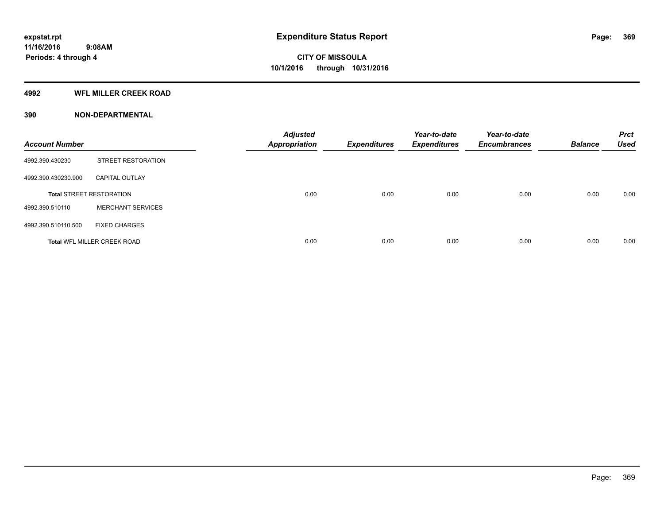#### **4992 WFL MILLER CREEK ROAD**

### **390 NON-DEPARTMENTAL**

| <b>Account Number</b> |                                    | <b>Adjusted</b><br><b>Appropriation</b> | <b>Expenditures</b> | Year-to-date<br><b>Expenditures</b> | Year-to-date<br><b>Encumbrances</b> | <b>Balance</b> | <b>Prct</b><br><b>Used</b> |
|-----------------------|------------------------------------|-----------------------------------------|---------------------|-------------------------------------|-------------------------------------|----------------|----------------------------|
| 4992.390.430230       | <b>STREET RESTORATION</b>          |                                         |                     |                                     |                                     |                |                            |
| 4992.390.430230.900   | <b>CAPITAL OUTLAY</b>              |                                         |                     |                                     |                                     |                |                            |
|                       | <b>Total STREET RESTORATION</b>    | 0.00                                    | 0.00                | 0.00                                | 0.00                                | 0.00           | 0.00                       |
| 4992.390.510110       | <b>MERCHANT SERVICES</b>           |                                         |                     |                                     |                                     |                |                            |
| 4992.390.510110.500   | <b>FIXED CHARGES</b>               |                                         |                     |                                     |                                     |                |                            |
|                       | <b>Total WFL MILLER CREEK ROAD</b> | 0.00                                    | 0.00                | 0.00                                | 0.00                                | 0.00           | 0.00                       |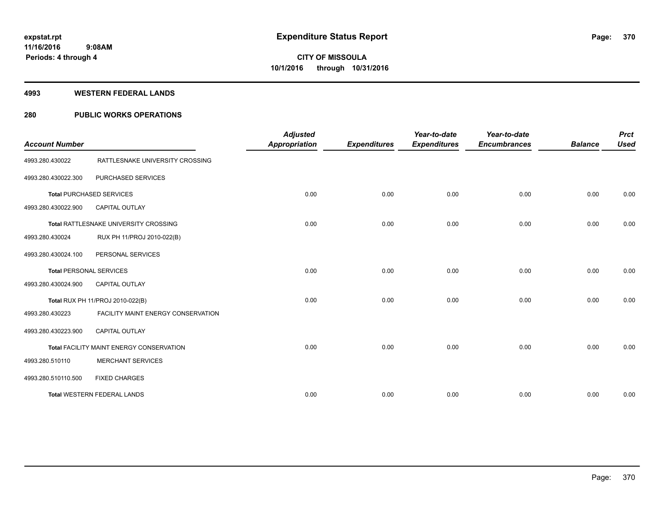#### **4993 WESTERN FEDERAL LANDS**

### **280 PUBLIC WORKS OPERATIONS**

| <b>Account Number</b>          |                                          | <b>Adjusted</b><br><b>Appropriation</b> | <b>Expenditures</b> | Year-to-date<br><b>Expenditures</b> | Year-to-date<br><b>Encumbrances</b> | <b>Balance</b> | <b>Prct</b><br><b>Used</b> |
|--------------------------------|------------------------------------------|-----------------------------------------|---------------------|-------------------------------------|-------------------------------------|----------------|----------------------------|
| 4993.280.430022                | RATTLESNAKE UNIVERSITY CROSSING          |                                         |                     |                                     |                                     |                |                            |
| 4993.280.430022.300            | PURCHASED SERVICES                       |                                         |                     |                                     |                                     |                |                            |
|                                | <b>Total PURCHASED SERVICES</b>          | 0.00                                    | 0.00                | 0.00                                | 0.00                                | 0.00           | 0.00                       |
| 4993.280.430022.900            | <b>CAPITAL OUTLAY</b>                    |                                         |                     |                                     |                                     |                |                            |
|                                | Total RATTLESNAKE UNIVERSITY CROSSING    | 0.00                                    | 0.00                | 0.00                                | 0.00                                | 0.00           | 0.00                       |
| 4993.280.430024                | RUX PH 11/PROJ 2010-022(B)               |                                         |                     |                                     |                                     |                |                            |
| 4993.280.430024.100            | PERSONAL SERVICES                        |                                         |                     |                                     |                                     |                |                            |
| <b>Total PERSONAL SERVICES</b> |                                          | 0.00                                    | 0.00                | 0.00                                | 0.00                                | 0.00           | 0.00                       |
| 4993.280.430024.900            | <b>CAPITAL OUTLAY</b>                    |                                         |                     |                                     |                                     |                |                            |
|                                | Total RUX PH 11/PROJ 2010-022(B)         | 0.00                                    | 0.00                | 0.00                                | 0.00                                | 0.00           | 0.00                       |
| 4993.280.430223                | FACILITY MAINT ENERGY CONSERVATION       |                                         |                     |                                     |                                     |                |                            |
| 4993.280.430223.900            | <b>CAPITAL OUTLAY</b>                    |                                         |                     |                                     |                                     |                |                            |
|                                | Total FACILITY MAINT ENERGY CONSERVATION | 0.00                                    | 0.00                | 0.00                                | 0.00                                | 0.00           | 0.00                       |
| 4993.280.510110                | <b>MERCHANT SERVICES</b>                 |                                         |                     |                                     |                                     |                |                            |
| 4993.280.510110.500            | <b>FIXED CHARGES</b>                     |                                         |                     |                                     |                                     |                |                            |
|                                | <b>Total WESTERN FEDERAL LANDS</b>       | 0.00                                    | 0.00                | 0.00                                | 0.00                                | 0.00           | 0.00                       |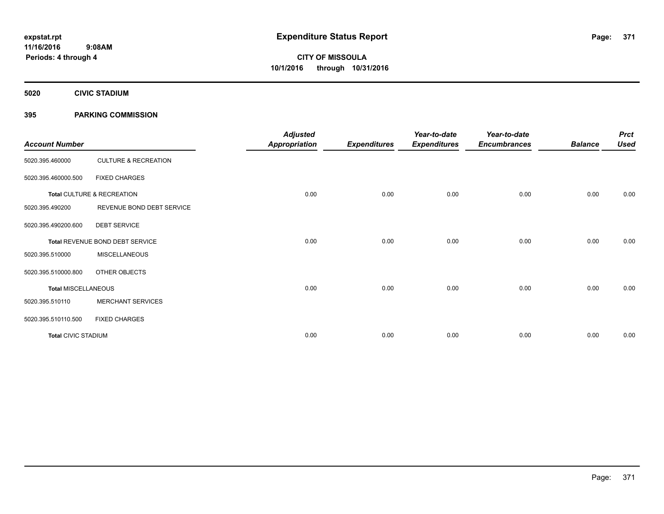**5020 CIVIC STADIUM**

### **395 PARKING COMMISSION**

| <b>Account Number</b>      |                                 | <b>Adjusted</b><br><b>Appropriation</b> | <b>Expenditures</b> | Year-to-date<br><b>Expenditures</b> | Year-to-date<br><b>Encumbrances</b> | <b>Balance</b> | <b>Prct</b><br><b>Used</b> |
|----------------------------|---------------------------------|-----------------------------------------|---------------------|-------------------------------------|-------------------------------------|----------------|----------------------------|
| 5020.395.460000            | <b>CULTURE &amp; RECREATION</b> |                                         |                     |                                     |                                     |                |                            |
| 5020.395.460000.500        | <b>FIXED CHARGES</b>            |                                         |                     |                                     |                                     |                |                            |
|                            | Total CULTURE & RECREATION      | 0.00                                    | 0.00                | 0.00                                | 0.00                                | 0.00           | 0.00                       |
| 5020.395.490200            | REVENUE BOND DEBT SERVICE       |                                         |                     |                                     |                                     |                |                            |
| 5020.395.490200.600        | <b>DEBT SERVICE</b>             |                                         |                     |                                     |                                     |                |                            |
|                            | Total REVENUE BOND DEBT SERVICE | 0.00                                    | 0.00                | 0.00                                | 0.00                                | 0.00           | 0.00                       |
| 5020.395.510000            | <b>MISCELLANEOUS</b>            |                                         |                     |                                     |                                     |                |                            |
| 5020.395.510000.800        | OTHER OBJECTS                   |                                         |                     |                                     |                                     |                |                            |
| <b>Total MISCELLANEOUS</b> |                                 | 0.00                                    | 0.00                | 0.00                                | 0.00                                | 0.00           | 0.00                       |
| 5020.395.510110            | <b>MERCHANT SERVICES</b>        |                                         |                     |                                     |                                     |                |                            |
| 5020.395.510110.500        | <b>FIXED CHARGES</b>            |                                         |                     |                                     |                                     |                |                            |
| <b>Total CIVIC STADIUM</b> |                                 | 0.00                                    | 0.00                | 0.00                                | 0.00                                | 0.00           | 0.00                       |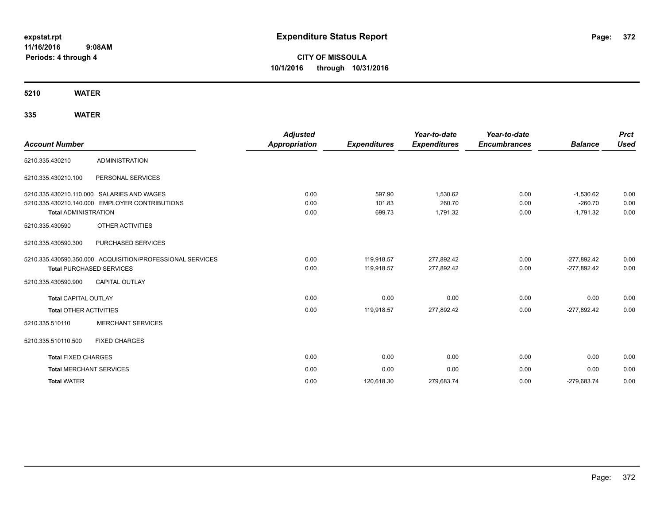**CITY OF MISSOULA 10/1/2016 through 10/31/2016**

**5210 WATER**

| <b>Account Number</b>           |                                                           | <b>Adjusted</b><br><b>Appropriation</b> | <b>Expenditures</b> | Year-to-date<br><b>Expenditures</b> | Year-to-date<br><b>Encumbrances</b> | <b>Balance</b> | <b>Prct</b><br><b>Used</b> |
|---------------------------------|-----------------------------------------------------------|-----------------------------------------|---------------------|-------------------------------------|-------------------------------------|----------------|----------------------------|
| 5210.335.430210                 | <b>ADMINISTRATION</b>                                     |                                         |                     |                                     |                                     |                |                            |
| 5210.335.430210.100             | PERSONAL SERVICES                                         |                                         |                     |                                     |                                     |                |                            |
|                                 | 5210.335.430210.110.000 SALARIES AND WAGES                | 0.00                                    | 597.90              | 1,530.62                            | 0.00                                | $-1,530.62$    | 0.00                       |
|                                 | 5210.335.430210.140.000 EMPLOYER CONTRIBUTIONS            | 0.00                                    | 101.83              | 260.70                              | 0.00                                | $-260.70$      | 0.00                       |
| <b>Total ADMINISTRATION</b>     |                                                           | 0.00                                    | 699.73              | 1,791.32                            | 0.00                                | $-1,791.32$    | 0.00                       |
| 5210.335.430590                 | OTHER ACTIVITIES                                          |                                         |                     |                                     |                                     |                |                            |
| 5210.335.430590.300             | PURCHASED SERVICES                                        |                                         |                     |                                     |                                     |                |                            |
|                                 | 5210.335.430590.350.000 ACQUISITION/PROFESSIONAL SERVICES | 0.00                                    | 119,918.57          | 277,892.42                          | 0.00                                | $-277,892.42$  | 0.00                       |
| <b>Total PURCHASED SERVICES</b> |                                                           | 0.00                                    | 119,918.57          | 277,892.42                          | 0.00                                | $-277,892.42$  | 0.00                       |
| 5210.335.430590.900             | <b>CAPITAL OUTLAY</b>                                     |                                         |                     |                                     |                                     |                |                            |
| <b>Total CAPITAL OUTLAY</b>     |                                                           | 0.00                                    | 0.00                | 0.00                                | 0.00                                | 0.00           | 0.00                       |
| Total OTHER ACTIVITIES          |                                                           | 0.00                                    | 119,918.57          | 277,892.42                          | 0.00                                | $-277.892.42$  | 0.00                       |
| 5210.335.510110                 | <b>MERCHANT SERVICES</b>                                  |                                         |                     |                                     |                                     |                |                            |
| 5210.335.510110.500             | <b>FIXED CHARGES</b>                                      |                                         |                     |                                     |                                     |                |                            |
| <b>Total FIXED CHARGES</b>      |                                                           | 0.00                                    | 0.00                | 0.00                                | 0.00                                | 0.00           | 0.00                       |
| <b>Total MERCHANT SERVICES</b>  |                                                           | 0.00                                    | 0.00                | 0.00                                | 0.00                                | 0.00           | 0.00                       |
| <b>Total WATER</b>              |                                                           | 0.00                                    | 120,618.30          | 279,683.74                          | 0.00                                | $-279,683.74$  | 0.00                       |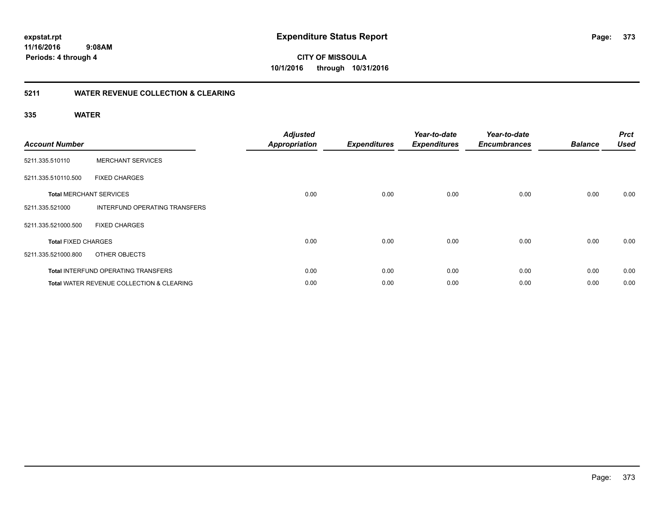**CITY OF MISSOULA 10/1/2016 through 10/31/2016**

### **5211 WATER REVENUE COLLECTION & CLEARING**

| <b>Account Number</b>      |                                                      | <b>Adjusted</b><br><b>Appropriation</b> | <b>Expenditures</b> | Year-to-date<br><b>Expenditures</b> | Year-to-date<br><b>Encumbrances</b> | <b>Balance</b> | <b>Prct</b><br><b>Used</b> |
|----------------------------|------------------------------------------------------|-----------------------------------------|---------------------|-------------------------------------|-------------------------------------|----------------|----------------------------|
| 5211.335.510110            | <b>MERCHANT SERVICES</b>                             |                                         |                     |                                     |                                     |                |                            |
| 5211.335.510110.500        | <b>FIXED CHARGES</b>                                 |                                         |                     |                                     |                                     |                |                            |
|                            | <b>Total MERCHANT SERVICES</b>                       | 0.00                                    | 0.00                | 0.00                                | 0.00                                | 0.00           | 0.00                       |
| 5211.335.521000            | <b>INTERFUND OPERATING TRANSFERS</b>                 |                                         |                     |                                     |                                     |                |                            |
| 5211.335.521000.500        | <b>FIXED CHARGES</b>                                 |                                         |                     |                                     |                                     |                |                            |
| <b>Total FIXED CHARGES</b> |                                                      | 0.00                                    | 0.00                | 0.00                                | 0.00                                | 0.00           | 0.00                       |
| 5211.335.521000.800        | OTHER OBJECTS                                        |                                         |                     |                                     |                                     |                |                            |
|                            | <b>Total INTERFUND OPERATING TRANSFERS</b>           | 0.00                                    | 0.00                | 0.00                                | 0.00                                | 0.00           | 0.00                       |
|                            | <b>Total WATER REVENUE COLLECTION &amp; CLEARING</b> | 0.00                                    | 0.00                | 0.00                                | 0.00                                | 0.00           | 0.00                       |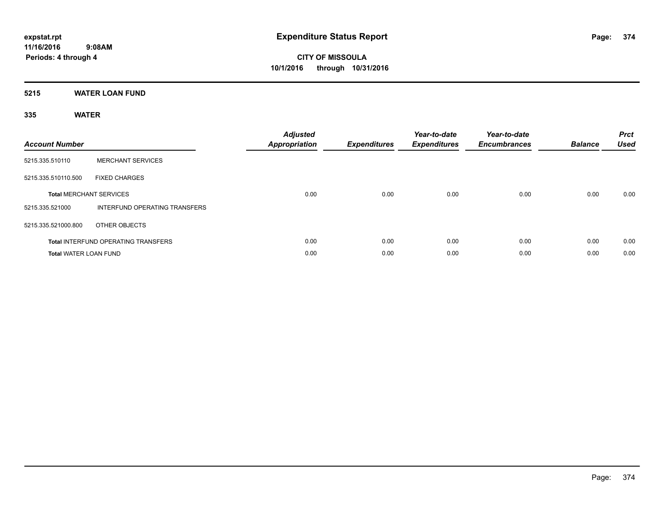**5215 WATER LOAN FUND**

| <b>Account Number</b>        |                                            | <b>Adjusted</b><br><b>Appropriation</b> | <b>Expenditures</b> | Year-to-date<br><b>Expenditures</b> | Year-to-date<br><b>Encumbrances</b> | <b>Balance</b> | <b>Prct</b><br><b>Used</b> |
|------------------------------|--------------------------------------------|-----------------------------------------|---------------------|-------------------------------------|-------------------------------------|----------------|----------------------------|
| 5215.335.510110              | <b>MERCHANT SERVICES</b>                   |                                         |                     |                                     |                                     |                |                            |
| 5215.335.510110.500          | <b>FIXED CHARGES</b>                       |                                         |                     |                                     |                                     |                |                            |
|                              | <b>Total MERCHANT SERVICES</b>             | 0.00                                    | 0.00                | 0.00                                | 0.00                                | 0.00           | 0.00                       |
| 5215.335.521000              | INTERFUND OPERATING TRANSFERS              |                                         |                     |                                     |                                     |                |                            |
| 5215.335.521000.800          | OTHER OBJECTS                              |                                         |                     |                                     |                                     |                |                            |
|                              | <b>Total INTERFUND OPERATING TRANSFERS</b> | 0.00                                    | 0.00                | 0.00                                | 0.00                                | 0.00           | 0.00                       |
| <b>Total WATER LOAN FUND</b> |                                            | 0.00                                    | 0.00                | 0.00                                | 0.00                                | 0.00           | 0.00                       |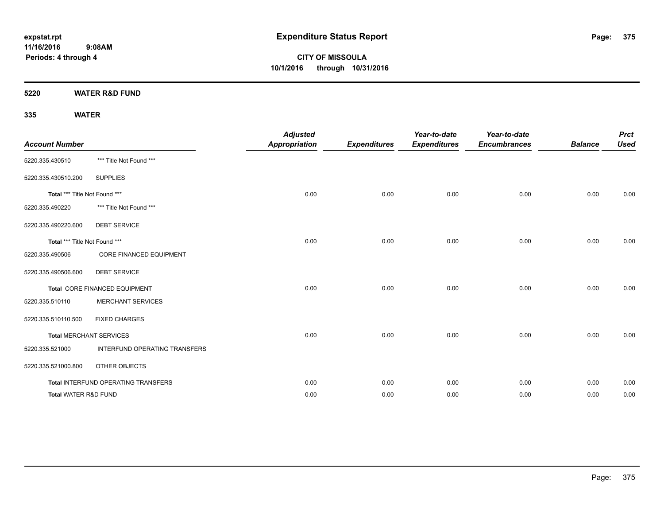**5220 WATER R&D FUND**

| <b>Account Number</b>           |                                     | <b>Adjusted</b><br><b>Appropriation</b> | <b>Expenditures</b> | Year-to-date<br><b>Expenditures</b> | Year-to-date<br><b>Encumbrances</b> | <b>Balance</b> | <b>Prct</b><br><b>Used</b> |
|---------------------------------|-------------------------------------|-----------------------------------------|---------------------|-------------------------------------|-------------------------------------|----------------|----------------------------|
| 5220.335.430510                 | *** Title Not Found ***             |                                         |                     |                                     |                                     |                |                            |
| 5220.335.430510.200             | <b>SUPPLIES</b>                     |                                         |                     |                                     |                                     |                |                            |
| Total *** Title Not Found ***   |                                     | 0.00                                    | 0.00                | 0.00                                | 0.00                                | 0.00           | 0.00                       |
| 5220.335.490220                 | *** Title Not Found ***             |                                         |                     |                                     |                                     |                |                            |
| 5220.335.490220.600             | <b>DEBT SERVICE</b>                 |                                         |                     |                                     |                                     |                |                            |
| Total *** Title Not Found ***   |                                     | 0.00                                    | 0.00                | 0.00                                | 0.00                                | 0.00           | 0.00                       |
| 5220.335.490506                 | <b>CORE FINANCED EQUIPMENT</b>      |                                         |                     |                                     |                                     |                |                            |
| 5220.335.490506.600             | <b>DEBT SERVICE</b>                 |                                         |                     |                                     |                                     |                |                            |
|                                 | Total CORE FINANCED EQUIPMENT       | 0.00                                    | 0.00                | 0.00                                | 0.00                                | 0.00           | 0.00                       |
| 5220.335.510110                 | <b>MERCHANT SERVICES</b>            |                                         |                     |                                     |                                     |                |                            |
| 5220.335.510110.500             | <b>FIXED CHARGES</b>                |                                         |                     |                                     |                                     |                |                            |
|                                 | <b>Total MERCHANT SERVICES</b>      | 0.00                                    | 0.00                | 0.00                                | 0.00                                | 0.00           | 0.00                       |
| 5220.335.521000                 | INTERFUND OPERATING TRANSFERS       |                                         |                     |                                     |                                     |                |                            |
| 5220.335.521000.800             | OTHER OBJECTS                       |                                         |                     |                                     |                                     |                |                            |
|                                 | Total INTERFUND OPERATING TRANSFERS | 0.00                                    | 0.00                | 0.00                                | 0.00                                | 0.00           | 0.00                       |
| <b>Total WATER R&amp;D FUND</b> |                                     | 0.00                                    | 0.00                | 0.00                                | 0.00                                | 0.00           | 0.00                       |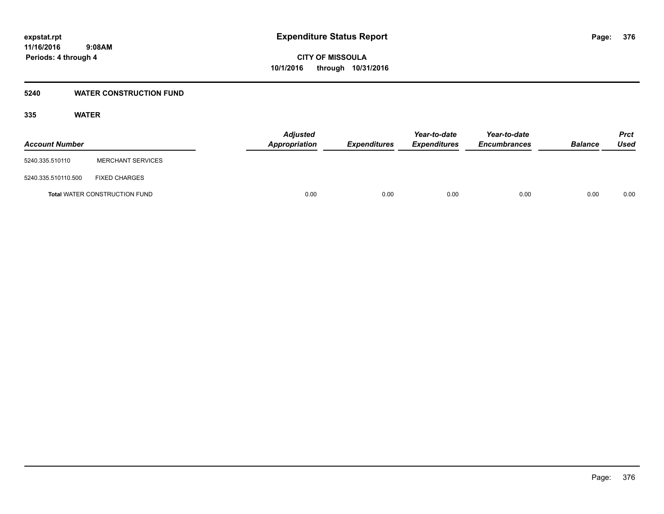#### **5240 WATER CONSTRUCTION FUND**

| <b>Account Number</b> |                                      | <b>Adjusted</b><br>Appropriation | <b>Expenditures</b> | Year-to-date<br><b>Expenditures</b> | Year-to-date<br><b>Encumbrances</b> | <b>Balance</b> | Prct<br><b>Used</b> |
|-----------------------|--------------------------------------|----------------------------------|---------------------|-------------------------------------|-------------------------------------|----------------|---------------------|
| 5240.335.510110       | <b>MERCHANT SERVICES</b>             |                                  |                     |                                     |                                     |                |                     |
| 5240.335.510110.500   | <b>FIXED CHARGES</b>                 |                                  |                     |                                     |                                     |                |                     |
|                       | <b>Total WATER CONSTRUCTION FUND</b> | 0.00                             | 0.00                | 0.00                                | 0.00                                | 0.00           | 0.00                |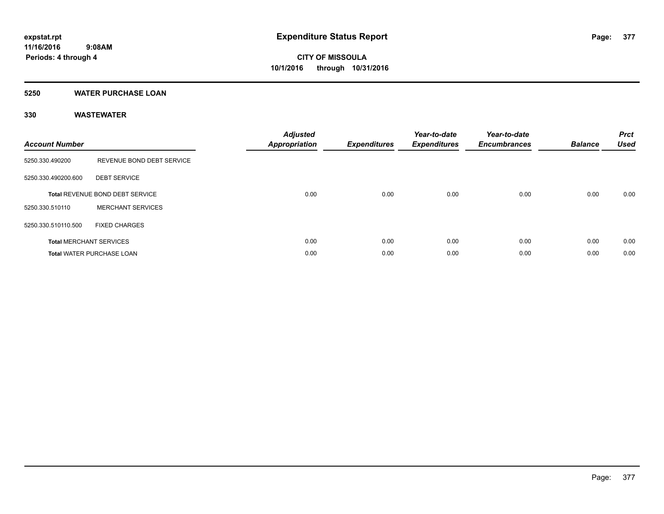#### **5250 WATER PURCHASE LOAN**

| <b>Account Number</b> |                                        | <b>Adjusted</b><br>Appropriation | <b>Expenditures</b> | Year-to-date<br><b>Expenditures</b> | Year-to-date<br><b>Encumbrances</b> | <b>Balance</b> | <b>Prct</b><br><b>Used</b> |
|-----------------------|----------------------------------------|----------------------------------|---------------------|-------------------------------------|-------------------------------------|----------------|----------------------------|
| 5250.330.490200       | REVENUE BOND DEBT SERVICE              |                                  |                     |                                     |                                     |                |                            |
| 5250.330.490200.600   | <b>DEBT SERVICE</b>                    |                                  |                     |                                     |                                     |                |                            |
|                       | <b>Total REVENUE BOND DEBT SERVICE</b> | 0.00                             | 0.00                | 0.00                                | 0.00                                | 0.00           | 0.00                       |
| 5250.330.510110       | <b>MERCHANT SERVICES</b>               |                                  |                     |                                     |                                     |                |                            |
| 5250.330.510110.500   | <b>FIXED CHARGES</b>                   |                                  |                     |                                     |                                     |                |                            |
|                       | <b>Total MERCHANT SERVICES</b>         | 0.00                             | 0.00                | 0.00                                | 0.00                                | 0.00           | 0.00                       |
|                       | <b>Total WATER PURCHASE LOAN</b>       | 0.00                             | 0.00                | 0.00                                | 0.00                                | 0.00           | 0.00                       |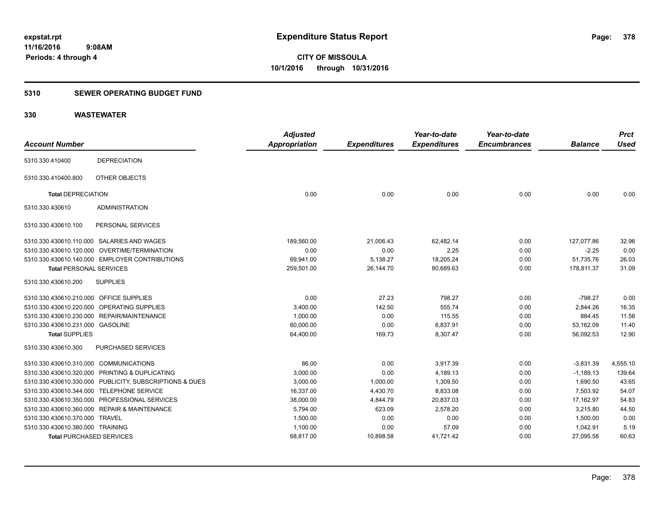### **5310 SEWER OPERATING BUDGET FUND**

|                                         |                                                         | <b>Adjusted</b>      |                     | Year-to-date        | Year-to-date        |                | <b>Prct</b> |
|-----------------------------------------|---------------------------------------------------------|----------------------|---------------------|---------------------|---------------------|----------------|-------------|
| <b>Account Number</b>                   |                                                         | <b>Appropriation</b> | <b>Expenditures</b> | <b>Expenditures</b> | <b>Encumbrances</b> | <b>Balance</b> | <b>Used</b> |
| 5310.330.410400                         | <b>DEPRECIATION</b>                                     |                      |                     |                     |                     |                |             |
| 5310.330.410400.800                     | OTHER OBJECTS                                           |                      |                     |                     |                     |                |             |
| <b>Total DEPRECIATION</b>               |                                                         | 0.00                 | 0.00                | 0.00                | 0.00                | 0.00           | 0.00        |
| 5310.330.430610                         | <b>ADMINISTRATION</b>                                   |                      |                     |                     |                     |                |             |
| 5310.330.430610.100                     | PERSONAL SERVICES                                       |                      |                     |                     |                     |                |             |
|                                         | 5310.330.430610.110.000 SALARIES AND WAGES              | 189,560.00           | 21,006.43           | 62,482.14           | 0.00                | 127,077.86     | 32.96       |
|                                         | 5310.330.430610.120.000 OVERTIME/TERMINATION            | 0.00                 | 0.00                | 2.25                | 0.00                | $-2.25$        | 0.00        |
|                                         | 5310.330.430610.140.000 EMPLOYER CONTRIBUTIONS          | 69,941.00            | 5,138.27            | 18,205.24           | 0.00                | 51,735.76      | 26.03       |
| <b>Total PERSONAL SERVICES</b>          |                                                         | 259,501.00           | 26,144.70           | 80,689.63           | 0.00                | 178,811.37     | 31.09       |
| 5310.330.430610.200                     | <b>SUPPLIES</b>                                         |                      |                     |                     |                     |                |             |
| 5310.330.430610.210.000 OFFICE SUPPLIES |                                                         | 0.00                 | 27.23               | 798.27              | 0.00                | $-798.27$      | 0.00        |
|                                         | 5310.330.430610.220.000 OPERATING SUPPLIES              | 3,400.00             | 142.50              | 555.74              | 0.00                | 2,844.26       | 16.35       |
|                                         | 5310.330.430610.230.000 REPAIR/MAINTENANCE              | 1,000.00             | 0.00                | 115.55              | 0.00                | 884.45         | 11.56       |
| 5310.330.430610.231.000 GASOLINE        |                                                         | 60,000.00            | 0.00                | 6,837.91            | 0.00                | 53,162.09      | 11.40       |
| <b>Total SUPPLIES</b>                   |                                                         | 64,400.00            | 169.73              | 8,307.47            | 0.00                | 56,092.53      | 12.90       |
| 5310.330.430610.300                     | PURCHASED SERVICES                                      |                      |                     |                     |                     |                |             |
| 5310.330.430610.310.000 COMMUNICATIONS  |                                                         | 86.00                | 0.00                | 3,917.39            | 0.00                | $-3,831.39$    | 4,555.10    |
|                                         | 5310.330.430610.320.000 PRINTING & DUPLICATING          | 3,000.00             | 0.00                | 4,189.13            | 0.00                | $-1,189.13$    | 139.64      |
|                                         | 5310.330.430610.330.000 PUBLICITY, SUBSCRIPTIONS & DUES | 3,000.00             | 1,000.00            | 1,309.50            | 0.00                | 1,690.50       | 43.65       |
|                                         | 5310.330.430610.344.000 TELEPHONE SERVICE               | 16,337.00            | 4,430.70            | 8,833.08            | 0.00                | 7,503.92       | 54.07       |
|                                         | 5310.330.430610.350.000 PROFESSIONAL SERVICES           | 38,000.00            | 4,844.79            | 20,837.03           | 0.00                | 17,162.97      | 54.83       |
|                                         | 5310.330.430610.360.000 REPAIR & MAINTENANCE            | 5,794.00             | 623.09              | 2,578.20            | 0.00                | 3,215.80       | 44.50       |
| 5310.330.430610.370.000 TRAVEL          |                                                         | 1,500.00             | 0.00                | 0.00                | 0.00                | 1,500.00       | 0.00        |
| 5310.330.430610.380.000 TRAINING        |                                                         | 1,100.00             | 0.00                | 57.09               | 0.00                | 1,042.91       | 5.19        |
| <b>Total PURCHASED SERVICES</b>         |                                                         | 68,817.00            | 10,898.58           | 41,721.42           | 0.00                | 27,095.58      | 60.63       |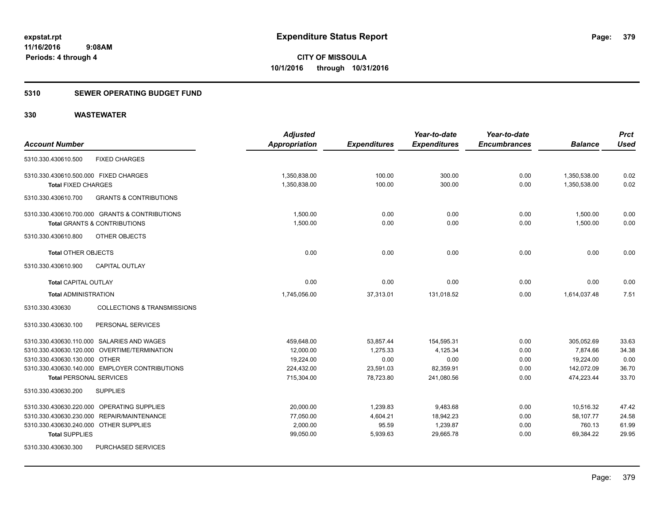### **5310 SEWER OPERATING BUDGET FUND**

|                                                           | <b>Adjusted</b>      |                     | Year-to-date        | Year-to-date        |                | <b>Prct</b> |
|-----------------------------------------------------------|----------------------|---------------------|---------------------|---------------------|----------------|-------------|
| <b>Account Number</b>                                     | <b>Appropriation</b> | <b>Expenditures</b> | <b>Expenditures</b> | <b>Encumbrances</b> | <b>Balance</b> | <b>Used</b> |
| <b>FIXED CHARGES</b><br>5310.330.430610.500               |                      |                     |                     |                     |                |             |
| 5310.330.430610.500.000 FIXED CHARGES                     | 1,350,838.00         | 100.00              | 300.00              | 0.00                | 1,350,538.00   | 0.02        |
| <b>Total FIXED CHARGES</b>                                | 1,350,838.00         | 100.00              | 300.00              | 0.00                | 1,350,538.00   | 0.02        |
| <b>GRANTS &amp; CONTRIBUTIONS</b><br>5310.330.430610.700  |                      |                     |                     |                     |                |             |
| 5310.330.430610.700.000 GRANTS & CONTRIBUTIONS            | 1,500.00             | 0.00                | 0.00                | 0.00                | 1,500.00       | 0.00        |
| <b>Total GRANTS &amp; CONTRIBUTIONS</b>                   | 1,500.00             | 0.00                | 0.00                | 0.00                | 1,500.00       | 0.00        |
| 5310.330.430610.800<br>OTHER OBJECTS                      |                      |                     |                     |                     |                |             |
| <b>Total OTHER OBJECTS</b>                                | 0.00                 | 0.00                | 0.00                | 0.00                | 0.00           | 0.00        |
| 5310.330.430610.900<br><b>CAPITAL OUTLAY</b>              |                      |                     |                     |                     |                |             |
| <b>Total CAPITAL OUTLAY</b>                               | 0.00                 | 0.00                | 0.00                | 0.00                | 0.00           | 0.00        |
| <b>Total ADMINISTRATION</b>                               | 1,745,056.00         | 37,313.01           | 131,018.52          | 0.00                | 1,614,037.48   | 7.51        |
| 5310.330.430630<br><b>COLLECTIONS &amp; TRANSMISSIONS</b> |                      |                     |                     |                     |                |             |
| PERSONAL SERVICES<br>5310.330.430630.100                  |                      |                     |                     |                     |                |             |
| 5310.330.430630.110.000 SALARIES AND WAGES                | 459,648.00           | 53,857.44           | 154,595.31          | 0.00                | 305,052.69     | 33.63       |
| 5310.330.430630.120.000 OVERTIME/TERMINATION              | 12.000.00            | 1,275.33            | 4,125.34            | 0.00                | 7.874.66       | 34.38       |
| 5310.330.430630.130.000 OTHER                             | 19,224.00            | 0.00                | 0.00                | 0.00                | 19,224.00      | 0.00        |
| 5310.330.430630.140.000 EMPLOYER CONTRIBUTIONS            | 224,432.00           | 23,591.03           | 82,359.91           | 0.00                | 142,072.09     | 36.70       |
| <b>Total PERSONAL SERVICES</b>                            | 715,304.00           | 78,723.80           | 241,080.56          | 0.00                | 474,223.44     | 33.70       |
| 5310.330.430630.200<br><b>SUPPLIES</b>                    |                      |                     |                     |                     |                |             |
| 5310.330.430630.220.000 OPERATING SUPPLIES                | 20,000.00            | 1,239.83            | 9,483.68            | 0.00                | 10,516.32      | 47.42       |
| 5310.330.430630.230.000 REPAIR/MAINTENANCE                | 77,050.00            | 4,604.21            | 18,942.23           | 0.00                | 58,107.77      | 24.58       |
| 5310.330.430630.240.000 OTHER SUPPLIES                    | 2,000.00             | 95.59               | 1,239.87            | 0.00                | 760.13         | 61.99       |
| <b>Total SUPPLIES</b>                                     | 99,050.00            | 5,939.63            | 29,665.78           | 0.00                | 69,384.22      | 29.95       |
| PURCHASED SERVICES<br>5310.330.430630.300                 |                      |                     |                     |                     |                |             |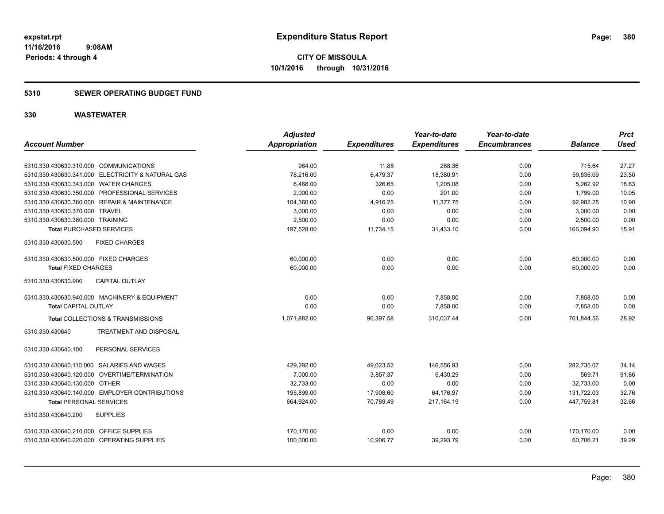### **5310 SEWER OPERATING BUDGET FUND**

|                                                   | <b>Adjusted</b> |                     | Year-to-date        | Year-to-date        |                | <b>Prct</b> |
|---------------------------------------------------|-----------------|---------------------|---------------------|---------------------|----------------|-------------|
| <b>Account Number</b>                             | Appropriation   | <b>Expenditures</b> | <b>Expenditures</b> | <b>Encumbrances</b> | <b>Balance</b> | <b>Used</b> |
|                                                   |                 |                     |                     |                     |                |             |
| 5310.330.430630.310.000 COMMUNICATIONS            | 984.00          | 11.88               | 268.36              | 0.00                | 715.64         | 27.27       |
| 5310.330.430630.341.000 ELECTRICITY & NATURAL GAS | 78,216.00       | 6,479.37            | 18,380.91           | 0.00                | 59,835.09      | 23.50       |
| 5310.330.430630.343.000 WATER CHARGES             | 6,468.00        | 326.65              | 1,205.08            | 0.00                | 5,262.92       | 18.63       |
| 5310.330.430630.350.000 PROFESSIONAL SERVICES     | 2,000.00        | 0.00                | 201.00              | 0.00                | 1,799.00       | 10.05       |
| 5310.330.430630.360.000 REPAIR & MAINTENANCE      | 104,360.00      | 4,916.25            | 11.377.75           | 0.00                | 92,982.25      | 10.90       |
| 5310.330.430630.370.000 TRAVEL                    | 3,000.00        | 0.00                | 0.00                | 0.00                | 3,000.00       | 0.00        |
| 5310.330.430630.380.000 TRAINING                  | 2,500.00        | 0.00                | 0.00                | 0.00                | 2,500.00       | 0.00        |
| <b>Total PURCHASED SERVICES</b>                   | 197,528.00      | 11,734.15           | 31,433.10           | 0.00                | 166,094.90     | 15.91       |
| 5310.330.430630.500<br><b>FIXED CHARGES</b>       |                 |                     |                     |                     |                |             |
| 5310.330.430630.500.000 FIXED CHARGES             | 60,000.00       | 0.00                | 0.00                | 0.00                | 60,000.00      | 0.00        |
| <b>Total FIXED CHARGES</b>                        | 60,000.00       | 0.00                | 0.00                | 0.00                | 60,000.00      | 0.00        |
| 5310.330.430630.900<br><b>CAPITAL OUTLAY</b>      |                 |                     |                     |                     |                |             |
| 5310.330.430630.940.000 MACHINERY & EQUIPMENT     | 0.00            | 0.00                | 7,858.00            | 0.00                | $-7,858.00$    | 0.00        |
| <b>Total CAPITAL OUTLAY</b>                       | 0.00            | 0.00                | 7,858.00            | 0.00                | $-7.858.00$    | 0.00        |
| Total COLLECTIONS & TRANSMISSIONS                 | 1,071,882.00    | 96,397.58           | 310,037.44          | 0.00                | 761,844.56     | 28.92       |
| 5310.330.430640<br>TREATMENT AND DISPOSAL         |                 |                     |                     |                     |                |             |
| PERSONAL SERVICES<br>5310.330.430640.100          |                 |                     |                     |                     |                |             |
| 5310.330.430640.110.000 SALARIES AND WAGES        | 429,292.00      | 49,023.52           | 146,556.93          | 0.00                | 282,735.07     | 34.14       |
| 5310.330.430640.120.000 OVERTIME/TERMINATION      | 7.000.00        | 3,857.37            | 6.430.29            | 0.00                | 569.71         | 91.86       |
| 5310.330.430640.130.000 OTHER                     | 32,733.00       | 0.00                | 0.00                | 0.00                | 32,733.00      | 0.00        |
| 5310.330.430640.140.000 EMPLOYER CONTRIBUTIONS    | 195,899.00      | 17,908.60           | 64,176.97           | 0.00                | 131,722.03     | 32.76       |
| <b>Total PERSONAL SERVICES</b>                    | 664,924.00      | 70.789.49           | 217.164.19          | 0.00                | 447.759.81     | 32.66       |
| 5310.330.430640.200<br><b>SUPPLIES</b>            |                 |                     |                     |                     |                |             |
| 5310.330.430640.210.000 OFFICE SUPPLIES           | 170,170.00      | 0.00                | 0.00                | 0.00                | 170,170.00     | 0.00        |
| 5310.330.430640.220.000 OPERATING SUPPLIES        | 100,000.00      | 10,906.77           | 39,293.79           | 0.00                | 60.706.21      | 39.29       |
|                                                   |                 |                     |                     |                     |                |             |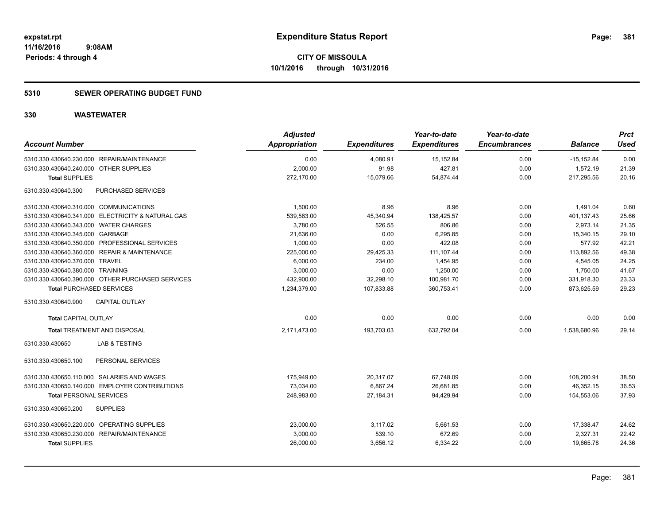### **5310 SEWER OPERATING BUDGET FUND**

| <b>Account Number</b>                             | <b>Adjusted</b><br><b>Appropriation</b> | <b>Expenditures</b> | Year-to-date<br><b>Expenditures</b> | Year-to-date<br><b>Encumbrances</b> | <b>Balance</b> | <b>Prct</b><br>Used |
|---------------------------------------------------|-----------------------------------------|---------------------|-------------------------------------|-------------------------------------|----------------|---------------------|
| 5310.330.430640.230.000 REPAIR/MAINTENANCE        | 0.00                                    | 4,080.91            | 15, 152.84                          | 0.00                                | $-15, 152.84$  | 0.00                |
| 5310.330.430640.240.000 OTHER SUPPLIES            | 2,000.00                                | 91.98               | 427.81                              | 0.00                                | 1,572.19       | 21.39               |
| <b>Total SUPPLIES</b>                             | 272,170.00                              | 15,079.66           | 54,874.44                           | 0.00                                | 217,295.56     | 20.16               |
| PURCHASED SERVICES<br>5310.330.430640.300         |                                         |                     |                                     |                                     |                |                     |
| 5310.330.430640.310.000 COMMUNICATIONS            | 1,500.00                                | 8.96                | 8.96                                | 0.00                                | 1,491.04       | 0.60                |
| 5310.330.430640.341.000 ELECTRICITY & NATURAL GAS | 539,563.00                              | 45,340.94           | 138,425.57                          | 0.00                                | 401,137.43     | 25.66               |
| 5310.330.430640.343.000 WATER CHARGES             | 3,780.00                                | 526.55              | 806.86                              | 0.00                                | 2,973.14       | 21.35               |
| 5310.330.430640.345.000 GARBAGE                   | 21,636.00                               | 0.00                | 6,295.85                            | 0.00                                | 15,340.15      | 29.10               |
| 5310.330.430640.350.000 PROFESSIONAL SERVICES     | 1,000.00                                | 0.00                | 422.08                              | 0.00                                | 577.92         | 42.21               |
| 5310.330.430640.360.000 REPAIR & MAINTENANCE      | 225,000.00                              | 29,425.33           | 111,107.44                          | 0.00                                | 113,892.56     | 49.38               |
| 5310.330.430640.370.000 TRAVEL                    | 6,000.00                                | 234.00              | 1,454.95                            | 0.00                                | 4,545.05       | 24.25               |
| 5310.330.430640.380.000 TRAINING                  | 3,000.00                                | 0.00                | 1,250.00                            | 0.00                                | 1,750.00       | 41.67               |
| 5310.330.430640.390.000 OTHER PURCHASED SERVICES  | 432,900.00                              | 32,298.10           | 100,981.70                          | 0.00                                | 331,918.30     | 23.33               |
| <b>Total PURCHASED SERVICES</b>                   | 1,234,379.00                            | 107,833.88          | 360,753.41                          | 0.00                                | 873,625.59     | 29.23               |
| CAPITAL OUTLAY<br>5310.330.430640.900             |                                         |                     |                                     |                                     |                |                     |
| <b>Total CAPITAL OUTLAY</b>                       | 0.00                                    | 0.00                | 0.00                                | 0.00                                | 0.00           | 0.00                |
| <b>Total TREATMENT AND DISPOSAL</b>               | 2,171,473.00                            | 193,703.03          | 632,792.04                          | 0.00                                | 1,538,680.96   | 29.14               |
| 5310.330.430650<br>LAB & TESTING                  |                                         |                     |                                     |                                     |                |                     |
| PERSONAL SERVICES<br>5310.330.430650.100          |                                         |                     |                                     |                                     |                |                     |
| 5310.330.430650.110.000 SALARIES AND WAGES        | 175,949.00                              | 20,317.07           | 67,748.09                           | 0.00                                | 108,200.91     | 38.50               |
| 5310.330.430650.140.000 EMPLOYER CONTRIBUTIONS    | 73,034.00                               | 6,867.24            | 26,681.85                           | 0.00                                | 46,352.15      | 36.53               |
| <b>Total PERSONAL SERVICES</b>                    | 248,983.00                              | 27.184.31           | 94.429.94                           | 0.00                                | 154.553.06     | 37.93               |
| 5310.330.430650.200<br><b>SUPPLIES</b>            |                                         |                     |                                     |                                     |                |                     |
| 5310.330.430650.220.000 OPERATING SUPPLIES        | 23,000.00                               | 3,117.02            | 5,661.53                            | 0.00                                | 17,338.47      | 24.62               |
| 5310.330.430650.230.000 REPAIR/MAINTENANCE        | 3,000.00                                | 539.10              | 672.69                              | 0.00                                | 2,327.31       | 22.42               |
| <b>Total SUPPLIES</b>                             | 26,000.00                               | 3,656.12            | 6,334.22                            | 0.00                                | 19,665.78      | 24.36               |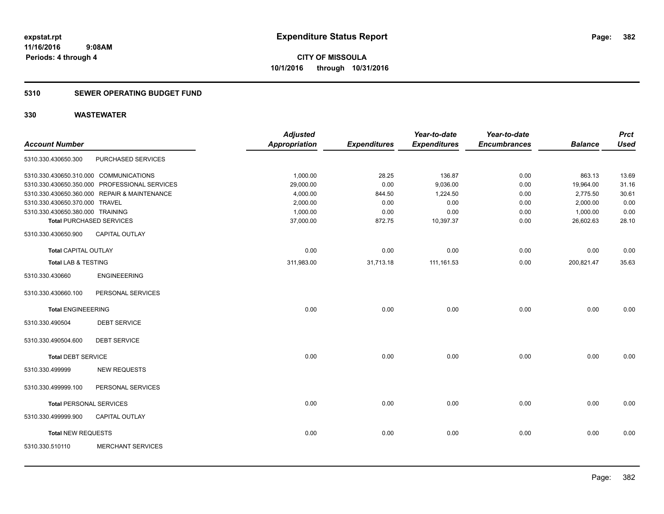#### **5310 SEWER OPERATING BUDGET FUND**

| <b>Account Number</b>            |                                               | <b>Adjusted</b><br><b>Appropriation</b> | <b>Expenditures</b> | Year-to-date<br><b>Expenditures</b> | Year-to-date<br><b>Encumbrances</b> | <b>Balance</b> | <b>Prct</b><br><b>Used</b> |
|----------------------------------|-----------------------------------------------|-----------------------------------------|---------------------|-------------------------------------|-------------------------------------|----------------|----------------------------|
| 5310.330.430650.300              | PURCHASED SERVICES                            |                                         |                     |                                     |                                     |                |                            |
|                                  | 5310.330.430650.310.000 COMMUNICATIONS        | 1,000.00                                | 28.25               | 136.87                              | 0.00                                | 863.13         | 13.69                      |
|                                  | 5310.330.430650.350.000 PROFESSIONAL SERVICES | 29,000.00                               | 0.00                | 9,036.00                            | 0.00                                | 19,964.00      | 31.16                      |
|                                  | 5310.330.430650.360.000 REPAIR & MAINTENANCE  | 4,000.00                                | 844.50              | 1,224.50                            | 0.00                                | 2,775.50       | 30.61                      |
| 5310.330.430650.370.000 TRAVEL   |                                               | 2,000.00                                | 0.00                | 0.00                                | 0.00                                | 2,000.00       | 0.00                       |
| 5310.330.430650.380.000 TRAINING |                                               | 1,000.00                                | 0.00                | 0.00                                | 0.00                                | 1,000.00       | 0.00                       |
|                                  | <b>Total PURCHASED SERVICES</b>               | 37,000.00                               | 872.75              | 10,397.37                           | 0.00                                | 26,602.63      | 28.10                      |
| 5310.330.430650.900              | CAPITAL OUTLAY                                |                                         |                     |                                     |                                     |                |                            |
| <b>Total CAPITAL OUTLAY</b>      |                                               | 0.00                                    | 0.00                | 0.00                                | 0.00                                | 0.00           | 0.00                       |
| <b>Total LAB &amp; TESTING</b>   |                                               | 311,983.00                              | 31,713.18           | 111, 161.53                         | 0.00                                | 200,821.47     | 35.63                      |
| 5310.330.430660                  | <b>ENGINEEERING</b>                           |                                         |                     |                                     |                                     |                |                            |
| 5310.330.430660.100              | PERSONAL SERVICES                             |                                         |                     |                                     |                                     |                |                            |
| <b>Total ENGINEEERING</b>        |                                               | 0.00                                    | 0.00                | 0.00                                | 0.00                                | 0.00           | 0.00                       |
| 5310.330.490504                  | <b>DEBT SERVICE</b>                           |                                         |                     |                                     |                                     |                |                            |
| 5310.330.490504.600              | <b>DEBT SERVICE</b>                           |                                         |                     |                                     |                                     |                |                            |
| <b>Total DEBT SERVICE</b>        |                                               | 0.00                                    | 0.00                | 0.00                                | 0.00                                | 0.00           | 0.00                       |
| 5310.330.499999                  | <b>NEW REQUESTS</b>                           |                                         |                     |                                     |                                     |                |                            |
| 5310.330.499999.100              | PERSONAL SERVICES                             |                                         |                     |                                     |                                     |                |                            |
| <b>Total PERSONAL SERVICES</b>   |                                               | 0.00                                    | 0.00                | 0.00                                | 0.00                                | 0.00           | 0.00                       |
| 5310.330.499999.900              | CAPITAL OUTLAY                                |                                         |                     |                                     |                                     |                |                            |
| Total NEW REQUESTS               |                                               | 0.00                                    | 0.00                | 0.00                                | 0.00                                | 0.00           | 0.00                       |
| 5310.330.510110                  | <b>MERCHANT SERVICES</b>                      |                                         |                     |                                     |                                     |                |                            |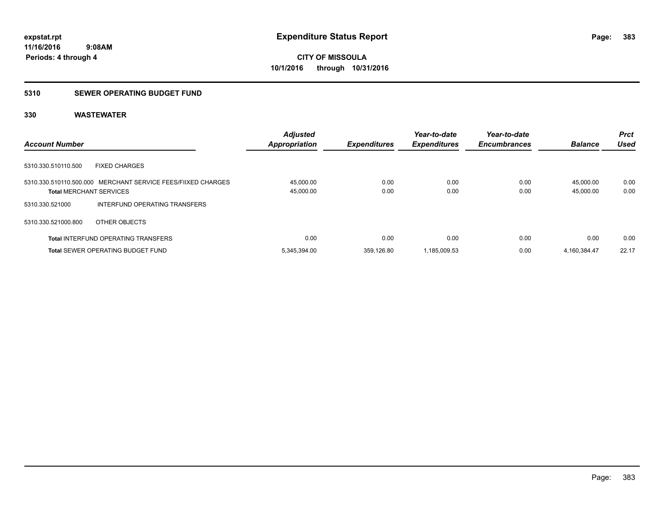### **5310 SEWER OPERATING BUDGET FUND**

|                                                                                                | <b>Adjusted</b>        |                     | Year-to-date        | Year-to-date        |                        | <b>Prct</b>  |
|------------------------------------------------------------------------------------------------|------------------------|---------------------|---------------------|---------------------|------------------------|--------------|
| <b>Account Number</b>                                                                          | <b>Appropriation</b>   | <b>Expenditures</b> | <b>Expenditures</b> | <b>Encumbrances</b> | <b>Balance</b>         | Used         |
| 5310.330.510110.500<br><b>FIXED CHARGES</b>                                                    |                        |                     |                     |                     |                        |              |
| 5310.330.510110.500.000 MERCHANT SERVICE FEES/FIIXED CHARGES<br><b>Total MERCHANT SERVICES</b> | 45,000.00<br>45,000.00 | 0.00<br>0.00        | 0.00<br>0.00        | 0.00<br>0.00        | 45.000.00<br>45.000.00 | 0.00<br>0.00 |
| INTERFUND OPERATING TRANSFERS<br>5310.330.521000                                               |                        |                     |                     |                     |                        |              |
| 5310.330.521000.800<br>OTHER OBJECTS                                                           |                        |                     |                     |                     |                        |              |
| <b>Total INTERFUND OPERATING TRANSFERS</b>                                                     | 0.00                   | 0.00                | 0.00                | 0.00                | 0.00                   | 0.00         |
| <b>Total SEWER OPERATING BUDGET FUND</b>                                                       | 5,345,394.00           | 359.126.80          | 1,185,009.53        | 0.00                | 4,160,384.47           | 22.17        |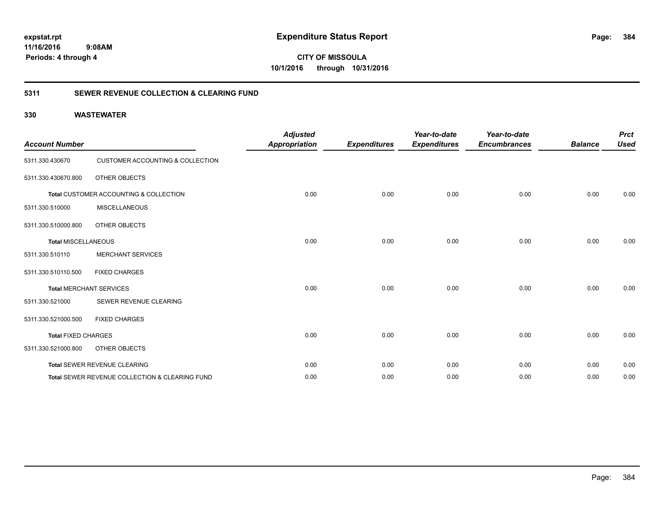**CITY OF MISSOULA 10/1/2016 through 10/31/2016**

### **5311 SEWER REVENUE COLLECTION & CLEARING FUND**

| <b>Account Number</b>      |                                                | <b>Adjusted</b><br><b>Appropriation</b> | <b>Expenditures</b> | Year-to-date<br><b>Expenditures</b> | Year-to-date<br><b>Encumbrances</b> | <b>Balance</b> | <b>Prct</b><br><b>Used</b> |
|----------------------------|------------------------------------------------|-----------------------------------------|---------------------|-------------------------------------|-------------------------------------|----------------|----------------------------|
| 5311.330.430670            | <b>CUSTOMER ACCOUNTING &amp; COLLECTION</b>    |                                         |                     |                                     |                                     |                |                            |
| 5311.330.430670.800        | OTHER OBJECTS                                  |                                         |                     |                                     |                                     |                |                            |
|                            | Total CUSTOMER ACCOUNTING & COLLECTION         | 0.00                                    | 0.00                | 0.00                                | 0.00                                | 0.00           | 0.00                       |
| 5311.330.510000            | <b>MISCELLANEOUS</b>                           |                                         |                     |                                     |                                     |                |                            |
| 5311.330.510000.800        | OTHER OBJECTS                                  |                                         |                     |                                     |                                     |                |                            |
| <b>Total MISCELLANEOUS</b> |                                                | 0.00                                    | 0.00                | 0.00                                | 0.00                                | 0.00           | 0.00                       |
| 5311.330.510110            | <b>MERCHANT SERVICES</b>                       |                                         |                     |                                     |                                     |                |                            |
| 5311.330.510110.500        | <b>FIXED CHARGES</b>                           |                                         |                     |                                     |                                     |                |                            |
|                            | <b>Total MERCHANT SERVICES</b>                 | 0.00                                    | 0.00                | 0.00                                | 0.00                                | 0.00           | 0.00                       |
| 5311.330.521000            | SEWER REVENUE CLEARING                         |                                         |                     |                                     |                                     |                |                            |
| 5311.330.521000.500        | <b>FIXED CHARGES</b>                           |                                         |                     |                                     |                                     |                |                            |
| <b>Total FIXED CHARGES</b> |                                                | 0.00                                    | 0.00                | 0.00                                | 0.00                                | 0.00           | 0.00                       |
| 5311.330.521000.800        | OTHER OBJECTS                                  |                                         |                     |                                     |                                     |                |                            |
|                            | Total SEWER REVENUE CLEARING                   | 0.00                                    | 0.00                | 0.00                                | 0.00                                | 0.00           | 0.00                       |
|                            | Total SEWER REVENUE COLLECTION & CLEARING FUND | 0.00                                    | 0.00                | 0.00                                | 0.00                                | 0.00           | 0.00                       |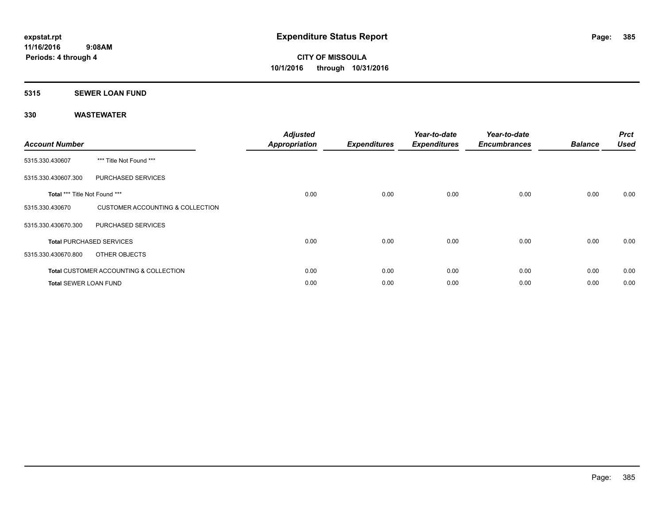### **5315 SEWER LOAN FUND**

| <b>Account Number</b>                |                                                   | <b>Adjusted</b><br>Appropriation | <b>Expenditures</b> | Year-to-date<br><b>Expenditures</b> | Year-to-date<br><b>Encumbrances</b> | <b>Balance</b> | <b>Prct</b><br><b>Used</b> |
|--------------------------------------|---------------------------------------------------|----------------------------------|---------------------|-------------------------------------|-------------------------------------|----------------|----------------------------|
| 5315.330.430607                      | *** Title Not Found ***                           |                                  |                     |                                     |                                     |                |                            |
| 5315.330.430607.300                  | PURCHASED SERVICES                                |                                  |                     |                                     |                                     |                |                            |
| <b>Total *** Title Not Found ***</b> |                                                   | 0.00                             | 0.00                | 0.00                                | 0.00                                | 0.00           | 0.00                       |
| 5315.330.430670                      | CUSTOMER ACCOUNTING & COLLECTION                  |                                  |                     |                                     |                                     |                |                            |
| 5315.330.430670.300                  | <b>PURCHASED SERVICES</b>                         |                                  |                     |                                     |                                     |                |                            |
|                                      | <b>Total PURCHASED SERVICES</b>                   | 0.00                             | 0.00                | 0.00                                | 0.00                                | 0.00           | 0.00                       |
| 5315.330.430670.800                  | OTHER OBJECTS                                     |                                  |                     |                                     |                                     |                |                            |
|                                      | <b>Total CUSTOMER ACCOUNTING &amp; COLLECTION</b> | 0.00                             | 0.00                | 0.00                                | 0.00                                | 0.00           | 0.00                       |
| <b>Total SEWER LOAN FUND</b>         |                                                   | 0.00                             | 0.00                | 0.00                                | 0.00                                | 0.00           | 0.00                       |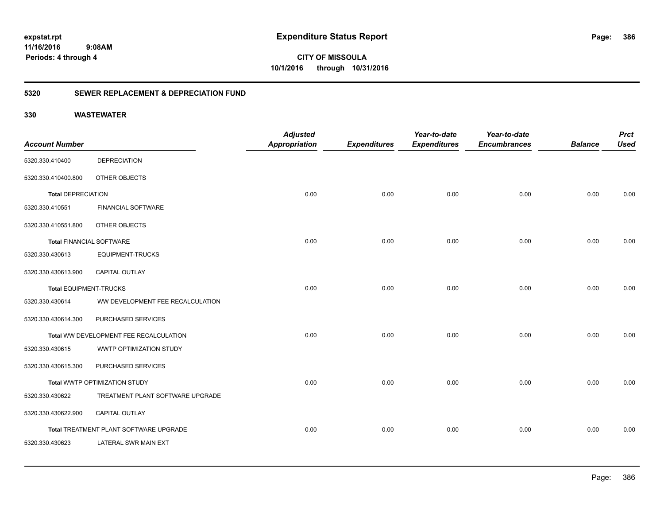**CITY OF MISSOULA 10/1/2016 through 10/31/2016**

### **5320 SEWER REPLACEMENT & DEPRECIATION FUND**

|                                 |                                        | <b>Adjusted</b>      |                     | Year-to-date        | Year-to-date        |                | <b>Prct</b> |
|---------------------------------|----------------------------------------|----------------------|---------------------|---------------------|---------------------|----------------|-------------|
| <b>Account Number</b>           |                                        | <b>Appropriation</b> | <b>Expenditures</b> | <b>Expenditures</b> | <b>Encumbrances</b> | <b>Balance</b> | <b>Used</b> |
| 5320.330.410400                 | <b>DEPRECIATION</b>                    |                      |                     |                     |                     |                |             |
| 5320.330.410400.800             | OTHER OBJECTS                          |                      |                     |                     |                     |                |             |
| <b>Total DEPRECIATION</b>       |                                        | 0.00                 | 0.00                | 0.00                | 0.00                | 0.00           | 0.00        |
| 5320.330.410551                 | <b>FINANCIAL SOFTWARE</b>              |                      |                     |                     |                     |                |             |
| 5320.330.410551.800             | OTHER OBJECTS                          |                      |                     |                     |                     |                |             |
| <b>Total FINANCIAL SOFTWARE</b> |                                        | 0.00                 | 0.00                | 0.00                | 0.00                | 0.00           | 0.00        |
| 5320.330.430613                 | <b>EQUIPMENT-TRUCKS</b>                |                      |                     |                     |                     |                |             |
| 5320.330.430613.900             | <b>CAPITAL OUTLAY</b>                  |                      |                     |                     |                     |                |             |
| <b>Total EQUIPMENT-TRUCKS</b>   |                                        | 0.00                 | 0.00                | 0.00                | 0.00                | 0.00           | 0.00        |
| 5320.330.430614                 | WW DEVELOPMENT FEE RECALCULATION       |                      |                     |                     |                     |                |             |
| 5320.330.430614.300             | PURCHASED SERVICES                     |                      |                     |                     |                     |                |             |
|                                 | Total WW DEVELOPMENT FEE RECALCULATION | 0.00                 | 0.00                | 0.00                | 0.00                | 0.00           | 0.00        |
| 5320.330.430615                 | WWTP OPTIMIZATION STUDY                |                      |                     |                     |                     |                |             |
| 5320.330.430615.300             | PURCHASED SERVICES                     |                      |                     |                     |                     |                |             |
|                                 | Total WWTP OPTIMIZATION STUDY          | 0.00                 | 0.00                | 0.00                | 0.00                | 0.00           | 0.00        |
| 5320.330.430622                 | TREATMENT PLANT SOFTWARE UPGRADE       |                      |                     |                     |                     |                |             |
| 5320.330.430622.900             | <b>CAPITAL OUTLAY</b>                  |                      |                     |                     |                     |                |             |
|                                 | Total TREATMENT PLANT SOFTWARE UPGRADE | 0.00                 | 0.00                | 0.00                | 0.00                | 0.00           | 0.00        |
| 5320.330.430623                 | LATERAL SWR MAIN EXT                   |                      |                     |                     |                     |                |             |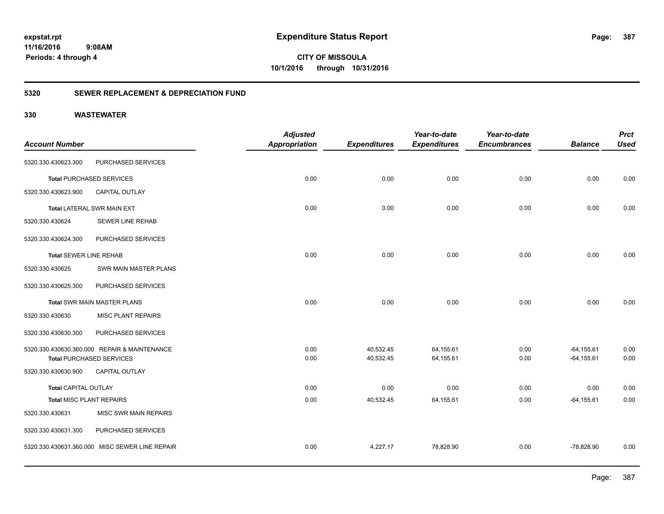**CITY OF MISSOULA 10/1/2016 through 10/31/2016**

### **5320 SEWER REPLACEMENT & DEPRECIATION FUND**

|                                 |                                                | <b>Adjusted</b>      |                     | Year-to-date        | Year-to-date        |                | <b>Prct</b> |
|---------------------------------|------------------------------------------------|----------------------|---------------------|---------------------|---------------------|----------------|-------------|
| <b>Account Number</b>           |                                                | <b>Appropriation</b> | <b>Expenditures</b> | <b>Expenditures</b> | <b>Encumbrances</b> | <b>Balance</b> | <b>Used</b> |
| 5320.330.430623.300             | PURCHASED SERVICES                             |                      |                     |                     |                     |                |             |
|                                 | <b>Total PURCHASED SERVICES</b>                | 0.00                 | 0.00                | 0.00                | 0.00                | 0.00           | 0.00        |
| 5320.330.430623.900             | <b>CAPITAL OUTLAY</b>                          |                      |                     |                     |                     |                |             |
|                                 | <b>Total LATERAL SWR MAIN EXT</b>              | 0.00                 | 0.00                | 0.00                | 0.00                | 0.00           | 0.00        |
| 5320.330.430624                 | <b>SEWER LINE REHAB</b>                        |                      |                     |                     |                     |                |             |
| 5320.330.430624.300             | PURCHASED SERVICES                             |                      |                     |                     |                     |                |             |
| <b>Total SEWER LINE REHAB</b>   |                                                | 0.00                 | 0.00                | 0.00                | 0.00                | 0.00           | 0.00        |
| 5320.330.430625                 | SWR MAIN MASTER PLANS                          |                      |                     |                     |                     |                |             |
| 5320.330.430625.300             | PURCHASED SERVICES                             |                      |                     |                     |                     |                |             |
|                                 | Total SWR MAIN MASTER PLANS                    | 0.00                 | 0.00                | 0.00                | 0.00                | 0.00           | 0.00        |
| 5320.330.430630                 | <b>MISC PLANT REPAIRS</b>                      |                      |                     |                     |                     |                |             |
| 5320.330.430630.300             | PURCHASED SERVICES                             |                      |                     |                     |                     |                |             |
|                                 | 5320.330.430630.360.000 REPAIR & MAINTENANCE   | 0.00                 | 40,532.45           | 64,155.61           | 0.00                | $-64, 155.61$  | 0.00        |
|                                 | <b>Total PURCHASED SERVICES</b>                | 0.00                 | 40,532.45           | 64,155.61           | 0.00                | $-64, 155.61$  | 0.00        |
| 5320.330.430630.900             | <b>CAPITAL OUTLAY</b>                          |                      |                     |                     |                     |                |             |
| <b>Total CAPITAL OUTLAY</b>     |                                                | 0.00                 | 0.00                | 0.00                | 0.00                | 0.00           | 0.00        |
| <b>Total MISC PLANT REPAIRS</b> |                                                | 0.00                 | 40,532.45           | 64,155.61           | 0.00                | $-64, 155.61$  | 0.00        |
| 5320.330.430631                 | MISC SWR MAIN REPAIRS                          |                      |                     |                     |                     |                |             |
| 5320.330.430631.300             | PURCHASED SERVICES                             |                      |                     |                     |                     |                |             |
|                                 | 5320.330.430631.360.000 MISC SEWER LINE REPAIR | 0.00                 | 4,227.17            | 78,828.90           | 0.00                | $-78,828.90$   | 0.00        |
|                                 |                                                |                      |                     |                     |                     |                |             |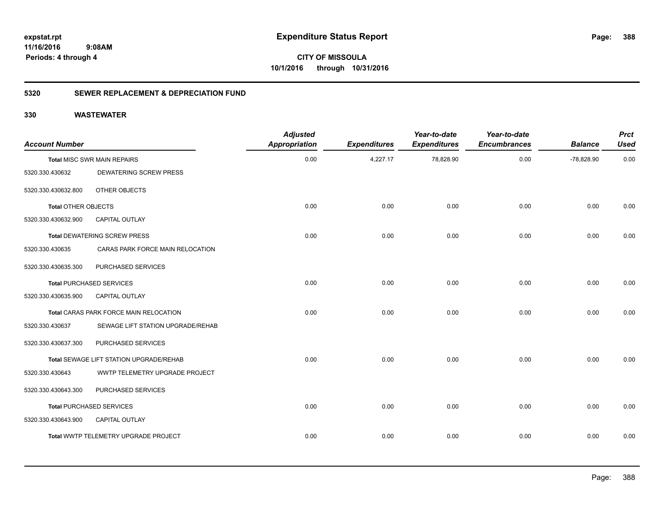**CITY OF MISSOULA 10/1/2016 through 10/31/2016**

### **5320 SEWER REPLACEMENT & DEPRECIATION FUND**

| <b>Account Number</b>      |                                         | <b>Adjusted</b><br><b>Appropriation</b> | <b>Expenditures</b> | Year-to-date<br><b>Expenditures</b> | Year-to-date<br><b>Encumbrances</b> | <b>Balance</b> | <b>Prct</b><br><b>Used</b> |
|----------------------------|-----------------------------------------|-----------------------------------------|---------------------|-------------------------------------|-------------------------------------|----------------|----------------------------|
|                            | <b>Total MISC SWR MAIN REPAIRS</b>      | 0.00                                    | 4,227.17            | 78,828.90                           | 0.00                                | $-78,828.90$   | 0.00                       |
| 5320.330.430632            | <b>DEWATERING SCREW PRESS</b>           |                                         |                     |                                     |                                     |                |                            |
| 5320.330.430632.800        | OTHER OBJECTS                           |                                         |                     |                                     |                                     |                |                            |
| <b>Total OTHER OBJECTS</b> |                                         | 0.00                                    | 0.00                | 0.00                                | 0.00                                | 0.00           | 0.00                       |
| 5320.330.430632.900        | <b>CAPITAL OUTLAY</b>                   |                                         |                     |                                     |                                     |                |                            |
|                            | <b>Total DEWATERING SCREW PRESS</b>     | 0.00                                    | 0.00                | 0.00                                | 0.00                                | 0.00           | 0.00                       |
| 5320.330.430635            | CARAS PARK FORCE MAIN RELOCATION        |                                         |                     |                                     |                                     |                |                            |
| 5320.330.430635.300        | PURCHASED SERVICES                      |                                         |                     |                                     |                                     |                |                            |
|                            | <b>Total PURCHASED SERVICES</b>         | 0.00                                    | 0.00                | 0.00                                | 0.00                                | 0.00           | 0.00                       |
| 5320.330.430635.900        | <b>CAPITAL OUTLAY</b>                   |                                         |                     |                                     |                                     |                |                            |
|                            | Total CARAS PARK FORCE MAIN RELOCATION  | 0.00                                    | 0.00                | 0.00                                | 0.00                                | 0.00           | 0.00                       |
| 5320.330.430637            | SEWAGE LIFT STATION UPGRADE/REHAB       |                                         |                     |                                     |                                     |                |                            |
| 5320.330.430637.300        | PURCHASED SERVICES                      |                                         |                     |                                     |                                     |                |                            |
|                            | Total SEWAGE LIFT STATION UPGRADE/REHAB | 0.00                                    | 0.00                | 0.00                                | 0.00                                | 0.00           | 0.00                       |
| 5320.330.430643            | WWTP TELEMETRY UPGRADE PROJECT          |                                         |                     |                                     |                                     |                |                            |
| 5320.330.430643.300        | PURCHASED SERVICES                      |                                         |                     |                                     |                                     |                |                            |
|                            | <b>Total PURCHASED SERVICES</b>         | 0.00                                    | 0.00                | 0.00                                | 0.00                                | 0.00           | 0.00                       |
| 5320.330.430643.900        | <b>CAPITAL OUTLAY</b>                   |                                         |                     |                                     |                                     |                |                            |
|                            | Total WWTP TELEMETRY UPGRADE PROJECT    | 0.00                                    | 0.00                | 0.00                                | 0.00                                | 0.00           | 0.00                       |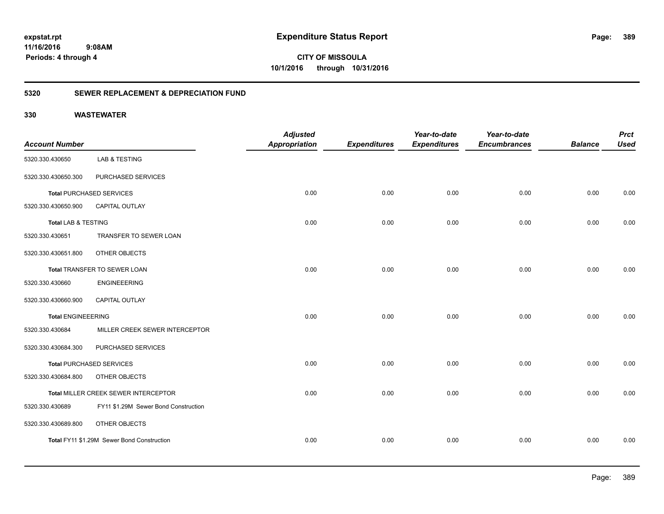**CITY OF MISSOULA 10/1/2016 through 10/31/2016**

### **5320 SEWER REPLACEMENT & DEPRECIATION FUND**

| <b>Account Number</b>          |                                            | <b>Adjusted</b><br><b>Appropriation</b> | <b>Expenditures</b> | Year-to-date<br><b>Expenditures</b> | Year-to-date<br><b>Encumbrances</b> | <b>Balance</b> | <b>Prct</b><br><b>Used</b> |
|--------------------------------|--------------------------------------------|-----------------------------------------|---------------------|-------------------------------------|-------------------------------------|----------------|----------------------------|
| 5320.330.430650                | LAB & TESTING                              |                                         |                     |                                     |                                     |                |                            |
| 5320.330.430650.300            | PURCHASED SERVICES                         |                                         |                     |                                     |                                     |                |                            |
|                                | <b>Total PURCHASED SERVICES</b>            | 0.00                                    | 0.00                | 0.00                                | 0.00                                | 0.00           | 0.00                       |
| 5320.330.430650.900            | CAPITAL OUTLAY                             |                                         |                     |                                     |                                     |                |                            |
| <b>Total LAB &amp; TESTING</b> |                                            | 0.00                                    | 0.00                | 0.00                                | 0.00                                | 0.00           | 0.00                       |
| 5320.330.430651                | TRANSFER TO SEWER LOAN                     |                                         |                     |                                     |                                     |                |                            |
| 5320.330.430651.800            | OTHER OBJECTS                              |                                         |                     |                                     |                                     |                |                            |
|                                | Total TRANSFER TO SEWER LOAN               | 0.00                                    | 0.00                | 0.00                                | 0.00                                | 0.00           | 0.00                       |
| 5320.330.430660                | <b>ENGINEEERING</b>                        |                                         |                     |                                     |                                     |                |                            |
| 5320.330.430660.900            | <b>CAPITAL OUTLAY</b>                      |                                         |                     |                                     |                                     |                |                            |
| <b>Total ENGINEEERING</b>      |                                            | 0.00                                    | 0.00                | 0.00                                | 0.00                                | 0.00           | 0.00                       |
| 5320.330.430684                | MILLER CREEK SEWER INTERCEPTOR             |                                         |                     |                                     |                                     |                |                            |
| 5320.330.430684.300            | PURCHASED SERVICES                         |                                         |                     |                                     |                                     |                |                            |
|                                | <b>Total PURCHASED SERVICES</b>            | 0.00                                    | 0.00                | 0.00                                | 0.00                                | 0.00           | 0.00                       |
| 5320.330.430684.800            | OTHER OBJECTS                              |                                         |                     |                                     |                                     |                |                            |
|                                | Total MILLER CREEK SEWER INTERCEPTOR       | 0.00                                    | 0.00                | 0.00                                | 0.00                                | 0.00           | 0.00                       |
| 5320.330.430689                | FY11 \$1.29M Sewer Bond Construction       |                                         |                     |                                     |                                     |                |                            |
| 5320.330.430689.800            | OTHER OBJECTS                              |                                         |                     |                                     |                                     |                |                            |
|                                | Total FY11 \$1.29M Sewer Bond Construction | 0.00                                    | 0.00                | 0.00                                | 0.00                                | 0.00           | 0.00                       |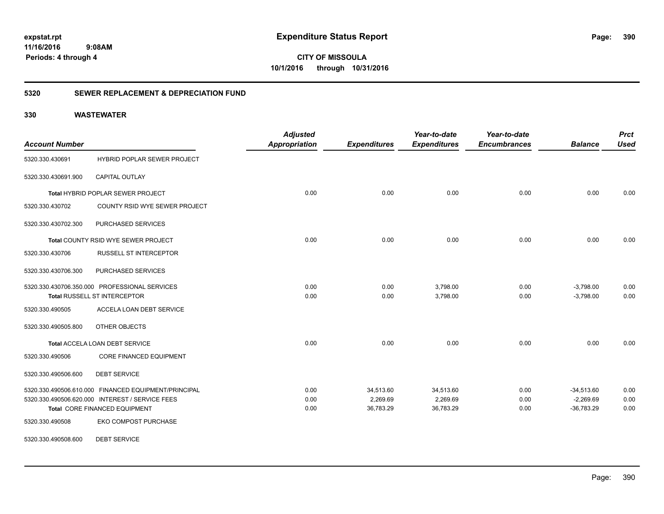**CITY OF MISSOULA 10/1/2016 through 10/31/2016**

### **5320 SEWER REPLACEMENT & DEPRECIATION FUND**

| <b>Account Number</b>                         |                                                      | <b>Adjusted</b><br>Appropriation | <b>Expenditures</b> | Year-to-date<br><b>Expenditures</b> | Year-to-date<br><b>Encumbrances</b> | <b>Balance</b> | <b>Prct</b><br><b>Used</b> |
|-----------------------------------------------|------------------------------------------------------|----------------------------------|---------------------|-------------------------------------|-------------------------------------|----------------|----------------------------|
| 5320.330.430691                               | HYBRID POPLAR SEWER PROJECT                          |                                  |                     |                                     |                                     |                |                            |
| 5320.330.430691.900                           | CAPITAL OUTLAY                                       |                                  |                     |                                     |                                     |                |                            |
|                                               | Total HYBRID POPLAR SEWER PROJECT                    | 0.00                             | 0.00                | 0.00                                | 0.00                                | 0.00           | 0.00                       |
| 5320.330.430702                               | COUNTY RSID WYE SEWER PROJECT                        |                                  |                     |                                     |                                     |                |                            |
| 5320.330.430702.300                           | PURCHASED SERVICES                                   |                                  |                     |                                     |                                     |                |                            |
|                                               | Total COUNTY RSID WYE SEWER PROJECT                  | 0.00                             | 0.00                | 0.00                                | 0.00                                | 0.00           | 0.00                       |
| 5320.330.430706                               | <b>RUSSELL ST INTERCEPTOR</b>                        |                                  |                     |                                     |                                     |                |                            |
| 5320.330.430706.300                           | PURCHASED SERVICES                                   |                                  |                     |                                     |                                     |                |                            |
| 5320.330.430706.350.000 PROFESSIONAL SERVICES |                                                      | 0.00                             | 0.00                | 3,798.00                            | 0.00                                | $-3,798.00$    | 0.00                       |
|                                               | Total RUSSELL ST INTERCEPTOR                         | 0.00                             | 0.00                | 3,798.00                            | 0.00                                | $-3,798.00$    | 0.00                       |
| 5320.330.490505                               | ACCELA LOAN DEBT SERVICE                             |                                  |                     |                                     |                                     |                |                            |
| 5320.330.490505.800                           | OTHER OBJECTS                                        |                                  |                     |                                     |                                     |                |                            |
|                                               | Total ACCELA LOAN DEBT SERVICE                       | 0.00                             | 0.00                | 0.00                                | 0.00                                | 0.00           | 0.00                       |
| 5320.330.490506                               | <b>CORE FINANCED EQUIPMENT</b>                       |                                  |                     |                                     |                                     |                |                            |
| 5320.330.490506.600                           | <b>DEBT SERVICE</b>                                  |                                  |                     |                                     |                                     |                |                            |
|                                               | 5320.330.490506.610.000 FINANCED EQUIPMENT/PRINCIPAL | 0.00                             | 34,513.60           | 34,513.60                           | 0.00                                | $-34,513.60$   | 0.00                       |
|                                               | 5320.330.490506.620.000 INTEREST / SERVICE FEES      | 0.00                             | 2,269.69            | 2,269.69                            | 0.00                                | $-2,269.69$    | 0.00                       |
|                                               | Total CORE FINANCED EQUIPMENT                        | 0.00                             | 36,783.29           | 36,783.29                           | 0.00                                | $-36,783.29$   | 0.00                       |
| 5320.330.490508                               | EKO COMPOST PURCHASE                                 |                                  |                     |                                     |                                     |                |                            |
| 5320.330.490508.600                           | <b>DEBT SERVICE</b>                                  |                                  |                     |                                     |                                     |                |                            |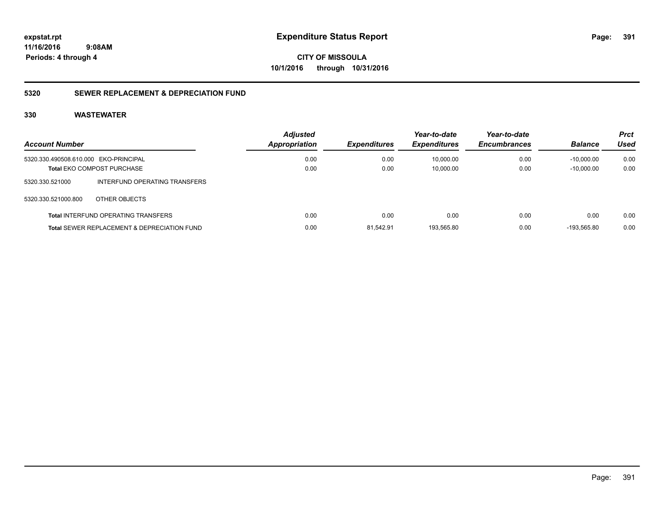**CITY OF MISSOULA 10/1/2016 through 10/31/2016**

### **5320 SEWER REPLACEMENT & DEPRECIATION FUND**

| <b>Account Number</b>                                  |                                            | <b>Adjusted</b><br>Appropriation | <b>Expenditures</b> | Year-to-date<br><b>Expenditures</b> | Year-to-date<br><b>Encumbrances</b> | <b>Balance</b> | <b>Prct</b><br>Used |
|--------------------------------------------------------|--------------------------------------------|----------------------------------|---------------------|-------------------------------------|-------------------------------------|----------------|---------------------|
| 5320.330.490508.610.000 EKO-PRINCIPAL                  |                                            | 0.00                             | 0.00                | 10.000.00                           | 0.00                                | $-10.000.00$   | 0.00                |
| <b>Total EKO COMPOST PURCHASE</b>                      |                                            | 0.00                             | 0.00                | 10.000.00                           | 0.00                                | $-10.000.00$   | 0.00                |
| 5320.330.521000                                        | INTERFUND OPERATING TRANSFERS              |                                  |                     |                                     |                                     |                |                     |
| 5320.330.521000.800                                    | OTHER OBJECTS                              |                                  |                     |                                     |                                     |                |                     |
|                                                        | <b>Total INTERFUND OPERATING TRANSFERS</b> | 0.00                             | 0.00                | 0.00                                | 0.00                                | 0.00           | 0.00                |
| <b>Total SEWER REPLACEMENT &amp; DEPRECIATION FUND</b> |                                            | 0.00                             | 81.542.91           | 193.565.80                          | 0.00                                | -193.565.80    | 0.00                |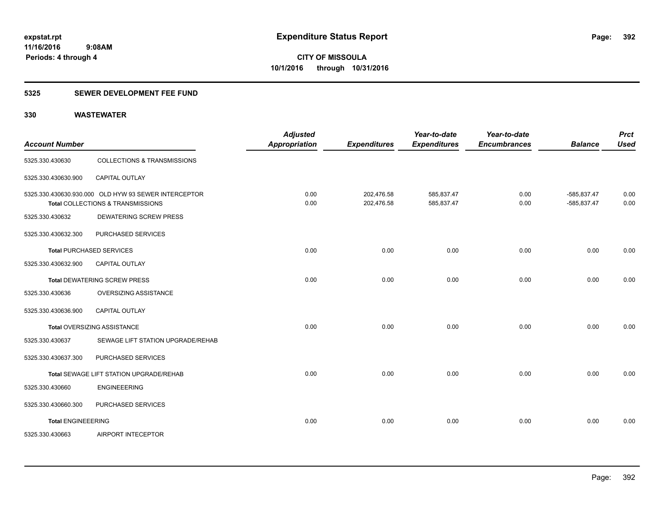### **5325 SEWER DEVELOPMENT FEE FUND**

| <b>Account Number</b>     |                                                                                           | <b>Adjusted</b><br>Appropriation | <b>Expenditures</b>      | Year-to-date<br><b>Expenditures</b> | Year-to-date<br><b>Encumbrances</b> | <b>Balance</b>               | <b>Prct</b><br><b>Used</b> |
|---------------------------|-------------------------------------------------------------------------------------------|----------------------------------|--------------------------|-------------------------------------|-------------------------------------|------------------------------|----------------------------|
| 5325.330.430630           | <b>COLLECTIONS &amp; TRANSMISSIONS</b>                                                    |                                  |                          |                                     |                                     |                              |                            |
| 5325.330.430630.900       | <b>CAPITAL OUTLAY</b>                                                                     |                                  |                          |                                     |                                     |                              |                            |
|                           | 5325.330.430630.930.000 OLD HYW 93 SEWER INTERCEPTOR<br>Total COLLECTIONS & TRANSMISSIONS | 0.00<br>0.00                     | 202,476.58<br>202,476.58 | 585,837.47<br>585,837.47            | 0.00<br>0.00                        | -585,837.47<br>$-585,837.47$ | 0.00<br>0.00               |
| 5325.330.430632           | <b>DEWATERING SCREW PRESS</b>                                                             |                                  |                          |                                     |                                     |                              |                            |
| 5325.330.430632.300       | PURCHASED SERVICES                                                                        |                                  |                          |                                     |                                     |                              |                            |
|                           | <b>Total PURCHASED SERVICES</b>                                                           | 0.00                             | 0.00                     | 0.00                                | 0.00                                | 0.00                         | 0.00                       |
| 5325.330.430632.900       | CAPITAL OUTLAY                                                                            |                                  |                          |                                     |                                     |                              |                            |
|                           | <b>Total DEWATERING SCREW PRESS</b>                                                       | 0.00                             | 0.00                     | 0.00                                | 0.00                                | 0.00                         | 0.00                       |
| 5325.330.430636           | <b>OVERSIZING ASSISTANCE</b>                                                              |                                  |                          |                                     |                                     |                              |                            |
| 5325.330.430636.900       | <b>CAPITAL OUTLAY</b>                                                                     |                                  |                          |                                     |                                     |                              |                            |
|                           | <b>Total OVERSIZING ASSISTANCE</b>                                                        | 0.00                             | 0.00                     | 0.00                                | 0.00                                | 0.00                         | 0.00                       |
| 5325.330.430637           | SEWAGE LIFT STATION UPGRADE/REHAB                                                         |                                  |                          |                                     |                                     |                              |                            |
| 5325.330.430637.300       | PURCHASED SERVICES                                                                        |                                  |                          |                                     |                                     |                              |                            |
|                           | Total SEWAGE LIFT STATION UPGRADE/REHAB                                                   | 0.00                             | 0.00                     | 0.00                                | 0.00                                | 0.00                         | 0.00                       |
| 5325.330.430660           | <b>ENGINEEERING</b>                                                                       |                                  |                          |                                     |                                     |                              |                            |
| 5325.330.430660.300       | PURCHASED SERVICES                                                                        |                                  |                          |                                     |                                     |                              |                            |
| <b>Total ENGINEEERING</b> |                                                                                           | 0.00                             | 0.00                     | 0.00                                | 0.00                                | 0.00                         | 0.00                       |
| 5325.330.430663           | AIRPORT INTECEPTOR                                                                        |                                  |                          |                                     |                                     |                              |                            |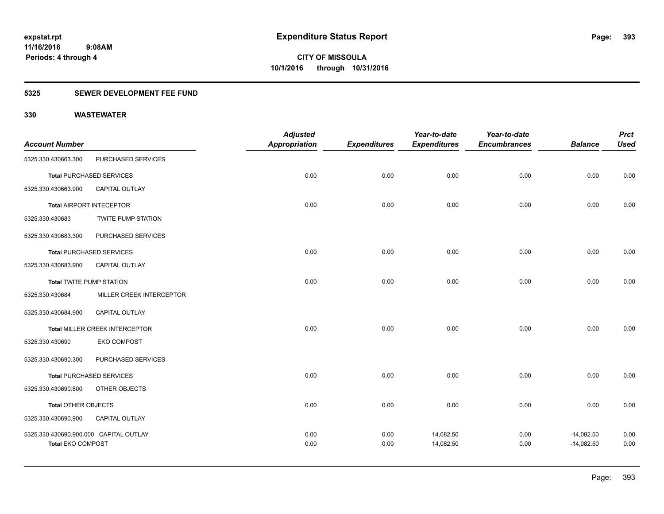### **5325 SEWER DEVELOPMENT FEE FUND**

|                                        |                                 | <b>Adjusted</b>      |                     | Year-to-date        | Year-to-date        |                | <b>Prct</b> |
|----------------------------------------|---------------------------------|----------------------|---------------------|---------------------|---------------------|----------------|-------------|
| <b>Account Number</b>                  |                                 | <b>Appropriation</b> | <b>Expenditures</b> | <b>Expenditures</b> | <b>Encumbrances</b> | <b>Balance</b> | <b>Used</b> |
| 5325.330.430663.300                    | PURCHASED SERVICES              |                      |                     |                     |                     |                |             |
|                                        | <b>Total PURCHASED SERVICES</b> | 0.00                 | 0.00                | 0.00                | 0.00                | 0.00           | 0.00        |
| 5325.330.430663.900                    | <b>CAPITAL OUTLAY</b>           |                      |                     |                     |                     |                |             |
|                                        | Total AIRPORT INTECEPTOR        | 0.00                 | 0.00                | 0.00                | 0.00                | 0.00           | 0.00        |
| 5325.330.430683                        | <b>TWITE PUMP STATION</b>       |                      |                     |                     |                     |                |             |
| 5325.330.430683.300                    | PURCHASED SERVICES              |                      |                     |                     |                     |                |             |
|                                        | <b>Total PURCHASED SERVICES</b> | 0.00                 | 0.00                | 0.00                | 0.00                | 0.00           | 0.00        |
| 5325.330.430683.900                    | CAPITAL OUTLAY                  |                      |                     |                     |                     |                |             |
| <b>Total TWITE PUMP STATION</b>        |                                 | 0.00                 | 0.00                | 0.00                | 0.00                | 0.00           | 0.00        |
| 5325.330.430684                        | MILLER CREEK INTERCEPTOR        |                      |                     |                     |                     |                |             |
| 5325.330.430684.900                    | <b>CAPITAL OUTLAY</b>           |                      |                     |                     |                     |                |             |
|                                        | Total MILLER CREEK INTERCEPTOR  | 0.00                 | 0.00                | 0.00                | 0.00                | 0.00           | 0.00        |
| 5325.330.430690                        | <b>EKO COMPOST</b>              |                      |                     |                     |                     |                |             |
| 5325.330.430690.300                    | PURCHASED SERVICES              |                      |                     |                     |                     |                |             |
|                                        | <b>Total PURCHASED SERVICES</b> | 0.00                 | 0.00                | 0.00                | 0.00                | 0.00           | 0.00        |
| 5325.330.430690.800                    | OTHER OBJECTS                   |                      |                     |                     |                     |                |             |
| Total OTHER OBJECTS                    |                                 | 0.00                 | 0.00                | 0.00                | 0.00                | 0.00           | 0.00        |
| 5325.330.430690.900                    | CAPITAL OUTLAY                  |                      |                     |                     |                     |                |             |
| 5325.330.430690.900.000 CAPITAL OUTLAY |                                 | 0.00                 | 0.00                | 14,082.50           | 0.00                | $-14,082.50$   | 0.00        |
| <b>Total EKO COMPOST</b>               |                                 | 0.00                 | 0.00                | 14,082.50           | 0.00                | $-14,082.50$   | 0.00        |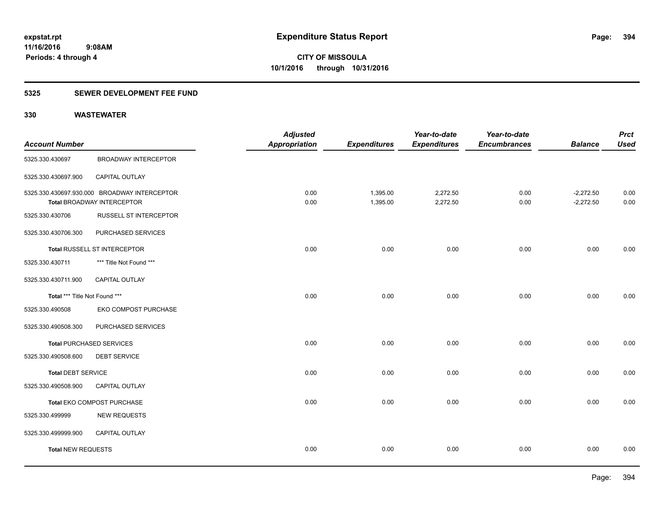### **5325 SEWER DEVELOPMENT FEE FUND**

| <b>Account Number</b>         |                                                                                   | <b>Adjusted</b><br><b>Appropriation</b> | <b>Expenditures</b>  | Year-to-date<br><b>Expenditures</b> | Year-to-date<br><b>Encumbrances</b> | <b>Balance</b>             | <b>Prct</b><br><b>Used</b> |
|-------------------------------|-----------------------------------------------------------------------------------|-----------------------------------------|----------------------|-------------------------------------|-------------------------------------|----------------------------|----------------------------|
| 5325.330.430697               | <b>BROADWAY INTERCEPTOR</b>                                                       |                                         |                      |                                     |                                     |                            |                            |
| 5325.330.430697.900           | CAPITAL OUTLAY                                                                    |                                         |                      |                                     |                                     |                            |                            |
|                               | 5325.330.430697.930.000 BROADWAY INTERCEPTOR<br><b>Total BROADWAY INTERCEPTOR</b> | 0.00<br>0.00                            | 1,395.00<br>1,395.00 | 2,272.50<br>2,272.50                | 0.00<br>0.00                        | $-2,272.50$<br>$-2,272.50$ | 0.00<br>0.00               |
| 5325.330.430706               | RUSSELL ST INTERCEPTOR                                                            |                                         |                      |                                     |                                     |                            |                            |
| 5325.330.430706.300           | PURCHASED SERVICES                                                                |                                         |                      |                                     |                                     |                            |                            |
|                               | Total RUSSELL ST INTERCEPTOR                                                      | 0.00                                    | 0.00                 | 0.00                                | 0.00                                | 0.00                       | 0.00                       |
| 5325.330.430711               | *** Title Not Found ***                                                           |                                         |                      |                                     |                                     |                            |                            |
| 5325.330.430711.900           | CAPITAL OUTLAY                                                                    |                                         |                      |                                     |                                     |                            |                            |
| Total *** Title Not Found *** |                                                                                   | 0.00                                    | 0.00                 | 0.00                                | 0.00                                | 0.00                       | 0.00                       |
| 5325.330.490508               | EKO COMPOST PURCHASE                                                              |                                         |                      |                                     |                                     |                            |                            |
| 5325.330.490508.300           | PURCHASED SERVICES                                                                |                                         |                      |                                     |                                     |                            |                            |
|                               | <b>Total PURCHASED SERVICES</b>                                                   | 0.00                                    | 0.00                 | 0.00                                | 0.00                                | 0.00                       | 0.00                       |
| 5325.330.490508.600           | <b>DEBT SERVICE</b>                                                               |                                         |                      |                                     |                                     |                            |                            |
| <b>Total DEBT SERVICE</b>     |                                                                                   | 0.00                                    | 0.00                 | 0.00                                | 0.00                                | 0.00                       | 0.00                       |
| 5325.330.490508.900           | CAPITAL OUTLAY                                                                    |                                         |                      |                                     |                                     |                            |                            |
|                               | Total EKO COMPOST PURCHASE                                                        | 0.00                                    | 0.00                 | 0.00                                | 0.00                                | 0.00                       | 0.00                       |
| 5325.330.499999               | <b>NEW REQUESTS</b>                                                               |                                         |                      |                                     |                                     |                            |                            |
| 5325.330.499999.900           | CAPITAL OUTLAY                                                                    |                                         |                      |                                     |                                     |                            |                            |
| <b>Total NEW REQUESTS</b>     |                                                                                   | 0.00                                    | 0.00                 | 0.00                                | 0.00                                | 0.00                       | 0.00                       |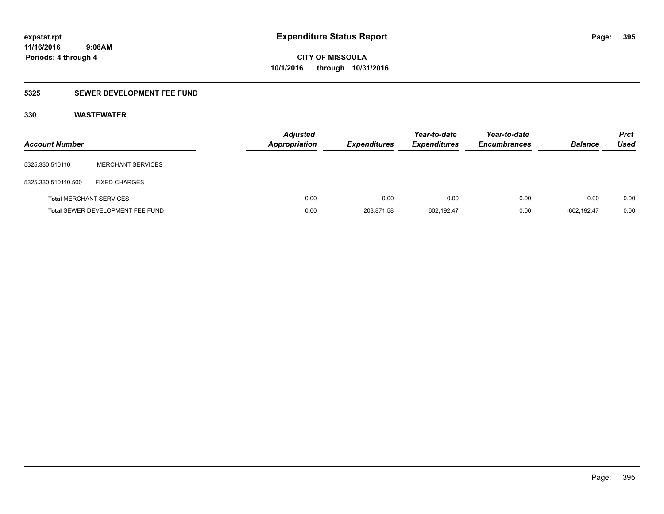### **5325 SEWER DEVELOPMENT FEE FUND**

| <b>Account Number</b>          |                                  | <b>Adjusted</b><br>Appropriation | <b>Expenditures</b> | Year-to-date<br><b>Expenditures</b> | Year-to-date<br><b>Encumbrances</b> | <b>Balance</b> | <b>Prct</b><br><b>Used</b> |
|--------------------------------|----------------------------------|----------------------------------|---------------------|-------------------------------------|-------------------------------------|----------------|----------------------------|
| 5325.330.510110                | <b>MERCHANT SERVICES</b>         |                                  |                     |                                     |                                     |                |                            |
| 5325.330.510110.500            | <b>FIXED CHARGES</b>             |                                  |                     |                                     |                                     |                |                            |
| <b>Total MERCHANT SERVICES</b> |                                  | 0.00                             | 0.00                | 0.00                                | 0.00                                | 0.00           | 0.00                       |
|                                | Total SEWER DEVELOPMENT FEE FUND | 0.00                             | 203,871.58          | 602,192.47                          | 0.00                                | $-602.192.47$  | 0.00                       |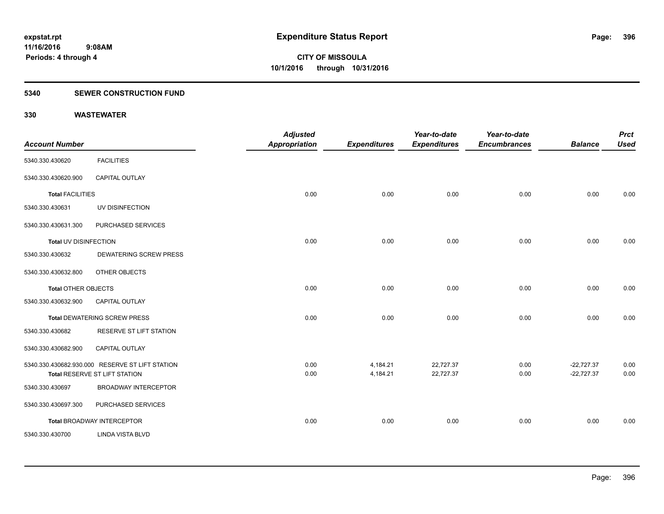#### **5340 SEWER CONSTRUCTION FUND**

| <b>Account Number</b>      |                                                                                  | <b>Adjusted</b><br>Appropriation | <b>Expenditures</b>  | Year-to-date<br><b>Expenditures</b> | Year-to-date<br><b>Encumbrances</b> | <b>Balance</b>               | <b>Prct</b><br><b>Used</b> |
|----------------------------|----------------------------------------------------------------------------------|----------------------------------|----------------------|-------------------------------------|-------------------------------------|------------------------------|----------------------------|
| 5340.330.430620            | <b>FACILITIES</b>                                                                |                                  |                      |                                     |                                     |                              |                            |
| 5340.330.430620.900        | CAPITAL OUTLAY                                                                   |                                  |                      |                                     |                                     |                              |                            |
| <b>Total FACILITIES</b>    |                                                                                  | 0.00                             | 0.00                 | 0.00                                | 0.00                                | 0.00                         | 0.00                       |
| 5340.330.430631            | UV DISINFECTION                                                                  |                                  |                      |                                     |                                     |                              |                            |
| 5340.330.430631.300        | PURCHASED SERVICES                                                               |                                  |                      |                                     |                                     |                              |                            |
| Total UV DISINFECTION      |                                                                                  | 0.00                             | 0.00                 | 0.00                                | 0.00                                | 0.00                         | 0.00                       |
| 5340.330.430632            | <b>DEWATERING SCREW PRESS</b>                                                    |                                  |                      |                                     |                                     |                              |                            |
| 5340.330.430632.800        | OTHER OBJECTS                                                                    |                                  |                      |                                     |                                     |                              |                            |
| <b>Total OTHER OBJECTS</b> |                                                                                  | 0.00                             | 0.00                 | 0.00                                | 0.00                                | 0.00                         | 0.00                       |
| 5340.330.430632.900        | <b>CAPITAL OUTLAY</b>                                                            |                                  |                      |                                     |                                     |                              |                            |
|                            | <b>Total DEWATERING SCREW PRESS</b>                                              | 0.00                             | 0.00                 | 0.00                                | 0.00                                | 0.00                         | 0.00                       |
| 5340.330.430682            | <b>RESERVE ST LIFT STATION</b>                                                   |                                  |                      |                                     |                                     |                              |                            |
| 5340.330.430682.900        | CAPITAL OUTLAY                                                                   |                                  |                      |                                     |                                     |                              |                            |
|                            | 5340.330.430682.930.000 RESERVE ST LIFT STATION<br>Total RESERVE ST LIFT STATION | 0.00<br>0.00                     | 4,184.21<br>4,184.21 | 22,727.37<br>22,727.37              | 0.00<br>0.00                        | $-22,727.37$<br>$-22,727.37$ | 0.00<br>0.00               |
| 5340.330.430697            | <b>BROADWAY INTERCEPTOR</b>                                                      |                                  |                      |                                     |                                     |                              |                            |
| 5340.330.430697.300        | PURCHASED SERVICES                                                               |                                  |                      |                                     |                                     |                              |                            |
|                            | <b>Total BROADWAY INTERCEPTOR</b>                                                | 0.00                             | 0.00                 | 0.00                                | 0.00                                | 0.00                         | 0.00                       |
| 5340.330.430700            | <b>LINDA VISTA BLVD</b>                                                          |                                  |                      |                                     |                                     |                              |                            |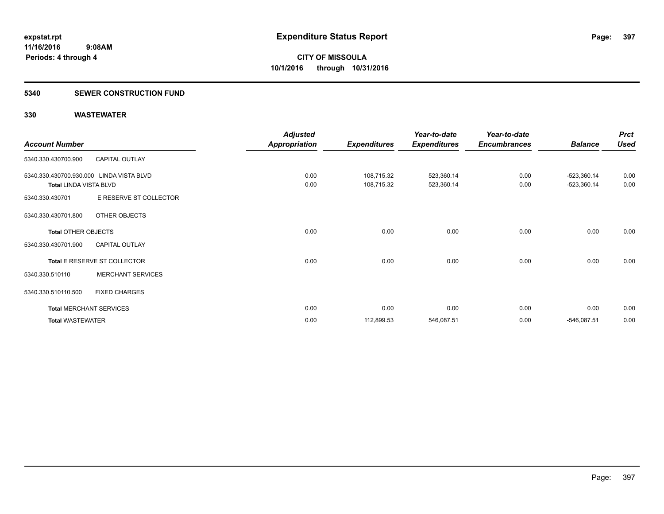#### **5340 SEWER CONSTRUCTION FUND**

|                               |                                          | <b>Adjusted</b>      |                     | Year-to-date        | Year-to-date        |                | <b>Prct</b> |
|-------------------------------|------------------------------------------|----------------------|---------------------|---------------------|---------------------|----------------|-------------|
| <b>Account Number</b>         |                                          | <b>Appropriation</b> | <b>Expenditures</b> | <b>Expenditures</b> | <b>Encumbrances</b> | <b>Balance</b> | <b>Used</b> |
| 5340.330.430700.900           | <b>CAPITAL OUTLAY</b>                    |                      |                     |                     |                     |                |             |
|                               | 5340.330.430700.930.000 LINDA VISTA BLVD | 0.00                 | 108,715.32          | 523,360.14          | 0.00                | $-523,360.14$  | 0.00        |
| <b>Total LINDA VISTA BLVD</b> |                                          | 0.00                 | 108,715.32          | 523,360.14          | 0.00                | $-523,360.14$  | 0.00        |
| 5340.330.430701               | E RESERVE ST COLLECTOR                   |                      |                     |                     |                     |                |             |
| 5340.330.430701.800           | OTHER OBJECTS                            |                      |                     |                     |                     |                |             |
| <b>Total OTHER OBJECTS</b>    |                                          | 0.00                 | 0.00                | 0.00                | 0.00                | 0.00           | 0.00        |
| 5340.330.430701.900           | <b>CAPITAL OUTLAY</b>                    |                      |                     |                     |                     |                |             |
|                               | Total E RESERVE ST COLLECTOR             | 0.00                 | 0.00                | 0.00                | 0.00                | 0.00           | 0.00        |
| 5340.330.510110               | <b>MERCHANT SERVICES</b>                 |                      |                     |                     |                     |                |             |
| 5340.330.510110.500           | <b>FIXED CHARGES</b>                     |                      |                     |                     |                     |                |             |
|                               | <b>Total MERCHANT SERVICES</b>           | 0.00                 | 0.00                | 0.00                | 0.00                | 0.00           | 0.00        |
| <b>Total WASTEWATER</b>       |                                          | 0.00                 | 112,899.53          | 546,087.51          | 0.00                | $-546,087.51$  | 0.00        |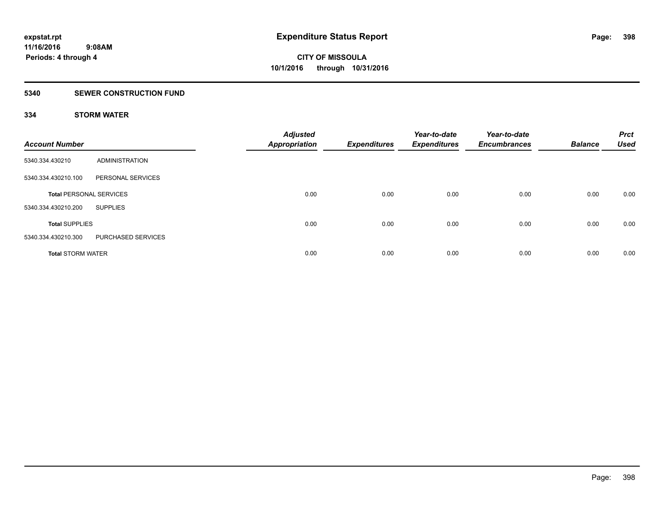### **5340 SEWER CONSTRUCTION FUND**

### **334 STORM WATER**

| <b>Account Number</b>          |                    | <b>Adjusted</b><br><b>Appropriation</b> | <b>Expenditures</b> | Year-to-date<br><b>Expenditures</b> | Year-to-date<br><b>Encumbrances</b> | <b>Balance</b> | <b>Prct</b><br><b>Used</b> |
|--------------------------------|--------------------|-----------------------------------------|---------------------|-------------------------------------|-------------------------------------|----------------|----------------------------|
| 5340.334.430210                | ADMINISTRATION     |                                         |                     |                                     |                                     |                |                            |
| 5340.334.430210.100            | PERSONAL SERVICES  |                                         |                     |                                     |                                     |                |                            |
| <b>Total PERSONAL SERVICES</b> |                    | 0.00                                    | 0.00                | 0.00                                | 0.00                                | 0.00           | 0.00                       |
| 5340.334.430210.200            | <b>SUPPLIES</b>    |                                         |                     |                                     |                                     |                |                            |
| <b>Total SUPPLIES</b>          |                    | 0.00                                    | 0.00                | 0.00                                | 0.00                                | 0.00           | 0.00                       |
| 5340.334.430210.300            | PURCHASED SERVICES |                                         |                     |                                     |                                     |                |                            |
| <b>Total STORM WATER</b>       |                    | 0.00                                    | 0.00                | 0.00                                | 0.00                                | 0.00           | 0.00                       |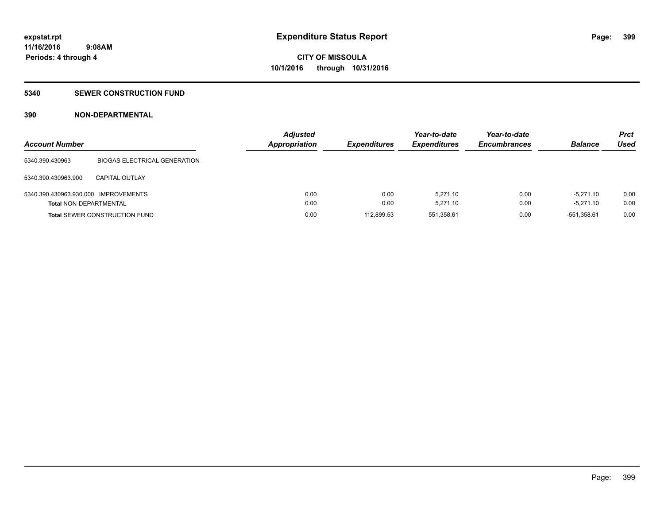#### **5340 SEWER CONSTRUCTION FUND**

### **390 NON-DEPARTMENTAL**

| <b>Account Number</b>                |                                      | <b>Adjusted</b><br>Appropriation | <b>Expenditures</b> | Year-to-date<br><b>Expenditures</b> | Year-to-date<br><b>Encumbrances</b> | <b>Balance</b> | <b>Prct</b><br>Used |
|--------------------------------------|--------------------------------------|----------------------------------|---------------------|-------------------------------------|-------------------------------------|----------------|---------------------|
| 5340.390.430963                      | <b>BIOGAS ELECTRICAL GENERATION</b>  |                                  |                     |                                     |                                     |                |                     |
| 5340.390.430963.900                  | <b>CAPITAL OUTLAY</b>                |                                  |                     |                                     |                                     |                |                     |
| 5340.390.430963.930.000 IMPROVEMENTS |                                      | 0.00                             | 0.00                | 5.271.10                            | 0.00                                | $-5.271.10$    | 0.00                |
| <b>Total NON-DEPARTMENTAL</b>        |                                      | 0.00                             | 0.00                | 5.271.10                            | 0.00                                | $-5.271.10$    | 0.00                |
|                                      | <b>Total SEWER CONSTRUCTION FUND</b> | 0.00                             | 112,899.53          | 551,358.61                          | 0.00                                | -551,358.61    | 0.00                |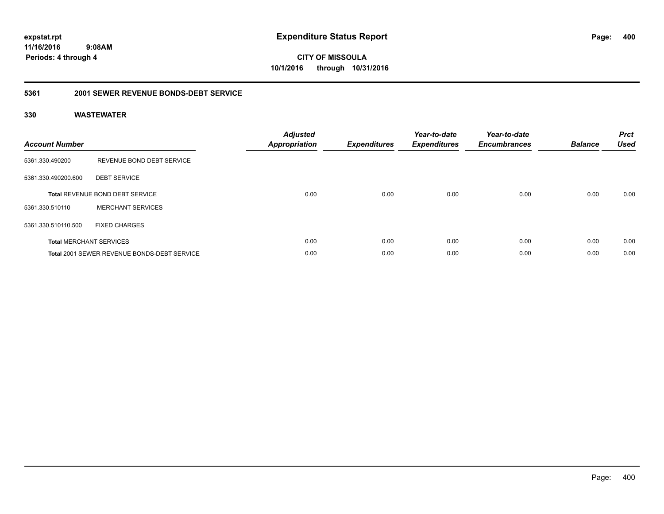**CITY OF MISSOULA 10/1/2016 through 10/31/2016**

### **5361 2001 SEWER REVENUE BONDS-DEBT SERVICE**

| <b>Account Number</b> |                                                    | <b>Adjusted</b><br>Appropriation | <b>Expenditures</b> | Year-to-date<br><b>Expenditures</b> | Year-to-date<br><b>Encumbrances</b> | <b>Balance</b> | <b>Prct</b><br><b>Used</b> |
|-----------------------|----------------------------------------------------|----------------------------------|---------------------|-------------------------------------|-------------------------------------|----------------|----------------------------|
| 5361.330.490200       | REVENUE BOND DEBT SERVICE                          |                                  |                     |                                     |                                     |                |                            |
| 5361.330.490200.600   | <b>DEBT SERVICE</b>                                |                                  |                     |                                     |                                     |                |                            |
|                       | <b>Total REVENUE BOND DEBT SERVICE</b>             | 0.00                             | 0.00                | 0.00                                | 0.00                                | 0.00           | 0.00                       |
| 5361.330.510110       | <b>MERCHANT SERVICES</b>                           |                                  |                     |                                     |                                     |                |                            |
| 5361.330.510110.500   | <b>FIXED CHARGES</b>                               |                                  |                     |                                     |                                     |                |                            |
|                       | <b>Total MERCHANT SERVICES</b>                     | 0.00                             | 0.00                | 0.00                                | 0.00                                | 0.00           | 0.00                       |
|                       | <b>Total 2001 SEWER REVENUE BONDS-DEBT SERVICE</b> | 0.00                             | 0.00                | 0.00                                | 0.00                                | 0.00           | 0.00                       |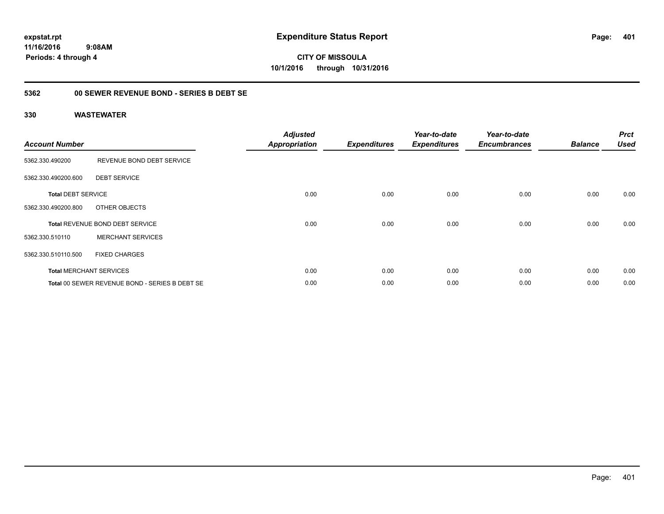**CITY OF MISSOULA 10/1/2016 through 10/31/2016**

### **5362 00 SEWER REVENUE BOND - SERIES B DEBT SE**

| <b>Account Number</b>     |                                                | <b>Adjusted</b><br><b>Appropriation</b> | <b>Expenditures</b> | Year-to-date<br><b>Expenditures</b> | Year-to-date<br><b>Encumbrances</b> | <b>Balance</b> | <b>Prct</b><br><b>Used</b> |
|---------------------------|------------------------------------------------|-----------------------------------------|---------------------|-------------------------------------|-------------------------------------|----------------|----------------------------|
| 5362.330.490200           | REVENUE BOND DEBT SERVICE                      |                                         |                     |                                     |                                     |                |                            |
| 5362.330.490200.600       | <b>DEBT SERVICE</b>                            |                                         |                     |                                     |                                     |                |                            |
| <b>Total DEBT SERVICE</b> |                                                | 0.00                                    | 0.00                | 0.00                                | 0.00                                | 0.00           | 0.00                       |
| 5362.330.490200.800       | OTHER OBJECTS                                  |                                         |                     |                                     |                                     |                |                            |
|                           | <b>Total REVENUE BOND DEBT SERVICE</b>         | 0.00                                    | 0.00                | 0.00                                | 0.00                                | 0.00           | 0.00                       |
| 5362.330.510110           | <b>MERCHANT SERVICES</b>                       |                                         |                     |                                     |                                     |                |                            |
| 5362.330.510110.500       | <b>FIXED CHARGES</b>                           |                                         |                     |                                     |                                     |                |                            |
|                           | <b>Total MERCHANT SERVICES</b>                 | 0.00                                    | 0.00                | 0.00                                | 0.00                                | 0.00           | 0.00                       |
|                           | Total 00 SEWER REVENUE BOND - SERIES B DEBT SE | 0.00                                    | 0.00                | 0.00                                | 0.00                                | 0.00           | 0.00                       |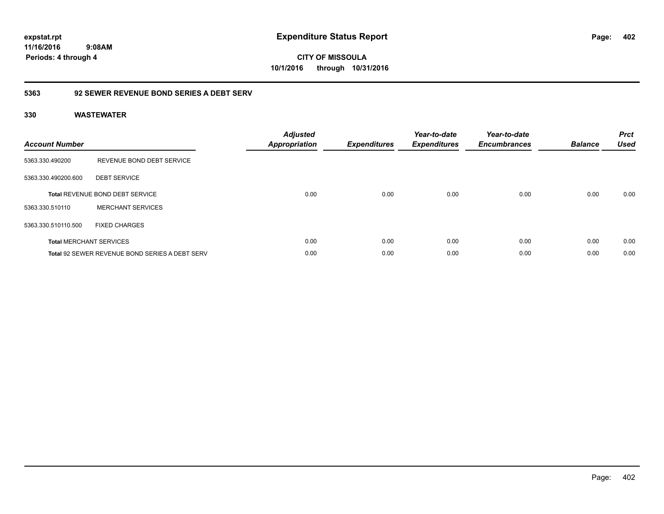**CITY OF MISSOULA 10/1/2016 through 10/31/2016**

### **5363 92 SEWER REVENUE BOND SERIES A DEBT SERV**

| <b>Account Number</b> |                                                       | <b>Adjusted</b><br><b>Appropriation</b> | <b>Expenditures</b> | Year-to-date<br><b>Expenditures</b> | Year-to-date<br><b>Encumbrances</b> | <b>Balance</b> | <b>Prct</b><br><b>Used</b> |
|-----------------------|-------------------------------------------------------|-----------------------------------------|---------------------|-------------------------------------|-------------------------------------|----------------|----------------------------|
| 5363.330.490200       | REVENUE BOND DEBT SERVICE                             |                                         |                     |                                     |                                     |                |                            |
| 5363.330.490200.600   | <b>DEBT SERVICE</b>                                   |                                         |                     |                                     |                                     |                |                            |
|                       | <b>Total REVENUE BOND DEBT SERVICE</b>                | 0.00                                    | 0.00                | 0.00                                | 0.00                                | 0.00           | 0.00                       |
| 5363.330.510110       | <b>MERCHANT SERVICES</b>                              |                                         |                     |                                     |                                     |                |                            |
| 5363.330.510110.500   | <b>FIXED CHARGES</b>                                  |                                         |                     |                                     |                                     |                |                            |
|                       | <b>Total MERCHANT SERVICES</b>                        | 0.00                                    | 0.00                | 0.00                                | 0.00                                | 0.00           | 0.00                       |
|                       | <b>Total 92 SEWER REVENUE BOND SERIES A DEBT SERV</b> | 0.00                                    | 0.00                | 0.00                                | 0.00                                | 0.00           | 0.00                       |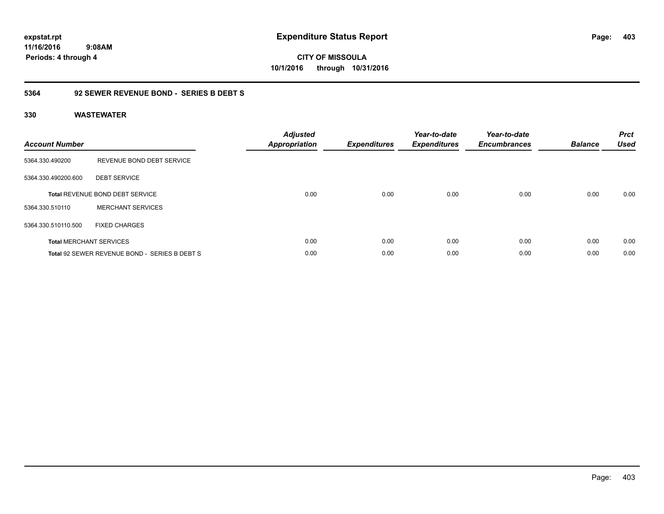**CITY OF MISSOULA 10/1/2016 through 10/31/2016**

### **5364 92 SEWER REVENUE BOND - SERIES B DEBT S**

| <b>Account Number</b> |                                               | <b>Adjusted</b><br>Appropriation | <b>Expenditures</b> | Year-to-date<br><b>Expenditures</b> | Year-to-date<br><b>Encumbrances</b> | <b>Balance</b> | <b>Prct</b><br><b>Used</b> |
|-----------------------|-----------------------------------------------|----------------------------------|---------------------|-------------------------------------|-------------------------------------|----------------|----------------------------|
| 5364.330.490200       | REVENUE BOND DEBT SERVICE                     |                                  |                     |                                     |                                     |                |                            |
| 5364.330.490200.600   | <b>DEBT SERVICE</b>                           |                                  |                     |                                     |                                     |                |                            |
|                       | <b>Total REVENUE BOND DEBT SERVICE</b>        | 0.00                             | 0.00                | 0.00                                | 0.00                                | 0.00           | 0.00                       |
| 5364.330.510110       | <b>MERCHANT SERVICES</b>                      |                                  |                     |                                     |                                     |                |                            |
| 5364.330.510110.500   | <b>FIXED CHARGES</b>                          |                                  |                     |                                     |                                     |                |                            |
|                       | <b>Total MERCHANT SERVICES</b>                | 0.00                             | 0.00                | 0.00                                | 0.00                                | 0.00           | 0.00                       |
|                       | Total 92 SEWER REVENUE BOND - SERIES B DEBT S | 0.00                             | 0.00                | 0.00                                | 0.00                                | 0.00           | 0.00                       |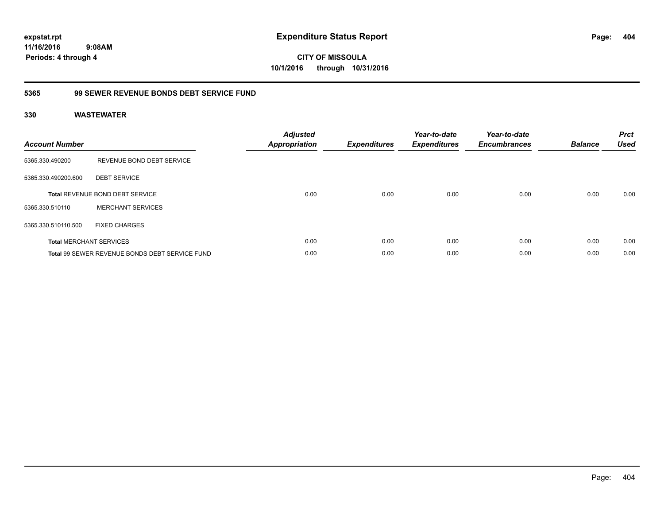**CITY OF MISSOULA 10/1/2016 through 10/31/2016**

### **5365 99 SEWER REVENUE BONDS DEBT SERVICE FUND**

| <b>Account Number</b> |                                                | <b>Adjusted</b><br>Appropriation | <b>Expenditures</b> | Year-to-date<br><b>Expenditures</b> | Year-to-date<br><b>Encumbrances</b> | <b>Balance</b> | <b>Prct</b><br><b>Used</b> |
|-----------------------|------------------------------------------------|----------------------------------|---------------------|-------------------------------------|-------------------------------------|----------------|----------------------------|
| 5365.330.490200       | REVENUE BOND DEBT SERVICE                      |                                  |                     |                                     |                                     |                |                            |
| 5365.330.490200.600   | <b>DEBT SERVICE</b>                            |                                  |                     |                                     |                                     |                |                            |
|                       | Total REVENUE BOND DEBT SERVICE                | 0.00                             | 0.00                | 0.00                                | 0.00                                | 0.00           | 0.00                       |
| 5365.330.510110       | <b>MERCHANT SERVICES</b>                       |                                  |                     |                                     |                                     |                |                            |
| 5365.330.510110.500   | <b>FIXED CHARGES</b>                           |                                  |                     |                                     |                                     |                |                            |
|                       | <b>Total MERCHANT SERVICES</b>                 | 0.00                             | 0.00                | 0.00                                | 0.00                                | 0.00           | 0.00                       |
|                       | Total 99 SEWER REVENUE BONDS DEBT SERVICE FUND | 0.00                             | 0.00                | 0.00                                | 0.00                                | 0.00           | 0.00                       |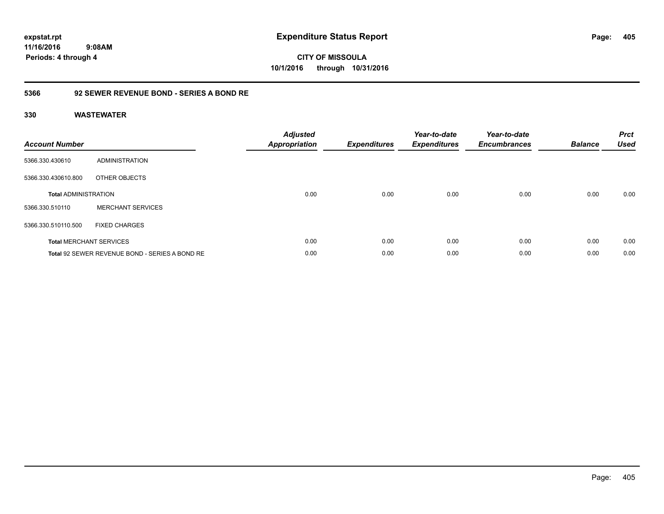**CITY OF MISSOULA 10/1/2016 through 10/31/2016**

### **5366 92 SEWER REVENUE BOND - SERIES A BOND RE**

| <b>Account Number</b>       |                                                | <b>Adjusted</b><br>Appropriation | <b>Expenditures</b> | Year-to-date<br><b>Expenditures</b> | Year-to-date<br><b>Encumbrances</b> | <b>Balance</b> | <b>Prct</b><br><b>Used</b> |
|-----------------------------|------------------------------------------------|----------------------------------|---------------------|-------------------------------------|-------------------------------------|----------------|----------------------------|
| 5366.330.430610             | ADMINISTRATION                                 |                                  |                     |                                     |                                     |                |                            |
| 5366.330.430610.800         | OTHER OBJECTS                                  |                                  |                     |                                     |                                     |                |                            |
| <b>Total ADMINISTRATION</b> |                                                | 0.00                             | 0.00                | 0.00                                | 0.00                                | 0.00           | 0.00                       |
| 5366.330.510110             | <b>MERCHANT SERVICES</b>                       |                                  |                     |                                     |                                     |                |                            |
| 5366.330.510110.500         | <b>FIXED CHARGES</b>                           |                                  |                     |                                     |                                     |                |                            |
|                             | <b>Total MERCHANT SERVICES</b>                 | 0.00                             | 0.00                | 0.00                                | 0.00                                | 0.00           | 0.00                       |
|                             | Total 92 SEWER REVENUE BOND - SERIES A BOND RE | 0.00                             | 0.00                | 0.00                                | 0.00                                | 0.00           | 0.00                       |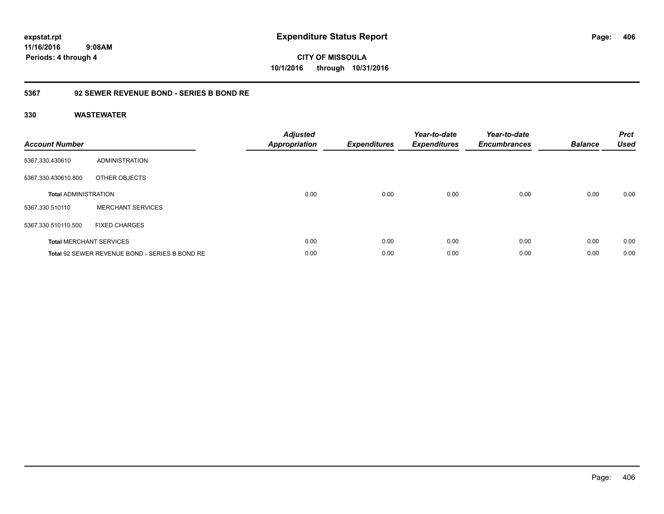**CITY OF MISSOULA 10/1/2016 through 10/31/2016**

### **5367 92 SEWER REVENUE BOND - SERIES B BOND RE**

| <b>Account Number</b>       |                                                | <b>Adjusted</b><br><b>Appropriation</b> | <b>Expenditures</b> | Year-to-date<br><b>Expenditures</b> | Year-to-date<br><b>Encumbrances</b> | <b>Balance</b> | <b>Prct</b><br><b>Used</b> |
|-----------------------------|------------------------------------------------|-----------------------------------------|---------------------|-------------------------------------|-------------------------------------|----------------|----------------------------|
| 5367.330.430610             | ADMINISTRATION                                 |                                         |                     |                                     |                                     |                |                            |
| 5367.330.430610.800         | OTHER OBJECTS                                  |                                         |                     |                                     |                                     |                |                            |
| <b>Total ADMINISTRATION</b> |                                                | 0.00                                    | 0.00                | 0.00                                | 0.00                                | 0.00           | 0.00                       |
| 5367.330.510110             | <b>MERCHANT SERVICES</b>                       |                                         |                     |                                     |                                     |                |                            |
| 5367.330.510110.500         | <b>FIXED CHARGES</b>                           |                                         |                     |                                     |                                     |                |                            |
|                             | <b>Total MERCHANT SERVICES</b>                 | 0.00                                    | 0.00                | 0.00                                | 0.00                                | 0.00           | 0.00                       |
|                             | Total 92 SEWER REVENUE BOND - SERIES B BOND RE | 0.00                                    | 0.00                | 0.00                                | 0.00                                | 0.00           | 0.00                       |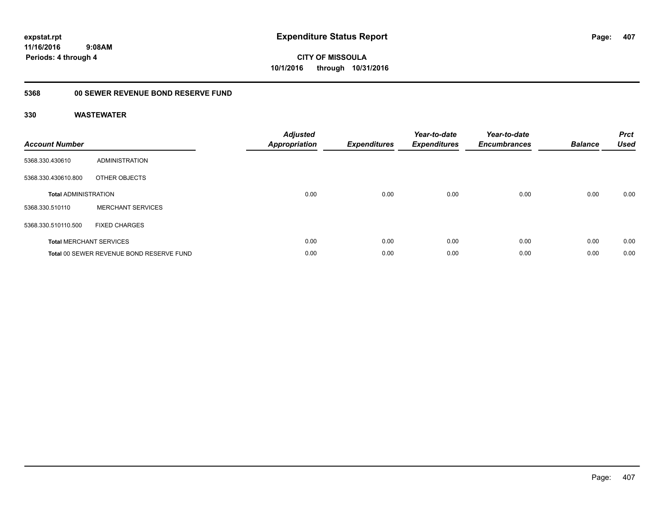**CITY OF MISSOULA 10/1/2016 through 10/31/2016**

## **5368 00 SEWER REVENUE BOND RESERVE FUND**

| <b>Account Number</b>       |                                          | <b>Adjusted</b><br>Appropriation | <b>Expenditures</b> | Year-to-date<br><b>Expenditures</b> | Year-to-date<br><b>Encumbrances</b> | <b>Balance</b> | <b>Prct</b><br><b>Used</b> |
|-----------------------------|------------------------------------------|----------------------------------|---------------------|-------------------------------------|-------------------------------------|----------------|----------------------------|
| 5368.330.430610             | ADMINISTRATION                           |                                  |                     |                                     |                                     |                |                            |
| 5368.330.430610.800         | OTHER OBJECTS                            |                                  |                     |                                     |                                     |                |                            |
| <b>Total ADMINISTRATION</b> |                                          | 0.00                             | 0.00                | 0.00                                | 0.00                                | 0.00           | 0.00                       |
| 5368.330.510110             | <b>MERCHANT SERVICES</b>                 |                                  |                     |                                     |                                     |                |                            |
| 5368.330.510110.500         | <b>FIXED CHARGES</b>                     |                                  |                     |                                     |                                     |                |                            |
|                             | <b>Total MERCHANT SERVICES</b>           | 0.00                             | 0.00                | 0.00                                | 0.00                                | 0.00           | 0.00                       |
|                             | Total 00 SEWER REVENUE BOND RESERVE FUND | 0.00                             | 0.00                | 0.00                                | 0.00                                | 0.00           | 0.00                       |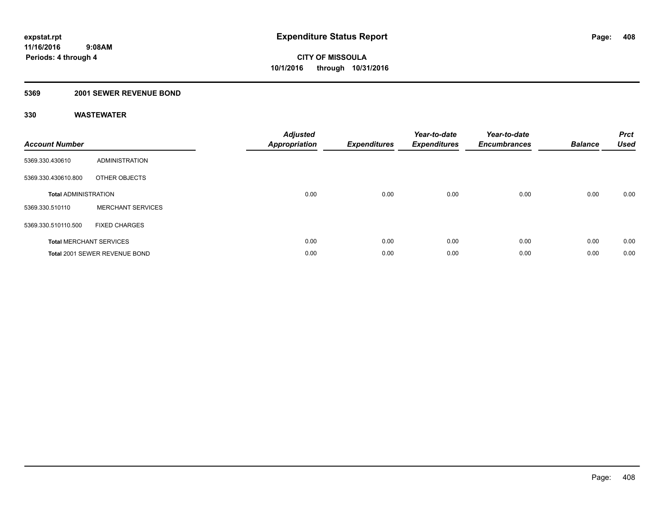#### **5369 2001 SEWER REVENUE BOND**

| <b>Account Number</b>       |                                | <b>Adjusted</b><br>Appropriation | <b>Expenditures</b> | Year-to-date<br><b>Expenditures</b> | Year-to-date<br><b>Encumbrances</b> | <b>Balance</b> | <b>Prct</b><br><b>Used</b> |
|-----------------------------|--------------------------------|----------------------------------|---------------------|-------------------------------------|-------------------------------------|----------------|----------------------------|
| 5369.330.430610             | <b>ADMINISTRATION</b>          |                                  |                     |                                     |                                     |                |                            |
| 5369.330.430610.800         | OTHER OBJECTS                  |                                  |                     |                                     |                                     |                |                            |
| <b>Total ADMINISTRATION</b> |                                | 0.00                             | 0.00                | 0.00                                | 0.00                                | 0.00           | 0.00                       |
| 5369.330.510110             | <b>MERCHANT SERVICES</b>       |                                  |                     |                                     |                                     |                |                            |
| 5369.330.510110.500         | <b>FIXED CHARGES</b>           |                                  |                     |                                     |                                     |                |                            |
|                             | <b>Total MERCHANT SERVICES</b> | 0.00                             | 0.00                | 0.00                                | 0.00                                | 0.00           | 0.00                       |
|                             | Total 2001 SEWER REVENUE BOND  | 0.00                             | 0.00                | 0.00                                | 0.00                                | 0.00           | 0.00                       |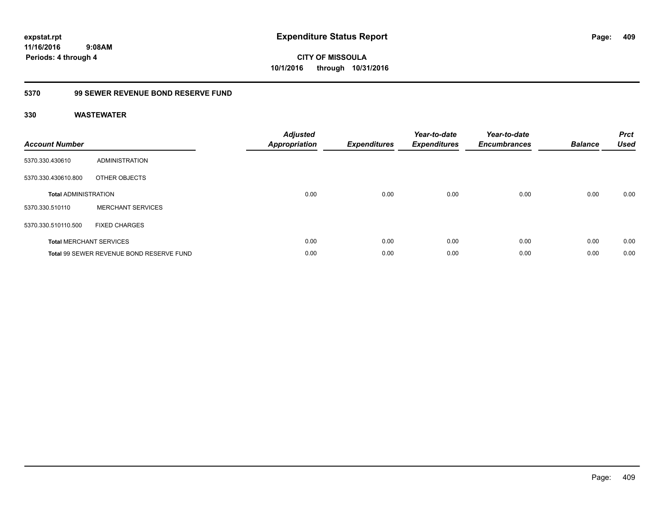**409**

**11/16/2016 9:08AM Periods: 4 through 4**

**CITY OF MISSOULA 10/1/2016 through 10/31/2016**

### **5370 99 SEWER REVENUE BOND RESERVE FUND**

| <b>Account Number</b>       |                                          | <b>Adjusted</b><br>Appropriation | <b>Expenditures</b> | Year-to-date<br><b>Expenditures</b> | Year-to-date<br><b>Encumbrances</b> | <b>Balance</b> | <b>Prct</b><br><b>Used</b> |
|-----------------------------|------------------------------------------|----------------------------------|---------------------|-------------------------------------|-------------------------------------|----------------|----------------------------|
| 5370.330.430610             | ADMINISTRATION                           |                                  |                     |                                     |                                     |                |                            |
| 5370.330.430610.800         | OTHER OBJECTS                            |                                  |                     |                                     |                                     |                |                            |
| <b>Total ADMINISTRATION</b> |                                          | 0.00                             | 0.00                | 0.00                                | 0.00                                | 0.00           | 0.00                       |
| 5370.330.510110             | <b>MERCHANT SERVICES</b>                 |                                  |                     |                                     |                                     |                |                            |
| 5370.330.510110.500         | <b>FIXED CHARGES</b>                     |                                  |                     |                                     |                                     |                |                            |
|                             | <b>Total MERCHANT SERVICES</b>           | 0.00                             | 0.00                | 0.00                                | 0.00                                | 0.00           | 0.00                       |
|                             | Total 99 SEWER REVENUE BOND RESERVE FUND | 0.00                             | 0.00                | 0.00                                | 0.00                                | 0.00           | 0.00                       |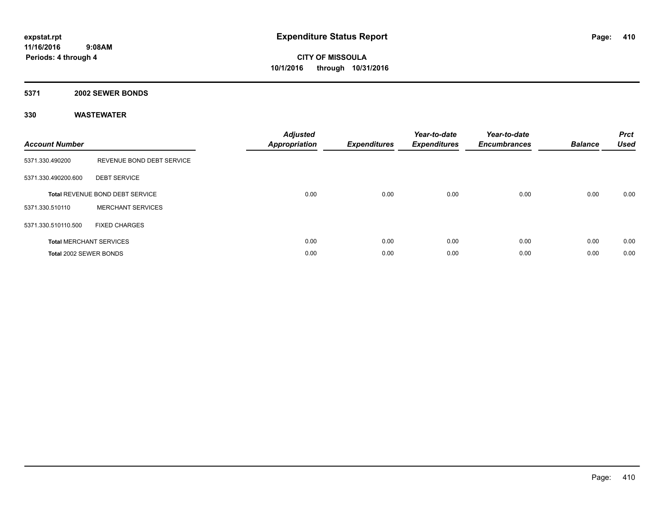#### **5371 2002 SEWER BONDS**

| <b>Account Number</b>  |                                        | <b>Adjusted</b><br>Appropriation | <b>Expenditures</b> | Year-to-date<br><b>Expenditures</b> | Year-to-date<br><b>Encumbrances</b> | <b>Balance</b> | <b>Prct</b><br><b>Used</b> |
|------------------------|----------------------------------------|----------------------------------|---------------------|-------------------------------------|-------------------------------------|----------------|----------------------------|
| 5371.330.490200        | REVENUE BOND DEBT SERVICE              |                                  |                     |                                     |                                     |                |                            |
| 5371.330.490200.600    | <b>DEBT SERVICE</b>                    |                                  |                     |                                     |                                     |                |                            |
|                        | <b>Total REVENUE BOND DEBT SERVICE</b> | 0.00                             | 0.00                | 0.00                                | 0.00                                | 0.00           | 0.00                       |
| 5371.330.510110        | <b>MERCHANT SERVICES</b>               |                                  |                     |                                     |                                     |                |                            |
| 5371.330.510110.500    | <b>FIXED CHARGES</b>                   |                                  |                     |                                     |                                     |                |                            |
|                        | <b>Total MERCHANT SERVICES</b>         | 0.00                             | 0.00                | 0.00                                | 0.00                                | 0.00           | 0.00                       |
| Total 2002 SEWER BONDS |                                        | 0.00                             | 0.00                | 0.00                                | 0.00                                | 0.00           | 0.00                       |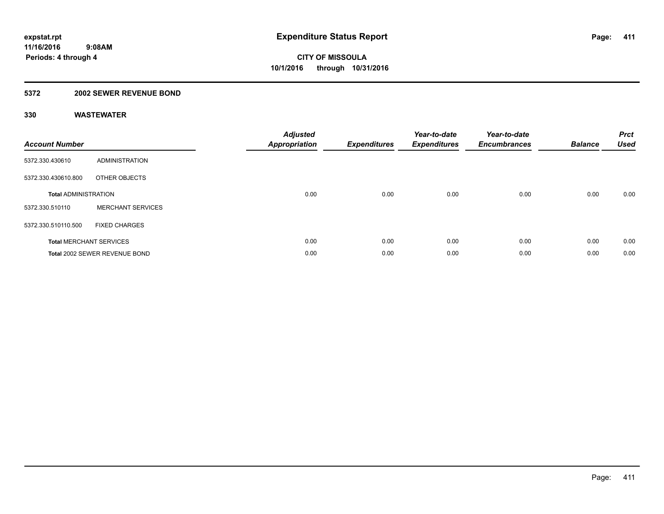#### **5372 2002 SEWER REVENUE BOND**

| <b>Account Number</b>       |                                | <b>Adjusted</b><br>Appropriation | <b>Expenditures</b> | Year-to-date<br><b>Expenditures</b> | Year-to-date<br><b>Encumbrances</b> | <b>Balance</b> | <b>Prct</b><br><b>Used</b> |
|-----------------------------|--------------------------------|----------------------------------|---------------------|-------------------------------------|-------------------------------------|----------------|----------------------------|
| 5372.330.430610             | <b>ADMINISTRATION</b>          |                                  |                     |                                     |                                     |                |                            |
| 5372.330.430610.800         | OTHER OBJECTS                  |                                  |                     |                                     |                                     |                |                            |
| <b>Total ADMINISTRATION</b> |                                | 0.00                             | 0.00                | 0.00                                | 0.00                                | 0.00           | 0.00                       |
| 5372.330.510110             | <b>MERCHANT SERVICES</b>       |                                  |                     |                                     |                                     |                |                            |
| 5372.330.510110.500         | <b>FIXED CHARGES</b>           |                                  |                     |                                     |                                     |                |                            |
|                             | <b>Total MERCHANT SERVICES</b> | 0.00                             | 0.00                | 0.00                                | 0.00                                | 0.00           | 0.00                       |
|                             | Total 2002 SEWER REVENUE BOND  | 0.00                             | 0.00                | 0.00                                | 0.00                                | 0.00           | 0.00                       |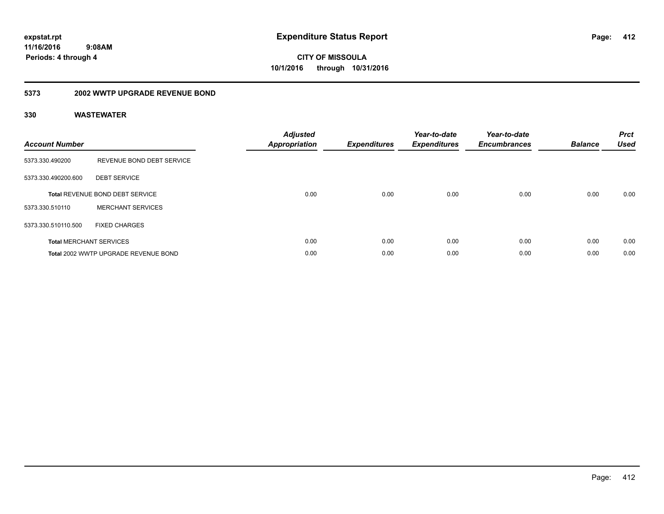**CITY OF MISSOULA 10/1/2016 through 10/31/2016**

#### **5373 2002 WWTP UPGRADE REVENUE BOND**

| <b>Account Number</b> |                                      | <b>Adjusted</b><br><b>Appropriation</b> | <b>Expenditures</b> | Year-to-date<br><b>Expenditures</b> | Year-to-date<br><b>Encumbrances</b> | <b>Balance</b> | <b>Prct</b><br><b>Used</b> |
|-----------------------|--------------------------------------|-----------------------------------------|---------------------|-------------------------------------|-------------------------------------|----------------|----------------------------|
| 5373.330.490200       | REVENUE BOND DEBT SERVICE            |                                         |                     |                                     |                                     |                |                            |
| 5373.330.490200.600   | <b>DEBT SERVICE</b>                  |                                         |                     |                                     |                                     |                |                            |
|                       | Total REVENUE BOND DEBT SERVICE      | 0.00                                    | 0.00                | 0.00                                | 0.00                                | 0.00           | 0.00                       |
| 5373.330.510110       | <b>MERCHANT SERVICES</b>             |                                         |                     |                                     |                                     |                |                            |
| 5373.330.510110.500   | <b>FIXED CHARGES</b>                 |                                         |                     |                                     |                                     |                |                            |
|                       | <b>Total MERCHANT SERVICES</b>       | 0.00                                    | 0.00                | 0.00                                | 0.00                                | 0.00           | 0.00                       |
|                       | Total 2002 WWTP UPGRADE REVENUE BOND | 0.00                                    | 0.00                | 0.00                                | 0.00                                | 0.00           | 0.00                       |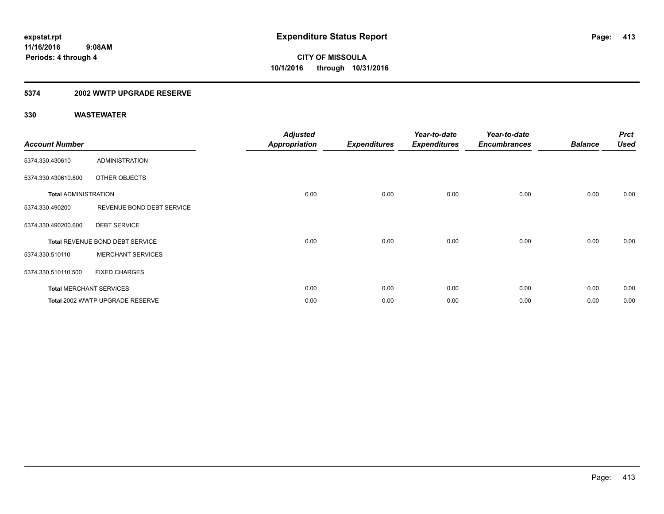### **5374 2002 WWTP UPGRADE RESERVE**

| <b>Account Number</b>       |                                 | <b>Adjusted</b><br><b>Appropriation</b> | <b>Expenditures</b> | Year-to-date<br><b>Expenditures</b> | Year-to-date<br><b>Encumbrances</b> | <b>Balance</b> | <b>Prct</b><br><b>Used</b> |
|-----------------------------|---------------------------------|-----------------------------------------|---------------------|-------------------------------------|-------------------------------------|----------------|----------------------------|
| 5374.330.430610             | <b>ADMINISTRATION</b>           |                                         |                     |                                     |                                     |                |                            |
| 5374.330.430610.800         | OTHER OBJECTS                   |                                         |                     |                                     |                                     |                |                            |
| <b>Total ADMINISTRATION</b> |                                 | 0.00                                    | 0.00                | 0.00                                | 0.00                                | 0.00           | 0.00                       |
| 5374.330.490200             | REVENUE BOND DEBT SERVICE       |                                         |                     |                                     |                                     |                |                            |
| 5374.330.490200.600         | <b>DEBT SERVICE</b>             |                                         |                     |                                     |                                     |                |                            |
|                             | Total REVENUE BOND DEBT SERVICE | 0.00                                    | 0.00                | 0.00                                | 0.00                                | 0.00           | 0.00                       |
| 5374.330.510110             | <b>MERCHANT SERVICES</b>        |                                         |                     |                                     |                                     |                |                            |
| 5374.330.510110.500         | <b>FIXED CHARGES</b>            |                                         |                     |                                     |                                     |                |                            |
|                             | <b>Total MERCHANT SERVICES</b>  | 0.00                                    | 0.00                | 0.00                                | 0.00                                | 0.00           | 0.00                       |
|                             | Total 2002 WWTP UPGRADE RESERVE | 0.00                                    | 0.00                | 0.00                                | 0.00                                | 0.00           | 0.00                       |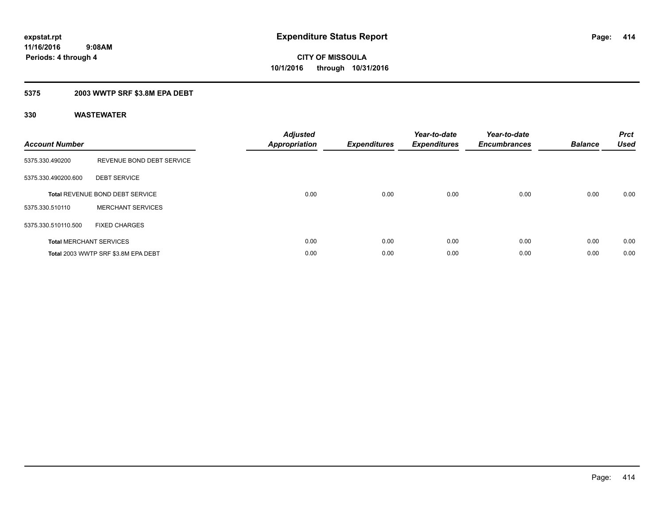### **5375 2003 WWTP SRF \$3.8M EPA DEBT**

| <b>Account Number</b> |                                        | <b>Adjusted</b><br>Appropriation | <b>Expenditures</b> | Year-to-date<br><b>Expenditures</b> | Year-to-date<br><b>Encumbrances</b> | <b>Balance</b> | <b>Prct</b><br><b>Used</b> |
|-----------------------|----------------------------------------|----------------------------------|---------------------|-------------------------------------|-------------------------------------|----------------|----------------------------|
| 5375.330.490200       | REVENUE BOND DEBT SERVICE              |                                  |                     |                                     |                                     |                |                            |
| 5375.330.490200.600   | <b>DEBT SERVICE</b>                    |                                  |                     |                                     |                                     |                |                            |
|                       | <b>Total REVENUE BOND DEBT SERVICE</b> | 0.00                             | 0.00                | 0.00                                | 0.00                                | 0.00           | 0.00                       |
| 5375.330.510110       | <b>MERCHANT SERVICES</b>               |                                  |                     |                                     |                                     |                |                            |
| 5375.330.510110.500   | <b>FIXED CHARGES</b>                   |                                  |                     |                                     |                                     |                |                            |
|                       | <b>Total MERCHANT SERVICES</b>         | 0.00                             | 0.00                | 0.00                                | 0.00                                | 0.00           | 0.00                       |
|                       | Total 2003 WWTP SRF \$3.8M EPA DEBT    | 0.00                             | 0.00                | 0.00                                | 0.00                                | 0.00           | 0.00                       |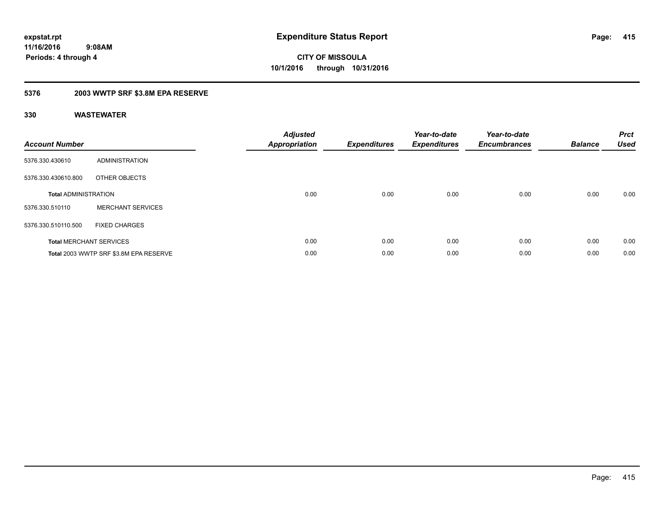### **5376 2003 WWTP SRF \$3.8M EPA RESERVE**

| <b>Account Number</b>       |                                        | <b>Adjusted</b><br>Appropriation | <b>Expenditures</b> | Year-to-date<br><b>Expenditures</b> | Year-to-date<br><b>Encumbrances</b> | <b>Balance</b> | <b>Prct</b><br><b>Used</b> |
|-----------------------------|----------------------------------------|----------------------------------|---------------------|-------------------------------------|-------------------------------------|----------------|----------------------------|
| 5376.330.430610             | ADMINISTRATION                         |                                  |                     |                                     |                                     |                |                            |
| 5376.330.430610.800         | OTHER OBJECTS                          |                                  |                     |                                     |                                     |                |                            |
| <b>Total ADMINISTRATION</b> |                                        | 0.00                             | 0.00                | 0.00                                | 0.00                                | 0.00           | 0.00                       |
| 5376.330.510110             | <b>MERCHANT SERVICES</b>               |                                  |                     |                                     |                                     |                |                            |
| 5376.330.510110.500         | <b>FIXED CHARGES</b>                   |                                  |                     |                                     |                                     |                |                            |
|                             | <b>Total MERCHANT SERVICES</b>         | 0.00                             | 0.00                | 0.00                                | 0.00                                | 0.00           | 0.00                       |
|                             | Total 2003 WWTP SRF \$3.8M EPA RESERVE | 0.00                             | 0.00                | 0.00                                | 0.00                                | 0.00           | 0.00                       |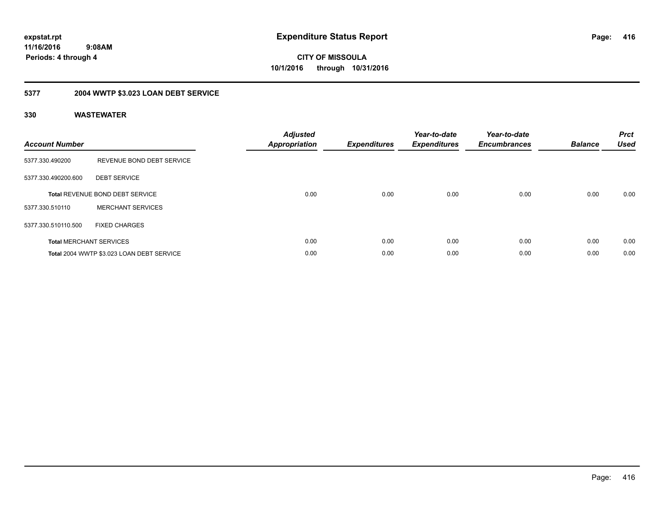**416**

**11/16/2016 9:08AM Periods: 4 through 4**

**CITY OF MISSOULA 10/1/2016 through 10/31/2016**

## **5377 2004 WWTP \$3.023 LOAN DEBT SERVICE**

| <b>Account Number</b> |                                           | <b>Adjusted</b><br><b>Appropriation</b> | <b>Expenditures</b> | Year-to-date<br><b>Expenditures</b> | Year-to-date<br><b>Encumbrances</b> | <b>Balance</b> | <b>Prct</b><br><b>Used</b> |
|-----------------------|-------------------------------------------|-----------------------------------------|---------------------|-------------------------------------|-------------------------------------|----------------|----------------------------|
| 5377.330.490200       | REVENUE BOND DEBT SERVICE                 |                                         |                     |                                     |                                     |                |                            |
| 5377.330.490200.600   | <b>DEBT SERVICE</b>                       |                                         |                     |                                     |                                     |                |                            |
|                       | Total REVENUE BOND DEBT SERVICE           | 0.00                                    | 0.00                | 0.00                                | 0.00                                | 0.00           | 0.00                       |
| 5377.330.510110       | <b>MERCHANT SERVICES</b>                  |                                         |                     |                                     |                                     |                |                            |
| 5377.330.510110.500   | <b>FIXED CHARGES</b>                      |                                         |                     |                                     |                                     |                |                            |
|                       | <b>Total MERCHANT SERVICES</b>            | 0.00                                    | 0.00                | 0.00                                | 0.00                                | 0.00           | 0.00                       |
|                       | Total 2004 WWTP \$3.023 LOAN DEBT SERVICE | 0.00                                    | 0.00                | 0.00                                | 0.00                                | 0.00           | 0.00                       |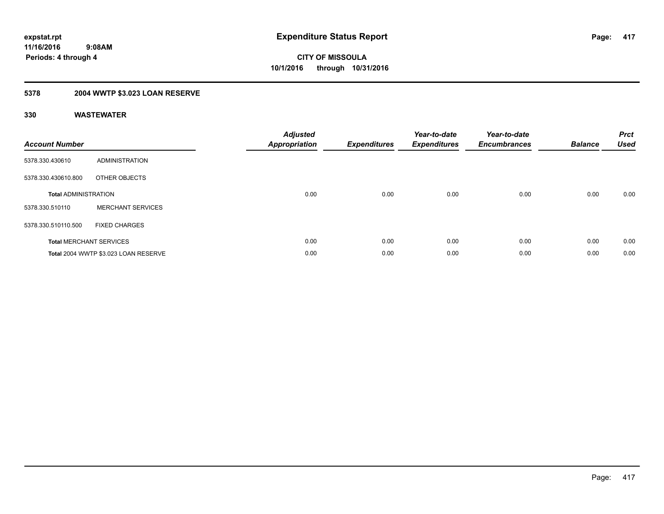## **5378 2004 WWTP \$3.023 LOAN RESERVE**

| <b>Account Number</b>       |                                      | <b>Adjusted</b><br>Appropriation | <b>Expenditures</b> | Year-to-date<br><b>Expenditures</b> | Year-to-date<br><b>Encumbrances</b> | <b>Balance</b> | <b>Prct</b><br><b>Used</b> |
|-----------------------------|--------------------------------------|----------------------------------|---------------------|-------------------------------------|-------------------------------------|----------------|----------------------------|
| 5378.330.430610             | ADMINISTRATION                       |                                  |                     |                                     |                                     |                |                            |
| 5378.330.430610.800         | OTHER OBJECTS                        |                                  |                     |                                     |                                     |                |                            |
| <b>Total ADMINISTRATION</b> |                                      | 0.00                             | 0.00                | 0.00                                | 0.00                                | 0.00           | 0.00                       |
| 5378.330.510110             | <b>MERCHANT SERVICES</b>             |                                  |                     |                                     |                                     |                |                            |
| 5378.330.510110.500         | <b>FIXED CHARGES</b>                 |                                  |                     |                                     |                                     |                |                            |
|                             | <b>Total MERCHANT SERVICES</b>       | 0.00                             | 0.00                | 0.00                                | 0.00                                | 0.00           | 0.00                       |
|                             | Total 2004 WWTP \$3.023 LOAN RESERVE | 0.00                             | 0.00                | 0.00                                | 0.00                                | 0.00           | 0.00                       |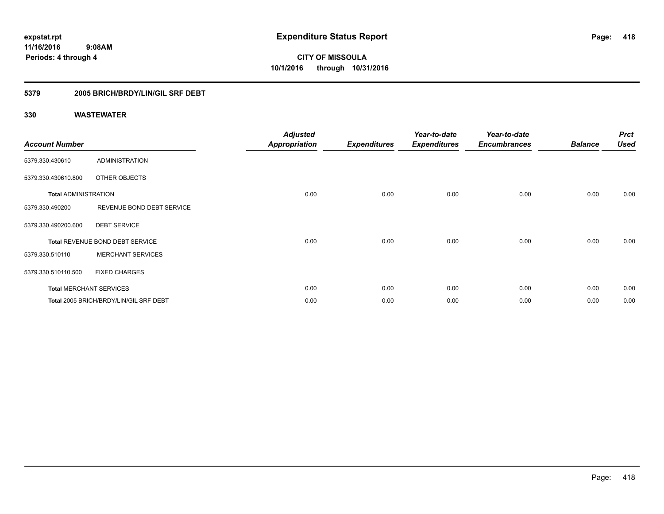### **5379 2005 BRICH/BRDY/LIN/GIL SRF DEBT**

| <b>Account Number</b>       |                                        | <b>Adjusted</b><br><b>Appropriation</b> | <b>Expenditures</b> | Year-to-date<br><b>Expenditures</b> | Year-to-date<br><b>Encumbrances</b> | <b>Balance</b> | <b>Prct</b><br><b>Used</b> |
|-----------------------------|----------------------------------------|-----------------------------------------|---------------------|-------------------------------------|-------------------------------------|----------------|----------------------------|
| 5379.330.430610             | <b>ADMINISTRATION</b>                  |                                         |                     |                                     |                                     |                |                            |
| 5379.330.430610.800         | OTHER OBJECTS                          |                                         |                     |                                     |                                     |                |                            |
| <b>Total ADMINISTRATION</b> |                                        | 0.00                                    | 0.00                | 0.00                                | 0.00                                | 0.00           | 0.00                       |
| 5379.330.490200             | REVENUE BOND DEBT SERVICE              |                                         |                     |                                     |                                     |                |                            |
| 5379.330.490200.600         | <b>DEBT SERVICE</b>                    |                                         |                     |                                     |                                     |                |                            |
|                             | Total REVENUE BOND DEBT SERVICE        | 0.00                                    | 0.00                | 0.00                                | 0.00                                | 0.00           | 0.00                       |
| 5379.330.510110             | <b>MERCHANT SERVICES</b>               |                                         |                     |                                     |                                     |                |                            |
| 5379.330.510110.500         | <b>FIXED CHARGES</b>                   |                                         |                     |                                     |                                     |                |                            |
|                             | <b>Total MERCHANT SERVICES</b>         | 0.00                                    | 0.00                | 0.00                                | 0.00                                | 0.00           | 0.00                       |
|                             | Total 2005 BRICH/BRDY/LIN/GIL SRF DEBT | 0.00                                    | 0.00                | 0.00                                | 0.00                                | 0.00           | 0.00                       |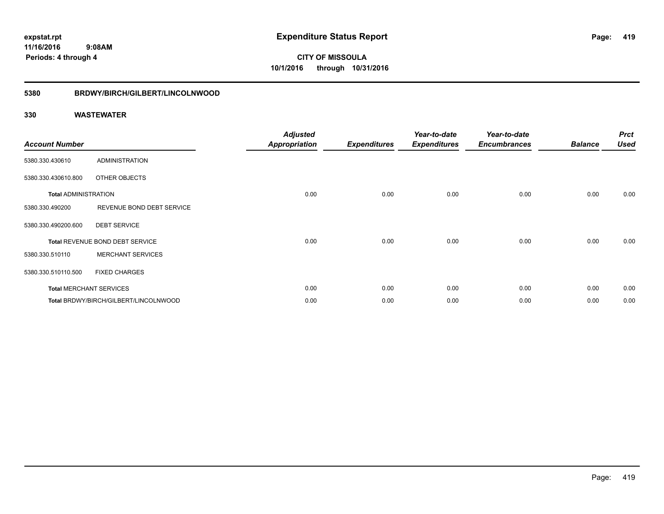**CITY OF MISSOULA 10/1/2016 through 10/31/2016**

#### **5380 BRDWY/BIRCH/GILBERT/LINCOLNWOOD**

| <b>Account Number</b>       |                                       | <b>Adjusted</b><br><b>Appropriation</b> | <b>Expenditures</b> | Year-to-date<br><b>Expenditures</b> | Year-to-date<br><b>Encumbrances</b> | <b>Balance</b> | <b>Prct</b><br><b>Used</b> |
|-----------------------------|---------------------------------------|-----------------------------------------|---------------------|-------------------------------------|-------------------------------------|----------------|----------------------------|
| 5380.330.430610             | <b>ADMINISTRATION</b>                 |                                         |                     |                                     |                                     |                |                            |
| 5380.330.430610.800         | OTHER OBJECTS                         |                                         |                     |                                     |                                     |                |                            |
| <b>Total ADMINISTRATION</b> |                                       | 0.00                                    | 0.00                | 0.00                                | 0.00                                | 0.00           | 0.00                       |
| 5380.330.490200             | REVENUE BOND DEBT SERVICE             |                                         |                     |                                     |                                     |                |                            |
| 5380.330.490200.600         | <b>DEBT SERVICE</b>                   |                                         |                     |                                     |                                     |                |                            |
|                             | Total REVENUE BOND DEBT SERVICE       | 0.00                                    | 0.00                | 0.00                                | 0.00                                | 0.00           | 0.00                       |
| 5380.330.510110             | <b>MERCHANT SERVICES</b>              |                                         |                     |                                     |                                     |                |                            |
| 5380.330.510110.500         | <b>FIXED CHARGES</b>                  |                                         |                     |                                     |                                     |                |                            |
|                             | <b>Total MERCHANT SERVICES</b>        | 0.00                                    | 0.00                | 0.00                                | 0.00                                | 0.00           | 0.00                       |
|                             | Total BRDWY/BIRCH/GILBERT/LINCOLNWOOD | 0.00                                    | 0.00                | 0.00                                | 0.00                                | 0.00           | 0.00                       |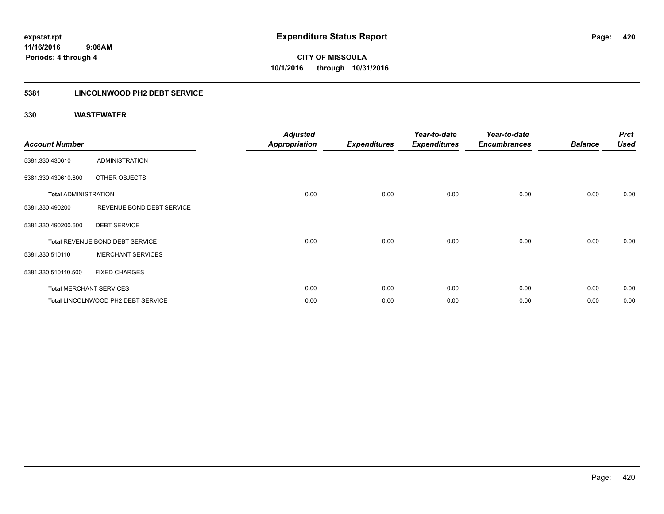### **5381 LINCOLNWOOD PH2 DEBT SERVICE**

| <b>Account Number</b>       |                                    | <b>Adjusted</b><br><b>Appropriation</b> | <b>Expenditures</b> | Year-to-date<br><b>Expenditures</b> | Year-to-date<br><b>Encumbrances</b> | <b>Balance</b> | <b>Prct</b><br><b>Used</b> |
|-----------------------------|------------------------------------|-----------------------------------------|---------------------|-------------------------------------|-------------------------------------|----------------|----------------------------|
| 5381.330.430610             | <b>ADMINISTRATION</b>              |                                         |                     |                                     |                                     |                |                            |
| 5381.330.430610.800         | OTHER OBJECTS                      |                                         |                     |                                     |                                     |                |                            |
| <b>Total ADMINISTRATION</b> |                                    | 0.00                                    | 0.00                | 0.00                                | 0.00                                | 0.00           | 0.00                       |
| 5381.330.490200             | REVENUE BOND DEBT SERVICE          |                                         |                     |                                     |                                     |                |                            |
| 5381.330.490200.600         | <b>DEBT SERVICE</b>                |                                         |                     |                                     |                                     |                |                            |
|                             | Total REVENUE BOND DEBT SERVICE    | 0.00                                    | 0.00                | 0.00                                | 0.00                                | 0.00           | 0.00                       |
| 5381.330.510110             | <b>MERCHANT SERVICES</b>           |                                         |                     |                                     |                                     |                |                            |
| 5381.330.510110.500         | <b>FIXED CHARGES</b>               |                                         |                     |                                     |                                     |                |                            |
|                             | <b>Total MERCHANT SERVICES</b>     | 0.00                                    | 0.00                | 0.00                                | 0.00                                | 0.00           | 0.00                       |
|                             | Total LINCOLNWOOD PH2 DEBT SERVICE | 0.00                                    | 0.00                | 0.00                                | 0.00                                | 0.00           | 0.00                       |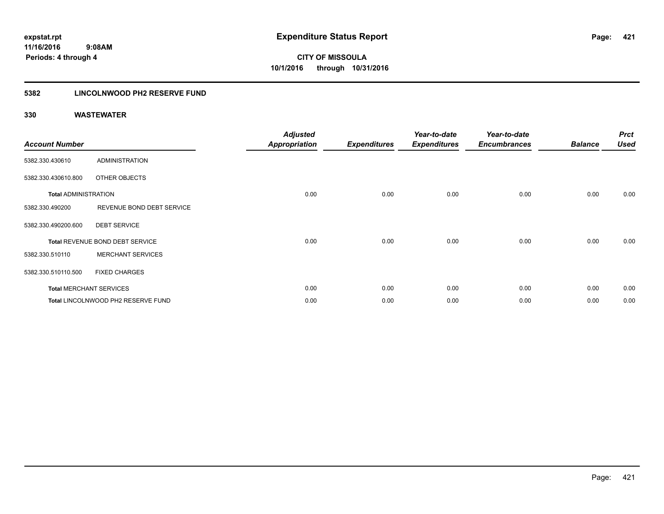### **5382 LINCOLNWOOD PH2 RESERVE FUND**

| <b>Account Number</b>       |                                    | <b>Adjusted</b><br><b>Appropriation</b> | <b>Expenditures</b> | Year-to-date<br><b>Expenditures</b> | Year-to-date<br><b>Encumbrances</b> | <b>Balance</b> | <b>Prct</b><br><b>Used</b> |
|-----------------------------|------------------------------------|-----------------------------------------|---------------------|-------------------------------------|-------------------------------------|----------------|----------------------------|
| 5382.330.430610             | ADMINISTRATION                     |                                         |                     |                                     |                                     |                |                            |
| 5382.330.430610.800         | OTHER OBJECTS                      |                                         |                     |                                     |                                     |                |                            |
| <b>Total ADMINISTRATION</b> |                                    | 0.00                                    | 0.00                | 0.00                                | 0.00                                | 0.00           | 0.00                       |
| 5382.330.490200             | REVENUE BOND DEBT SERVICE          |                                         |                     |                                     |                                     |                |                            |
| 5382.330.490200.600         | <b>DEBT SERVICE</b>                |                                         |                     |                                     |                                     |                |                            |
|                             | Total REVENUE BOND DEBT SERVICE    | 0.00                                    | 0.00                | 0.00                                | 0.00                                | 0.00           | 0.00                       |
| 5382.330.510110             | <b>MERCHANT SERVICES</b>           |                                         |                     |                                     |                                     |                |                            |
| 5382.330.510110.500         | <b>FIXED CHARGES</b>               |                                         |                     |                                     |                                     |                |                            |
|                             | <b>Total MERCHANT SERVICES</b>     | 0.00                                    | 0.00                | 0.00                                | 0.00                                | 0.00           | 0.00                       |
|                             | Total LINCOLNWOOD PH2 RESERVE FUND | 0.00                                    | 0.00                | 0.00                                | 0.00                                | 0.00           | 0.00                       |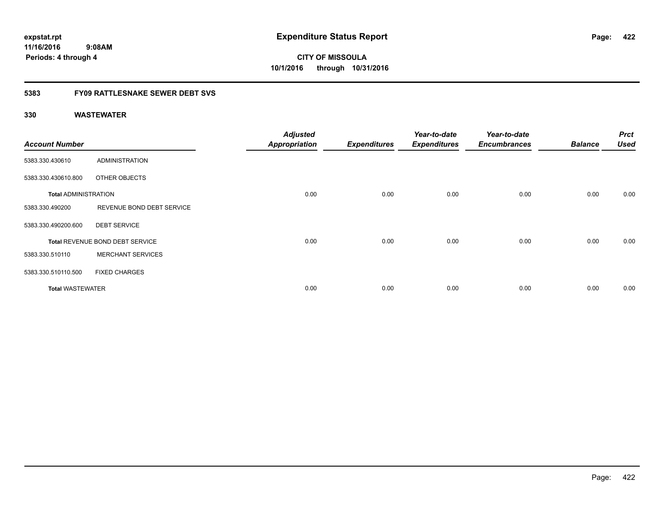### **5383 FY09 RATTLESNAKE SEWER DEBT SVS**

| <b>Account Number</b>       |                                 | <b>Adjusted</b><br><b>Appropriation</b> | <b>Expenditures</b> | Year-to-date<br><b>Expenditures</b> | Year-to-date<br><b>Encumbrances</b> | <b>Balance</b> | <b>Prct</b><br><b>Used</b> |
|-----------------------------|---------------------------------|-----------------------------------------|---------------------|-------------------------------------|-------------------------------------|----------------|----------------------------|
| 5383.330.430610             | <b>ADMINISTRATION</b>           |                                         |                     |                                     |                                     |                |                            |
| 5383.330.430610.800         | OTHER OBJECTS                   |                                         |                     |                                     |                                     |                |                            |
| <b>Total ADMINISTRATION</b> |                                 | 0.00                                    | 0.00                | 0.00                                | 0.00                                | 0.00           | 0.00                       |
| 5383.330.490200             | REVENUE BOND DEBT SERVICE       |                                         |                     |                                     |                                     |                |                            |
| 5383.330.490200.600         | <b>DEBT SERVICE</b>             |                                         |                     |                                     |                                     |                |                            |
|                             | Total REVENUE BOND DEBT SERVICE | 0.00                                    | 0.00                | 0.00                                | 0.00                                | 0.00           | 0.00                       |
| 5383.330.510110             | <b>MERCHANT SERVICES</b>        |                                         |                     |                                     |                                     |                |                            |
| 5383.330.510110.500         | <b>FIXED CHARGES</b>            |                                         |                     |                                     |                                     |                |                            |
| <b>Total WASTEWATER</b>     |                                 | 0.00                                    | 0.00                | 0.00                                | 0.00                                | 0.00           | 0.00                       |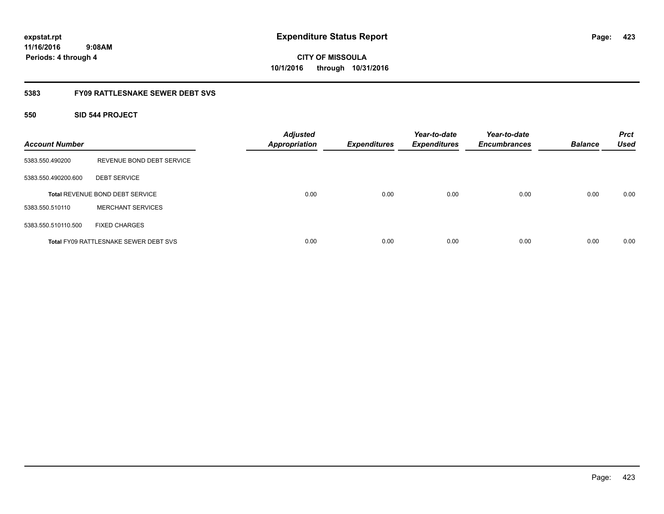# **CITY OF MISSOULA 10/1/2016 through 10/31/2016**

### **5383 FY09 RATTLESNAKE SEWER DEBT SVS**

### **550 SID 544 PROJECT**

| <b>Account Number</b> |                                              | <b>Adjusted</b><br><b>Appropriation</b> | <b>Expenditures</b> | Year-to-date<br><b>Expenditures</b> | Year-to-date<br><b>Encumbrances</b> | <b>Balance</b> | <b>Prct</b><br><b>Used</b> |
|-----------------------|----------------------------------------------|-----------------------------------------|---------------------|-------------------------------------|-------------------------------------|----------------|----------------------------|
| 5383.550.490200       | REVENUE BOND DEBT SERVICE                    |                                         |                     |                                     |                                     |                |                            |
| 5383.550.490200.600   | <b>DEBT SERVICE</b>                          |                                         |                     |                                     |                                     |                |                            |
|                       | <b>Total REVENUE BOND DEBT SERVICE</b>       | 0.00                                    | 0.00                | 0.00                                | 0.00                                | 0.00           | 0.00                       |
| 5383.550.510110       | <b>MERCHANT SERVICES</b>                     |                                         |                     |                                     |                                     |                |                            |
| 5383.550.510110.500   | <b>FIXED CHARGES</b>                         |                                         |                     |                                     |                                     |                |                            |
|                       | <b>Total FY09 RATTLESNAKE SEWER DEBT SVS</b> | 0.00                                    | 0.00                | 0.00                                | 0.00                                | 0.00           | 0.00                       |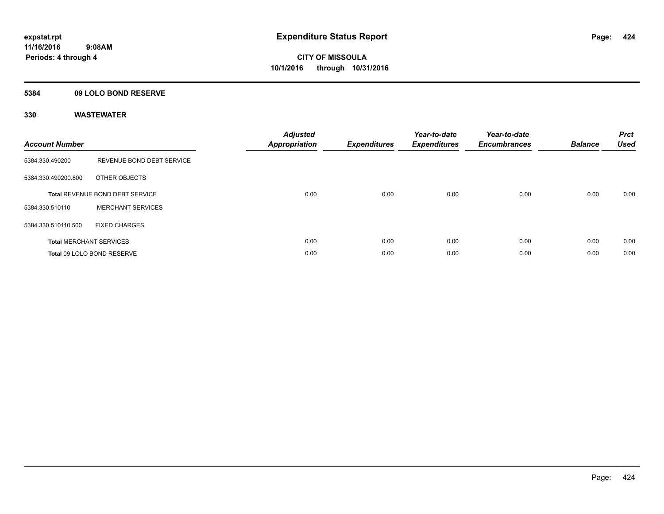### **5384 09 LOLO BOND RESERVE**

| <b>Account Number</b> |                                 | <b>Adjusted</b><br><b>Appropriation</b> | <b>Expenditures</b> | Year-to-date<br><b>Expenditures</b> | Year-to-date<br><b>Encumbrances</b> | <b>Balance</b> | <b>Prct</b><br><b>Used</b> |
|-----------------------|---------------------------------|-----------------------------------------|---------------------|-------------------------------------|-------------------------------------|----------------|----------------------------|
| 5384.330.490200       | REVENUE BOND DEBT SERVICE       |                                         |                     |                                     |                                     |                |                            |
| 5384.330.490200.800   | OTHER OBJECTS                   |                                         |                     |                                     |                                     |                |                            |
|                       | Total REVENUE BOND DEBT SERVICE | 0.00                                    | 0.00                | 0.00                                | 0.00                                | 0.00           | 0.00                       |
| 5384.330.510110       | <b>MERCHANT SERVICES</b>        |                                         |                     |                                     |                                     |                |                            |
| 5384.330.510110.500   | <b>FIXED CHARGES</b>            |                                         |                     |                                     |                                     |                |                            |
|                       | <b>Total MERCHANT SERVICES</b>  | 0.00                                    | 0.00                | 0.00                                | 0.00                                | 0.00           | 0.00                       |
|                       | Total 09 LOLO BOND RESERVE      | 0.00                                    | 0.00                | 0.00                                | 0.00                                | 0.00           | 0.00                       |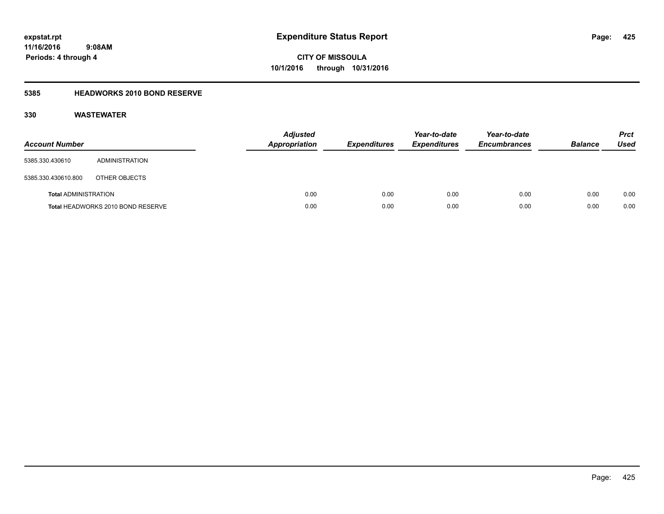### **5385 HEADWORKS 2010 BOND RESERVE**

| <b>Account Number</b>       |                                   | <b>Adjusted</b><br><b>Appropriation</b> | <b>Expenditures</b> | Year-to-date<br><b>Expenditures</b> | Year-to-date<br><b>Encumbrances</b> | <b>Balance</b> | <b>Prct</b><br>Used |
|-----------------------------|-----------------------------------|-----------------------------------------|---------------------|-------------------------------------|-------------------------------------|----------------|---------------------|
| 5385.330.430610             | ADMINISTRATION                    |                                         |                     |                                     |                                     |                |                     |
| 5385.330.430610.800         | OTHER OBJECTS                     |                                         |                     |                                     |                                     |                |                     |
| <b>Total ADMINISTRATION</b> |                                   | 0.00                                    | 0.00                | 0.00                                | 0.00                                | 0.00           | 0.00                |
|                             | Total HEADWORKS 2010 BOND RESERVE | 0.00                                    | 0.00                | 0.00                                | 0.00                                | 0.00           | 0.00                |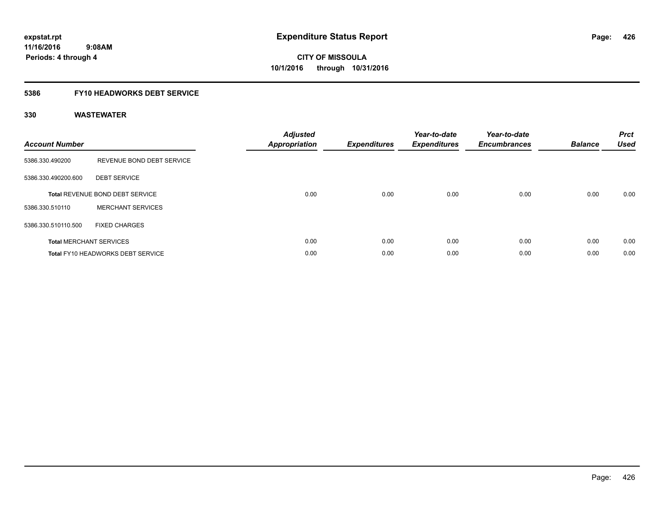### **5386 FY10 HEADWORKS DEBT SERVICE**

| <b>Account Number</b> |                                          | <b>Adjusted</b><br>Appropriation | <b>Expenditures</b> | Year-to-date<br><b>Expenditures</b> | Year-to-date<br><b>Encumbrances</b> | <b>Balance</b> | <b>Prct</b><br><b>Used</b> |
|-----------------------|------------------------------------------|----------------------------------|---------------------|-------------------------------------|-------------------------------------|----------------|----------------------------|
| 5386.330.490200       | REVENUE BOND DEBT SERVICE                |                                  |                     |                                     |                                     |                |                            |
| 5386.330.490200.600   | <b>DEBT SERVICE</b>                      |                                  |                     |                                     |                                     |                |                            |
|                       | <b>Total REVENUE BOND DEBT SERVICE</b>   | 0.00                             | 0.00                | 0.00                                | 0.00                                | 0.00           | 0.00                       |
| 5386.330.510110       | <b>MERCHANT SERVICES</b>                 |                                  |                     |                                     |                                     |                |                            |
| 5386.330.510110.500   | <b>FIXED CHARGES</b>                     |                                  |                     |                                     |                                     |                |                            |
|                       | <b>Total MERCHANT SERVICES</b>           | 0.00                             | 0.00                | 0.00                                | 0.00                                | 0.00           | 0.00                       |
|                       | <b>Total FY10 HEADWORKS DEBT SERVICE</b> | 0.00                             | 0.00                | 0.00                                | 0.00                                | 0.00           | 0.00                       |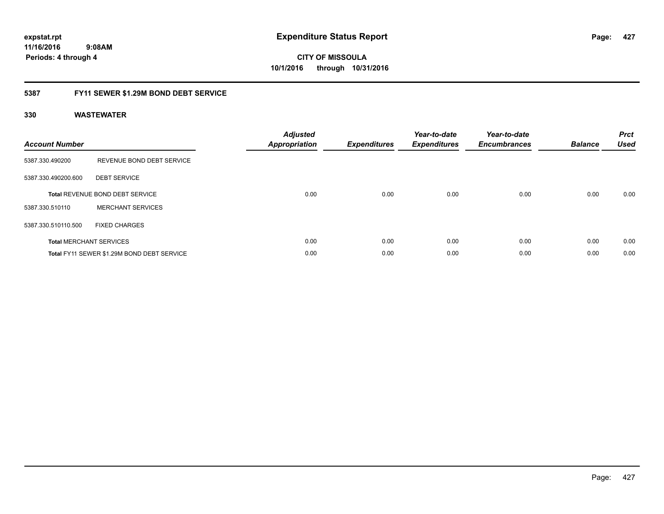**CITY OF MISSOULA 10/1/2016 through 10/31/2016**

### **5387 FY11 SEWER \$1.29M BOND DEBT SERVICE**

| <b>Account Number</b> |                                            | <b>Adjusted</b><br><b>Appropriation</b> | <b>Expenditures</b> | Year-to-date<br><b>Expenditures</b> | Year-to-date<br><b>Encumbrances</b> | <b>Balance</b> | <b>Prct</b><br><b>Used</b> |
|-----------------------|--------------------------------------------|-----------------------------------------|---------------------|-------------------------------------|-------------------------------------|----------------|----------------------------|
| 5387.330.490200       | REVENUE BOND DEBT SERVICE                  |                                         |                     |                                     |                                     |                |                            |
| 5387.330.490200.600   | <b>DEBT SERVICE</b>                        |                                         |                     |                                     |                                     |                |                            |
|                       | <b>Total REVENUE BOND DEBT SERVICE</b>     | 0.00                                    | 0.00                | 0.00                                | 0.00                                | 0.00           | 0.00                       |
| 5387.330.510110       | <b>MERCHANT SERVICES</b>                   |                                         |                     |                                     |                                     |                |                            |
| 5387.330.510110.500   | <b>FIXED CHARGES</b>                       |                                         |                     |                                     |                                     |                |                            |
|                       | <b>Total MERCHANT SERVICES</b>             | 0.00                                    | 0.00                | 0.00                                | 0.00                                | 0.00           | 0.00                       |
|                       | Total FY11 SEWER \$1.29M BOND DEBT SERVICE | 0.00                                    | 0.00                | 0.00                                | 0.00                                | 0.00           | 0.00                       |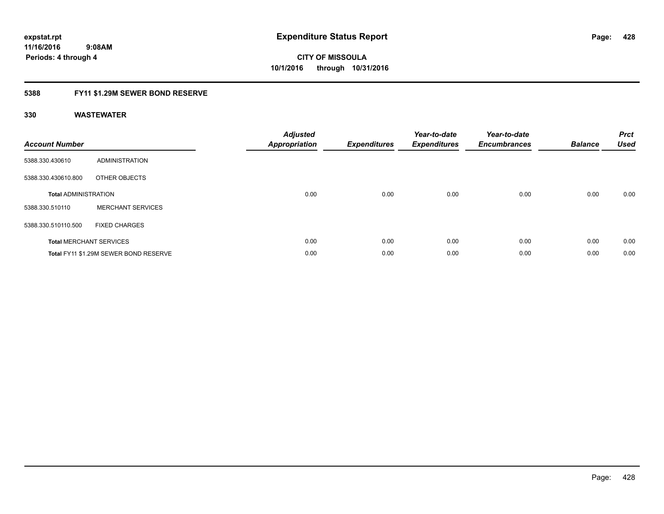### **5388 FY11 \$1.29M SEWER BOND RESERVE**

| <b>Account Number</b>       |                                       | <b>Adjusted</b><br><b>Appropriation</b> | <b>Expenditures</b> | Year-to-date<br><b>Expenditures</b> | Year-to-date<br><b>Encumbrances</b> | <b>Balance</b> | <b>Prct</b><br><b>Used</b> |
|-----------------------------|---------------------------------------|-----------------------------------------|---------------------|-------------------------------------|-------------------------------------|----------------|----------------------------|
| 5388.330.430610             | ADMINISTRATION                        |                                         |                     |                                     |                                     |                |                            |
| 5388.330.430610.800         | OTHER OBJECTS                         |                                         |                     |                                     |                                     |                |                            |
| <b>Total ADMINISTRATION</b> |                                       | 0.00                                    | 0.00                | 0.00                                | 0.00                                | 0.00           | 0.00                       |
| 5388.330.510110             | <b>MERCHANT SERVICES</b>              |                                         |                     |                                     |                                     |                |                            |
| 5388.330.510110.500         | <b>FIXED CHARGES</b>                  |                                         |                     |                                     |                                     |                |                            |
|                             | <b>Total MERCHANT SERVICES</b>        | 0.00                                    | 0.00                | 0.00                                | 0.00                                | 0.00           | 0.00                       |
|                             | Total FY11 \$1.29M SEWER BOND RESERVE | 0.00                                    | 0.00                | 0.00                                | 0.00                                | 0.00           | 0.00                       |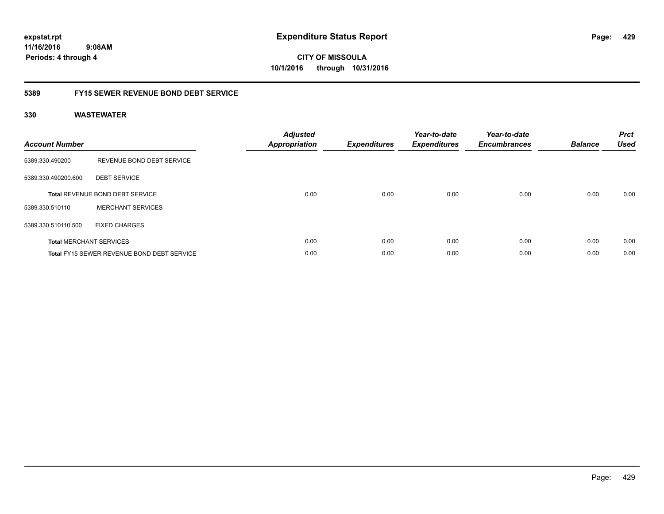**CITY OF MISSOULA 10/1/2016 through 10/31/2016**

### **5389 FY15 SEWER REVENUE BOND DEBT SERVICE**

| <b>Account Number</b> |                                                   | <b>Adjusted</b><br>Appropriation | <b>Expenditures</b> | Year-to-date<br><b>Expenditures</b> | Year-to-date<br><b>Encumbrances</b> | <b>Balance</b> | <b>Prct</b><br><b>Used</b> |
|-----------------------|---------------------------------------------------|----------------------------------|---------------------|-------------------------------------|-------------------------------------|----------------|----------------------------|
| 5389.330.490200       | REVENUE BOND DEBT SERVICE                         |                                  |                     |                                     |                                     |                |                            |
| 5389.330.490200.600   | <b>DEBT SERVICE</b>                               |                                  |                     |                                     |                                     |                |                            |
|                       | <b>Total REVENUE BOND DEBT SERVICE</b>            | 0.00                             | 0.00                | 0.00                                | 0.00                                | 0.00           | 0.00                       |
| 5389.330.510110       | <b>MERCHANT SERVICES</b>                          |                                  |                     |                                     |                                     |                |                            |
| 5389.330.510110.500   | <b>FIXED CHARGES</b>                              |                                  |                     |                                     |                                     |                |                            |
|                       | <b>Total MERCHANT SERVICES</b>                    | 0.00                             | 0.00                | 0.00                                | 0.00                                | 0.00           | 0.00                       |
|                       | <b>Total FY15 SEWER REVENUE BOND DEBT SERVICE</b> | 0.00                             | 0.00                | 0.00                                | 0.00                                | 0.00           | 0.00                       |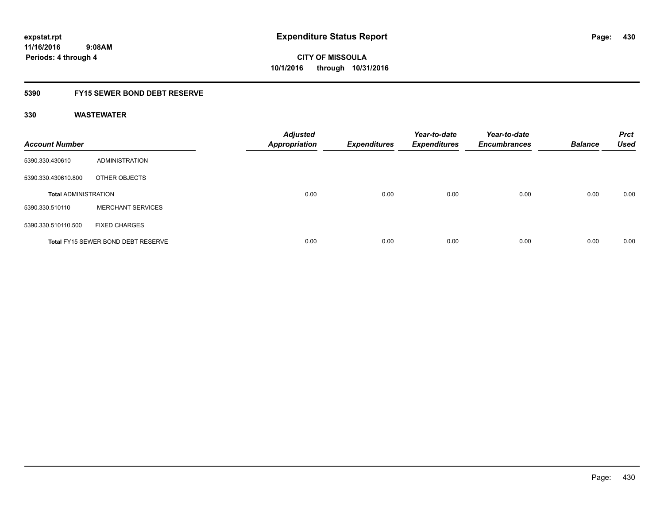### **5390 FY15 SEWER BOND DEBT RESERVE**

| <b>Account Number</b>       |                                           | <b>Adjusted</b><br><b>Appropriation</b> | <b>Expenditures</b> | Year-to-date<br><b>Expenditures</b> | Year-to-date<br><b>Encumbrances</b> | <b>Balance</b> | <b>Prct</b><br><b>Used</b> |
|-----------------------------|-------------------------------------------|-----------------------------------------|---------------------|-------------------------------------|-------------------------------------|----------------|----------------------------|
| 5390.330.430610             | <b>ADMINISTRATION</b>                     |                                         |                     |                                     |                                     |                |                            |
| 5390.330.430610.800         | OTHER OBJECTS                             |                                         |                     |                                     |                                     |                |                            |
| <b>Total ADMINISTRATION</b> |                                           | 0.00                                    | 0.00                | 0.00                                | 0.00                                | 0.00           | 0.00                       |
| 5390.330.510110             | <b>MERCHANT SERVICES</b>                  |                                         |                     |                                     |                                     |                |                            |
| 5390.330.510110.500         | <b>FIXED CHARGES</b>                      |                                         |                     |                                     |                                     |                |                            |
|                             | <b>Total FY15 SEWER BOND DEBT RESERVE</b> | 0.00                                    | 0.00                | 0.00                                | 0.00                                | 0.00           | 0.00                       |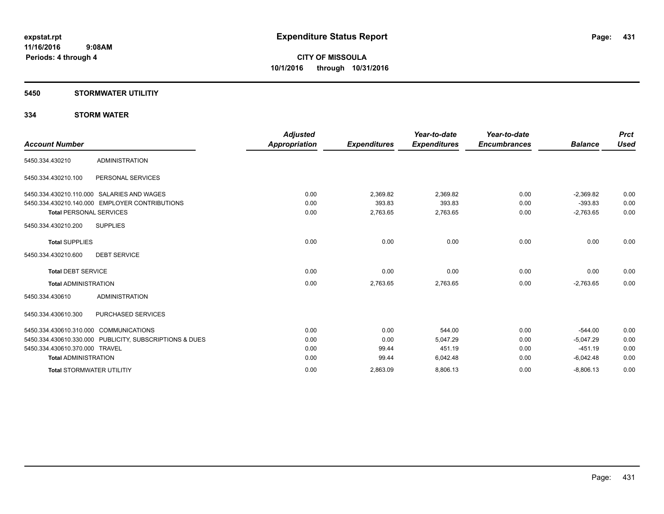### **5450 STORMWATER UTILITIY**

### **334 STORM WATER**

|                                        |                                                         | <b>Adjusted</b>      |                     | Year-to-date        | Year-to-date        |                | <b>Prct</b> |
|----------------------------------------|---------------------------------------------------------|----------------------|---------------------|---------------------|---------------------|----------------|-------------|
| <b>Account Number</b>                  |                                                         | <b>Appropriation</b> | <b>Expenditures</b> | <b>Expenditures</b> | <b>Encumbrances</b> | <b>Balance</b> | <b>Used</b> |
| 5450.334.430210                        | <b>ADMINISTRATION</b>                                   |                      |                     |                     |                     |                |             |
| 5450.334.430210.100                    | PERSONAL SERVICES                                       |                      |                     |                     |                     |                |             |
|                                        | 5450.334.430210.110.000 SALARIES AND WAGES              | 0.00                 | 2,369.82            | 2,369.82            | 0.00                | $-2.369.82$    | 0.00        |
|                                        | 5450.334.430210.140.000 EMPLOYER CONTRIBUTIONS          | 0.00                 | 393.83              | 393.83              | 0.00                | $-393.83$      | 0.00        |
| <b>Total PERSONAL SERVICES</b>         |                                                         | 0.00                 | 2,763.65            | 2,763.65            | 0.00                | $-2,763.65$    | 0.00        |
| 5450.334.430210.200                    | <b>SUPPLIES</b>                                         |                      |                     |                     |                     |                |             |
| <b>Total SUPPLIES</b>                  |                                                         | 0.00                 | 0.00                | 0.00                | 0.00                | 0.00           | 0.00        |
| 5450.334.430210.600                    | <b>DEBT SERVICE</b>                                     |                      |                     |                     |                     |                |             |
| <b>Total DEBT SERVICE</b>              |                                                         | 0.00                 | 0.00                | 0.00                | 0.00                | 0.00           | 0.00        |
| <b>Total ADMINISTRATION</b>            |                                                         | 0.00                 | 2,763.65            | 2,763.65            | 0.00                | $-2,763.65$    | 0.00        |
| 5450.334.430610                        | <b>ADMINISTRATION</b>                                   |                      |                     |                     |                     |                |             |
| 5450.334.430610.300                    | PURCHASED SERVICES                                      |                      |                     |                     |                     |                |             |
| 5450.334.430610.310.000 COMMUNICATIONS |                                                         | 0.00                 | 0.00                | 544.00              | 0.00                | $-544.00$      | 0.00        |
|                                        | 5450.334.430610.330.000 PUBLICITY, SUBSCRIPTIONS & DUES | 0.00                 | 0.00                | 5,047.29            | 0.00                | $-5,047.29$    | 0.00        |
| 5450.334.430610.370.000 TRAVEL         |                                                         | 0.00                 | 99.44               | 451.19              | 0.00                | $-451.19$      | 0.00        |
| <b>Total ADMINISTRATION</b>            |                                                         | 0.00                 | 99.44               | 6,042.48            | 0.00                | $-6,042.48$    | 0.00        |
| <b>Total STORMWATER UTILITIY</b>       |                                                         | 0.00                 | 2,863.09            | 8,806.13            | 0.00                | $-8,806.13$    | 0.00        |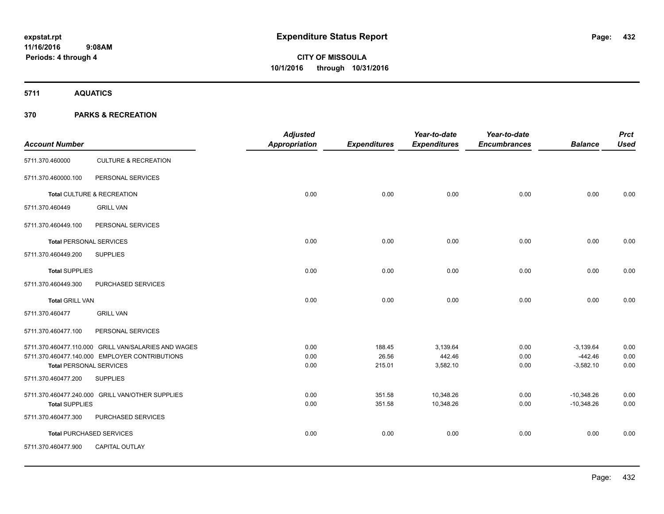**5711 AQUATICS**

### **370 PARKS & RECREATION**

| <b>Account Number</b>          |                                                      | <b>Adjusted</b><br><b>Appropriation</b> | <b>Expenditures</b> | Year-to-date<br><b>Expenditures</b> | Year-to-date<br><b>Encumbrances</b> | <b>Balance</b>           | <b>Prct</b><br><b>Used</b> |
|--------------------------------|------------------------------------------------------|-----------------------------------------|---------------------|-------------------------------------|-------------------------------------|--------------------------|----------------------------|
| 5711.370.460000                | <b>CULTURE &amp; RECREATION</b>                      |                                         |                     |                                     |                                     |                          |                            |
| 5711.370.460000.100            | PERSONAL SERVICES                                    |                                         |                     |                                     |                                     |                          |                            |
|                                | Total CULTURE & RECREATION                           | 0.00                                    | 0.00                | 0.00                                | 0.00                                | 0.00                     | 0.00                       |
| 5711.370.460449                | <b>GRILL VAN</b>                                     |                                         |                     |                                     |                                     |                          |                            |
| 5711.370.460449.100            | PERSONAL SERVICES                                    |                                         |                     |                                     |                                     |                          |                            |
| <b>Total PERSONAL SERVICES</b> |                                                      | 0.00                                    | 0.00                | 0.00                                | 0.00                                | 0.00                     | 0.00                       |
| 5711.370.460449.200            | <b>SUPPLIES</b>                                      |                                         |                     |                                     |                                     |                          |                            |
| <b>Total SUPPLIES</b>          |                                                      | 0.00                                    | 0.00                | 0.00                                | 0.00                                | 0.00                     | 0.00                       |
| 5711.370.460449.300            | PURCHASED SERVICES                                   |                                         |                     |                                     |                                     |                          |                            |
| <b>Total GRILL VAN</b>         |                                                      | 0.00                                    | 0.00                | 0.00                                | 0.00                                | 0.00                     | 0.00                       |
| 5711.370.460477                | <b>GRILL VAN</b>                                     |                                         |                     |                                     |                                     |                          |                            |
| 5711.370.460477.100            | PERSONAL SERVICES                                    |                                         |                     |                                     |                                     |                          |                            |
|                                | 5711.370.460477.110.000 GRILL VAN/SALARIES AND WAGES | 0.00                                    | 188.45              | 3,139.64                            | 0.00                                | $-3,139.64$              | 0.00                       |
| <b>Total PERSONAL SERVICES</b> | 5711.370.460477.140.000 EMPLOYER CONTRIBUTIONS       | 0.00<br>0.00                            | 26.56<br>215.01     | 442.46<br>3,582.10                  | 0.00<br>0.00                        | $-442.46$<br>$-3,582.10$ | 0.00<br>0.00               |
| 5711.370.460477.200            | <b>SUPPLIES</b>                                      |                                         |                     |                                     |                                     |                          |                            |
|                                | 5711.370.460477.240.000 GRILL VAN/OTHER SUPPLIES     | 0.00                                    | 351.58              | 10,348.26                           | 0.00                                | $-10,348.26$             | 0.00                       |
| <b>Total SUPPLIES</b>          |                                                      | 0.00                                    | 351.58              | 10,348.26                           | 0.00                                | $-10,348.26$             | 0.00                       |
| 5711.370.460477.300            | PURCHASED SERVICES                                   |                                         |                     |                                     |                                     |                          |                            |
|                                | <b>Total PURCHASED SERVICES</b>                      | 0.00                                    | 0.00                | 0.00                                | 0.00                                | 0.00                     | 0.00                       |
| 5711.370.460477.900            | CAPITAL OUTLAY                                       |                                         |                     |                                     |                                     |                          |                            |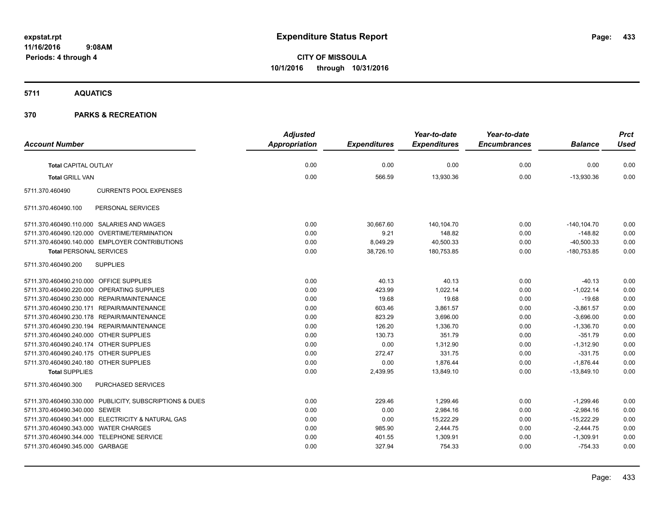### **5711 AQUATICS**

|                                                         | <b>Adjusted</b> |                     | Year-to-date        | Year-to-date        |                | <b>Prct</b> |
|---------------------------------------------------------|-----------------|---------------------|---------------------|---------------------|----------------|-------------|
| <b>Account Number</b>                                   | Appropriation   | <b>Expenditures</b> | <b>Expenditures</b> | <b>Encumbrances</b> | <b>Balance</b> | <b>Used</b> |
| <b>Total CAPITAL OUTLAY</b>                             | 0.00            | 0.00                | 0.00                | 0.00                | 0.00           | 0.00        |
|                                                         | 0.00            | 566.59              |                     |                     |                | 0.00        |
| <b>Total GRILL VAN</b>                                  |                 |                     | 13,930.36           | 0.00                | $-13,930.36$   |             |
| 5711.370.460490<br><b>CURRENTS POOL EXPENSES</b>        |                 |                     |                     |                     |                |             |
| 5711.370.460490.100<br>PERSONAL SERVICES                |                 |                     |                     |                     |                |             |
| 5711.370.460490.110.000 SALARIES AND WAGES              | 0.00            | 30,667.60           | 140,104.70          | 0.00                | $-140, 104.70$ | 0.00        |
| 5711.370.460490.120.000 OVERTIME/TERMINATION            | 0.00            | 9.21                | 148.82              | 0.00                | $-148.82$      | 0.00        |
| 5711.370.460490.140.000 EMPLOYER CONTRIBUTIONS          | 0.00            | 8,049.29            | 40,500.33           | 0.00                | $-40,500.33$   | 0.00        |
| <b>Total PERSONAL SERVICES</b>                          | 0.00            | 38,726.10           | 180,753.85          | 0.00                | $-180,753.85$  | 0.00        |
| <b>SUPPLIES</b><br>5711.370.460490.200                  |                 |                     |                     |                     |                |             |
| 5711.370.460490.210.000 OFFICE SUPPLIES                 | 0.00            | 40.13               | 40.13               | 0.00                | $-40.13$       | 0.00        |
| 5711.370.460490.220.000 OPERATING SUPPLIES              | 0.00            | 423.99              | 1,022.14            | 0.00                | $-1,022.14$    | 0.00        |
| 5711.370.460490.230.000 REPAIR/MAINTENANCE              | 0.00            | 19.68               | 19.68               | 0.00                | $-19.68$       | 0.00        |
| 5711.370.460490.230.171 REPAIR/MAINTENANCE              | 0.00            | 603.46              | 3,861.57            | 0.00                | $-3,861.57$    | 0.00        |
| 5711.370.460490.230.178 REPAIR/MAINTENANCE              | 0.00            | 823.29              | 3,696.00            | 0.00                | $-3,696.00$    | 0.00        |
| 5711.370.460490.230.194 REPAIR/MAINTENANCE              | 0.00            | 126.20              | 1,336.70            | 0.00                | $-1,336.70$    | 0.00        |
| 5711.370.460490.240.000 OTHER SUPPLIES                  | 0.00            | 130.73              | 351.79              | 0.00                | $-351.79$      | 0.00        |
| 5711.370.460490.240.174 OTHER SUPPLIES                  | 0.00            | 0.00                | 1,312.90            | 0.00                | $-1,312.90$    | 0.00        |
| 5711.370.460490.240.175 OTHER SUPPLIES                  | 0.00            | 272.47              | 331.75              | 0.00                | $-331.75$      | 0.00        |
| 5711.370.460490.240.180 OTHER SUPPLIES                  | 0.00            | 0.00                | 1,876.44            | 0.00                | $-1,876.44$    | 0.00        |
| <b>Total SUPPLIES</b>                                   | 0.00            | 2,439.95            | 13,849.10           | 0.00                | $-13,849.10$   | 0.00        |
| PURCHASED SERVICES<br>5711.370.460490.300               |                 |                     |                     |                     |                |             |
| 5711.370.460490.330.000 PUBLICITY, SUBSCRIPTIONS & DUES | 0.00            | 229.46              | 1,299.46            | 0.00                | $-1,299.46$    | 0.00        |
| 5711.370.460490.340.000 SEWER                           | 0.00            | 0.00                | 2,984.16            | 0.00                | $-2,984.16$    | 0.00        |
| 5711.370.460490.341.000 ELECTRICITY & NATURAL GAS       | 0.00            | 0.00                | 15,222.29           | 0.00                | $-15,222.29$   | 0.00        |
| 5711.370.460490.343.000 WATER CHARGES                   | 0.00            | 985.90              | 2,444.75            | 0.00                | $-2,444.75$    | 0.00        |
| 5711.370.460490.344.000 TELEPHONE SERVICE               | 0.00            | 401.55              | 1,309.91            | 0.00                | $-1,309.91$    | 0.00        |
| 5711.370.460490.345.000 GARBAGE                         | 0.00            | 327.94              | 754.33              | 0.00                | $-754.33$      | 0.00        |
|                                                         |                 |                     |                     |                     |                |             |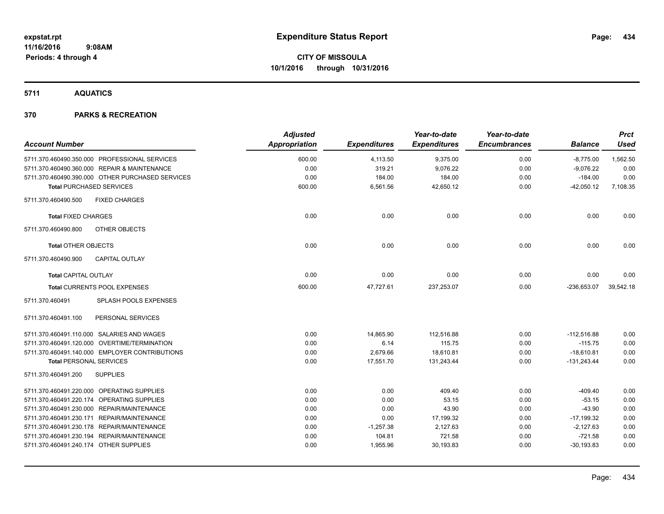**5711 AQUATICS**

|                                        |                                                  | <b>Adjusted</b> |                     | Year-to-date        | Year-to-date        |                | <b>Prct</b> |
|----------------------------------------|--------------------------------------------------|-----------------|---------------------|---------------------|---------------------|----------------|-------------|
| <b>Account Number</b>                  |                                                  | Appropriation   | <b>Expenditures</b> | <b>Expenditures</b> | <b>Encumbrances</b> | <b>Balance</b> | <b>Used</b> |
|                                        | 5711.370.460490.350.000 PROFESSIONAL SERVICES    | 600.00          | 4,113.50            | 9,375.00            | 0.00                | $-8,775.00$    | 1,562.50    |
|                                        | 5711.370.460490.360.000 REPAIR & MAINTENANCE     | 0.00            | 319.21              | 9,076.22            | 0.00                | $-9,076.22$    | 0.00        |
|                                        | 5711.370.460490.390.000 OTHER PURCHASED SERVICES | 0.00            | 184.00              | 184.00              | 0.00                | $-184.00$      | 0.00        |
| <b>Total PURCHASED SERVICES</b>        |                                                  | 600.00          | 6,561.56            | 42,650.12           | 0.00                | $-42,050.12$   | 7,108.35    |
| 5711.370.460490.500                    | <b>FIXED CHARGES</b>                             |                 |                     |                     |                     |                |             |
| <b>Total FIXED CHARGES</b>             |                                                  | 0.00            | 0.00                | 0.00                | 0.00                | 0.00           | 0.00        |
| 5711.370.460490.800                    | OTHER OBJECTS                                    |                 |                     |                     |                     |                |             |
| <b>Total OTHER OBJECTS</b>             |                                                  | 0.00            | 0.00                | 0.00                | 0.00                | 0.00           | 0.00        |
| 5711.370.460490.900                    | <b>CAPITAL OUTLAY</b>                            |                 |                     |                     |                     |                |             |
| <b>Total CAPITAL OUTLAY</b>            |                                                  | 0.00            | 0.00                | 0.00                | 0.00                | 0.00           | 0.00        |
|                                        | Total CURRENTS POOL EXPENSES                     | 600.00          | 47,727.61           | 237,253.07          | 0.00                | $-236,653.07$  | 39,542.18   |
| 5711.370.460491                        | SPLASH POOLS EXPENSES                            |                 |                     |                     |                     |                |             |
| 5711.370.460491.100                    | PERSONAL SERVICES                                |                 |                     |                     |                     |                |             |
|                                        | 5711.370.460491.110.000 SALARIES AND WAGES       | 0.00            | 14,865.90           | 112,516.88          | 0.00                | $-112,516.88$  | 0.00        |
|                                        | 5711.370.460491.120.000 OVERTIME/TERMINATION     | 0.00            | 6.14                | 115.75              | 0.00                | $-115.75$      | 0.00        |
|                                        | 5711.370.460491.140.000 EMPLOYER CONTRIBUTIONS   | 0.00            | 2,679.66            | 18,610.81           | 0.00                | $-18,610.81$   | 0.00        |
| <b>Total PERSONAL SERVICES</b>         |                                                  | 0.00            | 17,551.70           | 131,243.44          | 0.00                | $-131,243.44$  | 0.00        |
| 5711.370.460491.200                    | <b>SUPPLIES</b>                                  |                 |                     |                     |                     |                |             |
|                                        | 5711.370.460491.220.000 OPERATING SUPPLIES       | 0.00            | 0.00                | 409.40              | 0.00                | $-409.40$      | 0.00        |
|                                        | 5711.370.460491.220.174 OPERATING SUPPLIES       | 0.00            | 0.00                | 53.15               | 0.00                | $-53.15$       | 0.00        |
|                                        | 5711.370.460491.230.000 REPAIR/MAINTENANCE       | 0.00            | 0.00                | 43.90               | 0.00                | $-43.90$       | 0.00        |
|                                        | 5711.370.460491.230.171 REPAIR/MAINTENANCE       | 0.00            | 0.00                | 17,199.32           | 0.00                | $-17,199.32$   | 0.00        |
|                                        | 5711.370.460491.230.178 REPAIR/MAINTENANCE       | 0.00            | $-1,257.38$         | 2,127.63            | 0.00                | $-2,127.63$    | 0.00        |
|                                        | 5711.370.460491.230.194 REPAIR/MAINTENANCE       | 0.00            | 104.81              | 721.58              | 0.00                | $-721.58$      | 0.00        |
| 5711.370.460491.240.174 OTHER SUPPLIES |                                                  | 0.00            | 1,955.96            | 30,193.83           | 0.00                | $-30, 193.83$  | 0.00        |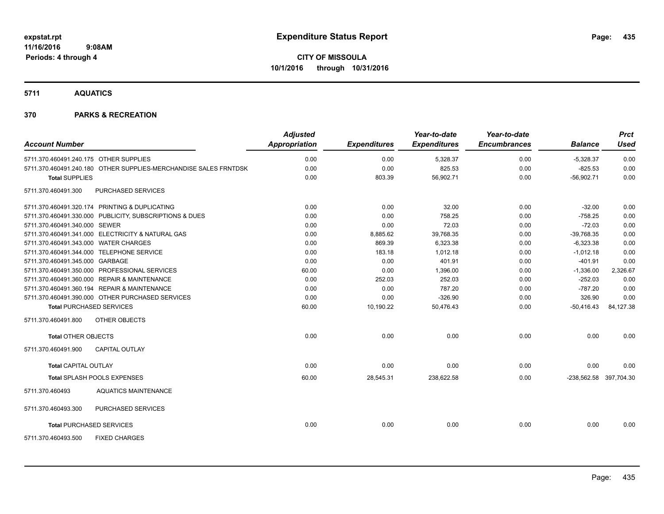**5711 AQUATICS**

| <b>Account Number</b>                  |                                                                  | <b>Adjusted</b><br><b>Appropriation</b> | <b>Expenditures</b> | Year-to-date<br><b>Expenditures</b> | Year-to-date<br><b>Encumbrances</b> | <b>Balance</b>         | <b>Prct</b><br><b>Used</b> |
|----------------------------------------|------------------------------------------------------------------|-----------------------------------------|---------------------|-------------------------------------|-------------------------------------|------------------------|----------------------------|
| 5711.370.460491.240.175 OTHER SUPPLIES |                                                                  | 0.00                                    | 0.00                | 5,328.37                            | 0.00                                | $-5,328.37$            | 0.00                       |
|                                        | 5711.370.460491.240.180 OTHER SUPPLIES-MERCHANDISE SALES FRNTDSK | 0.00                                    | 0.00                | 825.53                              | 0.00                                | $-825.53$              | 0.00                       |
| <b>Total SUPPLIES</b>                  |                                                                  | 0.00                                    | 803.39              | 56,902.71                           | 0.00                                | $-56,902.71$           | 0.00                       |
| 5711.370.460491.300                    | <b>PURCHASED SERVICES</b>                                        |                                         |                     |                                     |                                     |                        |                            |
|                                        | 5711.370.460491.320.174 PRINTING & DUPLICATING                   | 0.00                                    | 0.00                | 32.00                               | 0.00                                | $-32.00$               | 0.00                       |
|                                        | 5711.370.460491.330.000 PUBLICITY, SUBSCRIPTIONS & DUES          | 0.00                                    | 0.00                | 758.25                              | 0.00                                | $-758.25$              | 0.00                       |
| 5711.370.460491.340.000 SEWER          |                                                                  | 0.00                                    | 0.00                | 72.03                               | 0.00                                | $-72.03$               | 0.00                       |
|                                        | 5711.370.460491.341.000 ELECTRICITY & NATURAL GAS                | 0.00                                    | 8,885.62            | 39,768.35                           | 0.00                                | $-39,768.35$           | 0.00                       |
| 5711.370.460491.343.000 WATER CHARGES  |                                                                  | 0.00                                    | 869.39              | 6,323.38                            | 0.00                                | $-6,323.38$            | 0.00                       |
|                                        | 5711.370.460491.344.000 TELEPHONE SERVICE                        | 0.00                                    | 183.18              | 1,012.18                            | 0.00                                | $-1,012.18$            | 0.00                       |
| 5711.370.460491.345.000 GARBAGE        |                                                                  | 0.00                                    | 0.00                | 401.91                              | 0.00                                | $-401.91$              | 0.00                       |
|                                        | 5711.370.460491.350.000 PROFESSIONAL SERVICES                    | 60.00                                   | 0.00                | 1,396.00                            | 0.00                                | $-1,336.00$            | 2,326.67                   |
|                                        | 5711.370.460491.360.000 REPAIR & MAINTENANCE                     | 0.00                                    | 252.03              | 252.03                              | 0.00                                | $-252.03$              | 0.00                       |
|                                        | 5711.370.460491.360.194 REPAIR & MAINTENANCE                     | 0.00                                    | 0.00                | 787.20                              | 0.00                                | $-787.20$              | 0.00                       |
|                                        | 5711.370.460491.390.000 OTHER PURCHASED SERVICES                 | 0.00                                    | 0.00                | $-326.90$                           | 0.00                                | 326.90                 | 0.00                       |
| <b>Total PURCHASED SERVICES</b>        |                                                                  | 60.00                                   | 10,190.22           | 50,476.43                           | 0.00                                | $-50,416.43$           | 84,127.38                  |
| 5711.370.460491.800                    | OTHER OBJECTS                                                    |                                         |                     |                                     |                                     |                        |                            |
| <b>Total OTHER OBJECTS</b>             |                                                                  | 0.00                                    | 0.00                | 0.00                                | 0.00                                | 0.00                   | 0.00                       |
| 5711.370.460491.900                    | <b>CAPITAL OUTLAY</b>                                            |                                         |                     |                                     |                                     |                        |                            |
| <b>Total CAPITAL OUTLAY</b>            |                                                                  | 0.00                                    | 0.00                | 0.00                                | 0.00                                | 0.00                   | 0.00                       |
|                                        | Total SPLASH POOLS EXPENSES                                      | 60.00                                   | 28,545.31           | 238,622.58                          | 0.00                                | -238,562.58 397,704.30 |                            |
| 5711.370.460493                        | <b>AQUATICS MAINTENANCE</b>                                      |                                         |                     |                                     |                                     |                        |                            |
| 5711.370.460493.300                    | PURCHASED SERVICES                                               |                                         |                     |                                     |                                     |                        |                            |
| <b>Total PURCHASED SERVICES</b>        |                                                                  | 0.00                                    | 0.00                | 0.00                                | 0.00                                | 0.00                   | 0.00                       |
| 5711.370.460493.500                    | <b>FIXED CHARGES</b>                                             |                                         |                     |                                     |                                     |                        |                            |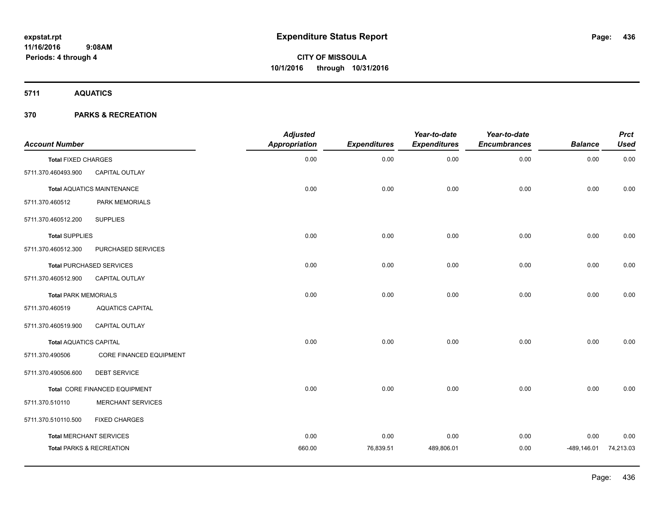**5711 AQUATICS**

| <b>Account Number</b>         |                                     | <b>Adjusted</b><br><b>Appropriation</b> | <b>Expenditures</b> | Year-to-date<br><b>Expenditures</b> | Year-to-date<br><b>Encumbrances</b> | <b>Balance</b> | <b>Prct</b><br><b>Used</b> |
|-------------------------------|-------------------------------------|-----------------------------------------|---------------------|-------------------------------------|-------------------------------------|----------------|----------------------------|
| <b>Total FIXED CHARGES</b>    |                                     | 0.00                                    | 0.00                | 0.00                                | 0.00                                | 0.00           | 0.00                       |
| 5711.370.460493.900           | CAPITAL OUTLAY                      |                                         |                     |                                     |                                     |                |                            |
|                               | <b>Total AQUATICS MAINTENANCE</b>   | 0.00                                    | 0.00                | 0.00                                | 0.00                                | 0.00           | 0.00                       |
| 5711.370.460512               | PARK MEMORIALS                      |                                         |                     |                                     |                                     |                |                            |
| 5711.370.460512.200           | <b>SUPPLIES</b>                     |                                         |                     |                                     |                                     |                |                            |
| <b>Total SUPPLIES</b>         |                                     | 0.00                                    | 0.00                | 0.00                                | 0.00                                | 0.00           | 0.00                       |
| 5711.370.460512.300           | PURCHASED SERVICES                  |                                         |                     |                                     |                                     |                |                            |
|                               | <b>Total PURCHASED SERVICES</b>     | 0.00                                    | 0.00                | 0.00                                | 0.00                                | 0.00           | 0.00                       |
| 5711.370.460512.900           | CAPITAL OUTLAY                      |                                         |                     |                                     |                                     |                |                            |
| <b>Total PARK MEMORIALS</b>   |                                     | 0.00                                    | 0.00                | 0.00                                | 0.00                                | 0.00           | 0.00                       |
| 5711.370.460519               | <b>AQUATICS CAPITAL</b>             |                                         |                     |                                     |                                     |                |                            |
| 5711.370.460519.900           | CAPITAL OUTLAY                      |                                         |                     |                                     |                                     |                |                            |
| <b>Total AQUATICS CAPITAL</b> |                                     | 0.00                                    | 0.00                | 0.00                                | 0.00                                | 0.00           | 0.00                       |
| 5711.370.490506               | CORE FINANCED EQUIPMENT             |                                         |                     |                                     |                                     |                |                            |
| 5711.370.490506.600           | <b>DEBT SERVICE</b>                 |                                         |                     |                                     |                                     |                |                            |
|                               | Total CORE FINANCED EQUIPMENT       | 0.00                                    | 0.00                | 0.00                                | 0.00                                | 0.00           | 0.00                       |
| 5711.370.510110               | <b>MERCHANT SERVICES</b>            |                                         |                     |                                     |                                     |                |                            |
| 5711.370.510110.500           | <b>FIXED CHARGES</b>                |                                         |                     |                                     |                                     |                |                            |
|                               | <b>Total MERCHANT SERVICES</b>      | 0.00                                    | 0.00                | 0.00                                | 0.00                                | 0.00           | 0.00                       |
|                               | <b>Total PARKS &amp; RECREATION</b> | 660.00                                  | 76,839.51           | 489,806.01                          | 0.00                                | $-489, 146.01$ | 74,213.03                  |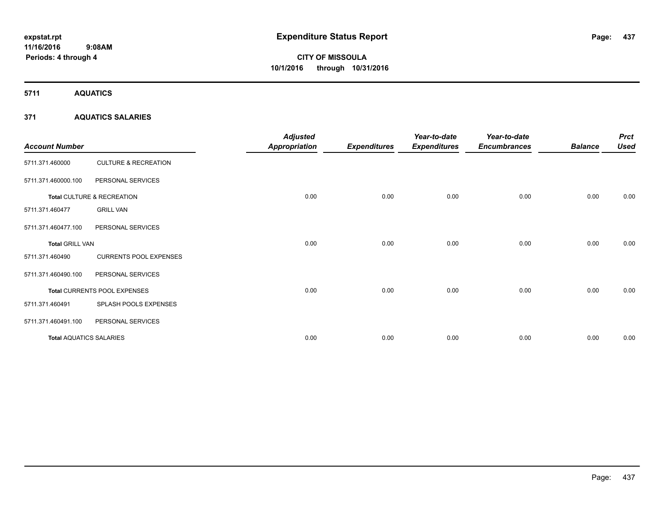**Periods: 4 through 4**

**CITY OF MISSOULA 10/1/2016 through 10/31/2016**

**5711 AQUATICS**

### **371 AQUATICS SALARIES**

 **9:08AM**

| <b>Account Number</b>          |                                 | <b>Adjusted</b><br><b>Appropriation</b> | <b>Expenditures</b> | Year-to-date<br><b>Expenditures</b> | Year-to-date<br><b>Encumbrances</b> | <b>Balance</b> | <b>Prct</b><br><b>Used</b> |
|--------------------------------|---------------------------------|-----------------------------------------|---------------------|-------------------------------------|-------------------------------------|----------------|----------------------------|
| 5711.371.460000                | <b>CULTURE &amp; RECREATION</b> |                                         |                     |                                     |                                     |                |                            |
| 5711.371.460000.100            | PERSONAL SERVICES               |                                         |                     |                                     |                                     |                |                            |
|                                | Total CULTURE & RECREATION      | 0.00                                    | 0.00                | 0.00                                | 0.00                                | 0.00           | 0.00                       |
| 5711.371.460477                | <b>GRILL VAN</b>                |                                         |                     |                                     |                                     |                |                            |
| 5711.371.460477.100            | PERSONAL SERVICES               |                                         |                     |                                     |                                     |                |                            |
| <b>Total GRILL VAN</b>         |                                 | 0.00                                    | 0.00                | 0.00                                | 0.00                                | 0.00           | 0.00                       |
| 5711.371.460490                | <b>CURRENTS POOL EXPENSES</b>   |                                         |                     |                                     |                                     |                |                            |
| 5711.371.460490.100            | PERSONAL SERVICES               |                                         |                     |                                     |                                     |                |                            |
|                                | Total CURRENTS POOL EXPENSES    | 0.00                                    | 0.00                | 0.00                                | 0.00                                | 0.00           | 0.00                       |
| 5711.371.460491                | SPLASH POOLS EXPENSES           |                                         |                     |                                     |                                     |                |                            |
| 5711.371.460491.100            | PERSONAL SERVICES               |                                         |                     |                                     |                                     |                |                            |
| <b>Total AQUATICS SALARIES</b> |                                 | 0.00                                    | 0.00                | 0.00                                | 0.00                                | 0.00           | 0.00                       |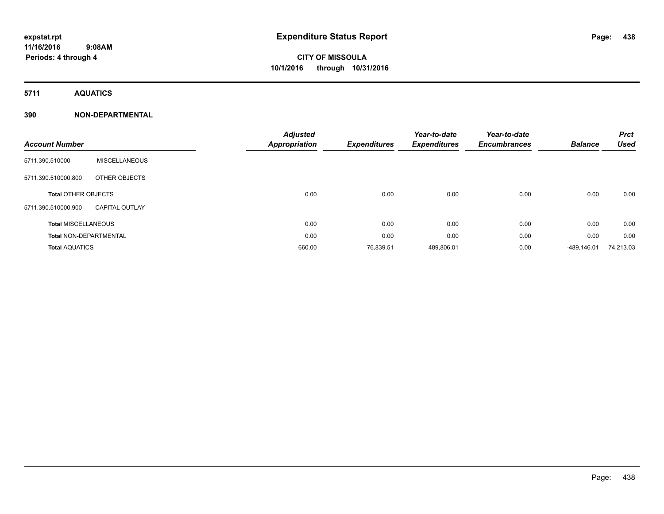**5711 AQUATICS**

| <b>Account Number</b>         |                       | <b>Adjusted</b><br>Appropriation | <b>Expenditures</b> | Year-to-date<br><b>Expenditures</b> | Year-to-date<br><b>Encumbrances</b> | <b>Balance</b> | <b>Prct</b><br><b>Used</b> |
|-------------------------------|-----------------------|----------------------------------|---------------------|-------------------------------------|-------------------------------------|----------------|----------------------------|
| 5711.390.510000               | <b>MISCELLANEOUS</b>  |                                  |                     |                                     |                                     |                |                            |
| 5711.390.510000.800           | OTHER OBJECTS         |                                  |                     |                                     |                                     |                |                            |
| <b>Total OTHER OBJECTS</b>    |                       | 0.00                             | 0.00                | 0.00                                | 0.00                                | 0.00           | 0.00                       |
| 5711.390.510000.900           | <b>CAPITAL OUTLAY</b> |                                  |                     |                                     |                                     |                |                            |
| <b>Total MISCELLANEOUS</b>    |                       | 0.00                             | 0.00                | 0.00                                | 0.00                                | 0.00           | 0.00                       |
| <b>Total NON-DEPARTMENTAL</b> |                       | 0.00                             | 0.00                | 0.00                                | 0.00                                | 0.00           | 0.00                       |
| <b>Total AQUATICS</b>         |                       | 660.00                           | 76,839.51           | 489,806.01                          | 0.00                                | -489.146.01    | 74,213.03                  |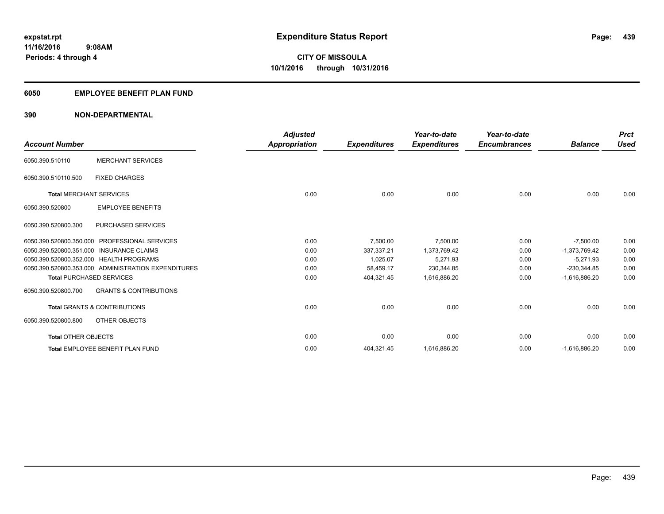### **6050 EMPLOYEE BENEFIT PLAN FUND**

| <b>Account Number</b>          |                                                     | <b>Adjusted</b><br>Appropriation | <b>Expenditures</b> | Year-to-date<br><b>Expenditures</b> | Year-to-date<br><b>Encumbrances</b> | <b>Balance</b>  | <b>Prct</b><br><b>Used</b> |
|--------------------------------|-----------------------------------------------------|----------------------------------|---------------------|-------------------------------------|-------------------------------------|-----------------|----------------------------|
| 6050.390.510110                | <b>MERCHANT SERVICES</b>                            |                                  |                     |                                     |                                     |                 |                            |
| 6050.390.510110.500            | <b>FIXED CHARGES</b>                                |                                  |                     |                                     |                                     |                 |                            |
| <b>Total MERCHANT SERVICES</b> |                                                     | 0.00                             | 0.00                | 0.00                                | 0.00                                | 0.00            | 0.00                       |
| 6050.390.520800                | <b>EMPLOYEE BENEFITS</b>                            |                                  |                     |                                     |                                     |                 |                            |
| 6050.390.520800.300            | PURCHASED SERVICES                                  |                                  |                     |                                     |                                     |                 |                            |
|                                | 6050.390.520800.350.000 PROFESSIONAL SERVICES       | 0.00                             | 7,500.00            | 7,500.00                            | 0.00                                | $-7,500.00$     | 0.00                       |
|                                | 6050.390.520800.351.000 INSURANCE CLAIMS            | 0.00                             | 337,337.21          | 1,373,769.42                        | 0.00                                | $-1,373,769.42$ | 0.00                       |
|                                | 6050.390.520800.352.000 HEALTH PROGRAMS             | 0.00                             | 1,025.07            | 5,271.93                            | 0.00                                | $-5,271.93$     | 0.00                       |
|                                | 6050.390.520800.353.000 ADMINISTRATION EXPENDITURES | 0.00                             | 58,459.17           | 230,344.85                          | 0.00                                | $-230,344.85$   | 0.00                       |
|                                | <b>Total PURCHASED SERVICES</b>                     | 0.00                             | 404,321.45          | 1,616,886.20                        | 0.00                                | $-1,616,886.20$ | 0.00                       |
| 6050.390.520800.700            | <b>GRANTS &amp; CONTRIBUTIONS</b>                   |                                  |                     |                                     |                                     |                 |                            |
|                                | <b>Total GRANTS &amp; CONTRIBUTIONS</b>             | 0.00                             | 0.00                | 0.00                                | 0.00                                | 0.00            | 0.00                       |
| 6050.390.520800.800            | OTHER OBJECTS                                       |                                  |                     |                                     |                                     |                 |                            |
| <b>Total OTHER OBJECTS</b>     |                                                     | 0.00                             | 0.00                | 0.00                                | 0.00                                | 0.00            | 0.00                       |
|                                | <b>Total EMPLOYEE BENEFIT PLAN FUND</b>             | 0.00                             | 404,321.45          | 1,616,886.20                        | 0.00                                | $-1,616,886.20$ | 0.00                       |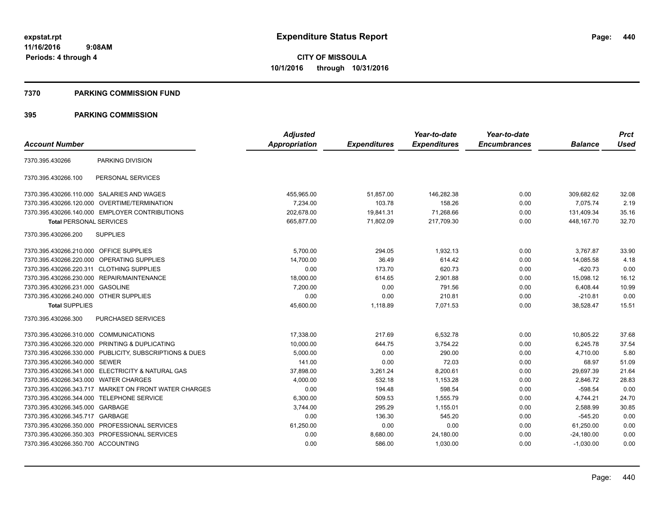#### **7370 PARKING COMMISSION FUND**

|                                           |                                                         | <b>Adjusted</b> |                     | Year-to-date        | Year-to-date        |                | <b>Prct</b> |
|-------------------------------------------|---------------------------------------------------------|-----------------|---------------------|---------------------|---------------------|----------------|-------------|
| <b>Account Number</b>                     |                                                         | Appropriation   | <b>Expenditures</b> | <b>Expenditures</b> | <b>Encumbrances</b> | <b>Balance</b> | <b>Used</b> |
| 7370.395.430266                           | PARKING DIVISION                                        |                 |                     |                     |                     |                |             |
| 7370.395.430266.100                       | PERSONAL SERVICES                                       |                 |                     |                     |                     |                |             |
|                                           | 7370.395.430266.110.000 SALARIES AND WAGES              | 455,965.00      | 51,857.00           | 146,282.38          | 0.00                | 309,682.62     | 32.08       |
|                                           | 7370.395.430266.120.000 OVERTIME/TERMINATION            | 7.234.00        | 103.78              | 158.26              | 0.00                | 7.075.74       | 2.19        |
|                                           | 7370.395.430266.140.000 EMPLOYER CONTRIBUTIONS          | 202,678.00      | 19,841.31           | 71,268.66           | 0.00                | 131,409.34     | 35.16       |
| <b>Total PERSONAL SERVICES</b>            |                                                         | 665,877.00      | 71,802.09           | 217,709.30          | 0.00                | 448, 167. 70   | 32.70       |
| 7370.395.430266.200                       | <b>SUPPLIES</b>                                         |                 |                     |                     |                     |                |             |
| 7370.395.430266.210.000 OFFICE SUPPLIES   |                                                         | 5,700.00        | 294.05              | 1,932.13            | 0.00                | 3,767.87       | 33.90       |
|                                           | 7370.395.430266.220.000 OPERATING SUPPLIES              | 14,700.00       | 36.49               | 614.42              | 0.00                | 14,085.58      | 4.18        |
| 7370.395.430266.220.311 CLOTHING SUPPLIES |                                                         | 0.00            | 173.70              | 620.73              | 0.00                | $-620.73$      | 0.00        |
|                                           | 7370.395.430266.230.000 REPAIR/MAINTENANCE              | 18,000.00       | 614.65              | 2,901.88            | 0.00                | 15,098.12      | 16.12       |
| 7370.395.430266.231.000 GASOLINE          |                                                         | 7,200.00        | 0.00                | 791.56              | 0.00                | 6,408.44       | 10.99       |
| 7370.395.430266.240.000 OTHER SUPPLIES    |                                                         | 0.00            | 0.00                | 210.81              | 0.00                | $-210.81$      | 0.00        |
| <b>Total SUPPLIES</b>                     |                                                         | 45,600.00       | 1,118.89            | 7,071.53            | 0.00                | 38,528.47      | 15.51       |
| 7370.395.430266.300                       | PURCHASED SERVICES                                      |                 |                     |                     |                     |                |             |
| 7370.395.430266.310.000 COMMUNICATIONS    |                                                         | 17,338.00       | 217.69              | 6,532.78            | 0.00                | 10,805.22      | 37.68       |
|                                           | 7370.395.430266.320.000 PRINTING & DUPLICATING          | 10,000.00       | 644.75              | 3,754.22            | 0.00                | 6,245.78       | 37.54       |
|                                           | 7370.395.430266.330.000 PUBLICITY, SUBSCRIPTIONS & DUES | 5,000.00        | 0.00                | 290.00              | 0.00                | 4,710.00       | 5.80        |
| 7370.395.430266.340.000 SEWER             |                                                         | 141.00          | 0.00                | 72.03               | 0.00                | 68.97          | 51.09       |
|                                           | 7370.395.430266.341.000 ELECTRICITY & NATURAL GAS       | 37,898.00       | 3,261.24            | 8,200.61            | 0.00                | 29.697.39      | 21.64       |
| 7370.395.430266.343.000 WATER CHARGES     |                                                         | 4,000.00        | 532.18              | 1,153.28            | 0.00                | 2,846.72       | 28.83       |
|                                           | 7370.395.430266.343.717 MARKET ON FRONT WATER CHARGES   | 0.00            | 194.48              | 598.54              | 0.00                | $-598.54$      | 0.00        |
| 7370.395.430266.344.000 TELEPHONE SERVICE |                                                         | 6,300.00        | 509.53              | 1,555.79            | 0.00                | 4,744.21       | 24.70       |
| 7370.395.430266.345.000 GARBAGE           |                                                         | 3,744.00        | 295.29              | 1,155.01            | 0.00                | 2,588.99       | 30.85       |
| 7370.395.430266.345.717 GARBAGE           |                                                         | 0.00            | 136.30              | 545.20              | 0.00                | $-545.20$      | 0.00        |
|                                           | 7370.395.430266.350.000 PROFESSIONAL SERVICES           | 61,250.00       | 0.00                | 0.00                | 0.00                | 61,250.00      | 0.00        |
|                                           | 7370.395.430266.350.303 PROFESSIONAL SERVICES           | 0.00            | 8,680.00            | 24,180.00           | 0.00                | $-24,180.00$   | 0.00        |
| 7370.395.430266.350.700 ACCOUNTING        |                                                         | 0.00            | 586.00              | 1,030.00            | 0.00                | $-1,030.00$    | 0.00        |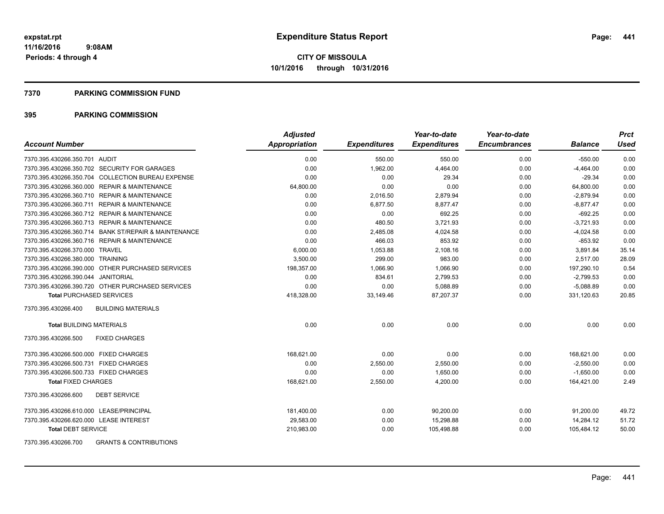#### **7370 PARKING COMMISSION FUND**

| <b>Account Number</b>                                    | <b>Adjusted</b><br>Appropriation | <b>Expenditures</b> | Year-to-date<br><b>Expenditures</b> | Year-to-date<br><b>Encumbrances</b> | <b>Balance</b> | <b>Prct</b><br><b>Used</b> |
|----------------------------------------------------------|----------------------------------|---------------------|-------------------------------------|-------------------------------------|----------------|----------------------------|
| 7370.395.430266.350.701 AUDIT                            | 0.00                             | 550.00              | 550.00                              | 0.00                                | $-550.00$      | 0.00                       |
| 7370.395.430266.350.702 SECURITY FOR GARAGES             | 0.00                             | 1,962.00            | 4,464.00                            | 0.00                                | $-4,464.00$    | 0.00                       |
| 7370.395.430266.350.704 COLLECTION BUREAU EXPENSE        | 0.00                             | 0.00                | 29.34                               | 0.00                                | $-29.34$       | 0.00                       |
| 7370.395.430266.360.000 REPAIR & MAINTENANCE             | 64,800.00                        | 0.00                | 0.00                                | 0.00                                | 64,800.00      | 0.00                       |
| 7370.395.430266.360.710 REPAIR & MAINTENANCE             | 0.00                             | 2,016.50            | 2,879.94                            | 0.00                                | $-2,879.94$    | 0.00                       |
| 7370.395.430266.360.711 REPAIR & MAINTENANCE             | 0.00                             | 6,877.50            | 8,877.47                            | 0.00                                | $-8,877.47$    | 0.00                       |
| 7370.395.430266.360.712 REPAIR & MAINTENANCE             | 0.00                             | 0.00                | 692.25                              | 0.00                                | $-692.25$      | 0.00                       |
| 7370.395.430266.360.713 REPAIR & MAINTENANCE             | 0.00                             | 480.50              | 3,721.93                            | 0.00                                | $-3,721.93$    | 0.00                       |
| 7370.395.430266.360.714 BANK ST/REPAIR & MAINTENANCE     | 0.00                             | 2,485.08            | 4,024.58                            | 0.00                                | $-4,024.58$    | 0.00                       |
| 7370.395.430266.360.716 REPAIR & MAINTENANCE             | 0.00                             | 466.03              | 853.92                              | 0.00                                | $-853.92$      | 0.00                       |
| 7370.395.430266.370.000 TRAVEL                           | 6,000.00                         | 1,053.88            | 2,108.16                            | 0.00                                | 3,891.84       | 35.14                      |
| 7370.395.430266.380.000 TRAINING                         | 3,500.00                         | 299.00              | 983.00                              | 0.00                                | 2,517.00       | 28.09                      |
| 7370.395.430266.390.000 OTHER PURCHASED SERVICES         | 198,357.00                       | 1.066.90            | 1.066.90                            | 0.00                                | 197,290.10     | 0.54                       |
| 7370.395.430266.390.044 JANITORIAL                       | 0.00                             | 834.61              | 2,799.53                            | 0.00                                | $-2,799.53$    | 0.00                       |
| 7370.395.430266.390.720 OTHER PURCHASED SERVICES         | 0.00                             | 0.00                | 5,088.89                            | 0.00                                | $-5,088.89$    | 0.00                       |
| <b>Total PURCHASED SERVICES</b>                          | 418,328.00                       | 33,149.46           | 87,207.37                           | 0.00                                | 331,120.63     | 20.85                      |
| 7370.395.430266.400<br><b>BUILDING MATERIALS</b>         |                                  |                     |                                     |                                     |                |                            |
| <b>Total BUILDING MATERIALS</b>                          | 0.00                             | 0.00                | 0.00                                | 0.00                                | 0.00           | 0.00                       |
| 7370.395.430266.500<br><b>FIXED CHARGES</b>              |                                  |                     |                                     |                                     |                |                            |
| 7370.395.430266.500.000 FIXED CHARGES                    | 168.621.00                       | 0.00                | 0.00                                | 0.00                                | 168,621.00     | 0.00                       |
| 7370.395.430266.500.731 FIXED CHARGES                    | 0.00                             | 2,550.00            | 2,550.00                            | 0.00                                | $-2,550.00$    | 0.00                       |
| 7370.395.430266.500.733 FIXED CHARGES                    | 0.00                             | 0.00                | 1,650.00                            | 0.00                                | $-1,650.00$    | 0.00                       |
| <b>Total FIXED CHARGES</b>                               | 168,621.00                       | 2,550.00            | 4,200.00                            | 0.00                                | 164,421.00     | 2.49                       |
| 7370.395.430266.600<br><b>DEBT SERVICE</b>               |                                  |                     |                                     |                                     |                |                            |
| 7370.395.430266.610.000 LEASE/PRINCIPAL                  | 181,400.00                       | 0.00                | 90,200.00                           | 0.00                                | 91,200.00      | 49.72                      |
| 7370.395.430266.620.000 LEASE INTEREST                   | 29,583.00                        | 0.00                | 15,298.88                           | 0.00                                | 14,284.12      | 51.72                      |
| <b>Total DEBT SERVICE</b>                                | 210,983.00                       | 0.00                | 105,498.88                          | 0.00                                | 105,484.12     | 50.00                      |
| <b>GRANTS &amp; CONTRIBUTIONS</b><br>7370.395.430266.700 |                                  |                     |                                     |                                     |                |                            |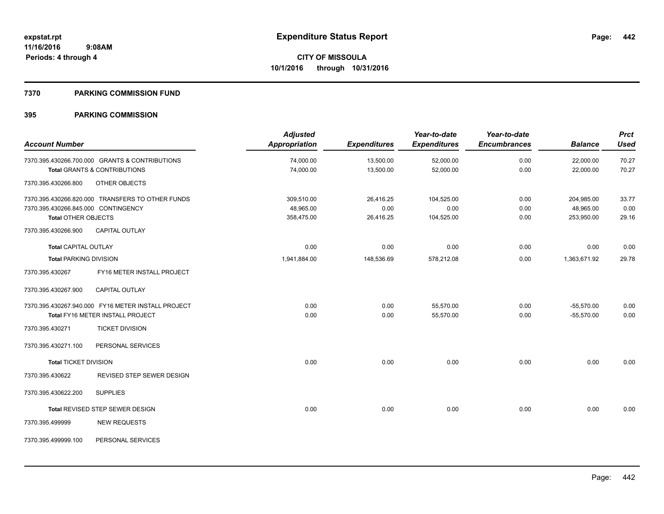#### **7370 PARKING COMMISSION FUND**

| <b>Account Number</b>               |                                                    | <b>Adjusted</b><br>Appropriation | <b>Expenditures</b> | Year-to-date<br><b>Expenditures</b> | Year-to-date<br><b>Encumbrances</b> | <b>Balance</b> | <b>Prct</b><br><b>Used</b> |
|-------------------------------------|----------------------------------------------------|----------------------------------|---------------------|-------------------------------------|-------------------------------------|----------------|----------------------------|
|                                     |                                                    |                                  |                     |                                     |                                     |                |                            |
|                                     | 7370.395.430266.700.000 GRANTS & CONTRIBUTIONS     | 74,000.00                        | 13,500.00           | 52,000.00                           | 0.00                                | 22,000.00      | 70.27                      |
|                                     | <b>Total GRANTS &amp; CONTRIBUTIONS</b>            | 74,000.00                        | 13,500.00           | 52,000.00                           | 0.00                                | 22,000.00      | 70.27                      |
| 7370.395.430266.800                 | OTHER OBJECTS                                      |                                  |                     |                                     |                                     |                |                            |
|                                     | 7370.395.430266.820.000 TRANSFERS TO OTHER FUNDS   | 309,510.00                       | 26,416.25           | 104,525.00                          | 0.00                                | 204,985.00     | 33.77                      |
| 7370.395.430266.845.000 CONTINGENCY |                                                    | 48,965.00                        | 0.00                | 0.00                                | 0.00                                | 48,965.00      | 0.00                       |
| <b>Total OTHER OBJECTS</b>          |                                                    | 358,475.00                       | 26,416.25           | 104,525.00                          | 0.00                                | 253,950.00     | 29.16                      |
| 7370.395.430266.900                 | <b>CAPITAL OUTLAY</b>                              |                                  |                     |                                     |                                     |                |                            |
| <b>Total CAPITAL OUTLAY</b>         |                                                    | 0.00                             | 0.00                | 0.00                                | 0.00                                | 0.00           | 0.00                       |
| <b>Total PARKING DIVISION</b>       |                                                    | 1,941,884.00                     | 148,536.69          | 578,212.08                          | 0.00                                | 1,363,671.92   | 29.78                      |
| 7370.395.430267                     | FY16 METER INSTALL PROJECT                         |                                  |                     |                                     |                                     |                |                            |
| 7370.395.430267.900                 | <b>CAPITAL OUTLAY</b>                              |                                  |                     |                                     |                                     |                |                            |
|                                     | 7370.395.430267.940.000 FY16 METER INSTALL PROJECT | 0.00                             | 0.00                | 55,570.00                           | 0.00                                | $-55,570.00$   | 0.00                       |
|                                     | Total FY16 METER INSTALL PROJECT                   | 0.00                             | 0.00                | 55,570.00                           | 0.00                                | $-55.570.00$   | 0.00                       |
| 7370.395.430271                     | <b>TICKET DIVISION</b>                             |                                  |                     |                                     |                                     |                |                            |
| 7370.395.430271.100                 | PERSONAL SERVICES                                  |                                  |                     |                                     |                                     |                |                            |
| <b>Total TICKET DIVISION</b>        |                                                    | 0.00                             | 0.00                | 0.00                                | 0.00                                | 0.00           | 0.00                       |
| 7370.395.430622                     | REVISED STEP SEWER DESIGN                          |                                  |                     |                                     |                                     |                |                            |
| 7370.395.430622.200                 | <b>SUPPLIES</b>                                    |                                  |                     |                                     |                                     |                |                            |
|                                     | Total REVISED STEP SEWER DESIGN                    | 0.00                             | 0.00                | 0.00                                | 0.00                                | 0.00           | 0.00                       |
| 7370.395.499999                     | <b>NEW REQUESTS</b>                                |                                  |                     |                                     |                                     |                |                            |
| 7370.395.499999.100                 | PERSONAL SERVICES                                  |                                  |                     |                                     |                                     |                |                            |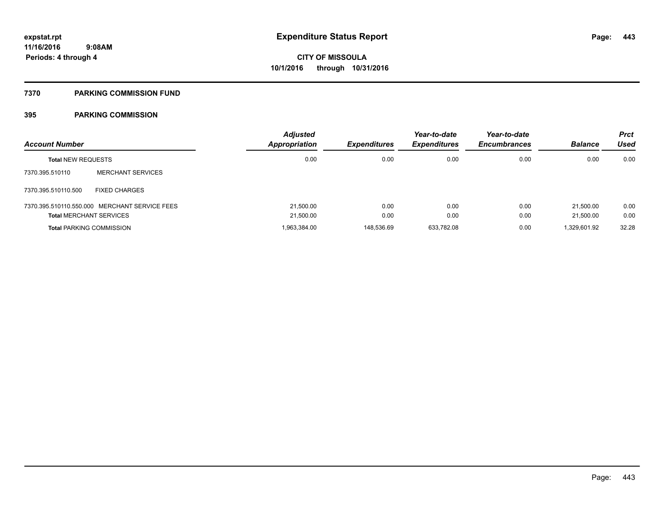#### **7370 PARKING COMMISSION FUND**

| <b>Account Number</b>          |                                               | <b>Adjusted</b><br>Appropriation | <b>Expenditures</b> | Year-to-date<br><b>Expenditures</b> | Year-to-date<br><b>Encumbrances</b> | <b>Balance</b> | <b>Prct</b><br>Used |
|--------------------------------|-----------------------------------------------|----------------------------------|---------------------|-------------------------------------|-------------------------------------|----------------|---------------------|
| <b>Total NEW REQUESTS</b>      |                                               | 0.00                             | 0.00                | 0.00                                | 0.00                                | 0.00           | 0.00                |
| 7370.395.510110                | <b>MERCHANT SERVICES</b>                      |                                  |                     |                                     |                                     |                |                     |
| 7370.395.510110.500            | <b>FIXED CHARGES</b>                          |                                  |                     |                                     |                                     |                |                     |
|                                | 7370.395.510110.550.000 MERCHANT SERVICE FEES | 21.500.00                        | 0.00                | 0.00                                | 0.00                                | 21.500.00      | 0.00                |
| <b>Total MERCHANT SERVICES</b> |                                               | 21,500.00                        | 0.00                | 0.00                                | 0.00                                | 21.500.00      | 0.00                |
|                                | <b>Total PARKING COMMISSION</b>               | 1,963,384.00                     | 148,536.69          | 633.782.08                          | 0.00                                | 1,329,601.92   | 32.28               |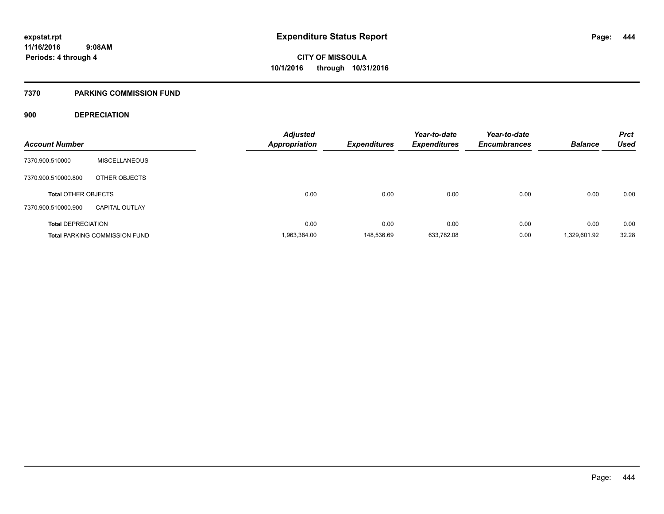### **7370 PARKING COMMISSION FUND**

### **900 DEPRECIATION**

| <b>Account Number</b>      |                                      | <b>Adjusted</b><br><b>Appropriation</b> | <b>Expenditures</b> | Year-to-date<br><b>Expenditures</b> | Year-to-date<br><b>Encumbrances</b> | <b>Balance</b> | <b>Prct</b><br><b>Used</b> |
|----------------------------|--------------------------------------|-----------------------------------------|---------------------|-------------------------------------|-------------------------------------|----------------|----------------------------|
|                            |                                      |                                         |                     |                                     |                                     |                |                            |
| 7370.900.510000            | <b>MISCELLANEOUS</b>                 |                                         |                     |                                     |                                     |                |                            |
| 7370.900.510000.800        | OTHER OBJECTS                        |                                         |                     |                                     |                                     |                |                            |
| <b>Total OTHER OBJECTS</b> |                                      | 0.00                                    | 0.00                | 0.00                                | 0.00                                | 0.00           | 0.00                       |
| 7370.900.510000.900        | <b>CAPITAL OUTLAY</b>                |                                         |                     |                                     |                                     |                |                            |
| <b>Total DEPRECIATION</b>  |                                      | 0.00                                    | 0.00                | 0.00                                | 0.00                                | 0.00           | 0.00                       |
|                            | <b>Total PARKING COMMISSION FUND</b> | 1,963,384.00                            | 148.536.69          | 633,782.08                          | 0.00                                | 1,329,601.92   | 32.28                      |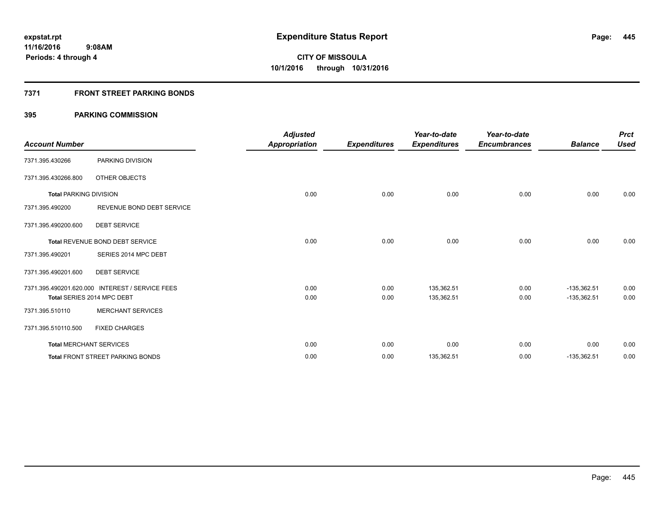### **7371 FRONT STREET PARKING BONDS**

| <b>Account Number</b>         |                                                 | <b>Adjusted</b><br><b>Appropriation</b> | <b>Expenditures</b> | Year-to-date<br><b>Expenditures</b> | Year-to-date<br><b>Encumbrances</b> | <b>Balance</b> | <b>Prct</b><br><b>Used</b> |
|-------------------------------|-------------------------------------------------|-----------------------------------------|---------------------|-------------------------------------|-------------------------------------|----------------|----------------------------|
| 7371.395.430266               | PARKING DIVISION                                |                                         |                     |                                     |                                     |                |                            |
| 7371.395.430266.800           | OTHER OBJECTS                                   |                                         |                     |                                     |                                     |                |                            |
| <b>Total PARKING DIVISION</b> |                                                 | 0.00                                    | 0.00                | 0.00                                | 0.00                                | 0.00           | 0.00                       |
| 7371.395.490200               | REVENUE BOND DEBT SERVICE                       |                                         |                     |                                     |                                     |                |                            |
| 7371.395.490200.600           | <b>DEBT SERVICE</b>                             |                                         |                     |                                     |                                     |                |                            |
|                               | <b>Total REVENUE BOND DEBT SERVICE</b>          | 0.00                                    | 0.00                | 0.00                                | 0.00                                | 0.00           | 0.00                       |
| 7371.395.490201               | SERIES 2014 MPC DEBT                            |                                         |                     |                                     |                                     |                |                            |
| 7371.395.490201.600           | <b>DEBT SERVICE</b>                             |                                         |                     |                                     |                                     |                |                            |
|                               | 7371.395.490201.620.000 INTEREST / SERVICE FEES | 0.00                                    | 0.00                | 135,362.51                          | 0.00                                | $-135,362.51$  | 0.00                       |
|                               | Total SERIES 2014 MPC DEBT                      | 0.00                                    | 0.00                | 135,362.51                          | 0.00                                | $-135,362.51$  | 0.00                       |
| 7371.395.510110               | <b>MERCHANT SERVICES</b>                        |                                         |                     |                                     |                                     |                |                            |
| 7371.395.510110.500           | <b>FIXED CHARGES</b>                            |                                         |                     |                                     |                                     |                |                            |
|                               | <b>Total MERCHANT SERVICES</b>                  | 0.00                                    | 0.00                | 0.00                                | 0.00                                | 0.00           | 0.00                       |
|                               | <b>Total FRONT STREET PARKING BONDS</b>         | 0.00                                    | 0.00                | 135,362.51                          | 0.00                                | $-135,362.51$  | 0.00                       |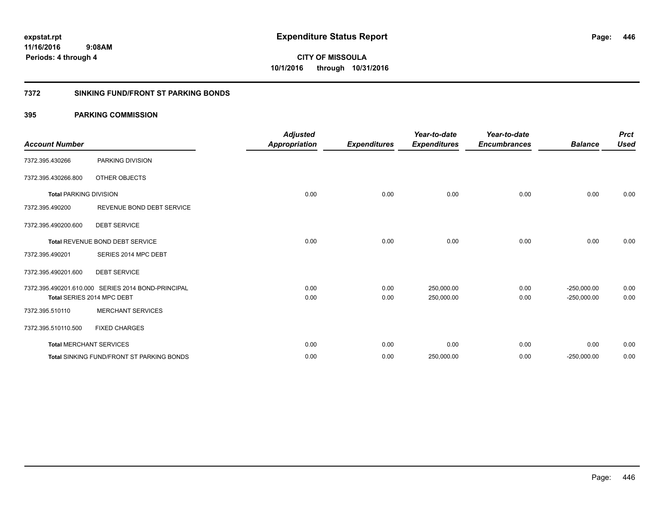**CITY OF MISSOULA 10/1/2016 through 10/31/2016**

#### **7372 SINKING FUND/FRONT ST PARKING BONDS**

| <b>Account Number</b>         |                                                    | <b>Adjusted</b><br><b>Appropriation</b> | <b>Expenditures</b> | Year-to-date<br><b>Expenditures</b> | Year-to-date<br><b>Encumbrances</b> | <b>Balance</b> | <b>Prct</b><br><b>Used</b> |
|-------------------------------|----------------------------------------------------|-----------------------------------------|---------------------|-------------------------------------|-------------------------------------|----------------|----------------------------|
| 7372.395.430266               | PARKING DIVISION                                   |                                         |                     |                                     |                                     |                |                            |
| 7372.395.430266.800           | OTHER OBJECTS                                      |                                         |                     |                                     |                                     |                |                            |
| <b>Total PARKING DIVISION</b> |                                                    | 0.00                                    | 0.00                | 0.00                                | 0.00                                | 0.00           | 0.00                       |
| 7372.395.490200               | REVENUE BOND DEBT SERVICE                          |                                         |                     |                                     |                                     |                |                            |
| 7372.395.490200.600           | <b>DEBT SERVICE</b>                                |                                         |                     |                                     |                                     |                |                            |
|                               | <b>Total REVENUE BOND DEBT SERVICE</b>             | 0.00                                    | 0.00                | 0.00                                | 0.00                                | 0.00           | 0.00                       |
| 7372.395.490201               | SERIES 2014 MPC DEBT                               |                                         |                     |                                     |                                     |                |                            |
| 7372.395.490201.600           | <b>DEBT SERVICE</b>                                |                                         |                     |                                     |                                     |                |                            |
|                               | 7372.395.490201.610.000 SERIES 2014 BOND-PRINCIPAL | 0.00                                    | 0.00                | 250,000.00                          | 0.00                                | $-250,000.00$  | 0.00                       |
|                               | Total SERIES 2014 MPC DEBT                         | 0.00                                    | 0.00                | 250,000.00                          | 0.00                                | $-250,000.00$  | 0.00                       |
| 7372.395.510110               | <b>MERCHANT SERVICES</b>                           |                                         |                     |                                     |                                     |                |                            |
| 7372.395.510110.500           | <b>FIXED CHARGES</b>                               |                                         |                     |                                     |                                     |                |                            |
|                               | <b>Total MERCHANT SERVICES</b>                     | 0.00                                    | 0.00                | 0.00                                | 0.00                                | 0.00           | 0.00                       |
|                               | <b>Total SINKING FUND/FRONT ST PARKING BONDS</b>   | 0.00                                    | 0.00                | 250,000.00                          | 0.00                                | $-250,000.00$  | 0.00                       |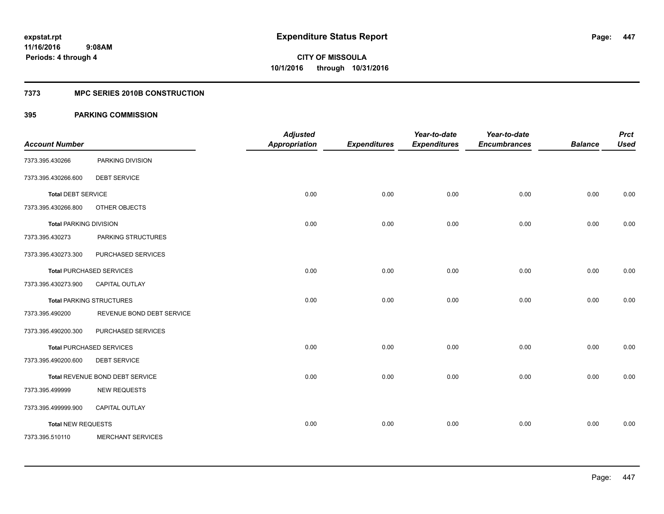#### **7373 MPC SERIES 2010B CONSTRUCTION**

| <b>Account Number</b>         |                                 | <b>Adjusted</b><br><b>Appropriation</b> | <b>Expenditures</b> | Year-to-date<br><b>Expenditures</b> | Year-to-date<br><b>Encumbrances</b> | <b>Balance</b> | <b>Prct</b><br><b>Used</b> |
|-------------------------------|---------------------------------|-----------------------------------------|---------------------|-------------------------------------|-------------------------------------|----------------|----------------------------|
| 7373.395.430266               | PARKING DIVISION                |                                         |                     |                                     |                                     |                |                            |
| 7373.395.430266.600           | <b>DEBT SERVICE</b>             |                                         |                     |                                     |                                     |                |                            |
| <b>Total DEBT SERVICE</b>     |                                 | 0.00                                    | 0.00                | 0.00                                | 0.00                                | 0.00           | 0.00                       |
| 7373.395.430266.800           | OTHER OBJECTS                   |                                         |                     |                                     |                                     |                |                            |
| <b>Total PARKING DIVISION</b> |                                 | 0.00                                    | 0.00                | 0.00                                | 0.00                                | 0.00           | 0.00                       |
| 7373.395.430273               | PARKING STRUCTURES              |                                         |                     |                                     |                                     |                |                            |
| 7373.395.430273.300           | PURCHASED SERVICES              |                                         |                     |                                     |                                     |                |                            |
|                               | <b>Total PURCHASED SERVICES</b> | 0.00                                    | 0.00                | 0.00                                | 0.00                                | 0.00           | 0.00                       |
| 7373.395.430273.900           | <b>CAPITAL OUTLAY</b>           |                                         |                     |                                     |                                     |                |                            |
|                               | <b>Total PARKING STRUCTURES</b> | 0.00                                    | 0.00                | 0.00                                | 0.00                                | 0.00           | 0.00                       |
| 7373.395.490200               | REVENUE BOND DEBT SERVICE       |                                         |                     |                                     |                                     |                |                            |
| 7373.395.490200.300           | PURCHASED SERVICES              |                                         |                     |                                     |                                     |                |                            |
|                               | <b>Total PURCHASED SERVICES</b> | 0.00                                    | 0.00                | 0.00                                | 0.00                                | 0.00           | 0.00                       |
| 7373.395.490200.600           | <b>DEBT SERVICE</b>             |                                         |                     |                                     |                                     |                |                            |
|                               | Total REVENUE BOND DEBT SERVICE | 0.00                                    | 0.00                | 0.00                                | 0.00                                | 0.00           | 0.00                       |
| 7373.395.499999               | <b>NEW REQUESTS</b>             |                                         |                     |                                     |                                     |                |                            |
| 7373.395.499999.900           | CAPITAL OUTLAY                  |                                         |                     |                                     |                                     |                |                            |
| <b>Total NEW REQUESTS</b>     |                                 | 0.00                                    | 0.00                | 0.00                                | 0.00                                | 0.00           | 0.00                       |
| 7373.395.510110               | <b>MERCHANT SERVICES</b>        |                                         |                     |                                     |                                     |                |                            |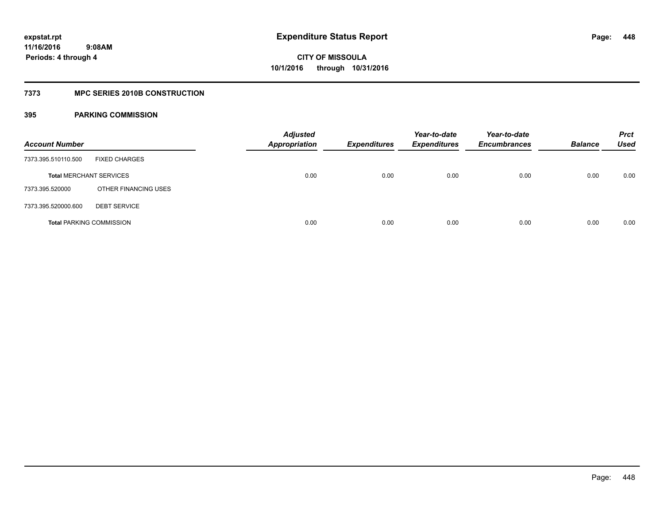### **7373 MPC SERIES 2010B CONSTRUCTION**

| <b>Account Number</b>           |                      | <b>Adjusted</b><br><b>Appropriation</b> | <b>Expenditures</b> | Year-to-date<br><b>Expenditures</b> | Year-to-date<br><b>Encumbrances</b> | <b>Balance</b> | <b>Prct</b><br>Used |
|---------------------------------|----------------------|-----------------------------------------|---------------------|-------------------------------------|-------------------------------------|----------------|---------------------|
| 7373.395.510110.500             | <b>FIXED CHARGES</b> |                                         |                     |                                     |                                     |                |                     |
| <b>Total MERCHANT SERVICES</b>  |                      | 0.00                                    | 0.00                | 0.00                                | 0.00                                | 0.00           | 0.00                |
| 7373.395.520000                 | OTHER FINANCING USES |                                         |                     |                                     |                                     |                |                     |
| 7373.395.520000.600             | <b>DEBT SERVICE</b>  |                                         |                     |                                     |                                     |                |                     |
| <b>Total PARKING COMMISSION</b> |                      | 0.00                                    | 0.00                | 0.00                                | 0.00                                | 0.00           | 0.00                |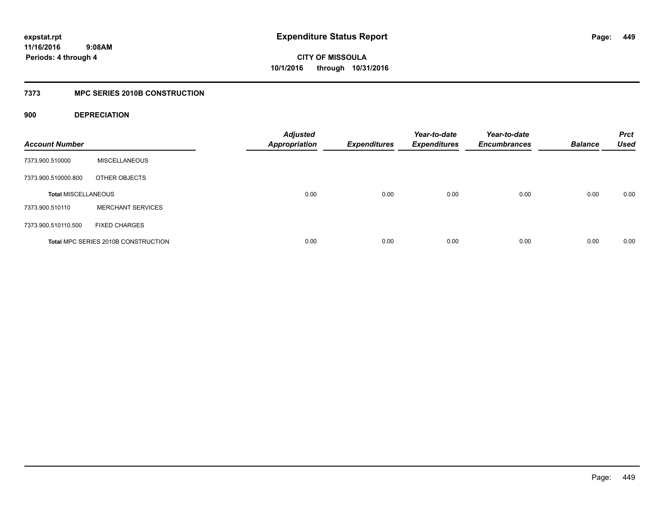### **7373 MPC SERIES 2010B CONSTRUCTION**

### **900 DEPRECIATION**

| <b>Account Number</b>      |                                     | <b>Adjusted</b><br><b>Appropriation</b> | <b>Expenditures</b> | Year-to-date<br><b>Expenditures</b> | Year-to-date<br><b>Encumbrances</b> | <b>Balance</b> | <b>Prct</b><br><b>Used</b> |
|----------------------------|-------------------------------------|-----------------------------------------|---------------------|-------------------------------------|-------------------------------------|----------------|----------------------------|
| 7373.900.510000            | <b>MISCELLANEOUS</b>                |                                         |                     |                                     |                                     |                |                            |
| 7373.900.510000.800        | OTHER OBJECTS                       |                                         |                     |                                     |                                     |                |                            |
| <b>Total MISCELLANEOUS</b> |                                     | 0.00                                    | 0.00                | 0.00                                | 0.00                                | 0.00           | 0.00                       |
| 7373.900.510110            | <b>MERCHANT SERVICES</b>            |                                         |                     |                                     |                                     |                |                            |
| 7373.900.510110.500        | <b>FIXED CHARGES</b>                |                                         |                     |                                     |                                     |                |                            |
|                            | Total MPC SERIES 2010B CONSTRUCTION | 0.00                                    | 0.00                | 0.00                                | 0.00                                | 0.00           | 0.00                       |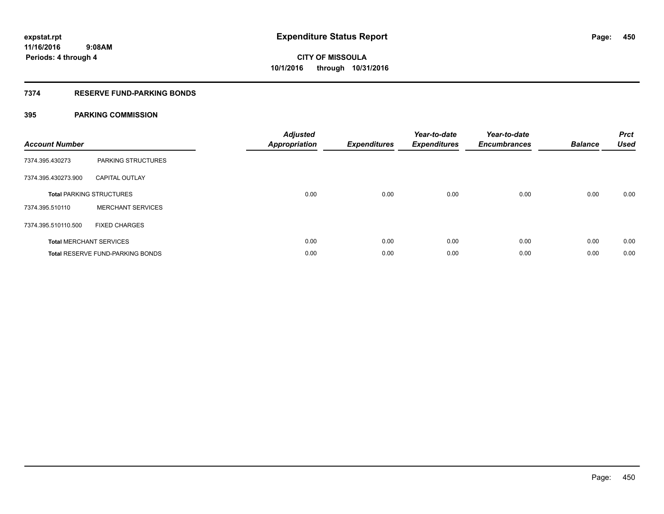### **7374 RESERVE FUND-PARKING BONDS**

| <b>Account Number</b> |                                         | <b>Adjusted</b><br><b>Appropriation</b> | <b>Expenditures</b> | Year-to-date<br><b>Expenditures</b> | Year-to-date<br><b>Encumbrances</b> | <b>Balance</b> | <b>Prct</b><br><b>Used</b> |
|-----------------------|-----------------------------------------|-----------------------------------------|---------------------|-------------------------------------|-------------------------------------|----------------|----------------------------|
| 7374.395.430273       | <b>PARKING STRUCTURES</b>               |                                         |                     |                                     |                                     |                |                            |
| 7374.395.430273.900   | <b>CAPITAL OUTLAY</b>                   |                                         |                     |                                     |                                     |                |                            |
|                       | <b>Total PARKING STRUCTURES</b>         | 0.00                                    | 0.00                | 0.00                                | 0.00                                | 0.00           | 0.00                       |
| 7374.395.510110       | <b>MERCHANT SERVICES</b>                |                                         |                     |                                     |                                     |                |                            |
| 7374.395.510110.500   | <b>FIXED CHARGES</b>                    |                                         |                     |                                     |                                     |                |                            |
|                       | <b>Total MERCHANT SERVICES</b>          | 0.00                                    | 0.00                | 0.00                                | 0.00                                | 0.00           | 0.00                       |
|                       | <b>Total RESERVE FUND-PARKING BONDS</b> | 0.00                                    | 0.00                | 0.00                                | 0.00                                | 0.00           | 0.00                       |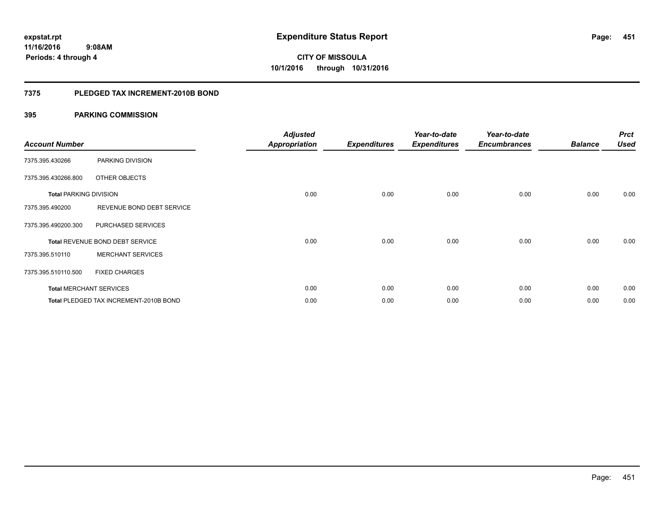#### **7375 PLEDGED TAX INCREMENT-2010B BOND**

| <b>Account Number</b>         |                                               | <b>Adjusted</b><br>Appropriation | <b>Expenditures</b> | Year-to-date<br><b>Expenditures</b> | Year-to-date<br><b>Encumbrances</b> | <b>Balance</b> | <b>Prct</b><br><b>Used</b> |
|-------------------------------|-----------------------------------------------|----------------------------------|---------------------|-------------------------------------|-------------------------------------|----------------|----------------------------|
| 7375.395.430266               | PARKING DIVISION                              |                                  |                     |                                     |                                     |                |                            |
| 7375.395.430266.800           | OTHER OBJECTS                                 |                                  |                     |                                     |                                     |                |                            |
| <b>Total PARKING DIVISION</b> |                                               | 0.00                             | 0.00                | 0.00                                | 0.00                                | 0.00           | 0.00                       |
| 7375.395.490200               | REVENUE BOND DEBT SERVICE                     |                                  |                     |                                     |                                     |                |                            |
| 7375.395.490200.300           | PURCHASED SERVICES                            |                                  |                     |                                     |                                     |                |                            |
|                               | Total REVENUE BOND DEBT SERVICE               | 0.00                             | 0.00                | 0.00                                | 0.00                                | 0.00           | 0.00                       |
| 7375.395.510110               | <b>MERCHANT SERVICES</b>                      |                                  |                     |                                     |                                     |                |                            |
| 7375.395.510110.500           | <b>FIXED CHARGES</b>                          |                                  |                     |                                     |                                     |                |                            |
|                               | <b>Total MERCHANT SERVICES</b>                | 0.00                             | 0.00                | 0.00                                | 0.00                                | 0.00           | 0.00                       |
|                               | <b>Total PLEDGED TAX INCREMENT-2010B BOND</b> | 0.00                             | 0.00                | 0.00                                | 0.00                                | 0.00           | 0.00                       |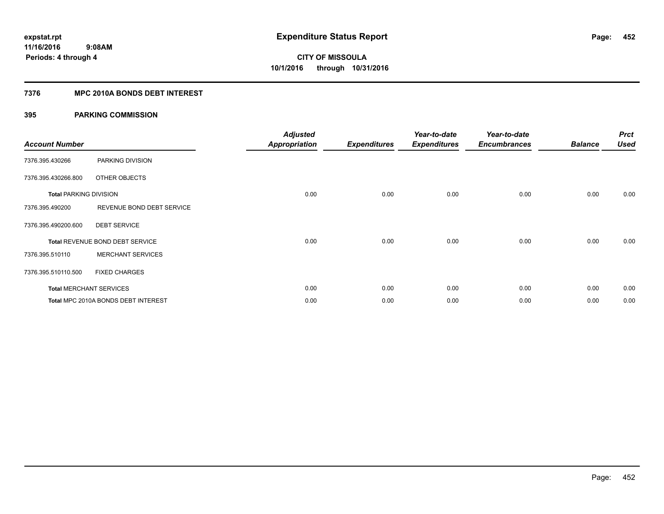### **7376 MPC 2010A BONDS DEBT INTEREST**

| <b>Account Number</b>         |                                     | <b>Adjusted</b><br><b>Appropriation</b> | <b>Expenditures</b> | Year-to-date<br><b>Expenditures</b> | Year-to-date<br><b>Encumbrances</b> | <b>Balance</b> | <b>Prct</b><br><b>Used</b> |
|-------------------------------|-------------------------------------|-----------------------------------------|---------------------|-------------------------------------|-------------------------------------|----------------|----------------------------|
| 7376.395.430266               | PARKING DIVISION                    |                                         |                     |                                     |                                     |                |                            |
| 7376.395.430266.800           | OTHER OBJECTS                       |                                         |                     |                                     |                                     |                |                            |
| <b>Total PARKING DIVISION</b> |                                     | 0.00                                    | 0.00                | 0.00                                | 0.00                                | 0.00           | 0.00                       |
| 7376.395.490200               | REVENUE BOND DEBT SERVICE           |                                         |                     |                                     |                                     |                |                            |
| 7376.395.490200.600           | <b>DEBT SERVICE</b>                 |                                         |                     |                                     |                                     |                |                            |
|                               | Total REVENUE BOND DEBT SERVICE     | 0.00                                    | 0.00                | 0.00                                | 0.00                                | 0.00           | 0.00                       |
| 7376.395.510110               | <b>MERCHANT SERVICES</b>            |                                         |                     |                                     |                                     |                |                            |
| 7376.395.510110.500           | <b>FIXED CHARGES</b>                |                                         |                     |                                     |                                     |                |                            |
|                               | <b>Total MERCHANT SERVICES</b>      | 0.00                                    | 0.00                | 0.00                                | 0.00                                | 0.00           | 0.00                       |
|                               | Total MPC 2010A BONDS DEBT INTEREST | 0.00                                    | 0.00                | 0.00                                | 0.00                                | 0.00           | 0.00                       |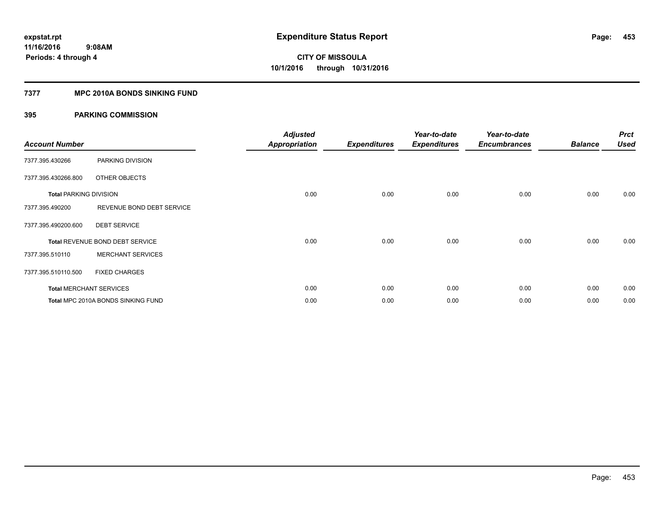#### **7377 MPC 2010A BONDS SINKING FUND**

| <b>Account Number</b>         |                                    | <b>Adjusted</b>      |                     | Year-to-date<br><b>Expenditures</b> | Year-to-date        | <b>Balance</b> | <b>Prct</b><br><b>Used</b> |
|-------------------------------|------------------------------------|----------------------|---------------------|-------------------------------------|---------------------|----------------|----------------------------|
|                               |                                    | <b>Appropriation</b> | <b>Expenditures</b> |                                     | <b>Encumbrances</b> |                |                            |
| 7377.395.430266               | PARKING DIVISION                   |                      |                     |                                     |                     |                |                            |
| 7377.395.430266.800           | OTHER OBJECTS                      |                      |                     |                                     |                     |                |                            |
| <b>Total PARKING DIVISION</b> |                                    | 0.00                 | 0.00                | 0.00                                | 0.00                | 0.00           | 0.00                       |
| 7377.395.490200               | REVENUE BOND DEBT SERVICE          |                      |                     |                                     |                     |                |                            |
| 7377.395.490200.600           | <b>DEBT SERVICE</b>                |                      |                     |                                     |                     |                |                            |
|                               | Total REVENUE BOND DEBT SERVICE    | 0.00                 | 0.00                | 0.00                                | 0.00                | 0.00           | 0.00                       |
| 7377.395.510110               | <b>MERCHANT SERVICES</b>           |                      |                     |                                     |                     |                |                            |
| 7377.395.510110.500           | <b>FIXED CHARGES</b>               |                      |                     |                                     |                     |                |                            |
|                               | <b>Total MERCHANT SERVICES</b>     | 0.00                 | 0.00                | 0.00                                | 0.00                | 0.00           | 0.00                       |
|                               | Total MPC 2010A BONDS SINKING FUND | 0.00                 | 0.00                | 0.00                                | 0.00                | 0.00           | 0.00                       |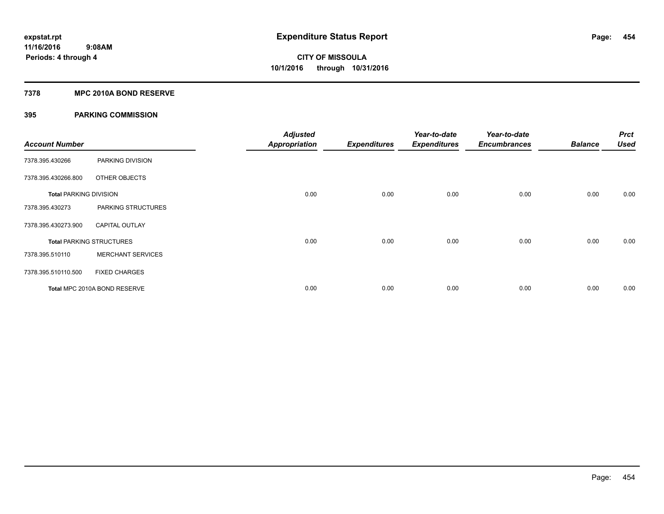#### **7378 MPC 2010A BOND RESERVE**

| <b>Account Number</b>         |                                 | <b>Adjusted</b><br><b>Appropriation</b> | <b>Expenditures</b> | Year-to-date<br><b>Expenditures</b> | Year-to-date<br><b>Encumbrances</b> | <b>Balance</b> | <b>Prct</b><br><b>Used</b> |
|-------------------------------|---------------------------------|-----------------------------------------|---------------------|-------------------------------------|-------------------------------------|----------------|----------------------------|
| 7378.395.430266               | PARKING DIVISION                |                                         |                     |                                     |                                     |                |                            |
| 7378.395.430266.800           | OTHER OBJECTS                   |                                         |                     |                                     |                                     |                |                            |
| <b>Total PARKING DIVISION</b> |                                 | 0.00                                    | 0.00                | 0.00                                | 0.00                                | 0.00           | 0.00                       |
| 7378.395.430273               | PARKING STRUCTURES              |                                         |                     |                                     |                                     |                |                            |
| 7378.395.430273.900           | <b>CAPITAL OUTLAY</b>           |                                         |                     |                                     |                                     |                |                            |
|                               | <b>Total PARKING STRUCTURES</b> | 0.00                                    | 0.00                | 0.00                                | 0.00                                | 0.00           | 0.00                       |
| 7378.395.510110               | <b>MERCHANT SERVICES</b>        |                                         |                     |                                     |                                     |                |                            |
| 7378.395.510110.500           | <b>FIXED CHARGES</b>            |                                         |                     |                                     |                                     |                |                            |
|                               | Total MPC 2010A BOND RESERVE    | 0.00                                    | 0.00                | 0.00                                | 0.00                                | 0.00           | 0.00                       |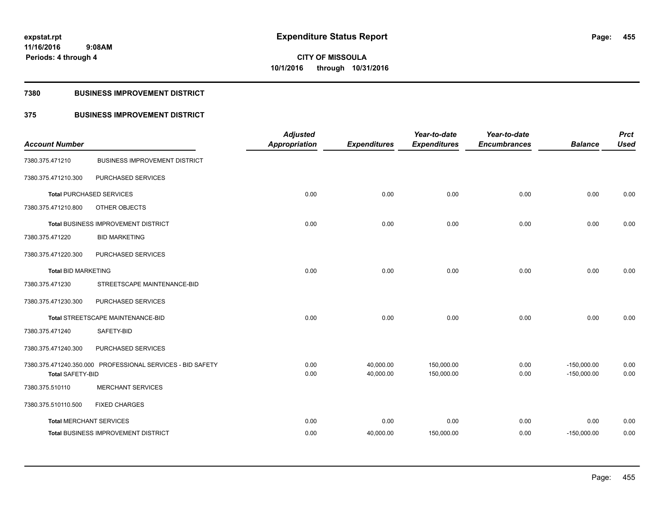#### **7380 BUSINESS IMPROVEMENT DISTRICT**

## **375 BUSINESS IMPROVEMENT DISTRICT**

| <b>Account Number</b>          |                                                            | <b>Adjusted</b><br><b>Appropriation</b> | <b>Expenditures</b>    | Year-to-date<br><b>Expenditures</b> | Year-to-date<br><b>Encumbrances</b> | <b>Balance</b>                 | <b>Prct</b><br><b>Used</b> |
|--------------------------------|------------------------------------------------------------|-----------------------------------------|------------------------|-------------------------------------|-------------------------------------|--------------------------------|----------------------------|
| 7380.375.471210                | <b>BUSINESS IMPROVEMENT DISTRICT</b>                       |                                         |                        |                                     |                                     |                                |                            |
| 7380.375.471210.300            | PURCHASED SERVICES                                         |                                         |                        |                                     |                                     |                                |                            |
|                                | <b>Total PURCHASED SERVICES</b>                            | 0.00                                    | 0.00                   | 0.00                                | 0.00                                | 0.00                           | 0.00                       |
| 7380.375.471210.800            | OTHER OBJECTS                                              |                                         |                        |                                     |                                     |                                |                            |
|                                | Total BUSINESS IMPROVEMENT DISTRICT                        | 0.00                                    | 0.00                   | 0.00                                | 0.00                                | 0.00                           | 0.00                       |
| 7380.375.471220                | <b>BID MARKETING</b>                                       |                                         |                        |                                     |                                     |                                |                            |
| 7380.375.471220.300            | PURCHASED SERVICES                                         |                                         |                        |                                     |                                     |                                |                            |
| <b>Total BID MARKETING</b>     |                                                            | 0.00                                    | 0.00                   | 0.00                                | 0.00                                | 0.00                           | 0.00                       |
| 7380.375.471230                | STREETSCAPE MAINTENANCE-BID                                |                                         |                        |                                     |                                     |                                |                            |
| 7380.375.471230.300            | PURCHASED SERVICES                                         |                                         |                        |                                     |                                     |                                |                            |
|                                | Total STREETSCAPE MAINTENANCE-BID                          | 0.00                                    | 0.00                   | 0.00                                | 0.00                                | 0.00                           | 0.00                       |
| 7380.375.471240                | SAFETY-BID                                                 |                                         |                        |                                     |                                     |                                |                            |
| 7380.375.471240.300            | PURCHASED SERVICES                                         |                                         |                        |                                     |                                     |                                |                            |
| <b>Total SAFETY-BID</b>        | 7380.375.471240.350.000 PROFESSIONAL SERVICES - BID SAFETY | 0.00<br>0.00                            | 40,000.00<br>40,000.00 | 150,000.00<br>150,000.00            | 0.00<br>0.00                        | $-150,000.00$<br>$-150,000.00$ | 0.00<br>0.00               |
| 7380.375.510110                | <b>MERCHANT SERVICES</b>                                   |                                         |                        |                                     |                                     |                                |                            |
| 7380.375.510110.500            | <b>FIXED CHARGES</b>                                       |                                         |                        |                                     |                                     |                                |                            |
| <b>Total MERCHANT SERVICES</b> |                                                            | 0.00                                    | 0.00                   | 0.00                                | 0.00                                | 0.00                           | 0.00                       |
|                                | Total BUSINESS IMPROVEMENT DISTRICT                        | 0.00                                    | 40,000.00              | 150,000.00                          | 0.00                                | $-150,000.00$                  | 0.00                       |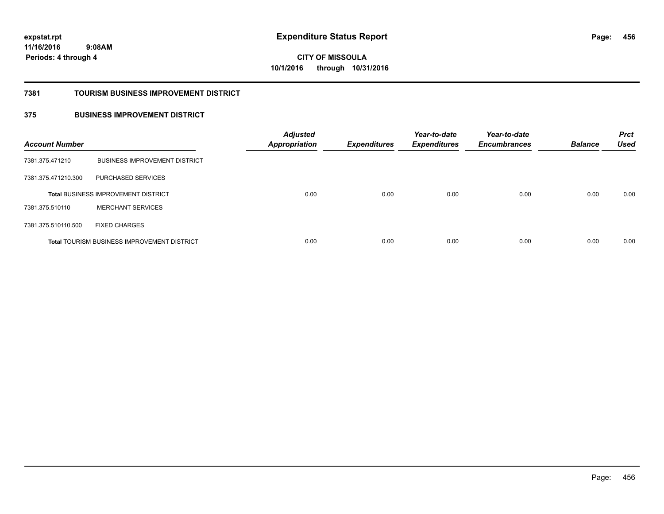**11/16/2016**

**456**

 **9:08AM Periods: 4 through 4**

**CITY OF MISSOULA 10/1/2016 through 10/31/2016**

#### **7381 TOURISM BUSINESS IMPROVEMENT DISTRICT**

### **375 BUSINESS IMPROVEMENT DISTRICT**

| <b>Account Number</b> |                                                    | <b>Adjusted</b><br><b>Appropriation</b> | <b>Expenditures</b> | Year-to-date<br><b>Expenditures</b> | Year-to-date<br><b>Encumbrances</b> | <b>Balance</b> | <b>Prct</b><br><b>Used</b> |
|-----------------------|----------------------------------------------------|-----------------------------------------|---------------------|-------------------------------------|-------------------------------------|----------------|----------------------------|
| 7381.375.471210       | <b>BUSINESS IMPROVEMENT DISTRICT</b>               |                                         |                     |                                     |                                     |                |                            |
| 7381.375.471210.300   | PURCHASED SERVICES                                 |                                         |                     |                                     |                                     |                |                            |
|                       | <b>Total BUSINESS IMPROVEMENT DISTRICT</b>         | 0.00                                    | 0.00                | 0.00                                | 0.00                                | 0.00           | 0.00                       |
| 7381.375.510110       | <b>MERCHANT SERVICES</b>                           |                                         |                     |                                     |                                     |                |                            |
| 7381.375.510110.500   | <b>FIXED CHARGES</b>                               |                                         |                     |                                     |                                     |                |                            |
|                       | <b>Total TOURISM BUSINESS IMPROVEMENT DISTRICT</b> | 0.00                                    | 0.00                | 0.00                                | 0.00                                | 0.00           | 0.00                       |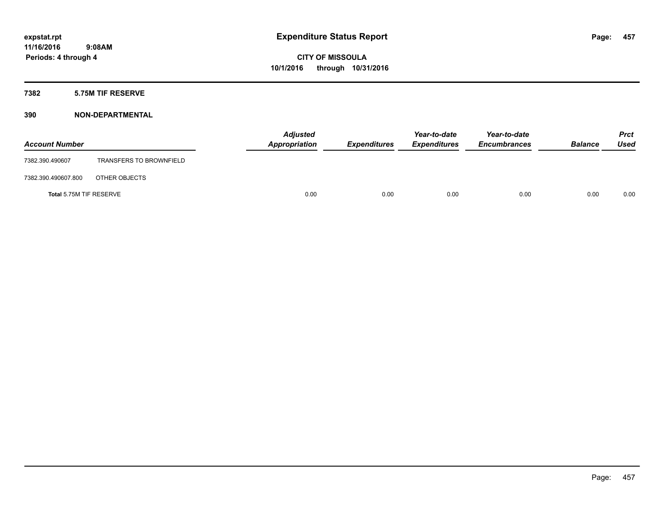### **7382 5.75M TIF RESERVE**

| <b>Account Number</b>   |                                | <b>Adjusted</b><br>Appropriation | <b>Expenditures</b> | Year-to-date<br><b>Expenditures</b> | Year-to-date<br><b>Encumbrances</b> | <b>Balance</b> | <b>Prct</b><br><b>Used</b> |
|-------------------------|--------------------------------|----------------------------------|---------------------|-------------------------------------|-------------------------------------|----------------|----------------------------|
| 7382.390.490607         | <b>TRANSFERS TO BROWNFIELD</b> |                                  |                     |                                     |                                     |                |                            |
| 7382.390.490607.800     | OTHER OBJECTS                  |                                  |                     |                                     |                                     |                |                            |
| Total 5.75M TIF RESERVE |                                | 0.00                             | 0.00                | 0.00                                | 0.00                                | 0.00           | 0.00                       |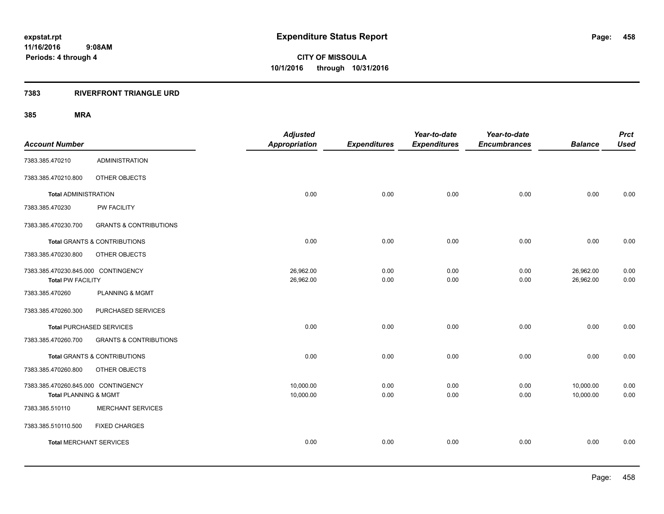#### **7383 RIVERFRONT TRIANGLE URD**

| <b>Account Number</b>                                           |                                   | <b>Adjusted</b><br><b>Appropriation</b> | <b>Expenditures</b> | Year-to-date<br><b>Expenditures</b> | Year-to-date<br><b>Encumbrances</b> | <b>Balance</b>         | <b>Prct</b><br><b>Used</b> |
|-----------------------------------------------------------------|-----------------------------------|-----------------------------------------|---------------------|-------------------------------------|-------------------------------------|------------------------|----------------------------|
| 7383.385.470210                                                 | <b>ADMINISTRATION</b>             |                                         |                     |                                     |                                     |                        |                            |
| 7383.385.470210.800                                             | OTHER OBJECTS                     |                                         |                     |                                     |                                     |                        |                            |
| <b>Total ADMINISTRATION</b>                                     |                                   | 0.00                                    | 0.00                | 0.00                                | 0.00                                | 0.00                   | 0.00                       |
| 7383.385.470230                                                 | PW FACILITY                       |                                         |                     |                                     |                                     |                        |                            |
| 7383.385.470230.700                                             | <b>GRANTS &amp; CONTRIBUTIONS</b> |                                         |                     |                                     |                                     |                        |                            |
|                                                                 | Total GRANTS & CONTRIBUTIONS      | 0.00                                    | 0.00                | 0.00                                | 0.00                                | 0.00                   | 0.00                       |
| 7383.385.470230.800                                             | OTHER OBJECTS                     |                                         |                     |                                     |                                     |                        |                            |
| 7383.385.470230.845.000 CONTINGENCY<br><b>Total PW FACILITY</b> |                                   | 26,962.00<br>26,962.00                  | 0.00<br>0.00        | 0.00<br>0.00                        | 0.00<br>0.00                        | 26,962.00<br>26,962.00 | 0.00<br>0.00               |
| 7383.385.470260                                                 | <b>PLANNING &amp; MGMT</b>        |                                         |                     |                                     |                                     |                        |                            |
| 7383.385.470260.300                                             | PURCHASED SERVICES                |                                         |                     |                                     |                                     |                        |                            |
|                                                                 | <b>Total PURCHASED SERVICES</b>   | 0.00                                    | 0.00                | 0.00                                | 0.00                                | 0.00                   | 0.00                       |
| 7383.385.470260.700                                             | <b>GRANTS &amp; CONTRIBUTIONS</b> |                                         |                     |                                     |                                     |                        |                            |
|                                                                 | Total GRANTS & CONTRIBUTIONS      | 0.00                                    | 0.00                | 0.00                                | 0.00                                | 0.00                   | 0.00                       |
| 7383.385.470260.800                                             | OTHER OBJECTS                     |                                         |                     |                                     |                                     |                        |                            |
| 7383.385.470260.845.000 CONTINGENCY<br>Total PLANNING & MGMT    |                                   | 10,000.00<br>10,000.00                  | 0.00<br>0.00        | 0.00<br>0.00                        | 0.00<br>0.00                        | 10,000.00<br>10,000.00 | 0.00<br>0.00               |
| 7383.385.510110                                                 | <b>MERCHANT SERVICES</b>          |                                         |                     |                                     |                                     |                        |                            |
| 7383.385.510110.500                                             | <b>FIXED CHARGES</b>              |                                         |                     |                                     |                                     |                        |                            |
| <b>Total MERCHANT SERVICES</b>                                  |                                   | 0.00                                    | 0.00                | 0.00                                | 0.00                                | 0.00                   | 0.00                       |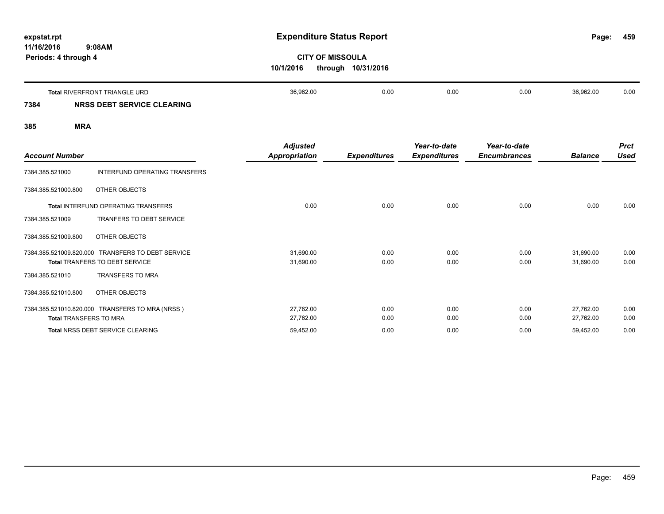| expstat.rpt<br>11/16/2016<br>9:08AM<br>Periods: 4 through 4 | <b>Expenditure Status Report</b> | <b>CITY OF MISSOULA</b> |      |      |           |      |  |
|-------------------------------------------------------------|----------------------------------|-------------------------|------|------|-----------|------|--|
|                                                             | 10/1/2016<br>through 10/31/2016  |                         |      |      |           |      |  |
| <b>Total RIVERFRONT TRIANGLE URD</b>                        | 36,962.00                        | 0.00                    | 0.00 | 0.00 | 36,962.00 | 0.00 |  |

## **7384 NRSS DEBT SERVICE CLEARING**

| <b>Account Number</b>         |                                                                                     | <b>Adjusted</b><br><b>Appropriation</b> | <b>Expenditures</b> | Year-to-date<br><b>Expenditures</b> | Year-to-date<br><b>Encumbrances</b> | <b>Balance</b>         | <b>Prct</b><br><b>Used</b> |
|-------------------------------|-------------------------------------------------------------------------------------|-----------------------------------------|---------------------|-------------------------------------|-------------------------------------|------------------------|----------------------------|
| 7384.385.521000               | INTERFUND OPERATING TRANSFERS                                                       |                                         |                     |                                     |                                     |                        |                            |
| 7384.385.521000.800           | OTHER OBJECTS                                                                       |                                         |                     |                                     |                                     |                        |                            |
|                               | <b>Total INTERFUND OPERATING TRANSFERS</b>                                          | 0.00                                    | 0.00                | 0.00                                | 0.00                                | 0.00                   | 0.00                       |
| 7384.385.521009               | <b>TRANFERS TO DEBT SERVICE</b>                                                     |                                         |                     |                                     |                                     |                        |                            |
| 7384.385.521009.800           | OTHER OBJECTS                                                                       |                                         |                     |                                     |                                     |                        |                            |
|                               | 7384.385.521009.820.000 TRANSFERS TO DEBT SERVICE<br>Total TRANFERS TO DEBT SERVICE | 31,690.00<br>31,690.00                  | 0.00<br>0.00        | 0.00<br>0.00                        | 0.00<br>0.00                        | 31,690.00<br>31,690.00 | 0.00<br>0.00               |
| 7384.385.521010               | <b>TRANSFERS TO MRA</b>                                                             |                                         |                     |                                     |                                     |                        |                            |
| 7384.385.521010.800           | OTHER OBJECTS                                                                       |                                         |                     |                                     |                                     |                        |                            |
| <b>Total TRANSFERS TO MRA</b> | 7384.385.521010.820.000 TRANSFERS TO MRA (NRSS)                                     | 27,762.00<br>27,762.00                  | 0.00<br>0.00        | 0.00<br>0.00                        | 0.00<br>0.00                        | 27,762.00<br>27,762.00 | 0.00<br>0.00               |
|                               | Total NRSS DEBT SERVICE CLEARING                                                    | 59,452.00                               | 0.00                | 0.00                                | 0.00                                | 59,452.00              | 0.00                       |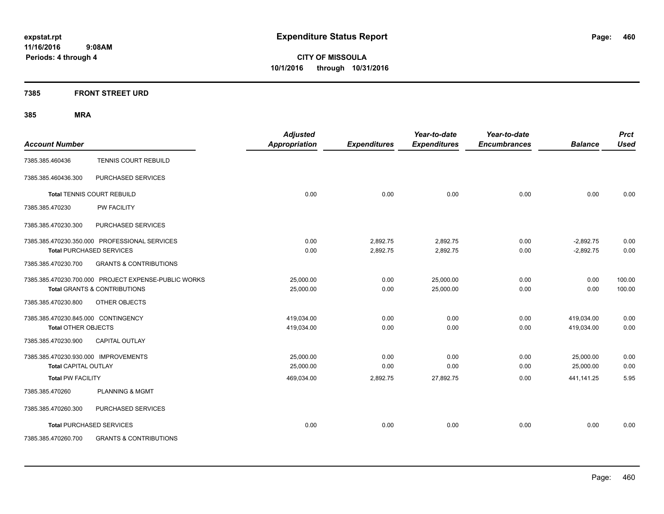### **7385 FRONT STREET URD**

| <b>Account Number</b>                |                                                      | <b>Adjusted</b><br><b>Appropriation</b> | <b>Expenditures</b> | Year-to-date<br><b>Expenditures</b> | Year-to-date<br><b>Encumbrances</b> | <b>Balance</b> | <b>Prct</b><br><b>Used</b> |
|--------------------------------------|------------------------------------------------------|-----------------------------------------|---------------------|-------------------------------------|-------------------------------------|----------------|----------------------------|
|                                      |                                                      |                                         |                     |                                     |                                     |                |                            |
| 7385.385.460436                      | <b>TENNIS COURT REBUILD</b>                          |                                         |                     |                                     |                                     |                |                            |
| 7385.385.460436.300                  | PURCHASED SERVICES                                   |                                         |                     |                                     |                                     |                |                            |
|                                      | <b>Total TENNIS COURT REBUILD</b>                    | 0.00                                    | 0.00                | 0.00                                | 0.00                                | 0.00           | 0.00                       |
| 7385.385.470230                      | PW FACILITY                                          |                                         |                     |                                     |                                     |                |                            |
| 7385.385.470230.300                  | PURCHASED SERVICES                                   |                                         |                     |                                     |                                     |                |                            |
|                                      | 7385.385.470230.350.000 PROFESSIONAL SERVICES        | 0.00                                    | 2,892.75            | 2,892.75                            | 0.00                                | $-2,892.75$    | 0.00                       |
|                                      | <b>Total PURCHASED SERVICES</b>                      | 0.00                                    | 2,892.75            | 2,892.75                            | 0.00                                | $-2,892.75$    | 0.00                       |
| 7385.385.470230.700                  | <b>GRANTS &amp; CONTRIBUTIONS</b>                    |                                         |                     |                                     |                                     |                |                            |
|                                      | 7385.385.470230.700.000 PROJECT EXPENSE-PUBLIC WORKS | 25,000.00                               | 0.00                | 25,000.00                           | 0.00                                | 0.00           | 100.00                     |
|                                      | <b>Total GRANTS &amp; CONTRIBUTIONS</b>              | 25,000.00                               | 0.00                | 25,000.00                           | 0.00                                | 0.00           | 100.00                     |
| 7385.385.470230.800                  | OTHER OBJECTS                                        |                                         |                     |                                     |                                     |                |                            |
| 7385.385.470230.845.000 CONTINGENCY  |                                                      | 419,034.00                              | 0.00                | 0.00                                | 0.00                                | 419,034.00     | 0.00                       |
| <b>Total OTHER OBJECTS</b>           |                                                      | 419,034.00                              | 0.00                | 0.00                                | 0.00                                | 419,034.00     | 0.00                       |
| 7385.385.470230.900                  | <b>CAPITAL OUTLAY</b>                                |                                         |                     |                                     |                                     |                |                            |
| 7385.385.470230.930.000 IMPROVEMENTS |                                                      | 25,000.00                               | 0.00                | 0.00                                | 0.00                                | 25,000.00      | 0.00                       |
| <b>Total CAPITAL OUTLAY</b>          |                                                      | 25,000.00                               | 0.00                | 0.00                                | 0.00                                | 25,000.00      | 0.00                       |
| <b>Total PW FACILITY</b>             |                                                      | 469,034.00                              | 2,892.75            | 27,892.75                           | 0.00                                | 441,141.25     | 5.95                       |
| 7385.385.470260                      | <b>PLANNING &amp; MGMT</b>                           |                                         |                     |                                     |                                     |                |                            |
| 7385.385.470260.300                  | PURCHASED SERVICES                                   |                                         |                     |                                     |                                     |                |                            |
|                                      | <b>Total PURCHASED SERVICES</b>                      | 0.00                                    | 0.00                | 0.00                                | 0.00                                | 0.00           | 0.00                       |
| 7385.385.470260.700                  | <b>GRANTS &amp; CONTRIBUTIONS</b>                    |                                         |                     |                                     |                                     |                |                            |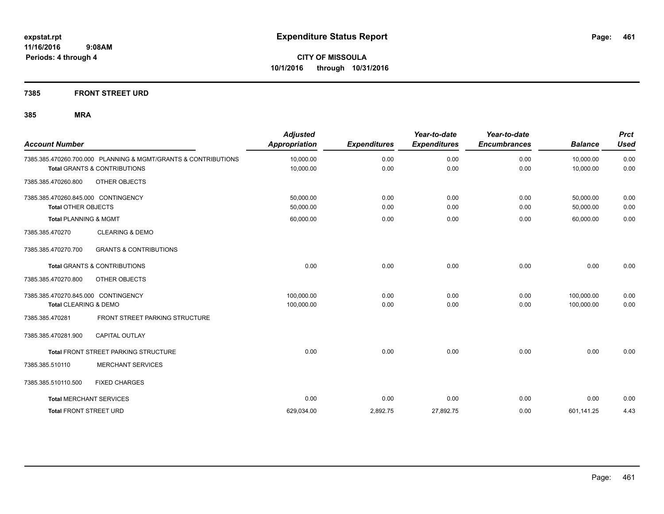### **7385 FRONT STREET URD**

| <b>Account Number</b>                                                   |                                                                | <b>Adjusted</b><br><b>Appropriation</b> | <b>Expenditures</b> | Year-to-date<br><b>Expenditures</b> | Year-to-date<br><b>Encumbrances</b> | <b>Balance</b>           | <b>Prct</b><br><b>Used</b> |
|-------------------------------------------------------------------------|----------------------------------------------------------------|-----------------------------------------|---------------------|-------------------------------------|-------------------------------------|--------------------------|----------------------------|
| <b>Total GRANTS &amp; CONTRIBUTIONS</b>                                 | 7385.385.470260.700.000 PLANNING & MGMT/GRANTS & CONTRIBUTIONS | 10,000.00<br>10,000.00                  | 0.00<br>0.00        | 0.00<br>0.00                        | 0.00<br>0.00                        | 10,000.00<br>10,000.00   | 0.00<br>0.00               |
| 7385.385.470260.800                                                     | OTHER OBJECTS                                                  |                                         |                     |                                     |                                     |                          |                            |
| 7385.385.470260.845.000 CONTINGENCY<br><b>Total OTHER OBJECTS</b>       |                                                                | 50,000.00<br>50,000.00                  | 0.00<br>0.00        | 0.00<br>0.00                        | 0.00<br>0.00                        | 50,000.00<br>50,000.00   | 0.00<br>0.00               |
| <b>Total PLANNING &amp; MGMT</b>                                        |                                                                | 60,000.00                               | 0.00                | 0.00                                | 0.00                                | 60,000.00                | 0.00                       |
| 7385.385.470270                                                         | <b>CLEARING &amp; DEMO</b>                                     |                                         |                     |                                     |                                     |                          |                            |
| 7385.385.470270.700                                                     | <b>GRANTS &amp; CONTRIBUTIONS</b>                              |                                         |                     |                                     |                                     |                          |                            |
| <b>Total GRANTS &amp; CONTRIBUTIONS</b>                                 |                                                                | 0.00                                    | 0.00                | 0.00                                | 0.00                                | 0.00                     | 0.00                       |
| 7385.385.470270.800                                                     | OTHER OBJECTS                                                  |                                         |                     |                                     |                                     |                          |                            |
| 7385.385.470270.845.000 CONTINGENCY<br><b>Total CLEARING &amp; DEMO</b> |                                                                | 100,000.00<br>100,000.00                | 0.00<br>0.00        | 0.00<br>0.00                        | 0.00<br>0.00                        | 100,000.00<br>100,000.00 | 0.00<br>0.00               |
| 7385.385.470281                                                         | FRONT STREET PARKING STRUCTURE                                 |                                         |                     |                                     |                                     |                          |                            |
| 7385.385.470281.900                                                     | <b>CAPITAL OUTLAY</b>                                          |                                         |                     |                                     |                                     |                          |                            |
|                                                                         | Total FRONT STREET PARKING STRUCTURE                           | 0.00                                    | 0.00                | 0.00                                | 0.00                                | 0.00                     | 0.00                       |
| 7385.385.510110                                                         | <b>MERCHANT SERVICES</b>                                       |                                         |                     |                                     |                                     |                          |                            |
| 7385.385.510110.500                                                     | <b>FIXED CHARGES</b>                                           |                                         |                     |                                     |                                     |                          |                            |
| <b>Total MERCHANT SERVICES</b>                                          |                                                                | 0.00                                    | 0.00                | 0.00                                | 0.00                                | 0.00                     | 0.00                       |
| <b>Total FRONT STREET URD</b>                                           |                                                                | 629,034.00                              | 2,892.75            | 27,892.75                           | 0.00                                | 601,141.25               | 4.43                       |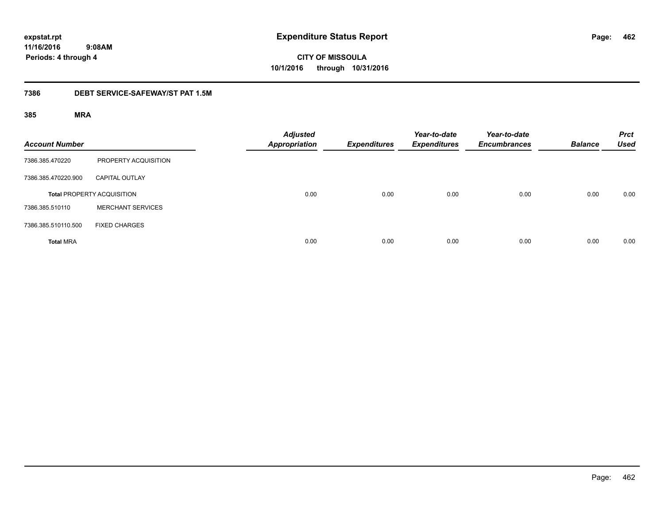# **CITY OF MISSOULA 10/1/2016 through 10/31/2016**

#### **7386 DEBT SERVICE-SAFEWAY/ST PAT 1.5M**

| <b>Account Number</b> |                                   | <b>Adjusted</b><br><b>Appropriation</b> | <b>Expenditures</b> | Year-to-date<br><b>Expenditures</b> | Year-to-date<br><b>Encumbrances</b> | <b>Balance</b> | <b>Prct</b><br><b>Used</b> |
|-----------------------|-----------------------------------|-----------------------------------------|---------------------|-------------------------------------|-------------------------------------|----------------|----------------------------|
| 7386.385.470220       | PROPERTY ACQUISITION              |                                         |                     |                                     |                                     |                |                            |
| 7386.385.470220.900   | <b>CAPITAL OUTLAY</b>             |                                         |                     |                                     |                                     |                |                            |
|                       | <b>Total PROPERTY ACQUISITION</b> | 0.00                                    | 0.00                | 0.00                                | 0.00                                | 0.00           | 0.00                       |
| 7386.385.510110       | <b>MERCHANT SERVICES</b>          |                                         |                     |                                     |                                     |                |                            |
| 7386.385.510110.500   | <b>FIXED CHARGES</b>              |                                         |                     |                                     |                                     |                |                            |
| <b>Total MRA</b>      |                                   | 0.00                                    | 0.00                | 0.00                                | 0.00                                | 0.00           | 0.00                       |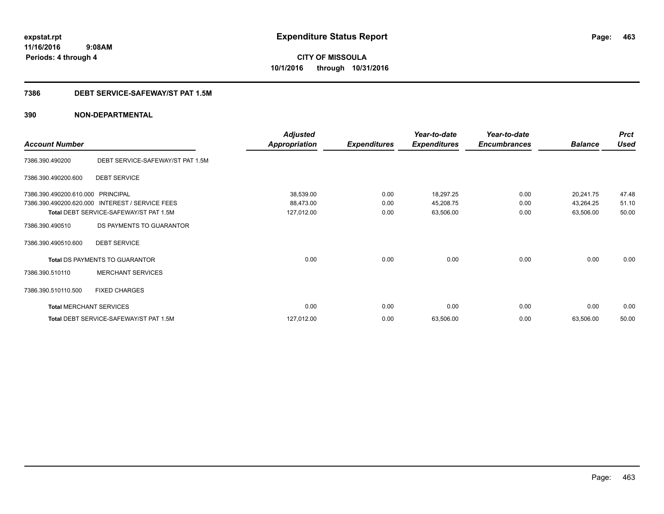**CITY OF MISSOULA 10/1/2016 through 10/31/2016**

### **7386 DEBT SERVICE-SAFEWAY/ST PAT 1.5M**

|                                |                                        | <b>Adjusted</b>      |                     | Year-to-date        | Year-to-date        |                | <b>Prct</b> |
|--------------------------------|----------------------------------------|----------------------|---------------------|---------------------|---------------------|----------------|-------------|
| <b>Account Number</b>          |                                        | <b>Appropriation</b> | <b>Expenditures</b> | <b>Expenditures</b> | <b>Encumbrances</b> | <b>Balance</b> | <b>Used</b> |
| 7386.390.490200                | DEBT SERVICE-SAFEWAY/ST PAT 1.5M       |                      |                     |                     |                     |                |             |
| 7386.390.490200.600            | <b>DEBT SERVICE</b>                    |                      |                     |                     |                     |                |             |
| 7386.390.490200.610.000        | <b>PRINCIPAL</b>                       | 38,539.00            | 0.00                | 18,297.25           | 0.00                | 20,241.75      | 47.48       |
| 7386.390.490200.620.000        | INTEREST / SERVICE FEES                | 88,473.00            | 0.00                | 45,208.75           | 0.00                | 43,264.25      | 51.10       |
|                                | Total DEBT SERVICE-SAFEWAY/ST PAT 1.5M | 127,012.00           | 0.00                | 63,506.00           | 0.00                | 63,506.00      | 50.00       |
| 7386.390.490510                | DS PAYMENTS TO GUARANTOR               |                      |                     |                     |                     |                |             |
| 7386.390.490510.600            | <b>DEBT SERVICE</b>                    |                      |                     |                     |                     |                |             |
|                                | Total DS PAYMENTS TO GUARANTOR         | 0.00                 | 0.00                | 0.00                | 0.00                | 0.00           | 0.00        |
| 7386.390.510110                | <b>MERCHANT SERVICES</b>               |                      |                     |                     |                     |                |             |
| 7386.390.510110.500            | <b>FIXED CHARGES</b>                   |                      |                     |                     |                     |                |             |
| <b>Total MERCHANT SERVICES</b> |                                        | 0.00                 | 0.00                | 0.00                | 0.00                | 0.00           | 0.00        |
|                                | Total DEBT SERVICE-SAFEWAY/ST PAT 1.5M | 127,012.00           | 0.00                | 63,506.00           | 0.00                | 63,506.00      | 50.00       |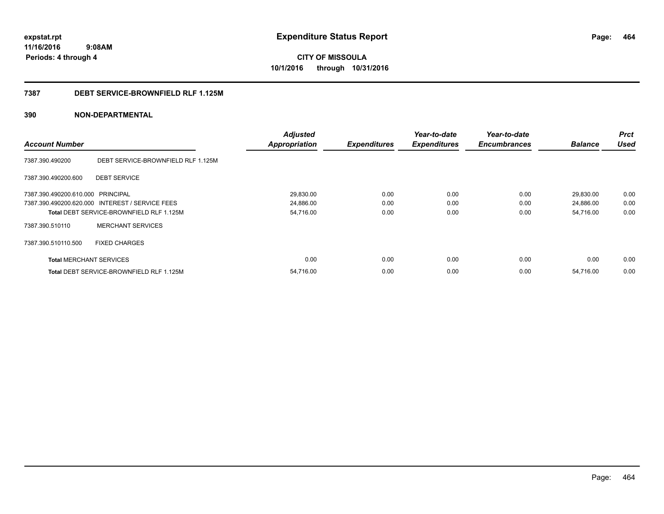**CITY OF MISSOULA 10/1/2016 through 10/31/2016**

#### **7387 DEBT SERVICE-BROWNFIELD RLF 1.125M**

|                                   |                                                 | <b>Adjusted</b>      |                     | Year-to-date        | Year-to-date        |                | <b>Prct</b> |
|-----------------------------------|-------------------------------------------------|----------------------|---------------------|---------------------|---------------------|----------------|-------------|
| <b>Account Number</b>             |                                                 | <b>Appropriation</b> | <b>Expenditures</b> | <b>Expenditures</b> | <b>Encumbrances</b> | <b>Balance</b> | <b>Used</b> |
| 7387.390.490200                   | DEBT SERVICE-BROWNFIELD RLF 1.125M              |                      |                     |                     |                     |                |             |
| 7387.390.490200.600               | <b>DEBT SERVICE</b>                             |                      |                     |                     |                     |                |             |
| 7387.390.490200.610.000 PRINCIPAL |                                                 | 29,830.00            | 0.00                | 0.00                | 0.00                | 29,830.00      | 0.00        |
|                                   | 7387.390.490200.620.000 INTEREST / SERVICE FEES | 24,886.00            | 0.00                | 0.00                | 0.00                | 24,886.00      | 0.00        |
|                                   | Total DEBT SERVICE-BROWNFIELD RLF 1.125M        | 54,716.00            | 0.00                | 0.00                | 0.00                | 54,716.00      | 0.00        |
| 7387.390.510110                   | <b>MERCHANT SERVICES</b>                        |                      |                     |                     |                     |                |             |
| 7387.390.510110.500               | <b>FIXED CHARGES</b>                            |                      |                     |                     |                     |                |             |
| <b>Total MERCHANT SERVICES</b>    |                                                 | 0.00                 | 0.00                | 0.00                | 0.00                | 0.00           | 0.00        |
|                                   | Total DEBT SERVICE-BROWNFIELD RLF 1.125M        | 54,716.00            | 0.00                | 0.00                | 0.00                | 54,716.00      | 0.00        |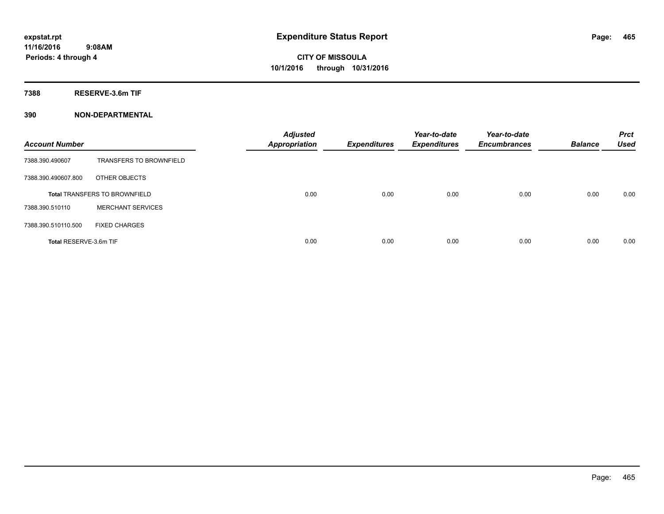**7388 RESERVE-3.6m TIF**

| <b>Account Number</b>  |                                      | <b>Adjusted</b><br><b>Appropriation</b> | <b>Expenditures</b> | Year-to-date<br><b>Expenditures</b> | Year-to-date<br><b>Encumbrances</b> | <b>Balance</b> | <b>Prct</b><br><b>Used</b> |
|------------------------|--------------------------------------|-----------------------------------------|---------------------|-------------------------------------|-------------------------------------|----------------|----------------------------|
| 7388.390.490607        | <b>TRANSFERS TO BROWNFIELD</b>       |                                         |                     |                                     |                                     |                |                            |
| 7388.390.490607.800    | OTHER OBJECTS                        |                                         |                     |                                     |                                     |                |                            |
|                        | <b>Total TRANSFERS TO BROWNFIELD</b> | 0.00                                    | 0.00                | 0.00                                | 0.00                                | 0.00           | 0.00                       |
| 7388.390.510110        | <b>MERCHANT SERVICES</b>             |                                         |                     |                                     |                                     |                |                            |
| 7388.390.510110.500    | <b>FIXED CHARGES</b>                 |                                         |                     |                                     |                                     |                |                            |
| Total RESERVE-3.6m TIF |                                      | 0.00                                    | 0.00                | 0.00                                | 0.00                                | 0.00           | 0.00                       |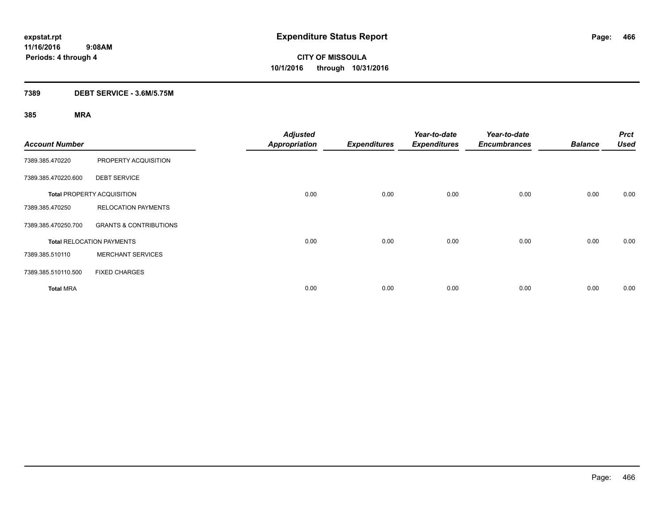### **7389 DEBT SERVICE - 3.6M/5.75M**

| <b>Account Number</b> |                                   | <b>Adjusted</b><br><b>Appropriation</b> | <b>Expenditures</b> | Year-to-date<br><b>Expenditures</b> | Year-to-date<br><b>Encumbrances</b> | <b>Balance</b> | <b>Prct</b><br><b>Used</b> |
|-----------------------|-----------------------------------|-----------------------------------------|---------------------|-------------------------------------|-------------------------------------|----------------|----------------------------|
| 7389.385.470220       | PROPERTY ACQUISITION              |                                         |                     |                                     |                                     |                |                            |
| 7389.385.470220.600   | <b>DEBT SERVICE</b>               |                                         |                     |                                     |                                     |                |                            |
|                       | <b>Total PROPERTY ACQUISITION</b> | 0.00                                    | 0.00                | 0.00                                | 0.00                                | 0.00           | 0.00                       |
| 7389.385.470250       | <b>RELOCATION PAYMENTS</b>        |                                         |                     |                                     |                                     |                |                            |
| 7389.385.470250.700   | <b>GRANTS &amp; CONTRIBUTIONS</b> |                                         |                     |                                     |                                     |                |                            |
|                       | <b>Total RELOCATION PAYMENTS</b>  | 0.00                                    | 0.00                | 0.00                                | 0.00                                | 0.00           | 0.00                       |
| 7389.385.510110       | <b>MERCHANT SERVICES</b>          |                                         |                     |                                     |                                     |                |                            |
| 7389.385.510110.500   | <b>FIXED CHARGES</b>              |                                         |                     |                                     |                                     |                |                            |
| <b>Total MRA</b>      |                                   | 0.00                                    | 0.00                | 0.00                                | 0.00                                | 0.00           | 0.00                       |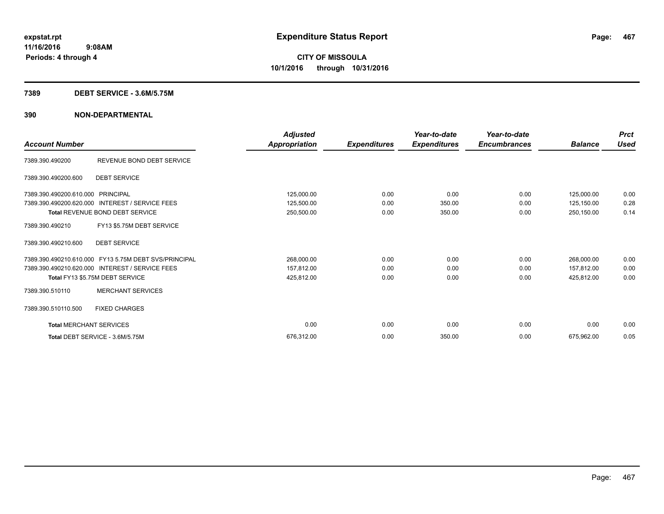#### **7389 DEBT SERVICE - 3.6M/5.75M**

| <b>Account Number</b>          |                                                       | <b>Adjusted</b><br>Appropriation | <b>Expenditures</b> | Year-to-date<br><b>Expenditures</b> | Year-to-date<br><b>Encumbrances</b> | <b>Balance</b> | <b>Prct</b><br><b>Used</b> |
|--------------------------------|-------------------------------------------------------|----------------------------------|---------------------|-------------------------------------|-------------------------------------|----------------|----------------------------|
| 7389.390.490200                | REVENUE BOND DEBT SERVICE                             |                                  |                     |                                     |                                     |                |                            |
| 7389.390.490200.600            | <b>DEBT SERVICE</b>                                   |                                  |                     |                                     |                                     |                |                            |
| 7389.390.490200.610.000        | PRINCIPAL                                             | 125,000.00                       | 0.00                | 0.00                                | 0.00                                | 125,000.00     | 0.00                       |
| 7389.390.490200.620.000        | <b>INTEREST / SERVICE FEES</b>                        | 125,500.00                       | 0.00                | 350.00                              | 0.00                                | 125,150.00     | 0.28                       |
|                                | Total REVENUE BOND DEBT SERVICE                       | 250,500.00                       | 0.00                | 350.00                              | 0.00                                | 250,150.00     | 0.14                       |
| 7389.390.490210                | FY13 \$5.75M DEBT SERVICE                             |                                  |                     |                                     |                                     |                |                            |
| 7389.390.490210.600            | <b>DEBT SERVICE</b>                                   |                                  |                     |                                     |                                     |                |                            |
|                                | 7389.390.490210.610.000 FY13 5.75M DEBT SVS/PRINCIPAL | 268,000.00                       | 0.00                | 0.00                                | 0.00                                | 268,000.00     | 0.00                       |
|                                | 7389.390.490210.620.000 INTEREST / SERVICE FEES       | 157,812.00                       | 0.00                | 0.00                                | 0.00                                | 157,812.00     | 0.00                       |
|                                | Total FY13 \$5.75M DEBT SERVICE                       | 425,812.00                       | 0.00                | 0.00                                | 0.00                                | 425,812.00     | 0.00                       |
| 7389.390.510110                | <b>MERCHANT SERVICES</b>                              |                                  |                     |                                     |                                     |                |                            |
| 7389.390.510110.500            | <b>FIXED CHARGES</b>                                  |                                  |                     |                                     |                                     |                |                            |
| <b>Total MERCHANT SERVICES</b> |                                                       | 0.00                             | 0.00                | 0.00                                | 0.00                                | 0.00           | 0.00                       |
|                                | Total DEBT SERVICE - 3.6M/5.75M                       | 676,312.00                       | 0.00                | 350.00                              | 0.00                                | 675.962.00     | 0.05                       |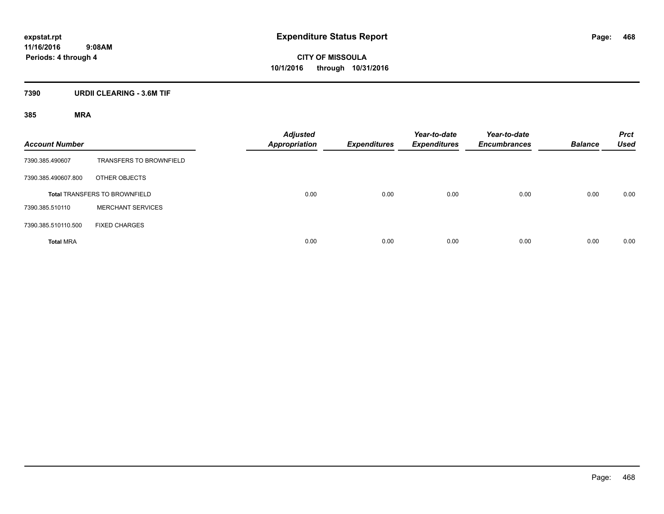**CITY OF MISSOULA 10/1/2016 through 10/31/2016**

### **7390 URDII CLEARING - 3.6M TIF**

| <b>Account Number</b>                |                                | <b>Adjusted</b><br><b>Appropriation</b> | <b>Expenditures</b> | Year-to-date<br><b>Expenditures</b> | Year-to-date<br><b>Encumbrances</b> | <b>Balance</b> | <b>Prct</b><br><b>Used</b> |
|--------------------------------------|--------------------------------|-----------------------------------------|---------------------|-------------------------------------|-------------------------------------|----------------|----------------------------|
| 7390.385.490607                      | <b>TRANSFERS TO BROWNFIELD</b> |                                         |                     |                                     |                                     |                |                            |
| 7390.385.490607.800                  | OTHER OBJECTS                  |                                         |                     |                                     |                                     |                |                            |
| <b>Total TRANSFERS TO BROWNFIELD</b> |                                | 0.00                                    | 0.00                | 0.00                                | 0.00                                | 0.00           | 0.00                       |
| 7390.385.510110                      | <b>MERCHANT SERVICES</b>       |                                         |                     |                                     |                                     |                |                            |
| 7390.385.510110.500                  | <b>FIXED CHARGES</b>           |                                         |                     |                                     |                                     |                |                            |
| <b>Total MRA</b>                     |                                | 0.00                                    | 0.00                | 0.00                                | 0.00                                | 0.00           | 0.00                       |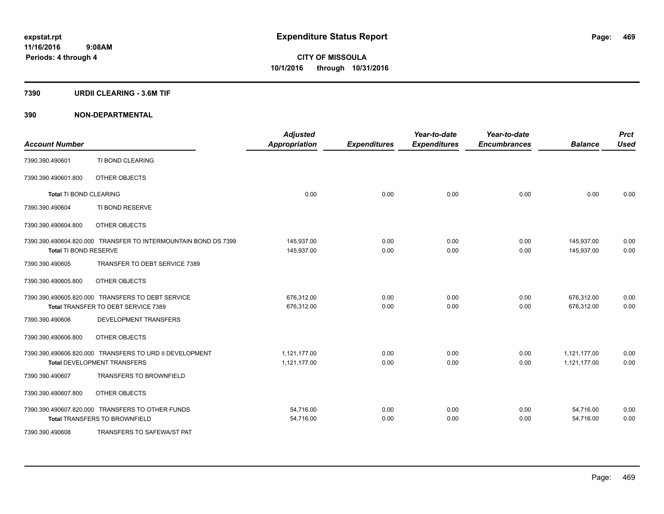### **7390 URDII CLEARING - 3.6M TIF**

# **390 NON-DEPARTMENTAL**

| <b>Account Number</b>  |                                                                                               | <b>Adjusted</b><br><b>Appropriation</b> | <b>Expenditures</b> | Year-to-date<br><b>Expenditures</b> | Year-to-date<br><b>Encumbrances</b> | <b>Balance</b>               | <b>Prct</b><br><b>Used</b> |
|------------------------|-----------------------------------------------------------------------------------------------|-----------------------------------------|---------------------|-------------------------------------|-------------------------------------|------------------------------|----------------------------|
| 7390.390.490601        | TI BOND CLEARING                                                                              |                                         |                     |                                     |                                     |                              |                            |
| 7390.390.490601.800    | OTHER OBJECTS                                                                                 |                                         |                     |                                     |                                     |                              |                            |
| Total TI BOND CLEARING |                                                                                               | 0.00                                    | 0.00                | 0.00                                | 0.00                                | 0.00                         | 0.00                       |
| 7390.390.490604        | TI BOND RESERVE                                                                               |                                         |                     |                                     |                                     |                              |                            |
| 7390.390.490604.800    | OTHER OBJECTS                                                                                 |                                         |                     |                                     |                                     |                              |                            |
| Total TI BOND RESERVE  | 7390.390.490604.820.000 TRANSFER TO INTERMOUNTAIN BOND DS 7399                                | 145,937.00<br>145,937.00                | 0.00<br>0.00        | 0.00<br>0.00                        | 0.00<br>0.00                        | 145,937.00<br>145.937.00     | 0.00<br>0.00               |
| 7390.390.490605        | TRANSFER TO DEBT SERVICE 7389                                                                 |                                         |                     |                                     |                                     |                              |                            |
| 7390.390.490605.800    | OTHER OBJECTS                                                                                 |                                         |                     |                                     |                                     |                              |                            |
|                        | 7390.390.490605.820.000 TRANSFERS TO DEBT SERVICE<br>Total TRANSFER TO DEBT SERVICE 7389      | 676,312.00<br>676.312.00                | 0.00<br>0.00        | 0.00<br>0.00                        | 0.00<br>0.00                        | 676,312.00<br>676.312.00     | 0.00<br>0.00               |
| 7390.390.490606        | <b>DEVELOPMENT TRANSFERS</b>                                                                  |                                         |                     |                                     |                                     |                              |                            |
| 7390.390.490606.800    | OTHER OBJECTS                                                                                 |                                         |                     |                                     |                                     |                              |                            |
|                        | 7390.390.490606.820.000 TRANSFERS TO URD II DEVELOPMENT<br><b>Total DEVELOPMENT TRANSFERS</b> | 1.121.177.00<br>1,121,177.00            | 0.00<br>0.00        | 0.00<br>0.00                        | 0.00<br>0.00                        | 1,121,177.00<br>1,121,177.00 | 0.00<br>0.00               |
| 7390.390.490607        | <b>TRANSFERS TO BROWNFIELD</b>                                                                |                                         |                     |                                     |                                     |                              |                            |
| 7390.390.490607.800    | OTHER OBJECTS                                                                                 |                                         |                     |                                     |                                     |                              |                            |
|                        | 7390.390.490607.820.000 TRANSFERS TO OTHER FUNDS<br><b>Total TRANSFERS TO BROWNFIELD</b>      | 54,716.00<br>54,716.00                  | 0.00<br>0.00        | 0.00<br>0.00                        | 0.00<br>0.00                        | 54,716.00<br>54,716.00       | 0.00<br>0.00               |
| 7390.390.490608        | TRANSFERS TO SAFEWA/ST PAT                                                                    |                                         |                     |                                     |                                     |                              |                            |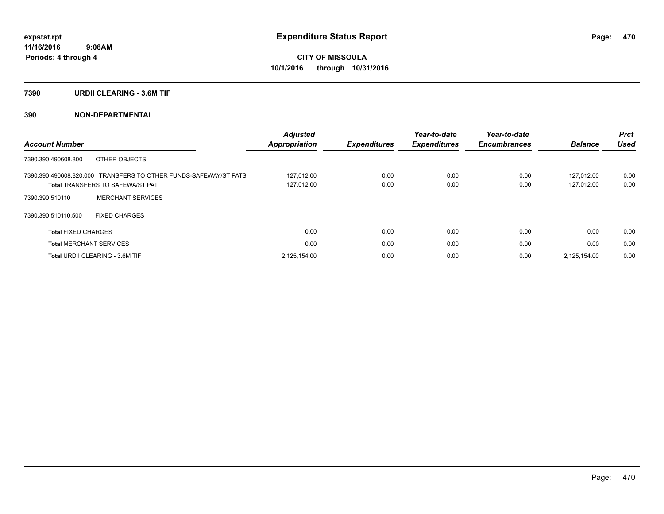### **7390 URDII CLEARING - 3.6M TIF**

# **390 NON-DEPARTMENTAL**

|                                                                  | <b>Adjusted</b>      |                     | Year-to-date        | Year-to-date        |                | <b>Prct</b> |
|------------------------------------------------------------------|----------------------|---------------------|---------------------|---------------------|----------------|-------------|
| <b>Account Number</b>                                            | <b>Appropriation</b> | <b>Expenditures</b> | <b>Expenditures</b> | <b>Encumbrances</b> | <b>Balance</b> | Used        |
| OTHER OBJECTS<br>7390.390.490608.800                             |                      |                     |                     |                     |                |             |
| 7390.390.490608.820.000 TRANSFERS TO OTHER FUNDS-SAFEWAY/ST PATS | 127.012.00           | 0.00                | 0.00                | 0.00                | 127.012.00     | 0.00        |
| <b>Total TRANSFERS TO SAFEWA/ST PAT</b>                          | 127,012.00           | 0.00                | 0.00                | 0.00                | 127.012.00     | 0.00        |
| <b>MERCHANT SERVICES</b><br>7390.390.510110                      |                      |                     |                     |                     |                |             |
| 7390.390.510110.500<br><b>FIXED CHARGES</b>                      |                      |                     |                     |                     |                |             |
| <b>Total FIXED CHARGES</b>                                       | 0.00                 | 0.00                | 0.00                | 0.00                | 0.00           | 0.00        |
| <b>Total MERCHANT SERVICES</b>                                   | 0.00                 | 0.00                | 0.00                | 0.00                | 0.00           | 0.00        |
| <b>Total URDII CLEARING - 3.6M TIF</b>                           | 2,125,154.00         | 0.00                | 0.00                | 0.00                | 2.125.154.00   | 0.00        |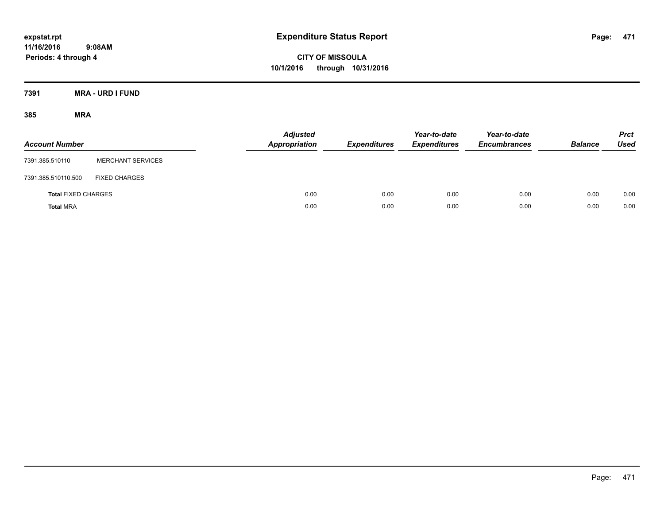**CITY OF MISSOULA 10/1/2016 through 10/31/2016**

**7391 MRA - URD I FUND**

| <b>Account Number</b>      |                          | <b>Adjusted</b><br><b>Appropriation</b> | <b>Expenditures</b> | Year-to-date<br><b>Expenditures</b> | Year-to-date<br><b>Encumbrances</b> | <b>Balance</b> | <b>Prct</b><br><b>Used</b> |
|----------------------------|--------------------------|-----------------------------------------|---------------------|-------------------------------------|-------------------------------------|----------------|----------------------------|
| 7391.385.510110            | <b>MERCHANT SERVICES</b> |                                         |                     |                                     |                                     |                |                            |
| 7391.385.510110.500        | <b>FIXED CHARGES</b>     |                                         |                     |                                     |                                     |                |                            |
| <b>Total FIXED CHARGES</b> |                          | 0.00                                    | 0.00                | 0.00                                | 0.00                                | 0.00           | 0.00                       |
| <b>Total MRA</b>           |                          | 0.00                                    | 0.00                | 0.00                                | 0.00                                | 0.00           | 0.00                       |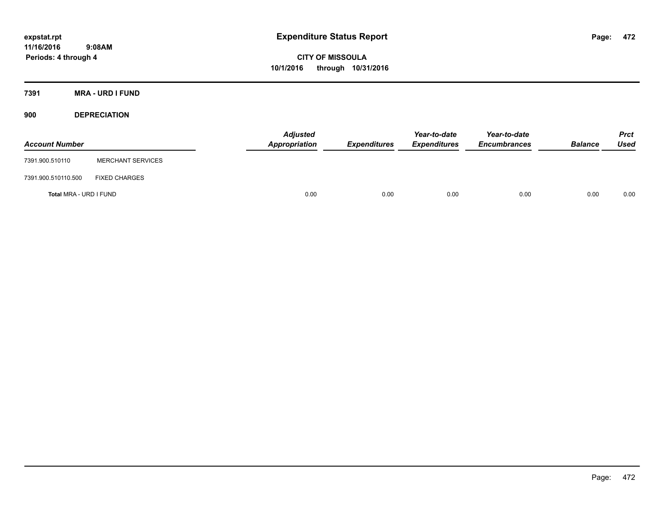**CITY OF MISSOULA 10/1/2016 through 10/31/2016**

**7391 MRA - URD I FUND**

**900 DEPRECIATION**

| <b>Account Number</b>  |                          | Adjusted<br>Appropriation | <b>Expenditures</b> | Year-to-date<br><b>Expenditures</b> | Year-to-date<br><b>Encumbrances</b> | <b>Balance</b> | Prct<br><b>Used</b> |
|------------------------|--------------------------|---------------------------|---------------------|-------------------------------------|-------------------------------------|----------------|---------------------|
| 7391.900.510110        | <b>MERCHANT SERVICES</b> |                           |                     |                                     |                                     |                |                     |
| 7391.900.510110.500    | <b>FIXED CHARGES</b>     |                           |                     |                                     |                                     |                |                     |
| Total MRA - URD I FUND |                          | 0.00                      | 0.00                | 0.00                                | 0.00                                | 0.00           | 0.00                |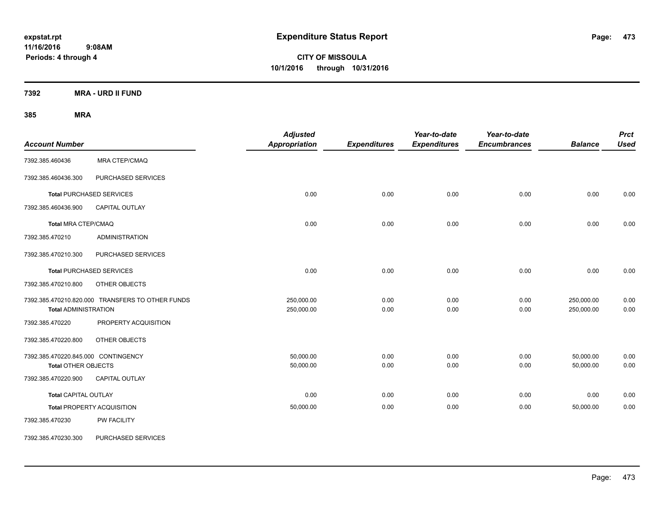**CITY OF MISSOULA 10/1/2016 through 10/31/2016**

**7392 MRA - URD II FUND**

| <b>Account Number</b>                                             |                                                  | <b>Adjusted</b><br>Appropriation | <b>Expenditures</b> | Year-to-date<br><b>Expenditures</b> | Year-to-date<br><b>Encumbrances</b> | <b>Balance</b>           | <b>Prct</b><br><b>Used</b> |
|-------------------------------------------------------------------|--------------------------------------------------|----------------------------------|---------------------|-------------------------------------|-------------------------------------|--------------------------|----------------------------|
| 7392.385.460436                                                   | MRA CTEP/CMAQ                                    |                                  |                     |                                     |                                     |                          |                            |
| 7392.385.460436.300                                               | PURCHASED SERVICES                               |                                  |                     |                                     |                                     |                          |                            |
|                                                                   | <b>Total PURCHASED SERVICES</b>                  | 0.00                             | 0.00                | 0.00                                | 0.00                                | 0.00                     | 0.00                       |
| 7392.385.460436.900                                               | CAPITAL OUTLAY                                   |                                  |                     |                                     |                                     |                          |                            |
| <b>Total MRA CTEP/CMAQ</b>                                        |                                                  | 0.00                             | 0.00                | 0.00                                | 0.00                                | 0.00                     | 0.00                       |
| 7392.385.470210                                                   | <b>ADMINISTRATION</b>                            |                                  |                     |                                     |                                     |                          |                            |
| 7392.385.470210.300                                               | PURCHASED SERVICES                               |                                  |                     |                                     |                                     |                          |                            |
|                                                                   | <b>Total PURCHASED SERVICES</b>                  | 0.00                             | 0.00                | 0.00                                | 0.00                                | 0.00                     | 0.00                       |
| 7392.385.470210.800                                               | OTHER OBJECTS                                    |                                  |                     |                                     |                                     |                          |                            |
| <b>Total ADMINISTRATION</b>                                       | 7392.385.470210.820.000 TRANSFERS TO OTHER FUNDS | 250,000.00<br>250,000.00         | 0.00<br>0.00        | 0.00<br>0.00                        | 0.00<br>0.00                        | 250,000.00<br>250,000.00 | 0.00<br>0.00               |
| 7392.385.470220                                                   | PROPERTY ACQUISITION                             |                                  |                     |                                     |                                     |                          |                            |
| 7392.385.470220.800                                               | OTHER OBJECTS                                    |                                  |                     |                                     |                                     |                          |                            |
| 7392.385.470220.845.000 CONTINGENCY<br><b>Total OTHER OBJECTS</b> |                                                  | 50.000.00<br>50,000.00           | 0.00<br>0.00        | 0.00<br>0.00                        | 0.00<br>0.00                        | 50,000.00<br>50,000.00   | 0.00<br>0.00               |
| 7392.385.470220.900                                               | CAPITAL OUTLAY                                   |                                  |                     |                                     |                                     |                          |                            |
| <b>Total CAPITAL OUTLAY</b>                                       |                                                  | 0.00                             | 0.00                | 0.00                                | 0.00                                | 0.00                     | 0.00                       |
|                                                                   | <b>Total PROPERTY ACQUISITION</b>                | 50,000.00                        | 0.00                | 0.00                                | 0.00                                | 50,000.00                | 0.00                       |
| 7392.385.470230                                                   | PW FACILITY                                      |                                  |                     |                                     |                                     |                          |                            |
| 7392.385.470230.300                                               | PURCHASED SERVICES                               |                                  |                     |                                     |                                     |                          |                            |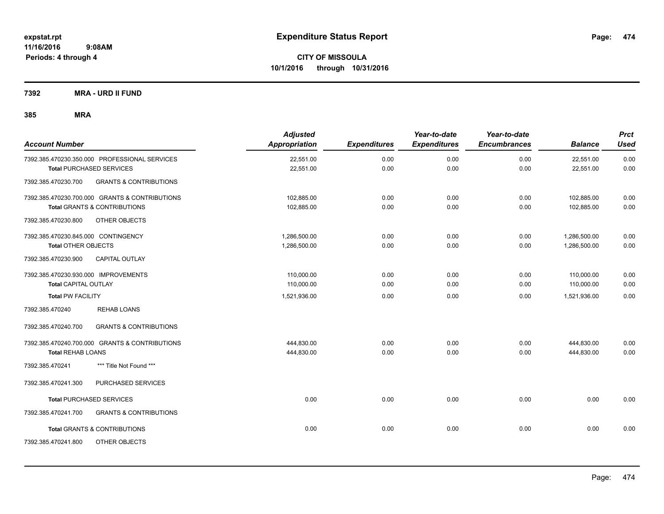**7392 MRA - URD II FUND**

| <b>Account Number</b>                                    | <b>Adjusted</b><br>Appropriation | <b>Expenditures</b> | Year-to-date<br><b>Expenditures</b> | Year-to-date<br><b>Encumbrances</b> | <b>Balance</b> | <b>Prct</b><br><b>Used</b> |
|----------------------------------------------------------|----------------------------------|---------------------|-------------------------------------|-------------------------------------|----------------|----------------------------|
| 7392.385.470230.350.000 PROFESSIONAL SERVICES            | 22,551.00                        | 0.00                | 0.00                                | 0.00                                | 22,551.00      | 0.00                       |
| <b>Total PURCHASED SERVICES</b>                          | 22,551.00                        | 0.00                | 0.00                                | 0.00                                | 22,551.00      | 0.00                       |
| <b>GRANTS &amp; CONTRIBUTIONS</b><br>7392.385.470230.700 |                                  |                     |                                     |                                     |                |                            |
| 7392.385.470230.700.000 GRANTS & CONTRIBUTIONS           | 102,885.00                       | 0.00                | 0.00                                | 0.00                                | 102,885.00     | 0.00                       |
| <b>Total GRANTS &amp; CONTRIBUTIONS</b>                  | 102,885.00                       | 0.00                | 0.00                                | 0.00                                | 102,885.00     | 0.00                       |
| 7392.385.470230.800<br>OTHER OBJECTS                     |                                  |                     |                                     |                                     |                |                            |
| 7392.385.470230.845.000 CONTINGENCY                      | 1,286,500.00                     | 0.00                | 0.00                                | 0.00                                | 1,286,500.00   | 0.00                       |
| <b>Total OTHER OBJECTS</b>                               | 1,286,500.00                     | 0.00                | 0.00                                | 0.00                                | 1,286,500.00   | 0.00                       |
| 7392.385.470230.900<br>CAPITAL OUTLAY                    |                                  |                     |                                     |                                     |                |                            |
| 7392.385.470230.930.000 IMPROVEMENTS                     | 110,000.00                       | 0.00                | 0.00                                | 0.00                                | 110,000.00     | 0.00                       |
| <b>Total CAPITAL OUTLAY</b>                              | 110,000.00                       | 0.00                | 0.00                                | 0.00                                | 110,000.00     | 0.00                       |
| <b>Total PW FACILITY</b>                                 | 1,521,936.00                     | 0.00                | 0.00                                | 0.00                                | 1,521,936.00   | 0.00                       |
| <b>REHAB LOANS</b><br>7392.385.470240                    |                                  |                     |                                     |                                     |                |                            |
| <b>GRANTS &amp; CONTRIBUTIONS</b><br>7392.385.470240.700 |                                  |                     |                                     |                                     |                |                            |
| 7392.385.470240.700.000 GRANTS & CONTRIBUTIONS           | 444,830.00                       | 0.00                | 0.00                                | 0.00                                | 444,830.00     | 0.00                       |
| <b>Total REHAB LOANS</b>                                 | 444,830.00                       | 0.00                | 0.00                                | 0.00                                | 444,830.00     | 0.00                       |
| 7392.385.470241<br>*** Title Not Found ***               |                                  |                     |                                     |                                     |                |                            |
| PURCHASED SERVICES<br>7392.385.470241.300                |                                  |                     |                                     |                                     |                |                            |
| <b>Total PURCHASED SERVICES</b>                          | 0.00                             | 0.00                | 0.00                                | 0.00                                | 0.00           | 0.00                       |
| 7392.385.470241.700<br><b>GRANTS &amp; CONTRIBUTIONS</b> |                                  |                     |                                     |                                     |                |                            |
| <b>Total GRANTS &amp; CONTRIBUTIONS</b>                  | 0.00                             | 0.00                | 0.00                                | 0.00                                | 0.00           | 0.00                       |
| 7392.385.470241.800<br>OTHER OBJECTS                     |                                  |                     |                                     |                                     |                |                            |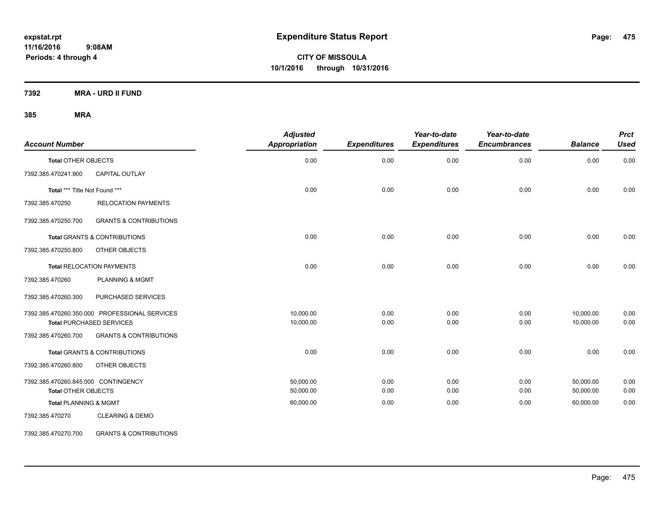**Periods: 4 through 4**

**CITY OF MISSOULA 10/1/2016 through 10/31/2016**

**7392 MRA - URD II FUND**

**385 MRA**

| <b>Account Number</b>               |                                               | <b>Adjusted</b><br>Appropriation | <b>Expenditures</b> | Year-to-date<br><b>Expenditures</b> | Year-to-date<br><b>Encumbrances</b> | <b>Balance</b> | <b>Prct</b><br><b>Used</b> |
|-------------------------------------|-----------------------------------------------|----------------------------------|---------------------|-------------------------------------|-------------------------------------|----------------|----------------------------|
| <b>Total OTHER OBJECTS</b>          |                                               | 0.00                             | 0.00                | 0.00                                | 0.00                                | 0.00           | 0.00                       |
| 7392.385.470241.900                 | <b>CAPITAL OUTLAY</b>                         |                                  |                     |                                     |                                     |                |                            |
| Total *** Title Not Found ***       |                                               | 0.00                             | 0.00                | 0.00                                | 0.00                                | 0.00           | 0.00                       |
| 7392.385.470250                     | <b>RELOCATION PAYMENTS</b>                    |                                  |                     |                                     |                                     |                |                            |
| 7392.385.470250.700                 | <b>GRANTS &amp; CONTRIBUTIONS</b>             |                                  |                     |                                     |                                     |                |                            |
|                                     | <b>Total GRANTS &amp; CONTRIBUTIONS</b>       | 0.00                             | 0.00                | 0.00                                | 0.00                                | 0.00           | 0.00                       |
| 7392.385.470250.800                 | OTHER OBJECTS                                 |                                  |                     |                                     |                                     |                |                            |
|                                     | <b>Total RELOCATION PAYMENTS</b>              | 0.00                             | 0.00                | 0.00                                | 0.00                                | 0.00           | 0.00                       |
| 7392.385.470260                     | <b>PLANNING &amp; MGMT</b>                    |                                  |                     |                                     |                                     |                |                            |
| 7392.385.470260.300                 | PURCHASED SERVICES                            |                                  |                     |                                     |                                     |                |                            |
|                                     | 7392.385.470260.350.000 PROFESSIONAL SERVICES | 10,000.00                        | 0.00                | 0.00                                | 0.00                                | 10,000.00      | 0.00                       |
|                                     | <b>Total PURCHASED SERVICES</b>               | 10,000.00                        | 0.00                | 0.00                                | 0.00                                | 10,000.00      | 0.00                       |
| 7392.385.470260.700                 | <b>GRANTS &amp; CONTRIBUTIONS</b>             |                                  |                     |                                     |                                     |                |                            |
|                                     | <b>Total GRANTS &amp; CONTRIBUTIONS</b>       | 0.00                             | 0.00                | 0.00                                | 0.00                                | 0.00           | 0.00                       |
| 7392.385.470260.800                 | OTHER OBJECTS                                 |                                  |                     |                                     |                                     |                |                            |
| 7392.385.470260.845.000 CONTINGENCY |                                               | 50,000.00                        | 0.00                | 0.00                                | 0.00                                | 50,000.00      | 0.00                       |
| <b>Total OTHER OBJECTS</b>          |                                               | 50,000.00                        | 0.00                | 0.00                                | 0.00                                | 50,000.00      | 0.00                       |
| <b>Total PLANNING &amp; MGMT</b>    |                                               | 60,000.00                        | 0.00                | 0.00                                | 0.00                                | 60,000.00      | 0.00                       |
| 7392.385.470270                     | <b>CLEARING &amp; DEMO</b>                    |                                  |                     |                                     |                                     |                |                            |

7392.385.470270.700 GRANTS & CONTRIBUTIONS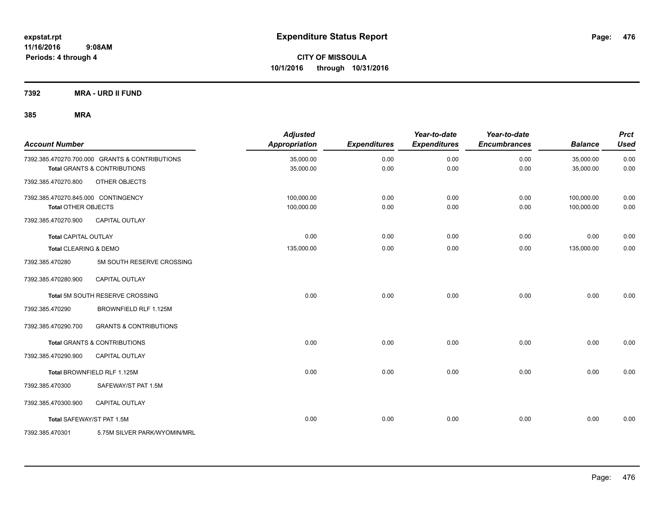**7392 MRA - URD II FUND**

| <b>Account Number</b>               |                                                | <b>Adjusted</b><br><b>Appropriation</b> | <b>Expenditures</b> | Year-to-date<br><b>Expenditures</b> | Year-to-date<br><b>Encumbrances</b> | <b>Balance</b> | <b>Prct</b><br><b>Used</b> |
|-------------------------------------|------------------------------------------------|-----------------------------------------|---------------------|-------------------------------------|-------------------------------------|----------------|----------------------------|
|                                     | 7392.385.470270.700.000 GRANTS & CONTRIBUTIONS | 35,000.00                               | 0.00                | 0.00                                | 0.00                                | 35,000.00      | 0.00                       |
|                                     | <b>Total GRANTS &amp; CONTRIBUTIONS</b>        | 35,000.00                               | 0.00                | 0.00                                | 0.00                                | 35,000.00      | 0.00                       |
| 7392.385.470270.800                 | OTHER OBJECTS                                  |                                         |                     |                                     |                                     |                |                            |
| 7392.385.470270.845.000 CONTINGENCY |                                                | 100,000.00                              | 0.00                | 0.00                                | 0.00                                | 100,000.00     | 0.00                       |
| <b>Total OTHER OBJECTS</b>          |                                                | 100,000.00                              | 0.00                | 0.00                                | 0.00                                | 100,000.00     | 0.00                       |
| 7392.385.470270.900                 | <b>CAPITAL OUTLAY</b>                          |                                         |                     |                                     |                                     |                |                            |
| <b>Total CAPITAL OUTLAY</b>         |                                                | 0.00                                    | 0.00                | 0.00                                | 0.00                                | 0.00           | 0.00                       |
| Total CLEARING & DEMO               |                                                | 135,000.00                              | 0.00                | 0.00                                | 0.00                                | 135,000.00     | 0.00                       |
| 7392.385.470280                     | 5M SOUTH RESERVE CROSSING                      |                                         |                     |                                     |                                     |                |                            |
| 7392.385.470280.900                 | CAPITAL OUTLAY                                 |                                         |                     |                                     |                                     |                |                            |
|                                     | Total 5M SOUTH RESERVE CROSSING                | 0.00                                    | 0.00                | 0.00                                | 0.00                                | 0.00           | 0.00                       |
| 7392.385.470290                     | BROWNFIELD RLF 1.125M                          |                                         |                     |                                     |                                     |                |                            |
| 7392.385.470290.700                 | <b>GRANTS &amp; CONTRIBUTIONS</b>              |                                         |                     |                                     |                                     |                |                            |
|                                     | Total GRANTS & CONTRIBUTIONS                   | 0.00                                    | 0.00                | 0.00                                | 0.00                                | 0.00           | 0.00                       |
| 7392.385.470290.900                 | <b>CAPITAL OUTLAY</b>                          |                                         |                     |                                     |                                     |                |                            |
|                                     | Total BROWNFIELD RLF 1.125M                    | 0.00                                    | 0.00                | 0.00                                | 0.00                                | 0.00           | 0.00                       |
| 7392.385.470300                     | SAFEWAY/ST PAT 1.5M                            |                                         |                     |                                     |                                     |                |                            |
| 7392.385.470300.900                 | <b>CAPITAL OUTLAY</b>                          |                                         |                     |                                     |                                     |                |                            |
| Total SAFEWAY/ST PAT 1.5M           |                                                | 0.00                                    | 0.00                | 0.00                                | 0.00                                | 0.00           | 0.00                       |
| 7392.385.470301                     | 5.75M SILVER PARK/WYOMIN/MRL                   |                                         |                     |                                     |                                     |                |                            |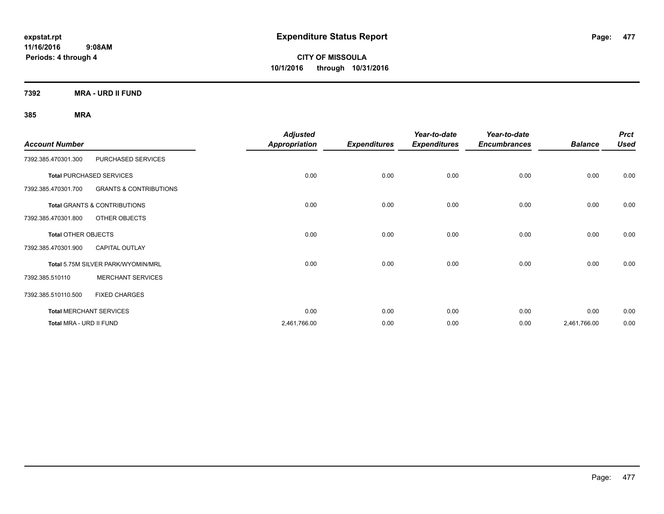**CITY OF MISSOULA 10/1/2016 through 10/31/2016**

**7392 MRA - URD II FUND**

|                            |                                    | <b>Adjusted</b>      |                     | Year-to-date        | Year-to-date        |                | <b>Prct</b> |
|----------------------------|------------------------------------|----------------------|---------------------|---------------------|---------------------|----------------|-------------|
| <b>Account Number</b>      |                                    | <b>Appropriation</b> | <b>Expenditures</b> | <b>Expenditures</b> | <b>Encumbrances</b> | <b>Balance</b> | <b>Used</b> |
| 7392.385.470301.300        | PURCHASED SERVICES                 |                      |                     |                     |                     |                |             |
|                            | <b>Total PURCHASED SERVICES</b>    | 0.00                 | 0.00                | 0.00                | 0.00                | 0.00           | 0.00        |
| 7392.385.470301.700        | <b>GRANTS &amp; CONTRIBUTIONS</b>  |                      |                     |                     |                     |                |             |
|                            | Total GRANTS & CONTRIBUTIONS       | 0.00                 | 0.00                | 0.00                | 0.00                | 0.00           | 0.00        |
| 7392.385.470301.800        | OTHER OBJECTS                      |                      |                     |                     |                     |                |             |
| <b>Total OTHER OBJECTS</b> |                                    | 0.00                 | 0.00                | 0.00                | 0.00                | 0.00           | 0.00        |
| 7392.385.470301.900        | <b>CAPITAL OUTLAY</b>              |                      |                     |                     |                     |                |             |
|                            | Total 5.75M SILVER PARK/WYOMIN/MRL | 0.00                 | 0.00                | 0.00                | 0.00                | 0.00           | 0.00        |
| 7392.385.510110            | <b>MERCHANT SERVICES</b>           |                      |                     |                     |                     |                |             |
| 7392.385.510110.500        | <b>FIXED CHARGES</b>               |                      |                     |                     |                     |                |             |
|                            | <b>Total MERCHANT SERVICES</b>     | 0.00                 | 0.00                | 0.00                | 0.00                | 0.00           | 0.00        |
| Total MRA - URD II FUND    |                                    | 2,461,766.00         | 0.00                | 0.00                | 0.00                | 2,461,766.00   | 0.00        |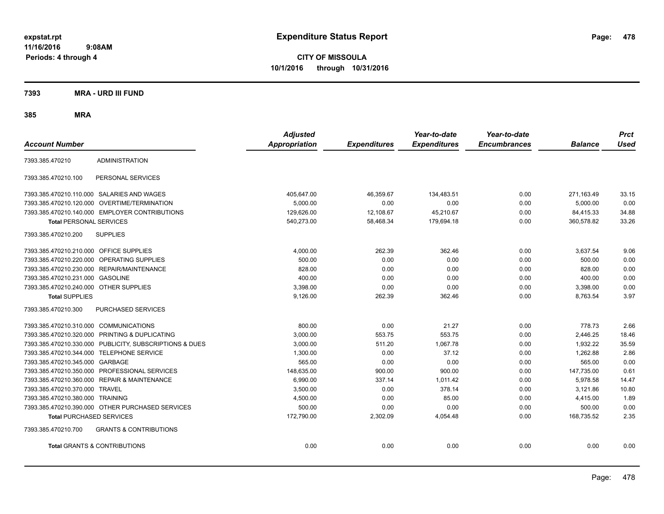**CITY OF MISSOULA 10/1/2016 through 10/31/2016**

**7393 MRA - URD III FUND**

| <b>Account Number</b>                   |                                                         | <b>Adjusted</b><br><b>Appropriation</b> | <b>Expenditures</b> | Year-to-date<br><b>Expenditures</b> | Year-to-date<br><b>Encumbrances</b> | <b>Balance</b> | <b>Prct</b><br><b>Used</b> |
|-----------------------------------------|---------------------------------------------------------|-----------------------------------------|---------------------|-------------------------------------|-------------------------------------|----------------|----------------------------|
| 7393.385.470210                         | <b>ADMINISTRATION</b>                                   |                                         |                     |                                     |                                     |                |                            |
| 7393.385.470210.100                     | PERSONAL SERVICES                                       |                                         |                     |                                     |                                     |                |                            |
|                                         | 7393.385.470210.110.000 SALARIES AND WAGES              | 405,647.00                              | 46,359.67           | 134.483.51                          | 0.00                                | 271,163.49     | 33.15                      |
|                                         | 7393.385.470210.120.000 OVERTIME/TERMINATION            | 5,000.00                                | 0.00                | 0.00                                | 0.00                                | 5,000.00       | 0.00                       |
|                                         | 7393.385.470210.140.000 EMPLOYER CONTRIBUTIONS          | 129,626.00                              | 12,108.67           | 45,210.67                           | 0.00                                | 84,415.33      | 34.88                      |
| <b>Total PERSONAL SERVICES</b>          |                                                         | 540,273.00                              | 58,468.34           | 179.694.18                          | 0.00                                | 360.578.82     | 33.26                      |
| 7393.385.470210.200                     | <b>SUPPLIES</b>                                         |                                         |                     |                                     |                                     |                |                            |
| 7393.385.470210.210.000 OFFICE SUPPLIES |                                                         | 4,000.00                                | 262.39              | 362.46                              | 0.00                                | 3,637.54       | 9.06                       |
|                                         | 7393.385.470210.220.000 OPERATING SUPPLIES              | 500.00                                  | 0.00                | 0.00                                | 0.00                                | 500.00         | 0.00                       |
|                                         | 7393.385.470210.230.000 REPAIR/MAINTENANCE              | 828.00                                  | 0.00                | 0.00                                | 0.00                                | 828.00         | 0.00                       |
| 7393.385.470210.231.000 GASOLINE        |                                                         | 400.00                                  | 0.00                | 0.00                                | 0.00                                | 400.00         | 0.00                       |
| 7393.385.470210.240.000 OTHER SUPPLIES  |                                                         | 3,398.00                                | 0.00                | 0.00                                | 0.00                                | 3,398.00       | 0.00                       |
| <b>Total SUPPLIES</b>                   |                                                         | 9,126.00                                | 262.39              | 362.46                              | 0.00                                | 8,763.54       | 3.97                       |
| 7393.385.470210.300                     | <b>PURCHASED SERVICES</b>                               |                                         |                     |                                     |                                     |                |                            |
| 7393.385.470210.310.000 COMMUNICATIONS  |                                                         | 800.00                                  | 0.00                | 21.27                               | 0.00                                | 778.73         | 2.66                       |
|                                         | 7393.385.470210.320.000 PRINTING & DUPLICATING          | 3,000.00                                | 553.75              | 553.75                              | 0.00                                | 2,446.25       | 18.46                      |
|                                         | 7393.385.470210.330.000 PUBLICITY, SUBSCRIPTIONS & DUES | 3,000.00                                | 511.20              | 1,067.78                            | 0.00                                | 1,932.22       | 35.59                      |
|                                         | 7393.385.470210.344.000 TELEPHONE SERVICE               | 1,300.00                                | 0.00                | 37.12                               | 0.00                                | 1,262.88       | 2.86                       |
| 7393.385.470210.345.000 GARBAGE         |                                                         | 565.00                                  | 0.00                | 0.00                                | 0.00                                | 565.00         | 0.00                       |
|                                         | 7393.385.470210.350.000 PROFESSIONAL SERVICES           | 148,635.00                              | 900.00              | 900.00                              | 0.00                                | 147,735.00     | 0.61                       |
|                                         | 7393.385.470210.360.000 REPAIR & MAINTENANCE            | 6,990.00                                | 337.14              | 1.011.42                            | 0.00                                | 5.978.58       | 14.47                      |
| 7393.385.470210.370.000 TRAVEL          |                                                         | 3.500.00                                | 0.00                | 378.14                              | 0.00                                | 3.121.86       | 10.80                      |
| 7393.385.470210.380.000 TRAINING        |                                                         | 4,500.00                                | 0.00                | 85.00                               | 0.00                                | 4,415.00       | 1.89                       |
|                                         | 7393.385.470210.390.000 OTHER PURCHASED SERVICES        | 500.00                                  | 0.00                | 0.00                                | 0.00                                | 500.00         | 0.00                       |
| <b>Total PURCHASED SERVICES</b>         |                                                         | 172,790.00                              | 2,302.09            | 4,054.48                            | 0.00                                | 168,735.52     | 2.35                       |
| 7393.385.470210.700                     | <b>GRANTS &amp; CONTRIBUTIONS</b>                       |                                         |                     |                                     |                                     |                |                            |
|                                         | <b>Total GRANTS &amp; CONTRIBUTIONS</b>                 | 0.00                                    | 0.00                | 0.00                                | 0.00                                | 0.00           | 0.00                       |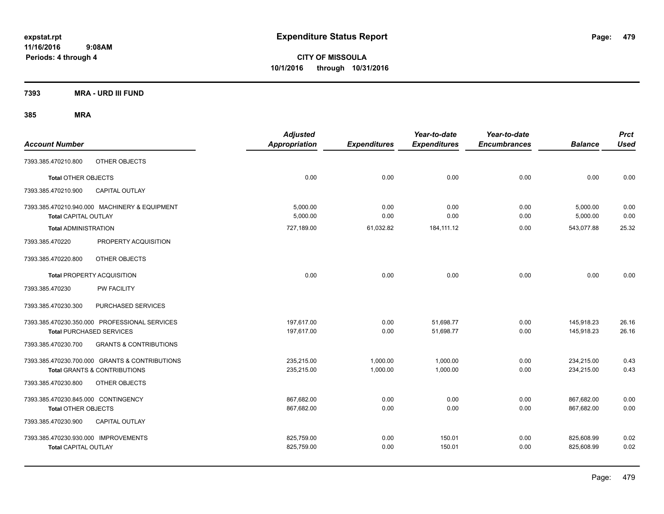**CITY OF MISSOULA 10/1/2016 through 10/31/2016**

**7393 MRA - URD III FUND**

| <b>Account Number</b>                |                                                | <b>Adjusted</b><br>Appropriation | <b>Expenditures</b> | Year-to-date<br><b>Expenditures</b> | Year-to-date<br><b>Encumbrances</b> | <b>Balance</b> | <b>Prct</b><br><b>Used</b> |
|--------------------------------------|------------------------------------------------|----------------------------------|---------------------|-------------------------------------|-------------------------------------|----------------|----------------------------|
| 7393.385.470210.800                  | OTHER OBJECTS                                  |                                  |                     |                                     |                                     |                |                            |
| Total OTHER OBJECTS                  |                                                | 0.00                             | 0.00                | 0.00                                | 0.00                                | 0.00           | 0.00                       |
| 7393.385.470210.900                  | <b>CAPITAL OUTLAY</b>                          |                                  |                     |                                     |                                     |                |                            |
|                                      | 7393.385.470210.940.000 MACHINERY & EQUIPMENT  | 5.000.00                         | 0.00                | 0.00                                | 0.00                                | 5,000.00       | 0.00                       |
| <b>Total CAPITAL OUTLAY</b>          |                                                | 5.000.00                         | 0.00                | 0.00                                | 0.00                                | 5,000.00       | 0.00                       |
| <b>Total ADMINISTRATION</b>          |                                                | 727,189.00                       | 61,032.82           | 184, 111. 12                        | 0.00                                | 543.077.88     | 25.32                      |
| 7393.385.470220                      | PROPERTY ACQUISITION                           |                                  |                     |                                     |                                     |                |                            |
| 7393.385.470220.800                  | OTHER OBJECTS                                  |                                  |                     |                                     |                                     |                |                            |
|                                      | <b>Total PROPERTY ACQUISITION</b>              | 0.00                             | 0.00                | 0.00                                | 0.00                                | 0.00           | 0.00                       |
| 7393.385.470230                      | <b>PW FACILITY</b>                             |                                  |                     |                                     |                                     |                |                            |
| 7393.385.470230.300                  | PURCHASED SERVICES                             |                                  |                     |                                     |                                     |                |                            |
|                                      | 7393.385.470230.350.000 PROFESSIONAL SERVICES  | 197,617.00                       | 0.00                | 51,698.77                           | 0.00                                | 145,918.23     | 26.16                      |
|                                      | <b>Total PURCHASED SERVICES</b>                | 197,617.00                       | 0.00                | 51,698.77                           | 0.00                                | 145,918.23     | 26.16                      |
| 7393.385.470230.700                  | <b>GRANTS &amp; CONTRIBUTIONS</b>              |                                  |                     |                                     |                                     |                |                            |
|                                      | 7393.385.470230.700.000 GRANTS & CONTRIBUTIONS | 235,215.00                       | 1,000.00            | 1,000.00                            | 0.00                                | 234,215.00     | 0.43                       |
|                                      | <b>Total GRANTS &amp; CONTRIBUTIONS</b>        | 235,215.00                       | 1,000.00            | 1,000.00                            | 0.00                                | 234,215.00     | 0.43                       |
| 7393.385.470230.800                  | OTHER OBJECTS                                  |                                  |                     |                                     |                                     |                |                            |
| 7393.385.470230.845.000 CONTINGENCY  |                                                | 867,682.00                       | 0.00                | 0.00                                | 0.00                                | 867,682.00     | 0.00                       |
| Total OTHER OBJECTS                  |                                                | 867,682.00                       | 0.00                | 0.00                                | 0.00                                | 867,682.00     | 0.00                       |
| 7393.385.470230.900                  | <b>CAPITAL OUTLAY</b>                          |                                  |                     |                                     |                                     |                |                            |
| 7393.385.470230.930.000 IMPROVEMENTS |                                                | 825,759.00                       | 0.00                | 150.01                              | 0.00                                | 825,608.99     | 0.02                       |
| <b>Total CAPITAL OUTLAY</b>          |                                                | 825,759.00                       | 0.00                | 150.01                              | 0.00                                | 825,608.99     | 0.02                       |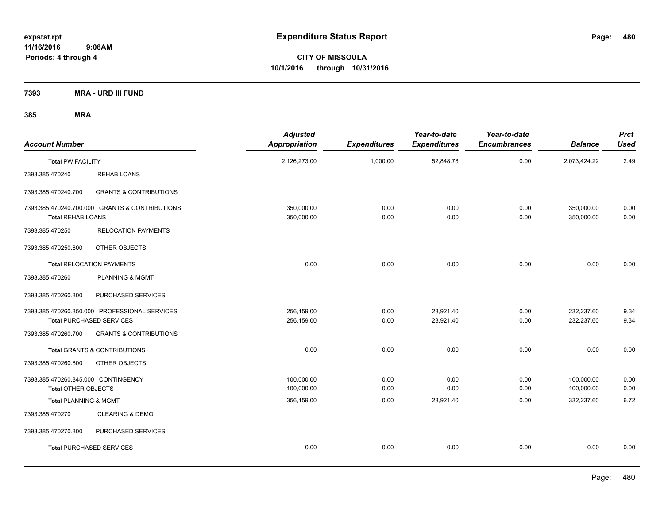**CITY OF MISSOULA 10/1/2016 through 10/31/2016**

**7393 MRA - URD III FUND**

| <b>Account Number</b>                                             |                                                                                  | <b>Adjusted</b><br><b>Appropriation</b> | <b>Expenditures</b> | Year-to-date<br><b>Expenditures</b> | Year-to-date<br><b>Encumbrances</b> | <b>Balance</b>           | <b>Prct</b><br><b>Used</b> |
|-------------------------------------------------------------------|----------------------------------------------------------------------------------|-----------------------------------------|---------------------|-------------------------------------|-------------------------------------|--------------------------|----------------------------|
| <b>Total PW FACILITY</b>                                          |                                                                                  | 2,126,273.00                            | 1,000.00            | 52,848.78                           | 0.00                                | 2,073,424.22             | 2.49                       |
| 7393.385.470240                                                   | <b>REHAB LOANS</b>                                                               |                                         |                     |                                     |                                     |                          |                            |
| 7393.385.470240.700                                               | <b>GRANTS &amp; CONTRIBUTIONS</b>                                                |                                         |                     |                                     |                                     |                          |                            |
| <b>Total REHAB LOANS</b>                                          | 7393.385.470240.700.000 GRANTS & CONTRIBUTIONS                                   | 350,000.00<br>350,000.00                | 0.00<br>0.00        | 0.00<br>0.00                        | 0.00<br>0.00                        | 350,000.00<br>350,000.00 | 0.00<br>0.00               |
| 7393.385.470250                                                   | <b>RELOCATION PAYMENTS</b>                                                       |                                         |                     |                                     |                                     |                          |                            |
| 7393.385.470250.800                                               | OTHER OBJECTS                                                                    |                                         |                     |                                     |                                     |                          |                            |
|                                                                   | <b>Total RELOCATION PAYMENTS</b>                                                 | 0.00                                    | 0.00                | 0.00                                | 0.00                                | 0.00                     | 0.00                       |
| 7393.385.470260                                                   | PLANNING & MGMT                                                                  |                                         |                     |                                     |                                     |                          |                            |
| 7393.385.470260.300                                               | PURCHASED SERVICES                                                               |                                         |                     |                                     |                                     |                          |                            |
|                                                                   | 7393.385.470260.350.000 PROFESSIONAL SERVICES<br><b>Total PURCHASED SERVICES</b> | 256,159.00<br>256,159.00                | 0.00<br>0.00        | 23,921.40<br>23,921.40              | 0.00<br>0.00                        | 232,237.60<br>232,237.60 | 9.34<br>9.34               |
| 7393.385.470260.700                                               | <b>GRANTS &amp; CONTRIBUTIONS</b>                                                |                                         |                     |                                     |                                     |                          |                            |
|                                                                   | <b>Total GRANTS &amp; CONTRIBUTIONS</b>                                          | 0.00                                    | 0.00                | 0.00                                | 0.00                                | 0.00                     | 0.00                       |
| 7393.385.470260.800                                               | OTHER OBJECTS                                                                    |                                         |                     |                                     |                                     |                          |                            |
| 7393.385.470260.845.000 CONTINGENCY<br><b>Total OTHER OBJECTS</b> |                                                                                  | 100,000.00<br>100,000.00                | 0.00<br>0.00        | 0.00<br>0.00                        | 0.00<br>0.00                        | 100,000.00<br>100,000.00 | 0.00<br>0.00               |
| <b>Total PLANNING &amp; MGMT</b>                                  |                                                                                  | 356,159.00                              | 0.00                | 23,921.40                           | 0.00                                | 332,237.60               | 6.72                       |
| 7393.385.470270                                                   | <b>CLEARING &amp; DEMO</b>                                                       |                                         |                     |                                     |                                     |                          |                            |
| 7393.385.470270.300                                               | PURCHASED SERVICES                                                               |                                         |                     |                                     |                                     |                          |                            |
|                                                                   | <b>Total PURCHASED SERVICES</b>                                                  | 0.00                                    | 0.00                | 0.00                                | 0.00                                | 0.00                     | 0.00                       |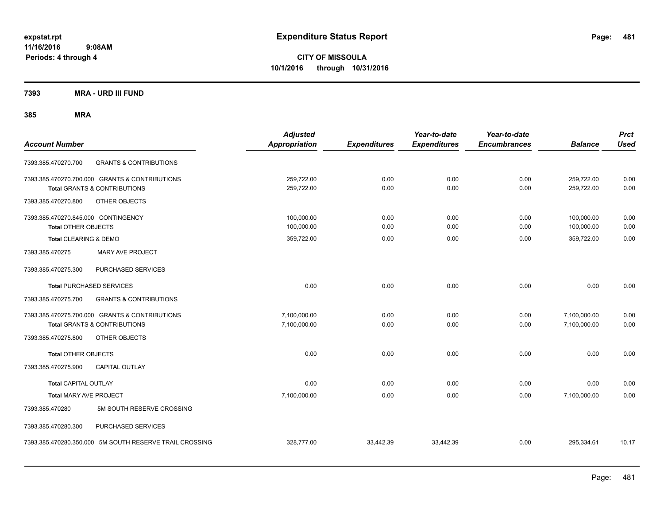**CITY OF MISSOULA 10/1/2016 through 10/31/2016**

**7393 MRA - URD III FUND**

| <b>Account Number</b>                                                                     | <b>Adjusted</b><br><b>Appropriation</b> | <b>Expenditures</b> | Year-to-date<br><b>Expenditures</b> | Year-to-date<br><b>Encumbrances</b> | <b>Balance</b>               | <b>Prct</b><br><b>Used</b> |
|-------------------------------------------------------------------------------------------|-----------------------------------------|---------------------|-------------------------------------|-------------------------------------|------------------------------|----------------------------|
| <b>GRANTS &amp; CONTRIBUTIONS</b><br>7393.385.470270.700                                  |                                         |                     |                                     |                                     |                              |                            |
| 7393.385.470270.700.000 GRANTS & CONTRIBUTIONS<br><b>Total GRANTS &amp; CONTRIBUTIONS</b> | 259,722.00<br>259,722.00                | 0.00<br>0.00        | 0.00<br>0.00                        | 0.00<br>0.00                        | 259,722.00<br>259,722.00     | 0.00<br>0.00               |
| 7393.385.470270.800<br>OTHER OBJECTS                                                      |                                         |                     |                                     |                                     |                              |                            |
| 7393.385.470270.845.000 CONTINGENCY<br><b>Total OTHER OBJECTS</b>                         | 100,000.00<br>100,000.00                | 0.00<br>0.00        | 0.00<br>0.00                        | 0.00<br>0.00                        | 100,000.00<br>100,000.00     | 0.00<br>0.00               |
| Total CLEARING & DEMO                                                                     | 359,722.00                              | 0.00                | 0.00                                | 0.00                                | 359,722.00                   | 0.00                       |
| <b>MARY AVE PROJECT</b><br>7393.385.470275                                                |                                         |                     |                                     |                                     |                              |                            |
| 7393.385.470275.300<br>PURCHASED SERVICES                                                 |                                         |                     |                                     |                                     |                              |                            |
| <b>Total PURCHASED SERVICES</b>                                                           | 0.00                                    | 0.00                | 0.00                                | 0.00                                | 0.00                         | 0.00                       |
| <b>GRANTS &amp; CONTRIBUTIONS</b><br>7393.385.470275.700                                  |                                         |                     |                                     |                                     |                              |                            |
| 7393.385.470275.700.000 GRANTS & CONTRIBUTIONS<br><b>Total GRANTS &amp; CONTRIBUTIONS</b> | 7,100,000.00<br>7,100,000.00            | 0.00<br>0.00        | 0.00<br>0.00                        | 0.00<br>0.00                        | 7,100,000.00<br>7,100,000.00 | 0.00<br>0.00               |
| 7393.385.470275.800<br>OTHER OBJECTS                                                      |                                         |                     |                                     |                                     |                              |                            |
| <b>Total OTHER OBJECTS</b>                                                                | 0.00                                    | 0.00                | 0.00                                | 0.00                                | 0.00                         | 0.00                       |
| 7393.385.470275.900<br><b>CAPITAL OUTLAY</b>                                              |                                         |                     |                                     |                                     |                              |                            |
| <b>Total CAPITAL OUTLAY</b>                                                               | 0.00                                    | 0.00                | 0.00                                | 0.00                                | 0.00                         | 0.00                       |
| <b>Total MARY AVE PROJECT</b>                                                             | 7,100,000.00                            | 0.00                | 0.00                                | 0.00                                | 7,100,000.00                 | 0.00                       |
| 5M SOUTH RESERVE CROSSING<br>7393.385.470280                                              |                                         |                     |                                     |                                     |                              |                            |
| 7393.385.470280.300<br>PURCHASED SERVICES                                                 |                                         |                     |                                     |                                     |                              |                            |
| 7393.385.470280.350.000 5M SOUTH RESERVE TRAIL CROSSING                                   | 328,777.00                              | 33,442.39           | 33,442.39                           | 0.00                                | 295,334.61                   | 10.17                      |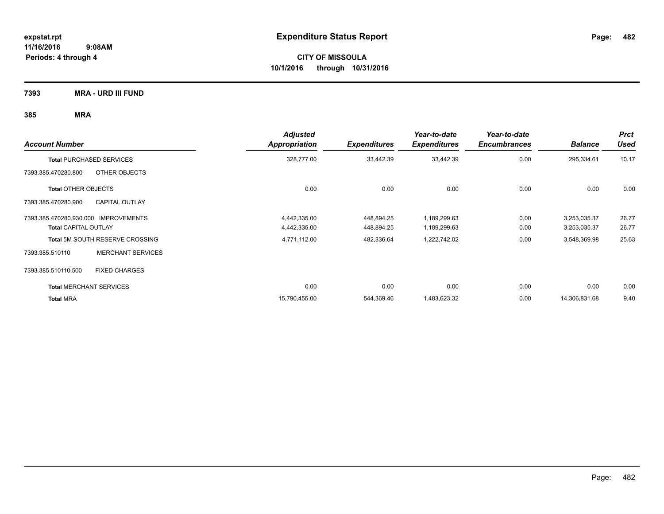**7393 MRA - URD III FUND**

| <b>Account Number</b>                        | <b>Adjusted</b><br><b>Appropriation</b> | <b>Expenditures</b> | Year-to-date<br><b>Expenditures</b> | Year-to-date<br><b>Encumbrances</b> | <b>Balance</b> | <b>Prct</b><br><b>Used</b> |
|----------------------------------------------|-----------------------------------------|---------------------|-------------------------------------|-------------------------------------|----------------|----------------------------|
| <b>Total PURCHASED SERVICES</b>              | 328,777.00                              | 33,442.39           | 33,442.39                           | 0.00                                | 295,334.61     | 10.17                      |
| OTHER OBJECTS<br>7393.385.470280.800         |                                         |                     |                                     |                                     |                |                            |
| <b>Total OTHER OBJECTS</b>                   | 0.00                                    | 0.00                | 0.00                                | 0.00                                | 0.00           | 0.00                       |
| <b>CAPITAL OUTLAY</b><br>7393.385.470280.900 |                                         |                     |                                     |                                     |                |                            |
| 7393.385.470280.930.000 IMPROVEMENTS         | 4,442,335.00                            | 448,894.25          | 1,189,299.63                        | 0.00                                | 3,253,035.37   | 26.77                      |
| <b>Total CAPITAL OUTLAY</b>                  | 4,442,335.00                            | 448,894.25          | 1,189,299.63                        | 0.00                                | 3,253,035.37   | 26.77                      |
| Total 5M SOUTH RESERVE CROSSING              | 4,771,112.00                            | 482,336.64          | 1,222,742.02                        | 0.00                                | 3,548,369.98   | 25.63                      |
| <b>MERCHANT SERVICES</b><br>7393.385.510110  |                                         |                     |                                     |                                     |                |                            |
| 7393.385.510110.500<br><b>FIXED CHARGES</b>  |                                         |                     |                                     |                                     |                |                            |
| <b>Total MERCHANT SERVICES</b>               | 0.00                                    | 0.00                | 0.00                                | 0.00                                | 0.00           | 0.00                       |
| <b>Total MRA</b>                             | 15,790,455.00                           | 544,369.46          | 1,483,623.32                        | 0.00                                | 14,306,831.68  | 9.40                       |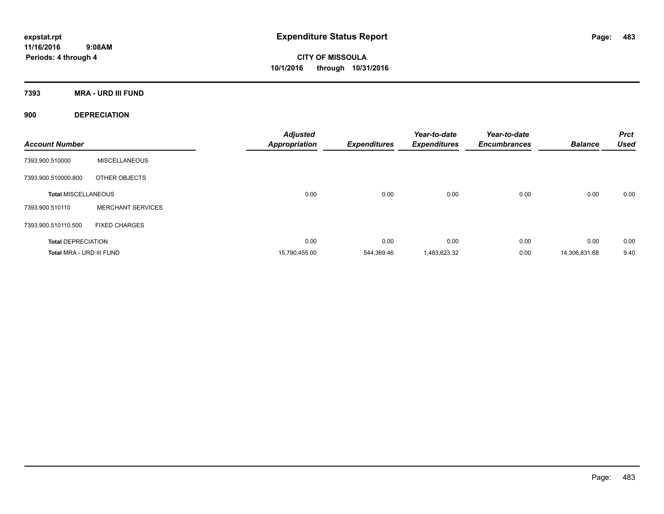**CITY OF MISSOULA 10/1/2016 through 10/31/2016**

**7393 MRA - URD III FUND**

**900 DEPRECIATION**

| <b>Account Number</b>      |                          | <b>Adjusted</b><br><b>Appropriation</b> | <b>Expenditures</b> | Year-to-date<br><b>Expenditures</b> | Year-to-date<br><b>Encumbrances</b> | <b>Balance</b> | <b>Prct</b><br><b>Used</b> |
|----------------------------|--------------------------|-----------------------------------------|---------------------|-------------------------------------|-------------------------------------|----------------|----------------------------|
| 7393.900.510000            | <b>MISCELLANEOUS</b>     |                                         |                     |                                     |                                     |                |                            |
| 7393.900.510000.800        | OTHER OBJECTS            |                                         |                     |                                     |                                     |                |                            |
| <b>Total MISCELLANEOUS</b> |                          | 0.00                                    | 0.00                | 0.00                                | 0.00                                | 0.00           | 0.00                       |
| 7393.900.510110            | <b>MERCHANT SERVICES</b> |                                         |                     |                                     |                                     |                |                            |
| 7393.900.510110.500        | <b>FIXED CHARGES</b>     |                                         |                     |                                     |                                     |                |                            |
| <b>Total DEPRECIATION</b>  |                          | 0.00                                    | 0.00                | 0.00                                | 0.00                                | 0.00           | 0.00                       |
| Total MRA - URD III FUND   |                          | 15,790,455.00                           | 544.369.46          | 1,483,623.32                        | 0.00                                | 14,306,831.68  | 9.40                       |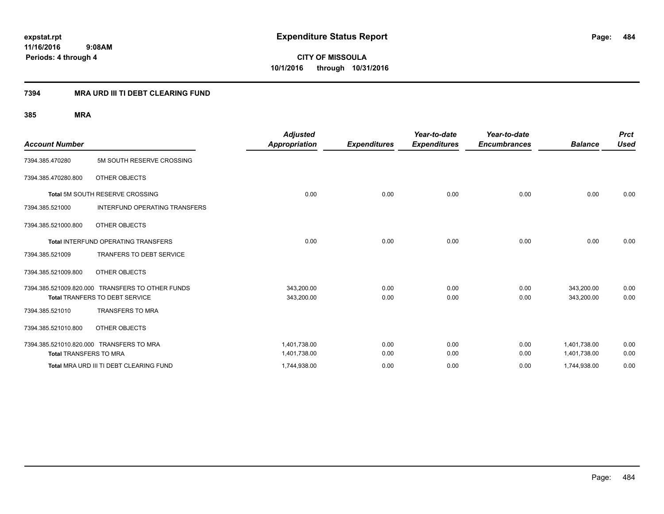**CITY OF MISSOULA 10/1/2016 through 10/31/2016**

# **7394 MRA URD III TI DEBT CLEARING FUND**

| <b>Account Number</b>         |                                                  | <b>Adjusted</b><br><b>Appropriation</b> | <b>Expenditures</b> | Year-to-date<br><b>Expenditures</b> | Year-to-date<br><b>Encumbrances</b> | <b>Balance</b> | <b>Prct</b><br><b>Used</b> |
|-------------------------------|--------------------------------------------------|-----------------------------------------|---------------------|-------------------------------------|-------------------------------------|----------------|----------------------------|
| 7394.385.470280               | 5M SOUTH RESERVE CROSSING                        |                                         |                     |                                     |                                     |                |                            |
| 7394.385.470280.800           | OTHER OBJECTS                                    |                                         |                     |                                     |                                     |                |                            |
|                               | Total 5M SOUTH RESERVE CROSSING                  | 0.00                                    | 0.00                | 0.00                                | 0.00                                | 0.00           | 0.00                       |
| 7394.385.521000               | <b>INTERFUND OPERATING TRANSFERS</b>             |                                         |                     |                                     |                                     |                |                            |
| 7394.385.521000.800           | OTHER OBJECTS                                    |                                         |                     |                                     |                                     |                |                            |
|                               | <b>Total INTERFUND OPERATING TRANSFERS</b>       | 0.00                                    | 0.00                | 0.00                                | 0.00                                | 0.00           | 0.00                       |
| 7394.385.521009               | <b>TRANFERS TO DEBT SERVICE</b>                  |                                         |                     |                                     |                                     |                |                            |
| 7394.385.521009.800           | OTHER OBJECTS                                    |                                         |                     |                                     |                                     |                |                            |
|                               | 7394.385.521009.820.000 TRANSFERS TO OTHER FUNDS | 343,200.00                              | 0.00                | 0.00                                | 0.00                                | 343,200.00     | 0.00                       |
|                               | Total TRANFERS TO DEBT SERVICE                   | 343,200.00                              | 0.00                | 0.00                                | 0.00                                | 343,200.00     | 0.00                       |
| 7394.385.521010               | <b>TRANSFERS TO MRA</b>                          |                                         |                     |                                     |                                     |                |                            |
| 7394.385.521010.800           | OTHER OBJECTS                                    |                                         |                     |                                     |                                     |                |                            |
|                               | 7394.385.521010.820.000 TRANSFERS TO MRA         | 1.401.738.00                            | 0.00                | 0.00                                | 0.00                                | 1,401,738.00   | 0.00                       |
| <b>Total TRANSFERS TO MRA</b> |                                                  | 1,401,738.00                            | 0.00                | 0.00                                | 0.00                                | 1,401,738.00   | 0.00                       |
|                               | Total MRA URD III TI DEBT CLEARING FUND          | 1,744,938.00                            | 0.00                | 0.00                                | 0.00                                | 1,744,938.00   | 0.00                       |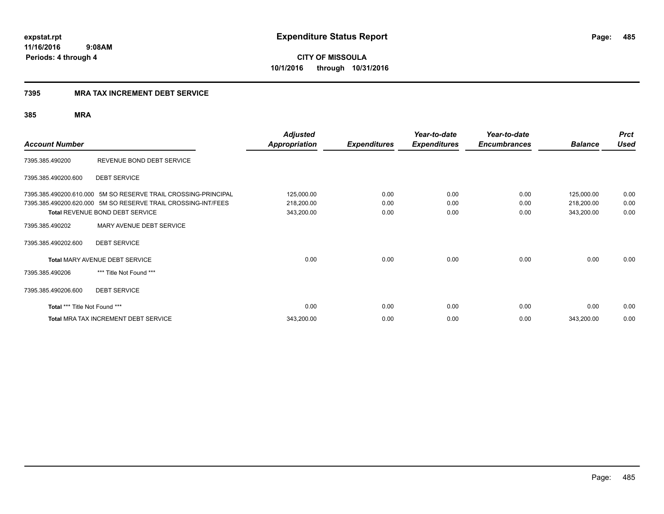**485**

**11/16/2016 9:08AM Periods: 4 through 4**

**CITY OF MISSOULA 10/1/2016 through 10/31/2016**

# **7395 MRA TAX INCREMENT DEBT SERVICE**

| <b>Account Number</b>         |                                                                                                                                 | <b>Adjusted</b><br>Appropriation | <b>Expenditures</b> | Year-to-date<br><b>Expenditures</b> | Year-to-date<br><b>Encumbrances</b> | <b>Balance</b>           | <b>Prct</b><br><b>Used</b> |
|-------------------------------|---------------------------------------------------------------------------------------------------------------------------------|----------------------------------|---------------------|-------------------------------------|-------------------------------------|--------------------------|----------------------------|
| 7395.385.490200               | REVENUE BOND DEBT SERVICE                                                                                                       |                                  |                     |                                     |                                     |                          |                            |
| 7395.385.490200.600           | <b>DEBT SERVICE</b>                                                                                                             |                                  |                     |                                     |                                     |                          |                            |
|                               | 7395.385.490200.610.000 5M SO RESERVE TRAIL CROSSING-PRINCIPAL<br>7395.385.490200.620.000 5M SO RESERVE TRAIL CROSSING-INT/FEES | 125,000.00<br>218,200.00         | 0.00<br>0.00        | 0.00<br>0.00                        | 0.00<br>0.00                        | 125,000.00<br>218,200.00 | 0.00<br>0.00               |
| 7395.385.490202               | Total REVENUE BOND DEBT SERVICE<br>MARY AVENUE DEBT SERVICE                                                                     | 343,200.00                       | 0.00                | 0.00                                | 0.00                                | 343,200.00               | 0.00                       |
| 7395.385.490202.600           | <b>DEBT SERVICE</b>                                                                                                             |                                  |                     |                                     |                                     |                          |                            |
|                               | Total MARY AVENUE DEBT SERVICE                                                                                                  | 0.00                             | 0.00                | 0.00                                | 0.00                                | 0.00                     | 0.00                       |
| 7395.385.490206               | *** Title Not Found ***                                                                                                         |                                  |                     |                                     |                                     |                          |                            |
| 7395.385.490206.600           | <b>DEBT SERVICE</b>                                                                                                             |                                  |                     |                                     |                                     |                          |                            |
| Total *** Title Not Found *** |                                                                                                                                 | 0.00                             | 0.00                | 0.00                                | 0.00                                | 0.00                     | 0.00                       |
|                               | <b>Total MRA TAX INCREMENT DEBT SERVICE</b>                                                                                     | 343,200.00                       | 0.00                | 0.00                                | 0.00                                | 343,200.00               | 0.00                       |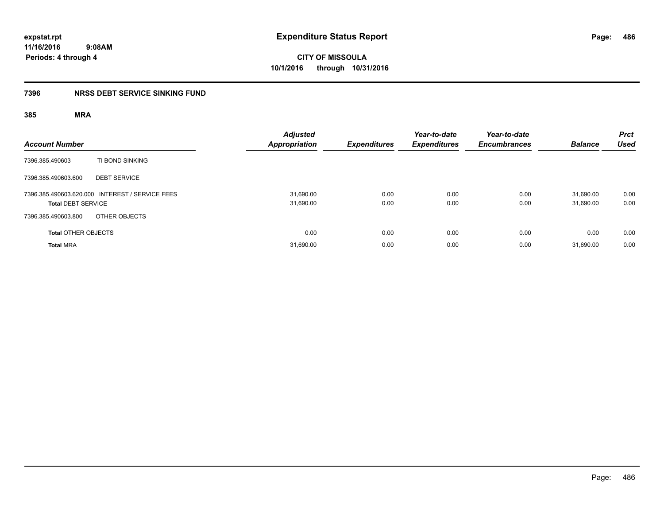**486**

**11/16/2016 9:08AM Periods: 4 through 4**

**CITY OF MISSOULA 10/1/2016 through 10/31/2016**

# **7396 NRSS DEBT SERVICE SINKING FUND**

| <b>Account Number</b>                                                        | <b>Adjusted</b><br><b>Appropriation</b> | <b>Expenditures</b> | Year-to-date<br><b>Expenditures</b> | Year-to-date<br><b>Encumbrances</b> | <b>Balance</b>         | <b>Prct</b><br><b>Used</b> |
|------------------------------------------------------------------------------|-----------------------------------------|---------------------|-------------------------------------|-------------------------------------|------------------------|----------------------------|
| TI BOND SINKING<br>7396.385.490603                                           |                                         |                     |                                     |                                     |                        |                            |
| 7396.385.490603.600<br><b>DEBT SERVICE</b>                                   |                                         |                     |                                     |                                     |                        |                            |
| 7396.385.490603.620.000 INTEREST / SERVICE FEES<br><b>Total DEBT SERVICE</b> | 31,690.00<br>31,690.00                  | 0.00<br>0.00        | 0.00<br>0.00                        | 0.00<br>0.00                        | 31.690.00<br>31,690.00 | 0.00<br>0.00               |
| OTHER OBJECTS<br>7396.385.490603.800                                         |                                         |                     |                                     |                                     |                        |                            |
| <b>Total OTHER OBJECTS</b>                                                   | 0.00                                    | 0.00                | 0.00                                | 0.00                                | 0.00                   | 0.00                       |
| <b>Total MRA</b>                                                             | 31,690.00                               | 0.00                | 0.00                                | 0.00                                | 31.690.00              | 0.00                       |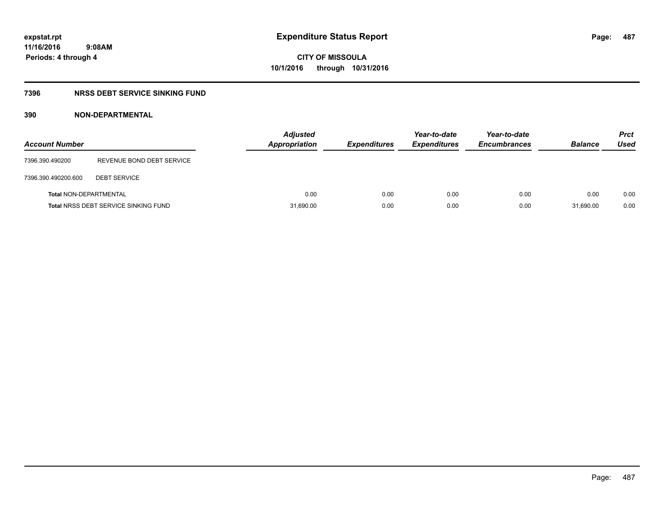# **7396 NRSS DEBT SERVICE SINKING FUND**

# **390 NON-DEPARTMENTAL**

| <b>Account Number</b>         |                                             | <b>Adjusted</b><br>Appropriation | <b>Expenditures</b> | Year-to-date<br><b>Expenditures</b> | Year-to-date<br><b>Encumbrances</b> | <b>Balance</b> | <b>Prct</b><br>Used |
|-------------------------------|---------------------------------------------|----------------------------------|---------------------|-------------------------------------|-------------------------------------|----------------|---------------------|
| 7396.390.490200               | REVENUE BOND DEBT SERVICE                   |                                  |                     |                                     |                                     |                |                     |
| 7396.390.490200.600           | <b>DEBT SERVICE</b>                         |                                  |                     |                                     |                                     |                |                     |
| <b>Total NON-DEPARTMENTAL</b> |                                             | 0.00                             | 0.00                | 0.00                                | 0.00                                | 0.00           | 0.00                |
|                               | <b>Total NRSS DEBT SERVICE SINKING FUND</b> | 31,690.00                        | 0.00                | 0.00                                | 0.00                                | 31,690.00      | 0.00                |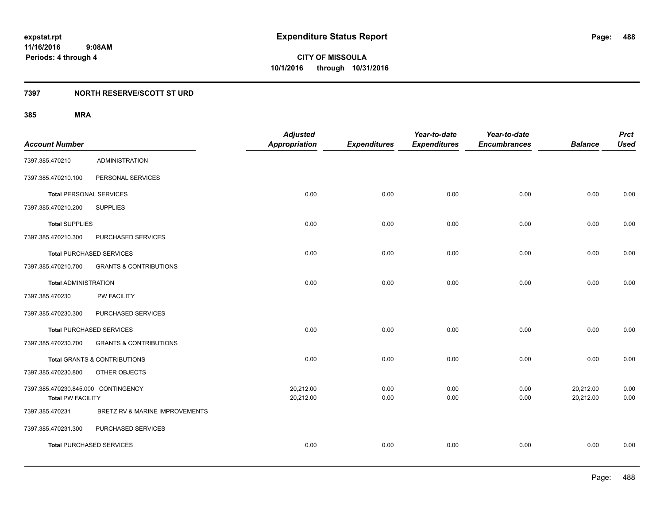# **7397 NORTH RESERVE/SCOTT ST URD**

| <b>Account Number</b>               |                                         | <b>Adjusted</b><br><b>Appropriation</b> | <b>Expenditures</b> | Year-to-date<br><b>Expenditures</b> | Year-to-date<br><b>Encumbrances</b> | <b>Balance</b> | <b>Prct</b><br><b>Used</b> |
|-------------------------------------|-----------------------------------------|-----------------------------------------|---------------------|-------------------------------------|-------------------------------------|----------------|----------------------------|
|                                     |                                         |                                         |                     |                                     |                                     |                |                            |
| 7397.385.470210                     | <b>ADMINISTRATION</b>                   |                                         |                     |                                     |                                     |                |                            |
| 7397.385.470210.100                 | PERSONAL SERVICES                       |                                         |                     |                                     |                                     |                |                            |
| <b>Total PERSONAL SERVICES</b>      |                                         | 0.00                                    | 0.00                | 0.00                                | 0.00                                | 0.00           | 0.00                       |
| 7397.385.470210.200                 | <b>SUPPLIES</b>                         |                                         |                     |                                     |                                     |                |                            |
| <b>Total SUPPLIES</b>               |                                         | 0.00                                    | 0.00                | 0.00                                | 0.00                                | 0.00           | 0.00                       |
| 7397.385.470210.300                 | PURCHASED SERVICES                      |                                         |                     |                                     |                                     |                |                            |
|                                     | <b>Total PURCHASED SERVICES</b>         | 0.00                                    | 0.00                | 0.00                                | 0.00                                | 0.00           | 0.00                       |
| 7397.385.470210.700                 | <b>GRANTS &amp; CONTRIBUTIONS</b>       |                                         |                     |                                     |                                     |                |                            |
| <b>Total ADMINISTRATION</b>         |                                         | 0.00                                    | 0.00                | 0.00                                | 0.00                                | 0.00           | 0.00                       |
| 7397.385.470230                     | <b>PW FACILITY</b>                      |                                         |                     |                                     |                                     |                |                            |
| 7397.385.470230.300                 | PURCHASED SERVICES                      |                                         |                     |                                     |                                     |                |                            |
|                                     | <b>Total PURCHASED SERVICES</b>         | 0.00                                    | 0.00                | 0.00                                | 0.00                                | 0.00           | 0.00                       |
| 7397.385.470230.700                 | <b>GRANTS &amp; CONTRIBUTIONS</b>       |                                         |                     |                                     |                                     |                |                            |
|                                     | <b>Total GRANTS &amp; CONTRIBUTIONS</b> | 0.00                                    | 0.00                | 0.00                                | 0.00                                | 0.00           | 0.00                       |
| 7397.385.470230.800                 | OTHER OBJECTS                           |                                         |                     |                                     |                                     |                |                            |
| 7397.385.470230.845.000 CONTINGENCY |                                         | 20,212.00                               | 0.00                | 0.00                                | 0.00                                | 20,212.00      | 0.00                       |
| <b>Total PW FACILITY</b>            |                                         | 20,212.00                               | 0.00                | 0.00                                | 0.00                                | 20,212.00      | 0.00                       |
| 7397.385.470231                     | BRETZ RV & MARINE IMPROVEMENTS          |                                         |                     |                                     |                                     |                |                            |
| 7397.385.470231.300                 | PURCHASED SERVICES                      |                                         |                     |                                     |                                     |                |                            |
|                                     | <b>Total PURCHASED SERVICES</b>         | 0.00                                    | 0.00                | 0.00                                | 0.00                                | 0.00           | 0.00                       |
|                                     |                                         |                                         |                     |                                     |                                     |                |                            |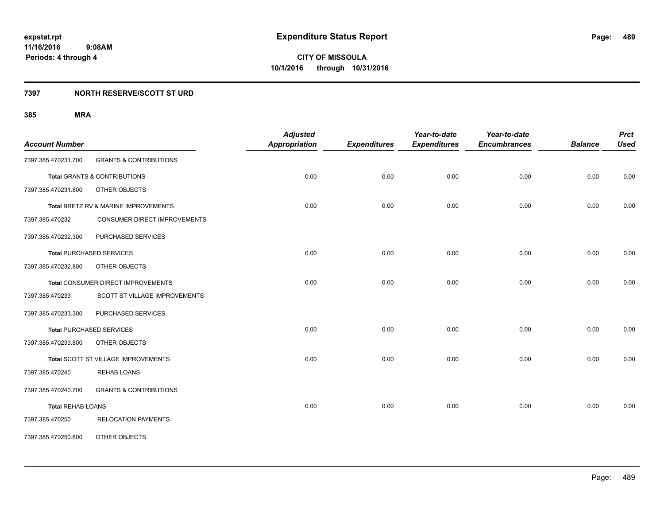# **7397 NORTH RESERVE/SCOTT ST URD**

| <b>Account Number</b>    |                                      | <b>Adjusted</b><br><b>Appropriation</b> | <b>Expenditures</b> | Year-to-date<br><b>Expenditures</b> | Year-to-date<br><b>Encumbrances</b> | <b>Balance</b> | <b>Prct</b><br><b>Used</b> |
|--------------------------|--------------------------------------|-----------------------------------------|---------------------|-------------------------------------|-------------------------------------|----------------|----------------------------|
| 7397.385.470231.700      | <b>GRANTS &amp; CONTRIBUTIONS</b>    |                                         |                     |                                     |                                     |                |                            |
|                          | Total GRANTS & CONTRIBUTIONS         | 0.00                                    | 0.00                | 0.00                                | 0.00                                | 0.00           | 0.00                       |
| 7397.385.470231.800      | OTHER OBJECTS                        |                                         |                     |                                     |                                     |                |                            |
|                          | Total BRETZ RV & MARINE IMPROVEMENTS | 0.00                                    | 0.00                | 0.00                                | 0.00                                | 0.00           | 0.00                       |
| 7397.385.470232          | CONSUMER DIRECT IMPROVEMENTS         |                                         |                     |                                     |                                     |                |                            |
| 7397.385.470232.300      | PURCHASED SERVICES                   |                                         |                     |                                     |                                     |                |                            |
|                          | <b>Total PURCHASED SERVICES</b>      | 0.00                                    | 0.00                | 0.00                                | 0.00                                | 0.00           | 0.00                       |
| 7397.385.470232.800      | OTHER OBJECTS                        |                                         |                     |                                     |                                     |                |                            |
|                          | Total CONSUMER DIRECT IMPROVEMENTS   | 0.00                                    | 0.00                | 0.00                                | 0.00                                | 0.00           | 0.00                       |
| 7397.385.470233          | SCOTT ST VILLAGE IMPROVEMENTS        |                                         |                     |                                     |                                     |                |                            |
| 7397.385.470233.300      | PURCHASED SERVICES                   |                                         |                     |                                     |                                     |                |                            |
|                          | <b>Total PURCHASED SERVICES</b>      | 0.00                                    | 0.00                | 0.00                                | 0.00                                | 0.00           | 0.00                       |
| 7397.385.470233.800      | OTHER OBJECTS                        |                                         |                     |                                     |                                     |                |                            |
|                          | Total SCOTT ST VILLAGE IMPROVEMENTS  | 0.00                                    | 0.00                | 0.00                                | 0.00                                | 0.00           | 0.00                       |
| 7397.385.470240          | <b>REHAB LOANS</b>                   |                                         |                     |                                     |                                     |                |                            |
| 7397.385.470240.700      | <b>GRANTS &amp; CONTRIBUTIONS</b>    |                                         |                     |                                     |                                     |                |                            |
| <b>Total REHAB LOANS</b> |                                      | 0.00                                    | 0.00                | 0.00                                | 0.00                                | 0.00           | 0.00                       |
| 7397.385.470250          | <b>RELOCATION PAYMENTS</b>           |                                         |                     |                                     |                                     |                |                            |
| 7397.385.470250.800      | OTHER OBJECTS                        |                                         |                     |                                     |                                     |                |                            |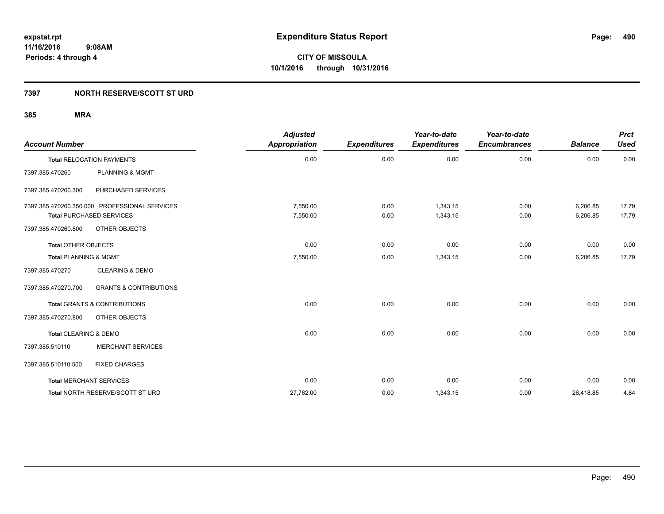# **7397 NORTH RESERVE/SCOTT ST URD**

| <b>Account Number</b>            |                                               | <b>Adjusted</b><br>Appropriation | <b>Expenditures</b> | Year-to-date<br><b>Expenditures</b> | Year-to-date<br><b>Encumbrances</b> | <b>Balance</b> | <b>Prct</b><br><b>Used</b> |
|----------------------------------|-----------------------------------------------|----------------------------------|---------------------|-------------------------------------|-------------------------------------|----------------|----------------------------|
|                                  | <b>Total RELOCATION PAYMENTS</b>              | 0.00                             | 0.00                | 0.00                                | 0.00                                | 0.00           | 0.00                       |
| 7397.385.470260                  | <b>PLANNING &amp; MGMT</b>                    |                                  |                     |                                     |                                     |                |                            |
| 7397.385.470260.300              | PURCHASED SERVICES                            |                                  |                     |                                     |                                     |                |                            |
|                                  | 7397.385.470260.350.000 PROFESSIONAL SERVICES | 7.550.00                         | 0.00                | 1,343.15                            | 0.00                                | 6,206.85       | 17.79                      |
|                                  | <b>Total PURCHASED SERVICES</b>               | 7,550.00                         | 0.00                | 1,343.15                            | 0.00                                | 6,206.85       | 17.79                      |
| 7397.385.470260.800              | OTHER OBJECTS                                 |                                  |                     |                                     |                                     |                |                            |
| <b>Total OTHER OBJECTS</b>       |                                               | 0.00                             | 0.00                | 0.00                                | 0.00                                | 0.00           | 0.00                       |
| <b>Total PLANNING &amp; MGMT</b> |                                               | 7,550.00                         | 0.00                | 1,343.15                            | 0.00                                | 6,206.85       | 17.79                      |
| 7397.385.470270                  | <b>CLEARING &amp; DEMO</b>                    |                                  |                     |                                     |                                     |                |                            |
| 7397.385.470270.700              | <b>GRANTS &amp; CONTRIBUTIONS</b>             |                                  |                     |                                     |                                     |                |                            |
|                                  | <b>Total GRANTS &amp; CONTRIBUTIONS</b>       | 0.00                             | 0.00                | 0.00                                | 0.00                                | 0.00           | 0.00                       |
| 7397.385.470270.800              | OTHER OBJECTS                                 |                                  |                     |                                     |                                     |                |                            |
| Total CLEARING & DEMO            |                                               | 0.00                             | 0.00                | 0.00                                | 0.00                                | 0.00           | 0.00                       |
| 7397.385.510110                  | <b>MERCHANT SERVICES</b>                      |                                  |                     |                                     |                                     |                |                            |
| 7397.385.510110.500              | <b>FIXED CHARGES</b>                          |                                  |                     |                                     |                                     |                |                            |
|                                  | <b>Total MERCHANT SERVICES</b>                | 0.00                             | 0.00                | 0.00                                | 0.00                                | 0.00           | 0.00                       |
|                                  | Total NORTH RESERVE/SCOTT ST URD              | 27,762.00                        | 0.00                | 1,343.15                            | 0.00                                | 26,418.85      | 4.84                       |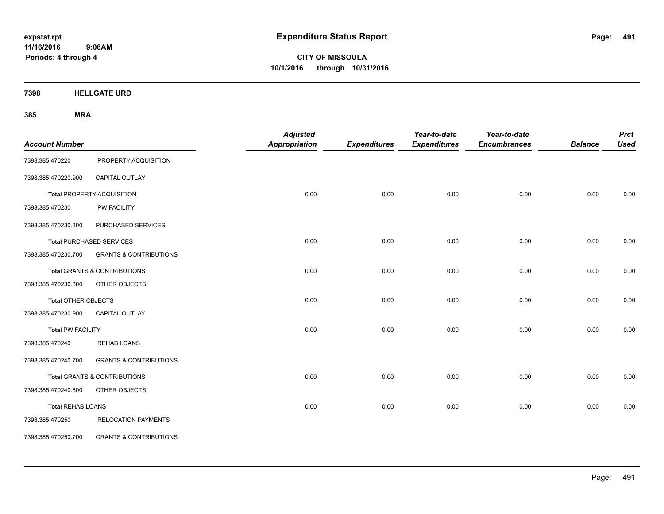**CITY OF MISSOULA 10/1/2016 through 10/31/2016**

**7398 HELLGATE URD**

| <b>Account Number</b>    |                                         | <b>Adjusted</b><br><b>Appropriation</b> | <b>Expenditures</b> | Year-to-date<br><b>Expenditures</b> | Year-to-date<br><b>Encumbrances</b> | <b>Balance</b> | <b>Prct</b><br><b>Used</b> |
|--------------------------|-----------------------------------------|-----------------------------------------|---------------------|-------------------------------------|-------------------------------------|----------------|----------------------------|
| 7398.385.470220          | PROPERTY ACQUISITION                    |                                         |                     |                                     |                                     |                |                            |
| 7398.385.470220.900      | CAPITAL OUTLAY                          |                                         |                     |                                     |                                     |                |                            |
|                          | <b>Total PROPERTY ACQUISITION</b>       | 0.00                                    | 0.00                | 0.00                                | 0.00                                | 0.00           | 0.00                       |
| 7398.385.470230          | PW FACILITY                             |                                         |                     |                                     |                                     |                |                            |
| 7398.385.470230.300      | PURCHASED SERVICES                      |                                         |                     |                                     |                                     |                |                            |
|                          | <b>Total PURCHASED SERVICES</b>         | 0.00                                    | 0.00                | 0.00                                | 0.00                                | 0.00           | 0.00                       |
| 7398.385.470230.700      | <b>GRANTS &amp; CONTRIBUTIONS</b>       |                                         |                     |                                     |                                     |                |                            |
|                          | <b>Total GRANTS &amp; CONTRIBUTIONS</b> | 0.00                                    | 0.00                | 0.00                                | 0.00                                | 0.00           | 0.00                       |
| 7398.385.470230.800      | OTHER OBJECTS                           |                                         |                     |                                     |                                     |                |                            |
| Total OTHER OBJECTS      |                                         | 0.00                                    | 0.00                | 0.00                                | 0.00                                | 0.00           | 0.00                       |
| 7398.385.470230.900      | CAPITAL OUTLAY                          |                                         |                     |                                     |                                     |                |                            |
| <b>Total PW FACILITY</b> |                                         | 0.00                                    | 0.00                | 0.00                                | 0.00                                | 0.00           | 0.00                       |
| 7398.385.470240          | <b>REHAB LOANS</b>                      |                                         |                     |                                     |                                     |                |                            |
| 7398.385.470240.700      | <b>GRANTS &amp; CONTRIBUTIONS</b>       |                                         |                     |                                     |                                     |                |                            |
|                          | <b>Total GRANTS &amp; CONTRIBUTIONS</b> | 0.00                                    | 0.00                | 0.00                                | 0.00                                | 0.00           | 0.00                       |
| 7398.385.470240.800      | OTHER OBJECTS                           |                                         |                     |                                     |                                     |                |                            |
| <b>Total REHAB LOANS</b> |                                         | 0.00                                    | 0.00                | 0.00                                | 0.00                                | 0.00           | 0.00                       |
| 7398.385.470250          | <b>RELOCATION PAYMENTS</b>              |                                         |                     |                                     |                                     |                |                            |
| 7398.385.470250.700      | <b>GRANTS &amp; CONTRIBUTIONS</b>       |                                         |                     |                                     |                                     |                |                            |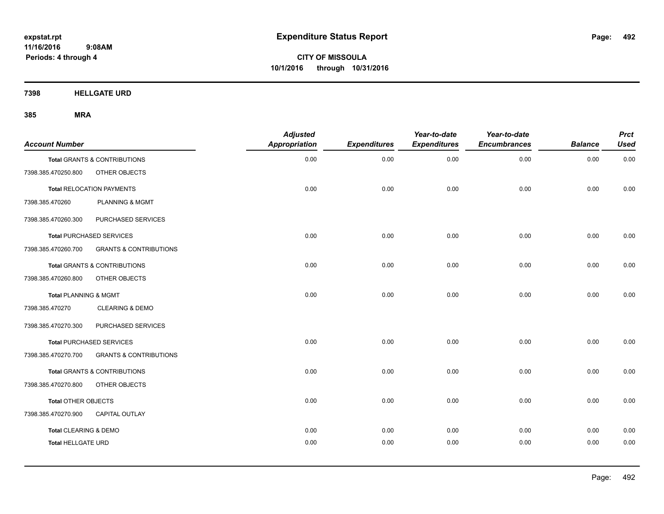**CITY OF MISSOULA 10/1/2016 through 10/31/2016**

**7398 HELLGATE URD**

| <b>Account Number</b>     |                                         | <b>Adjusted</b><br><b>Appropriation</b> | <b>Expenditures</b> | Year-to-date<br><b>Expenditures</b> | Year-to-date<br><b>Encumbrances</b> | <b>Balance</b> | <b>Prct</b><br><b>Used</b> |
|---------------------------|-----------------------------------------|-----------------------------------------|---------------------|-------------------------------------|-------------------------------------|----------------|----------------------------|
|                           | Total GRANTS & CONTRIBUTIONS            | 0.00                                    | 0.00                | 0.00                                | 0.00                                | 0.00           | 0.00                       |
| 7398.385.470250.800       | OTHER OBJECTS                           |                                         |                     |                                     |                                     |                |                            |
|                           | <b>Total RELOCATION PAYMENTS</b>        | 0.00                                    | 0.00                | 0.00                                | 0.00                                | 0.00           | 0.00                       |
| 7398.385.470260           | PLANNING & MGMT                         |                                         |                     |                                     |                                     |                |                            |
| 7398.385.470260.300       | PURCHASED SERVICES                      |                                         |                     |                                     |                                     |                |                            |
|                           | <b>Total PURCHASED SERVICES</b>         | 0.00                                    | 0.00                | 0.00                                | 0.00                                | 0.00           | 0.00                       |
| 7398.385.470260.700       | <b>GRANTS &amp; CONTRIBUTIONS</b>       |                                         |                     |                                     |                                     |                |                            |
|                           | <b>Total GRANTS &amp; CONTRIBUTIONS</b> | 0.00                                    | 0.00                | 0.00                                | 0.00                                | 0.00           | 0.00                       |
| 7398.385.470260.800       | OTHER OBJECTS                           |                                         |                     |                                     |                                     |                |                            |
| Total PLANNING & MGMT     |                                         | 0.00                                    | 0.00                | 0.00                                | 0.00                                | 0.00           | 0.00                       |
| 7398.385.470270           | <b>CLEARING &amp; DEMO</b>              |                                         |                     |                                     |                                     |                |                            |
| 7398.385.470270.300       | PURCHASED SERVICES                      |                                         |                     |                                     |                                     |                |                            |
|                           | <b>Total PURCHASED SERVICES</b>         | 0.00                                    | 0.00                | 0.00                                | 0.00                                | 0.00           | 0.00                       |
| 7398.385.470270.700       | <b>GRANTS &amp; CONTRIBUTIONS</b>       |                                         |                     |                                     |                                     |                |                            |
|                           | Total GRANTS & CONTRIBUTIONS            | 0.00                                    | 0.00                | 0.00                                | 0.00                                | 0.00           | 0.00                       |
| 7398.385.470270.800       | OTHER OBJECTS                           |                                         |                     |                                     |                                     |                |                            |
| Total OTHER OBJECTS       |                                         | 0.00                                    | 0.00                | 0.00                                | 0.00                                | 0.00           | 0.00                       |
| 7398.385.470270.900       | <b>CAPITAL OUTLAY</b>                   |                                         |                     |                                     |                                     |                |                            |
| Total CLEARING & DEMO     |                                         | 0.00                                    | 0.00                | 0.00                                | 0.00                                | 0.00           | 0.00                       |
| <b>Total HELLGATE URD</b> |                                         | 0.00                                    | 0.00                | 0.00                                | 0.00                                | 0.00           | 0.00                       |
|                           |                                         |                                         |                     |                                     |                                     |                |                            |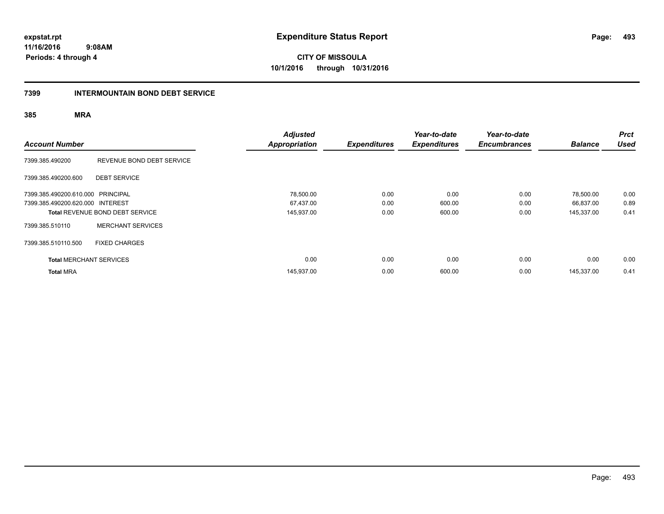**CITY OF MISSOULA 10/1/2016 through 10/31/2016**

# **7399 INTERMOUNTAIN BOND DEBT SERVICE**

| <b>Account Number</b>                                                 |                                        | <b>Adjusted</b><br><b>Appropriation</b> | <b>Expenditures</b>  | Year-to-date<br><b>Expenditures</b> | Year-to-date<br><b>Encumbrances</b> | <b>Balance</b>                       | <b>Prct</b><br><b>Used</b> |
|-----------------------------------------------------------------------|----------------------------------------|-----------------------------------------|----------------------|-------------------------------------|-------------------------------------|--------------------------------------|----------------------------|
| 7399.385.490200                                                       | REVENUE BOND DEBT SERVICE              |                                         |                      |                                     |                                     |                                      |                            |
| 7399.385.490200.600                                                   | <b>DEBT SERVICE</b>                    |                                         |                      |                                     |                                     |                                      |                            |
| 7399.385.490200.610.000 PRINCIPAL<br>7399.385.490200.620.000 INTEREST | <b>Total REVENUE BOND DEBT SERVICE</b> | 78,500.00<br>67,437.00<br>145,937.00    | 0.00<br>0.00<br>0.00 | 0.00<br>600.00<br>600.00            | 0.00<br>0.00<br>0.00                | 78,500.00<br>66,837.00<br>145,337.00 | 0.00<br>0.89<br>0.41       |
| 7399.385.510110                                                       | <b>MERCHANT SERVICES</b>               |                                         |                      |                                     |                                     |                                      |                            |
| 7399.385.510110.500                                                   | <b>FIXED CHARGES</b>                   |                                         |                      |                                     |                                     |                                      |                            |
| <b>Total MERCHANT SERVICES</b>                                        |                                        | 0.00                                    | 0.00                 | 0.00                                | 0.00                                | 0.00                                 | 0.00                       |
| <b>Total MRA</b>                                                      |                                        | 145,937.00                              | 0.00                 | 600.00                              | 0.00                                | 145,337.00                           | 0.41                       |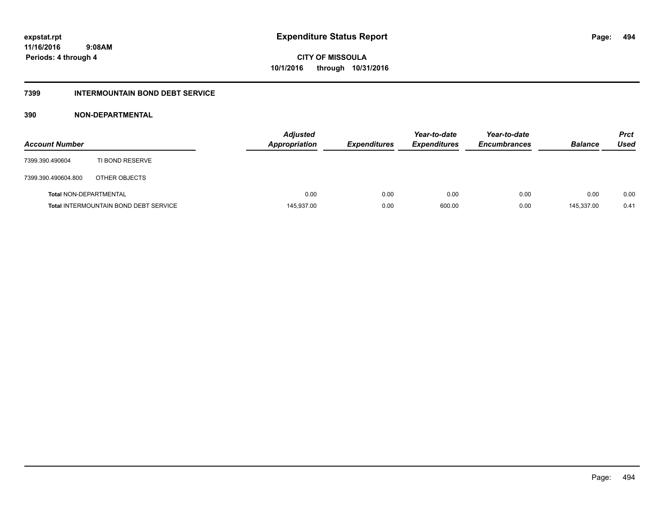# **CITY OF MISSOULA 10/1/2016 through 10/31/2016**

# **7399 INTERMOUNTAIN BOND DEBT SERVICE**

# **390 NON-DEPARTMENTAL**

| <b>Account Number</b>         |                                              | <b>Adjusted</b><br><b>Appropriation</b> | <b>Expenditures</b> | Year-to-date<br><b>Expenditures</b> | Year-to-date<br><b>Encumbrances</b> | <b>Balance</b> | <b>Prct</b><br>Used |
|-------------------------------|----------------------------------------------|-----------------------------------------|---------------------|-------------------------------------|-------------------------------------|----------------|---------------------|
| 7399.390.490604               | TI BOND RESERVE                              |                                         |                     |                                     |                                     |                |                     |
| 7399.390.490604.800           | OTHER OBJECTS                                |                                         |                     |                                     |                                     |                |                     |
| <b>Total NON-DEPARTMENTAL</b> |                                              | 0.00                                    | 0.00                | 0.00                                | 0.00                                | 0.00           | 0.00                |
|                               | <b>Total INTERMOUNTAIN BOND DEBT SERVICE</b> | 145,937.00                              | 0.00                | 600.00                              | 0.00                                | 145,337.00     | 0.41                |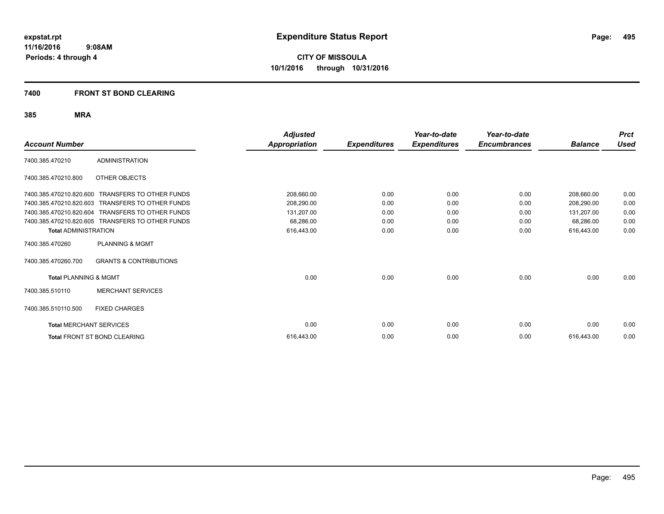### **7400 FRONT ST BOND CLEARING**

| <b>Account Number</b>            |                                   | Adjusted<br><b>Appropriation</b> | <b>Expenditures</b> | Year-to-date<br><b>Expenditures</b> | Year-to-date<br><b>Encumbrances</b> | <b>Balance</b> | <b>Prct</b><br><b>Used</b> |
|----------------------------------|-----------------------------------|----------------------------------|---------------------|-------------------------------------|-------------------------------------|----------------|----------------------------|
| 7400.385.470210                  | <b>ADMINISTRATION</b>             |                                  |                     |                                     |                                     |                |                            |
| 7400.385.470210.800              | OTHER OBJECTS                     |                                  |                     |                                     |                                     |                |                            |
| 7400.385.470210.820.600          | <b>TRANSFERS TO OTHER FUNDS</b>   | 208,660.00                       | 0.00                | 0.00                                | 0.00                                | 208,660.00     | 0.00                       |
| 7400.385.470210.820.603          | <b>TRANSFERS TO OTHER FUNDS</b>   | 208,290.00                       | 0.00                | 0.00                                | 0.00                                | 208,290.00     | 0.00                       |
| 7400.385.470210.820.604          | <b>TRANSFERS TO OTHER FUNDS</b>   | 131,207.00                       | 0.00                | 0.00                                | 0.00                                | 131,207.00     | 0.00                       |
| 7400.385.470210.820.605          | TRANSFERS TO OTHER FUNDS          | 68,286.00                        | 0.00                | 0.00                                | 0.00                                | 68,286.00      | 0.00                       |
| <b>Total ADMINISTRATION</b>      |                                   | 616,443.00                       | 0.00                | 0.00                                | 0.00                                | 616.443.00     | 0.00                       |
| 7400.385.470260                  | PLANNING & MGMT                   |                                  |                     |                                     |                                     |                |                            |
| 7400.385.470260.700              | <b>GRANTS &amp; CONTRIBUTIONS</b> |                                  |                     |                                     |                                     |                |                            |
| <b>Total PLANNING &amp; MGMT</b> |                                   | 0.00                             | 0.00                | 0.00                                | 0.00                                | 0.00           | 0.00                       |
| 7400.385.510110                  | <b>MERCHANT SERVICES</b>          |                                  |                     |                                     |                                     |                |                            |
| 7400.385.510110.500              | <b>FIXED CHARGES</b>              |                                  |                     |                                     |                                     |                |                            |
| <b>Total MERCHANT SERVICES</b>   |                                   | 0.00                             | 0.00                | 0.00                                | 0.00                                | 0.00           | 0.00                       |
|                                  | Total FRONT ST BOND CLEARING      | 616.443.00                       | 0.00                | 0.00                                | 0.00                                | 616.443.00     | 0.00                       |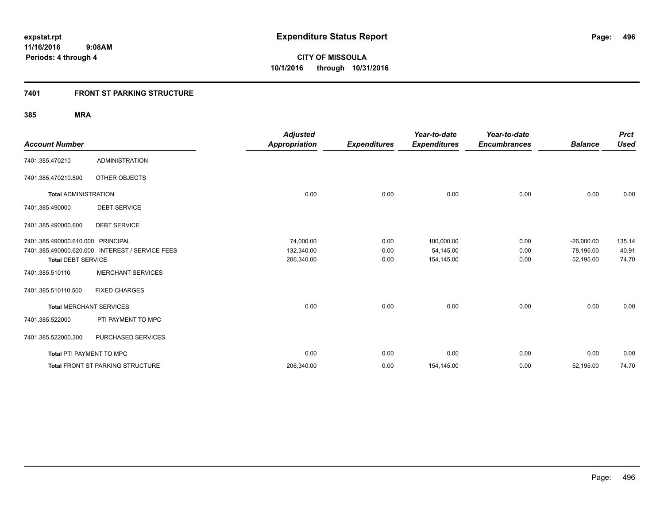# **7401 FRONT ST PARKING STRUCTURE**

| <b>Account Number</b>             |                                                 | <b>Adjusted</b><br><b>Appropriation</b> | <b>Expenditures</b> | Year-to-date<br><b>Expenditures</b> | Year-to-date<br><b>Encumbrances</b> | <b>Balance</b> | <b>Prct</b><br><b>Used</b> |
|-----------------------------------|-------------------------------------------------|-----------------------------------------|---------------------|-------------------------------------|-------------------------------------|----------------|----------------------------|
| 7401.385.470210                   | <b>ADMINISTRATION</b>                           |                                         |                     |                                     |                                     |                |                            |
| 7401.385.470210.800               | OTHER OBJECTS                                   |                                         |                     |                                     |                                     |                |                            |
| <b>Total ADMINISTRATION</b>       |                                                 | 0.00                                    | 0.00                | 0.00                                | 0.00                                | 0.00           | 0.00                       |
| 7401.385.490000                   | <b>DEBT SERVICE</b>                             |                                         |                     |                                     |                                     |                |                            |
| 7401.385.490000.600               | <b>DEBT SERVICE</b>                             |                                         |                     |                                     |                                     |                |                            |
| 7401.385.490000.610.000 PRINCIPAL |                                                 | 74,000.00                               | 0.00                | 100,000.00                          | 0.00                                | $-26,000.00$   | 135.14                     |
|                                   | 7401.385.490000.620.000 INTEREST / SERVICE FEES | 132,340.00                              | 0.00                | 54,145.00                           | 0.00                                | 78,195.00      | 40.91                      |
| <b>Total DEBT SERVICE</b>         |                                                 | 206,340.00                              | 0.00                | 154,145.00                          | 0.00                                | 52,195.00      | 74.70                      |
| 7401.385.510110                   | <b>MERCHANT SERVICES</b>                        |                                         |                     |                                     |                                     |                |                            |
| 7401.385.510110.500               | <b>FIXED CHARGES</b>                            |                                         |                     |                                     |                                     |                |                            |
| <b>Total MERCHANT SERVICES</b>    |                                                 | 0.00                                    | 0.00                | 0.00                                | 0.00                                | 0.00           | 0.00                       |
| 7401.385.522000                   | PTI PAYMENT TO MPC                              |                                         |                     |                                     |                                     |                |                            |
| 7401.385.522000.300               | PURCHASED SERVICES                              |                                         |                     |                                     |                                     |                |                            |
| <b>Total PTI PAYMENT TO MPC</b>   |                                                 | 0.00                                    | 0.00                | 0.00                                | 0.00                                | 0.00           | 0.00                       |
|                                   | Total FRONT ST PARKING STRUCTURE                | 206,340.00                              | 0.00                | 154,145.00                          | 0.00                                | 52,195.00      | 74.70                      |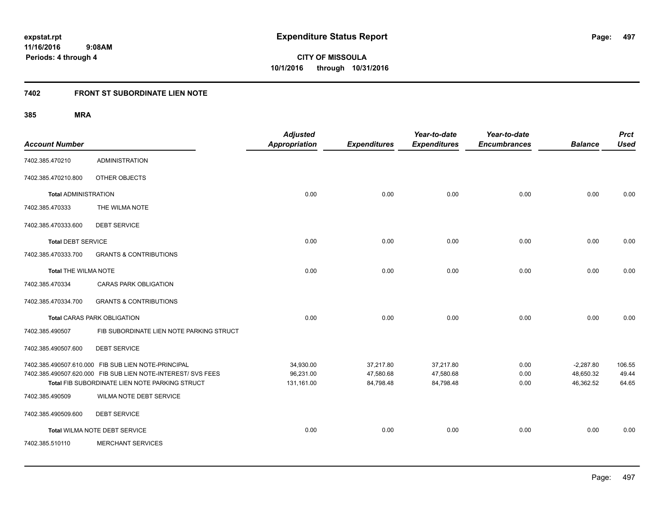**Periods: 4 through 4**

**497**

**CITY OF MISSOULA 10/1/2016 through 10/31/2016**

# **7402 FRONT ST SUBORDINATE LIEN NOTE**

 **9:08AM**

| <b>Account Number</b>       |                                                                                                                                                                       | <b>Adjusted</b><br>Appropriation     | <b>Expenditures</b>                 | Year-to-date<br><b>Expenditures</b> | Year-to-date<br><b>Encumbrances</b> | <b>Balance</b>                        | <b>Prct</b><br><b>Used</b> |
|-----------------------------|-----------------------------------------------------------------------------------------------------------------------------------------------------------------------|--------------------------------------|-------------------------------------|-------------------------------------|-------------------------------------|---------------------------------------|----------------------------|
| 7402.385.470210             | <b>ADMINISTRATION</b>                                                                                                                                                 |                                      |                                     |                                     |                                     |                                       |                            |
| 7402.385.470210.800         | OTHER OBJECTS                                                                                                                                                         |                                      |                                     |                                     |                                     |                                       |                            |
| <b>Total ADMINISTRATION</b> |                                                                                                                                                                       | 0.00                                 | 0.00                                | 0.00                                | 0.00                                | 0.00                                  | 0.00                       |
| 7402.385.470333             | THE WILMA NOTE                                                                                                                                                        |                                      |                                     |                                     |                                     |                                       |                            |
| 7402.385.470333.600         | <b>DEBT SERVICE</b>                                                                                                                                                   |                                      |                                     |                                     |                                     |                                       |                            |
| <b>Total DEBT SERVICE</b>   |                                                                                                                                                                       | 0.00                                 | 0.00                                | 0.00                                | 0.00                                | 0.00                                  | 0.00                       |
| 7402.385.470333.700         | <b>GRANTS &amp; CONTRIBUTIONS</b>                                                                                                                                     |                                      |                                     |                                     |                                     |                                       |                            |
| Total THE WILMA NOTE        |                                                                                                                                                                       | 0.00                                 | 0.00                                | 0.00                                | 0.00                                | 0.00                                  | 0.00                       |
| 7402.385.470334             | <b>CARAS PARK OBLIGATION</b>                                                                                                                                          |                                      |                                     |                                     |                                     |                                       |                            |
| 7402.385.470334.700         | <b>GRANTS &amp; CONTRIBUTIONS</b>                                                                                                                                     |                                      |                                     |                                     |                                     |                                       |                            |
|                             | <b>Total CARAS PARK OBLIGATION</b>                                                                                                                                    | 0.00                                 | 0.00                                | 0.00                                | 0.00                                | 0.00                                  | 0.00                       |
| 7402.385.490507             | FIB SUBORDINATE LIEN NOTE PARKING STRUCT                                                                                                                              |                                      |                                     |                                     |                                     |                                       |                            |
| 7402.385.490507.600         | <b>DEBT SERVICE</b>                                                                                                                                                   |                                      |                                     |                                     |                                     |                                       |                            |
|                             | 7402.385.490507.610.000 FIB SUB LIEN NOTE-PRINCIPAL<br>7402.385.490507.620.000 FIB SUB LIEN NOTE-INTEREST/ SVS FEES<br>Total FIB SUBORDINATE LIEN NOTE PARKING STRUCT | 34,930.00<br>96,231.00<br>131,161.00 | 37,217.80<br>47,580.68<br>84,798.48 | 37,217.80<br>47,580.68<br>84,798.48 | 0.00<br>0.00<br>0.00                | $-2,287.80$<br>48,650.32<br>46,362.52 | 106.55<br>49.44<br>64.65   |
| 7402.385.490509             | <b>WILMA NOTE DEBT SERVICE</b>                                                                                                                                        |                                      |                                     |                                     |                                     |                                       |                            |
| 7402.385.490509.600         | <b>DEBT SERVICE</b>                                                                                                                                                   |                                      |                                     |                                     |                                     |                                       |                            |
|                             | Total WILMA NOTE DEBT SERVICE                                                                                                                                         | 0.00                                 | 0.00                                | 0.00                                | 0.00                                | 0.00                                  | 0.00                       |
| 7402.385.510110             | <b>MERCHANT SERVICES</b>                                                                                                                                              |                                      |                                     |                                     |                                     |                                       |                            |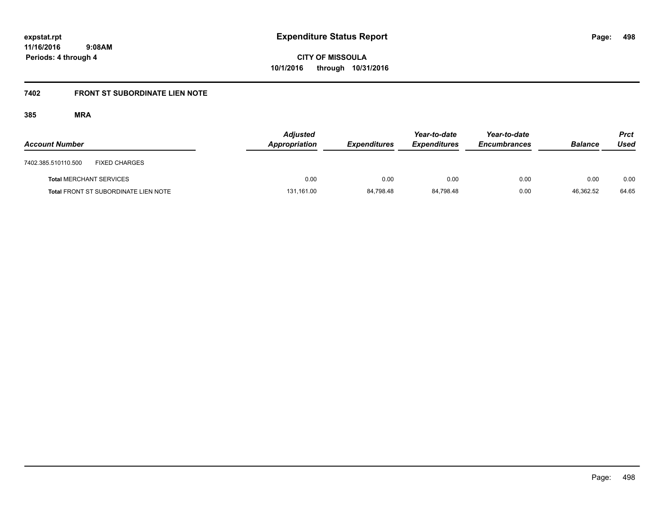**Periods: 4 through 4**

**CITY OF MISSOULA 10/1/2016 through 10/31/2016**

# **7402 FRONT ST SUBORDINATE LIEN NOTE**

| <b>Account Number</b>          |                                             | <b>Adjusted</b><br>Appropriation | <b>Expenditures</b> | Year-to-date<br><b>Expenditures</b> | Year-to-date<br><b>Encumbrances</b> | <b>Balance</b> | <b>Prct</b><br>Used |
|--------------------------------|---------------------------------------------|----------------------------------|---------------------|-------------------------------------|-------------------------------------|----------------|---------------------|
| 7402.385.510110.500            | <b>FIXED CHARGES</b>                        |                                  |                     |                                     |                                     |                |                     |
| <b>Total MERCHANT SERVICES</b> |                                             | 0.00                             | 0.00                | 0.00                                | 0.00                                | 0.00           | 0.00                |
|                                | <b>Total FRONT ST SUBORDINATE LIEN NOTE</b> | 131,161.00                       | 84.798.48           | 84.798.48                           | 0.00                                | 46.362.52      | 64.65               |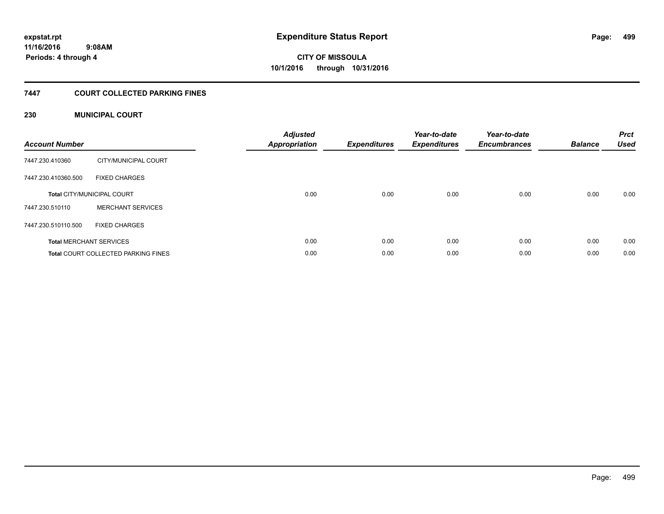# **7447 COURT COLLECTED PARKING FINES**

# **230 MUNICIPAL COURT**

| <b>Account Number</b> |                                            | <b>Adjusted</b><br>Appropriation | <b>Expenditures</b> | Year-to-date<br><b>Expenditures</b> | Year-to-date<br><b>Encumbrances</b> | <b>Balance</b> | <b>Prct</b><br><b>Used</b> |
|-----------------------|--------------------------------------------|----------------------------------|---------------------|-------------------------------------|-------------------------------------|----------------|----------------------------|
| 7447.230.410360       | CITY/MUNICIPAL COURT                       |                                  |                     |                                     |                                     |                |                            |
| 7447.230.410360.500   | <b>FIXED CHARGES</b>                       |                                  |                     |                                     |                                     |                |                            |
|                       | <b>Total CITY/MUNICIPAL COURT</b>          | 0.00                             | 0.00                | 0.00                                | 0.00                                | 0.00           | 0.00                       |
| 7447.230.510110       | <b>MERCHANT SERVICES</b>                   |                                  |                     |                                     |                                     |                |                            |
| 7447.230.510110.500   | <b>FIXED CHARGES</b>                       |                                  |                     |                                     |                                     |                |                            |
|                       | <b>Total MERCHANT SERVICES</b>             | 0.00                             | 0.00                | 0.00                                | 0.00                                | 0.00           | 0.00                       |
|                       | <b>Total COURT COLLECTED PARKING FINES</b> | 0.00                             | 0.00                | 0.00                                | 0.00                                | 0.00           | 0.00                       |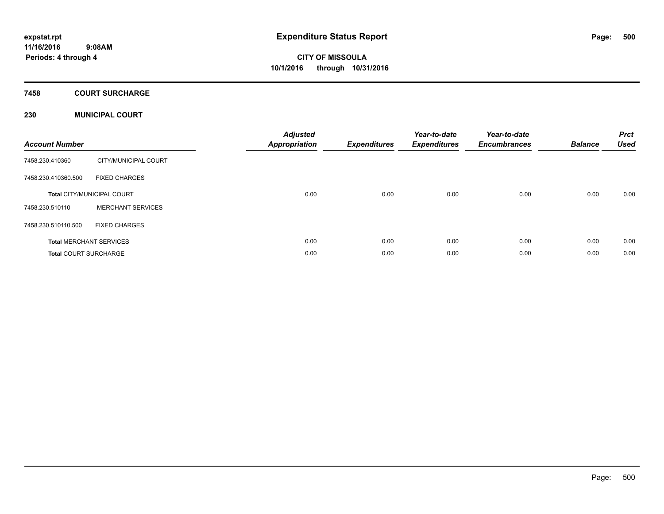# **7458 COURT SURCHARGE**

# **230 MUNICIPAL COURT**

| <b>Account Number</b>        |                                   | <b>Adjusted</b><br><b>Appropriation</b> | <b>Expenditures</b> | Year-to-date<br><b>Expenditures</b> | Year-to-date<br><b>Encumbrances</b> | <b>Balance</b> | <b>Prct</b><br><b>Used</b> |
|------------------------------|-----------------------------------|-----------------------------------------|---------------------|-------------------------------------|-------------------------------------|----------------|----------------------------|
| 7458.230.410360              | CITY/MUNICIPAL COURT              |                                         |                     |                                     |                                     |                |                            |
| 7458.230.410360.500          | <b>FIXED CHARGES</b>              |                                         |                     |                                     |                                     |                |                            |
|                              | <b>Total CITY/MUNICIPAL COURT</b> | 0.00                                    | 0.00                | 0.00                                | 0.00                                | 0.00           | 0.00                       |
| 7458.230.510110              | <b>MERCHANT SERVICES</b>          |                                         |                     |                                     |                                     |                |                            |
| 7458.230.510110.500          | <b>FIXED CHARGES</b>              |                                         |                     |                                     |                                     |                |                            |
|                              | <b>Total MERCHANT SERVICES</b>    | 0.00                                    | 0.00                | 0.00                                | 0.00                                | 0.00           | 0.00                       |
| <b>Total COURT SURCHARGE</b> |                                   | 0.00                                    | 0.00                | 0.00                                | 0.00                                | 0.00           | 0.00                       |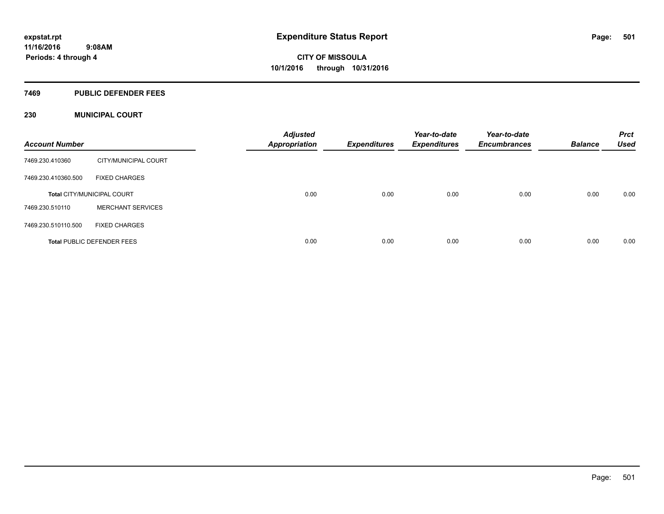### **7469 PUBLIC DEFENDER FEES**

# **230 MUNICIPAL COURT**

| <b>Account Number</b> |                                   | <b>Adjusted</b><br><b>Appropriation</b> | <b>Expenditures</b> | Year-to-date<br><b>Expenditures</b> | Year-to-date<br><b>Encumbrances</b> | <b>Balance</b> | <b>Prct</b><br><b>Used</b> |
|-----------------------|-----------------------------------|-----------------------------------------|---------------------|-------------------------------------|-------------------------------------|----------------|----------------------------|
| 7469.230.410360       | CITY/MUNICIPAL COURT              |                                         |                     |                                     |                                     |                |                            |
| 7469.230.410360.500   | <b>FIXED CHARGES</b>              |                                         |                     |                                     |                                     |                |                            |
|                       | <b>Total CITY/MUNICIPAL COURT</b> | 0.00                                    | 0.00                | 0.00                                | 0.00                                | 0.00           | 0.00                       |
| 7469.230.510110       | <b>MERCHANT SERVICES</b>          |                                         |                     |                                     |                                     |                |                            |
| 7469.230.510110.500   | <b>FIXED CHARGES</b>              |                                         |                     |                                     |                                     |                |                            |
|                       | <b>Total PUBLIC DEFENDER FEES</b> | 0.00                                    | 0.00                | 0.00                                | 0.00                                | 0.00           | 0.00                       |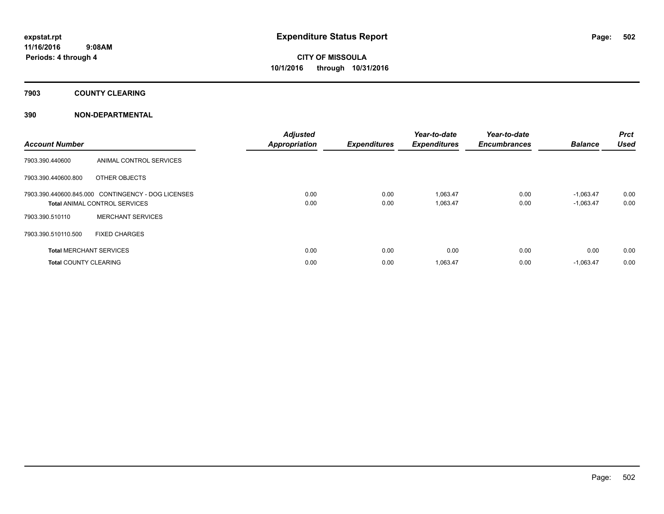# **7903 COUNTY CLEARING**

# **390 NON-DEPARTMENTAL**

| <b>Account Number</b>        |                                                    | <b>Adjusted</b><br><b>Appropriation</b> | <b>Expenditures</b> | Year-to-date<br><b>Expenditures</b> | Year-to-date<br><b>Encumbrances</b> | <b>Balance</b> | Prct<br><b>Used</b> |
|------------------------------|----------------------------------------------------|-----------------------------------------|---------------------|-------------------------------------|-------------------------------------|----------------|---------------------|
| 7903.390.440600              | ANIMAL CONTROL SERVICES                            |                                         |                     |                                     |                                     |                |                     |
| 7903.390.440600.800          | OTHER OBJECTS                                      |                                         |                     |                                     |                                     |                |                     |
|                              | 7903.390.440600.845.000 CONTINGENCY - DOG LICENSES | 0.00                                    | 0.00                | 1,063.47                            | 0.00                                | $-1.063.47$    | 0.00                |
|                              | <b>Total ANIMAL CONTROL SERVICES</b>               | 0.00                                    | 0.00                | 1,063.47                            | 0.00                                | $-1,063.47$    | 0.00                |
| 7903.390.510110              | <b>MERCHANT SERVICES</b>                           |                                         |                     |                                     |                                     |                |                     |
| 7903.390.510110.500          | <b>FIXED CHARGES</b>                               |                                         |                     |                                     |                                     |                |                     |
|                              | <b>Total MERCHANT SERVICES</b>                     | 0.00                                    | 0.00                | 0.00                                | 0.00                                | 0.00           | 0.00                |
| <b>Total COUNTY CLEARING</b> |                                                    | 0.00                                    | 0.00                | 1,063.47                            | 0.00                                | $-1,063.47$    | 0.00                |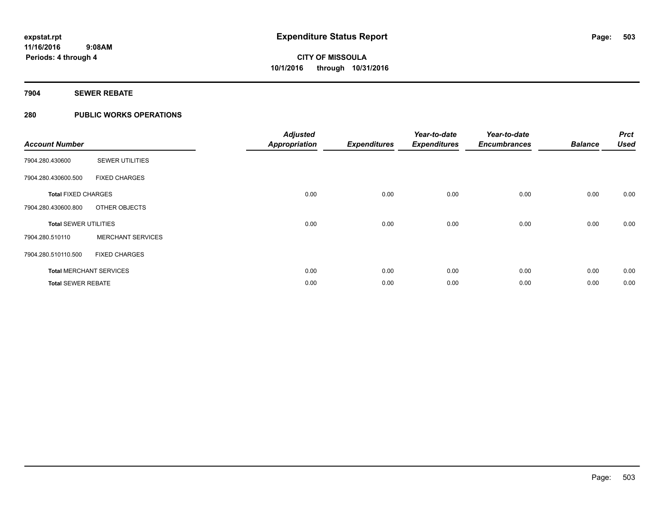# **7904 SEWER REBATE**

# **280 PUBLIC WORKS OPERATIONS**

| <b>Account Number</b>        |                                | <b>Adjusted</b><br><b>Appropriation</b> | <b>Expenditures</b> | Year-to-date<br><b>Expenditures</b> | Year-to-date<br><b>Encumbrances</b> | <b>Balance</b> | <b>Prct</b><br><b>Used</b> |
|------------------------------|--------------------------------|-----------------------------------------|---------------------|-------------------------------------|-------------------------------------|----------------|----------------------------|
| 7904.280.430600              | <b>SEWER UTILITIES</b>         |                                         |                     |                                     |                                     |                |                            |
| 7904.280.430600.500          | <b>FIXED CHARGES</b>           |                                         |                     |                                     |                                     |                |                            |
| <b>Total FIXED CHARGES</b>   |                                | 0.00                                    | 0.00                | 0.00                                | 0.00                                | 0.00           | 0.00                       |
| 7904.280.430600.800          | OTHER OBJECTS                  |                                         |                     |                                     |                                     |                |                            |
| <b>Total SEWER UTILITIES</b> |                                | 0.00                                    | 0.00                | 0.00                                | 0.00                                | 0.00           | 0.00                       |
| 7904.280.510110              | <b>MERCHANT SERVICES</b>       |                                         |                     |                                     |                                     |                |                            |
| 7904.280.510110.500          | <b>FIXED CHARGES</b>           |                                         |                     |                                     |                                     |                |                            |
|                              | <b>Total MERCHANT SERVICES</b> | 0.00                                    | 0.00                | 0.00                                | 0.00                                | 0.00           | 0.00                       |
| <b>Total SEWER REBATE</b>    |                                | 0.00                                    | 0.00                | 0.00                                | 0.00                                | 0.00           | 0.00                       |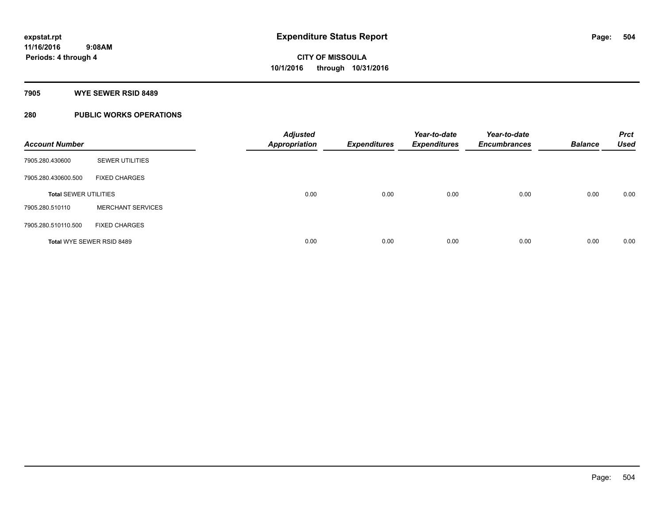# **7905 WYE SEWER RSID 8489**

# **280 PUBLIC WORKS OPERATIONS**

| <b>Account Number</b>        |                           | <b>Adjusted</b><br><b>Appropriation</b> | <b>Expenditures</b> | Year-to-date<br><b>Expenditures</b> | Year-to-date<br><b>Encumbrances</b> | <b>Balance</b> | <b>Prct</b><br><b>Used</b> |
|------------------------------|---------------------------|-----------------------------------------|---------------------|-------------------------------------|-------------------------------------|----------------|----------------------------|
| 7905.280.430600              | <b>SEWER UTILITIES</b>    |                                         |                     |                                     |                                     |                |                            |
| 7905.280.430600.500          | <b>FIXED CHARGES</b>      |                                         |                     |                                     |                                     |                |                            |
| <b>Total SEWER UTILITIES</b> |                           | 0.00                                    | 0.00                | 0.00                                | 0.00                                | 0.00           | 0.00                       |
| 7905.280.510110              | <b>MERCHANT SERVICES</b>  |                                         |                     |                                     |                                     |                |                            |
| 7905.280.510110.500          | <b>FIXED CHARGES</b>      |                                         |                     |                                     |                                     |                |                            |
|                              | Total WYE SEWER RSID 8489 | 0.00                                    | 0.00                | 0.00                                | 0.00                                | 0.00           | 0.00                       |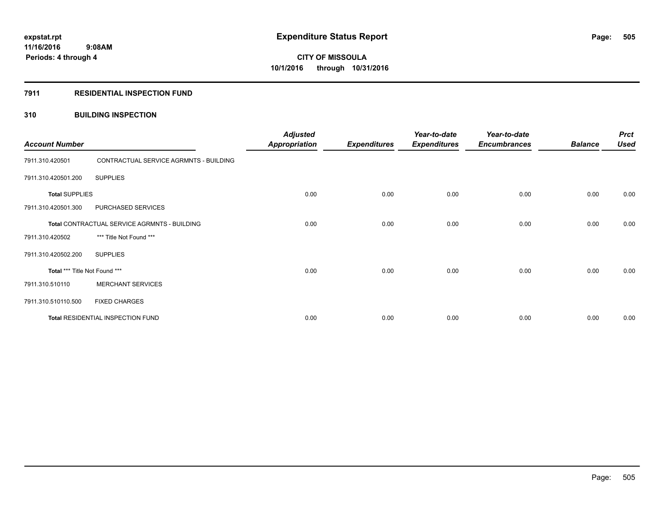# **CITY OF MISSOULA 10/1/2016 through 10/31/2016**

## **7911 RESIDENTIAL INSPECTION FUND**

## **310 BUILDING INSPECTION**

| <b>Account Number</b>                        |                                        | <b>Adjusted</b><br><b>Appropriation</b> | <b>Expenditures</b> | Year-to-date<br><b>Expenditures</b> | Year-to-date<br><b>Encumbrances</b> | <b>Balance</b> | <b>Prct</b><br><b>Used</b> |
|----------------------------------------------|----------------------------------------|-----------------------------------------|---------------------|-------------------------------------|-------------------------------------|----------------|----------------------------|
| 7911.310.420501                              | CONTRACTUAL SERVICE AGRMNTS - BUILDING |                                         |                     |                                     |                                     |                |                            |
| 7911.310.420501.200                          | <b>SUPPLIES</b>                        |                                         |                     |                                     |                                     |                |                            |
| <b>Total SUPPLIES</b>                        |                                        | 0.00                                    | 0.00                | 0.00                                | 0.00                                | 0.00           | 0.00                       |
| 7911.310.420501.300                          | PURCHASED SERVICES                     |                                         |                     |                                     |                                     |                |                            |
| Total CONTRACTUAL SERVICE AGRMNTS - BUILDING |                                        | 0.00                                    | 0.00                | 0.00                                | 0.00                                | 0.00           | 0.00                       |
| 7911.310.420502                              | *** Title Not Found ***                |                                         |                     |                                     |                                     |                |                            |
| 7911.310.420502.200                          | <b>SUPPLIES</b>                        |                                         |                     |                                     |                                     |                |                            |
| Total *** Title Not Found ***                |                                        | 0.00                                    | 0.00                | 0.00                                | 0.00                                | 0.00           | 0.00                       |
| 7911.310.510110                              | <b>MERCHANT SERVICES</b>               |                                         |                     |                                     |                                     |                |                            |
| 7911.310.510110.500                          | <b>FIXED CHARGES</b>                   |                                         |                     |                                     |                                     |                |                            |
| Total RESIDENTIAL INSPECTION FUND            |                                        | 0.00                                    | 0.00                | 0.00                                | 0.00                                | 0.00           | 0.00                       |